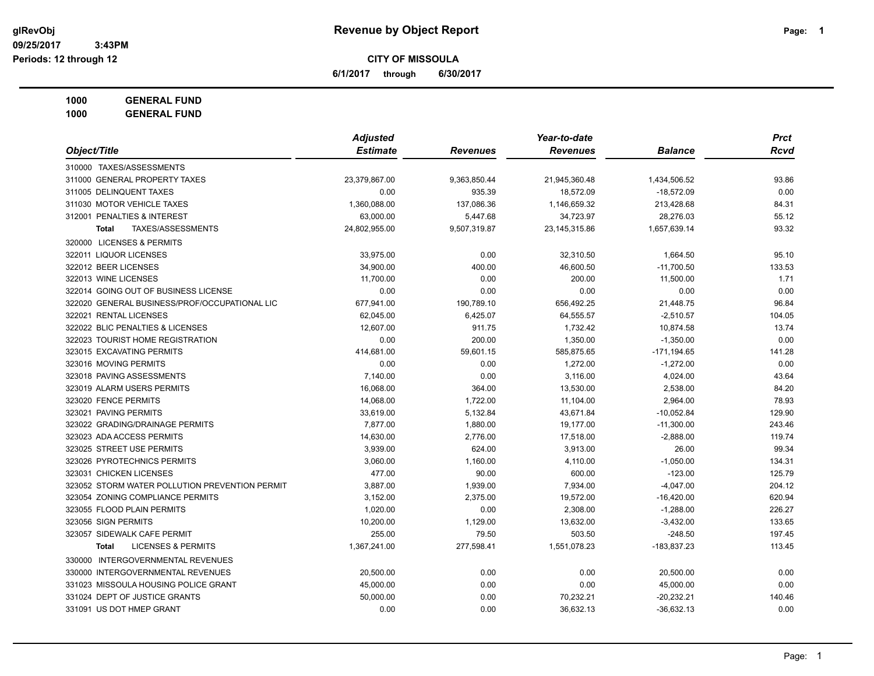**6/1/2017 through 6/30/2017**

**1000 GENERAL FUND**

|                                                | <b>Adjusted</b> |                 | Year-to-date    |                | <b>Prct</b> |
|------------------------------------------------|-----------------|-----------------|-----------------|----------------|-------------|
| Object/Title                                   | <b>Estimate</b> | <b>Revenues</b> | <b>Revenues</b> | <b>Balance</b> | <b>Rcvd</b> |
| 310000 TAXES/ASSESSMENTS                       |                 |                 |                 |                |             |
| 311000 GENERAL PROPERTY TAXES                  | 23,379,867.00   | 9,363,850.44    | 21,945,360.48   | 1,434,506.52   | 93.86       |
| 311005 DELINQUENT TAXES                        | 0.00            | 935.39          | 18,572.09       | $-18,572.09$   | 0.00        |
| 311030 MOTOR VEHICLE TAXES                     | 1,360,088.00    | 137,086.36      | 1,146,659.32    | 213,428.68     | 84.31       |
| 312001 PENALTIES & INTEREST                    | 63,000.00       | 5,447.68        | 34,723.97       | 28,276.03      | 55.12       |
| TAXES/ASSESSMENTS<br><b>Total</b>              | 24,802,955.00   | 9,507,319.87    | 23,145,315.86   | 1,657,639.14   | 93.32       |
| 320000 LICENSES & PERMITS                      |                 |                 |                 |                |             |
| 322011 LIQUOR LICENSES                         | 33,975.00       | 0.00            | 32,310.50       | 1,664.50       | 95.10       |
| 322012 BEER LICENSES                           | 34,900.00       | 400.00          | 46,600.50       | $-11,700.50$   | 133.53      |
| 322013 WINE LICENSES                           | 11,700.00       | 0.00            | 200.00          | 11,500.00      | 1.71        |
| 322014 GOING OUT OF BUSINESS LICENSE           | 0.00            | 0.00            | 0.00            | 0.00           | 0.00        |
| 322020 GENERAL BUSINESS/PROF/OCCUPATIONAL LIC  | 677,941.00      | 190,789.10      | 656,492.25      | 21,448.75      | 96.84       |
| 322021 RENTAL LICENSES                         | 62,045.00       | 6,425.07        | 64,555.57       | $-2,510.57$    | 104.05      |
| 322022 BLIC PENALTIES & LICENSES               | 12,607.00       | 911.75          | 1,732.42        | 10,874.58      | 13.74       |
| 322023 TOURIST HOME REGISTRATION               | 0.00            | 200.00          | 1,350.00        | $-1,350.00$    | 0.00        |
| 323015 EXCAVATING PERMITS                      | 414,681.00      | 59,601.15       | 585,875.65      | $-171, 194.65$ | 141.28      |
| 323016 MOVING PERMITS                          | 0.00            | 0.00            | 1,272.00        | $-1,272.00$    | 0.00        |
| 323018 PAVING ASSESSMENTS                      | 7,140.00        | 0.00            | 3,116.00        | 4,024.00       | 43.64       |
| 323019 ALARM USERS PERMITS                     | 16,068.00       | 364.00          | 13,530.00       | 2,538.00       | 84.20       |
| 323020 FENCE PERMITS                           | 14,068.00       | 1,722.00        | 11,104.00       | 2,964.00       | 78.93       |
| 323021 PAVING PERMITS                          | 33,619.00       | 5,132.84        | 43,671.84       | $-10,052.84$   | 129.90      |
| 323022 GRADING/DRAINAGE PERMITS                | 7,877.00        | 1,880.00        | 19,177.00       | $-11,300.00$   | 243.46      |
| 323023 ADA ACCESS PERMITS                      | 14,630.00       | 2,776.00        | 17,518.00       | $-2,888.00$    | 119.74      |
| 323025 STREET USE PERMITS                      | 3,939.00        | 624.00          | 3,913.00        | 26.00          | 99.34       |
| 323026 PYROTECHNICS PERMITS                    | 3,060.00        | 1,160.00        | 4,110.00        | $-1,050.00$    | 134.31      |
| 323031 CHICKEN LICENSES                        | 477.00          | 90.00           | 600.00          | $-123.00$      | 125.79      |
| 323052 STORM WATER POLLUTION PREVENTION PERMIT | 3,887.00        | 1,939.00        | 7,934.00        | $-4,047.00$    | 204.12      |
| 323054 ZONING COMPLIANCE PERMITS               | 3,152.00        | 2,375.00        | 19,572.00       | $-16,420.00$   | 620.94      |
| 323055 FLOOD PLAIN PERMITS                     | 1,020.00        | 0.00            | 2,308.00        | $-1,288.00$    | 226.27      |
| 323056 SIGN PERMITS                            | 10,200.00       | 1,129.00        | 13,632.00       | $-3,432.00$    | 133.65      |
| 323057 SIDEWALK CAFE PERMIT                    | 255.00          | 79.50           | 503.50          | $-248.50$      | 197.45      |
| <b>LICENSES &amp; PERMITS</b><br><b>Total</b>  | 1,367,241.00    | 277,598.41      | 1,551,078.23    | -183,837.23    | 113.45      |
| 330000 INTERGOVERNMENTAL REVENUES              |                 |                 |                 |                |             |
| 330000 INTERGOVERNMENTAL REVENUES              | 20,500.00       | 0.00            | 0.00            | 20,500.00      | 0.00        |
| 331023 MISSOULA HOUSING POLICE GRANT           | 45,000.00       | 0.00            | 0.00            | 45,000.00      | 0.00        |
| 331024 DEPT OF JUSTICE GRANTS                  | 50,000.00       | 0.00            | 70,232.21       | $-20,232.21$   | 140.46      |
| 331091 US DOT HMEP GRANT                       | 0.00            | 0.00            | 36,632.13       | $-36,632.13$   | 0.00        |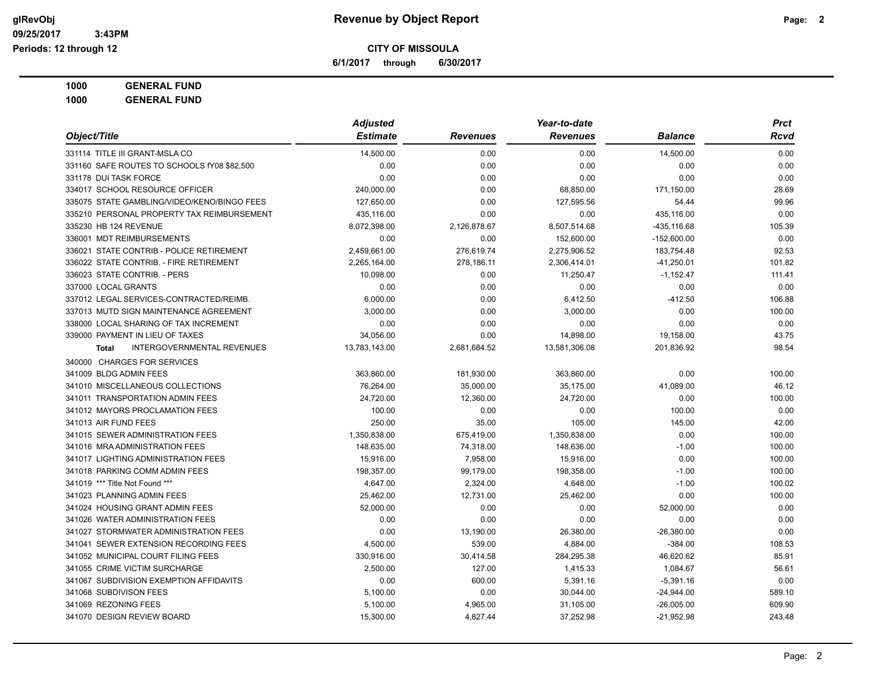**6/1/2017 through 6/30/2017**

#### **1000 GENERAL FUND**

| <b>Adjusted</b> |                 | Year-to-date    | <b>Prct</b>    |             |
|-----------------|-----------------|-----------------|----------------|-------------|
| <b>Estimate</b> | <b>Revenues</b> | <b>Revenues</b> | <b>Balance</b> | <b>Rcvd</b> |
| 14,500.00       | 0.00            | 0.00            | 14,500.00      | 0.00        |
| 0.00            | 0.00            | 0.00            | 0.00           | 0.00        |
| 0.00            | 0.00            | 0.00            | 0.00           | 0.00        |
| 240,000.00      | 0.00            | 68,850.00       | 171,150.00     | 28.69       |
| 127,650.00      | 0.00            | 127,595.56      | 54.44          | 99.96       |
| 435,116.00      | 0.00            | 0.00            | 435,116.00     | 0.00        |
| 8,072,398.00    | 2,126,878.67    | 8,507,514.68    | $-435, 116.68$ | 105.39      |
| 0.00            | 0.00            | 152,600.00      | $-152,600.00$  | 0.00        |
| 2,459,661.00    | 276,619.74      | 2,275,906.52    | 183,754.48     | 92.53       |
| 2,265,164.00    | 278,186.11      | 2,306,414.01    | $-41,250.01$   | 101.82      |
| 10,098.00       | 0.00            | 11,250.47       | $-1,152.47$    | 111.41      |
| 0.00            | 0.00            | 0.00            | 0.00           | 0.00        |
| 6,000.00        | 0.00            | 6,412.50        | $-412.50$      | 106.88      |
| 3,000.00        | 0.00            | 3,000.00        | 0.00           | 100.00      |
| 0.00            | 0.00            | 0.00            | 0.00           | 0.00        |
| 34,056.00       | 0.00            | 14,898.00       | 19,158.00      | 43.75       |
| 13,783,143.00   | 2,681,684.52    | 13,581,306.08   | 201,836.92     | 98.54       |
|                 |                 |                 |                |             |
| 363,860.00      | 181,930.00      | 363,860.00      | 0.00           | 100.00      |
| 76,264.00       | 35,000.00       | 35,175.00       | 41,089.00      | 46.12       |
| 24,720.00       | 12,360.00       | 24,720.00       | 0.00           | 100.00      |
| 100.00          | 0.00            | 0.00            | 100.00         | 0.00        |
| 250.00          | 35.00           | 105.00          | 145.00         | 42.00       |
| 1,350,838.00    | 675,419.00      | 1,350,838.00    | 0.00           | 100.00      |
| 148,635.00      | 74,318.00       | 148,636.00      | $-1.00$        | 100.00      |
| 15,916.00       | 7,958.00        | 15,916.00       | 0.00           | 100.00      |
| 198,357.00      | 99,179.00       | 198,358.00      | $-1.00$        | 100.00      |
| 4,647.00        | 2,324.00        | 4,648.00        | $-1.00$        | 100.02      |
| 25,462.00       | 12,731.00       | 25,462.00       | 0.00           | 100.00      |
| 52,000.00       | 0.00            | 0.00            | 52,000.00      | 0.00        |
| 0.00            | 0.00            | 0.00            | 0.00           | 0.00        |
| 0.00            | 13,190.00       | 26,380.00       | $-26,380.00$   | 0.00        |
| 4,500.00        | 539.00          | 4,884.00        | $-384.00$      | 108.53      |
| 330,916.00      | 30,414.58       | 284,295.38      | 46,620.62      | 85.91       |
| 2,500.00        | 127.00          | 1,415.33        | 1,084.67       | 56.61       |
| 0.00            | 600.00          | 5,391.16        | $-5,391.16$    | 0.00        |
| 5,100.00        | 0.00            | 30,044.00       | $-24,944.00$   | 589.10      |
| 5,100.00        | 4,965.00        | 31,105.00       | $-26,005.00$   | 609.90      |
| 15,300.00       | 4,827.44        | 37,252.98       | $-21,952.98$   | 243.48      |
|                 |                 |                 |                |             |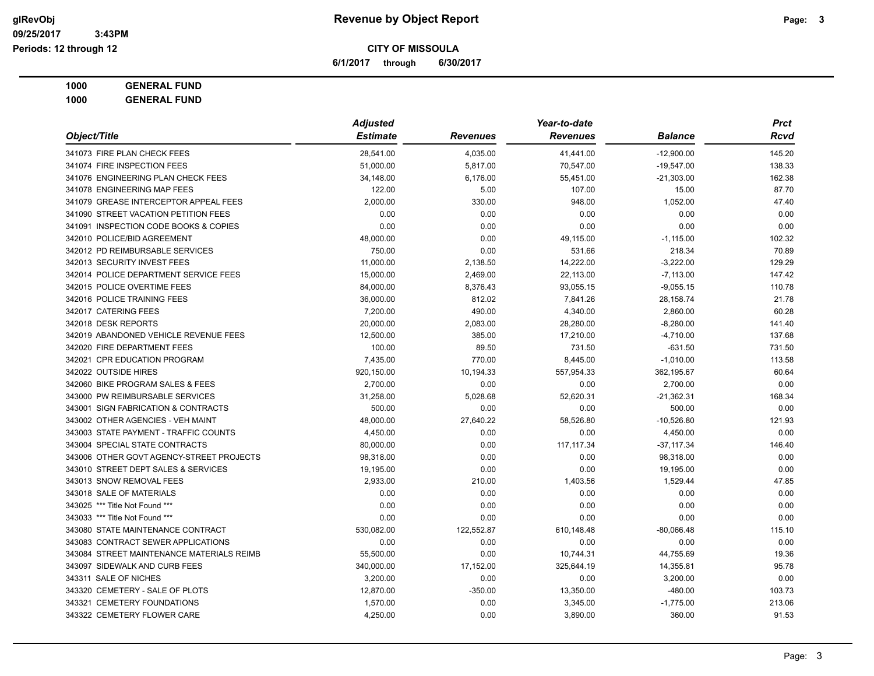**6/1/2017 through 6/30/2017**

#### **1000 GENERAL FUND**

|                                           | <b>Adjusted</b> |                 | Year-to-date    |                | <b>Prct</b> |
|-------------------------------------------|-----------------|-----------------|-----------------|----------------|-------------|
| Object/Title                              | <b>Estimate</b> | <b>Revenues</b> | <b>Revenues</b> | <b>Balance</b> | Rcvd        |
| 341073 FIRE PLAN CHECK FEES               | 28,541.00       | 4,035.00        | 41,441.00       | $-12,900.00$   | 145.20      |
| 341074 FIRE INSPECTION FEES               | 51,000.00       | 5,817.00        | 70,547.00       | $-19,547.00$   | 138.33      |
| 341076 ENGINEERING PLAN CHECK FEES        | 34,148.00       | 6,176.00        | 55,451.00       | $-21,303.00$   | 162.38      |
| 341078 ENGINEERING MAP FEES               | 122.00          | 5.00            | 107.00          | 15.00          | 87.70       |
| 341079 GREASE INTERCEPTOR APPEAL FEES     | 2,000.00        | 330.00          | 948.00          | 1,052.00       | 47.40       |
| 341090 STREET VACATION PETITION FEES      | 0.00            | 0.00            | 0.00            | 0.00           | 0.00        |
| 341091 INSPECTION CODE BOOKS & COPIES     | 0.00            | 0.00            | 0.00            | 0.00           | 0.00        |
| 342010 POLICE/BID AGREEMENT               | 48,000.00       | 0.00            | 49,115.00       | $-1,115.00$    | 102.32      |
| 342012 PD REIMBURSABLE SERVICES           | 750.00          | 0.00            | 531.66          | 218.34         | 70.89       |
| 342013 SECURITY INVEST FEES               | 11,000.00       | 2,138.50        | 14,222.00       | $-3,222.00$    | 129.29      |
| 342014 POLICE DEPARTMENT SERVICE FEES     | 15,000.00       | 2,469.00        | 22,113.00       | $-7,113.00$    | 147.42      |
| 342015 POLICE OVERTIME FEES               | 84,000.00       | 8,376.43        | 93,055.15       | $-9,055.15$    | 110.78      |
| 342016 POLICE TRAINING FEES               | 36,000.00       | 812.02          | 7,841.26        | 28,158.74      | 21.78       |
| 342017 CATERING FEES                      | 7,200.00        | 490.00          | 4,340.00        | 2,860.00       | 60.28       |
| 342018 DESK REPORTS                       | 20,000.00       | 2,083.00        | 28,280.00       | $-8,280.00$    | 141.40      |
| 342019 ABANDONED VEHICLE REVENUE FEES     | 12,500.00       | 385.00          | 17,210.00       | $-4,710.00$    | 137.68      |
| 342020 FIRE DEPARTMENT FEES               | 100.00          | 89.50           | 731.50          | $-631.50$      | 731.50      |
| 342021 CPR EDUCATION PROGRAM              | 7,435.00        | 770.00          | 8,445.00        | $-1,010.00$    | 113.58      |
| 342022 OUTSIDE HIRES                      | 920,150.00      | 10,194.33       | 557,954.33      | 362,195.67     | 60.64       |
| 342060 BIKE PROGRAM SALES & FEES          | 2,700.00        | 0.00            | 0.00            | 2,700.00       | 0.00        |
| 343000 PW REIMBURSABLE SERVICES           | 31,258.00       | 5,028.68        | 52,620.31       | $-21,362.31$   | 168.34      |
| 343001 SIGN FABRICATION & CONTRACTS       | 500.00          | 0.00            | 0.00            | 500.00         | 0.00        |
| 343002 OTHER AGENCIES - VEH MAINT         | 48,000.00       | 27,640.22       | 58,526.80       | $-10,526.80$   | 121.93      |
| 343003 STATE PAYMENT - TRAFFIC COUNTS     | 4,450.00        | 0.00            | 0.00            | 4,450.00       | 0.00        |
| 343004 SPECIAL STATE CONTRACTS            | 80,000.00       | 0.00            | 117, 117.34     | $-37,117.34$   | 146.40      |
| 343006 OTHER GOVT AGENCY-STREET PROJECTS  | 98,318.00       | 0.00            | 0.00            | 98,318.00      | 0.00        |
| 343010 STREET DEPT SALES & SERVICES       | 19,195.00       | 0.00            | 0.00            | 19,195.00      | 0.00        |
| 343013 SNOW REMOVAL FEES                  | 2,933.00        | 210.00          | 1,403.56        | 1,529.44       | 47.85       |
| 343018 SALE OF MATERIALS                  | 0.00            | 0.00            | 0.00            | 0.00           | 0.00        |
| 343025 *** Title Not Found ***            | 0.00            | 0.00            | 0.00            | 0.00           | 0.00        |
| 343033 *** Title Not Found ***            | 0.00            | 0.00            | 0.00            | 0.00           | 0.00        |
| 343080 STATE MAINTENANCE CONTRACT         | 530,082.00      | 122,552.87      | 610,148.48      | $-80,066.48$   | 115.10      |
| 343083 CONTRACT SEWER APPLICATIONS        | 0.00            | 0.00            | 0.00            | 0.00           | 0.00        |
| 343084 STREET MAINTENANCE MATERIALS REIMB | 55,500.00       | 0.00            | 10,744.31       | 44,755.69      | 19.36       |
| 343097 SIDEWALK AND CURB FEES             | 340,000.00      | 17,152.00       | 325,644.19      | 14,355.81      | 95.78       |
| 343311 SALE OF NICHES                     | 3,200.00        | 0.00            | 0.00            | 3,200.00       | 0.00        |
| 343320 CEMETERY - SALE OF PLOTS           | 12,870.00       | $-350.00$       | 13,350.00       | $-480.00$      | 103.73      |
| 343321 CEMETERY FOUNDATIONS               | 1,570.00        | 0.00            | 3,345.00        | $-1,775.00$    | 213.06      |
| 343322 CEMETERY FLOWER CARE               | 4,250.00        | 0.00            | 3,890.00        | 360.00         | 91.53       |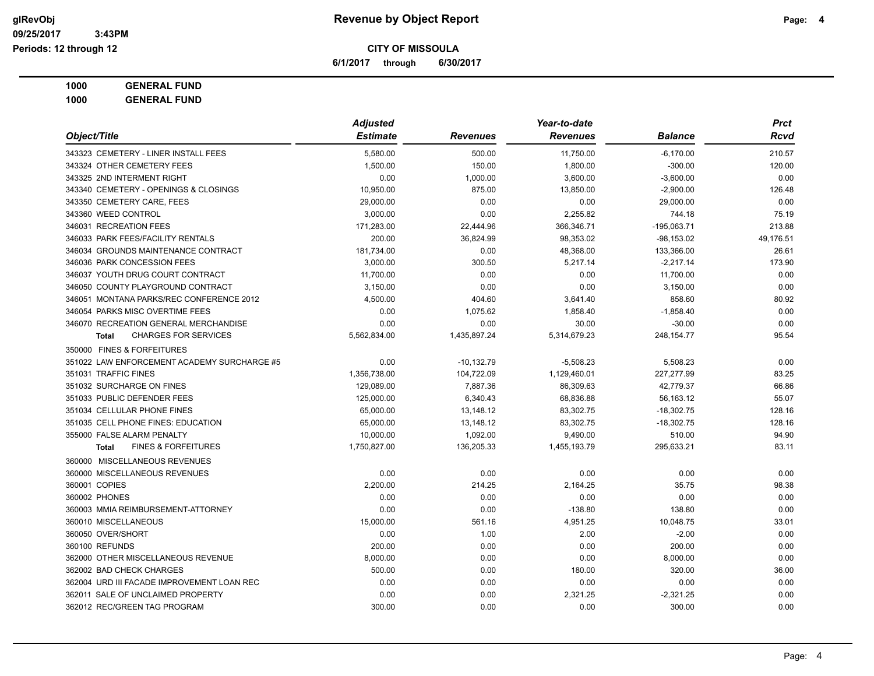**6/1/2017 through 6/30/2017**

#### **1000 GENERAL FUND**

|                                                | <b>Adjusted</b> | Year-to-date    | <b>Prct</b>     |                |           |
|------------------------------------------------|-----------------|-----------------|-----------------|----------------|-----------|
| Object/Title                                   | <b>Estimate</b> | <b>Revenues</b> | <b>Revenues</b> | <b>Balance</b> | Rcvd      |
| 343323 CEMETERY - LINER INSTALL FEES           | 5,580.00        | 500.00          | 11,750.00       | $-6,170.00$    | 210.57    |
| 343324 OTHER CEMETERY FEES                     | 1,500.00        | 150.00          | 1,800.00        | $-300.00$      | 120.00    |
| 343325 2ND INTERMENT RIGHT                     | 0.00            | 1,000.00        | 3,600.00        | $-3,600.00$    | 0.00      |
| 343340 CEMETERY - OPENINGS & CLOSINGS          | 10,950.00       | 875.00          | 13,850.00       | $-2,900.00$    | 126.48    |
| 343350 CEMETERY CARE, FEES                     | 29,000.00       | 0.00            | 0.00            | 29,000.00      | 0.00      |
| 343360 WEED CONTROL                            | 3,000.00        | 0.00            | 2,255.82        | 744.18         | 75.19     |
| 346031 RECREATION FEES                         | 171,283.00      | 22,444.96       | 366,346.71      | $-195,063.71$  | 213.88    |
| 346033 PARK FEES/FACILITY RENTALS              | 200.00          | 36,824.99       | 98,353.02       | $-98, 153.02$  | 49,176.51 |
| 346034 GROUNDS MAINTENANCE CONTRACT            | 181,734.00      | 0.00            | 48,368.00       | 133,366.00     | 26.61     |
| 346036 PARK CONCESSION FEES                    | 3,000.00        | 300.50          | 5,217.14        | $-2,217.14$    | 173.90    |
| 346037 YOUTH DRUG COURT CONTRACT               | 11,700.00       | 0.00            | 0.00            | 11,700.00      | 0.00      |
| 346050 COUNTY PLAYGROUND CONTRACT              | 3,150.00        | 0.00            | 0.00            | 3,150.00       | 0.00      |
| 346051 MONTANA PARKS/REC CONFERENCE 2012       | 4,500.00        | 404.60          | 3,641.40        | 858.60         | 80.92     |
| 346054 PARKS MISC OVERTIME FEES                | 0.00            | 1,075.62        | 1,858.40        | $-1,858.40$    | 0.00      |
| 346070 RECREATION GENERAL MERCHANDISE          | 0.00            | 0.00            | 30.00           | $-30.00$       | 0.00      |
| <b>CHARGES FOR SERVICES</b><br><b>Total</b>    | 5,562,834.00    | 1,435,897.24    | 5,314,679.23    | 248,154.77     | 95.54     |
| 350000 FINES & FORFEITURES                     |                 |                 |                 |                |           |
| 351022 LAW ENFORCEMENT ACADEMY SURCHARGE #5    | 0.00            | $-10,132.79$    | $-5,508.23$     | 5,508.23       | 0.00      |
| 351031 TRAFFIC FINES                           | 1,356,738.00    | 104,722.09      | 1,129,460.01    | 227, 277.99    | 83.25     |
| 351032 SURCHARGE ON FINES                      | 129,089.00      | 7,887.36        | 86,309.63       | 42,779.37      | 66.86     |
| 351033 PUBLIC DEFENDER FEES                    | 125,000.00      | 6,340.43        | 68,836.88       | 56,163.12      | 55.07     |
| 351034 CELLULAR PHONE FINES                    | 65,000.00       | 13,148.12       | 83,302.75       | $-18,302.75$   | 128.16    |
| 351035 CELL PHONE FINES: EDUCATION             | 65,000.00       | 13,148.12       | 83,302.75       | $-18,302.75$   | 128.16    |
| 355000 FALSE ALARM PENALTY                     | 10,000.00       | 1,092.00        | 9,490.00        | 510.00         | 94.90     |
| <b>FINES &amp; FORFEITURES</b><br><b>Total</b> | 1,750,827.00    | 136,205.33      | 1,455,193.79    | 295,633.21     | 83.11     |
| 360000 MISCELLANEOUS REVENUES                  |                 |                 |                 |                |           |
| 360000 MISCELLANEOUS REVENUES                  | 0.00            | 0.00            | 0.00            | 0.00           | 0.00      |
| 360001 COPIES                                  | 2,200.00        | 214.25          | 2,164.25        | 35.75          | 98.38     |
| 360002 PHONES                                  | 0.00            | 0.00            | 0.00            | 0.00           | 0.00      |
| 360003 MMIA REIMBURSEMENT-ATTORNEY             | 0.00            | 0.00            | $-138.80$       | 138.80         | 0.00      |
| 360010 MISCELLANEOUS                           | 15,000.00       | 561.16          | 4,951.25        | 10,048.75      | 33.01     |
| 360050 OVER/SHORT                              | 0.00            | 1.00            | 2.00            | $-2.00$        | 0.00      |
| 360100 REFUNDS                                 | 200.00          | 0.00            | 0.00            | 200.00         | 0.00      |
| 362000 OTHER MISCELLANEOUS REVENUE             | 8,000.00        | 0.00            | 0.00            | 8,000.00       | 0.00      |
| 362002 BAD CHECK CHARGES                       | 500.00          | 0.00            | 180.00          | 320.00         | 36.00     |
| 362004 URD III FACADE IMPROVEMENT LOAN REC     | 0.00            | 0.00            | 0.00            | 0.00           | 0.00      |
| 362011 SALE OF UNCLAIMED PROPERTY              | 0.00            | 0.00            | 2,321.25        | $-2,321.25$    | 0.00      |
| 362012 REC/GREEN TAG PROGRAM                   | 300.00          | 0.00            | 0.00            | 300.00         | 0.00      |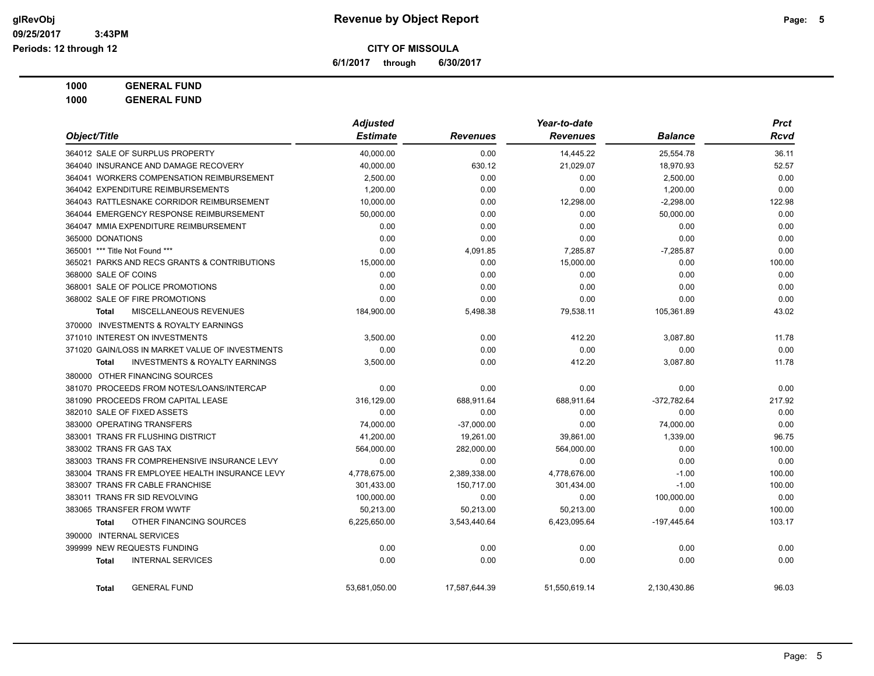**6/1/2017 through 6/30/2017**

**1000 GENERAL FUND**

|                                                           | <b>Adjusted</b> |                 | Year-to-date    |                | <b>Prct</b> |
|-----------------------------------------------------------|-----------------|-----------------|-----------------|----------------|-------------|
| Object/Title                                              | <b>Estimate</b> | <b>Revenues</b> | <b>Revenues</b> | <b>Balance</b> | Rcvd        |
| 364012 SALE OF SURPLUS PROPERTY                           | 40.000.00       | 0.00            | 14,445.22       | 25,554.78      | 36.11       |
| 364040 INSURANCE AND DAMAGE RECOVERY                      | 40,000.00       | 630.12          | 21,029.07       | 18,970.93      | 52.57       |
| 364041 WORKERS COMPENSATION REIMBURSEMENT                 | 2,500.00        | 0.00            | 0.00            | 2,500.00       | 0.00        |
| 364042 EXPENDITURE REIMBURSEMENTS                         | 1,200.00        | 0.00            | 0.00            | 1,200.00       | 0.00        |
| 364043 RATTLESNAKE CORRIDOR REIMBURSEMENT                 | 10,000.00       | 0.00            | 12,298.00       | $-2,298.00$    | 122.98      |
| 364044 EMERGENCY RESPONSE REIMBURSEMENT                   | 50,000.00       | 0.00            | 0.00            | 50,000.00      | 0.00        |
| 364047 MMIA EXPENDITURE REIMBURSEMENT                     | 0.00            | 0.00            | 0.00            | 0.00           | 0.00        |
| 365000 DONATIONS                                          | 0.00            | 0.00            | 0.00            | 0.00           | 0.00        |
| 365001 *** Title Not Found ***                            | 0.00            | 4,091.85        | 7,285.87        | $-7,285.87$    | 0.00        |
| 365021 PARKS AND RECS GRANTS & CONTRIBUTIONS              | 15.000.00       | 0.00            | 15,000.00       | 0.00           | 100.00      |
| 368000 SALE OF COINS                                      | 0.00            | 0.00            | 0.00            | 0.00           | 0.00        |
| 368001 SALE OF POLICE PROMOTIONS                          | 0.00            | 0.00            | 0.00            | 0.00           | 0.00        |
| 368002 SALE OF FIRE PROMOTIONS                            | 0.00            | 0.00            | 0.00            | 0.00           | 0.00        |
| <b>MISCELLANEOUS REVENUES</b><br>Total                    | 184,900.00      | 5,498.38        | 79,538.11       | 105,361.89     | 43.02       |
| 370000 INVESTMENTS & ROYALTY EARNINGS                     |                 |                 |                 |                |             |
| 371010 INTEREST ON INVESTMENTS                            | 3,500.00        | 0.00            | 412.20          | 3,087.80       | 11.78       |
| 371020 GAIN/LOSS IN MARKET VALUE OF INVESTMENTS           | 0.00            | 0.00            | 0.00            | 0.00           | 0.00        |
| <b>INVESTMENTS &amp; ROYALTY EARNINGS</b><br><b>Total</b> | 3,500.00        | 0.00            | 412.20          | 3,087.80       | 11.78       |
| 380000 OTHER FINANCING SOURCES                            |                 |                 |                 |                |             |
| 381070 PROCEEDS FROM NOTES/LOANS/INTERCAP                 | 0.00            | 0.00            | 0.00            | 0.00           | 0.00        |
| 381090 PROCEEDS FROM CAPITAL LEASE                        | 316,129.00      | 688,911.64      | 688,911.64      | $-372,782.64$  | 217.92      |
| 382010 SALE OF FIXED ASSETS                               | 0.00            | 0.00            | 0.00            | 0.00           | 0.00        |
| 383000 OPERATING TRANSFERS                                | 74,000.00       | $-37,000.00$    | 0.00            | 74,000.00      | 0.00        |
| 383001 TRANS FR FLUSHING DISTRICT                         | 41,200.00       | 19,261.00       | 39,861.00       | 1,339.00       | 96.75       |
| 383002 TRANS FR GAS TAX                                   | 564,000.00      | 282,000.00      | 564,000.00      | 0.00           | 100.00      |
| 383003 TRANS FR COMPREHENSIVE INSURANCE LEVY              | 0.00            | 0.00            | 0.00            | 0.00           | 0.00        |
| 383004 TRANS FR EMPLOYEE HEALTH INSURANCE LEVY            | 4,778,675.00    | 2,389,338.00    | 4,778,676.00    | $-1.00$        | 100.00      |
| 383007 TRANS FR CABLE FRANCHISE                           | 301,433.00      | 150,717.00      | 301,434.00      | $-1.00$        | 100.00      |
| 383011 TRANS FR SID REVOLVING                             | 100,000.00      | 0.00            | 0.00            | 100,000.00     | 0.00        |
| 383065 TRANSFER FROM WWTF                                 | 50,213.00       | 50,213.00       | 50,213.00       | 0.00           | 100.00      |
| OTHER FINANCING SOURCES<br><b>Total</b>                   | 6,225,650.00    | 3,543,440.64    | 6,423,095.64    | -197,445.64    | 103.17      |
| 390000 INTERNAL SERVICES                                  |                 |                 |                 |                |             |
| 399999 NEW REQUESTS FUNDING                               | 0.00            | 0.00            | 0.00            | 0.00           | 0.00        |
| <b>INTERNAL SERVICES</b><br><b>Total</b>                  | 0.00            | 0.00            | 0.00            | 0.00           | 0.00        |
|                                                           |                 |                 |                 |                |             |
| <b>GENERAL FUND</b><br><b>Total</b>                       | 53,681,050.00   | 17,587,644.39   | 51,550,619.14   | 2,130,430.86   | 96.03       |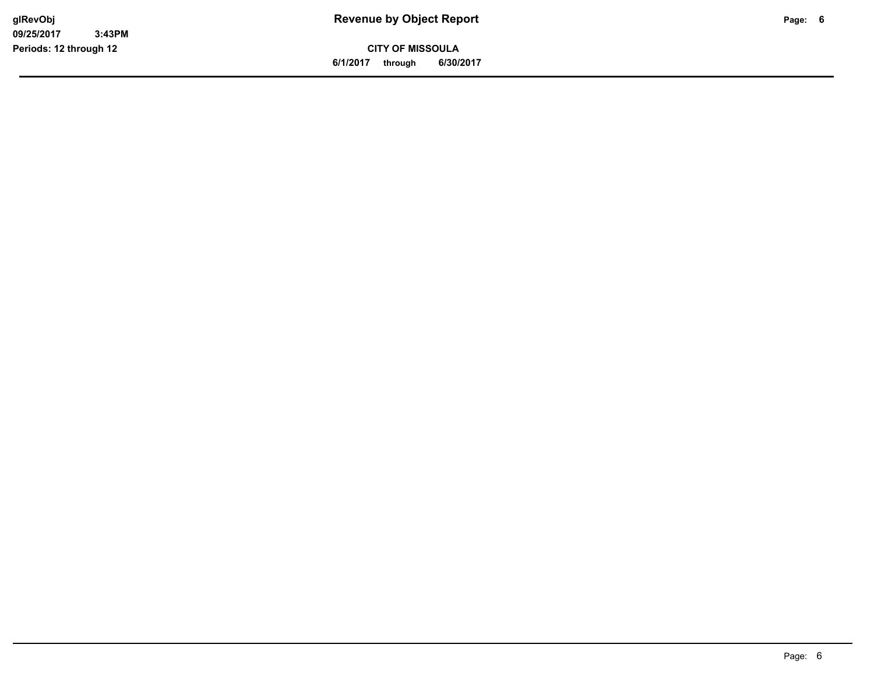**CITY OF MISSOULA 6/1/2017 through 6/30/2017**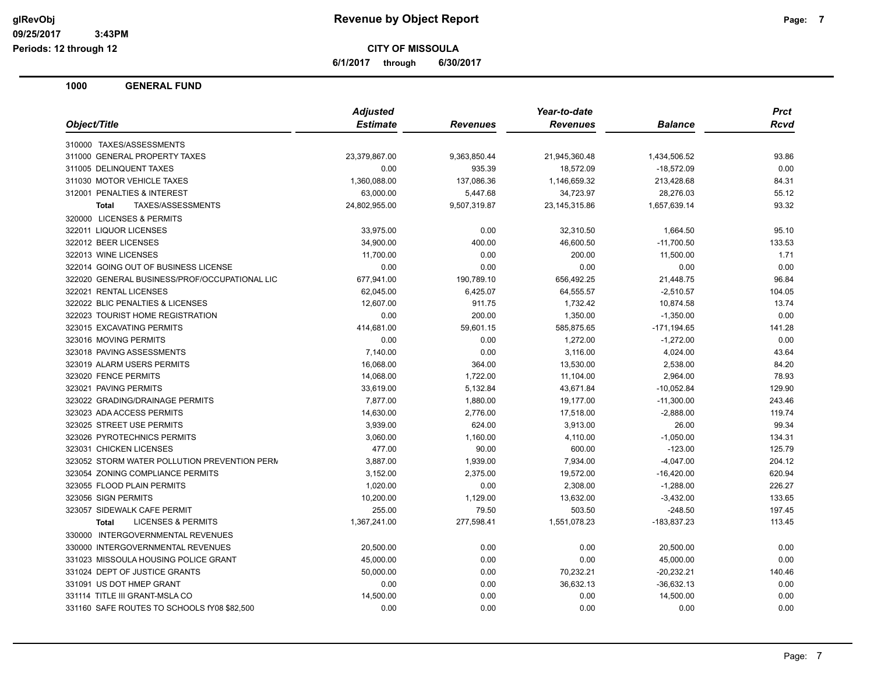**Periods: 12 through 12**

**CITY OF MISSOULA**

**6/1/2017 through 6/30/2017**

**1000 GENERAL FUND**

 **3:43PM**

|                                               | <b>Adjusted</b> |                 | Year-to-date    |                | <b>Prct</b> |
|-----------------------------------------------|-----------------|-----------------|-----------------|----------------|-------------|
| Object/Title                                  | <b>Estimate</b> | <b>Revenues</b> | <b>Revenues</b> | <b>Balance</b> | <b>Rcvd</b> |
| 310000 TAXES/ASSESSMENTS                      |                 |                 |                 |                |             |
| 311000 GENERAL PROPERTY TAXES                 | 23,379,867.00   | 9,363,850.44    | 21,945,360.48   | 1,434,506.52   | 93.86       |
| 311005 DELINQUENT TAXES                       | 0.00            | 935.39          | 18,572.09       | $-18,572.09$   | 0.00        |
| 311030 MOTOR VEHICLE TAXES                    | 1,360,088.00    | 137,086.36      | 1,146,659.32    | 213,428.68     | 84.31       |
| 312001 PENALTIES & INTEREST                   | 63,000.00       | 5,447.68        | 34,723.97       | 28,276.03      | 55.12       |
| TAXES/ASSESSMENTS<br><b>Total</b>             | 24,802,955.00   | 9,507,319.87    | 23, 145, 315.86 | 1,657,639.14   | 93.32       |
| 320000 LICENSES & PERMITS                     |                 |                 |                 |                |             |
| 322011 LIQUOR LICENSES                        | 33,975.00       | 0.00            | 32,310.50       | 1,664.50       | 95.10       |
| 322012 BEER LICENSES                          | 34,900.00       | 400.00          | 46,600.50       | $-11,700.50$   | 133.53      |
| 322013 WINE LICENSES                          | 11,700.00       | 0.00            | 200.00          | 11,500.00      | 1.71        |
| 322014 GOING OUT OF BUSINESS LICENSE          | 0.00            | 0.00            | 0.00            | 0.00           | 0.00        |
| 322020 GENERAL BUSINESS/PROF/OCCUPATIONAL LIC | 677,941.00      | 190,789.10      | 656,492.25      | 21,448.75      | 96.84       |
| 322021 RENTAL LICENSES                        | 62,045.00       | 6,425.07        | 64,555.57       | $-2,510.57$    | 104.05      |
| 322022 BLIC PENALTIES & LICENSES              | 12,607.00       | 911.75          | 1,732.42        | 10,874.58      | 13.74       |
| 322023 TOURIST HOME REGISTRATION              | 0.00            | 200.00          | 1,350.00        | $-1,350.00$    | 0.00        |
| 323015 EXCAVATING PERMITS                     | 414,681.00      | 59,601.15       | 585,875.65      | $-171, 194.65$ | 141.28      |
| 323016 MOVING PERMITS                         | 0.00            | 0.00            | 1,272.00        | $-1,272.00$    | 0.00        |
| 323018 PAVING ASSESSMENTS                     | 7,140.00        | 0.00            | 3,116.00        | 4,024.00       | 43.64       |
| 323019 ALARM USERS PERMITS                    | 16,068.00       | 364.00          | 13,530.00       | 2,538.00       | 84.20       |
| 323020 FENCE PERMITS                          | 14,068.00       | 1,722.00        | 11,104.00       | 2,964.00       | 78.93       |
| 323021 PAVING PERMITS                         | 33,619.00       | 5,132.84        | 43,671.84       | $-10,052.84$   | 129.90      |
| 323022 GRADING/DRAINAGE PERMITS               | 7,877.00        | 1,880.00        | 19,177.00       | $-11,300.00$   | 243.46      |
| 323023 ADA ACCESS PERMITS                     | 14,630.00       | 2,776.00        | 17,518.00       | $-2,888.00$    | 119.74      |
| 323025 STREET USE PERMITS                     | 3,939.00        | 624.00          | 3,913.00        | 26.00          | 99.34       |
| 323026 PYROTECHNICS PERMITS                   | 3,060.00        | 1,160.00        | 4,110.00        | $-1,050.00$    | 134.31      |
| 323031 CHICKEN LICENSES                       | 477.00          | 90.00           | 600.00          | $-123.00$      | 125.79      |
| 323052 STORM WATER POLLUTION PREVENTION PERM  | 3,887.00        | 1,939.00        | 7,934.00        | $-4,047.00$    | 204.12      |
| 323054 ZONING COMPLIANCE PERMITS              | 3,152.00        | 2,375.00        | 19,572.00       | $-16,420.00$   | 620.94      |
| 323055 FLOOD PLAIN PERMITS                    | 1,020.00        | 0.00            | 2,308.00        | $-1,288.00$    | 226.27      |
| 323056 SIGN PERMITS                           | 10,200.00       | 1,129.00        | 13,632.00       | -3,432.00      | 133.65      |
| 323057 SIDEWALK CAFE PERMIT                   | 255.00          | 79.50           | 503.50          | $-248.50$      | 197.45      |
| <b>LICENSES &amp; PERMITS</b><br>Total        | 1,367,241.00    | 277,598.41      | 1,551,078.23    | $-183,837.23$  | 113.45      |
| 330000 INTERGOVERNMENTAL REVENUES             |                 |                 |                 |                |             |
| 330000 INTERGOVERNMENTAL REVENUES             | 20,500.00       | 0.00            | 0.00            | 20,500.00      | 0.00        |
| 331023 MISSOULA HOUSING POLICE GRANT          | 45,000.00       | 0.00            | 0.00            | 45,000.00      | 0.00        |
| 331024 DEPT OF JUSTICE GRANTS                 | 50,000.00       | 0.00            | 70,232.21       | $-20,232.21$   | 140.46      |
| 331091 US DOT HMEP GRANT                      | 0.00            | 0.00            | 36,632.13       | $-36,632.13$   | 0.00        |
| 331114 TITLE III GRANT-MSLA CO                | 14,500.00       | 0.00            | 0.00            | 14,500.00      | 0.00        |
| 331160 SAFE ROUTES TO SCHOOLS fY08 \$82,500   | 0.00            | 0.00            | 0.00            | 0.00           | 0.00        |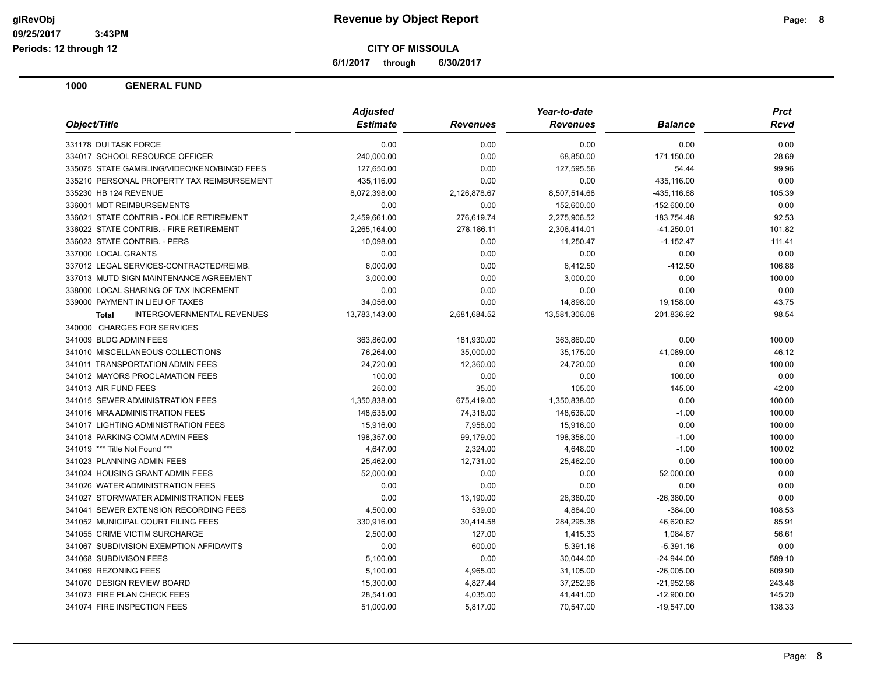**Periods: 12 through 12**

**CITY OF MISSOULA**

**6/1/2017 through 6/30/2017**

|                                                   | <b>Adjusted</b> |                 | Year-to-date    | <b>Prct</b>                                                                                                                                                                                                                                                                                                                                                                                                                                                                                |        |
|---------------------------------------------------|-----------------|-----------------|-----------------|--------------------------------------------------------------------------------------------------------------------------------------------------------------------------------------------------------------------------------------------------------------------------------------------------------------------------------------------------------------------------------------------------------------------------------------------------------------------------------------------|--------|
| Object/Title                                      | <b>Estimate</b> | <b>Revenues</b> | <b>Revenues</b> | <b>Balance</b><br>0.00<br>171,150.00<br>54.44<br>435,116.00<br>-435,116.68<br>$-152,600.00$<br>183,754.48<br>$-41,250.01$<br>$-1,152.47$<br>0.00<br>$-412.50$<br>0.00<br>0.00<br>19,158.00<br>201,836.92<br>0.00<br>41,089.00<br>0.00<br>100.00<br>145.00<br>0.00<br>$-1.00$<br>0.00<br>$-1.00$<br>$-1.00$<br>0.00<br>52,000.00<br>0.00<br>$-26,380.00$<br>-384.00<br>46,620.62<br>1,084.67<br>$-5,391.16$<br>$-24,944.00$<br>$-26,005.00$<br>$-21,952.98$<br>$-12,900.00$<br>$-19,547.00$ | Rcvd   |
| 331178 DUI TASK FORCE                             | 0.00            | 0.00            | 0.00            |                                                                                                                                                                                                                                                                                                                                                                                                                                                                                            | 0.00   |
| 334017 SCHOOL RESOURCE OFFICER                    | 240,000.00      | 0.00            | 68,850.00       |                                                                                                                                                                                                                                                                                                                                                                                                                                                                                            | 28.69  |
| 335075 STATE GAMBLING/VIDEO/KENO/BINGO FEES       | 127,650.00      | 0.00            | 127,595.56      |                                                                                                                                                                                                                                                                                                                                                                                                                                                                                            | 99.96  |
| 335210 PERSONAL PROPERTY TAX REIMBURSEMENT        | 435,116.00      | 0.00            | 0.00            |                                                                                                                                                                                                                                                                                                                                                                                                                                                                                            | 0.00   |
| 335230 HB 124 REVENUE                             | 8,072,398.00    | 2,126,878.67    | 8,507,514.68    |                                                                                                                                                                                                                                                                                                                                                                                                                                                                                            | 105.39 |
| 336001 MDT REIMBURSEMENTS                         | 0.00            | 0.00            | 152,600.00      |                                                                                                                                                                                                                                                                                                                                                                                                                                                                                            | 0.00   |
| 336021 STATE CONTRIB - POLICE RETIREMENT          | 2,459,661.00    | 276,619.74      | 2,275,906.52    |                                                                                                                                                                                                                                                                                                                                                                                                                                                                                            | 92.53  |
| 336022 STATE CONTRIB. - FIRE RETIREMENT           | 2,265,164.00    | 278,186.11      | 2,306,414.01    |                                                                                                                                                                                                                                                                                                                                                                                                                                                                                            | 101.82 |
| 336023 STATE CONTRIB. - PERS                      | 10,098.00       | 0.00            | 11,250.47       |                                                                                                                                                                                                                                                                                                                                                                                                                                                                                            | 111.41 |
| 337000 LOCAL GRANTS                               | 0.00            | 0.00            | 0.00            |                                                                                                                                                                                                                                                                                                                                                                                                                                                                                            | 0.00   |
| 337012 LEGAL SERVICES-CONTRACTED/REIMB.           | 6,000.00        | 0.00            | 6,412.50        |                                                                                                                                                                                                                                                                                                                                                                                                                                                                                            | 106.88 |
| 337013 MUTD SIGN MAINTENANCE AGREEMENT            | 3,000.00        | 0.00            | 3,000.00        |                                                                                                                                                                                                                                                                                                                                                                                                                                                                                            | 100.00 |
| 338000 LOCAL SHARING OF TAX INCREMENT             | 0.00            | 0.00            | 0.00            |                                                                                                                                                                                                                                                                                                                                                                                                                                                                                            | 0.00   |
| 339000 PAYMENT IN LIEU OF TAXES                   | 34,056.00       | 0.00            | 14,898.00       |                                                                                                                                                                                                                                                                                                                                                                                                                                                                                            | 43.75  |
| <b>INTERGOVERNMENTAL REVENUES</b><br><b>Total</b> | 13,783,143.00   | 2,681,684.52    | 13,581,306.08   |                                                                                                                                                                                                                                                                                                                                                                                                                                                                                            | 98.54  |
| 340000 CHARGES FOR SERVICES                       |                 |                 |                 |                                                                                                                                                                                                                                                                                                                                                                                                                                                                                            |        |
| 341009 BLDG ADMIN FEES                            | 363,860.00      | 181,930.00      | 363,860.00      |                                                                                                                                                                                                                                                                                                                                                                                                                                                                                            | 100.00 |
| 341010 MISCELLANEOUS COLLECTIONS                  | 76,264.00       | 35,000.00       | 35,175.00       |                                                                                                                                                                                                                                                                                                                                                                                                                                                                                            | 46.12  |
| 341011 TRANSPORTATION ADMIN FEES                  | 24,720.00       | 12,360.00       | 24,720.00       |                                                                                                                                                                                                                                                                                                                                                                                                                                                                                            | 100.00 |
| 341012 MAYORS PROCLAMATION FEES                   | 100.00          | 0.00            | 0.00            |                                                                                                                                                                                                                                                                                                                                                                                                                                                                                            | 0.00   |
| 341013 AIR FUND FEES                              | 250.00          | 35.00           | 105.00          |                                                                                                                                                                                                                                                                                                                                                                                                                                                                                            | 42.00  |
| 341015 SEWER ADMINISTRATION FEES                  | 1,350,838.00    | 675,419.00      | 1,350,838.00    |                                                                                                                                                                                                                                                                                                                                                                                                                                                                                            | 100.00 |
| 341016 MRA ADMINISTRATION FEES                    | 148,635.00      | 74,318.00       | 148,636.00      |                                                                                                                                                                                                                                                                                                                                                                                                                                                                                            | 100.00 |
| 341017 LIGHTING ADMINISTRATION FEES               | 15,916.00       | 7,958.00        | 15,916.00       |                                                                                                                                                                                                                                                                                                                                                                                                                                                                                            | 100.00 |
| 341018 PARKING COMM ADMIN FEES                    | 198,357.00      | 99,179.00       | 198,358.00      |                                                                                                                                                                                                                                                                                                                                                                                                                                                                                            | 100.00 |
| 341019 *** Title Not Found ***                    | 4,647.00        | 2,324.00        | 4,648.00        |                                                                                                                                                                                                                                                                                                                                                                                                                                                                                            | 100.02 |
| 341023 PLANNING ADMIN FEES                        | 25,462.00       | 12,731.00       | 25,462.00       |                                                                                                                                                                                                                                                                                                                                                                                                                                                                                            | 100.00 |
| 341024 HOUSING GRANT ADMIN FEES                   | 52,000.00       | 0.00            | 0.00            |                                                                                                                                                                                                                                                                                                                                                                                                                                                                                            | 0.00   |
| 341026 WATER ADMINISTRATION FEES                  | 0.00            | 0.00            | 0.00            |                                                                                                                                                                                                                                                                                                                                                                                                                                                                                            | 0.00   |
| 341027 STORMWATER ADMINISTRATION FEES             | 0.00            | 13,190.00       | 26,380.00       |                                                                                                                                                                                                                                                                                                                                                                                                                                                                                            | 0.00   |
| 341041 SEWER EXTENSION RECORDING FEES             | 4,500.00        | 539.00          | 4,884.00        |                                                                                                                                                                                                                                                                                                                                                                                                                                                                                            | 108.53 |
| 341052 MUNICIPAL COURT FILING FEES                | 330,916.00      | 30,414.58       | 284,295.38      |                                                                                                                                                                                                                                                                                                                                                                                                                                                                                            | 85.91  |
| 341055 CRIME VICTIM SURCHARGE                     | 2,500.00        | 127.00          | 1,415.33        |                                                                                                                                                                                                                                                                                                                                                                                                                                                                                            | 56.61  |
| 341067 SUBDIVISION EXEMPTION AFFIDAVITS           | 0.00            | 600.00          | 5,391.16        |                                                                                                                                                                                                                                                                                                                                                                                                                                                                                            | 0.00   |
| 341068 SUBDIVISON FEES                            | 5,100.00        | 0.00            | 30,044.00       |                                                                                                                                                                                                                                                                                                                                                                                                                                                                                            | 589.10 |
| 341069 REZONING FEES                              | 5,100.00        | 4,965.00        | 31,105.00       |                                                                                                                                                                                                                                                                                                                                                                                                                                                                                            | 609.90 |
| 341070 DESIGN REVIEW BOARD                        | 15,300.00       | 4,827.44        | 37,252.98       |                                                                                                                                                                                                                                                                                                                                                                                                                                                                                            | 243.48 |
| 341073 FIRE PLAN CHECK FEES                       | 28,541.00       | 4,035.00        | 41,441.00       |                                                                                                                                                                                                                                                                                                                                                                                                                                                                                            | 145.20 |
| 341074 FIRE INSPECTION FEES                       | 51,000.00       | 5,817.00        | 70,547.00       |                                                                                                                                                                                                                                                                                                                                                                                                                                                                                            | 138.33 |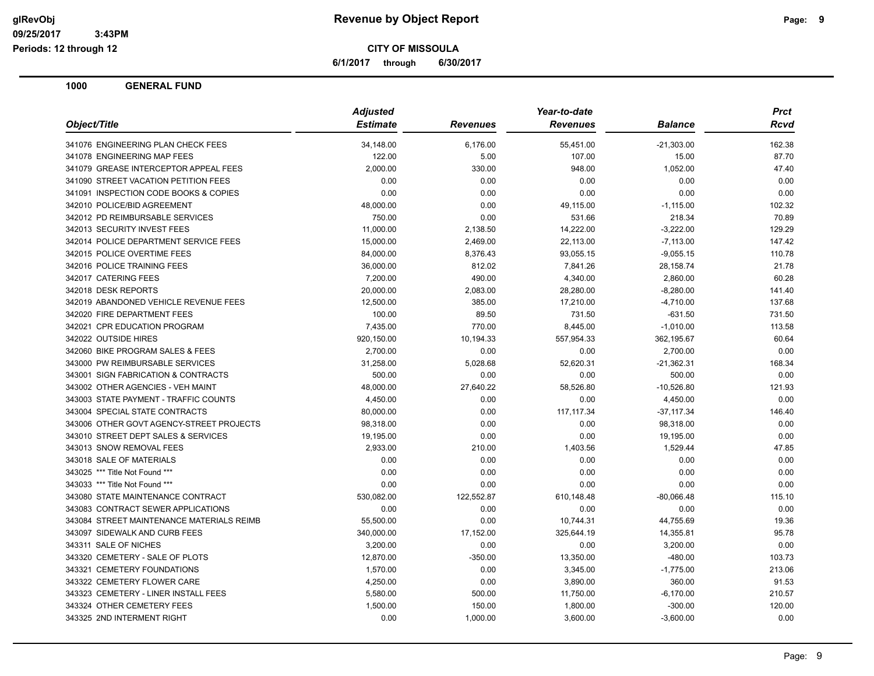**6/1/2017 through 6/30/2017**

|                                           | <b>Adjusted</b> |                 | Year-to-date    |                | <b>Prct</b> |
|-------------------------------------------|-----------------|-----------------|-----------------|----------------|-------------|
| Object/Title                              | <b>Estimate</b> | <b>Revenues</b> | <b>Revenues</b> | <b>Balance</b> | <b>Rcvd</b> |
| 341076 ENGINEERING PLAN CHECK FEES        | 34,148.00       | 6,176.00        | 55,451.00       | $-21,303.00$   | 162.38      |
| 341078 ENGINEERING MAP FEES               | 122.00          | 5.00            | 107.00          | 15.00          | 87.70       |
| 341079 GREASE INTERCEPTOR APPEAL FEES     | 2,000.00        | 330.00          | 948.00          | 1,052.00       | 47.40       |
| 341090 STREET VACATION PETITION FEES      | 0.00            | 0.00            | 0.00            | 0.00           | 0.00        |
| 341091 INSPECTION CODE BOOKS & COPIES     | 0.00            | 0.00            | 0.00            | 0.00           | 0.00        |
| 342010 POLICE/BID AGREEMENT               | 48,000.00       | 0.00            | 49,115.00       | $-1,115.00$    | 102.32      |
| 342012 PD REIMBURSABLE SERVICES           | 750.00          | 0.00            | 531.66          | 218.34         | 70.89       |
| 342013 SECURITY INVEST FEES               | 11,000.00       | 2,138.50        | 14,222.00       | $-3,222.00$    | 129.29      |
| 342014 POLICE DEPARTMENT SERVICE FEES     | 15,000.00       | 2,469.00        | 22,113.00       | $-7,113.00$    | 147.42      |
| 342015 POLICE OVERTIME FEES               | 84,000.00       | 8,376.43        | 93,055.15       | $-9,055.15$    | 110.78      |
| 342016 POLICE TRAINING FEES               | 36,000.00       | 812.02          | 7,841.26        | 28,158.74      | 21.78       |
| 342017 CATERING FEES                      | 7,200.00        | 490.00          | 4,340.00        | 2,860.00       | 60.28       |
| 342018 DESK REPORTS                       | 20,000.00       | 2,083.00        | 28,280.00       | $-8,280.00$    | 141.40      |
| 342019 ABANDONED VEHICLE REVENUE FEES     | 12,500.00       | 385.00          | 17,210.00       | $-4,710.00$    | 137.68      |
| 342020 FIRE DEPARTMENT FEES               | 100.00          | 89.50           | 731.50          | $-631.50$      | 731.50      |
| 342021 CPR EDUCATION PROGRAM              | 7,435.00        | 770.00          | 8,445.00        | $-1,010.00$    | 113.58      |
| 342022 OUTSIDE HIRES                      | 920,150.00      | 10,194.33       | 557,954.33      | 362,195.67     | 60.64       |
| 342060 BIKE PROGRAM SALES & FEES          | 2,700.00        | 0.00            | 0.00            | 2,700.00       | 0.00        |
| 343000 PW REIMBURSABLE SERVICES           | 31,258.00       | 5,028.68        | 52,620.31       | $-21,362.31$   | 168.34      |
| 343001 SIGN FABRICATION & CONTRACTS       | 500.00          | 0.00            | 0.00            | 500.00         | 0.00        |
| 343002 OTHER AGENCIES - VEH MAINT         | 48,000.00       | 27,640.22       | 58,526.80       | $-10,526.80$   | 121.93      |
| 343003 STATE PAYMENT - TRAFFIC COUNTS     | 4,450.00        | 0.00            | 0.00            | 4,450.00       | 0.00        |
| 343004 SPECIAL STATE CONTRACTS            | 80,000.00       | 0.00            | 117, 117.34     | $-37,117.34$   | 146.40      |
| 343006 OTHER GOVT AGENCY-STREET PROJECTS  | 98,318.00       | 0.00            | 0.00            | 98,318.00      | 0.00        |
| 343010 STREET DEPT SALES & SERVICES       | 19,195.00       | 0.00            | 0.00            | 19,195.00      | 0.00        |
| 343013 SNOW REMOVAL FEES                  | 2,933.00        | 210.00          | 1,403.56        | 1,529.44       | 47.85       |
| 343018 SALE OF MATERIALS                  | 0.00            | 0.00            | 0.00            | 0.00           | 0.00        |
| 343025 *** Title Not Found ***            | 0.00            | 0.00            | 0.00            | 0.00           | 0.00        |
| 343033 *** Title Not Found ***            | 0.00            | 0.00            | 0.00            | 0.00           | 0.00        |
| 343080 STATE MAINTENANCE CONTRACT         | 530,082.00      | 122,552.87      | 610,148.48      | $-80,066.48$   | 115.10      |
| 343083 CONTRACT SEWER APPLICATIONS        | 0.00            | 0.00            | 0.00            | 0.00           | 0.00        |
| 343084 STREET MAINTENANCE MATERIALS REIMB | 55,500.00       | 0.00            | 10,744.31       | 44,755.69      | 19.36       |
| 343097 SIDEWALK AND CURB FEES             | 340,000.00      | 17,152.00       | 325,644.19      | 14,355.81      | 95.78       |
| 343311 SALE OF NICHES                     | 3,200.00        | 0.00            | 0.00            | 3,200.00       | 0.00        |
| 343320 CEMETERY - SALE OF PLOTS           | 12,870.00       | $-350.00$       | 13,350.00       | $-480.00$      | 103.73      |
| 343321 CEMETERY FOUNDATIONS               | 1,570.00        | 0.00            | 3,345.00        | $-1,775.00$    | 213.06      |
| 343322 CEMETERY FLOWER CARE               | 4,250.00        | 0.00            | 3,890.00        | 360.00         | 91.53       |
| 343323 CEMETERY - LINER INSTALL FEES      | 5,580.00        | 500.00          | 11,750.00       | $-6,170.00$    | 210.57      |
| 343324 OTHER CEMETERY FEES                | 1,500.00        | 150.00          | 1,800.00        | $-300.00$      | 120.00      |
| 343325 2ND INTERMENT RIGHT                | 0.00            | 1,000.00        | 3,600.00        | $-3,600.00$    | 0.00        |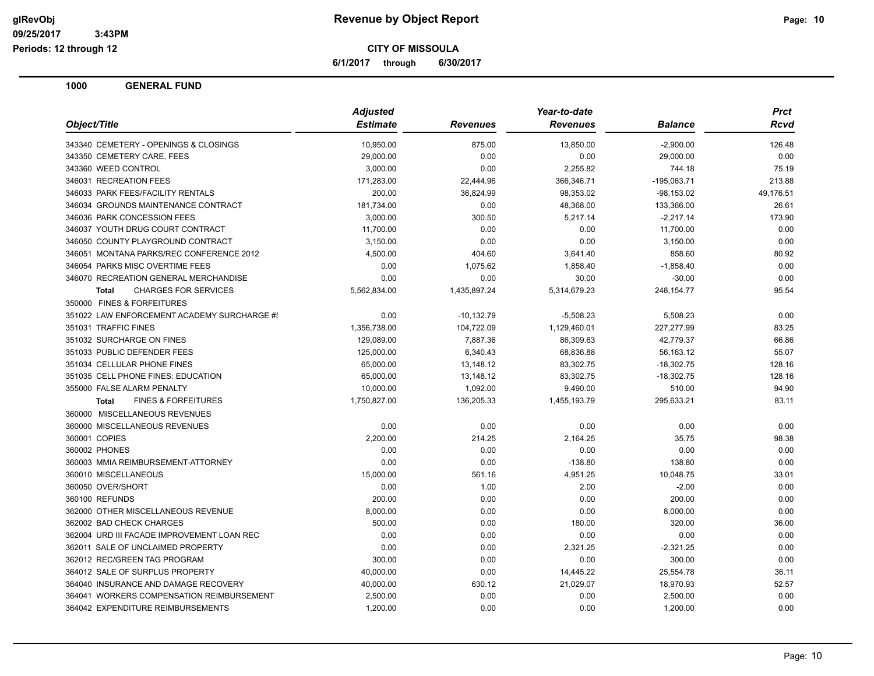**6/1/2017 through 6/30/2017**

|                                                | <b>Adjusted</b> |                 | Year-to-date    |               | <b>Prct</b> |
|------------------------------------------------|-----------------|-----------------|-----------------|---------------|-------------|
| Object/Title                                   | <b>Estimate</b> | <b>Revenues</b> | <b>Revenues</b> | Balance       | Rcvd        |
| 343340 CEMETERY - OPENINGS & CLOSINGS          | 10,950.00       | 875.00          | 13,850.00       | $-2,900.00$   | 126.48      |
| 343350 CEMETERY CARE, FEES                     | 29,000.00       | 0.00            | 0.00            | 29,000.00     | 0.00        |
| 343360 WEED CONTROL                            | 3,000.00        | 0.00            | 2,255.82        | 744.18        | 75.19       |
| 346031 RECREATION FEES                         | 171,283.00      | 22,444.96       | 366,346.71      | $-195,063.71$ | 213.88      |
| 346033 PARK FEES/FACILITY RENTALS              | 200.00          | 36,824.99       | 98,353.02       | $-98,153.02$  | 49,176.51   |
| 346034 GROUNDS MAINTENANCE CONTRACT            | 181,734.00      | 0.00            | 48,368.00       | 133,366.00    | 26.61       |
| 346036 PARK CONCESSION FEES                    | 3,000.00        | 300.50          | 5,217.14        | $-2,217.14$   | 173.90      |
| 346037 YOUTH DRUG COURT CONTRACT               | 11,700.00       | 0.00            | 0.00            | 11,700.00     | 0.00        |
| 346050 COUNTY PLAYGROUND CONTRACT              | 3,150.00        | 0.00            | 0.00            | 3,150.00      | 0.00        |
| 346051 MONTANA PARKS/REC CONFERENCE 2012       | 4,500.00        | 404.60          | 3,641.40        | 858.60        | 80.92       |
| 346054 PARKS MISC OVERTIME FEES                | 0.00            | 1,075.62        | 1,858.40        | $-1,858.40$   | 0.00        |
| 346070 RECREATION GENERAL MERCHANDISE          | 0.00            | 0.00            | 30.00           | $-30.00$      | 0.00        |
| <b>CHARGES FOR SERVICES</b><br><b>Total</b>    | 5,562,834.00    | 1,435,897.24    | 5,314,679.23    | 248, 154. 77  | 95.54       |
| 350000 FINES & FORFEITURES                     |                 |                 |                 |               |             |
| 351022 LAW ENFORCEMENT ACADEMY SURCHARGE #     | 0.00            | $-10, 132.79$   | $-5,508.23$     | 5,508.23      | 0.00        |
| 351031 TRAFFIC FINES                           | 1,356,738.00    | 104,722.09      | 1,129,460.01    | 227, 277.99   | 83.25       |
| 351032 SURCHARGE ON FINES                      | 129,089.00      | 7,887.36        | 86,309.63       | 42,779.37     | 66.86       |
| 351033 PUBLIC DEFENDER FEES                    | 125,000.00      | 6,340.43        | 68,836.88       | 56,163.12     | 55.07       |
| 351034 CELLULAR PHONE FINES                    | 65,000.00       | 13,148.12       | 83,302.75       | $-18,302.75$  | 128.16      |
| 351035 CELL PHONE FINES: EDUCATION             | 65,000.00       | 13,148.12       | 83,302.75       | $-18,302.75$  | 128.16      |
| 355000 FALSE ALARM PENALTY                     | 10,000.00       | 1,092.00        | 9,490.00        | 510.00        | 94.90       |
| <b>FINES &amp; FORFEITURES</b><br><b>Total</b> | 1,750,827.00    | 136,205.33      | 1,455,193.79    | 295,633.21    | 83.11       |
| 360000 MISCELLANEOUS REVENUES                  |                 |                 |                 |               |             |
| 360000 MISCELLANEOUS REVENUES                  | 0.00            | 0.00            | 0.00            | 0.00          | 0.00        |
| 360001 COPIES                                  | 2,200.00        | 214.25          | 2,164.25        | 35.75         | 98.38       |
| 360002 PHONES                                  | 0.00            | 0.00            | 0.00            | 0.00          | 0.00        |
| 360003 MMIA REIMBURSEMENT-ATTORNEY             | 0.00            | 0.00            | $-138.80$       | 138.80        | 0.00        |
| 360010 MISCELLANEOUS                           | 15,000.00       | 561.16          | 4,951.25        | 10,048.75     | 33.01       |
| 360050 OVER/SHORT                              | 0.00            | 1.00            | 2.00            | $-2.00$       | 0.00        |
| 360100 REFUNDS                                 | 200.00          | 0.00            | 0.00            | 200.00        | 0.00        |
| 362000 OTHER MISCELLANEOUS REVENUE             | 8,000.00        | 0.00            | 0.00            | 8,000.00      | 0.00        |
| 362002 BAD CHECK CHARGES                       | 500.00          | 0.00            | 180.00          | 320.00        | 36.00       |
| 362004 URD III FACADE IMPROVEMENT LOAN REC     | 0.00            | 0.00            | 0.00            | 0.00          | 0.00        |
| 362011 SALE OF UNCLAIMED PROPERTY              | 0.00            | 0.00            | 2,321.25        | $-2,321.25$   | 0.00        |
| 362012 REC/GREEN TAG PROGRAM                   | 300.00          | 0.00            | 0.00            | 300.00        | 0.00        |
| 364012 SALE OF SURPLUS PROPERTY                | 40,000.00       | 0.00            | 14,445.22       | 25,554.78     | 36.11       |
| 364040 INSURANCE AND DAMAGE RECOVERY           | 40,000.00       | 630.12          | 21,029.07       | 18,970.93     | 52.57       |
| 364041 WORKERS COMPENSATION REIMBURSEMENT      | 2,500.00        | 0.00            | 0.00            | 2,500.00      | 0.00        |
| 364042 EXPENDITURE REIMBURSEMENTS              | 1,200.00        | 0.00            | 0.00            | 1,200.00      | 0.00        |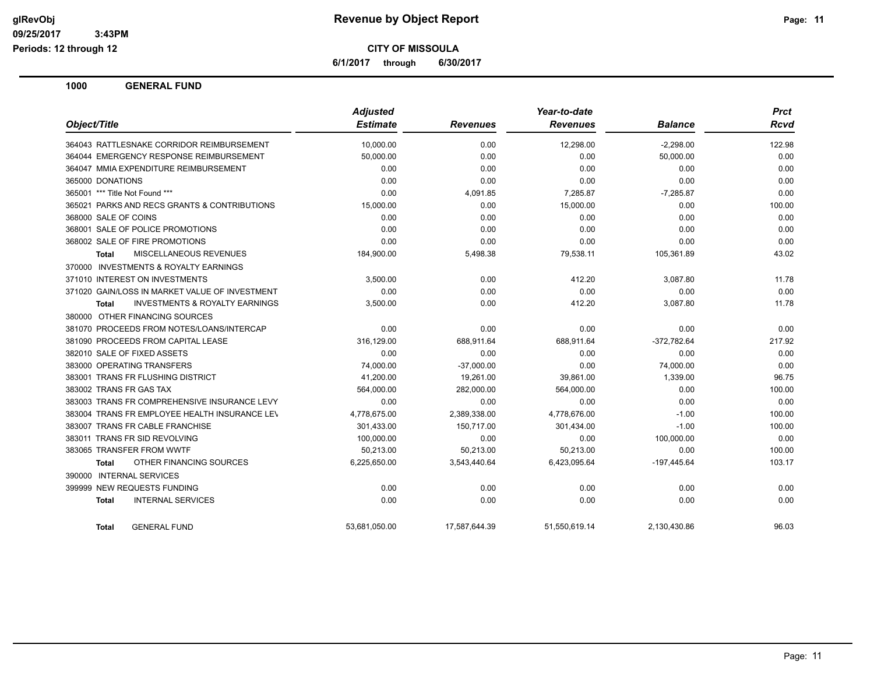**6/1/2017 through 6/30/2017**

|                                                    | <b>Adjusted</b> |                 | Year-to-date    |                | <b>Prct</b> |
|----------------------------------------------------|-----------------|-----------------|-----------------|----------------|-------------|
| Object/Title                                       | <b>Estimate</b> | <b>Revenues</b> | <b>Revenues</b> | <b>Balance</b> | <b>Rcvd</b> |
| 364043 RATTLESNAKE CORRIDOR REIMBURSEMENT          | 10,000.00       | 0.00            | 12,298.00       | $-2,298.00$    | 122.98      |
| 364044 EMERGENCY RESPONSE REIMBURSEMENT            | 50,000.00       | 0.00            | 0.00            | 50,000.00      | 0.00        |
| 364047 MMIA EXPENDITURE REIMBURSEMENT              | 0.00            | 0.00            | 0.00            | 0.00           | 0.00        |
| 365000 DONATIONS                                   | 0.00            | 0.00            | 0.00            | 0.00           | 0.00        |
| 365001 *** Title Not Found ***                     | 0.00            | 4,091.85        | 7,285.87        | $-7,285.87$    | 0.00        |
| 365021 PARKS AND RECS GRANTS & CONTRIBUTIONS       | 15,000.00       | 0.00            | 15,000.00       | 0.00           | 100.00      |
| 368000 SALE OF COINS                               | 0.00            | 0.00            | 0.00            | 0.00           | 0.00        |
| 368001 SALE OF POLICE PROMOTIONS                   | 0.00            | 0.00            | 0.00            | 0.00           | 0.00        |
| 368002 SALE OF FIRE PROMOTIONS                     | 0.00            | 0.00            | 0.00            | 0.00           | 0.00        |
| MISCELLANEOUS REVENUES<br>Total                    | 184,900.00      | 5,498.38        | 79,538.11       | 105,361.89     | 43.02       |
| 370000 INVESTMENTS & ROYALTY EARNINGS              |                 |                 |                 |                |             |
| 371010 INTEREST ON INVESTMENTS                     | 3,500.00        | 0.00            | 412.20          | 3,087.80       | 11.78       |
| 371020 GAIN/LOSS IN MARKET VALUE OF INVESTMENT     | 0.00            | 0.00            | 0.00            | 0.00           | 0.00        |
| <b>INVESTMENTS &amp; ROYALTY EARNINGS</b><br>Total | 3,500.00        | 0.00            | 412.20          | 3,087.80       | 11.78       |
| 380000 OTHER FINANCING SOURCES                     |                 |                 |                 |                |             |
| 381070 PROCEEDS FROM NOTES/LOANS/INTERCAP          | 0.00            | 0.00            | 0.00            | 0.00           | 0.00        |
| 381090 PROCEEDS FROM CAPITAL LEASE                 | 316.129.00      | 688,911.64      | 688,911.64      | $-372,782.64$  | 217.92      |
| 382010 SALE OF FIXED ASSETS                        | 0.00            | 0.00            | 0.00            | 0.00           | 0.00        |
| 383000 OPERATING TRANSFERS                         | 74,000.00       | $-37,000.00$    | 0.00            | 74,000.00      | 0.00        |
| 383001 TRANS FR FLUSHING DISTRICT                  | 41,200.00       | 19,261.00       | 39,861.00       | 1,339.00       | 96.75       |
| 383002 TRANS FR GAS TAX                            | 564,000.00      | 282,000.00      | 564,000.00      | 0.00           | 100.00      |
| 383003 TRANS FR COMPREHENSIVE INSURANCE LEVY       | 0.00            | 0.00            | 0.00            | 0.00           | 0.00        |
| 383004 TRANS FR EMPLOYEE HEALTH INSURANCE LEV      | 4,778,675.00    | 2,389,338.00    | 4,778,676.00    | $-1.00$        | 100.00      |
| 383007 TRANS FR CABLE FRANCHISE                    | 301,433.00      | 150,717.00      | 301,434.00      | $-1.00$        | 100.00      |
| 383011 TRANS FR SID REVOLVING                      | 100,000.00      | 0.00            | 0.00            | 100,000.00     | 0.00        |
| 383065 TRANSFER FROM WWTF                          | 50,213.00       | 50,213.00       | 50,213.00       | 0.00           | 100.00      |
| OTHER FINANCING SOURCES<br>Total                   | 6,225,650.00    | 3,543,440.64    | 6,423,095.64    | $-197,445.64$  | 103.17      |
| 390000 INTERNAL SERVICES                           |                 |                 |                 |                |             |
| 399999 NEW REQUESTS FUNDING                        | 0.00            | 0.00            | 0.00            | 0.00           | 0.00        |
| <b>INTERNAL SERVICES</b><br>Total                  | 0.00            | 0.00            | 0.00            | 0.00           | 0.00        |
| <b>GENERAL FUND</b><br><b>Total</b>                | 53,681,050.00   | 17,587,644.39   | 51,550,619.14   | 2,130,430.86   | 96.03       |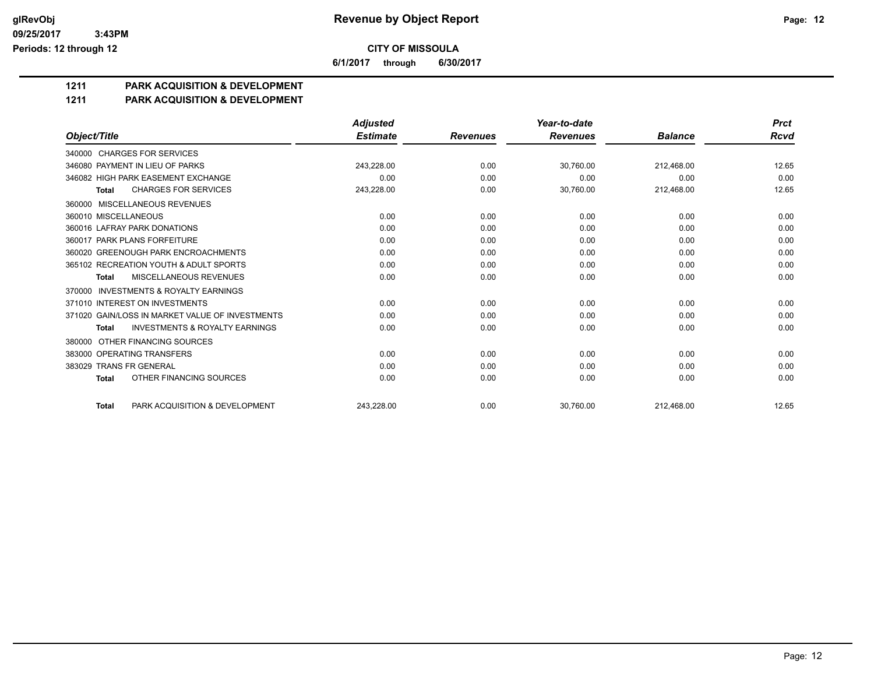**6/1/2017 through 6/30/2017**

## **1211 PARK ACQUISITION & DEVELOPMENT**

#### **1211 PARK ACQUISITION & DEVELOPMENT**

|                                                           | <b>Adjusted</b> |                 | Year-to-date    |                | <b>Prct</b> |
|-----------------------------------------------------------|-----------------|-----------------|-----------------|----------------|-------------|
| Object/Title                                              | <b>Estimate</b> | <b>Revenues</b> | <b>Revenues</b> | <b>Balance</b> | <b>Rcvd</b> |
| 340000 CHARGES FOR SERVICES                               |                 |                 |                 |                |             |
| 346080 PAYMENT IN LIEU OF PARKS                           | 243,228.00      | 0.00            | 30,760.00       | 212,468.00     | 12.65       |
| 346082 HIGH PARK EASEMENT EXCHANGE                        | 0.00            | 0.00            | 0.00            | 0.00           | 0.00        |
| <b>CHARGES FOR SERVICES</b><br>Total                      | 243,228.00      | 0.00            | 30,760.00       | 212,468.00     | 12.65       |
| 360000 MISCELLANEOUS REVENUES                             |                 |                 |                 |                |             |
| 360010 MISCELLANEOUS                                      | 0.00            | 0.00            | 0.00            | 0.00           | 0.00        |
| 360016 LAFRAY PARK DONATIONS                              | 0.00            | 0.00            | 0.00            | 0.00           | 0.00        |
| 360017 PARK PLANS FORFEITURE                              | 0.00            | 0.00            | 0.00            | 0.00           | 0.00        |
| 360020 GREENOUGH PARK ENCROACHMENTS                       | 0.00            | 0.00            | 0.00            | 0.00           | 0.00        |
| 365102 RECREATION YOUTH & ADULT SPORTS                    | 0.00            | 0.00            | 0.00            | 0.00           | 0.00        |
| MISCELLANEOUS REVENUES<br><b>Total</b>                    | 0.00            | 0.00            | 0.00            | 0.00           | 0.00        |
| <b>INVESTMENTS &amp; ROYALTY EARNINGS</b><br>370000       |                 |                 |                 |                |             |
| 371010 INTEREST ON INVESTMENTS                            | 0.00            | 0.00            | 0.00            | 0.00           | 0.00        |
| 371020 GAIN/LOSS IN MARKET VALUE OF INVESTMENTS           | 0.00            | 0.00            | 0.00            | 0.00           | 0.00        |
| <b>INVESTMENTS &amp; ROYALTY EARNINGS</b><br><b>Total</b> | 0.00            | 0.00            | 0.00            | 0.00           | 0.00        |
| OTHER FINANCING SOURCES<br>380000                         |                 |                 |                 |                |             |
| 383000 OPERATING TRANSFERS                                | 0.00            | 0.00            | 0.00            | 0.00           | 0.00        |
| 383029 TRANS FR GENERAL                                   | 0.00            | 0.00            | 0.00            | 0.00           | 0.00        |
| OTHER FINANCING SOURCES<br><b>Total</b>                   | 0.00            | 0.00            | 0.00            | 0.00           | 0.00        |
| PARK ACQUISITION & DEVELOPMENT<br>Total                   | 243,228.00      | 0.00            | 30,760.00       | 212,468.00     | 12.65       |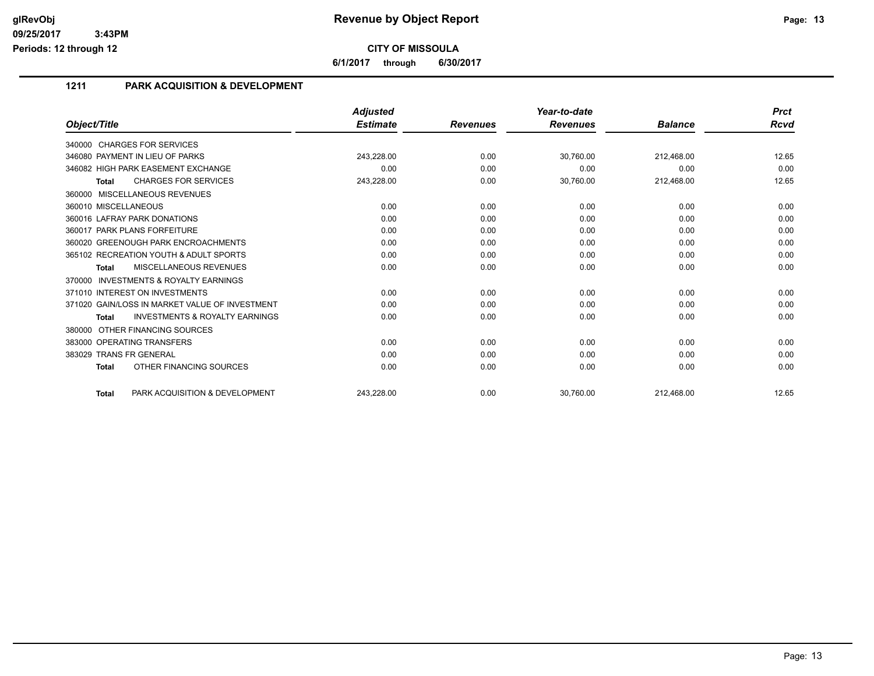**6/1/2017 through 6/30/2017**

#### **1211 PARK ACQUISITION & DEVELOPMENT**

|                                                           | <b>Adjusted</b> |                 | Year-to-date    |                | <b>Prct</b> |
|-----------------------------------------------------------|-----------------|-----------------|-----------------|----------------|-------------|
| Object/Title                                              | <b>Estimate</b> | <b>Revenues</b> | <b>Revenues</b> | <b>Balance</b> | Rcvd        |
| 340000 CHARGES FOR SERVICES                               |                 |                 |                 |                |             |
| 346080 PAYMENT IN LIEU OF PARKS                           | 243,228.00      | 0.00            | 30,760.00       | 212,468.00     | 12.65       |
| 346082 HIGH PARK EASEMENT EXCHANGE                        | 0.00            | 0.00            | 0.00            | 0.00           | 0.00        |
| <b>CHARGES FOR SERVICES</b><br><b>Total</b>               | 243,228.00      | 0.00            | 30,760.00       | 212,468.00     | 12.65       |
| 360000 MISCELLANEOUS REVENUES                             |                 |                 |                 |                |             |
| 360010 MISCELLANEOUS                                      | 0.00            | 0.00            | 0.00            | 0.00           | 0.00        |
| 360016 LAFRAY PARK DONATIONS                              | 0.00            | 0.00            | 0.00            | 0.00           | 0.00        |
| 360017 PARK PLANS FORFEITURE                              | 0.00            | 0.00            | 0.00            | 0.00           | 0.00        |
| 360020 GREENOUGH PARK ENCROACHMENTS                       | 0.00            | 0.00            | 0.00            | 0.00           | 0.00        |
| 365102 RECREATION YOUTH & ADULT SPORTS                    | 0.00            | 0.00            | 0.00            | 0.00           | 0.00        |
| MISCELLANEOUS REVENUES<br><b>Total</b>                    | 0.00            | 0.00            | 0.00            | 0.00           | 0.00        |
| <b>INVESTMENTS &amp; ROYALTY EARNINGS</b><br>370000       |                 |                 |                 |                |             |
| 371010 INTEREST ON INVESTMENTS                            | 0.00            | 0.00            | 0.00            | 0.00           | 0.00        |
| 371020 GAIN/LOSS IN MARKET VALUE OF INVESTMENT            | 0.00            | 0.00            | 0.00            | 0.00           | 0.00        |
| <b>INVESTMENTS &amp; ROYALTY EARNINGS</b><br><b>Total</b> | 0.00            | 0.00            | 0.00            | 0.00           | 0.00        |
| OTHER FINANCING SOURCES<br>380000                         |                 |                 |                 |                |             |
| 383000 OPERATING TRANSFERS                                | 0.00            | 0.00            | 0.00            | 0.00           | 0.00        |
| 383029 TRANS FR GENERAL                                   | 0.00            | 0.00            | 0.00            | 0.00           | 0.00        |
| OTHER FINANCING SOURCES<br><b>Total</b>                   | 0.00            | 0.00            | 0.00            | 0.00           | 0.00        |
| PARK ACQUISITION & DEVELOPMENT<br><b>Total</b>            | 243,228.00      | 0.00            | 30,760.00       | 212,468.00     | 12.65       |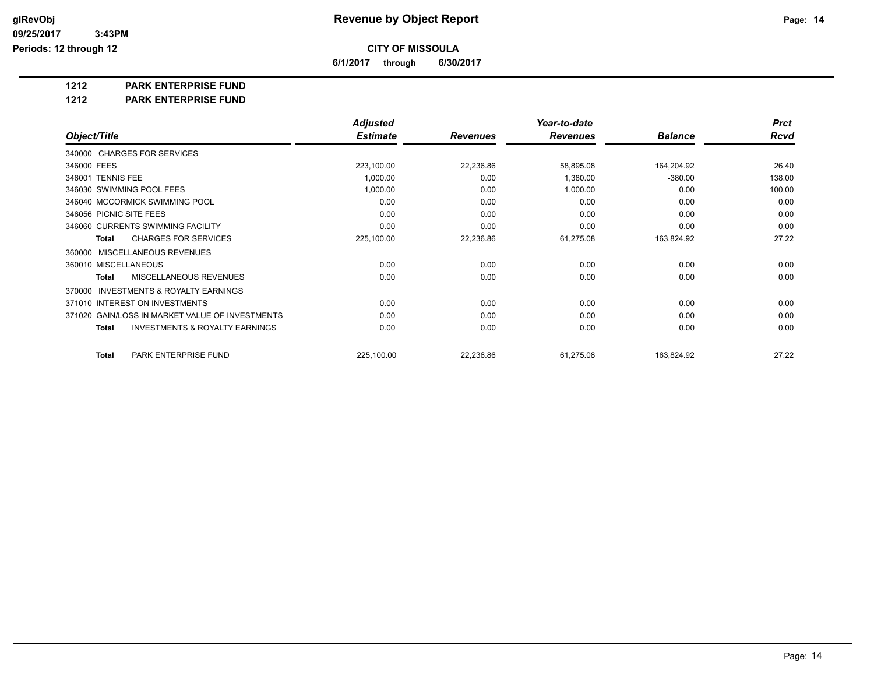**6/1/2017 through 6/30/2017**

**1212 PARK ENTERPRISE FUND**

**1212 PARK ENTERPRISE FUND**

|                                                           | <b>Adjusted</b> |                 | Year-to-date    |                | <b>Prct</b> |
|-----------------------------------------------------------|-----------------|-----------------|-----------------|----------------|-------------|
| Object/Title                                              | <b>Estimate</b> | <b>Revenues</b> | <b>Revenues</b> | <b>Balance</b> | <b>Rcvd</b> |
| 340000 CHARGES FOR SERVICES                               |                 |                 |                 |                |             |
| 346000 FEES                                               | 223,100.00      | 22,236.86       | 58,895.08       | 164,204.92     | 26.40       |
| 346001 TENNIS FEE                                         | 1,000.00        | 0.00            | 1,380.00        | $-380.00$      | 138.00      |
| 346030 SWIMMING POOL FEES                                 | 1,000.00        | 0.00            | 1,000.00        | 0.00           | 100.00      |
| 346040 MCCORMICK SWIMMING POOL                            | 0.00            | 0.00            | 0.00            | 0.00           | 0.00        |
| 346056 PICNIC SITE FEES                                   | 0.00            | 0.00            | 0.00            | 0.00           | 0.00        |
| 346060 CURRENTS SWIMMING FACILITY                         | 0.00            | 0.00            | 0.00            | 0.00           | 0.00        |
| <b>CHARGES FOR SERVICES</b><br>Total                      | 225,100.00      | 22,236.86       | 61,275.08       | 163,824.92     | 27.22       |
| <b>MISCELLANEOUS REVENUES</b><br>360000                   |                 |                 |                 |                |             |
| 360010 MISCELLANEOUS                                      | 0.00            | 0.00            | 0.00            | 0.00           | 0.00        |
| <b>MISCELLANEOUS REVENUES</b><br>Total                    | 0.00            | 0.00            | 0.00            | 0.00           | 0.00        |
| <b>INVESTMENTS &amp; ROYALTY EARNINGS</b><br>370000       |                 |                 |                 |                |             |
| 371010 INTEREST ON INVESTMENTS                            | 0.00            | 0.00            | 0.00            | 0.00           | 0.00        |
| 371020 GAIN/LOSS IN MARKET VALUE OF INVESTMENTS           | 0.00            | 0.00            | 0.00            | 0.00           | 0.00        |
| <b>INVESTMENTS &amp; ROYALTY EARNINGS</b><br><b>Total</b> | 0.00            | 0.00            | 0.00            | 0.00           | 0.00        |
| PARK ENTERPRISE FUND<br><b>Total</b>                      | 225,100.00      | 22,236.86       | 61,275.08       | 163,824.92     | 27.22       |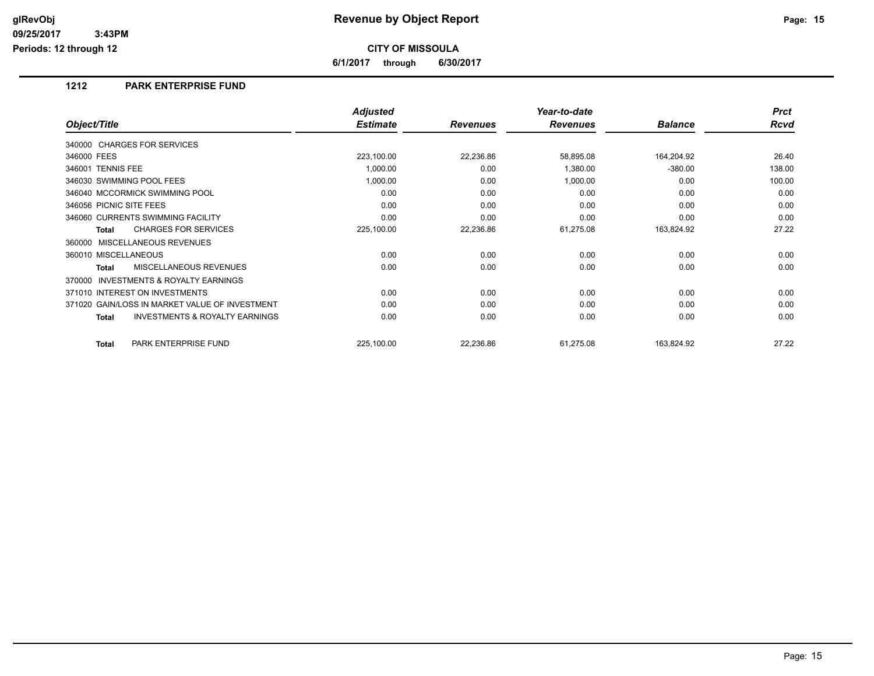**6/1/2017 through 6/30/2017**

#### **1212 PARK ENTERPRISE FUND**

|                                                           | <b>Adjusted</b> |                 | Year-to-date    |                | <b>Prct</b> |
|-----------------------------------------------------------|-----------------|-----------------|-----------------|----------------|-------------|
| Object/Title                                              | <b>Estimate</b> | <b>Revenues</b> | <b>Revenues</b> | <b>Balance</b> | <b>Rcvd</b> |
| 340000 CHARGES FOR SERVICES                               |                 |                 |                 |                |             |
| 346000 FEES                                               | 223,100.00      | 22,236.86       | 58,895.08       | 164,204.92     | 26.40       |
| 346001 TENNIS FEE                                         | 1,000.00        | 0.00            | 1,380.00        | $-380.00$      | 138.00      |
| 346030 SWIMMING POOL FEES                                 | 1,000.00        | 0.00            | 1,000.00        | 0.00           | 100.00      |
| 346040 MCCORMICK SWIMMING POOL                            | 0.00            | 0.00            | 0.00            | 0.00           | 0.00        |
| 346056 PICNIC SITE FEES                                   | 0.00            | 0.00            | 0.00            | 0.00           | 0.00        |
| 346060 CURRENTS SWIMMING FACILITY                         | 0.00            | 0.00            | 0.00            | 0.00           | 0.00        |
| <b>CHARGES FOR SERVICES</b><br>Total                      | 225,100.00      | 22,236.86       | 61,275.08       | 163,824.92     | 27.22       |
| 360000 MISCELLANEOUS REVENUES                             |                 |                 |                 |                |             |
| 360010 MISCELLANEOUS                                      | 0.00            | 0.00            | 0.00            | 0.00           | 0.00        |
| MISCELLANEOUS REVENUES<br>Total                           | 0.00            | 0.00            | 0.00            | 0.00           | 0.00        |
| <b>INVESTMENTS &amp; ROYALTY EARNINGS</b><br>370000       |                 |                 |                 |                |             |
| 371010 INTEREST ON INVESTMENTS                            | 0.00            | 0.00            | 0.00            | 0.00           | 0.00        |
| 371020 GAIN/LOSS IN MARKET VALUE OF INVESTMENT            | 0.00            | 0.00            | 0.00            | 0.00           | 0.00        |
| <b>INVESTMENTS &amp; ROYALTY EARNINGS</b><br><b>Total</b> | 0.00            | 0.00            | 0.00            | 0.00           | 0.00        |
| PARK ENTERPRISE FUND<br><b>Total</b>                      | 225,100.00      | 22,236.86       | 61,275.08       | 163,824.92     | 27.22       |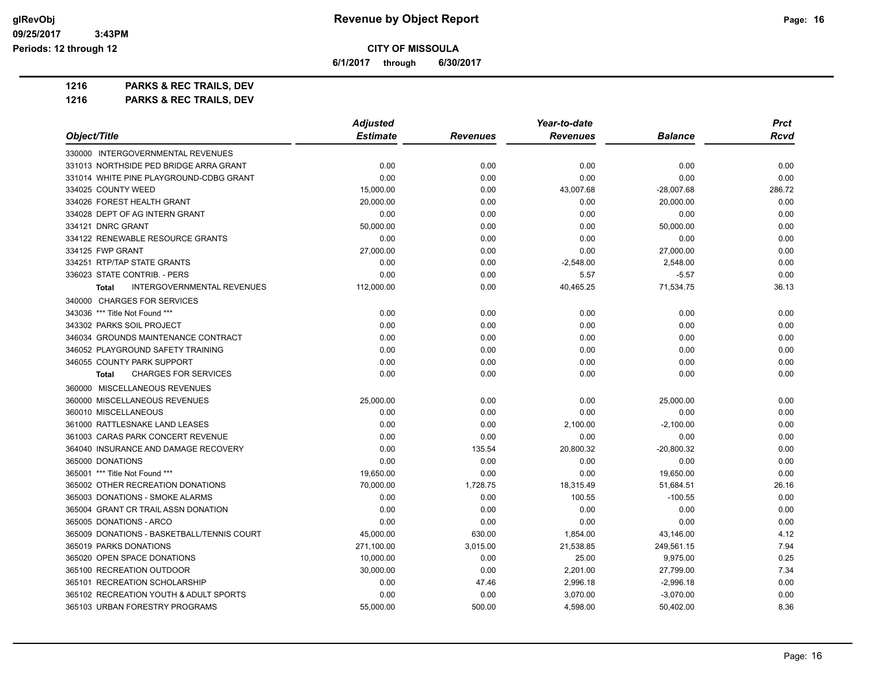**6/1/2017 through 6/30/2017**

**1216 PARKS & REC TRAILS, DEV**

|                                             | <b>Adjusted</b> |                 | Year-to-date    |                | <b>Prct</b> |
|---------------------------------------------|-----------------|-----------------|-----------------|----------------|-------------|
| Object/Title                                | <b>Estimate</b> | <b>Revenues</b> | <b>Revenues</b> | <b>Balance</b> | <b>Rcvd</b> |
| 330000 INTERGOVERNMENTAL REVENUES           |                 |                 |                 |                |             |
| 331013 NORTHSIDE PED BRIDGE ARRA GRANT      | 0.00            | 0.00            | 0.00            | 0.00           | 0.00        |
| 331014 WHITE PINE PLAYGROUND-CDBG GRANT     | 0.00            | 0.00            | 0.00            | 0.00           | 0.00        |
| 334025 COUNTY WEED                          | 15,000.00       | 0.00            | 43,007.68       | $-28,007.68$   | 286.72      |
| 334026 FOREST HEALTH GRANT                  | 20,000.00       | 0.00            | 0.00            | 20,000.00      | 0.00        |
| 334028 DEPT OF AG INTERN GRANT              | 0.00            | 0.00            | 0.00            | 0.00           | 0.00        |
| 334121 DNRC GRANT                           | 50,000.00       | 0.00            | 0.00            | 50,000.00      | 0.00        |
| 334122 RENEWABLE RESOURCE GRANTS            | 0.00            | 0.00            | 0.00            | 0.00           | 0.00        |
| 334125 FWP GRANT                            | 27,000.00       | 0.00            | 0.00            | 27,000.00      | 0.00        |
| 334251 RTP/TAP STATE GRANTS                 | 0.00            | 0.00            | $-2,548.00$     | 2,548.00       | 0.00        |
| 336023 STATE CONTRIB. - PERS                | 0.00            | 0.00            | 5.57            | $-5.57$        | 0.00        |
| <b>INTERGOVERNMENTAL REVENUES</b><br>Total  | 112,000.00      | 0.00            | 40,465.25       | 71,534.75      | 36.13       |
| 340000 CHARGES FOR SERVICES                 |                 |                 |                 |                |             |
| 343036 *** Title Not Found ***              | 0.00            | 0.00            | 0.00            | 0.00           | 0.00        |
| 343302 PARKS SOIL PROJECT                   | 0.00            | 0.00            | 0.00            | 0.00           | 0.00        |
| 346034 GROUNDS MAINTENANCE CONTRACT         | 0.00            | 0.00            | 0.00            | 0.00           | 0.00        |
| 346052 PLAYGROUND SAFETY TRAINING           | 0.00            | 0.00            | 0.00            | 0.00           | 0.00        |
| 346055 COUNTY PARK SUPPORT                  | 0.00            | 0.00            | 0.00            | 0.00           | 0.00        |
| <b>CHARGES FOR SERVICES</b><br><b>Total</b> | 0.00            | 0.00            | 0.00            | 0.00           | 0.00        |
| 360000 MISCELLANEOUS REVENUES               |                 |                 |                 |                |             |
| 360000 MISCELLANEOUS REVENUES               | 25,000.00       | 0.00            | 0.00            | 25,000.00      | 0.00        |
| 360010 MISCELLANEOUS                        | 0.00            | 0.00            | 0.00            | 0.00           | 0.00        |
| 361000 RATTLESNAKE LAND LEASES              | 0.00            | 0.00            | 2,100.00        | $-2,100.00$    | 0.00        |
| 361003 CARAS PARK CONCERT REVENUE           | 0.00            | 0.00            | 0.00            | 0.00           | 0.00        |
| 364040 INSURANCE AND DAMAGE RECOVERY        | 0.00            | 135.54          | 20,800.32       | $-20,800.32$   | 0.00        |
| 365000 DONATIONS                            | 0.00            | 0.00            | 0.00            | 0.00           | 0.00        |
| 365001 *** Title Not Found ***              | 19,650.00       | 0.00            | 0.00            | 19,650.00      | 0.00        |
| 365002 OTHER RECREATION DONATIONS           | 70,000.00       | 1,728.75        | 18,315.49       | 51,684.51      | 26.16       |
| 365003 DONATIONS - SMOKE ALARMS             | 0.00            | 0.00            | 100.55          | $-100.55$      | 0.00        |
| 365004 GRANT CR TRAIL ASSN DONATION         | 0.00            | 0.00            | 0.00            | 0.00           | 0.00        |
| 365005 DONATIONS - ARCO                     | 0.00            | 0.00            | 0.00            | 0.00           | 0.00        |
| 365009 DONATIONS - BASKETBALL/TENNIS COURT  | 45,000.00       | 630.00          | 1,854.00        | 43,146.00      | 4.12        |
| 365019 PARKS DONATIONS                      | 271,100.00      | 3,015.00        | 21,538.85       | 249,561.15     | 7.94        |
| 365020 OPEN SPACE DONATIONS                 | 10,000.00       | 0.00            | 25.00           | 9,975.00       | 0.25        |
| 365100 RECREATION OUTDOOR                   | 30,000.00       | 0.00            | 2,201.00        | 27,799.00      | 7.34        |
| 365101 RECREATION SCHOLARSHIP               | 0.00            | 47.46           | 2,996.18        | $-2,996.18$    | 0.00        |
| 365102 RECREATION YOUTH & ADULT SPORTS      | 0.00            | 0.00            | 3,070.00        | $-3,070.00$    | 0.00        |
| 365103 URBAN FORESTRY PROGRAMS              | 55,000.00       | 500.00          | 4,598.00        | 50,402.00      | 8.36        |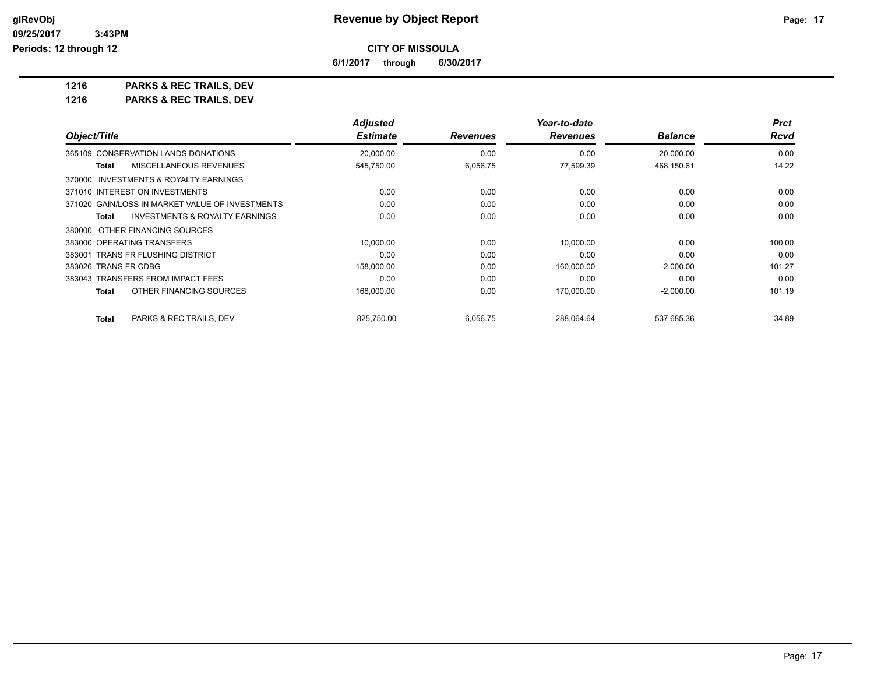**6/1/2017 through 6/30/2017**

**1216 PARKS & REC TRAILS, DEV**

|                                                           | <b>Adjusted</b> |                 | Year-to-date    |                | <b>Prct</b> |
|-----------------------------------------------------------|-----------------|-----------------|-----------------|----------------|-------------|
| Object/Title                                              | <b>Estimate</b> | <b>Revenues</b> | <b>Revenues</b> | <b>Balance</b> | <b>Rcvd</b> |
| 365109 CONSERVATION LANDS DONATIONS                       | 20,000.00       | 0.00            | 0.00            | 20,000.00      | 0.00        |
| MISCELLANEOUS REVENUES<br><b>Total</b>                    | 545,750.00      | 6,056.75        | 77,599.39       | 468,150.61     | 14.22       |
| <b>INVESTMENTS &amp; ROYALTY EARNINGS</b><br>370000       |                 |                 |                 |                |             |
| 371010 INTEREST ON INVESTMENTS                            | 0.00            | 0.00            | 0.00            | 0.00           | 0.00        |
| 371020 GAIN/LOSS IN MARKET VALUE OF INVESTMENTS           | 0.00            | 0.00            | 0.00            | 0.00           | 0.00        |
| <b>INVESTMENTS &amp; ROYALTY EARNINGS</b><br><b>Total</b> | 0.00            | 0.00            | 0.00            | 0.00           | 0.00        |
| 380000 OTHER FINANCING SOURCES                            |                 |                 |                 |                |             |
| 383000 OPERATING TRANSFERS                                | 10,000.00       | 0.00            | 10,000.00       | 0.00           | 100.00      |
| 383001 TRANS FR FLUSHING DISTRICT                         | 0.00            | 0.00            | 0.00            | 0.00           | 0.00        |
| 383026 TRANS FR CDBG                                      | 158,000.00      | 0.00            | 160,000.00      | $-2,000.00$    | 101.27      |
| 383043 TRANSFERS FROM IMPACT FEES                         | 0.00            | 0.00            | 0.00            | 0.00           | 0.00        |
| OTHER FINANCING SOURCES<br><b>Total</b>                   | 168,000.00      | 0.00            | 170,000.00      | $-2,000.00$    | 101.19      |
| PARKS & REC TRAILS, DEV<br><b>Total</b>                   | 825,750.00      | 6,056.75        | 288.064.64      | 537,685.36     | 34.89       |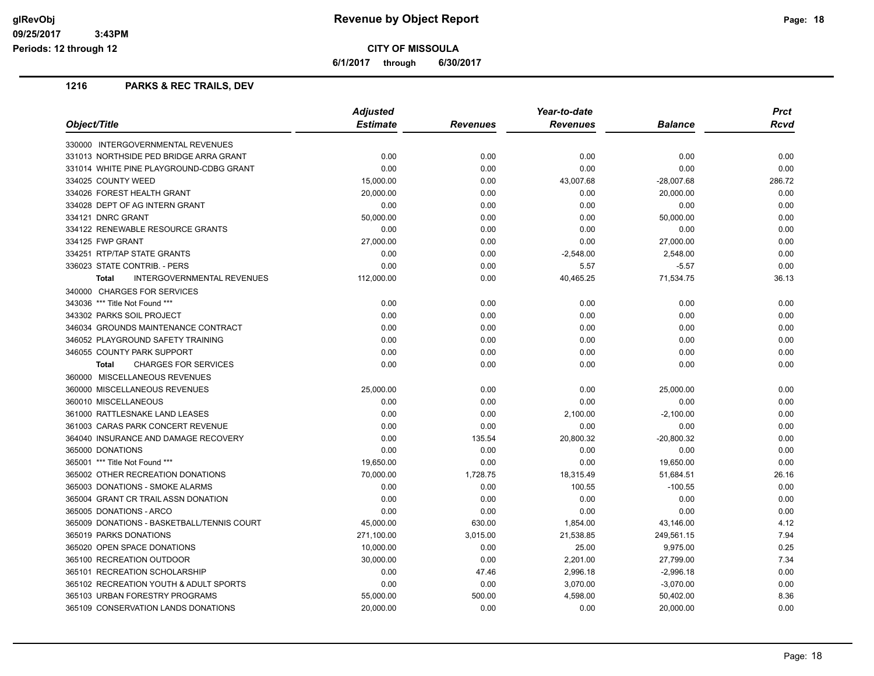**6/1/2017 through 6/30/2017**

|                                                   | <b>Adjusted</b> |          | Year-to-date    |                | <b>Prct</b> |
|---------------------------------------------------|-----------------|----------|-----------------|----------------|-------------|
| Object/Title                                      | <b>Estimate</b> | Revenues | <b>Revenues</b> | <b>Balance</b> | <b>Rcvd</b> |
| 330000 INTERGOVERNMENTAL REVENUES                 |                 |          |                 |                |             |
| 331013 NORTHSIDE PED BRIDGE ARRA GRANT            | 0.00            | 0.00     | 0.00            | 0.00           | 0.00        |
| 331014 WHITE PINE PLAYGROUND-CDBG GRANT           | 0.00            | 0.00     | 0.00            | 0.00           | 0.00        |
| 334025 COUNTY WEED                                | 15,000.00       | 0.00     | 43,007.68       | $-28,007.68$   | 286.72      |
| 334026 FOREST HEALTH GRANT                        | 20,000.00       | 0.00     | 0.00            | 20,000.00      | 0.00        |
| 334028 DEPT OF AG INTERN GRANT                    | 0.00            | 0.00     | 0.00            | 0.00           | 0.00        |
| 334121 DNRC GRANT                                 | 50,000.00       | 0.00     | 0.00            | 50,000.00      | 0.00        |
| 334122 RENEWABLE RESOURCE GRANTS                  | 0.00            | 0.00     | 0.00            | 0.00           | 0.00        |
| 334125 FWP GRANT                                  | 27,000.00       | 0.00     | 0.00            | 27,000.00      | 0.00        |
| 334251 RTP/TAP STATE GRANTS                       | 0.00            | 0.00     | $-2,548.00$     | 2,548.00       | 0.00        |
| 336023 STATE CONTRIB. - PERS                      | 0.00            | 0.00     | 5.57            | $-5.57$        | 0.00        |
| <b>INTERGOVERNMENTAL REVENUES</b><br><b>Total</b> | 112,000.00      | 0.00     | 40,465.25       | 71,534.75      | 36.13       |
| 340000 CHARGES FOR SERVICES                       |                 |          |                 |                |             |
| 343036 *** Title Not Found ***                    | 0.00            | 0.00     | 0.00            | 0.00           | 0.00        |
| 343302 PARKS SOIL PROJECT                         | 0.00            | 0.00     | 0.00            | 0.00           | 0.00        |
| 346034 GROUNDS MAINTENANCE CONTRACT               | 0.00            | 0.00     | 0.00            | 0.00           | 0.00        |
| 346052 PLAYGROUND SAFETY TRAINING                 | 0.00            | 0.00     | 0.00            | 0.00           | 0.00        |
| 346055 COUNTY PARK SUPPORT                        | 0.00            | 0.00     | 0.00            | 0.00           | 0.00        |
| <b>CHARGES FOR SERVICES</b><br><b>Total</b>       | 0.00            | 0.00     | 0.00            | 0.00           | 0.00        |
| 360000 MISCELLANEOUS REVENUES                     |                 |          |                 |                |             |
| 360000 MISCELLANEOUS REVENUES                     | 25,000.00       | 0.00     | 0.00            | 25,000.00      | 0.00        |
| 360010 MISCELLANEOUS                              | 0.00            | 0.00     | 0.00            | 0.00           | 0.00        |
| 361000 RATTLESNAKE LAND LEASES                    | 0.00            | 0.00     | 2,100.00        | $-2,100.00$    | 0.00        |
| 361003 CARAS PARK CONCERT REVENUE                 | 0.00            | 0.00     | 0.00            | 0.00           | 0.00        |
| 364040 INSURANCE AND DAMAGE RECOVERY              | 0.00            | 135.54   | 20,800.32       | $-20,800.32$   | 0.00        |
| 365000 DONATIONS                                  | 0.00            | 0.00     | 0.00            | 0.00           | 0.00        |
| 365001 *** Title Not Found ***                    | 19,650.00       | 0.00     | 0.00            | 19,650.00      | 0.00        |
| 365002 OTHER RECREATION DONATIONS                 | 70,000.00       | 1,728.75 | 18,315.49       | 51,684.51      | 26.16       |
| 365003 DONATIONS - SMOKE ALARMS                   | 0.00            | 0.00     | 100.55          | $-100.55$      | 0.00        |
| 365004 GRANT CR TRAIL ASSN DONATION               | 0.00            | 0.00     | 0.00            | 0.00           | 0.00        |
| 365005 DONATIONS - ARCO                           | 0.00            | 0.00     | 0.00            | 0.00           | 0.00        |
| 365009 DONATIONS - BASKETBALL/TENNIS COURT        | 45,000.00       | 630.00   | 1,854.00        | 43,146.00      | 4.12        |
| 365019 PARKS DONATIONS                            | 271,100.00      | 3,015.00 | 21,538.85       | 249,561.15     | 7.94        |
| 365020 OPEN SPACE DONATIONS                       | 10,000.00       | 0.00     | 25.00           | 9,975.00       | 0.25        |
| 365100 RECREATION OUTDOOR                         | 30,000.00       | 0.00     | 2,201.00        | 27,799.00      | 7.34        |
| 365101 RECREATION SCHOLARSHIP                     | 0.00            | 47.46    | 2,996.18        | $-2,996.18$    | 0.00        |
| 365102 RECREATION YOUTH & ADULT SPORTS            | 0.00            | 0.00     | 3,070.00        | $-3,070.00$    | 0.00        |
| 365103 URBAN FORESTRY PROGRAMS                    | 55,000.00       | 500.00   | 4,598.00        | 50,402.00      | 8.36        |
| 365109 CONSERVATION LANDS DONATIONS               | 20.000.00       | 0.00     | 0.00            | 20.000.00      | 0.00        |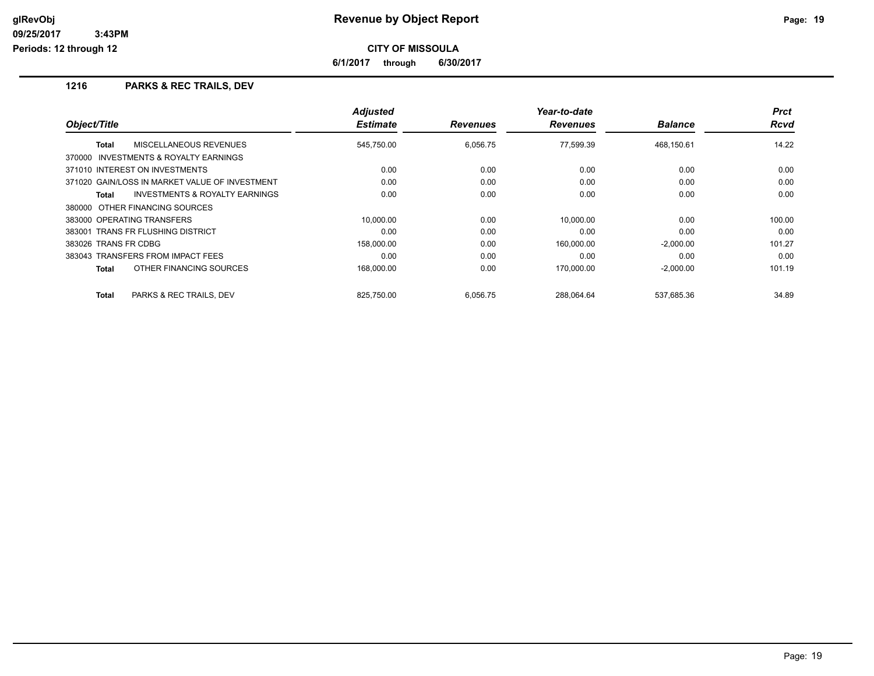**6/1/2017 through 6/30/2017**

| Object/Title                                   | <b>Adjusted</b><br><b>Estimate</b> | <b>Revenues</b> | Year-to-date<br><b>Revenues</b> | <b>Balance</b> | <b>Prct</b><br><b>Rcvd</b> |
|------------------------------------------------|------------------------------------|-----------------|---------------------------------|----------------|----------------------------|
| MISCELLANEOUS REVENUES<br><b>Total</b>         | 545,750.00                         | 6,056.75        | 77,599.39                       | 468,150.61     | 14.22                      |
| 370000 INVESTMENTS & ROYALTY EARNINGS          |                                    |                 |                                 |                |                            |
| 371010 INTEREST ON INVESTMENTS                 | 0.00                               | 0.00            | 0.00                            | 0.00           | 0.00                       |
| 371020 GAIN/LOSS IN MARKET VALUE OF INVESTMENT | 0.00                               | 0.00            | 0.00                            | 0.00           | 0.00                       |
| INVESTMENTS & ROYALTY EARNINGS<br><b>Total</b> | 0.00                               | 0.00            | 0.00                            | 0.00           | 0.00                       |
| 380000 OTHER FINANCING SOURCES                 |                                    |                 |                                 |                |                            |
| 383000 OPERATING TRANSFERS                     | 10.000.00                          | 0.00            | 10.000.00                       | 0.00           | 100.00                     |
| 383001 TRANS FR FLUSHING DISTRICT              | 0.00                               | 0.00            | 0.00                            | 0.00           | 0.00                       |
| 383026 TRANS FR CDBG                           | 158.000.00                         | 0.00            | 160,000.00                      | $-2.000.00$    | 101.27                     |
| 383043 TRANSFERS FROM IMPACT FEES              | 0.00                               | 0.00            | 0.00                            | 0.00           | 0.00                       |
| OTHER FINANCING SOURCES<br><b>Total</b>        | 168,000.00                         | 0.00            | 170,000.00                      | $-2,000.00$    | 101.19                     |
| PARKS & REC TRAILS, DEV<br><b>Total</b>        | 825.750.00                         | 6.056.75        | 288.064.64                      | 537.685.36     | 34.89                      |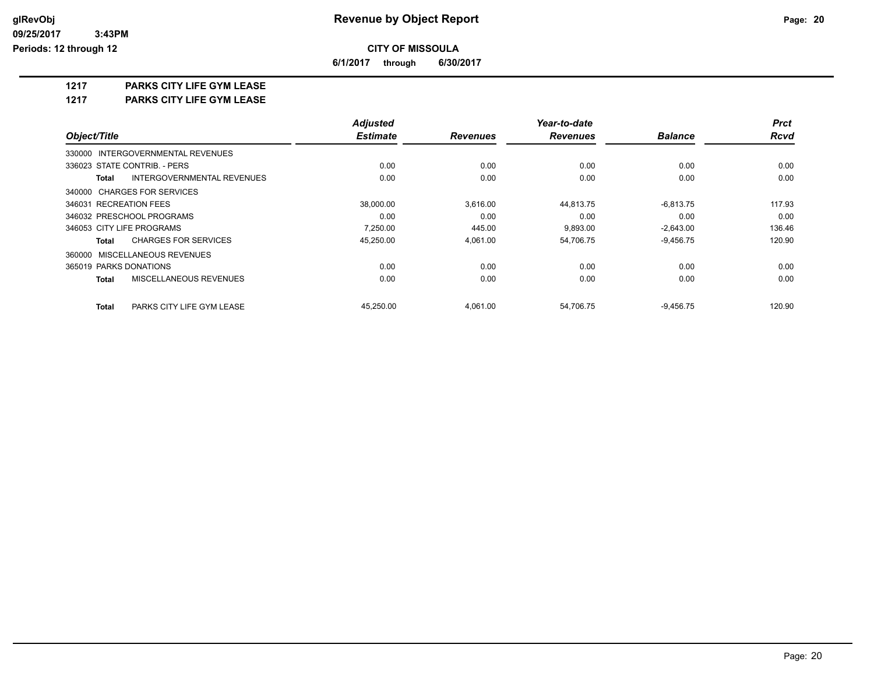**6/1/2017 through 6/30/2017**

#### **1217 PARKS CITY LIFE GYM LEASE**

**1217 PARKS CITY LIFE GYM LEASE**

|                                           | <b>Adjusted</b> |                 | Year-to-date    |                | <b>Prct</b> |
|-------------------------------------------|-----------------|-----------------|-----------------|----------------|-------------|
| Object/Title                              | <b>Estimate</b> | <b>Revenues</b> | <b>Revenues</b> | <b>Balance</b> | <b>Rcvd</b> |
| INTERGOVERNMENTAL REVENUES<br>330000      |                 |                 |                 |                |             |
| 336023 STATE CONTRIB. - PERS              | 0.00            | 0.00            | 0.00            | 0.00           | 0.00        |
| INTERGOVERNMENTAL REVENUES<br>Total       | 0.00            | 0.00            | 0.00            | 0.00           | 0.00        |
| 340000 CHARGES FOR SERVICES               |                 |                 |                 |                |             |
| 346031 RECREATION FEES                    | 38,000.00       | 3,616.00        | 44,813.75       | $-6,813.75$    | 117.93      |
| 346032 PRESCHOOL PROGRAMS                 | 0.00            | 0.00            | 0.00            | 0.00           | 0.00        |
| 346053 CITY LIFE PROGRAMS                 | 7,250.00        | 445.00          | 9,893.00        | $-2,643.00$    | 136.46      |
| <b>CHARGES FOR SERVICES</b><br>Total      | 45,250.00       | 4,061.00        | 54,706.75       | $-9,456.75$    | 120.90      |
| 360000 MISCELLANEOUS REVENUES             |                 |                 |                 |                |             |
| 365019 PARKS DONATIONS                    | 0.00            | 0.00            | 0.00            | 0.00           | 0.00        |
| MISCELLANEOUS REVENUES<br><b>Total</b>    | 0.00            | 0.00            | 0.00            | 0.00           | 0.00        |
| PARKS CITY LIFE GYM LEASE<br><b>Total</b> | 45,250.00       | 4,061.00        | 54,706.75       | $-9,456.75$    | 120.90      |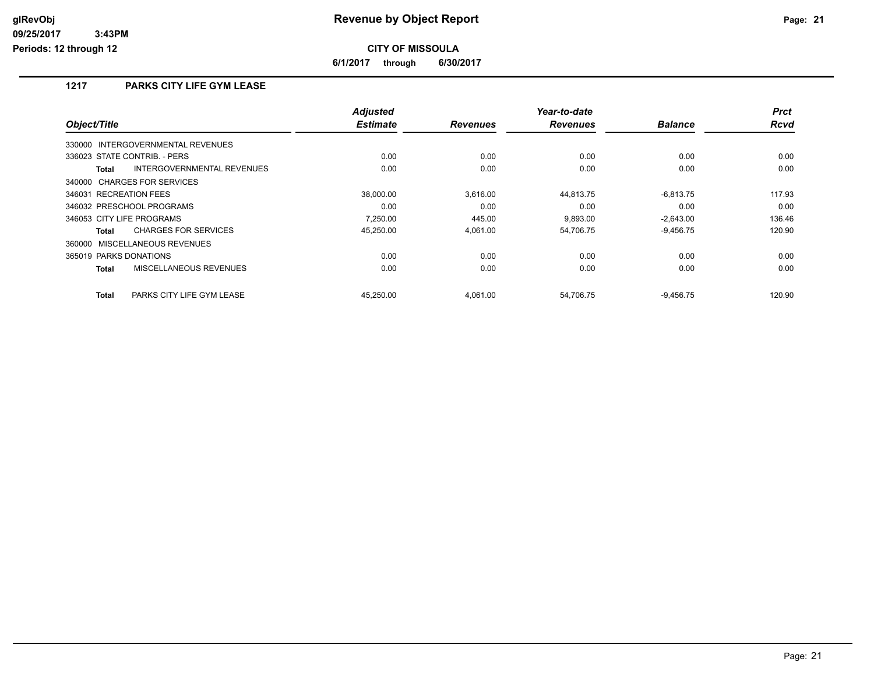**6/1/2017 through 6/30/2017**

#### **1217 PARKS CITY LIFE GYM LEASE**

| Object/Title                                | <b>Adjusted</b><br><b>Estimate</b> | <b>Revenues</b> | Year-to-date<br><b>Revenues</b> | <b>Balance</b> | <b>Prct</b><br>Rcvd |
|---------------------------------------------|------------------------------------|-----------------|---------------------------------|----------------|---------------------|
| INTERGOVERNMENTAL REVENUES<br>330000        |                                    |                 |                                 |                |                     |
| 336023 STATE CONTRIB. - PERS                | 0.00                               | 0.00            | 0.00                            | 0.00           | 0.00                |
| INTERGOVERNMENTAL REVENUES<br><b>Total</b>  | 0.00                               | 0.00            | 0.00                            | 0.00           | 0.00                |
| 340000 CHARGES FOR SERVICES                 |                                    |                 |                                 |                |                     |
| 346031 RECREATION FEES                      | 38,000.00                          | 3,616.00        | 44,813.75                       | $-6,813.75$    | 117.93              |
| 346032 PRESCHOOL PROGRAMS                   | 0.00                               | 0.00            | 0.00                            | 0.00           | 0.00                |
| 346053 CITY LIFE PROGRAMS                   | 7.250.00                           | 445.00          | 9,893.00                        | $-2.643.00$    | 136.46              |
| <b>CHARGES FOR SERVICES</b><br><b>Total</b> | 45,250.00                          | 4,061.00        | 54,706.75                       | $-9,456.75$    | 120.90              |
| 360000 MISCELLANEOUS REVENUES               |                                    |                 |                                 |                |                     |
| 365019 PARKS DONATIONS                      | 0.00                               | 0.00            | 0.00                            | 0.00           | 0.00                |
| MISCELLANEOUS REVENUES<br><b>Total</b>      | 0.00                               | 0.00            | 0.00                            | 0.00           | 0.00                |
| PARKS CITY LIFE GYM LEASE<br><b>Total</b>   | 45.250.00                          | 4,061.00        | 54,706.75                       | $-9,456.75$    | 120.90              |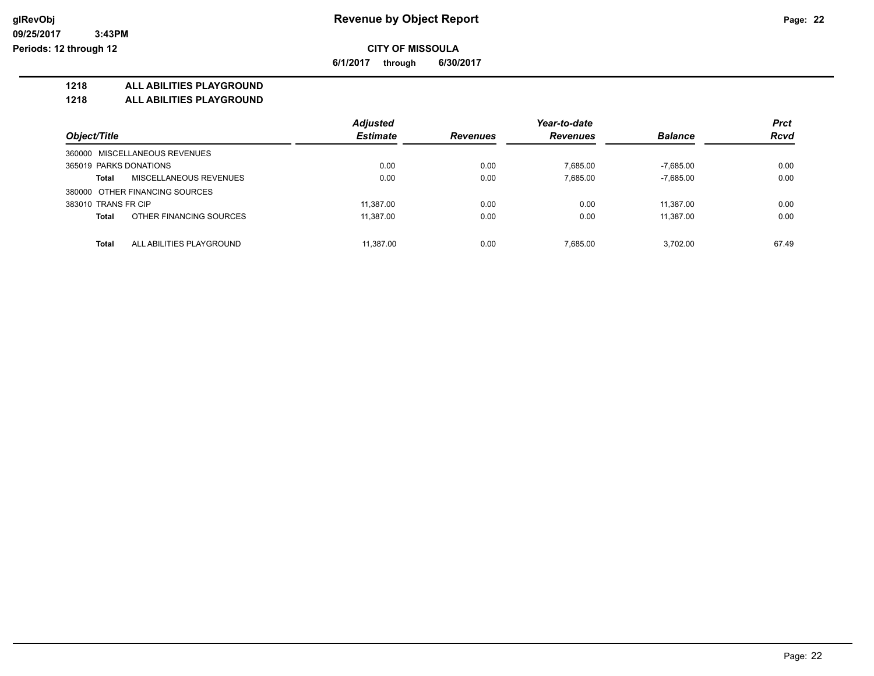**6/1/2017 through 6/30/2017**

#### **1218 ALL ABILITIES PLAYGROUND**

#### **1218 ALL ABILITIES PLAYGROUND**

|                                          | <b>Adjusted</b> |                 | Year-to-date    |                |             |
|------------------------------------------|-----------------|-----------------|-----------------|----------------|-------------|
| Object/Title                             | <b>Estimate</b> | <b>Revenues</b> | <b>Revenues</b> | <b>Balance</b> | <b>Rcvd</b> |
| 360000 MISCELLANEOUS REVENUES            |                 |                 |                 |                |             |
| 365019 PARKS DONATIONS                   | 0.00            | 0.00            | 7.685.00        | $-7.685.00$    | 0.00        |
| MISCELLANEOUS REVENUES<br><b>Total</b>   | 0.00            | 0.00            | 7,685.00        | $-7.685.00$    | 0.00        |
| 380000 OTHER FINANCING SOURCES           |                 |                 |                 |                |             |
| 383010 TRANS FR CIP                      | 11.387.00       | 0.00            | 0.00            | 11.387.00      | 0.00        |
| OTHER FINANCING SOURCES<br><b>Total</b>  | 11.387.00       | 0.00            | 0.00            | 11.387.00      | 0.00        |
|                                          |                 |                 |                 |                |             |
| ALL ABILITIES PLAYGROUND<br><b>Total</b> | 11.387.00       | 0.00            | 7.685.00        | 3.702.00       | 67.49       |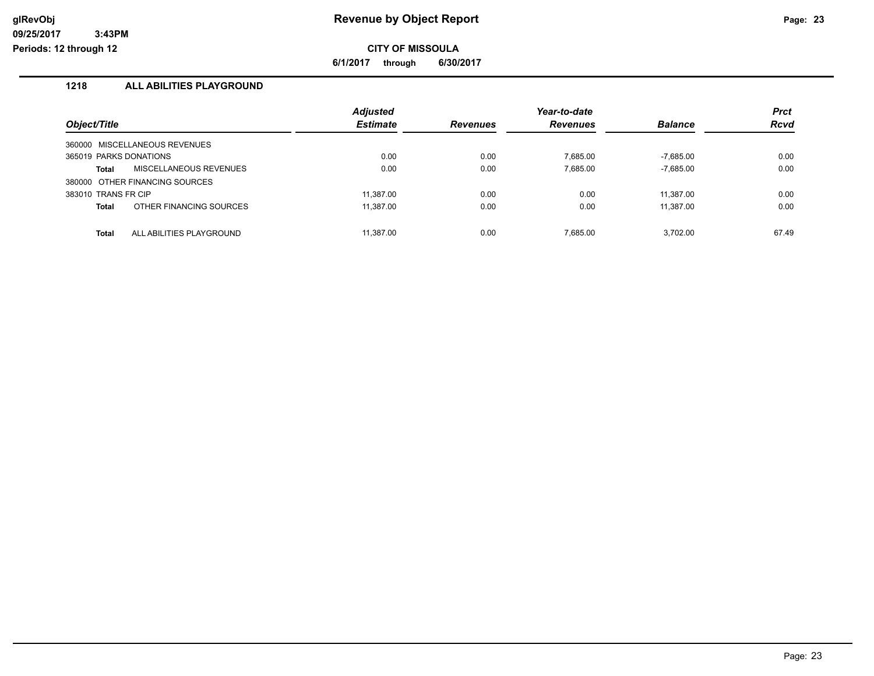**6/1/2017 through 6/30/2017**

#### **1218 ALL ABILITIES PLAYGROUND**

|                        |                                | <b>Adjusted</b> |                 | Year-to-date    |                | <b>Prct</b> |
|------------------------|--------------------------------|-----------------|-----------------|-----------------|----------------|-------------|
| Object/Title           |                                | <b>Estimate</b> | <b>Revenues</b> | <b>Revenues</b> | <b>Balance</b> | <b>Rcvd</b> |
| 360000                 | MISCELLANEOUS REVENUES         |                 |                 |                 |                |             |
| 365019 PARKS DONATIONS |                                | 0.00            | 0.00            | 7.685.00        | $-7.685.00$    | 0.00        |
| Total                  | <b>MISCELLANEOUS REVENUES</b>  | 0.00            | 0.00            | 7,685.00        | $-7,685.00$    | 0.00        |
|                        | 380000 OTHER FINANCING SOURCES |                 |                 |                 |                |             |
| 383010 TRANS FR CIP    |                                | 11,387.00       | 0.00            | 0.00            | 11,387.00      | 0.00        |
| <b>Total</b>           | OTHER FINANCING SOURCES        | 11.387.00       | 0.00            | 0.00            | 11.387.00      | 0.00        |
| Total                  | ALL ABILITIES PLAYGROUND       | 11.387.00       | 0.00            | 7.685.00        | 3.702.00       | 67.49       |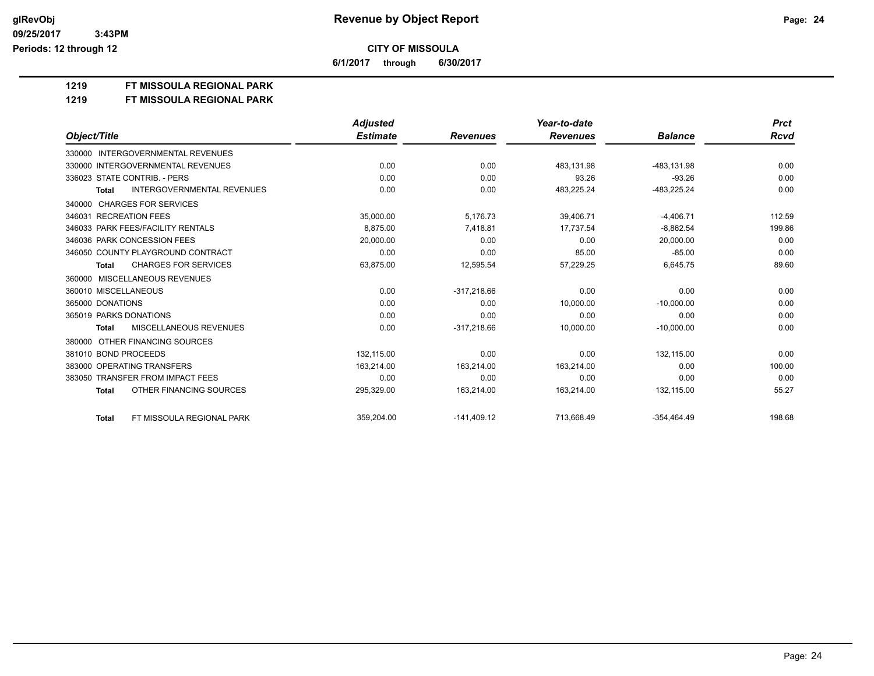**6/1/2017 through 6/30/2017**

#### **1219 FT MISSOULA REGIONAL PARK**

#### **1219 FT MISSOULA REGIONAL PARK**

|                                                   | <b>Adjusted</b> |                 | Year-to-date    |                | <b>Prct</b> |
|---------------------------------------------------|-----------------|-----------------|-----------------|----------------|-------------|
| Object/Title                                      | <b>Estimate</b> | <b>Revenues</b> | <b>Revenues</b> | <b>Balance</b> | <b>Rcvd</b> |
| 330000 INTERGOVERNMENTAL REVENUES                 |                 |                 |                 |                |             |
| 330000 INTERGOVERNMENTAL REVENUES                 | 0.00            | 0.00            | 483.131.98      | -483.131.98    | 0.00        |
| 336023 STATE CONTRIB. - PERS                      | 0.00            | 0.00            | 93.26           | $-93.26$       | 0.00        |
| <b>INTERGOVERNMENTAL REVENUES</b><br><b>Total</b> | 0.00            | 0.00            | 483,225.24      | -483,225.24    | 0.00        |
| 340000 CHARGES FOR SERVICES                       |                 |                 |                 |                |             |
| 346031 RECREATION FEES                            | 35,000.00       | 5,176.73        | 39.406.71       | $-4,406.71$    | 112.59      |
| 346033 PARK FEES/FACILITY RENTALS                 | 8.875.00        | 7,418.81        | 17,737.54       | $-8,862.54$    | 199.86      |
| 346036 PARK CONCESSION FEES                       | 20,000.00       | 0.00            | 0.00            | 20,000.00      | 0.00        |
| 346050 COUNTY PLAYGROUND CONTRACT                 | 0.00            | 0.00            | 85.00           | $-85.00$       | 0.00        |
| <b>CHARGES FOR SERVICES</b><br><b>Total</b>       | 63,875.00       | 12,595.54       | 57,229.25       | 6,645.75       | 89.60       |
| MISCELLANEOUS REVENUES<br>360000                  |                 |                 |                 |                |             |
| 360010 MISCELLANEOUS                              | 0.00            | $-317,218.66$   | 0.00            | 0.00           | 0.00        |
| 365000 DONATIONS                                  | 0.00            | 0.00            | 10,000.00       | $-10,000.00$   | 0.00        |
| 365019 PARKS DONATIONS                            | 0.00            | 0.00            | 0.00            | 0.00           | 0.00        |
| MISCELLANEOUS REVENUES<br>Total                   | 0.00            | $-317,218.66$   | 10,000.00       | $-10,000.00$   | 0.00        |
| 380000 OTHER FINANCING SOURCES                    |                 |                 |                 |                |             |
| 381010 BOND PROCEEDS                              | 132.115.00      | 0.00            | 0.00            | 132,115.00     | 0.00        |
| 383000 OPERATING TRANSFERS                        | 163,214.00      | 163,214.00      | 163,214.00      | 0.00           | 100.00      |
| 383050 TRANSFER FROM IMPACT FEES                  | 0.00            | 0.00            | 0.00            | 0.00           | 0.00        |
| OTHER FINANCING SOURCES<br><b>Total</b>           | 295,329.00      | 163,214.00      | 163,214.00      | 132,115.00     | 55.27       |
| FT MISSOULA REGIONAL PARK<br><b>Total</b>         | 359.204.00      | $-141.409.12$   | 713.668.49      | -354.464.49    | 198.68      |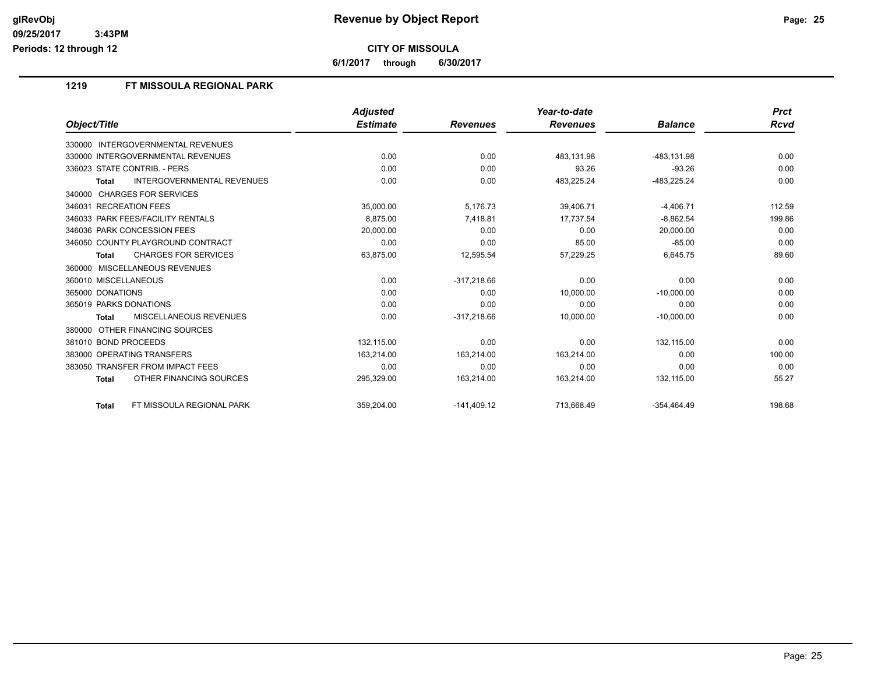**6/1/2017 through 6/30/2017**

#### **1219 FT MISSOULA REGIONAL PARK**

|                                                   | <b>Adjusted</b> |                 | Year-to-date    |                | <b>Prct</b> |
|---------------------------------------------------|-----------------|-----------------|-----------------|----------------|-------------|
| Object/Title                                      | <b>Estimate</b> | <b>Revenues</b> | <b>Revenues</b> | <b>Balance</b> | Rcvd        |
| 330000 INTERGOVERNMENTAL REVENUES                 |                 |                 |                 |                |             |
| 330000 INTERGOVERNMENTAL REVENUES                 | 0.00            | 0.00            | 483,131.98      | -483,131.98    | 0.00        |
| 336023 STATE CONTRIB. - PERS                      | 0.00            | 0.00            | 93.26           | $-93.26$       | 0.00        |
| <b>INTERGOVERNMENTAL REVENUES</b><br><b>Total</b> | 0.00            | 0.00            | 483,225.24      | -483,225.24    | 0.00        |
| 340000 CHARGES FOR SERVICES                       |                 |                 |                 |                |             |
| 346031 RECREATION FEES                            | 35.000.00       | 5.176.73        | 39,406.71       | $-4,406.71$    | 112.59      |
| 346033 PARK FEES/FACILITY RENTALS                 | 8.875.00        | 7.418.81        | 17,737.54       | $-8,862.54$    | 199.86      |
| 346036 PARK CONCESSION FEES                       | 20,000.00       | 0.00            | 0.00            | 20,000.00      | 0.00        |
| 346050 COUNTY PLAYGROUND CONTRACT                 | 0.00            | 0.00            | 85.00           | $-85.00$       | 0.00        |
| <b>CHARGES FOR SERVICES</b><br><b>Total</b>       | 63,875.00       | 12,595.54       | 57,229.25       | 6,645.75       | 89.60       |
| 360000 MISCELLANEOUS REVENUES                     |                 |                 |                 |                |             |
| 360010 MISCELLANEOUS                              | 0.00            | $-317,218.66$   | 0.00            | 0.00           | 0.00        |
| 365000 DONATIONS                                  | 0.00            | 0.00            | 10,000.00       | $-10,000.00$   | 0.00        |
| 365019 PARKS DONATIONS                            | 0.00            | 0.00            | 0.00            | 0.00           | 0.00        |
| <b>MISCELLANEOUS REVENUES</b><br><b>Total</b>     | 0.00            | $-317,218.66$   | 10,000.00       | $-10,000.00$   | 0.00        |
| 380000 OTHER FINANCING SOURCES                    |                 |                 |                 |                |             |
| 381010 BOND PROCEEDS                              | 132.115.00      | 0.00            | 0.00            | 132,115.00     | 0.00        |
| 383000 OPERATING TRANSFERS                        | 163,214.00      | 163,214.00      | 163,214.00      | 0.00           | 100.00      |
| 383050 TRANSFER FROM IMPACT FEES                  | 0.00            | 0.00            | 0.00            | 0.00           | 0.00        |
| OTHER FINANCING SOURCES<br><b>Total</b>           | 295,329.00      | 163,214.00      | 163,214.00      | 132,115.00     | 55.27       |
| FT MISSOULA REGIONAL PARK<br><b>Total</b>         | 359.204.00      | $-141,409.12$   | 713,668.49      | $-354.464.49$  | 198.68      |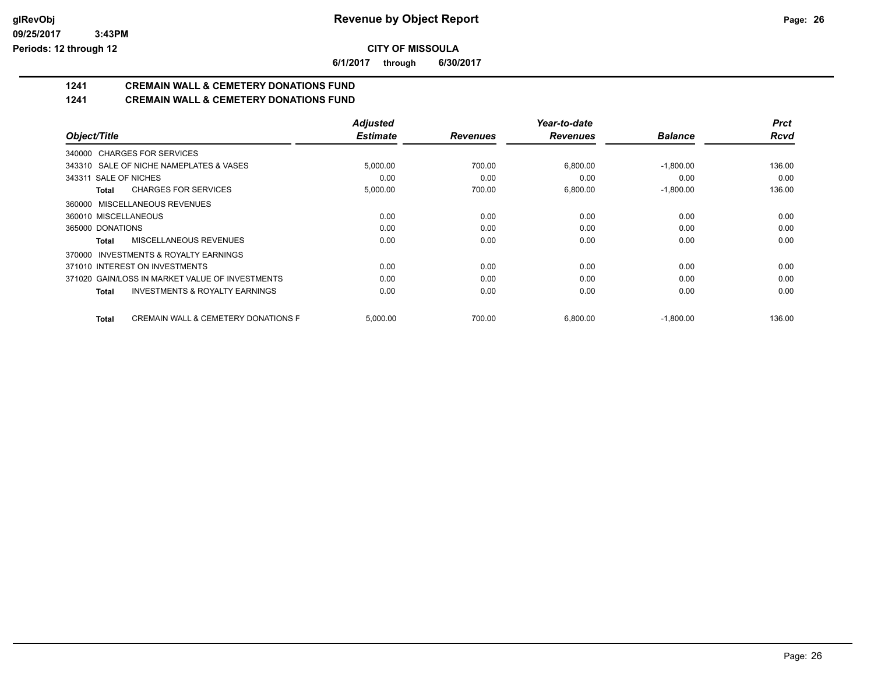**6/1/2017 through 6/30/2017**

# **1241 CREMAIN WALL & CEMETERY DONATIONS FUND**

# **1241 CREMAIN WALL & CEMETERY DONATIONS FUND**

|                                                     | <b>Adjusted</b> |                 | Year-to-date    |                | <b>Prct</b> |
|-----------------------------------------------------|-----------------|-----------------|-----------------|----------------|-------------|
| Object/Title                                        | <b>Estimate</b> | <b>Revenues</b> | <b>Revenues</b> | <b>Balance</b> | <b>Rcvd</b> |
| 340000 CHARGES FOR SERVICES                         |                 |                 |                 |                |             |
| 343310 SALE OF NICHE NAMEPLATES & VASES             | 5,000.00        | 700.00          | 6,800.00        | $-1,800.00$    | 136.00      |
| 343311 SALE OF NICHES                               | 0.00            | 0.00            | 0.00            | 0.00           | 0.00        |
| <b>CHARGES FOR SERVICES</b><br>Total                | 5,000.00        | 700.00          | 6,800.00        | $-1,800.00$    | 136.00      |
| 360000 MISCELLANEOUS REVENUES                       |                 |                 |                 |                |             |
| 360010 MISCELLANEOUS                                | 0.00            | 0.00            | 0.00            | 0.00           | 0.00        |
| 365000 DONATIONS                                    | 0.00            | 0.00            | 0.00            | 0.00           | 0.00        |
| <b>MISCELLANEOUS REVENUES</b><br><b>Total</b>       | 0.00            | 0.00            | 0.00            | 0.00           | 0.00        |
| 370000 INVESTMENTS & ROYALTY EARNINGS               |                 |                 |                 |                |             |
| 371010 INTEREST ON INVESTMENTS                      | 0.00            | 0.00            | 0.00            | 0.00           | 0.00        |
| 371020 GAIN/LOSS IN MARKET VALUE OF INVESTMENTS     | 0.00            | 0.00            | 0.00            | 0.00           | 0.00        |
| <b>INVESTMENTS &amp; ROYALTY EARNINGS</b><br>Total  | 0.00            | 0.00            | 0.00            | 0.00           | 0.00        |
| CREMAIN WALL & CEMETERY DONATIONS F<br><b>Total</b> | 5,000.00        | 700.00          | 6,800.00        | $-1,800.00$    | 136.00      |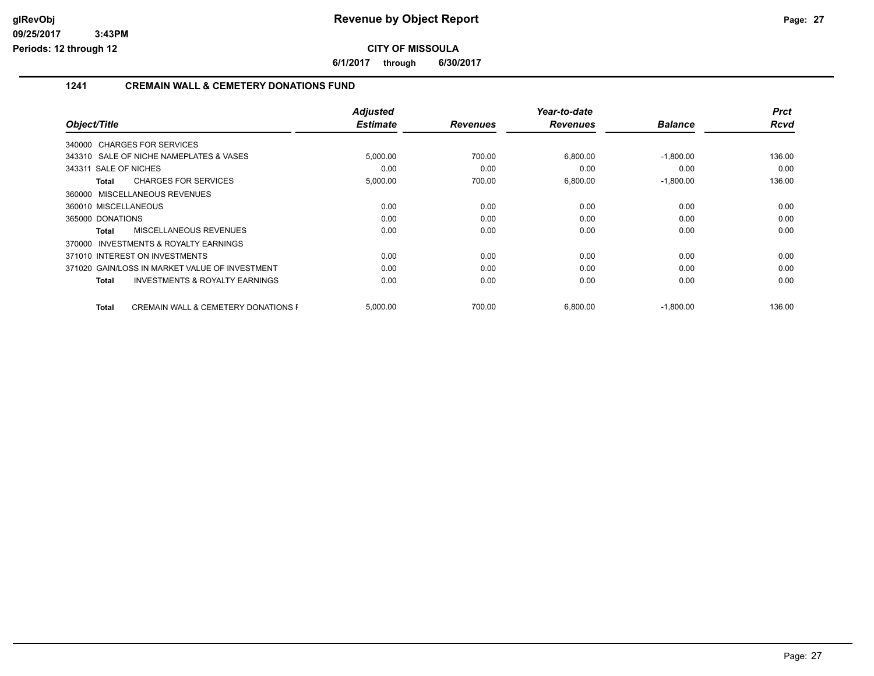**6/1/2017 through 6/30/2017**

#### **1241 CREMAIN WALL & CEMETERY DONATIONS FUND**

| Object/Title                                              | <b>Adjusted</b><br><b>Estimate</b> | <b>Revenues</b> | Year-to-date<br><b>Revenues</b> | <b>Balance</b> | <b>Prct</b><br><b>Rcvd</b> |
|-----------------------------------------------------------|------------------------------------|-----------------|---------------------------------|----------------|----------------------------|
|                                                           |                                    |                 |                                 |                |                            |
| 340000 CHARGES FOR SERVICES                               |                                    |                 |                                 |                |                            |
| 343310 SALE OF NICHE NAMEPLATES & VASES                   | 5,000.00                           | 700.00          | 6,800.00                        | $-1,800.00$    | 136.00                     |
| 343311 SALE OF NICHES                                     | 0.00                               | 0.00            | 0.00                            | 0.00           | 0.00                       |
| <b>CHARGES FOR SERVICES</b><br>Total                      | 5,000.00                           | 700.00          | 6,800.00                        | $-1,800.00$    | 136.00                     |
| 360000 MISCELLANEOUS REVENUES                             |                                    |                 |                                 |                |                            |
| 360010 MISCELLANEOUS                                      | 0.00                               | 0.00            | 0.00                            | 0.00           | 0.00                       |
| 365000 DONATIONS                                          | 0.00                               | 0.00            | 0.00                            | 0.00           | 0.00                       |
| MISCELLANEOUS REVENUES<br>Total                           | 0.00                               | 0.00            | 0.00                            | 0.00           | 0.00                       |
| <b>INVESTMENTS &amp; ROYALTY EARNINGS</b><br>370000       |                                    |                 |                                 |                |                            |
| 371010 INTEREST ON INVESTMENTS                            | 0.00                               | 0.00            | 0.00                            | 0.00           | 0.00                       |
| 371020 GAIN/LOSS IN MARKET VALUE OF INVESTMENT            | 0.00                               | 0.00            | 0.00                            | 0.00           | 0.00                       |
| <b>INVESTMENTS &amp; ROYALTY EARNINGS</b><br><b>Total</b> | 0.00                               | 0.00            | 0.00                            | 0.00           | 0.00                       |
| <b>CREMAIN WALL &amp; CEMETERY DONATIONS F</b><br>Total   | 5,000.00                           | 700.00          | 6,800.00                        | $-1,800.00$    | 136.00                     |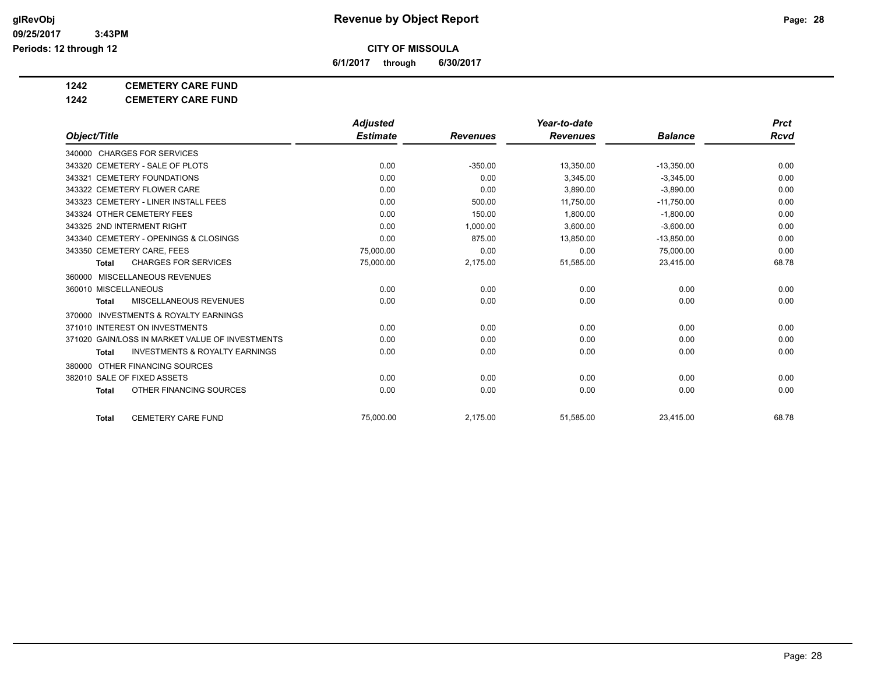**6/1/2017 through 6/30/2017**

#### **1242 CEMETERY CARE FUND**

**1242 CEMETERY CARE FUND**

|                                                           | <b>Adjusted</b> |                 | Year-to-date    |                | <b>Prct</b> |
|-----------------------------------------------------------|-----------------|-----------------|-----------------|----------------|-------------|
| Object/Title                                              | <b>Estimate</b> | <b>Revenues</b> | <b>Revenues</b> | <b>Balance</b> | <b>Rcvd</b> |
| 340000 CHARGES FOR SERVICES                               |                 |                 |                 |                |             |
| 343320 CEMETERY - SALE OF PLOTS                           | 0.00            | $-350.00$       | 13,350.00       | $-13,350.00$   | 0.00        |
| 343321 CEMETERY FOUNDATIONS                               | 0.00            | 0.00            | 3.345.00        | $-3.345.00$    | 0.00        |
| 343322 CEMETERY FLOWER CARE                               | 0.00            | 0.00            | 3.890.00        | $-3.890.00$    | 0.00        |
| 343323 CEMETERY - LINER INSTALL FEES                      | 0.00            | 500.00          | 11.750.00       | $-11,750.00$   | 0.00        |
| 343324 OTHER CEMETERY FEES                                | 0.00            | 150.00          | 1.800.00        | $-1.800.00$    | 0.00        |
| 343325 2ND INTERMENT RIGHT                                | 0.00            | 1.000.00        | 3.600.00        | $-3.600.00$    | 0.00        |
| 343340 CEMETERY - OPENINGS & CLOSINGS                     | 0.00            | 875.00          | 13,850.00       | $-13,850.00$   | 0.00        |
| 343350 CEMETERY CARE, FEES                                | 75,000.00       | 0.00            | 0.00            | 75,000.00      | 0.00        |
| <b>CHARGES FOR SERVICES</b><br><b>Total</b>               | 75,000.00       | 2,175.00        | 51,585.00       | 23,415.00      | 68.78       |
| 360000 MISCELLANEOUS REVENUES                             |                 |                 |                 |                |             |
| 360010 MISCELLANEOUS                                      | 0.00            | 0.00            | 0.00            | 0.00           | 0.00        |
| MISCELLANEOUS REVENUES<br><b>Total</b>                    | 0.00            | 0.00            | 0.00            | 0.00           | 0.00        |
| INVESTMENTS & ROYALTY EARNINGS<br>370000                  |                 |                 |                 |                |             |
| 371010 INTEREST ON INVESTMENTS                            | 0.00            | 0.00            | 0.00            | 0.00           | 0.00        |
| 371020 GAIN/LOSS IN MARKET VALUE OF INVESTMENTS           | 0.00            | 0.00            | 0.00            | 0.00           | 0.00        |
| <b>INVESTMENTS &amp; ROYALTY EARNINGS</b><br><b>Total</b> | 0.00            | 0.00            | 0.00            | 0.00           | 0.00        |
| OTHER FINANCING SOURCES<br>380000                         |                 |                 |                 |                |             |
| 382010 SALE OF FIXED ASSETS                               | 0.00            | 0.00            | 0.00            | 0.00           | 0.00        |
| OTHER FINANCING SOURCES<br><b>Total</b>                   | 0.00            | 0.00            | 0.00            | 0.00           | 0.00        |
| <b>CEMETERY CARE FUND</b><br><b>Total</b>                 | 75.000.00       | 2.175.00        | 51.585.00       | 23.415.00      | 68.78       |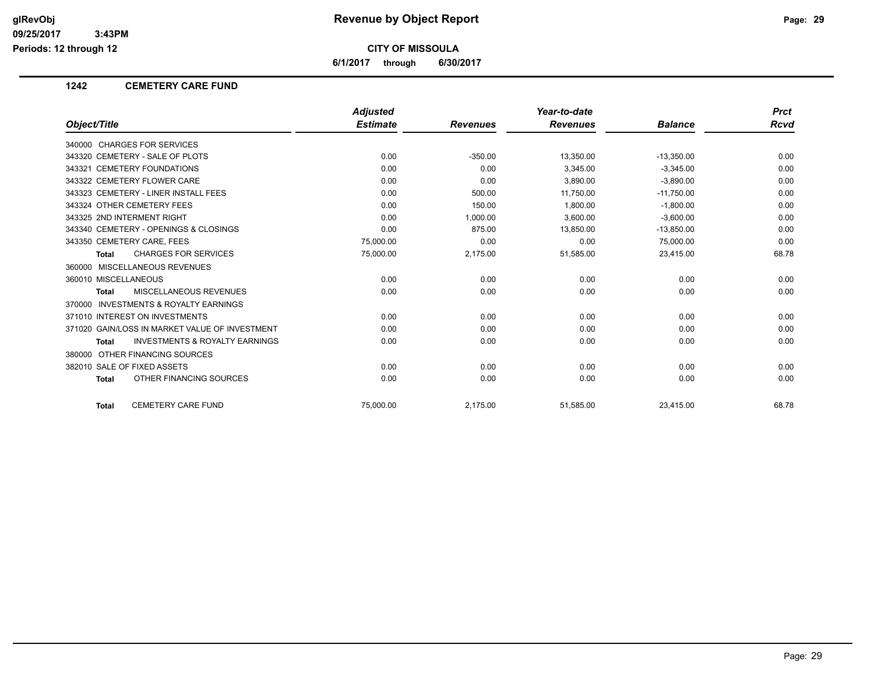**6/1/2017 through 6/30/2017**

#### **1242 CEMETERY CARE FUND**

|                                                           | <b>Adjusted</b> |                 | Year-to-date    |                | <b>Prct</b> |
|-----------------------------------------------------------|-----------------|-----------------|-----------------|----------------|-------------|
| Object/Title                                              | <b>Estimate</b> | <b>Revenues</b> | <b>Revenues</b> | <b>Balance</b> | Rcvd        |
| 340000 CHARGES FOR SERVICES                               |                 |                 |                 |                |             |
| 343320 CEMETERY - SALE OF PLOTS                           | 0.00            | $-350.00$       | 13,350.00       | $-13,350.00$   | 0.00        |
| 343321 CEMETERY FOUNDATIONS                               | 0.00            | 0.00            | 3,345.00        | $-3,345.00$    | 0.00        |
| 343322 CEMETERY FLOWER CARE                               | 0.00            | 0.00            | 3,890.00        | $-3,890.00$    | 0.00        |
| 343323 CEMETERY - LINER INSTALL FEES                      | 0.00            | 500.00          | 11.750.00       | $-11,750.00$   | 0.00        |
| 343324 OTHER CEMETERY FEES                                | 0.00            | 150.00          | 1.800.00        | $-1,800.00$    | 0.00        |
| 343325 2ND INTERMENT RIGHT                                | 0.00            | 1,000.00        | 3,600.00        | $-3,600.00$    | 0.00        |
| 343340 CEMETERY - OPENINGS & CLOSINGS                     | 0.00            | 875.00          | 13,850.00       | $-13,850.00$   | 0.00        |
| 343350 CEMETERY CARE, FEES                                | 75,000.00       | 0.00            | 0.00            | 75,000.00      | 0.00        |
| <b>CHARGES FOR SERVICES</b><br><b>Total</b>               | 75,000.00       | 2,175.00        | 51,585.00       | 23,415.00      | 68.78       |
| 360000 MISCELLANEOUS REVENUES                             |                 |                 |                 |                |             |
| 360010 MISCELLANEOUS                                      | 0.00            | 0.00            | 0.00            | 0.00           | 0.00        |
| <b>MISCELLANEOUS REVENUES</b><br><b>Total</b>             | 0.00            | 0.00            | 0.00            | 0.00           | 0.00        |
| 370000 INVESTMENTS & ROYALTY EARNINGS                     |                 |                 |                 |                |             |
| 371010 INTEREST ON INVESTMENTS                            | 0.00            | 0.00            | 0.00            | 0.00           | 0.00        |
| 371020 GAIN/LOSS IN MARKET VALUE OF INVESTMENT            | 0.00            | 0.00            | 0.00            | 0.00           | 0.00        |
| <b>INVESTMENTS &amp; ROYALTY EARNINGS</b><br><b>Total</b> | 0.00            | 0.00            | 0.00            | 0.00           | 0.00        |
| 380000 OTHER FINANCING SOURCES                            |                 |                 |                 |                |             |
| 382010 SALE OF FIXED ASSETS                               | 0.00            | 0.00            | 0.00            | 0.00           | 0.00        |
| OTHER FINANCING SOURCES<br><b>Total</b>                   | 0.00            | 0.00            | 0.00            | 0.00           | 0.00        |
| <b>CEMETERY CARE FUND</b><br><b>Total</b>                 | 75,000.00       | 2,175.00        | 51,585.00       | 23,415.00      | 68.78       |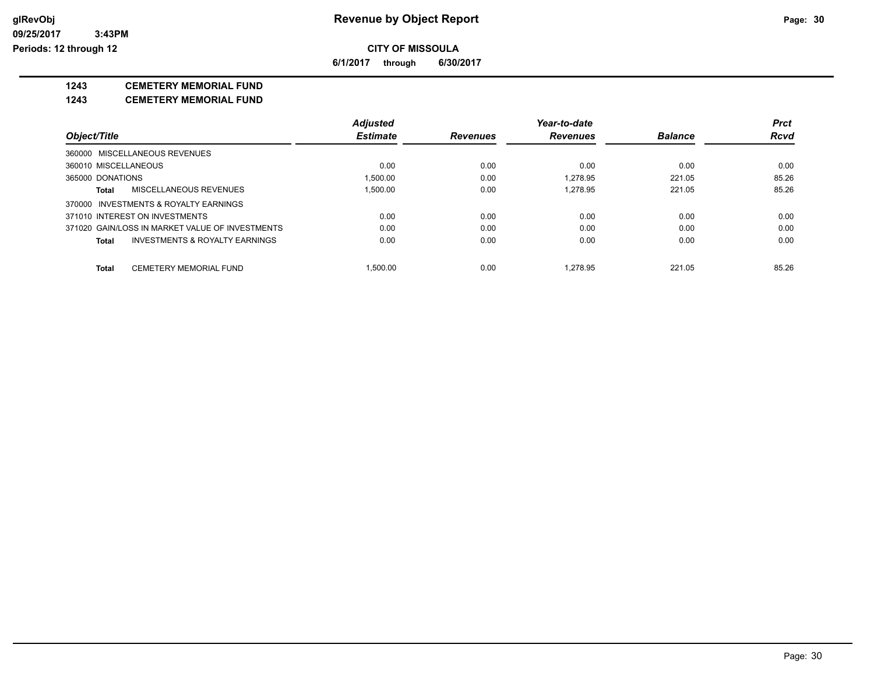**6/1/2017 through 6/30/2017**

**1243 CEMETERY MEMORIAL FUND**

**1243 CEMETERY MEMORIAL FUND**

|                                                    | <b>Adjusted</b> |                 | Year-to-date    |                | <b>Prct</b> |
|----------------------------------------------------|-----------------|-----------------|-----------------|----------------|-------------|
| Object/Title                                       | <b>Estimate</b> | <b>Revenues</b> | <b>Revenues</b> | <b>Balance</b> | <b>Rcvd</b> |
| 360000 MISCELLANEOUS REVENUES                      |                 |                 |                 |                |             |
| 360010 MISCELLANEOUS                               | 0.00            | 0.00            | 0.00            | 0.00           | 0.00        |
| 365000 DONATIONS                                   | 1.500.00        | 0.00            | 1.278.95        | 221.05         | 85.26       |
| MISCELLANEOUS REVENUES<br>Total                    | 1.500.00        | 0.00            | 1.278.95        | 221.05         | 85.26       |
| 370000 INVESTMENTS & ROYALTY EARNINGS              |                 |                 |                 |                |             |
| 371010 INTEREST ON INVESTMENTS                     | 0.00            | 0.00            | 0.00            | 0.00           | 0.00        |
| 371020 GAIN/LOSS IN MARKET VALUE OF INVESTMENTS    | 0.00            | 0.00            | 0.00            | 0.00           | 0.00        |
| <b>INVESTMENTS &amp; ROYALTY EARNINGS</b><br>Total | 0.00            | 0.00            | 0.00            | 0.00           | 0.00        |
| <b>CEMETERY MEMORIAL FUND</b><br><b>Total</b>      | 1.500.00        | 0.00            | 1.278.95        | 221.05         | 85.26       |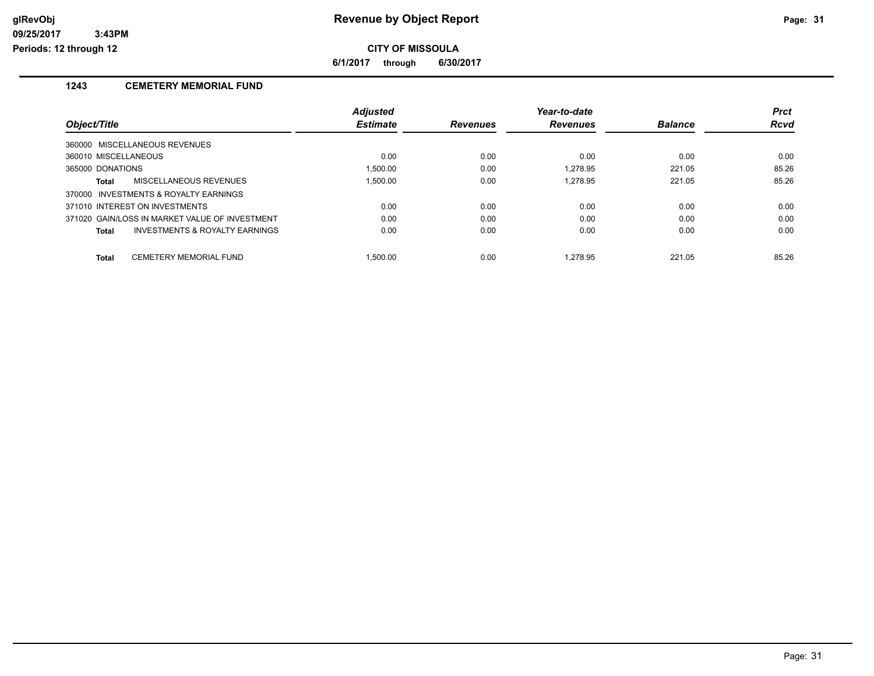**6/1/2017 through 6/30/2017**

#### **1243 CEMETERY MEMORIAL FUND**

|                                                | <b>Adjusted</b> |                 | Year-to-date    |                | <b>Prct</b> |
|------------------------------------------------|-----------------|-----------------|-----------------|----------------|-------------|
| Object/Title                                   | <b>Estimate</b> | <b>Revenues</b> | <b>Revenues</b> | <b>Balance</b> | <b>Rcvd</b> |
| 360000 MISCELLANEOUS REVENUES                  |                 |                 |                 |                |             |
| 360010 MISCELLANEOUS                           | 0.00            | 0.00            | 0.00            | 0.00           | 0.00        |
| 365000 DONATIONS                               | 1.500.00        | 0.00            | 1.278.95        | 221.05         | 85.26       |
| MISCELLANEOUS REVENUES<br>Total                | 1.500.00        | 0.00            | 1.278.95        | 221.05         | 85.26       |
| 370000 INVESTMENTS & ROYALTY EARNINGS          |                 |                 |                 |                |             |
| 371010 INTEREST ON INVESTMENTS                 | 0.00            | 0.00            | 0.00            | 0.00           | 0.00        |
| 371020 GAIN/LOSS IN MARKET VALUE OF INVESTMENT | 0.00            | 0.00            | 0.00            | 0.00           | 0.00        |
| INVESTMENTS & ROYALTY EARNINGS<br><b>Total</b> | 0.00            | 0.00            | 0.00            | 0.00           | 0.00        |
| <b>CEMETERY MEMORIAL FUND</b><br><b>Total</b>  | 1.500.00        | 0.00            | 1.278.95        | 221.05         | 85.26       |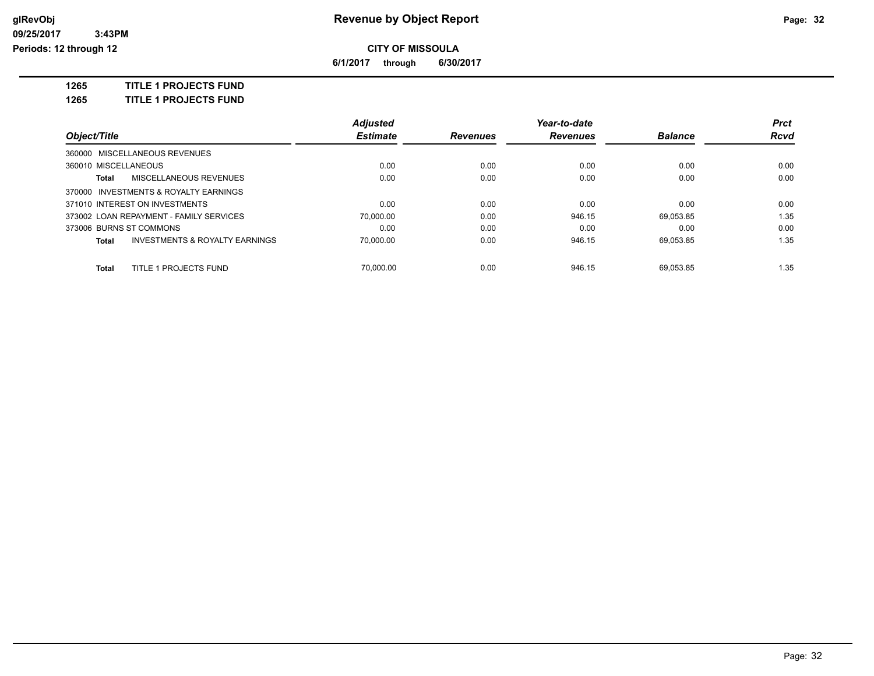**6/1/2017 through 6/30/2017**

**1265 TITLE 1 PROJECTS FUND**

**1265 TITLE 1 PROJECTS FUND**

|                                                    | <b>Adjusted</b> |                 | Year-to-date    |                | <b>Prct</b> |
|----------------------------------------------------|-----------------|-----------------|-----------------|----------------|-------------|
| Object/Title                                       | <b>Estimate</b> | <b>Revenues</b> | <b>Revenues</b> | <b>Balance</b> | Rcvd        |
| 360000 MISCELLANEOUS REVENUES                      |                 |                 |                 |                |             |
| 360010 MISCELLANEOUS                               | 0.00            | 0.00            | 0.00            | 0.00           | 0.00        |
| <b>MISCELLANEOUS REVENUES</b><br>Total             | 0.00            | 0.00            | 0.00            | 0.00           | 0.00        |
| 370000 INVESTMENTS & ROYALTY EARNINGS              |                 |                 |                 |                |             |
| 371010 INTEREST ON INVESTMENTS                     | 0.00            | 0.00            | 0.00            | 0.00           | 0.00        |
| 373002 LOAN REPAYMENT - FAMILY SERVICES            | 70.000.00       | 0.00            | 946.15          | 69.053.85      | 1.35        |
| 373006 BURNS ST COMMONS                            | 0.00            | 0.00            | 0.00            | 0.00           | 0.00        |
| <b>INVESTMENTS &amp; ROYALTY EARNINGS</b><br>Total | 70.000.00       | 0.00            | 946.15          | 69.053.85      | 1.35        |
|                                                    |                 |                 |                 |                |             |
| TITLE 1 PROJECTS FUND<br>Total                     | 70.000.00       | 0.00            | 946.15          | 69.053.85      | 1.35        |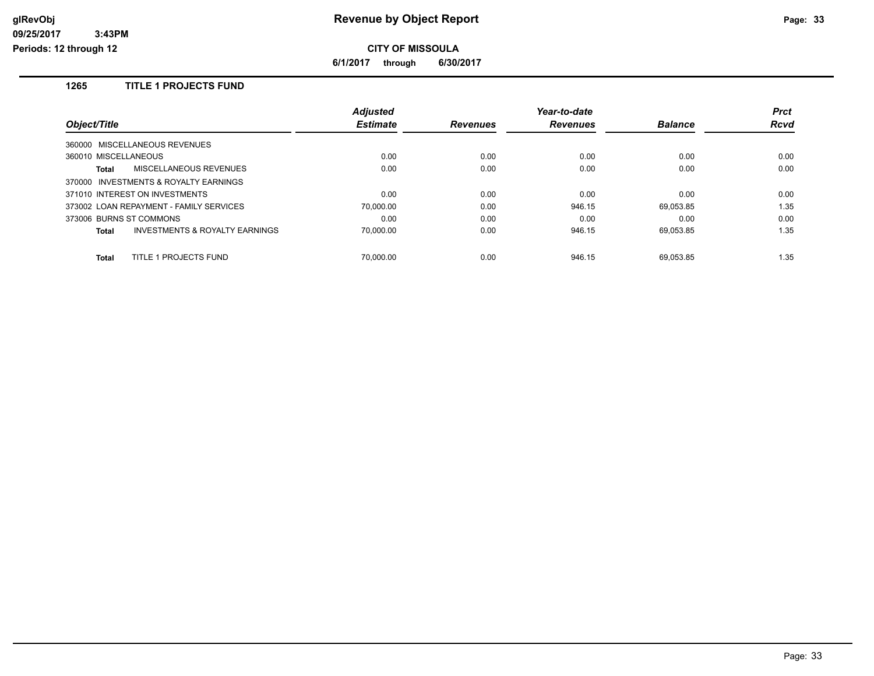**6/1/2017 through 6/30/2017**

#### **1265 TITLE 1 PROJECTS FUND**

|                                                           | <b>Adjusted</b> |                 | Year-to-date    |                | <b>Prct</b> |
|-----------------------------------------------------------|-----------------|-----------------|-----------------|----------------|-------------|
| Object/Title                                              | <b>Estimate</b> | <b>Revenues</b> | <b>Revenues</b> | <b>Balance</b> | <b>Rcvd</b> |
| MISCELLANEOUS REVENUES<br>360000                          |                 |                 |                 |                |             |
| 360010 MISCELLANEOUS                                      | 0.00            | 0.00            | 0.00            | 0.00           | 0.00        |
| <b>MISCELLANEOUS REVENUES</b><br>Total                    | 0.00            | 0.00            | 0.00            | 0.00           | 0.00        |
| INVESTMENTS & ROYALTY EARNINGS<br>370000                  |                 |                 |                 |                |             |
| 371010 INTEREST ON INVESTMENTS                            | 0.00            | 0.00            | 0.00            | 0.00           | 0.00        |
| 373002 LOAN REPAYMENT - FAMILY SERVICES                   | 70.000.00       | 0.00            | 946.15          | 69,053.85      | 1.35        |
| 373006 BURNS ST COMMONS                                   | 0.00            | 0.00            | 0.00            | 0.00           | 0.00        |
| <b>Total</b><br><b>INVESTMENTS &amp; ROYALTY EARNINGS</b> | 70.000.00       | 0.00            | 946.15          | 69,053.85      | 1.35        |
| TITLE 1 PROJECTS FUND<br><b>Total</b>                     | 70.000.00       | 0.00            | 946.15          | 69.053.85      | 1.35        |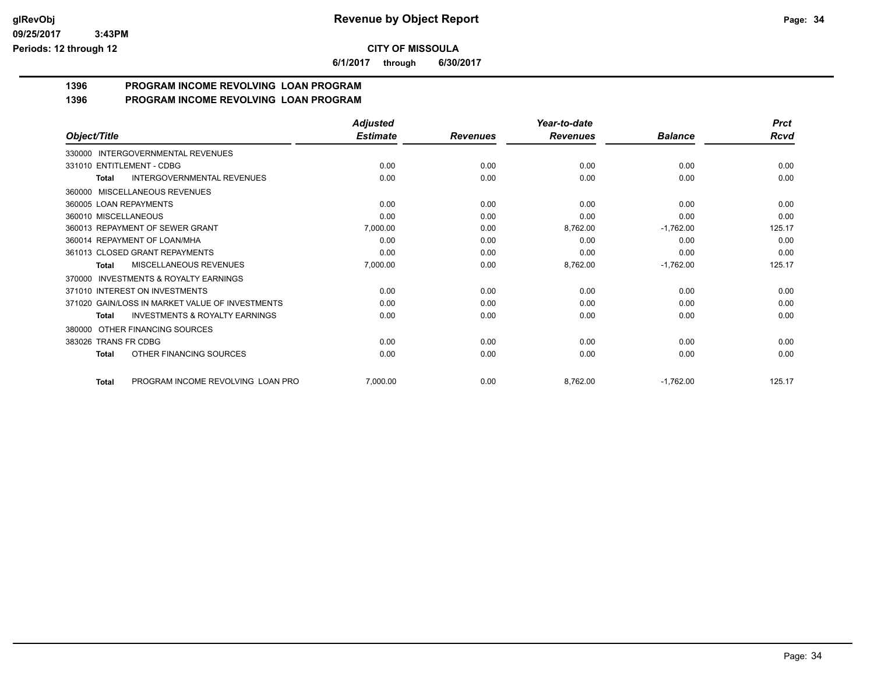**6/1/2017 through 6/30/2017**

# **1396 PROGRAM INCOME REVOLVING LOAN PROGRAM**

| 1396 | <b>PROGRAM INCOME REVOLVING LOAN PROGRAM</b> |
|------|----------------------------------------------|
|------|----------------------------------------------|

|                                                           | <b>Adjusted</b> |                 | Year-to-date    |                | <b>Prct</b> |
|-----------------------------------------------------------|-----------------|-----------------|-----------------|----------------|-------------|
| Object/Title                                              | <b>Estimate</b> | <b>Revenues</b> | <b>Revenues</b> | <b>Balance</b> | Rcvd        |
| 330000 INTERGOVERNMENTAL REVENUES                         |                 |                 |                 |                |             |
| 331010 ENTITLEMENT - CDBG                                 | 0.00            | 0.00            | 0.00            | 0.00           | 0.00        |
| <b>INTERGOVERNMENTAL REVENUES</b><br><b>Total</b>         | 0.00            | 0.00            | 0.00            | 0.00           | 0.00        |
| MISCELLANEOUS REVENUES<br>360000                          |                 |                 |                 |                |             |
| 360005 LOAN REPAYMENTS                                    | 0.00            | 0.00            | 0.00            | 0.00           | 0.00        |
| 360010 MISCELLANEOUS                                      | 0.00            | 0.00            | 0.00            | 0.00           | 0.00        |
| 360013 REPAYMENT OF SEWER GRANT                           | 7,000.00        | 0.00            | 8,762.00        | $-1,762.00$    | 125.17      |
| 360014 REPAYMENT OF LOAN/MHA                              | 0.00            | 0.00            | 0.00            | 0.00           | 0.00        |
| 361013 CLOSED GRANT REPAYMENTS                            | 0.00            | 0.00            | 0.00            | 0.00           | 0.00        |
| MISCELLANEOUS REVENUES<br><b>Total</b>                    | 7,000.00        | 0.00            | 8,762.00        | $-1,762.00$    | 125.17      |
| INVESTMENTS & ROYALTY EARNINGS<br>370000                  |                 |                 |                 |                |             |
| 371010 INTEREST ON INVESTMENTS                            | 0.00            | 0.00            | 0.00            | 0.00           | 0.00        |
| 371020 GAIN/LOSS IN MARKET VALUE OF INVESTMENTS           | 0.00            | 0.00            | 0.00            | 0.00           | 0.00        |
| <b>INVESTMENTS &amp; ROYALTY EARNINGS</b><br><b>Total</b> | 0.00            | 0.00            | 0.00            | 0.00           | 0.00        |
| OTHER FINANCING SOURCES<br>380000                         |                 |                 |                 |                |             |
| 383026 TRANS FR CDBG                                      | 0.00            | 0.00            | 0.00            | 0.00           | 0.00        |
| OTHER FINANCING SOURCES<br><b>Total</b>                   | 0.00            | 0.00            | 0.00            | 0.00           | 0.00        |
| PROGRAM INCOME REVOLVING LOAN PRO<br><b>Total</b>         | 7,000.00        | 0.00            | 8,762.00        | $-1,762.00$    | 125.17      |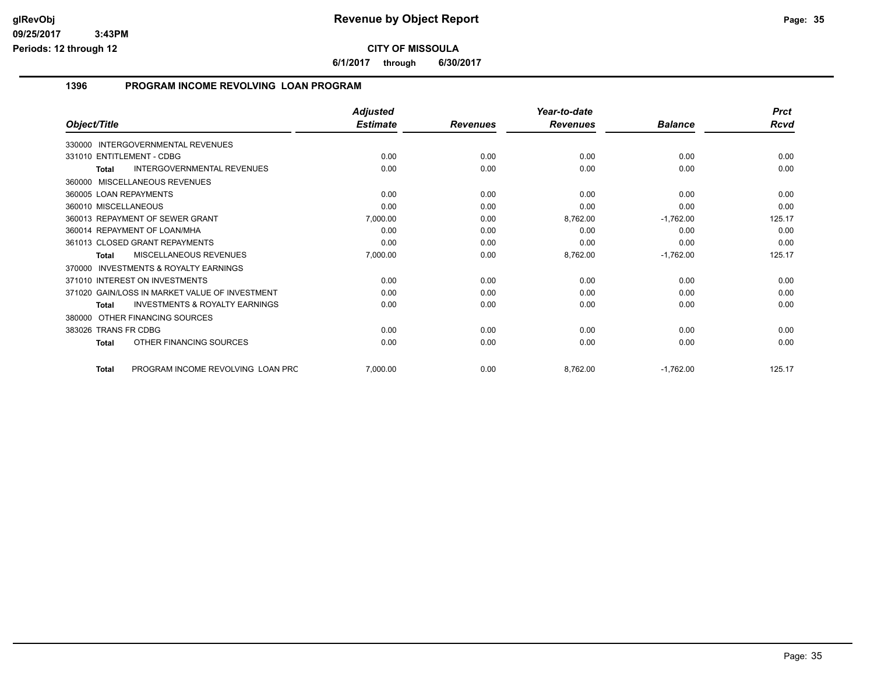**6/1/2017 through 6/30/2017**

#### **1396 PROGRAM INCOME REVOLVING LOAN PROGRAM**

|                                                           | <b>Adjusted</b> |                 | Year-to-date    |                | <b>Prct</b> |
|-----------------------------------------------------------|-----------------|-----------------|-----------------|----------------|-------------|
| Object/Title                                              | <b>Estimate</b> | <b>Revenues</b> | <b>Revenues</b> | <b>Balance</b> | Rcvd        |
| 330000 INTERGOVERNMENTAL REVENUES                         |                 |                 |                 |                |             |
| 331010 ENTITLEMENT - CDBG                                 | 0.00            | 0.00            | 0.00            | 0.00           | 0.00        |
| <b>INTERGOVERNMENTAL REVENUES</b><br><b>Total</b>         | 0.00            | 0.00            | 0.00            | 0.00           | 0.00        |
| 360000 MISCELLANEOUS REVENUES                             |                 |                 |                 |                |             |
| 360005 LOAN REPAYMENTS                                    | 0.00            | 0.00            | 0.00            | 0.00           | 0.00        |
| 360010 MISCELLANEOUS                                      | 0.00            | 0.00            | 0.00            | 0.00           | 0.00        |
| 360013 REPAYMENT OF SEWER GRANT                           | 7,000.00        | 0.00            | 8,762.00        | $-1,762.00$    | 125.17      |
| 360014 REPAYMENT OF LOAN/MHA                              | 0.00            | 0.00            | 0.00            | 0.00           | 0.00        |
| 361013 CLOSED GRANT REPAYMENTS                            | 0.00            | 0.00            | 0.00            | 0.00           | 0.00        |
| MISCELLANEOUS REVENUES<br><b>Total</b>                    | 7,000.00        | 0.00            | 8,762.00        | $-1,762.00$    | 125.17      |
| <b>INVESTMENTS &amp; ROYALTY EARNINGS</b><br>370000       |                 |                 |                 |                |             |
| 371010 INTEREST ON INVESTMENTS                            | 0.00            | 0.00            | 0.00            | 0.00           | 0.00        |
| 371020 GAIN/LOSS IN MARKET VALUE OF INVESTMENT            | 0.00            | 0.00            | 0.00            | 0.00           | 0.00        |
| <b>INVESTMENTS &amp; ROYALTY EARNINGS</b><br><b>Total</b> | 0.00            | 0.00            | 0.00            | 0.00           | 0.00        |
| 380000 OTHER FINANCING SOURCES                            |                 |                 |                 |                |             |
| 383026 TRANS FR CDBG                                      | 0.00            | 0.00            | 0.00            | 0.00           | 0.00        |
| OTHER FINANCING SOURCES<br><b>Total</b>                   | 0.00            | 0.00            | 0.00            | 0.00           | 0.00        |
| PROGRAM INCOME REVOLVING LOAN PRC<br><b>Total</b>         | 7,000.00        | 0.00            | 8,762.00        | $-1,762.00$    | 125.17      |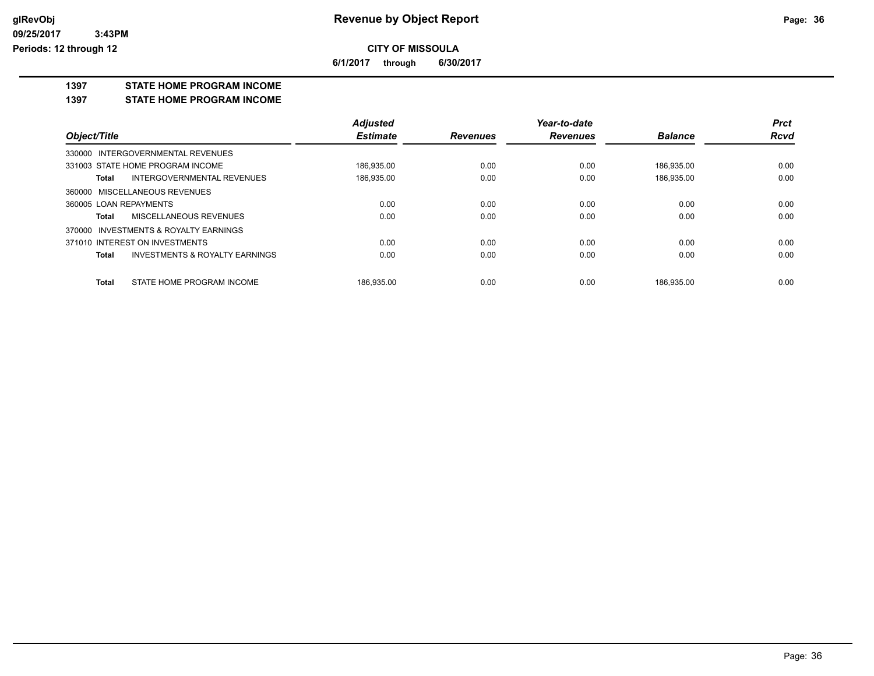**6/1/2017 through 6/30/2017**

#### **1397 STATE HOME PROGRAM INCOME**

#### **1397 STATE HOME PROGRAM INCOME**

|                                                           | <b>Adjusted</b> |                 | Year-to-date    |                | <b>Prct</b> |
|-----------------------------------------------------------|-----------------|-----------------|-----------------|----------------|-------------|
| Object/Title                                              | <b>Estimate</b> | <b>Revenues</b> | <b>Revenues</b> | <b>Balance</b> | <b>Rcvd</b> |
| 330000 INTERGOVERNMENTAL REVENUES                         |                 |                 |                 |                |             |
| 331003 STATE HOME PROGRAM INCOME                          | 186.935.00      | 0.00            | 0.00            | 186.935.00     | 0.00        |
| INTERGOVERNMENTAL REVENUES<br>Total                       | 186,935.00      | 0.00            | 0.00            | 186,935.00     | 0.00        |
| 360000 MISCELLANEOUS REVENUES                             |                 |                 |                 |                |             |
| 360005 LOAN REPAYMENTS                                    | 0.00            | 0.00            | 0.00            | 0.00           | 0.00        |
| MISCELLANEOUS REVENUES<br>Total                           | 0.00            | 0.00            | 0.00            | 0.00           | 0.00        |
| 370000 INVESTMENTS & ROYALTY EARNINGS                     |                 |                 |                 |                |             |
| 371010 INTEREST ON INVESTMENTS                            | 0.00            | 0.00            | 0.00            | 0.00           | 0.00        |
| <b>INVESTMENTS &amp; ROYALTY EARNINGS</b><br><b>Total</b> | 0.00            | 0.00            | 0.00            | 0.00           | 0.00        |
| STATE HOME PROGRAM INCOME<br><b>Total</b>                 | 186.935.00      | 0.00            | 0.00            | 186.935.00     | 0.00        |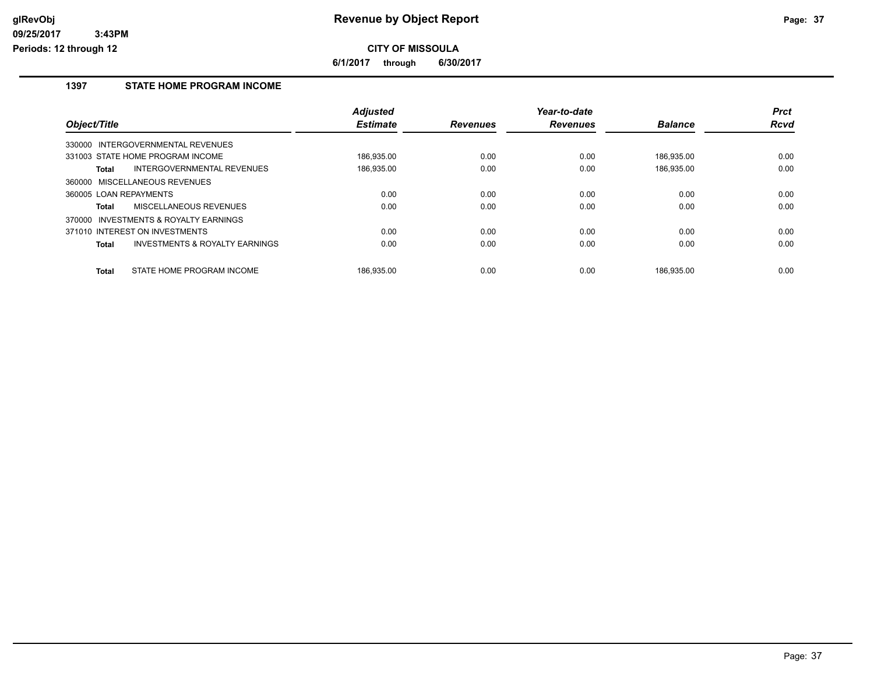**6/1/2017 through 6/30/2017**

# **1397 STATE HOME PROGRAM INCOME**

| Object/Title           |                                           | <b>Adjusted</b><br><b>Estimate</b> | <b>Revenues</b> | Year-to-date<br><b>Revenues</b> | <b>Balance</b> | <b>Prct</b><br>Rcvd |
|------------------------|-------------------------------------------|------------------------------------|-----------------|---------------------------------|----------------|---------------------|
|                        | 330000 INTERGOVERNMENTAL REVENUES         |                                    |                 |                                 |                |                     |
|                        | 331003 STATE HOME PROGRAM INCOME          | 186,935.00                         | 0.00            | 0.00                            | 186,935.00     | 0.00                |
| Total                  | INTERGOVERNMENTAL REVENUES                | 186.935.00                         | 0.00            | 0.00                            | 186.935.00     | 0.00                |
|                        | 360000 MISCELLANEOUS REVENUES             |                                    |                 |                                 |                |                     |
| 360005 LOAN REPAYMENTS |                                           | 0.00                               | 0.00            | 0.00                            | 0.00           | 0.00                |
| Total                  | MISCELLANEOUS REVENUES                    | 0.00                               | 0.00            | 0.00                            | 0.00           | 0.00                |
|                        | 370000 INVESTMENTS & ROYALTY EARNINGS     |                                    |                 |                                 |                |                     |
|                        | 371010 INTEREST ON INVESTMENTS            | 0.00                               | 0.00            | 0.00                            | 0.00           | 0.00                |
| <b>Total</b>           | <b>INVESTMENTS &amp; ROYALTY EARNINGS</b> | 0.00                               | 0.00            | 0.00                            | 0.00           | 0.00                |
| <b>Total</b>           | STATE HOME PROGRAM INCOME                 | 186.935.00                         | 0.00            | 0.00                            | 186.935.00     | 0.00                |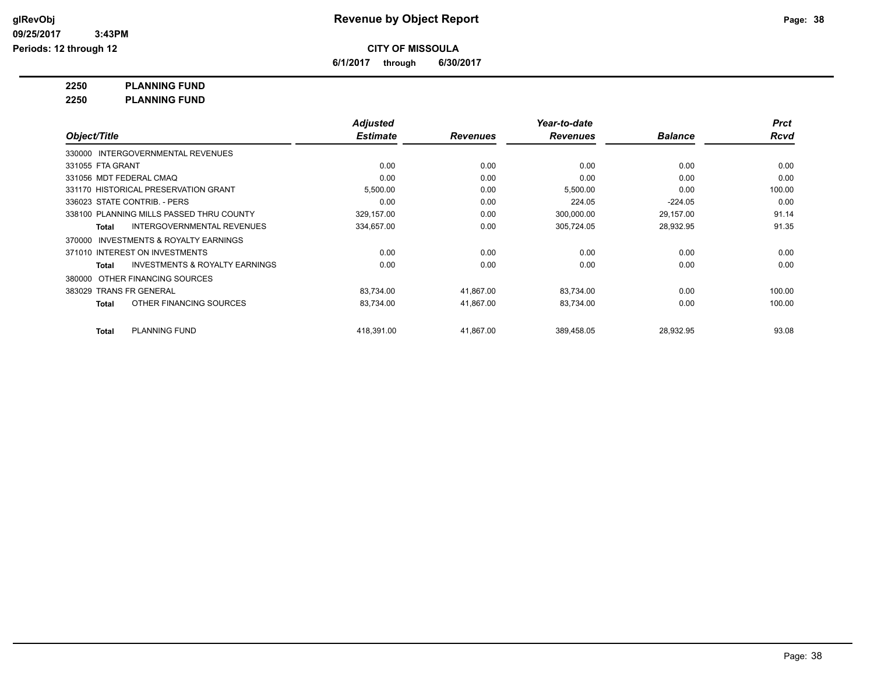**6/1/2017 through 6/30/2017**

# **2250 PLANNING FUND**

**2250 PLANNING FUND**

|                                                    | <b>Adjusted</b> |                 | Year-to-date    |                | <b>Prct</b> |
|----------------------------------------------------|-----------------|-----------------|-----------------|----------------|-------------|
| Object/Title                                       | <b>Estimate</b> | <b>Revenues</b> | <b>Revenues</b> | <b>Balance</b> | <b>Rcvd</b> |
| 330000 INTERGOVERNMENTAL REVENUES                  |                 |                 |                 |                |             |
| 331055 FTA GRANT                                   | 0.00            | 0.00            | 0.00            | 0.00           | 0.00        |
| 331056 MDT FEDERAL CMAQ                            | 0.00            | 0.00            | 0.00            | 0.00           | 0.00        |
| 331170 HISTORICAL PRESERVATION GRANT               | 5,500.00        | 0.00            | 5,500.00        | 0.00           | 100.00      |
| 336023 STATE CONTRIB. - PERS                       | 0.00            | 0.00            | 224.05          | $-224.05$      | 0.00        |
| 338100 PLANNING MILLS PASSED THRU COUNTY           | 329,157.00      | 0.00            | 300,000.00      | 29,157.00      | 91.14       |
| <b>INTERGOVERNMENTAL REVENUES</b><br>Total         | 334,657.00      | 0.00            | 305,724.05      | 28,932.95      | 91.35       |
| INVESTMENTS & ROYALTY EARNINGS<br>370000           |                 |                 |                 |                |             |
| 371010 INTEREST ON INVESTMENTS                     | 0.00            | 0.00            | 0.00            | 0.00           | 0.00        |
| <b>INVESTMENTS &amp; ROYALTY EARNINGS</b><br>Total | 0.00            | 0.00            | 0.00            | 0.00           | 0.00        |
| OTHER FINANCING SOURCES<br>380000                  |                 |                 |                 |                |             |
| 383029 TRANS FR GENERAL                            | 83,734.00       | 41,867.00       | 83,734.00       | 0.00           | 100.00      |
| OTHER FINANCING SOURCES<br><b>Total</b>            | 83,734.00       | 41,867.00       | 83.734.00       | 0.00           | 100.00      |
| <b>PLANNING FUND</b><br><b>Total</b>               | 418.391.00      | 41,867.00       | 389.458.05      | 28,932.95      | 93.08       |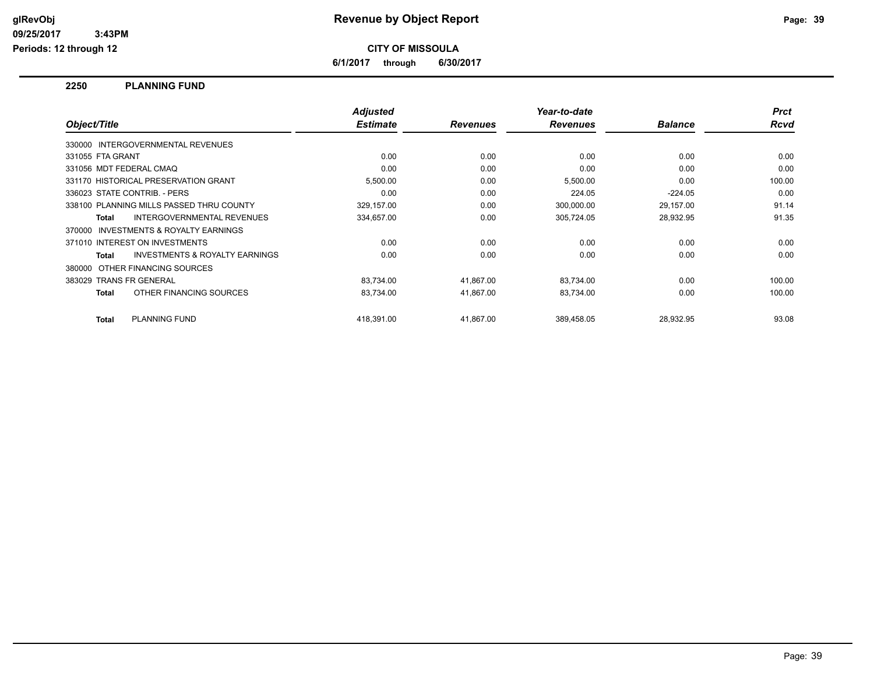**6/1/2017 through 6/30/2017**

# **2250 PLANNING FUND**

| Object/Title                                        | <b>Adjusted</b><br><b>Estimate</b> | <b>Revenues</b> | Year-to-date<br><b>Revenues</b> | <b>Balance</b> | <b>Prct</b><br><b>Rcvd</b> |
|-----------------------------------------------------|------------------------------------|-----------------|---------------------------------|----------------|----------------------------|
| 330000 INTERGOVERNMENTAL REVENUES                   |                                    |                 |                                 |                |                            |
| 331055 FTA GRANT                                    | 0.00                               | 0.00            | 0.00                            | 0.00           | 0.00                       |
| 331056 MDT FEDERAL CMAQ                             | 0.00                               | 0.00            | 0.00                            | 0.00           | 0.00                       |
| 331170 HISTORICAL PRESERVATION GRANT                | 5,500.00                           | 0.00            | 5,500.00                        | 0.00           | 100.00                     |
| 336023 STATE CONTRIB. - PERS                        | 0.00                               | 0.00            | 224.05                          | $-224.05$      | 0.00                       |
| 338100 PLANNING MILLS PASSED THRU COUNTY            | 329,157.00                         | 0.00            | 300,000.00                      | 29,157.00      | 91.14                      |
| <b>INTERGOVERNMENTAL REVENUES</b><br>Total          | 334,657.00                         | 0.00            | 305,724.05                      | 28,932.95      | 91.35                      |
| <b>INVESTMENTS &amp; ROYALTY EARNINGS</b><br>370000 |                                    |                 |                                 |                |                            |
| 371010 INTEREST ON INVESTMENTS                      | 0.00                               | 0.00            | 0.00                            | 0.00           | 0.00                       |
| <b>INVESTMENTS &amp; ROYALTY EARNINGS</b><br>Total  | 0.00                               | 0.00            | 0.00                            | 0.00           | 0.00                       |
| 380000 OTHER FINANCING SOURCES                      |                                    |                 |                                 |                |                            |
| 383029 TRANS FR GENERAL                             | 83,734.00                          | 41,867.00       | 83,734.00                       | 0.00           | 100.00                     |
| OTHER FINANCING SOURCES<br>Total                    | 83,734.00                          | 41,867.00       | 83,734.00                       | 0.00           | 100.00                     |
| PLANNING FUND<br>Total                              | 418.391.00                         | 41,867.00       | 389,458.05                      | 28.932.95      | 93.08                      |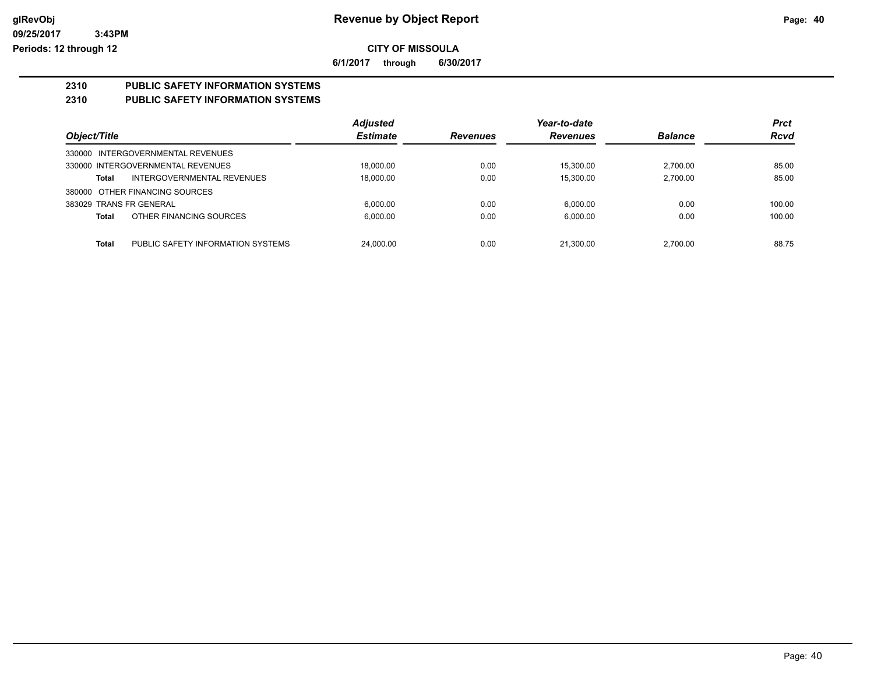**6/1/2017 through 6/30/2017**

# **2310 PUBLIC SAFETY INFORMATION SYSTEMS 2310 PUBLIC SAFETY INFORMATION SYSTEMS**

|                                            | <b>Adjusted</b> |                 | Year-to-date    |                | <b>Prct</b> |
|--------------------------------------------|-----------------|-----------------|-----------------|----------------|-------------|
| Object/Title                               | <b>Estimate</b> | <b>Revenues</b> | <b>Revenues</b> | <b>Balance</b> | <b>Rcvd</b> |
| 330000 INTERGOVERNMENTAL REVENUES          |                 |                 |                 |                |             |
| 330000 INTERGOVERNMENTAL REVENUES          | 18.000.00       | 0.00            | 15.300.00       | 2.700.00       | 85.00       |
| INTERGOVERNMENTAL REVENUES<br>Total        | 18.000.00       | 0.00            | 15.300.00       | 2,700.00       | 85.00       |
| 380000 OTHER FINANCING SOURCES             |                 |                 |                 |                |             |
| 383029 TRANS FR GENERAL                    | 6.000.00        | 0.00            | 6.000.00        | 0.00           | 100.00      |
| OTHER FINANCING SOURCES<br>Total           | 6.000.00        | 0.00            | 6.000.00        | 0.00           | 100.00      |
|                                            |                 |                 |                 |                |             |
| PUBLIC SAFETY INFORMATION SYSTEMS<br>Total | 24.000.00       | 0.00            | 21.300.00       | 2.700.00       | 88.75       |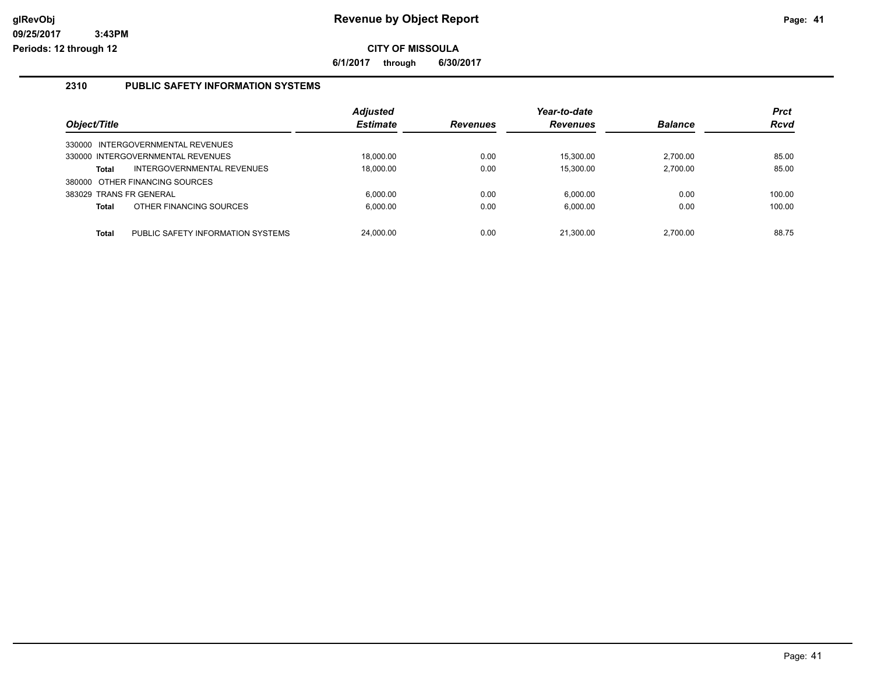**6/1/2017 through 6/30/2017**

# **2310 PUBLIC SAFETY INFORMATION SYSTEMS**

|                                                   | <b>Adjusted</b> |                 | Year-to-date    |                | <b>Prct</b> |
|---------------------------------------------------|-----------------|-----------------|-----------------|----------------|-------------|
| Object/Title                                      | <b>Estimate</b> | <b>Revenues</b> | <b>Revenues</b> | <b>Balance</b> | <b>Rcvd</b> |
| 330000 INTERGOVERNMENTAL REVENUES                 |                 |                 |                 |                |             |
| 330000 INTERGOVERNMENTAL REVENUES                 | 18.000.00       | 0.00            | 15.300.00       | 2.700.00       | 85.00       |
| INTERGOVERNMENTAL REVENUES<br><b>Total</b>        | 18.000.00       | 0.00            | 15,300.00       | 2.700.00       | 85.00       |
| 380000 OTHER FINANCING SOURCES                    |                 |                 |                 |                |             |
| 383029 TRANS FR GENERAL                           | 6,000.00        | 0.00            | 6,000.00        | 0.00           | 100.00      |
| OTHER FINANCING SOURCES<br><b>Total</b>           | 6,000.00        | 0.00            | 6,000.00        | 0.00           | 100.00      |
|                                                   |                 |                 |                 |                |             |
| PUBLIC SAFETY INFORMATION SYSTEMS<br><b>Total</b> | 24.000.00       | 0.00            | 21.300.00       | 2.700.00       | 88.75       |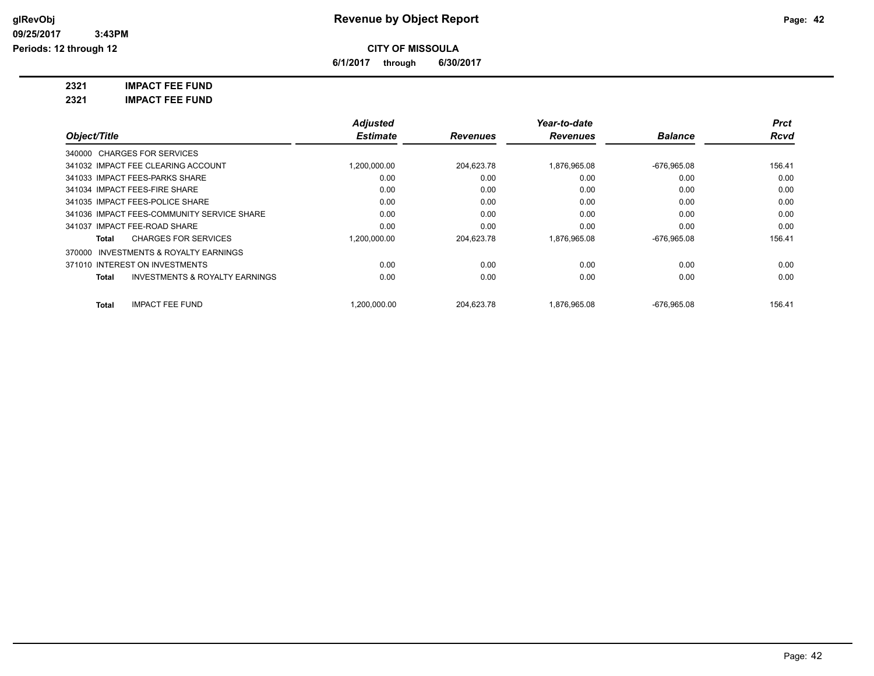**6/1/2017 through 6/30/2017**

**2321 IMPACT FEE FUND**

**2321 IMPACT FEE FUND**

|                                                           | <b>Adjusted</b> |                 | Year-to-date    |                | <b>Prct</b> |
|-----------------------------------------------------------|-----------------|-----------------|-----------------|----------------|-------------|
| Object/Title                                              | <b>Estimate</b> | <b>Revenues</b> | <b>Revenues</b> | <b>Balance</b> | Rcvd        |
| 340000 CHARGES FOR SERVICES                               |                 |                 |                 |                |             |
| 341032 IMPACT FEE CLEARING ACCOUNT                        | 1,200,000.00    | 204,623.78      | 1,876,965.08    | $-676.965.08$  | 156.41      |
| 341033 IMPACT FEES-PARKS SHARE                            | 0.00            | 0.00            | 0.00            | 0.00           | 0.00        |
| 341034 IMPACT FEES-FIRE SHARE                             | 0.00            | 0.00            | 0.00            | 0.00           | 0.00        |
| 341035 IMPACT FEES-POLICE SHARE                           | 0.00            | 0.00            | 0.00            | 0.00           | 0.00        |
| 341036 IMPACT FEES-COMMUNITY SERVICE SHARE                | 0.00            | 0.00            | 0.00            | 0.00           | 0.00        |
| 341037 IMPACT FEE-ROAD SHARE                              | 0.00            | 0.00            | 0.00            | 0.00           | 0.00        |
| <b>CHARGES FOR SERVICES</b><br>Total                      | 1,200,000.00    | 204,623.78      | 1,876,965.08    | $-676,965.08$  | 156.41      |
| 370000 INVESTMENTS & ROYALTY EARNINGS                     |                 |                 |                 |                |             |
| 371010 INTEREST ON INVESTMENTS                            | 0.00            | 0.00            | 0.00            | 0.00           | 0.00        |
| <b>INVESTMENTS &amp; ROYALTY EARNINGS</b><br><b>Total</b> | 0.00            | 0.00            | 0.00            | 0.00           | 0.00        |
| <b>IMPACT FEE FUND</b><br>Total                           | .200.000.00     | 204.623.78      | 1.876.965.08    | $-676.965.08$  | 156.41      |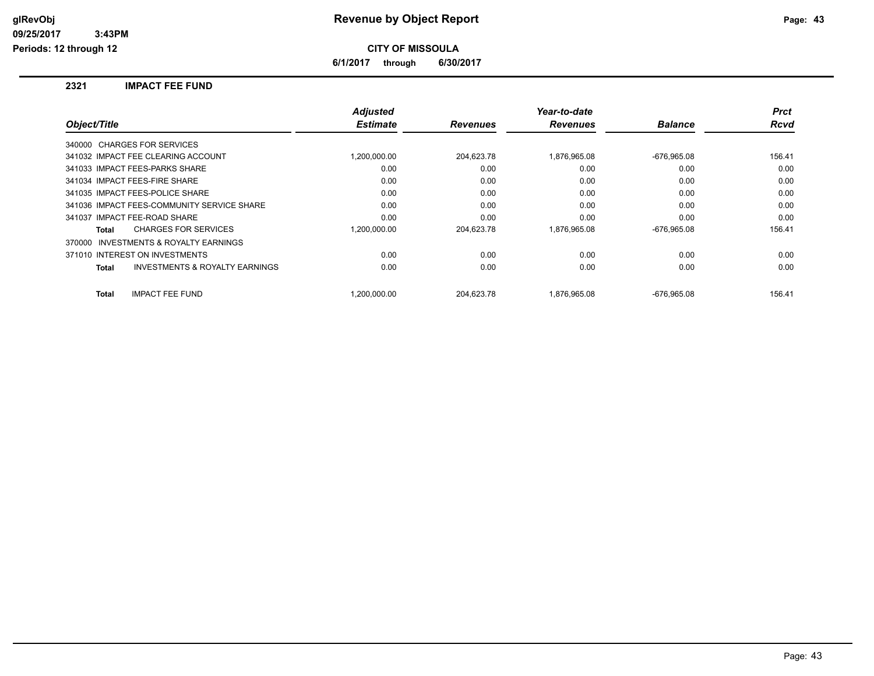**6/1/2017 through 6/30/2017**

# **2321 IMPACT FEE FUND**

| Object/Title                                              | <b>Adjusted</b><br><b>Estimate</b> | <b>Revenues</b> | Year-to-date<br><b>Revenues</b> | <b>Balance</b> | <b>Prct</b><br><b>Rcvd</b> |
|-----------------------------------------------------------|------------------------------------|-----------------|---------------------------------|----------------|----------------------------|
|                                                           |                                    |                 |                                 |                |                            |
| 340000 CHARGES FOR SERVICES                               |                                    |                 |                                 |                |                            |
| 341032 IMPACT FEE CLEARING ACCOUNT                        | 1.200.000.00                       | 204,623.78      | 1,876,965.08                    | $-676,965.08$  | 156.41                     |
| 341033 IMPACT FEES-PARKS SHARE                            | 0.00                               | 0.00            | 0.00                            | 0.00           | 0.00                       |
| 341034 IMPACT FEES-FIRE SHARE                             | 0.00                               | 0.00            | 0.00                            | 0.00           | 0.00                       |
| 341035 IMPACT FEES-POLICE SHARE                           | 0.00                               | 0.00            | 0.00                            | 0.00           | 0.00                       |
| 341036 IMPACT FEES-COMMUNITY SERVICE SHARE                | 0.00                               | 0.00            | 0.00                            | 0.00           | 0.00                       |
| 341037 IMPACT FEE-ROAD SHARE                              | 0.00                               | 0.00            | 0.00                            | 0.00           | 0.00                       |
| <b>CHARGES FOR SERVICES</b><br><b>Total</b>               | 1.200.000.00                       | 204.623.78      | 1.876.965.08                    | $-676.965.08$  | 156.41                     |
| INVESTMENTS & ROYALTY EARNINGS<br>370000                  |                                    |                 |                                 |                |                            |
| 371010 INTEREST ON INVESTMENTS                            | 0.00                               | 0.00            | 0.00                            | 0.00           | 0.00                       |
| <b>INVESTMENTS &amp; ROYALTY EARNINGS</b><br><b>Total</b> | 0.00                               | 0.00            | 0.00                            | 0.00           | 0.00                       |
| <b>IMPACT FEE FUND</b><br><b>Total</b>                    | 1.200.000.00                       | 204.623.78      | 1.876.965.08                    | $-676,965.08$  | 156.41                     |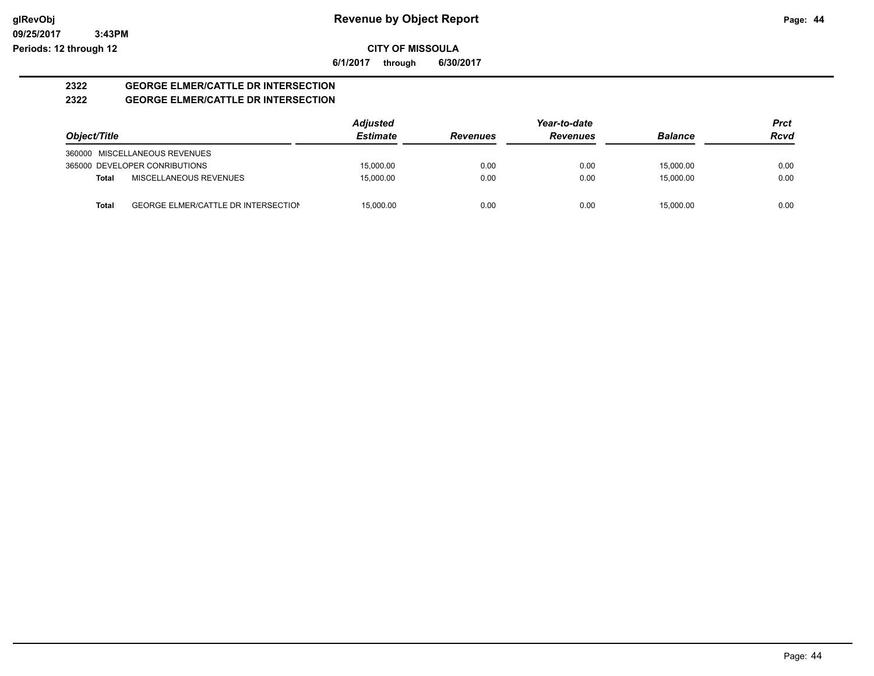**6/1/2017 through 6/30/2017**

# **2322 GEORGE ELMER/CATTLE DR INTERSECTION 2322 GEORGE ELMER/CATTLE DR INTERSECTION**

|              |                                            | <b>Adjusted</b> |                 | Year-to-date    |                | Prct        |
|--------------|--------------------------------------------|-----------------|-----------------|-----------------|----------------|-------------|
| Object/Title |                                            | <b>Estimate</b> | <b>Revenues</b> | <b>Revenues</b> | <b>Balance</b> | <b>Rcvd</b> |
|              | 360000 MISCELLANEOUS REVENUES              |                 |                 |                 |                |             |
|              | 365000 DEVELOPER CONRIBUTIONS              | 15.000.00       | 0.00            | 0.00            | 15,000.00      | 0.00        |
| <b>Total</b> | MISCELLANEOUS REVENUES                     | 15.000.00       | 0.00            | 0.00            | 15,000.00      | 0.00        |
| <b>Total</b> | <b>GEORGE ELMER/CATTLE DR INTERSECTION</b> | 15.000.00       | 0.00            | 0.00            | 15,000.00      | 0.00        |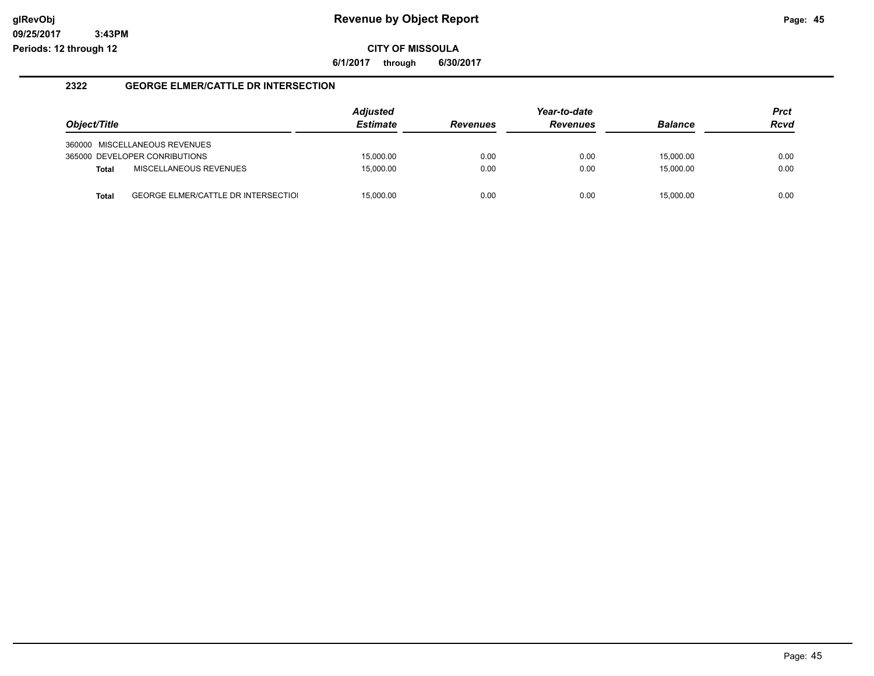**6/1/2017 through 6/30/2017**

# **2322 GEORGE ELMER/CATTLE DR INTERSECTION**

| Object/Title |                                            | Adjusted<br><b>Estimate</b> | <b>Revenues</b> | Year-to-date<br><b>Revenues</b> | <b>Balance</b> | <b>Prct</b><br><b>Rcvd</b> |
|--------------|--------------------------------------------|-----------------------------|-----------------|---------------------------------|----------------|----------------------------|
|              | 360000 MISCELLANEOUS REVENUES              |                             |                 |                                 |                |                            |
|              | 365000 DEVELOPER CONRIBUTIONS              | 15.000.00                   | 0.00            | 0.00                            | 15.000.00      | 0.00                       |
| <b>Total</b> | MISCELLANEOUS REVENUES                     | 15.000.00                   | 0.00            | 0.00                            | 15.000.00      | 0.00                       |
|              |                                            |                             |                 |                                 |                |                            |
| Total        | <b>GEORGE ELMER/CATTLE DR INTERSECTIOL</b> | 15.000.00                   | 0.00            | 0.00                            | 15.000.00      | 0.00                       |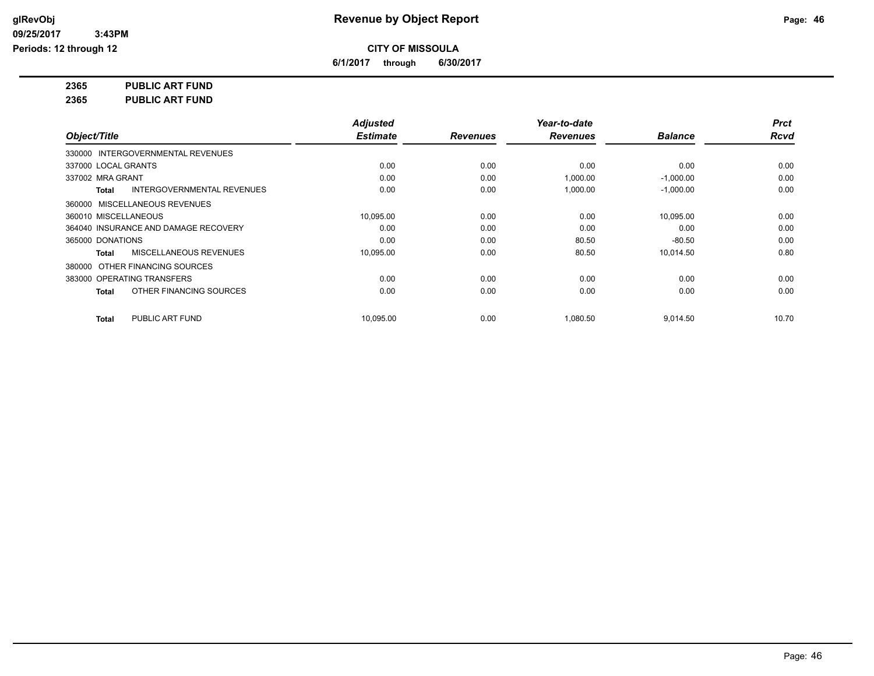**6/1/2017 through 6/30/2017**

**2365 PUBLIC ART FUND**

**2365 PUBLIC ART FUND**

|                                            | <b>Adjusted</b> |                 | Year-to-date    |                | <b>Prct</b> |
|--------------------------------------------|-----------------|-----------------|-----------------|----------------|-------------|
| Object/Title                               | <b>Estimate</b> | <b>Revenues</b> | <b>Revenues</b> | <b>Balance</b> | <b>Rcvd</b> |
| 330000 INTERGOVERNMENTAL REVENUES          |                 |                 |                 |                |             |
| 337000 LOCAL GRANTS                        | 0.00            | 0.00            | 0.00            | 0.00           | 0.00        |
| 337002 MRA GRANT                           | 0.00            | 0.00            | 1,000.00        | $-1,000.00$    | 0.00        |
| <b>INTERGOVERNMENTAL REVENUES</b><br>Total | 0.00            | 0.00            | 1,000.00        | $-1,000.00$    | 0.00        |
| 360000 MISCELLANEOUS REVENUES              |                 |                 |                 |                |             |
| 360010 MISCELLANEOUS                       | 10,095.00       | 0.00            | 0.00            | 10,095.00      | 0.00        |
| 364040 INSURANCE AND DAMAGE RECOVERY       | 0.00            | 0.00            | 0.00            | 0.00           | 0.00        |
| 365000 DONATIONS                           | 0.00            | 0.00            | 80.50           | $-80.50$       | 0.00        |
| MISCELLANEOUS REVENUES<br>Total            | 10,095.00       | 0.00            | 80.50           | 10,014.50      | 0.80        |
| OTHER FINANCING SOURCES<br>380000          |                 |                 |                 |                |             |
| 383000 OPERATING TRANSFERS                 | 0.00            | 0.00            | 0.00            | 0.00           | 0.00        |
| OTHER FINANCING SOURCES<br>Total           | 0.00            | 0.00            | 0.00            | 0.00           | 0.00        |
| PUBLIC ART FUND<br>Total                   | 10,095.00       | 0.00            | 1,080.50        | 9,014.50       | 10.70       |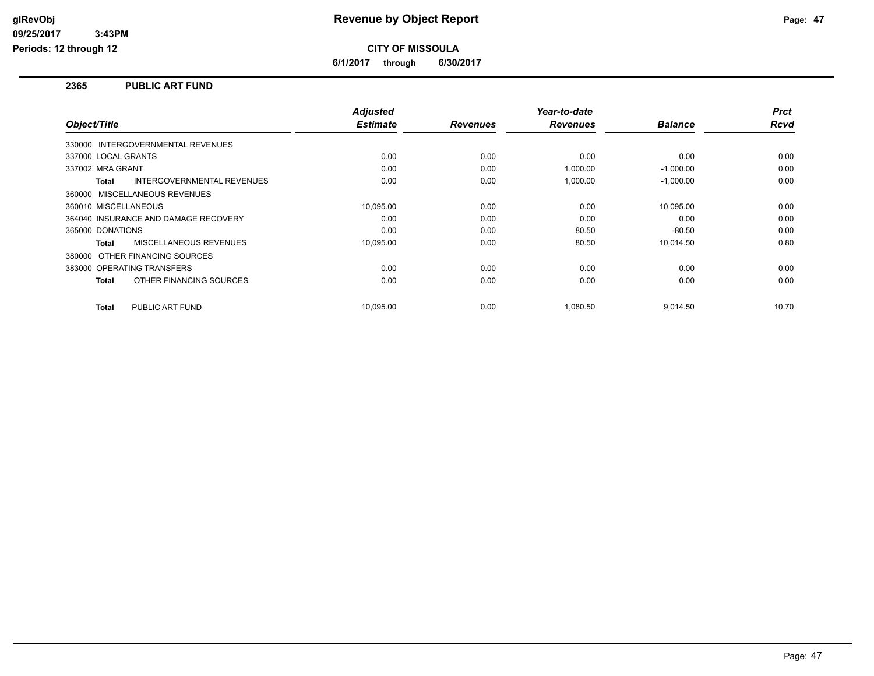**6/1/2017 through 6/30/2017**

# **2365 PUBLIC ART FUND**

| Object/Title                               | <b>Adjusted</b><br><b>Estimate</b> |                 | Year-to-date    | <b>Balance</b> | <b>Prct</b><br><b>Rcvd</b> |
|--------------------------------------------|------------------------------------|-----------------|-----------------|----------------|----------------------------|
|                                            |                                    | <b>Revenues</b> | <b>Revenues</b> |                |                            |
| 330000 INTERGOVERNMENTAL REVENUES          |                                    |                 |                 |                |                            |
| 337000 LOCAL GRANTS                        | 0.00                               | 0.00            | 0.00            | 0.00           | 0.00                       |
| 337002 MRA GRANT                           | 0.00                               | 0.00            | 1,000.00        | $-1,000.00$    | 0.00                       |
| <b>INTERGOVERNMENTAL REVENUES</b><br>Total | 0.00                               | 0.00            | 1,000.00        | $-1,000.00$    | 0.00                       |
| 360000 MISCELLANEOUS REVENUES              |                                    |                 |                 |                |                            |
| 360010 MISCELLANEOUS                       | 10,095.00                          | 0.00            | 0.00            | 10,095.00      | 0.00                       |
| 364040 INSURANCE AND DAMAGE RECOVERY       | 0.00                               | 0.00            | 0.00            | 0.00           | 0.00                       |
| 365000 DONATIONS                           | 0.00                               | 0.00            | 80.50           | $-80.50$       | 0.00                       |
| MISCELLANEOUS REVENUES<br>Total            | 10,095.00                          | 0.00            | 80.50           | 10,014.50      | 0.80                       |
| 380000 OTHER FINANCING SOURCES             |                                    |                 |                 |                |                            |
| 383000 OPERATING TRANSFERS                 | 0.00                               | 0.00            | 0.00            | 0.00           | 0.00                       |
| OTHER FINANCING SOURCES<br>Total           | 0.00                               | 0.00            | 0.00            | 0.00           | 0.00                       |
| PUBLIC ART FUND<br>Total                   | 10,095.00                          | 0.00            | 1,080.50        | 9,014.50       | 10.70                      |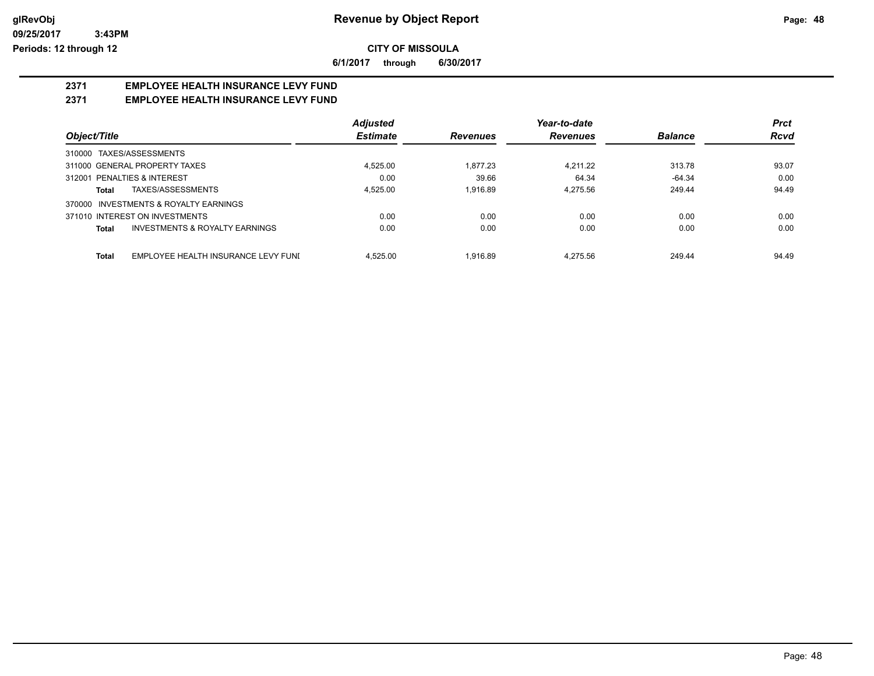**6/1/2017 through 6/30/2017**

# **2371 EMPLOYEE HEALTH INSURANCE LEVY FUND**

# **2371 EMPLOYEE HEALTH INSURANCE LEVY FUND**

|                                                     | Adjusted        |                 | Year-to-date    |                | <b>Prct</b> |
|-----------------------------------------------------|-----------------|-----------------|-----------------|----------------|-------------|
| Object/Title                                        | <b>Estimate</b> | <b>Revenues</b> | <b>Revenues</b> | <b>Balance</b> | <b>Rcvd</b> |
| 310000 TAXES/ASSESSMENTS                            |                 |                 |                 |                |             |
| 311000 GENERAL PROPERTY TAXES                       | 4,525.00        | 1.877.23        | 4,211.22        | 313.78         | 93.07       |
| 312001 PENALTIES & INTEREST                         | 0.00            | 39.66           | 64.34           | $-64.34$       | 0.00        |
| TAXES/ASSESSMENTS<br>Total                          | 4.525.00        | 1.916.89        | 4.275.56        | 249.44         | 94.49       |
| 370000 INVESTMENTS & ROYALTY EARNINGS               |                 |                 |                 |                |             |
| 371010 INTEREST ON INVESTMENTS                      | 0.00            | 0.00            | 0.00            | 0.00           | 0.00        |
| <b>INVESTMENTS &amp; ROYALTY EARNINGS</b><br>Total  | 0.00            | 0.00            | 0.00            | 0.00           | 0.00        |
| EMPLOYEE HEALTH INSURANCE LEVY FUNI<br><b>Total</b> | 4.525.00        | 1.916.89        | 4.275.56        | 249.44         | 94.49       |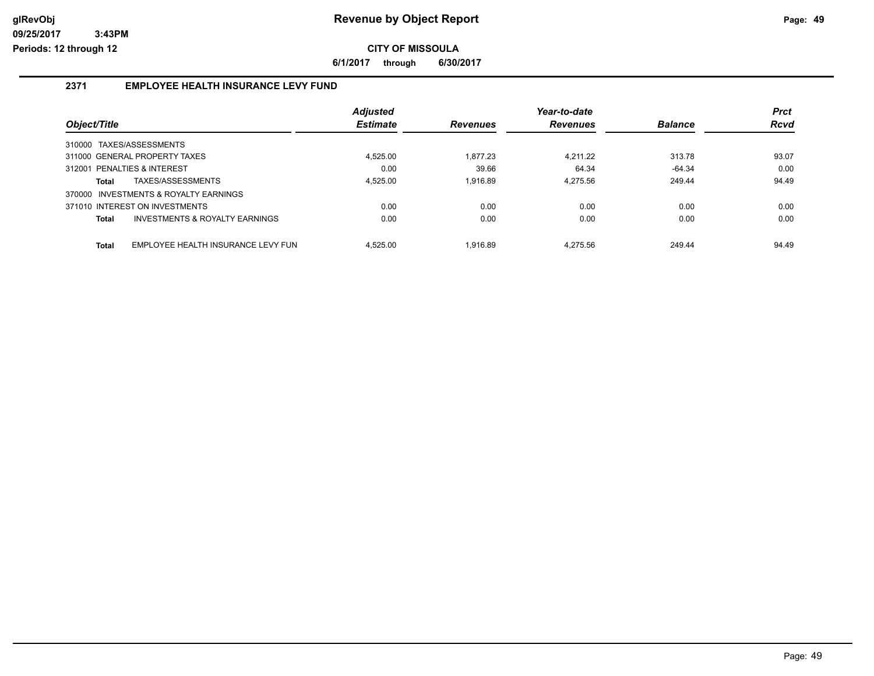**6/1/2017 through 6/30/2017**

# **2371 EMPLOYEE HEALTH INSURANCE LEVY FUND**

|              |                                       | <b>Adjusted</b> |                 | Year-to-date    |                | <b>Prct</b> |
|--------------|---------------------------------------|-----------------|-----------------|-----------------|----------------|-------------|
| Object/Title |                                       | <b>Estimate</b> | <b>Revenues</b> | <b>Revenues</b> | <b>Balance</b> | <b>Rcvd</b> |
|              | 310000 TAXES/ASSESSMENTS              |                 |                 |                 |                |             |
|              | 311000 GENERAL PROPERTY TAXES         | 4.525.00        | 1.877.23        | 4.211.22        | 313.78         | 93.07       |
|              | 312001 PENALTIES & INTEREST           | 0.00            | 39.66           | 64.34           | $-64.34$       | 0.00        |
| <b>Total</b> | TAXES/ASSESSMENTS                     | 4.525.00        | 1.916.89        | 4.275.56        | 249.44         | 94.49       |
|              | 370000 INVESTMENTS & ROYALTY EARNINGS |                 |                 |                 |                |             |
|              | 371010 INTEREST ON INVESTMENTS        | 0.00            | 0.00            | 0.00            | 0.00           | 0.00        |
| <b>Total</b> | INVESTMENTS & ROYALTY EARNINGS        | 0.00            | 0.00            | 0.00            | 0.00           | 0.00        |
| <b>Total</b> | EMPLOYEE HEALTH INSURANCE LEVY FUN    | 4.525.00        | 1.916.89        | 4.275.56        | 249.44         | 94.49       |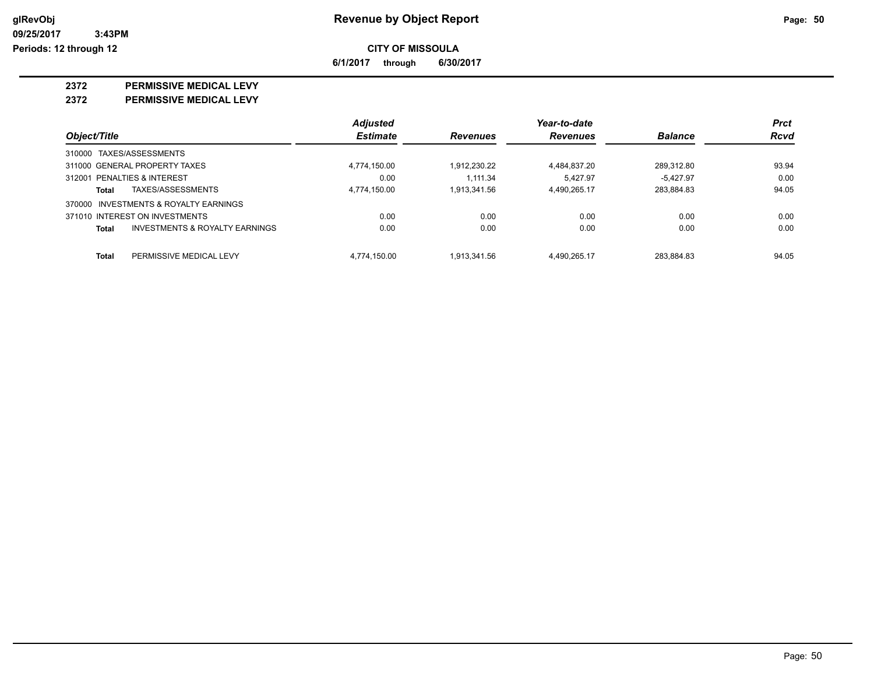**6/1/2017 through 6/30/2017**

**2372 PERMISSIVE MEDICAL LEVY**

**2372 PERMISSIVE MEDICAL LEVY**

|                                                    | <b>Adjusted</b> |                 | Year-to-date    |                | <b>Prct</b> |
|----------------------------------------------------|-----------------|-----------------|-----------------|----------------|-------------|
| Object/Title                                       | <b>Estimate</b> | <b>Revenues</b> | <b>Revenues</b> | <b>Balance</b> | <b>Rcvd</b> |
| 310000 TAXES/ASSESSMENTS                           |                 |                 |                 |                |             |
| 311000 GENERAL PROPERTY TAXES                      | 4.774.150.00    | 1,912,230.22    | 4,484,837.20    | 289.312.80     | 93.94       |
| 312001 PENALTIES & INTEREST                        | 0.00            | 1.111.34        | 5.427.97        | $-5.427.97$    | 0.00        |
| TAXES/ASSESSMENTS<br>Total                         | 4.774.150.00    | 1.913.341.56    | 4.490.265.17    | 283.884.83     | 94.05       |
| 370000 INVESTMENTS & ROYALTY EARNINGS              |                 |                 |                 |                |             |
| 371010 INTEREST ON INVESTMENTS                     | 0.00            | 0.00            | 0.00            | 0.00           | 0.00        |
| <b>INVESTMENTS &amp; ROYALTY EARNINGS</b><br>Total | 0.00            | 0.00            | 0.00            | 0.00           | 0.00        |
| PERMISSIVE MEDICAL LEVY<br>Total                   | 4.774.150.00    | 1.913.341.56    | 4.490.265.17    | 283.884.83     | 94.05       |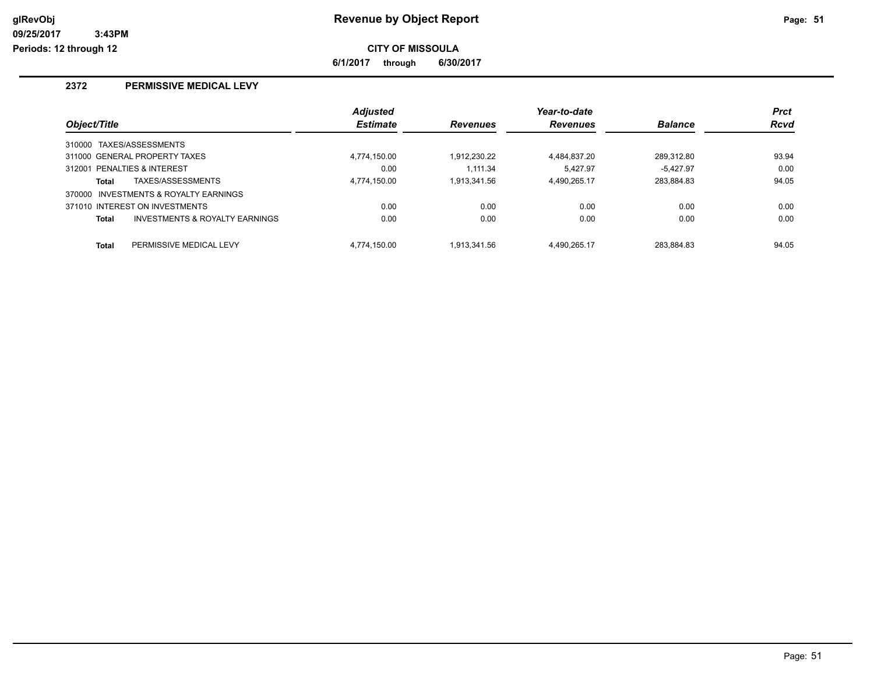**6/1/2017 through 6/30/2017**

# **2372 PERMISSIVE MEDICAL LEVY**

|              |                                       | <b>Adjusted</b> |                 | Year-to-date    |                | <b>Prct</b> |
|--------------|---------------------------------------|-----------------|-----------------|-----------------|----------------|-------------|
| Object/Title |                                       | <b>Estimate</b> | <b>Revenues</b> | <b>Revenues</b> | <b>Balance</b> | <b>Rcvd</b> |
|              | 310000 TAXES/ASSESSMENTS              |                 |                 |                 |                |             |
|              | 311000 GENERAL PROPERTY TAXES         | 4.774.150.00    | 1.912.230.22    | 4,484,837.20    | 289.312.80     | 93.94       |
|              | 312001 PENALTIES & INTEREST           | 0.00            | 1.111.34        | 5.427.97        | $-5.427.97$    | 0.00        |
| <b>Total</b> | TAXES/ASSESSMENTS                     | 4.774.150.00    | 1.913.341.56    | 4.490.265.17    | 283.884.83     | 94.05       |
|              | 370000 INVESTMENTS & ROYALTY EARNINGS |                 |                 |                 |                |             |
|              | 371010 INTEREST ON INVESTMENTS        | 0.00            | 0.00            | 0.00            | 0.00           | 0.00        |
| <b>Total</b> | INVESTMENTS & ROYALTY EARNINGS        | 0.00            | 0.00            | 0.00            | 0.00           | 0.00        |
| <b>Total</b> | PERMISSIVE MEDICAL LEVY               | 4.774.150.00    | 1.913.341.56    | 4.490.265.17    | 283.884.83     | 94.05       |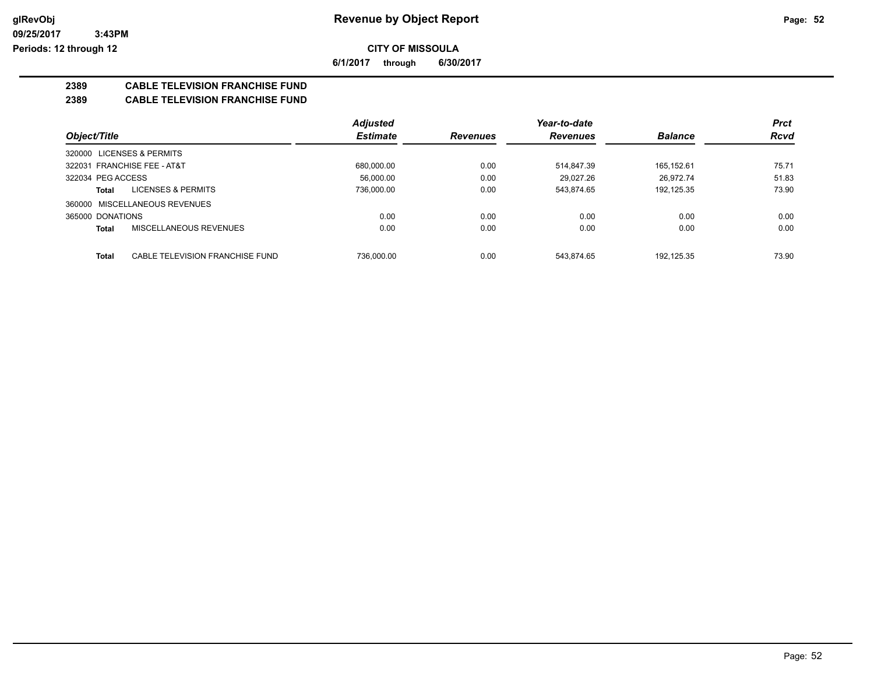**6/1/2017 through 6/30/2017**

# **2389 CABLE TELEVISION FRANCHISE FUND**

# **2389 CABLE TELEVISION FRANCHISE FUND**

|                                                 | <b>Adjusted</b> |                 | Year-to-date    |                | <b>Prct</b> |
|-------------------------------------------------|-----------------|-----------------|-----------------|----------------|-------------|
| Object/Title                                    | <b>Estimate</b> | <b>Revenues</b> | <b>Revenues</b> | <b>Balance</b> | <b>Rcvd</b> |
| 320000 LICENSES & PERMITS                       |                 |                 |                 |                |             |
| 322031 FRANCHISE FEE - AT&T                     | 680.000.00      | 0.00            | 514.847.39      | 165.152.61     | 75.71       |
| 322034 PEG ACCESS                               | 56,000.00       | 0.00            | 29.027.26       | 26.972.74      | 51.83       |
| LICENSES & PERMITS<br>Total                     | 736.000.00      | 0.00            | 543.874.65      | 192.125.35     | 73.90       |
| 360000 MISCELLANEOUS REVENUES                   |                 |                 |                 |                |             |
| 365000 DONATIONS                                | 0.00            | 0.00            | 0.00            | 0.00           | 0.00        |
| MISCELLANEOUS REVENUES<br>Total                 | 0.00            | 0.00            | 0.00            | 0.00           | 0.00        |
| CABLE TELEVISION FRANCHISE FUND<br><b>Total</b> | 736.000.00      | 0.00            | 543.874.65      | 192.125.35     | 73.90       |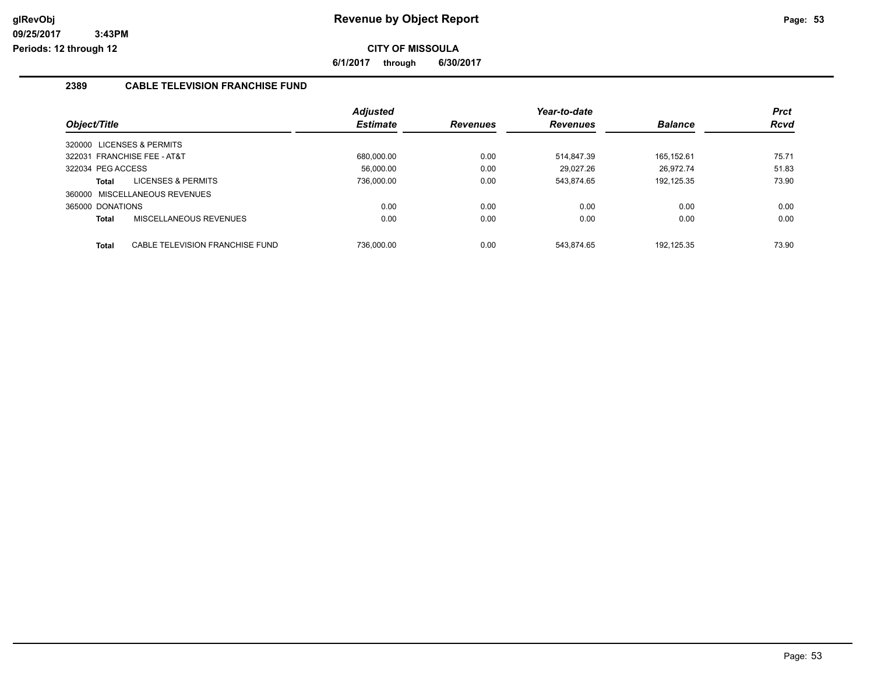**6/1/2017 through 6/30/2017**

# **2389 CABLE TELEVISION FRANCHISE FUND**

|                               |                                 | <b>Adjusted</b> |                 | Year-to-date    |                | <b>Prct</b> |
|-------------------------------|---------------------------------|-----------------|-----------------|-----------------|----------------|-------------|
| Object/Title                  |                                 | <b>Estimate</b> | <b>Revenues</b> | <b>Revenues</b> | <b>Balance</b> | <b>Rcvd</b> |
| 320000 LICENSES & PERMITS     |                                 |                 |                 |                 |                |             |
| 322031 FRANCHISE FEE - AT&T   |                                 | 680.000.00      | 0.00            | 514.847.39      | 165.152.61     | 75.71       |
| 322034 PEG ACCESS             |                                 | 56.000.00       | 0.00            | 29.027.26       | 26.972.74      | 51.83       |
| Total                         | <b>LICENSES &amp; PERMITS</b>   | 736.000.00      | 0.00            | 543,874.65      | 192,125.35     | 73.90       |
| 360000 MISCELLANEOUS REVENUES |                                 |                 |                 |                 |                |             |
| 365000 DONATIONS              |                                 | 0.00            | 0.00            | 0.00            | 0.00           | 0.00        |
| Total                         | MISCELLANEOUS REVENUES          | 0.00            | 0.00            | 0.00            | 0.00           | 0.00        |
|                               |                                 |                 |                 |                 |                |             |
| <b>Total</b>                  | CABLE TELEVISION FRANCHISE FUND | 736.000.00      | 0.00            | 543.874.65      | 192.125.35     | 73.90       |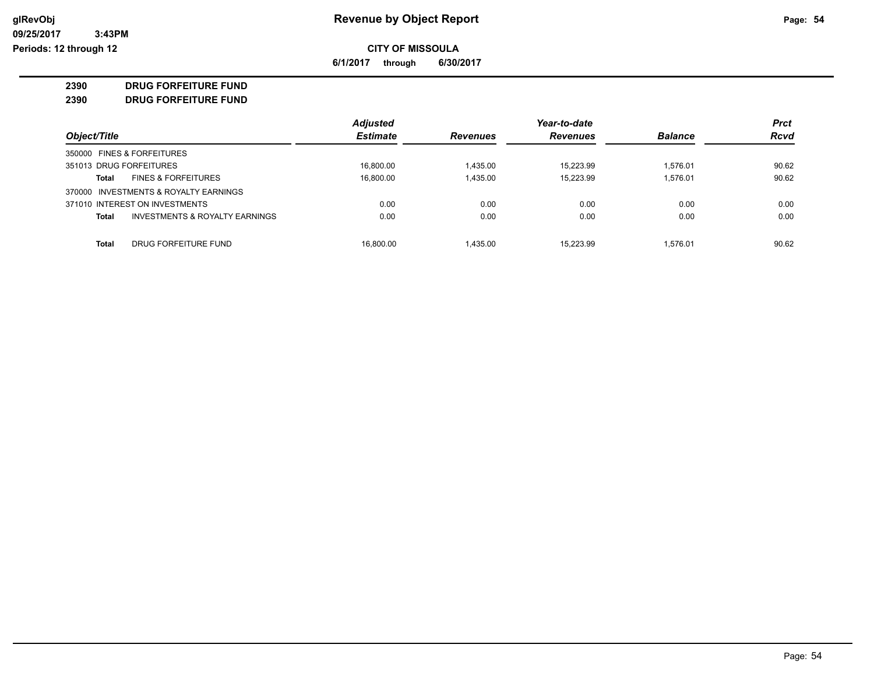**6/1/2017 through 6/30/2017**

# **2390 DRUG FORFEITURE FUND**

**2390 DRUG FORFEITURE FUND**

|                                                           | <b>Adjusted</b> |          | Year-to-date    |                | <b>Prct</b> |
|-----------------------------------------------------------|-----------------|----------|-----------------|----------------|-------------|
| Object/Title                                              | <b>Estimate</b> | Revenues | <b>Revenues</b> | <b>Balance</b> | <b>Rcvd</b> |
| 350000 FINES & FORFEITURES                                |                 |          |                 |                |             |
| 351013 DRUG FORFEITURES                                   | 16.800.00       | 1.435.00 | 15.223.99       | 1.576.01       | 90.62       |
| <b>FINES &amp; FORFEITURES</b><br><b>Total</b>            | 16,800.00       | 1,435.00 | 15.223.99       | 1.576.01       | 90.62       |
| 370000 INVESTMENTS & ROYALTY EARNINGS                     |                 |          |                 |                |             |
| 371010 INTEREST ON INVESTMENTS                            | 0.00            | 0.00     | 0.00            | 0.00           | 0.00        |
| <b>INVESTMENTS &amp; ROYALTY EARNINGS</b><br><b>Total</b> | 0.00            | 0.00     | 0.00            | 0.00           | 0.00        |
| DRUG FORFEITURE FUND<br><b>Total</b>                      | 16.800.00       | 1.435.00 | 15.223.99       | 1.576.01       | 90.62       |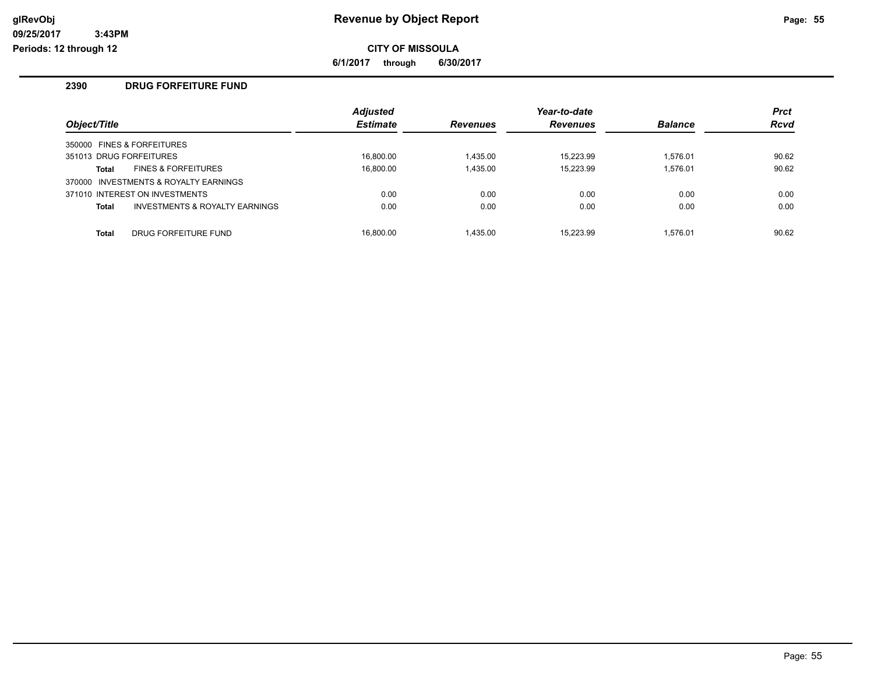**6/1/2017 through 6/30/2017**

# **2390 DRUG FORFEITURE FUND**

|                         |                                           | <b>Adjusted</b> |                 | Year-to-date    |                | <b>Prct</b> |
|-------------------------|-------------------------------------------|-----------------|-----------------|-----------------|----------------|-------------|
| Object/Title            |                                           | <b>Estimate</b> | <b>Revenues</b> | <b>Revenues</b> | <b>Balance</b> | <b>Rcvd</b> |
|                         | 350000 FINES & FORFEITURES                |                 |                 |                 |                |             |
| 351013 DRUG FORFEITURES |                                           | 16.800.00       | 1.435.00        | 15.223.99       | 1.576.01       | 90.62       |
| <b>Total</b>            | <b>FINES &amp; FORFEITURES</b>            | 16,800.00       | 1,435.00        | 15,223.99       | 1.576.01       | 90.62       |
| 370000                  | INVESTMENTS & ROYALTY EARNINGS            |                 |                 |                 |                |             |
|                         | 371010 INTEREST ON INVESTMENTS            | 0.00            | 0.00            | 0.00            | 0.00           | 0.00        |
| <b>Total</b>            | <b>INVESTMENTS &amp; ROYALTY EARNINGS</b> | 0.00            | 0.00            | 0.00            | 0.00           | 0.00        |
| Total                   | DRUG FORFEITURE FUND                      | 16.800.00       | 1.435.00        | 15.223.99       | 1.576.01       | 90.62       |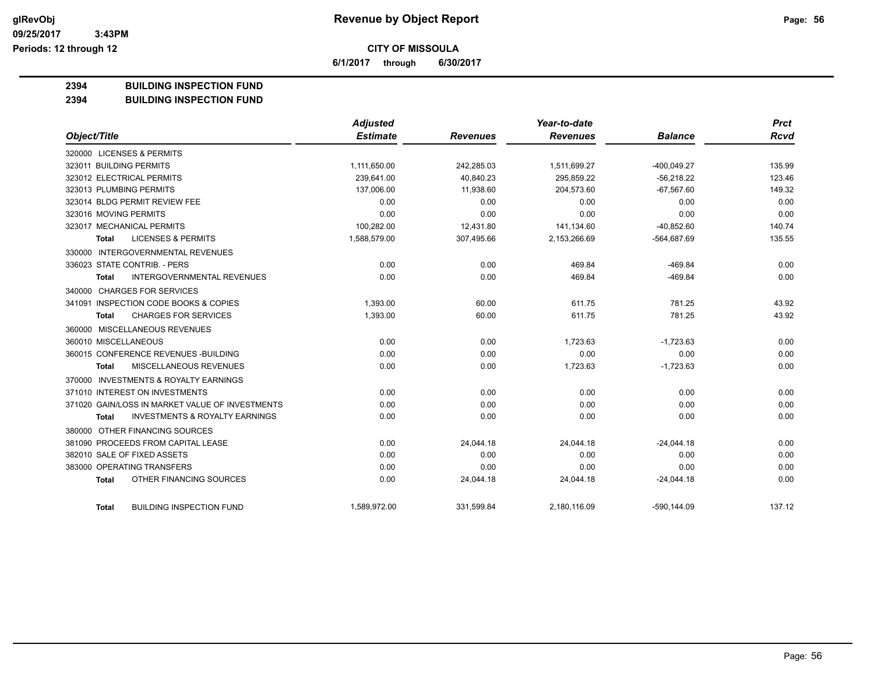**6/1/2017 through 6/30/2017**

# **2394 BUILDING INSPECTION FUND**

# **2394 BUILDING INSPECTION FUND**

|                                                           | <b>Adjusted</b> |                 | Year-to-date    |                | <b>Prct</b> |
|-----------------------------------------------------------|-----------------|-----------------|-----------------|----------------|-------------|
| Object/Title                                              | <b>Estimate</b> | <b>Revenues</b> | <b>Revenues</b> | <b>Balance</b> | <b>Rcvd</b> |
| 320000 LICENSES & PERMITS                                 |                 |                 |                 |                |             |
| 323011 BUILDING PERMITS                                   | 1,111,650.00    | 242,285.03      | 1,511,699.27    | -400,049.27    | 135.99      |
| 323012 ELECTRICAL PERMITS                                 | 239,641.00      | 40,840.23       | 295.859.22      | $-56.218.22$   | 123.46      |
| 323013 PLUMBING PERMITS                                   | 137,006.00      | 11,938.60       | 204,573.60      | $-67,567.60$   | 149.32      |
| 323014 BLDG PERMIT REVIEW FEE                             | 0.00            | 0.00            | 0.00            | 0.00           | 0.00        |
| 323016 MOVING PERMITS                                     | 0.00            | 0.00            | 0.00            | 0.00           | 0.00        |
| 323017 MECHANICAL PERMITS                                 | 100,282.00      | 12,431.80       | 141,134.60      | $-40,852.60$   | 140.74      |
| <b>LICENSES &amp; PERMITS</b><br><b>Total</b>             | 1,588,579.00    | 307,495.66      | 2,153,266.69    | -564,687.69    | 135.55      |
| 330000 INTERGOVERNMENTAL REVENUES                         |                 |                 |                 |                |             |
| 336023 STATE CONTRIB. - PERS                              | 0.00            | 0.00            | 469.84          | $-469.84$      | 0.00        |
| <b>INTERGOVERNMENTAL REVENUES</b><br><b>Total</b>         | 0.00            | 0.00            | 469.84          | $-469.84$      | 0.00        |
| 340000 CHARGES FOR SERVICES                               |                 |                 |                 |                |             |
| 341091 INSPECTION CODE BOOKS & COPIES                     | 1,393.00        | 60.00           | 611.75          | 781.25         | 43.92       |
| <b>CHARGES FOR SERVICES</b><br>Total                      | 1,393.00        | 60.00           | 611.75          | 781.25         | 43.92       |
| 360000 MISCELLANEOUS REVENUES                             |                 |                 |                 |                |             |
| 360010 MISCELLANEOUS                                      | 0.00            | 0.00            | 1,723.63        | $-1,723.63$    | 0.00        |
| 360015 CONFERENCE REVENUES - BUILDING                     | 0.00            | 0.00            | 0.00            | 0.00           | 0.00        |
| MISCELLANEOUS REVENUES<br><b>Total</b>                    | 0.00            | 0.00            | 1,723.63        | $-1,723.63$    | 0.00        |
| 370000 INVESTMENTS & ROYALTY EARNINGS                     |                 |                 |                 |                |             |
| 371010 INTEREST ON INVESTMENTS                            | 0.00            | 0.00            | 0.00            | 0.00           | 0.00        |
| 371020 GAIN/LOSS IN MARKET VALUE OF INVESTMENTS           | 0.00            | 0.00            | 0.00            | 0.00           | 0.00        |
| <b>INVESTMENTS &amp; ROYALTY EARNINGS</b><br><b>Total</b> | 0.00            | 0.00            | 0.00            | 0.00           | 0.00        |
| OTHER FINANCING SOURCES<br>380000                         |                 |                 |                 |                |             |
| 381090 PROCEEDS FROM CAPITAL LEASE                        | 0.00            | 24,044.18       | 24,044.18       | $-24,044.18$   | 0.00        |
| 382010 SALE OF FIXED ASSETS                               | 0.00            | 0.00            | 0.00            | 0.00           | 0.00        |
| 383000 OPERATING TRANSFERS                                | 0.00            | 0.00            | 0.00            | 0.00           | 0.00        |
| OTHER FINANCING SOURCES<br><b>Total</b>                   | 0.00            | 24,044.18       | 24,044.18       | $-24,044.18$   | 0.00        |
| <b>BUILDING INSPECTION FUND</b><br><b>Total</b>           | 1,589,972.00    | 331,599.84      | 2,180,116.09    | $-590, 144.09$ | 137.12      |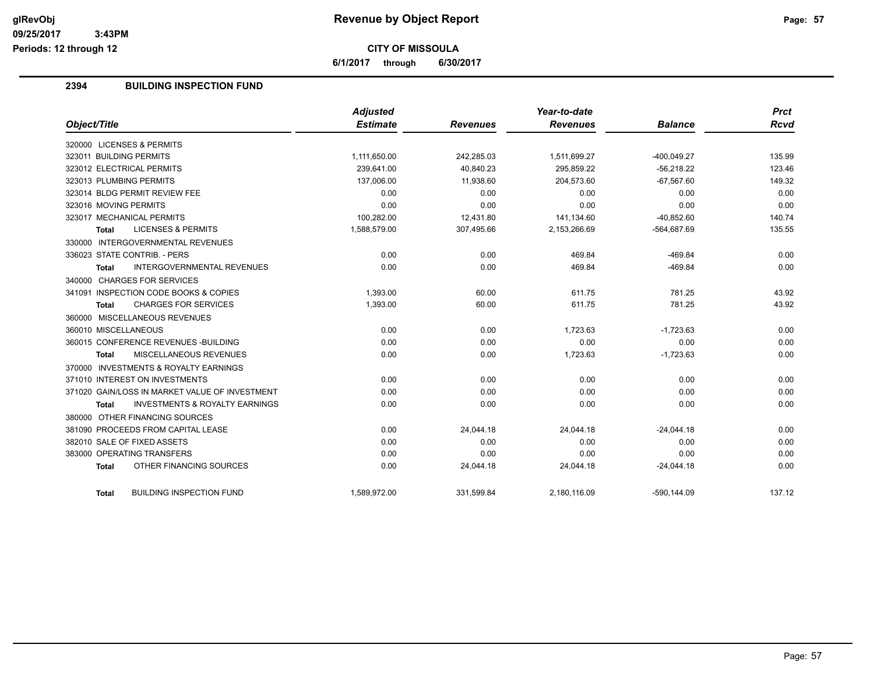**6/1/2017 through 6/30/2017**

# **2394 BUILDING INSPECTION FUND**

|                                                    | <b>Adjusted</b> |                 | Year-to-date    |                | <b>Prct</b> |
|----------------------------------------------------|-----------------|-----------------|-----------------|----------------|-------------|
| Object/Title                                       | <b>Estimate</b> | <b>Revenues</b> | <b>Revenues</b> | <b>Balance</b> | <b>Rcvd</b> |
| 320000 LICENSES & PERMITS                          |                 |                 |                 |                |             |
| 323011 BUILDING PERMITS                            | 1,111,650.00    | 242,285.03      | 1,511,699.27    | $-400,049.27$  | 135.99      |
| 323012 ELECTRICAL PERMITS                          | 239,641.00      | 40,840.23       | 295,859.22      | $-56,218.22$   | 123.46      |
| 323013 PLUMBING PERMITS                            | 137.006.00      | 11.938.60       | 204,573.60      | $-67,567.60$   | 149.32      |
| 323014 BLDG PERMIT REVIEW FEE                      | 0.00            | 0.00            | 0.00            | 0.00           | 0.00        |
| 323016 MOVING PERMITS                              | 0.00            | 0.00            | 0.00            | 0.00           | 0.00        |
| 323017 MECHANICAL PERMITS                          | 100,282.00      | 12,431.80       | 141,134.60      | $-40,852.60$   | 140.74      |
| <b>LICENSES &amp; PERMITS</b><br><b>Total</b>      | 1,588,579.00    | 307,495.66      | 2,153,266.69    | -564,687.69    | 135.55      |
| 330000 INTERGOVERNMENTAL REVENUES                  |                 |                 |                 |                |             |
| 336023 STATE CONTRIB. - PERS                       | 0.00            | 0.00            | 469.84          | $-469.84$      | 0.00        |
| <b>INTERGOVERNMENTAL REVENUES</b><br>Total         | 0.00            | 0.00            | 469.84          | $-469.84$      | 0.00        |
| 340000 CHARGES FOR SERVICES                        |                 |                 |                 |                |             |
| 341091 INSPECTION CODE BOOKS & COPIES              | 1,393.00        | 60.00           | 611.75          | 781.25         | 43.92       |
| <b>CHARGES FOR SERVICES</b><br>Total               | 1,393.00        | 60.00           | 611.75          | 781.25         | 43.92       |
| 360000 MISCELLANEOUS REVENUES                      |                 |                 |                 |                |             |
| 360010 MISCELLANEOUS                               | 0.00            | 0.00            | 1,723.63        | $-1,723.63$    | 0.00        |
| 360015 CONFERENCE REVENUES - BUILDING              | 0.00            | 0.00            | 0.00            | 0.00           | 0.00        |
| <b>MISCELLANEOUS REVENUES</b><br>Total             | 0.00            | 0.00            | 1,723.63        | $-1,723.63$    | 0.00        |
| 370000 INVESTMENTS & ROYALTY EARNINGS              |                 |                 |                 |                |             |
| 371010 INTEREST ON INVESTMENTS                     | 0.00            | 0.00            | 0.00            | 0.00           | 0.00        |
| 371020 GAIN/LOSS IN MARKET VALUE OF INVESTMENT     | 0.00            | 0.00            | 0.00            | 0.00           | 0.00        |
| <b>INVESTMENTS &amp; ROYALTY EARNINGS</b><br>Total | 0.00            | 0.00            | 0.00            | 0.00           | 0.00        |
| 380000 OTHER FINANCING SOURCES                     |                 |                 |                 |                |             |
| 381090 PROCEEDS FROM CAPITAL LEASE                 | 0.00            | 24,044.18       | 24,044.18       | $-24,044.18$   | 0.00        |
| 382010 SALE OF FIXED ASSETS                        | 0.00            | 0.00            | 0.00            | 0.00           | 0.00        |
| 383000 OPERATING TRANSFERS                         | 0.00            | 0.00            | 0.00            | 0.00           | 0.00        |
| OTHER FINANCING SOURCES<br><b>Total</b>            | 0.00            | 24,044.18       | 24,044.18       | $-24,044.18$   | 0.00        |
| <b>BUILDING INSPECTION FUND</b><br>Total           | 1,589,972.00    | 331,599.84      | 2,180,116.09    | $-590, 144.09$ | 137.12      |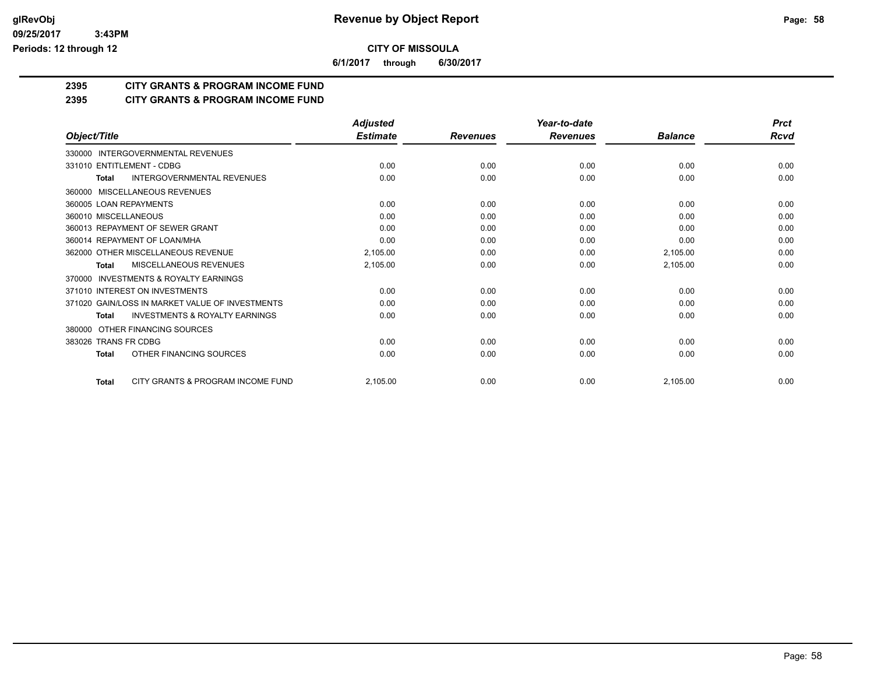**6/1/2017 through 6/30/2017**

# **2395 CITY GRANTS & PROGRAM INCOME FUND**

# **2395 CITY GRANTS & PROGRAM INCOME FUND**

|                                                           | <b>Adjusted</b> |                 | Year-to-date    |                | <b>Prct</b> |
|-----------------------------------------------------------|-----------------|-----------------|-----------------|----------------|-------------|
| Object/Title                                              | <b>Estimate</b> | <b>Revenues</b> | <b>Revenues</b> | <b>Balance</b> | Rcvd        |
| 330000 INTERGOVERNMENTAL REVENUES                         |                 |                 |                 |                |             |
| 331010 ENTITLEMENT - CDBG                                 | 0.00            | 0.00            | 0.00            | 0.00           | 0.00        |
| <b>INTERGOVERNMENTAL REVENUES</b><br><b>Total</b>         | 0.00            | 0.00            | 0.00            | 0.00           | 0.00        |
| 360000 MISCELLANEOUS REVENUES                             |                 |                 |                 |                |             |
| 360005 LOAN REPAYMENTS                                    | 0.00            | 0.00            | 0.00            | 0.00           | 0.00        |
| 360010 MISCELLANEOUS                                      | 0.00            | 0.00            | 0.00            | 0.00           | 0.00        |
| 360013 REPAYMENT OF SEWER GRANT                           | 0.00            | 0.00            | 0.00            | 0.00           | 0.00        |
| 360014 REPAYMENT OF LOAN/MHA                              | 0.00            | 0.00            | 0.00            | 0.00           | 0.00        |
| 362000 OTHER MISCELLANEOUS REVENUE                        | 2,105.00        | 0.00            | 0.00            | 2,105.00       | 0.00        |
| MISCELLANEOUS REVENUES<br><b>Total</b>                    | 2,105.00        | 0.00            | 0.00            | 2,105.00       | 0.00        |
| INVESTMENTS & ROYALTY EARNINGS<br>370000                  |                 |                 |                 |                |             |
| 371010 INTEREST ON INVESTMENTS                            | 0.00            | 0.00            | 0.00            | 0.00           | 0.00        |
| 371020 GAIN/LOSS IN MARKET VALUE OF INVESTMENTS           | 0.00            | 0.00            | 0.00            | 0.00           | 0.00        |
| <b>INVESTMENTS &amp; ROYALTY EARNINGS</b><br><b>Total</b> | 0.00            | 0.00            | 0.00            | 0.00           | 0.00        |
| OTHER FINANCING SOURCES<br>380000                         |                 |                 |                 |                |             |
| 383026 TRANS FR CDBG                                      | 0.00            | 0.00            | 0.00            | 0.00           | 0.00        |
| OTHER FINANCING SOURCES<br><b>Total</b>                   | 0.00            | 0.00            | 0.00            | 0.00           | 0.00        |
| CITY GRANTS & PROGRAM INCOME FUND<br>Total                | 2,105.00        | 0.00            | 0.00            | 2,105.00       | 0.00        |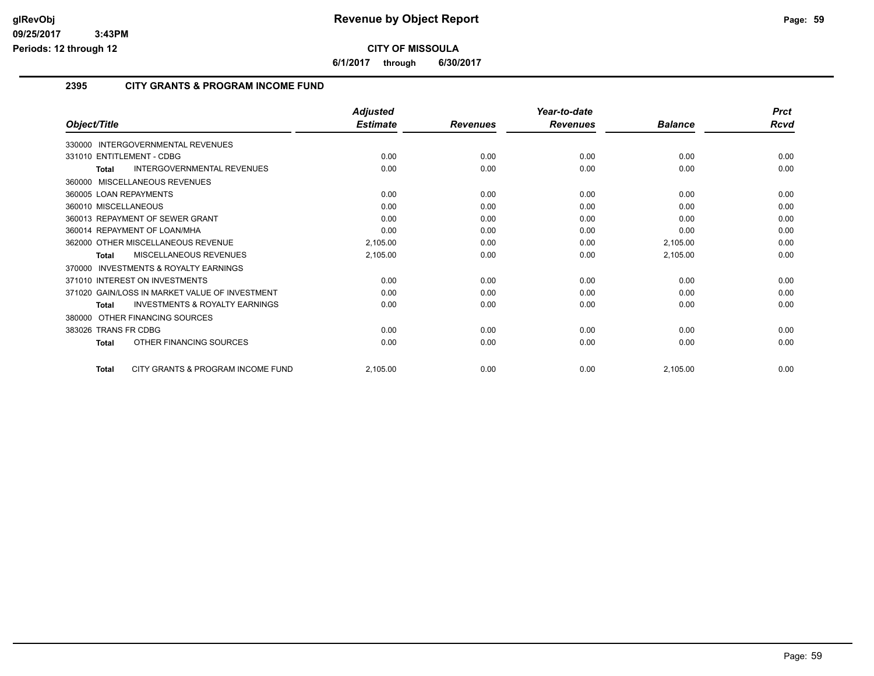**6/1/2017 through 6/30/2017**

# **2395 CITY GRANTS & PROGRAM INCOME FUND**

|                                                     | <b>Adjusted</b> |                 | Year-to-date    |                | <b>Prct</b> |
|-----------------------------------------------------|-----------------|-----------------|-----------------|----------------|-------------|
| Object/Title                                        | <b>Estimate</b> | <b>Revenues</b> | <b>Revenues</b> | <b>Balance</b> | Rcvd        |
| 330000 INTERGOVERNMENTAL REVENUES                   |                 |                 |                 |                |             |
| 331010 ENTITLEMENT - CDBG                           | 0.00            | 0.00            | 0.00            | 0.00           | 0.00        |
| INTERGOVERNMENTAL REVENUES<br><b>Total</b>          | 0.00            | 0.00            | 0.00            | 0.00           | 0.00        |
| 360000 MISCELLANEOUS REVENUES                       |                 |                 |                 |                |             |
| 360005 LOAN REPAYMENTS                              | 0.00            | 0.00            | 0.00            | 0.00           | 0.00        |
| 360010 MISCELLANEOUS                                | 0.00            | 0.00            | 0.00            | 0.00           | 0.00        |
| 360013 REPAYMENT OF SEWER GRANT                     | 0.00            | 0.00            | 0.00            | 0.00           | 0.00        |
| 360014 REPAYMENT OF LOAN/MHA                        | 0.00            | 0.00            | 0.00            | 0.00           | 0.00        |
| 362000 OTHER MISCELLANEOUS REVENUE                  | 2,105.00        | 0.00            | 0.00            | 2,105.00       | 0.00        |
| MISCELLANEOUS REVENUES<br><b>Total</b>              | 2,105.00        | 0.00            | 0.00            | 2,105.00       | 0.00        |
| <b>INVESTMENTS &amp; ROYALTY EARNINGS</b><br>370000 |                 |                 |                 |                |             |
| 371010 INTEREST ON INVESTMENTS                      | 0.00            | 0.00            | 0.00            | 0.00           | 0.00        |
| 371020 GAIN/LOSS IN MARKET VALUE OF INVESTMENT      | 0.00            | 0.00            | 0.00            | 0.00           | 0.00        |
| <b>INVESTMENTS &amp; ROYALTY EARNINGS</b><br>Total  | 0.00            | 0.00            | 0.00            | 0.00           | 0.00        |
| OTHER FINANCING SOURCES<br>380000                   |                 |                 |                 |                |             |
| 383026 TRANS FR CDBG                                | 0.00            | 0.00            | 0.00            | 0.00           | 0.00        |
| OTHER FINANCING SOURCES<br><b>Total</b>             | 0.00            | 0.00            | 0.00            | 0.00           | 0.00        |
| CITY GRANTS & PROGRAM INCOME FUND<br><b>Total</b>   | 2,105.00        | 0.00            | 0.00            | 2,105.00       | 0.00        |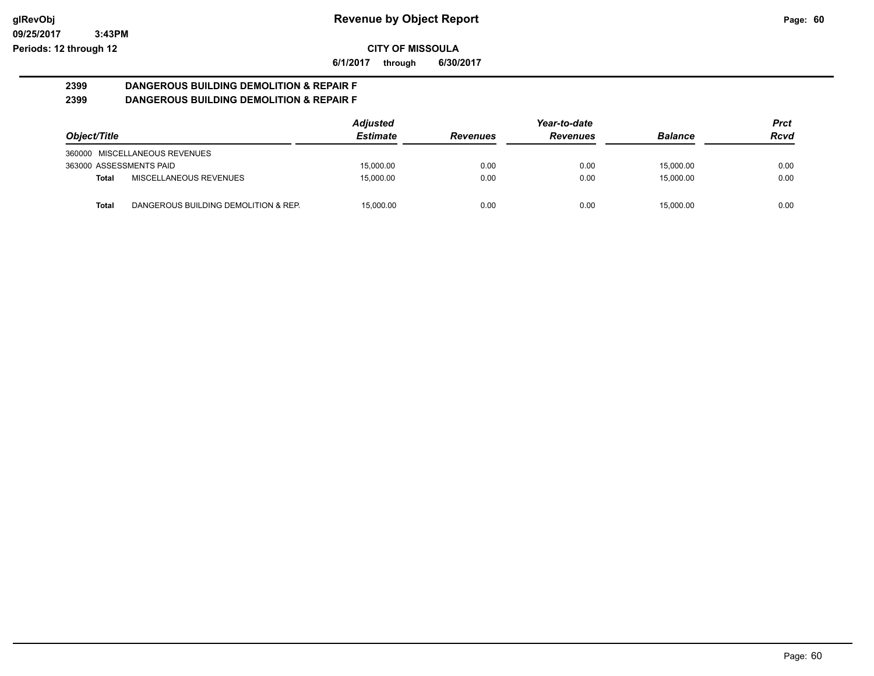**6/1/2017 through 6/30/2017**

# **2399 DANGEROUS BUILDING DEMOLITION & REPAIR F 2399 DANGEROUS BUILDING DEMOLITION & REPAIR F**

|                         |                                      | <b>Adjusted</b> |                 | Year-to-date    |                | Prct |
|-------------------------|--------------------------------------|-----------------|-----------------|-----------------|----------------|------|
| Object/Title            |                                      | <b>Estimate</b> | <b>Revenues</b> | <b>Revenues</b> | <b>Balance</b> | Rcvd |
|                         | 360000 MISCELLANEOUS REVENUES        |                 |                 |                 |                |      |
| 363000 ASSESSMENTS PAID |                                      | 15.000.00       | 0.00            | 0.00            | 15.000.00      | 0.00 |
| Total                   | MISCELLANEOUS REVENUES               | 15.000.00       | 0.00            | 0.00            | 15.000.00      | 0.00 |
| <b>Total</b>            | DANGEROUS BUILDING DEMOLITION & REP. | 15.000.00       | 0.00            | 0.00            | 15.000.00      | 0.00 |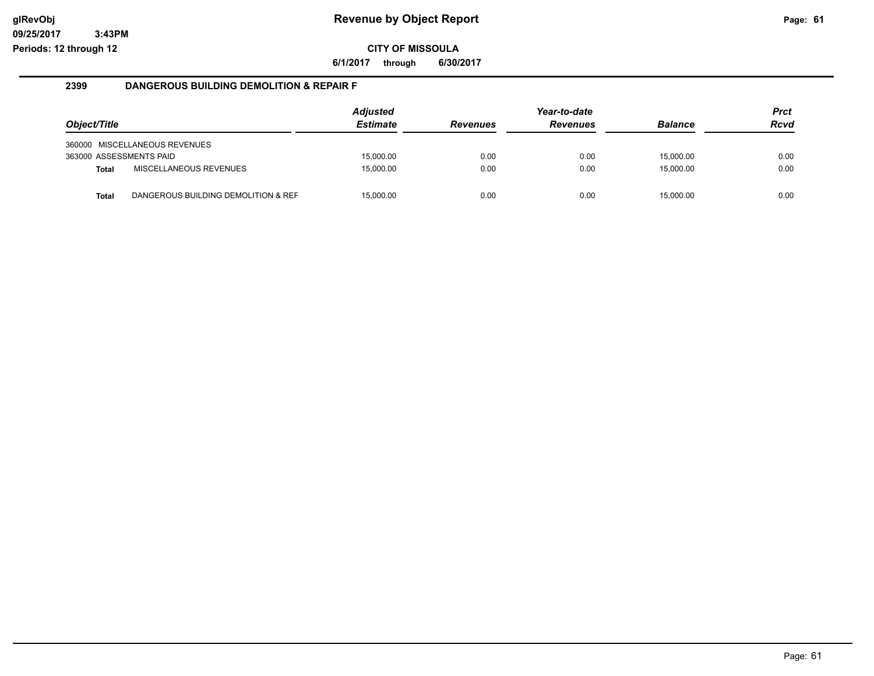**6/1/2017 through 6/30/2017**

# **2399 DANGEROUS BUILDING DEMOLITION & REPAIR F**

| Object/Title            |                                     | <b>Adjusted</b><br><b>Estimate</b> | <b>Revenues</b> | Year-to-date<br><b>Revenues</b> | <b>Balance</b> | <b>Prct</b><br><b>Rcvd</b> |
|-------------------------|-------------------------------------|------------------------------------|-----------------|---------------------------------|----------------|----------------------------|
|                         |                                     |                                    |                 |                                 |                |                            |
|                         | 360000 MISCELLANEOUS REVENUES       |                                    |                 |                                 |                |                            |
| 363000 ASSESSMENTS PAID |                                     | 15.000.00                          | 0.00            | 0.00                            | 15.000.00      | 0.00                       |
| <b>Total</b>            | MISCELLANEOUS REVENUES              | 15.000.00                          | 0.00            | 0.00                            | 15.000.00      | 0.00                       |
|                         |                                     |                                    |                 |                                 |                |                            |
| <b>Total</b>            | DANGEROUS BUILDING DEMOLITION & REF | 15.000.00                          | 0.00            | 0.00                            | 15,000.00      | 0.00                       |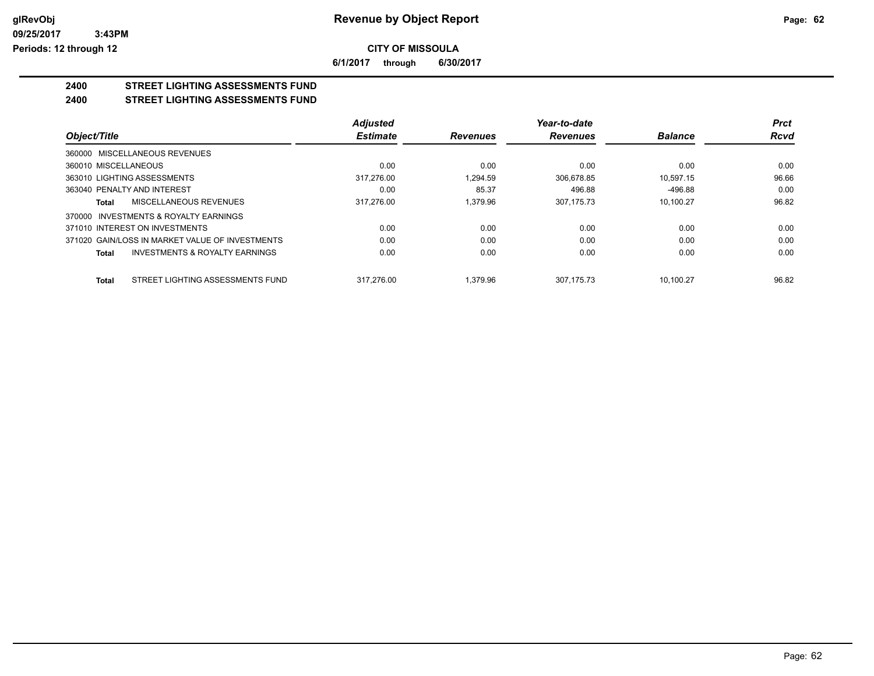**6/1/2017 through 6/30/2017**

# **2400 STREET LIGHTING ASSESSMENTS FUND 2400 STREET LIGHTING ASSESSMENTS FUND**

|                      |                                                 | <b>Adjusted</b> |                 | Year-to-date    |                | <b>Prct</b> |
|----------------------|-------------------------------------------------|-----------------|-----------------|-----------------|----------------|-------------|
| Object/Title         |                                                 | <b>Estimate</b> | <b>Revenues</b> | <b>Revenues</b> | <b>Balance</b> | <b>Rcvd</b> |
|                      | 360000 MISCELLANEOUS REVENUES                   |                 |                 |                 |                |             |
| 360010 MISCELLANEOUS |                                                 | 0.00            | 0.00            | 0.00            | 0.00           | 0.00        |
|                      | 363010 LIGHTING ASSESSMENTS                     | 317.276.00      | 1.294.59        | 306.678.85      | 10.597.15      | 96.66       |
|                      | 363040 PENALTY AND INTEREST                     | 0.00            | 85.37           | 496.88          | $-496.88$      | 0.00        |
| Total                | MISCELLANEOUS REVENUES                          | 317,276.00      | 1.379.96        | 307,175.73      | 10.100.27      | 96.82       |
|                      | 370000 INVESTMENTS & ROYALTY EARNINGS           |                 |                 |                 |                |             |
|                      | 371010 INTEREST ON INVESTMENTS                  | 0.00            | 0.00            | 0.00            | 0.00           | 0.00        |
|                      | 371020 GAIN/LOSS IN MARKET VALUE OF INVESTMENTS | 0.00            | 0.00            | 0.00            | 0.00           | 0.00        |
| Total                | <b>INVESTMENTS &amp; ROYALTY EARNINGS</b>       | 0.00            | 0.00            | 0.00            | 0.00           | 0.00        |
| <b>Total</b>         | STREET LIGHTING ASSESSMENTS FUND                | 317.276.00      | 1.379.96        | 307.175.73      | 10.100.27      | 96.82       |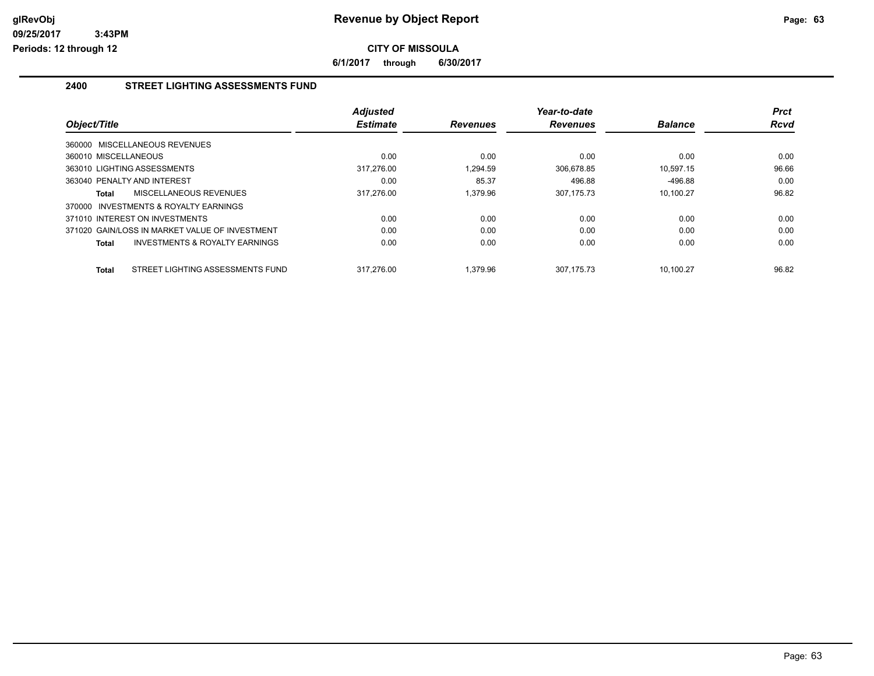**6/1/2017 through 6/30/2017**

# **2400 STREET LIGHTING ASSESSMENTS FUND**

| Object/Title                                       | <b>Adjusted</b><br><b>Estimate</b> | <b>Revenues</b> | Year-to-date<br><b>Revenues</b> | <b>Balance</b> | Prct<br><b>Rcvd</b> |
|----------------------------------------------------|------------------------------------|-----------------|---------------------------------|----------------|---------------------|
| 360000 MISCELLANEOUS REVENUES                      |                                    |                 |                                 |                |                     |
| 360010 MISCELLANEOUS                               | 0.00                               | 0.00            | 0.00                            | 0.00           | 0.00                |
| 363010 LIGHTING ASSESSMENTS                        | 317.276.00                         | 1.294.59        | 306.678.85                      | 10.597.15      | 96.66               |
| 363040 PENALTY AND INTEREST                        | 0.00                               | 85.37           | 496.88                          | -496.88        | 0.00                |
| MISCELLANEOUS REVENUES<br>Total                    | 317,276.00                         | 1.379.96        | 307,175.73                      | 10.100.27      | 96.82               |
| INVESTMENTS & ROYALTY EARNINGS<br>370000           |                                    |                 |                                 |                |                     |
| 371010 INTEREST ON INVESTMENTS                     | 0.00                               | 0.00            | 0.00                            | 0.00           | 0.00                |
| 371020 GAIN/LOSS IN MARKET VALUE OF INVESTMENT     | 0.00                               | 0.00            | 0.00                            | 0.00           | 0.00                |
| <b>INVESTMENTS &amp; ROYALTY EARNINGS</b><br>Total | 0.00                               | 0.00            | 0.00                            | 0.00           | 0.00                |
| STREET LIGHTING ASSESSMENTS FUND<br>Total          | 317.276.00                         | 1.379.96        | 307.175.73                      | 10.100.27      | 96.82               |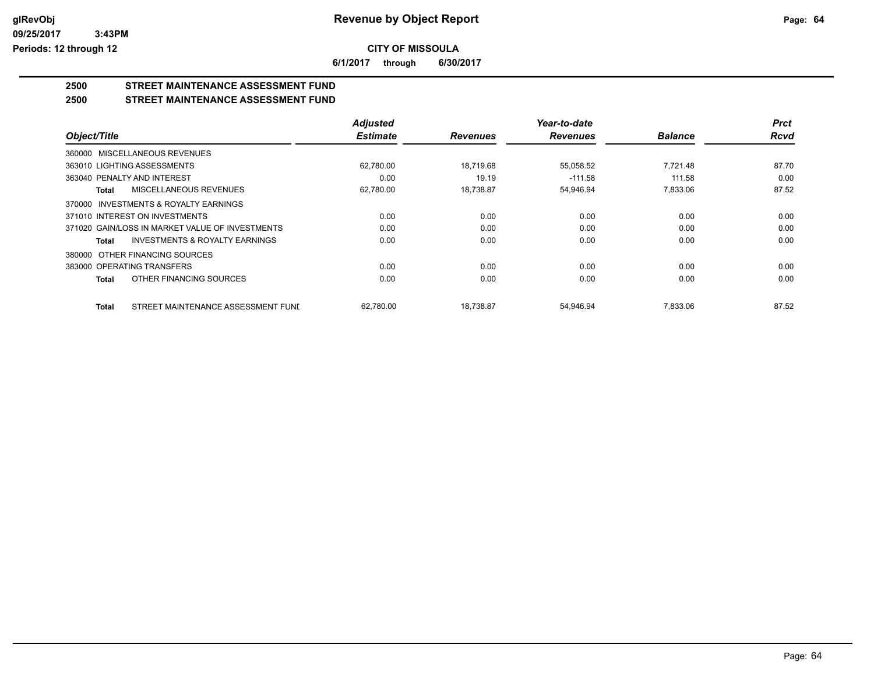**6/1/2017 through 6/30/2017**

# **2500 STREET MAINTENANCE ASSESSMENT FUND**

# **2500 STREET MAINTENANCE ASSESSMENT FUND**

|                                                    | <b>Adjusted</b> |                 | Year-to-date    |                | <b>Prct</b> |
|----------------------------------------------------|-----------------|-----------------|-----------------|----------------|-------------|
| Object/Title                                       | <b>Estimate</b> | <b>Revenues</b> | <b>Revenues</b> | <b>Balance</b> | <b>Rcvd</b> |
| 360000 MISCELLANEOUS REVENUES                      |                 |                 |                 |                |             |
| 363010 LIGHTING ASSESSMENTS                        | 62,780.00       | 18,719.68       | 55,058.52       | 7,721.48       | 87.70       |
| 363040 PENALTY AND INTEREST                        | 0.00            | 19.19           | $-111.58$       | 111.58         | 0.00        |
| <b>MISCELLANEOUS REVENUES</b><br>Total             | 62,780.00       | 18,738.87       | 54,946.94       | 7.833.06       | 87.52       |
| 370000 INVESTMENTS & ROYALTY EARNINGS              |                 |                 |                 |                |             |
| 371010 INTEREST ON INVESTMENTS                     | 0.00            | 0.00            | 0.00            | 0.00           | 0.00        |
| 371020 GAIN/LOSS IN MARKET VALUE OF INVESTMENTS    | 0.00            | 0.00            | 0.00            | 0.00           | 0.00        |
| <b>INVESTMENTS &amp; ROYALTY EARNINGS</b><br>Total | 0.00            | 0.00            | 0.00            | 0.00           | 0.00        |
| OTHER FINANCING SOURCES<br>380000                  |                 |                 |                 |                |             |
| 383000 OPERATING TRANSFERS                         | 0.00            | 0.00            | 0.00            | 0.00           | 0.00        |
| OTHER FINANCING SOURCES<br><b>Total</b>            | 0.00            | 0.00            | 0.00            | 0.00           | 0.00        |
| STREET MAINTENANCE ASSESSMENT FUND<br>Total        | 62.780.00       | 18.738.87       | 54,946.94       | 7.833.06       | 87.52       |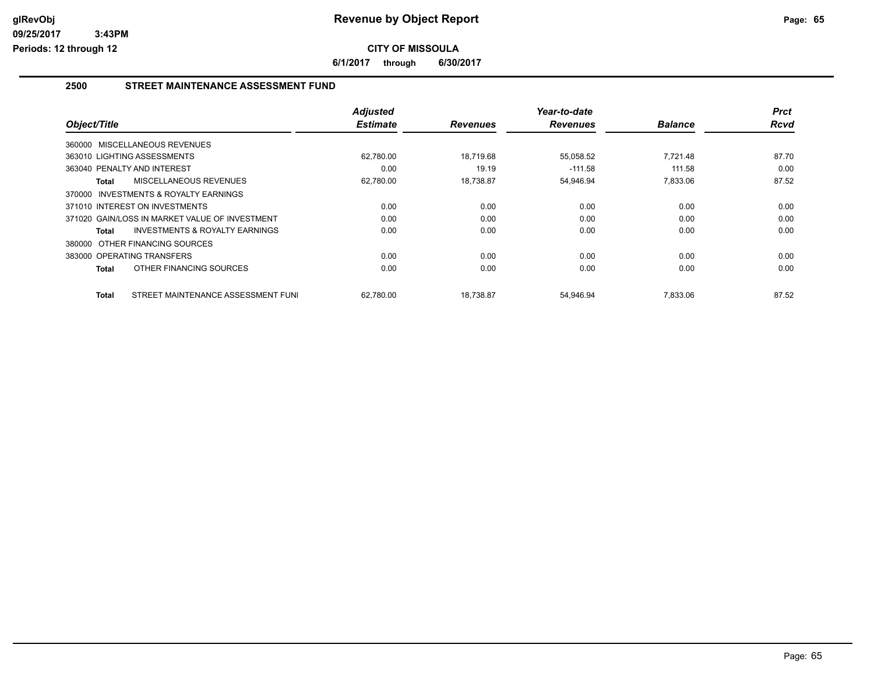**6/1/2017 through 6/30/2017**

# **2500 STREET MAINTENANCE ASSESSMENT FUND**

| Object/Title                                              | <b>Adjusted</b><br><b>Estimate</b> | <b>Revenues</b> | Year-to-date<br><b>Revenues</b> | <b>Balance</b> | <b>Prct</b><br>Rcvd |
|-----------------------------------------------------------|------------------------------------|-----------------|---------------------------------|----------------|---------------------|
| 360000 MISCELLANEOUS REVENUES                             |                                    |                 |                                 |                |                     |
| 363010 LIGHTING ASSESSMENTS                               | 62.780.00                          | 18.719.68       | 55,058.52                       | 7,721.48       | 87.70               |
| 363040 PENALTY AND INTEREST                               | 0.00                               | 19.19           | $-111.58$                       | 111.58         | 0.00                |
| MISCELLANEOUS REVENUES<br>Total                           | 62,780.00                          | 18,738.87       | 54,946.94                       | 7,833.06       | 87.52               |
| INVESTMENTS & ROYALTY EARNINGS<br>370000                  |                                    |                 |                                 |                |                     |
| 371010 INTEREST ON INVESTMENTS                            | 0.00                               | 0.00            | 0.00                            | 0.00           | 0.00                |
| 371020 GAIN/LOSS IN MARKET VALUE OF INVESTMENT            | 0.00                               | 0.00            | 0.00                            | 0.00           | 0.00                |
| <b>INVESTMENTS &amp; ROYALTY EARNINGS</b><br><b>Total</b> | 0.00                               | 0.00            | 0.00                            | 0.00           | 0.00                |
| 380000 OTHER FINANCING SOURCES                            |                                    |                 |                                 |                |                     |
| 383000 OPERATING TRANSFERS                                | 0.00                               | 0.00            | 0.00                            | 0.00           | 0.00                |
| OTHER FINANCING SOURCES<br><b>Total</b>                   | 0.00                               | 0.00            | 0.00                            | 0.00           | 0.00                |
| STREET MAINTENANCE ASSESSMENT FUNI<br><b>Total</b>        | 62,780.00                          | 18,738.87       | 54,946.94                       | 7,833.06       | 87.52               |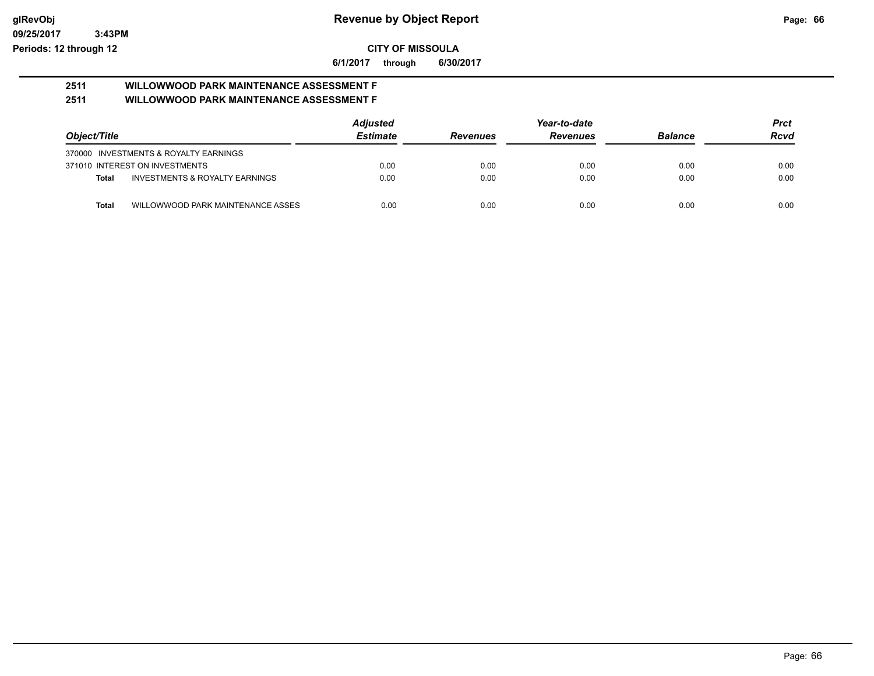# **09/25/2017 3:43PM Periods: 12 through 12**

# **CITY OF MISSOULA**

#### **6/1/2017 through 6/30/2017**

# **2511 WILLOWWOOD PARK MAINTENANCE ASSESSMENT F 2511 WILLOWWOOD PARK MAINTENANCE ASSESSMENT F**

|              |                                           | <b>Adjusted</b> |                 | Year-to-date    |                | Prct        |
|--------------|-------------------------------------------|-----------------|-----------------|-----------------|----------------|-------------|
| Object/Title |                                           | <b>Estimate</b> | <b>Revenues</b> | <b>Revenues</b> | <b>Balance</b> | <b>Rcvd</b> |
|              | 370000 INVESTMENTS & ROYALTY EARNINGS     |                 |                 |                 |                |             |
|              | 371010 INTEREST ON INVESTMENTS            | 0.00            | 0.00            | 0.00            | 0.00           | 0.00        |
| Total        | <b>INVESTMENTS &amp; ROYALTY EARNINGS</b> | 0.00            | 0.00            | 0.00            | 0.00           | 0.00        |
| <b>Total</b> | WILLOWWOOD PARK MAINTENANCE ASSES         | 0.00            | 0.00            | 0.00            | 0.00           | 0.00        |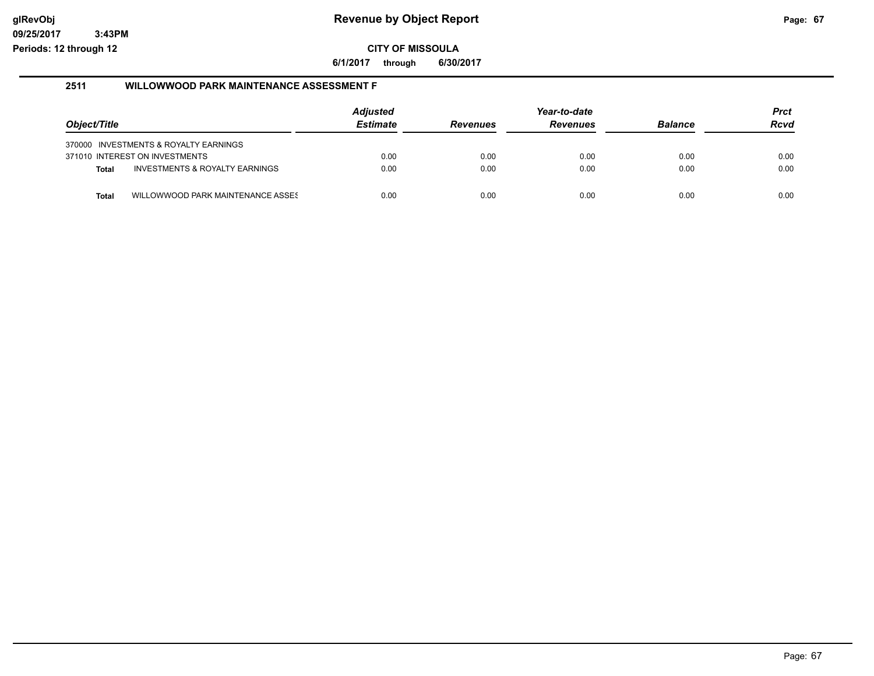**6/1/2017 through 6/30/2017**

# **2511 WILLOWWOOD PARK MAINTENANCE ASSESSMENT F**

|              |                                       | <b>Adjusted</b> |                 | Year-to-date    |                | <b>Prct</b> |
|--------------|---------------------------------------|-----------------|-----------------|-----------------|----------------|-------------|
| Object/Title |                                       | <b>Estimate</b> | <b>Revenues</b> | <b>Revenues</b> | <b>Balance</b> | <b>Rcvd</b> |
|              | 370000 INVESTMENTS & ROYALTY EARNINGS |                 |                 |                 |                |             |
|              | 371010 INTEREST ON INVESTMENTS        | 0.00            | 0.00            | 0.00            | 0.00           | 0.00        |
| <b>Total</b> | INVESTMENTS & ROYALTY EARNINGS        | 0.00            | 0.00            | 0.00            | 0.00           | 0.00        |
| Total        | WILLOWWOOD PARK MAINTENANCE ASSES     | 0.00            | 0.00            | 0.00            | 0.00           | 0.00        |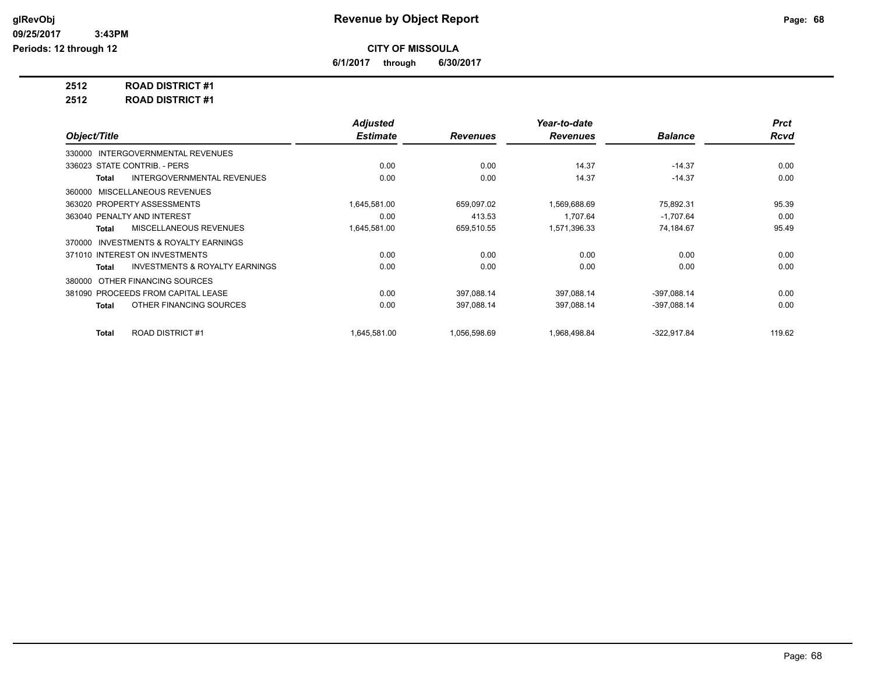**6/1/2017 through 6/30/2017**

**2512 ROAD DISTRICT #1**

**2512 ROAD DISTRICT #1**

|                                                     | <b>Adjusted</b> |                 | Year-to-date    |                | <b>Prct</b> |
|-----------------------------------------------------|-----------------|-----------------|-----------------|----------------|-------------|
| Object/Title                                        | <b>Estimate</b> | <b>Revenues</b> | <b>Revenues</b> | <b>Balance</b> | <b>Rcvd</b> |
| INTERGOVERNMENTAL REVENUES<br>330000                |                 |                 |                 |                |             |
| 336023 STATE CONTRIB. - PERS                        | 0.00            | 0.00            | 14.37           | $-14.37$       | 0.00        |
| <b>INTERGOVERNMENTAL REVENUES</b><br>Total          | 0.00            | 0.00            | 14.37           | $-14.37$       | 0.00        |
| MISCELLANEOUS REVENUES<br>360000                    |                 |                 |                 |                |             |
| 363020 PROPERTY ASSESSMENTS                         | 1,645,581.00    | 659,097.02      | 1,569,688.69    | 75,892.31      | 95.39       |
| 363040 PENALTY AND INTEREST                         | 0.00            | 413.53          | 1.707.64        | $-1,707.64$    | 0.00        |
| MISCELLANEOUS REVENUES<br>Total                     | 1,645,581.00    | 659,510.55      | 1,571,396.33    | 74,184.67      | 95.49       |
| <b>INVESTMENTS &amp; ROYALTY EARNINGS</b><br>370000 |                 |                 |                 |                |             |
| 371010 INTEREST ON INVESTMENTS                      | 0.00            | 0.00            | 0.00            | 0.00           | 0.00        |
| <b>INVESTMENTS &amp; ROYALTY EARNINGS</b><br>Total  | 0.00            | 0.00            | 0.00            | 0.00           | 0.00        |
| 380000 OTHER FINANCING SOURCES                      |                 |                 |                 |                |             |
| 381090 PROCEEDS FROM CAPITAL LEASE                  | 0.00            | 397,088.14      | 397,088.14      | $-397,088.14$  | 0.00        |
| OTHER FINANCING SOURCES<br>Total                    | 0.00            | 397,088.14      | 397,088.14      | $-397,088.14$  | 0.00        |
| <b>ROAD DISTRICT #1</b><br><b>Total</b>             | 1,645,581.00    | 1,056,598.69    | 1,968,498.84    | $-322,917.84$  | 119.62      |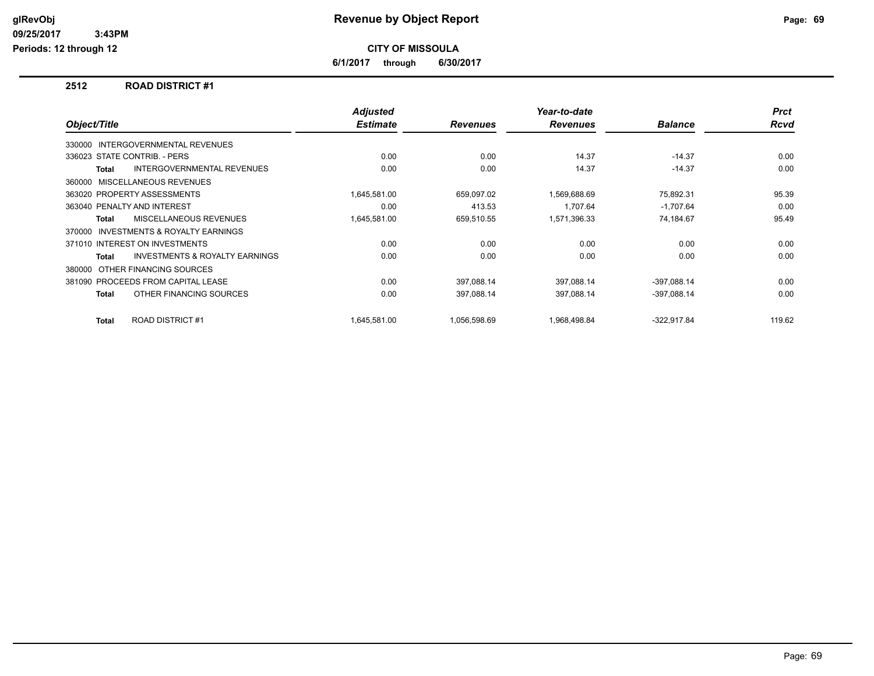**6/1/2017 through 6/30/2017**

# **2512 ROAD DISTRICT #1**

|              |                                           | <b>Adjusted</b> |                 | Year-to-date    |                | <b>Prct</b> |
|--------------|-------------------------------------------|-----------------|-----------------|-----------------|----------------|-------------|
| Object/Title |                                           | <b>Estimate</b> | <b>Revenues</b> | <b>Revenues</b> | <b>Balance</b> | <b>Rcvd</b> |
|              | 330000 INTERGOVERNMENTAL REVENUES         |                 |                 |                 |                |             |
|              | 336023 STATE CONTRIB. - PERS              | 0.00            | 0.00            | 14.37           | $-14.37$       | 0.00        |
| Total        | <b>INTERGOVERNMENTAL REVENUES</b>         | 0.00            | 0.00            | 14.37           | $-14.37$       | 0.00        |
|              | 360000 MISCELLANEOUS REVENUES             |                 |                 |                 |                |             |
|              | 363020 PROPERTY ASSESSMENTS               | 1,645,581.00    | 659,097.02      | 1,569,688.69    | 75,892.31      | 95.39       |
|              | 363040 PENALTY AND INTEREST               | 0.00            | 413.53          | 1.707.64        | $-1,707.64$    | 0.00        |
| Total        | <b>MISCELLANEOUS REVENUES</b>             | 1,645,581.00    | 659,510.55      | 1,571,396.33    | 74,184.67      | 95.49       |
| 370000       | <b>INVESTMENTS &amp; ROYALTY EARNINGS</b> |                 |                 |                 |                |             |
|              | 371010 INTEREST ON INVESTMENTS            | 0.00            | 0.00            | 0.00            | 0.00           | 0.00        |
| Total        | <b>INVESTMENTS &amp; ROYALTY EARNINGS</b> | 0.00            | 0.00            | 0.00            | 0.00           | 0.00        |
| 380000       | OTHER FINANCING SOURCES                   |                 |                 |                 |                |             |
|              | 381090 PROCEEDS FROM CAPITAL LEASE        | 0.00            | 397,088.14      | 397,088.14      | $-397,088.14$  | 0.00        |
| Total        | OTHER FINANCING SOURCES                   | 0.00            | 397,088.14      | 397,088.14      | $-397,088.14$  | 0.00        |
| <b>Total</b> | <b>ROAD DISTRICT #1</b>                   | 1,645,581.00    | 1,056,598.69    | 1.968.498.84    | -322.917.84    | 119.62      |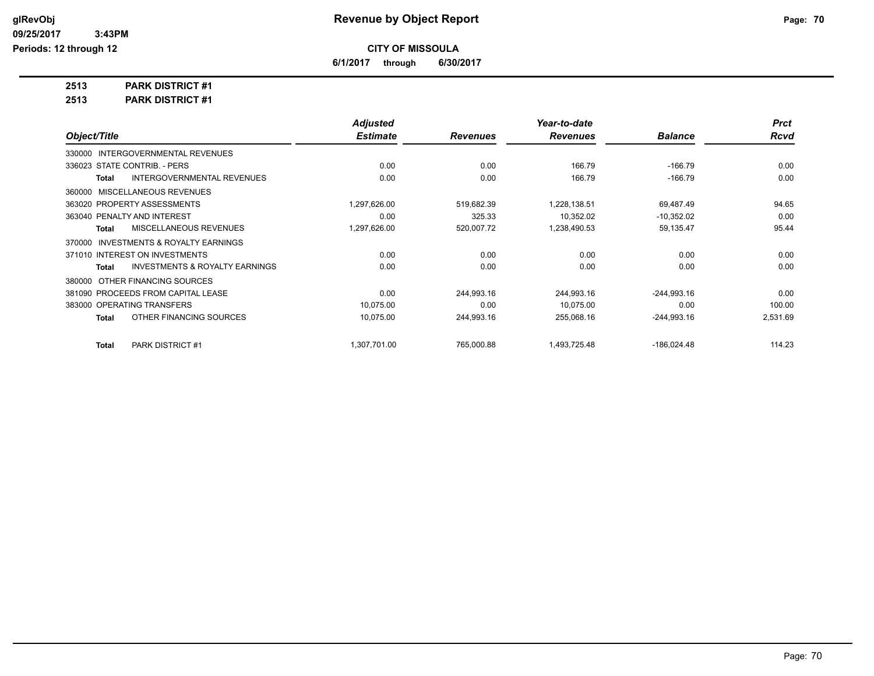**6/1/2017 through 6/30/2017**

**2513 PARK DISTRICT #1**

**2513 PARK DISTRICT #1**

|                                                    | <b>Adjusted</b> |                 | Year-to-date    |                | <b>Prct</b> |
|----------------------------------------------------|-----------------|-----------------|-----------------|----------------|-------------|
| Object/Title                                       | <b>Estimate</b> | <b>Revenues</b> | <b>Revenues</b> | <b>Balance</b> | Rcvd        |
| 330000 INTERGOVERNMENTAL REVENUES                  |                 |                 |                 |                |             |
| 336023 STATE CONTRIB. - PERS                       | 0.00            | 0.00            | 166.79          | $-166.79$      | 0.00        |
| <b>INTERGOVERNMENTAL REVENUES</b><br>Total         | 0.00            | 0.00            | 166.79          | $-166.79$      | 0.00        |
| 360000 MISCELLANEOUS REVENUES                      |                 |                 |                 |                |             |
| 363020 PROPERTY ASSESSMENTS                        | 1,297,626.00    | 519,682.39      | 1,228,138.51    | 69,487.49      | 94.65       |
| 363040 PENALTY AND INTEREST                        | 0.00            | 325.33          | 10,352.02       | $-10,352.02$   | 0.00        |
| MISCELLANEOUS REVENUES<br>Total                    | 1,297,626.00    | 520,007.72      | 1,238,490.53    | 59,135.47      | 95.44       |
| 370000 INVESTMENTS & ROYALTY EARNINGS              |                 |                 |                 |                |             |
| 371010 INTEREST ON INVESTMENTS                     | 0.00            | 0.00            | 0.00            | 0.00           | 0.00        |
| <b>INVESTMENTS &amp; ROYALTY EARNINGS</b><br>Total | 0.00            | 0.00            | 0.00            | 0.00           | 0.00        |
| OTHER FINANCING SOURCES<br>380000                  |                 |                 |                 |                |             |
| 381090 PROCEEDS FROM CAPITAL LEASE                 | 0.00            | 244.993.16      | 244,993.16      | $-244.993.16$  | 0.00        |
| 383000 OPERATING TRANSFERS                         | 10,075.00       | 0.00            | 10,075.00       | 0.00           | 100.00      |
| OTHER FINANCING SOURCES<br><b>Total</b>            | 10,075.00       | 244,993.16      | 255,068.16      | $-244,993.16$  | 2,531.69    |
| <b>PARK DISTRICT #1</b><br><b>Total</b>            | 1,307,701.00    | 765,000.88      | 1,493,725.48    | $-186,024.48$  | 114.23      |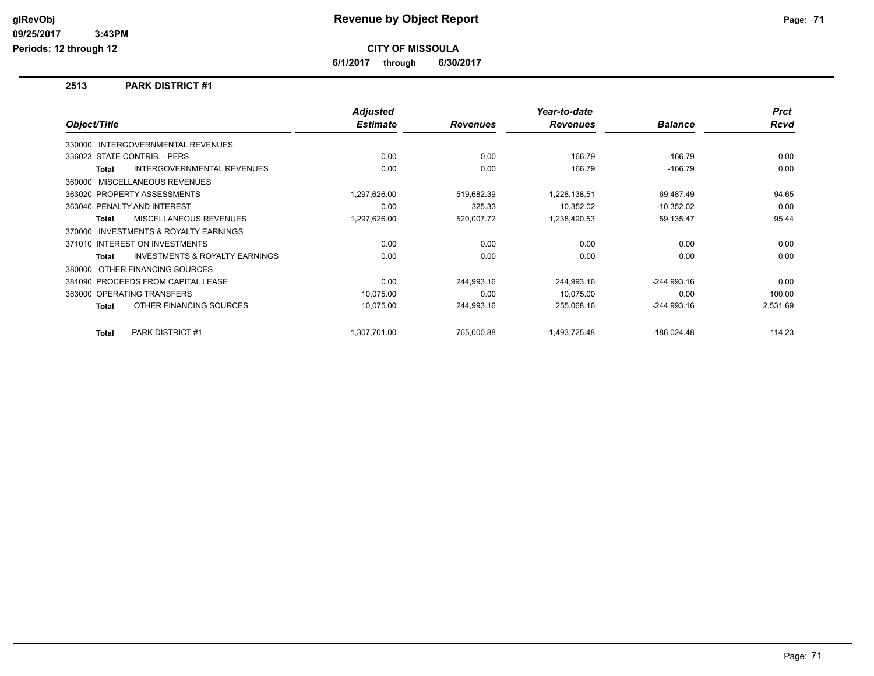**6/1/2017 through 6/30/2017**

# **2513 PARK DISTRICT #1**

|                                                    | <b>Adjusted</b> |                 | Year-to-date    |                | <b>Prct</b> |
|----------------------------------------------------|-----------------|-----------------|-----------------|----------------|-------------|
| Object/Title                                       | <b>Estimate</b> | <b>Revenues</b> | <b>Revenues</b> | <b>Balance</b> | <b>Rcvd</b> |
| 330000 INTERGOVERNMENTAL REVENUES                  |                 |                 |                 |                |             |
| 336023 STATE CONTRIB. - PERS                       | 0.00            | 0.00            | 166.79          | $-166.79$      | 0.00        |
| <b>INTERGOVERNMENTAL REVENUES</b><br>Total         | 0.00            | 0.00            | 166.79          | $-166.79$      | 0.00        |
| 360000 MISCELLANEOUS REVENUES                      |                 |                 |                 |                |             |
| 363020 PROPERTY ASSESSMENTS                        | 1,297,626.00    | 519,682.39      | 1,228,138.51    | 69,487.49      | 94.65       |
| 363040 PENALTY AND INTEREST                        | 0.00            | 325.33          | 10,352.02       | $-10,352.02$   | 0.00        |
| <b>MISCELLANEOUS REVENUES</b><br>Total             | 1,297,626.00    | 520,007.72      | 1,238,490.53    | 59,135.47      | 95.44       |
| INVESTMENTS & ROYALTY EARNINGS<br>370000           |                 |                 |                 |                |             |
| 371010 INTEREST ON INVESTMENTS                     | 0.00            | 0.00            | 0.00            | 0.00           | 0.00        |
| <b>INVESTMENTS &amp; ROYALTY EARNINGS</b><br>Total | 0.00            | 0.00            | 0.00            | 0.00           | 0.00        |
| OTHER FINANCING SOURCES<br>380000                  |                 |                 |                 |                |             |
| 381090 PROCEEDS FROM CAPITAL LEASE                 | 0.00            | 244.993.16      | 244,993.16      | $-244.993.16$  | 0.00        |
| 383000 OPERATING TRANSFERS                         | 10,075.00       | 0.00            | 10.075.00       | 0.00           | 100.00      |
| OTHER FINANCING SOURCES<br>Total                   | 10,075.00       | 244,993.16      | 255,068.16      | $-244,993.16$  | 2.531.69    |
| <b>PARK DISTRICT #1</b><br>Total                   | 1,307,701.00    | 765,000.88      | 1,493,725.48    | $-186.024.48$  | 114.23      |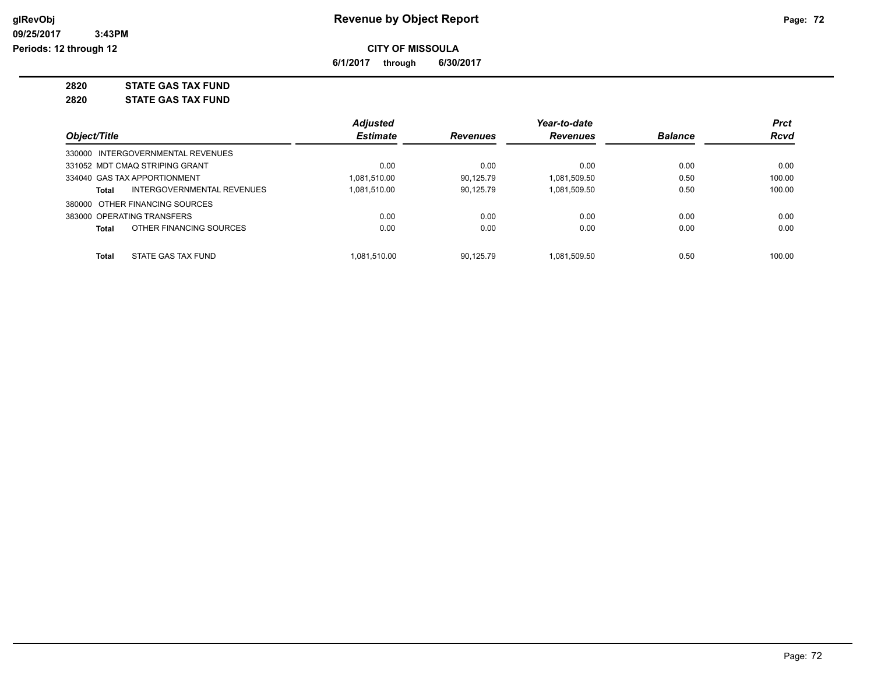**6/1/2017 through 6/30/2017**

# **2820 STATE GAS TAX FUND**

**2820 STATE GAS TAX FUND**

|                                            | <b>Adjusted</b> |                 | Year-to-date    |                | <b>Prct</b> |
|--------------------------------------------|-----------------|-----------------|-----------------|----------------|-------------|
| Object/Title                               | <b>Estimate</b> | <b>Revenues</b> | <b>Revenues</b> | <b>Balance</b> | <b>Rcvd</b> |
| 330000 INTERGOVERNMENTAL REVENUES          |                 |                 |                 |                |             |
| 331052 MDT CMAQ STRIPING GRANT             | 0.00            | 0.00            | 0.00            | 0.00           | 0.00        |
| 334040 GAS TAX APPORTIONMENT               | 1.081.510.00    | 90.125.79       | 1.081.509.50    | 0.50           | 100.00      |
| INTERGOVERNMENTAL REVENUES<br><b>Total</b> | 1,081,510.00    | 90.125.79       | 1,081,509.50    | 0.50           | 100.00      |
| 380000 OTHER FINANCING SOURCES             |                 |                 |                 |                |             |
| 383000 OPERATING TRANSFERS                 | 0.00            | 0.00            | 0.00            | 0.00           | 0.00        |
| OTHER FINANCING SOURCES<br><b>Total</b>    | 0.00            | 0.00            | 0.00            | 0.00           | 0.00        |
| <b>Total</b><br>STATE GAS TAX FUND         | 1.081.510.00    | 90.125.79       | 1.081.509.50    | 0.50           | 100.00      |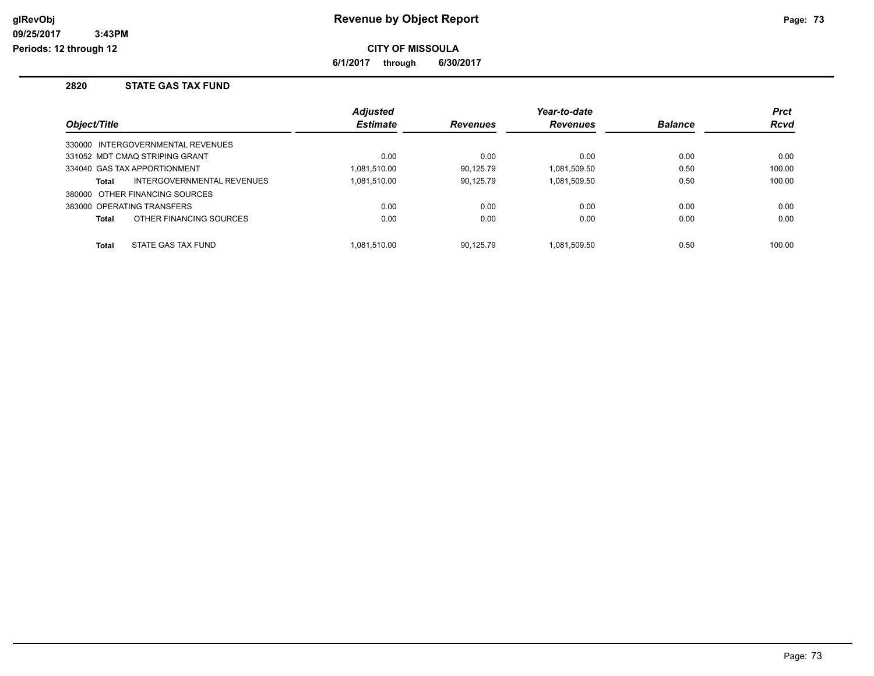**6/1/2017 through 6/30/2017**

## **2820 STATE GAS TAX FUND**

|              |                                   | <b>Adjusted</b> |                 | Year-to-date    |                | <b>Prct</b> |
|--------------|-----------------------------------|-----------------|-----------------|-----------------|----------------|-------------|
| Object/Title |                                   | <b>Estimate</b> | <b>Revenues</b> | <b>Revenues</b> | <b>Balance</b> | <b>Rcvd</b> |
|              | 330000 INTERGOVERNMENTAL REVENUES |                 |                 |                 |                |             |
|              | 331052 MDT CMAQ STRIPING GRANT    | 0.00            | 0.00            | 0.00            | 0.00           | 0.00        |
|              | 334040 GAS TAX APPORTIONMENT      | 1.081.510.00    | 90.125.79       | 1,081,509.50    | 0.50           | 100.00      |
| <b>Total</b> | INTERGOVERNMENTAL REVENUES        | 1,081,510.00    | 90.125.79       | 1,081,509.50    | 0.50           | 100.00      |
|              | 380000 OTHER FINANCING SOURCES    |                 |                 |                 |                |             |
|              | 383000 OPERATING TRANSFERS        | 0.00            | 0.00            | 0.00            | 0.00           | 0.00        |
| Total        | OTHER FINANCING SOURCES           | 0.00            | 0.00            | 0.00            | 0.00           | 0.00        |
| <b>Total</b> | STATE GAS TAX FUND                | 1.081.510.00    | 90.125.79       | 1.081.509.50    | 0.50           | 100.00      |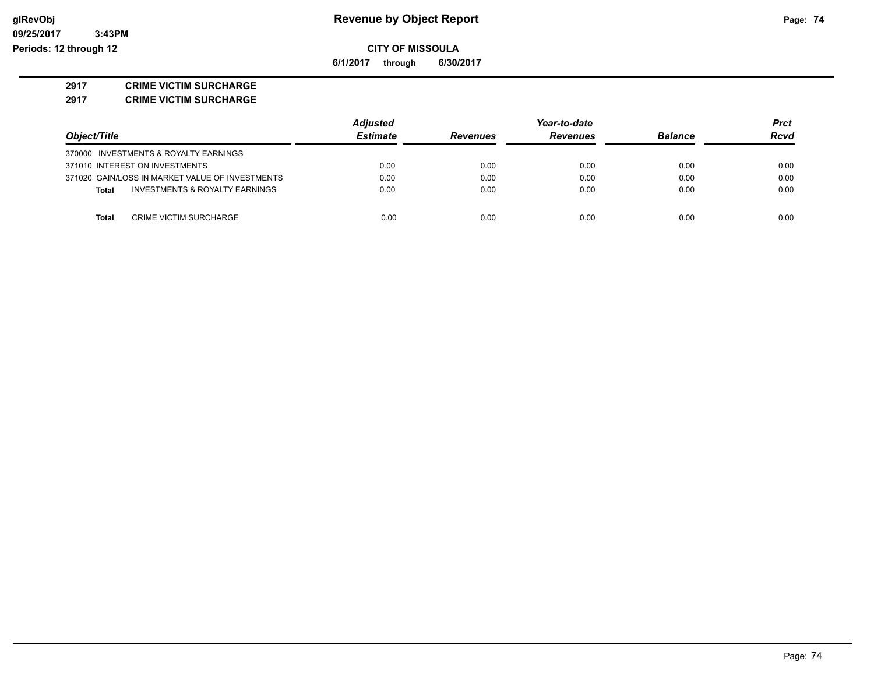**6/1/2017 through 6/30/2017**

## **2917 CRIME VICTIM SURCHARGE**

**2917 CRIME VICTIM SURCHARGE**

|                                                 | <b>Adjusted</b> |                                    | Year-to-date |                | Prct |
|-------------------------------------------------|-----------------|------------------------------------|--------------|----------------|------|
| Object/Title                                    | <b>Estimate</b> | <b>Revenues</b><br><b>Revenues</b> |              | <b>Balance</b> | Rcvd |
| 370000 INVESTMENTS & ROYALTY EARNINGS           |                 |                                    |              |                |      |
| 371010 INTEREST ON INVESTMENTS                  | 0.00            | 0.00                               | 0.00         | 0.00           | 0.00 |
| 371020 GAIN/LOSS IN MARKET VALUE OF INVESTMENTS | 0.00            | 0.00                               | 0.00         | 0.00           | 0.00 |
| INVESTMENTS & ROYALTY EARNINGS<br><b>Total</b>  | 0.00            | 0.00                               | 0.00         | 0.00           | 0.00 |
|                                                 |                 |                                    |              |                |      |
| Total<br>CRIME VICTIM SURCHARGE                 | 0.00            | 0.00                               | 0.00         | 0.00           | 0.00 |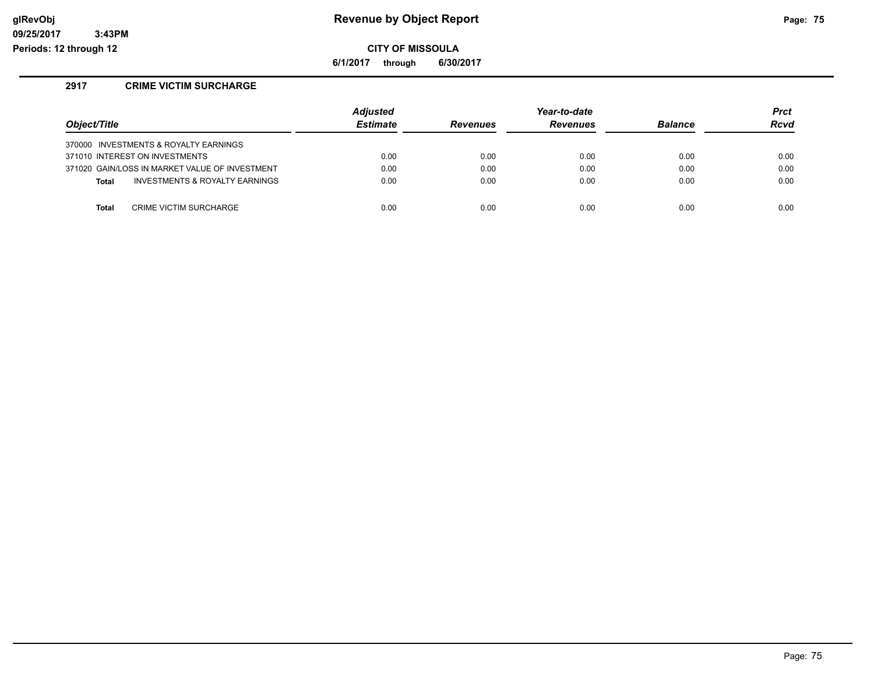**6/1/2017 through 6/30/2017**

## **2917 CRIME VICTIM SURCHARGE**

| Object/Title                                   | <b>Adiusted</b><br><b>Estimate</b> | <b>Revenues</b> | Year-to-date<br><b>Revenues</b> | <b>Balance</b> | <b>Prct</b><br><b>Rcvd</b> |
|------------------------------------------------|------------------------------------|-----------------|---------------------------------|----------------|----------------------------|
| 370000 INVESTMENTS & ROYALTY EARNINGS          |                                    |                 |                                 |                |                            |
| 371010 INTEREST ON INVESTMENTS                 | 0.00                               | 0.00            | 0.00                            | 0.00           | 0.00                       |
| 371020 GAIN/LOSS IN MARKET VALUE OF INVESTMENT | 0.00                               | 0.00            | 0.00                            | 0.00           | 0.00                       |
| INVESTMENTS & ROYALTY EARNINGS<br><b>Total</b> | 0.00                               | 0.00            | 0.00                            | 0.00           | 0.00                       |
|                                                |                                    |                 |                                 |                |                            |
| CRIME VICTIM SURCHARGE<br>Total                | 0.00                               | 0.00            | 0.00                            | 0.00           | 0.00                       |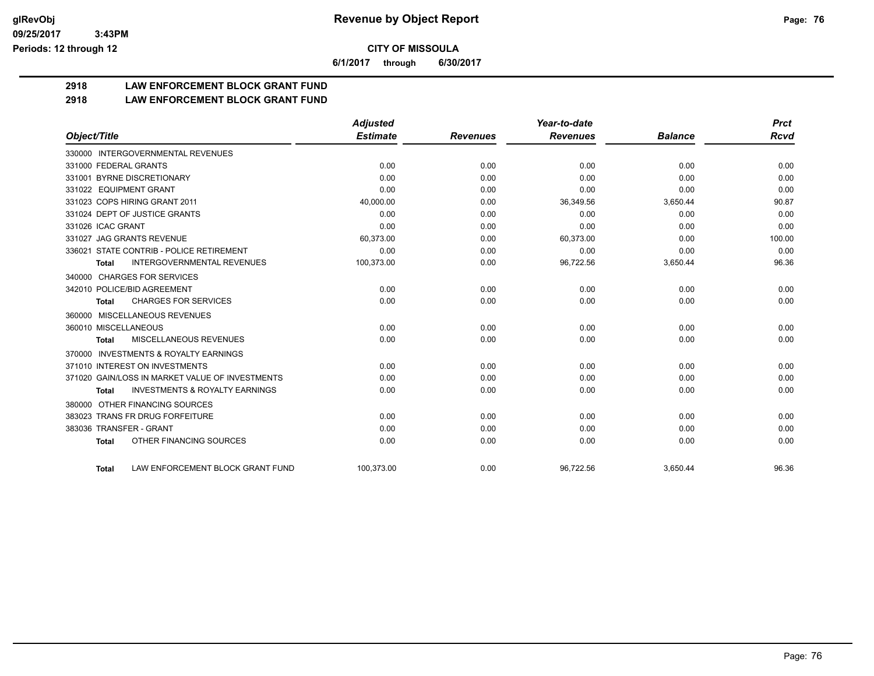**6/1/2017 through 6/30/2017**

# **2918 LAW ENFORCEMENT BLOCK GRANT FUND**

# **2918 LAW ENFORCEMENT BLOCK GRANT FUND**

|                                                     | <b>Adjusted</b> |                 | Year-to-date    |                | <b>Prct</b> |
|-----------------------------------------------------|-----------------|-----------------|-----------------|----------------|-------------|
| Object/Title                                        | <b>Estimate</b> | <b>Revenues</b> | <b>Revenues</b> | <b>Balance</b> | <b>Rcvd</b> |
| 330000 INTERGOVERNMENTAL REVENUES                   |                 |                 |                 |                |             |
| 331000 FEDERAL GRANTS                               | 0.00            | 0.00            | 0.00            | 0.00           | 0.00        |
| 331001 BYRNE DISCRETIONARY                          | 0.00            | 0.00            | 0.00            | 0.00           | 0.00        |
| 331022 EQUIPMENT GRANT                              | 0.00            | 0.00            | 0.00            | 0.00           | 0.00        |
| 331023 COPS HIRING GRANT 2011                       | 40,000.00       | 0.00            | 36,349.56       | 3,650.44       | 90.87       |
| 331024 DEPT OF JUSTICE GRANTS                       | 0.00            | 0.00            | 0.00            | 0.00           | 0.00        |
| 331026 ICAC GRANT                                   | 0.00            | 0.00            | 0.00            | 0.00           | 0.00        |
| 331027 JAG GRANTS REVENUE                           | 60,373.00       | 0.00            | 60,373.00       | 0.00           | 100.00      |
| 336021 STATE CONTRIB - POLICE RETIREMENT            | 0.00            | 0.00            | 0.00            | 0.00           | 0.00        |
| <b>INTERGOVERNMENTAL REVENUES</b><br><b>Total</b>   | 100,373.00      | 0.00            | 96,722.56       | 3,650.44       | 96.36       |
| 340000 CHARGES FOR SERVICES                         |                 |                 |                 |                |             |
| 342010 POLICE/BID AGREEMENT                         | 0.00            | 0.00            | 0.00            | 0.00           | 0.00        |
| <b>CHARGES FOR SERVICES</b><br><b>Total</b>         | 0.00            | 0.00            | 0.00            | 0.00           | 0.00        |
| 360000 MISCELLANEOUS REVENUES                       |                 |                 |                 |                |             |
| 360010 MISCELLANEOUS                                | 0.00            | 0.00            | 0.00            | 0.00           | 0.00        |
| <b>MISCELLANEOUS REVENUES</b><br>Total              | 0.00            | 0.00            | 0.00            | 0.00           | 0.00        |
| <b>INVESTMENTS &amp; ROYALTY EARNINGS</b><br>370000 |                 |                 |                 |                |             |
| 371010 INTEREST ON INVESTMENTS                      | 0.00            | 0.00            | 0.00            | 0.00           | 0.00        |
| 371020 GAIN/LOSS IN MARKET VALUE OF INVESTMENTS     | 0.00            | 0.00            | 0.00            | 0.00           | 0.00        |
| <b>INVESTMENTS &amp; ROYALTY EARNINGS</b><br>Total  | 0.00            | 0.00            | 0.00            | 0.00           | 0.00        |
| OTHER FINANCING SOURCES<br>380000                   |                 |                 |                 |                |             |
| 383023 TRANS FR DRUG FORFEITURE                     | 0.00            | 0.00            | 0.00            | 0.00           | 0.00        |
| 383036 TRANSFER - GRANT                             | 0.00            | 0.00            | 0.00            | 0.00           | 0.00        |
| OTHER FINANCING SOURCES<br><b>Total</b>             | 0.00            | 0.00            | 0.00            | 0.00           | 0.00        |
|                                                     |                 |                 |                 |                |             |
| LAW ENFORCEMENT BLOCK GRANT FUND<br><b>Total</b>    | 100,373.00      | 0.00            | 96,722.56       | 3,650.44       | 96.36       |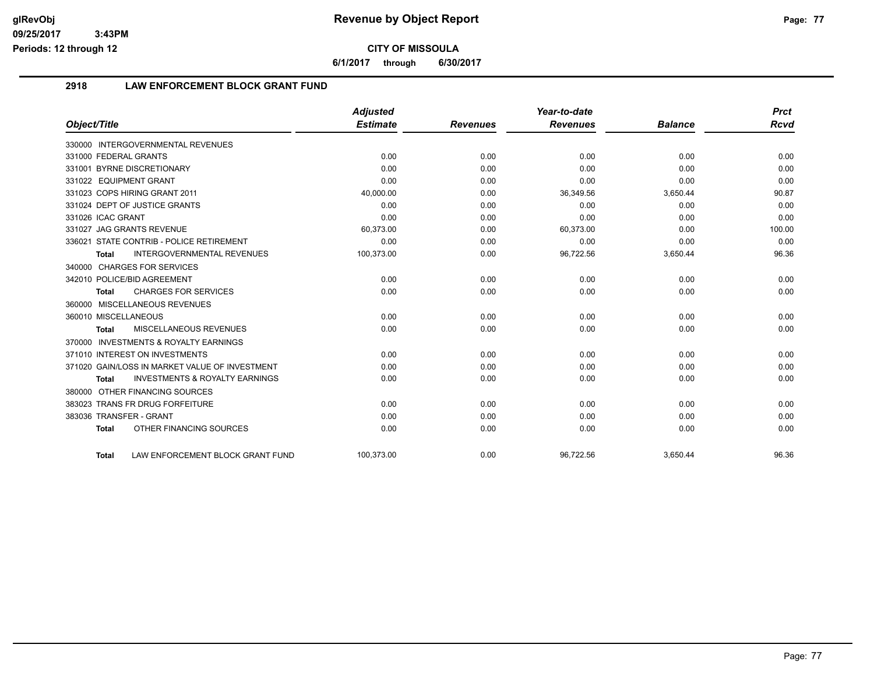**6/1/2017 through 6/30/2017**

## **2918 LAW ENFORCEMENT BLOCK GRANT FUND**

|                                                           | <b>Adjusted</b> |                 | Year-to-date    |                | <b>Prct</b> |
|-----------------------------------------------------------|-----------------|-----------------|-----------------|----------------|-------------|
| Object/Title                                              | <b>Estimate</b> | <b>Revenues</b> | <b>Revenues</b> | <b>Balance</b> | <b>Rcvd</b> |
| 330000 INTERGOVERNMENTAL REVENUES                         |                 |                 |                 |                |             |
| 331000 FEDERAL GRANTS                                     | 0.00            | 0.00            | 0.00            | 0.00           | 0.00        |
| 331001 BYRNE DISCRETIONARY                                | 0.00            | 0.00            | 0.00            | 0.00           | 0.00        |
| 331022 EQUIPMENT GRANT                                    | 0.00            | 0.00            | 0.00            | 0.00           | 0.00        |
| 331023 COPS HIRING GRANT 2011                             | 40,000.00       | 0.00            | 36,349.56       | 3,650.44       | 90.87       |
| 331024 DEPT OF JUSTICE GRANTS                             | 0.00            | 0.00            | 0.00            | 0.00           | 0.00        |
| 331026 ICAC GRANT                                         | 0.00            | 0.00            | 0.00            | 0.00           | 0.00        |
| 331027 JAG GRANTS REVENUE                                 | 60,373.00       | 0.00            | 60,373.00       | 0.00           | 100.00      |
| 336021 STATE CONTRIB - POLICE RETIREMENT                  | 0.00            | 0.00            | 0.00            | 0.00           | 0.00        |
| <b>INTERGOVERNMENTAL REVENUES</b><br><b>Total</b>         | 100,373.00      | 0.00            | 96,722.56       | 3,650.44       | 96.36       |
| 340000 CHARGES FOR SERVICES                               |                 |                 |                 |                |             |
| 342010 POLICE/BID AGREEMENT                               | 0.00            | 0.00            | 0.00            | 0.00           | 0.00        |
| <b>CHARGES FOR SERVICES</b><br>Total                      | 0.00            | 0.00            | 0.00            | 0.00           | 0.00        |
| 360000 MISCELLANEOUS REVENUES                             |                 |                 |                 |                |             |
| 360010 MISCELLANEOUS                                      | 0.00            | 0.00            | 0.00            | 0.00           | 0.00        |
| MISCELLANEOUS REVENUES<br><b>Total</b>                    | 0.00            | 0.00            | 0.00            | 0.00           | 0.00        |
| 370000 INVESTMENTS & ROYALTY EARNINGS                     |                 |                 |                 |                |             |
| 371010 INTEREST ON INVESTMENTS                            | 0.00            | 0.00            | 0.00            | 0.00           | 0.00        |
| 371020 GAIN/LOSS IN MARKET VALUE OF INVESTMENT            | 0.00            | 0.00            | 0.00            | 0.00           | 0.00        |
| <b>INVESTMENTS &amp; ROYALTY EARNINGS</b><br><b>Total</b> | 0.00            | 0.00            | 0.00            | 0.00           | 0.00        |
| 380000 OTHER FINANCING SOURCES                            |                 |                 |                 |                |             |
| 383023 TRANS FR DRUG FORFEITURE                           | 0.00            | 0.00            | 0.00            | 0.00           | 0.00        |
| 383036 TRANSFER - GRANT                                   | 0.00            | 0.00            | 0.00            | 0.00           | 0.00        |
| OTHER FINANCING SOURCES<br><b>Total</b>                   | 0.00            | 0.00            | 0.00            | 0.00           | 0.00        |
| LAW ENFORCEMENT BLOCK GRANT FUND<br><b>Total</b>          | 100.373.00      | 0.00            | 96.722.56       | 3.650.44       | 96.36       |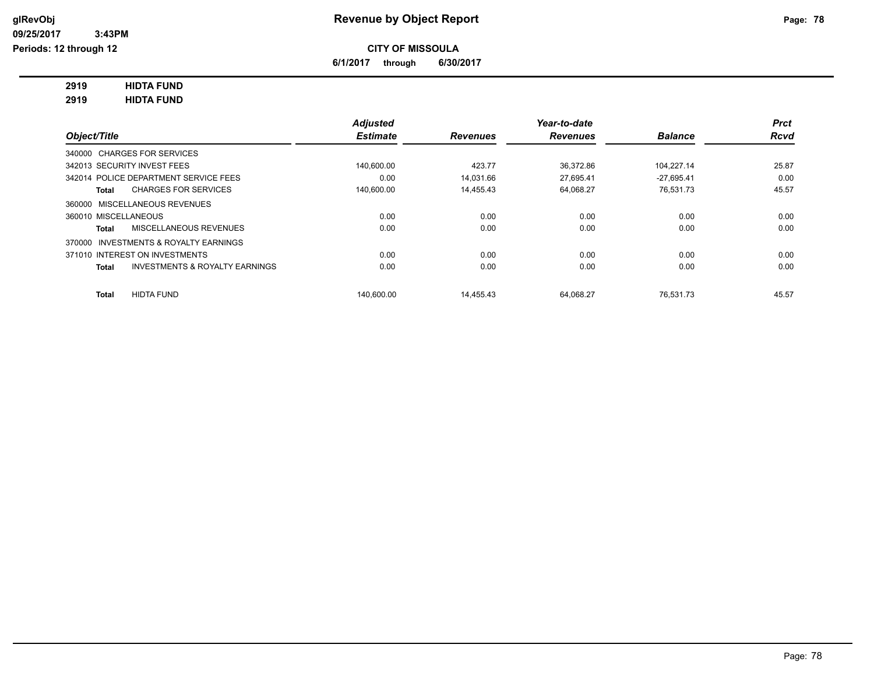**6/1/2017 through 6/30/2017**

# **2919 HIDTA FUND**

**2919 HIDTA FUND**

|                                                    | <b>Adjusted</b> |                 | Year-to-date    |                | <b>Prct</b> |
|----------------------------------------------------|-----------------|-----------------|-----------------|----------------|-------------|
| Object/Title                                       | <b>Estimate</b> | <b>Revenues</b> | <b>Revenues</b> | <b>Balance</b> | <b>Rcvd</b> |
| 340000 CHARGES FOR SERVICES                        |                 |                 |                 |                |             |
| 342013 SECURITY INVEST FEES                        | 140,600.00      | 423.77          | 36,372.86       | 104,227.14     | 25.87       |
| 342014 POLICE DEPARTMENT SERVICE FEES              | 0.00            | 14.031.66       | 27.695.41       | $-27.695.41$   | 0.00        |
| <b>CHARGES FOR SERVICES</b><br>Total               | 140.600.00      | 14.455.43       | 64.068.27       | 76.531.73      | 45.57       |
| 360000 MISCELLANEOUS REVENUES                      |                 |                 |                 |                |             |
| 360010 MISCELLANEOUS                               | 0.00            | 0.00            | 0.00            | 0.00           | 0.00        |
| MISCELLANEOUS REVENUES<br>Total                    | 0.00            | 0.00            | 0.00            | 0.00           | 0.00        |
| 370000 INVESTMENTS & ROYALTY EARNINGS              |                 |                 |                 |                |             |
| 371010 INTEREST ON INVESTMENTS                     | 0.00            | 0.00            | 0.00            | 0.00           | 0.00        |
| <b>INVESTMENTS &amp; ROYALTY EARNINGS</b><br>Total | 0.00            | 0.00            | 0.00            | 0.00           | 0.00        |
| <b>HIDTA FUND</b><br>Total                         | 140.600.00      | 14.455.43       | 64.068.27       | 76.531.73      | 45.57       |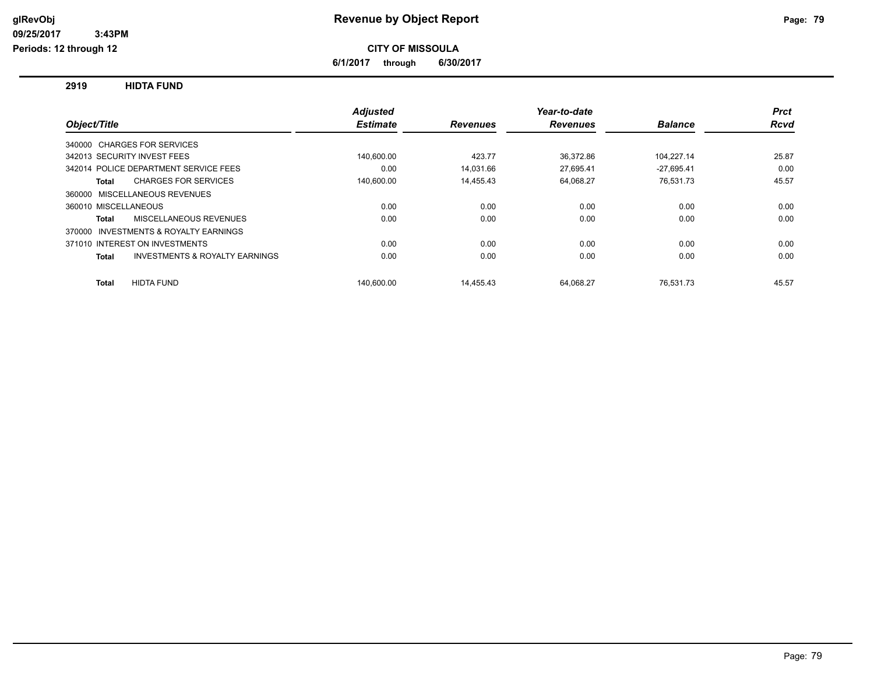**6/1/2017 through 6/30/2017**

**2919 HIDTA FUND**

|                                                    | <b>Adjusted</b> |                 | Year-to-date    |                | <b>Prct</b> |
|----------------------------------------------------|-----------------|-----------------|-----------------|----------------|-------------|
| Object/Title                                       | <b>Estimate</b> | <b>Revenues</b> | <b>Revenues</b> | <b>Balance</b> | <b>Rcvd</b> |
| 340000 CHARGES FOR SERVICES                        |                 |                 |                 |                |             |
| 342013 SECURITY INVEST FEES                        | 140.600.00      | 423.77          | 36,372.86       | 104,227.14     | 25.87       |
| 342014 POLICE DEPARTMENT SERVICE FEES              | 0.00            | 14.031.66       | 27.695.41       | $-27.695.41$   | 0.00        |
| <b>CHARGES FOR SERVICES</b><br>Total               | 140,600.00      | 14,455.43       | 64,068.27       | 76,531.73      | 45.57       |
| 360000 MISCELLANEOUS REVENUES                      |                 |                 |                 |                |             |
| 360010 MISCELLANEOUS                               | 0.00            | 0.00            | 0.00            | 0.00           | 0.00        |
| MISCELLANEOUS REVENUES<br>Total                    | 0.00            | 0.00            | 0.00            | 0.00           | 0.00        |
| 370000 INVESTMENTS & ROYALTY EARNINGS              |                 |                 |                 |                |             |
| 371010 INTEREST ON INVESTMENTS                     | 0.00            | 0.00            | 0.00            | 0.00           | 0.00        |
| <b>INVESTMENTS &amp; ROYALTY EARNINGS</b><br>Total | 0.00            | 0.00            | 0.00            | 0.00           | 0.00        |
| <b>HIDTA FUND</b><br>Total                         | 140.600.00      | 14.455.43       | 64.068.27       | 76.531.73      | 45.57       |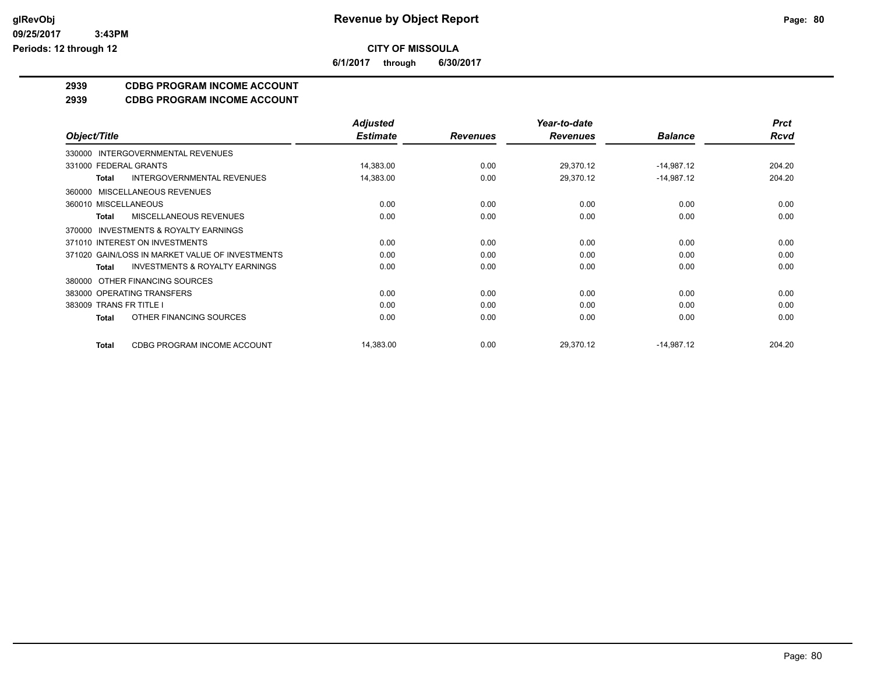**6/1/2017 through 6/30/2017**

# **2939 CDBG PROGRAM INCOME ACCOUNT**

## **2939 CDBG PROGRAM INCOME ACCOUNT**

|                                                           | <b>Adjusted</b> |                 | Year-to-date    |                | <b>Prct</b> |
|-----------------------------------------------------------|-----------------|-----------------|-----------------|----------------|-------------|
| Object/Title                                              | <b>Estimate</b> | <b>Revenues</b> | <b>Revenues</b> | <b>Balance</b> | <b>Rcvd</b> |
| INTERGOVERNMENTAL REVENUES<br>330000                      |                 |                 |                 |                |             |
| 331000 FEDERAL GRANTS                                     | 14,383.00       | 0.00            | 29,370.12       | $-14,987.12$   | 204.20      |
| <b>INTERGOVERNMENTAL REVENUES</b><br>Total                | 14,383.00       | 0.00            | 29,370.12       | $-14,987.12$   | 204.20      |
| MISCELLANEOUS REVENUES<br>360000                          |                 |                 |                 |                |             |
| 360010 MISCELLANEOUS                                      | 0.00            | 0.00            | 0.00            | 0.00           | 0.00        |
| <b>MISCELLANEOUS REVENUES</b><br><b>Total</b>             | 0.00            | 0.00            | 0.00            | 0.00           | 0.00        |
| <b>INVESTMENTS &amp; ROYALTY EARNINGS</b><br>370000       |                 |                 |                 |                |             |
| 371010 INTEREST ON INVESTMENTS                            | 0.00            | 0.00            | 0.00            | 0.00           | 0.00        |
| 371020 GAIN/LOSS IN MARKET VALUE OF INVESTMENTS           | 0.00            | 0.00            | 0.00            | 0.00           | 0.00        |
| <b>INVESTMENTS &amp; ROYALTY EARNINGS</b><br><b>Total</b> | 0.00            | 0.00            | 0.00            | 0.00           | 0.00        |
| OTHER FINANCING SOURCES<br>380000                         |                 |                 |                 |                |             |
| 383000 OPERATING TRANSFERS                                | 0.00            | 0.00            | 0.00            | 0.00           | 0.00        |
| 383009 TRANS FR TITLE I                                   | 0.00            | 0.00            | 0.00            | 0.00           | 0.00        |
| OTHER FINANCING SOURCES<br><b>Total</b>                   | 0.00            | 0.00            | 0.00            | 0.00           | 0.00        |
| <b>CDBG PROGRAM INCOME ACCOUNT</b><br><b>Total</b>        | 14,383.00       | 0.00            | 29,370.12       | $-14,987.12$   | 204.20      |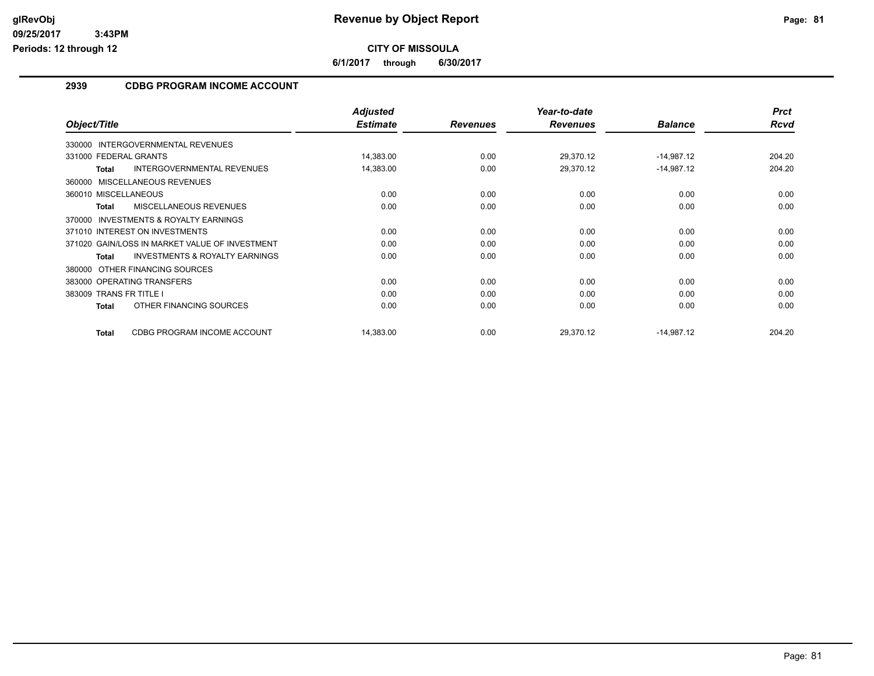**6/1/2017 through 6/30/2017**

## **2939 CDBG PROGRAM INCOME ACCOUNT**

|                                                           | <b>Adjusted</b> |                 | Year-to-date    |                | <b>Prct</b> |
|-----------------------------------------------------------|-----------------|-----------------|-----------------|----------------|-------------|
| Object/Title                                              | <b>Estimate</b> | <b>Revenues</b> | <b>Revenues</b> | <b>Balance</b> | <b>Rcvd</b> |
| 330000 INTERGOVERNMENTAL REVENUES                         |                 |                 |                 |                |             |
| 331000 FEDERAL GRANTS                                     | 14,383.00       | 0.00            | 29,370.12       | $-14,987.12$   | 204.20      |
| <b>INTERGOVERNMENTAL REVENUES</b><br><b>Total</b>         | 14,383.00       | 0.00            | 29,370.12       | $-14,987.12$   | 204.20      |
| 360000 MISCELLANEOUS REVENUES                             |                 |                 |                 |                |             |
| 360010 MISCELLANEOUS                                      | 0.00            | 0.00            | 0.00            | 0.00           | 0.00        |
| MISCELLANEOUS REVENUES<br><b>Total</b>                    | 0.00            | 0.00            | 0.00            | 0.00           | 0.00        |
| 370000 INVESTMENTS & ROYALTY EARNINGS                     |                 |                 |                 |                |             |
| 371010 INTEREST ON INVESTMENTS                            | 0.00            | 0.00            | 0.00            | 0.00           | 0.00        |
| 371020 GAIN/LOSS IN MARKET VALUE OF INVESTMENT            | 0.00            | 0.00            | 0.00            | 0.00           | 0.00        |
| <b>INVESTMENTS &amp; ROYALTY EARNINGS</b><br><b>Total</b> | 0.00            | 0.00            | 0.00            | 0.00           | 0.00        |
| 380000 OTHER FINANCING SOURCES                            |                 |                 |                 |                |             |
| 383000 OPERATING TRANSFERS                                | 0.00            | 0.00            | 0.00            | 0.00           | 0.00        |
| 383009 TRANS FR TITLE I                                   | 0.00            | 0.00            | 0.00            | 0.00           | 0.00        |
| OTHER FINANCING SOURCES<br><b>Total</b>                   | 0.00            | 0.00            | 0.00            | 0.00           | 0.00        |
| <b>Total</b><br>CDBG PROGRAM INCOME ACCOUNT               | 14,383.00       | 0.00            | 29,370.12       | $-14,987.12$   | 204.20      |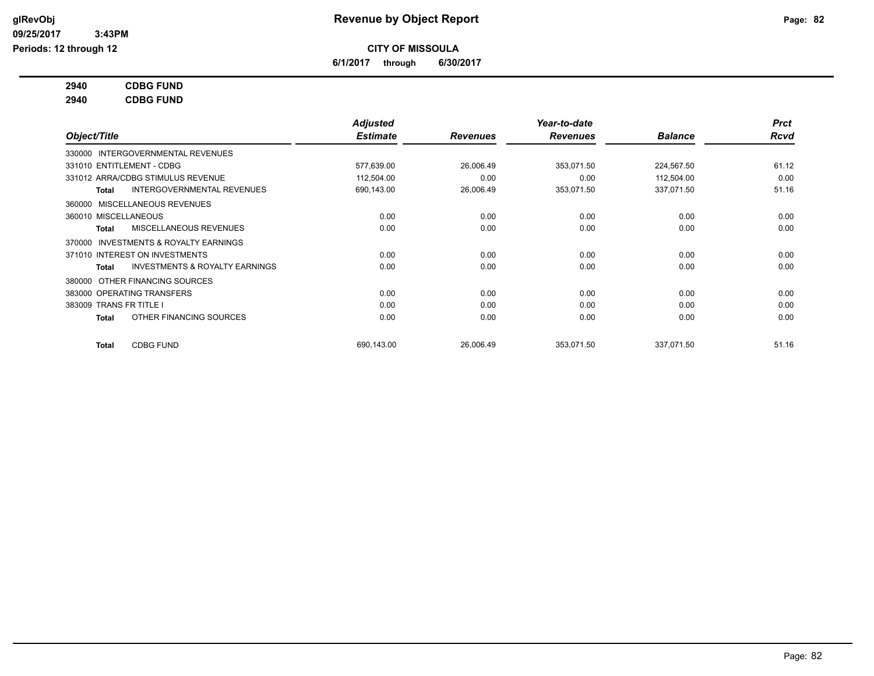**6/1/2017 through 6/30/2017**

## **2940 CDBG FUND**

**2940 CDBG FUND**

|                                                           | <b>Adjusted</b> |                 | Year-to-date    |                | <b>Prct</b> |
|-----------------------------------------------------------|-----------------|-----------------|-----------------|----------------|-------------|
| Object/Title                                              | <b>Estimate</b> | <b>Revenues</b> | <b>Revenues</b> | <b>Balance</b> | Rcvd        |
| 330000 INTERGOVERNMENTAL REVENUES                         |                 |                 |                 |                |             |
| 331010 ENTITLEMENT - CDBG                                 | 577,639.00      | 26,006.49       | 353,071.50      | 224,567.50     | 61.12       |
| 331012 ARRA/CDBG STIMULUS REVENUE                         | 112,504.00      | 0.00            | 0.00            | 112,504.00     | 0.00        |
| <b>INTERGOVERNMENTAL REVENUES</b><br>Total                | 690,143.00      | 26,006.49       | 353,071.50      | 337,071.50     | 51.16       |
| MISCELLANEOUS REVENUES<br>360000                          |                 |                 |                 |                |             |
| 360010 MISCELLANEOUS                                      | 0.00            | 0.00            | 0.00            | 0.00           | 0.00        |
| MISCELLANEOUS REVENUES<br>Total                           | 0.00            | 0.00            | 0.00            | 0.00           | 0.00        |
| <b>INVESTMENTS &amp; ROYALTY EARNINGS</b><br>370000       |                 |                 |                 |                |             |
| 371010 INTEREST ON INVESTMENTS                            | 0.00            | 0.00            | 0.00            | 0.00           | 0.00        |
| <b>INVESTMENTS &amp; ROYALTY EARNINGS</b><br><b>Total</b> | 0.00            | 0.00            | 0.00            | 0.00           | 0.00        |
| OTHER FINANCING SOURCES<br>380000                         |                 |                 |                 |                |             |
| 383000 OPERATING TRANSFERS                                | 0.00            | 0.00            | 0.00            | 0.00           | 0.00        |
| 383009 TRANS FR TITLE I                                   | 0.00            | 0.00            | 0.00            | 0.00           | 0.00        |
| OTHER FINANCING SOURCES<br><b>Total</b>                   | 0.00            | 0.00            | 0.00            | 0.00           | 0.00        |
| <b>CDBG FUND</b><br><b>Total</b>                          | 690,143.00      | 26,006.49       | 353,071.50      | 337,071.50     | 51.16       |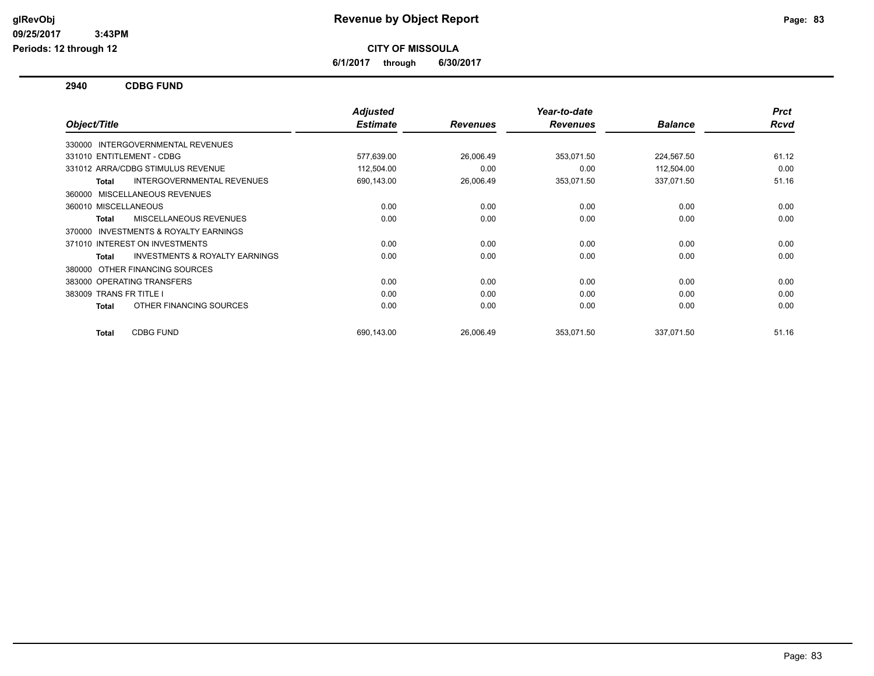**6/1/2017 through 6/30/2017**

**2940 CDBG FUND**

|                                                           | <b>Adjusted</b> |                 | Year-to-date    |                | <b>Prct</b> |
|-----------------------------------------------------------|-----------------|-----------------|-----------------|----------------|-------------|
| Object/Title                                              | <b>Estimate</b> | <b>Revenues</b> | <b>Revenues</b> | <b>Balance</b> | Rcvd        |
| 330000 INTERGOVERNMENTAL REVENUES                         |                 |                 |                 |                |             |
| 331010 ENTITLEMENT - CDBG                                 | 577,639.00      | 26,006.49       | 353,071.50      | 224,567.50     | 61.12       |
| 331012 ARRA/CDBG STIMULUS REVENUE                         | 112,504.00      | 0.00            | 0.00            | 112,504.00     | 0.00        |
| INTERGOVERNMENTAL REVENUES<br><b>Total</b>                | 690,143.00      | 26,006.49       | 353,071.50      | 337,071.50     | 51.16       |
| 360000 MISCELLANEOUS REVENUES                             |                 |                 |                 |                |             |
| 360010 MISCELLANEOUS                                      | 0.00            | 0.00            | 0.00            | 0.00           | 0.00        |
| MISCELLANEOUS REVENUES<br><b>Total</b>                    | 0.00            | 0.00            | 0.00            | 0.00           | 0.00        |
| 370000 INVESTMENTS & ROYALTY EARNINGS                     |                 |                 |                 |                |             |
| 371010 INTEREST ON INVESTMENTS                            | 0.00            | 0.00            | 0.00            | 0.00           | 0.00        |
| <b>INVESTMENTS &amp; ROYALTY EARNINGS</b><br><b>Total</b> | 0.00            | 0.00            | 0.00            | 0.00           | 0.00        |
| 380000 OTHER FINANCING SOURCES                            |                 |                 |                 |                |             |
| 383000 OPERATING TRANSFERS                                | 0.00            | 0.00            | 0.00            | 0.00           | 0.00        |
| 383009 TRANS FR TITLE I                                   | 0.00            | 0.00            | 0.00            | 0.00           | 0.00        |
| OTHER FINANCING SOURCES<br><b>Total</b>                   | 0.00            | 0.00            | 0.00            | 0.00           | 0.00        |
| <b>CDBG FUND</b><br><b>Total</b>                          | 690,143.00      | 26,006.49       | 353,071.50      | 337,071.50     | 51.16       |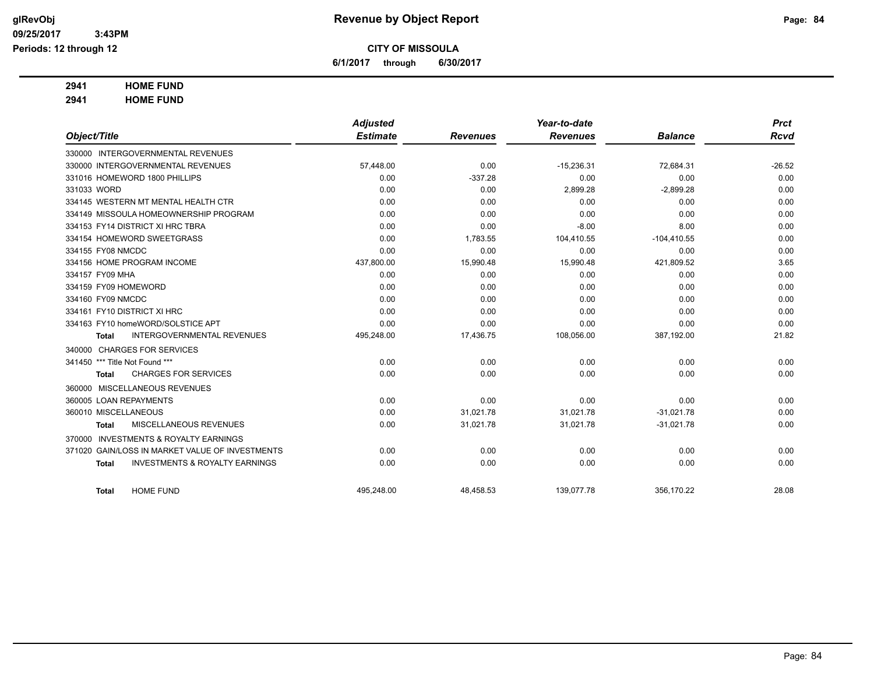**6/1/2017 through 6/30/2017**

## **2941 HOME FUND**

**2941 HOME FUND**

|                                                           | <b>Adjusted</b> |                 | Year-to-date    |                | <b>Prct</b> |
|-----------------------------------------------------------|-----------------|-----------------|-----------------|----------------|-------------|
| Object/Title                                              | <b>Estimate</b> | <b>Revenues</b> | <b>Revenues</b> | <b>Balance</b> | <b>Rcvd</b> |
| 330000 INTERGOVERNMENTAL REVENUES                         |                 |                 |                 |                |             |
| 330000 INTERGOVERNMENTAL REVENUES                         | 57,448.00       | 0.00            | $-15,236.31$    | 72,684.31      | $-26.52$    |
| 331016 HOMEWORD 1800 PHILLIPS                             | 0.00            | $-337.28$       | 0.00            | 0.00           | 0.00        |
| 331033 WORD                                               | 0.00            | 0.00            | 2,899.28        | $-2,899.28$    | 0.00        |
| 334145 WESTERN MT MENTAL HEALTH CTR                       | 0.00            | 0.00            | 0.00            | 0.00           | 0.00        |
| 334149 MISSOULA HOMEOWNERSHIP PROGRAM                     | 0.00            | 0.00            | 0.00            | 0.00           | 0.00        |
| 334153 FY14 DISTRICT XI HRC TBRA                          | 0.00            | 0.00            | $-8.00$         | 8.00           | 0.00        |
| 334154 HOMEWORD SWEETGRASS                                | 0.00            | 1,783.55        | 104,410.55      | $-104,410.55$  | 0.00        |
| 334155 FY08 NMCDC                                         | 0.00            | 0.00            | 0.00            | 0.00           | 0.00        |
| 334156 HOME PROGRAM INCOME                                | 437,800.00      | 15,990.48       | 15,990.48       | 421,809.52     | 3.65        |
| 334157 FY09 MHA                                           | 0.00            | 0.00            | 0.00            | 0.00           | 0.00        |
| 334159 FY09 HOMEWORD                                      | 0.00            | 0.00            | 0.00            | 0.00           | 0.00        |
| 334160 FY09 NMCDC                                         | 0.00            | 0.00            | 0.00            | 0.00           | 0.00        |
| 334161 FY10 DISTRICT XI HRC                               | 0.00            | 0.00            | 0.00            | 0.00           | 0.00        |
| 334163 FY10 homeWORD/SOLSTICE APT                         | 0.00            | 0.00            | 0.00            | 0.00           | 0.00        |
| <b>INTERGOVERNMENTAL REVENUES</b><br><b>Total</b>         | 495,248.00      | 17,436.75       | 108,056.00      | 387,192.00     | 21.82       |
| <b>CHARGES FOR SERVICES</b><br>340000                     |                 |                 |                 |                |             |
| 341450 *** Title Not Found ***                            | 0.00            | 0.00            | 0.00            | 0.00           | 0.00        |
| <b>CHARGES FOR SERVICES</b><br><b>Total</b>               | 0.00            | 0.00            | 0.00            | 0.00           | 0.00        |
| 360000 MISCELLANEOUS REVENUES                             |                 |                 |                 |                |             |
| 360005 LOAN REPAYMENTS                                    | 0.00            | 0.00            | 0.00            | 0.00           | 0.00        |
| 360010 MISCELLANEOUS                                      | 0.00            | 31,021.78       | 31,021.78       | $-31,021.78$   | 0.00        |
| <b>MISCELLANEOUS REVENUES</b><br><b>Total</b>             | 0.00            | 31,021.78       | 31,021.78       | $-31,021.78$   | 0.00        |
| 370000 INVESTMENTS & ROYALTY EARNINGS                     |                 |                 |                 |                |             |
| 371020 GAIN/LOSS IN MARKET VALUE OF INVESTMENTS           | 0.00            | 0.00            | 0.00            | 0.00           | 0.00        |
| <b>INVESTMENTS &amp; ROYALTY EARNINGS</b><br><b>Total</b> | 0.00            | 0.00            | 0.00            | 0.00           | 0.00        |
| <b>HOME FUND</b><br><b>Total</b>                          | 495.248.00      | 48,458.53       | 139,077.78      | 356,170.22     | 28.08       |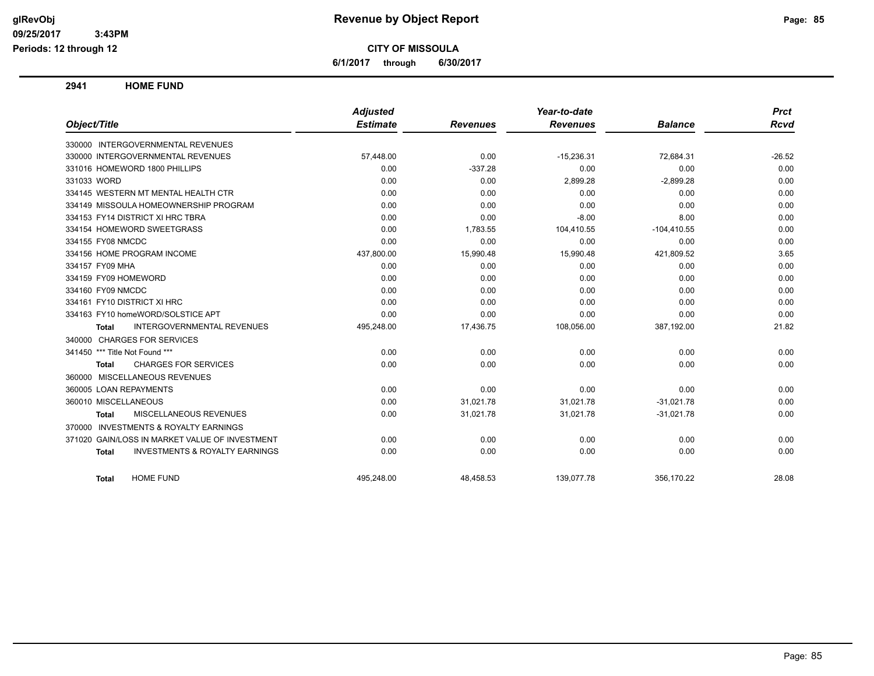**6/1/2017 through 6/30/2017**

**2941 HOME FUND**

|                                                           | <b>Adjusted</b> |                 | Year-to-date    |                | <b>Prct</b> |
|-----------------------------------------------------------|-----------------|-----------------|-----------------|----------------|-------------|
| Object/Title                                              | <b>Estimate</b> | <b>Revenues</b> | <b>Revenues</b> | <b>Balance</b> | <b>Rcvd</b> |
| 330000 INTERGOVERNMENTAL REVENUES                         |                 |                 |                 |                |             |
| 330000 INTERGOVERNMENTAL REVENUES                         | 57,448.00       | 0.00            | $-15,236.31$    | 72,684.31      | $-26.52$    |
| 331016 HOMEWORD 1800 PHILLIPS                             | 0.00            | $-337.28$       | 0.00            | 0.00           | 0.00        |
| 331033 WORD                                               | 0.00            | 0.00            | 2.899.28        | $-2.899.28$    | 0.00        |
| 334145 WESTERN MT MENTAL HEALTH CTR                       | 0.00            | 0.00            | 0.00            | 0.00           | 0.00        |
| 334149 MISSOULA HOMEOWNERSHIP PROGRAM                     | 0.00            | 0.00            | 0.00            | 0.00           | 0.00        |
| 334153 FY14 DISTRICT XI HRC TBRA                          | 0.00            | 0.00            | $-8.00$         | 8.00           | 0.00        |
| 334154 HOMEWORD SWEETGRASS                                | 0.00            | 1,783.55        | 104,410.55      | $-104,410.55$  | 0.00        |
| 334155 FY08 NMCDC                                         | 0.00            | 0.00            | 0.00            | 0.00           | 0.00        |
| 334156 HOME PROGRAM INCOME                                | 437,800.00      | 15,990.48       | 15,990.48       | 421,809.52     | 3.65        |
| 334157 FY09 MHA                                           | 0.00            | 0.00            | 0.00            | 0.00           | 0.00        |
| 334159 FY09 HOMEWORD                                      | 0.00            | 0.00            | 0.00            | 0.00           | 0.00        |
| 334160 FY09 NMCDC                                         | 0.00            | 0.00            | 0.00            | 0.00           | 0.00        |
| 334161 FY10 DISTRICT XI HRC                               | 0.00            | 0.00            | 0.00            | 0.00           | 0.00        |
| 334163 FY10 homeWORD/SOLSTICE APT                         | 0.00            | 0.00            | 0.00            | 0.00           | 0.00        |
| <b>INTERGOVERNMENTAL REVENUES</b><br><b>Total</b>         | 495,248.00      | 17,436.75       | 108,056.00      | 387,192.00     | 21.82       |
| 340000 CHARGES FOR SERVICES                               |                 |                 |                 |                |             |
| 341450 *** Title Not Found ***                            | 0.00            | 0.00            | 0.00            | 0.00           | 0.00        |
| <b>CHARGES FOR SERVICES</b><br><b>Total</b>               | 0.00            | 0.00            | 0.00            | 0.00           | 0.00        |
| 360000 MISCELLANEOUS REVENUES                             |                 |                 |                 |                |             |
| 360005 LOAN REPAYMENTS                                    | 0.00            | 0.00            | 0.00            | 0.00           | 0.00        |
| 360010 MISCELLANEOUS                                      | 0.00            | 31.021.78       | 31.021.78       | $-31,021.78$   | 0.00        |
| <b>MISCELLANEOUS REVENUES</b><br><b>Total</b>             | 0.00            | 31,021.78       | 31,021.78       | $-31,021.78$   | 0.00        |
| 370000 INVESTMENTS & ROYALTY EARNINGS                     |                 |                 |                 |                |             |
| 371020 GAIN/LOSS IN MARKET VALUE OF INVESTMENT            | 0.00            | 0.00            | 0.00            | 0.00           | 0.00        |
| <b>INVESTMENTS &amp; ROYALTY EARNINGS</b><br><b>Total</b> | 0.00            | 0.00            | 0.00            | 0.00           | 0.00        |
| <b>HOME FUND</b><br>Total                                 | 495,248.00      | 48,458.53       | 139,077.78      | 356,170.22     | 28.08       |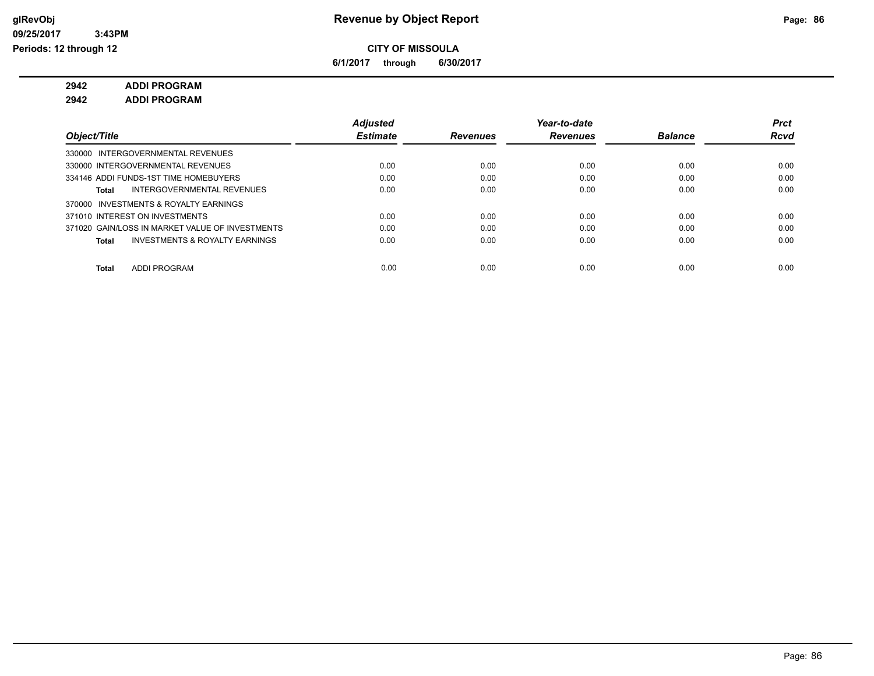**6/1/2017 through 6/30/2017**

# **2942 ADDI PROGRAM**

**2942 ADDI PROGRAM**

|                                                    | Adjusted        |                 | Year-to-date    |                | Prct        |
|----------------------------------------------------|-----------------|-----------------|-----------------|----------------|-------------|
| Object/Title                                       | <b>Estimate</b> | <b>Revenues</b> | <b>Revenues</b> | <b>Balance</b> | <b>Rcvd</b> |
| 330000 INTERGOVERNMENTAL REVENUES                  |                 |                 |                 |                |             |
| 330000 INTERGOVERNMENTAL REVENUES                  | 0.00            | 0.00            | 0.00            | 0.00           | 0.00        |
| 334146 ADDI FUNDS-1ST TIME HOMEBUYERS              | 0.00            | 0.00            | 0.00            | 0.00           | 0.00        |
| INTERGOVERNMENTAL REVENUES<br>Total                | 0.00            | 0.00            | 0.00            | 0.00           | 0.00        |
| 370000 INVESTMENTS & ROYALTY EARNINGS              |                 |                 |                 |                |             |
| 371010 INTEREST ON INVESTMENTS                     | 0.00            | 0.00            | 0.00            | 0.00           | 0.00        |
| 371020 GAIN/LOSS IN MARKET VALUE OF INVESTMENTS    | 0.00            | 0.00            | 0.00            | 0.00           | 0.00        |
| <b>INVESTMENTS &amp; ROYALTY EARNINGS</b><br>Total | 0.00            | 0.00            | 0.00            | 0.00           | 0.00        |
| <b>ADDI PROGRAM</b><br><b>Total</b>                | 0.00            | 0.00            | 0.00            | 0.00           | 0.00        |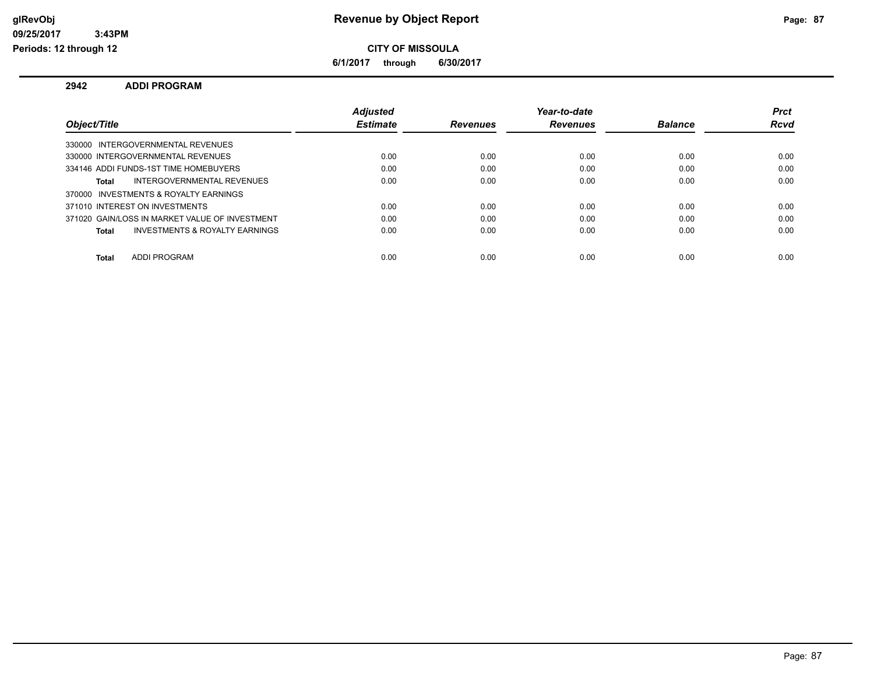**6/1/2017 through 6/30/2017**

## **2942 ADDI PROGRAM**

|                                                | <b>Adjusted</b> |                 | Year-to-date    |                | <b>Prct</b> |
|------------------------------------------------|-----------------|-----------------|-----------------|----------------|-------------|
| Object/Title                                   | <b>Estimate</b> | <b>Revenues</b> | <b>Revenues</b> | <b>Balance</b> | <b>Rcvd</b> |
| 330000 INTERGOVERNMENTAL REVENUES              |                 |                 |                 |                |             |
| 330000 INTERGOVERNMENTAL REVENUES              | 0.00            | 0.00            | 0.00            | 0.00           | 0.00        |
| 334146 ADDI FUNDS-1ST TIME HOMEBUYERS          | 0.00            | 0.00            | 0.00            | 0.00           | 0.00        |
| INTERGOVERNMENTAL REVENUES<br><b>Total</b>     | 0.00            | 0.00            | 0.00            | 0.00           | 0.00        |
| 370000 INVESTMENTS & ROYALTY EARNINGS          |                 |                 |                 |                |             |
| 371010 INTEREST ON INVESTMENTS                 | 0.00            | 0.00            | 0.00            | 0.00           | 0.00        |
| 371020 GAIN/LOSS IN MARKET VALUE OF INVESTMENT | 0.00            | 0.00            | 0.00            | 0.00           | 0.00        |
| INVESTMENTS & ROYALTY EARNINGS<br><b>Total</b> | 0.00            | 0.00            | 0.00            | 0.00           | 0.00        |
| ADDI PROGRAM<br><b>Total</b>                   | 0.00            | 0.00            | 0.00            | 0.00           | 0.00        |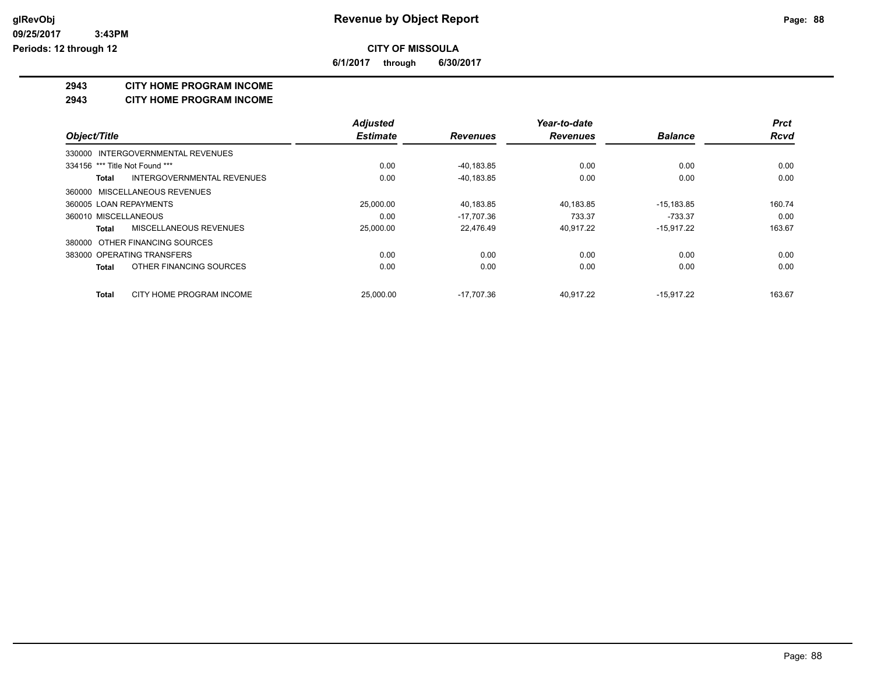**6/1/2017 through 6/30/2017**

## **2943 CITY HOME PROGRAM INCOME**

## **2943 CITY HOME PROGRAM INCOME**

|                                            | <b>Adjusted</b> |                 | Year-to-date    |                | <b>Prct</b> |
|--------------------------------------------|-----------------|-----------------|-----------------|----------------|-------------|
| Object/Title                               | <b>Estimate</b> | <b>Revenues</b> | <b>Revenues</b> | <b>Balance</b> | <b>Rcvd</b> |
| 330000 INTERGOVERNMENTAL REVENUES          |                 |                 |                 |                |             |
| 334156 *** Title Not Found ***             | 0.00            | $-40,183.85$    | 0.00            | 0.00           | 0.00        |
| <b>INTERGOVERNMENTAL REVENUES</b><br>Total | 0.00            | $-40,183.85$    | 0.00            | 0.00           | 0.00        |
| 360000 MISCELLANEOUS REVENUES              |                 |                 |                 |                |             |
| 360005 LOAN REPAYMENTS                     | 25,000.00       | 40,183.85       | 40,183.85       | $-15,183.85$   | 160.74      |
| 360010 MISCELLANEOUS                       | 0.00            | $-17.707.36$    | 733.37          | -733.37        | 0.00        |
| MISCELLANEOUS REVENUES<br>Total            | 25,000.00       | 22.476.49       | 40,917.22       | $-15.917.22$   | 163.67      |
| 380000 OTHER FINANCING SOURCES             |                 |                 |                 |                |             |
| 383000 OPERATING TRANSFERS                 | 0.00            | 0.00            | 0.00            | 0.00           | 0.00        |
| OTHER FINANCING SOURCES<br>Total           | 0.00            | 0.00            | 0.00            | 0.00           | 0.00        |
| CITY HOME PROGRAM INCOME<br>Total          | 25.000.00       | $-17.707.36$    | 40.917.22       | $-15.917.22$   | 163.67      |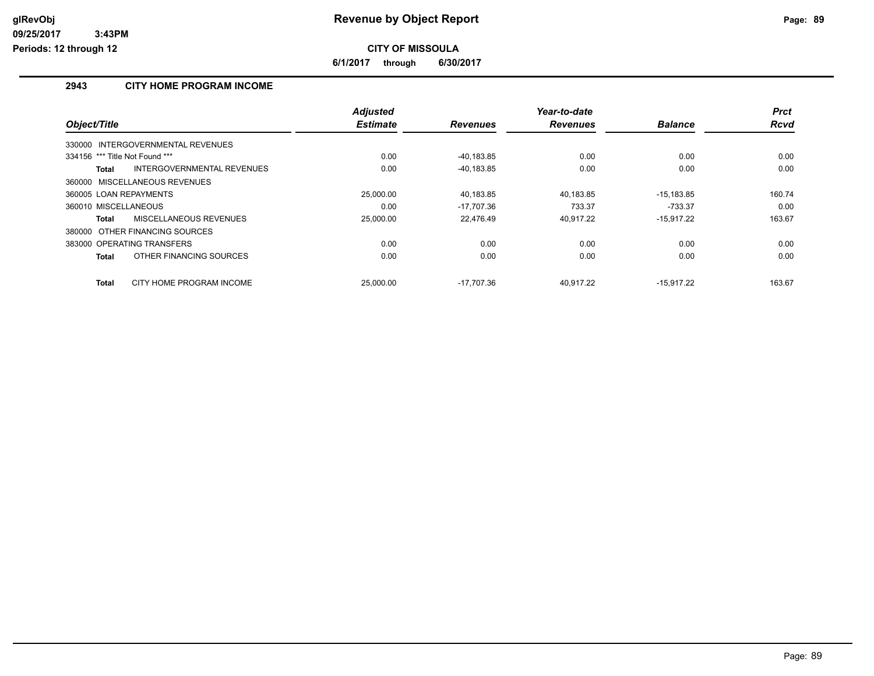**6/1/2017 through 6/30/2017**

## **2943 CITY HOME PROGRAM INCOME**

|                                          | <b>Adjusted</b> |                 | Year-to-date    |                | <b>Prct</b> |
|------------------------------------------|-----------------|-----------------|-----------------|----------------|-------------|
| Object/Title                             | <b>Estimate</b> | <b>Revenues</b> | <b>Revenues</b> | <b>Balance</b> | Rcvd        |
| 330000 INTERGOVERNMENTAL REVENUES        |                 |                 |                 |                |             |
| 334156 *** Title Not Found ***           | 0.00            | $-40,183.85$    | 0.00            | 0.00           | 0.00        |
| INTERGOVERNMENTAL REVENUES<br>Total      | 0.00            | $-40,183.85$    | 0.00            | 0.00           | 0.00        |
| 360000 MISCELLANEOUS REVENUES            |                 |                 |                 |                |             |
| 360005 LOAN REPAYMENTS                   | 25,000.00       | 40,183.85       | 40.183.85       | $-15.183.85$   | 160.74      |
| 360010 MISCELLANEOUS                     | 0.00            | $-17,707.36$    | 733.37          | $-733.37$      | 0.00        |
| MISCELLANEOUS REVENUES<br><b>Total</b>   | 25,000.00       | 22.476.49       | 40.917.22       | $-15,917.22$   | 163.67      |
| 380000 OTHER FINANCING SOURCES           |                 |                 |                 |                |             |
| 383000 OPERATING TRANSFERS               | 0.00            | 0.00            | 0.00            | 0.00           | 0.00        |
| OTHER FINANCING SOURCES<br><b>Total</b>  | 0.00            | 0.00            | 0.00            | 0.00           | 0.00        |
| CITY HOME PROGRAM INCOME<br><b>Total</b> | 25,000.00       | $-17.707.36$    | 40.917.22       | $-15.917.22$   | 163.67      |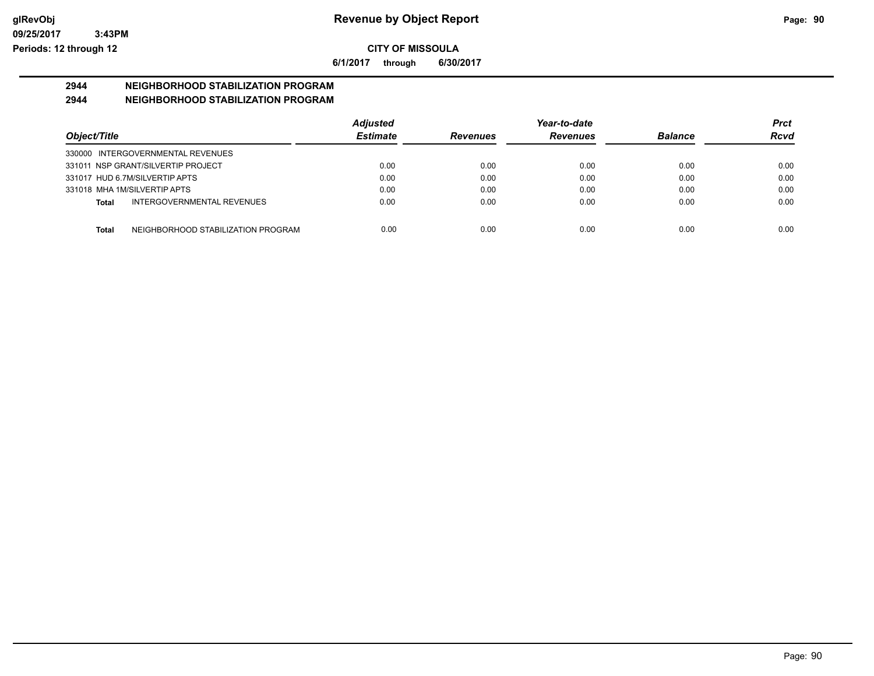**6/1/2017 through 6/30/2017**

# **2944 NEIGHBORHOOD STABILIZATION PROGRAM**

# **2944 NEIGHBORHOOD STABILIZATION PROGRAM**

|                                                    | <b>Adjusted</b> |                 | Year-to-date    |                | <b>Prct</b> |
|----------------------------------------------------|-----------------|-----------------|-----------------|----------------|-------------|
| Object/Title                                       | <b>Estimate</b> | <b>Revenues</b> | <b>Revenues</b> | <b>Balance</b> | <b>Rcvd</b> |
| 330000 INTERGOVERNMENTAL REVENUES                  |                 |                 |                 |                |             |
| 331011 NSP GRANT/SILVERTIP PROJECT                 | 0.00            | 0.00            | 0.00            | 0.00           | 0.00        |
| 331017 HUD 6.7M/SILVERTIP APTS                     | 0.00            | 0.00            | 0.00            | 0.00           | 0.00        |
| 331018 MHA 1M/SILVERTIP APTS                       | 0.00            | 0.00            | 0.00            | 0.00           | 0.00        |
| INTERGOVERNMENTAL REVENUES<br>Total                | 0.00            | 0.00            | 0.00            | 0.00           | 0.00        |
|                                                    |                 |                 |                 |                |             |
| NEIGHBORHOOD STABILIZATION PROGRAM<br><b>Total</b> | 0.00            | 0.00            | 0.00            | 0.00           | 0.00        |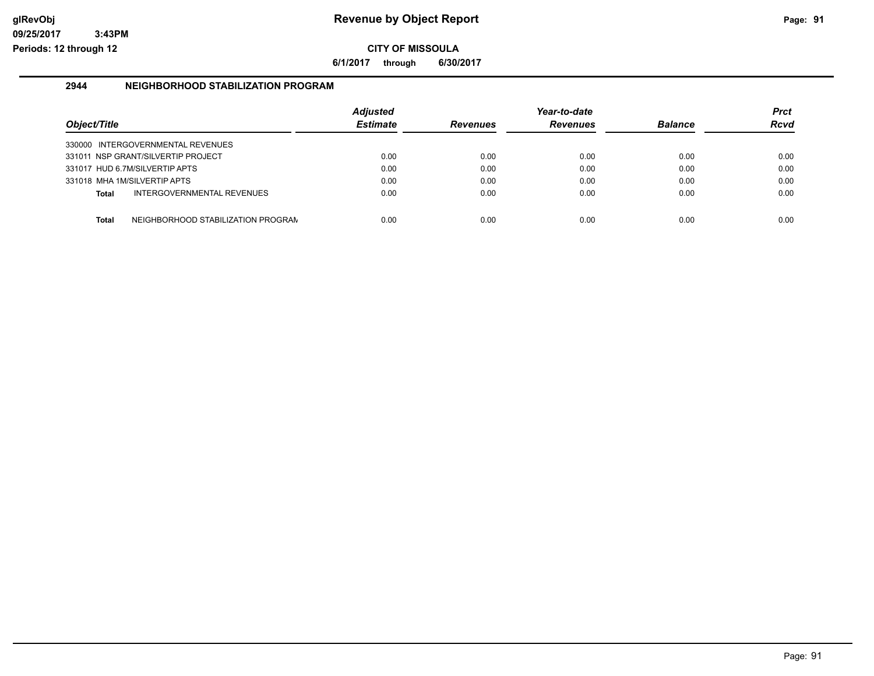**6/1/2017 through 6/30/2017**

## **2944 NEIGHBORHOOD STABILIZATION PROGRAM**

| Object/Title |                                    | <b>Adjusted</b><br><b>Estimate</b> | <b>Revenues</b> | Year-to-date<br><b>Revenues</b> | <b>Balance</b> | <b>Prct</b><br><b>Rcvd</b> |
|--------------|------------------------------------|------------------------------------|-----------------|---------------------------------|----------------|----------------------------|
|              | 330000 INTERGOVERNMENTAL REVENUES  |                                    |                 |                                 |                |                            |
|              | 331011 NSP GRANT/SILVERTIP PROJECT | 0.00                               | 0.00            | 0.00                            | 0.00           | 0.00                       |
|              | 331017 HUD 6.7M/SILVERTIP APTS     | 0.00                               | 0.00            | 0.00                            | 0.00           | 0.00                       |
|              | 331018 MHA 1M/SILVERTIP APTS       | 0.00                               | 0.00            | 0.00                            | 0.00           | 0.00                       |
| Total        | INTERGOVERNMENTAL REVENUES         | 0.00                               | 0.00            | 0.00                            | 0.00           | 0.00                       |
| <b>Total</b> | NEIGHBORHOOD STABILIZATION PROGRAM | 0.00                               | 0.00            | 0.00                            | 0.00           | 0.00                       |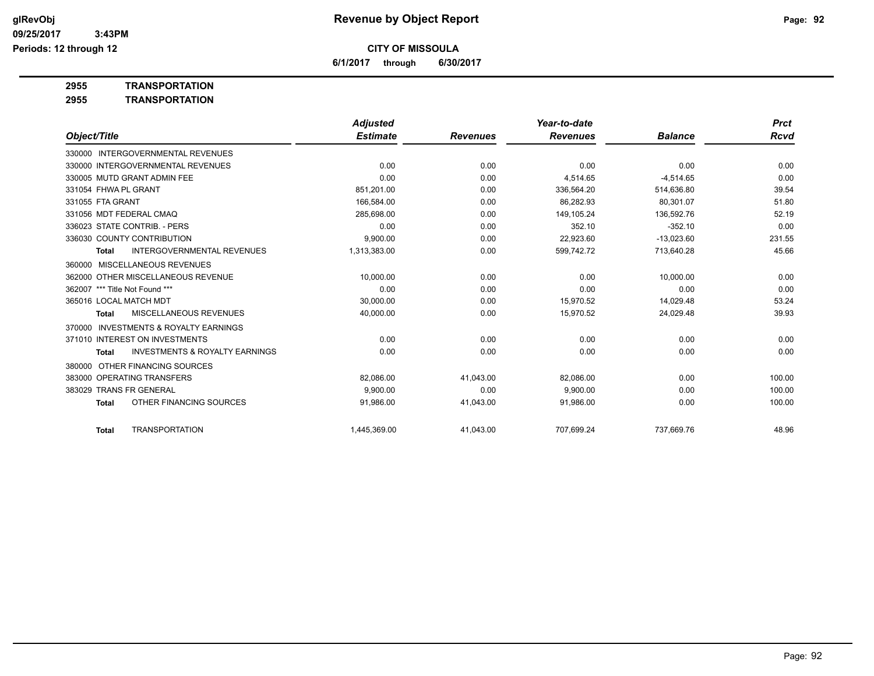**6/1/2017 through 6/30/2017**

**2955 TRANSPORTATION**

**2955 TRANSPORTATION**

| <b>Adjusted</b>                                                                                                                                                                                                                                                                                                                                                                                                                                                                                                                                                                                                                                                                              |                 | Year-to-date    |                | <b>Prct</b> |
|----------------------------------------------------------------------------------------------------------------------------------------------------------------------------------------------------------------------------------------------------------------------------------------------------------------------------------------------------------------------------------------------------------------------------------------------------------------------------------------------------------------------------------------------------------------------------------------------------------------------------------------------------------------------------------------------|-----------------|-----------------|----------------|-------------|
| <b>Estimate</b>                                                                                                                                                                                                                                                                                                                                                                                                                                                                                                                                                                                                                                                                              | <b>Revenues</b> | <b>Revenues</b> | <b>Balance</b> | Rcvd        |
|                                                                                                                                                                                                                                                                                                                                                                                                                                                                                                                                                                                                                                                                                              |                 |                 |                |             |
| 0.00                                                                                                                                                                                                                                                                                                                                                                                                                                                                                                                                                                                                                                                                                         | 0.00            | 0.00            | 0.00           | 0.00        |
| 0.00                                                                                                                                                                                                                                                                                                                                                                                                                                                                                                                                                                                                                                                                                         | 0.00            | 4,514.65        | $-4,514.65$    | 0.00        |
| 851,201.00                                                                                                                                                                                                                                                                                                                                                                                                                                                                                                                                                                                                                                                                                   | 0.00            | 336,564.20      | 514,636.80     | 39.54       |
| 166,584.00                                                                                                                                                                                                                                                                                                                                                                                                                                                                                                                                                                                                                                                                                   | 0.00            | 86,282.93       | 80,301.07      | 51.80       |
| 285.698.00                                                                                                                                                                                                                                                                                                                                                                                                                                                                                                                                                                                                                                                                                   | 0.00            | 149.105.24      | 136.592.76     | 52.19       |
| 0.00                                                                                                                                                                                                                                                                                                                                                                                                                                                                                                                                                                                                                                                                                         | 0.00            | 352.10          | $-352.10$      | 0.00        |
| 9,900.00                                                                                                                                                                                                                                                                                                                                                                                                                                                                                                                                                                                                                                                                                     | 0.00            | 22,923.60       | $-13,023.60$   | 231.55      |
| 1,313,383.00                                                                                                                                                                                                                                                                                                                                                                                                                                                                                                                                                                                                                                                                                 | 0.00            | 599,742.72      | 713,640.28     | 45.66       |
|                                                                                                                                                                                                                                                                                                                                                                                                                                                                                                                                                                                                                                                                                              |                 |                 |                |             |
| 10,000.00                                                                                                                                                                                                                                                                                                                                                                                                                                                                                                                                                                                                                                                                                    | 0.00            | 0.00            | 10,000.00      | 0.00        |
| 0.00                                                                                                                                                                                                                                                                                                                                                                                                                                                                                                                                                                                                                                                                                         | 0.00            | 0.00            | 0.00           | 0.00        |
| 30,000.00                                                                                                                                                                                                                                                                                                                                                                                                                                                                                                                                                                                                                                                                                    | 0.00            | 15.970.52       | 14,029.48      | 53.24       |
| 40,000.00                                                                                                                                                                                                                                                                                                                                                                                                                                                                                                                                                                                                                                                                                    | 0.00            | 15,970.52       | 24,029.48      | 39.93       |
|                                                                                                                                                                                                                                                                                                                                                                                                                                                                                                                                                                                                                                                                                              |                 |                 |                |             |
| 0.00                                                                                                                                                                                                                                                                                                                                                                                                                                                                                                                                                                                                                                                                                         | 0.00            | 0.00            | 0.00           | 0.00        |
| 0.00                                                                                                                                                                                                                                                                                                                                                                                                                                                                                                                                                                                                                                                                                         | 0.00            | 0.00            | 0.00           | 0.00        |
|                                                                                                                                                                                                                                                                                                                                                                                                                                                                                                                                                                                                                                                                                              |                 |                 |                |             |
| 82,086.00                                                                                                                                                                                                                                                                                                                                                                                                                                                                                                                                                                                                                                                                                    | 41.043.00       | 82,086.00       | 0.00           | 100.00      |
| 9.900.00                                                                                                                                                                                                                                                                                                                                                                                                                                                                                                                                                                                                                                                                                     | 0.00            | 9.900.00        | 0.00           | 100.00      |
| 91,986.00                                                                                                                                                                                                                                                                                                                                                                                                                                                                                                                                                                                                                                                                                    | 41,043.00       | 91,986.00       | 0.00           | 100.00      |
|                                                                                                                                                                                                                                                                                                                                                                                                                                                                                                                                                                                                                                                                                              |                 |                 |                | 48.96       |
| 330000 INTERGOVERNMENTAL REVENUES<br>330000 INTERGOVERNMENTAL REVENUES<br>330005 MUTD GRANT ADMIN FEE<br>331054 FHWA PL GRANT<br>331056 MDT FEDERAL CMAQ<br>336023 STATE CONTRIB. - PERS<br>336030 COUNTY CONTRIBUTION<br><b>INTERGOVERNMENTAL REVENUES</b><br>MISCELLANEOUS REVENUES<br>362000 OTHER MISCELLANEOUS REVENUE<br>362007 *** Title Not Found ***<br>365016 LOCAL MATCH MDT<br><b>MISCELLANEOUS REVENUES</b><br><b>INVESTMENTS &amp; ROYALTY EARNINGS</b><br>371010 INTEREST ON INVESTMENTS<br><b>INVESTMENTS &amp; ROYALTY EARNINGS</b><br>OTHER FINANCING SOURCES<br>383000 OPERATING TRANSFERS<br><b>TRANS FR GENERAL</b><br>OTHER FINANCING SOURCES<br><b>TRANSPORTATION</b> | 1,445,369.00    | 41,043.00       | 707,699.24     | 737,669.76  |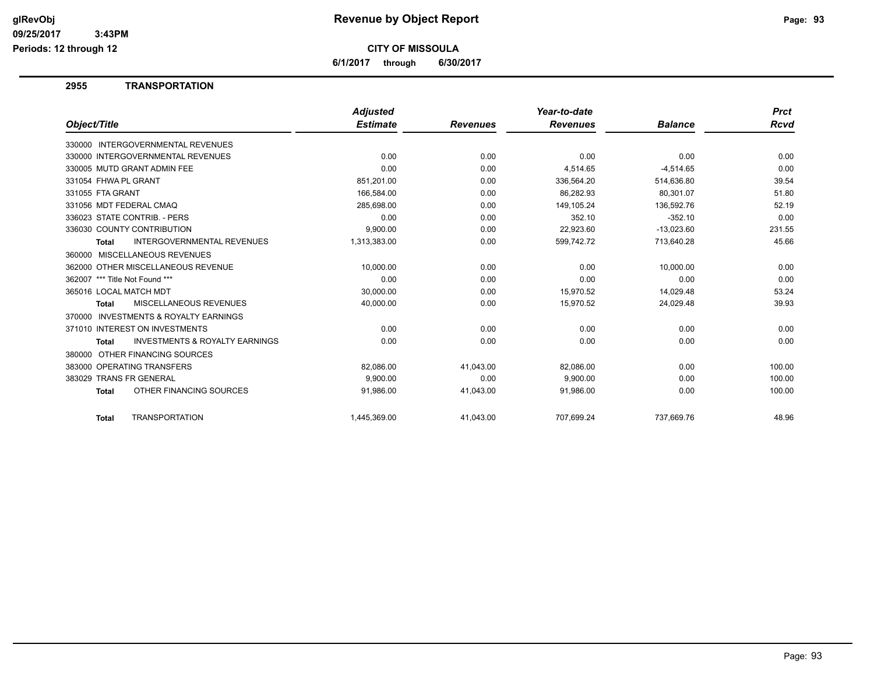**6/1/2017 through 6/30/2017**

## **2955 TRANSPORTATION**

|                                                           | <b>Adjusted</b> |                 | Year-to-date    |                | <b>Prct</b> |
|-----------------------------------------------------------|-----------------|-----------------|-----------------|----------------|-------------|
| Object/Title                                              | <b>Estimate</b> | <b>Revenues</b> | <b>Revenues</b> | <b>Balance</b> | <b>Rcvd</b> |
| 330000 INTERGOVERNMENTAL REVENUES                         |                 |                 |                 |                |             |
| 330000 INTERGOVERNMENTAL REVENUES                         | 0.00            | 0.00            | 0.00            | 0.00           | 0.00        |
| 330005 MUTD GRANT ADMIN FEE                               | 0.00            | 0.00            | 4.514.65        | $-4.514.65$    | 0.00        |
| 331054 FHWA PL GRANT                                      | 851,201.00      | 0.00            | 336,564.20      | 514,636.80     | 39.54       |
| 331055 FTA GRANT                                          | 166,584.00      | 0.00            | 86.282.93       | 80,301.07      | 51.80       |
| 331056 MDT FEDERAL CMAQ                                   | 285,698.00      | 0.00            | 149,105.24      | 136,592.76     | 52.19       |
| 336023 STATE CONTRIB. - PERS                              | 0.00            | 0.00            | 352.10          | $-352.10$      | 0.00        |
| 336030 COUNTY CONTRIBUTION                                | 9.900.00        | 0.00            | 22.923.60       | $-13,023.60$   | 231.55      |
| <b>INTERGOVERNMENTAL REVENUES</b><br><b>Total</b>         | 1,313,383.00    | 0.00            | 599,742.72      | 713,640.28     | 45.66       |
| 360000 MISCELLANEOUS REVENUES                             |                 |                 |                 |                |             |
| 362000 OTHER MISCELLANEOUS REVENUE                        | 10,000.00       | 0.00            | 0.00            | 10,000.00      | 0.00        |
| 362007 *** Title Not Found ***                            | 0.00            | 0.00            | 0.00            | 0.00           | 0.00        |
| 365016 LOCAL MATCH MDT                                    | 30,000.00       | 0.00            | 15.970.52       | 14,029.48      | 53.24       |
| <b>MISCELLANEOUS REVENUES</b><br><b>Total</b>             | 40,000.00       | 0.00            | 15,970.52       | 24,029.48      | 39.93       |
| <b>INVESTMENTS &amp; ROYALTY EARNINGS</b><br>370000       |                 |                 |                 |                |             |
| 371010 INTEREST ON INVESTMENTS                            | 0.00            | 0.00            | 0.00            | 0.00           | 0.00        |
| <b>INVESTMENTS &amp; ROYALTY EARNINGS</b><br><b>Total</b> | 0.00            | 0.00            | 0.00            | 0.00           | 0.00        |
| OTHER FINANCING SOURCES<br>380000                         |                 |                 |                 |                |             |
| 383000 OPERATING TRANSFERS                                | 82,086.00       | 41,043.00       | 82,086.00       | 0.00           | 100.00      |
| 383029 TRANS FR GENERAL                                   | 9,900.00        | 0.00            | 9,900.00        | 0.00           | 100.00      |
| OTHER FINANCING SOURCES<br><b>Total</b>                   | 91,986.00       | 41,043.00       | 91,986.00       | 0.00           | 100.00      |
| <b>TRANSPORTATION</b><br>Total                            | 1.445.369.00    | 41.043.00       | 707.699.24      | 737.669.76     | 48.96       |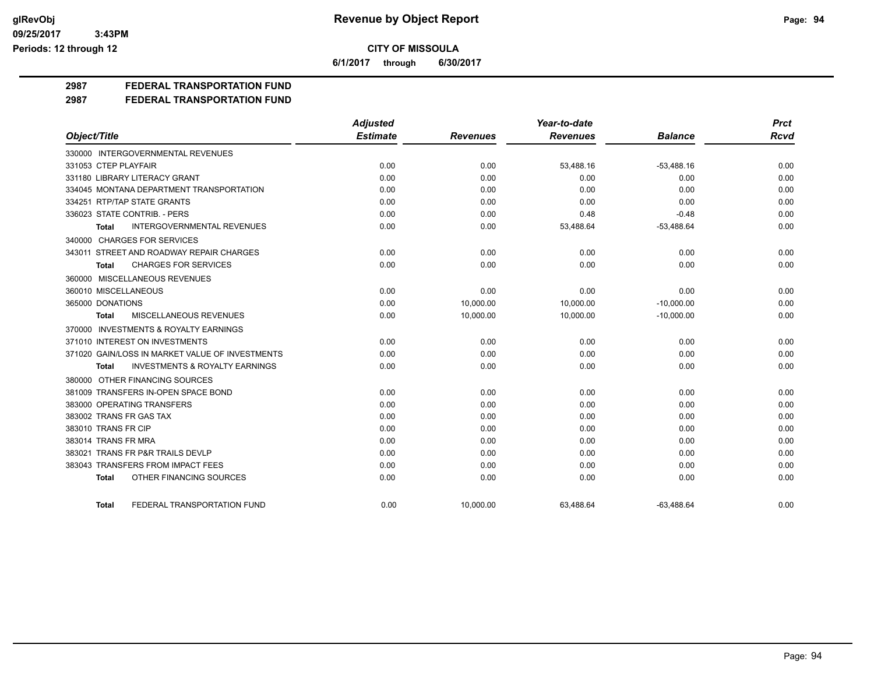**6/1/2017 through 6/30/2017**

**2987 FEDERAL TRANSPORTATION FUND**

**2987 FEDERAL TRANSPORTATION FUND**

|                                                    | <b>Adjusted</b> |                 | Year-to-date    |                | <b>Prct</b> |
|----------------------------------------------------|-----------------|-----------------|-----------------|----------------|-------------|
| Object/Title                                       | <b>Estimate</b> | <b>Revenues</b> | <b>Revenues</b> | <b>Balance</b> | <b>Rcvd</b> |
| 330000 INTERGOVERNMENTAL REVENUES                  |                 |                 |                 |                |             |
| 331053 CTEP PLAYFAIR                               | 0.00            | 0.00            | 53,488.16       | $-53,488.16$   | 0.00        |
| 331180 LIBRARY LITERACY GRANT                      | 0.00            | 0.00            | 0.00            | 0.00           | 0.00        |
| 334045 MONTANA DEPARTMENT TRANSPORTATION           | 0.00            | 0.00            | 0.00            | 0.00           | 0.00        |
| 334251 RTP/TAP STATE GRANTS                        | 0.00            | 0.00            | 0.00            | 0.00           | 0.00        |
| 336023 STATE CONTRIB. - PERS                       | 0.00            | 0.00            | 0.48            | $-0.48$        | 0.00        |
| <b>INTERGOVERNMENTAL REVENUES</b><br>Total         | 0.00            | 0.00            | 53,488.64       | $-53,488.64$   | 0.00        |
| 340000 CHARGES FOR SERVICES                        |                 |                 |                 |                |             |
| 343011 STREET AND ROADWAY REPAIR CHARGES           | 0.00            | 0.00            | 0.00            | 0.00           | 0.00        |
| <b>CHARGES FOR SERVICES</b><br><b>Total</b>        | 0.00            | 0.00            | 0.00            | 0.00           | 0.00        |
| 360000 MISCELLANEOUS REVENUES                      |                 |                 |                 |                |             |
| 360010 MISCELLANEOUS                               | 0.00            | 0.00            | 0.00            | 0.00           | 0.00        |
| 365000 DONATIONS                                   | 0.00            | 10,000.00       | 10,000.00       | $-10,000.00$   | 0.00        |
| MISCELLANEOUS REVENUES<br>Total                    | 0.00            | 10,000.00       | 10,000.00       | $-10,000.00$   | 0.00        |
| 370000 INVESTMENTS & ROYALTY EARNINGS              |                 |                 |                 |                |             |
| 371010 INTEREST ON INVESTMENTS                     | 0.00            | 0.00            | 0.00            | 0.00           | 0.00        |
| 371020 GAIN/LOSS IN MARKET VALUE OF INVESTMENTS    | 0.00            | 0.00            | 0.00            | 0.00           | 0.00        |
| <b>INVESTMENTS &amp; ROYALTY EARNINGS</b><br>Total | 0.00            | 0.00            | 0.00            | 0.00           | 0.00        |
| OTHER FINANCING SOURCES<br>380000                  |                 |                 |                 |                |             |
| 381009 TRANSFERS IN-OPEN SPACE BOND                | 0.00            | 0.00            | 0.00            | 0.00           | 0.00        |
| 383000 OPERATING TRANSFERS                         | 0.00            | 0.00            | 0.00            | 0.00           | 0.00        |
| 383002 TRANS FR GAS TAX                            | 0.00            | 0.00            | 0.00            | 0.00           | 0.00        |
| 383010 TRANS FR CIP                                | 0.00            | 0.00            | 0.00            | 0.00           | 0.00        |
| 383014 TRANS FR MRA                                | 0.00            | 0.00            | 0.00            | 0.00           | 0.00        |
| 383021 TRANS FR P&R TRAILS DEVLP                   | 0.00            | 0.00            | 0.00            | 0.00           | 0.00        |
| 383043 TRANSFERS FROM IMPACT FEES                  | 0.00            | 0.00            | 0.00            | 0.00           | 0.00        |
| OTHER FINANCING SOURCES<br><b>Total</b>            | 0.00            | 0.00            | 0.00            | 0.00           | 0.00        |
| FEDERAL TRANSPORTATION FUND<br>Total               | 0.00            | 10,000.00       | 63.488.64       | $-63.488.64$   | 0.00        |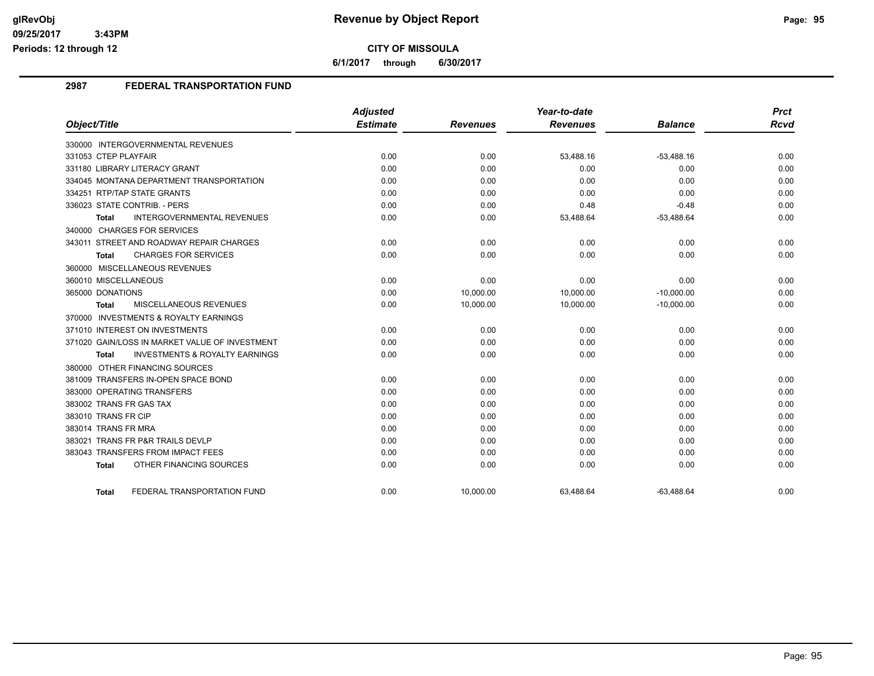**6/1/2017 through 6/30/2017**

## **2987 FEDERAL TRANSPORTATION FUND**

|                                                           | <b>Adjusted</b> |                 | Year-to-date    |                | <b>Prct</b> |
|-----------------------------------------------------------|-----------------|-----------------|-----------------|----------------|-------------|
| Object/Title                                              | <b>Estimate</b> | <b>Revenues</b> | <b>Revenues</b> | <b>Balance</b> | <b>Rcvd</b> |
| 330000 INTERGOVERNMENTAL REVENUES                         |                 |                 |                 |                |             |
| 331053 CTEP PLAYFAIR                                      | 0.00            | 0.00            | 53,488.16       | $-53,488.16$   | 0.00        |
| 331180 LIBRARY LITERACY GRANT                             | 0.00            | 0.00            | 0.00            | 0.00           | 0.00        |
| 334045 MONTANA DEPARTMENT TRANSPORTATION                  | 0.00            | 0.00            | 0.00            | 0.00           | 0.00        |
| 334251 RTP/TAP STATE GRANTS                               | 0.00            | 0.00            | 0.00            | 0.00           | 0.00        |
| 336023 STATE CONTRIB. - PERS                              | 0.00            | 0.00            | 0.48            | $-0.48$        | 0.00        |
| INTERGOVERNMENTAL REVENUES<br>Total                       | 0.00            | 0.00            | 53,488.64       | $-53,488.64$   | 0.00        |
| 340000 CHARGES FOR SERVICES                               |                 |                 |                 |                |             |
| 343011 STREET AND ROADWAY REPAIR CHARGES                  | 0.00            | 0.00            | 0.00            | 0.00           | 0.00        |
| <b>CHARGES FOR SERVICES</b><br><b>Total</b>               | 0.00            | 0.00            | 0.00            | 0.00           | 0.00        |
| 360000 MISCELLANEOUS REVENUES                             |                 |                 |                 |                |             |
| 360010 MISCELLANEOUS                                      | 0.00            | 0.00            | 0.00            | 0.00           | 0.00        |
| 365000 DONATIONS                                          | 0.00            | 10,000.00       | 10,000.00       | $-10,000.00$   | 0.00        |
| MISCELLANEOUS REVENUES<br><b>Total</b>                    | 0.00            | 10,000.00       | 10,000.00       | $-10,000.00$   | 0.00        |
| 370000 INVESTMENTS & ROYALTY EARNINGS                     |                 |                 |                 |                |             |
| 371010 INTEREST ON INVESTMENTS                            | 0.00            | 0.00            | 0.00            | 0.00           | 0.00        |
| 371020 GAIN/LOSS IN MARKET VALUE OF INVESTMENT            | 0.00            | 0.00            | 0.00            | 0.00           | 0.00        |
| <b>INVESTMENTS &amp; ROYALTY EARNINGS</b><br><b>Total</b> | 0.00            | 0.00            | 0.00            | 0.00           | 0.00        |
| 380000 OTHER FINANCING SOURCES                            |                 |                 |                 |                |             |
| 381009 TRANSFERS IN-OPEN SPACE BOND                       | 0.00            | 0.00            | 0.00            | 0.00           | 0.00        |
| 383000 OPERATING TRANSFERS                                | 0.00            | 0.00            | 0.00            | 0.00           | 0.00        |
| 383002 TRANS FR GAS TAX                                   | 0.00            | 0.00            | 0.00            | 0.00           | 0.00        |
| 383010 TRANS FR CIP                                       | 0.00            | 0.00            | 0.00            | 0.00           | 0.00        |
| 383014 TRANS FR MRA                                       | 0.00            | 0.00            | 0.00            | 0.00           | 0.00        |
| 383021 TRANS FR P&R TRAILS DEVLP                          | 0.00            | 0.00            | 0.00            | 0.00           | 0.00        |
| 383043 TRANSFERS FROM IMPACT FEES                         | 0.00            | 0.00            | 0.00            | 0.00           | 0.00        |
| OTHER FINANCING SOURCES<br><b>Total</b>                   | 0.00            | 0.00            | 0.00            | 0.00           | 0.00        |
| FEDERAL TRANSPORTATION FUND<br><b>Total</b>               | 0.00            | 10,000.00       | 63.488.64       | $-63.488.64$   | 0.00        |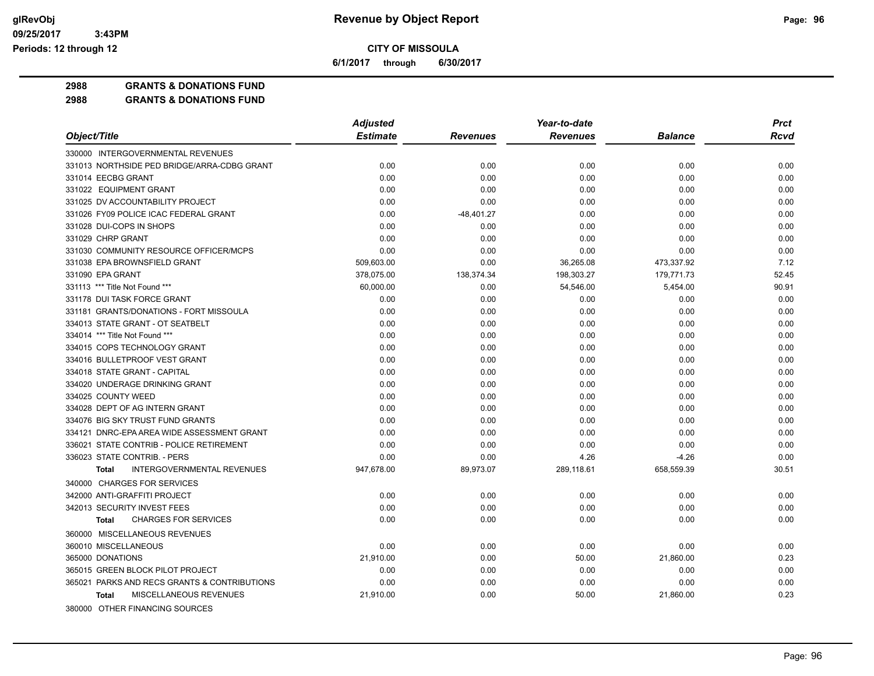**6/1/2017 through 6/30/2017**

**2988 GRANTS & DONATIONS FUND**

| Object/Title                                 | <b>Adjusted</b> |                 | Year-to-date    |                | <b>Prct</b> |
|----------------------------------------------|-----------------|-----------------|-----------------|----------------|-------------|
|                                              | <b>Estimate</b> | <b>Revenues</b> | <b>Revenues</b> | <b>Balance</b> | <b>Rcvd</b> |
| 330000 INTERGOVERNMENTAL REVENUES            |                 |                 |                 |                |             |
| 331013 NORTHSIDE PED BRIDGE/ARRA-CDBG GRANT  | 0.00            | 0.00            | 0.00            | 0.00           | 0.00        |
| 331014 EECBG GRANT                           | 0.00            | 0.00            | 0.00            | 0.00           | 0.00        |
| 331022 EQUIPMENT GRANT                       | 0.00            | 0.00            | 0.00            | 0.00           | 0.00        |
| 331025 DV ACCOUNTABILITY PROJECT             | 0.00            | 0.00            | 0.00            | 0.00           | 0.00        |
| 331026 FY09 POLICE ICAC FEDERAL GRANT        | 0.00            | $-48,401.27$    | 0.00            | 0.00           | 0.00        |
| 331028 DUI-COPS IN SHOPS                     | 0.00            | 0.00            | 0.00            | 0.00           | 0.00        |
| 331029 CHRP GRANT                            | 0.00            | 0.00            | 0.00            | 0.00           | 0.00        |
| 331030 COMMUNITY RESOURCE OFFICER/MCPS       | 0.00            | 0.00            | 0.00            | 0.00           | 0.00        |
| 331038 EPA BROWNSFIELD GRANT                 | 509,603.00      | 0.00            | 36,265.08       | 473,337.92     | 7.12        |
| 331090 EPA GRANT                             | 378,075.00      | 138,374.34      | 198,303.27      | 179,771.73     | 52.45       |
| 331113 *** Title Not Found ***               | 60,000.00       | 0.00            | 54,546.00       | 5,454.00       | 90.91       |
| 331178 DUI TASK FORCE GRANT                  | 0.00            | 0.00            | 0.00            | 0.00           | 0.00        |
| 331181 GRANTS/DONATIONS - FORT MISSOULA      | 0.00            | 0.00            | 0.00            | 0.00           | 0.00        |
| 334013 STATE GRANT - OT SEATBELT             | 0.00            | 0.00            | 0.00            | 0.00           | 0.00        |
| 334014 *** Title Not Found ***               | 0.00            | 0.00            | 0.00            | 0.00           | 0.00        |
| 334015 COPS TECHNOLOGY GRANT                 | 0.00            | 0.00            | 0.00            | 0.00           | 0.00        |
| 334016 BULLETPROOF VEST GRANT                | 0.00            | 0.00            | 0.00            | 0.00           | 0.00        |
| 334018 STATE GRANT - CAPITAL                 | 0.00            | 0.00            | 0.00            | 0.00           | 0.00        |
| 334020 UNDERAGE DRINKING GRANT               | 0.00            | 0.00            | 0.00            | 0.00           | 0.00        |
| 334025 COUNTY WEED                           | 0.00            | 0.00            | 0.00            | 0.00           | 0.00        |
| 334028 DEPT OF AG INTERN GRANT               | 0.00            | 0.00            | 0.00            | 0.00           | 0.00        |
| 334076 BIG SKY TRUST FUND GRANTS             | 0.00            | 0.00            | 0.00            | 0.00           | 0.00        |
| 334121 DNRC-EPA AREA WIDE ASSESSMENT GRANT   | 0.00            | 0.00            | 0.00            | 0.00           | 0.00        |
| 336021 STATE CONTRIB - POLICE RETIREMENT     | 0.00            | 0.00            | 0.00            | 0.00           | 0.00        |
| 336023 STATE CONTRIB. - PERS                 | 0.00            | 0.00            | 4.26            | $-4.26$        | 0.00        |
| <b>INTERGOVERNMENTAL REVENUES</b><br>Total   | 947,678.00      | 89,973.07       | 289,118.61      | 658,559.39     | 30.51       |
| 340000 CHARGES FOR SERVICES                  |                 |                 |                 |                |             |
| 342000 ANTI-GRAFFITI PROJECT                 | 0.00            | 0.00            | 0.00            | 0.00           | 0.00        |
| 342013 SECURITY INVEST FEES                  | 0.00            | 0.00            | 0.00            | 0.00           | 0.00        |
| <b>CHARGES FOR SERVICES</b><br><b>Total</b>  | 0.00            | 0.00            | 0.00            | 0.00           | 0.00        |
| 360000 MISCELLANEOUS REVENUES                |                 |                 |                 |                |             |
| 360010 MISCELLANEOUS                         | 0.00            | 0.00            | 0.00            | 0.00           | 0.00        |
| 365000 DONATIONS                             | 21,910.00       | 0.00            | 50.00           | 21,860.00      | 0.23        |
| 365015 GREEN BLOCK PILOT PROJECT             | 0.00            | 0.00            | 0.00            | 0.00           | 0.00        |
| 365021 PARKS AND RECS GRANTS & CONTRIBUTIONS | 0.00            | 0.00            | 0.00            | 0.00           | 0.00        |
| MISCELLANEOUS REVENUES<br>Total              | 21,910.00       | 0.00            | 50.00           | 21,860.00      | 0.23        |
| 380000 OTHER FINANCING SOURCES               |                 |                 |                 |                |             |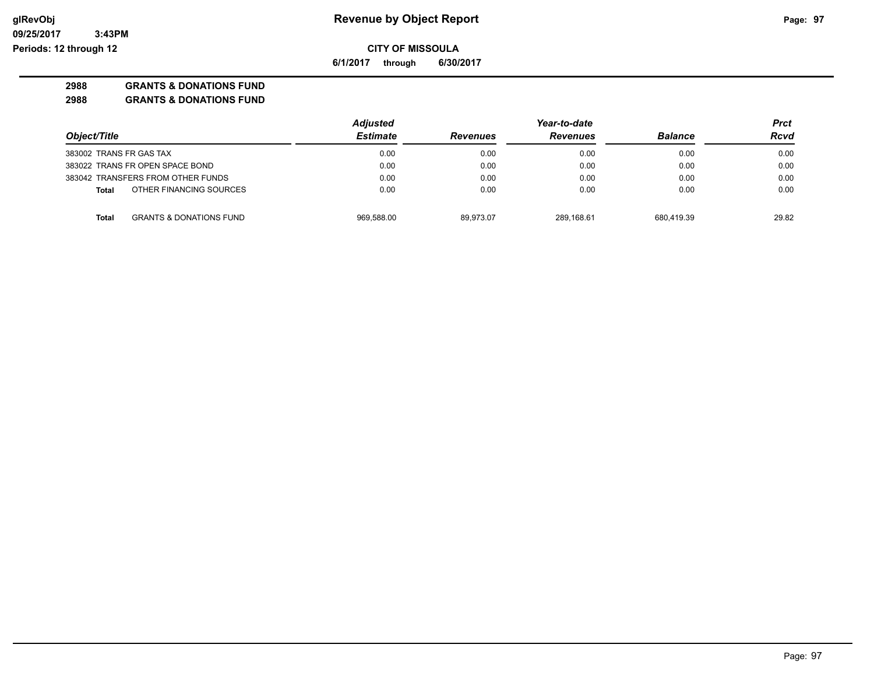**09/25/2017 3:43PM Periods: 12 through 12**

# **CITY OF MISSOULA**

**6/1/2017 through 6/30/2017**

## **2988 GRANTS & DONATIONS FUND**

|                                                    | <b>Adjusted</b> |                 | Year-to-date    |                | <b>Prct</b> |
|----------------------------------------------------|-----------------|-----------------|-----------------|----------------|-------------|
| Object/Title                                       | <b>Estimate</b> | <b>Revenues</b> | <b>Revenues</b> | <b>Balance</b> | Rcvd        |
| 383002 TRANS FR GAS TAX                            | 0.00            | 0.00            | 0.00            | 0.00           | 0.00        |
| 383022 TRANS FR OPEN SPACE BOND                    | 0.00            | 0.00            | 0.00            | 0.00           | 0.00        |
| 383042 TRANSFERS FROM OTHER FUNDS                  | 0.00            | 0.00            | 0.00            | 0.00           | 0.00        |
| OTHER FINANCING SOURCES<br><b>Total</b>            | 0.00            | 0.00            | 0.00            | 0.00           | 0.00        |
| <b>GRANTS &amp; DONATIONS FUND</b><br><b>Total</b> | 969.588.00      | 89.973.07       | 289.168.61      | 680.419.39     | 29.82       |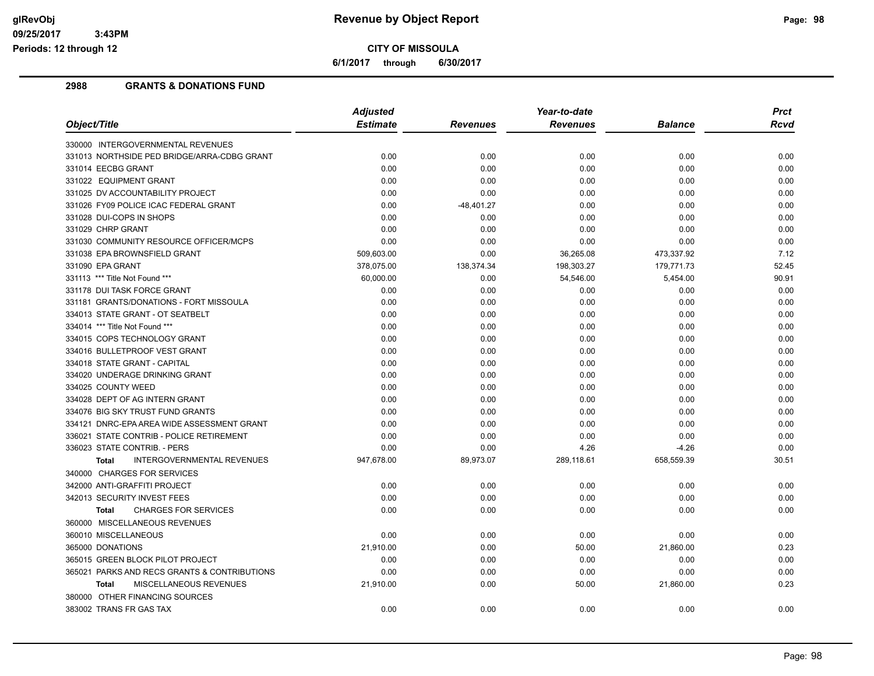**6/1/2017 through 6/30/2017**

|                                              | <b>Adjusted</b> |                 | Year-to-date    |                |             |
|----------------------------------------------|-----------------|-----------------|-----------------|----------------|-------------|
| Object/Title                                 | <b>Estimate</b> | <b>Revenues</b> | <b>Revenues</b> | <b>Balance</b> | <b>Rcvd</b> |
| 330000 INTERGOVERNMENTAL REVENUES            |                 |                 |                 |                |             |
| 331013 NORTHSIDE PED BRIDGE/ARRA-CDBG GRANT  | 0.00            | 0.00            | 0.00            | 0.00           | 0.00        |
| 331014 EECBG GRANT                           | 0.00            | 0.00            | 0.00            | 0.00           | 0.00        |
| 331022 EQUIPMENT GRANT                       | 0.00            | 0.00            | 0.00            | 0.00           | 0.00        |
| 331025 DV ACCOUNTABILITY PROJECT             | 0.00            | 0.00            | 0.00            | 0.00           | 0.00        |
| 331026 FY09 POLICE ICAC FEDERAL GRANT        | 0.00            | $-48,401.27$    | 0.00            | 0.00           | 0.00        |
| 331028 DUI-COPS IN SHOPS                     | 0.00            | 0.00            | 0.00            | 0.00           | 0.00        |
| 331029 CHRP GRANT                            | 0.00            | 0.00            | 0.00            | 0.00           | 0.00        |
| 331030 COMMUNITY RESOURCE OFFICER/MCPS       | 0.00            | 0.00            | 0.00            | 0.00           | 0.00        |
| 331038 EPA BROWNSFIELD GRANT                 | 509,603.00      | 0.00            | 36,265.08       | 473,337.92     | 7.12        |
| 331090 EPA GRANT                             | 378,075.00      | 138,374.34      | 198,303.27      | 179,771.73     | 52.45       |
| 331113 *** Title Not Found ***               | 60,000.00       | 0.00            | 54,546.00       | 5,454.00       | 90.91       |
| 331178 DUI TASK FORCE GRANT                  | 0.00            | 0.00            | 0.00            | 0.00           | 0.00        |
| 331181 GRANTS/DONATIONS - FORT MISSOULA      | 0.00            | 0.00            | 0.00            | 0.00           | 0.00        |
| 334013 STATE GRANT - OT SEATBELT             | 0.00            | 0.00            | 0.00            | 0.00           | 0.00        |
| 334014 *** Title Not Found ***               | 0.00            | 0.00            | 0.00            | 0.00           | 0.00        |
| 334015 COPS TECHNOLOGY GRANT                 | 0.00            | 0.00            | 0.00            | 0.00           | 0.00        |
| 334016 BULLETPROOF VEST GRANT                | 0.00            | 0.00            | 0.00            | 0.00           | 0.00        |
| 334018 STATE GRANT - CAPITAL                 | 0.00            | 0.00            | 0.00            | 0.00           | 0.00        |
| 334020 UNDERAGE DRINKING GRANT               | 0.00            | 0.00            | 0.00            | 0.00           | 0.00        |
| 334025 COUNTY WEED                           | 0.00            | 0.00            | 0.00            | 0.00           | 0.00        |
| 334028 DEPT OF AG INTERN GRANT               | 0.00            | 0.00            | 0.00            | 0.00           | 0.00        |
| 334076 BIG SKY TRUST FUND GRANTS             | 0.00            | 0.00            | 0.00            | 0.00           | 0.00        |
| 334121 DNRC-EPA AREA WIDE ASSESSMENT GRANT   | 0.00            | 0.00            | 0.00            | 0.00           | 0.00        |
| 336021 STATE CONTRIB - POLICE RETIREMENT     | 0.00            | 0.00            | 0.00            | 0.00           | 0.00        |
| 336023 STATE CONTRIB. - PERS                 | 0.00            | 0.00            | 4.26            | $-4.26$        | 0.00        |
| INTERGOVERNMENTAL REVENUES<br><b>Total</b>   | 947,678.00      | 89,973.07       | 289,118.61      | 658,559.39     | 30.51       |
| 340000 CHARGES FOR SERVICES                  |                 |                 |                 |                |             |
| 342000 ANTI-GRAFFITI PROJECT                 | 0.00            | 0.00            | 0.00            | 0.00           | 0.00        |
| 342013 SECURITY INVEST FEES                  | 0.00            | 0.00            | 0.00            | 0.00           | 0.00        |
| <b>CHARGES FOR SERVICES</b><br><b>Total</b>  | 0.00            | 0.00            | 0.00            | 0.00           | 0.00        |
| 360000 MISCELLANEOUS REVENUES                |                 |                 |                 |                |             |
| 360010 MISCELLANEOUS                         | 0.00            | 0.00            | 0.00            | 0.00           | 0.00        |
| 365000 DONATIONS                             | 21,910.00       | 0.00            | 50.00           | 21,860.00      | 0.23        |
| 365015 GREEN BLOCK PILOT PROJECT             | 0.00            | 0.00            | 0.00            | 0.00           | 0.00        |
| 365021 PARKS AND RECS GRANTS & CONTRIBUTIONS | 0.00            | 0.00            | 0.00            | 0.00           | 0.00        |
| MISCELLANEOUS REVENUES<br><b>Total</b>       | 21,910.00       | 0.00            | 50.00           | 21,860.00      | 0.23        |
| 380000 OTHER FINANCING SOURCES               |                 |                 |                 |                |             |
| 383002 TRANS FR GAS TAX                      | 0.00            | 0.00            | 0.00            | 0.00           | 0.00        |
|                                              |                 |                 |                 |                |             |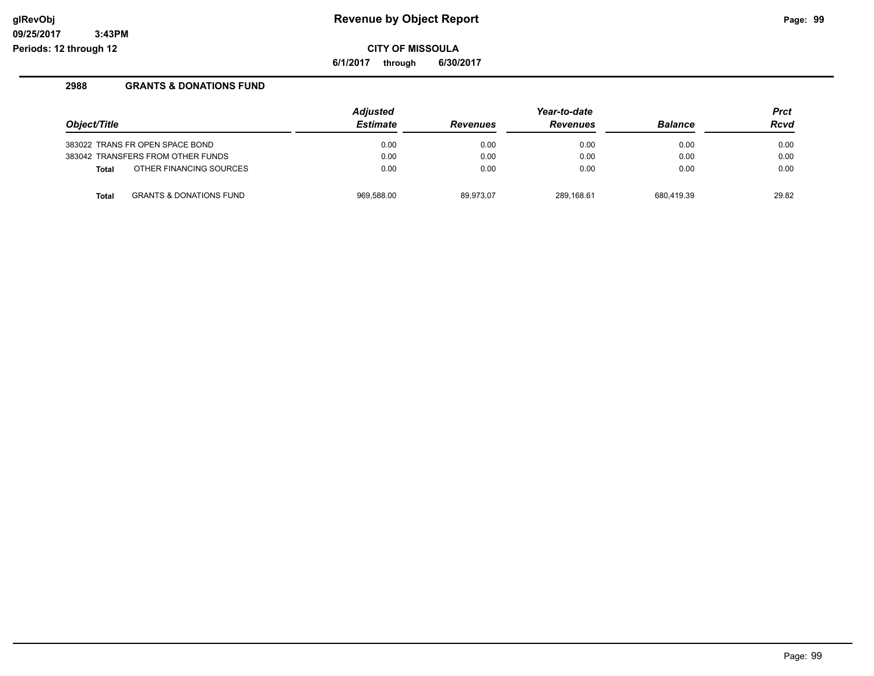**6/1/2017 through 6/30/2017**

| Object/Title |                                    | <b>Adjusted</b><br><b>Estimate</b> | <b>Revenues</b> | Year-to-date<br><b>Revenues</b> | <b>Balance</b> | <b>Prct</b><br><b>Rcvd</b> |
|--------------|------------------------------------|------------------------------------|-----------------|---------------------------------|----------------|----------------------------|
|              | 383022 TRANS FR OPEN SPACE BOND    | 0.00                               | 0.00            | 0.00                            | 0.00           | 0.00                       |
|              | 383042 TRANSFERS FROM OTHER FUNDS  | 0.00                               | 0.00            | 0.00                            | 0.00           | 0.00                       |
| <b>Total</b> | OTHER FINANCING SOURCES            | 0.00                               | 0.00            | 0.00                            | 0.00           | 0.00                       |
| <b>Total</b> | <b>GRANTS &amp; DONATIONS FUND</b> | 969,588.00                         | 89.973.07       | 289,168.61                      | 680.419.39     | 29.82                      |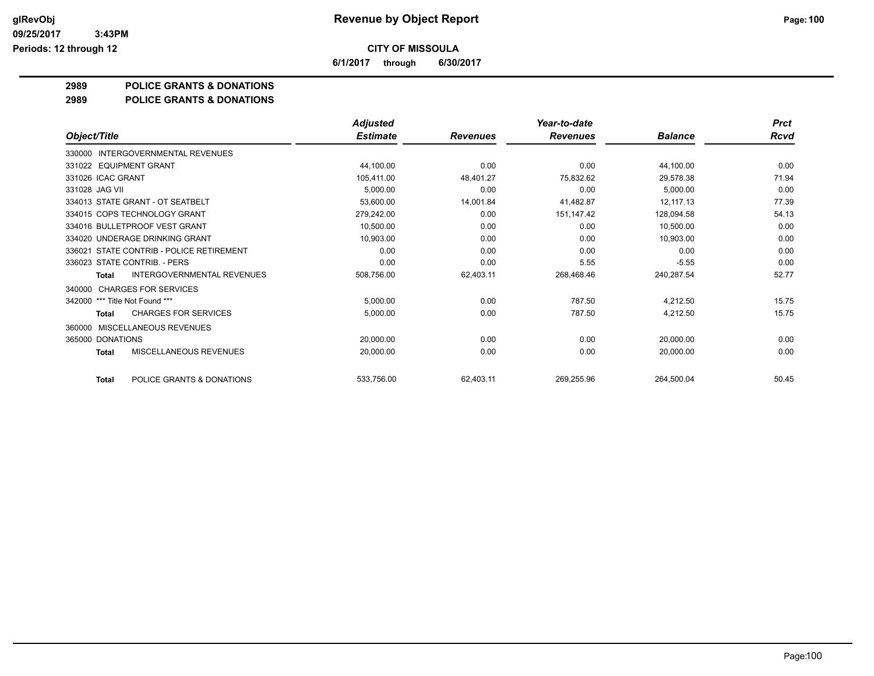**6/1/2017 through 6/30/2017**

## **2989 POLICE GRANTS & DONATIONS**

## **2989 POLICE GRANTS & DONATIONS**

|                                                   | <b>Adjusted</b> |                 | Year-to-date    |                | <b>Prct</b> |
|---------------------------------------------------|-----------------|-----------------|-----------------|----------------|-------------|
| Object/Title                                      | <b>Estimate</b> | <b>Revenues</b> | <b>Revenues</b> | <b>Balance</b> | Rcvd        |
| 330000 INTERGOVERNMENTAL REVENUES                 |                 |                 |                 |                |             |
| 331022 EQUIPMENT GRANT                            | 44,100.00       | 0.00            | 0.00            | 44,100.00      | 0.00        |
| 331026 ICAC GRANT                                 | 105,411.00      | 48,401.27       | 75,832.62       | 29,578.38      | 71.94       |
| 331028 JAG VII                                    | 5,000.00        | 0.00            | 0.00            | 5,000.00       | 0.00        |
| 334013 STATE GRANT - OT SEATBELT                  | 53,600.00       | 14,001.84       | 41,482.87       | 12,117.13      | 77.39       |
| 334015 COPS TECHNOLOGY GRANT                      | 279,242.00      | 0.00            | 151,147.42      | 128,094.58     | 54.13       |
| 334016 BULLETPROOF VEST GRANT                     | 10,500.00       | 0.00            | 0.00            | 10,500.00      | 0.00        |
| 334020 UNDERAGE DRINKING GRANT                    | 10,903.00       | 0.00            | 0.00            | 10,903.00      | 0.00        |
| 336021 STATE CONTRIB - POLICE RETIREMENT          | 0.00            | 0.00            | 0.00            | 0.00           | 0.00        |
| 336023 STATE CONTRIB. - PERS                      | 0.00            | 0.00            | 5.55            | $-5.55$        | 0.00        |
| <b>INTERGOVERNMENTAL REVENUES</b><br><b>Total</b> | 508,756.00      | 62,403.11       | 268,468.46      | 240,287.54     | 52.77       |
| <b>CHARGES FOR SERVICES</b><br>340000             |                 |                 |                 |                |             |
| 342000 *** Title Not Found ***                    | 5,000.00        | 0.00            | 787.50          | 4,212.50       | 15.75       |
| <b>CHARGES FOR SERVICES</b><br><b>Total</b>       | 5,000.00        | 0.00            | 787.50          | 4,212.50       | 15.75       |
| MISCELLANEOUS REVENUES<br>360000                  |                 |                 |                 |                |             |
| 365000 DONATIONS                                  | 20,000.00       | 0.00            | 0.00            | 20,000.00      | 0.00        |
| MISCELLANEOUS REVENUES<br><b>Total</b>            | 20,000.00       | 0.00            | 0.00            | 20,000.00      | 0.00        |
| POLICE GRANTS & DONATIONS<br><b>Total</b>         | 533,756.00      | 62,403.11       | 269,255.96      | 264,500.04     | 50.45       |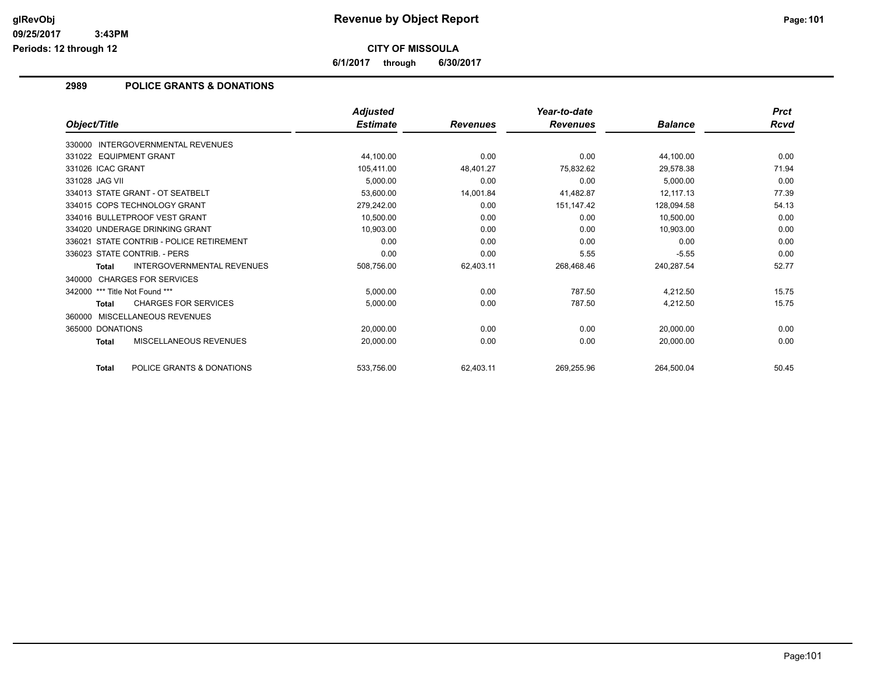**6/1/2017 through 6/30/2017**

## **2989 POLICE GRANTS & DONATIONS**

|                                             | <b>Adjusted</b> |                 | Year-to-date    |                | <b>Prct</b> |
|---------------------------------------------|-----------------|-----------------|-----------------|----------------|-------------|
| Object/Title                                | <b>Estimate</b> | <b>Revenues</b> | <b>Revenues</b> | <b>Balance</b> | <b>Rcvd</b> |
| 330000 INTERGOVERNMENTAL REVENUES           |                 |                 |                 |                |             |
| 331022 EQUIPMENT GRANT                      | 44,100.00       | 0.00            | 0.00            | 44,100.00      | 0.00        |
| 331026 ICAC GRANT                           | 105,411.00      | 48,401.27       | 75,832.62       | 29,578.38      | 71.94       |
| 331028 JAG VII                              | 5,000.00        | 0.00            | 0.00            | 5,000.00       | 0.00        |
| 334013 STATE GRANT - OT SEATBELT            | 53,600.00       | 14,001.84       | 41,482.87       | 12,117.13      | 77.39       |
| 334015 COPS TECHNOLOGY GRANT                | 279,242.00      | 0.00            | 151,147.42      | 128,094.58     | 54.13       |
| 334016 BULLETPROOF VEST GRANT               | 10,500.00       | 0.00            | 0.00            | 10,500.00      | 0.00        |
| 334020 UNDERAGE DRINKING GRANT              | 10,903.00       | 0.00            | 0.00            | 10,903.00      | 0.00        |
| 336021 STATE CONTRIB - POLICE RETIREMENT    | 0.00            | 0.00            | 0.00            | 0.00           | 0.00        |
| 336023 STATE CONTRIB. - PERS                | 0.00            | 0.00            | 5.55            | $-5.55$        | 0.00        |
| INTERGOVERNMENTAL REVENUES<br><b>Total</b>  | 508,756.00      | 62,403.11       | 268,468.46      | 240,287.54     | 52.77       |
| 340000 CHARGES FOR SERVICES                 |                 |                 |                 |                |             |
| 342000 *** Title Not Found ***              | 5,000.00        | 0.00            | 787.50          | 4,212.50       | 15.75       |
| <b>CHARGES FOR SERVICES</b><br><b>Total</b> | 5,000.00        | 0.00            | 787.50          | 4,212.50       | 15.75       |
| MISCELLANEOUS REVENUES<br>360000            |                 |                 |                 |                |             |
| 365000 DONATIONS                            | 20,000.00       | 0.00            | 0.00            | 20,000.00      | 0.00        |
| MISCELLANEOUS REVENUES<br><b>Total</b>      | 20,000.00       | 0.00            | 0.00            | 20,000.00      | 0.00        |
| POLICE GRANTS & DONATIONS<br><b>Total</b>   | 533,756.00      | 62,403.11       | 269,255.96      | 264,500.04     | 50.45       |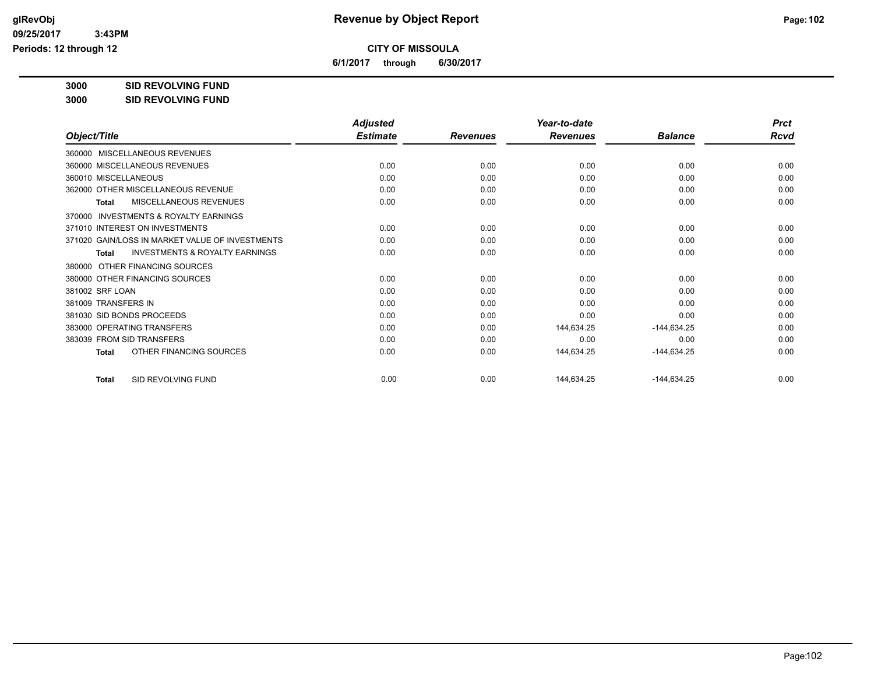**6/1/2017 through 6/30/2017**

**3000 SID REVOLVING FUND**

**3000 SID REVOLVING FUND**

|                                                           | <b>Adjusted</b> |                 | Year-to-date    |                | <b>Prct</b> |
|-----------------------------------------------------------|-----------------|-----------------|-----------------|----------------|-------------|
| Object/Title                                              | <b>Estimate</b> | <b>Revenues</b> | <b>Revenues</b> | <b>Balance</b> | Rcvd        |
| 360000 MISCELLANEOUS REVENUES                             |                 |                 |                 |                |             |
| 360000 MISCELLANEOUS REVENUES                             | 0.00            | 0.00            | 0.00            | 0.00           | 0.00        |
| 360010 MISCELLANEOUS                                      | 0.00            | 0.00            | 0.00            | 0.00           | 0.00        |
| 362000 OTHER MISCELLANEOUS REVENUE                        | 0.00            | 0.00            | 0.00            | 0.00           | 0.00        |
| MISCELLANEOUS REVENUES<br><b>Total</b>                    | 0.00            | 0.00            | 0.00            | 0.00           | 0.00        |
| <b>INVESTMENTS &amp; ROYALTY EARNINGS</b><br>370000       |                 |                 |                 |                |             |
| 371010 INTEREST ON INVESTMENTS                            | 0.00            | 0.00            | 0.00            | 0.00           | 0.00        |
| 371020 GAIN/LOSS IN MARKET VALUE OF INVESTMENTS           | 0.00            | 0.00            | 0.00            | 0.00           | 0.00        |
| <b>INVESTMENTS &amp; ROYALTY EARNINGS</b><br><b>Total</b> | 0.00            | 0.00            | 0.00            | 0.00           | 0.00        |
| OTHER FINANCING SOURCES<br>380000                         |                 |                 |                 |                |             |
| 380000 OTHER FINANCING SOURCES                            | 0.00            | 0.00            | 0.00            | 0.00           | 0.00        |
| 381002 SRF LOAN                                           | 0.00            | 0.00            | 0.00            | 0.00           | 0.00        |
| 381009 TRANSFERS IN                                       | 0.00            | 0.00            | 0.00            | 0.00           | 0.00        |
| 381030 SID BONDS PROCEEDS                                 | 0.00            | 0.00            | 0.00            | 0.00           | 0.00        |
| 383000 OPERATING TRANSFERS                                | 0.00            | 0.00            | 144,634.25      | $-144,634.25$  | 0.00        |
| 383039 FROM SID TRANSFERS                                 | 0.00            | 0.00            | 0.00            | 0.00           | 0.00        |
| OTHER FINANCING SOURCES<br><b>Total</b>                   | 0.00            | 0.00            | 144,634.25      | $-144,634.25$  | 0.00        |
| SID REVOLVING FUND<br><b>Total</b>                        | 0.00            | 0.00            | 144,634.25      | $-144,634.25$  | 0.00        |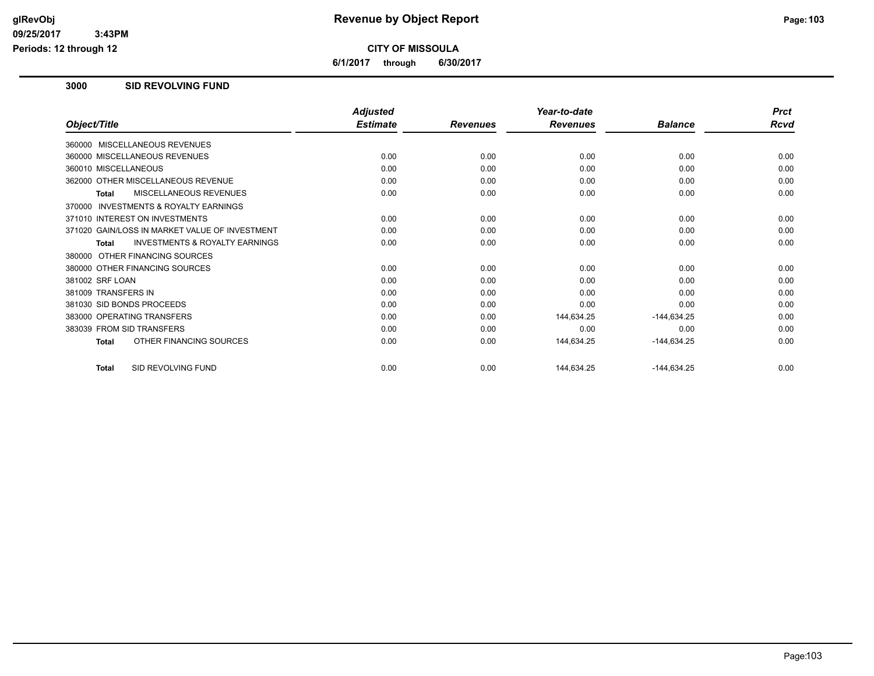**6/1/2017 through 6/30/2017**

## **3000 SID REVOLVING FUND**

|                                                    | <b>Adjusted</b> |                 | Year-to-date    |                | <b>Prct</b> |
|----------------------------------------------------|-----------------|-----------------|-----------------|----------------|-------------|
| Object/Title                                       | <b>Estimate</b> | <b>Revenues</b> | <b>Revenues</b> | <b>Balance</b> | Rcvd        |
| 360000 MISCELLANEOUS REVENUES                      |                 |                 |                 |                |             |
| 360000 MISCELLANEOUS REVENUES                      | 0.00            | 0.00            | 0.00            | 0.00           | 0.00        |
| 360010 MISCELLANEOUS                               | 0.00            | 0.00            | 0.00            | 0.00           | 0.00        |
| 362000 OTHER MISCELLANEOUS REVENUE                 | 0.00            | 0.00            | 0.00            | 0.00           | 0.00        |
| MISCELLANEOUS REVENUES<br>Total                    | 0.00            | 0.00            | 0.00            | 0.00           | 0.00        |
| 370000 INVESTMENTS & ROYALTY EARNINGS              |                 |                 |                 |                |             |
| 371010 INTEREST ON INVESTMENTS                     | 0.00            | 0.00            | 0.00            | 0.00           | 0.00        |
| 371020 GAIN/LOSS IN MARKET VALUE OF INVESTMENT     | 0.00            | 0.00            | 0.00            | 0.00           | 0.00        |
| <b>INVESTMENTS &amp; ROYALTY EARNINGS</b><br>Total | 0.00            | 0.00            | 0.00            | 0.00           | 0.00        |
| 380000 OTHER FINANCING SOURCES                     |                 |                 |                 |                |             |
| 380000 OTHER FINANCING SOURCES                     | 0.00            | 0.00            | 0.00            | 0.00           | 0.00        |
| 381002 SRF LOAN                                    | 0.00            | 0.00            | 0.00            | 0.00           | 0.00        |
| 381009 TRANSFERS IN                                | 0.00            | 0.00            | 0.00            | 0.00           | 0.00        |
| 381030 SID BONDS PROCEEDS                          | 0.00            | 0.00            | 0.00            | 0.00           | 0.00        |
| 383000 OPERATING TRANSFERS                         | 0.00            | 0.00            | 144,634.25      | $-144,634.25$  | 0.00        |
| 383039 FROM SID TRANSFERS                          | 0.00            | 0.00            | 0.00            | 0.00           | 0.00        |
| OTHER FINANCING SOURCES<br>Total                   | 0.00            | 0.00            | 144,634.25      | $-144,634.25$  | 0.00        |
| SID REVOLVING FUND<br><b>Total</b>                 | 0.00            | 0.00            | 144,634.25      | $-144,634.25$  | 0.00        |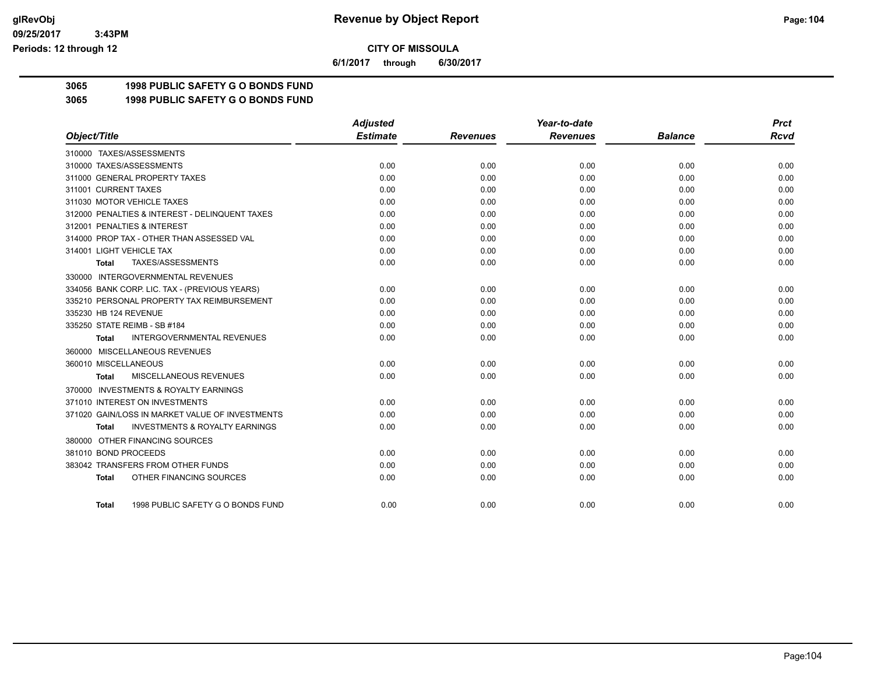**6/1/2017 through 6/30/2017**

# **3065 1998 PUBLIC SAFETY G O BONDS FUND**

**3065 1998 PUBLIC SAFETY G O BONDS FUND**

|                                                    | <b>Adjusted</b> |                 | Year-to-date    |                | <b>Prct</b> |
|----------------------------------------------------|-----------------|-----------------|-----------------|----------------|-------------|
| Object/Title                                       | <b>Estimate</b> | <b>Revenues</b> | <b>Revenues</b> | <b>Balance</b> | <b>Rcvd</b> |
| 310000 TAXES/ASSESSMENTS                           |                 |                 |                 |                |             |
| 310000 TAXES/ASSESSMENTS                           | 0.00            | 0.00            | 0.00            | 0.00           | 0.00        |
| 311000 GENERAL PROPERTY TAXES                      | 0.00            | 0.00            | 0.00            | 0.00           | 0.00        |
| 311001 CURRENT TAXES                               | 0.00            | 0.00            | 0.00            | 0.00           | 0.00        |
| 311030 MOTOR VEHICLE TAXES                         | 0.00            | 0.00            | 0.00            | 0.00           | 0.00        |
| 312000 PENALTIES & INTEREST - DELINQUENT TAXES     | 0.00            | 0.00            | 0.00            | 0.00           | 0.00        |
| 312001 PENALTIES & INTEREST                        | 0.00            | 0.00            | 0.00            | 0.00           | 0.00        |
| 314000 PROP TAX - OTHER THAN ASSESSED VAL          | 0.00            | 0.00            | 0.00            | 0.00           | 0.00        |
| 314001 LIGHT VEHICLE TAX                           | 0.00            | 0.00            | 0.00            | 0.00           | 0.00        |
| TAXES/ASSESSMENTS<br>Total                         | 0.00            | 0.00            | 0.00            | 0.00           | 0.00        |
| 330000 INTERGOVERNMENTAL REVENUES                  |                 |                 |                 |                |             |
| 334056 BANK CORP. LIC. TAX - (PREVIOUS YEARS)      | 0.00            | 0.00            | 0.00            | 0.00           | 0.00        |
| 335210 PERSONAL PROPERTY TAX REIMBURSEMENT         | 0.00            | 0.00            | 0.00            | 0.00           | 0.00        |
| 335230 HB 124 REVENUE                              | 0.00            | 0.00            | 0.00            | 0.00           | 0.00        |
| 335250 STATE REIMB - SB #184                       | 0.00            | 0.00            | 0.00            | 0.00           | 0.00        |
| <b>INTERGOVERNMENTAL REVENUES</b><br><b>Total</b>  | 0.00            | 0.00            | 0.00            | 0.00           | 0.00        |
| 360000 MISCELLANEOUS REVENUES                      |                 |                 |                 |                |             |
| 360010 MISCELLANEOUS                               | 0.00            | 0.00            | 0.00            | 0.00           | 0.00        |
| <b>MISCELLANEOUS REVENUES</b><br>Total             | 0.00            | 0.00            | 0.00            | 0.00           | 0.00        |
| 370000 INVESTMENTS & ROYALTY EARNINGS              |                 |                 |                 |                |             |
| 371010 INTEREST ON INVESTMENTS                     | 0.00            | 0.00            | 0.00            | 0.00           | 0.00        |
| 371020 GAIN/LOSS IN MARKET VALUE OF INVESTMENTS    | 0.00            | 0.00            | 0.00            | 0.00           | 0.00        |
| <b>INVESTMENTS &amp; ROYALTY EARNINGS</b><br>Total | 0.00            | 0.00            | 0.00            | 0.00           | 0.00        |
| 380000 OTHER FINANCING SOURCES                     |                 |                 |                 |                |             |
| 381010 BOND PROCEEDS                               | 0.00            | 0.00            | 0.00            | 0.00           | 0.00        |
| 383042 TRANSFERS FROM OTHER FUNDS                  | 0.00            | 0.00            | 0.00            | 0.00           | 0.00        |
| OTHER FINANCING SOURCES<br><b>Total</b>            | 0.00            | 0.00            | 0.00            | 0.00           | 0.00        |
| 1998 PUBLIC SAFETY G O BONDS FUND<br>Total         | 0.00            | 0.00            | 0.00            | 0.00           | 0.00        |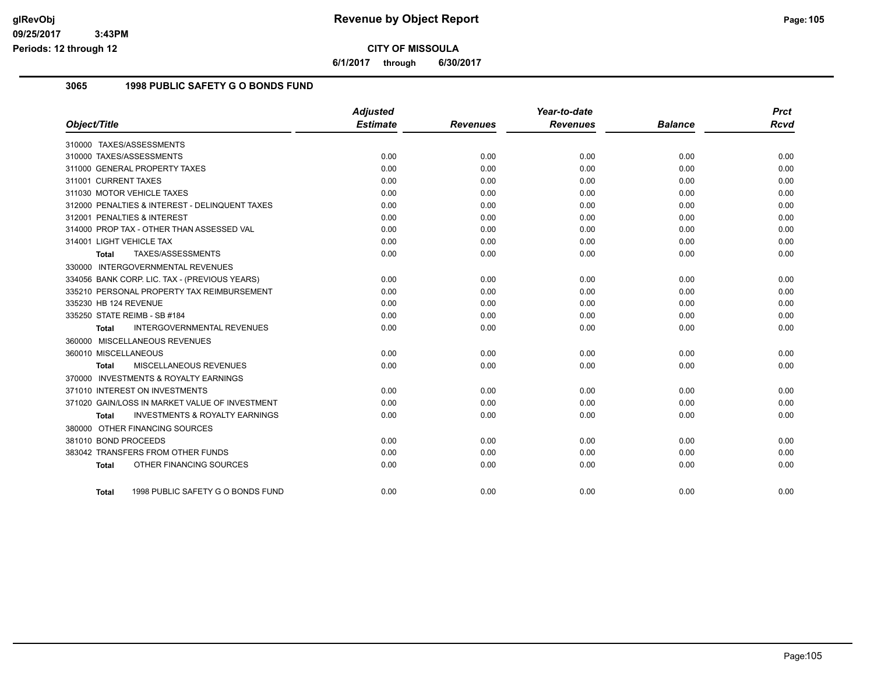**6/1/2017 through 6/30/2017**

## **3065 1998 PUBLIC SAFETY G O BONDS FUND**

|                                                    | <b>Adjusted</b> |                 | Year-to-date    |                | <b>Prct</b> |
|----------------------------------------------------|-----------------|-----------------|-----------------|----------------|-------------|
| Object/Title                                       | <b>Estimate</b> | <b>Revenues</b> | <b>Revenues</b> | <b>Balance</b> | <b>Rcvd</b> |
| 310000 TAXES/ASSESSMENTS                           |                 |                 |                 |                |             |
| 310000 TAXES/ASSESSMENTS                           | 0.00            | 0.00            | 0.00            | 0.00           | 0.00        |
| 311000 GENERAL PROPERTY TAXES                      | 0.00            | 0.00            | 0.00            | 0.00           | 0.00        |
| 311001 CURRENT TAXES                               | 0.00            | 0.00            | 0.00            | 0.00           | 0.00        |
| 311030 MOTOR VEHICLE TAXES                         | 0.00            | 0.00            | 0.00            | 0.00           | 0.00        |
| 312000 PENALTIES & INTEREST - DELINQUENT TAXES     | 0.00            | 0.00            | 0.00            | 0.00           | 0.00        |
| 312001 PENALTIES & INTEREST                        | 0.00            | 0.00            | 0.00            | 0.00           | 0.00        |
| 314000 PROP TAX - OTHER THAN ASSESSED VAL          | 0.00            | 0.00            | 0.00            | 0.00           | 0.00        |
| 314001 LIGHT VEHICLE TAX                           | 0.00            | 0.00            | 0.00            | 0.00           | 0.00        |
| TAXES/ASSESSMENTS<br><b>Total</b>                  | 0.00            | 0.00            | 0.00            | 0.00           | 0.00        |
| 330000 INTERGOVERNMENTAL REVENUES                  |                 |                 |                 |                |             |
| 334056 BANK CORP. LIC. TAX - (PREVIOUS YEARS)      | 0.00            | 0.00            | 0.00            | 0.00           | 0.00        |
| 335210 PERSONAL PROPERTY TAX REIMBURSEMENT         | 0.00            | 0.00            | 0.00            | 0.00           | 0.00        |
| 335230 HB 124 REVENUE                              | 0.00            | 0.00            | 0.00            | 0.00           | 0.00        |
| 335250 STATE REIMB - SB #184                       | 0.00            | 0.00            | 0.00            | 0.00           | 0.00        |
| <b>INTERGOVERNMENTAL REVENUES</b><br><b>Total</b>  | 0.00            | 0.00            | 0.00            | 0.00           | 0.00        |
| 360000 MISCELLANEOUS REVENUES                      |                 |                 |                 |                |             |
| 360010 MISCELLANEOUS                               | 0.00            | 0.00            | 0.00            | 0.00           | 0.00        |
| MISCELLANEOUS REVENUES<br>Total                    | 0.00            | 0.00            | 0.00            | 0.00           | 0.00        |
| 370000 INVESTMENTS & ROYALTY EARNINGS              |                 |                 |                 |                |             |
| 371010 INTEREST ON INVESTMENTS                     | 0.00            | 0.00            | 0.00            | 0.00           | 0.00        |
| 371020 GAIN/LOSS IN MARKET VALUE OF INVESTMENT     | 0.00            | 0.00            | 0.00            | 0.00           | 0.00        |
| <b>INVESTMENTS &amp; ROYALTY EARNINGS</b><br>Total | 0.00            | 0.00            | 0.00            | 0.00           | 0.00        |
| 380000 OTHER FINANCING SOURCES                     |                 |                 |                 |                |             |
| 381010 BOND PROCEEDS                               | 0.00            | 0.00            | 0.00            | 0.00           | 0.00        |
| 383042 TRANSFERS FROM OTHER FUNDS                  | 0.00            | 0.00            | 0.00            | 0.00           | 0.00        |
| OTHER FINANCING SOURCES<br><b>Total</b>            | 0.00            | 0.00            | 0.00            | 0.00           | 0.00        |
| 1998 PUBLIC SAFETY G O BONDS FUND<br><b>Total</b>  | 0.00            | 0.00            | 0.00            | 0.00           | 0.00        |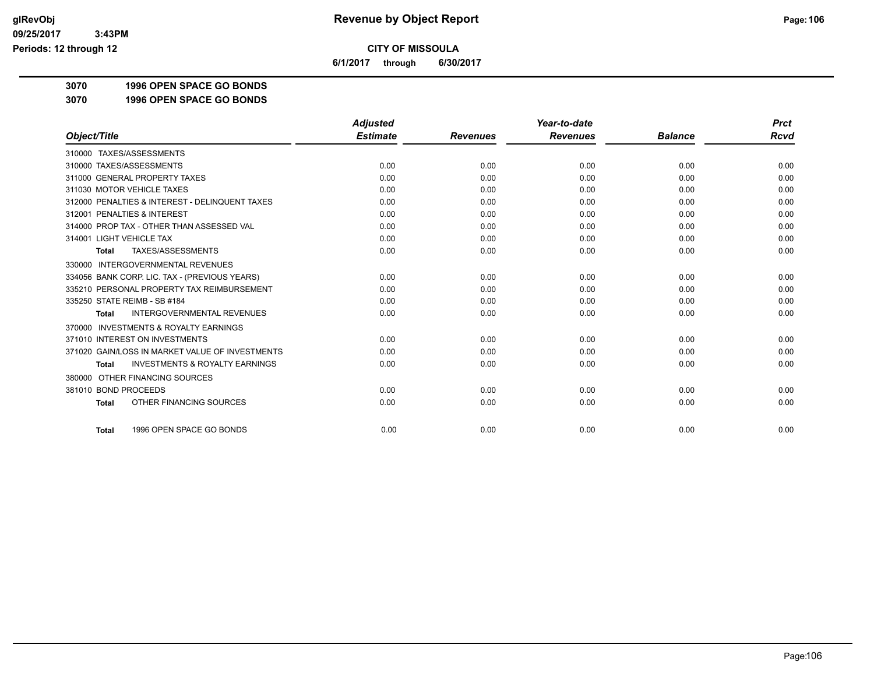**6/1/2017 through 6/30/2017**

**3070 1996 OPEN SPACE GO BONDS**

**3070 1996 OPEN SPACE GO BONDS**

|                                                           | <b>Adjusted</b> |                 | Year-to-date    |                | <b>Prct</b> |
|-----------------------------------------------------------|-----------------|-----------------|-----------------|----------------|-------------|
| Object/Title                                              | <b>Estimate</b> | <b>Revenues</b> | <b>Revenues</b> | <b>Balance</b> | <b>Rcvd</b> |
| 310000 TAXES/ASSESSMENTS                                  |                 |                 |                 |                |             |
| 310000 TAXES/ASSESSMENTS                                  | 0.00            | 0.00            | 0.00            | 0.00           | 0.00        |
| 311000 GENERAL PROPERTY TAXES                             | 0.00            | 0.00            | 0.00            | 0.00           | 0.00        |
| 311030 MOTOR VEHICLE TAXES                                | 0.00            | 0.00            | 0.00            | 0.00           | 0.00        |
| 312000 PENALTIES & INTEREST - DELINQUENT TAXES            | 0.00            | 0.00            | 0.00            | 0.00           | 0.00        |
| 312001 PENALTIES & INTEREST                               | 0.00            | 0.00            | 0.00            | 0.00           | 0.00        |
| 314000 PROP TAX - OTHER THAN ASSESSED VAL                 | 0.00            | 0.00            | 0.00            | 0.00           | 0.00        |
| 314001 LIGHT VEHICLE TAX                                  | 0.00            | 0.00            | 0.00            | 0.00           | 0.00        |
| TAXES/ASSESSMENTS<br><b>Total</b>                         | 0.00            | 0.00            | 0.00            | 0.00           | 0.00        |
| <b>INTERGOVERNMENTAL REVENUES</b><br>330000               |                 |                 |                 |                |             |
| 334056 BANK CORP. LIC. TAX - (PREVIOUS YEARS)             | 0.00            | 0.00            | 0.00            | 0.00           | 0.00        |
| 335210 PERSONAL PROPERTY TAX REIMBURSEMENT                | 0.00            | 0.00            | 0.00            | 0.00           | 0.00        |
| 335250 STATE REIMB - SB #184                              | 0.00            | 0.00            | 0.00            | 0.00           | 0.00        |
| <b>INTERGOVERNMENTAL REVENUES</b><br><b>Total</b>         | 0.00            | 0.00            | 0.00            | 0.00           | 0.00        |
| <b>INVESTMENTS &amp; ROYALTY EARNINGS</b><br>370000       |                 |                 |                 |                |             |
| 371010 INTEREST ON INVESTMENTS                            | 0.00            | 0.00            | 0.00            | 0.00           | 0.00        |
| 371020 GAIN/LOSS IN MARKET VALUE OF INVESTMENTS           | 0.00            | 0.00            | 0.00            | 0.00           | 0.00        |
| <b>INVESTMENTS &amp; ROYALTY EARNINGS</b><br><b>Total</b> | 0.00            | 0.00            | 0.00            | 0.00           | 0.00        |
| OTHER FINANCING SOURCES<br>380000                         |                 |                 |                 |                |             |
| 381010 BOND PROCEEDS                                      | 0.00            | 0.00            | 0.00            | 0.00           | 0.00        |
| OTHER FINANCING SOURCES<br><b>Total</b>                   | 0.00            | 0.00            | 0.00            | 0.00           | 0.00        |
|                                                           |                 |                 |                 |                |             |
| 1996 OPEN SPACE GO BONDS<br><b>Total</b>                  | 0.00            | 0.00            | 0.00            | 0.00           | 0.00        |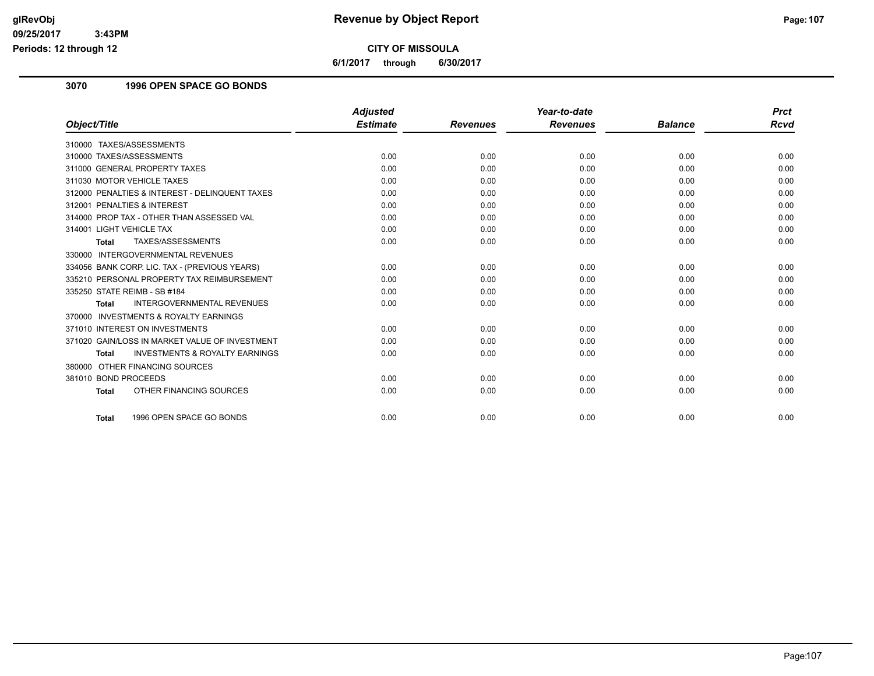**6/1/2017 through 6/30/2017**

## **3070 1996 OPEN SPACE GO BONDS**

|                                                           | <b>Adjusted</b> |                 | Year-to-date    |                | <b>Prct</b> |
|-----------------------------------------------------------|-----------------|-----------------|-----------------|----------------|-------------|
| Object/Title                                              | <b>Estimate</b> | <b>Revenues</b> | <b>Revenues</b> | <b>Balance</b> | Rcvd        |
| 310000 TAXES/ASSESSMENTS                                  |                 |                 |                 |                |             |
| 310000 TAXES/ASSESSMENTS                                  | 0.00            | 0.00            | 0.00            | 0.00           | 0.00        |
| 311000 GENERAL PROPERTY TAXES                             | 0.00            | 0.00            | 0.00            | 0.00           | 0.00        |
| 311030 MOTOR VEHICLE TAXES                                | 0.00            | 0.00            | 0.00            | 0.00           | 0.00        |
| 312000 PENALTIES & INTEREST - DELINQUENT TAXES            | 0.00            | 0.00            | 0.00            | 0.00           | 0.00        |
| 312001 PENALTIES & INTEREST                               | 0.00            | 0.00            | 0.00            | 0.00           | 0.00        |
| 314000 PROP TAX - OTHER THAN ASSESSED VAL                 | 0.00            | 0.00            | 0.00            | 0.00           | 0.00        |
| 314001 LIGHT VEHICLE TAX                                  | 0.00            | 0.00            | 0.00            | 0.00           | 0.00        |
| <b>TAXES/ASSESSMENTS</b><br><b>Total</b>                  | 0.00            | 0.00            | 0.00            | 0.00           | 0.00        |
| 330000 INTERGOVERNMENTAL REVENUES                         |                 |                 |                 |                |             |
| 334056 BANK CORP. LIC. TAX - (PREVIOUS YEARS)             | 0.00            | 0.00            | 0.00            | 0.00           | 0.00        |
| 335210 PERSONAL PROPERTY TAX REIMBURSEMENT                | 0.00            | 0.00            | 0.00            | 0.00           | 0.00        |
| 335250 STATE REIMB - SB #184                              | 0.00            | 0.00            | 0.00            | 0.00           | 0.00        |
| <b>INTERGOVERNMENTAL REVENUES</b><br><b>Total</b>         | 0.00            | 0.00            | 0.00            | 0.00           | 0.00        |
| 370000 INVESTMENTS & ROYALTY EARNINGS                     |                 |                 |                 |                |             |
| 371010 INTEREST ON INVESTMENTS                            | 0.00            | 0.00            | 0.00            | 0.00           | 0.00        |
| 371020 GAIN/LOSS IN MARKET VALUE OF INVESTMENT            | 0.00            | 0.00            | 0.00            | 0.00           | 0.00        |
| <b>INVESTMENTS &amp; ROYALTY EARNINGS</b><br><b>Total</b> | 0.00            | 0.00            | 0.00            | 0.00           | 0.00        |
| 380000 OTHER FINANCING SOURCES                            |                 |                 |                 |                |             |
| 381010 BOND PROCEEDS                                      | 0.00            | 0.00            | 0.00            | 0.00           | 0.00        |
| OTHER FINANCING SOURCES<br><b>Total</b>                   | 0.00            | 0.00            | 0.00            | 0.00           | 0.00        |
| 1996 OPEN SPACE GO BONDS<br><b>Total</b>                  | 0.00            | 0.00            | 0.00            | 0.00           | 0.00        |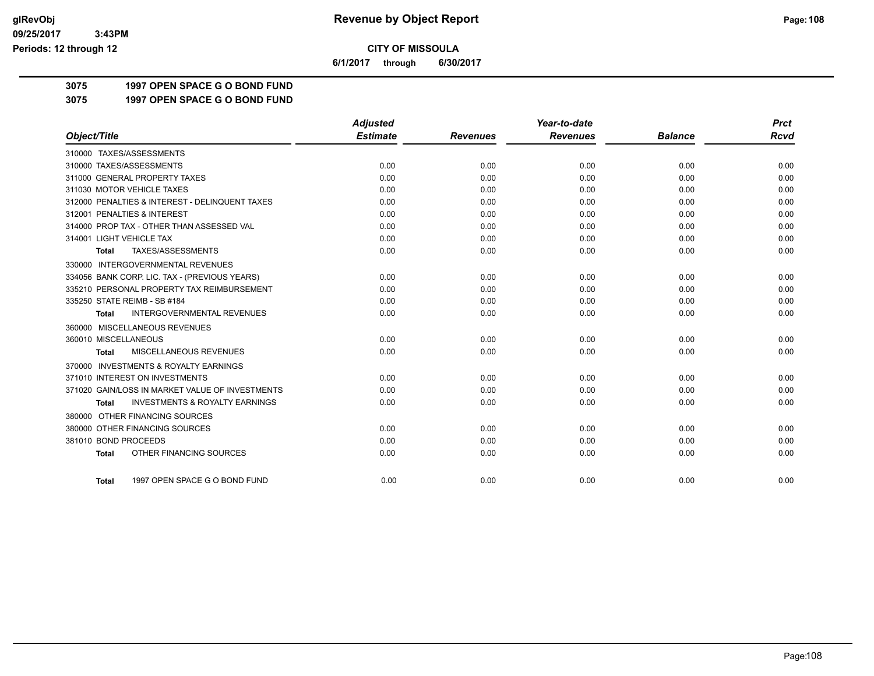**6/1/2017 through 6/30/2017**

# **3075 1997 OPEN SPACE G O BOND FUND**

## **3075 1997 OPEN SPACE G O BOND FUND**

|                                                    | <b>Adjusted</b> |                 | Year-to-date    |                | <b>Prct</b> |
|----------------------------------------------------|-----------------|-----------------|-----------------|----------------|-------------|
| Object/Title                                       | <b>Estimate</b> | <b>Revenues</b> | <b>Revenues</b> | <b>Balance</b> | Rcvd        |
| 310000 TAXES/ASSESSMENTS                           |                 |                 |                 |                |             |
| 310000 TAXES/ASSESSMENTS                           | 0.00            | 0.00            | 0.00            | 0.00           | 0.00        |
| 311000 GENERAL PROPERTY TAXES                      | 0.00            | 0.00            | 0.00            | 0.00           | 0.00        |
| 311030 MOTOR VEHICLE TAXES                         | 0.00            | 0.00            | 0.00            | 0.00           | 0.00        |
| 312000 PENALTIES & INTEREST - DELINQUENT TAXES     | 0.00            | 0.00            | 0.00            | 0.00           | 0.00        |
| 312001 PENALTIES & INTEREST                        | 0.00            | 0.00            | 0.00            | 0.00           | 0.00        |
| 314000 PROP TAX - OTHER THAN ASSESSED VAL          | 0.00            | 0.00            | 0.00            | 0.00           | 0.00        |
| 314001 LIGHT VEHICLE TAX                           | 0.00            | 0.00            | 0.00            | 0.00           | 0.00        |
| TAXES/ASSESSMENTS<br>Total                         | 0.00            | 0.00            | 0.00            | 0.00           | 0.00        |
| 330000 INTERGOVERNMENTAL REVENUES                  |                 |                 |                 |                |             |
| 334056 BANK CORP. LIC. TAX - (PREVIOUS YEARS)      | 0.00            | 0.00            | 0.00            | 0.00           | 0.00        |
| 335210 PERSONAL PROPERTY TAX REIMBURSEMENT         | 0.00            | 0.00            | 0.00            | 0.00           | 0.00        |
| 335250 STATE REIMB - SB #184                       | 0.00            | 0.00            | 0.00            | 0.00           | 0.00        |
| <b>INTERGOVERNMENTAL REVENUES</b><br><b>Total</b>  | 0.00            | 0.00            | 0.00            | 0.00           | 0.00        |
| 360000 MISCELLANEOUS REVENUES                      |                 |                 |                 |                |             |
| 360010 MISCELLANEOUS                               | 0.00            | 0.00            | 0.00            | 0.00           | 0.00        |
| <b>MISCELLANEOUS REVENUES</b><br>Total             | 0.00            | 0.00            | 0.00            | 0.00           | 0.00        |
| 370000 INVESTMENTS & ROYALTY EARNINGS              |                 |                 |                 |                |             |
| 371010 INTEREST ON INVESTMENTS                     | 0.00            | 0.00            | 0.00            | 0.00           | 0.00        |
| 371020 GAIN/LOSS IN MARKET VALUE OF INVESTMENTS    | 0.00            | 0.00            | 0.00            | 0.00           | 0.00        |
| <b>INVESTMENTS &amp; ROYALTY EARNINGS</b><br>Total | 0.00            | 0.00            | 0.00            | 0.00           | 0.00        |
| 380000 OTHER FINANCING SOURCES                     |                 |                 |                 |                |             |
| 380000 OTHER FINANCING SOURCES                     | 0.00            | 0.00            | 0.00            | 0.00           | 0.00        |
| 381010 BOND PROCEEDS                               | 0.00            | 0.00            | 0.00            | 0.00           | 0.00        |
| OTHER FINANCING SOURCES<br><b>Total</b>            | 0.00            | 0.00            | 0.00            | 0.00           | 0.00        |
|                                                    |                 |                 |                 |                |             |
| 1997 OPEN SPACE G O BOND FUND<br><b>Total</b>      | 0.00            | 0.00            | 0.00            | 0.00           | 0.00        |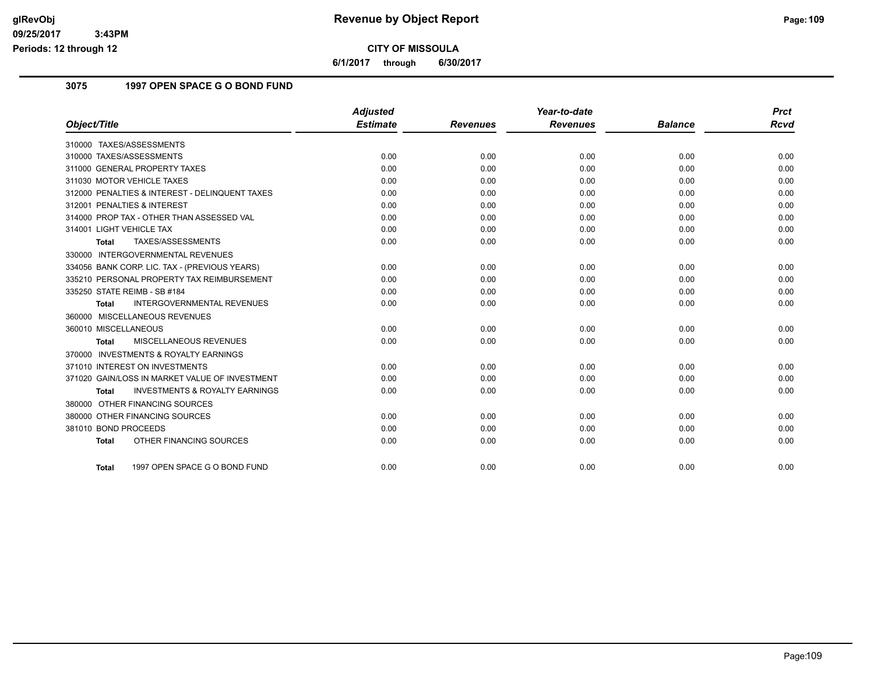**6/1/2017 through 6/30/2017**

## **3075 1997 OPEN SPACE G O BOND FUND**

|                                                           | <b>Adjusted</b> |                 | Year-to-date    |                | <b>Prct</b> |
|-----------------------------------------------------------|-----------------|-----------------|-----------------|----------------|-------------|
| Object/Title                                              | <b>Estimate</b> | <b>Revenues</b> | <b>Revenues</b> | <b>Balance</b> | <b>Rcvd</b> |
| 310000 TAXES/ASSESSMENTS                                  |                 |                 |                 |                |             |
| 310000 TAXES/ASSESSMENTS                                  | 0.00            | 0.00            | 0.00            | 0.00           | 0.00        |
| 311000 GENERAL PROPERTY TAXES                             | 0.00            | 0.00            | 0.00            | 0.00           | 0.00        |
| 311030 MOTOR VEHICLE TAXES                                | 0.00            | 0.00            | 0.00            | 0.00           | 0.00        |
| 312000 PENALTIES & INTEREST - DELINQUENT TAXES            | 0.00            | 0.00            | 0.00            | 0.00           | 0.00        |
| 312001 PENALTIES & INTEREST                               | 0.00            | 0.00            | 0.00            | 0.00           | 0.00        |
| 314000 PROP TAX - OTHER THAN ASSESSED VAL                 | 0.00            | 0.00            | 0.00            | 0.00           | 0.00        |
| 314001 LIGHT VEHICLE TAX                                  | 0.00            | 0.00            | 0.00            | 0.00           | 0.00        |
| TAXES/ASSESSMENTS<br><b>Total</b>                         | 0.00            | 0.00            | 0.00            | 0.00           | 0.00        |
| 330000 INTERGOVERNMENTAL REVENUES                         |                 |                 |                 |                |             |
| 334056 BANK CORP. LIC. TAX - (PREVIOUS YEARS)             | 0.00            | 0.00            | 0.00            | 0.00           | 0.00        |
| 335210 PERSONAL PROPERTY TAX REIMBURSEMENT                | 0.00            | 0.00            | 0.00            | 0.00           | 0.00        |
| 335250 STATE REIMB - SB #184                              | 0.00            | 0.00            | 0.00            | 0.00           | 0.00        |
| <b>INTERGOVERNMENTAL REVENUES</b><br><b>Total</b>         | 0.00            | 0.00            | 0.00            | 0.00           | 0.00        |
| 360000 MISCELLANEOUS REVENUES                             |                 |                 |                 |                |             |
| 360010 MISCELLANEOUS                                      | 0.00            | 0.00            | 0.00            | 0.00           | 0.00        |
| MISCELLANEOUS REVENUES<br><b>Total</b>                    | 0.00            | 0.00            | 0.00            | 0.00           | 0.00        |
| 370000 INVESTMENTS & ROYALTY EARNINGS                     |                 |                 |                 |                |             |
| 371010 INTEREST ON INVESTMENTS                            | 0.00            | 0.00            | 0.00            | 0.00           | 0.00        |
| 371020 GAIN/LOSS IN MARKET VALUE OF INVESTMENT            | 0.00            | 0.00            | 0.00            | 0.00           | 0.00        |
| <b>INVESTMENTS &amp; ROYALTY EARNINGS</b><br><b>Total</b> | 0.00            | 0.00            | 0.00            | 0.00           | 0.00        |
| 380000 OTHER FINANCING SOURCES                            |                 |                 |                 |                |             |
| 380000 OTHER FINANCING SOURCES                            | 0.00            | 0.00            | 0.00            | 0.00           | 0.00        |
| 381010 BOND PROCEEDS                                      | 0.00            | 0.00            | 0.00            | 0.00           | 0.00        |
| OTHER FINANCING SOURCES<br><b>Total</b>                   | 0.00            | 0.00            | 0.00            | 0.00           | 0.00        |
| 1997 OPEN SPACE G O BOND FUND<br><b>Total</b>             | 0.00            | 0.00            | 0.00            | 0.00           | 0.00        |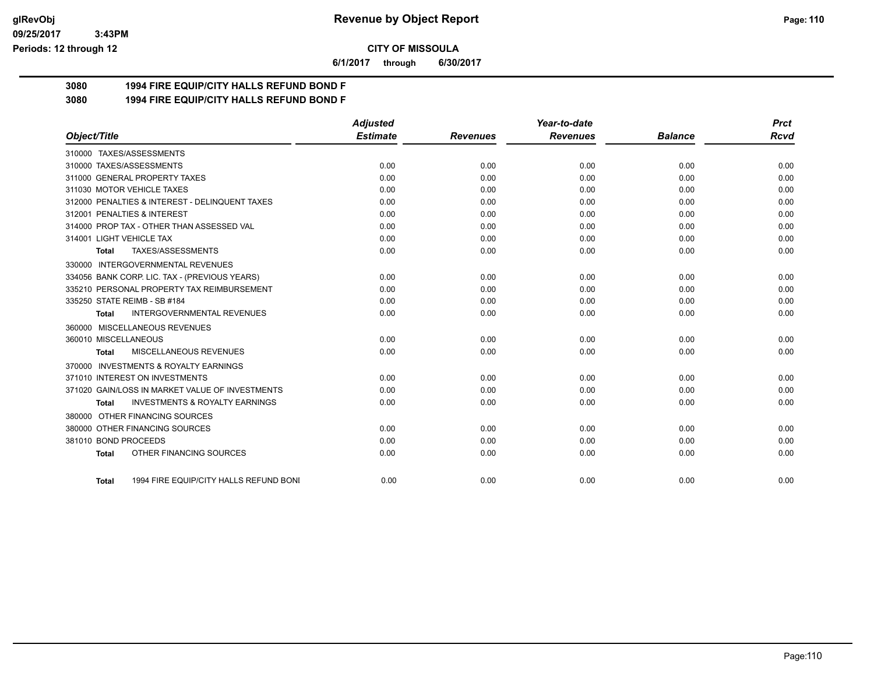### **09/25/2017 3:43PM Periods: 12 through 12**

**CITY OF MISSOULA**

**6/1/2017 through 6/30/2017**

## **3080 1994 FIRE EQUIP/CITY HALLS REFUND BOND F**

**3080 1994 FIRE EQUIP/CITY HALLS REFUND BOND F**

|                                                        | <b>Adjusted</b> |                 | Year-to-date    |                | <b>Prct</b> |
|--------------------------------------------------------|-----------------|-----------------|-----------------|----------------|-------------|
| Object/Title                                           | <b>Estimate</b> | <b>Revenues</b> | <b>Revenues</b> | <b>Balance</b> | <b>Rcvd</b> |
| 310000 TAXES/ASSESSMENTS                               |                 |                 |                 |                |             |
| 310000 TAXES/ASSESSMENTS                               | 0.00            | 0.00            | 0.00            | 0.00           | 0.00        |
| 311000 GENERAL PROPERTY TAXES                          | 0.00            | 0.00            | 0.00            | 0.00           | 0.00        |
| 311030 MOTOR VEHICLE TAXES                             | 0.00            | 0.00            | 0.00            | 0.00           | 0.00        |
| 312000 PENALTIES & INTEREST - DELINQUENT TAXES         | 0.00            | 0.00            | 0.00            | 0.00           | 0.00        |
| 312001 PENALTIES & INTEREST                            | 0.00            | 0.00            | 0.00            | 0.00           | 0.00        |
| 314000 PROP TAX - OTHER THAN ASSESSED VAL              | 0.00            | 0.00            | 0.00            | 0.00           | 0.00        |
| 314001 LIGHT VEHICLE TAX                               | 0.00            | 0.00            | 0.00            | 0.00           | 0.00        |
| TAXES/ASSESSMENTS<br>Total                             | 0.00            | 0.00            | 0.00            | 0.00           | 0.00        |
| 330000 INTERGOVERNMENTAL REVENUES                      |                 |                 |                 |                |             |
| 334056 BANK CORP. LIC. TAX - (PREVIOUS YEARS)          | 0.00            | 0.00            | 0.00            | 0.00           | 0.00        |
| 335210 PERSONAL PROPERTY TAX REIMBURSEMENT             | 0.00            | 0.00            | 0.00            | 0.00           | 0.00        |
| 335250 STATE REIMB - SB #184                           | 0.00            | 0.00            | 0.00            | 0.00           | 0.00        |
| <b>INTERGOVERNMENTAL REVENUES</b><br><b>Total</b>      | 0.00            | 0.00            | 0.00            | 0.00           | 0.00        |
| 360000 MISCELLANEOUS REVENUES                          |                 |                 |                 |                |             |
| 360010 MISCELLANEOUS                                   | 0.00            | 0.00            | 0.00            | 0.00           | 0.00        |
| <b>MISCELLANEOUS REVENUES</b><br>Total                 | 0.00            | 0.00            | 0.00            | 0.00           | 0.00        |
| <b>INVESTMENTS &amp; ROYALTY EARNINGS</b><br>370000    |                 |                 |                 |                |             |
| 371010 INTEREST ON INVESTMENTS                         | 0.00            | 0.00            | 0.00            | 0.00           | 0.00        |
| 371020 GAIN/LOSS IN MARKET VALUE OF INVESTMENTS        | 0.00            | 0.00            | 0.00            | 0.00           | 0.00        |
| <b>INVESTMENTS &amp; ROYALTY EARNINGS</b><br>Total     | 0.00            | 0.00            | 0.00            | 0.00           | 0.00        |
| 380000 OTHER FINANCING SOURCES                         |                 |                 |                 |                |             |
| 380000 OTHER FINANCING SOURCES                         | 0.00            | 0.00            | 0.00            | 0.00           | 0.00        |
| 381010 BOND PROCEEDS                                   | 0.00            | 0.00            | 0.00            | 0.00           | 0.00        |
| OTHER FINANCING SOURCES<br><b>Total</b>                | 0.00            | 0.00            | 0.00            | 0.00           | 0.00        |
| 1994 FIRE EQUIP/CITY HALLS REFUND BONI<br><b>Total</b> | 0.00            | 0.00            | 0.00            | 0.00           | 0.00        |
|                                                        |                 |                 |                 |                |             |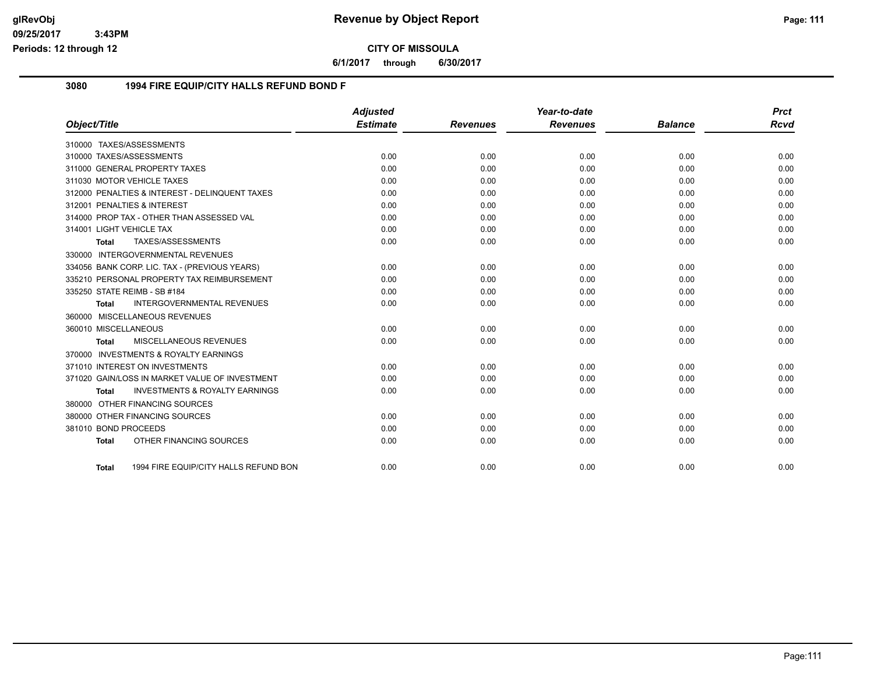**6/1/2017 through 6/30/2017**

## **3080 1994 FIRE EQUIP/CITY HALLS REFUND BOND F**

|                                                           | <b>Adjusted</b> |                 | Year-to-date    |                | <b>Prct</b> |
|-----------------------------------------------------------|-----------------|-----------------|-----------------|----------------|-------------|
| Object/Title                                              | <b>Estimate</b> | <b>Revenues</b> | <b>Revenues</b> | <b>Balance</b> | <b>Rcvd</b> |
| 310000 TAXES/ASSESSMENTS                                  |                 |                 |                 |                |             |
| 310000 TAXES/ASSESSMENTS                                  | 0.00            | 0.00            | 0.00            | 0.00           | 0.00        |
| 311000 GENERAL PROPERTY TAXES                             | 0.00            | 0.00            | 0.00            | 0.00           | 0.00        |
| 311030 MOTOR VEHICLE TAXES                                | 0.00            | 0.00            | 0.00            | 0.00           | 0.00        |
| 312000 PENALTIES & INTEREST - DELINQUENT TAXES            | 0.00            | 0.00            | 0.00            | 0.00           | 0.00        |
| 312001 PENALTIES & INTEREST                               | 0.00            | 0.00            | 0.00            | 0.00           | 0.00        |
| 314000 PROP TAX - OTHER THAN ASSESSED VAL                 | 0.00            | 0.00            | 0.00            | 0.00           | 0.00        |
| 314001 LIGHT VEHICLE TAX                                  | 0.00            | 0.00            | 0.00            | 0.00           | 0.00        |
| TAXES/ASSESSMENTS<br><b>Total</b>                         | 0.00            | 0.00            | 0.00            | 0.00           | 0.00        |
| 330000 INTERGOVERNMENTAL REVENUES                         |                 |                 |                 |                |             |
| 334056 BANK CORP. LIC. TAX - (PREVIOUS YEARS)             | 0.00            | 0.00            | 0.00            | 0.00           | 0.00        |
| 335210 PERSONAL PROPERTY TAX REIMBURSEMENT                | 0.00            | 0.00            | 0.00            | 0.00           | 0.00        |
| 335250 STATE REIMB - SB #184                              | 0.00            | 0.00            | 0.00            | 0.00           | 0.00        |
| <b>INTERGOVERNMENTAL REVENUES</b><br><b>Total</b>         | 0.00            | 0.00            | 0.00            | 0.00           | 0.00        |
| 360000 MISCELLANEOUS REVENUES                             |                 |                 |                 |                |             |
| 360010 MISCELLANEOUS                                      | 0.00            | 0.00            | 0.00            | 0.00           | 0.00        |
| <b>MISCELLANEOUS REVENUES</b><br><b>Total</b>             | 0.00            | 0.00            | 0.00            | 0.00           | 0.00        |
| 370000 INVESTMENTS & ROYALTY EARNINGS                     |                 |                 |                 |                |             |
| 371010 INTEREST ON INVESTMENTS                            | 0.00            | 0.00            | 0.00            | 0.00           | 0.00        |
| 371020 GAIN/LOSS IN MARKET VALUE OF INVESTMENT            | 0.00            | 0.00            | 0.00            | 0.00           | 0.00        |
| <b>INVESTMENTS &amp; ROYALTY EARNINGS</b><br><b>Total</b> | 0.00            | 0.00            | 0.00            | 0.00           | 0.00        |
| 380000 OTHER FINANCING SOURCES                            |                 |                 |                 |                |             |
| 380000 OTHER FINANCING SOURCES                            | 0.00            | 0.00            | 0.00            | 0.00           | 0.00        |
| 381010 BOND PROCEEDS                                      | 0.00            | 0.00            | 0.00            | 0.00           | 0.00        |
| OTHER FINANCING SOURCES<br><b>Total</b>                   | 0.00            | 0.00            | 0.00            | 0.00           | 0.00        |
| 1994 FIRE EQUIP/CITY HALLS REFUND BON<br><b>Total</b>     | 0.00            | 0.00            | 0.00            | 0.00           | 0.00        |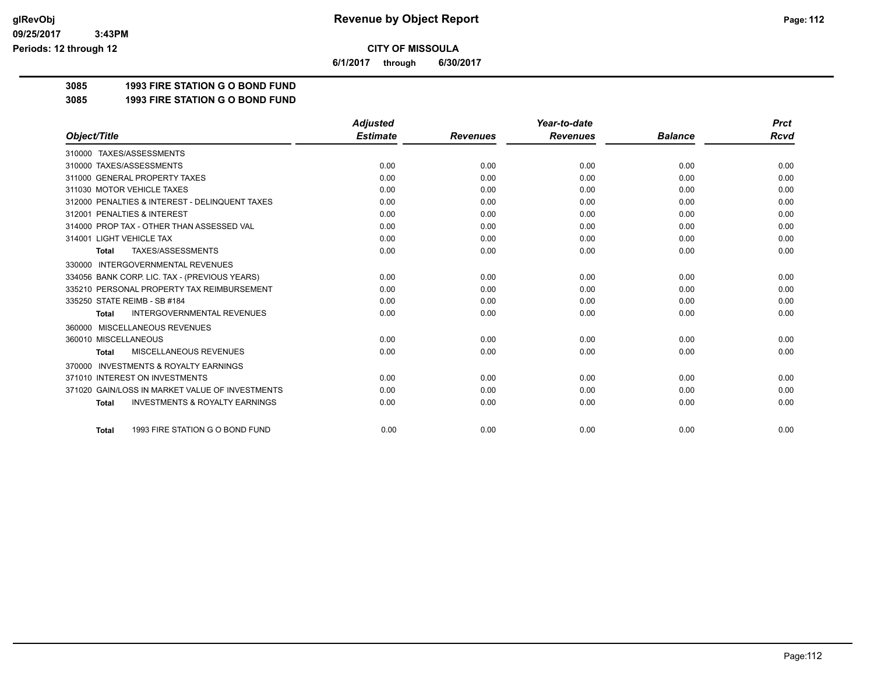**6/1/2017 through 6/30/2017**

# **3085 1993 FIRE STATION G O BOND FUND**

**3085 1993 FIRE STATION G O BOND FUND**

|                                                           | <b>Adjusted</b> |                 | Year-to-date    |                | <b>Prct</b> |
|-----------------------------------------------------------|-----------------|-----------------|-----------------|----------------|-------------|
| Object/Title                                              | <b>Estimate</b> | <b>Revenues</b> | <b>Revenues</b> | <b>Balance</b> | Rcvd        |
| 310000 TAXES/ASSESSMENTS                                  |                 |                 |                 |                |             |
| 310000 TAXES/ASSESSMENTS                                  | 0.00            | 0.00            | 0.00            | 0.00           | 0.00        |
| 311000 GENERAL PROPERTY TAXES                             | 0.00            | 0.00            | 0.00            | 0.00           | 0.00        |
| 311030 MOTOR VEHICLE TAXES                                | 0.00            | 0.00            | 0.00            | 0.00           | 0.00        |
| 312000 PENALTIES & INTEREST - DELINQUENT TAXES            | 0.00            | 0.00            | 0.00            | 0.00           | 0.00        |
| 312001 PENALTIES & INTEREST                               | 0.00            | 0.00            | 0.00            | 0.00           | 0.00        |
| 314000 PROP TAX - OTHER THAN ASSESSED VAL                 | 0.00            | 0.00            | 0.00            | 0.00           | 0.00        |
| 314001 LIGHT VEHICLE TAX                                  | 0.00            | 0.00            | 0.00            | 0.00           | 0.00        |
| TAXES/ASSESSMENTS<br><b>Total</b>                         | 0.00            | 0.00            | 0.00            | 0.00           | 0.00        |
| <b>INTERGOVERNMENTAL REVENUES</b><br>330000               |                 |                 |                 |                |             |
| 334056 BANK CORP. LIC. TAX - (PREVIOUS YEARS)             | 0.00            | 0.00            | 0.00            | 0.00           | 0.00        |
| 335210 PERSONAL PROPERTY TAX REIMBURSEMENT                | 0.00            | 0.00            | 0.00            | 0.00           | 0.00        |
| 335250 STATE REIMB - SB #184                              | 0.00            | 0.00            | 0.00            | 0.00           | 0.00        |
| <b>INTERGOVERNMENTAL REVENUES</b><br><b>Total</b>         | 0.00            | 0.00            | 0.00            | 0.00           | 0.00        |
| 360000 MISCELLANEOUS REVENUES                             |                 |                 |                 |                |             |
| 360010 MISCELLANEOUS                                      | 0.00            | 0.00            | 0.00            | 0.00           | 0.00        |
| MISCELLANEOUS REVENUES<br><b>Total</b>                    | 0.00            | 0.00            | 0.00            | 0.00           | 0.00        |
| <b>INVESTMENTS &amp; ROYALTY EARNINGS</b><br>370000       |                 |                 |                 |                |             |
| 371010 INTEREST ON INVESTMENTS                            | 0.00            | 0.00            | 0.00            | 0.00           | 0.00        |
| 371020 GAIN/LOSS IN MARKET VALUE OF INVESTMENTS           | 0.00            | 0.00            | 0.00            | 0.00           | 0.00        |
| <b>INVESTMENTS &amp; ROYALTY EARNINGS</b><br><b>Total</b> | 0.00            | 0.00            | 0.00            | 0.00           | 0.00        |
| 1993 FIRE STATION G O BOND FUND<br><b>Total</b>           | 0.00            | 0.00            | 0.00            | 0.00           | 0.00        |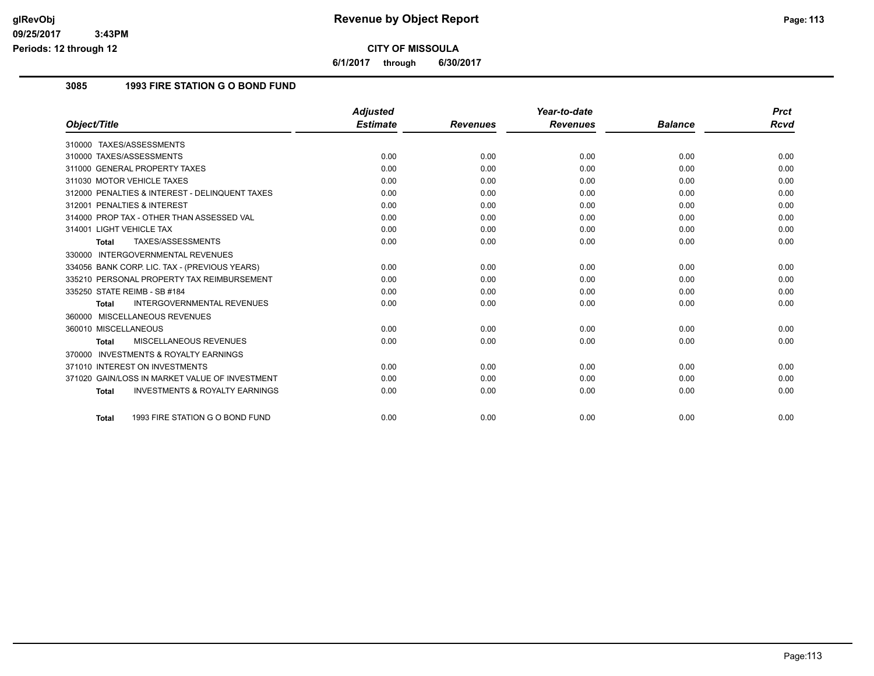**6/1/2017 through 6/30/2017**

## **3085 1993 FIRE STATION G O BOND FUND**

|                                                           | <b>Adjusted</b> |                 | Year-to-date    |                | <b>Prct</b> |
|-----------------------------------------------------------|-----------------|-----------------|-----------------|----------------|-------------|
| Object/Title                                              | <b>Estimate</b> | <b>Revenues</b> | <b>Revenues</b> | <b>Balance</b> | Rcvd        |
| 310000 TAXES/ASSESSMENTS                                  |                 |                 |                 |                |             |
| 310000 TAXES/ASSESSMENTS                                  | 0.00            | 0.00            | 0.00            | 0.00           | 0.00        |
| 311000 GENERAL PROPERTY TAXES                             | 0.00            | 0.00            | 0.00            | 0.00           | 0.00        |
| 311030 MOTOR VEHICLE TAXES                                | 0.00            | 0.00            | 0.00            | 0.00           | 0.00        |
| 312000 PENALTIES & INTEREST - DELINQUENT TAXES            | 0.00            | 0.00            | 0.00            | 0.00           | 0.00        |
| 312001 PENALTIES & INTEREST                               | 0.00            | 0.00            | 0.00            | 0.00           | 0.00        |
| 314000 PROP TAX - OTHER THAN ASSESSED VAL                 | 0.00            | 0.00            | 0.00            | 0.00           | 0.00        |
| 314001 LIGHT VEHICLE TAX                                  | 0.00            | 0.00            | 0.00            | 0.00           | 0.00        |
| TAXES/ASSESSMENTS<br><b>Total</b>                         | 0.00            | 0.00            | 0.00            | 0.00           | 0.00        |
| 330000 INTERGOVERNMENTAL REVENUES                         |                 |                 |                 |                |             |
| 334056 BANK CORP. LIC. TAX - (PREVIOUS YEARS)             | 0.00            | 0.00            | 0.00            | 0.00           | 0.00        |
| 335210 PERSONAL PROPERTY TAX REIMBURSEMENT                | 0.00            | 0.00            | 0.00            | 0.00           | 0.00        |
| 335250 STATE REIMB - SB #184                              | 0.00            | 0.00            | 0.00            | 0.00           | 0.00        |
| <b>INTERGOVERNMENTAL REVENUES</b><br><b>Total</b>         | 0.00            | 0.00            | 0.00            | 0.00           | 0.00        |
| 360000 MISCELLANEOUS REVENUES                             |                 |                 |                 |                |             |
| 360010 MISCELLANEOUS                                      | 0.00            | 0.00            | 0.00            | 0.00           | 0.00        |
| MISCELLANEOUS REVENUES<br><b>Total</b>                    | 0.00            | 0.00            | 0.00            | 0.00           | 0.00        |
| 370000 INVESTMENTS & ROYALTY EARNINGS                     |                 |                 |                 |                |             |
| 371010 INTEREST ON INVESTMENTS                            | 0.00            | 0.00            | 0.00            | 0.00           | 0.00        |
| 371020 GAIN/LOSS IN MARKET VALUE OF INVESTMENT            | 0.00            | 0.00            | 0.00            | 0.00           | 0.00        |
| <b>INVESTMENTS &amp; ROYALTY EARNINGS</b><br><b>Total</b> | 0.00            | 0.00            | 0.00            | 0.00           | 0.00        |
| 1993 FIRE STATION G O BOND FUND<br><b>Total</b>           | 0.00            | 0.00            | 0.00            | 0.00           | 0.00        |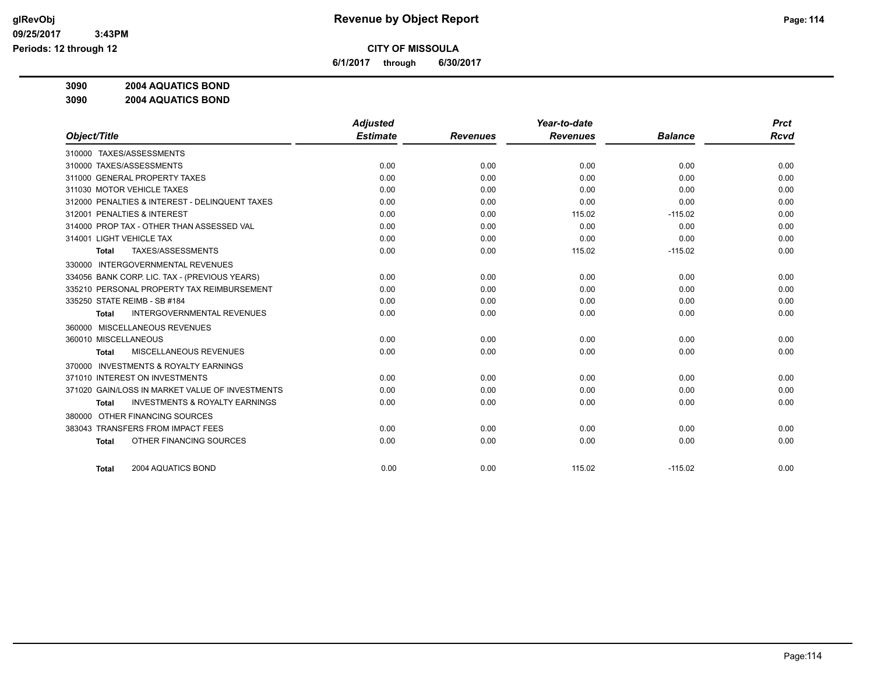**6/1/2017 through 6/30/2017**

**3090 2004 AQUATICS BOND**

**3090 2004 AQUATICS BOND**

|                                                           | <b>Adjusted</b> |                 | Year-to-date    |                | <b>Prct</b> |
|-----------------------------------------------------------|-----------------|-----------------|-----------------|----------------|-------------|
| Object/Title                                              | <b>Estimate</b> | <b>Revenues</b> | <b>Revenues</b> | <b>Balance</b> | <b>Rcvd</b> |
| 310000 TAXES/ASSESSMENTS                                  |                 |                 |                 |                |             |
| 310000 TAXES/ASSESSMENTS                                  | 0.00            | 0.00            | 0.00            | 0.00           | 0.00        |
| 311000 GENERAL PROPERTY TAXES                             | 0.00            | 0.00            | 0.00            | 0.00           | 0.00        |
| 311030 MOTOR VEHICLE TAXES                                | 0.00            | 0.00            | 0.00            | 0.00           | 0.00        |
| 312000 PENALTIES & INTEREST - DELINQUENT TAXES            | 0.00            | 0.00            | 0.00            | 0.00           | 0.00        |
| 312001 PENALTIES & INTEREST                               | 0.00            | 0.00            | 115.02          | $-115.02$      | 0.00        |
| 314000 PROP TAX - OTHER THAN ASSESSED VAL                 | 0.00            | 0.00            | 0.00            | 0.00           | 0.00        |
| 314001 LIGHT VEHICLE TAX                                  | 0.00            | 0.00            | 0.00            | 0.00           | 0.00        |
| TAXES/ASSESSMENTS<br><b>Total</b>                         | 0.00            | 0.00            | 115.02          | $-115.02$      | 0.00        |
| 330000 INTERGOVERNMENTAL REVENUES                         |                 |                 |                 |                |             |
| 334056 BANK CORP. LIC. TAX - (PREVIOUS YEARS)             | 0.00            | 0.00            | 0.00            | 0.00           | 0.00        |
| 335210 PERSONAL PROPERTY TAX REIMBURSEMENT                | 0.00            | 0.00            | 0.00            | 0.00           | 0.00        |
| 335250 STATE REIMB - SB #184                              | 0.00            | 0.00            | 0.00            | 0.00           | 0.00        |
| <b>INTERGOVERNMENTAL REVENUES</b><br><b>Total</b>         | 0.00            | 0.00            | 0.00            | 0.00           | 0.00        |
| MISCELLANEOUS REVENUES<br>360000                          |                 |                 |                 |                |             |
| 360010 MISCELLANEOUS                                      | 0.00            | 0.00            | 0.00            | 0.00           | 0.00        |
| MISCELLANEOUS REVENUES<br><b>Total</b>                    | 0.00            | 0.00            | 0.00            | 0.00           | 0.00        |
| <b>INVESTMENTS &amp; ROYALTY EARNINGS</b><br>370000       |                 |                 |                 |                |             |
| 371010 INTEREST ON INVESTMENTS                            | 0.00            | 0.00            | 0.00            | 0.00           | 0.00        |
| 371020 GAIN/LOSS IN MARKET VALUE OF INVESTMENTS           | 0.00            | 0.00            | 0.00            | 0.00           | 0.00        |
| <b>INVESTMENTS &amp; ROYALTY EARNINGS</b><br><b>Total</b> | 0.00            | 0.00            | 0.00            | 0.00           | 0.00        |
| 380000 OTHER FINANCING SOURCES                            |                 |                 |                 |                |             |
| 383043 TRANSFERS FROM IMPACT FEES                         | 0.00            | 0.00            | 0.00            | 0.00           | 0.00        |
| OTHER FINANCING SOURCES<br><b>Total</b>                   | 0.00            | 0.00            | 0.00            | 0.00           | 0.00        |
| 2004 AQUATICS BOND<br><b>Total</b>                        | 0.00            | 0.00            | 115.02          | $-115.02$      | 0.00        |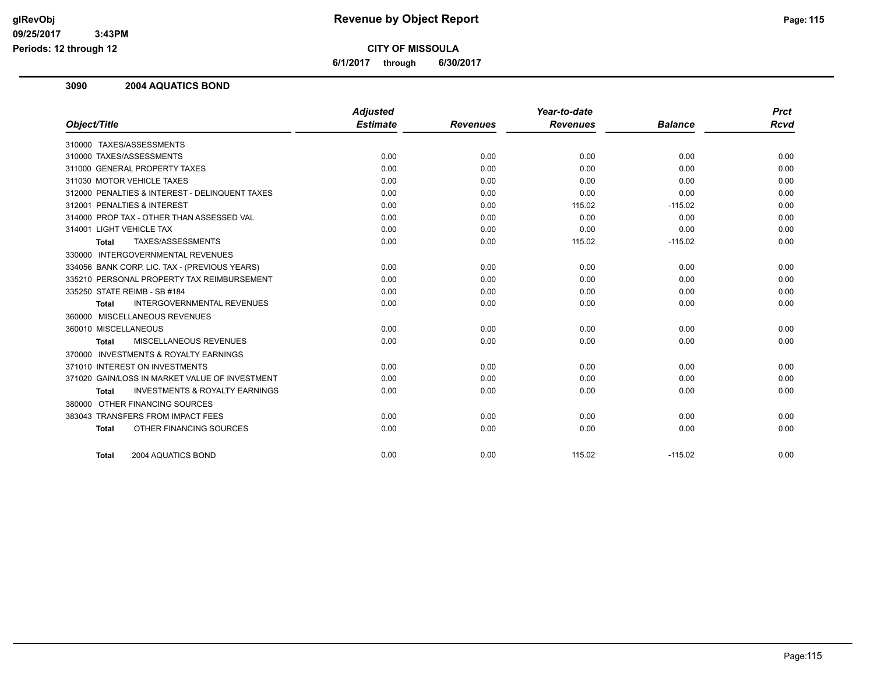**6/1/2017 through 6/30/2017**

## **3090 2004 AQUATICS BOND**

|                                                           | <b>Adjusted</b> |                 | Year-to-date    |                | <b>Prct</b> |
|-----------------------------------------------------------|-----------------|-----------------|-----------------|----------------|-------------|
| Object/Title                                              | <b>Estimate</b> | <b>Revenues</b> | <b>Revenues</b> | <b>Balance</b> | <b>Rcvd</b> |
| 310000 TAXES/ASSESSMENTS                                  |                 |                 |                 |                |             |
| 310000 TAXES/ASSESSMENTS                                  | 0.00            | 0.00            | 0.00            | 0.00           | 0.00        |
| 311000 GENERAL PROPERTY TAXES                             | 0.00            | 0.00            | 0.00            | 0.00           | 0.00        |
| 311030 MOTOR VEHICLE TAXES                                | 0.00            | 0.00            | 0.00            | 0.00           | 0.00        |
| 312000 PENALTIES & INTEREST - DELINQUENT TAXES            | 0.00            | 0.00            | 0.00            | 0.00           | 0.00        |
| 312001 PENALTIES & INTEREST                               | 0.00            | 0.00            | 115.02          | $-115.02$      | 0.00        |
| 314000 PROP TAX - OTHER THAN ASSESSED VAL                 | 0.00            | 0.00            | 0.00            | 0.00           | 0.00        |
| 314001 LIGHT VEHICLE TAX                                  | 0.00            | 0.00            | 0.00            | 0.00           | 0.00        |
| TAXES/ASSESSMENTS<br><b>Total</b>                         | 0.00            | 0.00            | 115.02          | $-115.02$      | 0.00        |
| 330000 INTERGOVERNMENTAL REVENUES                         |                 |                 |                 |                |             |
| 334056 BANK CORP. LIC. TAX - (PREVIOUS YEARS)             | 0.00            | 0.00            | 0.00            | 0.00           | 0.00        |
| 335210 PERSONAL PROPERTY TAX REIMBURSEMENT                | 0.00            | 0.00            | 0.00            | 0.00           | 0.00        |
| 335250 STATE REIMB - SB #184                              | 0.00            | 0.00            | 0.00            | 0.00           | 0.00        |
| <b>INTERGOVERNMENTAL REVENUES</b><br><b>Total</b>         | 0.00            | 0.00            | 0.00            | 0.00           | 0.00        |
| 360000 MISCELLANEOUS REVENUES                             |                 |                 |                 |                |             |
| 360010 MISCELLANEOUS                                      | 0.00            | 0.00            | 0.00            | 0.00           | 0.00        |
| <b>MISCELLANEOUS REVENUES</b><br><b>Total</b>             | 0.00            | 0.00            | 0.00            | 0.00           | 0.00        |
| 370000 INVESTMENTS & ROYALTY EARNINGS                     |                 |                 |                 |                |             |
| 371010 INTEREST ON INVESTMENTS                            | 0.00            | 0.00            | 0.00            | 0.00           | 0.00        |
| 371020 GAIN/LOSS IN MARKET VALUE OF INVESTMENT            | 0.00            | 0.00            | 0.00            | 0.00           | 0.00        |
| <b>INVESTMENTS &amp; ROYALTY EARNINGS</b><br><b>Total</b> | 0.00            | 0.00            | 0.00            | 0.00           | 0.00        |
| 380000 OTHER FINANCING SOURCES                            |                 |                 |                 |                |             |
| 383043 TRANSFERS FROM IMPACT FEES                         | 0.00            | 0.00            | 0.00            | 0.00           | 0.00        |
| OTHER FINANCING SOURCES<br><b>Total</b>                   | 0.00            | 0.00            | 0.00            | 0.00           | 0.00        |
| 2004 AQUATICS BOND<br><b>Total</b>                        | 0.00            | 0.00            | 115.02          | $-115.02$      | 0.00        |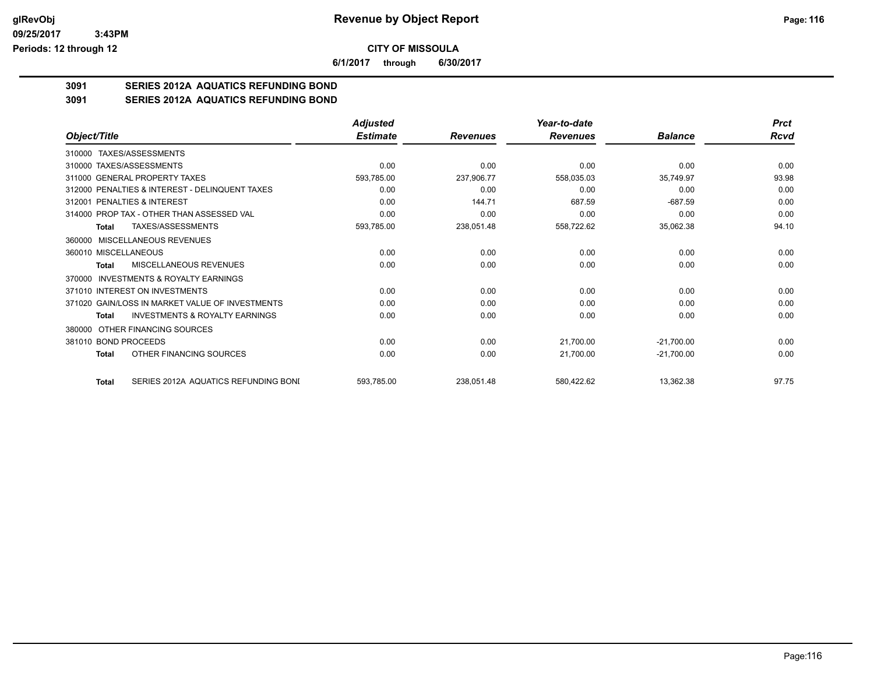**6/1/2017 through 6/30/2017**

# **3091 SERIES 2012A AQUATICS REFUNDING BOND**

## **3091 SERIES 2012A AQUATICS REFUNDING BOND**

|                                                      | <b>Adjusted</b> |                 | Year-to-date    |                | <b>Prct</b> |
|------------------------------------------------------|-----------------|-----------------|-----------------|----------------|-------------|
| Object/Title                                         | <b>Estimate</b> | <b>Revenues</b> | <b>Revenues</b> | <b>Balance</b> | Rcvd        |
| TAXES/ASSESSMENTS<br>310000                          |                 |                 |                 |                |             |
| 310000 TAXES/ASSESSMENTS                             | 0.00            | 0.00            | 0.00            | 0.00           | 0.00        |
| 311000 GENERAL PROPERTY TAXES                        | 593,785.00      | 237,906.77      | 558,035.03      | 35,749.97      | 93.98       |
| 312000 PENALTIES & INTEREST - DELINQUENT TAXES       | 0.00            | 0.00            | 0.00            | 0.00           | 0.00        |
| 312001 PENALTIES & INTEREST                          | 0.00            | 144.71          | 687.59          | $-687.59$      | 0.00        |
| 314000 PROP TAX - OTHER THAN ASSESSED VAL            | 0.00            | 0.00            | 0.00            | 0.00           | 0.00        |
| TAXES/ASSESSMENTS<br><b>Total</b>                    | 593,785.00      | 238,051.48      | 558,722.62      | 35,062.38      | 94.10       |
| <b>MISCELLANEOUS REVENUES</b><br>360000              |                 |                 |                 |                |             |
| 360010 MISCELLANEOUS                                 | 0.00            | 0.00            | 0.00            | 0.00           | 0.00        |
| MISCELLANEOUS REVENUES<br><b>Total</b>               | 0.00            | 0.00            | 0.00            | 0.00           | 0.00        |
| <b>INVESTMENTS &amp; ROYALTY EARNINGS</b><br>370000  |                 |                 |                 |                |             |
| 371010 INTEREST ON INVESTMENTS                       | 0.00            | 0.00            | 0.00            | 0.00           | 0.00        |
| 371020 GAIN/LOSS IN MARKET VALUE OF INVESTMENTS      | 0.00            | 0.00            | 0.00            | 0.00           | 0.00        |
| <b>INVESTMENTS &amp; ROYALTY EARNINGS</b><br>Total   | 0.00            | 0.00            | 0.00            | 0.00           | 0.00        |
| OTHER FINANCING SOURCES<br>380000                    |                 |                 |                 |                |             |
| 381010 BOND PROCEEDS                                 | 0.00            | 0.00            | 21,700.00       | $-21,700.00$   | 0.00        |
| OTHER FINANCING SOURCES<br><b>Total</b>              | 0.00            | 0.00            | 21,700.00       | $-21,700.00$   | 0.00        |
| SERIES 2012A AQUATICS REFUNDING BONI<br><b>Total</b> | 593,785.00      | 238,051.48      | 580,422.62      | 13,362.38      | 97.75       |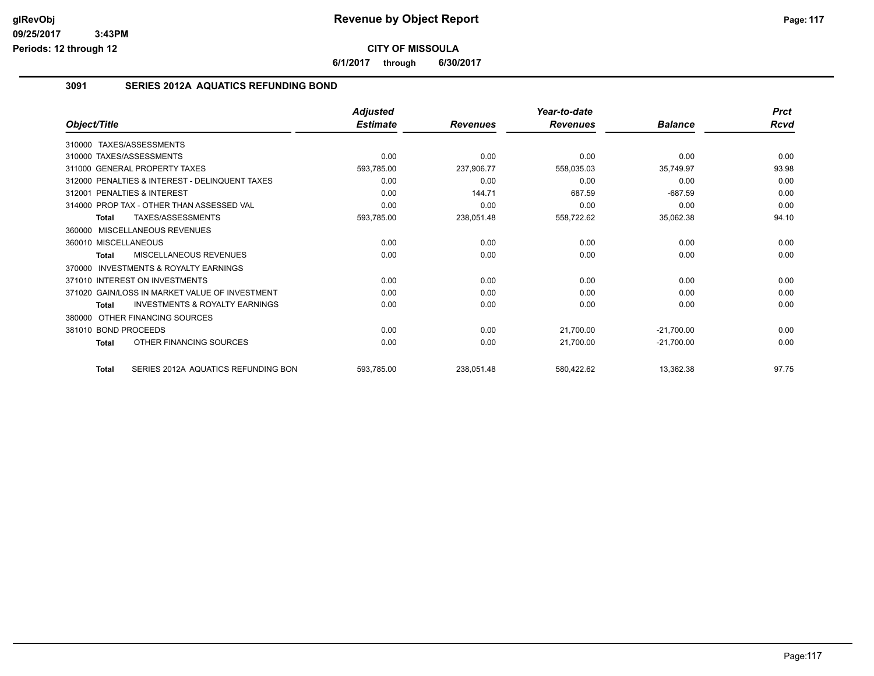**6/1/2017 through 6/30/2017**

## **3091 SERIES 2012A AQUATICS REFUNDING BOND**

|                                                           | <b>Adjusted</b> |                 | Year-to-date    |                | <b>Prct</b> |
|-----------------------------------------------------------|-----------------|-----------------|-----------------|----------------|-------------|
| Object/Title                                              | <b>Estimate</b> | <b>Revenues</b> | <b>Revenues</b> | <b>Balance</b> | Rcvd        |
| 310000 TAXES/ASSESSMENTS                                  |                 |                 |                 |                |             |
| 310000 TAXES/ASSESSMENTS                                  | 0.00            | 0.00            | 0.00            | 0.00           | 0.00        |
| 311000 GENERAL PROPERTY TAXES                             | 593,785.00      | 237,906.77      | 558,035.03      | 35,749.97      | 93.98       |
| 312000 PENALTIES & INTEREST - DELINQUENT TAXES            | 0.00            | 0.00            | 0.00            | 0.00           | 0.00        |
| 312001 PENALTIES & INTEREST                               | 0.00            | 144.71          | 687.59          | $-687.59$      | 0.00        |
| 314000 PROP TAX - OTHER THAN ASSESSED VAL                 | 0.00            | 0.00            | 0.00            | 0.00           | 0.00        |
| <b>TAXES/ASSESSMENTS</b><br>Total                         | 593,785.00      | 238,051.48      | 558,722.62      | 35,062.38      | 94.10       |
| 360000 MISCELLANEOUS REVENUES                             |                 |                 |                 |                |             |
| 360010 MISCELLANEOUS                                      | 0.00            | 0.00            | 0.00            | 0.00           | 0.00        |
| MISCELLANEOUS REVENUES<br><b>Total</b>                    | 0.00            | 0.00            | 0.00            | 0.00           | 0.00        |
| <b>INVESTMENTS &amp; ROYALTY EARNINGS</b><br>370000       |                 |                 |                 |                |             |
| 371010 INTEREST ON INVESTMENTS                            | 0.00            | 0.00            | 0.00            | 0.00           | 0.00        |
| 371020 GAIN/LOSS IN MARKET VALUE OF INVESTMENT            | 0.00            | 0.00            | 0.00            | 0.00           | 0.00        |
| <b>INVESTMENTS &amp; ROYALTY EARNINGS</b><br><b>Total</b> | 0.00            | 0.00            | 0.00            | 0.00           | 0.00        |
| 380000 OTHER FINANCING SOURCES                            |                 |                 |                 |                |             |
| 381010 BOND PROCEEDS                                      | 0.00            | 0.00            | 21,700.00       | $-21,700.00$   | 0.00        |
| OTHER FINANCING SOURCES<br>Total                          | 0.00            | 0.00            | 21,700.00       | $-21,700.00$   | 0.00        |
| SERIES 2012A AQUATICS REFUNDING BON<br><b>Total</b>       | 593,785.00      | 238,051.48      | 580,422.62      | 13,362.38      | 97.75       |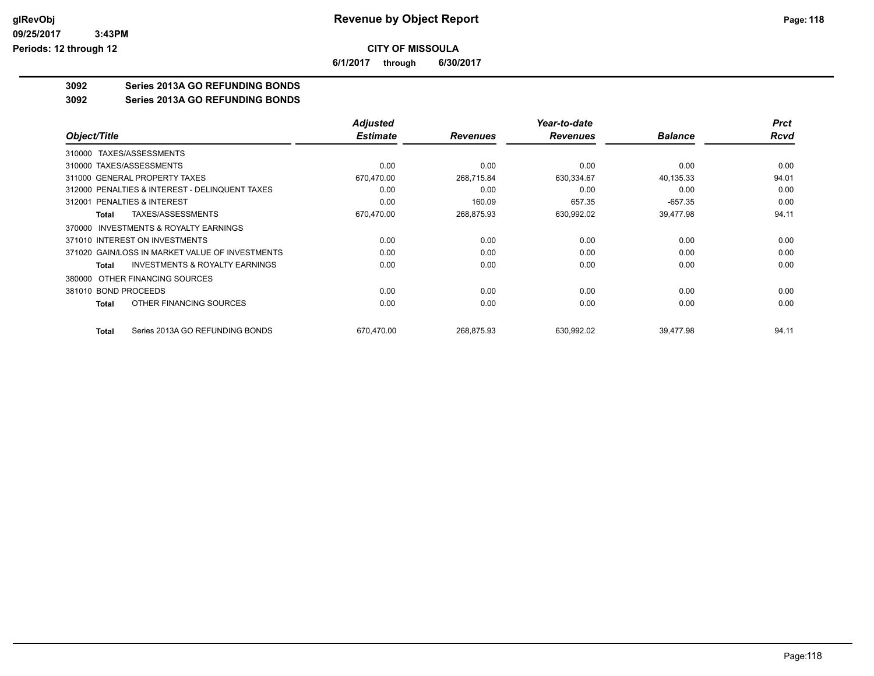**6/1/2017 through 6/30/2017**

## **3092 Series 2013A GO REFUNDING BONDS**

## **3092 Series 2013A GO REFUNDING BONDS**

|                                                     | <b>Adjusted</b> |                 | Year-to-date    |                | <b>Prct</b> |
|-----------------------------------------------------|-----------------|-----------------|-----------------|----------------|-------------|
| Object/Title                                        | <b>Estimate</b> | <b>Revenues</b> | <b>Revenues</b> | <b>Balance</b> | <b>Rcvd</b> |
| 310000 TAXES/ASSESSMENTS                            |                 |                 |                 |                |             |
| 310000 TAXES/ASSESSMENTS                            | 0.00            | 0.00            | 0.00            | 0.00           | 0.00        |
| 311000 GENERAL PROPERTY TAXES                       | 670,470.00      | 268,715.84      | 630,334.67      | 40,135.33      | 94.01       |
| 312000 PENALTIES & INTEREST - DELINQUENT TAXES      | 0.00            | 0.00            | 0.00            | 0.00           | 0.00        |
| 312001 PENALTIES & INTEREST                         | 0.00            | 160.09          | 657.35          | $-657.35$      | 0.00        |
| TAXES/ASSESSMENTS<br>Total                          | 670,470.00      | 268,875.93      | 630,992.02      | 39,477.98      | 94.11       |
| <b>INVESTMENTS &amp; ROYALTY EARNINGS</b><br>370000 |                 |                 |                 |                |             |
| 371010 INTEREST ON INVESTMENTS                      | 0.00            | 0.00            | 0.00            | 0.00           | 0.00        |
| 371020 GAIN/LOSS IN MARKET VALUE OF INVESTMENTS     | 0.00            | 0.00            | 0.00            | 0.00           | 0.00        |
| <b>INVESTMENTS &amp; ROYALTY EARNINGS</b><br>Total  | 0.00            | 0.00            | 0.00            | 0.00           | 0.00        |
| OTHER FINANCING SOURCES<br>380000                   |                 |                 |                 |                |             |
| 381010 BOND PROCEEDS                                | 0.00            | 0.00            | 0.00            | 0.00           | 0.00        |
| OTHER FINANCING SOURCES<br>Total                    | 0.00            | 0.00            | 0.00            | 0.00           | 0.00        |
| Series 2013A GO REFUNDING BONDS<br><b>Total</b>     | 670,470.00      | 268,875.93      | 630,992.02      | 39,477.98      | 94.11       |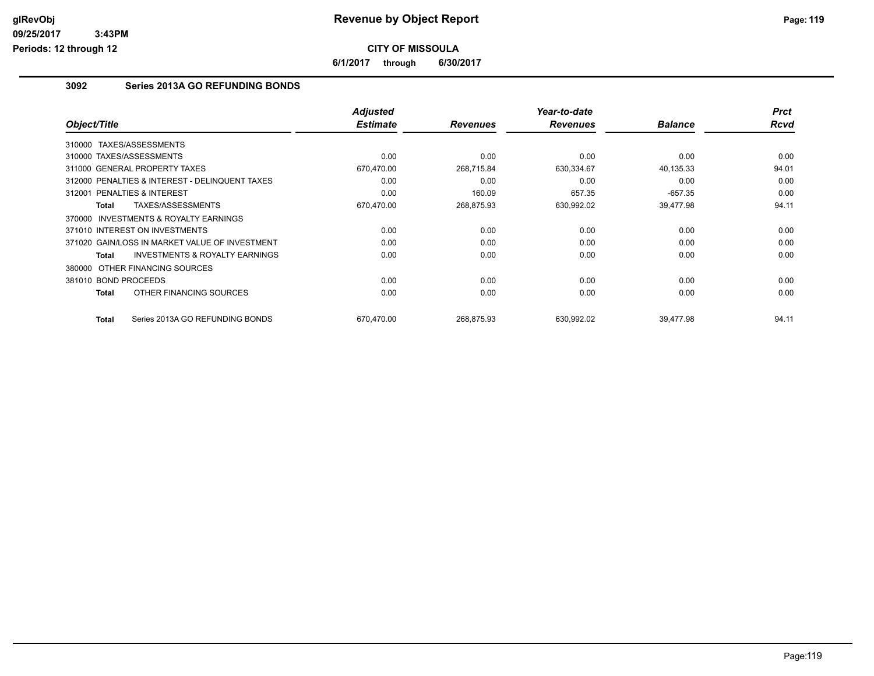**6/1/2017 through 6/30/2017**

## **3092 Series 2013A GO REFUNDING BONDS**

| Object/Title                                              | <b>Adjusted</b><br><b>Estimate</b> | <b>Revenues</b> | Year-to-date<br><b>Revenues</b> | <b>Balance</b> | <b>Prct</b><br><b>Rcvd</b> |
|-----------------------------------------------------------|------------------------------------|-----------------|---------------------------------|----------------|----------------------------|
|                                                           |                                    |                 |                                 |                |                            |
| 310000 TAXES/ASSESSMENTS                                  |                                    |                 |                                 |                |                            |
| 310000 TAXES/ASSESSMENTS                                  | 0.00                               | 0.00            | 0.00                            | 0.00           | 0.00                       |
| 311000 GENERAL PROPERTY TAXES                             | 670,470.00                         | 268,715.84      | 630,334.67                      | 40,135.33      | 94.01                      |
| 312000 PENALTIES & INTEREST - DELINQUENT TAXES            | 0.00                               | 0.00            | 0.00                            | 0.00           | 0.00                       |
| 312001 PENALTIES & INTEREST                               | 0.00                               | 160.09          | 657.35                          | $-657.35$      | 0.00                       |
| TAXES/ASSESSMENTS<br><b>Total</b>                         | 670,470.00                         | 268,875.93      | 630,992.02                      | 39,477.98      | 94.11                      |
| <b>INVESTMENTS &amp; ROYALTY EARNINGS</b><br>370000       |                                    |                 |                                 |                |                            |
| 371010 INTEREST ON INVESTMENTS                            | 0.00                               | 0.00            | 0.00                            | 0.00           | 0.00                       |
| 371020 GAIN/LOSS IN MARKET VALUE OF INVESTMENT            | 0.00                               | 0.00            | 0.00                            | 0.00           | 0.00                       |
| <b>INVESTMENTS &amp; ROYALTY EARNINGS</b><br><b>Total</b> | 0.00                               | 0.00            | 0.00                            | 0.00           | 0.00                       |
| 380000 OTHER FINANCING SOURCES                            |                                    |                 |                                 |                |                            |
| 381010 BOND PROCEEDS                                      | 0.00                               | 0.00            | 0.00                            | 0.00           | 0.00                       |
| OTHER FINANCING SOURCES<br><b>Total</b>                   | 0.00                               | 0.00            | 0.00                            | 0.00           | 0.00                       |
| Series 2013A GO REFUNDING BONDS<br><b>Total</b>           | 670.470.00                         | 268.875.93      | 630,992.02                      | 39,477.98      | 94.11                      |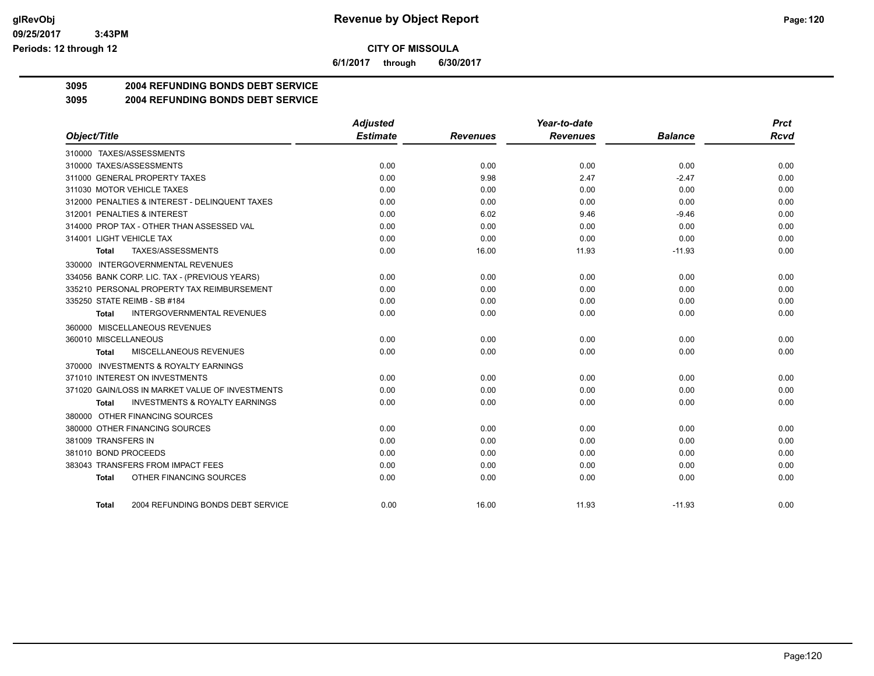**6/1/2017 through 6/30/2017**

# **3095 2004 REFUNDING BONDS DEBT SERVICE**

## **3095 2004 REFUNDING BONDS DEBT SERVICE**

|                                                           | <b>Adjusted</b> |                 | Year-to-date    |                | <b>Prct</b> |
|-----------------------------------------------------------|-----------------|-----------------|-----------------|----------------|-------------|
| Object/Title                                              | <b>Estimate</b> | <b>Revenues</b> | <b>Revenues</b> | <b>Balance</b> | <b>Rcvd</b> |
| 310000 TAXES/ASSESSMENTS                                  |                 |                 |                 |                |             |
| 310000 TAXES/ASSESSMENTS                                  | 0.00            | 0.00            | 0.00            | 0.00           | 0.00        |
| 311000 GENERAL PROPERTY TAXES                             | 0.00            | 9.98            | 2.47            | $-2.47$        | 0.00        |
| 311030 MOTOR VEHICLE TAXES                                | 0.00            | 0.00            | 0.00            | 0.00           | 0.00        |
| 312000 PENALTIES & INTEREST - DELINQUENT TAXES            | 0.00            | 0.00            | 0.00            | 0.00           | 0.00        |
| 312001 PENALTIES & INTEREST                               | 0.00            | 6.02            | 9.46            | $-9.46$        | 0.00        |
| 314000 PROP TAX - OTHER THAN ASSESSED VAL                 | 0.00            | 0.00            | 0.00            | 0.00           | 0.00        |
| 314001 LIGHT VEHICLE TAX                                  | 0.00            | 0.00            | 0.00            | 0.00           | 0.00        |
| TAXES/ASSESSMENTS<br>Total                                | 0.00            | 16.00           | 11.93           | $-11.93$       | 0.00        |
| 330000 INTERGOVERNMENTAL REVENUES                         |                 |                 |                 |                |             |
| 334056 BANK CORP. LIC. TAX - (PREVIOUS YEARS)             | 0.00            | 0.00            | 0.00            | 0.00           | 0.00        |
| 335210 PERSONAL PROPERTY TAX REIMBURSEMENT                | 0.00            | 0.00            | 0.00            | 0.00           | 0.00        |
| 335250 STATE REIMB - SB #184                              | 0.00            | 0.00            | 0.00            | 0.00           | 0.00        |
| <b>INTERGOVERNMENTAL REVENUES</b><br><b>Total</b>         | 0.00            | 0.00            | 0.00            | 0.00           | 0.00        |
| 360000 MISCELLANEOUS REVENUES                             |                 |                 |                 |                |             |
| 360010 MISCELLANEOUS                                      | 0.00            | 0.00            | 0.00            | 0.00           | 0.00        |
| <b>MISCELLANEOUS REVENUES</b><br><b>Total</b>             | 0.00            | 0.00            | 0.00            | 0.00           | 0.00        |
| 370000 INVESTMENTS & ROYALTY EARNINGS                     |                 |                 |                 |                |             |
| 371010 INTEREST ON INVESTMENTS                            | 0.00            | 0.00            | 0.00            | 0.00           | 0.00        |
| 371020 GAIN/LOSS IN MARKET VALUE OF INVESTMENTS           | 0.00            | 0.00            | 0.00            | 0.00           | 0.00        |
| <b>INVESTMENTS &amp; ROYALTY EARNINGS</b><br><b>Total</b> | 0.00            | 0.00            | 0.00            | 0.00           | 0.00        |
| 380000 OTHER FINANCING SOURCES                            |                 |                 |                 |                |             |
| 380000 OTHER FINANCING SOURCES                            | 0.00            | 0.00            | 0.00            | 0.00           | 0.00        |
| 381009 TRANSFERS IN                                       | 0.00            | 0.00            | 0.00            | 0.00           | 0.00        |
| 381010 BOND PROCEEDS                                      | 0.00            | 0.00            | 0.00            | 0.00           | 0.00        |
| 383043 TRANSFERS FROM IMPACT FEES                         | 0.00            | 0.00            | 0.00            | 0.00           | 0.00        |
| OTHER FINANCING SOURCES<br><b>Total</b>                   | 0.00            | 0.00            | 0.00            | 0.00           | 0.00        |
| 2004 REFUNDING BONDS DEBT SERVICE<br>Total                | 0.00            | 16.00           | 11.93           | $-11.93$       | 0.00        |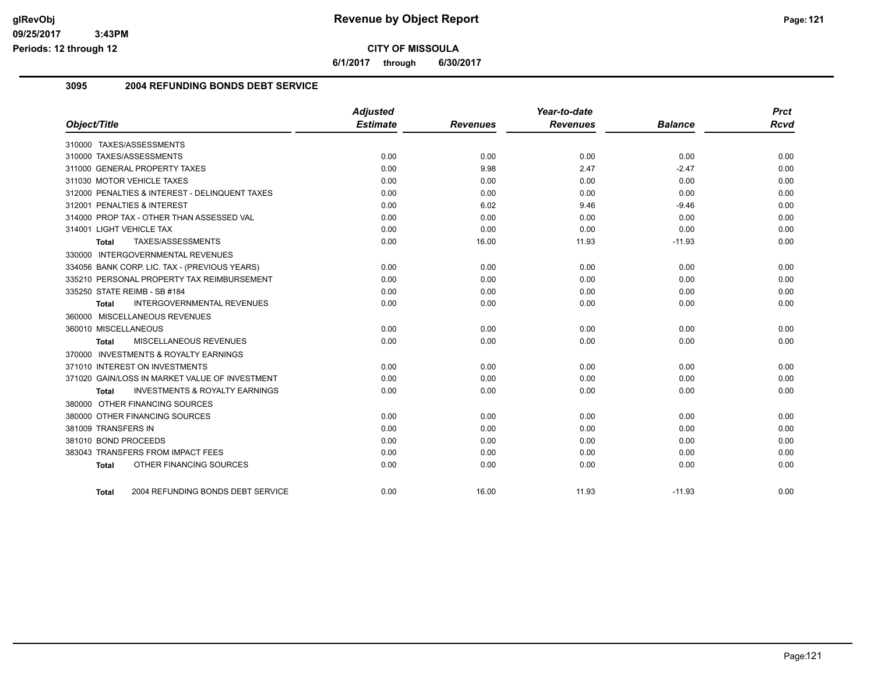**6/1/2017 through 6/30/2017**

## **3095 2004 REFUNDING BONDS DEBT SERVICE**

| Object/Title                                              | <b>Adjusted</b><br><b>Estimate</b> | <b>Revenues</b> | Year-to-date<br><b>Revenues</b> | <b>Balance</b> | <b>Prct</b><br><b>Rcvd</b> |
|-----------------------------------------------------------|------------------------------------|-----------------|---------------------------------|----------------|----------------------------|
|                                                           |                                    |                 |                                 |                |                            |
| 310000 TAXES/ASSESSMENTS                                  |                                    |                 |                                 |                |                            |
| 310000 TAXES/ASSESSMENTS                                  | 0.00                               | 0.00            | 0.00                            | 0.00           | 0.00                       |
| 311000 GENERAL PROPERTY TAXES                             | 0.00                               | 9.98            | 2.47                            | $-2.47$        | 0.00                       |
| 311030 MOTOR VEHICLE TAXES                                | 0.00                               | 0.00            | 0.00                            | 0.00           | 0.00                       |
| 312000 PENALTIES & INTEREST - DELINQUENT TAXES            | 0.00                               | 0.00            | 0.00                            | 0.00           | 0.00                       |
| 312001 PENALTIES & INTEREST                               | 0.00                               | 6.02            | 9.46                            | $-9.46$        | 0.00                       |
| 314000 PROP TAX - OTHER THAN ASSESSED VAL                 | 0.00                               | 0.00            | 0.00                            | 0.00           | 0.00                       |
| 314001 LIGHT VEHICLE TAX                                  | 0.00                               | 0.00            | 0.00                            | 0.00           | 0.00                       |
| TAXES/ASSESSMENTS<br><b>Total</b>                         | 0.00                               | 16.00           | 11.93                           | $-11.93$       | 0.00                       |
| 330000 INTERGOVERNMENTAL REVENUES                         |                                    |                 |                                 |                |                            |
| 334056 BANK CORP. LIC. TAX - (PREVIOUS YEARS)             | 0.00                               | 0.00            | 0.00                            | 0.00           | 0.00                       |
| 335210 PERSONAL PROPERTY TAX REIMBURSEMENT                | 0.00                               | 0.00            | 0.00                            | 0.00           | 0.00                       |
| 335250 STATE REIMB - SB #184                              | 0.00                               | 0.00            | 0.00                            | 0.00           | 0.00                       |
| INTERGOVERNMENTAL REVENUES<br><b>Total</b>                | 0.00                               | 0.00            | 0.00                            | 0.00           | 0.00                       |
| 360000 MISCELLANEOUS REVENUES                             |                                    |                 |                                 |                |                            |
| 360010 MISCELLANEOUS                                      | 0.00                               | 0.00            | 0.00                            | 0.00           | 0.00                       |
| <b>MISCELLANEOUS REVENUES</b><br>Total                    | 0.00                               | 0.00            | 0.00                            | 0.00           | 0.00                       |
| 370000 INVESTMENTS & ROYALTY EARNINGS                     |                                    |                 |                                 |                |                            |
| 371010 INTEREST ON INVESTMENTS                            | 0.00                               | 0.00            | 0.00                            | 0.00           | 0.00                       |
| 371020 GAIN/LOSS IN MARKET VALUE OF INVESTMENT            | 0.00                               | 0.00            | 0.00                            | 0.00           | 0.00                       |
| <b>INVESTMENTS &amp; ROYALTY EARNINGS</b><br><b>Total</b> | 0.00                               | 0.00            | 0.00                            | 0.00           | 0.00                       |
| 380000 OTHER FINANCING SOURCES                            |                                    |                 |                                 |                |                            |
| 380000 OTHER FINANCING SOURCES                            | 0.00                               | 0.00            | 0.00                            | 0.00           | 0.00                       |
| 381009 TRANSFERS IN                                       | 0.00                               | 0.00            | 0.00                            | 0.00           | 0.00                       |
| 381010 BOND PROCEEDS                                      | 0.00                               | 0.00            | 0.00                            | 0.00           | 0.00                       |
| 383043 TRANSFERS FROM IMPACT FEES                         | 0.00                               | 0.00            | 0.00                            | 0.00           | 0.00                       |
| OTHER FINANCING SOURCES<br><b>Total</b>                   | 0.00                               | 0.00            | 0.00                            | 0.00           | 0.00                       |
|                                                           |                                    |                 |                                 |                |                            |
| 2004 REFUNDING BONDS DEBT SERVICE<br><b>Total</b>         | 0.00                               | 16.00           | 11.93                           | $-11.93$       | 0.00                       |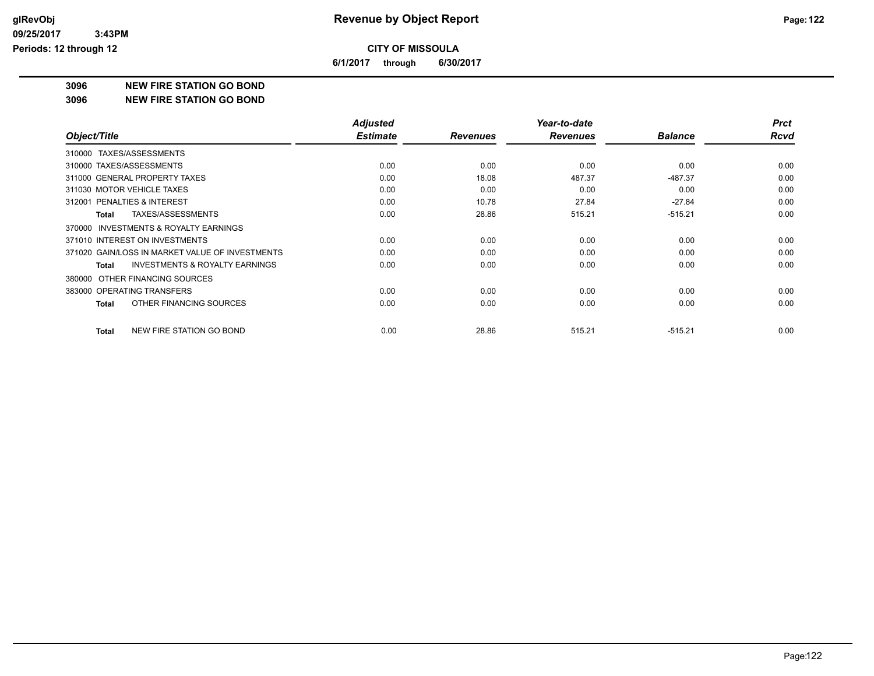**6/1/2017 through 6/30/2017**

**3096 NEW FIRE STATION GO BOND**

**3096 NEW FIRE STATION GO BOND**

|                                                           | <b>Adjusted</b> |                 | Year-to-date    |                | <b>Prct</b> |
|-----------------------------------------------------------|-----------------|-----------------|-----------------|----------------|-------------|
| Object/Title                                              | <b>Estimate</b> | <b>Revenues</b> | <b>Revenues</b> | <b>Balance</b> | <b>Rcvd</b> |
| TAXES/ASSESSMENTS<br>310000                               |                 |                 |                 |                |             |
| 310000 TAXES/ASSESSMENTS                                  | 0.00            | 0.00            | 0.00            | 0.00           | 0.00        |
| 311000 GENERAL PROPERTY TAXES                             | 0.00            | 18.08           | 487.37          | $-487.37$      | 0.00        |
| 311030 MOTOR VEHICLE TAXES                                | 0.00            | 0.00            | 0.00            | 0.00           | 0.00        |
| 312001 PENALTIES & INTEREST                               | 0.00            | 10.78           | 27.84           | $-27.84$       | 0.00        |
| TAXES/ASSESSMENTS<br><b>Total</b>                         | 0.00            | 28.86           | 515.21          | $-515.21$      | 0.00        |
| 370000 INVESTMENTS & ROYALTY EARNINGS                     |                 |                 |                 |                |             |
| 371010 INTEREST ON INVESTMENTS                            | 0.00            | 0.00            | 0.00            | 0.00           | 0.00        |
| 371020 GAIN/LOSS IN MARKET VALUE OF INVESTMENTS           | 0.00            | 0.00            | 0.00            | 0.00           | 0.00        |
| <b>INVESTMENTS &amp; ROYALTY EARNINGS</b><br><b>Total</b> | 0.00            | 0.00            | 0.00            | 0.00           | 0.00        |
| OTHER FINANCING SOURCES<br>380000                         |                 |                 |                 |                |             |
| 383000 OPERATING TRANSFERS                                | 0.00            | 0.00            | 0.00            | 0.00           | 0.00        |
| OTHER FINANCING SOURCES<br><b>Total</b>                   | 0.00            | 0.00            | 0.00            | 0.00           | 0.00        |
| NEW FIRE STATION GO BOND<br><b>Total</b>                  | 0.00            | 28.86           | 515.21          | $-515.21$      | 0.00        |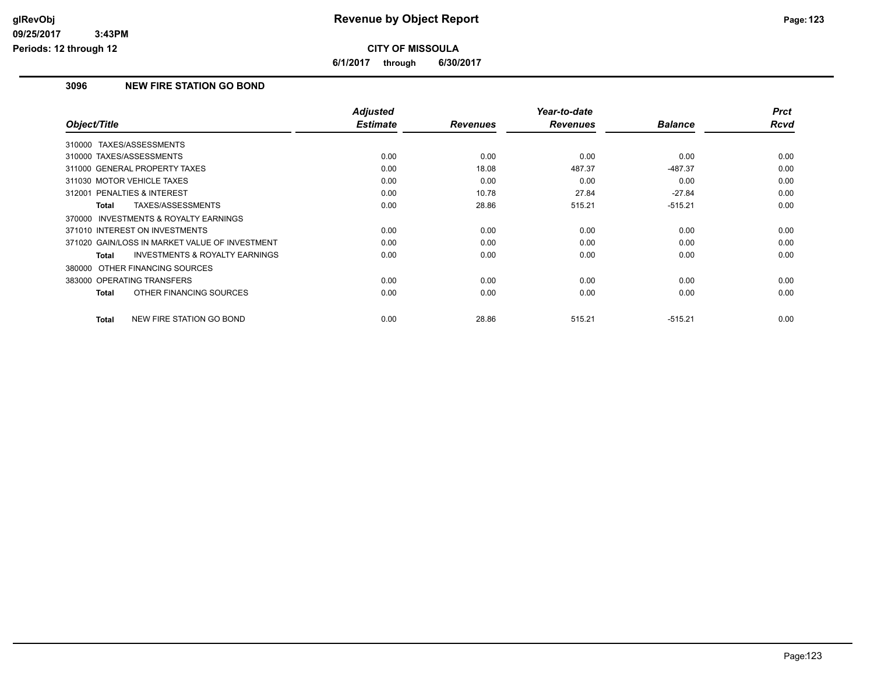**6/1/2017 through 6/30/2017**

## **3096 NEW FIRE STATION GO BOND**

| Object/Title                                        | <b>Adjusted</b><br><b>Estimate</b> | <b>Revenues</b> | Year-to-date<br><b>Revenues</b> | <b>Balance</b> | <b>Prct</b><br><b>Rcvd</b> |
|-----------------------------------------------------|------------------------------------|-----------------|---------------------------------|----------------|----------------------------|
|                                                     |                                    |                 |                                 |                |                            |
| 310000 TAXES/ASSESSMENTS                            |                                    |                 |                                 |                |                            |
| 310000 TAXES/ASSESSMENTS                            | 0.00                               | 0.00            | 0.00                            | 0.00           | 0.00                       |
| 311000 GENERAL PROPERTY TAXES                       | 0.00                               | 18.08           | 487.37                          | $-487.37$      | 0.00                       |
| 311030 MOTOR VEHICLE TAXES                          | 0.00                               | 0.00            | 0.00                            | 0.00           | 0.00                       |
| PENALTIES & INTEREST<br>312001                      | 0.00                               | 10.78           | 27.84                           | $-27.84$       | 0.00                       |
| TAXES/ASSESSMENTS<br>Total                          | 0.00                               | 28.86           | 515.21                          | $-515.21$      | 0.00                       |
| <b>INVESTMENTS &amp; ROYALTY EARNINGS</b><br>370000 |                                    |                 |                                 |                |                            |
| 371010 INTEREST ON INVESTMENTS                      | 0.00                               | 0.00            | 0.00                            | 0.00           | 0.00                       |
| 371020 GAIN/LOSS IN MARKET VALUE OF INVESTMENT      | 0.00                               | 0.00            | 0.00                            | 0.00           | 0.00                       |
| <b>INVESTMENTS &amp; ROYALTY EARNINGS</b><br>Total  | 0.00                               | 0.00            | 0.00                            | 0.00           | 0.00                       |
| 380000 OTHER FINANCING SOURCES                      |                                    |                 |                                 |                |                            |
| 383000 OPERATING TRANSFERS                          | 0.00                               | 0.00            | 0.00                            | 0.00           | 0.00                       |
| OTHER FINANCING SOURCES<br>Total                    | 0.00                               | 0.00            | 0.00                            | 0.00           | 0.00                       |
|                                                     |                                    |                 |                                 |                |                            |
| NEW FIRE STATION GO BOND<br>Total                   | 0.00                               | 28.86           | 515.21                          | $-515.21$      | 0.00                       |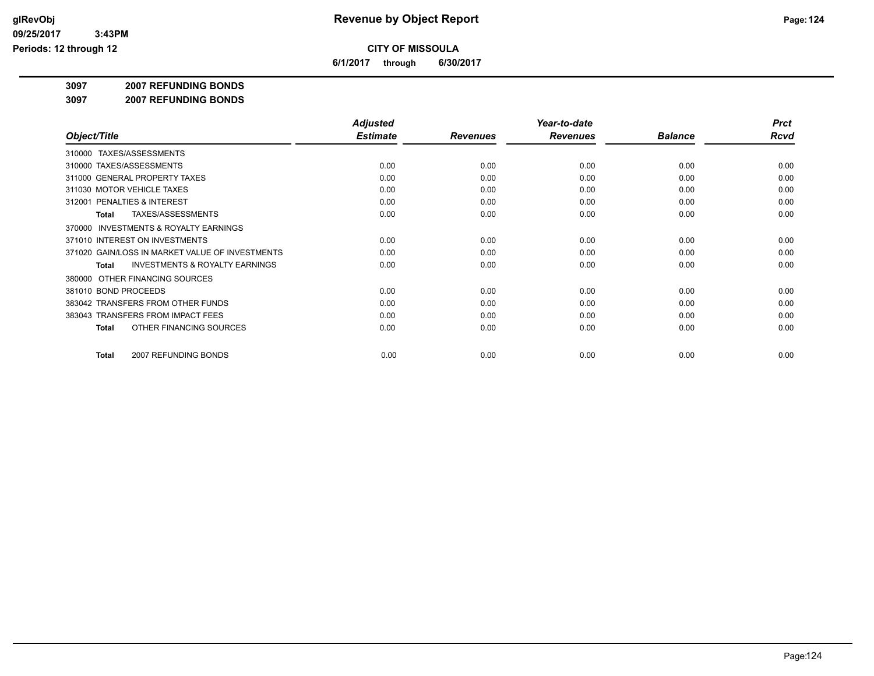**6/1/2017 through 6/30/2017**

**3097 2007 REFUNDING BONDS**

**3097 2007 REFUNDING BONDS**

|                                                           | <b>Adjusted</b> |                 | Year-to-date    |                | <b>Prct</b> |
|-----------------------------------------------------------|-----------------|-----------------|-----------------|----------------|-------------|
| Object/Title                                              | <b>Estimate</b> | <b>Revenues</b> | <b>Revenues</b> | <b>Balance</b> | Rcvd        |
| 310000 TAXES/ASSESSMENTS                                  |                 |                 |                 |                |             |
| 310000 TAXES/ASSESSMENTS                                  | 0.00            | 0.00            | 0.00            | 0.00           | 0.00        |
| 311000 GENERAL PROPERTY TAXES                             | 0.00            | 0.00            | 0.00            | 0.00           | 0.00        |
| 311030 MOTOR VEHICLE TAXES                                | 0.00            | 0.00            | 0.00            | 0.00           | 0.00        |
| 312001 PENALTIES & INTEREST                               | 0.00            | 0.00            | 0.00            | 0.00           | 0.00        |
| TAXES/ASSESSMENTS<br><b>Total</b>                         | 0.00            | 0.00            | 0.00            | 0.00           | 0.00        |
| <b>INVESTMENTS &amp; ROYALTY EARNINGS</b><br>370000       |                 |                 |                 |                |             |
| 371010 INTEREST ON INVESTMENTS                            | 0.00            | 0.00            | 0.00            | 0.00           | 0.00        |
| 371020 GAIN/LOSS IN MARKET VALUE OF INVESTMENTS           | 0.00            | 0.00            | 0.00            | 0.00           | 0.00        |
| <b>INVESTMENTS &amp; ROYALTY EARNINGS</b><br><b>Total</b> | 0.00            | 0.00            | 0.00            | 0.00           | 0.00        |
| OTHER FINANCING SOURCES<br>380000                         |                 |                 |                 |                |             |
| 381010 BOND PROCEEDS                                      | 0.00            | 0.00            | 0.00            | 0.00           | 0.00        |
| 383042 TRANSFERS FROM OTHER FUNDS                         | 0.00            | 0.00            | 0.00            | 0.00           | 0.00        |
| 383043 TRANSFERS FROM IMPACT FEES                         | 0.00            | 0.00            | 0.00            | 0.00           | 0.00        |
| OTHER FINANCING SOURCES<br><b>Total</b>                   | 0.00            | 0.00            | 0.00            | 0.00           | 0.00        |
| 2007 REFUNDING BONDS<br><b>Total</b>                      | 0.00            | 0.00            | 0.00            | 0.00           | 0.00        |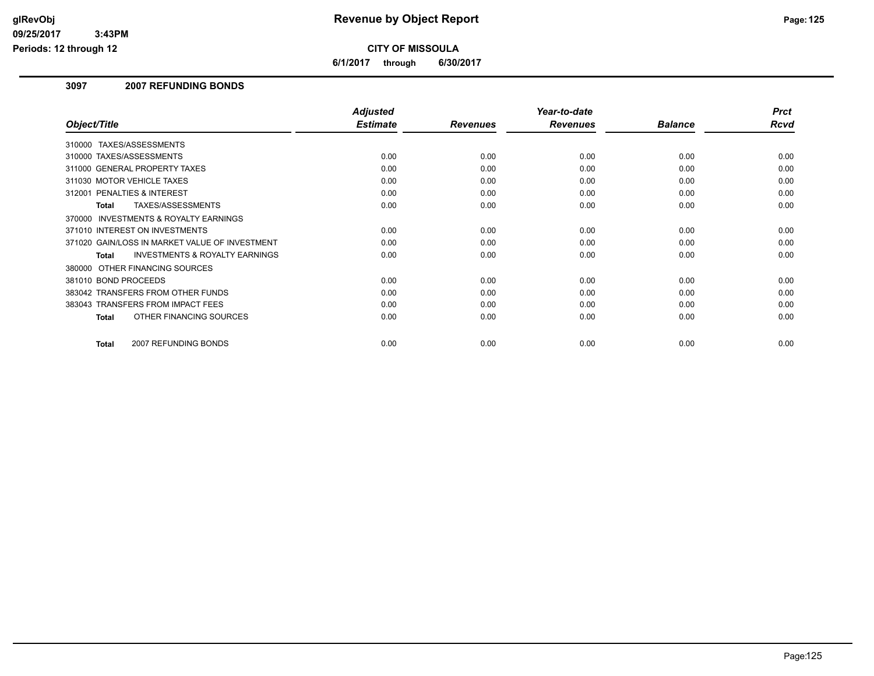**6/1/2017 through 6/30/2017**

## **3097 2007 REFUNDING BONDS**

|                                                           | <b>Adjusted</b> |                 | Year-to-date    |                | <b>Prct</b> |
|-----------------------------------------------------------|-----------------|-----------------|-----------------|----------------|-------------|
| Object/Title                                              | <b>Estimate</b> | <b>Revenues</b> | <b>Revenues</b> | <b>Balance</b> | Rcvd        |
| 310000 TAXES/ASSESSMENTS                                  |                 |                 |                 |                |             |
| 310000 TAXES/ASSESSMENTS                                  | 0.00            | 0.00            | 0.00            | 0.00           | 0.00        |
| 311000 GENERAL PROPERTY TAXES                             | 0.00            | 0.00            | 0.00            | 0.00           | 0.00        |
| 311030 MOTOR VEHICLE TAXES                                | 0.00            | 0.00            | 0.00            | 0.00           | 0.00        |
| 312001 PENALTIES & INTEREST                               | 0.00            | 0.00            | 0.00            | 0.00           | 0.00        |
| TAXES/ASSESSMENTS<br><b>Total</b>                         | 0.00            | 0.00            | 0.00            | 0.00           | 0.00        |
| <b>INVESTMENTS &amp; ROYALTY EARNINGS</b><br>370000       |                 |                 |                 |                |             |
| 371010 INTEREST ON INVESTMENTS                            | 0.00            | 0.00            | 0.00            | 0.00           | 0.00        |
| 371020 GAIN/LOSS IN MARKET VALUE OF INVESTMENT            | 0.00            | 0.00            | 0.00            | 0.00           | 0.00        |
| <b>INVESTMENTS &amp; ROYALTY EARNINGS</b><br><b>Total</b> | 0.00            | 0.00            | 0.00            | 0.00           | 0.00        |
| 380000 OTHER FINANCING SOURCES                            |                 |                 |                 |                |             |
| 381010 BOND PROCEEDS                                      | 0.00            | 0.00            | 0.00            | 0.00           | 0.00        |
| 383042 TRANSFERS FROM OTHER FUNDS                         | 0.00            | 0.00            | 0.00            | 0.00           | 0.00        |
| 383043 TRANSFERS FROM IMPACT FEES                         | 0.00            | 0.00            | 0.00            | 0.00           | 0.00        |
| OTHER FINANCING SOURCES<br><b>Total</b>                   | 0.00            | 0.00            | 0.00            | 0.00           | 0.00        |
| 2007 REFUNDING BONDS<br>Total                             | 0.00            | 0.00            | 0.00            | 0.00           | 0.00        |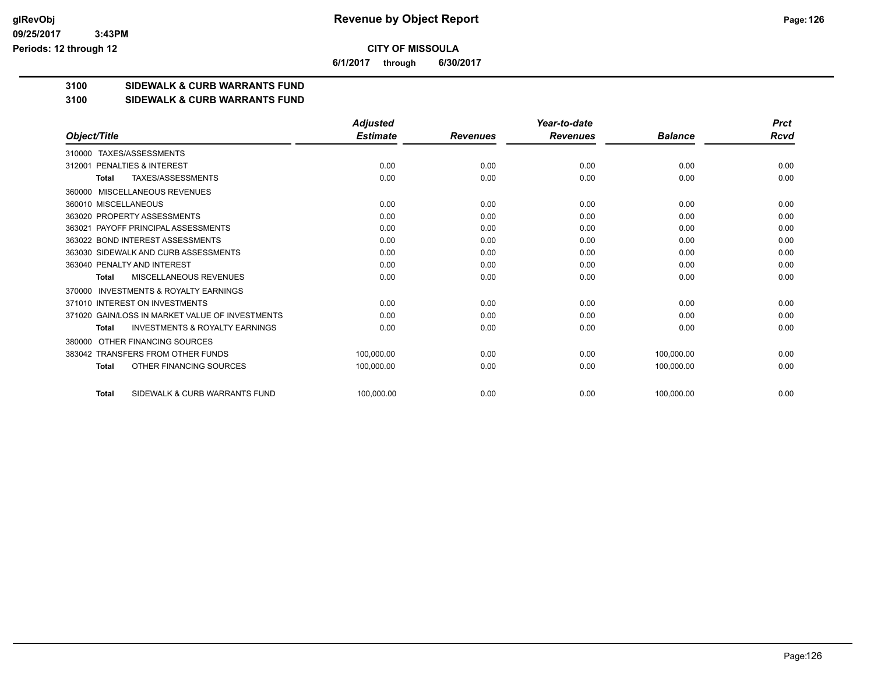**6/1/2017 through 6/30/2017**

## **3100 SIDEWALK & CURB WARRANTS FUND**

## **3100 SIDEWALK & CURB WARRANTS FUND**

|                                                           | <b>Adjusted</b> |                 | Year-to-date    |                | <b>Prct</b> |
|-----------------------------------------------------------|-----------------|-----------------|-----------------|----------------|-------------|
| Object/Title                                              | <b>Estimate</b> | <b>Revenues</b> | <b>Revenues</b> | <b>Balance</b> | Rcvd        |
| TAXES/ASSESSMENTS<br>310000                               |                 |                 |                 |                |             |
| 312001 PENALTIES & INTEREST                               | 0.00            | 0.00            | 0.00            | 0.00           | 0.00        |
| <b>TAXES/ASSESSMENTS</b><br><b>Total</b>                  | 0.00            | 0.00            | 0.00            | 0.00           | 0.00        |
| MISCELLANEOUS REVENUES<br>360000                          |                 |                 |                 |                |             |
| 360010 MISCELLANEOUS                                      | 0.00            | 0.00            | 0.00            | 0.00           | 0.00        |
| 363020 PROPERTY ASSESSMENTS                               | 0.00            | 0.00            | 0.00            | 0.00           | 0.00        |
| PAYOFF PRINCIPAL ASSESSMENTS<br>363021                    | 0.00            | 0.00            | 0.00            | 0.00           | 0.00        |
| 363022 BOND INTEREST ASSESSMENTS                          | 0.00            | 0.00            | 0.00            | 0.00           | 0.00        |
| 363030 SIDEWALK AND CURB ASSESSMENTS                      | 0.00            | 0.00            | 0.00            | 0.00           | 0.00        |
| 363040 PENALTY AND INTEREST                               | 0.00            | 0.00            | 0.00            | 0.00           | 0.00        |
| MISCELLANEOUS REVENUES<br><b>Total</b>                    | 0.00            | 0.00            | 0.00            | 0.00           | 0.00        |
| <b>INVESTMENTS &amp; ROYALTY EARNINGS</b><br>370000       |                 |                 |                 |                |             |
| 371010 INTEREST ON INVESTMENTS                            | 0.00            | 0.00            | 0.00            | 0.00           | 0.00        |
| 371020 GAIN/LOSS IN MARKET VALUE OF INVESTMENTS           | 0.00            | 0.00            | 0.00            | 0.00           | 0.00        |
| <b>INVESTMENTS &amp; ROYALTY EARNINGS</b><br><b>Total</b> | 0.00            | 0.00            | 0.00            | 0.00           | 0.00        |
| OTHER FINANCING SOURCES<br>380000                         |                 |                 |                 |                |             |
| 383042 TRANSFERS FROM OTHER FUNDS                         | 100.000.00      | 0.00            | 0.00            | 100.000.00     | 0.00        |
| OTHER FINANCING SOURCES<br><b>Total</b>                   | 100,000.00      | 0.00            | 0.00            | 100,000.00     | 0.00        |
| SIDEWALK & CURB WARRANTS FUND<br><b>Total</b>             | 100,000.00      | 0.00            | 0.00            | 100,000.00     | 0.00        |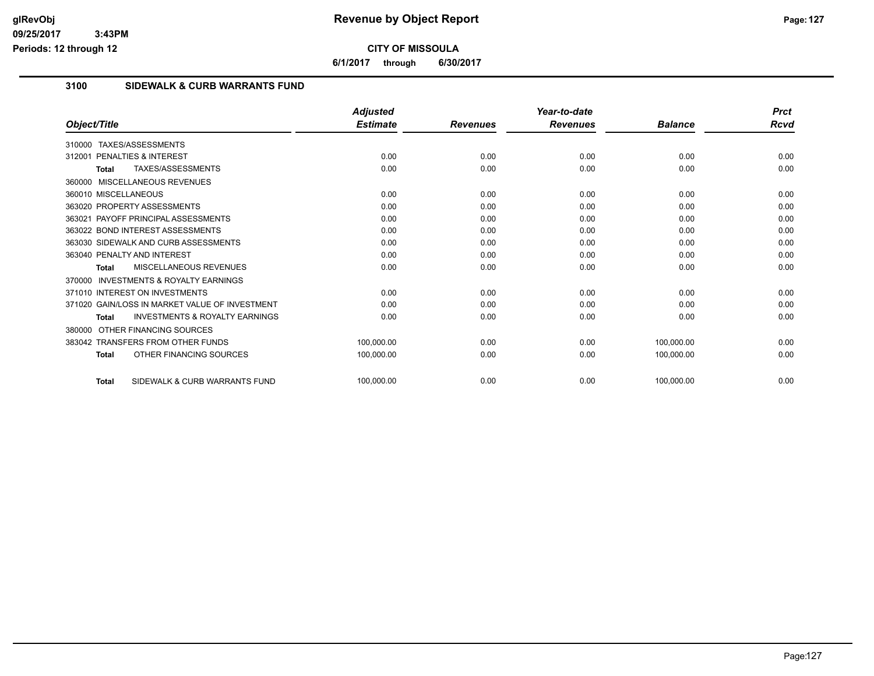**6/1/2017 through 6/30/2017**

## **3100 SIDEWALK & CURB WARRANTS FUND**

|                                                           | <b>Adjusted</b> |                 | Year-to-date    |                | <b>Prct</b> |
|-----------------------------------------------------------|-----------------|-----------------|-----------------|----------------|-------------|
| Object/Title                                              | <b>Estimate</b> | <b>Revenues</b> | <b>Revenues</b> | <b>Balance</b> | Rcvd        |
| TAXES/ASSESSMENTS<br>310000                               |                 |                 |                 |                |             |
| PENALTIES & INTEREST<br>312001                            | 0.00            | 0.00            | 0.00            | 0.00           | 0.00        |
| TAXES/ASSESSMENTS<br><b>Total</b>                         | 0.00            | 0.00            | 0.00            | 0.00           | 0.00        |
| MISCELLANEOUS REVENUES<br>360000                          |                 |                 |                 |                |             |
| 360010 MISCELLANEOUS                                      | 0.00            | 0.00            | 0.00            | 0.00           | 0.00        |
| 363020 PROPERTY ASSESSMENTS                               | 0.00            | 0.00            | 0.00            | 0.00           | 0.00        |
| 363021 PAYOFF PRINCIPAL ASSESSMENTS                       | 0.00            | 0.00            | 0.00            | 0.00           | 0.00        |
| 363022 BOND INTEREST ASSESSMENTS                          | 0.00            | 0.00            | 0.00            | 0.00           | 0.00        |
| 363030 SIDEWALK AND CURB ASSESSMENTS                      | 0.00            | 0.00            | 0.00            | 0.00           | 0.00        |
| 363040 PENALTY AND INTEREST                               | 0.00            | 0.00            | 0.00            | 0.00           | 0.00        |
| MISCELLANEOUS REVENUES<br><b>Total</b>                    | 0.00            | 0.00            | 0.00            | 0.00           | 0.00        |
| <b>INVESTMENTS &amp; ROYALTY EARNINGS</b><br>370000       |                 |                 |                 |                |             |
| 371010 INTEREST ON INVESTMENTS                            | 0.00            | 0.00            | 0.00            | 0.00           | 0.00        |
| 371020 GAIN/LOSS IN MARKET VALUE OF INVESTMENT            | 0.00            | 0.00            | 0.00            | 0.00           | 0.00        |
| <b>INVESTMENTS &amp; ROYALTY EARNINGS</b><br><b>Total</b> | 0.00            | 0.00            | 0.00            | 0.00           | 0.00        |
| OTHER FINANCING SOURCES<br>380000                         |                 |                 |                 |                |             |
| 383042 TRANSFERS FROM OTHER FUNDS                         | 100.000.00      | 0.00            | 0.00            | 100,000.00     | 0.00        |
| OTHER FINANCING SOURCES<br><b>Total</b>                   | 100,000.00      | 0.00            | 0.00            | 100,000.00     | 0.00        |
| SIDEWALK & CURB WARRANTS FUND<br><b>Total</b>             | 100.000.00      | 0.00            | 0.00            | 100.000.00     | 0.00        |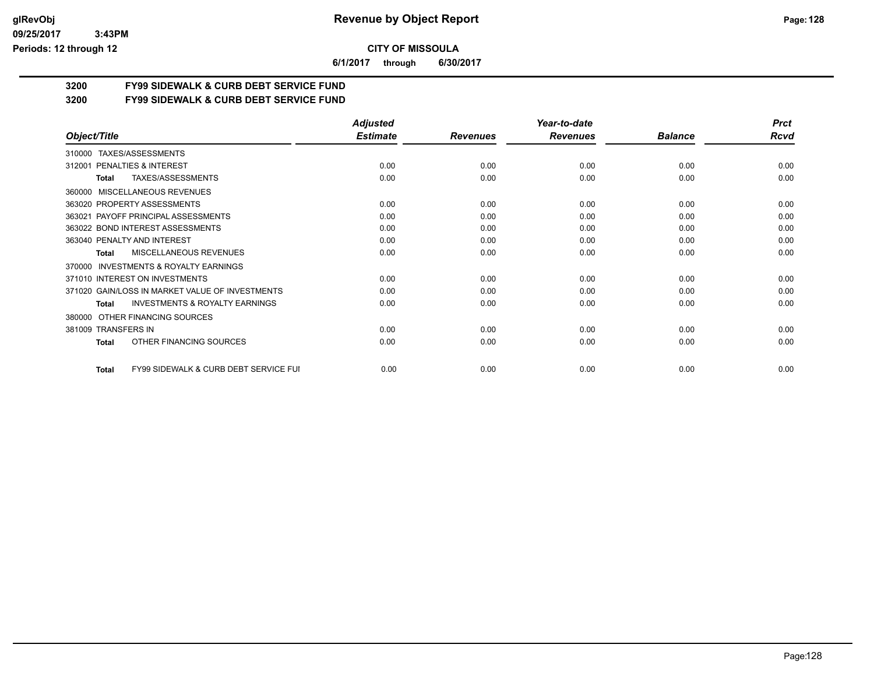### **09/25/2017 3:43PM Periods: 12 through 12**

## **CITY OF MISSOULA**

**6/1/2017 through 6/30/2017**

# **3200 FY99 SIDEWALK & CURB DEBT SERVICE FUND**

# **3200 FY99 SIDEWALK & CURB DEBT SERVICE FUND**

|                                                                  | <b>Adjusted</b> |                 | Year-to-date    |                | <b>Prct</b> |
|------------------------------------------------------------------|-----------------|-----------------|-----------------|----------------|-------------|
| Object/Title                                                     | <b>Estimate</b> | <b>Revenues</b> | <b>Revenues</b> | <b>Balance</b> | Rcvd        |
| TAXES/ASSESSMENTS<br>310000                                      |                 |                 |                 |                |             |
| PENALTIES & INTEREST<br>312001                                   | 0.00            | 0.00            | 0.00            | 0.00           | 0.00        |
| TAXES/ASSESSMENTS<br><b>Total</b>                                | 0.00            | 0.00            | 0.00            | 0.00           | 0.00        |
| MISCELLANEOUS REVENUES<br>360000                                 |                 |                 |                 |                |             |
| 363020 PROPERTY ASSESSMENTS                                      | 0.00            | 0.00            | 0.00            | 0.00           | 0.00        |
| 363021 PAYOFF PRINCIPAL ASSESSMENTS                              | 0.00            | 0.00            | 0.00            | 0.00           | 0.00        |
| 363022 BOND INTEREST ASSESSMENTS                                 | 0.00            | 0.00            | 0.00            | 0.00           | 0.00        |
| 363040 PENALTY AND INTEREST                                      | 0.00            | 0.00            | 0.00            | 0.00           | 0.00        |
| <b>MISCELLANEOUS REVENUES</b><br><b>Total</b>                    | 0.00            | 0.00            | 0.00            | 0.00           | 0.00        |
| <b>INVESTMENTS &amp; ROYALTY EARNINGS</b><br>370000              |                 |                 |                 |                |             |
| 371010 INTEREST ON INVESTMENTS                                   | 0.00            | 0.00            | 0.00            | 0.00           | 0.00        |
| 371020 GAIN/LOSS IN MARKET VALUE OF INVESTMENTS                  | 0.00            | 0.00            | 0.00            | 0.00           | 0.00        |
| <b>INVESTMENTS &amp; ROYALTY EARNINGS</b><br><b>Total</b>        | 0.00            | 0.00            | 0.00            | 0.00           | 0.00        |
| OTHER FINANCING SOURCES<br>380000                                |                 |                 |                 |                |             |
| 381009 TRANSFERS IN                                              | 0.00            | 0.00            | 0.00            | 0.00           | 0.00        |
| OTHER FINANCING SOURCES<br><b>Total</b>                          | 0.00            | 0.00            | 0.00            | 0.00           | 0.00        |
| <b>FY99 SIDEWALK &amp; CURB DEBT SERVICE FUI</b><br><b>Total</b> | 0.00            | 0.00            | 0.00            | 0.00           | 0.00        |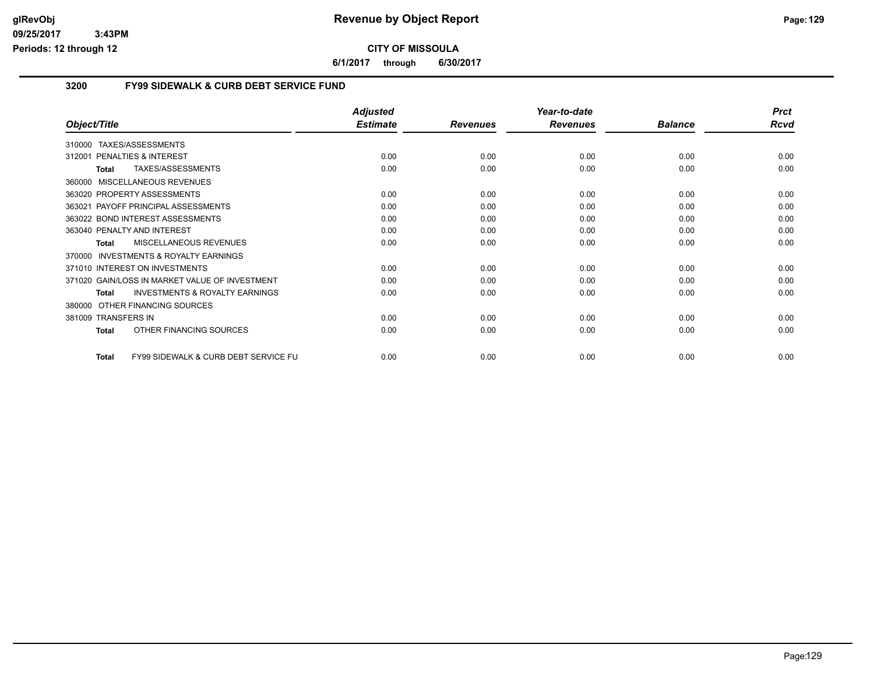**6/1/2017 through 6/30/2017**

## **3200 FY99 SIDEWALK & CURB DEBT SERVICE FUND**

|                                                           | <b>Adjusted</b> |                 | Year-to-date    |                | <b>Prct</b> |
|-----------------------------------------------------------|-----------------|-----------------|-----------------|----------------|-------------|
| Object/Title                                              | <b>Estimate</b> | <b>Revenues</b> | <b>Revenues</b> | <b>Balance</b> | <b>Rcvd</b> |
| TAXES/ASSESSMENTS<br>310000                               |                 |                 |                 |                |             |
| PENALTIES & INTEREST<br>312001                            | 0.00            | 0.00            | 0.00            | 0.00           | 0.00        |
| TAXES/ASSESSMENTS<br>Total                                | 0.00            | 0.00            | 0.00            | 0.00           | 0.00        |
| MISCELLANEOUS REVENUES<br>360000                          |                 |                 |                 |                |             |
| 363020 PROPERTY ASSESSMENTS                               | 0.00            | 0.00            | 0.00            | 0.00           | 0.00        |
| PAYOFF PRINCIPAL ASSESSMENTS<br>363021                    | 0.00            | 0.00            | 0.00            | 0.00           | 0.00        |
| 363022 BOND INTEREST ASSESSMENTS                          | 0.00            | 0.00            | 0.00            | 0.00           | 0.00        |
| 363040 PENALTY AND INTEREST                               | 0.00            | 0.00            | 0.00            | 0.00           | 0.00        |
| <b>MISCELLANEOUS REVENUES</b><br>Total                    | 0.00            | 0.00            | 0.00            | 0.00           | 0.00        |
| INVESTMENTS & ROYALTY EARNINGS<br>370000                  |                 |                 |                 |                |             |
| 371010 INTEREST ON INVESTMENTS                            | 0.00            | 0.00            | 0.00            | 0.00           | 0.00        |
| 371020 GAIN/LOSS IN MARKET VALUE OF INVESTMENT            | 0.00            | 0.00            | 0.00            | 0.00           | 0.00        |
| <b>INVESTMENTS &amp; ROYALTY EARNINGS</b><br><b>Total</b> | 0.00            | 0.00            | 0.00            | 0.00           | 0.00        |
| OTHER FINANCING SOURCES<br>380000                         |                 |                 |                 |                |             |
| 381009 TRANSFERS IN                                       | 0.00            | 0.00            | 0.00            | 0.00           | 0.00        |
| OTHER FINANCING SOURCES<br>Total                          | 0.00            | 0.00            | 0.00            | 0.00           | 0.00        |
| FY99 SIDEWALK & CURB DEBT SERVICE FU<br><b>Total</b>      | 0.00            | 0.00            | 0.00            | 0.00           | 0.00        |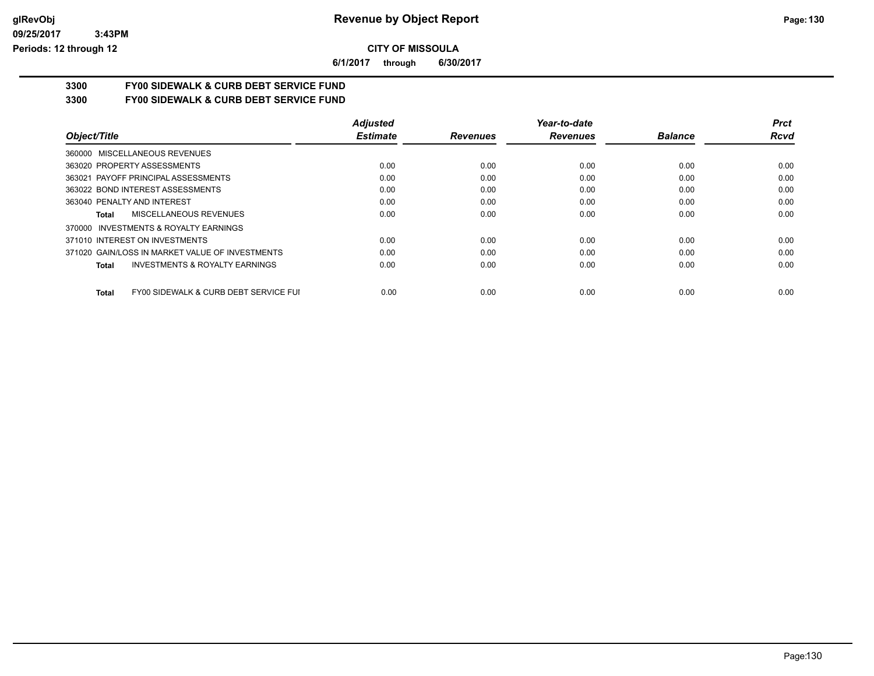### **09/25/2017 3:43PM Periods: 12 through 12**

**CITY OF MISSOULA**

**6/1/2017 through 6/30/2017**

# **3300 FY00 SIDEWALK & CURB DEBT SERVICE FUND**

**3300 FY00 SIDEWALK & CURB DEBT SERVICE FUND**

|                                                    | <b>Adjusted</b> |                 | Year-to-date    |                | <b>Prct</b> |
|----------------------------------------------------|-----------------|-----------------|-----------------|----------------|-------------|
| Object/Title                                       | <b>Estimate</b> | <b>Revenues</b> | <b>Revenues</b> | <b>Balance</b> | <b>Rcvd</b> |
| 360000 MISCELLANEOUS REVENUES                      |                 |                 |                 |                |             |
| 363020 PROPERTY ASSESSMENTS                        | 0.00            | 0.00            | 0.00            | 0.00           | 0.00        |
| 363021 PAYOFF PRINCIPAL ASSESSMENTS                | 0.00            | 0.00            | 0.00            | 0.00           | 0.00        |
| 363022 BOND INTEREST ASSESSMENTS                   | 0.00            | 0.00            | 0.00            | 0.00           | 0.00        |
| 363040 PENALTY AND INTEREST                        | 0.00            | 0.00            | 0.00            | 0.00           | 0.00        |
| MISCELLANEOUS REVENUES<br>Total                    | 0.00            | 0.00            | 0.00            | 0.00           | 0.00        |
| 370000 INVESTMENTS & ROYALTY EARNINGS              |                 |                 |                 |                |             |
| 371010 INTEREST ON INVESTMENTS                     | 0.00            | 0.00            | 0.00            | 0.00           | 0.00        |
| 371020 GAIN/LOSS IN MARKET VALUE OF INVESTMENTS    | 0.00            | 0.00            | 0.00            | 0.00           | 0.00        |
| <b>INVESTMENTS &amp; ROYALTY EARNINGS</b><br>Total | 0.00            | 0.00            | 0.00            | 0.00           | 0.00        |
| FY00 SIDEWALK & CURB DEBT SERVICE FUI<br>Total     | 0.00            | 0.00            | 0.00            | 0.00           | 0.00        |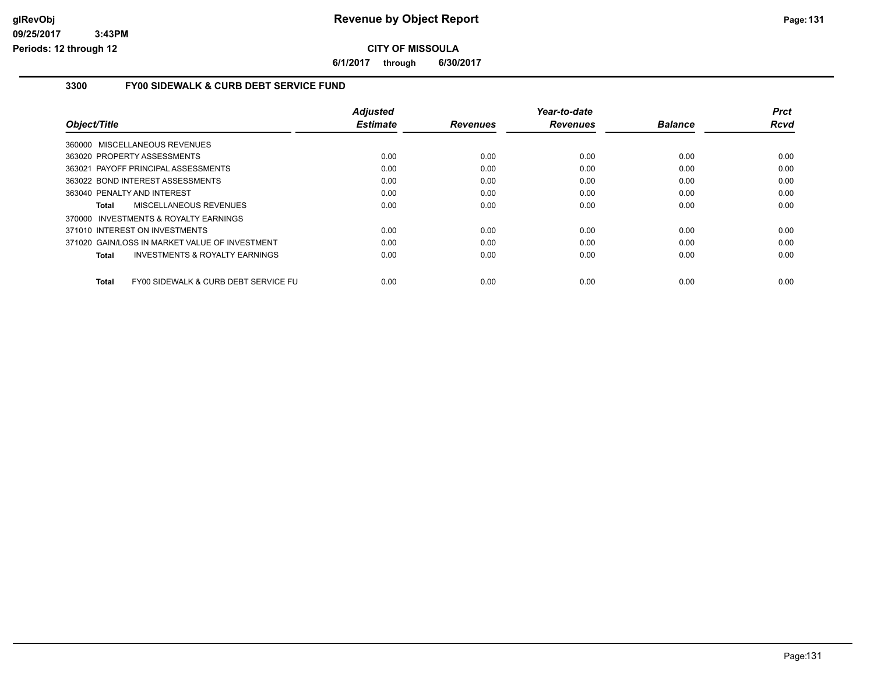**6/1/2017 through 6/30/2017**

## **3300 FY00 SIDEWALK & CURB DEBT SERVICE FUND**

|                                                    | <b>Adjusted</b> |                 | Year-to-date    |                | <b>Prct</b> |
|----------------------------------------------------|-----------------|-----------------|-----------------|----------------|-------------|
| Object/Title                                       | <b>Estimate</b> | <b>Revenues</b> | <b>Revenues</b> | <b>Balance</b> | Rcvd        |
| 360000 MISCELLANEOUS REVENUES                      |                 |                 |                 |                |             |
| 363020 PROPERTY ASSESSMENTS                        | 0.00            | 0.00            | 0.00            | 0.00           | 0.00        |
| 363021 PAYOFF PRINCIPAL ASSESSMENTS                | 0.00            | 0.00            | 0.00            | 0.00           | 0.00        |
| 363022 BOND INTEREST ASSESSMENTS                   | 0.00            | 0.00            | 0.00            | 0.00           | 0.00        |
| 363040 PENALTY AND INTEREST                        | 0.00            | 0.00            | 0.00            | 0.00           | 0.00        |
| <b>MISCELLANEOUS REVENUES</b><br>Total             | 0.00            | 0.00            | 0.00            | 0.00           | 0.00        |
| 370000 INVESTMENTS & ROYALTY EARNINGS              |                 |                 |                 |                |             |
| 371010 INTEREST ON INVESTMENTS                     | 0.00            | 0.00            | 0.00            | 0.00           | 0.00        |
| 371020 GAIN/LOSS IN MARKET VALUE OF INVESTMENT     | 0.00            | 0.00            | 0.00            | 0.00           | 0.00        |
| <b>INVESTMENTS &amp; ROYALTY EARNINGS</b><br>Total | 0.00            | 0.00            | 0.00            | 0.00           | 0.00        |
| FY00 SIDEWALK & CURB DEBT SERVICE FU<br>Total      | 0.00            | 0.00            | 0.00            | 0.00           | 0.00        |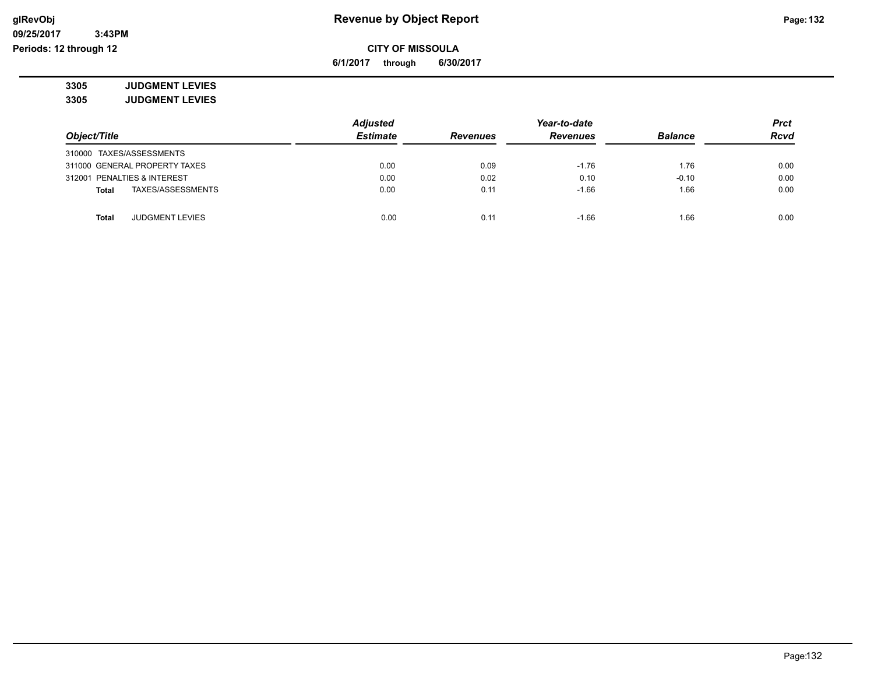**6/1/2017 through 6/30/2017**

**3305 JUDGMENT LEVIES**

**3305 JUDGMENT LEVIES**

|                                 | <b>Adjusted</b> |                 | Year-to-date    |                | <b>Prct</b> |
|---------------------------------|-----------------|-----------------|-----------------|----------------|-------------|
| Object/Title                    | <b>Estimate</b> | <b>Revenues</b> | <b>Revenues</b> | <b>Balance</b> | <b>Rcvd</b> |
| 310000 TAXES/ASSESSMENTS        |                 |                 |                 |                |             |
| 311000 GENERAL PROPERTY TAXES   | 0.00            | 0.09            | $-1.76$         | 1.76           | 0.00        |
| 312001 PENALTIES & INTEREST     | 0.00            | 0.02            | 0.10            | $-0.10$        | 0.00        |
| TAXES/ASSESSMENTS<br>Total      | 0.00            | 0.11            | $-1.66$         | 1.66           | 0.00        |
|                                 |                 |                 |                 |                |             |
| Total<br><b>JUDGMENT LEVIES</b> | 0.00            | 0.11            | $-1.66$         | 1.66           | 0.00        |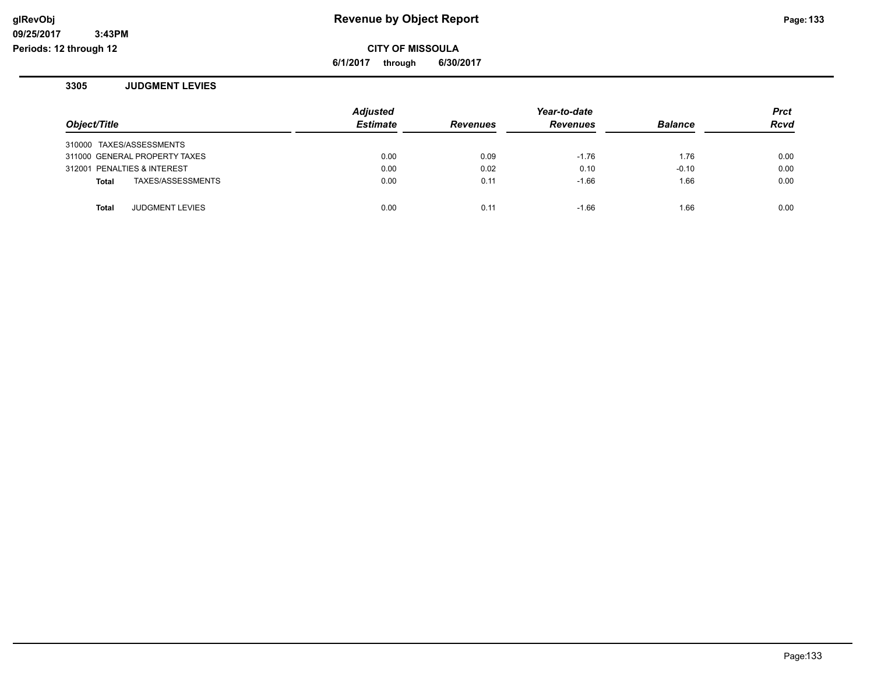**6/1/2017 through 6/30/2017**

### **3305 JUDGMENT LEVIES**

| Object/Title                      | <b>Adjusted</b><br><b>Estimate</b> | <b>Revenues</b> | Year-to-date<br><b>Revenues</b> | <b>Balance</b> | <b>Prct</b><br><b>Rcvd</b> |
|-----------------------------------|------------------------------------|-----------------|---------------------------------|----------------|----------------------------|
| 310000 TAXES/ASSESSMENTS          |                                    |                 |                                 |                |                            |
| 311000 GENERAL PROPERTY TAXES     | 0.00                               | 0.09            | $-1.76$                         | 1.76           | 0.00                       |
| 312001 PENALTIES & INTEREST       | 0.00                               | 0.02            | 0.10                            | $-0.10$        | 0.00                       |
| TAXES/ASSESSMENTS<br><b>Total</b> | 0.00                               | 0.11            | $-1.66$                         | 1.66           | 0.00                       |
|                                   |                                    |                 |                                 |                |                            |
| <b>JUDGMENT LEVIES</b><br>Total   | 0.00                               | 0.11            | $-1.66$                         | 1.66           | 0.00                       |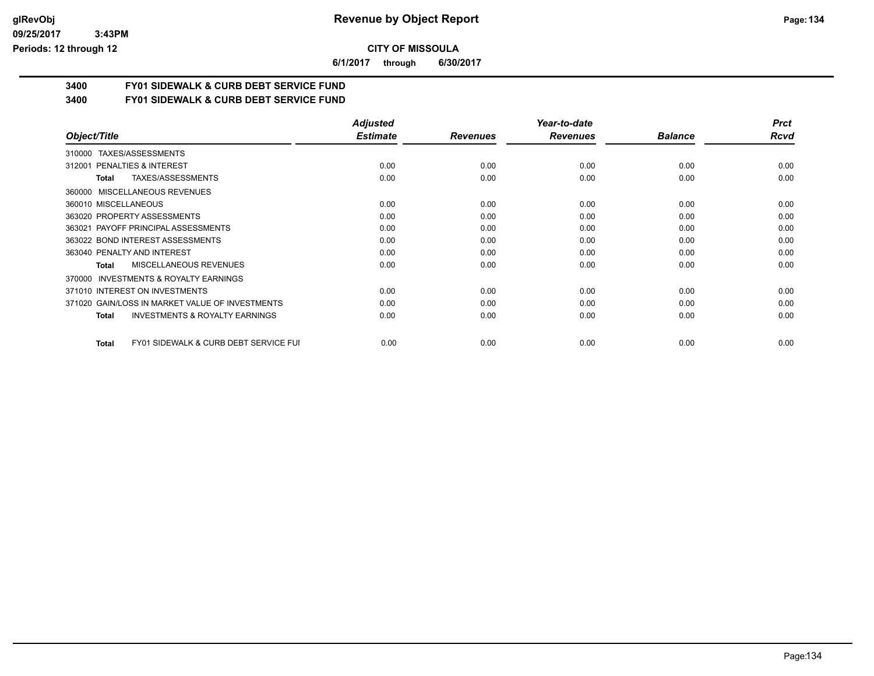### **09/25/2017 3:43PM Periods: 12 through 12**

**CITY OF MISSOULA**

**6/1/2017 through 6/30/2017**

# **3400 FY01 SIDEWALK & CURB DEBT SERVICE FUND**

# **3400 FY01 SIDEWALK & CURB DEBT SERVICE FUND**

|                                                                  | <b>Adjusted</b> |                 | Year-to-date    |                | <b>Prct</b> |
|------------------------------------------------------------------|-----------------|-----------------|-----------------|----------------|-------------|
| Object/Title                                                     | <b>Estimate</b> | <b>Revenues</b> | <b>Revenues</b> | <b>Balance</b> | Rcvd        |
| TAXES/ASSESSMENTS<br>310000                                      |                 |                 |                 |                |             |
| 312001 PENALTIES & INTEREST                                      | 0.00            | 0.00            | 0.00            | 0.00           | 0.00        |
| TAXES/ASSESSMENTS<br>Total                                       | 0.00            | 0.00            | 0.00            | 0.00           | 0.00        |
| MISCELLANEOUS REVENUES<br>360000                                 |                 |                 |                 |                |             |
| 360010 MISCELLANEOUS                                             | 0.00            | 0.00            | 0.00            | 0.00           | 0.00        |
| 363020 PROPERTY ASSESSMENTS                                      | 0.00            | 0.00            | 0.00            | 0.00           | 0.00        |
| 363021 PAYOFF PRINCIPAL ASSESSMENTS                              | 0.00            | 0.00            | 0.00            | 0.00           | 0.00        |
| 363022 BOND INTEREST ASSESSMENTS                                 | 0.00            | 0.00            | 0.00            | 0.00           | 0.00        |
| 363040 PENALTY AND INTEREST                                      | 0.00            | 0.00            | 0.00            | 0.00           | 0.00        |
| MISCELLANEOUS REVENUES<br>Total                                  | 0.00            | 0.00            | 0.00            | 0.00           | 0.00        |
| <b>INVESTMENTS &amp; ROYALTY EARNINGS</b><br>370000              |                 |                 |                 |                |             |
| 371010 INTEREST ON INVESTMENTS                                   | 0.00            | 0.00            | 0.00            | 0.00           | 0.00        |
| 371020 GAIN/LOSS IN MARKET VALUE OF INVESTMENTS                  | 0.00            | 0.00            | 0.00            | 0.00           | 0.00        |
| <b>INVESTMENTS &amp; ROYALTY EARNINGS</b><br>Total               | 0.00            | 0.00            | 0.00            | 0.00           | 0.00        |
| <b>FY01 SIDEWALK &amp; CURB DEBT SERVICE FUI</b><br><b>Total</b> | 0.00            | 0.00            | 0.00            | 0.00           | 0.00        |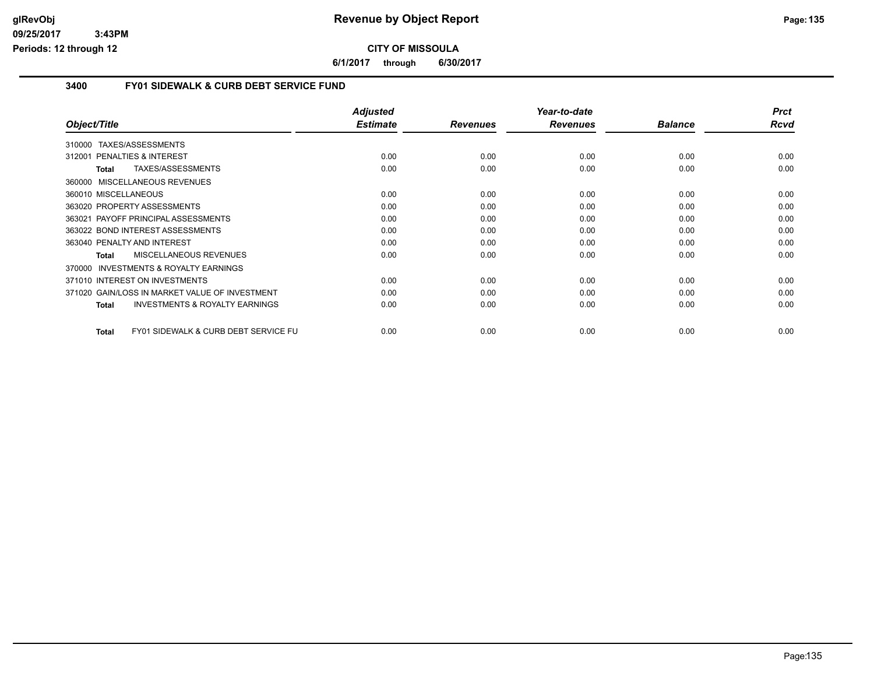**6/1/2017 through 6/30/2017**

## **3400 FY01 SIDEWALK & CURB DEBT SERVICE FUND**

| Object/Title                                              | <b>Adjusted</b><br><b>Estimate</b> | <b>Revenues</b> | Year-to-date<br><b>Revenues</b> | <b>Balance</b> | <b>Prct</b><br>Rcvd |
|-----------------------------------------------------------|------------------------------------|-----------------|---------------------------------|----------------|---------------------|
|                                                           |                                    |                 |                                 |                |                     |
| 310000 TAXES/ASSESSMENTS                                  |                                    |                 |                                 |                |                     |
| <b>PENALTIES &amp; INTEREST</b><br>312001                 | 0.00                               | 0.00            | 0.00                            | 0.00           | 0.00                |
| TAXES/ASSESSMENTS<br><b>Total</b>                         | 0.00                               | 0.00            | 0.00                            | 0.00           | 0.00                |
| 360000 MISCELLANEOUS REVENUES                             |                                    |                 |                                 |                |                     |
| 360010 MISCELLANEOUS                                      | 0.00                               | 0.00            | 0.00                            | 0.00           | 0.00                |
| 363020 PROPERTY ASSESSMENTS                               | 0.00                               | 0.00            | 0.00                            | 0.00           | 0.00                |
| PAYOFF PRINCIPAL ASSESSMENTS<br>363021                    | 0.00                               | 0.00            | 0.00                            | 0.00           | 0.00                |
| 363022 BOND INTEREST ASSESSMENTS                          | 0.00                               | 0.00            | 0.00                            | 0.00           | 0.00                |
| 363040 PENALTY AND INTEREST                               | 0.00                               | 0.00            | 0.00                            | 0.00           | 0.00                |
| <b>MISCELLANEOUS REVENUES</b><br><b>Total</b>             | 0.00                               | 0.00            | 0.00                            | 0.00           | 0.00                |
| INVESTMENTS & ROYALTY EARNINGS<br>370000                  |                                    |                 |                                 |                |                     |
| 371010 INTEREST ON INVESTMENTS                            | 0.00                               | 0.00            | 0.00                            | 0.00           | 0.00                |
| 371020 GAIN/LOSS IN MARKET VALUE OF INVESTMENT            | 0.00                               | 0.00            | 0.00                            | 0.00           | 0.00                |
| <b>INVESTMENTS &amp; ROYALTY EARNINGS</b><br><b>Total</b> | 0.00                               | 0.00            | 0.00                            | 0.00           | 0.00                |
| FY01 SIDEWALK & CURB DEBT SERVICE FU<br><b>Total</b>      | 0.00                               | 0.00            | 0.00                            | 0.00           | 0.00                |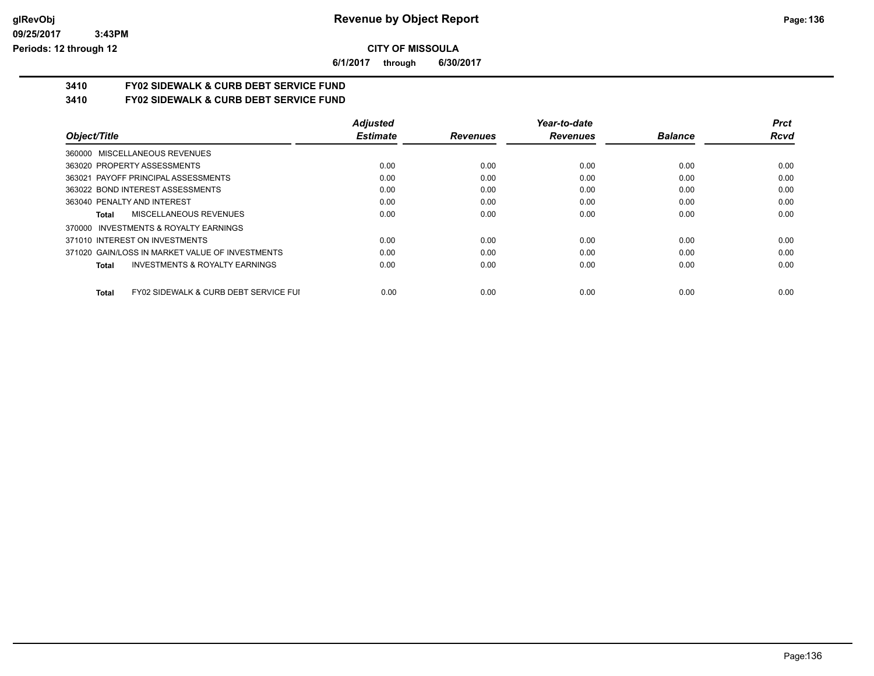### **09/25/2017 3:43PM Periods: 12 through 12**

## **CITY OF MISSOULA**

**6/1/2017 through 6/30/2017**

# **3410 FY02 SIDEWALK & CURB DEBT SERVICE FUND**

# **3410 FY02 SIDEWALK & CURB DEBT SERVICE FUND**

|                                                                  | <b>Adjusted</b> |                 | Year-to-date    |                | <b>Prct</b> |
|------------------------------------------------------------------|-----------------|-----------------|-----------------|----------------|-------------|
| Object/Title                                                     | <b>Estimate</b> | <b>Revenues</b> | <b>Revenues</b> | <b>Balance</b> | <b>Rcvd</b> |
| 360000 MISCELLANEOUS REVENUES                                    |                 |                 |                 |                |             |
| 363020 PROPERTY ASSESSMENTS                                      | 0.00            | 0.00            | 0.00            | 0.00           | 0.00        |
| 363021 PAYOFF PRINCIPAL ASSESSMENTS                              | 0.00            | 0.00            | 0.00            | 0.00           | 0.00        |
| 363022 BOND INTEREST ASSESSMENTS                                 | 0.00            | 0.00            | 0.00            | 0.00           | 0.00        |
| 363040 PENALTY AND INTEREST                                      | 0.00            | 0.00            | 0.00            | 0.00           | 0.00        |
| MISCELLANEOUS REVENUES<br>Total                                  | 0.00            | 0.00            | 0.00            | 0.00           | 0.00        |
| INVESTMENTS & ROYALTY EARNINGS<br>370000                         |                 |                 |                 |                |             |
| 371010 INTEREST ON INVESTMENTS                                   | 0.00            | 0.00            | 0.00            | 0.00           | 0.00        |
| 371020 GAIN/LOSS IN MARKET VALUE OF INVESTMENTS                  | 0.00            | 0.00            | 0.00            | 0.00           | 0.00        |
| <b>INVESTMENTS &amp; ROYALTY EARNINGS</b><br>Total               | 0.00            | 0.00            | 0.00            | 0.00           | 0.00        |
| <b>FY02 SIDEWALK &amp; CURB DEBT SERVICE FUI</b><br><b>Total</b> | 0.00            | 0.00            | 0.00            | 0.00           | 0.00        |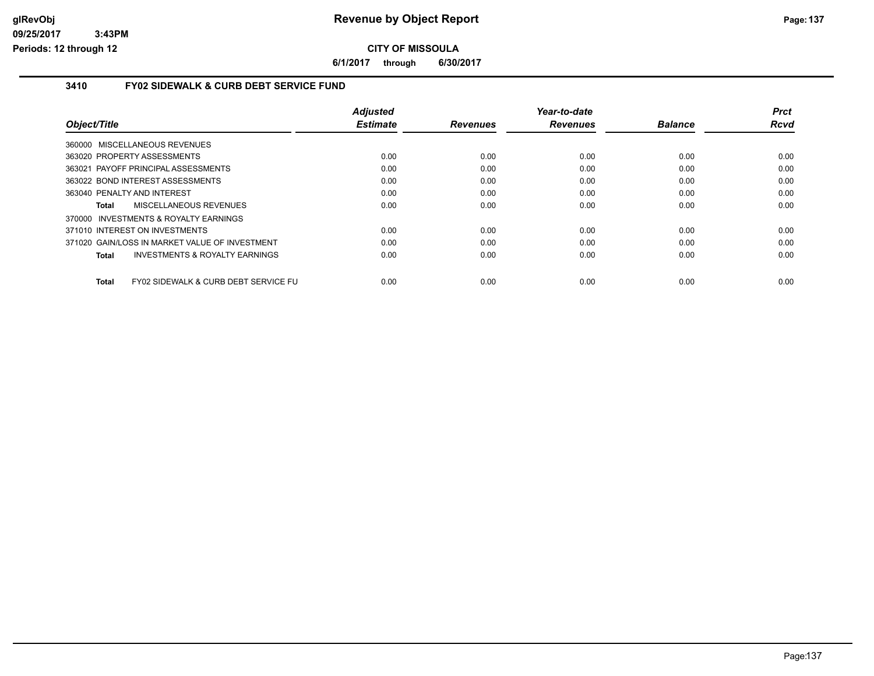**6/1/2017 through 6/30/2017**

## **3410 FY02 SIDEWALK & CURB DEBT SERVICE FUND**

|                                                    | <b>Adjusted</b> |                 | Year-to-date    |                | <b>Prct</b> |
|----------------------------------------------------|-----------------|-----------------|-----------------|----------------|-------------|
| Object/Title                                       | <b>Estimate</b> | <b>Revenues</b> | <b>Revenues</b> | <b>Balance</b> | Rcvd        |
| 360000 MISCELLANEOUS REVENUES                      |                 |                 |                 |                |             |
| 363020 PROPERTY ASSESSMENTS                        | 0.00            | 0.00            | 0.00            | 0.00           | 0.00        |
| 363021 PAYOFF PRINCIPAL ASSESSMENTS                | 0.00            | 0.00            | 0.00            | 0.00           | 0.00        |
| 363022 BOND INTEREST ASSESSMENTS                   | 0.00            | 0.00            | 0.00            | 0.00           | 0.00        |
| 363040 PENALTY AND INTEREST                        | 0.00            | 0.00            | 0.00            | 0.00           | 0.00        |
| <b>MISCELLANEOUS REVENUES</b><br>Total             | 0.00            | 0.00            | 0.00            | 0.00           | 0.00        |
| 370000 INVESTMENTS & ROYALTY EARNINGS              |                 |                 |                 |                |             |
| 371010 INTEREST ON INVESTMENTS                     | 0.00            | 0.00            | 0.00            | 0.00           | 0.00        |
| 371020 GAIN/LOSS IN MARKET VALUE OF INVESTMENT     | 0.00            | 0.00            | 0.00            | 0.00           | 0.00        |
| <b>INVESTMENTS &amp; ROYALTY EARNINGS</b><br>Total | 0.00            | 0.00            | 0.00            | 0.00           | 0.00        |
| FY02 SIDEWALK & CURB DEBT SERVICE FU<br>Total      | 0.00            | 0.00            | 0.00            | 0.00           | 0.00        |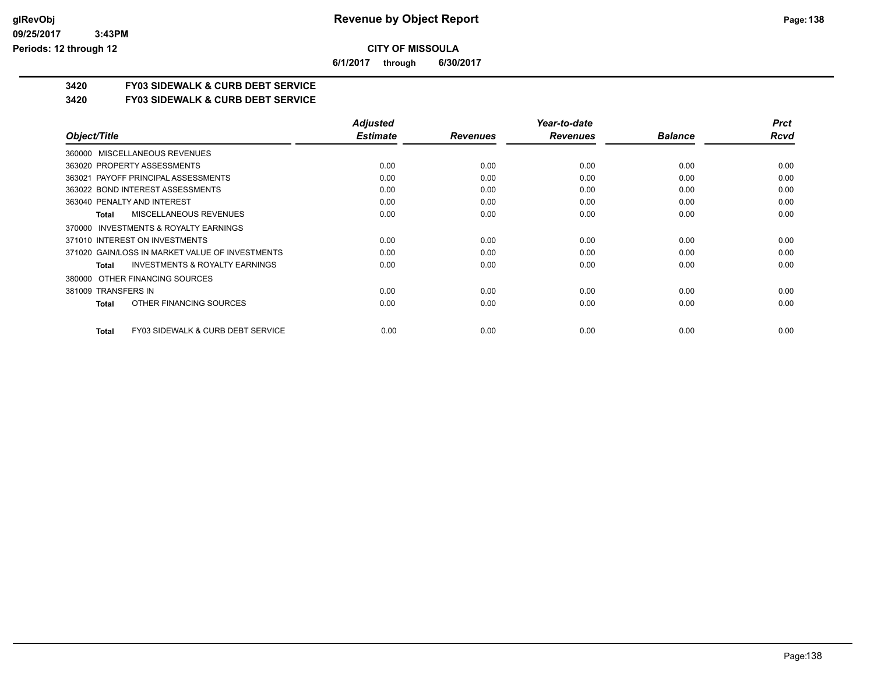**6/1/2017 through 6/30/2017**

# **3420 FY03 SIDEWALK & CURB DEBT SERVICE**

## **3420 FY03 SIDEWALK & CURB DEBT SERVICE**

|                                                    | <b>Adjusted</b> |                 | Year-to-date    |                | <b>Prct</b> |
|----------------------------------------------------|-----------------|-----------------|-----------------|----------------|-------------|
| Object/Title                                       | <b>Estimate</b> | <b>Revenues</b> | <b>Revenues</b> | <b>Balance</b> | <b>Rcvd</b> |
| 360000 MISCELLANEOUS REVENUES                      |                 |                 |                 |                |             |
| 363020 PROPERTY ASSESSMENTS                        | 0.00            | 0.00            | 0.00            | 0.00           | 0.00        |
| 363021 PAYOFF PRINCIPAL ASSESSMENTS                | 0.00            | 0.00            | 0.00            | 0.00           | 0.00        |
| 363022 BOND INTEREST ASSESSMENTS                   | 0.00            | 0.00            | 0.00            | 0.00           | 0.00        |
| 363040 PENALTY AND INTEREST                        | 0.00            | 0.00            | 0.00            | 0.00           | 0.00        |
| <b>MISCELLANEOUS REVENUES</b><br>Total             | 0.00            | 0.00            | 0.00            | 0.00           | 0.00        |
| 370000 INVESTMENTS & ROYALTY EARNINGS              |                 |                 |                 |                |             |
| 371010 INTEREST ON INVESTMENTS                     | 0.00            | 0.00            | 0.00            | 0.00           | 0.00        |
| 371020 GAIN/LOSS IN MARKET VALUE OF INVESTMENTS    | 0.00            | 0.00            | 0.00            | 0.00           | 0.00        |
| <b>INVESTMENTS &amp; ROYALTY EARNINGS</b><br>Total | 0.00            | 0.00            | 0.00            | 0.00           | 0.00        |
| OTHER FINANCING SOURCES<br>380000                  |                 |                 |                 |                |             |
| 381009 TRANSFERS IN                                | 0.00            | 0.00            | 0.00            | 0.00           | 0.00        |
| OTHER FINANCING SOURCES<br>Total                   | 0.00            | 0.00            | 0.00            | 0.00           | 0.00        |
| FY03 SIDEWALK & CURB DEBT SERVICE<br><b>Total</b>  | 0.00            | 0.00            | 0.00            | 0.00           | 0.00        |
|                                                    |                 |                 |                 |                |             |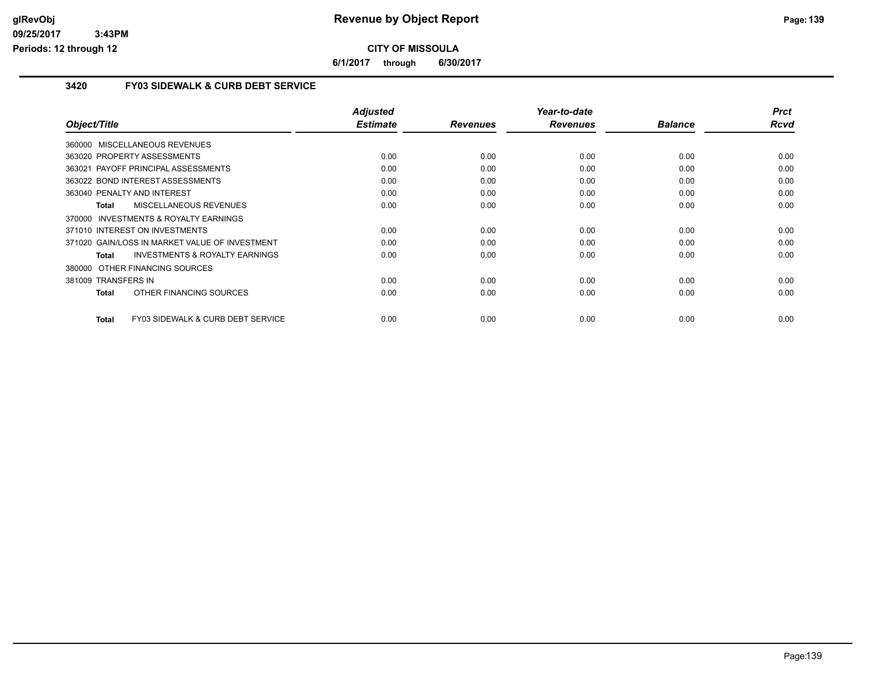**6/1/2017 through 6/30/2017**

## **3420 FY03 SIDEWALK & CURB DEBT SERVICE**

| Object/Title                                       | <b>Adjusted</b><br><b>Estimate</b> | <b>Revenues</b> | Year-to-date<br><b>Revenues</b> | <b>Balance</b> | <b>Prct</b><br>Rcvd |
|----------------------------------------------------|------------------------------------|-----------------|---------------------------------|----------------|---------------------|
| 360000 MISCELLANEOUS REVENUES                      |                                    |                 |                                 |                |                     |
|                                                    |                                    |                 |                                 |                |                     |
| 363020 PROPERTY ASSESSMENTS                        | 0.00                               | 0.00            | 0.00                            | 0.00           | 0.00                |
| 363021 PAYOFF PRINCIPAL ASSESSMENTS                | 0.00                               | 0.00            | 0.00                            | 0.00           | 0.00                |
| 363022 BOND INTEREST ASSESSMENTS                   | 0.00                               | 0.00            | 0.00                            | 0.00           | 0.00                |
| 363040 PENALTY AND INTEREST                        | 0.00                               | 0.00            | 0.00                            | 0.00           | 0.00                |
| MISCELLANEOUS REVENUES<br>Total                    | 0.00                               | 0.00            | 0.00                            | 0.00           | 0.00                |
| 370000 INVESTMENTS & ROYALTY EARNINGS              |                                    |                 |                                 |                |                     |
| 371010 INTEREST ON INVESTMENTS                     | 0.00                               | 0.00            | 0.00                            | 0.00           | 0.00                |
| 371020 GAIN/LOSS IN MARKET VALUE OF INVESTMENT     | 0.00                               | 0.00            | 0.00                            | 0.00           | 0.00                |
| <b>INVESTMENTS &amp; ROYALTY EARNINGS</b><br>Total | 0.00                               | 0.00            | 0.00                            | 0.00           | 0.00                |
| 380000 OTHER FINANCING SOURCES                     |                                    |                 |                                 |                |                     |
| 381009 TRANSFERS IN                                | 0.00                               | 0.00            | 0.00                            | 0.00           | 0.00                |
| OTHER FINANCING SOURCES<br>Total                   | 0.00                               | 0.00            | 0.00                            | 0.00           | 0.00                |
| FY03 SIDEWALK & CURB DEBT SERVICE<br>Total         | 0.00                               | 0.00            | 0.00                            | 0.00           | 0.00                |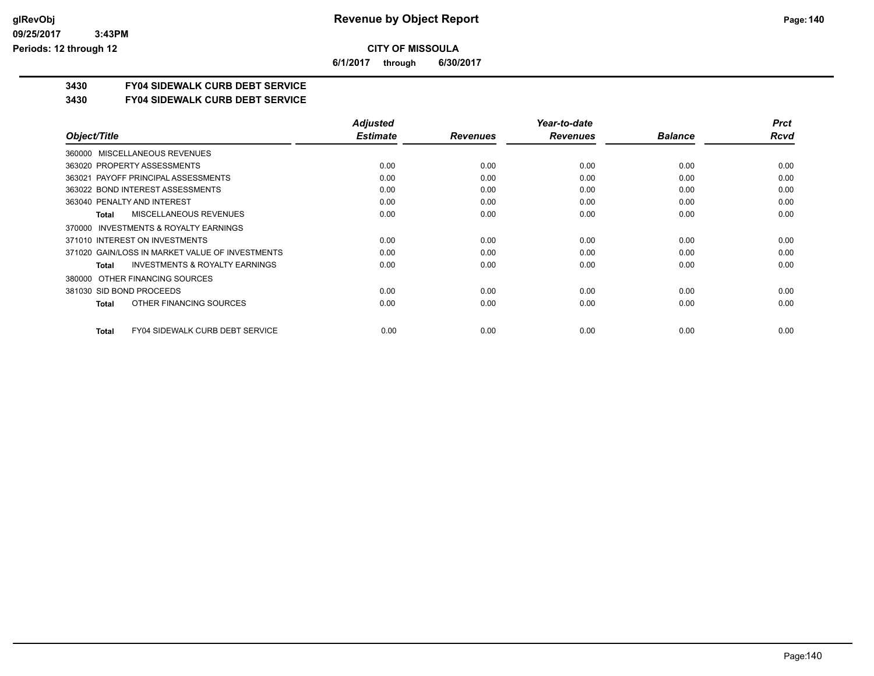**6/1/2017 through 6/30/2017**

## **3430 FY04 SIDEWALK CURB DEBT SERVICE**

## **3430 FY04 SIDEWALK CURB DEBT SERVICE**

|                                                    | <b>Adjusted</b> |                 | Year-to-date    |                | <b>Prct</b> |
|----------------------------------------------------|-----------------|-----------------|-----------------|----------------|-------------|
| Object/Title                                       | <b>Estimate</b> | <b>Revenues</b> | <b>Revenues</b> | <b>Balance</b> | Rcvd        |
| MISCELLANEOUS REVENUES<br>360000                   |                 |                 |                 |                |             |
| 363020 PROPERTY ASSESSMENTS                        | 0.00            | 0.00            | 0.00            | 0.00           | 0.00        |
| 363021 PAYOFF PRINCIPAL ASSESSMENTS                | 0.00            | 0.00            | 0.00            | 0.00           | 0.00        |
| 363022 BOND INTEREST ASSESSMENTS                   | 0.00            | 0.00            | 0.00            | 0.00           | 0.00        |
| 363040 PENALTY AND INTEREST                        | 0.00            | 0.00            | 0.00            | 0.00           | 0.00        |
| <b>MISCELLANEOUS REVENUES</b><br><b>Total</b>      | 0.00            | 0.00            | 0.00            | 0.00           | 0.00        |
| INVESTMENTS & ROYALTY EARNINGS<br>370000           |                 |                 |                 |                |             |
| 371010 INTEREST ON INVESTMENTS                     | 0.00            | 0.00            | 0.00            | 0.00           | 0.00        |
| 371020 GAIN/LOSS IN MARKET VALUE OF INVESTMENTS    | 0.00            | 0.00            | 0.00            | 0.00           | 0.00        |
| <b>INVESTMENTS &amp; ROYALTY EARNINGS</b><br>Total | 0.00            | 0.00            | 0.00            | 0.00           | 0.00        |
| OTHER FINANCING SOURCES<br>380000                  |                 |                 |                 |                |             |
| 381030 SID BOND PROCEEDS                           | 0.00            | 0.00            | 0.00            | 0.00           | 0.00        |
| OTHER FINANCING SOURCES<br><b>Total</b>            | 0.00            | 0.00            | 0.00            | 0.00           | 0.00        |
| FY04 SIDEWALK CURB DEBT SERVICE<br><b>Total</b>    | 0.00            | 0.00            | 0.00            | 0.00           | 0.00        |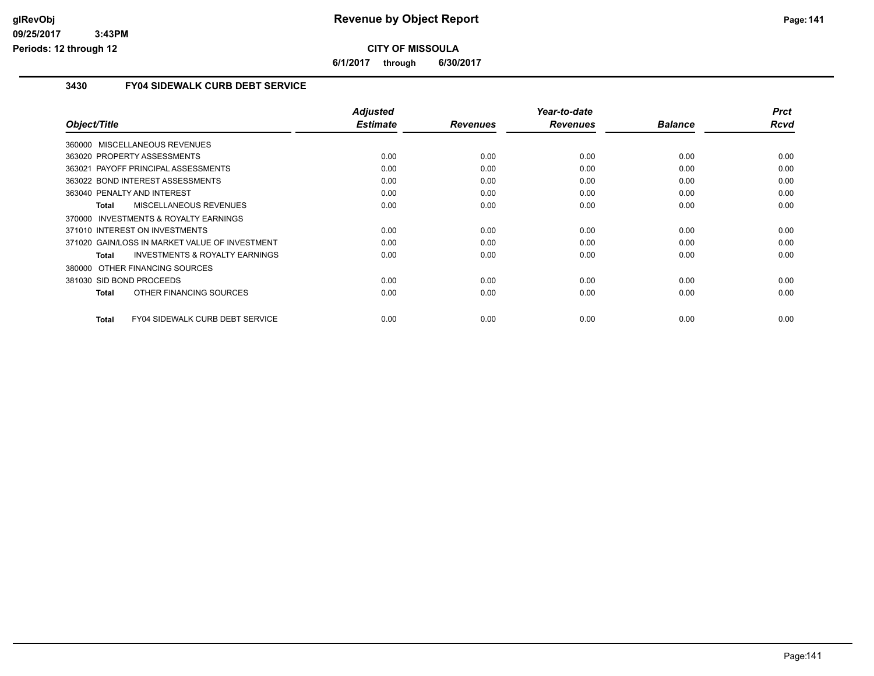**6/1/2017 through 6/30/2017**

## **3430 FY04 SIDEWALK CURB DEBT SERVICE**

| 0.00 |
|------|
| 0.00 |
| 0.00 |
| 0.00 |
| 0.00 |
|      |
| 0.00 |
| 0.00 |
| 0.00 |
|      |
| 0.00 |
| 0.00 |
| 0.00 |
|      |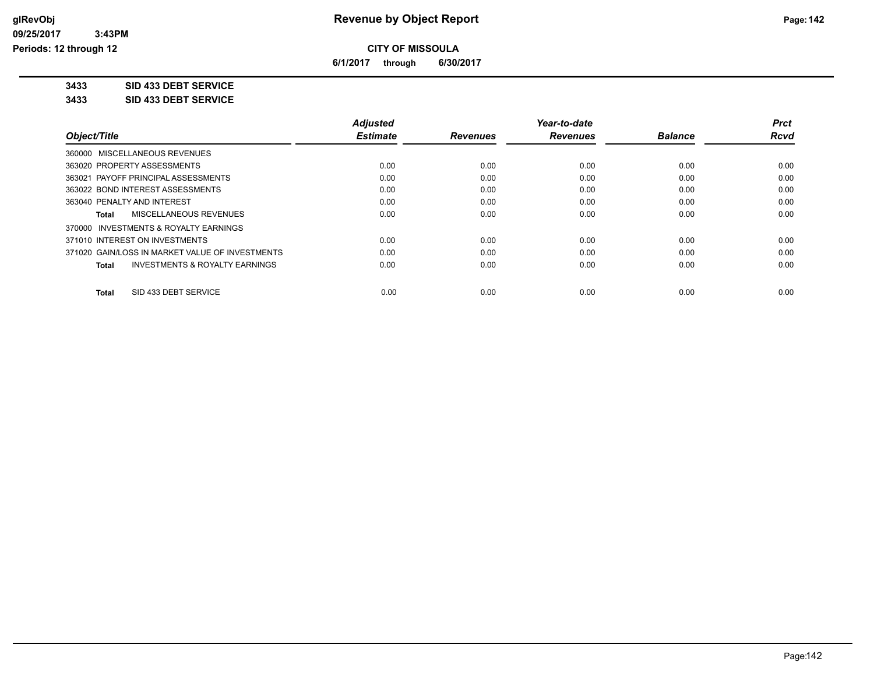**6/1/2017 through 6/30/2017**

**3433 SID 433 DEBT SERVICE**

**3433 SID 433 DEBT SERVICE**

|                                                           | <b>Adiusted</b> |                 | Year-to-date    |                | <b>Prct</b> |
|-----------------------------------------------------------|-----------------|-----------------|-----------------|----------------|-------------|
| Object/Title                                              | <b>Estimate</b> | <b>Revenues</b> | <b>Revenues</b> | <b>Balance</b> | Rcvd        |
| 360000 MISCELLANEOUS REVENUES                             |                 |                 |                 |                |             |
| 363020 PROPERTY ASSESSMENTS                               | 0.00            | 0.00            | 0.00            | 0.00           | 0.00        |
| 363021 PAYOFF PRINCIPAL ASSESSMENTS                       | 0.00            | 0.00            | 0.00            | 0.00           | 0.00        |
| 363022 BOND INTEREST ASSESSMENTS                          | 0.00            | 0.00            | 0.00            | 0.00           | 0.00        |
| 363040 PENALTY AND INTEREST                               | 0.00            | 0.00            | 0.00            | 0.00           | 0.00        |
| MISCELLANEOUS REVENUES<br>Total                           | 0.00            | 0.00            | 0.00            | 0.00           | 0.00        |
| 370000 INVESTMENTS & ROYALTY EARNINGS                     |                 |                 |                 |                |             |
| 371010 INTEREST ON INVESTMENTS                            | 0.00            | 0.00            | 0.00            | 0.00           | 0.00        |
| 371020 GAIN/LOSS IN MARKET VALUE OF INVESTMENTS           | 0.00            | 0.00            | 0.00            | 0.00           | 0.00        |
| <b>INVESTMENTS &amp; ROYALTY EARNINGS</b><br><b>Total</b> | 0.00            | 0.00            | 0.00            | 0.00           | 0.00        |
| SID 433 DEBT SERVICE<br>Total                             | 0.00            | 0.00            | 0.00            | 0.00           | 0.00        |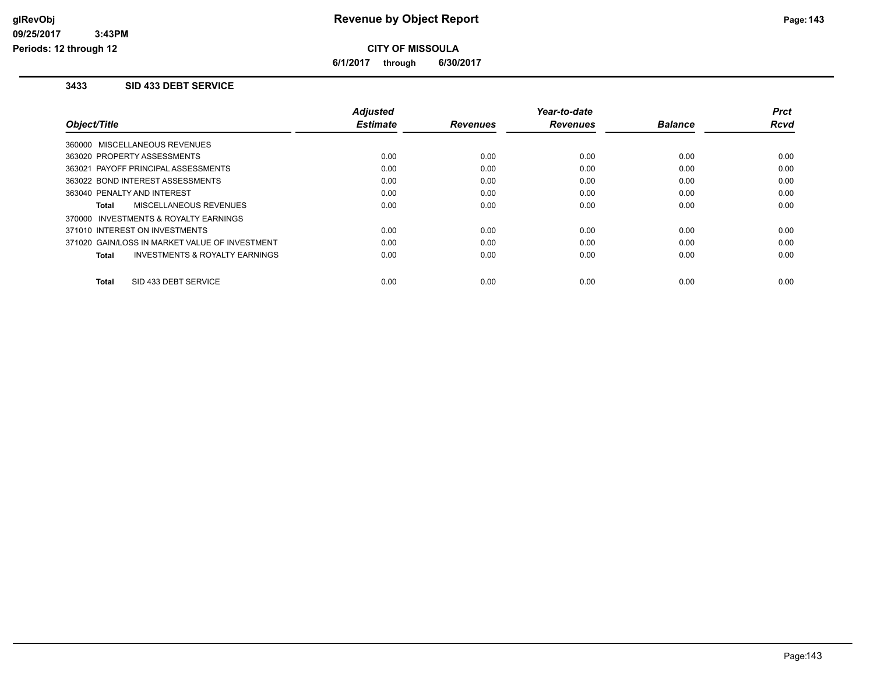**6/1/2017 through 6/30/2017**

## **3433 SID 433 DEBT SERVICE**

|                                                    | <b>Adjusted</b> |                 | Year-to-date    |                | <b>Prct</b> |
|----------------------------------------------------|-----------------|-----------------|-----------------|----------------|-------------|
| Object/Title                                       | <b>Estimate</b> | <b>Revenues</b> | <b>Revenues</b> | <b>Balance</b> | Rcvd        |
| 360000 MISCELLANEOUS REVENUES                      |                 |                 |                 |                |             |
| 363020 PROPERTY ASSESSMENTS                        | 0.00            | 0.00            | 0.00            | 0.00           | 0.00        |
| 363021 PAYOFF PRINCIPAL ASSESSMENTS                | 0.00            | 0.00            | 0.00            | 0.00           | 0.00        |
| 363022 BOND INTEREST ASSESSMENTS                   | 0.00            | 0.00            | 0.00            | 0.00           | 0.00        |
| 363040 PENALTY AND INTEREST                        | 0.00            | 0.00            | 0.00            | 0.00           | 0.00        |
| MISCELLANEOUS REVENUES<br>Total                    | 0.00            | 0.00            | 0.00            | 0.00           | 0.00        |
| INVESTMENTS & ROYALTY EARNINGS<br>370000           |                 |                 |                 |                |             |
| 371010 INTEREST ON INVESTMENTS                     | 0.00            | 0.00            | 0.00            | 0.00           | 0.00        |
| 371020 GAIN/LOSS IN MARKET VALUE OF INVESTMENT     | 0.00            | 0.00            | 0.00            | 0.00           | 0.00        |
| <b>INVESTMENTS &amp; ROYALTY EARNINGS</b><br>Total | 0.00            | 0.00            | 0.00            | 0.00           | 0.00        |
|                                                    |                 |                 |                 |                |             |
| SID 433 DEBT SERVICE<br><b>Total</b>               | 0.00            | 0.00            | 0.00            | 0.00           | 0.00        |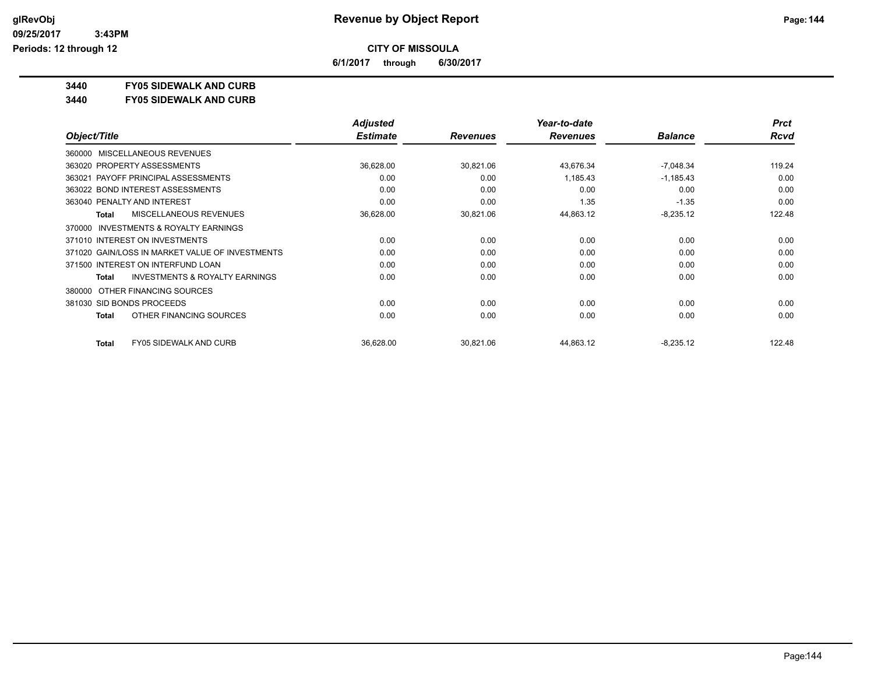**6/1/2017 through 6/30/2017**

**3440 FY05 SIDEWALK AND CURB**

**3440 FY05 SIDEWALK AND CURB**

|                                                           | <b>Adjusted</b> |                 | Year-to-date    |                | <b>Prct</b> |
|-----------------------------------------------------------|-----------------|-----------------|-----------------|----------------|-------------|
| Object/Title                                              | <b>Estimate</b> | <b>Revenues</b> | <b>Revenues</b> | <b>Balance</b> | Rcvd        |
| MISCELLANEOUS REVENUES<br>360000                          |                 |                 |                 |                |             |
| 363020 PROPERTY ASSESSMENTS                               | 36,628.00       | 30,821.06       | 43,676.34       | $-7,048.34$    | 119.24      |
| 363021 PAYOFF PRINCIPAL ASSESSMENTS                       | 0.00            | 0.00            | 1,185.43        | $-1,185.43$    | 0.00        |
| 363022 BOND INTEREST ASSESSMENTS                          | 0.00            | 0.00            | 0.00            | 0.00           | 0.00        |
| 363040 PENALTY AND INTEREST                               | 0.00            | 0.00            | 1.35            | $-1.35$        | 0.00        |
| <b>MISCELLANEOUS REVENUES</b><br><b>Total</b>             | 36,628.00       | 30,821.06       | 44,863.12       | $-8,235.12$    | 122.48      |
| INVESTMENTS & ROYALTY EARNINGS<br>370000                  |                 |                 |                 |                |             |
| 371010 INTEREST ON INVESTMENTS                            | 0.00            | 0.00            | 0.00            | 0.00           | 0.00        |
| 371020 GAIN/LOSS IN MARKET VALUE OF INVESTMENTS           | 0.00            | 0.00            | 0.00            | 0.00           | 0.00        |
| 371500 INTEREST ON INTERFUND LOAN                         | 0.00            | 0.00            | 0.00            | 0.00           | 0.00        |
| <b>INVESTMENTS &amp; ROYALTY EARNINGS</b><br><b>Total</b> | 0.00            | 0.00            | 0.00            | 0.00           | 0.00        |
| OTHER FINANCING SOURCES<br>380000                         |                 |                 |                 |                |             |
| 381030 SID BONDS PROCEEDS                                 | 0.00            | 0.00            | 0.00            | 0.00           | 0.00        |
| OTHER FINANCING SOURCES<br>Total                          | 0.00            | 0.00            | 0.00            | 0.00           | 0.00        |
| <b>FY05 SIDEWALK AND CURB</b><br><b>Total</b>             | 36,628.00       | 30,821.06       | 44,863.12       | $-8,235.12$    | 122.48      |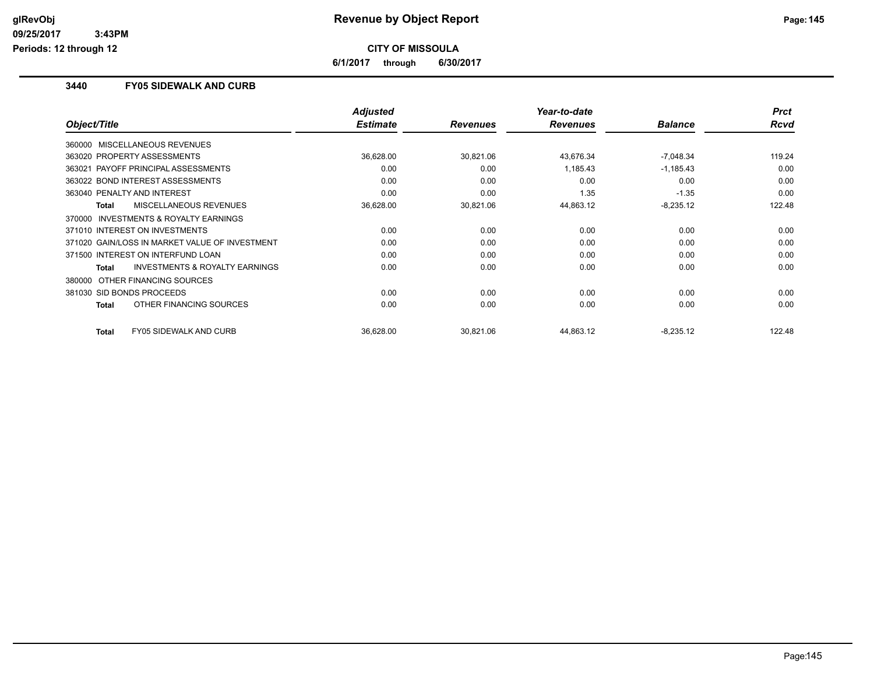**6/1/2017 through 6/30/2017**

# **3440 FY05 SIDEWALK AND CURB**

|                                                           | <b>Adjusted</b> |                 | Year-to-date    |                | <b>Prct</b> |
|-----------------------------------------------------------|-----------------|-----------------|-----------------|----------------|-------------|
| Object/Title                                              | <b>Estimate</b> | <b>Revenues</b> | <b>Revenues</b> | <b>Balance</b> | Rcvd        |
| 360000 MISCELLANEOUS REVENUES                             |                 |                 |                 |                |             |
| 363020 PROPERTY ASSESSMENTS                               | 36,628.00       | 30,821.06       | 43,676.34       | $-7,048.34$    | 119.24      |
| 363021 PAYOFF PRINCIPAL ASSESSMENTS                       | 0.00            | 0.00            | 1,185.43        | $-1,185.43$    | 0.00        |
| 363022 BOND INTEREST ASSESSMENTS                          | 0.00            | 0.00            | 0.00            | 0.00           | 0.00        |
| 363040 PENALTY AND INTEREST                               | 0.00            | 0.00            | 1.35            | $-1.35$        | 0.00        |
| <b>MISCELLANEOUS REVENUES</b><br><b>Total</b>             | 36,628.00       | 30,821.06       | 44,863.12       | $-8,235.12$    | 122.48      |
| <b>INVESTMENTS &amp; ROYALTY EARNINGS</b><br>370000       |                 |                 |                 |                |             |
| 371010 INTEREST ON INVESTMENTS                            | 0.00            | 0.00            | 0.00            | 0.00           | 0.00        |
| 371020 GAIN/LOSS IN MARKET VALUE OF INVESTMENT            | 0.00            | 0.00            | 0.00            | 0.00           | 0.00        |
| 371500 INTEREST ON INTERFUND LOAN                         | 0.00            | 0.00            | 0.00            | 0.00           | 0.00        |
| <b>INVESTMENTS &amp; ROYALTY EARNINGS</b><br><b>Total</b> | 0.00            | 0.00            | 0.00            | 0.00           | 0.00        |
| OTHER FINANCING SOURCES<br>380000                         |                 |                 |                 |                |             |
| 381030 SID BONDS PROCEEDS                                 | 0.00            | 0.00            | 0.00            | 0.00           | 0.00        |
| OTHER FINANCING SOURCES<br><b>Total</b>                   | 0.00            | 0.00            | 0.00            | 0.00           | 0.00        |
| <b>FY05 SIDEWALK AND CURB</b><br><b>Total</b>             | 36,628.00       | 30,821.06       | 44,863.12       | $-8,235.12$    | 122.48      |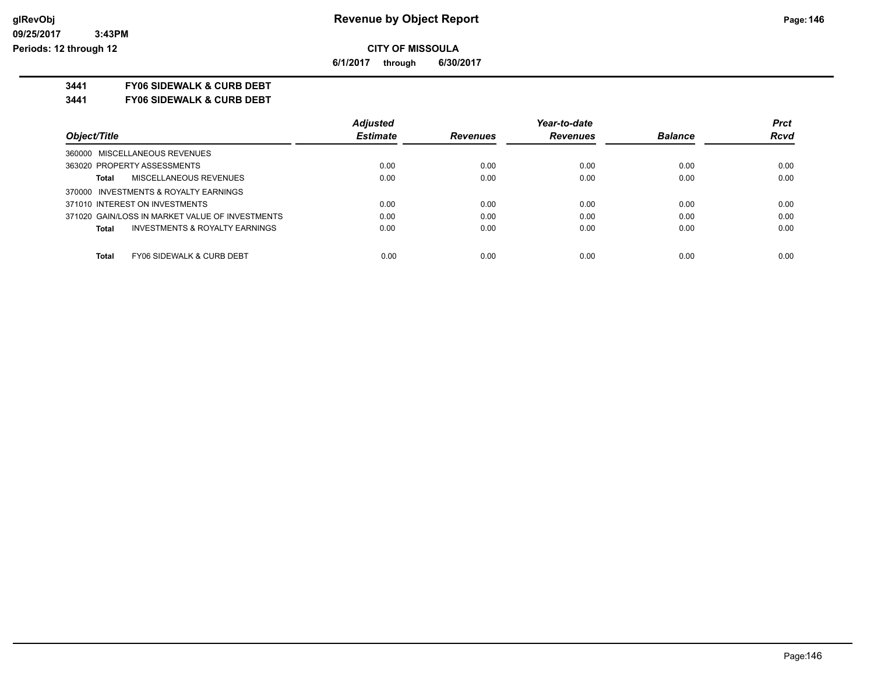**6/1/2017 through 6/30/2017**

**3441 FY06 SIDEWALK & CURB DEBT**

**3441 FY06 SIDEWALK & CURB DEBT**

|                                                           | <b>Adjusted</b> |                 | Year-to-date    |                | <b>Prct</b> |
|-----------------------------------------------------------|-----------------|-----------------|-----------------|----------------|-------------|
| Object/Title                                              | <b>Estimate</b> | <b>Revenues</b> | <b>Revenues</b> | <b>Balance</b> | <b>Rcvd</b> |
| 360000 MISCELLANEOUS REVENUES                             |                 |                 |                 |                |             |
| 363020 PROPERTY ASSESSMENTS                               | 0.00            | 0.00            | 0.00            | 0.00           | 0.00        |
| MISCELLANEOUS REVENUES<br><b>Total</b>                    | 0.00            | 0.00            | 0.00            | 0.00           | 0.00        |
| 370000 INVESTMENTS & ROYALTY EARNINGS                     |                 |                 |                 |                |             |
| 371010 INTEREST ON INVESTMENTS                            | 0.00            | 0.00            | 0.00            | 0.00           | 0.00        |
| 371020 GAIN/LOSS IN MARKET VALUE OF INVESTMENTS           | 0.00            | 0.00            | 0.00            | 0.00           | 0.00        |
| <b>INVESTMENTS &amp; ROYALTY EARNINGS</b><br><b>Total</b> | 0.00            | 0.00            | 0.00            | 0.00           | 0.00        |
| <b>Total</b><br><b>FY06 SIDEWALK &amp; CURB DEBT</b>      | 0.00            | 0.00            | 0.00            | 0.00           | 0.00        |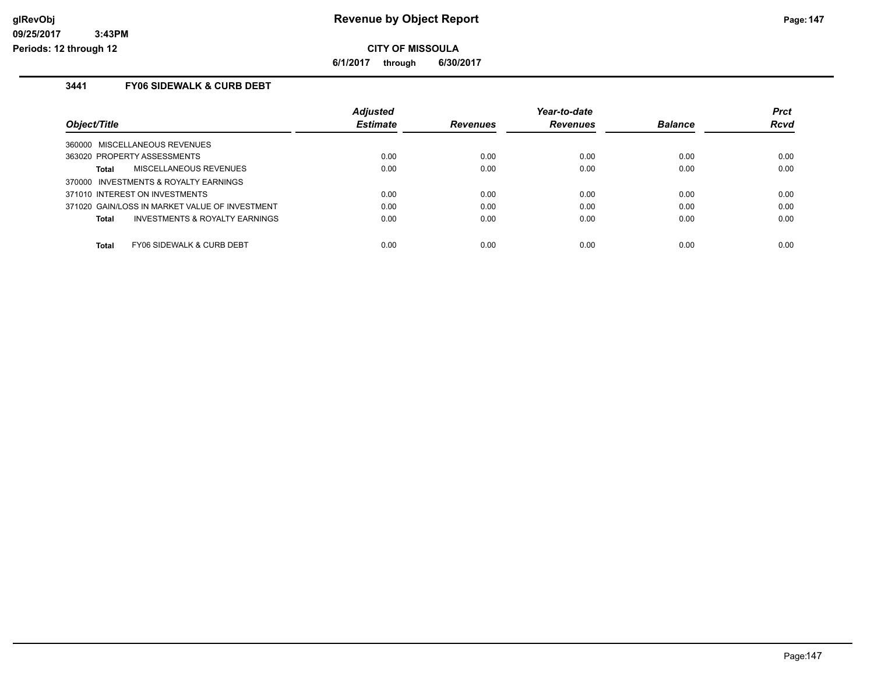**6/1/2017 through 6/30/2017**

# **3441 FY06 SIDEWALK & CURB DEBT**

|                                                           | <b>Adjusted</b> |                 | Year-to-date    |                | <b>Prct</b> |
|-----------------------------------------------------------|-----------------|-----------------|-----------------|----------------|-------------|
| Object/Title                                              | <b>Estimate</b> | <b>Revenues</b> | <b>Revenues</b> | <b>Balance</b> | <b>Rcvd</b> |
| 360000 MISCELLANEOUS REVENUES                             |                 |                 |                 |                |             |
| 363020 PROPERTY ASSESSMENTS                               | 0.00            | 0.00            | 0.00            | 0.00           | 0.00        |
| MISCELLANEOUS REVENUES<br>Total                           | 0.00            | 0.00            | 0.00            | 0.00           | 0.00        |
| 370000 INVESTMENTS & ROYALTY EARNINGS                     |                 |                 |                 |                |             |
| 371010 INTEREST ON INVESTMENTS                            | 0.00            | 0.00            | 0.00            | 0.00           | 0.00        |
| 371020 GAIN/LOSS IN MARKET VALUE OF INVESTMENT            | 0.00            | 0.00            | 0.00            | 0.00           | 0.00        |
| <b>INVESTMENTS &amp; ROYALTY EARNINGS</b><br><b>Total</b> | 0.00            | 0.00            | 0.00            | 0.00           | 0.00        |
| <b>Total</b><br><b>FY06 SIDEWALK &amp; CURB DEBT</b>      | 0.00            | 0.00            | 0.00            | 0.00           | 0.00        |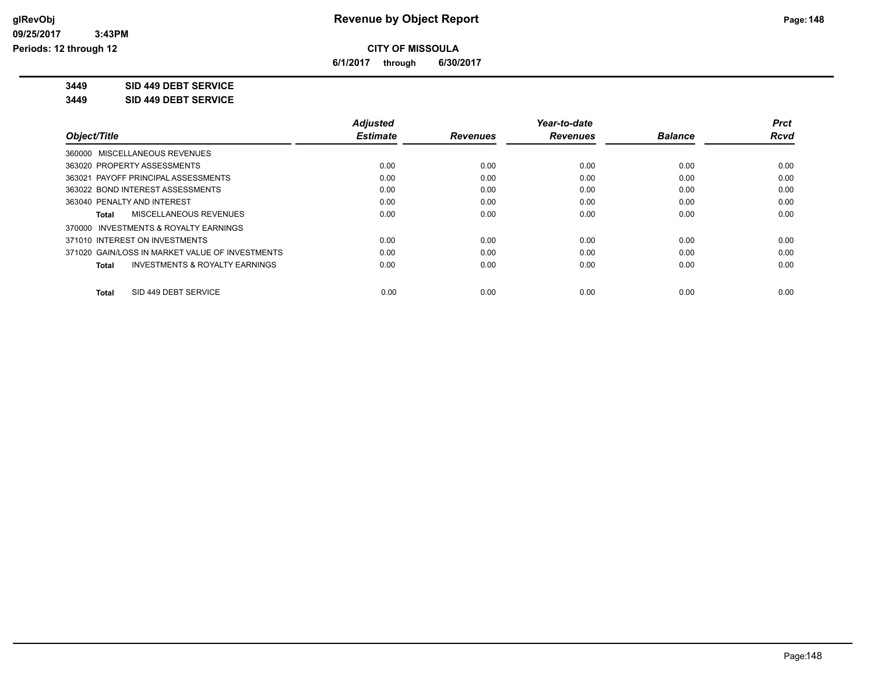**6/1/2017 through 6/30/2017**

**3449 SID 449 DEBT SERVICE**

**3449 SID 449 DEBT SERVICE**

|                                                 | <b>Adiusted</b> |                 | Year-to-date    |                | <b>Prct</b> |
|-------------------------------------------------|-----------------|-----------------|-----------------|----------------|-------------|
| Object/Title                                    | <b>Estimate</b> | <b>Revenues</b> | <b>Revenues</b> | <b>Balance</b> | <b>Rcvd</b> |
| 360000 MISCELLANEOUS REVENUES                   |                 |                 |                 |                |             |
| 363020 PROPERTY ASSESSMENTS                     | 0.00            | 0.00            | 0.00            | 0.00           | 0.00        |
| 363021 PAYOFF PRINCIPAL ASSESSMENTS             | 0.00            | 0.00            | 0.00            | 0.00           | 0.00        |
| 363022 BOND INTEREST ASSESSMENTS                | 0.00            | 0.00            | 0.00            | 0.00           | 0.00        |
| 363040 PENALTY AND INTEREST                     | 0.00            | 0.00            | 0.00            | 0.00           | 0.00        |
| MISCELLANEOUS REVENUES<br>Total                 | 0.00            | 0.00            | 0.00            | 0.00           | 0.00        |
| 370000 INVESTMENTS & ROYALTY EARNINGS           |                 |                 |                 |                |             |
| 371010 INTEREST ON INVESTMENTS                  | 0.00            | 0.00            | 0.00            | 0.00           | 0.00        |
| 371020 GAIN/LOSS IN MARKET VALUE OF INVESTMENTS | 0.00            | 0.00            | 0.00            | 0.00           | 0.00        |
| INVESTMENTS & ROYALTY EARNINGS<br><b>Total</b>  | 0.00            | 0.00            | 0.00            | 0.00           | 0.00        |
| SID 449 DEBT SERVICE<br>Total                   | 0.00            | 0.00            | 0.00            | 0.00           | 0.00        |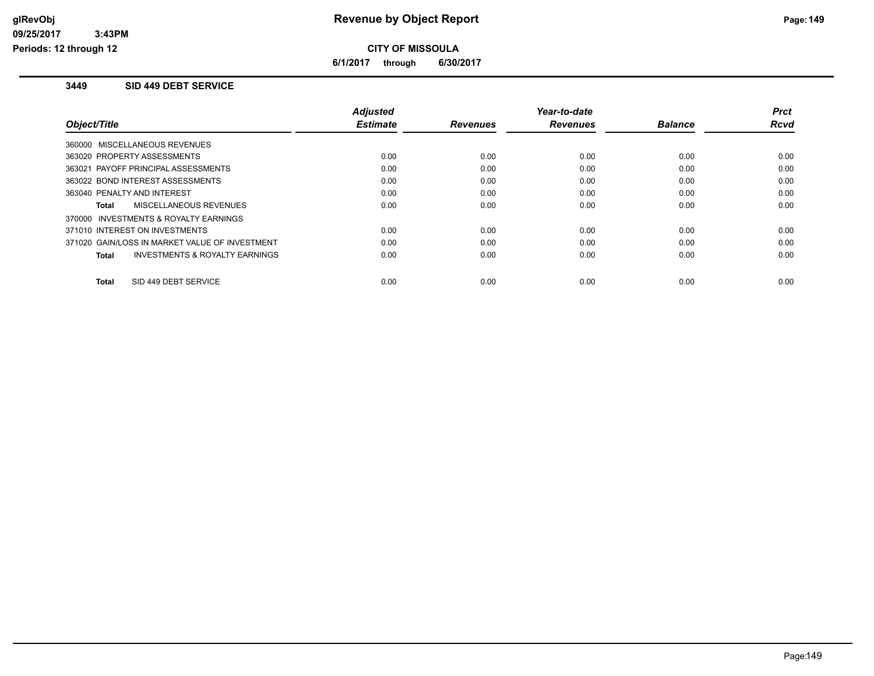**6/1/2017 through 6/30/2017**

### **3449 SID 449 DEBT SERVICE**

|                                                | <b>Adjusted</b> |                 | Year-to-date    |                | Prct        |
|------------------------------------------------|-----------------|-----------------|-----------------|----------------|-------------|
| Object/Title                                   | <b>Estimate</b> | <b>Revenues</b> | <b>Revenues</b> | <b>Balance</b> | <b>Rcvd</b> |
| 360000 MISCELLANEOUS REVENUES                  |                 |                 |                 |                |             |
| 363020 PROPERTY ASSESSMENTS                    | 0.00            | 0.00            | 0.00            | 0.00           | 0.00        |
| 363021 PAYOFF PRINCIPAL ASSESSMENTS            | 0.00            | 0.00            | 0.00            | 0.00           | 0.00        |
| 363022 BOND INTEREST ASSESSMENTS               | 0.00            | 0.00            | 0.00            | 0.00           | 0.00        |
| 363040 PENALTY AND INTEREST                    | 0.00            | 0.00            | 0.00            | 0.00           | 0.00        |
| <b>MISCELLANEOUS REVENUES</b><br><b>Total</b>  | 0.00            | 0.00            | 0.00            | 0.00           | 0.00        |
| INVESTMENTS & ROYALTY EARNINGS<br>370000       |                 |                 |                 |                |             |
| 371010 INTEREST ON INVESTMENTS                 | 0.00            | 0.00            | 0.00            | 0.00           | 0.00        |
| 371020 GAIN/LOSS IN MARKET VALUE OF INVESTMENT | 0.00            | 0.00            | 0.00            | 0.00           | 0.00        |
| INVESTMENTS & ROYALTY EARNINGS<br><b>Total</b> | 0.00            | 0.00            | 0.00            | 0.00           | 0.00        |
|                                                |                 |                 |                 |                |             |
| SID 449 DEBT SERVICE<br><b>Total</b>           | 0.00            | 0.00            | 0.00            | 0.00           | 0.00        |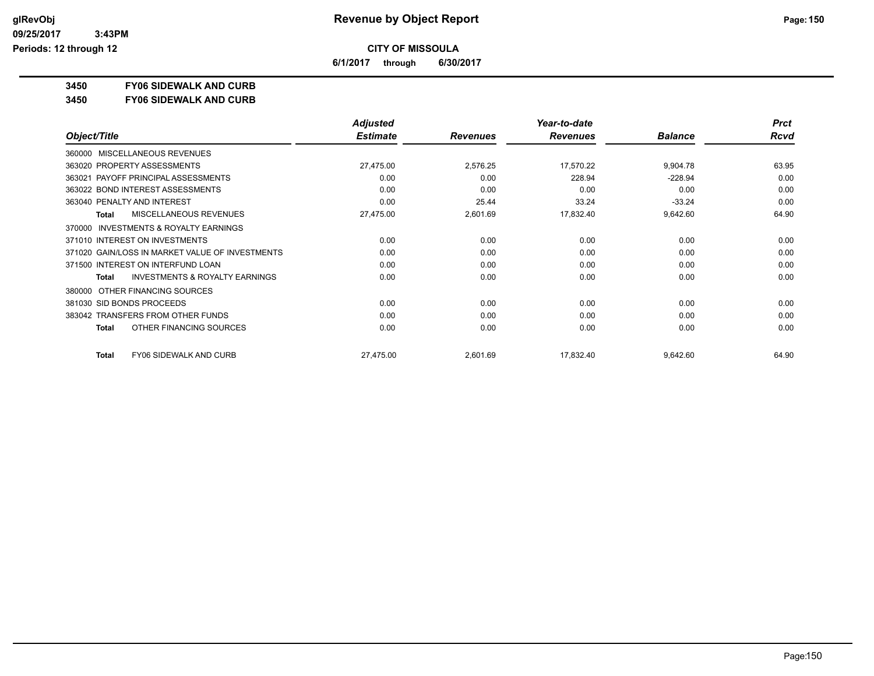**6/1/2017 through 6/30/2017**

**3450 FY06 SIDEWALK AND CURB**

**3450 FY06 SIDEWALK AND CURB**

|                                                     | <b>Adjusted</b> |                 | Year-to-date    |                | <b>Prct</b> |
|-----------------------------------------------------|-----------------|-----------------|-----------------|----------------|-------------|
| Object/Title                                        | <b>Estimate</b> | <b>Revenues</b> | <b>Revenues</b> | <b>Balance</b> | <b>Rcvd</b> |
| MISCELLANEOUS REVENUES<br>360000                    |                 |                 |                 |                |             |
| 363020 PROPERTY ASSESSMENTS                         | 27,475.00       | 2,576.25        | 17,570.22       | 9,904.78       | 63.95       |
| 363021 PAYOFF PRINCIPAL ASSESSMENTS                 | 0.00            | 0.00            | 228.94          | $-228.94$      | 0.00        |
| 363022 BOND INTEREST ASSESSMENTS                    | 0.00            | 0.00            | 0.00            | 0.00           | 0.00        |
| 363040 PENALTY AND INTEREST                         | 0.00            | 25.44           | 33.24           | $-33.24$       | 0.00        |
| MISCELLANEOUS REVENUES<br>Total                     | 27,475.00       | 2,601.69        | 17,832.40       | 9,642.60       | 64.90       |
| <b>INVESTMENTS &amp; ROYALTY EARNINGS</b><br>370000 |                 |                 |                 |                |             |
| 371010 INTEREST ON INVESTMENTS                      | 0.00            | 0.00            | 0.00            | 0.00           | 0.00        |
| 371020 GAIN/LOSS IN MARKET VALUE OF INVESTMENTS     | 0.00            | 0.00            | 0.00            | 0.00           | 0.00        |
| 371500 INTEREST ON INTERFUND LOAN                   | 0.00            | 0.00            | 0.00            | 0.00           | 0.00        |
| <b>INVESTMENTS &amp; ROYALTY EARNINGS</b><br>Total  | 0.00            | 0.00            | 0.00            | 0.00           | 0.00        |
| OTHER FINANCING SOURCES<br>380000                   |                 |                 |                 |                |             |
| 381030 SID BONDS PROCEEDS                           | 0.00            | 0.00            | 0.00            | 0.00           | 0.00        |
| 383042 TRANSFERS FROM OTHER FUNDS                   | 0.00            | 0.00            | 0.00            | 0.00           | 0.00        |
| OTHER FINANCING SOURCES<br>Total                    | 0.00            | 0.00            | 0.00            | 0.00           | 0.00        |
| <b>FY06 SIDEWALK AND CURB</b><br>Total              | 27,475.00       | 2,601.69        | 17,832.40       | 9,642.60       | 64.90       |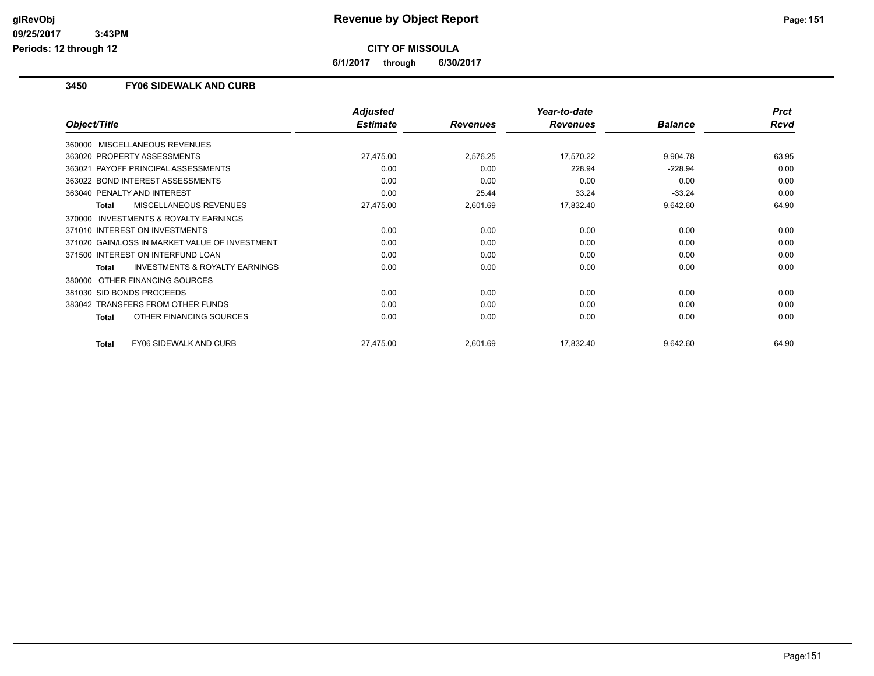**6/1/2017 through 6/30/2017**

# **3450 FY06 SIDEWALK AND CURB**

|                                                           | <b>Adjusted</b> |                 | Year-to-date    |                | <b>Prct</b> |
|-----------------------------------------------------------|-----------------|-----------------|-----------------|----------------|-------------|
| Object/Title                                              | <b>Estimate</b> | <b>Revenues</b> | <b>Revenues</b> | <b>Balance</b> | <b>Rcvd</b> |
| 360000 MISCELLANEOUS REVENUES                             |                 |                 |                 |                |             |
| 363020 PROPERTY ASSESSMENTS                               | 27,475.00       | 2,576.25        | 17,570.22       | 9,904.78       | 63.95       |
| 363021 PAYOFF PRINCIPAL ASSESSMENTS                       | 0.00            | 0.00            | 228.94          | $-228.94$      | 0.00        |
| 363022 BOND INTEREST ASSESSMENTS                          | 0.00            | 0.00            | 0.00            | 0.00           | 0.00        |
| 363040 PENALTY AND INTEREST                               | 0.00            | 25.44           | 33.24           | $-33.24$       | 0.00        |
| <b>MISCELLANEOUS REVENUES</b><br><b>Total</b>             | 27,475.00       | 2,601.69        | 17,832.40       | 9,642.60       | 64.90       |
| <b>INVESTMENTS &amp; ROYALTY EARNINGS</b><br>370000       |                 |                 |                 |                |             |
| 371010 INTEREST ON INVESTMENTS                            | 0.00            | 0.00            | 0.00            | 0.00           | 0.00        |
| 371020 GAIN/LOSS IN MARKET VALUE OF INVESTMENT            | 0.00            | 0.00            | 0.00            | 0.00           | 0.00        |
| 371500 INTEREST ON INTERFUND LOAN                         | 0.00            | 0.00            | 0.00            | 0.00           | 0.00        |
| <b>INVESTMENTS &amp; ROYALTY EARNINGS</b><br><b>Total</b> | 0.00            | 0.00            | 0.00            | 0.00           | 0.00        |
| 380000 OTHER FINANCING SOURCES                            |                 |                 |                 |                |             |
| 381030 SID BONDS PROCEEDS                                 | 0.00            | 0.00            | 0.00            | 0.00           | 0.00        |
| 383042 TRANSFERS FROM OTHER FUNDS                         | 0.00            | 0.00            | 0.00            | 0.00           | 0.00        |
| OTHER FINANCING SOURCES<br><b>Total</b>                   | 0.00            | 0.00            | 0.00            | 0.00           | 0.00        |
| FY06 SIDEWALK AND CURB<br><b>Total</b>                    | 27,475.00       | 2,601.69        | 17,832.40       | 9,642.60       | 64.90       |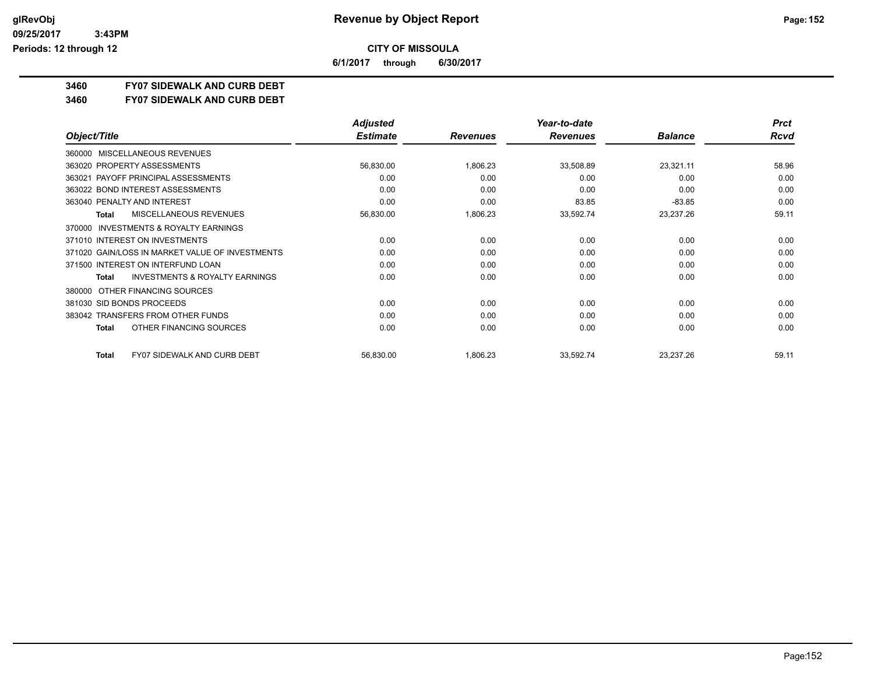**6/1/2017 through 6/30/2017**

**3460 FY07 SIDEWALK AND CURB DEBT**

**3460 FY07 SIDEWALK AND CURB DEBT**

|                                                     | <b>Adjusted</b> |                 | Year-to-date    |                | <b>Prct</b> |
|-----------------------------------------------------|-----------------|-----------------|-----------------|----------------|-------------|
| Object/Title                                        | <b>Estimate</b> | <b>Revenues</b> | <b>Revenues</b> | <b>Balance</b> | <b>Rcvd</b> |
| <b>MISCELLANEOUS REVENUES</b><br>360000             |                 |                 |                 |                |             |
| 363020 PROPERTY ASSESSMENTS                         | 56,830.00       | 1,806.23        | 33,508.89       | 23,321.11      | 58.96       |
| PAYOFF PRINCIPAL ASSESSMENTS<br>363021              | 0.00            | 0.00            | 0.00            | 0.00           | 0.00        |
| 363022 BOND INTEREST ASSESSMENTS                    | 0.00            | 0.00            | 0.00            | 0.00           | 0.00        |
| 363040 PENALTY AND INTEREST                         | 0.00            | 0.00            | 83.85           | $-83.85$       | 0.00        |
| <b>MISCELLANEOUS REVENUES</b><br>Total              | 56,830.00       | 1,806.23        | 33,592.74       | 23,237.26      | 59.11       |
| <b>INVESTMENTS &amp; ROYALTY EARNINGS</b><br>370000 |                 |                 |                 |                |             |
| 371010 INTEREST ON INVESTMENTS                      | 0.00            | 0.00            | 0.00            | 0.00           | 0.00        |
| 371020 GAIN/LOSS IN MARKET VALUE OF INVESTMENTS     | 0.00            | 0.00            | 0.00            | 0.00           | 0.00        |
| 371500 INTEREST ON INTERFUND LOAN                   | 0.00            | 0.00            | 0.00            | 0.00           | 0.00        |
| <b>INVESTMENTS &amp; ROYALTY EARNINGS</b><br>Total  | 0.00            | 0.00            | 0.00            | 0.00           | 0.00        |
| OTHER FINANCING SOURCES<br>380000                   |                 |                 |                 |                |             |
| 381030 SID BONDS PROCEEDS                           | 0.00            | 0.00            | 0.00            | 0.00           | 0.00        |
| 383042 TRANSFERS FROM OTHER FUNDS                   | 0.00            | 0.00            | 0.00            | 0.00           | 0.00        |
| OTHER FINANCING SOURCES<br><b>Total</b>             | 0.00            | 0.00            | 0.00            | 0.00           | 0.00        |
| <b>FY07 SIDEWALK AND CURB DEBT</b><br><b>Total</b>  | 56,830.00       | 1,806.23        | 33,592.74       | 23,237.26      | 59.11       |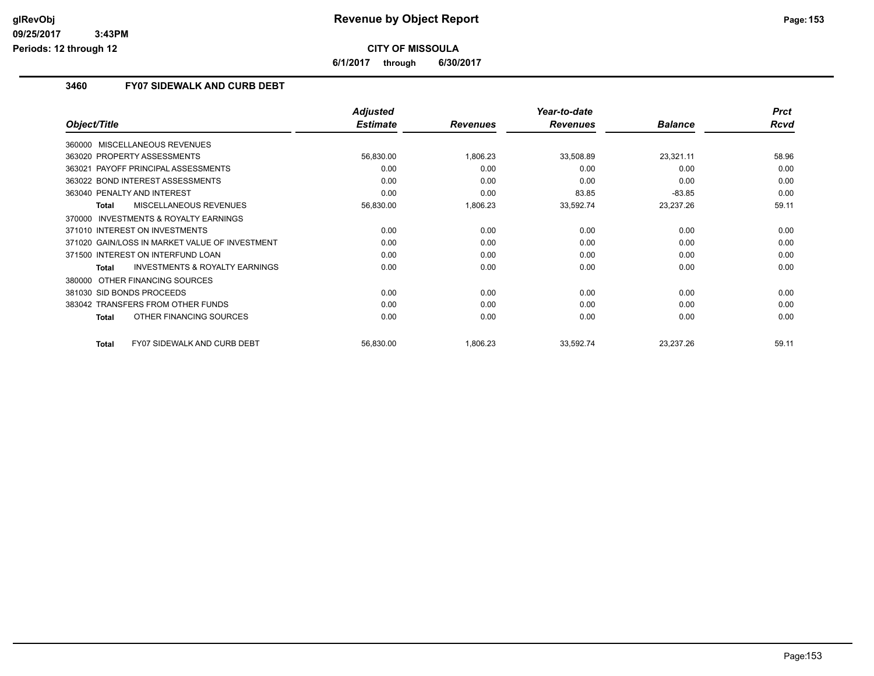**6/1/2017 through 6/30/2017**

# **3460 FY07 SIDEWALK AND CURB DEBT**

|                                                     | <b>Adjusted</b> |                 | Year-to-date    |                | <b>Prct</b> |
|-----------------------------------------------------|-----------------|-----------------|-----------------|----------------|-------------|
| Object/Title                                        | <b>Estimate</b> | <b>Revenues</b> | <b>Revenues</b> | <b>Balance</b> | Rcvd        |
| 360000 MISCELLANEOUS REVENUES                       |                 |                 |                 |                |             |
| 363020 PROPERTY ASSESSMENTS                         | 56,830.00       | 1,806.23        | 33,508.89       | 23,321.11      | 58.96       |
| 363021 PAYOFF PRINCIPAL ASSESSMENTS                 | 0.00            | 0.00            | 0.00            | 0.00           | 0.00        |
| 363022 BOND INTEREST ASSESSMENTS                    | 0.00            | 0.00            | 0.00            | 0.00           | 0.00        |
| 363040 PENALTY AND INTEREST                         | 0.00            | 0.00            | 83.85           | $-83.85$       | 0.00        |
| MISCELLANEOUS REVENUES<br><b>Total</b>              | 56,830.00       | 1,806.23        | 33,592.74       | 23,237.26      | 59.11       |
| <b>INVESTMENTS &amp; ROYALTY EARNINGS</b><br>370000 |                 |                 |                 |                |             |
| 371010 INTEREST ON INVESTMENTS                      | 0.00            | 0.00            | 0.00            | 0.00           | 0.00        |
| 371020 GAIN/LOSS IN MARKET VALUE OF INVESTMENT      | 0.00            | 0.00            | 0.00            | 0.00           | 0.00        |
| 371500 INTEREST ON INTERFUND LOAN                   | 0.00            | 0.00            | 0.00            | 0.00           | 0.00        |
| <b>INVESTMENTS &amp; ROYALTY EARNINGS</b><br>Total  | 0.00            | 0.00            | 0.00            | 0.00           | 0.00        |
| 380000 OTHER FINANCING SOURCES                      |                 |                 |                 |                |             |
| 381030 SID BONDS PROCEEDS                           | 0.00            | 0.00            | 0.00            | 0.00           | 0.00        |
| 383042 TRANSFERS FROM OTHER FUNDS                   | 0.00            | 0.00            | 0.00            | 0.00           | 0.00        |
| OTHER FINANCING SOURCES<br><b>Total</b>             | 0.00            | 0.00            | 0.00            | 0.00           | 0.00        |
| <b>FY07 SIDEWALK AND CURB DEBT</b><br><b>Total</b>  | 56,830.00       | 1,806.23        | 33,592.74       | 23,237.26      | 59.11       |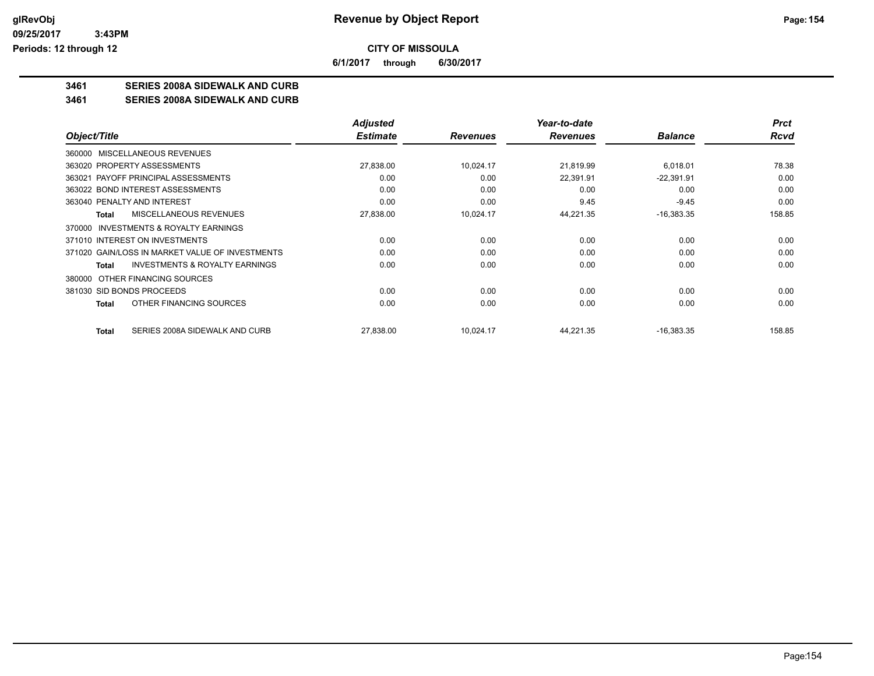**6/1/2017 through 6/30/2017**

# **3461 SERIES 2008A SIDEWALK AND CURB**

### **3461 SERIES 2008A SIDEWALK AND CURB**

|                                                    | <b>Adjusted</b> |                 | Year-to-date    |                | <b>Prct</b> |
|----------------------------------------------------|-----------------|-----------------|-----------------|----------------|-------------|
| Object/Title                                       | <b>Estimate</b> | <b>Revenues</b> | <b>Revenues</b> | <b>Balance</b> | <b>Rcvd</b> |
| 360000 MISCELLANEOUS REVENUES                      |                 |                 |                 |                |             |
| 363020 PROPERTY ASSESSMENTS                        | 27,838.00       | 10,024.17       | 21,819.99       | 6,018.01       | 78.38       |
| 363021 PAYOFF PRINCIPAL ASSESSMENTS                | 0.00            | 0.00            | 22,391.91       | $-22,391.91$   | 0.00        |
| 363022 BOND INTEREST ASSESSMENTS                   | 0.00            | 0.00            | 0.00            | 0.00           | 0.00        |
| 363040 PENALTY AND INTEREST                        | 0.00            | 0.00            | 9.45            | $-9.45$        | 0.00        |
| MISCELLANEOUS REVENUES<br>Total                    | 27,838.00       | 10,024.17       | 44,221.35       | $-16,383.35$   | 158.85      |
| 370000 INVESTMENTS & ROYALTY EARNINGS              |                 |                 |                 |                |             |
| 371010 INTEREST ON INVESTMENTS                     | 0.00            | 0.00            | 0.00            | 0.00           | 0.00        |
| 371020 GAIN/LOSS IN MARKET VALUE OF INVESTMENTS    | 0.00            | 0.00            | 0.00            | 0.00           | 0.00        |
| <b>INVESTMENTS &amp; ROYALTY EARNINGS</b><br>Total | 0.00            | 0.00            | 0.00            | 0.00           | 0.00        |
| OTHER FINANCING SOURCES<br>380000                  |                 |                 |                 |                |             |
| 381030 SID BONDS PROCEEDS                          | 0.00            | 0.00            | 0.00            | 0.00           | 0.00        |
| OTHER FINANCING SOURCES<br>Total                   | 0.00            | 0.00            | 0.00            | 0.00           | 0.00        |
| SERIES 2008A SIDEWALK AND CURB<br><b>Total</b>     | 27,838.00       | 10,024.17       | 44,221.35       | $-16,383.35$   | 158.85      |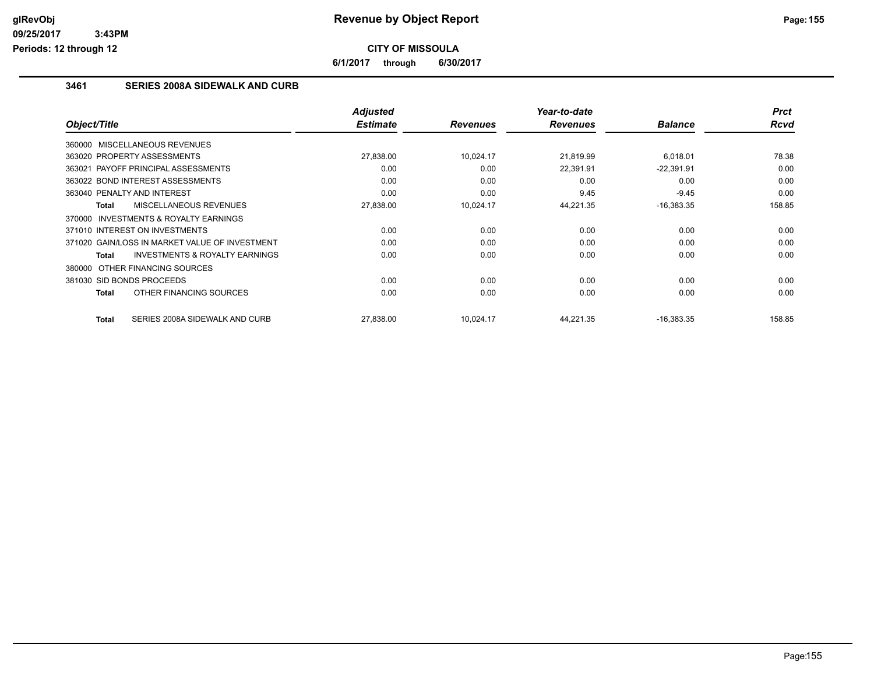**6/1/2017 through 6/30/2017**

# **3461 SERIES 2008A SIDEWALK AND CURB**

|                                                    | <b>Adjusted</b> |                 | Year-to-date    |                | <b>Prct</b> |
|----------------------------------------------------|-----------------|-----------------|-----------------|----------------|-------------|
| Object/Title                                       | <b>Estimate</b> | <b>Revenues</b> | <b>Revenues</b> | <b>Balance</b> | <b>Rcvd</b> |
| 360000 MISCELLANEOUS REVENUES                      |                 |                 |                 |                |             |
| 363020 PROPERTY ASSESSMENTS                        | 27,838.00       | 10.024.17       | 21,819.99       | 6.018.01       | 78.38       |
| 363021 PAYOFF PRINCIPAL ASSESSMENTS                | 0.00            | 0.00            | 22,391.91       | $-22,391.91$   | 0.00        |
| 363022 BOND INTEREST ASSESSMENTS                   | 0.00            | 0.00            | 0.00            | 0.00           | 0.00        |
| 363040 PENALTY AND INTEREST                        | 0.00            | 0.00            | 9.45            | $-9.45$        | 0.00        |
| MISCELLANEOUS REVENUES<br>Total                    | 27,838.00       | 10,024.17       | 44,221.35       | $-16,383.35$   | 158.85      |
| 370000 INVESTMENTS & ROYALTY EARNINGS              |                 |                 |                 |                |             |
| 371010 INTEREST ON INVESTMENTS                     | 0.00            | 0.00            | 0.00            | 0.00           | 0.00        |
| 371020 GAIN/LOSS IN MARKET VALUE OF INVESTMENT     | 0.00            | 0.00            | 0.00            | 0.00           | 0.00        |
| <b>INVESTMENTS &amp; ROYALTY EARNINGS</b><br>Total | 0.00            | 0.00            | 0.00            | 0.00           | 0.00        |
| 380000 OTHER FINANCING SOURCES                     |                 |                 |                 |                |             |
| 381030 SID BONDS PROCEEDS                          | 0.00            | 0.00            | 0.00            | 0.00           | 0.00        |
| OTHER FINANCING SOURCES<br>Total                   | 0.00            | 0.00            | 0.00            | 0.00           | 0.00        |
| SERIES 2008A SIDEWALK AND CURB<br>Total            | 27,838.00       | 10,024.17       | 44,221.35       | $-16,383.35$   | 158.85      |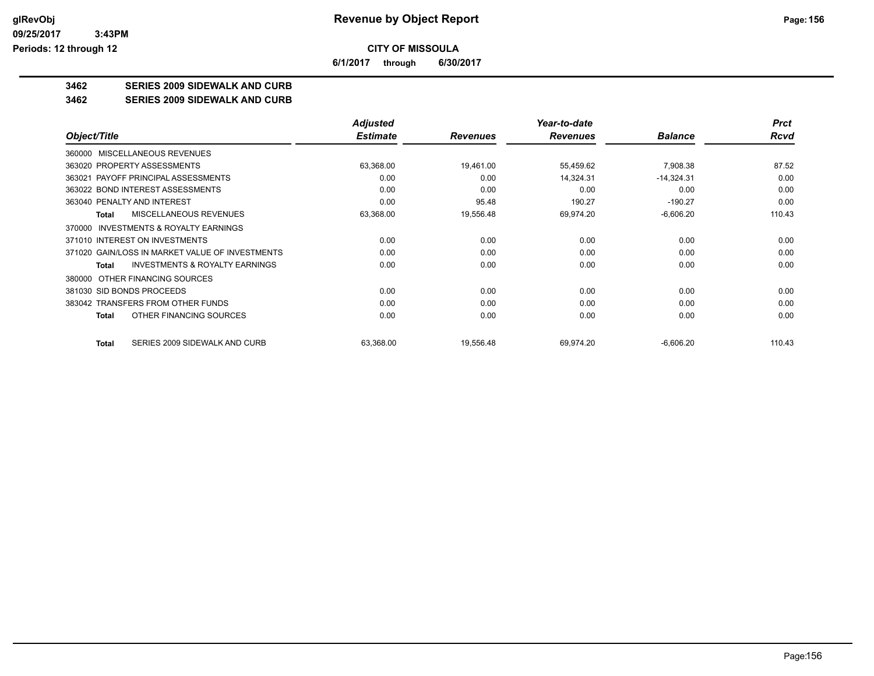**6/1/2017 through 6/30/2017**

# **3462 SERIES 2009 SIDEWALK AND CURB**

### **3462 SERIES 2009 SIDEWALK AND CURB**

|                                                           | <b>Adjusted</b> |                 | Year-to-date    |                | <b>Prct</b> |
|-----------------------------------------------------------|-----------------|-----------------|-----------------|----------------|-------------|
| Object/Title                                              | <b>Estimate</b> | <b>Revenues</b> | <b>Revenues</b> | <b>Balance</b> | <b>Rcvd</b> |
| <b>MISCELLANEOUS REVENUES</b><br>360000                   |                 |                 |                 |                |             |
| 363020 PROPERTY ASSESSMENTS                               | 63,368.00       | 19,461.00       | 55,459.62       | 7,908.38       | 87.52       |
| 363021 PAYOFF PRINCIPAL ASSESSMENTS                       | 0.00            | 0.00            | 14,324.31       | $-14,324.31$   | 0.00        |
| 363022 BOND INTEREST ASSESSMENTS                          | 0.00            | 0.00            | 0.00            | 0.00           | 0.00        |
| 363040 PENALTY AND INTEREST                               | 0.00            | 95.48           | 190.27          | $-190.27$      | 0.00        |
| <b>MISCELLANEOUS REVENUES</b><br><b>Total</b>             | 63,368.00       | 19,556.48       | 69,974.20       | $-6,606.20$    | 110.43      |
| <b>INVESTMENTS &amp; ROYALTY EARNINGS</b><br>370000       |                 |                 |                 |                |             |
| 371010 INTEREST ON INVESTMENTS                            | 0.00            | 0.00            | 0.00            | 0.00           | 0.00        |
| 371020 GAIN/LOSS IN MARKET VALUE OF INVESTMENTS           | 0.00            | 0.00            | 0.00            | 0.00           | 0.00        |
| <b>INVESTMENTS &amp; ROYALTY EARNINGS</b><br><b>Total</b> | 0.00            | 0.00            | 0.00            | 0.00           | 0.00        |
| OTHER FINANCING SOURCES<br>380000                         |                 |                 |                 |                |             |
| 381030 SID BONDS PROCEEDS                                 | 0.00            | 0.00            | 0.00            | 0.00           | 0.00        |
| 383042 TRANSFERS FROM OTHER FUNDS                         | 0.00            | 0.00            | 0.00            | 0.00           | 0.00        |
| OTHER FINANCING SOURCES<br>Total                          | 0.00            | 0.00            | 0.00            | 0.00           | 0.00        |
| SERIES 2009 SIDEWALK AND CURB<br><b>Total</b>             | 63,368.00       | 19,556.48       | 69,974.20       | $-6,606.20$    | 110.43      |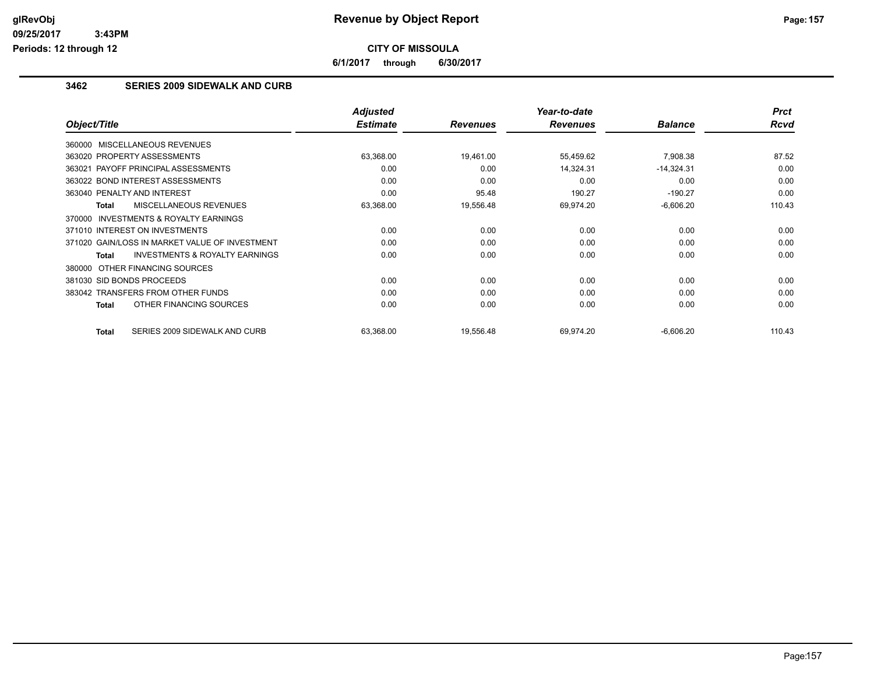**6/1/2017 through 6/30/2017**

# **3462 SERIES 2009 SIDEWALK AND CURB**

|                                                           | <b>Adjusted</b> |                 | Year-to-date    |                | <b>Prct</b> |
|-----------------------------------------------------------|-----------------|-----------------|-----------------|----------------|-------------|
| Object/Title                                              | <b>Estimate</b> | <b>Revenues</b> | <b>Revenues</b> | <b>Balance</b> | Rcvd        |
| 360000 MISCELLANEOUS REVENUES                             |                 |                 |                 |                |             |
| 363020 PROPERTY ASSESSMENTS                               | 63,368.00       | 19,461.00       | 55,459.62       | 7,908.38       | 87.52       |
| 363021 PAYOFF PRINCIPAL ASSESSMENTS                       | 0.00            | 0.00            | 14,324.31       | $-14,324.31$   | 0.00        |
| 363022 BOND INTEREST ASSESSMENTS                          | 0.00            | 0.00            | 0.00            | 0.00           | 0.00        |
| 363040 PENALTY AND INTEREST                               | 0.00            | 95.48           | 190.27          | $-190.27$      | 0.00        |
| MISCELLANEOUS REVENUES<br><b>Total</b>                    | 63,368.00       | 19,556.48       | 69,974.20       | $-6,606.20$    | 110.43      |
| <b>INVESTMENTS &amp; ROYALTY EARNINGS</b><br>370000       |                 |                 |                 |                |             |
| 371010 INTEREST ON INVESTMENTS                            | 0.00            | 0.00            | 0.00            | 0.00           | 0.00        |
| 371020 GAIN/LOSS IN MARKET VALUE OF INVESTMENT            | 0.00            | 0.00            | 0.00            | 0.00           | 0.00        |
| <b>INVESTMENTS &amp; ROYALTY EARNINGS</b><br><b>Total</b> | 0.00            | 0.00            | 0.00            | 0.00           | 0.00        |
| OTHER FINANCING SOURCES<br>380000                         |                 |                 |                 |                |             |
| 381030 SID BONDS PROCEEDS                                 | 0.00            | 0.00            | 0.00            | 0.00           | 0.00        |
| 383042 TRANSFERS FROM OTHER FUNDS                         | 0.00            | 0.00            | 0.00            | 0.00           | 0.00        |
| OTHER FINANCING SOURCES<br>Total                          | 0.00            | 0.00            | 0.00            | 0.00           | 0.00        |
| SERIES 2009 SIDEWALK AND CURB<br><b>Total</b>             | 63,368.00       | 19,556.48       | 69,974.20       | $-6,606.20$    | 110.43      |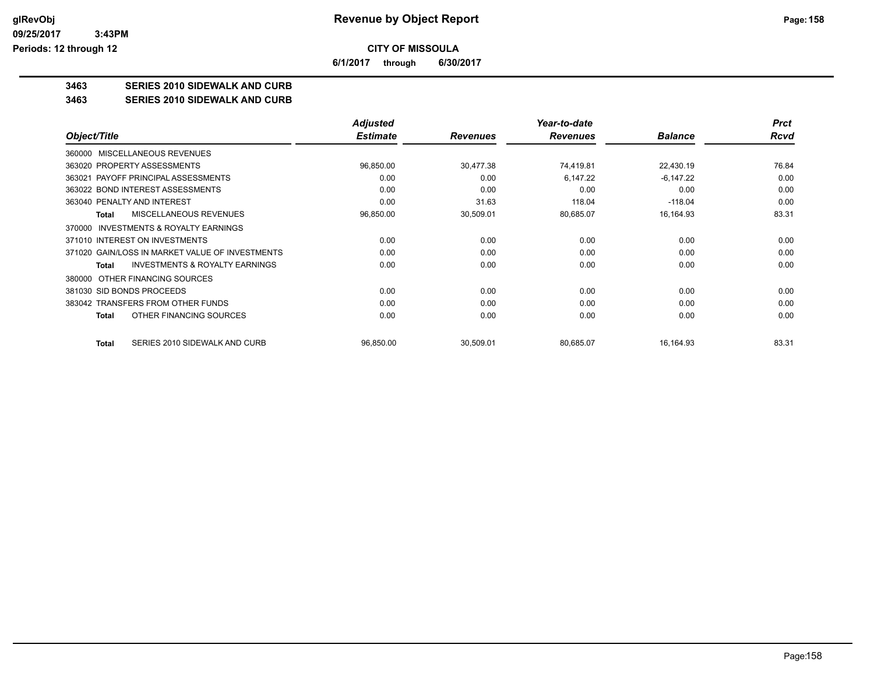**6/1/2017 through 6/30/2017**

# **3463 SERIES 2010 SIDEWALK AND CURB**

### **3463 SERIES 2010 SIDEWALK AND CURB**

|                                                           | <b>Adjusted</b> |                 | Year-to-date    |                | <b>Prct</b> |
|-----------------------------------------------------------|-----------------|-----------------|-----------------|----------------|-------------|
| Object/Title                                              | <b>Estimate</b> | <b>Revenues</b> | <b>Revenues</b> | <b>Balance</b> | Rcvd        |
| MISCELLANEOUS REVENUES<br>360000                          |                 |                 |                 |                |             |
| 363020 PROPERTY ASSESSMENTS                               | 96,850.00       | 30,477.38       | 74,419.81       | 22,430.19      | 76.84       |
| 363021 PAYOFF PRINCIPAL ASSESSMENTS                       | 0.00            | 0.00            | 6,147.22        | $-6,147.22$    | 0.00        |
| 363022 BOND INTEREST ASSESSMENTS                          | 0.00            | 0.00            | 0.00            | 0.00           | 0.00        |
| 363040 PENALTY AND INTEREST                               | 0.00            | 31.63           | 118.04          | $-118.04$      | 0.00        |
| MISCELLANEOUS REVENUES<br><b>Total</b>                    | 96,850.00       | 30,509.01       | 80,685.07       | 16,164.93      | 83.31       |
| <b>INVESTMENTS &amp; ROYALTY EARNINGS</b><br>370000       |                 |                 |                 |                |             |
| 371010 INTEREST ON INVESTMENTS                            | 0.00            | 0.00            | 0.00            | 0.00           | 0.00        |
| 371020 GAIN/LOSS IN MARKET VALUE OF INVESTMENTS           | 0.00            | 0.00            | 0.00            | 0.00           | 0.00        |
| <b>INVESTMENTS &amp; ROYALTY EARNINGS</b><br><b>Total</b> | 0.00            | 0.00            | 0.00            | 0.00           | 0.00        |
| OTHER FINANCING SOURCES<br>380000                         |                 |                 |                 |                |             |
| 381030 SID BONDS PROCEEDS                                 | 0.00            | 0.00            | 0.00            | 0.00           | 0.00        |
| 383042 TRANSFERS FROM OTHER FUNDS                         | 0.00            | 0.00            | 0.00            | 0.00           | 0.00        |
| OTHER FINANCING SOURCES<br><b>Total</b>                   | 0.00            | 0.00            | 0.00            | 0.00           | 0.00        |
| SERIES 2010 SIDEWALK AND CURB<br><b>Total</b>             | 96,850.00       | 30,509.01       | 80,685.07       | 16,164.93      | 83.31       |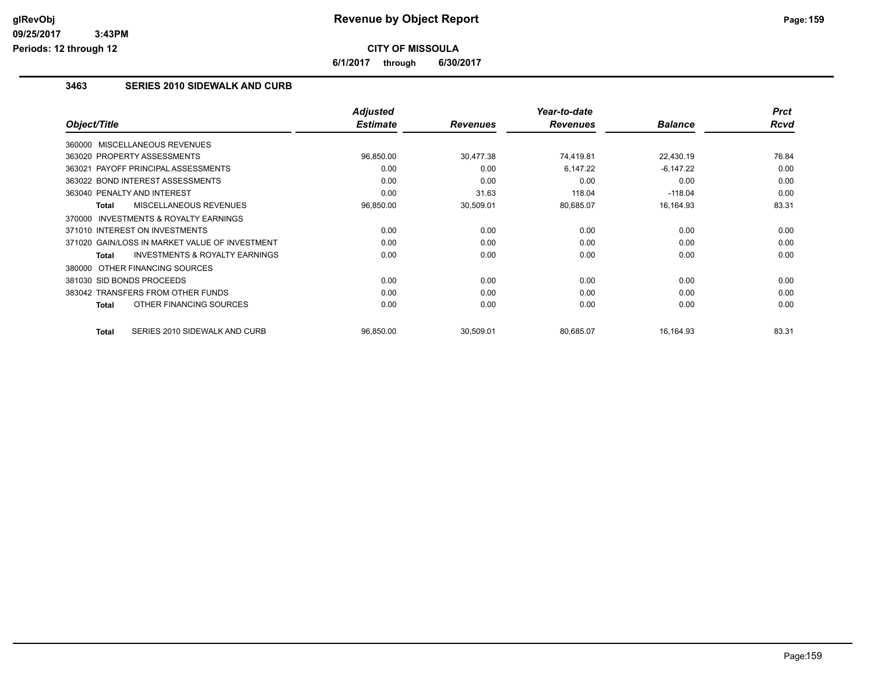**6/1/2017 through 6/30/2017**

# **3463 SERIES 2010 SIDEWALK AND CURB**

|                                                           | <b>Adjusted</b> |                 | Year-to-date    |                | <b>Prct</b> |
|-----------------------------------------------------------|-----------------|-----------------|-----------------|----------------|-------------|
| Object/Title                                              | <b>Estimate</b> | <b>Revenues</b> | <b>Revenues</b> | <b>Balance</b> | Rcvd        |
| 360000 MISCELLANEOUS REVENUES                             |                 |                 |                 |                |             |
| 363020 PROPERTY ASSESSMENTS                               | 96,850.00       | 30,477.38       | 74,419.81       | 22,430.19      | 76.84       |
| 363021 PAYOFF PRINCIPAL ASSESSMENTS                       | 0.00            | 0.00            | 6,147.22        | $-6,147.22$    | 0.00        |
| 363022 BOND INTEREST ASSESSMENTS                          | 0.00            | 0.00            | 0.00            | 0.00           | 0.00        |
| 363040 PENALTY AND INTEREST                               | 0.00            | 31.63           | 118.04          | $-118.04$      | 0.00        |
| MISCELLANEOUS REVENUES<br><b>Total</b>                    | 96,850.00       | 30,509.01       | 80,685.07       | 16,164.93      | 83.31       |
| INVESTMENTS & ROYALTY EARNINGS<br>370000                  |                 |                 |                 |                |             |
| 371010 INTEREST ON INVESTMENTS                            | 0.00            | 0.00            | 0.00            | 0.00           | 0.00        |
| 371020 GAIN/LOSS IN MARKET VALUE OF INVESTMENT            | 0.00            | 0.00            | 0.00            | 0.00           | 0.00        |
| <b>INVESTMENTS &amp; ROYALTY EARNINGS</b><br><b>Total</b> | 0.00            | 0.00            | 0.00            | 0.00           | 0.00        |
| OTHER FINANCING SOURCES<br>380000                         |                 |                 |                 |                |             |
| 381030 SID BONDS PROCEEDS                                 | 0.00            | 0.00            | 0.00            | 0.00           | 0.00        |
| 383042 TRANSFERS FROM OTHER FUNDS                         | 0.00            | 0.00            | 0.00            | 0.00           | 0.00        |
| OTHER FINANCING SOURCES<br><b>Total</b>                   | 0.00            | 0.00            | 0.00            | 0.00           | 0.00        |
| SERIES 2010 SIDEWALK AND CURB<br><b>Total</b>             | 96.850.00       | 30,509.01       | 80,685.07       | 16.164.93      | 83.31       |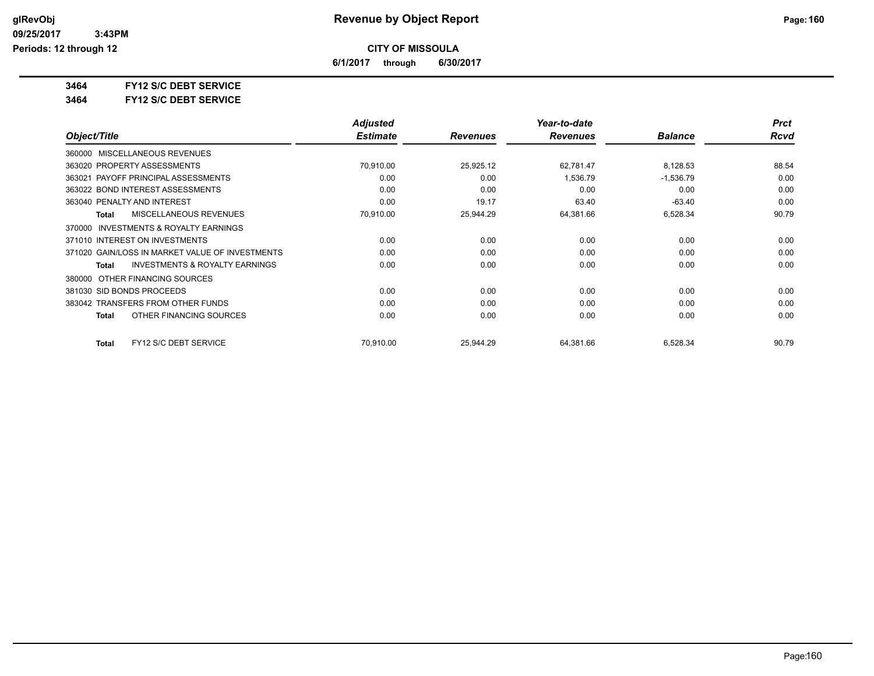**6/1/2017 through 6/30/2017**

**3464 FY12 S/C DEBT SERVICE**

**3464 FY12 S/C DEBT SERVICE**

|                                                           | <b>Adjusted</b> |                 | Year-to-date    |                | <b>Prct</b> |
|-----------------------------------------------------------|-----------------|-----------------|-----------------|----------------|-------------|
| Object/Title                                              | <b>Estimate</b> | <b>Revenues</b> | <b>Revenues</b> | <b>Balance</b> | Rcvd        |
| MISCELLANEOUS REVENUES<br>360000                          |                 |                 |                 |                |             |
| 363020 PROPERTY ASSESSMENTS                               | 70,910.00       | 25,925.12       | 62,781.47       | 8,128.53       | 88.54       |
| 363021 PAYOFF PRINCIPAL ASSESSMENTS                       | 0.00            | 0.00            | 1,536.79        | $-1,536.79$    | 0.00        |
| 363022 BOND INTEREST ASSESSMENTS                          | 0.00            | 0.00            | 0.00            | 0.00           | 0.00        |
| 363040 PENALTY AND INTEREST                               | 0.00            | 19.17           | 63.40           | $-63.40$       | 0.00        |
| <b>MISCELLANEOUS REVENUES</b><br>Total                    | 70,910.00       | 25,944.29       | 64,381.66       | 6,528.34       | 90.79       |
| INVESTMENTS & ROYALTY EARNINGS<br>370000                  |                 |                 |                 |                |             |
| 371010 INTEREST ON INVESTMENTS                            | 0.00            | 0.00            | 0.00            | 0.00           | 0.00        |
| 371020 GAIN/LOSS IN MARKET VALUE OF INVESTMENTS           | 0.00            | 0.00            | 0.00            | 0.00           | 0.00        |
| <b>INVESTMENTS &amp; ROYALTY EARNINGS</b><br><b>Total</b> | 0.00            | 0.00            | 0.00            | 0.00           | 0.00        |
| OTHER FINANCING SOURCES<br>380000                         |                 |                 |                 |                |             |
| 381030 SID BONDS PROCEEDS                                 | 0.00            | 0.00            | 0.00            | 0.00           | 0.00        |
| 383042 TRANSFERS FROM OTHER FUNDS                         | 0.00            | 0.00            | 0.00            | 0.00           | 0.00        |
| OTHER FINANCING SOURCES<br><b>Total</b>                   | 0.00            | 0.00            | 0.00            | 0.00           | 0.00        |
| FY12 S/C DEBT SERVICE<br><b>Total</b>                     | 70,910.00       | 25,944.29       | 64,381.66       | 6,528.34       | 90.79       |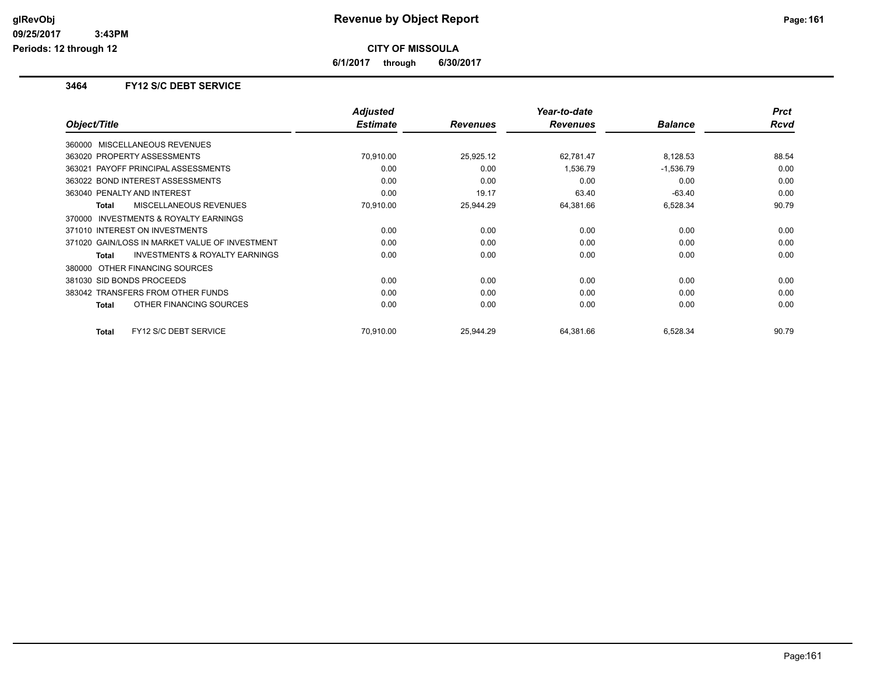**6/1/2017 through 6/30/2017**

# **3464 FY12 S/C DEBT SERVICE**

|                                                    | <b>Adjusted</b> |                 | Year-to-date    |                | <b>Prct</b> |
|----------------------------------------------------|-----------------|-----------------|-----------------|----------------|-------------|
| Object/Title                                       | <b>Estimate</b> | <b>Revenues</b> | <b>Revenues</b> | <b>Balance</b> | Rcvd        |
| 360000 MISCELLANEOUS REVENUES                      |                 |                 |                 |                |             |
| 363020 PROPERTY ASSESSMENTS                        | 70,910.00       | 25,925.12       | 62,781.47       | 8,128.53       | 88.54       |
| 363021 PAYOFF PRINCIPAL ASSESSMENTS                | 0.00            | 0.00            | 1,536.79        | $-1,536.79$    | 0.00        |
| 363022 BOND INTEREST ASSESSMENTS                   | 0.00            | 0.00            | 0.00            | 0.00           | 0.00        |
| 363040 PENALTY AND INTEREST                        | 0.00            | 19.17           | 63.40           | $-63.40$       | 0.00        |
| MISCELLANEOUS REVENUES<br>Total                    | 70,910.00       | 25,944.29       | 64,381.66       | 6,528.34       | 90.79       |
| INVESTMENTS & ROYALTY EARNINGS<br>370000           |                 |                 |                 |                |             |
| 371010 INTEREST ON INVESTMENTS                     | 0.00            | 0.00            | 0.00            | 0.00           | 0.00        |
| 371020 GAIN/LOSS IN MARKET VALUE OF INVESTMENT     | 0.00            | 0.00            | 0.00            | 0.00           | 0.00        |
| <b>INVESTMENTS &amp; ROYALTY EARNINGS</b><br>Total | 0.00            | 0.00            | 0.00            | 0.00           | 0.00        |
| 380000 OTHER FINANCING SOURCES                     |                 |                 |                 |                |             |
| 381030 SID BONDS PROCEEDS                          | 0.00            | 0.00            | 0.00            | 0.00           | 0.00        |
| 383042 TRANSFERS FROM OTHER FUNDS                  | 0.00            | 0.00            | 0.00            | 0.00           | 0.00        |
| OTHER FINANCING SOURCES<br>Total                   | 0.00            | 0.00            | 0.00            | 0.00           | 0.00        |
| FY12 S/C DEBT SERVICE<br>Total                     | 70.910.00       | 25.944.29       | 64,381.66       | 6,528.34       | 90.79       |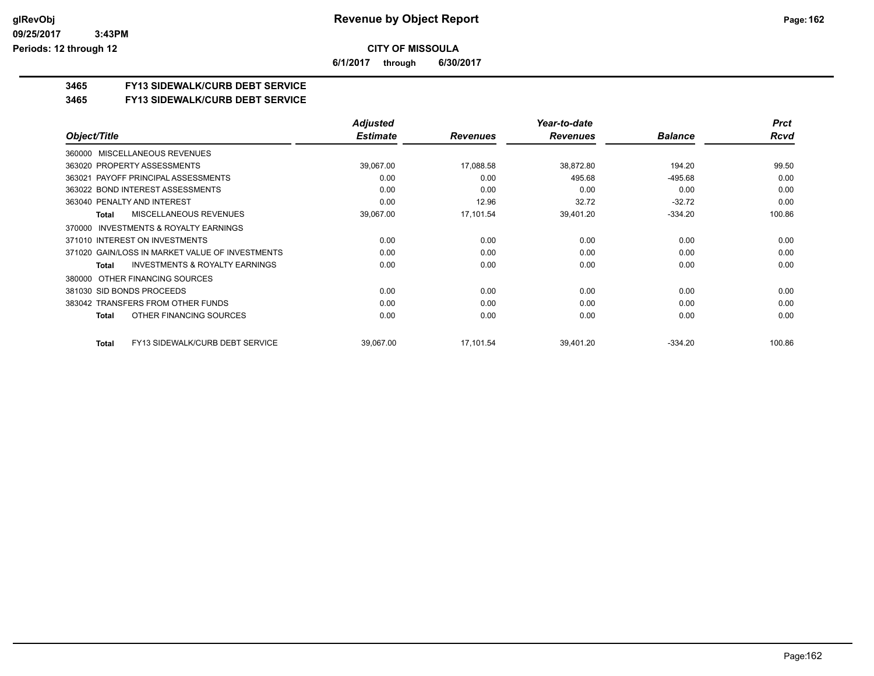**6/1/2017 through 6/30/2017**

# **3465 FY13 SIDEWALK/CURB DEBT SERVICE**

### **3465 FY13 SIDEWALK/CURB DEBT SERVICE**

|                                                    | <b>Adjusted</b> |                 | Year-to-date    |                | <b>Prct</b> |
|----------------------------------------------------|-----------------|-----------------|-----------------|----------------|-------------|
| Object/Title                                       | <b>Estimate</b> | <b>Revenues</b> | <b>Revenues</b> | <b>Balance</b> | Rcvd        |
| MISCELLANEOUS REVENUES<br>360000                   |                 |                 |                 |                |             |
| 363020 PROPERTY ASSESSMENTS                        | 39,067.00       | 17,088.58       | 38,872.80       | 194.20         | 99.50       |
| 363021 PAYOFF PRINCIPAL ASSESSMENTS                | 0.00            | 0.00            | 495.68          | $-495.68$      | 0.00        |
| 363022 BOND INTEREST ASSESSMENTS                   | 0.00            | 0.00            | 0.00            | 0.00           | 0.00        |
| 363040 PENALTY AND INTEREST                        | 0.00            | 12.96           | 32.72           | $-32.72$       | 0.00        |
| <b>MISCELLANEOUS REVENUES</b><br>Total             | 39,067.00       | 17,101.54       | 39,401.20       | $-334.20$      | 100.86      |
| INVESTMENTS & ROYALTY EARNINGS<br>370000           |                 |                 |                 |                |             |
| 371010 INTEREST ON INVESTMENTS                     | 0.00            | 0.00            | 0.00            | 0.00           | 0.00        |
| 371020 GAIN/LOSS IN MARKET VALUE OF INVESTMENTS    | 0.00            | 0.00            | 0.00            | 0.00           | 0.00        |
| <b>INVESTMENTS &amp; ROYALTY EARNINGS</b><br>Total | 0.00            | 0.00            | 0.00            | 0.00           | 0.00        |
| OTHER FINANCING SOURCES<br>380000                  |                 |                 |                 |                |             |
| 381030 SID BONDS PROCEEDS                          | 0.00            | 0.00            | 0.00            | 0.00           | 0.00        |
| 383042 TRANSFERS FROM OTHER FUNDS                  | 0.00            | 0.00            | 0.00            | 0.00           | 0.00        |
| OTHER FINANCING SOURCES<br>Total                   | 0.00            | 0.00            | 0.00            | 0.00           | 0.00        |
| FY13 SIDEWALK/CURB DEBT SERVICE<br>Total           | 39,067.00       | 17,101.54       | 39,401.20       | $-334.20$      | 100.86      |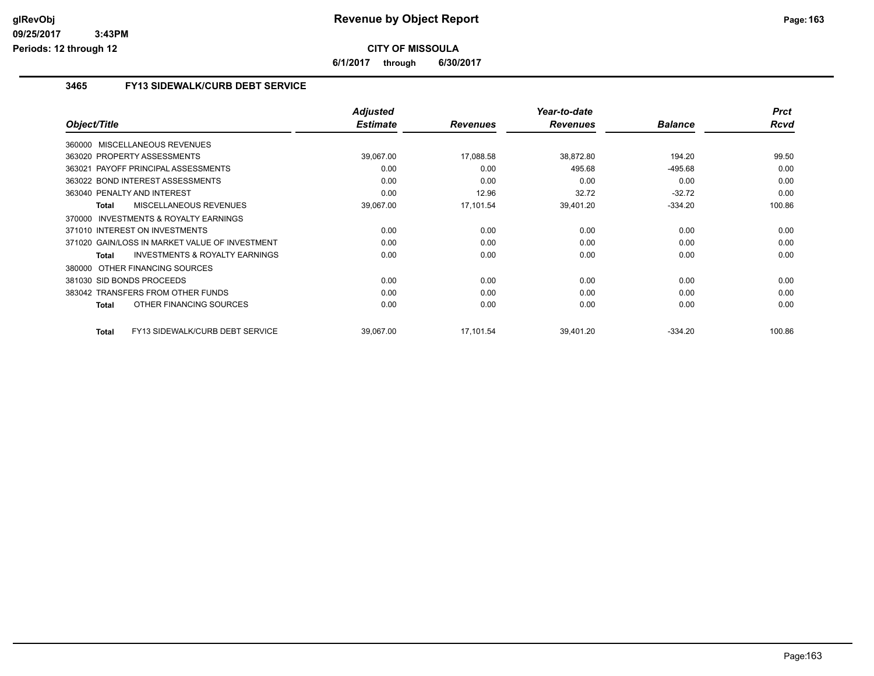**6/1/2017 through 6/30/2017**

# **3465 FY13 SIDEWALK/CURB DEBT SERVICE**

|                                                    | <b>Adjusted</b> |                 | Year-to-date    |                | <b>Prct</b> |
|----------------------------------------------------|-----------------|-----------------|-----------------|----------------|-------------|
| Object/Title                                       | <b>Estimate</b> | <b>Revenues</b> | <b>Revenues</b> | <b>Balance</b> | Rcvd        |
| 360000 MISCELLANEOUS REVENUES                      |                 |                 |                 |                |             |
| 363020 PROPERTY ASSESSMENTS                        | 39,067.00       | 17,088.58       | 38,872.80       | 194.20         | 99.50       |
| PAYOFF PRINCIPAL ASSESSMENTS<br>363021             | 0.00            | 0.00            | 495.68          | $-495.68$      | 0.00        |
| 363022 BOND INTEREST ASSESSMENTS                   | 0.00            | 0.00            | 0.00            | 0.00           | 0.00        |
| 363040 PENALTY AND INTEREST                        | 0.00            | 12.96           | 32.72           | $-32.72$       | 0.00        |
| <b>MISCELLANEOUS REVENUES</b><br>Total             | 39,067.00       | 17,101.54       | 39,401.20       | $-334.20$      | 100.86      |
| INVESTMENTS & ROYALTY EARNINGS<br>370000           |                 |                 |                 |                |             |
| 371010 INTEREST ON INVESTMENTS                     | 0.00            | 0.00            | 0.00            | 0.00           | 0.00        |
| 371020 GAIN/LOSS IN MARKET VALUE OF INVESTMENT     | 0.00            | 0.00            | 0.00            | 0.00           | 0.00        |
| <b>INVESTMENTS &amp; ROYALTY EARNINGS</b><br>Total | 0.00            | 0.00            | 0.00            | 0.00           | 0.00        |
| OTHER FINANCING SOURCES<br>380000                  |                 |                 |                 |                |             |
| 381030 SID BONDS PROCEEDS                          | 0.00            | 0.00            | 0.00            | 0.00           | 0.00        |
| 383042 TRANSFERS FROM OTHER FUNDS                  | 0.00            | 0.00            | 0.00            | 0.00           | 0.00        |
| OTHER FINANCING SOURCES<br><b>Total</b>            | 0.00            | 0.00            | 0.00            | 0.00           | 0.00        |
| FY13 SIDEWALK/CURB DEBT SERVICE<br><b>Total</b>    | 39,067.00       | 17,101.54       | 39,401.20       | $-334.20$      | 100.86      |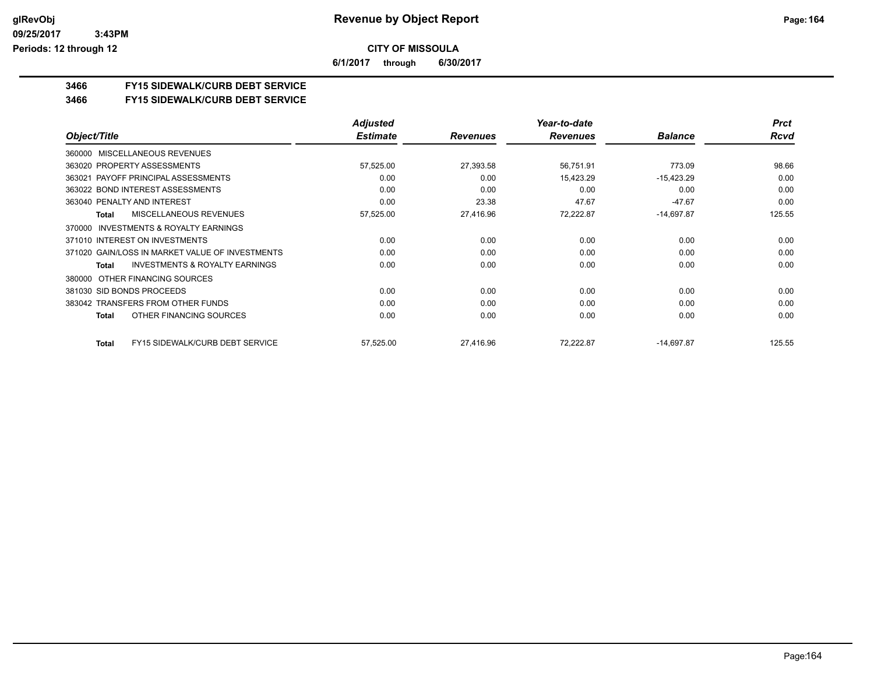**6/1/2017 through 6/30/2017**

# **3466 FY15 SIDEWALK/CURB DEBT SERVICE**

### **3466 FY15 SIDEWALK/CURB DEBT SERVICE**

|                                                     | Adjusted        |                 | Year-to-date    |                | <b>Prct</b> |
|-----------------------------------------------------|-----------------|-----------------|-----------------|----------------|-------------|
| Object/Title                                        | <b>Estimate</b> | <b>Revenues</b> | <b>Revenues</b> | <b>Balance</b> | Rcvd        |
| 360000 MISCELLANEOUS REVENUES                       |                 |                 |                 |                |             |
| 363020 PROPERTY ASSESSMENTS                         | 57,525.00       | 27,393.58       | 56,751.91       | 773.09         | 98.66       |
| PAYOFF PRINCIPAL ASSESSMENTS<br>363021              | 0.00            | 0.00            | 15,423.29       | $-15,423.29$   | 0.00        |
| 363022 BOND INTEREST ASSESSMENTS                    | 0.00            | 0.00            | 0.00            | 0.00           | 0.00        |
| 363040 PENALTY AND INTEREST                         | 0.00            | 23.38           | 47.67           | $-47.67$       | 0.00        |
| <b>MISCELLANEOUS REVENUES</b><br>Total              | 57,525.00       | 27,416.96       | 72,222.87       | $-14,697.87$   | 125.55      |
| <b>INVESTMENTS &amp; ROYALTY EARNINGS</b><br>370000 |                 |                 |                 |                |             |
| 371010 INTEREST ON INVESTMENTS                      | 0.00            | 0.00            | 0.00            | 0.00           | 0.00        |
| 371020 GAIN/LOSS IN MARKET VALUE OF INVESTMENTS     | 0.00            | 0.00            | 0.00            | 0.00           | 0.00        |
| <b>INVESTMENTS &amp; ROYALTY EARNINGS</b><br>Total  | 0.00            | 0.00            | 0.00            | 0.00           | 0.00        |
| 380000 OTHER FINANCING SOURCES                      |                 |                 |                 |                |             |
| 381030 SID BONDS PROCEEDS                           | 0.00            | 0.00            | 0.00            | 0.00           | 0.00        |
| 383042 TRANSFERS FROM OTHER FUNDS                   | 0.00            | 0.00            | 0.00            | 0.00           | 0.00        |
| OTHER FINANCING SOURCES<br>Total                    | 0.00            | 0.00            | 0.00            | 0.00           | 0.00        |
| FY15 SIDEWALK/CURB DEBT SERVICE<br>Total            | 57,525.00       | 27,416.96       | 72,222.87       | $-14,697.87$   | 125.55      |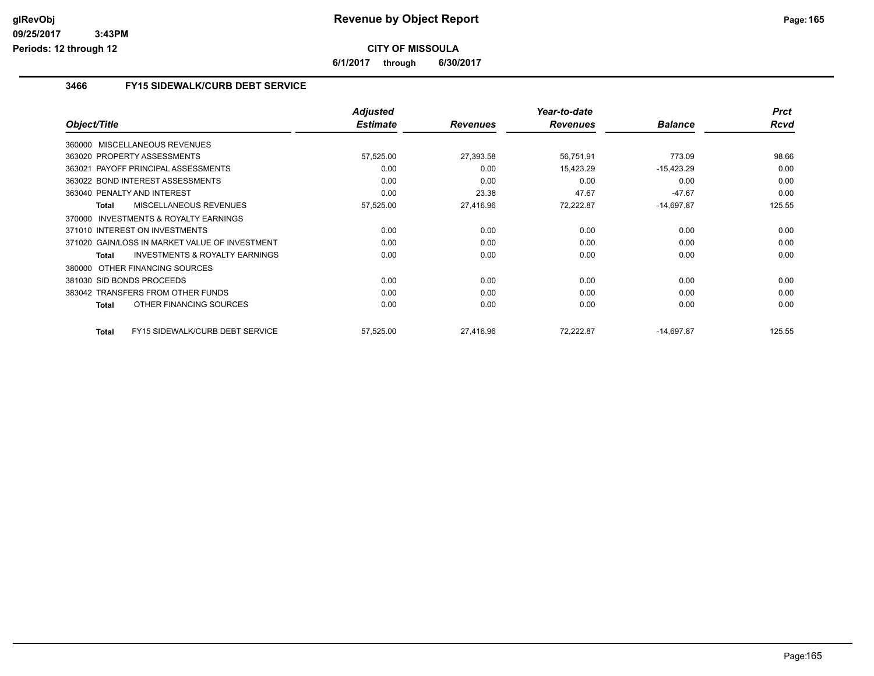**6/1/2017 through 6/30/2017**

# **3466 FY15 SIDEWALK/CURB DEBT SERVICE**

|                                                 | <b>Adjusted</b> |                 | Year-to-date    |                | <b>Prct</b> |
|-------------------------------------------------|-----------------|-----------------|-----------------|----------------|-------------|
| Object/Title                                    | <b>Estimate</b> | <b>Revenues</b> | <b>Revenues</b> | <b>Balance</b> | Rcvd        |
| 360000 MISCELLANEOUS REVENUES                   |                 |                 |                 |                |             |
| 363020 PROPERTY ASSESSMENTS                     | 57,525.00       | 27,393.58       | 56,751.91       | 773.09         | 98.66       |
| PAYOFF PRINCIPAL ASSESSMENTS<br>363021          | 0.00            | 0.00            | 15,423.29       | $-15,423.29$   | 0.00        |
| 363022 BOND INTEREST ASSESSMENTS                | 0.00            | 0.00            | 0.00            | 0.00           | 0.00        |
| 363040 PENALTY AND INTEREST                     | 0.00            | 23.38           | 47.67           | $-47.67$       | 0.00        |
| <b>MISCELLANEOUS REVENUES</b><br><b>Total</b>   | 57,525.00       | 27,416.96       | 72,222.87       | $-14,697.87$   | 125.55      |
| INVESTMENTS & ROYALTY EARNINGS<br>370000        |                 |                 |                 |                |             |
| 371010 INTEREST ON INVESTMENTS                  | 0.00            | 0.00            | 0.00            | 0.00           | 0.00        |
| 371020 GAIN/LOSS IN MARKET VALUE OF INVESTMENT  | 0.00            | 0.00            | 0.00            | 0.00           | 0.00        |
| INVESTMENTS & ROYALTY EARNINGS<br>Total         | 0.00            | 0.00            | 0.00            | 0.00           | 0.00        |
| OTHER FINANCING SOURCES<br>380000               |                 |                 |                 |                |             |
| 381030 SID BONDS PROCEEDS                       | 0.00            | 0.00            | 0.00            | 0.00           | 0.00        |
| 383042 TRANSFERS FROM OTHER FUNDS               | 0.00            | 0.00            | 0.00            | 0.00           | 0.00        |
| OTHER FINANCING SOURCES<br><b>Total</b>         | 0.00            | 0.00            | 0.00            | 0.00           | 0.00        |
| FY15 SIDEWALK/CURB DEBT SERVICE<br><b>Total</b> | 57,525.00       | 27.416.96       | 72,222.87       | $-14,697.87$   | 125.55      |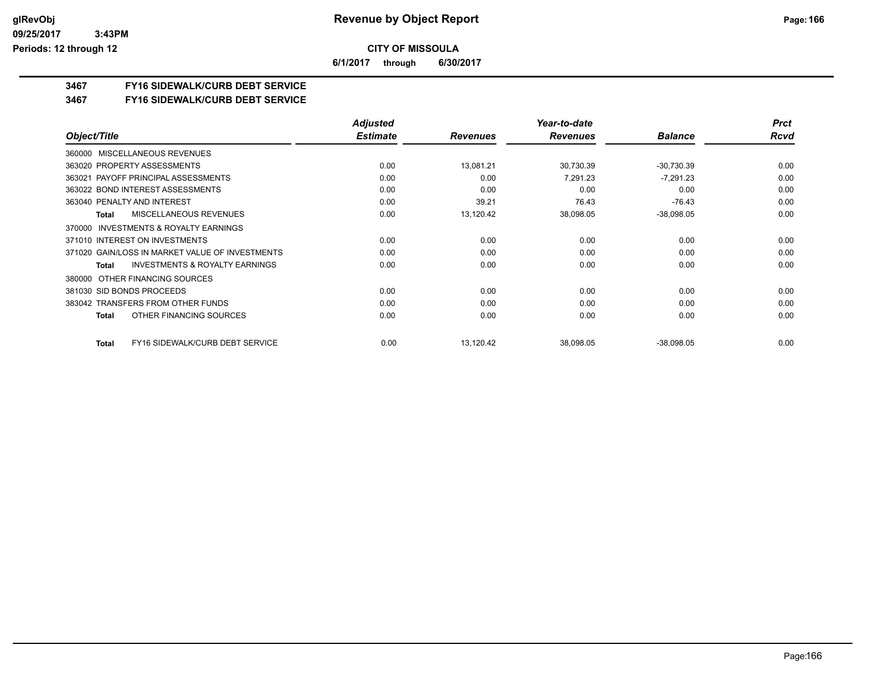**6/1/2017 through 6/30/2017**

# **3467 FY16 SIDEWALK/CURB DEBT SERVICE**

# **3467 FY16 SIDEWALK/CURB DEBT SERVICE**

|                                                           | <b>Adjusted</b> |                 | Year-to-date    |                | <b>Prct</b> |
|-----------------------------------------------------------|-----------------|-----------------|-----------------|----------------|-------------|
| Object/Title                                              | <b>Estimate</b> | <b>Revenues</b> | <b>Revenues</b> | <b>Balance</b> | Rcvd        |
| MISCELLANEOUS REVENUES<br>360000                          |                 |                 |                 |                |             |
| 363020 PROPERTY ASSESSMENTS                               | 0.00            | 13,081.21       | 30,730.39       | $-30,730.39$   | 0.00        |
| 363021 PAYOFF PRINCIPAL ASSESSMENTS                       | 0.00            | 0.00            | 7,291.23        | $-7,291.23$    | 0.00        |
| 363022 BOND INTEREST ASSESSMENTS                          | 0.00            | 0.00            | 0.00            | 0.00           | 0.00        |
| 363040 PENALTY AND INTEREST                               | 0.00            | 39.21           | 76.43           | -76.43         | 0.00        |
| MISCELLANEOUS REVENUES<br><b>Total</b>                    | 0.00            | 13,120.42       | 38,098.05       | $-38,098.05$   | 0.00        |
| INVESTMENTS & ROYALTY EARNINGS<br>370000                  |                 |                 |                 |                |             |
| 371010 INTEREST ON INVESTMENTS                            | 0.00            | 0.00            | 0.00            | 0.00           | 0.00        |
| 371020 GAIN/LOSS IN MARKET VALUE OF INVESTMENTS           | 0.00            | 0.00            | 0.00            | 0.00           | 0.00        |
| <b>INVESTMENTS &amp; ROYALTY EARNINGS</b><br><b>Total</b> | 0.00            | 0.00            | 0.00            | 0.00           | 0.00        |
| OTHER FINANCING SOURCES<br>380000                         |                 |                 |                 |                |             |
| 381030 SID BONDS PROCEEDS                                 | 0.00            | 0.00            | 0.00            | 0.00           | 0.00        |
| 383042 TRANSFERS FROM OTHER FUNDS                         | 0.00            | 0.00            | 0.00            | 0.00           | 0.00        |
| OTHER FINANCING SOURCES<br><b>Total</b>                   | 0.00            | 0.00            | 0.00            | 0.00           | 0.00        |
| FY16 SIDEWALK/CURB DEBT SERVICE<br><b>Total</b>           | 0.00            | 13,120.42       | 38,098.05       | $-38,098.05$   | 0.00        |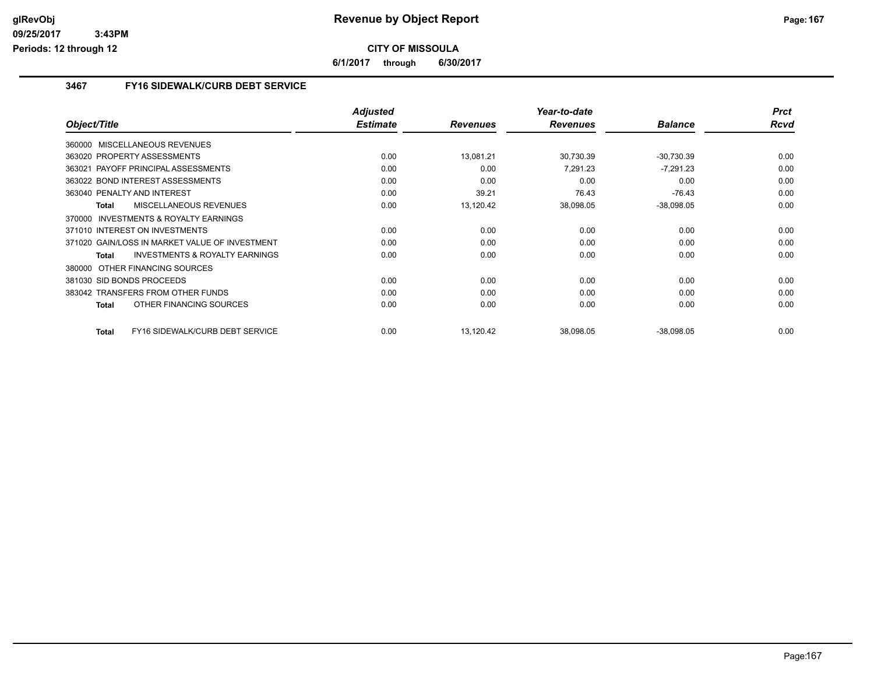**6/1/2017 through 6/30/2017**

# **3467 FY16 SIDEWALK/CURB DEBT SERVICE**

|                                                     | <b>Adjusted</b> |                 | Year-to-date    |                | <b>Prct</b> |
|-----------------------------------------------------|-----------------|-----------------|-----------------|----------------|-------------|
| Object/Title                                        | <b>Estimate</b> | <b>Revenues</b> | <b>Revenues</b> | <b>Balance</b> | <b>Rcvd</b> |
| 360000 MISCELLANEOUS REVENUES                       |                 |                 |                 |                |             |
| 363020 PROPERTY ASSESSMENTS                         | 0.00            | 13,081.21       | 30,730.39       | $-30,730.39$   | 0.00        |
| 363021 PAYOFF PRINCIPAL ASSESSMENTS                 | 0.00            | 0.00            | 7,291.23        | $-7,291.23$    | 0.00        |
| 363022 BOND INTEREST ASSESSMENTS                    | 0.00            | 0.00            | 0.00            | 0.00           | 0.00        |
| 363040 PENALTY AND INTEREST                         | 0.00            | 39.21           | 76.43           | $-76.43$       | 0.00        |
| MISCELLANEOUS REVENUES<br>Total                     | 0.00            | 13,120.42       | 38,098.05       | $-38,098.05$   | 0.00        |
| <b>INVESTMENTS &amp; ROYALTY EARNINGS</b><br>370000 |                 |                 |                 |                |             |
| 371010 INTEREST ON INVESTMENTS                      | 0.00            | 0.00            | 0.00            | 0.00           | 0.00        |
| 371020 GAIN/LOSS IN MARKET VALUE OF INVESTMENT      | 0.00            | 0.00            | 0.00            | 0.00           | 0.00        |
| <b>INVESTMENTS &amp; ROYALTY EARNINGS</b><br>Total  | 0.00            | 0.00            | 0.00            | 0.00           | 0.00        |
| 380000 OTHER FINANCING SOURCES                      |                 |                 |                 |                |             |
| 381030 SID BONDS PROCEEDS                           | 0.00            | 0.00            | 0.00            | 0.00           | 0.00        |
| 383042 TRANSFERS FROM OTHER FUNDS                   | 0.00            | 0.00            | 0.00            | 0.00           | 0.00        |
| OTHER FINANCING SOURCES<br>Total                    | 0.00            | 0.00            | 0.00            | 0.00           | 0.00        |
| FY16 SIDEWALK/CURB DEBT SERVICE<br>Total            | 0.00            | 13,120.42       | 38,098.05       | $-38,098.05$   | 0.00        |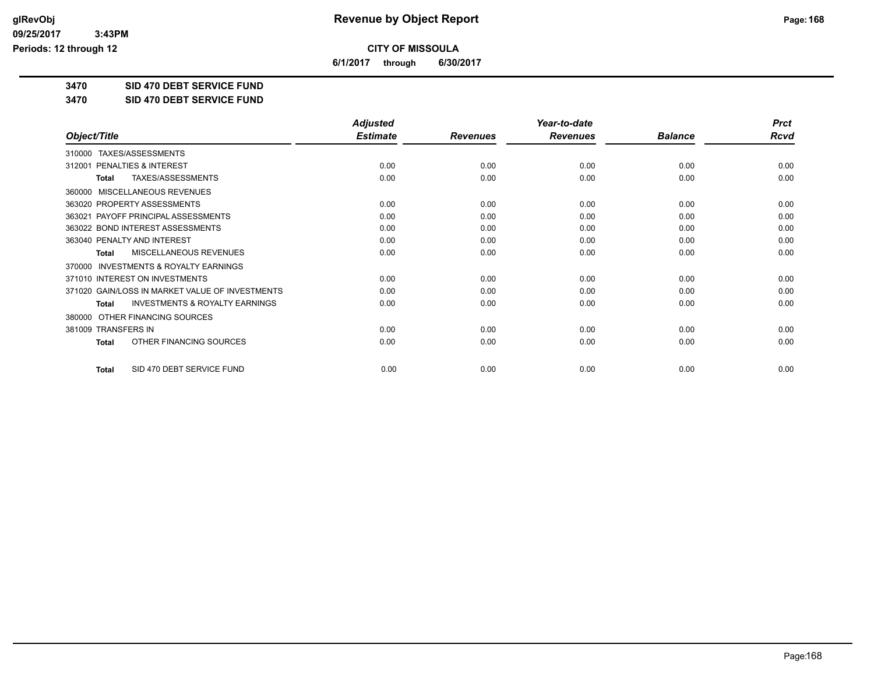**6/1/2017 through 6/30/2017**

**3470 SID 470 DEBT SERVICE FUND**

**3470 SID 470 DEBT SERVICE FUND**

|                                                           | <b>Adjusted</b> |                 | Year-to-date    |                | <b>Prct</b> |
|-----------------------------------------------------------|-----------------|-----------------|-----------------|----------------|-------------|
| Object/Title                                              | <b>Estimate</b> | <b>Revenues</b> | <b>Revenues</b> | <b>Balance</b> | <b>Rcvd</b> |
| TAXES/ASSESSMENTS<br>310000                               |                 |                 |                 |                |             |
| PENALTIES & INTEREST<br>312001                            | 0.00            | 0.00            | 0.00            | 0.00           | 0.00        |
| TAXES/ASSESSMENTS<br><b>Total</b>                         | 0.00            | 0.00            | 0.00            | 0.00           | 0.00        |
| MISCELLANEOUS REVENUES<br>360000                          |                 |                 |                 |                |             |
| 363020 PROPERTY ASSESSMENTS                               | 0.00            | 0.00            | 0.00            | 0.00           | 0.00        |
| 363021 PAYOFF PRINCIPAL ASSESSMENTS                       | 0.00            | 0.00            | 0.00            | 0.00           | 0.00        |
| 363022 BOND INTEREST ASSESSMENTS                          | 0.00            | 0.00            | 0.00            | 0.00           | 0.00        |
| 363040 PENALTY AND INTEREST                               | 0.00            | 0.00            | 0.00            | 0.00           | 0.00        |
| MISCELLANEOUS REVENUES<br><b>Total</b>                    | 0.00            | 0.00            | 0.00            | 0.00           | 0.00        |
| <b>INVESTMENTS &amp; ROYALTY EARNINGS</b><br>370000       |                 |                 |                 |                |             |
| 371010 INTEREST ON INVESTMENTS                            | 0.00            | 0.00            | 0.00            | 0.00           | 0.00        |
| 371020 GAIN/LOSS IN MARKET VALUE OF INVESTMENTS           | 0.00            | 0.00            | 0.00            | 0.00           | 0.00        |
| <b>INVESTMENTS &amp; ROYALTY EARNINGS</b><br><b>Total</b> | 0.00            | 0.00            | 0.00            | 0.00           | 0.00        |
| OTHER FINANCING SOURCES<br>380000                         |                 |                 |                 |                |             |
| 381009 TRANSFERS IN                                       | 0.00            | 0.00            | 0.00            | 0.00           | 0.00        |
| OTHER FINANCING SOURCES<br><b>Total</b>                   | 0.00            | 0.00            | 0.00            | 0.00           | 0.00        |
| SID 470 DEBT SERVICE FUND<br><b>Total</b>                 | 0.00            | 0.00            | 0.00            | 0.00           | 0.00        |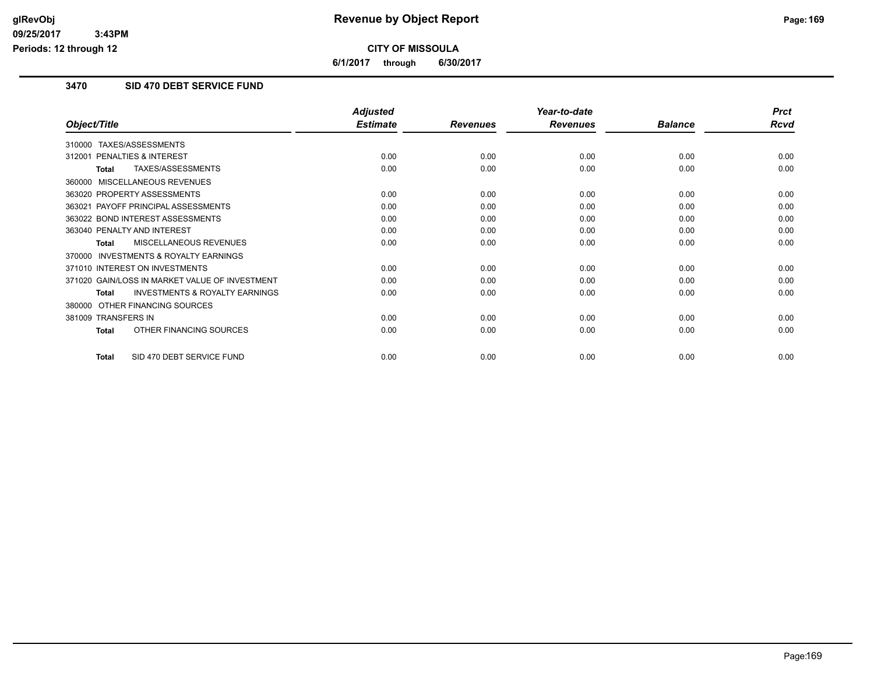**6/1/2017 through 6/30/2017**

# **3470 SID 470 DEBT SERVICE FUND**

|                                                           | <b>Adjusted</b> |                 | Year-to-date    |                | <b>Prct</b> |
|-----------------------------------------------------------|-----------------|-----------------|-----------------|----------------|-------------|
| Object/Title                                              | <b>Estimate</b> | <b>Revenues</b> | <b>Revenues</b> | <b>Balance</b> | <b>Rcvd</b> |
| TAXES/ASSESSMENTS<br>310000                               |                 |                 |                 |                |             |
| 312001 PENALTIES & INTEREST                               | 0.00            | 0.00            | 0.00            | 0.00           | 0.00        |
| TAXES/ASSESSMENTS<br><b>Total</b>                         | 0.00            | 0.00            | 0.00            | 0.00           | 0.00        |
| MISCELLANEOUS REVENUES<br>360000                          |                 |                 |                 |                |             |
| 363020 PROPERTY ASSESSMENTS                               | 0.00            | 0.00            | 0.00            | 0.00           | 0.00        |
| 363021 PAYOFF PRINCIPAL ASSESSMENTS                       | 0.00            | 0.00            | 0.00            | 0.00           | 0.00        |
| 363022 BOND INTEREST ASSESSMENTS                          | 0.00            | 0.00            | 0.00            | 0.00           | 0.00        |
| 363040 PENALTY AND INTEREST                               | 0.00            | 0.00            | 0.00            | 0.00           | 0.00        |
| MISCELLANEOUS REVENUES<br><b>Total</b>                    | 0.00            | 0.00            | 0.00            | 0.00           | 0.00        |
| <b>INVESTMENTS &amp; ROYALTY EARNINGS</b><br>370000       |                 |                 |                 |                |             |
| 371010 INTEREST ON INVESTMENTS                            | 0.00            | 0.00            | 0.00            | 0.00           | 0.00        |
| 371020 GAIN/LOSS IN MARKET VALUE OF INVESTMENT            | 0.00            | 0.00            | 0.00            | 0.00           | 0.00        |
| <b>INVESTMENTS &amp; ROYALTY EARNINGS</b><br><b>Total</b> | 0.00            | 0.00            | 0.00            | 0.00           | 0.00        |
| OTHER FINANCING SOURCES<br>380000                         |                 |                 |                 |                |             |
| 381009 TRANSFERS IN                                       | 0.00            | 0.00            | 0.00            | 0.00           | 0.00        |
| OTHER FINANCING SOURCES<br><b>Total</b>                   | 0.00            | 0.00            | 0.00            | 0.00           | 0.00        |
| SID 470 DEBT SERVICE FUND<br><b>Total</b>                 | 0.00            | 0.00            | 0.00            | 0.00           | 0.00        |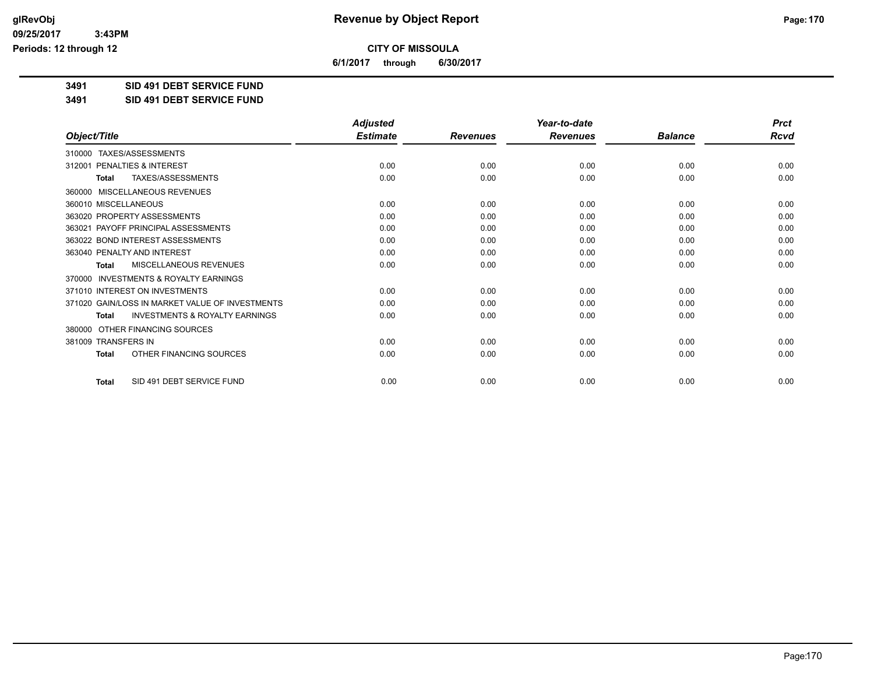**6/1/2017 through 6/30/2017**

**3491 SID 491 DEBT SERVICE FUND**

**3491 SID 491 DEBT SERVICE FUND**

|                                                           | <b>Adjusted</b> |                 | Year-to-date    |                | <b>Prct</b> |
|-----------------------------------------------------------|-----------------|-----------------|-----------------|----------------|-------------|
| Object/Title                                              | <b>Estimate</b> | <b>Revenues</b> | <b>Revenues</b> | <b>Balance</b> | <b>Rcvd</b> |
| TAXES/ASSESSMENTS<br>310000                               |                 |                 |                 |                |             |
| 312001 PENALTIES & INTEREST                               | 0.00            | 0.00            | 0.00            | 0.00           | 0.00        |
| TAXES/ASSESSMENTS<br><b>Total</b>                         | 0.00            | 0.00            | 0.00            | 0.00           | 0.00        |
| <b>MISCELLANEOUS REVENUES</b><br>360000                   |                 |                 |                 |                |             |
| 360010 MISCELLANEOUS                                      | 0.00            | 0.00            | 0.00            | 0.00           | 0.00        |
| 363020 PROPERTY ASSESSMENTS                               | 0.00            | 0.00            | 0.00            | 0.00           | 0.00        |
| 363021 PAYOFF PRINCIPAL ASSESSMENTS                       | 0.00            | 0.00            | 0.00            | 0.00           | 0.00        |
| 363022 BOND INTEREST ASSESSMENTS                          | 0.00            | 0.00            | 0.00            | 0.00           | 0.00        |
| 363040 PENALTY AND INTEREST                               | 0.00            | 0.00            | 0.00            | 0.00           | 0.00        |
| <b>MISCELLANEOUS REVENUES</b><br><b>Total</b>             | 0.00            | 0.00            | 0.00            | 0.00           | 0.00        |
| <b>INVESTMENTS &amp; ROYALTY EARNINGS</b><br>370000       |                 |                 |                 |                |             |
| 371010 INTEREST ON INVESTMENTS                            | 0.00            | 0.00            | 0.00            | 0.00           | 0.00        |
| 371020 GAIN/LOSS IN MARKET VALUE OF INVESTMENTS           | 0.00            | 0.00            | 0.00            | 0.00           | 0.00        |
| <b>INVESTMENTS &amp; ROYALTY EARNINGS</b><br><b>Total</b> | 0.00            | 0.00            | 0.00            | 0.00           | 0.00        |
| OTHER FINANCING SOURCES<br>380000                         |                 |                 |                 |                |             |
| 381009 TRANSFERS IN                                       | 0.00            | 0.00            | 0.00            | 0.00           | 0.00        |
| OTHER FINANCING SOURCES<br><b>Total</b>                   | 0.00            | 0.00            | 0.00            | 0.00           | 0.00        |
| SID 491 DEBT SERVICE FUND<br><b>Total</b>                 | 0.00            | 0.00            | 0.00            | 0.00           | 0.00        |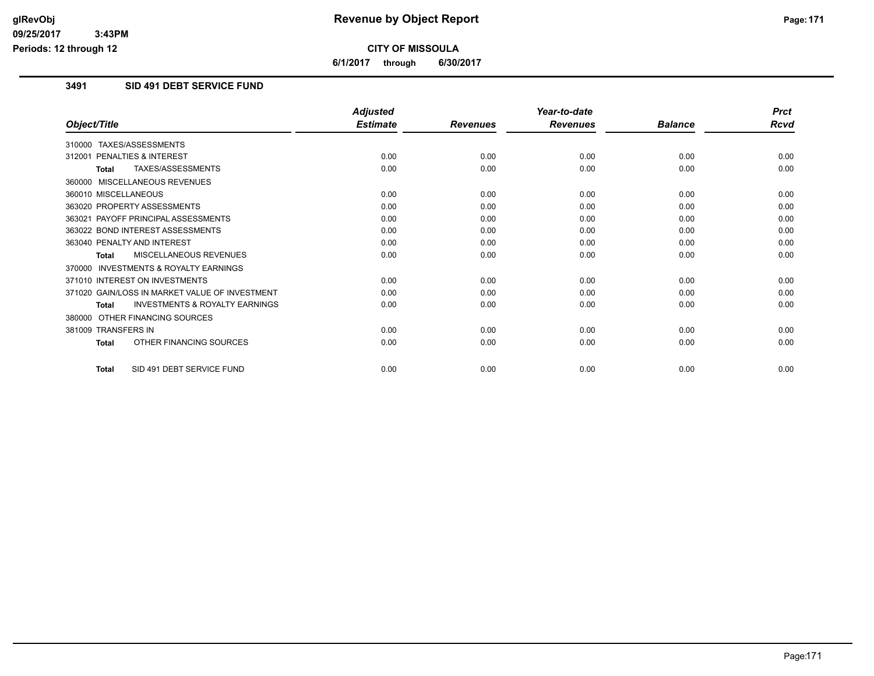**6/1/2017 through 6/30/2017**

# **3491 SID 491 DEBT SERVICE FUND**

|                                                           | <b>Adjusted</b> |                 | Year-to-date    |                | <b>Prct</b> |
|-----------------------------------------------------------|-----------------|-----------------|-----------------|----------------|-------------|
| Object/Title                                              | <b>Estimate</b> | <b>Revenues</b> | <b>Revenues</b> | <b>Balance</b> | <b>Rcvd</b> |
| 310000 TAXES/ASSESSMENTS                                  |                 |                 |                 |                |             |
| PENALTIES & INTEREST<br>312001                            | 0.00            | 0.00            | 0.00            | 0.00           | 0.00        |
| TAXES/ASSESSMENTS<br>Total                                | 0.00            | 0.00            | 0.00            | 0.00           | 0.00        |
| 360000 MISCELLANEOUS REVENUES                             |                 |                 |                 |                |             |
| 360010 MISCELLANEOUS                                      | 0.00            | 0.00            | 0.00            | 0.00           | 0.00        |
| 363020 PROPERTY ASSESSMENTS                               | 0.00            | 0.00            | 0.00            | 0.00           | 0.00        |
| 363021 PAYOFF PRINCIPAL ASSESSMENTS                       | 0.00            | 0.00            | 0.00            | 0.00           | 0.00        |
| 363022 BOND INTEREST ASSESSMENTS                          | 0.00            | 0.00            | 0.00            | 0.00           | 0.00        |
| 363040 PENALTY AND INTEREST                               | 0.00            | 0.00            | 0.00            | 0.00           | 0.00        |
| <b>MISCELLANEOUS REVENUES</b><br><b>Total</b>             | 0.00            | 0.00            | 0.00            | 0.00           | 0.00        |
| 370000 INVESTMENTS & ROYALTY EARNINGS                     |                 |                 |                 |                |             |
| 371010 INTEREST ON INVESTMENTS                            | 0.00            | 0.00            | 0.00            | 0.00           | 0.00        |
| 371020 GAIN/LOSS IN MARKET VALUE OF INVESTMENT            | 0.00            | 0.00            | 0.00            | 0.00           | 0.00        |
| <b>INVESTMENTS &amp; ROYALTY EARNINGS</b><br><b>Total</b> | 0.00            | 0.00            | 0.00            | 0.00           | 0.00        |
| 380000 OTHER FINANCING SOURCES                            |                 |                 |                 |                |             |
| 381009 TRANSFERS IN                                       | 0.00            | 0.00            | 0.00            | 0.00           | 0.00        |
| OTHER FINANCING SOURCES<br><b>Total</b>                   | 0.00            | 0.00            | 0.00            | 0.00           | 0.00        |
| SID 491 DEBT SERVICE FUND<br><b>Total</b>                 | 0.00            | 0.00            | 0.00            | 0.00           | 0.00        |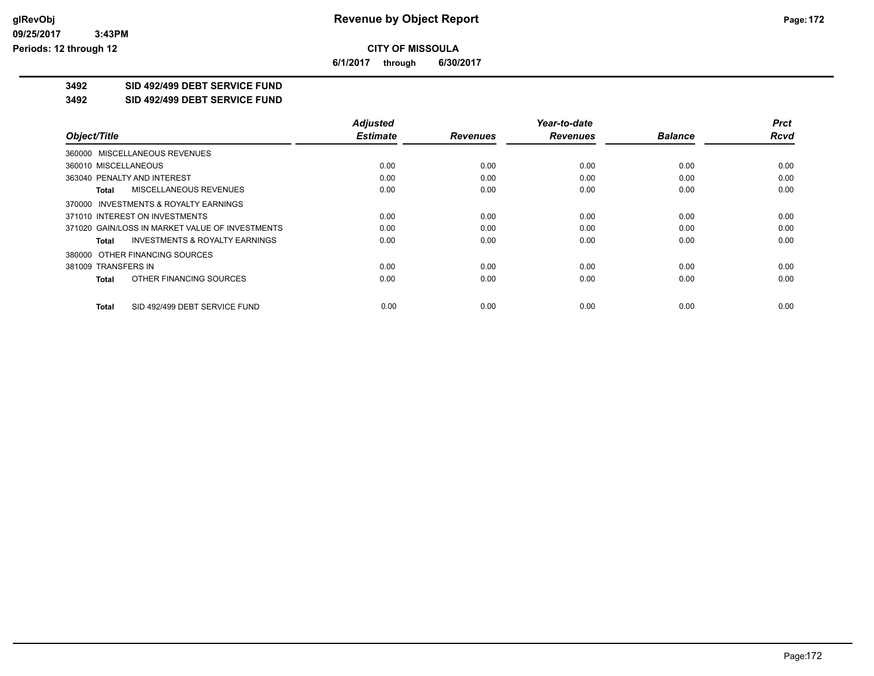**6/1/2017 through 6/30/2017**

**3492 SID 492/499 DEBT SERVICE FUND**

**3492 SID 492/499 DEBT SERVICE FUND**

|                                                    | <b>Adjusted</b> |                 | Year-to-date    |                | <b>Prct</b> |
|----------------------------------------------------|-----------------|-----------------|-----------------|----------------|-------------|
| Object/Title                                       | <b>Estimate</b> | <b>Revenues</b> | <b>Revenues</b> | <b>Balance</b> | <b>Rcvd</b> |
| 360000 MISCELLANEOUS REVENUES                      |                 |                 |                 |                |             |
| 360010 MISCELLANEOUS                               | 0.00            | 0.00            | 0.00            | 0.00           | 0.00        |
| 363040 PENALTY AND INTEREST                        | 0.00            | 0.00            | 0.00            | 0.00           | 0.00        |
| <b>MISCELLANEOUS REVENUES</b><br>Total             | 0.00            | 0.00            | 0.00            | 0.00           | 0.00        |
| 370000 INVESTMENTS & ROYALTY EARNINGS              |                 |                 |                 |                |             |
| 371010 INTEREST ON INVESTMENTS                     | 0.00            | 0.00            | 0.00            | 0.00           | 0.00        |
| 371020 GAIN/LOSS IN MARKET VALUE OF INVESTMENTS    | 0.00            | 0.00            | 0.00            | 0.00           | 0.00        |
| <b>INVESTMENTS &amp; ROYALTY EARNINGS</b><br>Total | 0.00            | 0.00            | 0.00            | 0.00           | 0.00        |
| 380000 OTHER FINANCING SOURCES                     |                 |                 |                 |                |             |
| 381009 TRANSFERS IN                                | 0.00            | 0.00            | 0.00            | 0.00           | 0.00        |
| OTHER FINANCING SOURCES<br>Total                   | 0.00            | 0.00            | 0.00            | 0.00           | 0.00        |
| SID 492/499 DEBT SERVICE FUND<br>Total             | 0.00            | 0.00            | 0.00            | 0.00           | 0.00        |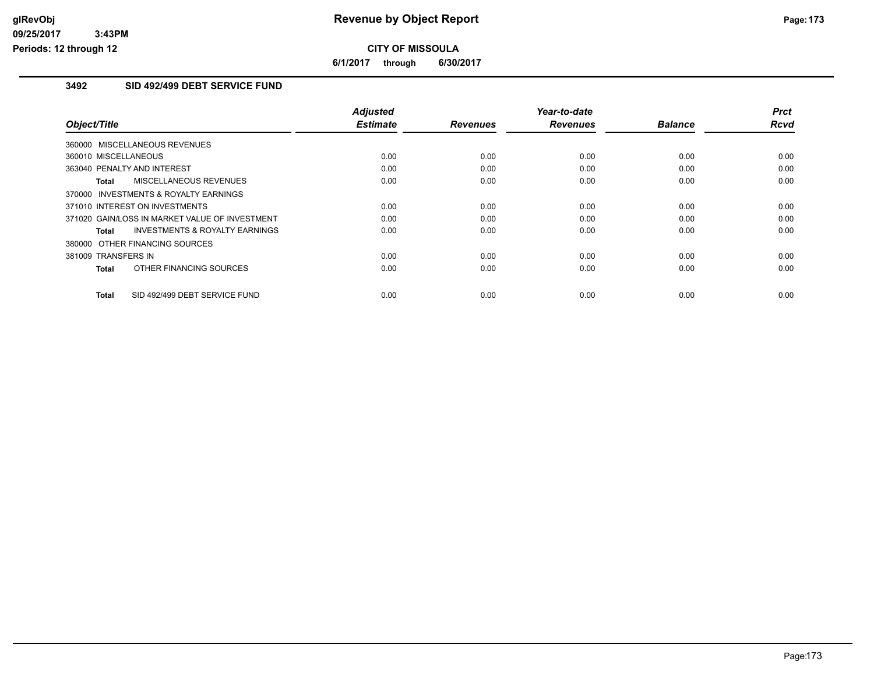**6/1/2017 through 6/30/2017**

# **3492 SID 492/499 DEBT SERVICE FUND**

| Object/Title                                   | <b>Adjusted</b><br><b>Estimate</b> | <b>Revenues</b> | Year-to-date<br><b>Revenues</b> | <b>Balance</b> | <b>Prct</b><br><b>Rcvd</b> |
|------------------------------------------------|------------------------------------|-----------------|---------------------------------|----------------|----------------------------|
| 360000 MISCELLANEOUS REVENUES                  |                                    |                 |                                 |                |                            |
| 360010 MISCELLANEOUS                           | 0.00                               | 0.00            | 0.00                            | 0.00           | 0.00                       |
| 363040 PENALTY AND INTEREST                    | 0.00                               | 0.00            | 0.00                            | 0.00           | 0.00                       |
| MISCELLANEOUS REVENUES<br>Total                | 0.00                               | 0.00            | 0.00                            | 0.00           | 0.00                       |
| 370000 INVESTMENTS & ROYALTY EARNINGS          |                                    |                 |                                 |                |                            |
| 371010 INTEREST ON INVESTMENTS                 | 0.00                               | 0.00            | 0.00                            | 0.00           | 0.00                       |
| 371020 GAIN/LOSS IN MARKET VALUE OF INVESTMENT | 0.00                               | 0.00            | 0.00                            | 0.00           | 0.00                       |
| INVESTMENTS & ROYALTY EARNINGS<br>Total        | 0.00                               | 0.00            | 0.00                            | 0.00           | 0.00                       |
| 380000 OTHER FINANCING SOURCES                 |                                    |                 |                                 |                |                            |
| 381009 TRANSFERS IN                            | 0.00                               | 0.00            | 0.00                            | 0.00           | 0.00                       |
| OTHER FINANCING SOURCES<br><b>Total</b>        | 0.00                               | 0.00            | 0.00                            | 0.00           | 0.00                       |
| SID 492/499 DEBT SERVICE FUND<br><b>Total</b>  | 0.00                               | 0.00            | 0.00                            | 0.00           | 0.00                       |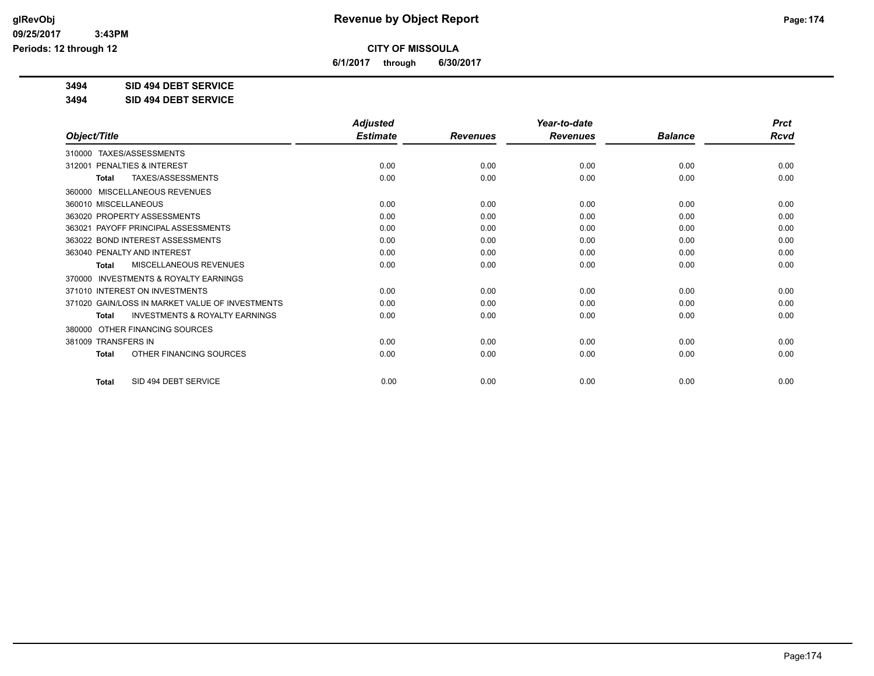**6/1/2017 through 6/30/2017**

**3494 SID 494 DEBT SERVICE**

**3494 SID 494 DEBT SERVICE**

|                                                           | <b>Adjusted</b> |                 | Year-to-date    |                | <b>Prct</b> |
|-----------------------------------------------------------|-----------------|-----------------|-----------------|----------------|-------------|
| Object/Title                                              | <b>Estimate</b> | <b>Revenues</b> | <b>Revenues</b> | <b>Balance</b> | Rcvd        |
| TAXES/ASSESSMENTS<br>310000                               |                 |                 |                 |                |             |
| <b>PENALTIES &amp; INTEREST</b><br>312001                 | 0.00            | 0.00            | 0.00            | 0.00           | 0.00        |
| TAXES/ASSESSMENTS<br><b>Total</b>                         | 0.00            | 0.00            | 0.00            | 0.00           | 0.00        |
| 360000 MISCELLANEOUS REVENUES                             |                 |                 |                 |                |             |
| 360010 MISCELLANEOUS                                      | 0.00            | 0.00            | 0.00            | 0.00           | 0.00        |
| 363020 PROPERTY ASSESSMENTS                               | 0.00            | 0.00            | 0.00            | 0.00           | 0.00        |
| 363021 PAYOFF PRINCIPAL ASSESSMENTS                       | 0.00            | 0.00            | 0.00            | 0.00           | 0.00        |
| 363022 BOND INTEREST ASSESSMENTS                          | 0.00            | 0.00            | 0.00            | 0.00           | 0.00        |
| 363040 PENALTY AND INTEREST                               | 0.00            | 0.00            | 0.00            | 0.00           | 0.00        |
| MISCELLANEOUS REVENUES<br><b>Total</b>                    | 0.00            | 0.00            | 0.00            | 0.00           | 0.00        |
| <b>INVESTMENTS &amp; ROYALTY EARNINGS</b><br>370000       |                 |                 |                 |                |             |
| 371010 INTEREST ON INVESTMENTS                            | 0.00            | 0.00            | 0.00            | 0.00           | 0.00        |
| 371020 GAIN/LOSS IN MARKET VALUE OF INVESTMENTS           | 0.00            | 0.00            | 0.00            | 0.00           | 0.00        |
| <b>INVESTMENTS &amp; ROYALTY EARNINGS</b><br><b>Total</b> | 0.00            | 0.00            | 0.00            | 0.00           | 0.00        |
| OTHER FINANCING SOURCES<br>380000                         |                 |                 |                 |                |             |
| 381009 TRANSFERS IN                                       | 0.00            | 0.00            | 0.00            | 0.00           | 0.00        |
| OTHER FINANCING SOURCES<br><b>Total</b>                   | 0.00            | 0.00            | 0.00            | 0.00           | 0.00        |
| SID 494 DEBT SERVICE<br><b>Total</b>                      | 0.00            | 0.00            | 0.00            | 0.00           | 0.00        |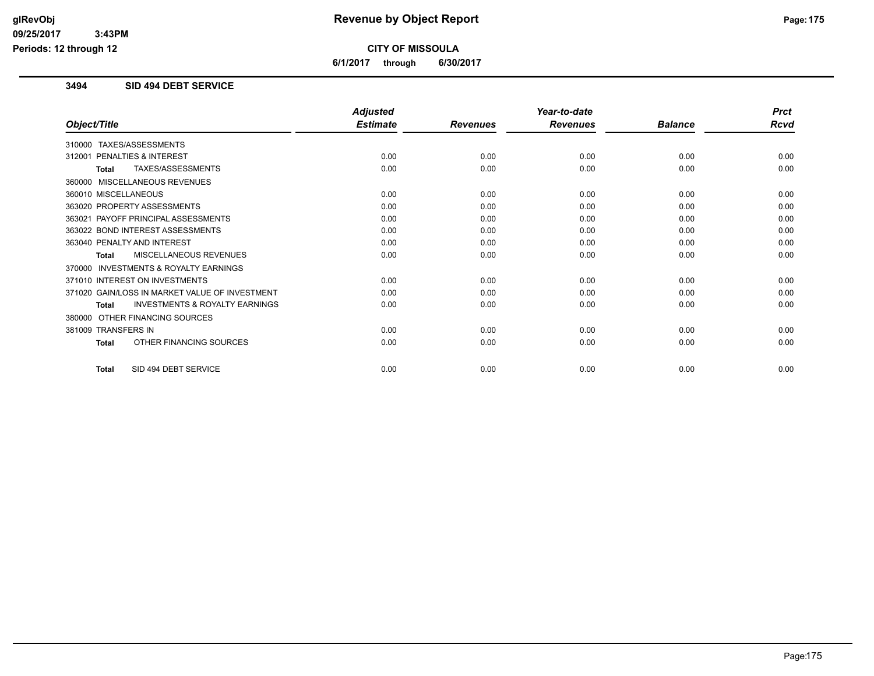**6/1/2017 through 6/30/2017**

### **3494 SID 494 DEBT SERVICE**

|                                                           | <b>Adjusted</b> |                 | Year-to-date    |                | <b>Prct</b> |
|-----------------------------------------------------------|-----------------|-----------------|-----------------|----------------|-------------|
| Object/Title                                              | <b>Estimate</b> | <b>Revenues</b> | <b>Revenues</b> | <b>Balance</b> | Rcvd        |
| 310000 TAXES/ASSESSMENTS                                  |                 |                 |                 |                |             |
| 312001 PENALTIES & INTEREST                               | 0.00            | 0.00            | 0.00            | 0.00           | 0.00        |
| TAXES/ASSESSMENTS<br><b>Total</b>                         | 0.00            | 0.00            | 0.00            | 0.00           | 0.00        |
| 360000 MISCELLANEOUS REVENUES                             |                 |                 |                 |                |             |
| 360010 MISCELLANEOUS                                      | 0.00            | 0.00            | 0.00            | 0.00           | 0.00        |
| 363020 PROPERTY ASSESSMENTS                               | 0.00            | 0.00            | 0.00            | 0.00           | 0.00        |
| 363021 PAYOFF PRINCIPAL ASSESSMENTS                       | 0.00            | 0.00            | 0.00            | 0.00           | 0.00        |
| 363022 BOND INTEREST ASSESSMENTS                          | 0.00            | 0.00            | 0.00            | 0.00           | 0.00        |
| 363040 PENALTY AND INTEREST                               | 0.00            | 0.00            | 0.00            | 0.00           | 0.00        |
| MISCELLANEOUS REVENUES<br><b>Total</b>                    | 0.00            | 0.00            | 0.00            | 0.00           | 0.00        |
| <b>INVESTMENTS &amp; ROYALTY EARNINGS</b><br>370000       |                 |                 |                 |                |             |
| 371010 INTEREST ON INVESTMENTS                            | 0.00            | 0.00            | 0.00            | 0.00           | 0.00        |
| 371020 GAIN/LOSS IN MARKET VALUE OF INVESTMENT            | 0.00            | 0.00            | 0.00            | 0.00           | 0.00        |
| <b>INVESTMENTS &amp; ROYALTY EARNINGS</b><br><b>Total</b> | 0.00            | 0.00            | 0.00            | 0.00           | 0.00        |
| 380000 OTHER FINANCING SOURCES                            |                 |                 |                 |                |             |
| 381009 TRANSFERS IN                                       | 0.00            | 0.00            | 0.00            | 0.00           | 0.00        |
| OTHER FINANCING SOURCES<br>Total                          | 0.00            | 0.00            | 0.00            | 0.00           | 0.00        |
| SID 494 DEBT SERVICE<br><b>Total</b>                      | 0.00            | 0.00            | 0.00            | 0.00           | 0.00        |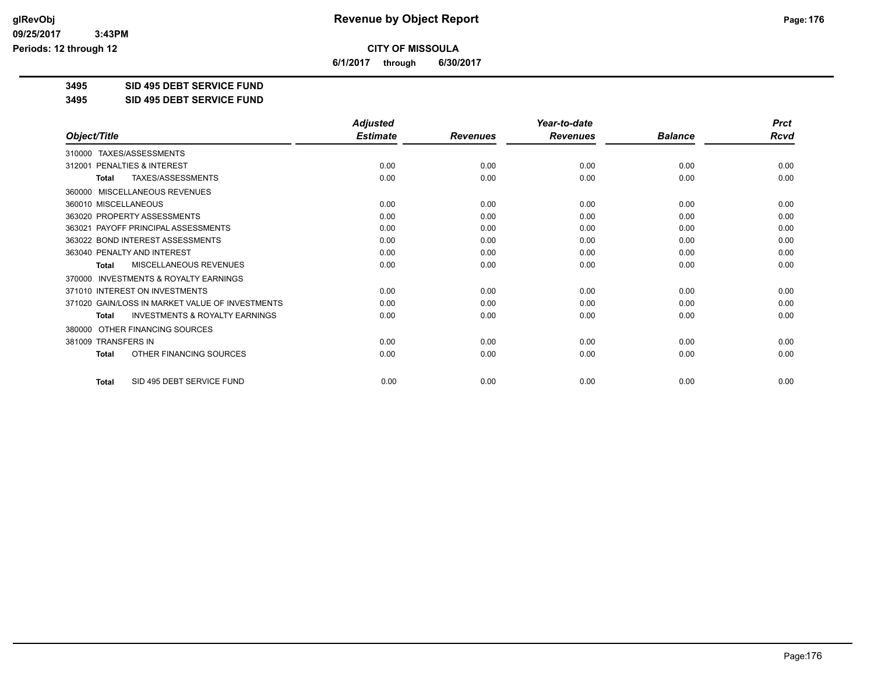**6/1/2017 through 6/30/2017**

**3495 SID 495 DEBT SERVICE FUND**

**3495 SID 495 DEBT SERVICE FUND**

|                                                           | <b>Adjusted</b> |                 | Year-to-date    |                | <b>Prct</b> |
|-----------------------------------------------------------|-----------------|-----------------|-----------------|----------------|-------------|
| Object/Title                                              | <b>Estimate</b> | <b>Revenues</b> | <b>Revenues</b> | <b>Balance</b> | <b>Rcvd</b> |
| TAXES/ASSESSMENTS<br>310000                               |                 |                 |                 |                |             |
| PENALTIES & INTEREST<br>312001                            | 0.00            | 0.00            | 0.00            | 0.00           | 0.00        |
| TAXES/ASSESSMENTS<br>Total                                | 0.00            | 0.00            | 0.00            | 0.00           | 0.00        |
| MISCELLANEOUS REVENUES<br>360000                          |                 |                 |                 |                |             |
| 360010 MISCELLANEOUS                                      | 0.00            | 0.00            | 0.00            | 0.00           | 0.00        |
| 363020 PROPERTY ASSESSMENTS                               | 0.00            | 0.00            | 0.00            | 0.00           | 0.00        |
| 363021 PAYOFF PRINCIPAL ASSESSMENTS                       | 0.00            | 0.00            | 0.00            | 0.00           | 0.00        |
| 363022 BOND INTEREST ASSESSMENTS                          | 0.00            | 0.00            | 0.00            | 0.00           | 0.00        |
| 363040 PENALTY AND INTEREST                               | 0.00            | 0.00            | 0.00            | 0.00           | 0.00        |
| MISCELLANEOUS REVENUES<br><b>Total</b>                    | 0.00            | 0.00            | 0.00            | 0.00           | 0.00        |
| <b>INVESTMENTS &amp; ROYALTY EARNINGS</b><br>370000       |                 |                 |                 |                |             |
| 371010 INTEREST ON INVESTMENTS                            | 0.00            | 0.00            | 0.00            | 0.00           | 0.00        |
| 371020 GAIN/LOSS IN MARKET VALUE OF INVESTMENTS           | 0.00            | 0.00            | 0.00            | 0.00           | 0.00        |
| <b>INVESTMENTS &amp; ROYALTY EARNINGS</b><br><b>Total</b> | 0.00            | 0.00            | 0.00            | 0.00           | 0.00        |
| OTHER FINANCING SOURCES<br>380000                         |                 |                 |                 |                |             |
| 381009 TRANSFERS IN                                       | 0.00            | 0.00            | 0.00            | 0.00           | 0.00        |
| OTHER FINANCING SOURCES<br>Total                          | 0.00            | 0.00            | 0.00            | 0.00           | 0.00        |
| SID 495 DEBT SERVICE FUND<br><b>Total</b>                 | 0.00            | 0.00            | 0.00            | 0.00           | 0.00        |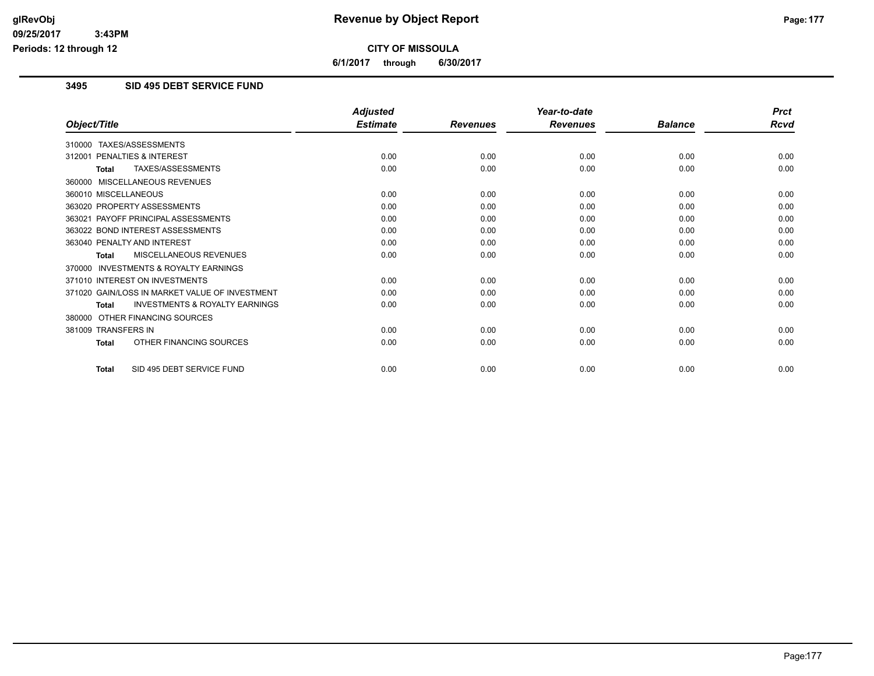**6/1/2017 through 6/30/2017**

# **3495 SID 495 DEBT SERVICE FUND**

|                                                           | <b>Adjusted</b> |                 | Year-to-date    |                | <b>Prct</b> |
|-----------------------------------------------------------|-----------------|-----------------|-----------------|----------------|-------------|
| Object/Title                                              | <b>Estimate</b> | <b>Revenues</b> | <b>Revenues</b> | <b>Balance</b> | <b>Rcvd</b> |
| 310000 TAXES/ASSESSMENTS                                  |                 |                 |                 |                |             |
| PENALTIES & INTEREST<br>312001                            | 0.00            | 0.00            | 0.00            | 0.00           | 0.00        |
| TAXES/ASSESSMENTS<br><b>Total</b>                         | 0.00            | 0.00            | 0.00            | 0.00           | 0.00        |
| 360000 MISCELLANEOUS REVENUES                             |                 |                 |                 |                |             |
| 360010 MISCELLANEOUS                                      | 0.00            | 0.00            | 0.00            | 0.00           | 0.00        |
| 363020 PROPERTY ASSESSMENTS                               | 0.00            | 0.00            | 0.00            | 0.00           | 0.00        |
| 363021 PAYOFF PRINCIPAL ASSESSMENTS                       | 0.00            | 0.00            | 0.00            | 0.00           | 0.00        |
| 363022 BOND INTEREST ASSESSMENTS                          | 0.00            | 0.00            | 0.00            | 0.00           | 0.00        |
| 363040 PENALTY AND INTEREST                               | 0.00            | 0.00            | 0.00            | 0.00           | 0.00        |
| <b>MISCELLANEOUS REVENUES</b><br><b>Total</b>             | 0.00            | 0.00            | 0.00            | 0.00           | 0.00        |
| 370000 INVESTMENTS & ROYALTY EARNINGS                     |                 |                 |                 |                |             |
| 371010 INTEREST ON INVESTMENTS                            | 0.00            | 0.00            | 0.00            | 0.00           | 0.00        |
| 371020 GAIN/LOSS IN MARKET VALUE OF INVESTMENT            | 0.00            | 0.00            | 0.00            | 0.00           | 0.00        |
| <b>INVESTMENTS &amp; ROYALTY EARNINGS</b><br><b>Total</b> | 0.00            | 0.00            | 0.00            | 0.00           | 0.00        |
| 380000 OTHER FINANCING SOURCES                            |                 |                 |                 |                |             |
| 381009 TRANSFERS IN                                       | 0.00            | 0.00            | 0.00            | 0.00           | 0.00        |
| OTHER FINANCING SOURCES<br>Total                          | 0.00            | 0.00            | 0.00            | 0.00           | 0.00        |
| SID 495 DEBT SERVICE FUND<br><b>Total</b>                 | 0.00            | 0.00            | 0.00            | 0.00           | 0.00        |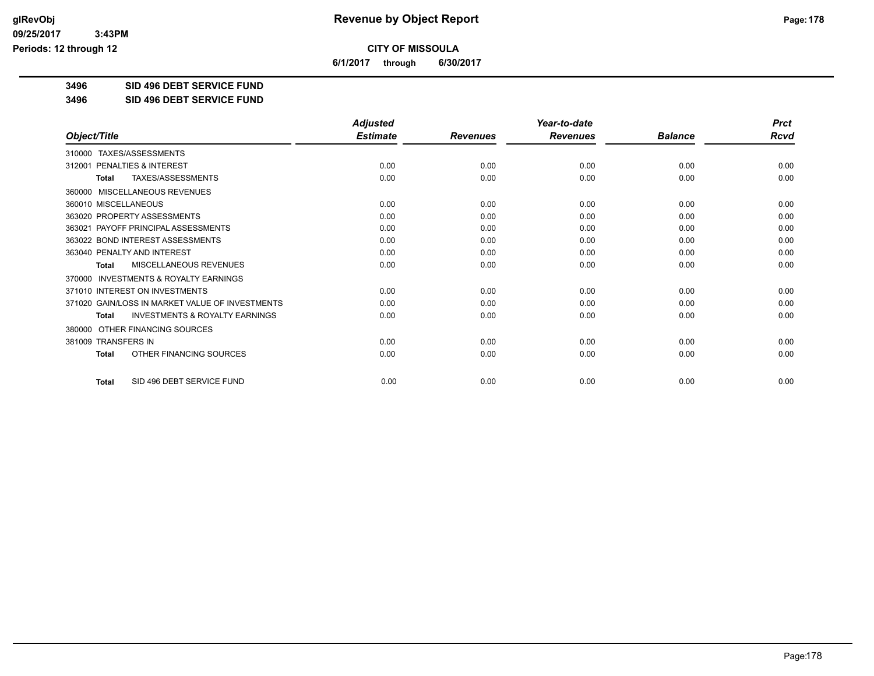**6/1/2017 through 6/30/2017**

**3496 SID 496 DEBT SERVICE FUND**

**3496 SID 496 DEBT SERVICE FUND**

|                                                           | <b>Adjusted</b> |                 | Year-to-date    |                | <b>Prct</b> |
|-----------------------------------------------------------|-----------------|-----------------|-----------------|----------------|-------------|
| Object/Title                                              | <b>Estimate</b> | <b>Revenues</b> | <b>Revenues</b> | <b>Balance</b> | <b>Rcvd</b> |
| TAXES/ASSESSMENTS<br>310000                               |                 |                 |                 |                |             |
| PENALTIES & INTEREST<br>312001                            | 0.00            | 0.00            | 0.00            | 0.00           | 0.00        |
| <b>TAXES/ASSESSMENTS</b><br><b>Total</b>                  | 0.00            | 0.00            | 0.00            | 0.00           | 0.00        |
| MISCELLANEOUS REVENUES<br>360000                          |                 |                 |                 |                |             |
| 360010 MISCELLANEOUS                                      | 0.00            | 0.00            | 0.00            | 0.00           | 0.00        |
| 363020 PROPERTY ASSESSMENTS                               | 0.00            | 0.00            | 0.00            | 0.00           | 0.00        |
| 363021 PAYOFF PRINCIPAL ASSESSMENTS                       | 0.00            | 0.00            | 0.00            | 0.00           | 0.00        |
| 363022 BOND INTEREST ASSESSMENTS                          | 0.00            | 0.00            | 0.00            | 0.00           | 0.00        |
| 363040 PENALTY AND INTEREST                               | 0.00            | 0.00            | 0.00            | 0.00           | 0.00        |
| <b>MISCELLANEOUS REVENUES</b><br><b>Total</b>             | 0.00            | 0.00            | 0.00            | 0.00           | 0.00        |
| <b>INVESTMENTS &amp; ROYALTY EARNINGS</b><br>370000       |                 |                 |                 |                |             |
| 371010 INTEREST ON INVESTMENTS                            | 0.00            | 0.00            | 0.00            | 0.00           | 0.00        |
| 371020 GAIN/LOSS IN MARKET VALUE OF INVESTMENTS           | 0.00            | 0.00            | 0.00            | 0.00           | 0.00        |
| <b>INVESTMENTS &amp; ROYALTY EARNINGS</b><br><b>Total</b> | 0.00            | 0.00            | 0.00            | 0.00           | 0.00        |
| OTHER FINANCING SOURCES<br>380000                         |                 |                 |                 |                |             |
| 381009 TRANSFERS IN                                       | 0.00            | 0.00            | 0.00            | 0.00           | 0.00        |
| OTHER FINANCING SOURCES<br><b>Total</b>                   | 0.00            | 0.00            | 0.00            | 0.00           | 0.00        |
| SID 496 DEBT SERVICE FUND<br><b>Total</b>                 | 0.00            | 0.00            | 0.00            | 0.00           | 0.00        |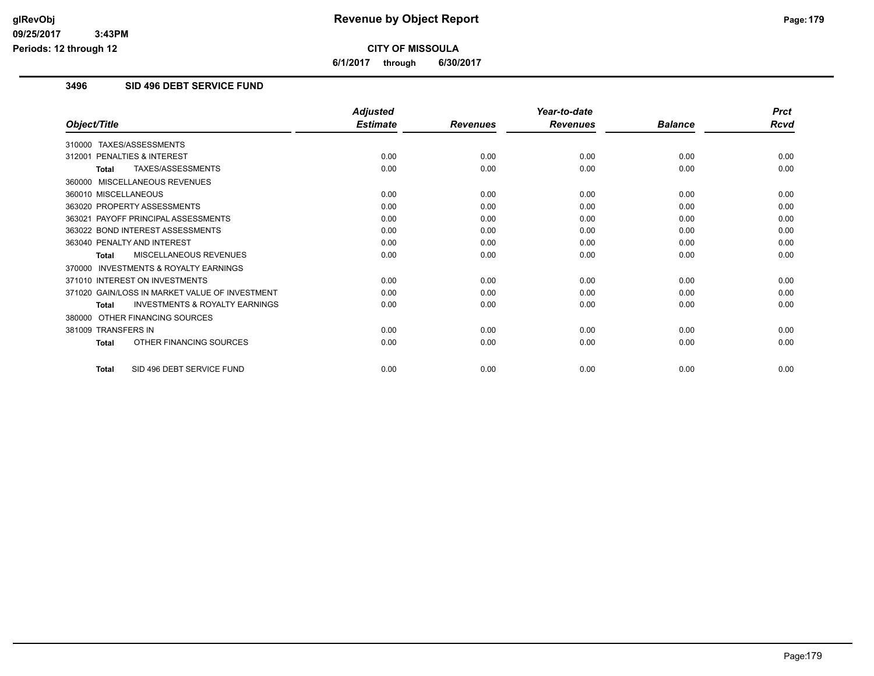**6/1/2017 through 6/30/2017**

# **3496 SID 496 DEBT SERVICE FUND**

|                                                           | <b>Adjusted</b> |                 | Year-to-date    |                | <b>Prct</b> |
|-----------------------------------------------------------|-----------------|-----------------|-----------------|----------------|-------------|
| Object/Title                                              | <b>Estimate</b> | <b>Revenues</b> | <b>Revenues</b> | <b>Balance</b> | <b>Rcvd</b> |
| 310000 TAXES/ASSESSMENTS                                  |                 |                 |                 |                |             |
| PENALTIES & INTEREST<br>312001                            | 0.00            | 0.00            | 0.00            | 0.00           | 0.00        |
| TAXES/ASSESSMENTS<br><b>Total</b>                         | 0.00            | 0.00            | 0.00            | 0.00           | 0.00        |
| 360000 MISCELLANEOUS REVENUES                             |                 |                 |                 |                |             |
| 360010 MISCELLANEOUS                                      | 0.00            | 0.00            | 0.00            | 0.00           | 0.00        |
| 363020 PROPERTY ASSESSMENTS                               | 0.00            | 0.00            | 0.00            | 0.00           | 0.00        |
| 363021 PAYOFF PRINCIPAL ASSESSMENTS                       | 0.00            | 0.00            | 0.00            | 0.00           | 0.00        |
| 363022 BOND INTEREST ASSESSMENTS                          | 0.00            | 0.00            | 0.00            | 0.00           | 0.00        |
| 363040 PENALTY AND INTEREST                               | 0.00            | 0.00            | 0.00            | 0.00           | 0.00        |
| <b>MISCELLANEOUS REVENUES</b><br><b>Total</b>             | 0.00            | 0.00            | 0.00            | 0.00           | 0.00        |
| INVESTMENTS & ROYALTY EARNINGS<br>370000                  |                 |                 |                 |                |             |
| 371010 INTEREST ON INVESTMENTS                            | 0.00            | 0.00            | 0.00            | 0.00           | 0.00        |
| 371020 GAIN/LOSS IN MARKET VALUE OF INVESTMENT            | 0.00            | 0.00            | 0.00            | 0.00           | 0.00        |
| <b>INVESTMENTS &amp; ROYALTY EARNINGS</b><br><b>Total</b> | 0.00            | 0.00            | 0.00            | 0.00           | 0.00        |
| OTHER FINANCING SOURCES<br>380000                         |                 |                 |                 |                |             |
| 381009 TRANSFERS IN                                       | 0.00            | 0.00            | 0.00            | 0.00           | 0.00        |
| OTHER FINANCING SOURCES<br><b>Total</b>                   | 0.00            | 0.00            | 0.00            | 0.00           | 0.00        |
| SID 496 DEBT SERVICE FUND<br><b>Total</b>                 | 0.00            | 0.00            | 0.00            | 0.00           | 0.00        |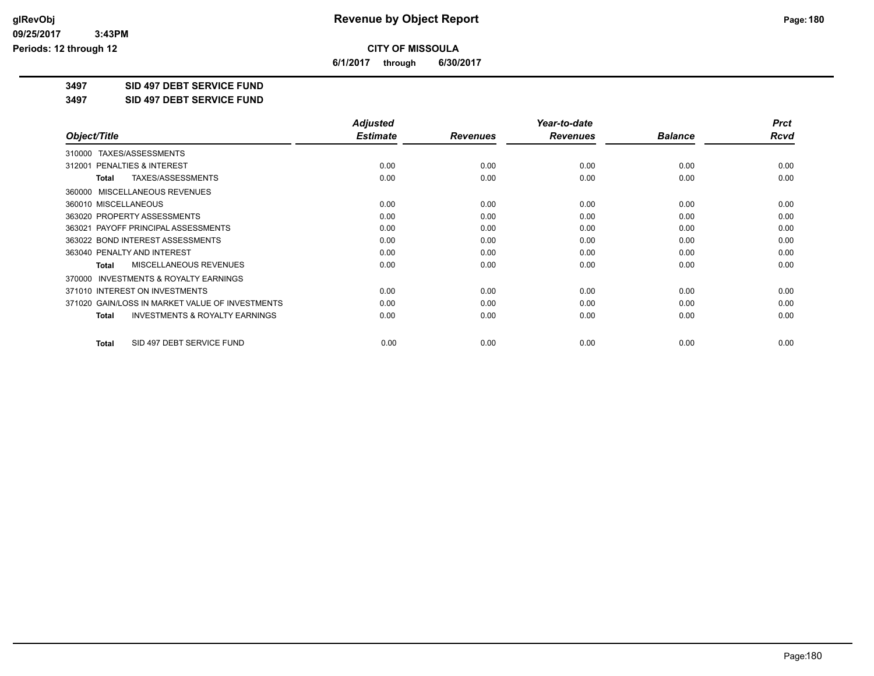**6/1/2017 through 6/30/2017**

**3497 SID 497 DEBT SERVICE FUND**

**3497 SID 497 DEBT SERVICE FUND**

|                                                           | <b>Adjusted</b> |                 | Year-to-date    |                | <b>Prct</b> |
|-----------------------------------------------------------|-----------------|-----------------|-----------------|----------------|-------------|
| Object/Title                                              | <b>Estimate</b> | <b>Revenues</b> | <b>Revenues</b> | <b>Balance</b> | Rcvd        |
| TAXES/ASSESSMENTS<br>310000                               |                 |                 |                 |                |             |
| 312001 PENALTIES & INTEREST                               | 0.00            | 0.00            | 0.00            | 0.00           | 0.00        |
| TAXES/ASSESSMENTS<br><b>Total</b>                         | 0.00            | 0.00            | 0.00            | 0.00           | 0.00        |
| MISCELLANEOUS REVENUES<br>360000                          |                 |                 |                 |                |             |
| 360010 MISCELLANEOUS                                      | 0.00            | 0.00            | 0.00            | 0.00           | 0.00        |
| 363020 PROPERTY ASSESSMENTS                               | 0.00            | 0.00            | 0.00            | 0.00           | 0.00        |
| 363021 PAYOFF PRINCIPAL ASSESSMENTS                       | 0.00            | 0.00            | 0.00            | 0.00           | 0.00        |
| 363022 BOND INTEREST ASSESSMENTS                          | 0.00            | 0.00            | 0.00            | 0.00           | 0.00        |
| 363040 PENALTY AND INTEREST                               | 0.00            | 0.00            | 0.00            | 0.00           | 0.00        |
| <b>MISCELLANEOUS REVENUES</b><br>Total                    | 0.00            | 0.00            | 0.00            | 0.00           | 0.00        |
| <b>INVESTMENTS &amp; ROYALTY EARNINGS</b><br>370000       |                 |                 |                 |                |             |
| 371010 INTEREST ON INVESTMENTS                            | 0.00            | 0.00            | 0.00            | 0.00           | 0.00        |
| 371020 GAIN/LOSS IN MARKET VALUE OF INVESTMENTS           | 0.00            | 0.00            | 0.00            | 0.00           | 0.00        |
| <b>INVESTMENTS &amp; ROYALTY EARNINGS</b><br><b>Total</b> | 0.00            | 0.00            | 0.00            | 0.00           | 0.00        |
| SID 497 DEBT SERVICE FUND<br><b>Total</b>                 | 0.00            | 0.00            | 0.00            | 0.00           | 0.00        |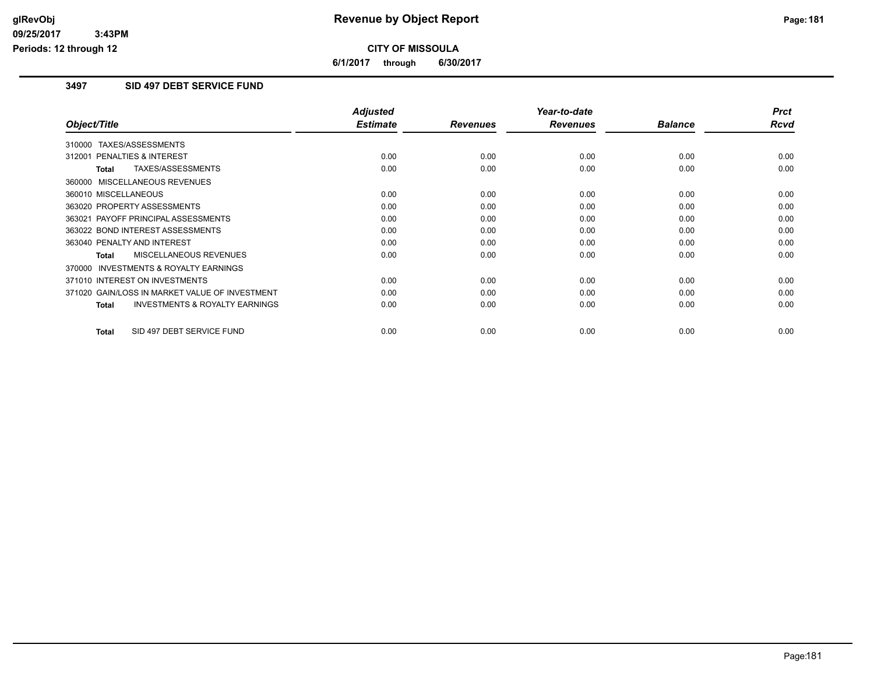**6/1/2017 through 6/30/2017**

## **3497 SID 497 DEBT SERVICE FUND**

|                                                           | <b>Adjusted</b> |                 | Year-to-date    |                | <b>Prct</b> |
|-----------------------------------------------------------|-----------------|-----------------|-----------------|----------------|-------------|
| Object/Title                                              | <b>Estimate</b> | <b>Revenues</b> | <b>Revenues</b> | <b>Balance</b> | <b>Rcvd</b> |
| 310000 TAXES/ASSESSMENTS                                  |                 |                 |                 |                |             |
| 312001 PENALTIES & INTEREST                               | 0.00            | 0.00            | 0.00            | 0.00           | 0.00        |
| <b>TAXES/ASSESSMENTS</b><br><b>Total</b>                  | 0.00            | 0.00            | 0.00            | 0.00           | 0.00        |
| 360000 MISCELLANEOUS REVENUES                             |                 |                 |                 |                |             |
| 360010 MISCELLANEOUS                                      | 0.00            | 0.00            | 0.00            | 0.00           | 0.00        |
| 363020 PROPERTY ASSESSMENTS                               | 0.00            | 0.00            | 0.00            | 0.00           | 0.00        |
| 363021 PAYOFF PRINCIPAL ASSESSMENTS                       | 0.00            | 0.00            | 0.00            | 0.00           | 0.00        |
| 363022 BOND INTEREST ASSESSMENTS                          | 0.00            | 0.00            | 0.00            | 0.00           | 0.00        |
| 363040 PENALTY AND INTEREST                               | 0.00            | 0.00            | 0.00            | 0.00           | 0.00        |
| MISCELLANEOUS REVENUES<br>Total                           | 0.00            | 0.00            | 0.00            | 0.00           | 0.00        |
| <b>INVESTMENTS &amp; ROYALTY EARNINGS</b><br>370000       |                 |                 |                 |                |             |
| 371010 INTEREST ON INVESTMENTS                            | 0.00            | 0.00            | 0.00            | 0.00           | 0.00        |
| 371020 GAIN/LOSS IN MARKET VALUE OF INVESTMENT            | 0.00            | 0.00            | 0.00            | 0.00           | 0.00        |
| <b>INVESTMENTS &amp; ROYALTY EARNINGS</b><br><b>Total</b> | 0.00            | 0.00            | 0.00            | 0.00           | 0.00        |
|                                                           |                 |                 |                 |                |             |
| SID 497 DEBT SERVICE FUND<br><b>Total</b>                 | 0.00            | 0.00            | 0.00            | 0.00           | 0.00        |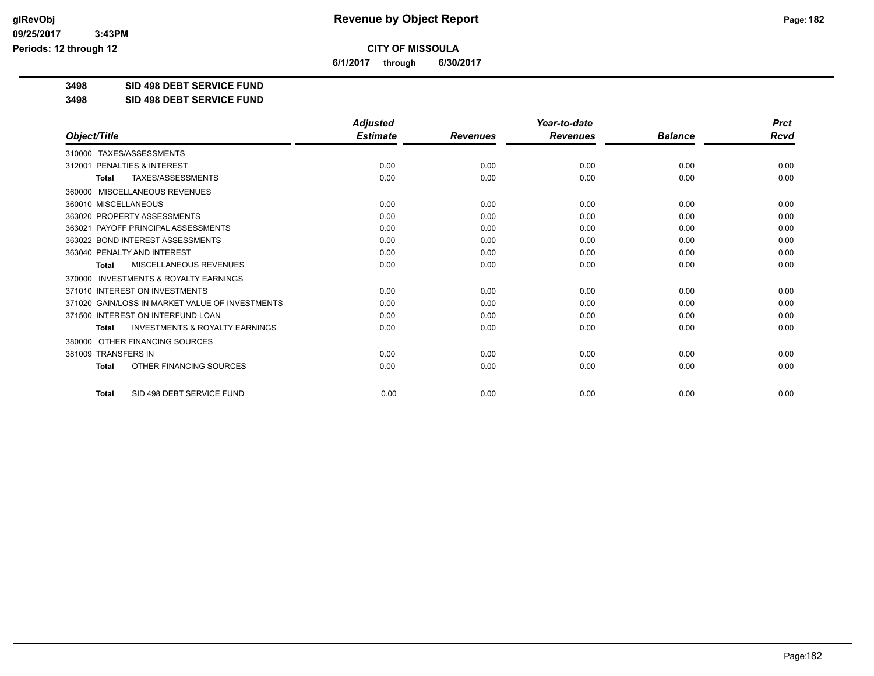**6/1/2017 through 6/30/2017**

**3498 SID 498 DEBT SERVICE FUND**

**3498 SID 498 DEBT SERVICE FUND**

|                                                           | <b>Adjusted</b> |                 | Year-to-date    |                | <b>Prct</b> |
|-----------------------------------------------------------|-----------------|-----------------|-----------------|----------------|-------------|
| Object/Title                                              | <b>Estimate</b> | <b>Revenues</b> | <b>Revenues</b> | <b>Balance</b> | <b>Rcvd</b> |
| <b>TAXES/ASSESSMENTS</b><br>310000                        |                 |                 |                 |                |             |
| PENALTIES & INTEREST<br>312001                            | 0.00            | 0.00            | 0.00            | 0.00           | 0.00        |
| <b>TAXES/ASSESSMENTS</b><br><b>Total</b>                  | 0.00            | 0.00            | 0.00            | 0.00           | 0.00        |
| 360000 MISCELLANEOUS REVENUES                             |                 |                 |                 |                |             |
| 360010 MISCELLANEOUS                                      | 0.00            | 0.00            | 0.00            | 0.00           | 0.00        |
| 363020 PROPERTY ASSESSMENTS                               | 0.00            | 0.00            | 0.00            | 0.00           | 0.00        |
| PAYOFF PRINCIPAL ASSESSMENTS<br>363021                    | 0.00            | 0.00            | 0.00            | 0.00           | 0.00        |
| 363022 BOND INTEREST ASSESSMENTS                          | 0.00            | 0.00            | 0.00            | 0.00           | 0.00        |
| 363040 PENALTY AND INTEREST                               | 0.00            | 0.00            | 0.00            | 0.00           | 0.00        |
| MISCELLANEOUS REVENUES<br><b>Total</b>                    | 0.00            | 0.00            | 0.00            | 0.00           | 0.00        |
| 370000 INVESTMENTS & ROYALTY EARNINGS                     |                 |                 |                 |                |             |
| 371010 INTEREST ON INVESTMENTS                            | 0.00            | 0.00            | 0.00            | 0.00           | 0.00        |
| 371020 GAIN/LOSS IN MARKET VALUE OF INVESTMENTS           | 0.00            | 0.00            | 0.00            | 0.00           | 0.00        |
| 371500 INTEREST ON INTERFUND LOAN                         | 0.00            | 0.00            | 0.00            | 0.00           | 0.00        |
| <b>INVESTMENTS &amp; ROYALTY EARNINGS</b><br><b>Total</b> | 0.00            | 0.00            | 0.00            | 0.00           | 0.00        |
| OTHER FINANCING SOURCES<br>380000                         |                 |                 |                 |                |             |
| 381009 TRANSFERS IN                                       | 0.00            | 0.00            | 0.00            | 0.00           | 0.00        |
| OTHER FINANCING SOURCES<br><b>Total</b>                   | 0.00            | 0.00            | 0.00            | 0.00           | 0.00        |
| SID 498 DEBT SERVICE FUND<br><b>Total</b>                 | 0.00            | 0.00            | 0.00            | 0.00           | 0.00        |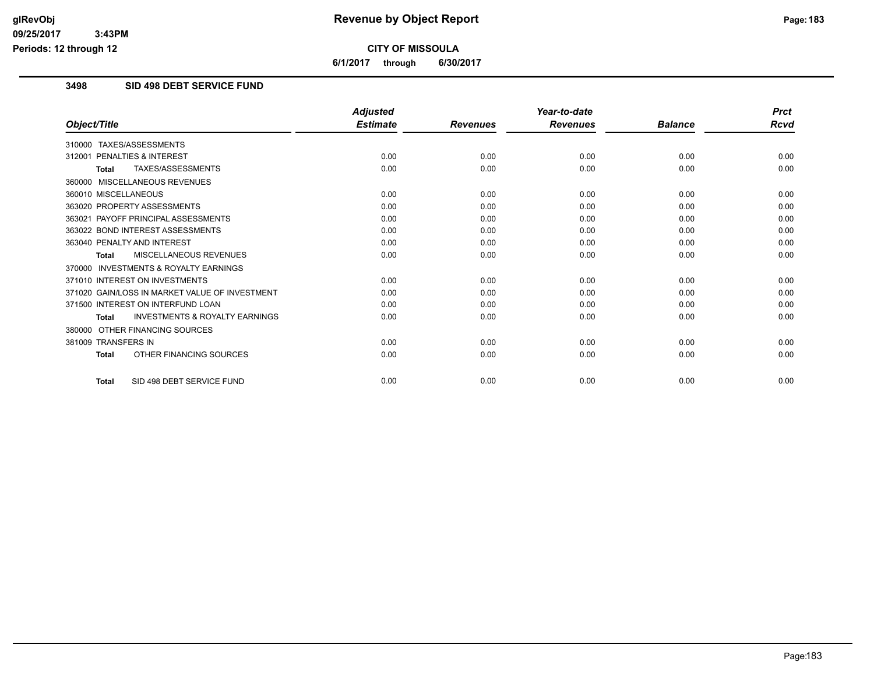**6/1/2017 through 6/30/2017**

## **3498 SID 498 DEBT SERVICE FUND**

|                                                           | <b>Adjusted</b> |                 | Year-to-date    |                | <b>Prct</b> |
|-----------------------------------------------------------|-----------------|-----------------|-----------------|----------------|-------------|
| Object/Title                                              | <b>Estimate</b> | <b>Revenues</b> | <b>Revenues</b> | <b>Balance</b> | <b>Rcvd</b> |
| TAXES/ASSESSMENTS<br>310000                               |                 |                 |                 |                |             |
| 312001 PENALTIES & INTEREST                               | 0.00            | 0.00            | 0.00            | 0.00           | 0.00        |
| TAXES/ASSESSMENTS<br><b>Total</b>                         | 0.00            | 0.00            | 0.00            | 0.00           | 0.00        |
| 360000 MISCELLANEOUS REVENUES                             |                 |                 |                 |                |             |
| 360010 MISCELLANEOUS                                      | 0.00            | 0.00            | 0.00            | 0.00           | 0.00        |
| 363020 PROPERTY ASSESSMENTS                               | 0.00            | 0.00            | 0.00            | 0.00           | 0.00        |
| 363021 PAYOFF PRINCIPAL ASSESSMENTS                       | 0.00            | 0.00            | 0.00            | 0.00           | 0.00        |
| 363022 BOND INTEREST ASSESSMENTS                          | 0.00            | 0.00            | 0.00            | 0.00           | 0.00        |
| 363040 PENALTY AND INTEREST                               | 0.00            | 0.00            | 0.00            | 0.00           | 0.00        |
| MISCELLANEOUS REVENUES<br>Total                           | 0.00            | 0.00            | 0.00            | 0.00           | 0.00        |
| <b>INVESTMENTS &amp; ROYALTY EARNINGS</b><br>370000       |                 |                 |                 |                |             |
| 371010 INTEREST ON INVESTMENTS                            | 0.00            | 0.00            | 0.00            | 0.00           | 0.00        |
| 371020 GAIN/LOSS IN MARKET VALUE OF INVESTMENT            | 0.00            | 0.00            | 0.00            | 0.00           | 0.00        |
| 371500 INTEREST ON INTERFUND LOAN                         | 0.00            | 0.00            | 0.00            | 0.00           | 0.00        |
| <b>INVESTMENTS &amp; ROYALTY EARNINGS</b><br><b>Total</b> | 0.00            | 0.00            | 0.00            | 0.00           | 0.00        |
| OTHER FINANCING SOURCES<br>380000                         |                 |                 |                 |                |             |
| 381009 TRANSFERS IN                                       | 0.00            | 0.00            | 0.00            | 0.00           | 0.00        |
| OTHER FINANCING SOURCES<br>Total                          | 0.00            | 0.00            | 0.00            | 0.00           | 0.00        |
| SID 498 DEBT SERVICE FUND<br><b>Total</b>                 | 0.00            | 0.00            | 0.00            | 0.00           | 0.00        |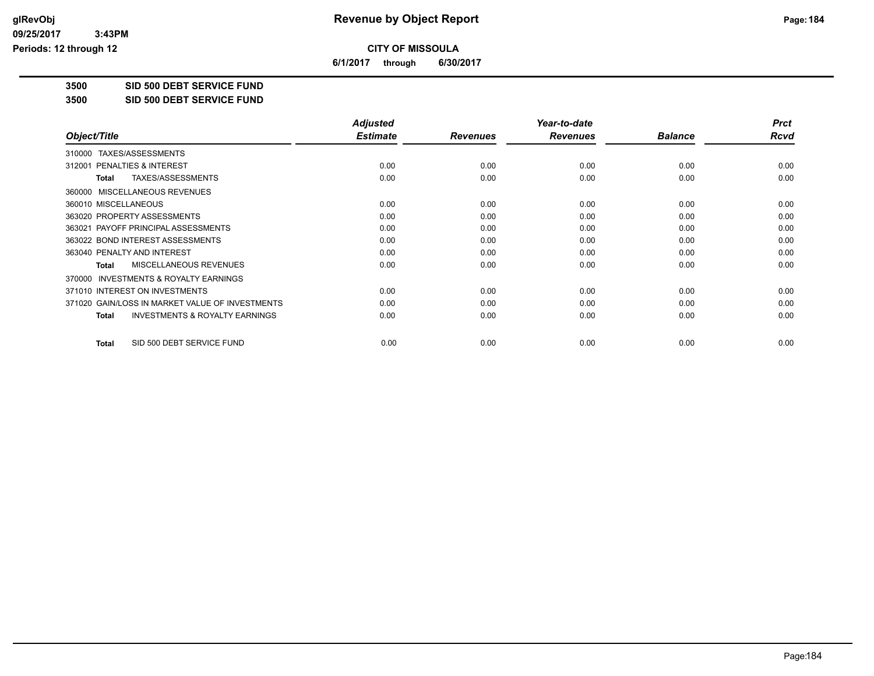**6/1/2017 through 6/30/2017**

**3500 SID 500 DEBT SERVICE FUND**

**3500 SID 500 DEBT SERVICE FUND**

|                                                           | <b>Adjusted</b> |                 | Year-to-date    |                | <b>Prct</b> |
|-----------------------------------------------------------|-----------------|-----------------|-----------------|----------------|-------------|
| Object/Title                                              | <b>Estimate</b> | <b>Revenues</b> | <b>Revenues</b> | <b>Balance</b> | Rcvd        |
| TAXES/ASSESSMENTS<br>310000                               |                 |                 |                 |                |             |
| 312001 PENALTIES & INTEREST                               | 0.00            | 0.00            | 0.00            | 0.00           | 0.00        |
| TAXES/ASSESSMENTS<br><b>Total</b>                         | 0.00            | 0.00            | 0.00            | 0.00           | 0.00        |
| MISCELLANEOUS REVENUES<br>360000                          |                 |                 |                 |                |             |
| 360010 MISCELLANEOUS                                      | 0.00            | 0.00            | 0.00            | 0.00           | 0.00        |
| 363020 PROPERTY ASSESSMENTS                               | 0.00            | 0.00            | 0.00            | 0.00           | 0.00        |
| 363021 PAYOFF PRINCIPAL ASSESSMENTS                       | 0.00            | 0.00            | 0.00            | 0.00           | 0.00        |
| 363022 BOND INTEREST ASSESSMENTS                          | 0.00            | 0.00            | 0.00            | 0.00           | 0.00        |
| 363040 PENALTY AND INTEREST                               | 0.00            | 0.00            | 0.00            | 0.00           | 0.00        |
| MISCELLANEOUS REVENUES<br><b>Total</b>                    | 0.00            | 0.00            | 0.00            | 0.00           | 0.00        |
| 370000 INVESTMENTS & ROYALTY EARNINGS                     |                 |                 |                 |                |             |
| 371010 INTEREST ON INVESTMENTS                            | 0.00            | 0.00            | 0.00            | 0.00           | 0.00        |
| 371020 GAIN/LOSS IN MARKET VALUE OF INVESTMENTS           | 0.00            | 0.00            | 0.00            | 0.00           | 0.00        |
| <b>INVESTMENTS &amp; ROYALTY EARNINGS</b><br><b>Total</b> | 0.00            | 0.00            | 0.00            | 0.00           | 0.00        |
| SID 500 DEBT SERVICE FUND<br><b>Total</b>                 | 0.00            | 0.00            | 0.00            | 0.00           | 0.00        |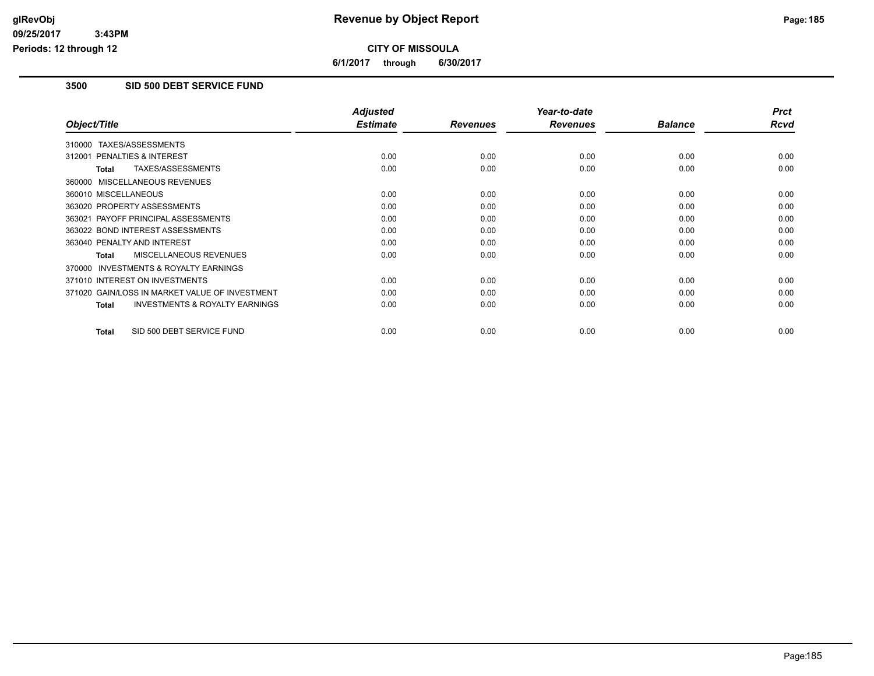**6/1/2017 through 6/30/2017**

## **3500 SID 500 DEBT SERVICE FUND**

|                                                           | <b>Adjusted</b> |                 | Year-to-date    |                | <b>Prct</b> |
|-----------------------------------------------------------|-----------------|-----------------|-----------------|----------------|-------------|
| Object/Title                                              | <b>Estimate</b> | <b>Revenues</b> | <b>Revenues</b> | <b>Balance</b> | Rcvd        |
| TAXES/ASSESSMENTS<br>310000                               |                 |                 |                 |                |             |
| 312001 PENALTIES & INTEREST                               | 0.00            | 0.00            | 0.00            | 0.00           | 0.00        |
| TAXES/ASSESSMENTS<br><b>Total</b>                         | 0.00            | 0.00            | 0.00            | 0.00           | 0.00        |
| 360000 MISCELLANEOUS REVENUES                             |                 |                 |                 |                |             |
| 360010 MISCELLANEOUS                                      | 0.00            | 0.00            | 0.00            | 0.00           | 0.00        |
| 363020 PROPERTY ASSESSMENTS                               | 0.00            | 0.00            | 0.00            | 0.00           | 0.00        |
| 363021 PAYOFF PRINCIPAL ASSESSMENTS                       | 0.00            | 0.00            | 0.00            | 0.00           | 0.00        |
| 363022 BOND INTEREST ASSESSMENTS                          | 0.00            | 0.00            | 0.00            | 0.00           | 0.00        |
| 363040 PENALTY AND INTEREST                               | 0.00            | 0.00            | 0.00            | 0.00           | 0.00        |
| MISCELLANEOUS REVENUES<br>Total                           | 0.00            | 0.00            | 0.00            | 0.00           | 0.00        |
| <b>INVESTMENTS &amp; ROYALTY EARNINGS</b><br>370000       |                 |                 |                 |                |             |
| 371010 INTEREST ON INVESTMENTS                            | 0.00            | 0.00            | 0.00            | 0.00           | 0.00        |
| 371020 GAIN/LOSS IN MARKET VALUE OF INVESTMENT            | 0.00            | 0.00            | 0.00            | 0.00           | 0.00        |
| <b>INVESTMENTS &amp; ROYALTY EARNINGS</b><br><b>Total</b> | 0.00            | 0.00            | 0.00            | 0.00           | 0.00        |
| SID 500 DEBT SERVICE FUND<br><b>Total</b>                 | 0.00            | 0.00            | 0.00            | 0.00           | 0.00        |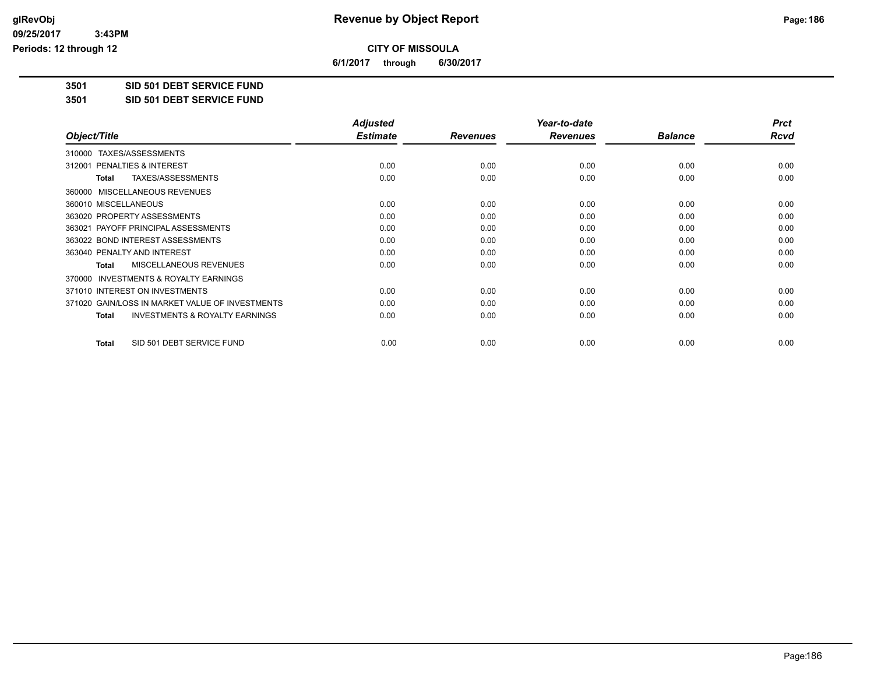**6/1/2017 through 6/30/2017**

**3501 SID 501 DEBT SERVICE FUND**

**3501 SID 501 DEBT SERVICE FUND**

|                                                           | <b>Adjusted</b> |                 | Year-to-date    |                | <b>Prct</b> |
|-----------------------------------------------------------|-----------------|-----------------|-----------------|----------------|-------------|
| Object/Title                                              | <b>Estimate</b> | <b>Revenues</b> | <b>Revenues</b> | <b>Balance</b> | Rcvd        |
| TAXES/ASSESSMENTS<br>310000                               |                 |                 |                 |                |             |
| 312001 PENALTIES & INTEREST                               | 0.00            | 0.00            | 0.00            | 0.00           | 0.00        |
| TAXES/ASSESSMENTS<br>Total                                | 0.00            | 0.00            | 0.00            | 0.00           | 0.00        |
| MISCELLANEOUS REVENUES<br>360000                          |                 |                 |                 |                |             |
| 360010 MISCELLANEOUS                                      | 0.00            | 0.00            | 0.00            | 0.00           | 0.00        |
| 363020 PROPERTY ASSESSMENTS                               | 0.00            | 0.00            | 0.00            | 0.00           | 0.00        |
| 363021 PAYOFF PRINCIPAL ASSESSMENTS                       | 0.00            | 0.00            | 0.00            | 0.00           | 0.00        |
| 363022 BOND INTEREST ASSESSMENTS                          | 0.00            | 0.00            | 0.00            | 0.00           | 0.00        |
| 363040 PENALTY AND INTEREST                               | 0.00            | 0.00            | 0.00            | 0.00           | 0.00        |
| <b>MISCELLANEOUS REVENUES</b><br>Total                    | 0.00            | 0.00            | 0.00            | 0.00           | 0.00        |
| INVESTMENTS & ROYALTY EARNINGS<br>370000                  |                 |                 |                 |                |             |
| 371010 INTEREST ON INVESTMENTS                            | 0.00            | 0.00            | 0.00            | 0.00           | 0.00        |
| 371020 GAIN/LOSS IN MARKET VALUE OF INVESTMENTS           | 0.00            | 0.00            | 0.00            | 0.00           | 0.00        |
| <b>INVESTMENTS &amp; ROYALTY EARNINGS</b><br><b>Total</b> | 0.00            | 0.00            | 0.00            | 0.00           | 0.00        |
| SID 501 DEBT SERVICE FUND<br><b>Total</b>                 | 0.00            | 0.00            | 0.00            | 0.00           | 0.00        |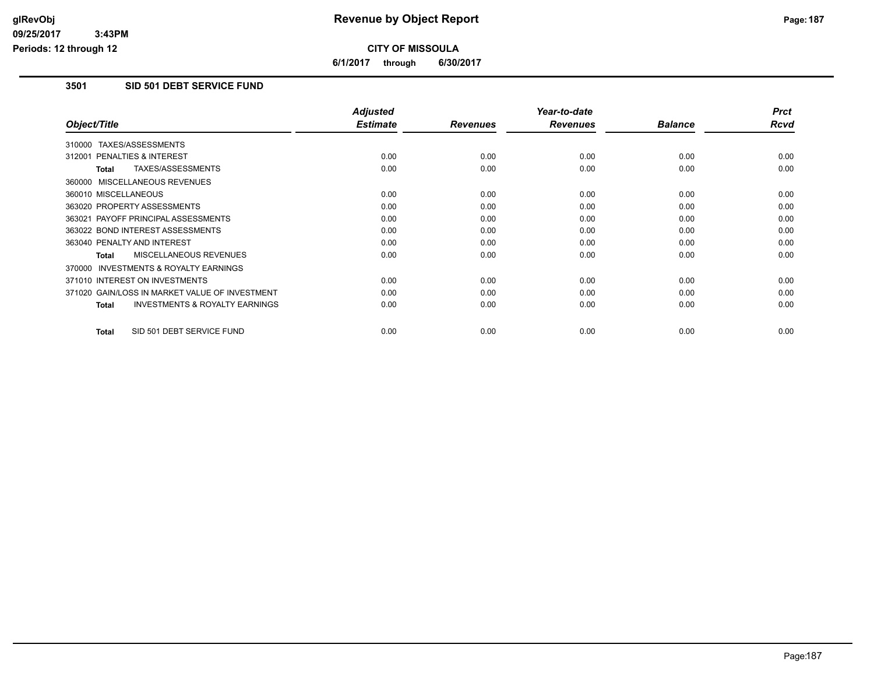**6/1/2017 through 6/30/2017**

## **3501 SID 501 DEBT SERVICE FUND**

| Object/Title                                              | <b>Adjusted</b><br><b>Estimate</b> | <b>Revenues</b> | Year-to-date<br><b>Revenues</b> | <b>Balance</b> | <b>Prct</b><br><b>Rcvd</b> |
|-----------------------------------------------------------|------------------------------------|-----------------|---------------------------------|----------------|----------------------------|
|                                                           |                                    |                 |                                 |                |                            |
| TAXES/ASSESSMENTS<br>310000                               |                                    |                 |                                 |                |                            |
| 312001 PENALTIES & INTEREST                               | 0.00                               | 0.00            | 0.00                            | 0.00           | 0.00                       |
| TAXES/ASSESSMENTS<br><b>Total</b>                         | 0.00                               | 0.00            | 0.00                            | 0.00           | 0.00                       |
| 360000 MISCELLANEOUS REVENUES                             |                                    |                 |                                 |                |                            |
| 360010 MISCELLANEOUS                                      | 0.00                               | 0.00            | 0.00                            | 0.00           | 0.00                       |
| 363020 PROPERTY ASSESSMENTS                               | 0.00                               | 0.00            | 0.00                            | 0.00           | 0.00                       |
| 363021 PAYOFF PRINCIPAL ASSESSMENTS                       | 0.00                               | 0.00            | 0.00                            | 0.00           | 0.00                       |
| 363022 BOND INTEREST ASSESSMENTS                          | 0.00                               | 0.00            | 0.00                            | 0.00           | 0.00                       |
| 363040 PENALTY AND INTEREST                               | 0.00                               | 0.00            | 0.00                            | 0.00           | 0.00                       |
| <b>MISCELLANEOUS REVENUES</b><br><b>Total</b>             | 0.00                               | 0.00            | 0.00                            | 0.00           | 0.00                       |
| 370000 INVESTMENTS & ROYALTY EARNINGS                     |                                    |                 |                                 |                |                            |
| 371010 INTEREST ON INVESTMENTS                            | 0.00                               | 0.00            | 0.00                            | 0.00           | 0.00                       |
| 371020 GAIN/LOSS IN MARKET VALUE OF INVESTMENT            | 0.00                               | 0.00            | 0.00                            | 0.00           | 0.00                       |
| <b>INVESTMENTS &amp; ROYALTY EARNINGS</b><br><b>Total</b> | 0.00                               | 0.00            | 0.00                            | 0.00           | 0.00                       |
| SID 501 DEBT SERVICE FUND<br><b>Total</b>                 | 0.00                               | 0.00            | 0.00                            | 0.00           | 0.00                       |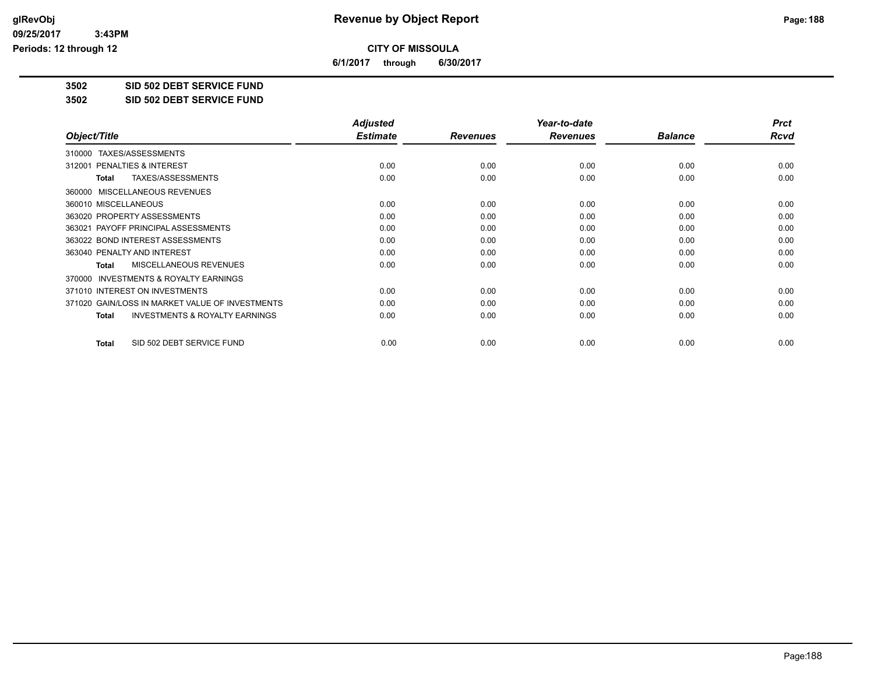**6/1/2017 through 6/30/2017**

**3502 SID 502 DEBT SERVICE FUND**

**3502 SID 502 DEBT SERVICE FUND**

|                                                           | <b>Adjusted</b> |                 | Year-to-date    |                | <b>Prct</b> |
|-----------------------------------------------------------|-----------------|-----------------|-----------------|----------------|-------------|
| Object/Title                                              | <b>Estimate</b> | <b>Revenues</b> | <b>Revenues</b> | <b>Balance</b> | Rcvd        |
| TAXES/ASSESSMENTS<br>310000                               |                 |                 |                 |                |             |
| 312001 PENALTIES & INTEREST                               | 0.00            | 0.00            | 0.00            | 0.00           | 0.00        |
| TAXES/ASSESSMENTS<br><b>Total</b>                         | 0.00            | 0.00            | 0.00            | 0.00           | 0.00        |
| MISCELLANEOUS REVENUES<br>360000                          |                 |                 |                 |                |             |
| 360010 MISCELLANEOUS                                      | 0.00            | 0.00            | 0.00            | 0.00           | 0.00        |
| 363020 PROPERTY ASSESSMENTS                               | 0.00            | 0.00            | 0.00            | 0.00           | 0.00        |
| 363021 PAYOFF PRINCIPAL ASSESSMENTS                       | 0.00            | 0.00            | 0.00            | 0.00           | 0.00        |
| 363022 BOND INTEREST ASSESSMENTS                          | 0.00            | 0.00            | 0.00            | 0.00           | 0.00        |
| 363040 PENALTY AND INTEREST                               | 0.00            | 0.00            | 0.00            | 0.00           | 0.00        |
| <b>MISCELLANEOUS REVENUES</b><br>Total                    | 0.00            | 0.00            | 0.00            | 0.00           | 0.00        |
| <b>INVESTMENTS &amp; ROYALTY EARNINGS</b><br>370000       |                 |                 |                 |                |             |
| 371010 INTEREST ON INVESTMENTS                            | 0.00            | 0.00            | 0.00            | 0.00           | 0.00        |
| 371020 GAIN/LOSS IN MARKET VALUE OF INVESTMENTS           | 0.00            | 0.00            | 0.00            | 0.00           | 0.00        |
| <b>INVESTMENTS &amp; ROYALTY EARNINGS</b><br><b>Total</b> | 0.00            | 0.00            | 0.00            | 0.00           | 0.00        |
| SID 502 DEBT SERVICE FUND<br><b>Total</b>                 | 0.00            | 0.00            | 0.00            | 0.00           | 0.00        |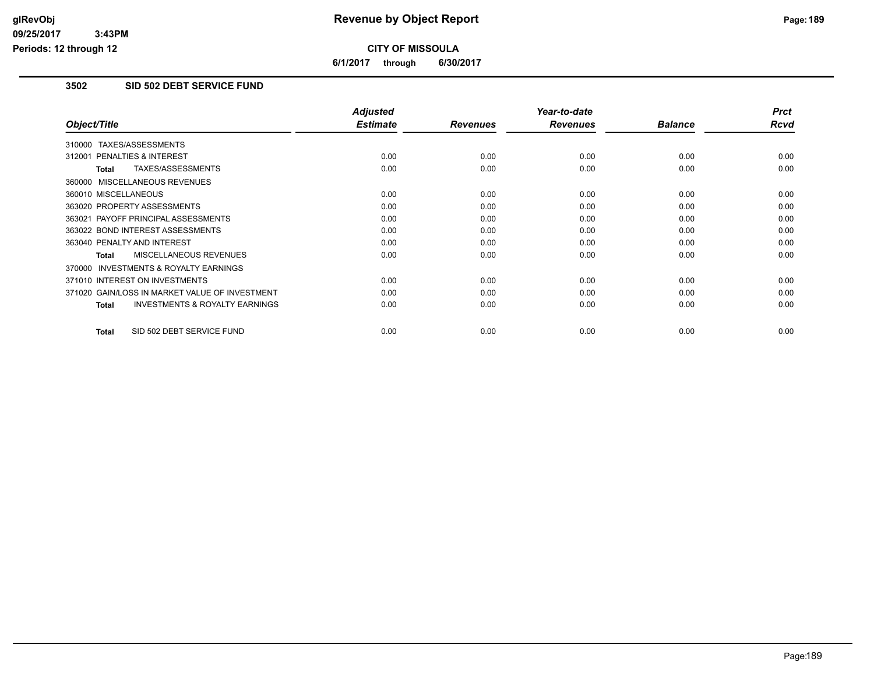**6/1/2017 through 6/30/2017**

## **3502 SID 502 DEBT SERVICE FUND**

|                                                           | <b>Adjusted</b><br><b>Estimate</b> |                 | Year-to-date    |                | <b>Prct</b> |
|-----------------------------------------------------------|------------------------------------|-----------------|-----------------|----------------|-------------|
| Object/Title                                              |                                    | <b>Revenues</b> | <b>Revenues</b> | <b>Balance</b> | <b>Rcvd</b> |
| 310000 TAXES/ASSESSMENTS                                  |                                    |                 |                 |                |             |
| 312001 PENALTIES & INTEREST                               | 0.00                               | 0.00            | 0.00            | 0.00           | 0.00        |
| TAXES/ASSESSMENTS<br><b>Total</b>                         | 0.00                               | 0.00            | 0.00            | 0.00           | 0.00        |
| 360000 MISCELLANEOUS REVENUES                             |                                    |                 |                 |                |             |
| 360010 MISCELLANEOUS                                      | 0.00                               | 0.00            | 0.00            | 0.00           | 0.00        |
| 363020 PROPERTY ASSESSMENTS                               | 0.00                               | 0.00            | 0.00            | 0.00           | 0.00        |
| 363021 PAYOFF PRINCIPAL ASSESSMENTS                       | 0.00                               | 0.00            | 0.00            | 0.00           | 0.00        |
| 363022 BOND INTEREST ASSESSMENTS                          | 0.00                               | 0.00            | 0.00            | 0.00           | 0.00        |
| 363040 PENALTY AND INTEREST                               | 0.00                               | 0.00            | 0.00            | 0.00           | 0.00        |
| MISCELLANEOUS REVENUES<br>Total                           | 0.00                               | 0.00            | 0.00            | 0.00           | 0.00        |
| <b>INVESTMENTS &amp; ROYALTY EARNINGS</b><br>370000       |                                    |                 |                 |                |             |
| 371010 INTEREST ON INVESTMENTS                            | 0.00                               | 0.00            | 0.00            | 0.00           | 0.00        |
| 371020 GAIN/LOSS IN MARKET VALUE OF INVESTMENT            | 0.00                               | 0.00            | 0.00            | 0.00           | 0.00        |
| <b>INVESTMENTS &amp; ROYALTY EARNINGS</b><br><b>Total</b> | 0.00                               | 0.00            | 0.00            | 0.00           | 0.00        |
|                                                           |                                    |                 |                 |                |             |
| SID 502 DEBT SERVICE FUND<br><b>Total</b>                 | 0.00                               | 0.00            | 0.00            | 0.00           | 0.00        |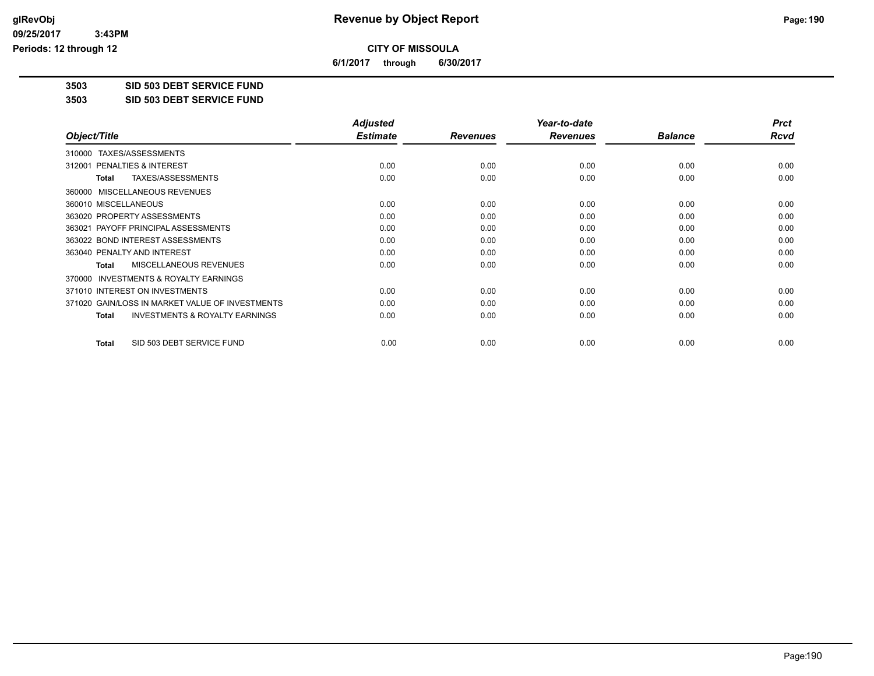**6/1/2017 through 6/30/2017**

**3503 SID 503 DEBT SERVICE FUND**

**3503 SID 503 DEBT SERVICE FUND**

|                                                           | <b>Adjusted</b> |                 | Year-to-date    |                | <b>Prct</b> |
|-----------------------------------------------------------|-----------------|-----------------|-----------------|----------------|-------------|
| Object/Title                                              | <b>Estimate</b> | <b>Revenues</b> | <b>Revenues</b> | <b>Balance</b> | Rcvd        |
| TAXES/ASSESSMENTS<br>310000                               |                 |                 |                 |                |             |
| 312001 PENALTIES & INTEREST                               | 0.00            | 0.00            | 0.00            | 0.00           | 0.00        |
| TAXES/ASSESSMENTS<br><b>Total</b>                         | 0.00            | 0.00            | 0.00            | 0.00           | 0.00        |
| MISCELLANEOUS REVENUES<br>360000                          |                 |                 |                 |                |             |
| 360010 MISCELLANEOUS                                      | 0.00            | 0.00            | 0.00            | 0.00           | 0.00        |
| 363020 PROPERTY ASSESSMENTS                               | 0.00            | 0.00            | 0.00            | 0.00           | 0.00        |
| 363021 PAYOFF PRINCIPAL ASSESSMENTS                       | 0.00            | 0.00            | 0.00            | 0.00           | 0.00        |
| 363022 BOND INTEREST ASSESSMENTS                          | 0.00            | 0.00            | 0.00            | 0.00           | 0.00        |
| 363040 PENALTY AND INTEREST                               | 0.00            | 0.00            | 0.00            | 0.00           | 0.00        |
| <b>MISCELLANEOUS REVENUES</b><br><b>Total</b>             | 0.00            | 0.00            | 0.00            | 0.00           | 0.00        |
| 370000 INVESTMENTS & ROYALTY EARNINGS                     |                 |                 |                 |                |             |
| 371010 INTEREST ON INVESTMENTS                            | 0.00            | 0.00            | 0.00            | 0.00           | 0.00        |
| 371020 GAIN/LOSS IN MARKET VALUE OF INVESTMENTS           | 0.00            | 0.00            | 0.00            | 0.00           | 0.00        |
| <b>INVESTMENTS &amp; ROYALTY EARNINGS</b><br><b>Total</b> | 0.00            | 0.00            | 0.00            | 0.00           | 0.00        |
| SID 503 DEBT SERVICE FUND<br><b>Total</b>                 | 0.00            | 0.00            | 0.00            | 0.00           | 0.00        |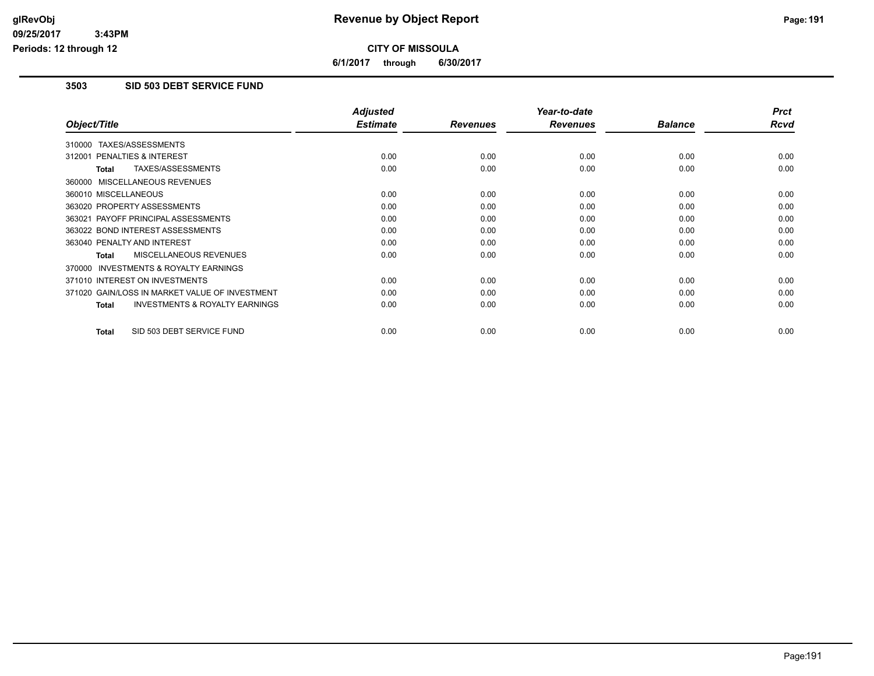**6/1/2017 through 6/30/2017**

## **3503 SID 503 DEBT SERVICE FUND**

|                                                           | <b>Adjusted</b> |                 | Year-to-date    |                | <b>Prct</b> |
|-----------------------------------------------------------|-----------------|-----------------|-----------------|----------------|-------------|
| Object/Title                                              | <b>Estimate</b> | <b>Revenues</b> | <b>Revenues</b> | <b>Balance</b> | Rcvd        |
| 310000 TAXES/ASSESSMENTS                                  |                 |                 |                 |                |             |
| 312001 PENALTIES & INTEREST                               | 0.00            | 0.00            | 0.00            | 0.00           | 0.00        |
| TAXES/ASSESSMENTS<br><b>Total</b>                         | 0.00            | 0.00            | 0.00            | 0.00           | 0.00        |
| 360000 MISCELLANEOUS REVENUES                             |                 |                 |                 |                |             |
| 360010 MISCELLANEOUS                                      | 0.00            | 0.00            | 0.00            | 0.00           | 0.00        |
| 363020 PROPERTY ASSESSMENTS                               | 0.00            | 0.00            | 0.00            | 0.00           | 0.00        |
| 363021 PAYOFF PRINCIPAL ASSESSMENTS                       | 0.00            | 0.00            | 0.00            | 0.00           | 0.00        |
| 363022 BOND INTEREST ASSESSMENTS                          | 0.00            | 0.00            | 0.00            | 0.00           | 0.00        |
| 363040 PENALTY AND INTEREST                               | 0.00            | 0.00            | 0.00            | 0.00           | 0.00        |
| <b>MISCELLANEOUS REVENUES</b><br>Total                    | 0.00            | 0.00            | 0.00            | 0.00           | 0.00        |
| <b>INVESTMENTS &amp; ROYALTY EARNINGS</b><br>370000       |                 |                 |                 |                |             |
| 371010 INTEREST ON INVESTMENTS                            | 0.00            | 0.00            | 0.00            | 0.00           | 0.00        |
| 371020 GAIN/LOSS IN MARKET VALUE OF INVESTMENT            | 0.00            | 0.00            | 0.00            | 0.00           | 0.00        |
| <b>INVESTMENTS &amp; ROYALTY EARNINGS</b><br><b>Total</b> | 0.00            | 0.00            | 0.00            | 0.00           | 0.00        |
| SID 503 DEBT SERVICE FUND<br><b>Total</b>                 | 0.00            | 0.00            | 0.00            | 0.00           | 0.00        |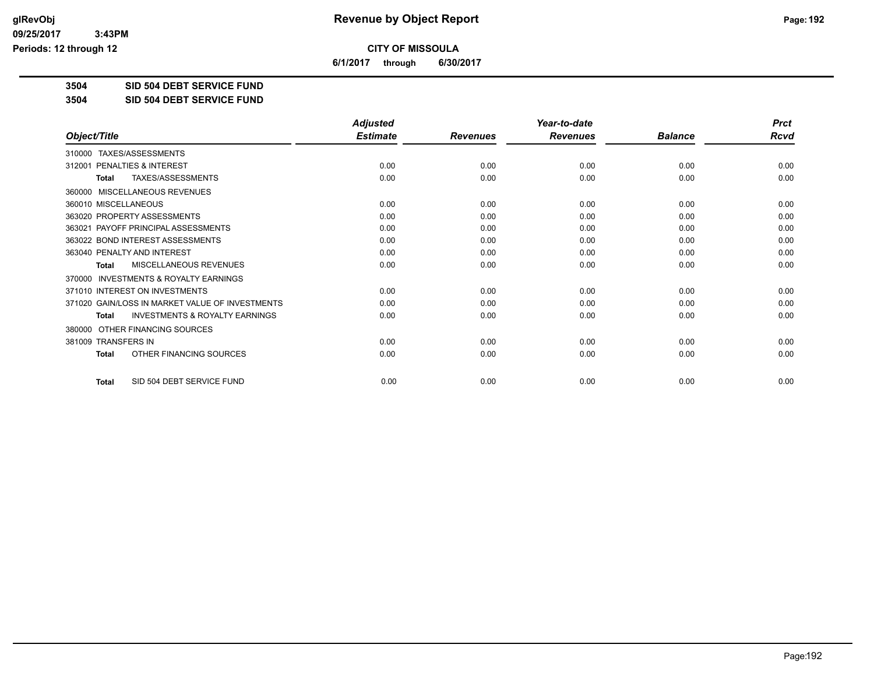**6/1/2017 through 6/30/2017**

**3504 SID 504 DEBT SERVICE FUND**

**3504 SID 504 DEBT SERVICE FUND**

|                                                           | <b>Adjusted</b> |                 | Year-to-date    |                | <b>Prct</b> |
|-----------------------------------------------------------|-----------------|-----------------|-----------------|----------------|-------------|
| Object/Title                                              | <b>Estimate</b> | <b>Revenues</b> | <b>Revenues</b> | <b>Balance</b> | <b>Rcvd</b> |
| 310000 TAXES/ASSESSMENTS                                  |                 |                 |                 |                |             |
| PENALTIES & INTEREST<br>312001                            | 0.00            | 0.00            | 0.00            | 0.00           | 0.00        |
| <b>TAXES/ASSESSMENTS</b><br>Total                         | 0.00            | 0.00            | 0.00            | 0.00           | 0.00        |
| MISCELLANEOUS REVENUES<br>360000                          |                 |                 |                 |                |             |
| 360010 MISCELLANEOUS                                      | 0.00            | 0.00            | 0.00            | 0.00           | 0.00        |
| 363020 PROPERTY ASSESSMENTS                               | 0.00            | 0.00            | 0.00            | 0.00           | 0.00        |
| 363021 PAYOFF PRINCIPAL ASSESSMENTS                       | 0.00            | 0.00            | 0.00            | 0.00           | 0.00        |
| 363022 BOND INTEREST ASSESSMENTS                          | 0.00            | 0.00            | 0.00            | 0.00           | 0.00        |
| 363040 PENALTY AND INTEREST                               | 0.00            | 0.00            | 0.00            | 0.00           | 0.00        |
| MISCELLANEOUS REVENUES<br>Total                           | 0.00            | 0.00            | 0.00            | 0.00           | 0.00        |
| INVESTMENTS & ROYALTY EARNINGS<br>370000                  |                 |                 |                 |                |             |
| 371010 INTEREST ON INVESTMENTS                            | 0.00            | 0.00            | 0.00            | 0.00           | 0.00        |
| 371020 GAIN/LOSS IN MARKET VALUE OF INVESTMENTS           | 0.00            | 0.00            | 0.00            | 0.00           | 0.00        |
| <b>INVESTMENTS &amp; ROYALTY EARNINGS</b><br><b>Total</b> | 0.00            | 0.00            | 0.00            | 0.00           | 0.00        |
| OTHER FINANCING SOURCES<br>380000                         |                 |                 |                 |                |             |
| 381009 TRANSFERS IN                                       | 0.00            | 0.00            | 0.00            | 0.00           | 0.00        |
| OTHER FINANCING SOURCES<br>Total                          | 0.00            | 0.00            | 0.00            | 0.00           | 0.00        |
| SID 504 DEBT SERVICE FUND<br><b>Total</b>                 | 0.00            | 0.00            | 0.00            | 0.00           | 0.00        |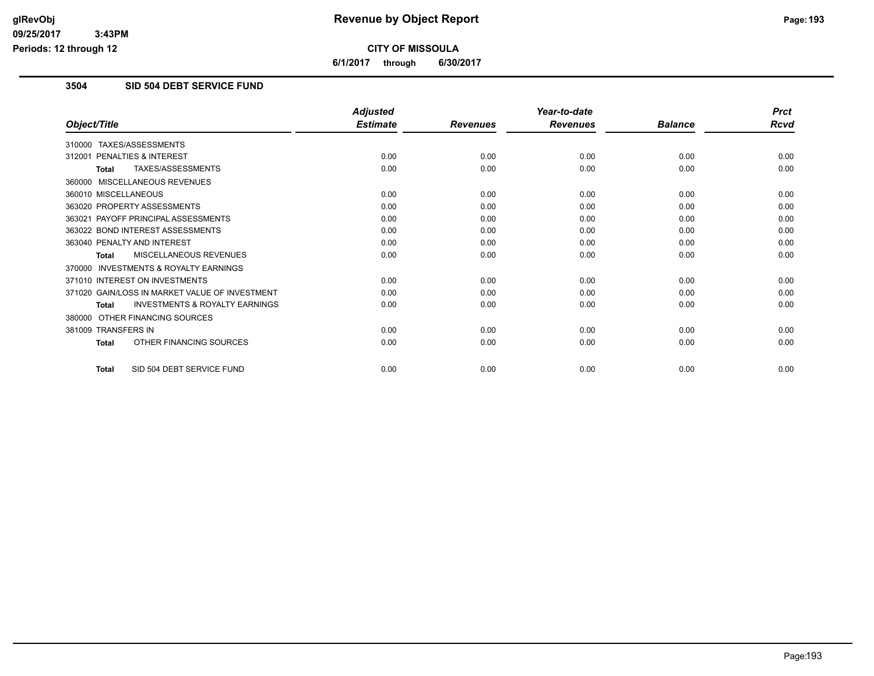**6/1/2017 through 6/30/2017**

# **3504 SID 504 DEBT SERVICE FUND**

|                                                           | <b>Adjusted</b> |                 | Year-to-date    |                | <b>Prct</b> |
|-----------------------------------------------------------|-----------------|-----------------|-----------------|----------------|-------------|
| Object/Title                                              | <b>Estimate</b> | <b>Revenues</b> | <b>Revenues</b> | <b>Balance</b> | <b>Rcvd</b> |
| 310000 TAXES/ASSESSMENTS                                  |                 |                 |                 |                |             |
| PENALTIES & INTEREST<br>312001                            | 0.00            | 0.00            | 0.00            | 0.00           | 0.00        |
| TAXES/ASSESSMENTS<br><b>Total</b>                         | 0.00            | 0.00            | 0.00            | 0.00           | 0.00        |
| 360000 MISCELLANEOUS REVENUES                             |                 |                 |                 |                |             |
| 360010 MISCELLANEOUS                                      | 0.00            | 0.00            | 0.00            | 0.00           | 0.00        |
| 363020 PROPERTY ASSESSMENTS                               | 0.00            | 0.00            | 0.00            | 0.00           | 0.00        |
| 363021 PAYOFF PRINCIPAL ASSESSMENTS                       | 0.00            | 0.00            | 0.00            | 0.00           | 0.00        |
| 363022 BOND INTEREST ASSESSMENTS                          | 0.00            | 0.00            | 0.00            | 0.00           | 0.00        |
| 363040 PENALTY AND INTEREST                               | 0.00            | 0.00            | 0.00            | 0.00           | 0.00        |
| MISCELLANEOUS REVENUES<br><b>Total</b>                    | 0.00            | 0.00            | 0.00            | 0.00           | 0.00        |
| <b>INVESTMENTS &amp; ROYALTY EARNINGS</b><br>370000       |                 |                 |                 |                |             |
| 371010 INTEREST ON INVESTMENTS                            | 0.00            | 0.00            | 0.00            | 0.00           | 0.00        |
| 371020 GAIN/LOSS IN MARKET VALUE OF INVESTMENT            | 0.00            | 0.00            | 0.00            | 0.00           | 0.00        |
| <b>INVESTMENTS &amp; ROYALTY EARNINGS</b><br><b>Total</b> | 0.00            | 0.00            | 0.00            | 0.00           | 0.00        |
| OTHER FINANCING SOURCES<br>380000                         |                 |                 |                 |                |             |
| 381009 TRANSFERS IN                                       | 0.00            | 0.00            | 0.00            | 0.00           | 0.00        |
| OTHER FINANCING SOURCES<br><b>Total</b>                   | 0.00            | 0.00            | 0.00            | 0.00           | 0.00        |
| SID 504 DEBT SERVICE FUND<br><b>Total</b>                 | 0.00            | 0.00            | 0.00            | 0.00           | 0.00        |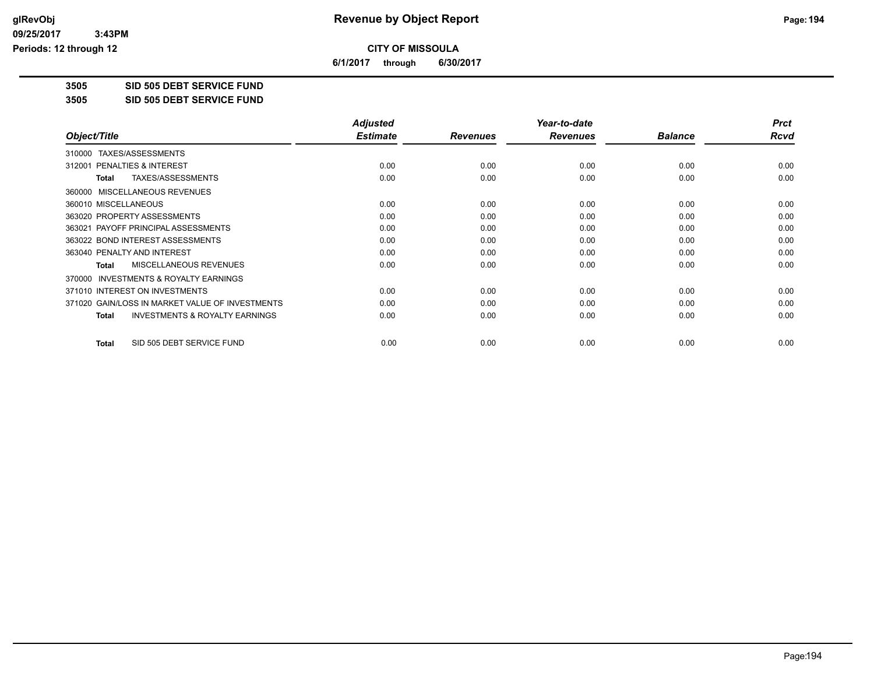**6/1/2017 through 6/30/2017**

**3505 SID 505 DEBT SERVICE FUND**

**3505 SID 505 DEBT SERVICE FUND**

|                                                           | <b>Adjusted</b> |                 | Year-to-date    |                | <b>Prct</b> |
|-----------------------------------------------------------|-----------------|-----------------|-----------------|----------------|-------------|
| Object/Title                                              | <b>Estimate</b> | <b>Revenues</b> | <b>Revenues</b> | <b>Balance</b> | Rcvd        |
| TAXES/ASSESSMENTS<br>310000                               |                 |                 |                 |                |             |
| 312001 PENALTIES & INTEREST                               | 0.00            | 0.00            | 0.00            | 0.00           | 0.00        |
| TAXES/ASSESSMENTS<br><b>Total</b>                         | 0.00            | 0.00            | 0.00            | 0.00           | 0.00        |
| MISCELLANEOUS REVENUES<br>360000                          |                 |                 |                 |                |             |
| 360010 MISCELLANEOUS                                      | 0.00            | 0.00            | 0.00            | 0.00           | 0.00        |
| 363020 PROPERTY ASSESSMENTS                               | 0.00            | 0.00            | 0.00            | 0.00           | 0.00        |
| 363021 PAYOFF PRINCIPAL ASSESSMENTS                       | 0.00            | 0.00            | 0.00            | 0.00           | 0.00        |
| 363022 BOND INTEREST ASSESSMENTS                          | 0.00            | 0.00            | 0.00            | 0.00           | 0.00        |
| 363040 PENALTY AND INTEREST                               | 0.00            | 0.00            | 0.00            | 0.00           | 0.00        |
| <b>MISCELLANEOUS REVENUES</b><br>Total                    | 0.00            | 0.00            | 0.00            | 0.00           | 0.00        |
| <b>INVESTMENTS &amp; ROYALTY EARNINGS</b><br>370000       |                 |                 |                 |                |             |
| 371010 INTEREST ON INVESTMENTS                            | 0.00            | 0.00            | 0.00            | 0.00           | 0.00        |
| 371020 GAIN/LOSS IN MARKET VALUE OF INVESTMENTS           | 0.00            | 0.00            | 0.00            | 0.00           | 0.00        |
| <b>INVESTMENTS &amp; ROYALTY EARNINGS</b><br><b>Total</b> | 0.00            | 0.00            | 0.00            | 0.00           | 0.00        |
| SID 505 DEBT SERVICE FUND<br><b>Total</b>                 | 0.00            | 0.00            | 0.00            | 0.00           | 0.00        |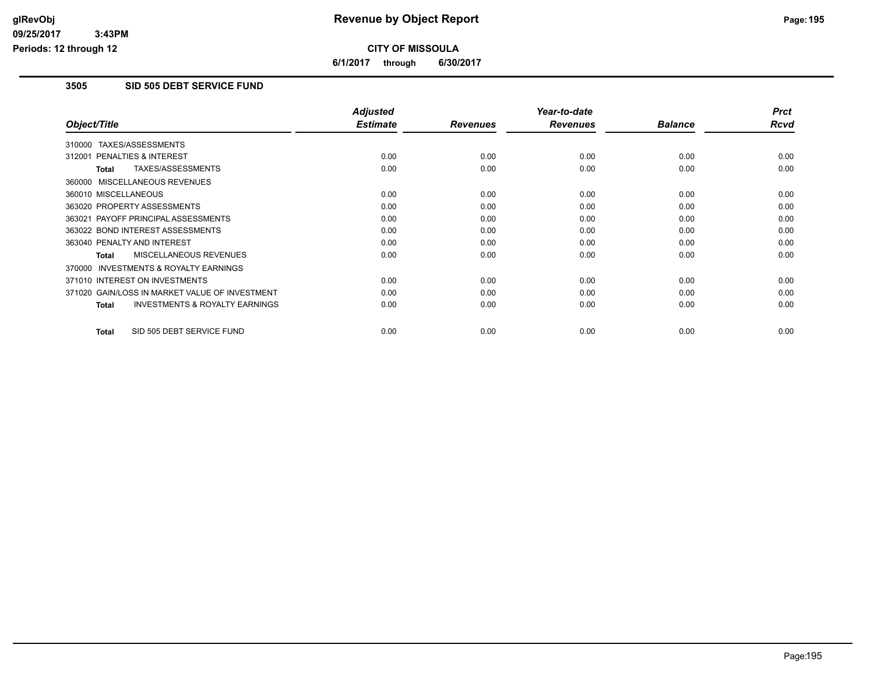**6/1/2017 through 6/30/2017**

### **3505 SID 505 DEBT SERVICE FUND**

|                                                           | <b>Adjusted</b> |                 | Year-to-date    |                | <b>Prct</b> |
|-----------------------------------------------------------|-----------------|-----------------|-----------------|----------------|-------------|
| Object/Title                                              | <b>Estimate</b> | <b>Revenues</b> | <b>Revenues</b> | <b>Balance</b> | <b>Rcvd</b> |
| 310000 TAXES/ASSESSMENTS                                  |                 |                 |                 |                |             |
| 312001 PENALTIES & INTEREST                               | 0.00            | 0.00            | 0.00            | 0.00           | 0.00        |
| <b>TAXES/ASSESSMENTS</b><br><b>Total</b>                  | 0.00            | 0.00            | 0.00            | 0.00           | 0.00        |
| 360000 MISCELLANEOUS REVENUES                             |                 |                 |                 |                |             |
| 360010 MISCELLANEOUS                                      | 0.00            | 0.00            | 0.00            | 0.00           | 0.00        |
| 363020 PROPERTY ASSESSMENTS                               | 0.00            | 0.00            | 0.00            | 0.00           | 0.00        |
| 363021 PAYOFF PRINCIPAL ASSESSMENTS                       | 0.00            | 0.00            | 0.00            | 0.00           | 0.00        |
| 363022 BOND INTEREST ASSESSMENTS                          | 0.00            | 0.00            | 0.00            | 0.00           | 0.00        |
| 363040 PENALTY AND INTEREST                               | 0.00            | 0.00            | 0.00            | 0.00           | 0.00        |
| MISCELLANEOUS REVENUES<br>Total                           | 0.00            | 0.00            | 0.00            | 0.00           | 0.00        |
| <b>INVESTMENTS &amp; ROYALTY EARNINGS</b><br>370000       |                 |                 |                 |                |             |
| 371010 INTEREST ON INVESTMENTS                            | 0.00            | 0.00            | 0.00            | 0.00           | 0.00        |
| 371020 GAIN/LOSS IN MARKET VALUE OF INVESTMENT            | 0.00            | 0.00            | 0.00            | 0.00           | 0.00        |
| <b>INVESTMENTS &amp; ROYALTY EARNINGS</b><br><b>Total</b> | 0.00            | 0.00            | 0.00            | 0.00           | 0.00        |
| SID 505 DEBT SERVICE FUND<br><b>Total</b>                 | 0.00            | 0.00            | 0.00            | 0.00           | 0.00        |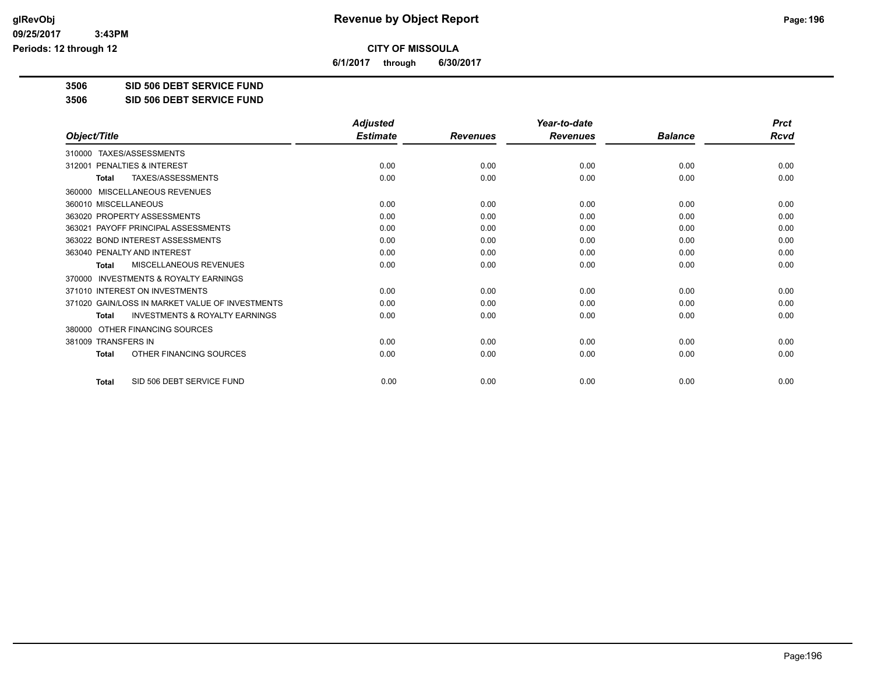**6/1/2017 through 6/30/2017**

**3506 SID 506 DEBT SERVICE FUND**

**3506 SID 506 DEBT SERVICE FUND**

|                                                     | <b>Adjusted</b> |                 | Year-to-date    |                | <b>Prct</b> |
|-----------------------------------------------------|-----------------|-----------------|-----------------|----------------|-------------|
| Object/Title                                        | <b>Estimate</b> | <b>Revenues</b> | <b>Revenues</b> | <b>Balance</b> | <b>Rcvd</b> |
| 310000 TAXES/ASSESSMENTS                            |                 |                 |                 |                |             |
| PENALTIES & INTEREST<br>312001                      | 0.00            | 0.00            | 0.00            | 0.00           | 0.00        |
| <b>TAXES/ASSESSMENTS</b><br><b>Total</b>            | 0.00            | 0.00            | 0.00            | 0.00           | 0.00        |
| MISCELLANEOUS REVENUES<br>360000                    |                 |                 |                 |                |             |
| 360010 MISCELLANEOUS                                | 0.00            | 0.00            | 0.00            | 0.00           | 0.00        |
| 363020 PROPERTY ASSESSMENTS                         | 0.00            | 0.00            | 0.00            | 0.00           | 0.00        |
| 363021 PAYOFF PRINCIPAL ASSESSMENTS                 | 0.00            | 0.00            | 0.00            | 0.00           | 0.00        |
| 363022 BOND INTEREST ASSESSMENTS                    | 0.00            | 0.00            | 0.00            | 0.00           | 0.00        |
| 363040 PENALTY AND INTEREST                         | 0.00            | 0.00            | 0.00            | 0.00           | 0.00        |
| MISCELLANEOUS REVENUES<br>Total                     | 0.00            | 0.00            | 0.00            | 0.00           | 0.00        |
| <b>INVESTMENTS &amp; ROYALTY EARNINGS</b><br>370000 |                 |                 |                 |                |             |
| 371010 INTEREST ON INVESTMENTS                      | 0.00            | 0.00            | 0.00            | 0.00           | 0.00        |
| 371020 GAIN/LOSS IN MARKET VALUE OF INVESTMENTS     | 0.00            | 0.00            | 0.00            | 0.00           | 0.00        |
| <b>INVESTMENTS &amp; ROYALTY EARNINGS</b><br>Total  | 0.00            | 0.00            | 0.00            | 0.00           | 0.00        |
| OTHER FINANCING SOURCES<br>380000                   |                 |                 |                 |                |             |
| 381009 TRANSFERS IN                                 | 0.00            | 0.00            | 0.00            | 0.00           | 0.00        |
| OTHER FINANCING SOURCES<br><b>Total</b>             | 0.00            | 0.00            | 0.00            | 0.00           | 0.00        |
| SID 506 DEBT SERVICE FUND<br><b>Total</b>           | 0.00            | 0.00            | 0.00            | 0.00           | 0.00        |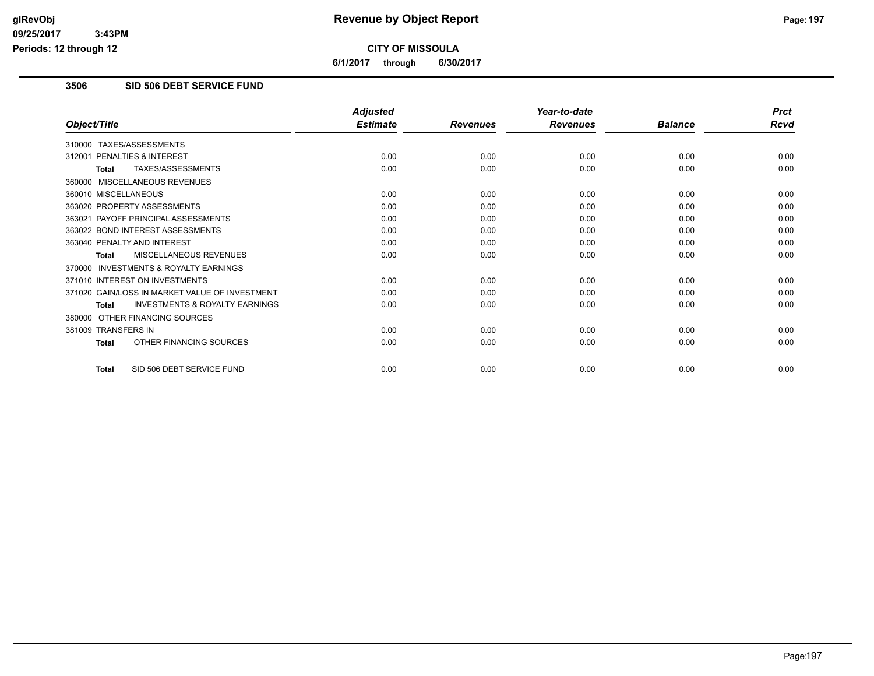**6/1/2017 through 6/30/2017**

## **3506 SID 506 DEBT SERVICE FUND**

|                                                     | <b>Adjusted</b> |                 | Year-to-date    |                | <b>Prct</b> |
|-----------------------------------------------------|-----------------|-----------------|-----------------|----------------|-------------|
| Object/Title                                        | <b>Estimate</b> | <b>Revenues</b> | <b>Revenues</b> | <b>Balance</b> | Rcvd        |
| 310000 TAXES/ASSESSMENTS                            |                 |                 |                 |                |             |
| 312001 PENALTIES & INTEREST                         | 0.00            | 0.00            | 0.00            | 0.00           | 0.00        |
| TAXES/ASSESSMENTS<br><b>Total</b>                   | 0.00            | 0.00            | 0.00            | 0.00           | 0.00        |
| 360000 MISCELLANEOUS REVENUES                       |                 |                 |                 |                |             |
| 360010 MISCELLANEOUS                                | 0.00            | 0.00            | 0.00            | 0.00           | 0.00        |
| 363020 PROPERTY ASSESSMENTS                         | 0.00            | 0.00            | 0.00            | 0.00           | 0.00        |
| 363021 PAYOFF PRINCIPAL ASSESSMENTS                 | 0.00            | 0.00            | 0.00            | 0.00           | 0.00        |
| 363022 BOND INTEREST ASSESSMENTS                    | 0.00            | 0.00            | 0.00            | 0.00           | 0.00        |
| 363040 PENALTY AND INTEREST                         | 0.00            | 0.00            | 0.00            | 0.00           | 0.00        |
| MISCELLANEOUS REVENUES<br>Total                     | 0.00            | 0.00            | 0.00            | 0.00           | 0.00        |
| <b>INVESTMENTS &amp; ROYALTY EARNINGS</b><br>370000 |                 |                 |                 |                |             |
| 371010 INTEREST ON INVESTMENTS                      | 0.00            | 0.00            | 0.00            | 0.00           | 0.00        |
| 371020 GAIN/LOSS IN MARKET VALUE OF INVESTMENT      | 0.00            | 0.00            | 0.00            | 0.00           | 0.00        |
| <b>INVESTMENTS &amp; ROYALTY EARNINGS</b><br>Total  | 0.00            | 0.00            | 0.00            | 0.00           | 0.00        |
| 380000 OTHER FINANCING SOURCES                      |                 |                 |                 |                |             |
| 381009 TRANSFERS IN                                 | 0.00            | 0.00            | 0.00            | 0.00           | 0.00        |
| OTHER FINANCING SOURCES<br><b>Total</b>             | 0.00            | 0.00            | 0.00            | 0.00           | 0.00        |
| <b>Total</b><br>SID 506 DEBT SERVICE FUND           | 0.00            | 0.00            | 0.00            | 0.00           | 0.00        |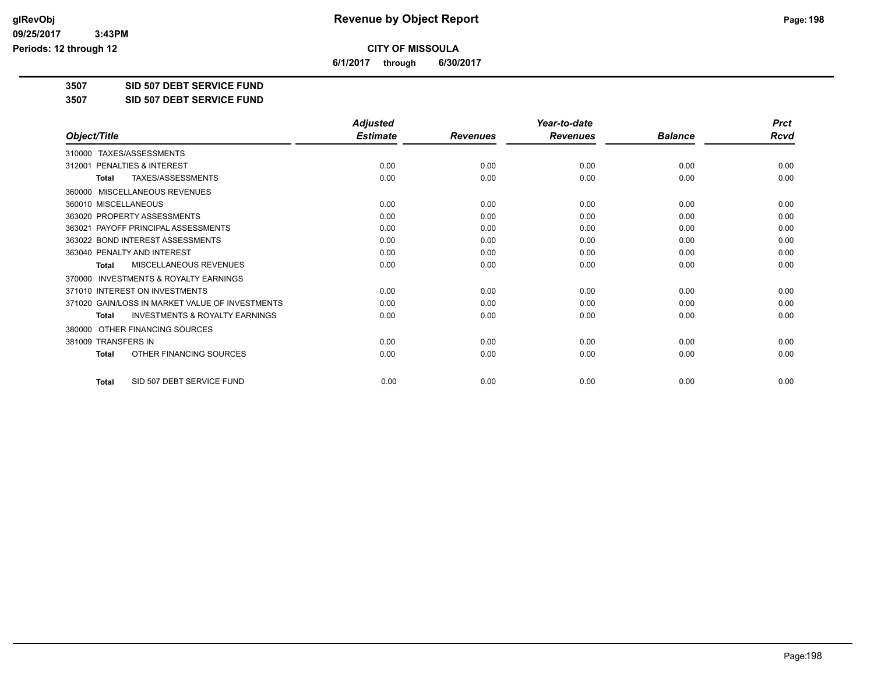**6/1/2017 through 6/30/2017**

**3507 SID 507 DEBT SERVICE FUND**

**3507 SID 507 DEBT SERVICE FUND**

|                                                           | <b>Adjusted</b> |                 | Year-to-date    |                | <b>Prct</b> |
|-----------------------------------------------------------|-----------------|-----------------|-----------------|----------------|-------------|
| Object/Title                                              | <b>Estimate</b> | <b>Revenues</b> | <b>Revenues</b> | <b>Balance</b> | <b>Rcvd</b> |
| TAXES/ASSESSMENTS<br>310000                               |                 |                 |                 |                |             |
| PENALTIES & INTEREST<br>312001                            | 0.00            | 0.00            | 0.00            | 0.00           | 0.00        |
| <b>TAXES/ASSESSMENTS</b><br><b>Total</b>                  | 0.00            | 0.00            | 0.00            | 0.00           | 0.00        |
| 360000 MISCELLANEOUS REVENUES                             |                 |                 |                 |                |             |
| 360010 MISCELLANEOUS                                      | 0.00            | 0.00            | 0.00            | 0.00           | 0.00        |
| 363020 PROPERTY ASSESSMENTS                               | 0.00            | 0.00            | 0.00            | 0.00           | 0.00        |
| PAYOFF PRINCIPAL ASSESSMENTS<br>363021                    | 0.00            | 0.00            | 0.00            | 0.00           | 0.00        |
| 363022 BOND INTEREST ASSESSMENTS                          | 0.00            | 0.00            | 0.00            | 0.00           | 0.00        |
| 363040 PENALTY AND INTEREST                               | 0.00            | 0.00            | 0.00            | 0.00           | 0.00        |
| MISCELLANEOUS REVENUES<br><b>Total</b>                    | 0.00            | 0.00            | 0.00            | 0.00           | 0.00        |
| <b>INVESTMENTS &amp; ROYALTY EARNINGS</b><br>370000       |                 |                 |                 |                |             |
| 371010 INTEREST ON INVESTMENTS                            | 0.00            | 0.00            | 0.00            | 0.00           | 0.00        |
| 371020 GAIN/LOSS IN MARKET VALUE OF INVESTMENTS           | 0.00            | 0.00            | 0.00            | 0.00           | 0.00        |
| <b>INVESTMENTS &amp; ROYALTY EARNINGS</b><br><b>Total</b> | 0.00            | 0.00            | 0.00            | 0.00           | 0.00        |
| OTHER FINANCING SOURCES<br>380000                         |                 |                 |                 |                |             |
| 381009 TRANSFERS IN                                       | 0.00            | 0.00            | 0.00            | 0.00           | 0.00        |
| OTHER FINANCING SOURCES<br><b>Total</b>                   | 0.00            | 0.00            | 0.00            | 0.00           | 0.00        |
| SID 507 DEBT SERVICE FUND<br><b>Total</b>                 | 0.00            | 0.00            | 0.00            | 0.00           | 0.00        |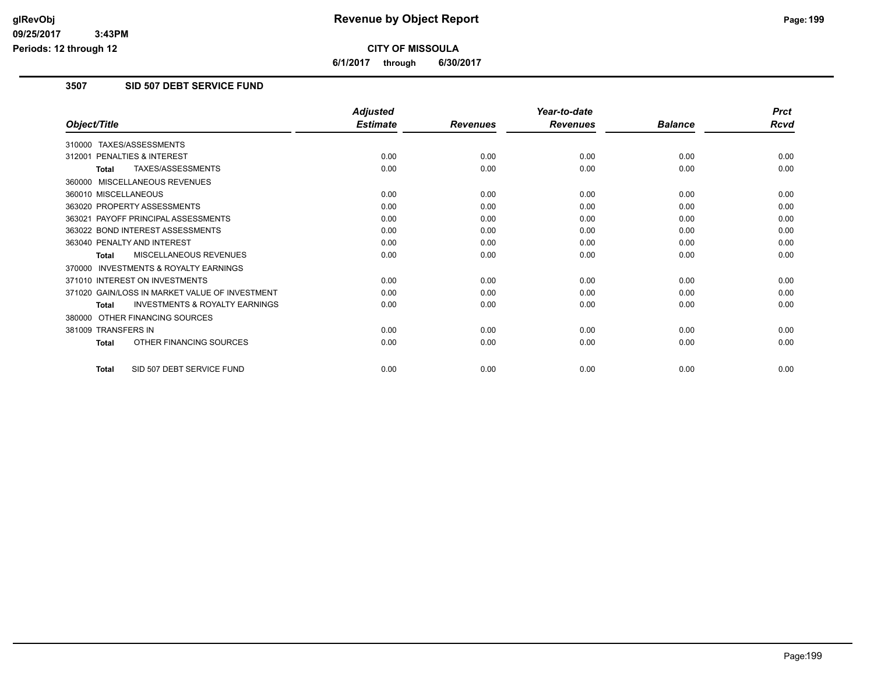**6/1/2017 through 6/30/2017**

# **3507 SID 507 DEBT SERVICE FUND**

|                                                     | <b>Adjusted</b> |                 | Year-to-date    |                | <b>Prct</b> |
|-----------------------------------------------------|-----------------|-----------------|-----------------|----------------|-------------|
| Object/Title                                        | <b>Estimate</b> | <b>Revenues</b> | <b>Revenues</b> | <b>Balance</b> | Rcvd        |
| 310000 TAXES/ASSESSMENTS                            |                 |                 |                 |                |             |
| 312001 PENALTIES & INTEREST                         | 0.00            | 0.00            | 0.00            | 0.00           | 0.00        |
| TAXES/ASSESSMENTS<br><b>Total</b>                   | 0.00            | 0.00            | 0.00            | 0.00           | 0.00        |
| 360000 MISCELLANEOUS REVENUES                       |                 |                 |                 |                |             |
| 360010 MISCELLANEOUS                                | 0.00            | 0.00            | 0.00            | 0.00           | 0.00        |
| 363020 PROPERTY ASSESSMENTS                         | 0.00            | 0.00            | 0.00            | 0.00           | 0.00        |
| 363021 PAYOFF PRINCIPAL ASSESSMENTS                 | 0.00            | 0.00            | 0.00            | 0.00           | 0.00        |
| 363022 BOND INTEREST ASSESSMENTS                    | 0.00            | 0.00            | 0.00            | 0.00           | 0.00        |
| 363040 PENALTY AND INTEREST                         | 0.00            | 0.00            | 0.00            | 0.00           | 0.00        |
| MISCELLANEOUS REVENUES<br>Total                     | 0.00            | 0.00            | 0.00            | 0.00           | 0.00        |
| <b>INVESTMENTS &amp; ROYALTY EARNINGS</b><br>370000 |                 |                 |                 |                |             |
| 371010 INTEREST ON INVESTMENTS                      | 0.00            | 0.00            | 0.00            | 0.00           | 0.00        |
| 371020 GAIN/LOSS IN MARKET VALUE OF INVESTMENT      | 0.00            | 0.00            | 0.00            | 0.00           | 0.00        |
| <b>INVESTMENTS &amp; ROYALTY EARNINGS</b><br>Total  | 0.00            | 0.00            | 0.00            | 0.00           | 0.00        |
| 380000 OTHER FINANCING SOURCES                      |                 |                 |                 |                |             |
| 381009 TRANSFERS IN                                 | 0.00            | 0.00            | 0.00            | 0.00           | 0.00        |
| OTHER FINANCING SOURCES<br><b>Total</b>             | 0.00            | 0.00            | 0.00            | 0.00           | 0.00        |
| <b>Total</b><br>SID 507 DEBT SERVICE FUND           | 0.00            | 0.00            | 0.00            | 0.00           | 0.00        |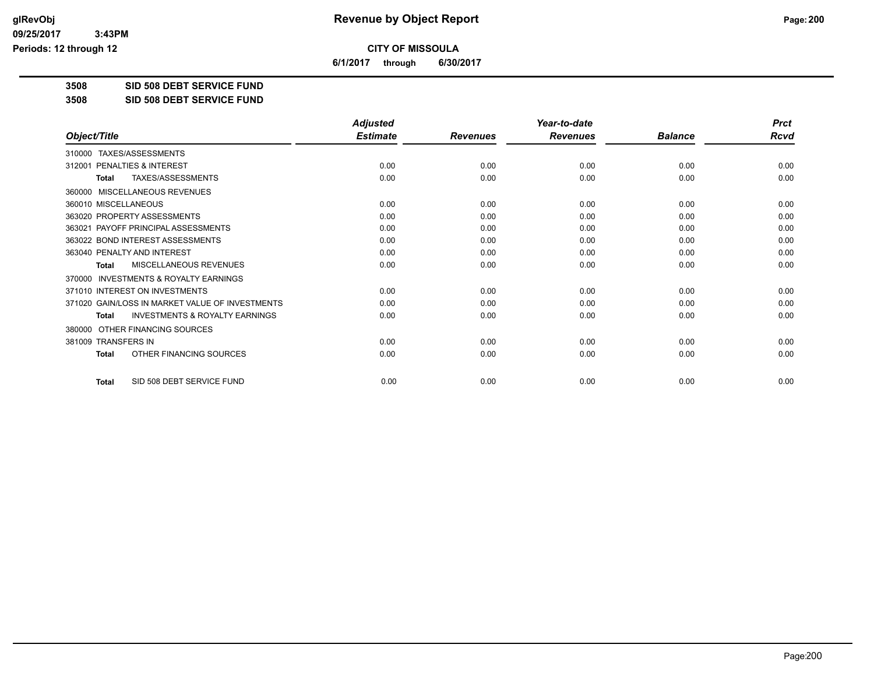**6/1/2017 through 6/30/2017**

**3508 SID 508 DEBT SERVICE FUND**

**3508 SID 508 DEBT SERVICE FUND**

|                                                     | <b>Adjusted</b> |                 | Year-to-date    |                | <b>Prct</b> |
|-----------------------------------------------------|-----------------|-----------------|-----------------|----------------|-------------|
| Object/Title                                        | <b>Estimate</b> | <b>Revenues</b> | <b>Revenues</b> | <b>Balance</b> | <b>Rcvd</b> |
| 310000 TAXES/ASSESSMENTS                            |                 |                 |                 |                |             |
| PENALTIES & INTEREST<br>312001                      | 0.00            | 0.00            | 0.00            | 0.00           | 0.00        |
| <b>TAXES/ASSESSMENTS</b><br><b>Total</b>            | 0.00            | 0.00            | 0.00            | 0.00           | 0.00        |
| MISCELLANEOUS REVENUES<br>360000                    |                 |                 |                 |                |             |
| 360010 MISCELLANEOUS                                | 0.00            | 0.00            | 0.00            | 0.00           | 0.00        |
| 363020 PROPERTY ASSESSMENTS                         | 0.00            | 0.00            | 0.00            | 0.00           | 0.00        |
| 363021 PAYOFF PRINCIPAL ASSESSMENTS                 | 0.00            | 0.00            | 0.00            | 0.00           | 0.00        |
| 363022 BOND INTEREST ASSESSMENTS                    | 0.00            | 0.00            | 0.00            | 0.00           | 0.00        |
| 363040 PENALTY AND INTEREST                         | 0.00            | 0.00            | 0.00            | 0.00           | 0.00        |
| MISCELLANEOUS REVENUES<br>Total                     | 0.00            | 0.00            | 0.00            | 0.00           | 0.00        |
| <b>INVESTMENTS &amp; ROYALTY EARNINGS</b><br>370000 |                 |                 |                 |                |             |
| 371010 INTEREST ON INVESTMENTS                      | 0.00            | 0.00            | 0.00            | 0.00           | 0.00        |
| 371020 GAIN/LOSS IN MARKET VALUE OF INVESTMENTS     | 0.00            | 0.00            | 0.00            | 0.00           | 0.00        |
| <b>INVESTMENTS &amp; ROYALTY EARNINGS</b><br>Total  | 0.00            | 0.00            | 0.00            | 0.00           | 0.00        |
| OTHER FINANCING SOURCES<br>380000                   |                 |                 |                 |                |             |
| 381009 TRANSFERS IN                                 | 0.00            | 0.00            | 0.00            | 0.00           | 0.00        |
| OTHER FINANCING SOURCES<br><b>Total</b>             | 0.00            | 0.00            | 0.00            | 0.00           | 0.00        |
| SID 508 DEBT SERVICE FUND<br><b>Total</b>           | 0.00            | 0.00            | 0.00            | 0.00           | 0.00        |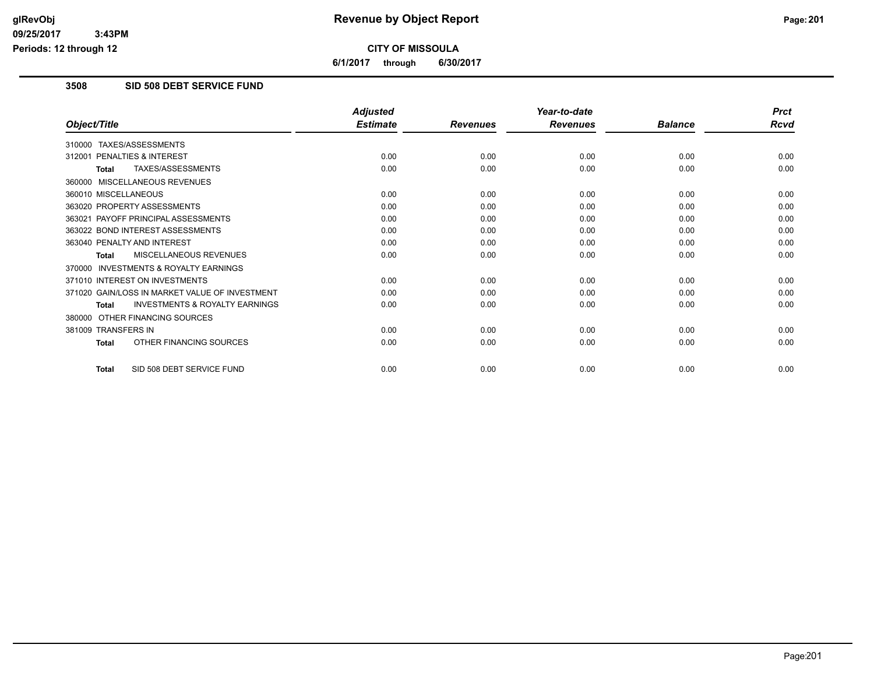**6/1/2017 through 6/30/2017**

## **3508 SID 508 DEBT SERVICE FUND**

|                                                           | <b>Adjusted</b> |                 | Year-to-date    |                | <b>Prct</b> |
|-----------------------------------------------------------|-----------------|-----------------|-----------------|----------------|-------------|
| Object/Title                                              | <b>Estimate</b> | <b>Revenues</b> | <b>Revenues</b> | <b>Balance</b> | <b>Rcvd</b> |
| 310000 TAXES/ASSESSMENTS                                  |                 |                 |                 |                |             |
| 312001 PENALTIES & INTEREST                               | 0.00            | 0.00            | 0.00            | 0.00           | 0.00        |
| TAXES/ASSESSMENTS<br><b>Total</b>                         | 0.00            | 0.00            | 0.00            | 0.00           | 0.00        |
| 360000 MISCELLANEOUS REVENUES                             |                 |                 |                 |                |             |
| 360010 MISCELLANEOUS                                      | 0.00            | 0.00            | 0.00            | 0.00           | 0.00        |
| 363020 PROPERTY ASSESSMENTS                               | 0.00            | 0.00            | 0.00            | 0.00           | 0.00        |
| 363021 PAYOFF PRINCIPAL ASSESSMENTS                       | 0.00            | 0.00            | 0.00            | 0.00           | 0.00        |
| 363022 BOND INTEREST ASSESSMENTS                          | 0.00            | 0.00            | 0.00            | 0.00           | 0.00        |
| 363040 PENALTY AND INTEREST                               | 0.00            | 0.00            | 0.00            | 0.00           | 0.00        |
| MISCELLANEOUS REVENUES<br><b>Total</b>                    | 0.00            | 0.00            | 0.00            | 0.00           | 0.00        |
| <b>INVESTMENTS &amp; ROYALTY EARNINGS</b><br>370000       |                 |                 |                 |                |             |
| 371010 INTEREST ON INVESTMENTS                            | 0.00            | 0.00            | 0.00            | 0.00           | 0.00        |
| 371020 GAIN/LOSS IN MARKET VALUE OF INVESTMENT            | 0.00            | 0.00            | 0.00            | 0.00           | 0.00        |
| <b>INVESTMENTS &amp; ROYALTY EARNINGS</b><br><b>Total</b> | 0.00            | 0.00            | 0.00            | 0.00           | 0.00        |
| 380000 OTHER FINANCING SOURCES                            |                 |                 |                 |                |             |
| 381009 TRANSFERS IN                                       | 0.00            | 0.00            | 0.00            | 0.00           | 0.00        |
| OTHER FINANCING SOURCES<br><b>Total</b>                   | 0.00            | 0.00            | 0.00            | 0.00           | 0.00        |
| SID 508 DEBT SERVICE FUND<br><b>Total</b>                 | 0.00            | 0.00            | 0.00            | 0.00           | 0.00        |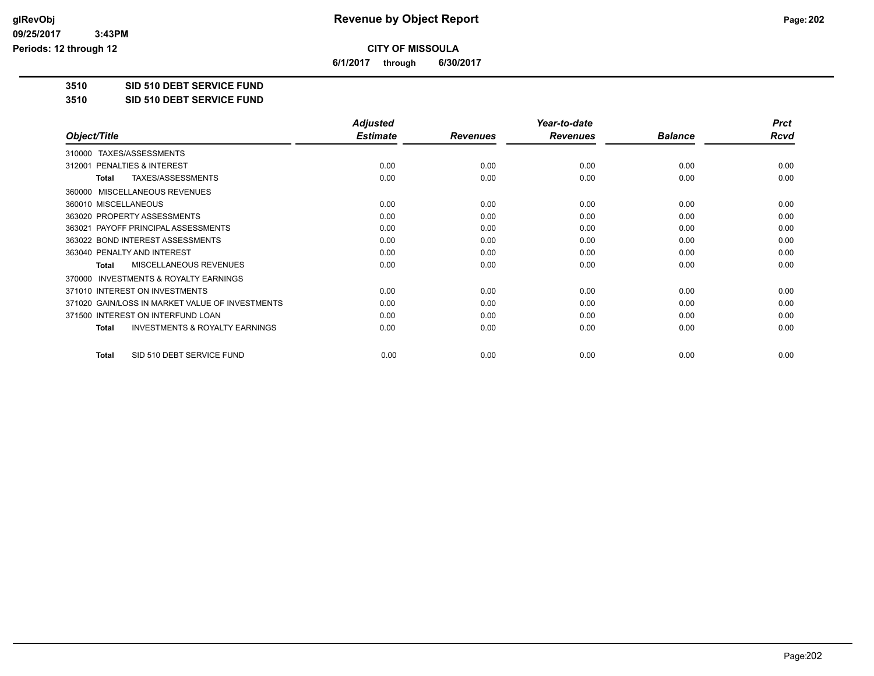**6/1/2017 through 6/30/2017**

**3510 SID 510 DEBT SERVICE FUND**

**3510 SID 510 DEBT SERVICE FUND**

|                                                           | <b>Adjusted</b> |                 | Year-to-date    |                | <b>Prct</b> |
|-----------------------------------------------------------|-----------------|-----------------|-----------------|----------------|-------------|
| Object/Title                                              | <b>Estimate</b> | <b>Revenues</b> | <b>Revenues</b> | <b>Balance</b> | <b>Rcvd</b> |
| TAXES/ASSESSMENTS<br>310000                               |                 |                 |                 |                |             |
| PENALTIES & INTEREST<br>312001                            | 0.00            | 0.00            | 0.00            | 0.00           | 0.00        |
| TAXES/ASSESSMENTS<br><b>Total</b>                         | 0.00            | 0.00            | 0.00            | 0.00           | 0.00        |
| MISCELLANEOUS REVENUES<br>360000                          |                 |                 |                 |                |             |
| 360010 MISCELLANEOUS                                      | 0.00            | 0.00            | 0.00            | 0.00           | 0.00        |
| 363020 PROPERTY ASSESSMENTS                               | 0.00            | 0.00            | 0.00            | 0.00           | 0.00        |
| 363021 PAYOFF PRINCIPAL ASSESSMENTS                       | 0.00            | 0.00            | 0.00            | 0.00           | 0.00        |
| 363022 BOND INTEREST ASSESSMENTS                          | 0.00            | 0.00            | 0.00            | 0.00           | 0.00        |
| 363040 PENALTY AND INTEREST                               | 0.00            | 0.00            | 0.00            | 0.00           | 0.00        |
| <b>MISCELLANEOUS REVENUES</b><br>Total                    | 0.00            | 0.00            | 0.00            | 0.00           | 0.00        |
| <b>INVESTMENTS &amp; ROYALTY EARNINGS</b><br>370000       |                 |                 |                 |                |             |
| 371010 INTEREST ON INVESTMENTS                            | 0.00            | 0.00            | 0.00            | 0.00           | 0.00        |
| 371020 GAIN/LOSS IN MARKET VALUE OF INVESTMENTS           | 0.00            | 0.00            | 0.00            | 0.00           | 0.00        |
| 371500 INTEREST ON INTERFUND LOAN                         | 0.00            | 0.00            | 0.00            | 0.00           | 0.00        |
| <b>INVESTMENTS &amp; ROYALTY EARNINGS</b><br><b>Total</b> | 0.00            | 0.00            | 0.00            | 0.00           | 0.00        |
| SID 510 DEBT SERVICE FUND<br>Total                        | 0.00            | 0.00            | 0.00            | 0.00           | 0.00        |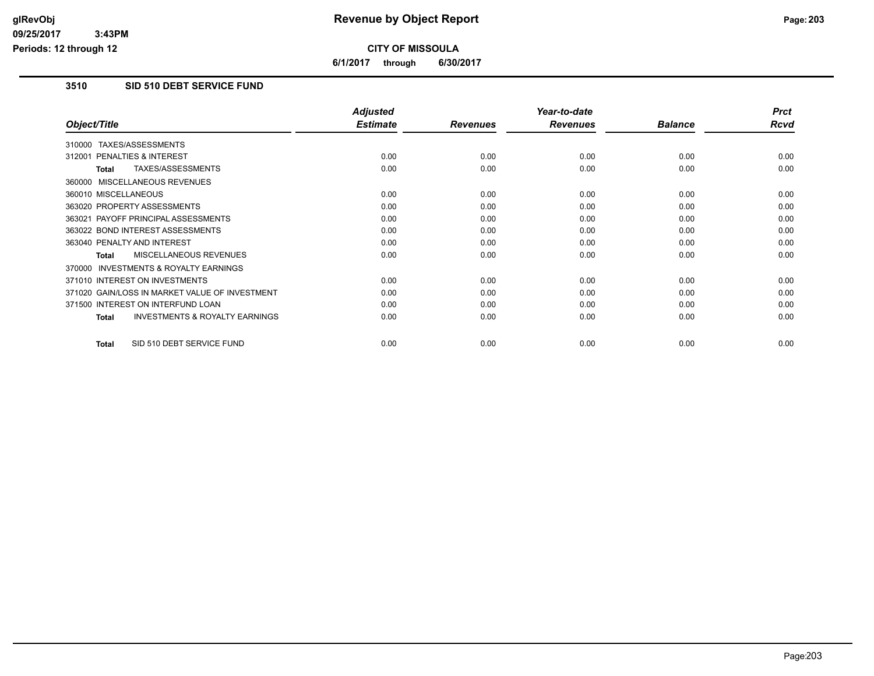**6/1/2017 through 6/30/2017**

## **3510 SID 510 DEBT SERVICE FUND**

|                                                           | <b>Adjusted</b> |                 | Year-to-date    |                | <b>Prct</b> |
|-----------------------------------------------------------|-----------------|-----------------|-----------------|----------------|-------------|
| Object/Title                                              | <b>Estimate</b> | <b>Revenues</b> | <b>Revenues</b> | <b>Balance</b> | Rcvd        |
| TAXES/ASSESSMENTS<br>310000                               |                 |                 |                 |                |             |
| 312001 PENALTIES & INTEREST                               | 0.00            | 0.00            | 0.00            | 0.00           | 0.00        |
| TAXES/ASSESSMENTS<br>Total                                | 0.00            | 0.00            | 0.00            | 0.00           | 0.00        |
| 360000 MISCELLANEOUS REVENUES                             |                 |                 |                 |                |             |
| 360010 MISCELLANEOUS                                      | 0.00            | 0.00            | 0.00            | 0.00           | 0.00        |
| 363020 PROPERTY ASSESSMENTS                               | 0.00            | 0.00            | 0.00            | 0.00           | 0.00        |
| 363021 PAYOFF PRINCIPAL ASSESSMENTS                       | 0.00            | 0.00            | 0.00            | 0.00           | 0.00        |
| 363022 BOND INTEREST ASSESSMENTS                          | 0.00            | 0.00            | 0.00            | 0.00           | 0.00        |
| 363040 PENALTY AND INTEREST                               | 0.00            | 0.00            | 0.00            | 0.00           | 0.00        |
| MISCELLANEOUS REVENUES<br><b>Total</b>                    | 0.00            | 0.00            | 0.00            | 0.00           | 0.00        |
| 370000 INVESTMENTS & ROYALTY EARNINGS                     |                 |                 |                 |                |             |
| 371010 INTEREST ON INVESTMENTS                            | 0.00            | 0.00            | 0.00            | 0.00           | 0.00        |
| 371020 GAIN/LOSS IN MARKET VALUE OF INVESTMENT            | 0.00            | 0.00            | 0.00            | 0.00           | 0.00        |
| 371500 INTEREST ON INTERFUND LOAN                         | 0.00            | 0.00            | 0.00            | 0.00           | 0.00        |
| <b>INVESTMENTS &amp; ROYALTY EARNINGS</b><br><b>Total</b> | 0.00            | 0.00            | 0.00            | 0.00           | 0.00        |
| SID 510 DEBT SERVICE FUND<br><b>Total</b>                 | 0.00            | 0.00            | 0.00            | 0.00           | 0.00        |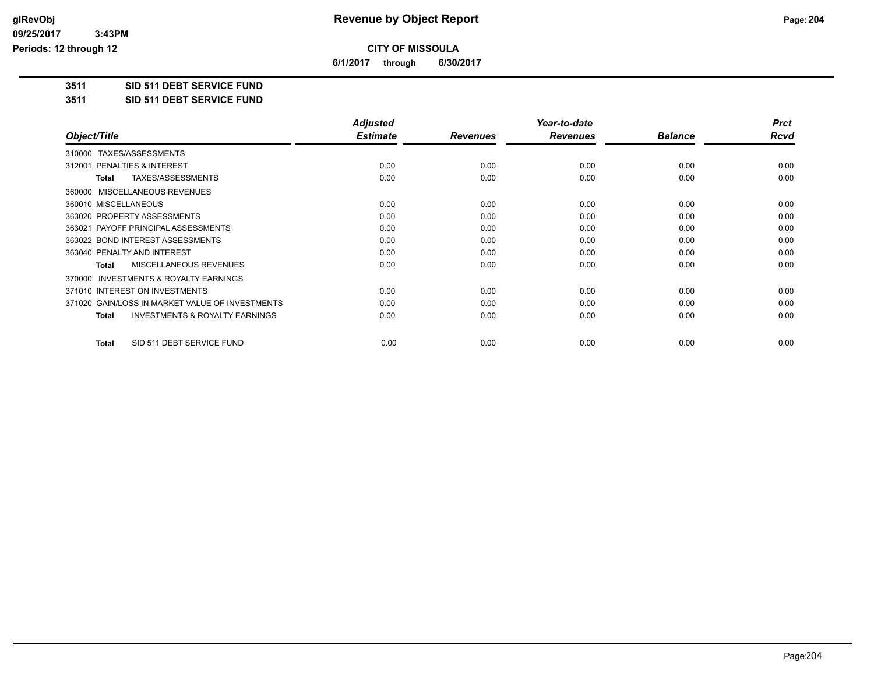**6/1/2017 through 6/30/2017**

**3511 SID 511 DEBT SERVICE FUND**

**3511 SID 511 DEBT SERVICE FUND**

|                                                           | <b>Adjusted</b> |                 | Year-to-date    |                | <b>Prct</b> |
|-----------------------------------------------------------|-----------------|-----------------|-----------------|----------------|-------------|
| Object/Title                                              | <b>Estimate</b> | <b>Revenues</b> | <b>Revenues</b> | <b>Balance</b> | Rcvd        |
| 310000 TAXES/ASSESSMENTS                                  |                 |                 |                 |                |             |
| 312001 PENALTIES & INTEREST                               | 0.00            | 0.00            | 0.00            | 0.00           | 0.00        |
| TAXES/ASSESSMENTS<br>Total                                | 0.00            | 0.00            | 0.00            | 0.00           | 0.00        |
| 360000 MISCELLANEOUS REVENUES                             |                 |                 |                 |                |             |
| 360010 MISCELLANEOUS                                      | 0.00            | 0.00            | 0.00            | 0.00           | 0.00        |
| 363020 PROPERTY ASSESSMENTS                               | 0.00            | 0.00            | 0.00            | 0.00           | 0.00        |
| 363021 PAYOFF PRINCIPAL ASSESSMENTS                       | 0.00            | 0.00            | 0.00            | 0.00           | 0.00        |
| 363022 BOND INTEREST ASSESSMENTS                          | 0.00            | 0.00            | 0.00            | 0.00           | 0.00        |
| 363040 PENALTY AND INTEREST                               | 0.00            | 0.00            | 0.00            | 0.00           | 0.00        |
| MISCELLANEOUS REVENUES<br><b>Total</b>                    | 0.00            | 0.00            | 0.00            | 0.00           | 0.00        |
| 370000 INVESTMENTS & ROYALTY EARNINGS                     |                 |                 |                 |                |             |
| 371010 INTEREST ON INVESTMENTS                            | 0.00            | 0.00            | 0.00            | 0.00           | 0.00        |
| 371020 GAIN/LOSS IN MARKET VALUE OF INVESTMENTS           | 0.00            | 0.00            | 0.00            | 0.00           | 0.00        |
| <b>INVESTMENTS &amp; ROYALTY EARNINGS</b><br><b>Total</b> | 0.00            | 0.00            | 0.00            | 0.00           | 0.00        |
| SID 511 DEBT SERVICE FUND<br><b>Total</b>                 | 0.00            | 0.00            | 0.00            | 0.00           | 0.00        |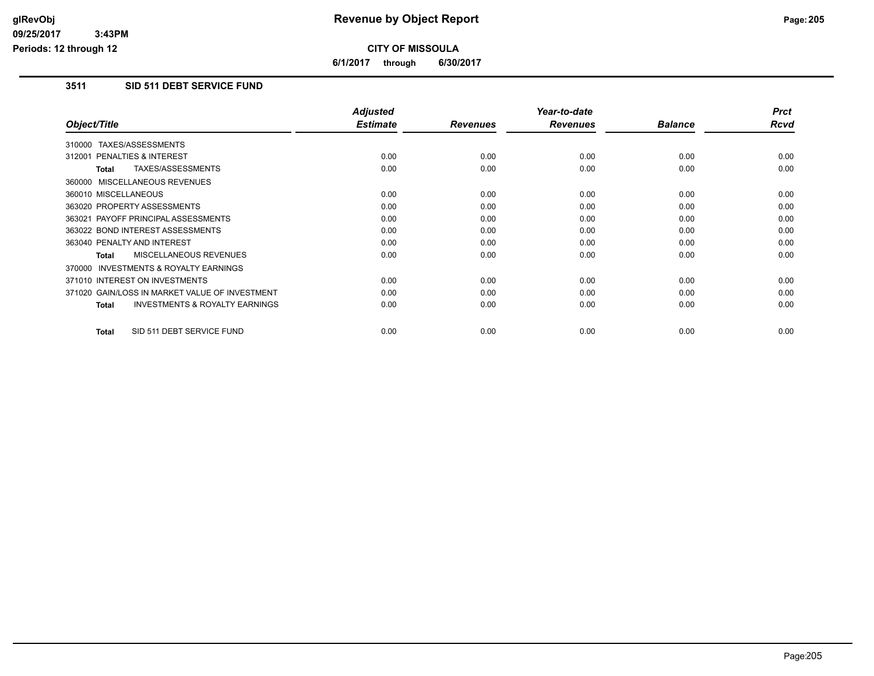**6/1/2017 through 6/30/2017**

# **3511 SID 511 DEBT SERVICE FUND**

|                                                           | <b>Adjusted</b> |                 | Year-to-date    |                | <b>Prct</b> |
|-----------------------------------------------------------|-----------------|-----------------|-----------------|----------------|-------------|
| Object/Title                                              | <b>Estimate</b> | <b>Revenues</b> | <b>Revenues</b> | <b>Balance</b> | <b>Rcvd</b> |
| 310000 TAXES/ASSESSMENTS                                  |                 |                 |                 |                |             |
| 312001 PENALTIES & INTEREST                               | 0.00            | 0.00            | 0.00            | 0.00           | 0.00        |
| TAXES/ASSESSMENTS<br><b>Total</b>                         | 0.00            | 0.00            | 0.00            | 0.00           | 0.00        |
| 360000 MISCELLANEOUS REVENUES                             |                 |                 |                 |                |             |
| 360010 MISCELLANEOUS                                      | 0.00            | 0.00            | 0.00            | 0.00           | 0.00        |
| 363020 PROPERTY ASSESSMENTS                               | 0.00            | 0.00            | 0.00            | 0.00           | 0.00        |
| 363021 PAYOFF PRINCIPAL ASSESSMENTS                       | 0.00            | 0.00            | 0.00            | 0.00           | 0.00        |
| 363022 BOND INTEREST ASSESSMENTS                          | 0.00            | 0.00            | 0.00            | 0.00           | 0.00        |
| 363040 PENALTY AND INTEREST                               | 0.00            | 0.00            | 0.00            | 0.00           | 0.00        |
| MISCELLANEOUS REVENUES<br>Total                           | 0.00            | 0.00            | 0.00            | 0.00           | 0.00        |
| INVESTMENTS & ROYALTY EARNINGS<br>370000                  |                 |                 |                 |                |             |
| 371010 INTEREST ON INVESTMENTS                            | 0.00            | 0.00            | 0.00            | 0.00           | 0.00        |
| 371020 GAIN/LOSS IN MARKET VALUE OF INVESTMENT            | 0.00            | 0.00            | 0.00            | 0.00           | 0.00        |
| <b>INVESTMENTS &amp; ROYALTY EARNINGS</b><br><b>Total</b> | 0.00            | 0.00            | 0.00            | 0.00           | 0.00        |
| SID 511 DEBT SERVICE FUND<br><b>Total</b>                 | 0.00            | 0.00            | 0.00            | 0.00           | 0.00        |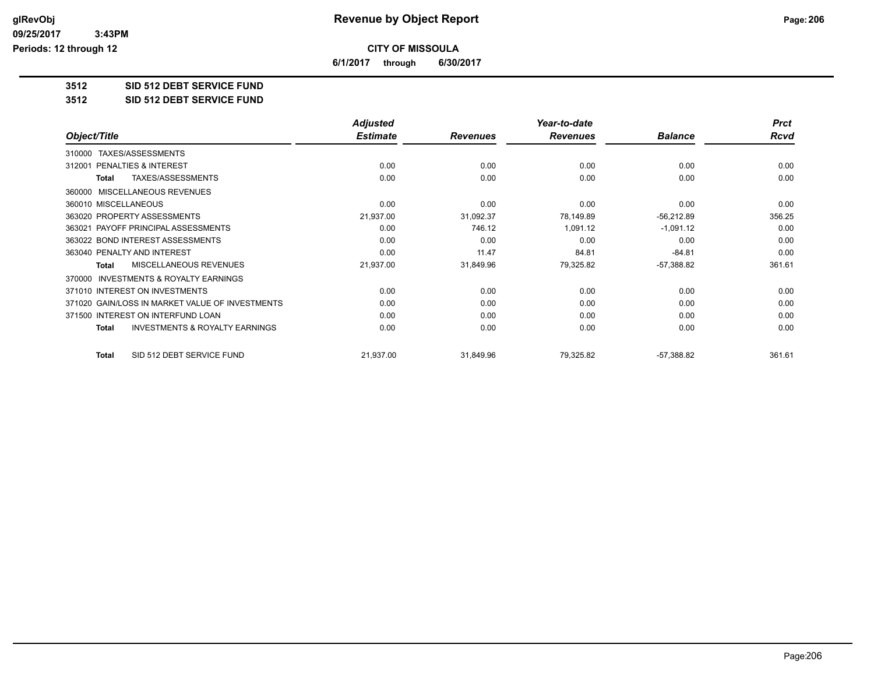**6/1/2017 through 6/30/2017**

**3512 SID 512 DEBT SERVICE FUND**

**3512 SID 512 DEBT SERVICE FUND**

|                                                           | <b>Adjusted</b> |                 | Year-to-date    |                | <b>Prct</b> |
|-----------------------------------------------------------|-----------------|-----------------|-----------------|----------------|-------------|
| Object/Title                                              | <b>Estimate</b> | <b>Revenues</b> | <b>Revenues</b> | <b>Balance</b> | <b>Rcvd</b> |
| TAXES/ASSESSMENTS<br>310000                               |                 |                 |                 |                |             |
| <b>PENALTIES &amp; INTEREST</b><br>312001                 | 0.00            | 0.00            | 0.00            | 0.00           | 0.00        |
| TAXES/ASSESSMENTS<br>Total                                | 0.00            | 0.00            | 0.00            | 0.00           | 0.00        |
| MISCELLANEOUS REVENUES<br>360000                          |                 |                 |                 |                |             |
| 360010 MISCELLANEOUS                                      | 0.00            | 0.00            | 0.00            | 0.00           | 0.00        |
| 363020 PROPERTY ASSESSMENTS                               | 21,937.00       | 31,092.37       | 78,149.89       | $-56,212.89$   | 356.25      |
| 363021 PAYOFF PRINCIPAL ASSESSMENTS                       | 0.00            | 746.12          | 1,091.12        | $-1,091.12$    | 0.00        |
| 363022 BOND INTEREST ASSESSMENTS                          | 0.00            | 0.00            | 0.00            | 0.00           | 0.00        |
| 363040 PENALTY AND INTEREST                               | 0.00            | 11.47           | 84.81           | $-84.81$       | 0.00        |
| <b>MISCELLANEOUS REVENUES</b><br><b>Total</b>             | 21,937.00       | 31,849.96       | 79,325.82       | $-57,388.82$   | 361.61      |
| <b>INVESTMENTS &amp; ROYALTY EARNINGS</b><br>370000       |                 |                 |                 |                |             |
| 371010 INTEREST ON INVESTMENTS                            | 0.00            | 0.00            | 0.00            | 0.00           | 0.00        |
| 371020 GAIN/LOSS IN MARKET VALUE OF INVESTMENTS           | 0.00            | 0.00            | 0.00            | 0.00           | 0.00        |
| 371500 INTEREST ON INTERFUND LOAN                         | 0.00            | 0.00            | 0.00            | 0.00           | 0.00        |
| <b>INVESTMENTS &amp; ROYALTY EARNINGS</b><br><b>Total</b> | 0.00            | 0.00            | 0.00            | 0.00           | 0.00        |
| SID 512 DEBT SERVICE FUND<br><b>Total</b>                 | 21,937.00       | 31,849.96       | 79,325.82       | $-57,388.82$   | 361.61      |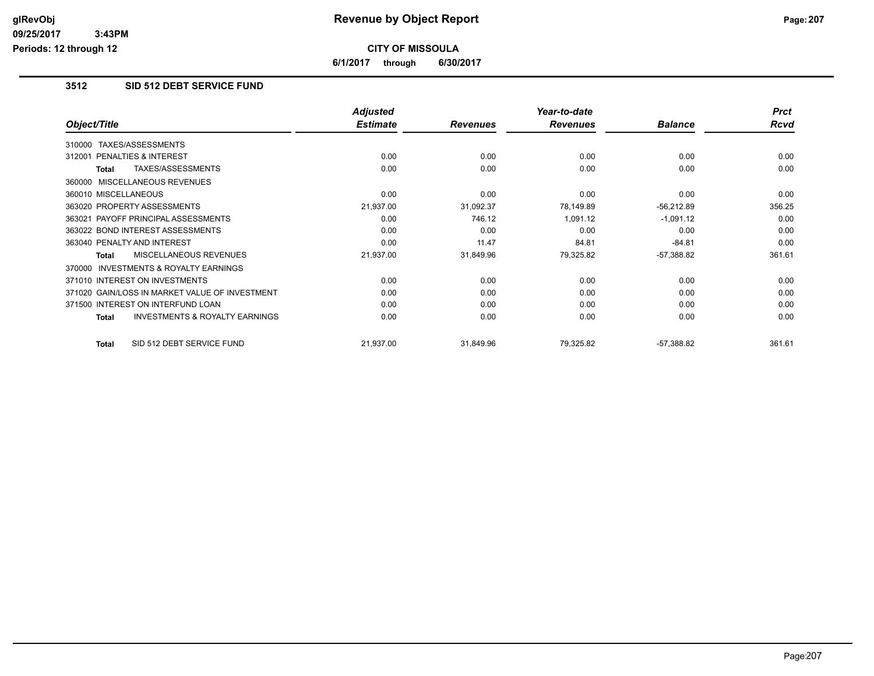**6/1/2017 through 6/30/2017**

# **3512 SID 512 DEBT SERVICE FUND**

|                                                           | <b>Adjusted</b> |                 | Year-to-date    |                | <b>Prct</b> |
|-----------------------------------------------------------|-----------------|-----------------|-----------------|----------------|-------------|
| Object/Title                                              | <b>Estimate</b> | <b>Revenues</b> | <b>Revenues</b> | <b>Balance</b> | <b>Rcvd</b> |
| TAXES/ASSESSMENTS<br>310000                               |                 |                 |                 |                |             |
| <b>PENALTIES &amp; INTEREST</b><br>312001                 | 0.00            | 0.00            | 0.00            | 0.00           | 0.00        |
| TAXES/ASSESSMENTS<br>Total                                | 0.00            | 0.00            | 0.00            | 0.00           | 0.00        |
| 360000 MISCELLANEOUS REVENUES                             |                 |                 |                 |                |             |
| 360010 MISCELLANEOUS                                      | 0.00            | 0.00            | 0.00            | 0.00           | 0.00        |
| 363020 PROPERTY ASSESSMENTS                               | 21,937.00       | 31,092.37       | 78,149.89       | $-56,212.89$   | 356.25      |
| 363021 PAYOFF PRINCIPAL ASSESSMENTS                       | 0.00            | 746.12          | 1,091.12        | $-1,091.12$    | 0.00        |
| 363022 BOND INTEREST ASSESSMENTS                          | 0.00            | 0.00            | 0.00            | 0.00           | 0.00        |
| 363040 PENALTY AND INTEREST                               | 0.00            | 11.47           | 84.81           | $-84.81$       | 0.00        |
| <b>MISCELLANEOUS REVENUES</b><br>Total                    | 21,937.00       | 31,849.96       | 79,325.82       | $-57,388.82$   | 361.61      |
| 370000 INVESTMENTS & ROYALTY EARNINGS                     |                 |                 |                 |                |             |
| 371010 INTEREST ON INVESTMENTS                            | 0.00            | 0.00            | 0.00            | 0.00           | 0.00        |
| 371020 GAIN/LOSS IN MARKET VALUE OF INVESTMENT            | 0.00            | 0.00            | 0.00            | 0.00           | 0.00        |
| 371500 INTEREST ON INTERFUND LOAN                         | 0.00            | 0.00            | 0.00            | 0.00           | 0.00        |
| <b>INVESTMENTS &amp; ROYALTY EARNINGS</b><br><b>Total</b> | 0.00            | 0.00            | 0.00            | 0.00           | 0.00        |
| SID 512 DEBT SERVICE FUND<br>Total                        | 21,937.00       | 31,849.96       | 79,325.82       | $-57,388.82$   | 361.61      |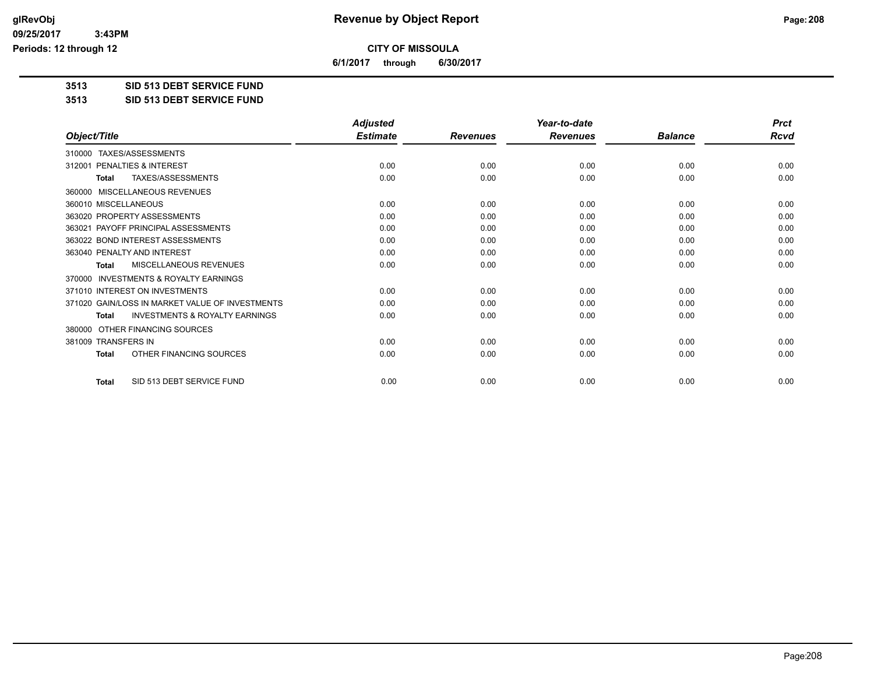**6/1/2017 through 6/30/2017**

**3513 SID 513 DEBT SERVICE FUND**

**3513 SID 513 DEBT SERVICE FUND**

|                                                           | <b>Adjusted</b> |                 | Year-to-date    |                | <b>Prct</b><br>Rcvd |
|-----------------------------------------------------------|-----------------|-----------------|-----------------|----------------|---------------------|
| Object/Title                                              | <b>Estimate</b> | <b>Revenues</b> | <b>Revenues</b> | <b>Balance</b> |                     |
| TAXES/ASSESSMENTS<br>310000                               |                 |                 |                 |                |                     |
| PENALTIES & INTEREST<br>312001                            | 0.00            | 0.00            | 0.00            | 0.00           | 0.00                |
| TAXES/ASSESSMENTS<br>Total                                | 0.00            | 0.00            | 0.00            | 0.00           | 0.00                |
| MISCELLANEOUS REVENUES<br>360000                          |                 |                 |                 |                |                     |
| 360010 MISCELLANEOUS                                      | 0.00            | 0.00            | 0.00            | 0.00           | 0.00                |
| 363020 PROPERTY ASSESSMENTS                               | 0.00            | 0.00            | 0.00            | 0.00           | 0.00                |
| 363021 PAYOFF PRINCIPAL ASSESSMENTS                       | 0.00            | 0.00            | 0.00            | 0.00           | 0.00                |
| 363022 BOND INTEREST ASSESSMENTS                          | 0.00            | 0.00            | 0.00            | 0.00           | 0.00                |
| 363040 PENALTY AND INTEREST                               | 0.00            | 0.00            | 0.00            | 0.00           | 0.00                |
| <b>MISCELLANEOUS REVENUES</b><br>Total                    | 0.00            | 0.00            | 0.00            | 0.00           | 0.00                |
| INVESTMENTS & ROYALTY EARNINGS<br>370000                  |                 |                 |                 |                |                     |
| 371010 INTEREST ON INVESTMENTS                            | 0.00            | 0.00            | 0.00            | 0.00           | 0.00                |
| 371020 GAIN/LOSS IN MARKET VALUE OF INVESTMENTS           | 0.00            | 0.00            | 0.00            | 0.00           | 0.00                |
| <b>INVESTMENTS &amp; ROYALTY EARNINGS</b><br><b>Total</b> | 0.00            | 0.00            | 0.00            | 0.00           | 0.00                |
| OTHER FINANCING SOURCES<br>380000                         |                 |                 |                 |                |                     |
| 381009 TRANSFERS IN                                       | 0.00            | 0.00            | 0.00            | 0.00           | 0.00                |
| OTHER FINANCING SOURCES<br><b>Total</b>                   | 0.00            | 0.00            | 0.00            | 0.00           | 0.00                |
| SID 513 DEBT SERVICE FUND<br><b>Total</b>                 | 0.00            | 0.00            | 0.00            | 0.00           | 0.00                |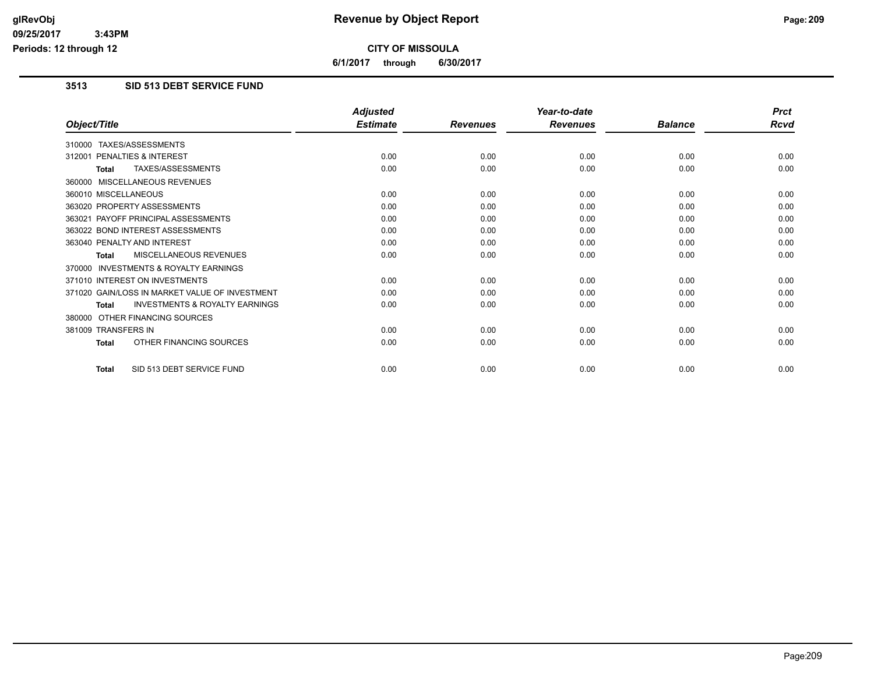**6/1/2017 through 6/30/2017**

# **3513 SID 513 DEBT SERVICE FUND**

|                                                           | <b>Adjusted</b> |                 | Year-to-date    |                | <b>Prct</b> |
|-----------------------------------------------------------|-----------------|-----------------|-----------------|----------------|-------------|
| Object/Title                                              | <b>Estimate</b> | <b>Revenues</b> | <b>Revenues</b> | <b>Balance</b> | <b>Rcvd</b> |
| 310000 TAXES/ASSESSMENTS                                  |                 |                 |                 |                |             |
| 312001 PENALTIES & INTEREST                               | 0.00            | 0.00            | 0.00            | 0.00           | 0.00        |
| TAXES/ASSESSMENTS<br><b>Total</b>                         | 0.00            | 0.00            | 0.00            | 0.00           | 0.00        |
| 360000 MISCELLANEOUS REVENUES                             |                 |                 |                 |                |             |
| 360010 MISCELLANEOUS                                      | 0.00            | 0.00            | 0.00            | 0.00           | 0.00        |
| 363020 PROPERTY ASSESSMENTS                               | 0.00            | 0.00            | 0.00            | 0.00           | 0.00        |
| 363021 PAYOFF PRINCIPAL ASSESSMENTS                       | 0.00            | 0.00            | 0.00            | 0.00           | 0.00        |
| 363022 BOND INTEREST ASSESSMENTS                          | 0.00            | 0.00            | 0.00            | 0.00           | 0.00        |
| 363040 PENALTY AND INTEREST                               | 0.00            | 0.00            | 0.00            | 0.00           | 0.00        |
| MISCELLANEOUS REVENUES<br><b>Total</b>                    | 0.00            | 0.00            | 0.00            | 0.00           | 0.00        |
| <b>INVESTMENTS &amp; ROYALTY EARNINGS</b><br>370000       |                 |                 |                 |                |             |
| 371010 INTEREST ON INVESTMENTS                            | 0.00            | 0.00            | 0.00            | 0.00           | 0.00        |
| 371020 GAIN/LOSS IN MARKET VALUE OF INVESTMENT            | 0.00            | 0.00            | 0.00            | 0.00           | 0.00        |
| <b>INVESTMENTS &amp; ROYALTY EARNINGS</b><br><b>Total</b> | 0.00            | 0.00            | 0.00            | 0.00           | 0.00        |
| 380000 OTHER FINANCING SOURCES                            |                 |                 |                 |                |             |
| 381009 TRANSFERS IN                                       | 0.00            | 0.00            | 0.00            | 0.00           | 0.00        |
| OTHER FINANCING SOURCES<br><b>Total</b>                   | 0.00            | 0.00            | 0.00            | 0.00           | 0.00        |
| SID 513 DEBT SERVICE FUND<br><b>Total</b>                 | 0.00            | 0.00            | 0.00            | 0.00           | 0.00        |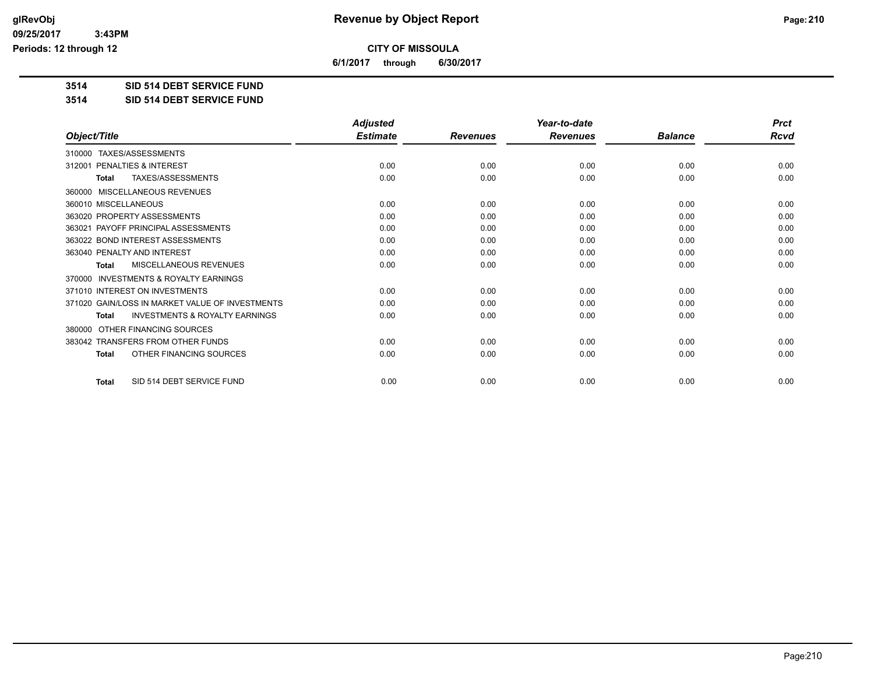**6/1/2017 through 6/30/2017**

**3514 SID 514 DEBT SERVICE FUND**

**3514 SID 514 DEBT SERVICE FUND**

|                                                           | <b>Adjusted</b> |                 | Year-to-date    |                | <b>Prct</b> |
|-----------------------------------------------------------|-----------------|-----------------|-----------------|----------------|-------------|
| Object/Title                                              | <b>Estimate</b> | <b>Revenues</b> | <b>Revenues</b> | <b>Balance</b> | <b>Rcvd</b> |
| TAXES/ASSESSMENTS<br>310000                               |                 |                 |                 |                |             |
| 312001 PENALTIES & INTEREST                               | 0.00            | 0.00            | 0.00            | 0.00           | 0.00        |
| TAXES/ASSESSMENTS<br><b>Total</b>                         | 0.00            | 0.00            | 0.00            | 0.00           | 0.00        |
| <b>MISCELLANEOUS REVENUES</b><br>360000                   |                 |                 |                 |                |             |
| 360010 MISCELLANEOUS                                      | 0.00            | 0.00            | 0.00            | 0.00           | 0.00        |
| 363020 PROPERTY ASSESSMENTS                               | 0.00            | 0.00            | 0.00            | 0.00           | 0.00        |
| PAYOFF PRINCIPAL ASSESSMENTS<br>363021                    | 0.00            | 0.00            | 0.00            | 0.00           | 0.00        |
| 363022 BOND INTEREST ASSESSMENTS                          | 0.00            | 0.00            | 0.00            | 0.00           | 0.00        |
| 363040 PENALTY AND INTEREST                               | 0.00            | 0.00            | 0.00            | 0.00           | 0.00        |
| <b>MISCELLANEOUS REVENUES</b><br><b>Total</b>             | 0.00            | 0.00            | 0.00            | 0.00           | 0.00        |
| <b>INVESTMENTS &amp; ROYALTY EARNINGS</b><br>370000       |                 |                 |                 |                |             |
| 371010 INTEREST ON INVESTMENTS                            | 0.00            | 0.00            | 0.00            | 0.00           | 0.00        |
| 371020 GAIN/LOSS IN MARKET VALUE OF INVESTMENTS           | 0.00            | 0.00            | 0.00            | 0.00           | 0.00        |
| <b>INVESTMENTS &amp; ROYALTY EARNINGS</b><br><b>Total</b> | 0.00            | 0.00            | 0.00            | 0.00           | 0.00        |
| OTHER FINANCING SOURCES<br>380000                         |                 |                 |                 |                |             |
| 383042 TRANSFERS FROM OTHER FUNDS                         | 0.00            | 0.00            | 0.00            | 0.00           | 0.00        |
| OTHER FINANCING SOURCES<br><b>Total</b>                   | 0.00            | 0.00            | 0.00            | 0.00           | 0.00        |
| SID 514 DEBT SERVICE FUND<br><b>Total</b>                 | 0.00            | 0.00            | 0.00            | 0.00           | 0.00        |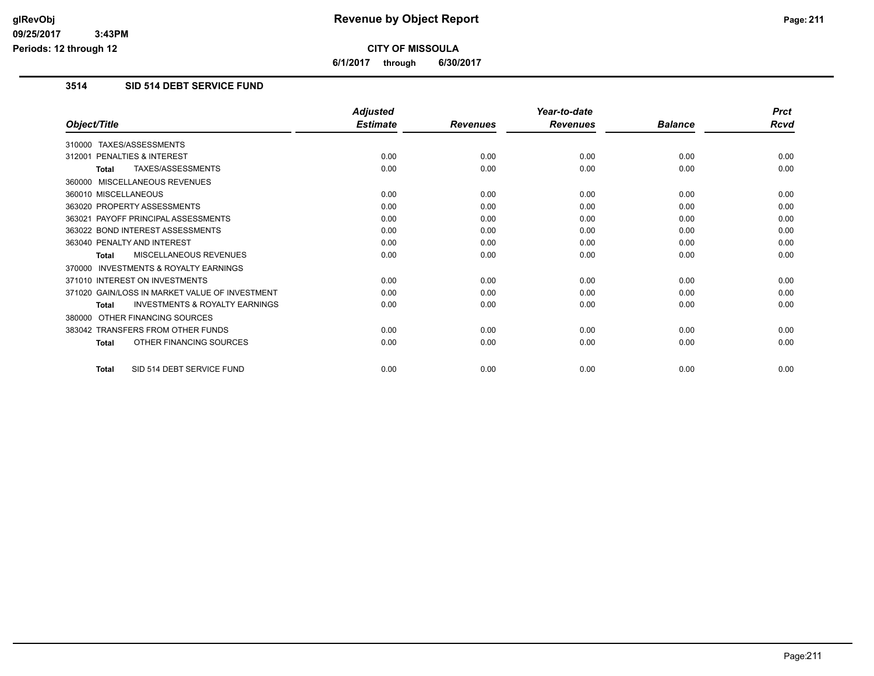**6/1/2017 through 6/30/2017**

## **3514 SID 514 DEBT SERVICE FUND**

|                                                           | <b>Adjusted</b> |                 | Year-to-date    |                | <b>Prct</b> |
|-----------------------------------------------------------|-----------------|-----------------|-----------------|----------------|-------------|
| Object/Title                                              | <b>Estimate</b> | <b>Revenues</b> | <b>Revenues</b> | <b>Balance</b> | <b>Rcvd</b> |
| 310000 TAXES/ASSESSMENTS                                  |                 |                 |                 |                |             |
| 312001 PENALTIES & INTEREST                               | 0.00            | 0.00            | 0.00            | 0.00           | 0.00        |
| TAXES/ASSESSMENTS<br><b>Total</b>                         | 0.00            | 0.00            | 0.00            | 0.00           | 0.00        |
| 360000 MISCELLANEOUS REVENUES                             |                 |                 |                 |                |             |
| 360010 MISCELLANEOUS                                      | 0.00            | 0.00            | 0.00            | 0.00           | 0.00        |
| 363020 PROPERTY ASSESSMENTS                               | 0.00            | 0.00            | 0.00            | 0.00           | 0.00        |
| 363021 PAYOFF PRINCIPAL ASSESSMENTS                       | 0.00            | 0.00            | 0.00            | 0.00           | 0.00        |
| 363022 BOND INTEREST ASSESSMENTS                          | 0.00            | 0.00            | 0.00            | 0.00           | 0.00        |
| 363040 PENALTY AND INTEREST                               | 0.00            | 0.00            | 0.00            | 0.00           | 0.00        |
| MISCELLANEOUS REVENUES<br><b>Total</b>                    | 0.00            | 0.00            | 0.00            | 0.00           | 0.00        |
| INVESTMENTS & ROYALTY EARNINGS<br>370000                  |                 |                 |                 |                |             |
| 371010 INTEREST ON INVESTMENTS                            | 0.00            | 0.00            | 0.00            | 0.00           | 0.00        |
| 371020 GAIN/LOSS IN MARKET VALUE OF INVESTMENT            | 0.00            | 0.00            | 0.00            | 0.00           | 0.00        |
| <b>INVESTMENTS &amp; ROYALTY EARNINGS</b><br><b>Total</b> | 0.00            | 0.00            | 0.00            | 0.00           | 0.00        |
| OTHER FINANCING SOURCES<br>380000                         |                 |                 |                 |                |             |
| 383042 TRANSFERS FROM OTHER FUNDS                         | 0.00            | 0.00            | 0.00            | 0.00           | 0.00        |
| OTHER FINANCING SOURCES<br><b>Total</b>                   | 0.00            | 0.00            | 0.00            | 0.00           | 0.00        |
| SID 514 DEBT SERVICE FUND<br><b>Total</b>                 | 0.00            | 0.00            | 0.00            | 0.00           | 0.00        |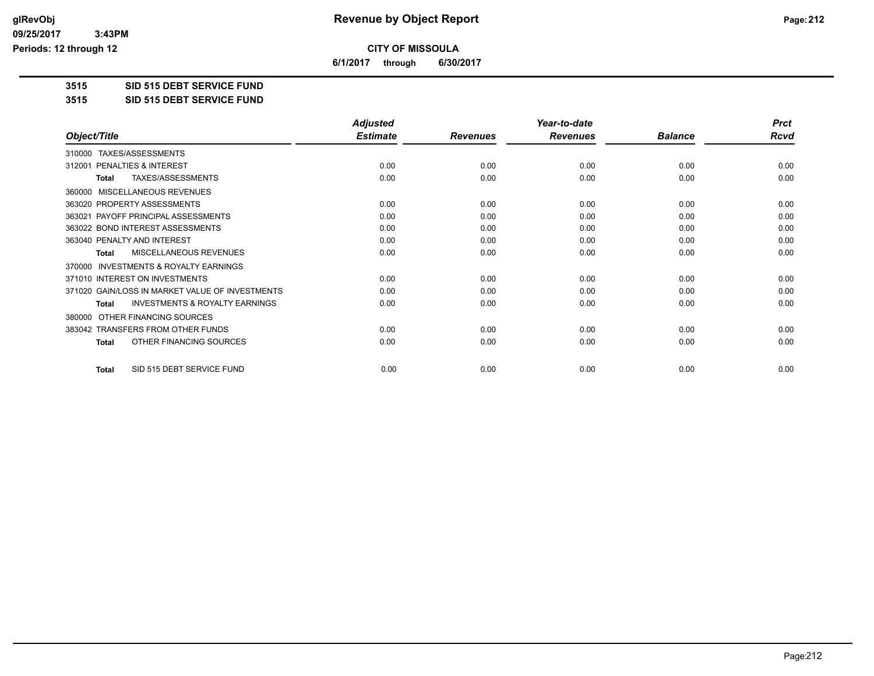**6/1/2017 through 6/30/2017**

**3515 SID 515 DEBT SERVICE FUND**

**3515 SID 515 DEBT SERVICE FUND**

|                                                           | <b>Adjusted</b> |                 | Year-to-date    |                | <b>Prct</b> |
|-----------------------------------------------------------|-----------------|-----------------|-----------------|----------------|-------------|
| Object/Title                                              | <b>Estimate</b> | <b>Revenues</b> | <b>Revenues</b> | <b>Balance</b> | <b>Rcvd</b> |
| TAXES/ASSESSMENTS<br>310000                               |                 |                 |                 |                |             |
| PENALTIES & INTEREST<br>312001                            | 0.00            | 0.00            | 0.00            | 0.00           | 0.00        |
| TAXES/ASSESSMENTS<br><b>Total</b>                         | 0.00            | 0.00            | 0.00            | 0.00           | 0.00        |
| MISCELLANEOUS REVENUES<br>360000                          |                 |                 |                 |                |             |
| 363020 PROPERTY ASSESSMENTS                               | 0.00            | 0.00            | 0.00            | 0.00           | 0.00        |
| 363021 PAYOFF PRINCIPAL ASSESSMENTS                       | 0.00            | 0.00            | 0.00            | 0.00           | 0.00        |
| 363022 BOND INTEREST ASSESSMENTS                          | 0.00            | 0.00            | 0.00            | 0.00           | 0.00        |
| 363040 PENALTY AND INTEREST                               | 0.00            | 0.00            | 0.00            | 0.00           | 0.00        |
| MISCELLANEOUS REVENUES<br><b>Total</b>                    | 0.00            | 0.00            | 0.00            | 0.00           | 0.00        |
| <b>INVESTMENTS &amp; ROYALTY EARNINGS</b><br>370000       |                 |                 |                 |                |             |
| 371010 INTEREST ON INVESTMENTS                            | 0.00            | 0.00            | 0.00            | 0.00           | 0.00        |
| 371020 GAIN/LOSS IN MARKET VALUE OF INVESTMENTS           | 0.00            | 0.00            | 0.00            | 0.00           | 0.00        |
| <b>INVESTMENTS &amp; ROYALTY EARNINGS</b><br><b>Total</b> | 0.00            | 0.00            | 0.00            | 0.00           | 0.00        |
| OTHER FINANCING SOURCES<br>380000                         |                 |                 |                 |                |             |
| 383042 TRANSFERS FROM OTHER FUNDS                         | 0.00            | 0.00            | 0.00            | 0.00           | 0.00        |
| OTHER FINANCING SOURCES<br><b>Total</b>                   | 0.00            | 0.00            | 0.00            | 0.00           | 0.00        |
| SID 515 DEBT SERVICE FUND<br><b>Total</b>                 | 0.00            | 0.00            | 0.00            | 0.00           | 0.00        |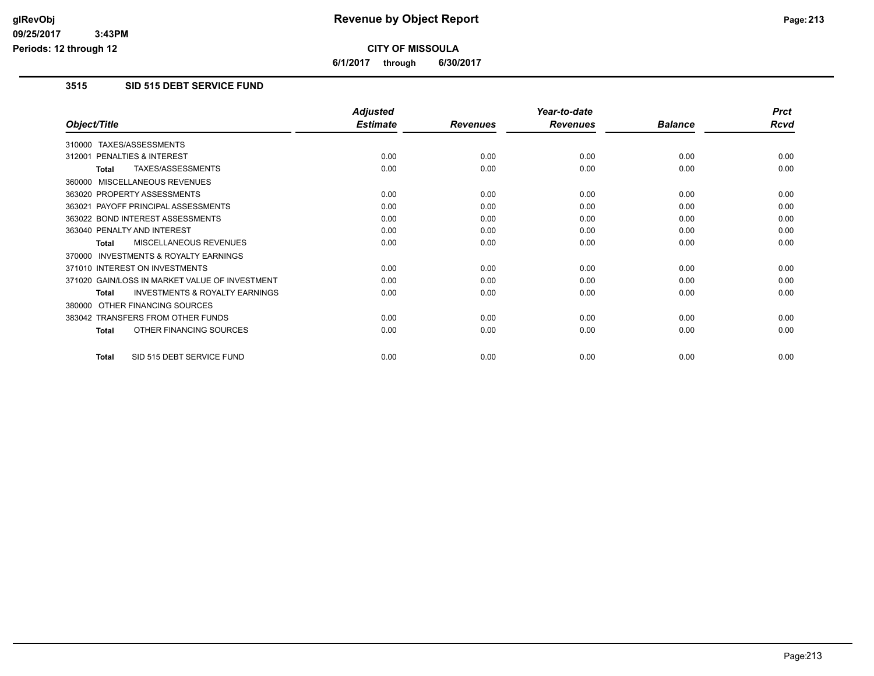**6/1/2017 through 6/30/2017**

# **3515 SID 515 DEBT SERVICE FUND**

|                                                           | <b>Adjusted</b> |                 | Year-to-date    |                | <b>Prct</b> |
|-----------------------------------------------------------|-----------------|-----------------|-----------------|----------------|-------------|
| Object/Title                                              | <b>Estimate</b> | <b>Revenues</b> | <b>Revenues</b> | <b>Balance</b> | <b>Rcvd</b> |
| TAXES/ASSESSMENTS<br>310000                               |                 |                 |                 |                |             |
| <b>PENALTIES &amp; INTEREST</b><br>312001                 | 0.00            | 0.00            | 0.00            | 0.00           | 0.00        |
| TAXES/ASSESSMENTS<br><b>Total</b>                         | 0.00            | 0.00            | 0.00            | 0.00           | 0.00        |
| MISCELLANEOUS REVENUES<br>360000                          |                 |                 |                 |                |             |
| 363020 PROPERTY ASSESSMENTS                               | 0.00            | 0.00            | 0.00            | 0.00           | 0.00        |
| PAYOFF PRINCIPAL ASSESSMENTS<br>363021                    | 0.00            | 0.00            | 0.00            | 0.00           | 0.00        |
| 363022 BOND INTEREST ASSESSMENTS                          | 0.00            | 0.00            | 0.00            | 0.00           | 0.00        |
| 363040 PENALTY AND INTEREST                               | 0.00            | 0.00            | 0.00            | 0.00           | 0.00        |
| <b>MISCELLANEOUS REVENUES</b><br><b>Total</b>             | 0.00            | 0.00            | 0.00            | 0.00           | 0.00        |
| <b>INVESTMENTS &amp; ROYALTY EARNINGS</b><br>370000       |                 |                 |                 |                |             |
| 371010 INTEREST ON INVESTMENTS                            | 0.00            | 0.00            | 0.00            | 0.00           | 0.00        |
| 371020 GAIN/LOSS IN MARKET VALUE OF INVESTMENT            | 0.00            | 0.00            | 0.00            | 0.00           | 0.00        |
| <b>INVESTMENTS &amp; ROYALTY EARNINGS</b><br><b>Total</b> | 0.00            | 0.00            | 0.00            | 0.00           | 0.00        |
| OTHER FINANCING SOURCES<br>380000                         |                 |                 |                 |                |             |
| 383042 TRANSFERS FROM OTHER FUNDS                         | 0.00            | 0.00            | 0.00            | 0.00           | 0.00        |
| OTHER FINANCING SOURCES<br><b>Total</b>                   | 0.00            | 0.00            | 0.00            | 0.00           | 0.00        |
| SID 515 DEBT SERVICE FUND<br><b>Total</b>                 | 0.00            | 0.00            | 0.00            | 0.00           | 0.00        |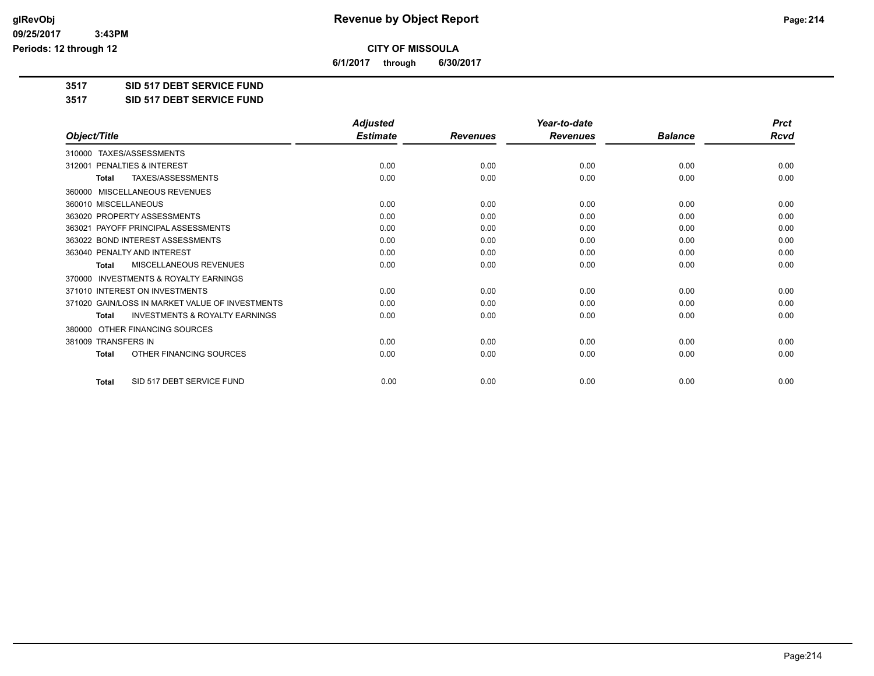**6/1/2017 through 6/30/2017**

**3517 SID 517 DEBT SERVICE FUND**

**3517 SID 517 DEBT SERVICE FUND**

|                                                           | <b>Adjusted</b> |                 | Year-to-date    |                | <b>Prct</b> |
|-----------------------------------------------------------|-----------------|-----------------|-----------------|----------------|-------------|
| Object/Title                                              | <b>Estimate</b> | <b>Revenues</b> | <b>Revenues</b> | <b>Balance</b> | <b>Rcvd</b> |
| TAXES/ASSESSMENTS<br>310000                               |                 |                 |                 |                |             |
| PENALTIES & INTEREST<br>312001                            | 0.00            | 0.00            | 0.00            | 0.00           | 0.00        |
| <b>TAXES/ASSESSMENTS</b><br><b>Total</b>                  | 0.00            | 0.00            | 0.00            | 0.00           | 0.00        |
| 360000 MISCELLANEOUS REVENUES                             |                 |                 |                 |                |             |
| 360010 MISCELLANEOUS                                      | 0.00            | 0.00            | 0.00            | 0.00           | 0.00        |
| 363020 PROPERTY ASSESSMENTS                               | 0.00            | 0.00            | 0.00            | 0.00           | 0.00        |
| PAYOFF PRINCIPAL ASSESSMENTS<br>363021                    | 0.00            | 0.00            | 0.00            | 0.00           | 0.00        |
| 363022 BOND INTEREST ASSESSMENTS                          | 0.00            | 0.00            | 0.00            | 0.00           | 0.00        |
| 363040 PENALTY AND INTEREST                               | 0.00            | 0.00            | 0.00            | 0.00           | 0.00        |
| MISCELLANEOUS REVENUES<br><b>Total</b>                    | 0.00            | 0.00            | 0.00            | 0.00           | 0.00        |
| <b>INVESTMENTS &amp; ROYALTY EARNINGS</b><br>370000       |                 |                 |                 |                |             |
| 371010 INTEREST ON INVESTMENTS                            | 0.00            | 0.00            | 0.00            | 0.00           | 0.00        |
| 371020 GAIN/LOSS IN MARKET VALUE OF INVESTMENTS           | 0.00            | 0.00            | 0.00            | 0.00           | 0.00        |
| <b>INVESTMENTS &amp; ROYALTY EARNINGS</b><br><b>Total</b> | 0.00            | 0.00            | 0.00            | 0.00           | 0.00        |
| OTHER FINANCING SOURCES<br>380000                         |                 |                 |                 |                |             |
| 381009 TRANSFERS IN                                       | 0.00            | 0.00            | 0.00            | 0.00           | 0.00        |
| OTHER FINANCING SOURCES<br><b>Total</b>                   | 0.00            | 0.00            | 0.00            | 0.00           | 0.00        |
| SID 517 DEBT SERVICE FUND<br><b>Total</b>                 | 0.00            | 0.00            | 0.00            | 0.00           | 0.00        |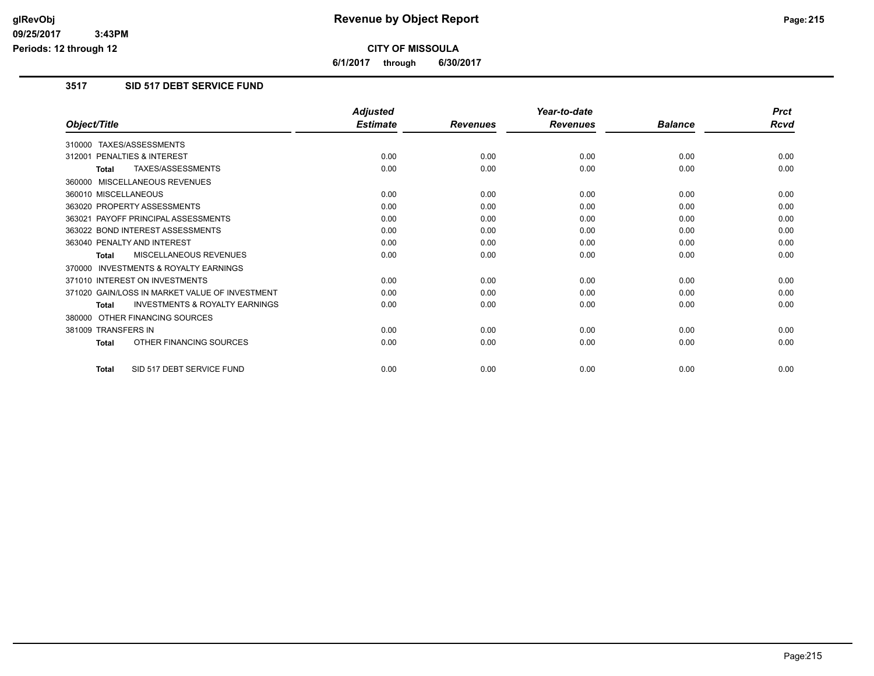**6/1/2017 through 6/30/2017**

# **3517 SID 517 DEBT SERVICE FUND**

|                                                           | <b>Adjusted</b> |                 | Year-to-date    |                | <b>Prct</b> |
|-----------------------------------------------------------|-----------------|-----------------|-----------------|----------------|-------------|
| Object/Title                                              | <b>Estimate</b> | <b>Revenues</b> | <b>Revenues</b> | <b>Balance</b> | <b>Rcvd</b> |
| 310000 TAXES/ASSESSMENTS                                  |                 |                 |                 |                |             |
| 312001 PENALTIES & INTEREST                               | 0.00            | 0.00            | 0.00            | 0.00           | 0.00        |
| TAXES/ASSESSMENTS<br><b>Total</b>                         | 0.00            | 0.00            | 0.00            | 0.00           | 0.00        |
| 360000 MISCELLANEOUS REVENUES                             |                 |                 |                 |                |             |
| 360010 MISCELLANEOUS                                      | 0.00            | 0.00            | 0.00            | 0.00           | 0.00        |
| 363020 PROPERTY ASSESSMENTS                               | 0.00            | 0.00            | 0.00            | 0.00           | 0.00        |
| 363021 PAYOFF PRINCIPAL ASSESSMENTS                       | 0.00            | 0.00            | 0.00            | 0.00           | 0.00        |
| 363022 BOND INTEREST ASSESSMENTS                          | 0.00            | 0.00            | 0.00            | 0.00           | 0.00        |
| 363040 PENALTY AND INTEREST                               | 0.00            | 0.00            | 0.00            | 0.00           | 0.00        |
| MISCELLANEOUS REVENUES<br><b>Total</b>                    | 0.00            | 0.00            | 0.00            | 0.00           | 0.00        |
| INVESTMENTS & ROYALTY EARNINGS<br>370000                  |                 |                 |                 |                |             |
| 371010 INTEREST ON INVESTMENTS                            | 0.00            | 0.00            | 0.00            | 0.00           | 0.00        |
| 371020 GAIN/LOSS IN MARKET VALUE OF INVESTMENT            | 0.00            | 0.00            | 0.00            | 0.00           | 0.00        |
| <b>INVESTMENTS &amp; ROYALTY EARNINGS</b><br><b>Total</b> | 0.00            | 0.00            | 0.00            | 0.00           | 0.00        |
| 380000 OTHER FINANCING SOURCES                            |                 |                 |                 |                |             |
| 381009 TRANSFERS IN                                       | 0.00            | 0.00            | 0.00            | 0.00           | 0.00        |
| OTHER FINANCING SOURCES<br><b>Total</b>                   | 0.00            | 0.00            | 0.00            | 0.00           | 0.00        |
| SID 517 DEBT SERVICE FUND<br><b>Total</b>                 | 0.00            | 0.00            | 0.00            | 0.00           | 0.00        |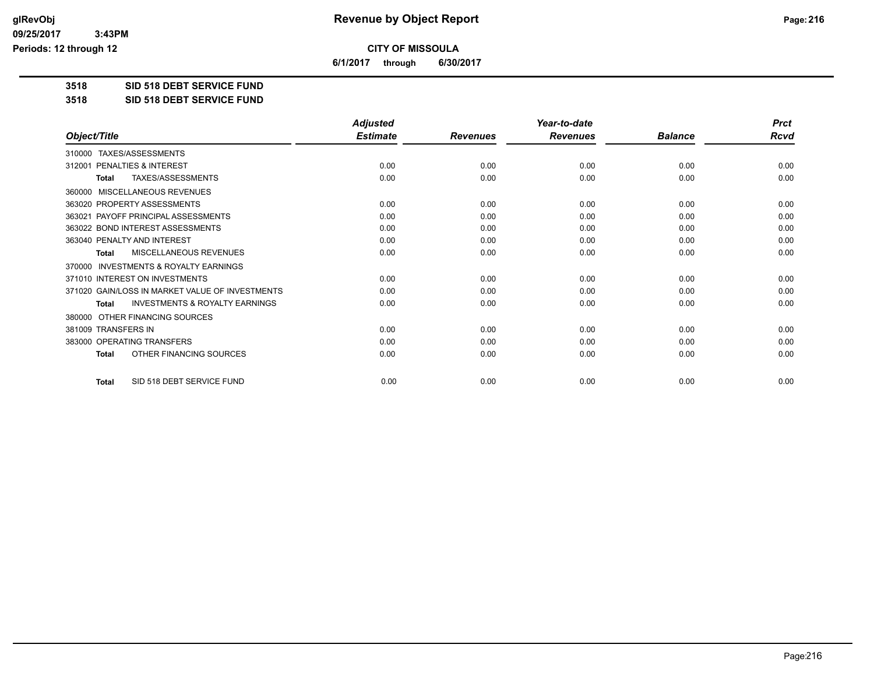**6/1/2017 through 6/30/2017**

**3518 SID 518 DEBT SERVICE FUND**

**3518 SID 518 DEBT SERVICE FUND**

|                                                           | <b>Adjusted</b> |                 | Year-to-date    |                | <b>Prct</b> |
|-----------------------------------------------------------|-----------------|-----------------|-----------------|----------------|-------------|
| Object/Title                                              | <b>Estimate</b> | <b>Revenues</b> | <b>Revenues</b> | <b>Balance</b> | <b>Rcvd</b> |
| 310000 TAXES/ASSESSMENTS                                  |                 |                 |                 |                |             |
| PENALTIES & INTEREST<br>312001                            | 0.00            | 0.00            | 0.00            | 0.00           | 0.00        |
| <b>TAXES/ASSESSMENTS</b><br><b>Total</b>                  | 0.00            | 0.00            | 0.00            | 0.00           | 0.00        |
| MISCELLANEOUS REVENUES<br>360000                          |                 |                 |                 |                |             |
| 363020 PROPERTY ASSESSMENTS                               | 0.00            | 0.00            | 0.00            | 0.00           | 0.00        |
| 363021 PAYOFF PRINCIPAL ASSESSMENTS                       | 0.00            | 0.00            | 0.00            | 0.00           | 0.00        |
| 363022 BOND INTEREST ASSESSMENTS                          | 0.00            | 0.00            | 0.00            | 0.00           | 0.00        |
| 363040 PENALTY AND INTEREST                               | 0.00            | 0.00            | 0.00            | 0.00           | 0.00        |
| MISCELLANEOUS REVENUES<br><b>Total</b>                    | 0.00            | 0.00            | 0.00            | 0.00           | 0.00        |
| <b>INVESTMENTS &amp; ROYALTY EARNINGS</b><br>370000       |                 |                 |                 |                |             |
| 371010 INTEREST ON INVESTMENTS                            | 0.00            | 0.00            | 0.00            | 0.00           | 0.00        |
| 371020 GAIN/LOSS IN MARKET VALUE OF INVESTMENTS           | 0.00            | 0.00            | 0.00            | 0.00           | 0.00        |
| <b>INVESTMENTS &amp; ROYALTY EARNINGS</b><br><b>Total</b> | 0.00            | 0.00            | 0.00            | 0.00           | 0.00        |
| OTHER FINANCING SOURCES<br>380000                         |                 |                 |                 |                |             |
| 381009 TRANSFERS IN                                       | 0.00            | 0.00            | 0.00            | 0.00           | 0.00        |
| 383000 OPERATING TRANSFERS                                | 0.00            | 0.00            | 0.00            | 0.00           | 0.00        |
| OTHER FINANCING SOURCES<br><b>Total</b>                   | 0.00            | 0.00            | 0.00            | 0.00           | 0.00        |
| SID 518 DEBT SERVICE FUND<br><b>Total</b>                 | 0.00            | 0.00            | 0.00            | 0.00           | 0.00        |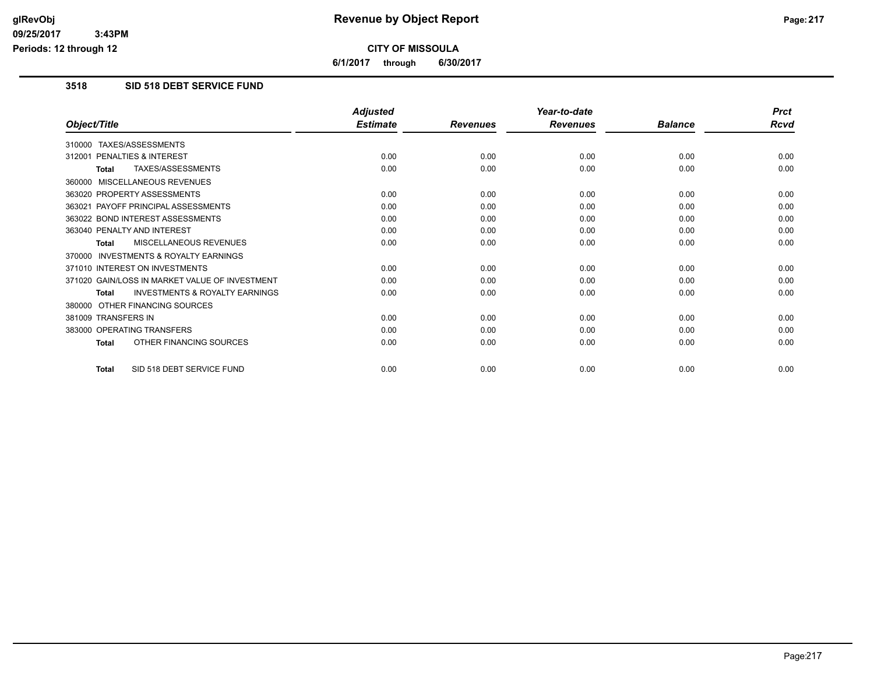**6/1/2017 through 6/30/2017**

## **3518 SID 518 DEBT SERVICE FUND**

|                                                           | <b>Adjusted</b> |                 | Year-to-date    |                |             |  |
|-----------------------------------------------------------|-----------------|-----------------|-----------------|----------------|-------------|--|
| Object/Title                                              | <b>Estimate</b> | <b>Revenues</b> | <b>Revenues</b> | <b>Balance</b> | <b>Rcvd</b> |  |
| 310000 TAXES/ASSESSMENTS                                  |                 |                 |                 |                |             |  |
| PENALTIES & INTEREST<br>312001                            | 0.00            | 0.00            | 0.00            | 0.00           | 0.00        |  |
| TAXES/ASSESSMENTS<br><b>Total</b>                         | 0.00            | 0.00            | 0.00            | 0.00           | 0.00        |  |
| 360000 MISCELLANEOUS REVENUES                             |                 |                 |                 |                |             |  |
| 363020 PROPERTY ASSESSMENTS                               | 0.00            | 0.00            | 0.00            | 0.00           | 0.00        |  |
| 363021 PAYOFF PRINCIPAL ASSESSMENTS                       | 0.00            | 0.00            | 0.00            | 0.00           | 0.00        |  |
| 363022 BOND INTEREST ASSESSMENTS                          | 0.00            | 0.00            | 0.00            | 0.00           | 0.00        |  |
| 363040 PENALTY AND INTEREST                               | 0.00            | 0.00            | 0.00            | 0.00           | 0.00        |  |
| <b>MISCELLANEOUS REVENUES</b><br><b>Total</b>             | 0.00            | 0.00            | 0.00            | 0.00           | 0.00        |  |
| 370000 INVESTMENTS & ROYALTY EARNINGS                     |                 |                 |                 |                |             |  |
| 371010 INTEREST ON INVESTMENTS                            | 0.00            | 0.00            | 0.00            | 0.00           | 0.00        |  |
| 371020 GAIN/LOSS IN MARKET VALUE OF INVESTMENT            | 0.00            | 0.00            | 0.00            | 0.00           | 0.00        |  |
| <b>INVESTMENTS &amp; ROYALTY EARNINGS</b><br><b>Total</b> | 0.00            | 0.00            | 0.00            | 0.00           | 0.00        |  |
| 380000 OTHER FINANCING SOURCES                            |                 |                 |                 |                |             |  |
| 381009 TRANSFERS IN                                       | 0.00            | 0.00            | 0.00            | 0.00           | 0.00        |  |
| 383000 OPERATING TRANSFERS                                | 0.00            | 0.00            | 0.00            | 0.00           | 0.00        |  |
| OTHER FINANCING SOURCES<br><b>Total</b>                   | 0.00            | 0.00            | 0.00            | 0.00           | 0.00        |  |
| SID 518 DEBT SERVICE FUND<br><b>Total</b>                 | 0.00            | 0.00            | 0.00            | 0.00           | 0.00        |  |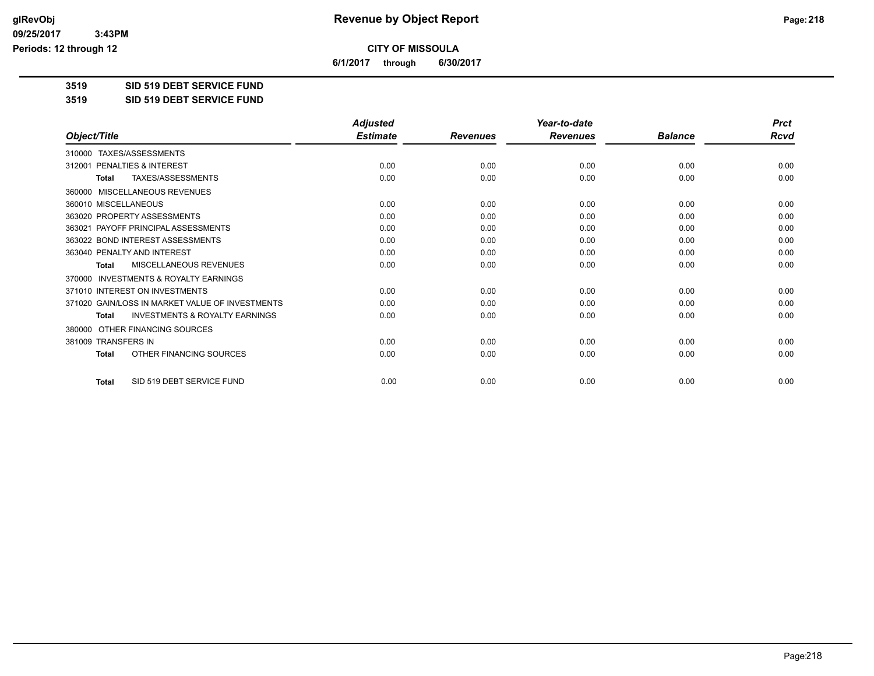**6/1/2017 through 6/30/2017**

**3519 SID 519 DEBT SERVICE FUND**

**3519 SID 519 DEBT SERVICE FUND**

|                                                           | <b>Adjusted</b> |                 | Year-to-date    |                | <b>Prct</b> |
|-----------------------------------------------------------|-----------------|-----------------|-----------------|----------------|-------------|
| Object/Title                                              | <b>Estimate</b> | <b>Revenues</b> | <b>Revenues</b> | <b>Balance</b> | <b>Rcvd</b> |
| TAXES/ASSESSMENTS<br>310000                               |                 |                 |                 |                |             |
| PENALTIES & INTEREST<br>312001                            | 0.00            | 0.00            | 0.00            | 0.00           | 0.00        |
| TAXES/ASSESSMENTS<br><b>Total</b>                         | 0.00            | 0.00            | 0.00            | 0.00           | 0.00        |
| MISCELLANEOUS REVENUES<br>360000                          |                 |                 |                 |                |             |
| 360010 MISCELLANEOUS                                      | 0.00            | 0.00            | 0.00            | 0.00           | 0.00        |
| 363020 PROPERTY ASSESSMENTS                               | 0.00            | 0.00            | 0.00            | 0.00           | 0.00        |
| 363021 PAYOFF PRINCIPAL ASSESSMENTS                       | 0.00            | 0.00            | 0.00            | 0.00           | 0.00        |
| 363022 BOND INTEREST ASSESSMENTS                          | 0.00            | 0.00            | 0.00            | 0.00           | 0.00        |
| 363040 PENALTY AND INTEREST                               | 0.00            | 0.00            | 0.00            | 0.00           | 0.00        |
| <b>MISCELLANEOUS REVENUES</b><br><b>Total</b>             | 0.00            | 0.00            | 0.00            | 0.00           | 0.00        |
| <b>INVESTMENTS &amp; ROYALTY EARNINGS</b><br>370000       |                 |                 |                 |                |             |
| 371010 INTEREST ON INVESTMENTS                            | 0.00            | 0.00            | 0.00            | 0.00           | 0.00        |
| 371020 GAIN/LOSS IN MARKET VALUE OF INVESTMENTS           | 0.00            | 0.00            | 0.00            | 0.00           | 0.00        |
| <b>INVESTMENTS &amp; ROYALTY EARNINGS</b><br><b>Total</b> | 0.00            | 0.00            | 0.00            | 0.00           | 0.00        |
| OTHER FINANCING SOURCES<br>380000                         |                 |                 |                 |                |             |
| 381009 TRANSFERS IN                                       | 0.00            | 0.00            | 0.00            | 0.00           | 0.00        |
| OTHER FINANCING SOURCES<br><b>Total</b>                   | 0.00            | 0.00            | 0.00            | 0.00           | 0.00        |
| SID 519 DEBT SERVICE FUND<br><b>Total</b>                 | 0.00            | 0.00            | 0.00            | 0.00           | 0.00        |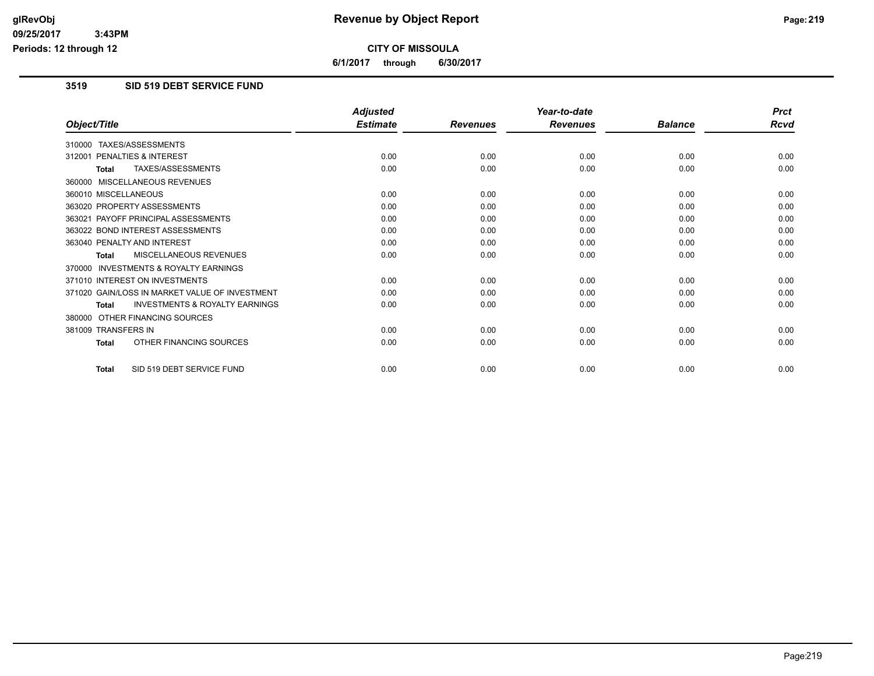**6/1/2017 through 6/30/2017**

## **3519 SID 519 DEBT SERVICE FUND**

|                                                           | <b>Adjusted</b> |                 | Year-to-date    |                | <b>Prct</b> |
|-----------------------------------------------------------|-----------------|-----------------|-----------------|----------------|-------------|
| Object/Title                                              | <b>Estimate</b> | <b>Revenues</b> | <b>Revenues</b> | <b>Balance</b> | <b>Rcvd</b> |
| 310000 TAXES/ASSESSMENTS                                  |                 |                 |                 |                |             |
| PENALTIES & INTEREST<br>312001                            | 0.00            | 0.00            | 0.00            | 0.00           | 0.00        |
| TAXES/ASSESSMENTS<br><b>Total</b>                         | 0.00            | 0.00            | 0.00            | 0.00           | 0.00        |
| 360000 MISCELLANEOUS REVENUES                             |                 |                 |                 |                |             |
| 360010 MISCELLANEOUS                                      | 0.00            | 0.00            | 0.00            | 0.00           | 0.00        |
| 363020 PROPERTY ASSESSMENTS                               | 0.00            | 0.00            | 0.00            | 0.00           | 0.00        |
| 363021 PAYOFF PRINCIPAL ASSESSMENTS                       | 0.00            | 0.00            | 0.00            | 0.00           | 0.00        |
| 363022 BOND INTEREST ASSESSMENTS                          | 0.00            | 0.00            | 0.00            | 0.00           | 0.00        |
| 363040 PENALTY AND INTEREST                               | 0.00            | 0.00            | 0.00            | 0.00           | 0.00        |
| MISCELLANEOUS REVENUES<br><b>Total</b>                    | 0.00            | 0.00            | 0.00            | 0.00           | 0.00        |
| 370000 INVESTMENTS & ROYALTY EARNINGS                     |                 |                 |                 |                |             |
| 371010 INTEREST ON INVESTMENTS                            | 0.00            | 0.00            | 0.00            | 0.00           | 0.00        |
| 371020 GAIN/LOSS IN MARKET VALUE OF INVESTMENT            | 0.00            | 0.00            | 0.00            | 0.00           | 0.00        |
| <b>INVESTMENTS &amp; ROYALTY EARNINGS</b><br><b>Total</b> | 0.00            | 0.00            | 0.00            | 0.00           | 0.00        |
| 380000 OTHER FINANCING SOURCES                            |                 |                 |                 |                |             |
| 381009 TRANSFERS IN                                       | 0.00            | 0.00            | 0.00            | 0.00           | 0.00        |
| OTHER FINANCING SOURCES<br><b>Total</b>                   | 0.00            | 0.00            | 0.00            | 0.00           | 0.00        |
| SID 519 DEBT SERVICE FUND<br><b>Total</b>                 | 0.00            | 0.00            | 0.00            | 0.00           | 0.00        |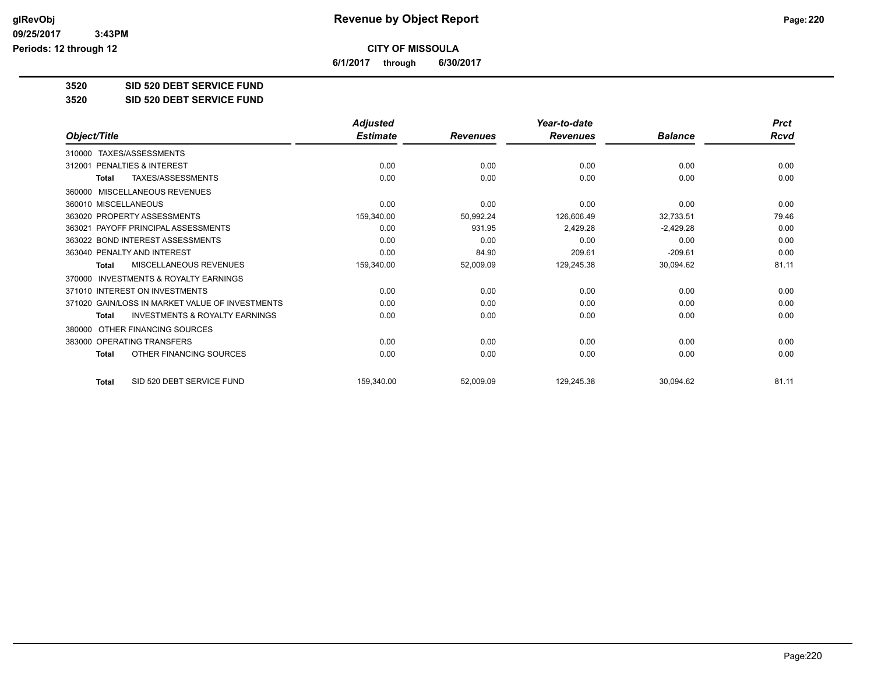**6/1/2017 through 6/30/2017**

**3520 SID 520 DEBT SERVICE FUND**

**3520 SID 520 DEBT SERVICE FUND**

|                                                    | <b>Adjusted</b> |                 | Year-to-date    |                | <b>Prct</b> |
|----------------------------------------------------|-----------------|-----------------|-----------------|----------------|-------------|
| Object/Title                                       | <b>Estimate</b> | <b>Revenues</b> | <b>Revenues</b> | <b>Balance</b> | <b>Rcvd</b> |
| TAXES/ASSESSMENTS<br>310000                        |                 |                 |                 |                |             |
| <b>PENALTIES &amp; INTEREST</b><br>312001          | 0.00            | 0.00            | 0.00            | 0.00           | 0.00        |
| TAXES/ASSESSMENTS<br><b>Total</b>                  | 0.00            | 0.00            | 0.00            | 0.00           | 0.00        |
| MISCELLANEOUS REVENUES<br>360000                   |                 |                 |                 |                |             |
| 360010 MISCELLANEOUS                               | 0.00            | 0.00            | 0.00            | 0.00           | 0.00        |
| 363020 PROPERTY ASSESSMENTS                        | 159,340.00      | 50,992.24       | 126,606.49      | 32,733.51      | 79.46       |
| PAYOFF PRINCIPAL ASSESSMENTS<br>363021             | 0.00            | 931.95          | 2,429.28        | $-2,429.28$    | 0.00        |
| 363022 BOND INTEREST ASSESSMENTS                   | 0.00            | 0.00            | 0.00            | 0.00           | 0.00        |
| 363040 PENALTY AND INTEREST                        | 0.00            | 84.90           | 209.61          | $-209.61$      | 0.00        |
| MISCELLANEOUS REVENUES<br><b>Total</b>             | 159,340.00      | 52,009.09       | 129,245.38      | 30,094.62      | 81.11       |
| INVESTMENTS & ROYALTY EARNINGS<br>370000           |                 |                 |                 |                |             |
| 371010 INTEREST ON INVESTMENTS                     | 0.00            | 0.00            | 0.00            | 0.00           | 0.00        |
| 371020 GAIN/LOSS IN MARKET VALUE OF INVESTMENTS    | 0.00            | 0.00            | 0.00            | 0.00           | 0.00        |
| <b>INVESTMENTS &amp; ROYALTY EARNINGS</b><br>Total | 0.00            | 0.00            | 0.00            | 0.00           | 0.00        |
| OTHER FINANCING SOURCES<br>380000                  |                 |                 |                 |                |             |
| 383000 OPERATING TRANSFERS                         | 0.00            | 0.00            | 0.00            | 0.00           | 0.00        |
| OTHER FINANCING SOURCES<br>Total                   | 0.00            | 0.00            | 0.00            | 0.00           | 0.00        |
| SID 520 DEBT SERVICE FUND<br><b>Total</b>          | 159,340.00      | 52,009.09       | 129,245.38      | 30,094.62      | 81.11       |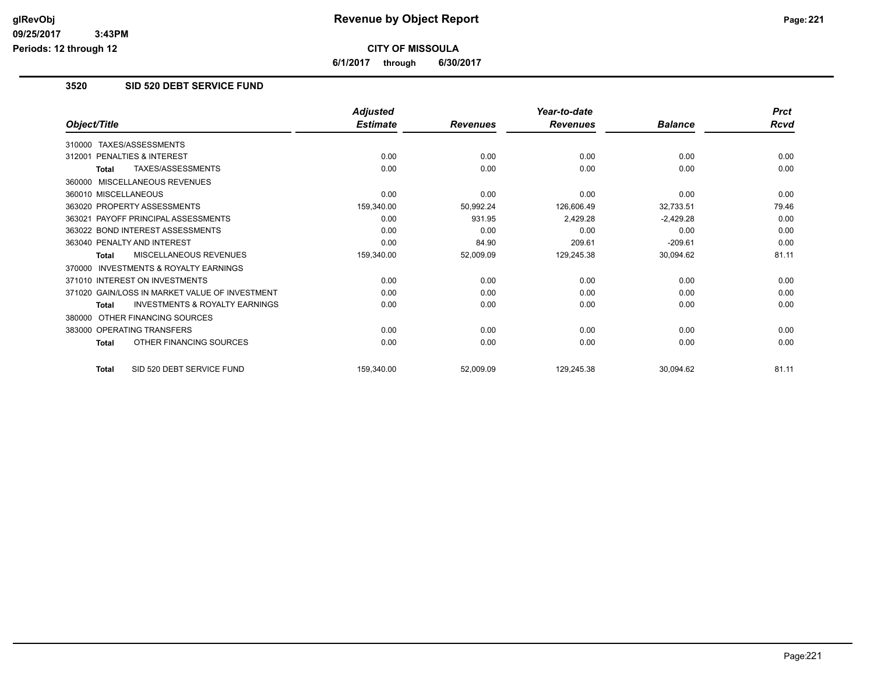**6/1/2017 through 6/30/2017**

## **3520 SID 520 DEBT SERVICE FUND**

|                                                           | <b>Adjusted</b> |                 | Year-to-date    |                | <b>Prct</b> |
|-----------------------------------------------------------|-----------------|-----------------|-----------------|----------------|-------------|
| Object/Title                                              | <b>Estimate</b> | <b>Revenues</b> | <b>Revenues</b> | <b>Balance</b> | Rcvd        |
| TAXES/ASSESSMENTS<br>310000                               |                 |                 |                 |                |             |
| PENALTIES & INTEREST<br>312001                            | 0.00            | 0.00            | 0.00            | 0.00           | 0.00        |
| <b>TAXES/ASSESSMENTS</b><br><b>Total</b>                  | 0.00            | 0.00            | 0.00            | 0.00           | 0.00        |
| 360000 MISCELLANEOUS REVENUES                             |                 |                 |                 |                |             |
| 360010 MISCELLANEOUS                                      | 0.00            | 0.00            | 0.00            | 0.00           | 0.00        |
| 363020 PROPERTY ASSESSMENTS                               | 159,340.00      | 50,992.24       | 126,606.49      | 32,733.51      | 79.46       |
| 363021 PAYOFF PRINCIPAL ASSESSMENTS                       | 0.00            | 931.95          | 2,429.28        | $-2,429.28$    | 0.00        |
| 363022 BOND INTEREST ASSESSMENTS                          | 0.00            | 0.00            | 0.00            | 0.00           | 0.00        |
| 363040 PENALTY AND INTEREST                               | 0.00            | 84.90           | 209.61          | $-209.61$      | 0.00        |
| MISCELLANEOUS REVENUES<br><b>Total</b>                    | 159,340.00      | 52,009.09       | 129,245.38      | 30,094.62      | 81.11       |
| <b>INVESTMENTS &amp; ROYALTY EARNINGS</b><br>370000       |                 |                 |                 |                |             |
| 371010 INTEREST ON INVESTMENTS                            | 0.00            | 0.00            | 0.00            | 0.00           | 0.00        |
| 371020 GAIN/LOSS IN MARKET VALUE OF INVESTMENT            | 0.00            | 0.00            | 0.00            | 0.00           | 0.00        |
| <b>INVESTMENTS &amp; ROYALTY EARNINGS</b><br><b>Total</b> | 0.00            | 0.00            | 0.00            | 0.00           | 0.00        |
| OTHER FINANCING SOURCES<br>380000                         |                 |                 |                 |                |             |
| 383000 OPERATING TRANSFERS                                | 0.00            | 0.00            | 0.00            | 0.00           | 0.00        |
| OTHER FINANCING SOURCES<br><b>Total</b>                   | 0.00            | 0.00            | 0.00            | 0.00           | 0.00        |
| SID 520 DEBT SERVICE FUND<br><b>Total</b>                 | 159,340.00      | 52,009.09       | 129,245.38      | 30,094.62      | 81.11       |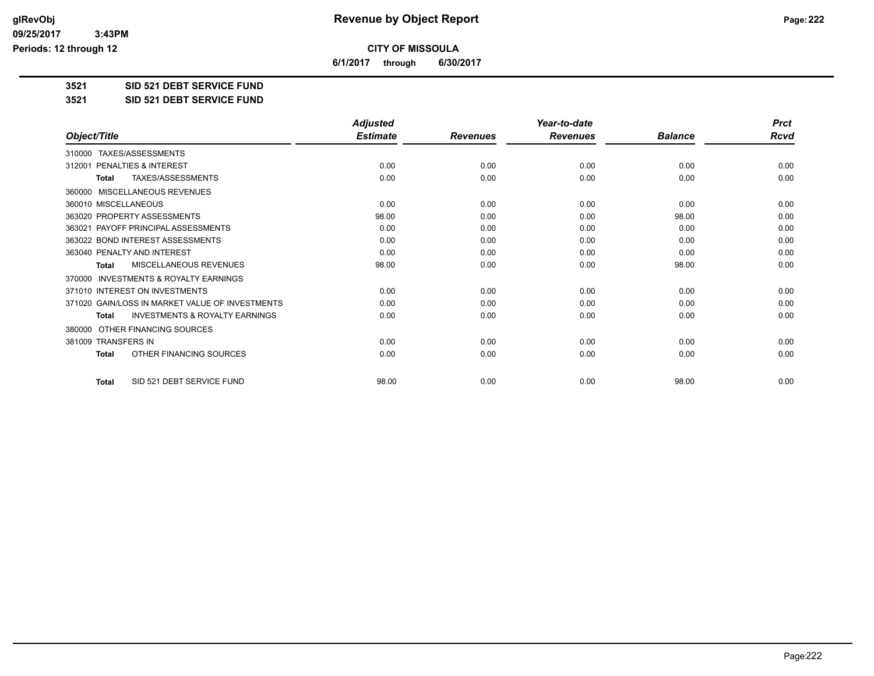**6/1/2017 through 6/30/2017**

**3521 SID 521 DEBT SERVICE FUND**

**3521 SID 521 DEBT SERVICE FUND**

|                                                           | <b>Adjusted</b> |                 | Year-to-date    |                | <b>Prct</b> |
|-----------------------------------------------------------|-----------------|-----------------|-----------------|----------------|-------------|
| Object/Title                                              | <b>Estimate</b> | <b>Revenues</b> | <b>Revenues</b> | <b>Balance</b> | <b>Rcvd</b> |
| TAXES/ASSESSMENTS<br>310000                               |                 |                 |                 |                |             |
| PENALTIES & INTEREST<br>312001                            | 0.00            | 0.00            | 0.00            | 0.00           | 0.00        |
| TAXES/ASSESSMENTS<br>Total                                | 0.00            | 0.00            | 0.00            | 0.00           | 0.00        |
| MISCELLANEOUS REVENUES<br>360000                          |                 |                 |                 |                |             |
| 360010 MISCELLANEOUS                                      | 0.00            | 0.00            | 0.00            | 0.00           | 0.00        |
| 363020 PROPERTY ASSESSMENTS                               | 98.00           | 0.00            | 0.00            | 98.00          | 0.00        |
| 363021 PAYOFF PRINCIPAL ASSESSMENTS                       | 0.00            | 0.00            | 0.00            | 0.00           | 0.00        |
| 363022 BOND INTEREST ASSESSMENTS                          | 0.00            | 0.00            | 0.00            | 0.00           | 0.00        |
| 363040 PENALTY AND INTEREST                               | 0.00            | 0.00            | 0.00            | 0.00           | 0.00        |
| <b>MISCELLANEOUS REVENUES</b><br><b>Total</b>             | 98.00           | 0.00            | 0.00            | 98.00          | 0.00        |
| <b>INVESTMENTS &amp; ROYALTY EARNINGS</b><br>370000       |                 |                 |                 |                |             |
| 371010 INTEREST ON INVESTMENTS                            | 0.00            | 0.00            | 0.00            | 0.00           | 0.00        |
| 371020 GAIN/LOSS IN MARKET VALUE OF INVESTMENTS           | 0.00            | 0.00            | 0.00            | 0.00           | 0.00        |
| <b>INVESTMENTS &amp; ROYALTY EARNINGS</b><br><b>Total</b> | 0.00            | 0.00            | 0.00            | 0.00           | 0.00        |
| OTHER FINANCING SOURCES<br>380000                         |                 |                 |                 |                |             |
| 381009 TRANSFERS IN                                       | 0.00            | 0.00            | 0.00            | 0.00           | 0.00        |
| OTHER FINANCING SOURCES<br><b>Total</b>                   | 0.00            | 0.00            | 0.00            | 0.00           | 0.00        |
| SID 521 DEBT SERVICE FUND<br><b>Total</b>                 | 98.00           | 0.00            | 0.00            | 98.00          | 0.00        |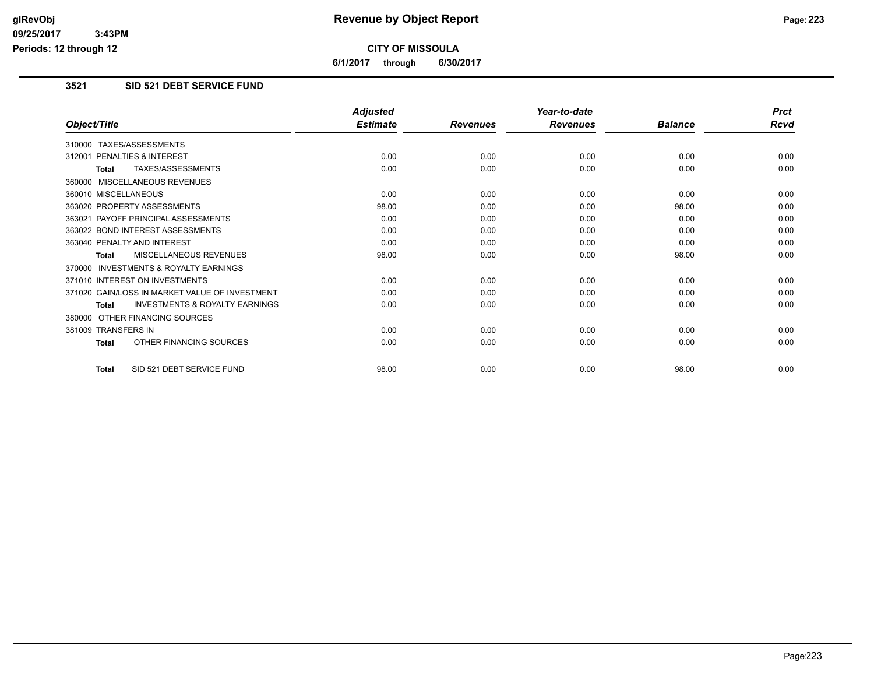**6/1/2017 through 6/30/2017**

## **3521 SID 521 DEBT SERVICE FUND**

|                                                           | <b>Adjusted</b> |                 | Year-to-date    |                | <b>Prct</b> |
|-----------------------------------------------------------|-----------------|-----------------|-----------------|----------------|-------------|
| Object/Title                                              | <b>Estimate</b> | <b>Revenues</b> | <b>Revenues</b> | <b>Balance</b> | Rcvd        |
| 310000 TAXES/ASSESSMENTS                                  |                 |                 |                 |                |             |
| PENALTIES & INTEREST<br>312001                            | 0.00            | 0.00            | 0.00            | 0.00           | 0.00        |
| TAXES/ASSESSMENTS<br><b>Total</b>                         | 0.00            | 0.00            | 0.00            | 0.00           | 0.00        |
| 360000 MISCELLANEOUS REVENUES                             |                 |                 |                 |                |             |
| 360010 MISCELLANEOUS                                      | 0.00            | 0.00            | 0.00            | 0.00           | 0.00        |
| 363020 PROPERTY ASSESSMENTS                               | 98.00           | 0.00            | 0.00            | 98.00          | 0.00        |
| 363021 PAYOFF PRINCIPAL ASSESSMENTS                       | 0.00            | 0.00            | 0.00            | 0.00           | 0.00        |
| 363022 BOND INTEREST ASSESSMENTS                          | 0.00            | 0.00            | 0.00            | 0.00           | 0.00        |
| 363040 PENALTY AND INTEREST                               | 0.00            | 0.00            | 0.00            | 0.00           | 0.00        |
| MISCELLANEOUS REVENUES<br><b>Total</b>                    | 98.00           | 0.00            | 0.00            | 98.00          | 0.00        |
| 370000 INVESTMENTS & ROYALTY EARNINGS                     |                 |                 |                 |                |             |
| 371010 INTEREST ON INVESTMENTS                            | 0.00            | 0.00            | 0.00            | 0.00           | 0.00        |
| 371020 GAIN/LOSS IN MARKET VALUE OF INVESTMENT            | 0.00            | 0.00            | 0.00            | 0.00           | 0.00        |
| <b>INVESTMENTS &amp; ROYALTY EARNINGS</b><br><b>Total</b> | 0.00            | 0.00            | 0.00            | 0.00           | 0.00        |
| 380000 OTHER FINANCING SOURCES                            |                 |                 |                 |                |             |
| 381009 TRANSFERS IN                                       | 0.00            | 0.00            | 0.00            | 0.00           | 0.00        |
| OTHER FINANCING SOURCES<br><b>Total</b>                   | 0.00            | 0.00            | 0.00            | 0.00           | 0.00        |
| SID 521 DEBT SERVICE FUND<br><b>Total</b>                 | 98.00           | 0.00            | 0.00            | 98.00          | 0.00        |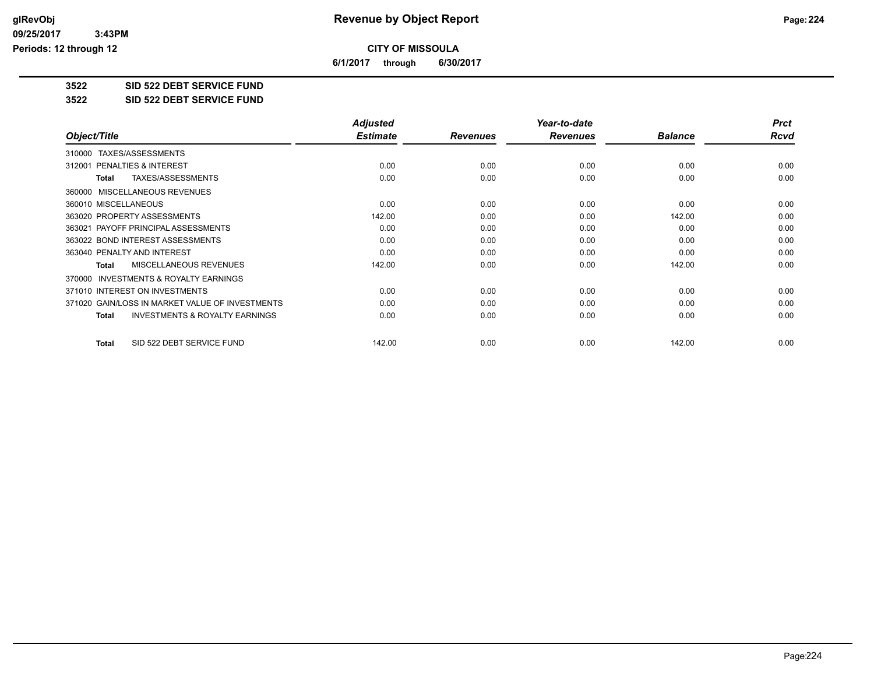**6/1/2017 through 6/30/2017**

**3522 SID 522 DEBT SERVICE FUND**

**3522 SID 522 DEBT SERVICE FUND**

|                                                    | <b>Adjusted</b> |                 | Year-to-date    |                | <b>Prct</b> |
|----------------------------------------------------|-----------------|-----------------|-----------------|----------------|-------------|
| Object/Title                                       | <b>Estimate</b> | <b>Revenues</b> | <b>Revenues</b> | <b>Balance</b> | Rcvd        |
| 310000 TAXES/ASSESSMENTS                           |                 |                 |                 |                |             |
| PENALTIES & INTEREST<br>312001                     | 0.00            | 0.00            | 0.00            | 0.00           | 0.00        |
| TAXES/ASSESSMENTS<br>Total                         | 0.00            | 0.00            | 0.00            | 0.00           | 0.00        |
| 360000 MISCELLANEOUS REVENUES                      |                 |                 |                 |                |             |
| 360010 MISCELLANEOUS                               | 0.00            | 0.00            | 0.00            | 0.00           | 0.00        |
| 363020 PROPERTY ASSESSMENTS                        | 142.00          | 0.00            | 0.00            | 142.00         | 0.00        |
| 363021 PAYOFF PRINCIPAL ASSESSMENTS                | 0.00            | 0.00            | 0.00            | 0.00           | 0.00        |
| 363022 BOND INTEREST ASSESSMENTS                   | 0.00            | 0.00            | 0.00            | 0.00           | 0.00        |
| 363040 PENALTY AND INTEREST                        | 0.00            | 0.00            | 0.00            | 0.00           | 0.00        |
| <b>MISCELLANEOUS REVENUES</b><br>Total             | 142.00          | 0.00            | 0.00            | 142.00         | 0.00        |
| 370000 INVESTMENTS & ROYALTY EARNINGS              |                 |                 |                 |                |             |
| 371010 INTEREST ON INVESTMENTS                     | 0.00            | 0.00            | 0.00            | 0.00           | 0.00        |
| 371020 GAIN/LOSS IN MARKET VALUE OF INVESTMENTS    | 0.00            | 0.00            | 0.00            | 0.00           | 0.00        |
| <b>INVESTMENTS &amp; ROYALTY EARNINGS</b><br>Total | 0.00            | 0.00            | 0.00            | 0.00           | 0.00        |
| SID 522 DEBT SERVICE FUND<br>Total                 | 142.00          | 0.00            | 0.00            | 142.00         | 0.00        |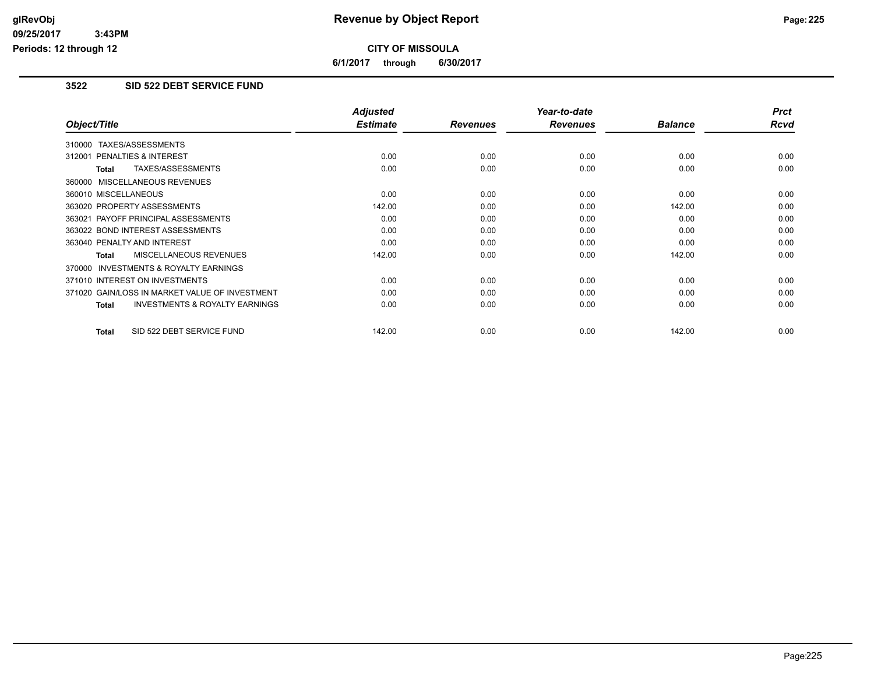**6/1/2017 through 6/30/2017**

## **3522 SID 522 DEBT SERVICE FUND**

|                                                           | <b>Adjusted</b> |                 | Year-to-date    |                | <b>Prct</b> |
|-----------------------------------------------------------|-----------------|-----------------|-----------------|----------------|-------------|
| Object/Title                                              | <b>Estimate</b> | <b>Revenues</b> | <b>Revenues</b> | <b>Balance</b> | Rcvd        |
| TAXES/ASSESSMENTS<br>310000                               |                 |                 |                 |                |             |
| 312001 PENALTIES & INTEREST                               | 0.00            | 0.00            | 0.00            | 0.00           | 0.00        |
| TAXES/ASSESSMENTS<br><b>Total</b>                         | 0.00            | 0.00            | 0.00            | 0.00           | 0.00        |
| 360000 MISCELLANEOUS REVENUES                             |                 |                 |                 |                |             |
| 360010 MISCELLANEOUS                                      | 0.00            | 0.00            | 0.00            | 0.00           | 0.00        |
| 363020 PROPERTY ASSESSMENTS                               | 142.00          | 0.00            | 0.00            | 142.00         | 0.00        |
| 363021 PAYOFF PRINCIPAL ASSESSMENTS                       | 0.00            | 0.00            | 0.00            | 0.00           | 0.00        |
| 363022 BOND INTEREST ASSESSMENTS                          | 0.00            | 0.00            | 0.00            | 0.00           | 0.00        |
| 363040 PENALTY AND INTEREST                               | 0.00            | 0.00            | 0.00            | 0.00           | 0.00        |
| <b>MISCELLANEOUS REVENUES</b><br>Total                    | 142.00          | 0.00            | 0.00            | 142.00         | 0.00        |
| 370000 INVESTMENTS & ROYALTY EARNINGS                     |                 |                 |                 |                |             |
| 371010 INTEREST ON INVESTMENTS                            | 0.00            | 0.00            | 0.00            | 0.00           | 0.00        |
| 371020 GAIN/LOSS IN MARKET VALUE OF INVESTMENT            | 0.00            | 0.00            | 0.00            | 0.00           | 0.00        |
| <b>INVESTMENTS &amp; ROYALTY EARNINGS</b><br><b>Total</b> | 0.00            | 0.00            | 0.00            | 0.00           | 0.00        |
| SID 522 DEBT SERVICE FUND<br><b>Total</b>                 | 142.00          | 0.00            | 0.00            | 142.00         | 0.00        |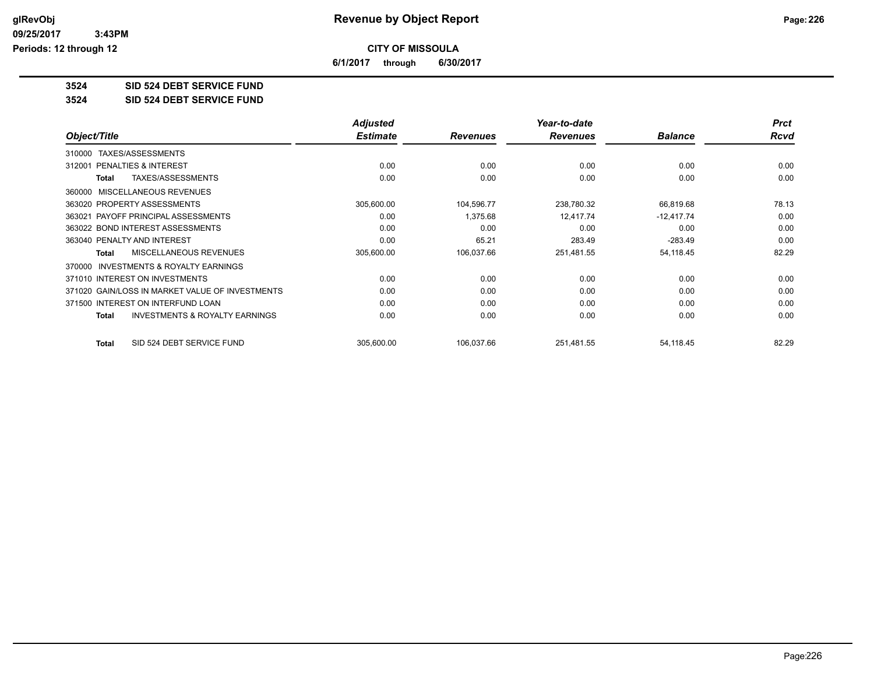**6/1/2017 through 6/30/2017**

**3524 SID 524 DEBT SERVICE FUND**

**3524 SID 524 DEBT SERVICE FUND**

|                                                    | <b>Adjusted</b> |                 | Year-to-date    |                | <b>Prct</b> |
|----------------------------------------------------|-----------------|-----------------|-----------------|----------------|-------------|
| Object/Title                                       | <b>Estimate</b> | <b>Revenues</b> | <b>Revenues</b> | <b>Balance</b> | Rcvd        |
| 310000 TAXES/ASSESSMENTS                           |                 |                 |                 |                |             |
| PENALTIES & INTEREST<br>312001                     | 0.00            | 0.00            | 0.00            | 0.00           | 0.00        |
| TAXES/ASSESSMENTS<br>Total                         | 0.00            | 0.00            | 0.00            | 0.00           | 0.00        |
| MISCELLANEOUS REVENUES<br>360000                   |                 |                 |                 |                |             |
| 363020 PROPERTY ASSESSMENTS                        | 305,600.00      | 104,596.77      | 238,780.32      | 66,819.68      | 78.13       |
| 363021 PAYOFF PRINCIPAL ASSESSMENTS                | 0.00            | 1,375.68        | 12,417.74       | $-12,417.74$   | 0.00        |
| 363022 BOND INTEREST ASSESSMENTS                   | 0.00            | 0.00            | 0.00            | 0.00           | 0.00        |
| 363040 PENALTY AND INTEREST                        | 0.00            | 65.21           | 283.49          | $-283.49$      | 0.00        |
| MISCELLANEOUS REVENUES<br>Total                    | 305,600.00      | 106,037.66      | 251,481.55      | 54,118.45      | 82.29       |
| INVESTMENTS & ROYALTY EARNINGS<br>370000           |                 |                 |                 |                |             |
| 371010 INTEREST ON INVESTMENTS                     | 0.00            | 0.00            | 0.00            | 0.00           | 0.00        |
| 371020 GAIN/LOSS IN MARKET VALUE OF INVESTMENTS    | 0.00            | 0.00            | 0.00            | 0.00           | 0.00        |
| 371500 INTEREST ON INTERFUND LOAN                  | 0.00            | 0.00            | 0.00            | 0.00           | 0.00        |
| <b>INVESTMENTS &amp; ROYALTY EARNINGS</b><br>Total | 0.00            | 0.00            | 0.00            | 0.00           | 0.00        |
| SID 524 DEBT SERVICE FUND<br><b>Total</b>          | 305,600.00      | 106,037.66      | 251,481.55      | 54,118.45      | 82.29       |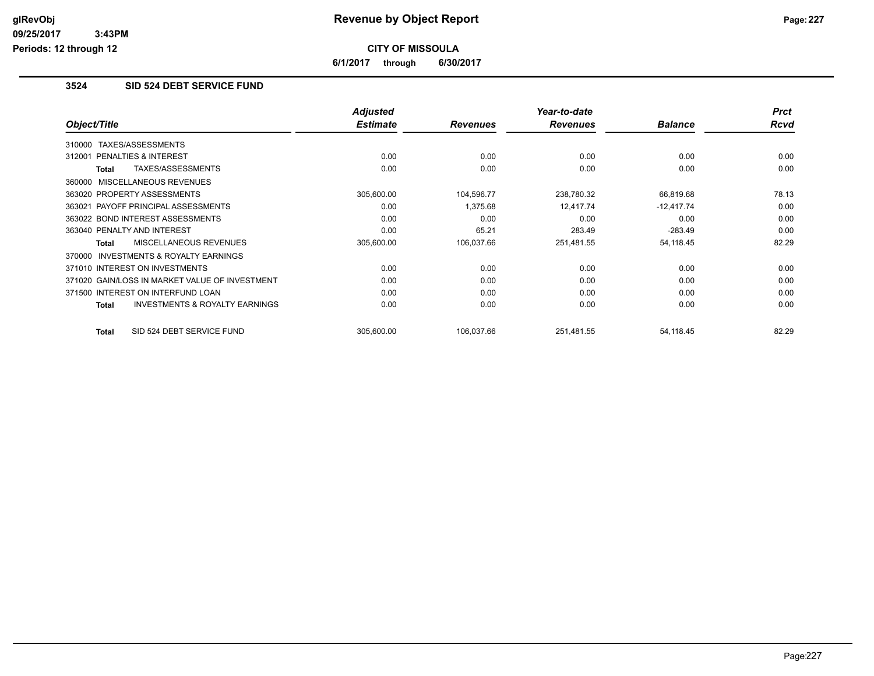**6/1/2017 through 6/30/2017**

### **3524 SID 524 DEBT SERVICE FUND**

|                                                    | <b>Adjusted</b> |                 | Year-to-date    |                | <b>Prct</b> |
|----------------------------------------------------|-----------------|-----------------|-----------------|----------------|-------------|
| Object/Title                                       | <b>Estimate</b> | <b>Revenues</b> | <b>Revenues</b> | <b>Balance</b> | Rcvd        |
| TAXES/ASSESSMENTS<br>310000                        |                 |                 |                 |                |             |
| 312001 PENALTIES & INTEREST                        | 0.00            | 0.00            | 0.00            | 0.00           | 0.00        |
| TAXES/ASSESSMENTS<br><b>Total</b>                  | 0.00            | 0.00            | 0.00            | 0.00           | 0.00        |
| MISCELLANEOUS REVENUES<br>360000                   |                 |                 |                 |                |             |
| 363020 PROPERTY ASSESSMENTS                        | 305,600.00      | 104,596.77      | 238,780.32      | 66,819.68      | 78.13       |
| 363021 PAYOFF PRINCIPAL ASSESSMENTS                | 0.00            | 1.375.68        | 12.417.74       | $-12,417.74$   | 0.00        |
| 363022 BOND INTEREST ASSESSMENTS                   | 0.00            | 0.00            | 0.00            | 0.00           | 0.00        |
| 363040 PENALTY AND INTEREST                        | 0.00            | 65.21           | 283.49          | $-283.49$      | 0.00        |
| <b>MISCELLANEOUS REVENUES</b><br><b>Total</b>      | 305,600.00      | 106,037.66      | 251,481.55      | 54,118.45      | 82.29       |
| INVESTMENTS & ROYALTY EARNINGS<br>370000           |                 |                 |                 |                |             |
| 371010 INTEREST ON INVESTMENTS                     | 0.00            | 0.00            | 0.00            | 0.00           | 0.00        |
| 371020 GAIN/LOSS IN MARKET VALUE OF INVESTMENT     | 0.00            | 0.00            | 0.00            | 0.00           | 0.00        |
| 371500 INTEREST ON INTERFUND LOAN                  | 0.00            | 0.00            | 0.00            | 0.00           | 0.00        |
| <b>INVESTMENTS &amp; ROYALTY EARNINGS</b><br>Total | 0.00            | 0.00            | 0.00            | 0.00           | 0.00        |
| SID 524 DEBT SERVICE FUND<br><b>Total</b>          | 305,600.00      | 106,037.66      | 251,481.55      | 54,118.45      | 82.29       |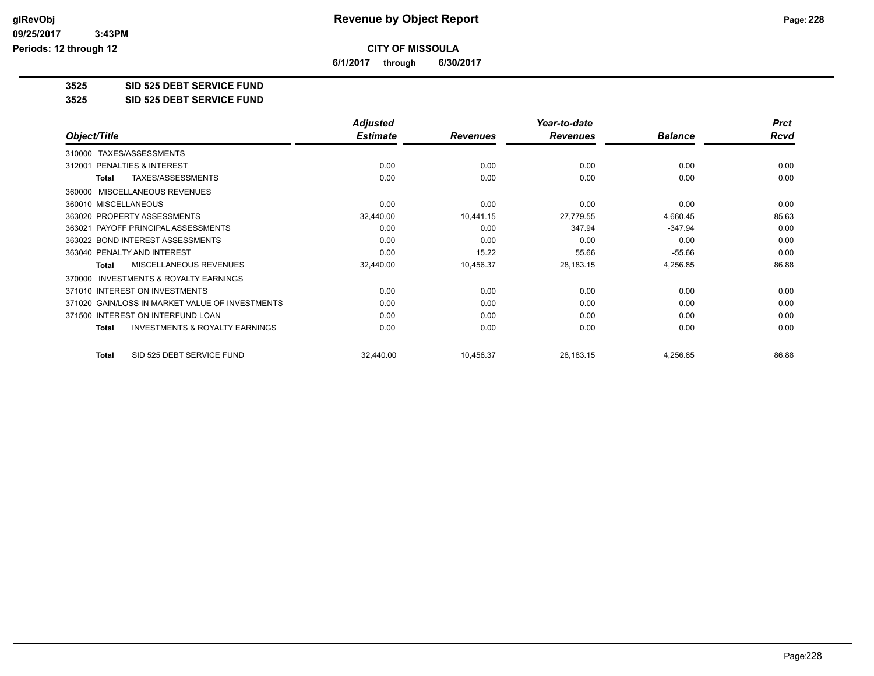**6/1/2017 through 6/30/2017**

**3525 SID 525 DEBT SERVICE FUND**

**3525 SID 525 DEBT SERVICE FUND**

|                                                           | <b>Adjusted</b> |                 | Year-to-date    |                | <b>Prct</b> |
|-----------------------------------------------------------|-----------------|-----------------|-----------------|----------------|-------------|
| Object/Title                                              | <b>Estimate</b> | <b>Revenues</b> | <b>Revenues</b> | <b>Balance</b> | <b>Rcvd</b> |
| TAXES/ASSESSMENTS<br>310000                               |                 |                 |                 |                |             |
| <b>PENALTIES &amp; INTEREST</b><br>312001                 | 0.00            | 0.00            | 0.00            | 0.00           | 0.00        |
| TAXES/ASSESSMENTS<br><b>Total</b>                         | 0.00            | 0.00            | 0.00            | 0.00           | 0.00        |
| MISCELLANEOUS REVENUES<br>360000                          |                 |                 |                 |                |             |
| 360010 MISCELLANEOUS                                      | 0.00            | 0.00            | 0.00            | 0.00           | 0.00        |
| 363020 PROPERTY ASSESSMENTS                               | 32,440.00       | 10,441.15       | 27,779.55       | 4,660.45       | 85.63       |
| 363021 PAYOFF PRINCIPAL ASSESSMENTS                       | 0.00            | 0.00            | 347.94          | $-347.94$      | 0.00        |
| 363022 BOND INTEREST ASSESSMENTS                          | 0.00            | 0.00            | 0.00            | 0.00           | 0.00        |
| 363040 PENALTY AND INTEREST                               | 0.00            | 15.22           | 55.66           | $-55.66$       | 0.00        |
| <b>MISCELLANEOUS REVENUES</b><br><b>Total</b>             | 32,440.00       | 10,456.37       | 28,183.15       | 4,256.85       | 86.88       |
| <b>INVESTMENTS &amp; ROYALTY EARNINGS</b><br>370000       |                 |                 |                 |                |             |
| 371010 INTEREST ON INVESTMENTS                            | 0.00            | 0.00            | 0.00            | 0.00           | 0.00        |
| 371020 GAIN/LOSS IN MARKET VALUE OF INVESTMENTS           | 0.00            | 0.00            | 0.00            | 0.00           | 0.00        |
| 371500 INTEREST ON INTERFUND LOAN                         | 0.00            | 0.00            | 0.00            | 0.00           | 0.00        |
| <b>INVESTMENTS &amp; ROYALTY EARNINGS</b><br><b>Total</b> | 0.00            | 0.00            | 0.00            | 0.00           | 0.00        |
| SID 525 DEBT SERVICE FUND<br><b>Total</b>                 | 32,440.00       | 10,456.37       | 28,183.15       | 4,256.85       | 86.88       |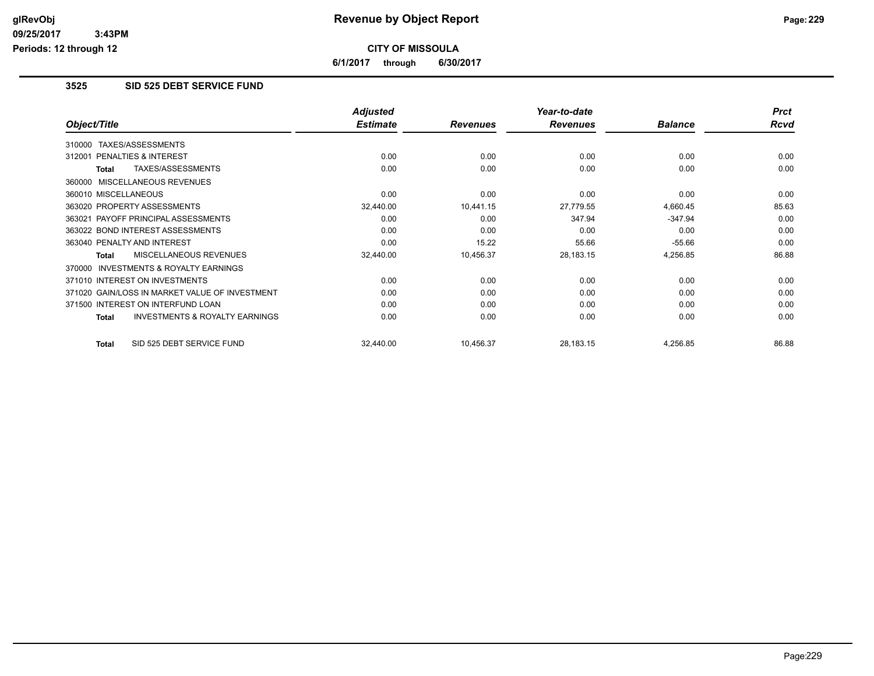**6/1/2017 through 6/30/2017**

## **3525 SID 525 DEBT SERVICE FUND**

|                                                           | <b>Adjusted</b> |                 | Year-to-date    |                | <b>Prct</b> |
|-----------------------------------------------------------|-----------------|-----------------|-----------------|----------------|-------------|
| Object/Title                                              | <b>Estimate</b> | <b>Revenues</b> | <b>Revenues</b> | <b>Balance</b> | <b>Rcvd</b> |
| TAXES/ASSESSMENTS<br>310000                               |                 |                 |                 |                |             |
| PENALTIES & INTEREST<br>312001                            | 0.00            | 0.00            | 0.00            | 0.00           | 0.00        |
| TAXES/ASSESSMENTS<br><b>Total</b>                         | 0.00            | 0.00            | 0.00            | 0.00           | 0.00        |
| 360000 MISCELLANEOUS REVENUES                             |                 |                 |                 |                |             |
| 360010 MISCELLANEOUS                                      | 0.00            | 0.00            | 0.00            | 0.00           | 0.00        |
| 363020 PROPERTY ASSESSMENTS                               | 32,440.00       | 10,441.15       | 27,779.55       | 4,660.45       | 85.63       |
| 363021 PAYOFF PRINCIPAL ASSESSMENTS                       | 0.00            | 0.00            | 347.94          | $-347.94$      | 0.00        |
| 363022 BOND INTEREST ASSESSMENTS                          | 0.00            | 0.00            | 0.00            | 0.00           | 0.00        |
| 363040 PENALTY AND INTEREST                               | 0.00            | 15.22           | 55.66           | $-55.66$       | 0.00        |
| <b>MISCELLANEOUS REVENUES</b><br><b>Total</b>             | 32,440.00       | 10,456.37       | 28,183.15       | 4,256.85       | 86.88       |
| <b>INVESTMENTS &amp; ROYALTY EARNINGS</b><br>370000       |                 |                 |                 |                |             |
| 371010 INTEREST ON INVESTMENTS                            | 0.00            | 0.00            | 0.00            | 0.00           | 0.00        |
| 371020 GAIN/LOSS IN MARKET VALUE OF INVESTMENT            | 0.00            | 0.00            | 0.00            | 0.00           | 0.00        |
| 371500 INTEREST ON INTERFUND LOAN                         | 0.00            | 0.00            | 0.00            | 0.00           | 0.00        |
| <b>INVESTMENTS &amp; ROYALTY EARNINGS</b><br><b>Total</b> | 0.00            | 0.00            | 0.00            | 0.00           | 0.00        |
| SID 525 DEBT SERVICE FUND<br><b>Total</b>                 | 32,440.00       | 10,456.37       | 28,183.15       | 4,256.85       | 86.88       |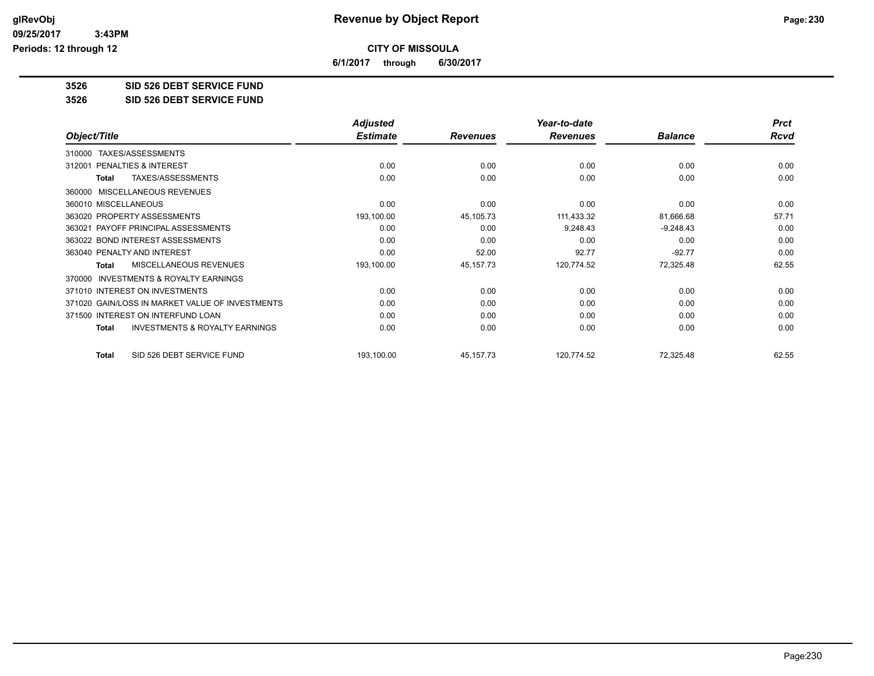**6/1/2017 through 6/30/2017**

**3526 SID 526 DEBT SERVICE FUND**

**3526 SID 526 DEBT SERVICE FUND**

|                                                           | <b>Adjusted</b> |                 | Year-to-date    |                | <b>Prct</b> |
|-----------------------------------------------------------|-----------------|-----------------|-----------------|----------------|-------------|
| Object/Title                                              | <b>Estimate</b> | <b>Revenues</b> | <b>Revenues</b> | <b>Balance</b> | <b>Rcvd</b> |
| TAXES/ASSESSMENTS<br>310000                               |                 |                 |                 |                |             |
| <b>PENALTIES &amp; INTEREST</b><br>312001                 | 0.00            | 0.00            | 0.00            | 0.00           | 0.00        |
| TAXES/ASSESSMENTS<br>Total                                | 0.00            | 0.00            | 0.00            | 0.00           | 0.00        |
| MISCELLANEOUS REVENUES<br>360000                          |                 |                 |                 |                |             |
| 360010 MISCELLANEOUS                                      | 0.00            | 0.00            | 0.00            | 0.00           | 0.00        |
| 363020 PROPERTY ASSESSMENTS                               | 193,100.00      | 45,105.73       | 111,433.32      | 81,666.68      | 57.71       |
| 363021 PAYOFF PRINCIPAL ASSESSMENTS                       | 0.00            | 0.00            | 9,248.43        | $-9,248.43$    | 0.00        |
| 363022 BOND INTEREST ASSESSMENTS                          | 0.00            | 0.00            | 0.00            | 0.00           | 0.00        |
| 363040 PENALTY AND INTEREST                               | 0.00            | 52.00           | 92.77           | $-92.77$       | 0.00        |
| <b>MISCELLANEOUS REVENUES</b><br><b>Total</b>             | 193,100.00      | 45, 157. 73     | 120,774.52      | 72,325.48      | 62.55       |
| <b>INVESTMENTS &amp; ROYALTY EARNINGS</b><br>370000       |                 |                 |                 |                |             |
| 371010 INTEREST ON INVESTMENTS                            | 0.00            | 0.00            | 0.00            | 0.00           | 0.00        |
| 371020 GAIN/LOSS IN MARKET VALUE OF INVESTMENTS           | 0.00            | 0.00            | 0.00            | 0.00           | 0.00        |
| 371500 INTEREST ON INTERFUND LOAN                         | 0.00            | 0.00            | 0.00            | 0.00           | 0.00        |
| <b>INVESTMENTS &amp; ROYALTY EARNINGS</b><br><b>Total</b> | 0.00            | 0.00            | 0.00            | 0.00           | 0.00        |
| SID 526 DEBT SERVICE FUND<br><b>Total</b>                 | 193,100.00      | 45,157.73       | 120,774.52      | 72,325.48      | 62.55       |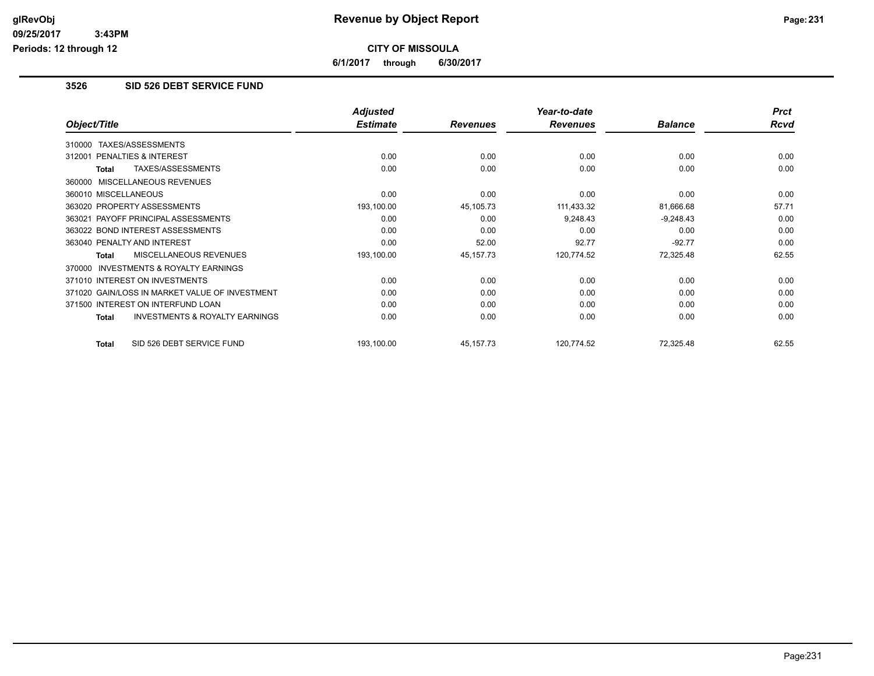**6/1/2017 through 6/30/2017**

### **3526 SID 526 DEBT SERVICE FUND**

|                                                           | <b>Adjusted</b> |                 | Year-to-date    |                | <b>Prct</b> |
|-----------------------------------------------------------|-----------------|-----------------|-----------------|----------------|-------------|
| Object/Title                                              | <b>Estimate</b> | <b>Revenues</b> | <b>Revenues</b> | <b>Balance</b> | Rcvd        |
| TAXES/ASSESSMENTS<br>310000                               |                 |                 |                 |                |             |
| <b>PENALTIES &amp; INTEREST</b><br>312001                 | 0.00            | 0.00            | 0.00            | 0.00           | 0.00        |
| TAXES/ASSESSMENTS<br><b>Total</b>                         | 0.00            | 0.00            | 0.00            | 0.00           | 0.00        |
| 360000 MISCELLANEOUS REVENUES                             |                 |                 |                 |                |             |
| 360010 MISCELLANEOUS                                      | 0.00            | 0.00            | 0.00            | 0.00           | 0.00        |
| 363020 PROPERTY ASSESSMENTS                               | 193,100.00      | 45,105.73       | 111,433.32      | 81,666.68      | 57.71       |
| 363021 PAYOFF PRINCIPAL ASSESSMENTS                       | 0.00            | 0.00            | 9,248.43        | $-9,248.43$    | 0.00        |
| 363022 BOND INTEREST ASSESSMENTS                          | 0.00            | 0.00            | 0.00            | 0.00           | 0.00        |
| 363040 PENALTY AND INTEREST                               | 0.00            | 52.00           | 92.77           | $-92.77$       | 0.00        |
| <b>MISCELLANEOUS REVENUES</b><br><b>Total</b>             | 193,100.00      | 45,157.73       | 120,774.52      | 72,325.48      | 62.55       |
| <b>INVESTMENTS &amp; ROYALTY EARNINGS</b><br>370000       |                 |                 |                 |                |             |
| 371010 INTEREST ON INVESTMENTS                            | 0.00            | 0.00            | 0.00            | 0.00           | 0.00        |
| 371020 GAIN/LOSS IN MARKET VALUE OF INVESTMENT            | 0.00            | 0.00            | 0.00            | 0.00           | 0.00        |
| 371500 INTEREST ON INTERFUND LOAN                         | 0.00            | 0.00            | 0.00            | 0.00           | 0.00        |
| <b>INVESTMENTS &amp; ROYALTY EARNINGS</b><br><b>Total</b> | 0.00            | 0.00            | 0.00            | 0.00           | 0.00        |
| SID 526 DEBT SERVICE FUND<br><b>Total</b>                 | 193,100.00      | 45,157.73       | 120,774.52      | 72,325.48      | 62.55       |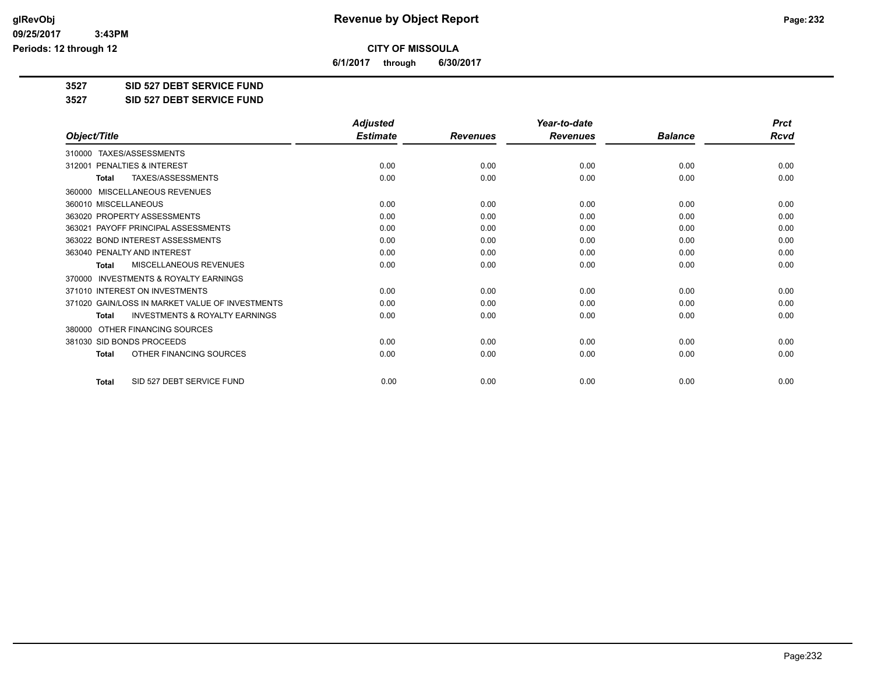**6/1/2017 through 6/30/2017**

**3527 SID 527 DEBT SERVICE FUND**

**3527 SID 527 DEBT SERVICE FUND**

|                                                           | <b>Adjusted</b> |                 | Year-to-date    |                | <b>Prct</b> |
|-----------------------------------------------------------|-----------------|-----------------|-----------------|----------------|-------------|
| Object/Title                                              | <b>Estimate</b> | <b>Revenues</b> | <b>Revenues</b> | <b>Balance</b> | <b>Rcvd</b> |
| TAXES/ASSESSMENTS<br>310000                               |                 |                 |                 |                |             |
| PENALTIES & INTEREST<br>312001                            | 0.00            | 0.00            | 0.00            | 0.00           | 0.00        |
| TAXES/ASSESSMENTS<br>Total                                | 0.00            | 0.00            | 0.00            | 0.00           | 0.00        |
| MISCELLANEOUS REVENUES<br>360000                          |                 |                 |                 |                |             |
| 360010 MISCELLANEOUS                                      | 0.00            | 0.00            | 0.00            | 0.00           | 0.00        |
| 363020 PROPERTY ASSESSMENTS                               | 0.00            | 0.00            | 0.00            | 0.00           | 0.00        |
| 363021 PAYOFF PRINCIPAL ASSESSMENTS                       | 0.00            | 0.00            | 0.00            | 0.00           | 0.00        |
| 363022 BOND INTEREST ASSESSMENTS                          | 0.00            | 0.00            | 0.00            | 0.00           | 0.00        |
| 363040 PENALTY AND INTEREST                               | 0.00            | 0.00            | 0.00            | 0.00           | 0.00        |
| <b>MISCELLANEOUS REVENUES</b><br>Total                    | 0.00            | 0.00            | 0.00            | 0.00           | 0.00        |
| <b>INVESTMENTS &amp; ROYALTY EARNINGS</b><br>370000       |                 |                 |                 |                |             |
| 371010 INTEREST ON INVESTMENTS                            | 0.00            | 0.00            | 0.00            | 0.00           | 0.00        |
| 371020 GAIN/LOSS IN MARKET VALUE OF INVESTMENTS           | 0.00            | 0.00            | 0.00            | 0.00           | 0.00        |
| <b>INVESTMENTS &amp; ROYALTY EARNINGS</b><br><b>Total</b> | 0.00            | 0.00            | 0.00            | 0.00           | 0.00        |
| OTHER FINANCING SOURCES<br>380000                         |                 |                 |                 |                |             |
| 381030 SID BONDS PROCEEDS                                 | 0.00            | 0.00            | 0.00            | 0.00           | 0.00        |
| OTHER FINANCING SOURCES<br><b>Total</b>                   | 0.00            | 0.00            | 0.00            | 0.00           | 0.00        |
| SID 527 DEBT SERVICE FUND<br><b>Total</b>                 | 0.00            | 0.00            | 0.00            | 0.00           | 0.00        |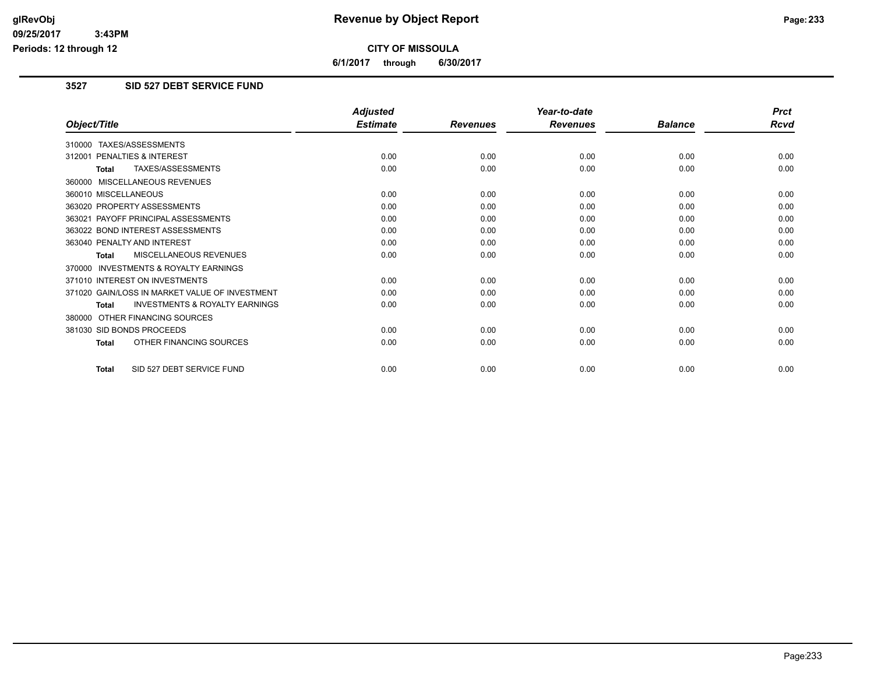**6/1/2017 through 6/30/2017**

## **3527 SID 527 DEBT SERVICE FUND**

|                                                           | <b>Adjusted</b> |                 | Year-to-date    |                | <b>Prct</b> |
|-----------------------------------------------------------|-----------------|-----------------|-----------------|----------------|-------------|
| Object/Title                                              | <b>Estimate</b> | <b>Revenues</b> | <b>Revenues</b> | <b>Balance</b> | <b>Rcvd</b> |
| 310000 TAXES/ASSESSMENTS                                  |                 |                 |                 |                |             |
| PENALTIES & INTEREST<br>312001                            | 0.00            | 0.00            | 0.00            | 0.00           | 0.00        |
| TAXES/ASSESSMENTS<br>Total                                | 0.00            | 0.00            | 0.00            | 0.00           | 0.00        |
| 360000 MISCELLANEOUS REVENUES                             |                 |                 |                 |                |             |
| 360010 MISCELLANEOUS                                      | 0.00            | 0.00            | 0.00            | 0.00           | 0.00        |
| 363020 PROPERTY ASSESSMENTS                               | 0.00            | 0.00            | 0.00            | 0.00           | 0.00        |
| 363021 PAYOFF PRINCIPAL ASSESSMENTS                       | 0.00            | 0.00            | 0.00            | 0.00           | 0.00        |
| 363022 BOND INTEREST ASSESSMENTS                          | 0.00            | 0.00            | 0.00            | 0.00           | 0.00        |
| 363040 PENALTY AND INTEREST                               | 0.00            | 0.00            | 0.00            | 0.00           | 0.00        |
| <b>MISCELLANEOUS REVENUES</b><br><b>Total</b>             | 0.00            | 0.00            | 0.00            | 0.00           | 0.00        |
| 370000 INVESTMENTS & ROYALTY EARNINGS                     |                 |                 |                 |                |             |
| 371010 INTEREST ON INVESTMENTS                            | 0.00            | 0.00            | 0.00            | 0.00           | 0.00        |
| 371020 GAIN/LOSS IN MARKET VALUE OF INVESTMENT            | 0.00            | 0.00            | 0.00            | 0.00           | 0.00        |
| <b>INVESTMENTS &amp; ROYALTY EARNINGS</b><br><b>Total</b> | 0.00            | 0.00            | 0.00            | 0.00           | 0.00        |
| 380000 OTHER FINANCING SOURCES                            |                 |                 |                 |                |             |
| 381030 SID BONDS PROCEEDS                                 | 0.00            | 0.00            | 0.00            | 0.00           | 0.00        |
| OTHER FINANCING SOURCES<br><b>Total</b>                   | 0.00            | 0.00            | 0.00            | 0.00           | 0.00        |
| SID 527 DEBT SERVICE FUND<br><b>Total</b>                 | 0.00            | 0.00            | 0.00            | 0.00           | 0.00        |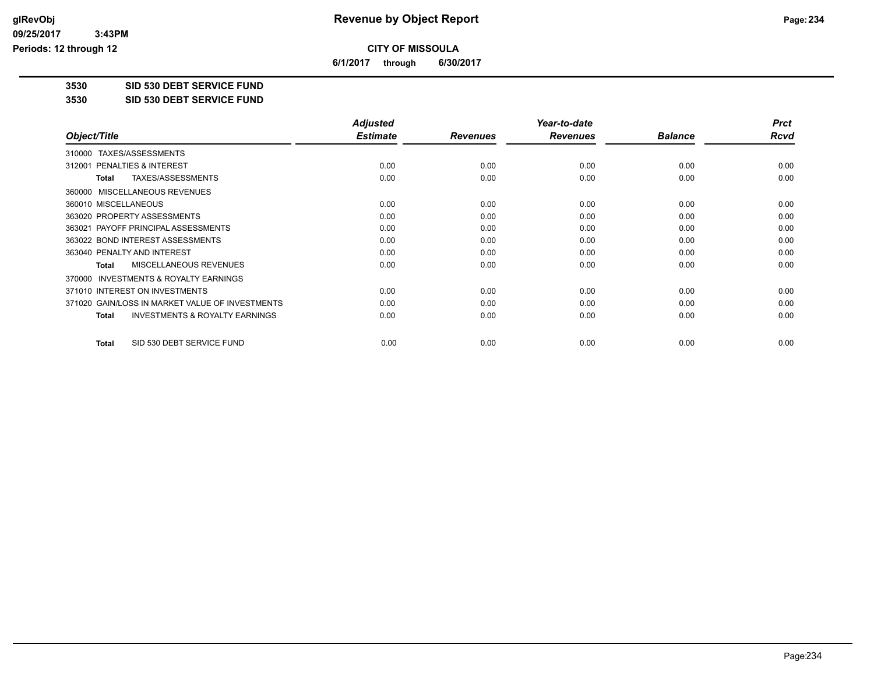**6/1/2017 through 6/30/2017**

**3530 SID 530 DEBT SERVICE FUND**

**3530 SID 530 DEBT SERVICE FUND**

|                                                           | <b>Adjusted</b> |                 | Year-to-date    |                | <b>Prct</b> |
|-----------------------------------------------------------|-----------------|-----------------|-----------------|----------------|-------------|
| Object/Title                                              | <b>Estimate</b> | <b>Revenues</b> | <b>Revenues</b> | <b>Balance</b> | Rcvd        |
| TAXES/ASSESSMENTS<br>310000                               |                 |                 |                 |                |             |
| 312001 PENALTIES & INTEREST                               | 0.00            | 0.00            | 0.00            | 0.00           | 0.00        |
| TAXES/ASSESSMENTS<br><b>Total</b>                         | 0.00            | 0.00            | 0.00            | 0.00           | 0.00        |
| MISCELLANEOUS REVENUES<br>360000                          |                 |                 |                 |                |             |
| 360010 MISCELLANEOUS                                      | 0.00            | 0.00            | 0.00            | 0.00           | 0.00        |
| 363020 PROPERTY ASSESSMENTS                               | 0.00            | 0.00            | 0.00            | 0.00           | 0.00        |
| 363021 PAYOFF PRINCIPAL ASSESSMENTS                       | 0.00            | 0.00            | 0.00            | 0.00           | 0.00        |
| 363022 BOND INTEREST ASSESSMENTS                          | 0.00            | 0.00            | 0.00            | 0.00           | 0.00        |
| 363040 PENALTY AND INTEREST                               | 0.00            | 0.00            | 0.00            | 0.00           | 0.00        |
| <b>MISCELLANEOUS REVENUES</b><br>Total                    | 0.00            | 0.00            | 0.00            | 0.00           | 0.00        |
| <b>INVESTMENTS &amp; ROYALTY EARNINGS</b><br>370000       |                 |                 |                 |                |             |
| 371010 INTEREST ON INVESTMENTS                            | 0.00            | 0.00            | 0.00            | 0.00           | 0.00        |
| 371020 GAIN/LOSS IN MARKET VALUE OF INVESTMENTS           | 0.00            | 0.00            | 0.00            | 0.00           | 0.00        |
| <b>INVESTMENTS &amp; ROYALTY EARNINGS</b><br><b>Total</b> | 0.00            | 0.00            | 0.00            | 0.00           | 0.00        |
| SID 530 DEBT SERVICE FUND<br><b>Total</b>                 | 0.00            | 0.00            | 0.00            | 0.00           | 0.00        |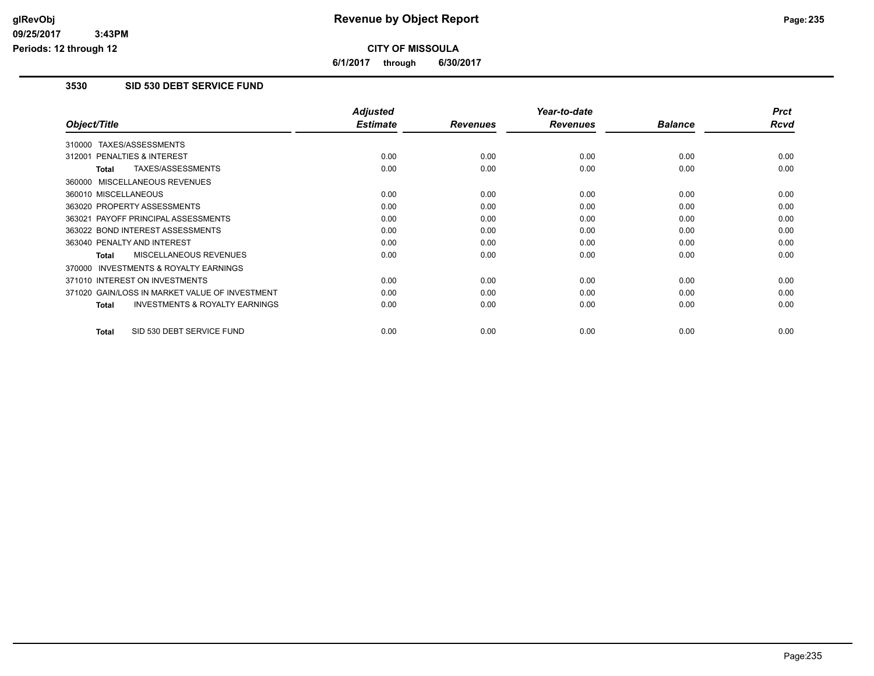**6/1/2017 through 6/30/2017**

### **3530 SID 530 DEBT SERVICE FUND**

|                                                           | <b>Adjusted</b> |                 | Year-to-date    |                | <b>Prct</b> |
|-----------------------------------------------------------|-----------------|-----------------|-----------------|----------------|-------------|
| Object/Title                                              | <b>Estimate</b> | <b>Revenues</b> | <b>Revenues</b> | <b>Balance</b> | Rcvd        |
| 310000 TAXES/ASSESSMENTS                                  |                 |                 |                 |                |             |
| 312001 PENALTIES & INTEREST                               | 0.00            | 0.00            | 0.00            | 0.00           | 0.00        |
| TAXES/ASSESSMENTS<br><b>Total</b>                         | 0.00            | 0.00            | 0.00            | 0.00           | 0.00        |
| 360000 MISCELLANEOUS REVENUES                             |                 |                 |                 |                |             |
| 360010 MISCELLANEOUS                                      | 0.00            | 0.00            | 0.00            | 0.00           | 0.00        |
| 363020 PROPERTY ASSESSMENTS                               | 0.00            | 0.00            | 0.00            | 0.00           | 0.00        |
| 363021 PAYOFF PRINCIPAL ASSESSMENTS                       | 0.00            | 0.00            | 0.00            | 0.00           | 0.00        |
| 363022 BOND INTEREST ASSESSMENTS                          | 0.00            | 0.00            | 0.00            | 0.00           | 0.00        |
| 363040 PENALTY AND INTEREST                               | 0.00            | 0.00            | 0.00            | 0.00           | 0.00        |
| <b>MISCELLANEOUS REVENUES</b><br><b>Total</b>             | 0.00            | 0.00            | 0.00            | 0.00           | 0.00        |
| <b>INVESTMENTS &amp; ROYALTY EARNINGS</b><br>370000       |                 |                 |                 |                |             |
| 371010 INTEREST ON INVESTMENTS                            | 0.00            | 0.00            | 0.00            | 0.00           | 0.00        |
| 371020 GAIN/LOSS IN MARKET VALUE OF INVESTMENT            | 0.00            | 0.00            | 0.00            | 0.00           | 0.00        |
| <b>INVESTMENTS &amp; ROYALTY EARNINGS</b><br><b>Total</b> | 0.00            | 0.00            | 0.00            | 0.00           | 0.00        |
| SID 530 DEBT SERVICE FUND<br><b>Total</b>                 | 0.00            | 0.00            | 0.00            | 0.00           | 0.00        |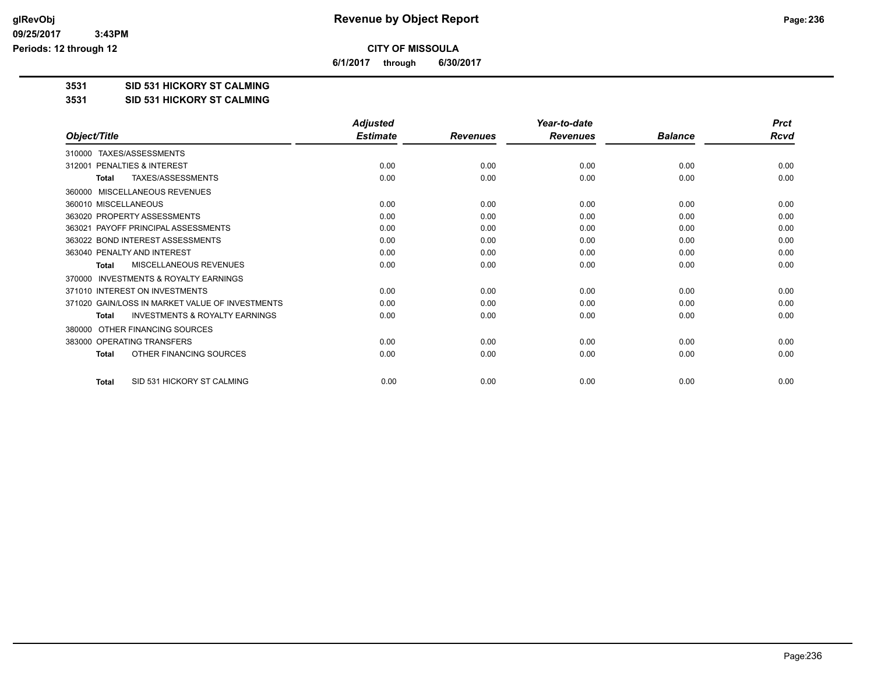**6/1/2017 through 6/30/2017**

**3531 SID 531 HICKORY ST CALMING**

**3531 SID 531 HICKORY ST CALMING**

|                                                           | <b>Adjusted</b> |                 | Year-to-date    |                | <b>Prct</b> |
|-----------------------------------------------------------|-----------------|-----------------|-----------------|----------------|-------------|
| Object/Title                                              | <b>Estimate</b> | <b>Revenues</b> | <b>Revenues</b> | <b>Balance</b> | Rcvd        |
| 310000 TAXES/ASSESSMENTS                                  |                 |                 |                 |                |             |
| 312001 PENALTIES & INTEREST                               | 0.00            | 0.00            | 0.00            | 0.00           | 0.00        |
| TAXES/ASSESSMENTS<br><b>Total</b>                         | 0.00            | 0.00            | 0.00            | 0.00           | 0.00        |
| <b>MISCELLANEOUS REVENUES</b><br>360000                   |                 |                 |                 |                |             |
| 360010 MISCELLANEOUS                                      | 0.00            | 0.00            | 0.00            | 0.00           | 0.00        |
| 363020 PROPERTY ASSESSMENTS                               | 0.00            | 0.00            | 0.00            | 0.00           | 0.00        |
| PAYOFF PRINCIPAL ASSESSMENTS<br>363021                    | 0.00            | 0.00            | 0.00            | 0.00           | 0.00        |
| 363022 BOND INTEREST ASSESSMENTS                          | 0.00            | 0.00            | 0.00            | 0.00           | 0.00        |
| 363040 PENALTY AND INTEREST                               | 0.00            | 0.00            | 0.00            | 0.00           | 0.00        |
| <b>MISCELLANEOUS REVENUES</b><br><b>Total</b>             | 0.00            | 0.00            | 0.00            | 0.00           | 0.00        |
| <b>INVESTMENTS &amp; ROYALTY EARNINGS</b><br>370000       |                 |                 |                 |                |             |
| 371010 INTEREST ON INVESTMENTS                            | 0.00            | 0.00            | 0.00            | 0.00           | 0.00        |
| 371020 GAIN/LOSS IN MARKET VALUE OF INVESTMENTS           | 0.00            | 0.00            | 0.00            | 0.00           | 0.00        |
| <b>INVESTMENTS &amp; ROYALTY EARNINGS</b><br><b>Total</b> | 0.00            | 0.00            | 0.00            | 0.00           | 0.00        |
| OTHER FINANCING SOURCES<br>380000                         |                 |                 |                 |                |             |
| 383000 OPERATING TRANSFERS                                | 0.00            | 0.00            | 0.00            | 0.00           | 0.00        |
| OTHER FINANCING SOURCES<br><b>Total</b>                   | 0.00            | 0.00            | 0.00            | 0.00           | 0.00        |
| SID 531 HICKORY ST CALMING<br><b>Total</b>                | 0.00            | 0.00            | 0.00            | 0.00           | 0.00        |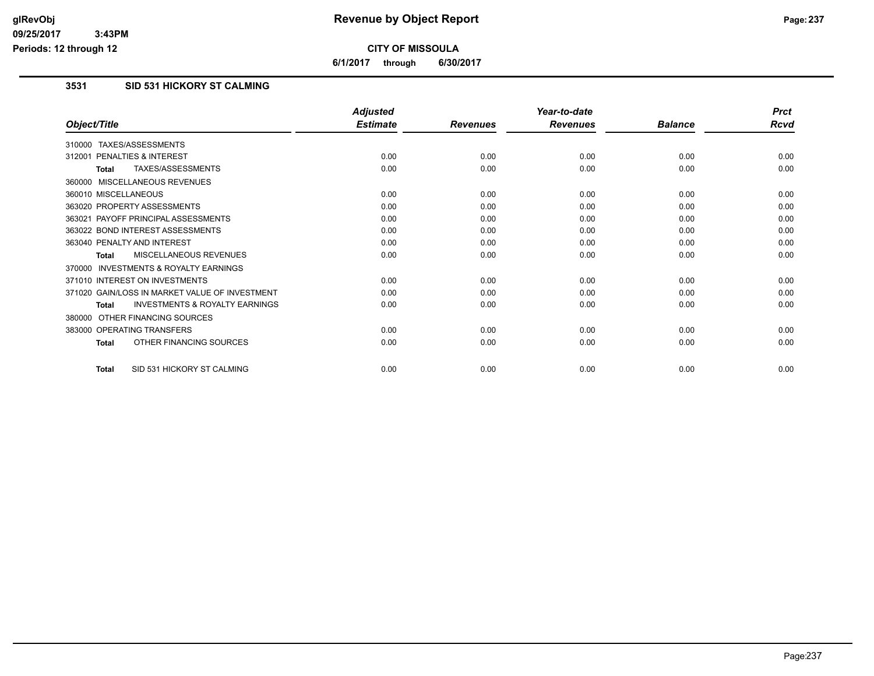**6/1/2017 through 6/30/2017**

## **3531 SID 531 HICKORY ST CALMING**

|                                                           | <b>Adjusted</b> |                 | Year-to-date    |                | <b>Prct</b> |
|-----------------------------------------------------------|-----------------|-----------------|-----------------|----------------|-------------|
| Object/Title                                              | <b>Estimate</b> | <b>Revenues</b> | <b>Revenues</b> | <b>Balance</b> | Rcvd        |
| 310000 TAXES/ASSESSMENTS                                  |                 |                 |                 |                |             |
| PENALTIES & INTEREST<br>312001                            | 0.00            | 0.00            | 0.00            | 0.00           | 0.00        |
| TAXES/ASSESSMENTS<br><b>Total</b>                         | 0.00            | 0.00            | 0.00            | 0.00           | 0.00        |
| 360000 MISCELLANEOUS REVENUES                             |                 |                 |                 |                |             |
| 360010 MISCELLANEOUS                                      | 0.00            | 0.00            | 0.00            | 0.00           | 0.00        |
| 363020 PROPERTY ASSESSMENTS                               | 0.00            | 0.00            | 0.00            | 0.00           | 0.00        |
| 363021 PAYOFF PRINCIPAL ASSESSMENTS                       | 0.00            | 0.00            | 0.00            | 0.00           | 0.00        |
| 363022 BOND INTEREST ASSESSMENTS                          | 0.00            | 0.00            | 0.00            | 0.00           | 0.00        |
| 363040 PENALTY AND INTEREST                               | 0.00            | 0.00            | 0.00            | 0.00           | 0.00        |
| MISCELLANEOUS REVENUES<br><b>Total</b>                    | 0.00            | 0.00            | 0.00            | 0.00           | 0.00        |
| 370000 INVESTMENTS & ROYALTY EARNINGS                     |                 |                 |                 |                |             |
| 371010 INTEREST ON INVESTMENTS                            | 0.00            | 0.00            | 0.00            | 0.00           | 0.00        |
| 371020 GAIN/LOSS IN MARKET VALUE OF INVESTMENT            | 0.00            | 0.00            | 0.00            | 0.00           | 0.00        |
| <b>INVESTMENTS &amp; ROYALTY EARNINGS</b><br><b>Total</b> | 0.00            | 0.00            | 0.00            | 0.00           | 0.00        |
| 380000 OTHER FINANCING SOURCES                            |                 |                 |                 |                |             |
| 383000 OPERATING TRANSFERS                                | 0.00            | 0.00            | 0.00            | 0.00           | 0.00        |
| OTHER FINANCING SOURCES<br><b>Total</b>                   | 0.00            | 0.00            | 0.00            | 0.00           | 0.00        |
| SID 531 HICKORY ST CALMING<br><b>Total</b>                | 0.00            | 0.00            | 0.00            | 0.00           | 0.00        |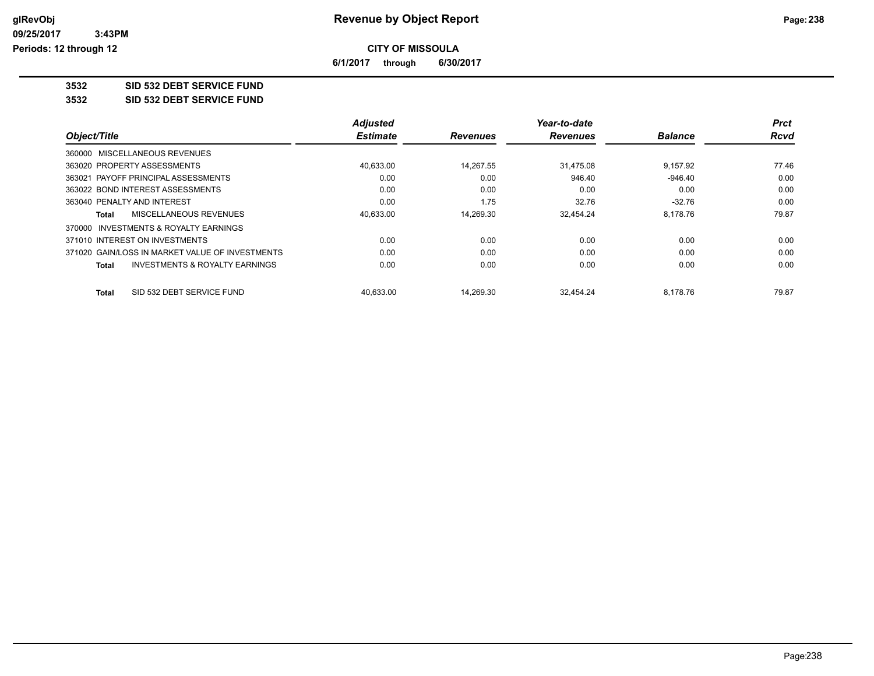**6/1/2017 through 6/30/2017**

**3532 SID 532 DEBT SERVICE FUND**

**3532 SID 532 DEBT SERVICE FUND**

|                                                           | <b>Adjusted</b> |                 | Year-to-date    |                | <b>Prct</b> |
|-----------------------------------------------------------|-----------------|-----------------|-----------------|----------------|-------------|
| Object/Title                                              | <b>Estimate</b> | <b>Revenues</b> | <b>Revenues</b> | <b>Balance</b> | Rcvd        |
| 360000 MISCELLANEOUS REVENUES                             |                 |                 |                 |                |             |
| 363020 PROPERTY ASSESSMENTS                               | 40,633.00       | 14,267.55       | 31,475.08       | 9.157.92       | 77.46       |
| 363021 PAYOFF PRINCIPAL ASSESSMENTS                       | 0.00            | 0.00            | 946.40          | $-946.40$      | 0.00        |
| 363022 BOND INTEREST ASSESSMENTS                          | 0.00            | 0.00            | 0.00            | 0.00           | 0.00        |
| 363040 PENALTY AND INTEREST                               | 0.00            | 1.75            | 32.76           | $-32.76$       | 0.00        |
| MISCELLANEOUS REVENUES<br><b>Total</b>                    | 40,633.00       | 14.269.30       | 32.454.24       | 8.178.76       | 79.87       |
| INVESTMENTS & ROYALTY EARNINGS<br>370000                  |                 |                 |                 |                |             |
| 371010 INTEREST ON INVESTMENTS                            | 0.00            | 0.00            | 0.00            | 0.00           | 0.00        |
| 371020 GAIN/LOSS IN MARKET VALUE OF INVESTMENTS           | 0.00            | 0.00            | 0.00            | 0.00           | 0.00        |
| <b>INVESTMENTS &amp; ROYALTY EARNINGS</b><br><b>Total</b> | 0.00            | 0.00            | 0.00            | 0.00           | 0.00        |
| SID 532 DEBT SERVICE FUND<br><b>Total</b>                 | 40.633.00       | 14.269.30       | 32.454.24       | 8.178.76       | 79.87       |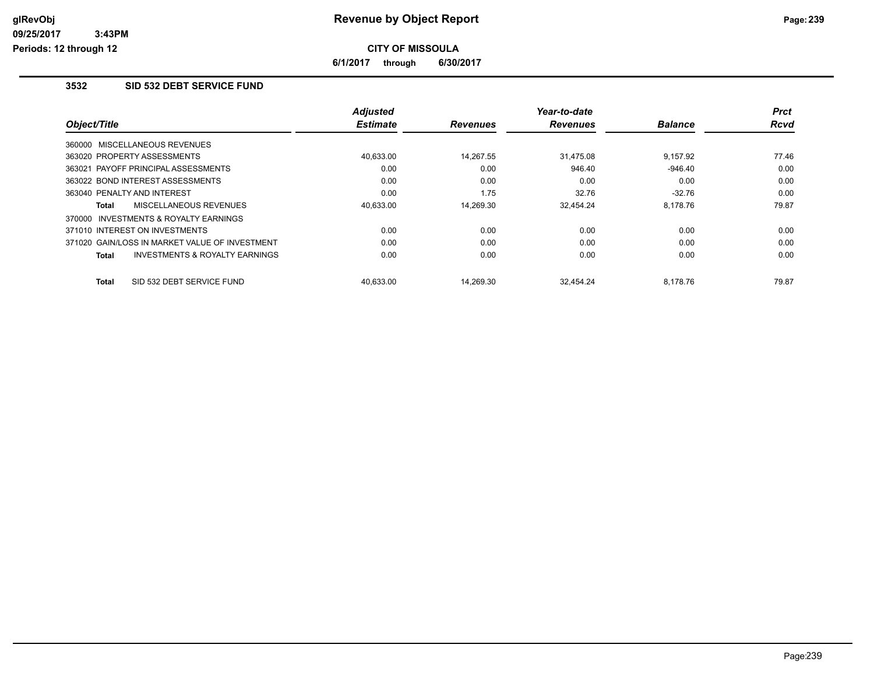**6/1/2017 through 6/30/2017**

### **3532 SID 532 DEBT SERVICE FUND**

|                                                           | <b>Adjusted</b> |                 | Year-to-date    |                | <b>Prct</b> |
|-----------------------------------------------------------|-----------------|-----------------|-----------------|----------------|-------------|
| Object/Title                                              | <b>Estimate</b> | <b>Revenues</b> | <b>Revenues</b> | <b>Balance</b> | <b>Rcvd</b> |
| 360000 MISCELLANEOUS REVENUES                             |                 |                 |                 |                |             |
| 363020 PROPERTY ASSESSMENTS                               | 40.633.00       | 14.267.55       | 31.475.08       | 9.157.92       | 77.46       |
| 363021 PAYOFF PRINCIPAL ASSESSMENTS                       | 0.00            | 0.00            | 946.40          | $-946.40$      | 0.00        |
| 363022 BOND INTEREST ASSESSMENTS                          | 0.00            | 0.00            | 0.00            | 0.00           | 0.00        |
| 363040 PENALTY AND INTEREST                               | 0.00            | 1.75            | 32.76           | $-32.76$       | 0.00        |
| <b>MISCELLANEOUS REVENUES</b><br>Total                    | 40,633.00       | 14.269.30       | 32.454.24       | 8.178.76       | 79.87       |
| INVESTMENTS & ROYALTY EARNINGS<br>370000                  |                 |                 |                 |                |             |
| 371010 INTEREST ON INVESTMENTS                            | 0.00            | 0.00            | 0.00            | 0.00           | 0.00        |
| 371020 GAIN/LOSS IN MARKET VALUE OF INVESTMENT            | 0.00            | 0.00            | 0.00            | 0.00           | 0.00        |
| <b>INVESTMENTS &amp; ROYALTY EARNINGS</b><br><b>Total</b> | 0.00            | 0.00            | 0.00            | 0.00           | 0.00        |
|                                                           |                 |                 |                 |                |             |
| SID 532 DEBT SERVICE FUND<br><b>Total</b>                 | 40.633.00       | 14.269.30       | 32.454.24       | 8.178.76       | 79.87       |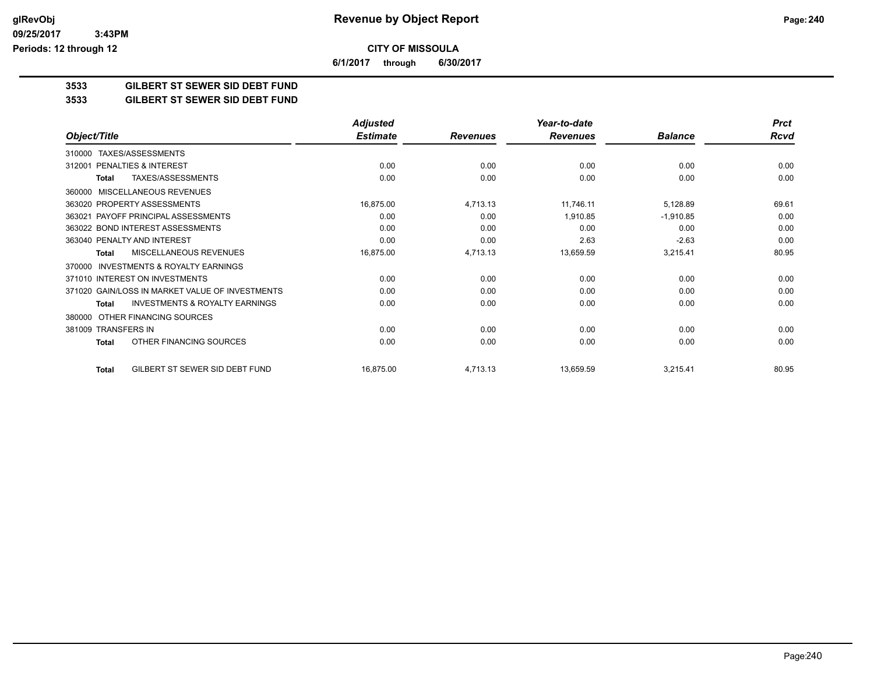**6/1/2017 through 6/30/2017**

# **3533 GILBERT ST SEWER SID DEBT FUND**

#### **3533 GILBERT ST SEWER SID DEBT FUND**

|                                                     | <b>Adjusted</b> |                 | Year-to-date    |                | <b>Prct</b> |
|-----------------------------------------------------|-----------------|-----------------|-----------------|----------------|-------------|
| Object/Title                                        | <b>Estimate</b> | <b>Revenues</b> | <b>Revenues</b> | <b>Balance</b> | <b>Rcvd</b> |
| TAXES/ASSESSMENTS<br>310000                         |                 |                 |                 |                |             |
| PENALTIES & INTEREST<br>312001                      | 0.00            | 0.00            | 0.00            | 0.00           | 0.00        |
| <b>TAXES/ASSESSMENTS</b><br><b>Total</b>            | 0.00            | 0.00            | 0.00            | 0.00           | 0.00        |
| MISCELLANEOUS REVENUES<br>360000                    |                 |                 |                 |                |             |
| 363020 PROPERTY ASSESSMENTS                         | 16,875.00       | 4,713.13        | 11,746.11       | 5,128.89       | 69.61       |
| PAYOFF PRINCIPAL ASSESSMENTS<br>363021              | 0.00            | 0.00            | 1,910.85        | $-1,910.85$    | 0.00        |
| 363022 BOND INTEREST ASSESSMENTS                    | 0.00            | 0.00            | 0.00            | 0.00           | 0.00        |
| 363040 PENALTY AND INTEREST                         | 0.00            | 0.00            | 2.63            | $-2.63$        | 0.00        |
| <b>MISCELLANEOUS REVENUES</b><br>Total              | 16,875.00       | 4,713.13        | 13,659.59       | 3,215.41       | 80.95       |
| <b>INVESTMENTS &amp; ROYALTY EARNINGS</b><br>370000 |                 |                 |                 |                |             |
| 371010 INTEREST ON INVESTMENTS                      | 0.00            | 0.00            | 0.00            | 0.00           | 0.00        |
| 371020 GAIN/LOSS IN MARKET VALUE OF INVESTMENTS     | 0.00            | 0.00            | 0.00            | 0.00           | 0.00        |
| <b>INVESTMENTS &amp; ROYALTY EARNINGS</b><br>Total  | 0.00            | 0.00            | 0.00            | 0.00           | 0.00        |
| OTHER FINANCING SOURCES<br>380000                   |                 |                 |                 |                |             |
| 381009 TRANSFERS IN                                 | 0.00            | 0.00            | 0.00            | 0.00           | 0.00        |
| OTHER FINANCING SOURCES<br><b>Total</b>             | 0.00            | 0.00            | 0.00            | 0.00           | 0.00        |
| GILBERT ST SEWER SID DEBT FUND<br><b>Total</b>      | 16,875.00       | 4,713.13        | 13,659.59       | 3,215.41       | 80.95       |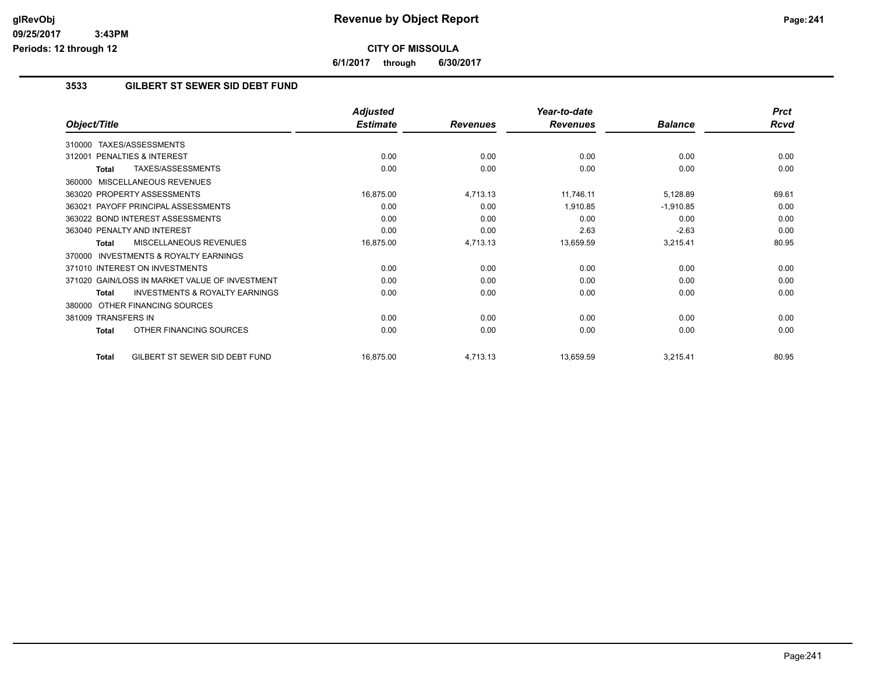**6/1/2017 through 6/30/2017**

## **3533 GILBERT ST SEWER SID DEBT FUND**

|                                                           | <b>Adjusted</b> |                 | Year-to-date    |                | <b>Prct</b> |
|-----------------------------------------------------------|-----------------|-----------------|-----------------|----------------|-------------|
| Object/Title                                              | <b>Estimate</b> | <b>Revenues</b> | <b>Revenues</b> | <b>Balance</b> | <b>Rcvd</b> |
| TAXES/ASSESSMENTS<br>310000                               |                 |                 |                 |                |             |
| 312001 PENALTIES & INTEREST                               | 0.00            | 0.00            | 0.00            | 0.00           | 0.00        |
| TAXES/ASSESSMENTS<br><b>Total</b>                         | 0.00            | 0.00            | 0.00            | 0.00           | 0.00        |
| MISCELLANEOUS REVENUES<br>360000                          |                 |                 |                 |                |             |
| 363020 PROPERTY ASSESSMENTS                               | 16,875.00       | 4,713.13        | 11,746.11       | 5,128.89       | 69.61       |
| 363021 PAYOFF PRINCIPAL ASSESSMENTS                       | 0.00            | 0.00            | 1,910.85        | $-1,910.85$    | 0.00        |
| 363022 BOND INTEREST ASSESSMENTS                          | 0.00            | 0.00            | 0.00            | 0.00           | 0.00        |
| 363040 PENALTY AND INTEREST                               | 0.00            | 0.00            | 2.63            | $-2.63$        | 0.00        |
| MISCELLANEOUS REVENUES<br>Total                           | 16,875.00       | 4,713.13        | 13,659.59       | 3,215.41       | 80.95       |
| 370000 INVESTMENTS & ROYALTY EARNINGS                     |                 |                 |                 |                |             |
| 371010 INTEREST ON INVESTMENTS                            | 0.00            | 0.00            | 0.00            | 0.00           | 0.00        |
| 371020 GAIN/LOSS IN MARKET VALUE OF INVESTMENT            | 0.00            | 0.00            | 0.00            | 0.00           | 0.00        |
| <b>INVESTMENTS &amp; ROYALTY EARNINGS</b><br><b>Total</b> | 0.00            | 0.00            | 0.00            | 0.00           | 0.00        |
| 380000 OTHER FINANCING SOURCES                            |                 |                 |                 |                |             |
| 381009 TRANSFERS IN                                       | 0.00            | 0.00            | 0.00            | 0.00           | 0.00        |
| OTHER FINANCING SOURCES<br><b>Total</b>                   | 0.00            | 0.00            | 0.00            | 0.00           | 0.00        |
| GILBERT ST SEWER SID DEBT FUND<br><b>Total</b>            | 16,875.00       | 4,713.13        | 13,659.59       | 3,215.41       | 80.95       |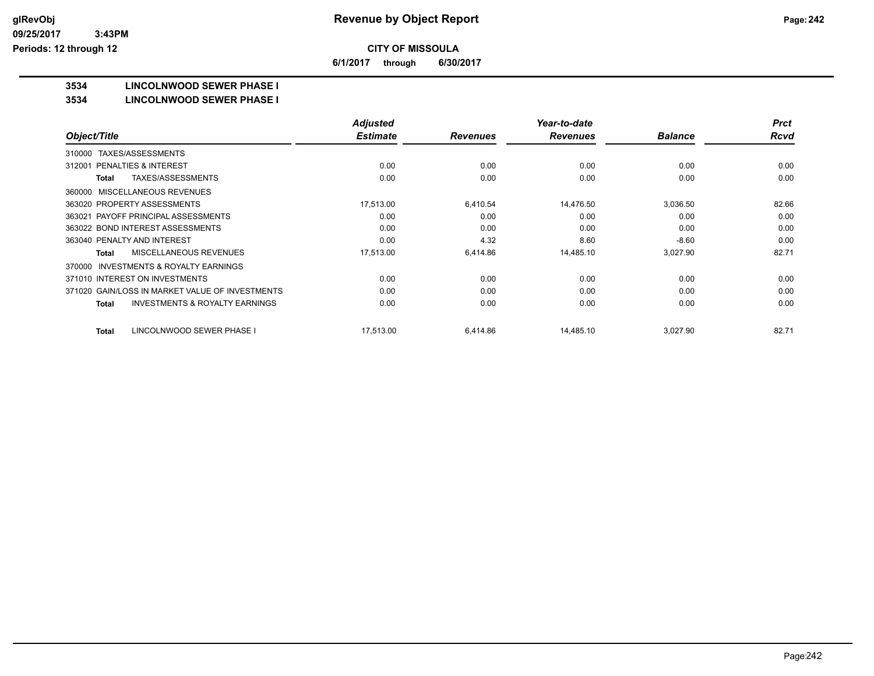**6/1/2017 through 6/30/2017**

### **3534 LINCOLNWOOD SEWER PHASE I**

#### **3534 LINCOLNWOOD SEWER PHASE I**

|                                                           | <b>Adjusted</b> |                 | Year-to-date    |                | <b>Prct</b> |
|-----------------------------------------------------------|-----------------|-----------------|-----------------|----------------|-------------|
| Object/Title                                              | <b>Estimate</b> | <b>Revenues</b> | <b>Revenues</b> | <b>Balance</b> | <b>Rcvd</b> |
| TAXES/ASSESSMENTS<br>310000                               |                 |                 |                 |                |             |
| <b>PENALTIES &amp; INTEREST</b><br>312001                 | 0.00            | 0.00            | 0.00            | 0.00           | 0.00        |
| TAXES/ASSESSMENTS<br><b>Total</b>                         | 0.00            | 0.00            | 0.00            | 0.00           | 0.00        |
| MISCELLANEOUS REVENUES<br>360000                          |                 |                 |                 |                |             |
| 363020 PROPERTY ASSESSMENTS                               | 17,513.00       | 6,410.54        | 14,476.50       | 3,036.50       | 82.66       |
| 363021 PAYOFF PRINCIPAL ASSESSMENTS                       | 0.00            | 0.00            | 0.00            | 0.00           | 0.00        |
| 363022 BOND INTEREST ASSESSMENTS                          | 0.00            | 0.00            | 0.00            | 0.00           | 0.00        |
| 363040 PENALTY AND INTEREST                               | 0.00            | 4.32            | 8.60            | $-8.60$        | 0.00        |
| <b>MISCELLANEOUS REVENUES</b><br><b>Total</b>             | 17,513.00       | 6,414.86        | 14,485.10       | 3,027.90       | 82.71       |
| <b>INVESTMENTS &amp; ROYALTY EARNINGS</b><br>370000       |                 |                 |                 |                |             |
| 371010 INTEREST ON INVESTMENTS                            | 0.00            | 0.00            | 0.00            | 0.00           | 0.00        |
| 371020 GAIN/LOSS IN MARKET VALUE OF INVESTMENTS           | 0.00            | 0.00            | 0.00            | 0.00           | 0.00        |
| <b>INVESTMENTS &amp; ROYALTY EARNINGS</b><br><b>Total</b> | 0.00            | 0.00            | 0.00            | 0.00           | 0.00        |
| LINCOLNWOOD SEWER PHASE I<br><b>Total</b>                 | 17,513.00       | 6.414.86        | 14,485.10       | 3,027.90       | 82.71       |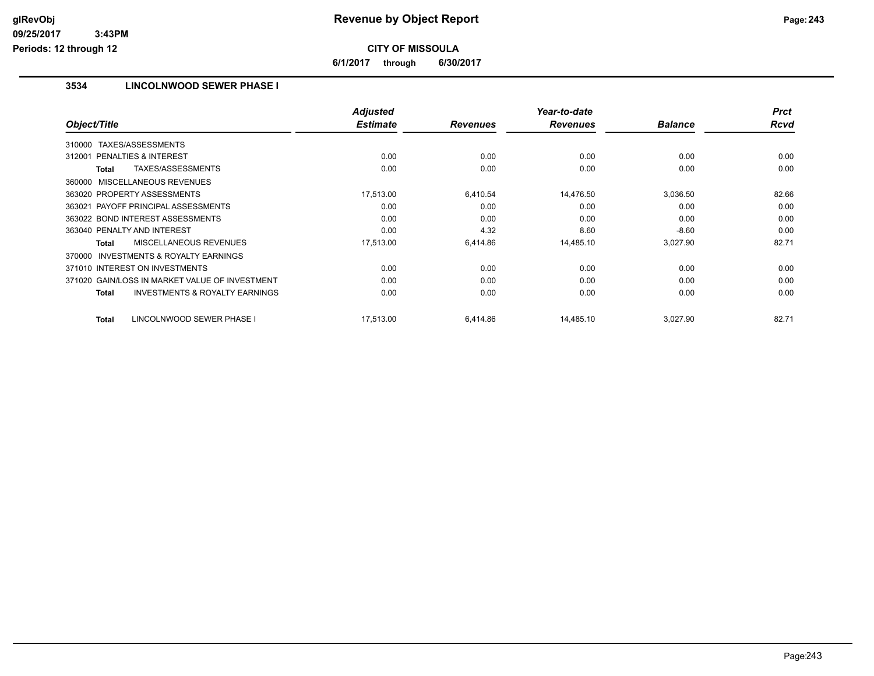**6/1/2017 through 6/30/2017**

## **3534 LINCOLNWOOD SEWER PHASE I**

|                                                     | <b>Adjusted</b> |                 | Year-to-date    |                | <b>Prct</b> |
|-----------------------------------------------------|-----------------|-----------------|-----------------|----------------|-------------|
| Object/Title                                        | <b>Estimate</b> | <b>Revenues</b> | <b>Revenues</b> | <b>Balance</b> | <b>Rcvd</b> |
| TAXES/ASSESSMENTS<br>310000                         |                 |                 |                 |                |             |
| 312001 PENALTIES & INTEREST                         | 0.00            | 0.00            | 0.00            | 0.00           | 0.00        |
| TAXES/ASSESSMENTS<br>Total                          | 0.00            | 0.00            | 0.00            | 0.00           | 0.00        |
| 360000 MISCELLANEOUS REVENUES                       |                 |                 |                 |                |             |
| 363020 PROPERTY ASSESSMENTS                         | 17,513.00       | 6,410.54        | 14,476.50       | 3,036.50       | 82.66       |
| 363021 PAYOFF PRINCIPAL ASSESSMENTS                 | 0.00            | 0.00            | 0.00            | 0.00           | 0.00        |
| 363022 BOND INTEREST ASSESSMENTS                    | 0.00            | 0.00            | 0.00            | 0.00           | 0.00        |
| 363040 PENALTY AND INTEREST                         | 0.00            | 4.32            | 8.60            | $-8.60$        | 0.00        |
| MISCELLANEOUS REVENUES<br>Total                     | 17,513.00       | 6,414.86        | 14,485.10       | 3,027.90       | 82.71       |
| <b>INVESTMENTS &amp; ROYALTY EARNINGS</b><br>370000 |                 |                 |                 |                |             |
| 371010 INTEREST ON INVESTMENTS                      | 0.00            | 0.00            | 0.00            | 0.00           | 0.00        |
| 371020 GAIN/LOSS IN MARKET VALUE OF INVESTMENT      | 0.00            | 0.00            | 0.00            | 0.00           | 0.00        |
| <b>INVESTMENTS &amp; ROYALTY EARNINGS</b><br>Total  | 0.00            | 0.00            | 0.00            | 0.00           | 0.00        |
| LINCOLNWOOD SEWER PHASE I<br><b>Total</b>           | 17.513.00       | 6,414.86        | 14,485.10       | 3,027.90       | 82.71       |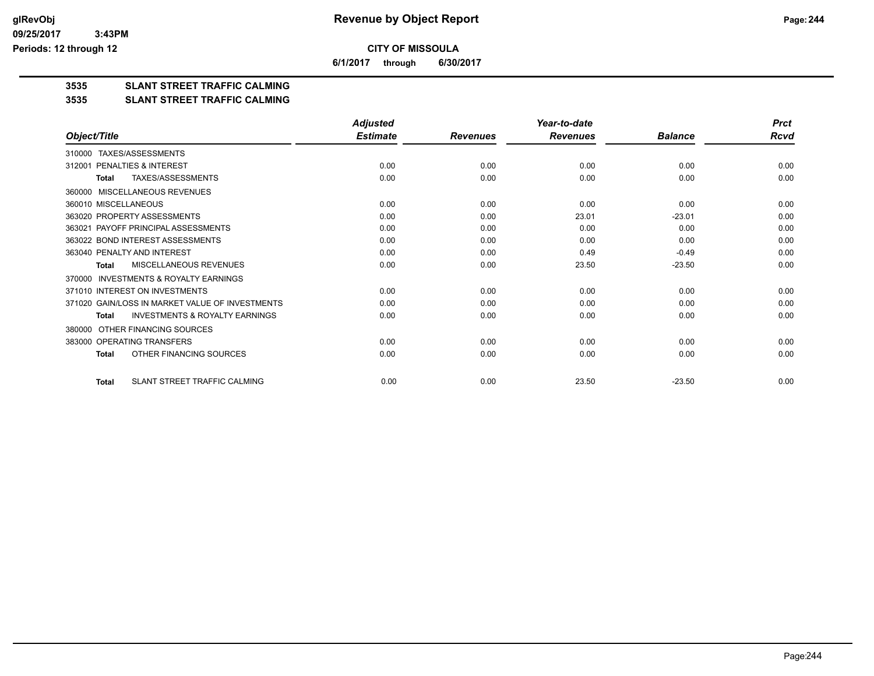**6/1/2017 through 6/30/2017**

# **3535 SLANT STREET TRAFFIC CALMING**

#### **3535 SLANT STREET TRAFFIC CALMING**

|                                                           | <b>Adjusted</b> |                 | Year-to-date    |                | <b>Prct</b> |
|-----------------------------------------------------------|-----------------|-----------------|-----------------|----------------|-------------|
| Object/Title                                              | <b>Estimate</b> | <b>Revenues</b> | <b>Revenues</b> | <b>Balance</b> | <b>Rcvd</b> |
| TAXES/ASSESSMENTS<br>310000                               |                 |                 |                 |                |             |
| PENALTIES & INTEREST<br>312001                            | 0.00            | 0.00            | 0.00            | 0.00           | 0.00        |
| TAXES/ASSESSMENTS<br>Total                                | 0.00            | 0.00            | 0.00            | 0.00           | 0.00        |
| MISCELLANEOUS REVENUES<br>360000                          |                 |                 |                 |                |             |
| 360010 MISCELLANEOUS                                      | 0.00            | 0.00            | 0.00            | 0.00           | 0.00        |
| 363020 PROPERTY ASSESSMENTS                               | 0.00            | 0.00            | 23.01           | $-23.01$       | 0.00        |
| 363021 PAYOFF PRINCIPAL ASSESSMENTS                       | 0.00            | 0.00            | 0.00            | 0.00           | 0.00        |
| 363022 BOND INTEREST ASSESSMENTS                          | 0.00            | 0.00            | 0.00            | 0.00           | 0.00        |
| 363040 PENALTY AND INTEREST                               | 0.00            | 0.00            | 0.49            | $-0.49$        | 0.00        |
| <b>MISCELLANEOUS REVENUES</b><br>Total                    | 0.00            | 0.00            | 23.50           | $-23.50$       | 0.00        |
| <b>INVESTMENTS &amp; ROYALTY EARNINGS</b><br>370000       |                 |                 |                 |                |             |
| 371010 INTEREST ON INVESTMENTS                            | 0.00            | 0.00            | 0.00            | 0.00           | 0.00        |
| 371020 GAIN/LOSS IN MARKET VALUE OF INVESTMENTS           | 0.00            | 0.00            | 0.00            | 0.00           | 0.00        |
| <b>INVESTMENTS &amp; ROYALTY EARNINGS</b><br><b>Total</b> | 0.00            | 0.00            | 0.00            | 0.00           | 0.00        |
| OTHER FINANCING SOURCES<br>380000                         |                 |                 |                 |                |             |
| 383000 OPERATING TRANSFERS                                | 0.00            | 0.00            | 0.00            | 0.00           | 0.00        |
| OTHER FINANCING SOURCES<br><b>Total</b>                   | 0.00            | 0.00            | 0.00            | 0.00           | 0.00        |
| SLANT STREET TRAFFIC CALMING<br><b>Total</b>              | 0.00            | 0.00            | 23.50           | $-23.50$       | 0.00        |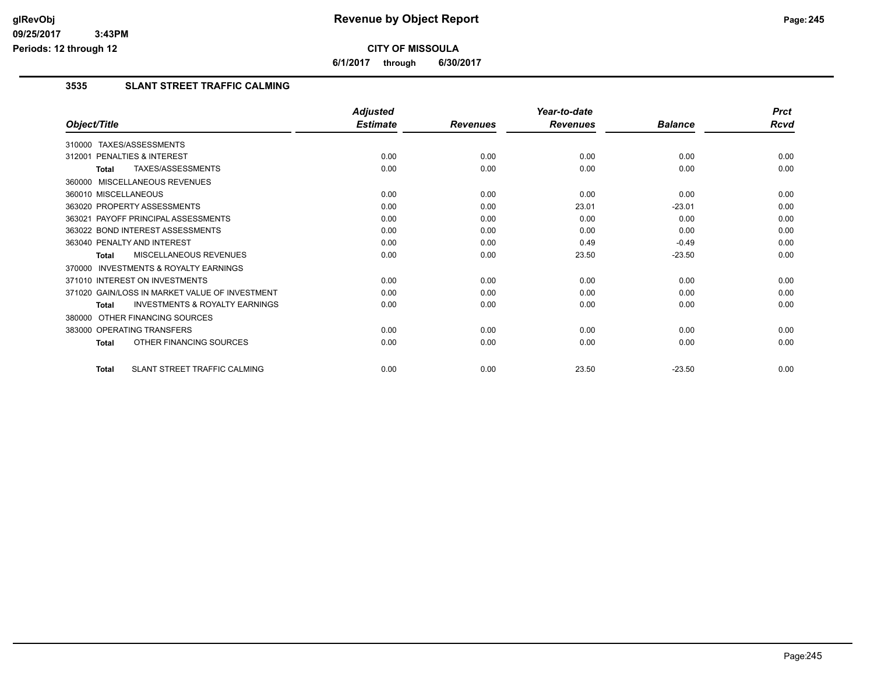**6/1/2017 through 6/30/2017**

## **3535 SLANT STREET TRAFFIC CALMING**

|                                                           | <b>Adjusted</b> |                 | Year-to-date    |                | <b>Prct</b> |
|-----------------------------------------------------------|-----------------|-----------------|-----------------|----------------|-------------|
| Object/Title                                              | <b>Estimate</b> | <b>Revenues</b> | <b>Revenues</b> | <b>Balance</b> | Rcvd        |
| 310000 TAXES/ASSESSMENTS                                  |                 |                 |                 |                |             |
| PENALTIES & INTEREST<br>312001                            | 0.00            | 0.00            | 0.00            | 0.00           | 0.00        |
| TAXES/ASSESSMENTS<br><b>Total</b>                         | 0.00            | 0.00            | 0.00            | 0.00           | 0.00        |
| 360000 MISCELLANEOUS REVENUES                             |                 |                 |                 |                |             |
| 360010 MISCELLANEOUS                                      | 0.00            | 0.00            | 0.00            | 0.00           | 0.00        |
| 363020 PROPERTY ASSESSMENTS                               | 0.00            | 0.00            | 23.01           | $-23.01$       | 0.00        |
| 363021 PAYOFF PRINCIPAL ASSESSMENTS                       | 0.00            | 0.00            | 0.00            | 0.00           | 0.00        |
| 363022 BOND INTEREST ASSESSMENTS                          | 0.00            | 0.00            | 0.00            | 0.00           | 0.00        |
| 363040 PENALTY AND INTEREST                               | 0.00            | 0.00            | 0.49            | $-0.49$        | 0.00        |
| MISCELLANEOUS REVENUES<br><b>Total</b>                    | 0.00            | 0.00            | 23.50           | $-23.50$       | 0.00        |
| 370000 INVESTMENTS & ROYALTY EARNINGS                     |                 |                 |                 |                |             |
| 371010 INTEREST ON INVESTMENTS                            | 0.00            | 0.00            | 0.00            | 0.00           | 0.00        |
| 371020 GAIN/LOSS IN MARKET VALUE OF INVESTMENT            | 0.00            | 0.00            | 0.00            | 0.00           | 0.00        |
| <b>INVESTMENTS &amp; ROYALTY EARNINGS</b><br><b>Total</b> | 0.00            | 0.00            | 0.00            | 0.00           | 0.00        |
| 380000 OTHER FINANCING SOURCES                            |                 |                 |                 |                |             |
| 383000 OPERATING TRANSFERS                                | 0.00            | 0.00            | 0.00            | 0.00           | 0.00        |
| OTHER FINANCING SOURCES<br><b>Total</b>                   | 0.00            | 0.00            | 0.00            | 0.00           | 0.00        |
| SLANT STREET TRAFFIC CALMING<br><b>Total</b>              | 0.00            | 0.00            | 23.50           | $-23.50$       | 0.00        |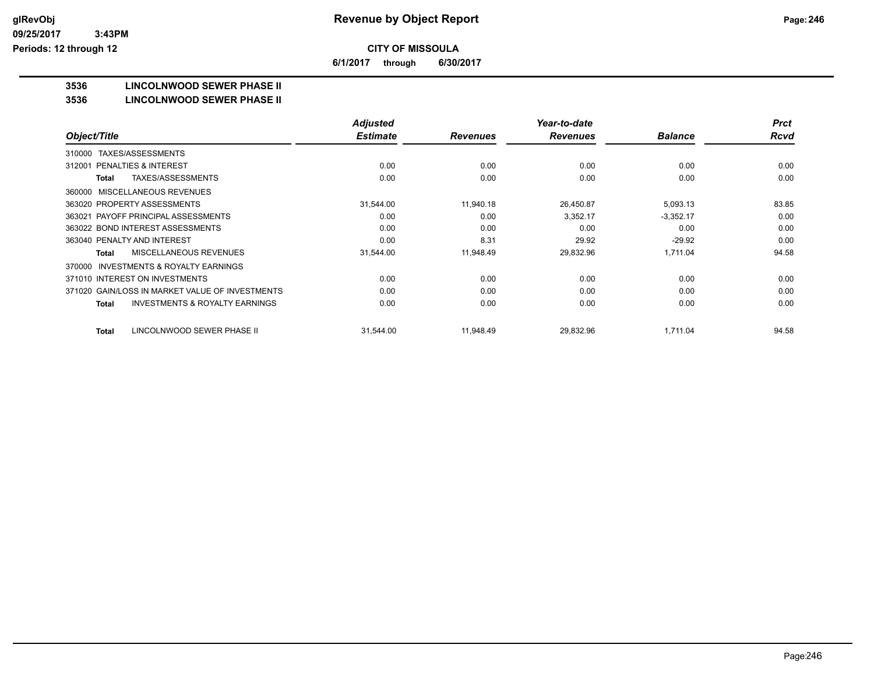**6/1/2017 through 6/30/2017**

### **3536 LINCOLNWOOD SEWER PHASE II**

#### **3536 LINCOLNWOOD SEWER PHASE II**

|                                                           | <b>Adjusted</b> |                 | Year-to-date    |                | <b>Prct</b> |
|-----------------------------------------------------------|-----------------|-----------------|-----------------|----------------|-------------|
| Object/Title                                              | <b>Estimate</b> | <b>Revenues</b> | <b>Revenues</b> | <b>Balance</b> | <b>Rcvd</b> |
| TAXES/ASSESSMENTS<br>310000                               |                 |                 |                 |                |             |
| PENALTIES & INTEREST<br>312001                            | 0.00            | 0.00            | 0.00            | 0.00           | 0.00        |
| TAXES/ASSESSMENTS<br>Total                                | 0.00            | 0.00            | 0.00            | 0.00           | 0.00        |
| MISCELLANEOUS REVENUES<br>360000                          |                 |                 |                 |                |             |
| 363020 PROPERTY ASSESSMENTS                               | 31,544.00       | 11,940.18       | 26,450.87       | 5,093.13       | 83.85       |
| 363021 PAYOFF PRINCIPAL ASSESSMENTS                       | 0.00            | 0.00            | 3,352.17        | $-3,352.17$    | 0.00        |
| 363022 BOND INTEREST ASSESSMENTS                          | 0.00            | 0.00            | 0.00            | 0.00           | 0.00        |
| 363040 PENALTY AND INTEREST                               | 0.00            | 8.31            | 29.92           | $-29.92$       | 0.00        |
| MISCELLANEOUS REVENUES<br>Total                           | 31,544.00       | 11,948.49       | 29,832.96       | 1,711.04       | 94.58       |
| INVESTMENTS & ROYALTY EARNINGS<br>370000                  |                 |                 |                 |                |             |
| 371010 INTEREST ON INVESTMENTS                            | 0.00            | 0.00            | 0.00            | 0.00           | 0.00        |
| 371020 GAIN/LOSS IN MARKET VALUE OF INVESTMENTS           | 0.00            | 0.00            | 0.00            | 0.00           | 0.00        |
| <b>INVESTMENTS &amp; ROYALTY EARNINGS</b><br><b>Total</b> | 0.00            | 0.00            | 0.00            | 0.00           | 0.00        |
| LINCOLNWOOD SEWER PHASE II<br>Total                       | 31,544.00       | 11.948.49       | 29,832.96       | 1,711.04       | 94.58       |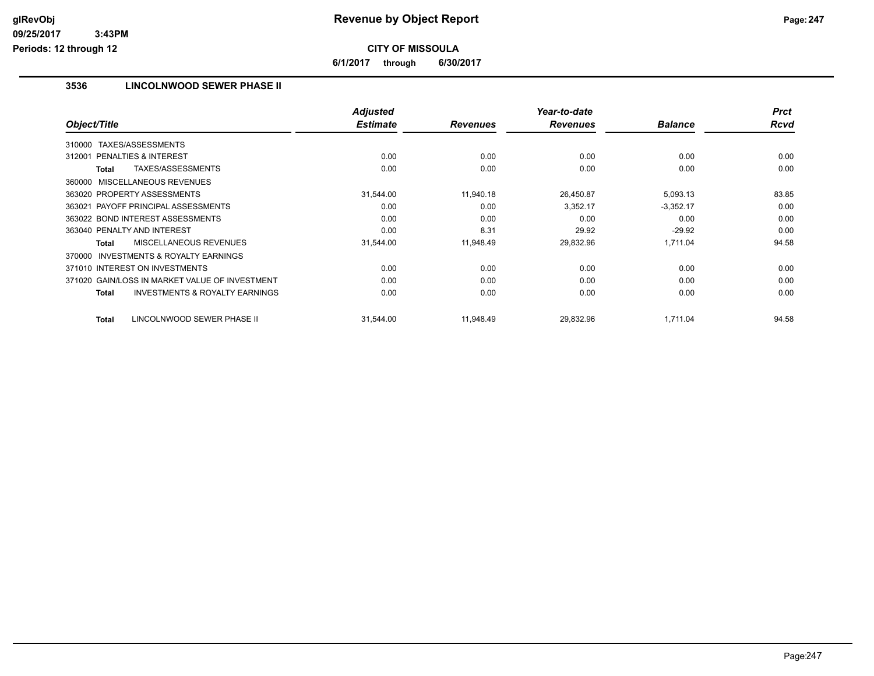**6/1/2017 through 6/30/2017**

## **3536 LINCOLNWOOD SEWER PHASE II**

|                                                     | <b>Adjusted</b> |                 | Year-to-date    |                | <b>Prct</b> |
|-----------------------------------------------------|-----------------|-----------------|-----------------|----------------|-------------|
| Object/Title                                        | <b>Estimate</b> | <b>Revenues</b> | <b>Revenues</b> | <b>Balance</b> | <b>Rcvd</b> |
| TAXES/ASSESSMENTS<br>310000                         |                 |                 |                 |                |             |
| <b>PENALTIES &amp; INTEREST</b><br>312001           | 0.00            | 0.00            | 0.00            | 0.00           | 0.00        |
| TAXES/ASSESSMENTS<br><b>Total</b>                   | 0.00            | 0.00            | 0.00            | 0.00           | 0.00        |
| 360000 MISCELLANEOUS REVENUES                       |                 |                 |                 |                |             |
| 363020 PROPERTY ASSESSMENTS                         | 31,544.00       | 11,940.18       | 26,450.87       | 5,093.13       | 83.85       |
| 363021 PAYOFF PRINCIPAL ASSESSMENTS                 | 0.00            | 0.00            | 3,352.17        | $-3,352.17$    | 0.00        |
| 363022 BOND INTEREST ASSESSMENTS                    | 0.00            | 0.00            | 0.00            | 0.00           | 0.00        |
| 363040 PENALTY AND INTEREST                         | 0.00            | 8.31            | 29.92           | $-29.92$       | 0.00        |
| <b>MISCELLANEOUS REVENUES</b><br><b>Total</b>       | 31,544.00       | 11,948.49       | 29,832.96       | 1,711.04       | 94.58       |
| <b>INVESTMENTS &amp; ROYALTY EARNINGS</b><br>370000 |                 |                 |                 |                |             |
| 371010 INTEREST ON INVESTMENTS                      | 0.00            | 0.00            | 0.00            | 0.00           | 0.00        |
| 371020 GAIN/LOSS IN MARKET VALUE OF INVESTMENT      | 0.00            | 0.00            | 0.00            | 0.00           | 0.00        |
| <b>INVESTMENTS &amp; ROYALTY EARNINGS</b><br>Total  | 0.00            | 0.00            | 0.00            | 0.00           | 0.00        |
| LINCOLNWOOD SEWER PHASE II<br>Total                 | 31.544.00       | 11,948.49       | 29.832.96       | 1,711.04       | 94.58       |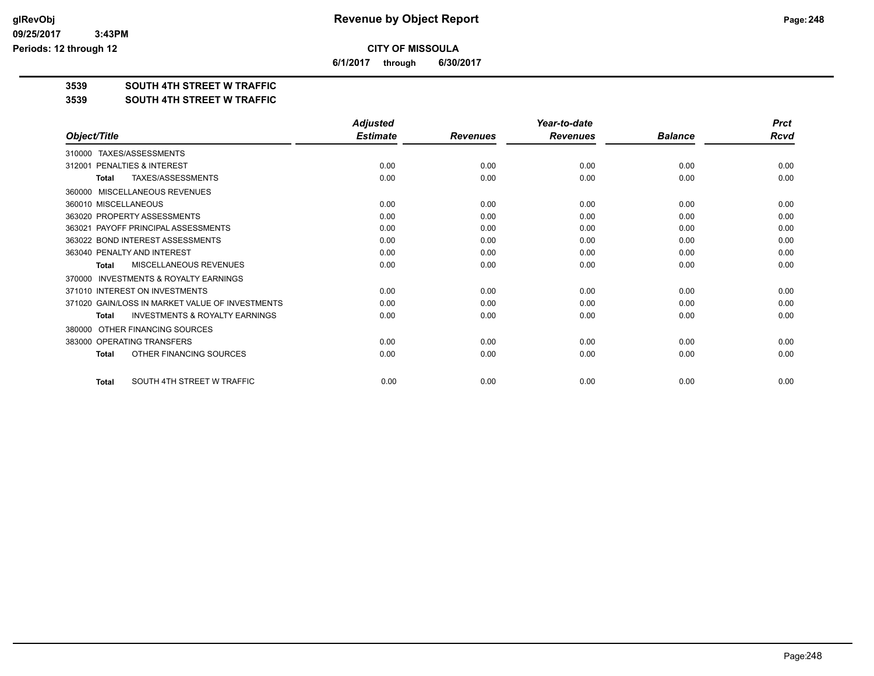**6/1/2017 through 6/30/2017**

#### **3539 SOUTH 4TH STREET W TRAFFIC**

#### **3539 SOUTH 4TH STREET W TRAFFIC**

|                                                     | <b>Adjusted</b> |                 | Year-to-date    |                | <b>Prct</b> |
|-----------------------------------------------------|-----------------|-----------------|-----------------|----------------|-------------|
| Object/Title                                        | <b>Estimate</b> | <b>Revenues</b> | <b>Revenues</b> | <b>Balance</b> | <b>Rcvd</b> |
| TAXES/ASSESSMENTS<br>310000                         |                 |                 |                 |                |             |
| PENALTIES & INTEREST<br>312001                      | 0.00            | 0.00            | 0.00            | 0.00           | 0.00        |
| <b>TAXES/ASSESSMENTS</b><br>Total                   | 0.00            | 0.00            | 0.00            | 0.00           | 0.00        |
| MISCELLANEOUS REVENUES<br>360000                    |                 |                 |                 |                |             |
| 360010 MISCELLANEOUS                                | 0.00            | 0.00            | 0.00            | 0.00           | 0.00        |
| 363020 PROPERTY ASSESSMENTS                         | 0.00            | 0.00            | 0.00            | 0.00           | 0.00        |
| 363021 PAYOFF PRINCIPAL ASSESSMENTS                 | 0.00            | 0.00            | 0.00            | 0.00           | 0.00        |
| 363022 BOND INTEREST ASSESSMENTS                    | 0.00            | 0.00            | 0.00            | 0.00           | 0.00        |
| 363040 PENALTY AND INTEREST                         | 0.00            | 0.00            | 0.00            | 0.00           | 0.00        |
| MISCELLANEOUS REVENUES<br>Total                     | 0.00            | 0.00            | 0.00            | 0.00           | 0.00        |
| <b>INVESTMENTS &amp; ROYALTY EARNINGS</b><br>370000 |                 |                 |                 |                |             |
| 371010 INTEREST ON INVESTMENTS                      | 0.00            | 0.00            | 0.00            | 0.00           | 0.00        |
| 371020 GAIN/LOSS IN MARKET VALUE OF INVESTMENTS     | 0.00            | 0.00            | 0.00            | 0.00           | 0.00        |
| <b>INVESTMENTS &amp; ROYALTY EARNINGS</b><br>Total  | 0.00            | 0.00            | 0.00            | 0.00           | 0.00        |
| OTHER FINANCING SOURCES<br>380000                   |                 |                 |                 |                |             |
| 383000 OPERATING TRANSFERS                          | 0.00            | 0.00            | 0.00            | 0.00           | 0.00        |
| OTHER FINANCING SOURCES<br><b>Total</b>             | 0.00            | 0.00            | 0.00            | 0.00           | 0.00        |
| SOUTH 4TH STREET W TRAFFIC<br><b>Total</b>          | 0.00            | 0.00            | 0.00            | 0.00           | 0.00        |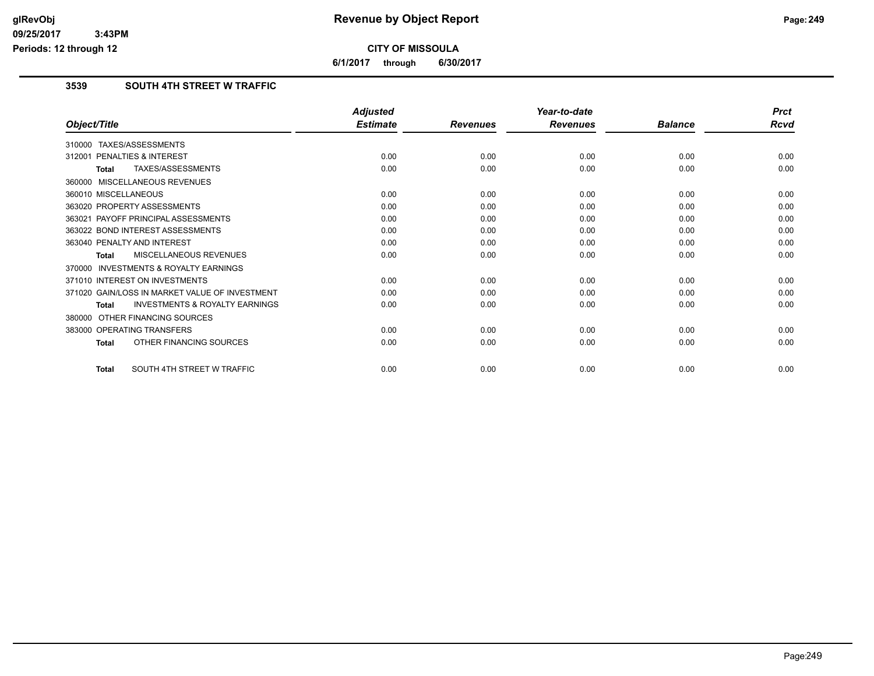**6/1/2017 through 6/30/2017**

## **3539 SOUTH 4TH STREET W TRAFFIC**

|                                                           | <b>Adjusted</b> |                 | Year-to-date    |                | <b>Prct</b> |
|-----------------------------------------------------------|-----------------|-----------------|-----------------|----------------|-------------|
| Object/Title                                              | <b>Estimate</b> | <b>Revenues</b> | <b>Revenues</b> | <b>Balance</b> | <b>Rcvd</b> |
| 310000 TAXES/ASSESSMENTS                                  |                 |                 |                 |                |             |
| 312001 PENALTIES & INTEREST                               | 0.00            | 0.00            | 0.00            | 0.00           | 0.00        |
| TAXES/ASSESSMENTS<br><b>Total</b>                         | 0.00            | 0.00            | 0.00            | 0.00           | 0.00        |
| 360000 MISCELLANEOUS REVENUES                             |                 |                 |                 |                |             |
| 360010 MISCELLANEOUS                                      | 0.00            | 0.00            | 0.00            | 0.00           | 0.00        |
| 363020 PROPERTY ASSESSMENTS                               | 0.00            | 0.00            | 0.00            | 0.00           | 0.00        |
| 363021 PAYOFF PRINCIPAL ASSESSMENTS                       | 0.00            | 0.00            | 0.00            | 0.00           | 0.00        |
| 363022 BOND INTEREST ASSESSMENTS                          | 0.00            | 0.00            | 0.00            | 0.00           | 0.00        |
| 363040 PENALTY AND INTEREST                               | 0.00            | 0.00            | 0.00            | 0.00           | 0.00        |
| MISCELLANEOUS REVENUES<br><b>Total</b>                    | 0.00            | 0.00            | 0.00            | 0.00           | 0.00        |
| INVESTMENTS & ROYALTY EARNINGS<br>370000                  |                 |                 |                 |                |             |
| 371010 INTEREST ON INVESTMENTS                            | 0.00            | 0.00            | 0.00            | 0.00           | 0.00        |
| 371020 GAIN/LOSS IN MARKET VALUE OF INVESTMENT            | 0.00            | 0.00            | 0.00            | 0.00           | 0.00        |
| <b>INVESTMENTS &amp; ROYALTY EARNINGS</b><br><b>Total</b> | 0.00            | 0.00            | 0.00            | 0.00           | 0.00        |
| OTHER FINANCING SOURCES<br>380000                         |                 |                 |                 |                |             |
| 383000 OPERATING TRANSFERS                                | 0.00            | 0.00            | 0.00            | 0.00           | 0.00        |
| OTHER FINANCING SOURCES<br><b>Total</b>                   | 0.00            | 0.00            | 0.00            | 0.00           | 0.00        |
| SOUTH 4TH STREET W TRAFFIC<br><b>Total</b>                | 0.00            | 0.00            | 0.00            | 0.00           | 0.00        |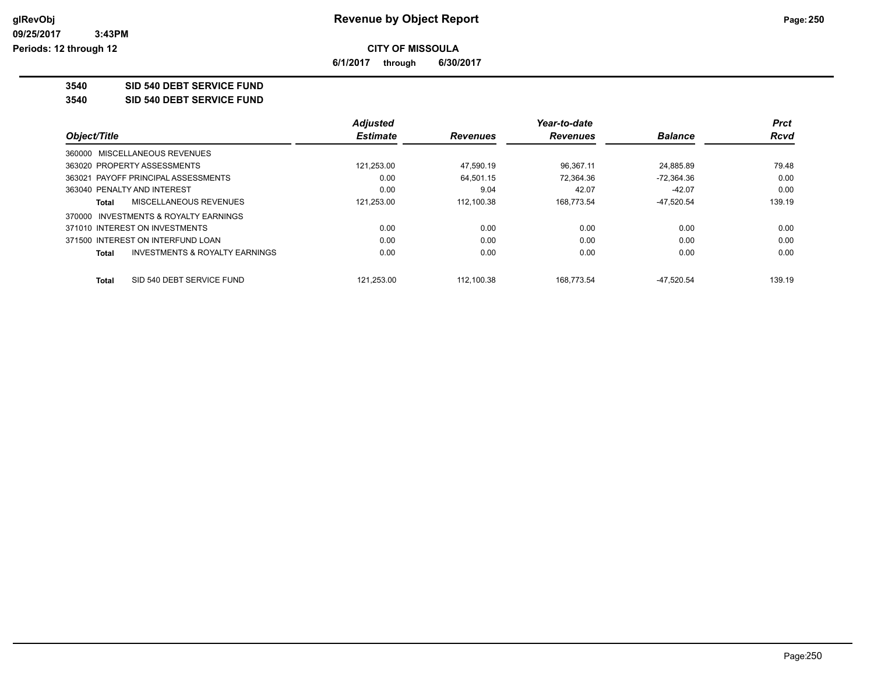**6/1/2017 through 6/30/2017**

**3540 SID 540 DEBT SERVICE FUND**

**3540 SID 540 DEBT SERVICE FUND**

|                                         | <b>Adjusted</b> |                 | Year-to-date    |                | <b>Prct</b> |
|-----------------------------------------|-----------------|-----------------|-----------------|----------------|-------------|
| Object/Title                            | <b>Estimate</b> | <b>Revenues</b> | <b>Revenues</b> | <b>Balance</b> | Rcvd        |
| 360000 MISCELLANEOUS REVENUES           |                 |                 |                 |                |             |
| 363020 PROPERTY ASSESSMENTS             | 121.253.00      | 47.590.19       | 96.367.11       | 24.885.89      | 79.48       |
| 363021 PAYOFF PRINCIPAL ASSESSMENTS     | 0.00            | 64.501.15       | 72.364.36       | $-72,364.36$   | 0.00        |
| 363040 PENALTY AND INTEREST             | 0.00            | 9.04            | 42.07           | $-42.07$       | 0.00        |
| MISCELLANEOUS REVENUES<br>Total         | 121,253.00      | 112.100.38      | 168.773.54      | -47.520.54     | 139.19      |
| 370000 INVESTMENTS & ROYALTY EARNINGS   |                 |                 |                 |                |             |
| 371010 INTEREST ON INVESTMENTS          | 0.00            | 0.00            | 0.00            | 0.00           | 0.00        |
| 371500 INTEREST ON INTERFUND LOAN       | 0.00            | 0.00            | 0.00            | 0.00           | 0.00        |
| INVESTMENTS & ROYALTY EARNINGS<br>Total | 0.00            | 0.00            | 0.00            | 0.00           | 0.00        |
| SID 540 DEBT SERVICE FUND<br>Total      | 121.253.00      | 112.100.38      | 168.773.54      | $-47.520.54$   | 139.19      |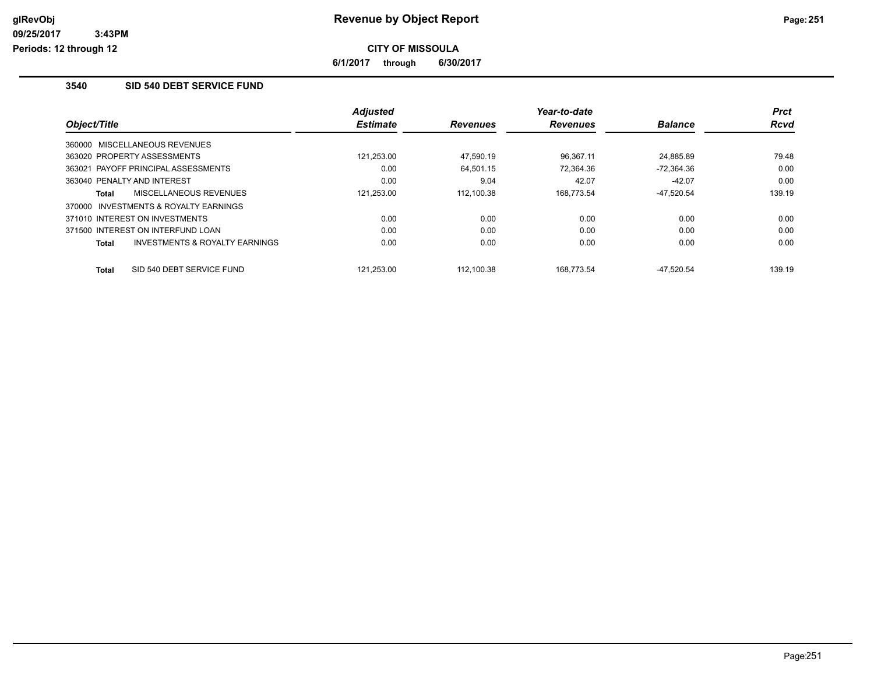**6/1/2017 through 6/30/2017**

## **3540 SID 540 DEBT SERVICE FUND**

|                                                | <b>Adjusted</b> |                 | Year-to-date    |                | <b>Prct</b> |
|------------------------------------------------|-----------------|-----------------|-----------------|----------------|-------------|
| Object/Title                                   | <b>Estimate</b> | <b>Revenues</b> | <b>Revenues</b> | <b>Balance</b> | Rcvd        |
| 360000 MISCELLANEOUS REVENUES                  |                 |                 |                 |                |             |
| 363020 PROPERTY ASSESSMENTS                    | 121.253.00      | 47.590.19       | 96.367.11       | 24.885.89      | 79.48       |
| 363021 PAYOFF PRINCIPAL ASSESSMENTS            | 0.00            | 64.501.15       | 72.364.36       | $-72.364.36$   | 0.00        |
| 363040 PENALTY AND INTEREST                    | 0.00            | 9.04            | 42.07           | $-42.07$       | 0.00        |
| MISCELLANEOUS REVENUES<br><b>Total</b>         | 121,253.00      | 112.100.38      | 168.773.54      | $-47,520.54$   | 139.19      |
| 370000 INVESTMENTS & ROYALTY EARNINGS          |                 |                 |                 |                |             |
| 371010 INTEREST ON INVESTMENTS                 | 0.00            | 0.00            | 0.00            | 0.00           | 0.00        |
| 371500 INTEREST ON INTERFUND LOAN              | 0.00            | 0.00            | 0.00            | 0.00           | 0.00        |
| INVESTMENTS & ROYALTY EARNINGS<br><b>Total</b> | 0.00            | 0.00            | 0.00            | 0.00           | 0.00        |
| SID 540 DEBT SERVICE FUND<br><b>Total</b>      | 121.253.00      | 112.100.38      | 168.773.54      | $-47.520.54$   | 139.19      |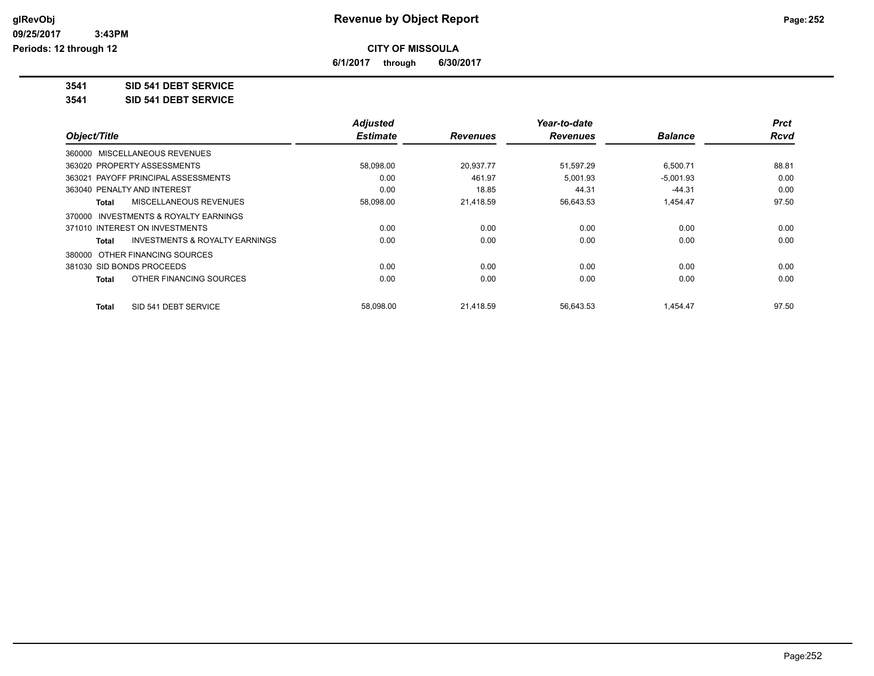**6/1/2017 through 6/30/2017**

**3541 SID 541 DEBT SERVICE**

**3541 SID 541 DEBT SERVICE**

|                                                           | <b>Adjusted</b> |                 | Year-to-date    |                | <b>Prct</b> |
|-----------------------------------------------------------|-----------------|-----------------|-----------------|----------------|-------------|
| Object/Title                                              | <b>Estimate</b> | <b>Revenues</b> | <b>Revenues</b> | <b>Balance</b> | <b>Rcvd</b> |
| 360000 MISCELLANEOUS REVENUES                             |                 |                 |                 |                |             |
| 363020 PROPERTY ASSESSMENTS                               | 58,098.00       | 20,937.77       | 51,597.29       | 6,500.71       | 88.81       |
| PAYOFF PRINCIPAL ASSESSMENTS<br>363021                    | 0.00            | 461.97          | 5,001.93        | $-5,001.93$    | 0.00        |
| 363040 PENALTY AND INTEREST                               | 0.00            | 18.85           | 44.31           | $-44.31$       | 0.00        |
| MISCELLANEOUS REVENUES<br>Total                           | 58,098.00       | 21.418.59       | 56,643.53       | 1,454.47       | 97.50       |
| 370000 INVESTMENTS & ROYALTY EARNINGS                     |                 |                 |                 |                |             |
| 371010 INTEREST ON INVESTMENTS                            | 0.00            | 0.00            | 0.00            | 0.00           | 0.00        |
| <b>INVESTMENTS &amp; ROYALTY EARNINGS</b><br><b>Total</b> | 0.00            | 0.00            | 0.00            | 0.00           | 0.00        |
| 380000 OTHER FINANCING SOURCES                            |                 |                 |                 |                |             |
| 381030 SID BONDS PROCEEDS                                 | 0.00            | 0.00            | 0.00            | 0.00           | 0.00        |
| OTHER FINANCING SOURCES<br><b>Total</b>                   | 0.00            | 0.00            | 0.00            | 0.00           | 0.00        |
| SID 541 DEBT SERVICE<br>Total                             | 58.098.00       | 21.418.59       | 56.643.53       | 1.454.47       | 97.50       |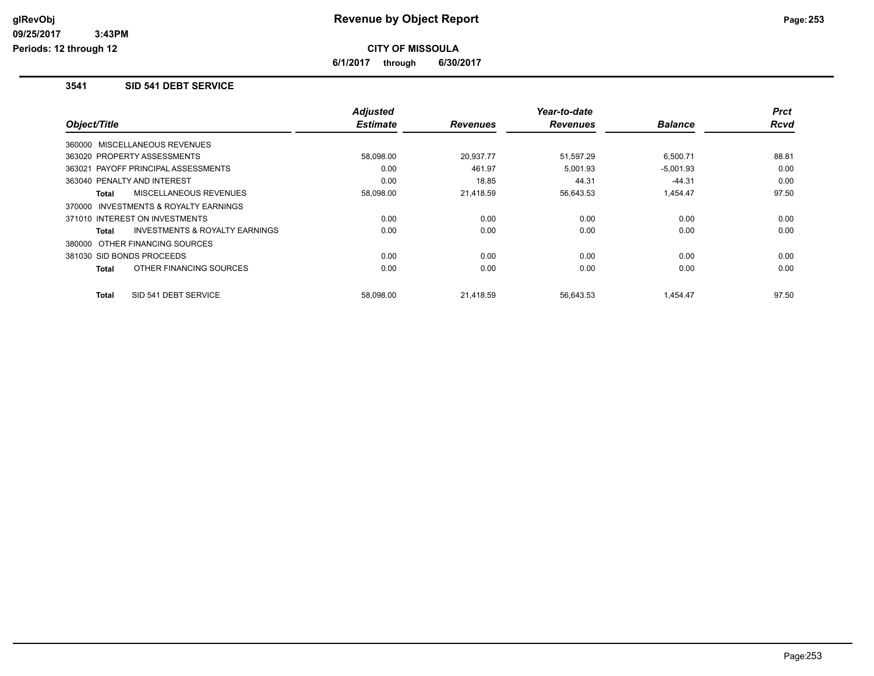**6/1/2017 through 6/30/2017**

### **3541 SID 541 DEBT SERVICE**

|                                                     | <b>Adjusted</b> |                 | Year-to-date    |                | <b>Prct</b> |
|-----------------------------------------------------|-----------------|-----------------|-----------------|----------------|-------------|
| Object/Title                                        | <b>Estimate</b> | <b>Revenues</b> | <b>Revenues</b> | <b>Balance</b> | <b>Rcvd</b> |
| 360000 MISCELLANEOUS REVENUES                       |                 |                 |                 |                |             |
| 363020 PROPERTY ASSESSMENTS                         | 58,098.00       | 20.937.77       | 51,597.29       | 6,500.71       | 88.81       |
| 363021 PAYOFF PRINCIPAL ASSESSMENTS                 | 0.00            | 461.97          | 5,001.93        | $-5,001.93$    | 0.00        |
| 363040 PENALTY AND INTEREST                         | 0.00            | 18.85           | 44.31           | $-44.31$       | 0.00        |
| MISCELLANEOUS REVENUES<br>Total                     | 58,098.00       | 21.418.59       | 56,643.53       | 1,454.47       | 97.50       |
| <b>INVESTMENTS &amp; ROYALTY EARNINGS</b><br>370000 |                 |                 |                 |                |             |
| 371010 INTEREST ON INVESTMENTS                      | 0.00            | 0.00            | 0.00            | 0.00           | 0.00        |
| INVESTMENTS & ROYALTY EARNINGS<br>Total             | 0.00            | 0.00            | 0.00            | 0.00           | 0.00        |
| 380000 OTHER FINANCING SOURCES                      |                 |                 |                 |                |             |
| 381030 SID BONDS PROCEEDS                           | 0.00            | 0.00            | 0.00            | 0.00           | 0.00        |
| OTHER FINANCING SOURCES<br><b>Total</b>             | 0.00            | 0.00            | 0.00            | 0.00           | 0.00        |
| SID 541 DEBT SERVICE<br><b>Total</b>                | 58.098.00       | 21.418.59       | 56.643.53       | 1,454.47       | 97.50       |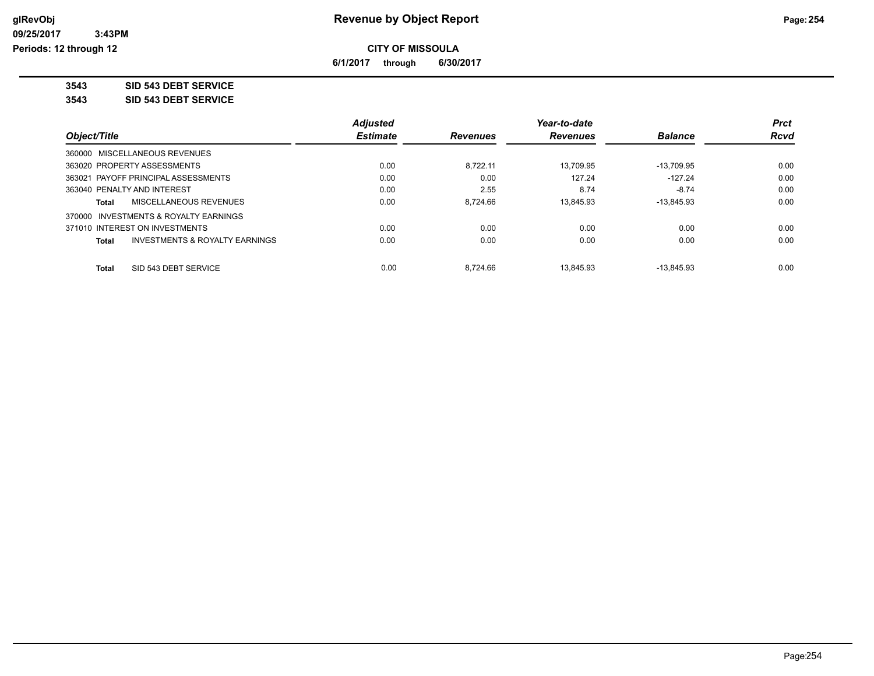**6/1/2017 through 6/30/2017**

**3543 SID 543 DEBT SERVICE**

**3543 SID 543 DEBT SERVICE**

|                                                | <b>Adjusted</b> |                 | Year-to-date    |                | <b>Prct</b> |
|------------------------------------------------|-----------------|-----------------|-----------------|----------------|-------------|
| Object/Title                                   | <b>Estimate</b> | <b>Revenues</b> | <b>Revenues</b> | <b>Balance</b> | Rcvd        |
| 360000 MISCELLANEOUS REVENUES                  |                 |                 |                 |                |             |
| 363020 PROPERTY ASSESSMENTS                    | 0.00            | 8.722.11        | 13,709.95       | $-13.709.95$   | 0.00        |
| 363021 PAYOFF PRINCIPAL ASSESSMENTS            | 0.00            | 0.00            | 127.24          | $-127.24$      | 0.00        |
| 363040 PENALTY AND INTEREST                    | 0.00            | 2.55            | 8.74            | $-8.74$        | 0.00        |
| MISCELLANEOUS REVENUES<br>Total                | 0.00            | 8.724.66        | 13.845.93       | $-13.845.93$   | 0.00        |
| 370000 INVESTMENTS & ROYALTY EARNINGS          |                 |                 |                 |                |             |
| 371010 INTEREST ON INVESTMENTS                 | 0.00            | 0.00            | 0.00            | 0.00           | 0.00        |
| INVESTMENTS & ROYALTY EARNINGS<br><b>Total</b> | 0.00            | 0.00            | 0.00            | 0.00           | 0.00        |
| SID 543 DEBT SERVICE<br><b>Total</b>           | 0.00            | 8.724.66        | 13.845.93       | $-13.845.93$   | 0.00        |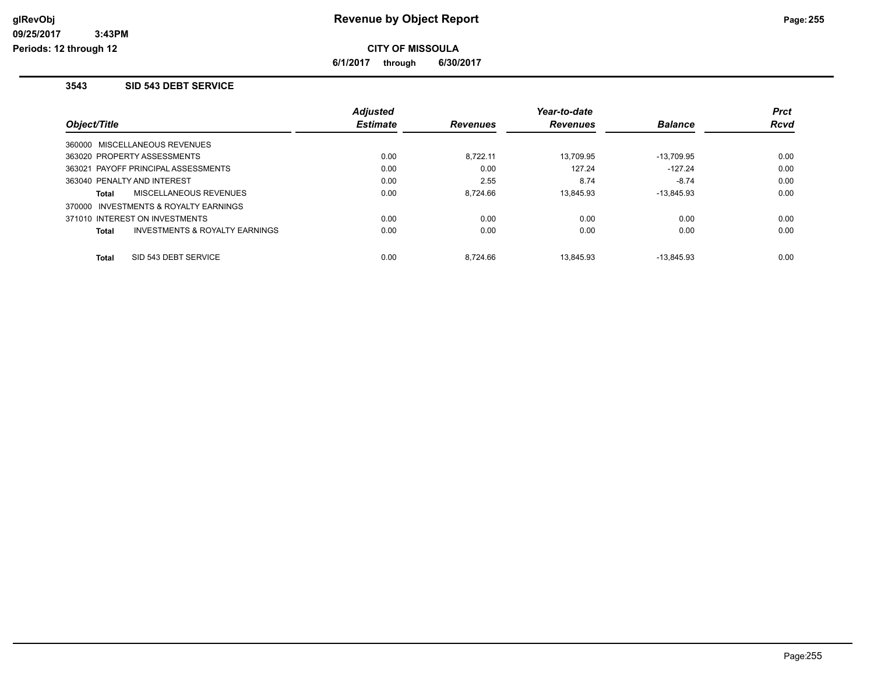**6/1/2017 through 6/30/2017**

### **3543 SID 543 DEBT SERVICE**

|                                |                                     | <b>Adjusted</b> |                 | Year-to-date    |                | <b>Prct</b> |
|--------------------------------|-------------------------------------|-----------------|-----------------|-----------------|----------------|-------------|
| <i><b>Object/Title</b></i>     |                                     | <b>Estimate</b> | <b>Revenues</b> | <b>Revenues</b> | <b>Balance</b> | <b>Rcvd</b> |
| 360000 MISCELLANEOUS REVENUES  |                                     |                 |                 |                 |                |             |
| 363020 PROPERTY ASSESSMENTS    |                                     | 0.00            | 8,722.11        | 13.709.95       | $-13.709.95$   | 0.00        |
|                                | 363021 PAYOFF PRINCIPAL ASSESSMENTS | 0.00            | 0.00            | 127.24          | $-127.24$      | 0.00        |
| 363040 PENALTY AND INTEREST    |                                     | 0.00            | 2.55            | 8.74            | $-8.74$        | 0.00        |
| Total                          | MISCELLANEOUS REVENUES              | 0.00            | 8.724.66        | 13.845.93       | $-13.845.93$   | 0.00        |
| 370000                         | INVESTMENTS & ROYALTY EARNINGS      |                 |                 |                 |                |             |
| 371010 INTEREST ON INVESTMENTS |                                     | 0.00            | 0.00            | 0.00            | 0.00           | 0.00        |
| Total                          | INVESTMENTS & ROYALTY EARNINGS      | 0.00            | 0.00            | 0.00            | 0.00           | 0.00        |
| <b>Total</b>                   | SID 543 DEBT SERVICE                | 0.00            | 8.724.66        | 13.845.93       | $-13.845.93$   | 0.00        |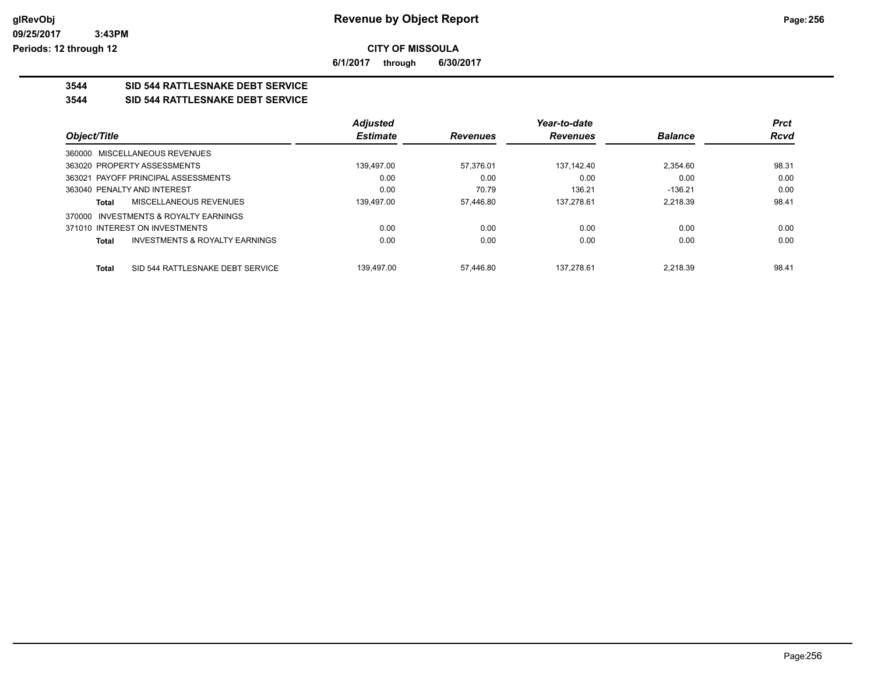**6/1/2017 through 6/30/2017**

# **3544 SID 544 RATTLESNAKE DEBT SERVICE**

# **3544 SID 544 RATTLESNAKE DEBT SERVICE**

|                             |                                           | <b>Adjusted</b> |                 | Year-to-date    |                | <b>Prct</b> |
|-----------------------------|-------------------------------------------|-----------------|-----------------|-----------------|----------------|-------------|
| Object/Title                |                                           | <b>Estimate</b> | <b>Revenues</b> | <b>Revenues</b> | <b>Balance</b> | <b>Rcvd</b> |
|                             | 360000 MISCELLANEOUS REVENUES             |                 |                 |                 |                |             |
|                             | 363020 PROPERTY ASSESSMENTS               | 139,497.00      | 57.376.01       | 137.142.40      | 2,354.60       | 98.31       |
|                             | 363021 PAYOFF PRINCIPAL ASSESSMENTS       | 0.00            | 0.00            | 0.00            | 0.00           | 0.00        |
| 363040 PENALTY AND INTEREST |                                           | 0.00            | 70.79           | 136.21          | $-136.21$      | 0.00        |
| Total                       | MISCELLANEOUS REVENUES                    | 139.497.00      | 57.446.80       | 137.278.61      | 2.218.39       | 98.41       |
|                             | 370000 INVESTMENTS & ROYALTY EARNINGS     |                 |                 |                 |                |             |
|                             | 371010 INTEREST ON INVESTMENTS            | 0.00            | 0.00            | 0.00            | 0.00           | 0.00        |
| Total                       | <b>INVESTMENTS &amp; ROYALTY EARNINGS</b> | 0.00            | 0.00            | 0.00            | 0.00           | 0.00        |
| <b>Total</b>                | SID 544 RATTLESNAKE DEBT SERVICE          | 139.497.00      | 57.446.80       | 137.278.61      | 2.218.39       | 98.41       |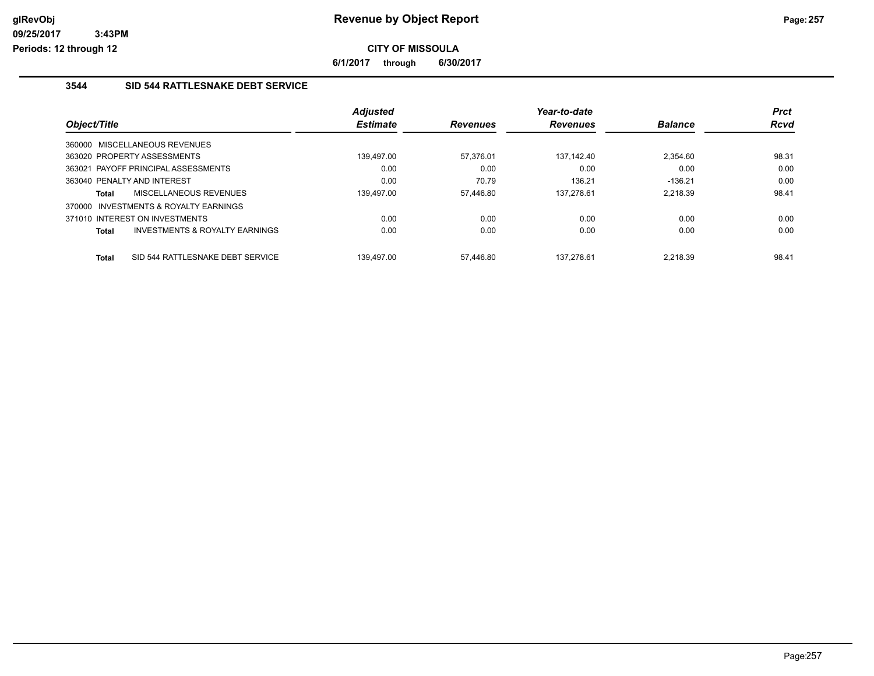**6/1/2017 through 6/30/2017**

# **3544 SID 544 RATTLESNAKE DEBT SERVICE**

|                                |                                     | <b>Adjusted</b> |                 | Year-to-date    |                | <b>Prct</b> |
|--------------------------------|-------------------------------------|-----------------|-----------------|-----------------|----------------|-------------|
| Object/Title                   |                                     | <b>Estimate</b> | <b>Revenues</b> | <b>Revenues</b> | <b>Balance</b> | <b>Rcvd</b> |
| 360000 MISCELLANEOUS REVENUES  |                                     |                 |                 |                 |                |             |
| 363020 PROPERTY ASSESSMENTS    |                                     | 139,497.00      | 57,376.01       | 137.142.40      | 2,354.60       | 98.31       |
|                                | 363021 PAYOFF PRINCIPAL ASSESSMENTS | 0.00            | 0.00            | 0.00            | 0.00           | 0.00        |
| 363040 PENALTY AND INTEREST    |                                     | 0.00            | 70.79           | 136.21          | $-136.21$      | 0.00        |
| Total                          | MISCELLANEOUS REVENUES              | 139.497.00      | 57.446.80       | 137.278.61      | 2.218.39       | 98.41       |
| 370000                         | INVESTMENTS & ROYALTY EARNINGS      |                 |                 |                 |                |             |
| 371010 INTEREST ON INVESTMENTS |                                     | 0.00            | 0.00            | 0.00            | 0.00           | 0.00        |
| <b>Total</b>                   | INVESTMENTS & ROYALTY EARNINGS      | 0.00            | 0.00            | 0.00            | 0.00           | 0.00        |
| <b>Total</b>                   | SID 544 RATTLESNAKE DEBT SERVICE    | 139.497.00      | 57.446.80       | 137.278.61      | 2.218.39       | 98.41       |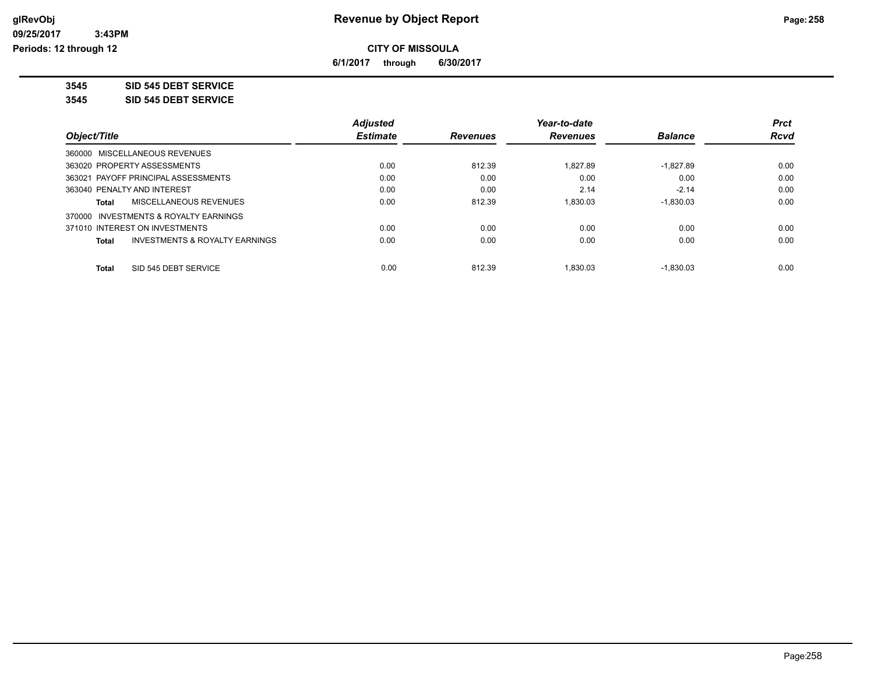**6/1/2017 through 6/30/2017**

**3545 SID 545 DEBT SERVICE**

**3545 SID 545 DEBT SERVICE**

|                                                    | <b>Adjusted</b> |                 | Year-to-date    |                | <b>Prct</b> |
|----------------------------------------------------|-----------------|-----------------|-----------------|----------------|-------------|
| Object/Title                                       | <b>Estimate</b> | <b>Revenues</b> | <b>Revenues</b> | <b>Balance</b> | Rcvd        |
| 360000 MISCELLANEOUS REVENUES                      |                 |                 |                 |                |             |
| 363020 PROPERTY ASSESSMENTS                        | 0.00            | 812.39          | 1.827.89        | -1.827.89      | 0.00        |
| 363021 PAYOFF PRINCIPAL ASSESSMENTS                | 0.00            | 0.00            | 0.00            | 0.00           | 0.00        |
| 363040 PENALTY AND INTEREST                        | 0.00            | 0.00            | 2.14            | $-2.14$        | 0.00        |
| MISCELLANEOUS REVENUES<br>Total                    | 0.00            | 812.39          | 1.830.03        | $-1.830.03$    | 0.00        |
| 370000 INVESTMENTS & ROYALTY EARNINGS              |                 |                 |                 |                |             |
| 371010 INTEREST ON INVESTMENTS                     | 0.00            | 0.00            | 0.00            | 0.00           | 0.00        |
| <b>INVESTMENTS &amp; ROYALTY EARNINGS</b><br>Total | 0.00            | 0.00            | 0.00            | 0.00           | 0.00        |
| SID 545 DEBT SERVICE<br>Total                      | 0.00            | 812.39          | 1.830.03        | $-1.830.03$    | 0.00        |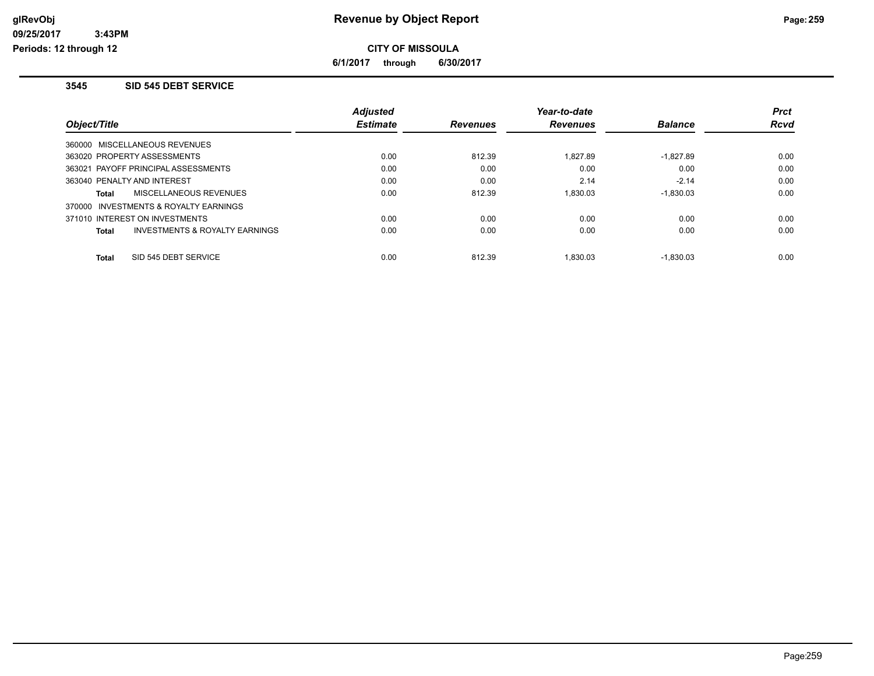**6/1/2017 through 6/30/2017**

### **3545 SID 545 DEBT SERVICE**

|              |                                     | <b>Adjusted</b> |                 | Year-to-date    |                | <b>Prct</b> |
|--------------|-------------------------------------|-----------------|-----------------|-----------------|----------------|-------------|
| Object/Title |                                     | <b>Estimate</b> | <b>Revenues</b> | <b>Revenues</b> | <b>Balance</b> | <b>Rcvd</b> |
|              | 360000 MISCELLANEOUS REVENUES       |                 |                 |                 |                |             |
|              | 363020 PROPERTY ASSESSMENTS         | 0.00            | 812.39          | 1.827.89        | $-1,827.89$    | 0.00        |
|              | 363021 PAYOFF PRINCIPAL ASSESSMENTS | 0.00            | 0.00            | 0.00            | 0.00           | 0.00        |
|              | 363040 PENALTY AND INTEREST         | 0.00            | 0.00            | 2.14            | $-2.14$        | 0.00        |
| Total        | MISCELLANEOUS REVENUES              | 0.00            | 812.39          | 1.830.03        | $-1.830.03$    | 0.00        |
| 370000       | INVESTMENTS & ROYALTY EARNINGS      |                 |                 |                 |                |             |
|              | 371010 INTEREST ON INVESTMENTS      | 0.00            | 0.00            | 0.00            | 0.00           | 0.00        |
| <b>Total</b> | INVESTMENTS & ROYALTY EARNINGS      | 0.00            | 0.00            | 0.00            | 0.00           | 0.00        |
| <b>Total</b> | SID 545 DEBT SERVICE                | 0.00            | 812.39          | 1.830.03        | $-1.830.03$    | 0.00        |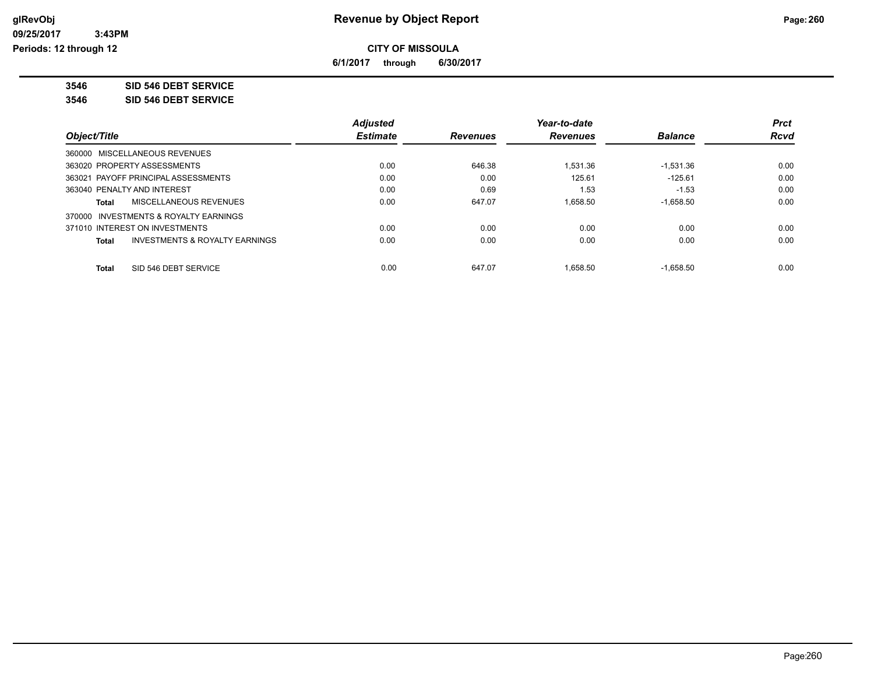**6/1/2017 through 6/30/2017**

**3546 SID 546 DEBT SERVICE**

**3546 SID 546 DEBT SERVICE**

|                                                | <b>Adjusted</b> |                 | Year-to-date    |                | <b>Prct</b> |
|------------------------------------------------|-----------------|-----------------|-----------------|----------------|-------------|
| Object/Title                                   | <b>Estimate</b> | <b>Revenues</b> | <b>Revenues</b> | <b>Balance</b> | Rcvd        |
| 360000 MISCELLANEOUS REVENUES                  |                 |                 |                 |                |             |
| 363020 PROPERTY ASSESSMENTS                    | 0.00            | 646.38          | 1.531.36        | $-1.531.36$    | 0.00        |
| 363021 PAYOFF PRINCIPAL ASSESSMENTS            | 0.00            | 0.00            | 125.61          | $-125.61$      | 0.00        |
| 363040 PENALTY AND INTEREST                    | 0.00            | 0.69            | 1.53            | $-1.53$        | 0.00        |
| MISCELLANEOUS REVENUES<br>Total                | 0.00            | 647.07          | 1.658.50        | $-1.658.50$    | 0.00        |
| 370000 INVESTMENTS & ROYALTY EARNINGS          |                 |                 |                 |                |             |
| 371010 INTEREST ON INVESTMENTS                 | 0.00            | 0.00            | 0.00            | 0.00           | 0.00        |
| INVESTMENTS & ROYALTY EARNINGS<br><b>Total</b> | 0.00            | 0.00            | 0.00            | 0.00           | 0.00        |
| SID 546 DEBT SERVICE<br><b>Total</b>           | 0.00            | 647.07          | 1.658.50        | $-1.658.50$    | 0.00        |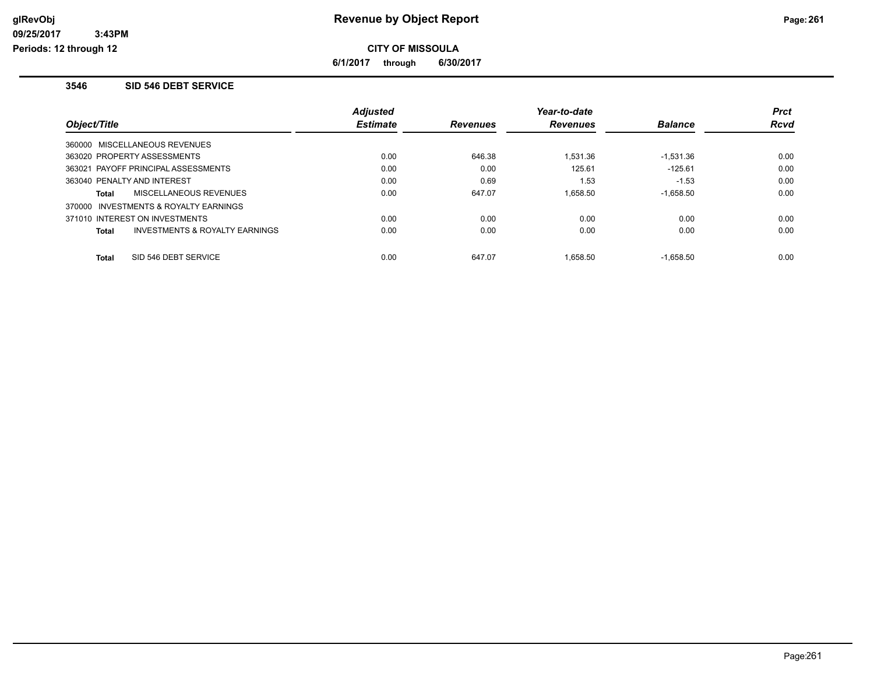**6/1/2017 through 6/30/2017**

### **3546 SID 546 DEBT SERVICE**

|                                                    | <b>Adjusted</b> |                 | Year-to-date    |                | <b>Prct</b> |
|----------------------------------------------------|-----------------|-----------------|-----------------|----------------|-------------|
| Object/Title                                       | <b>Estimate</b> | <b>Revenues</b> | <b>Revenues</b> | <b>Balance</b> | <b>Rcvd</b> |
| 360000 MISCELLANEOUS REVENUES                      |                 |                 |                 |                |             |
| 363020 PROPERTY ASSESSMENTS                        | 0.00            | 646.38          | 1.531.36        | $-1.531.36$    | 0.00        |
| 363021 PAYOFF PRINCIPAL ASSESSMENTS                | 0.00            | 0.00            | 125.61          | $-125.61$      | 0.00        |
| 363040 PENALTY AND INTEREST                        | 0.00            | 0.69            | 1.53            | $-1.53$        | 0.00        |
| MISCELLANEOUS REVENUES<br>Total                    | 0.00            | 647.07          | 1.658.50        | $-1.658.50$    | 0.00        |
| 370000 INVESTMENTS & ROYALTY EARNINGS              |                 |                 |                 |                |             |
| 371010 INTEREST ON INVESTMENTS                     | 0.00            | 0.00            | 0.00            | 0.00           | 0.00        |
| Total<br><b>INVESTMENTS &amp; ROYALTY EARNINGS</b> | 0.00            | 0.00            | 0.00            | 0.00           | 0.00        |
| SID 546 DEBT SERVICE<br><b>Total</b>               | 0.00            | 647.07          | 1.658.50        | $-1.658.50$    | 0.00        |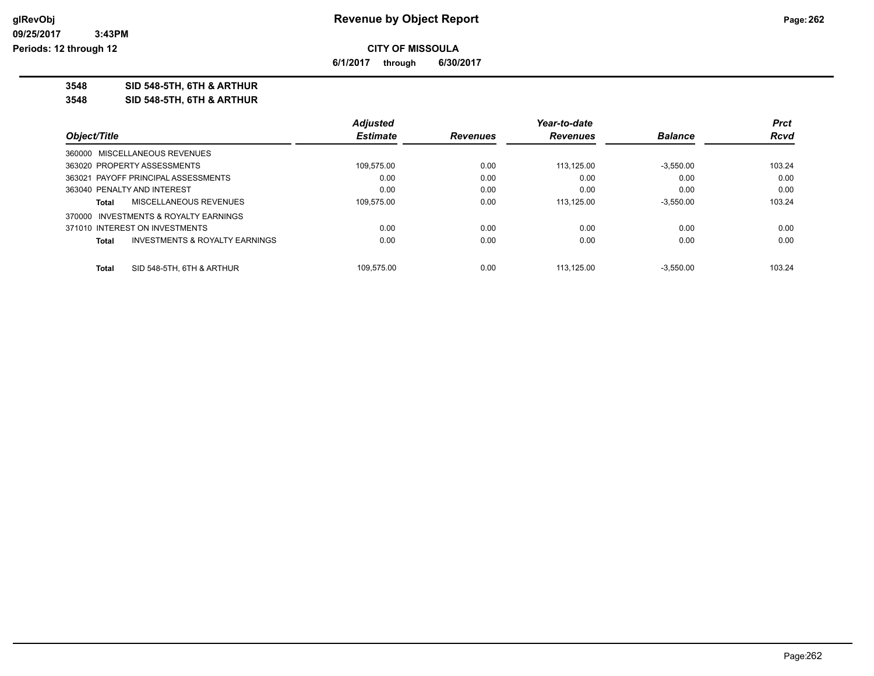**6/1/2017 through 6/30/2017**

**3548 SID 548-5TH, 6TH & ARTHUR**

**3548 SID 548-5TH, 6TH & ARTHUR**

|                                                    | <b>Adjusted</b> |                 | Year-to-date    |                | <b>Prct</b> |
|----------------------------------------------------|-----------------|-----------------|-----------------|----------------|-------------|
| Object/Title                                       | <b>Estimate</b> | <b>Revenues</b> | <b>Revenues</b> | <b>Balance</b> | Rcvd        |
| 360000 MISCELLANEOUS REVENUES                      |                 |                 |                 |                |             |
| 363020 PROPERTY ASSESSMENTS                        | 109.575.00      | 0.00            | 113.125.00      | $-3.550.00$    | 103.24      |
| 363021 PAYOFF PRINCIPAL ASSESSMENTS                | 0.00            | 0.00            | 0.00            | 0.00           | 0.00        |
| 363040 PENALTY AND INTEREST                        | 0.00            | 0.00            | 0.00            | 0.00           | 0.00        |
| MISCELLANEOUS REVENUES<br>Total                    | 109.575.00      | 0.00            | 113.125.00      | $-3.550.00$    | 103.24      |
| 370000 INVESTMENTS & ROYALTY EARNINGS              |                 |                 |                 |                |             |
| 371010 INTEREST ON INVESTMENTS                     | 0.00            | 0.00            | 0.00            | 0.00           | 0.00        |
| <b>INVESTMENTS &amp; ROYALTY EARNINGS</b><br>Total | 0.00            | 0.00            | 0.00            | 0.00           | 0.00        |
| SID 548-5TH, 6TH & ARTHUR<br>Total                 | 109.575.00      | 0.00            | 113.125.00      | $-3.550.00$    | 103.24      |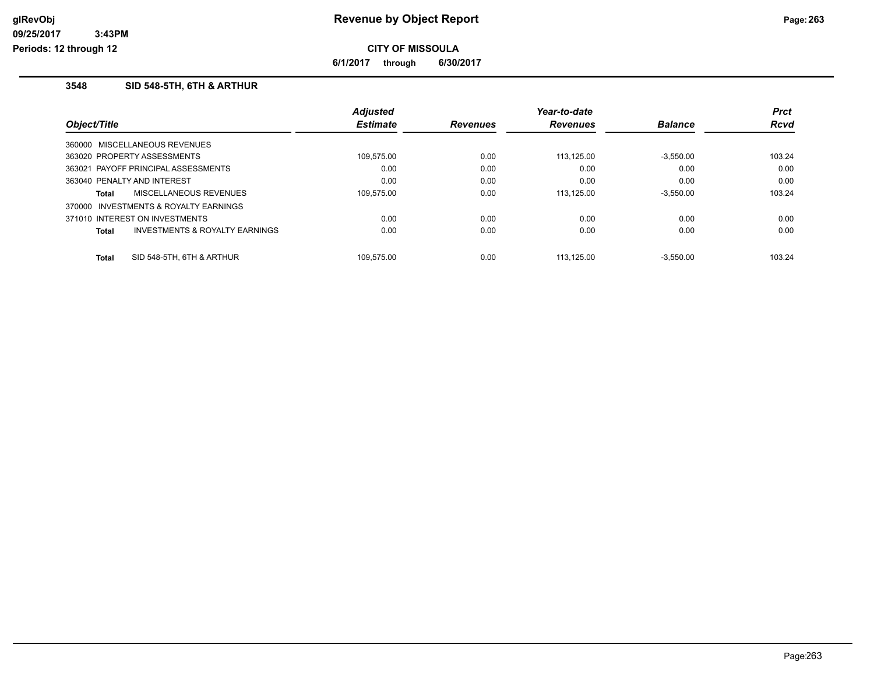**6/1/2017 through 6/30/2017**

# **3548 SID 548-5TH, 6TH & ARTHUR**

|              |                                           | <b>Adjusted</b> |                 | Year-to-date    |                | <b>Prct</b> |
|--------------|-------------------------------------------|-----------------|-----------------|-----------------|----------------|-------------|
| Object/Title |                                           | <b>Estimate</b> | <b>Revenues</b> | <b>Revenues</b> | <b>Balance</b> | <b>Rcvd</b> |
|              | 360000 MISCELLANEOUS REVENUES             |                 |                 |                 |                |             |
|              | 363020 PROPERTY ASSESSMENTS               | 109.575.00      | 0.00            | 113.125.00      | $-3,550.00$    | 103.24      |
|              | 363021 PAYOFF PRINCIPAL ASSESSMENTS       | 0.00            | 0.00            | 0.00            | 0.00           | 0.00        |
|              | 363040 PENALTY AND INTEREST               | 0.00            | 0.00            | 0.00            | 0.00           | 0.00        |
| Total        | MISCELLANEOUS REVENUES                    | 109.575.00      | 0.00            | 113.125.00      | $-3.550.00$    | 103.24      |
| 370000       | INVESTMENTS & ROYALTY EARNINGS            |                 |                 |                 |                |             |
|              | 371010 INTEREST ON INVESTMENTS            | 0.00            | 0.00            | 0.00            | 0.00           | 0.00        |
| Total        | <b>INVESTMENTS &amp; ROYALTY EARNINGS</b> | 0.00            | 0.00            | 0.00            | 0.00           | 0.00        |
| <b>Total</b> | SID 548-5TH, 6TH & ARTHUR                 | 109.575.00      | 0.00            | 113.125.00      | $-3.550.00$    | 103.24      |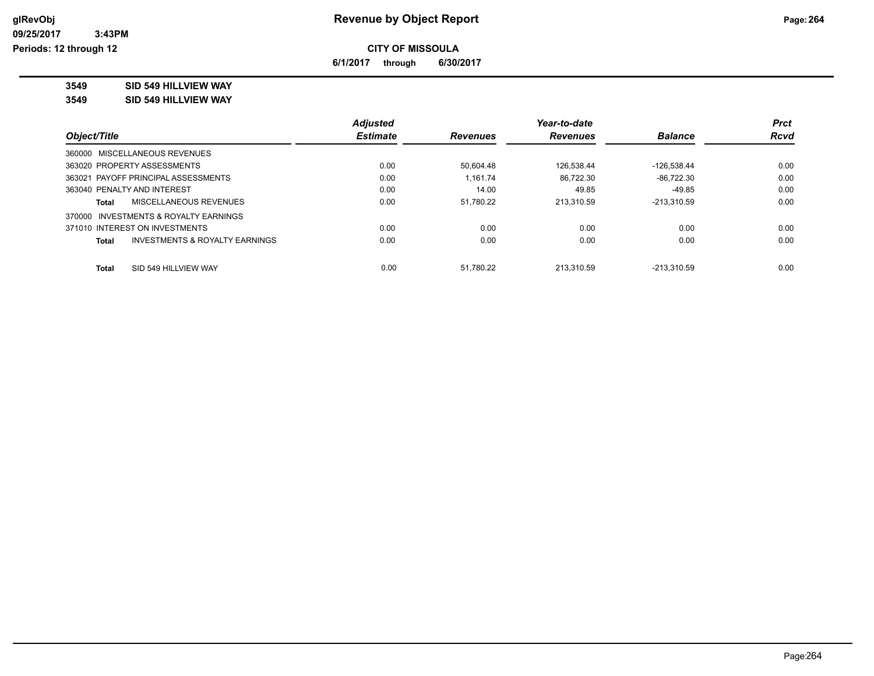**6/1/2017 through 6/30/2017**

**3549 SID 549 HILLVIEW WAY**

**3549 SID 549 HILLVIEW WAY**

|                                                           | <b>Adjusted</b> |                 | Year-to-date    |                | <b>Prct</b> |
|-----------------------------------------------------------|-----------------|-----------------|-----------------|----------------|-------------|
| Object/Title                                              | <b>Estimate</b> | <b>Revenues</b> | <b>Revenues</b> | <b>Balance</b> | Rcvd        |
| 360000 MISCELLANEOUS REVENUES                             |                 |                 |                 |                |             |
| 363020 PROPERTY ASSESSMENTS                               | 0.00            | 50.604.48       | 126.538.44      | $-126.538.44$  | 0.00        |
| 363021 PAYOFF PRINCIPAL ASSESSMENTS                       | 0.00            | 1.161.74        | 86.722.30       | $-86.722.30$   | 0.00        |
| 363040 PENALTY AND INTEREST                               | 0.00            | 14.00           | 49.85           | $-49.85$       | 0.00        |
| <b>MISCELLANEOUS REVENUES</b><br><b>Total</b>             | 0.00            | 51,780.22       | 213.310.59      | $-213.310.59$  | 0.00        |
| 370000 INVESTMENTS & ROYALTY EARNINGS                     |                 |                 |                 |                |             |
| 371010 INTEREST ON INVESTMENTS                            | 0.00            | 0.00            | 0.00            | 0.00           | 0.00        |
| <b>INVESTMENTS &amp; ROYALTY EARNINGS</b><br><b>Total</b> | 0.00            | 0.00            | 0.00            | 0.00           | 0.00        |
| SID 549 HILLVIEW WAY<br><b>Total</b>                      | 0.00            | 51.780.22       | 213.310.59      | $-213.310.59$  | 0.00        |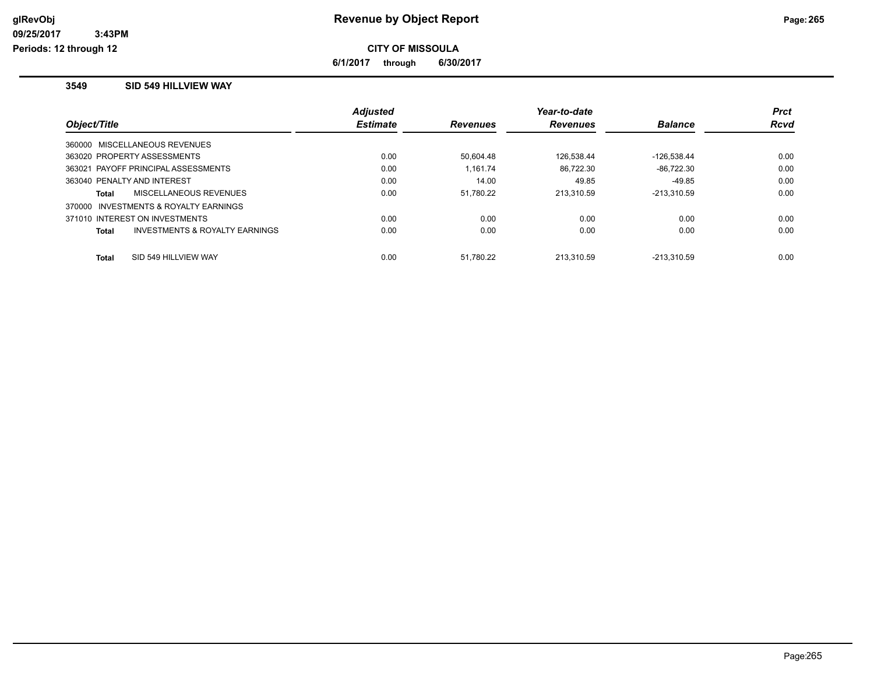**6/1/2017 through 6/30/2017**

# **3549 SID 549 HILLVIEW WAY**

|              |                                     | <b>Adjusted</b> |                 | Year-to-date    |                | <b>Prct</b> |
|--------------|-------------------------------------|-----------------|-----------------|-----------------|----------------|-------------|
| Object/Title |                                     | <b>Estimate</b> | <b>Revenues</b> | <b>Revenues</b> | <b>Balance</b> | <b>Rcvd</b> |
|              | 360000 MISCELLANEOUS REVENUES       |                 |                 |                 |                |             |
|              | 363020 PROPERTY ASSESSMENTS         | 0.00            | 50,604.48       | 126,538.44      | $-126,538.44$  | 0.00        |
|              | 363021 PAYOFF PRINCIPAL ASSESSMENTS | 0.00            | 1.161.74        | 86.722.30       | $-86.722.30$   | 0.00        |
|              | 363040 PENALTY AND INTEREST         | 0.00            | 14.00           | 49.85           | $-49.85$       | 0.00        |
| Total        | MISCELLANEOUS REVENUES              | 0.00            | 51.780.22       | 213.310.59      | $-213.310.59$  | 0.00        |
| 370000       | INVESTMENTS & ROYALTY EARNINGS      |                 |                 |                 |                |             |
|              | 371010 INTEREST ON INVESTMENTS      | 0.00            | 0.00            | 0.00            | 0.00           | 0.00        |
| <b>Total</b> | INVESTMENTS & ROYALTY EARNINGS      | 0.00            | 0.00            | 0.00            | 0.00           | 0.00        |
| <b>Total</b> | SID 549 HILLVIEW WAY                | 0.00            | 51.780.22       | 213.310.59      | -213.310.59    | 0.00        |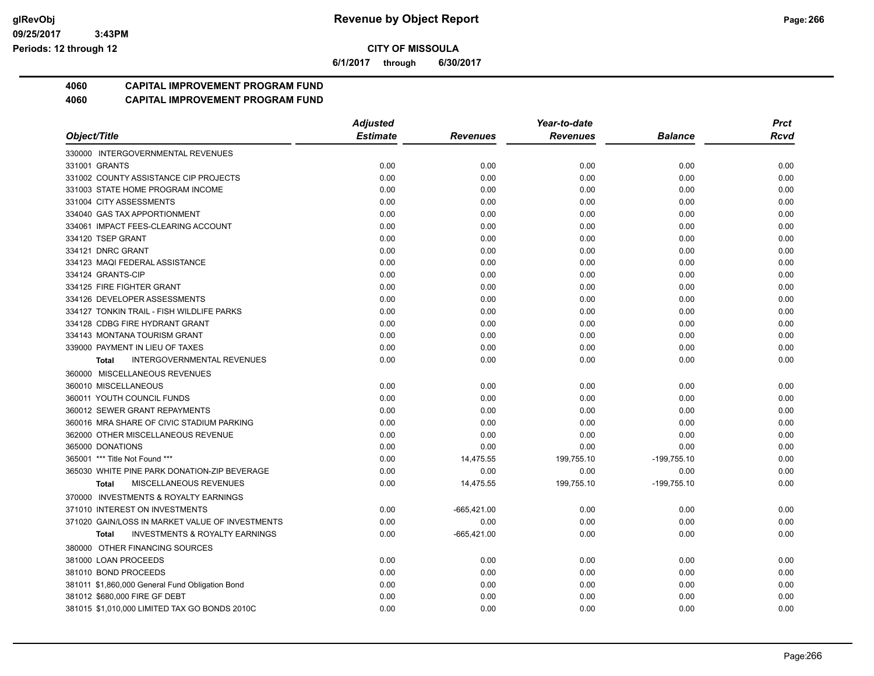**6/1/2017 through 6/30/2017**

# **4060 CAPITAL IMPROVEMENT PROGRAM FUND**

|                                                    | <b>Adjusted</b> |                 | Year-to-date    |                | <b>Prct</b> |
|----------------------------------------------------|-----------------|-----------------|-----------------|----------------|-------------|
| Object/Title                                       | <b>Estimate</b> | <b>Revenues</b> | <b>Revenues</b> | <b>Balance</b> | <b>Rcvd</b> |
| 330000 INTERGOVERNMENTAL REVENUES                  |                 |                 |                 |                |             |
| 331001 GRANTS                                      | 0.00            | 0.00            | 0.00            | 0.00           | 0.00        |
| 331002 COUNTY ASSISTANCE CIP PROJECTS              | 0.00            | 0.00            | 0.00            | 0.00           | 0.00        |
| 331003 STATE HOME PROGRAM INCOME                   | 0.00            | 0.00            | 0.00            | 0.00           | 0.00        |
| 331004 CITY ASSESSMENTS                            | 0.00            | 0.00            | 0.00            | 0.00           | 0.00        |
| 334040 GAS TAX APPORTIONMENT                       | 0.00            | 0.00            | 0.00            | 0.00           | 0.00        |
| 334061 IMPACT FEES-CLEARING ACCOUNT                | 0.00            | 0.00            | 0.00            | 0.00           | 0.00        |
| 334120 TSEP GRANT                                  | 0.00            | 0.00            | 0.00            | 0.00           | 0.00        |
| 334121 DNRC GRANT                                  | 0.00            | 0.00            | 0.00            | 0.00           | 0.00        |
| 334123 MAQI FEDERAL ASSISTANCE                     | 0.00            | 0.00            | 0.00            | 0.00           | 0.00        |
| 334124 GRANTS-CIP                                  | 0.00            | 0.00            | 0.00            | 0.00           | 0.00        |
| 334125 FIRE FIGHTER GRANT                          | 0.00            | 0.00            | 0.00            | 0.00           | 0.00        |
| 334126 DEVELOPER ASSESSMENTS                       | 0.00            | 0.00            | 0.00            | 0.00           | 0.00        |
| 334127 TONKIN TRAIL - FISH WILDLIFE PARKS          | 0.00            | 0.00            | 0.00            | 0.00           | 0.00        |
| 334128 CDBG FIRE HYDRANT GRANT                     | 0.00            | 0.00            | 0.00            | 0.00           | 0.00        |
| 334143 MONTANA TOURISM GRANT                       | 0.00            | 0.00            | 0.00            | 0.00           | 0.00        |
| 339000 PAYMENT IN LIEU OF TAXES                    | 0.00            | 0.00            | 0.00            | 0.00           | 0.00        |
| <b>INTERGOVERNMENTAL REVENUES</b><br><b>Total</b>  | 0.00            | 0.00            | 0.00            | 0.00           | 0.00        |
| 360000 MISCELLANEOUS REVENUES                      |                 |                 |                 |                |             |
| 360010 MISCELLANEOUS                               | 0.00            | 0.00            | 0.00            | 0.00           | 0.00        |
| 360011 YOUTH COUNCIL FUNDS                         | 0.00            | 0.00            | 0.00            | 0.00           | 0.00        |
| 360012 SEWER GRANT REPAYMENTS                      | 0.00            | 0.00            | 0.00            | 0.00           | 0.00        |
| 360016 MRA SHARE OF CIVIC STADIUM PARKING          | 0.00            | 0.00            | 0.00            | 0.00           | 0.00        |
| 362000 OTHER MISCELLANEOUS REVENUE                 | 0.00            | 0.00            | 0.00            | 0.00           | 0.00        |
| 365000 DONATIONS                                   | 0.00            | 0.00            | 0.00            | 0.00           | 0.00        |
| 365001 *** Title Not Found ***                     | 0.00            | 14,475.55       | 199,755.10      | $-199,755.10$  | 0.00        |
| 365030 WHITE PINE PARK DONATION-ZIP BEVERAGE       | 0.00            | 0.00            | 0.00            | 0.00           | 0.00        |
| <b>MISCELLANEOUS REVENUES</b><br><b>Total</b>      | 0.00            | 14,475.55       | 199,755.10      | $-199,755.10$  | 0.00        |
| 370000 INVESTMENTS & ROYALTY EARNINGS              |                 |                 |                 |                |             |
| 371010 INTEREST ON INVESTMENTS                     | 0.00            | $-665,421.00$   | 0.00            | 0.00           | 0.00        |
| 371020 GAIN/LOSS IN MARKET VALUE OF INVESTMENTS    | 0.00            | 0.00            | 0.00            | 0.00           | 0.00        |
| <b>INVESTMENTS &amp; ROYALTY EARNINGS</b><br>Total | 0.00            | $-665,421.00$   | 0.00            | 0.00           | 0.00        |
| 380000 OTHER FINANCING SOURCES                     |                 |                 |                 |                |             |
| 381000 LOAN PROCEEDS                               | 0.00            | 0.00            | 0.00            | 0.00           | 0.00        |
| 381010 BOND PROCEEDS                               | 0.00            | 0.00            | 0.00            | 0.00           | 0.00        |
| 381011 \$1,860,000 General Fund Obligation Bond    | 0.00            | 0.00            | 0.00            | 0.00           | 0.00        |
| 381012 \$680,000 FIRE GF DEBT                      | 0.00            | 0.00            | 0.00            | 0.00           | 0.00        |
| 381015 \$1,010,000 LIMITED TAX GO BONDS 2010C      | 0.00            | 0.00            | 0.00            | 0.00           | 0.00        |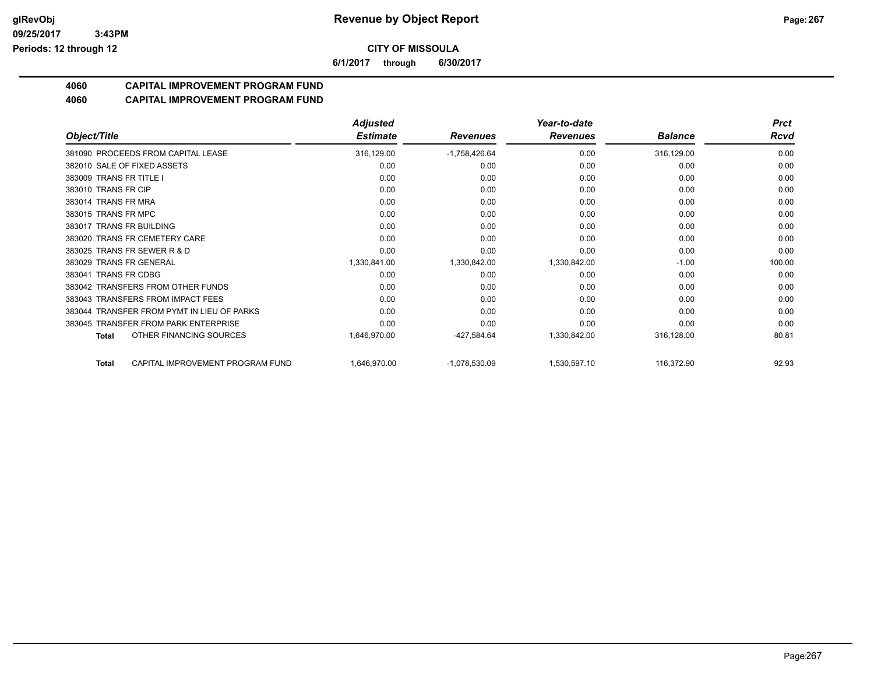**6/1/2017 through 6/30/2017**

# **4060 CAPITAL IMPROVEMENT PROGRAM FUND**

|                                            | <b>Adjusted</b> |                 | Year-to-date    |                | <b>Prct</b> |
|--------------------------------------------|-----------------|-----------------|-----------------|----------------|-------------|
| Object/Title                               | <b>Estimate</b> | <b>Revenues</b> | <b>Revenues</b> | <b>Balance</b> | <b>Rcvd</b> |
| 381090 PROCEEDS FROM CAPITAL LEASE         | 316,129.00      | $-1,758,426.64$ | 0.00            | 316,129.00     | 0.00        |
| 382010 SALE OF FIXED ASSETS                | 0.00            | 0.00            | 0.00            | 0.00           | 0.00        |
| 383009 TRANS FR TITLE I                    | 0.00            | 0.00            | 0.00            | 0.00           | 0.00        |
| 383010 TRANS FR CIP                        | 0.00            | 0.00            | 0.00            | 0.00           | 0.00        |
| 383014 TRANS FR MRA                        | 0.00            | 0.00            | 0.00            | 0.00           | 0.00        |
| 383015 TRANS FR MPC                        | 0.00            | 0.00            | 0.00            | 0.00           | 0.00        |
| 383017 TRANS FR BUILDING                   | 0.00            | 0.00            | 0.00            | 0.00           | 0.00        |
| 383020 TRANS FR CEMETERY CARE              | 0.00            | 0.00            | 0.00            | 0.00           | 0.00        |
| 383025 TRANS FR SEWER R & D                | 0.00            | 0.00            | 0.00            | 0.00           | 0.00        |
| 383029 TRANS FR GENERAL                    | 1,330,841.00    | 1,330,842.00    | 1,330,842.00    | $-1.00$        | 100.00      |
| 383041 TRANS FR CDBG                       | 0.00            | 0.00            | 0.00            | 0.00           | 0.00        |
| 383042 TRANSFERS FROM OTHER FUNDS          | 0.00            | 0.00            | 0.00            | 0.00           | 0.00        |
| 383043 TRANSFERS FROM IMPACT FEES          | 0.00            | 0.00            | 0.00            | 0.00           | 0.00        |
| 383044 TRANSFER FROM PYMT IN LIEU OF PARKS | 0.00            | 0.00            | 0.00            | 0.00           | 0.00        |
| 383045 TRANSFER FROM PARK ENTERPRISE       | 0.00            | 0.00            | 0.00            | 0.00           | 0.00        |
| OTHER FINANCING SOURCES<br>Total           | 1,646,970.00    | -427,584.64     | 1,330,842.00    | 316,128.00     | 80.81       |
| CAPITAL IMPROVEMENT PROGRAM FUND<br>Total  | 1,646,970.00    | $-1,078,530.09$ | 1,530,597.10    | 116,372.90     | 92.93       |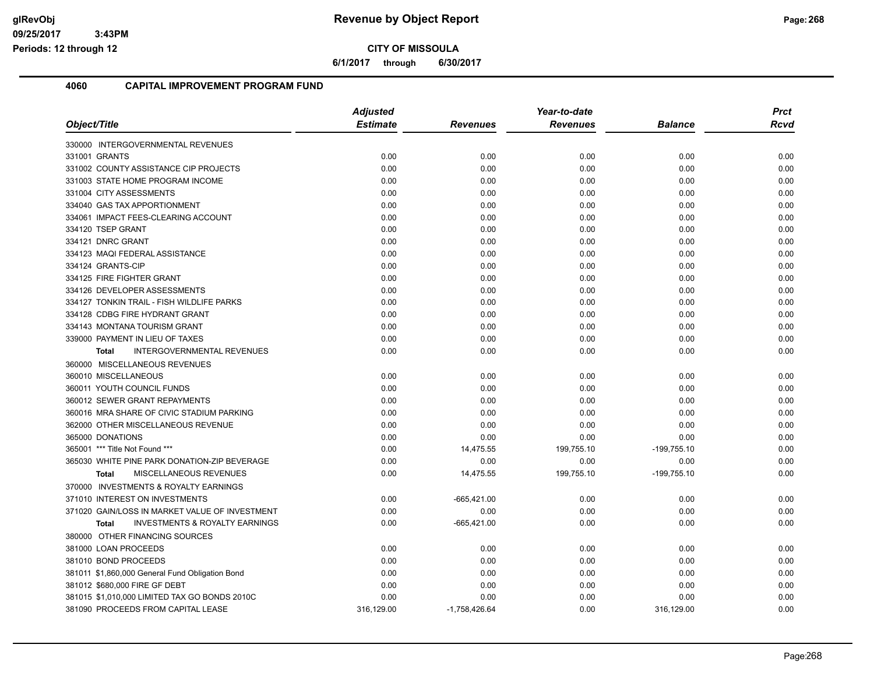**6/1/2017 through 6/30/2017**

|                                                           | <b>Adjusted</b> |                 | Year-to-date    |                | <b>Prct</b> |
|-----------------------------------------------------------|-----------------|-----------------|-----------------|----------------|-------------|
| Object/Title                                              | <b>Estimate</b> | Revenues        | <b>Revenues</b> | <b>Balance</b> | <b>Rcvd</b> |
| 330000 INTERGOVERNMENTAL REVENUES                         |                 |                 |                 |                |             |
| 331001 GRANTS                                             | 0.00            | 0.00            | 0.00            | 0.00           | 0.00        |
| 331002 COUNTY ASSISTANCE CIP PROJECTS                     | 0.00            | 0.00            | 0.00            | 0.00           | 0.00        |
| 331003 STATE HOME PROGRAM INCOME                          | 0.00            | 0.00            | 0.00            | 0.00           | 0.00        |
| 331004 CITY ASSESSMENTS                                   | 0.00            | 0.00            | 0.00            | 0.00           | 0.00        |
| 334040 GAS TAX APPORTIONMENT                              | 0.00            | 0.00            | 0.00            | 0.00           | 0.00        |
| 334061 IMPACT FEES-CLEARING ACCOUNT                       | 0.00            | 0.00            | 0.00            | 0.00           | 0.00        |
| 334120 TSEP GRANT                                         | 0.00            | 0.00            | 0.00            | 0.00           | 0.00        |
| 334121 DNRC GRANT                                         | 0.00            | 0.00            | 0.00            | 0.00           | 0.00        |
| 334123 MAQI FEDERAL ASSISTANCE                            | 0.00            | 0.00            | 0.00            | 0.00           | 0.00        |
| 334124 GRANTS-CIP                                         | 0.00            | 0.00            | 0.00            | 0.00           | 0.00        |
| 334125 FIRE FIGHTER GRANT                                 | 0.00            | 0.00            | 0.00            | 0.00           | 0.00        |
| 334126 DEVELOPER ASSESSMENTS                              | 0.00            | 0.00            | 0.00            | 0.00           | 0.00        |
| 334127 TONKIN TRAIL - FISH WILDLIFE PARKS                 | 0.00            | 0.00            | 0.00            | 0.00           | 0.00        |
| 334128 CDBG FIRE HYDRANT GRANT                            | 0.00            | 0.00            | 0.00            | 0.00           | 0.00        |
| 334143 MONTANA TOURISM GRANT                              | 0.00            | 0.00            | 0.00            | 0.00           | 0.00        |
| 339000 PAYMENT IN LIEU OF TAXES                           | 0.00            | 0.00            | 0.00            | 0.00           | 0.00        |
| <b>INTERGOVERNMENTAL REVENUES</b><br><b>Total</b>         | 0.00            | 0.00            | 0.00            | 0.00           | 0.00        |
| 360000 MISCELLANEOUS REVENUES                             |                 |                 |                 |                |             |
| 360010 MISCELLANEOUS                                      | 0.00            | 0.00            | 0.00            | 0.00           | 0.00        |
| 360011 YOUTH COUNCIL FUNDS                                | 0.00            | 0.00            | 0.00            | 0.00           | 0.00        |
| 360012 SEWER GRANT REPAYMENTS                             | 0.00            | 0.00            | 0.00            | 0.00           | 0.00        |
| 360016 MRA SHARE OF CIVIC STADIUM PARKING                 | 0.00            | 0.00            | 0.00            | 0.00           | 0.00        |
| 362000 OTHER MISCELLANEOUS REVENUE                        | 0.00            | 0.00            | 0.00            | 0.00           | 0.00        |
| 365000 DONATIONS                                          | 0.00            | 0.00            | 0.00            | 0.00           | 0.00        |
| 365001 *** Title Not Found ***                            | 0.00            | 14,475.55       | 199,755.10      | $-199,755.10$  | 0.00        |
| 365030 WHITE PINE PARK DONATION-ZIP BEVERAGE              | 0.00            | 0.00            | 0.00            | 0.00           | 0.00        |
| MISCELLANEOUS REVENUES<br><b>Total</b>                    | 0.00            | 14,475.55       | 199,755.10      | $-199,755.10$  | 0.00        |
| 370000 INVESTMENTS & ROYALTY EARNINGS                     |                 |                 |                 |                |             |
| 371010 INTEREST ON INVESTMENTS                            | 0.00            | $-665,421.00$   | 0.00            | 0.00           | 0.00        |
| 371020 GAIN/LOSS IN MARKET VALUE OF INVESTMENT            | 0.00            | 0.00            | 0.00            | 0.00           | 0.00        |
| <b>INVESTMENTS &amp; ROYALTY EARNINGS</b><br><b>Total</b> | 0.00            | $-665,421.00$   | 0.00            | 0.00           | 0.00        |
| 380000 OTHER FINANCING SOURCES                            |                 |                 |                 |                |             |
| 381000 LOAN PROCEEDS                                      | 0.00            | 0.00            | 0.00            | 0.00           | 0.00        |
| 381010 BOND PROCEEDS                                      | 0.00            | 0.00            | 0.00            | 0.00           | 0.00        |
| 381011 \$1,860,000 General Fund Obligation Bond           | 0.00            | 0.00            | 0.00            | 0.00           | 0.00        |
| 381012 \$680,000 FIRE GF DEBT                             | 0.00            | 0.00            | 0.00            | 0.00           | 0.00        |
| 381015 \$1,010,000 LIMITED TAX GO BONDS 2010C             | 0.00            | 0.00            | 0.00            | 0.00           | 0.00        |
| 381090 PROCEEDS FROM CAPITAL LEASE                        | 316.129.00      | $-1.758.426.64$ | 0.00            | 316.129.00     | 0.00        |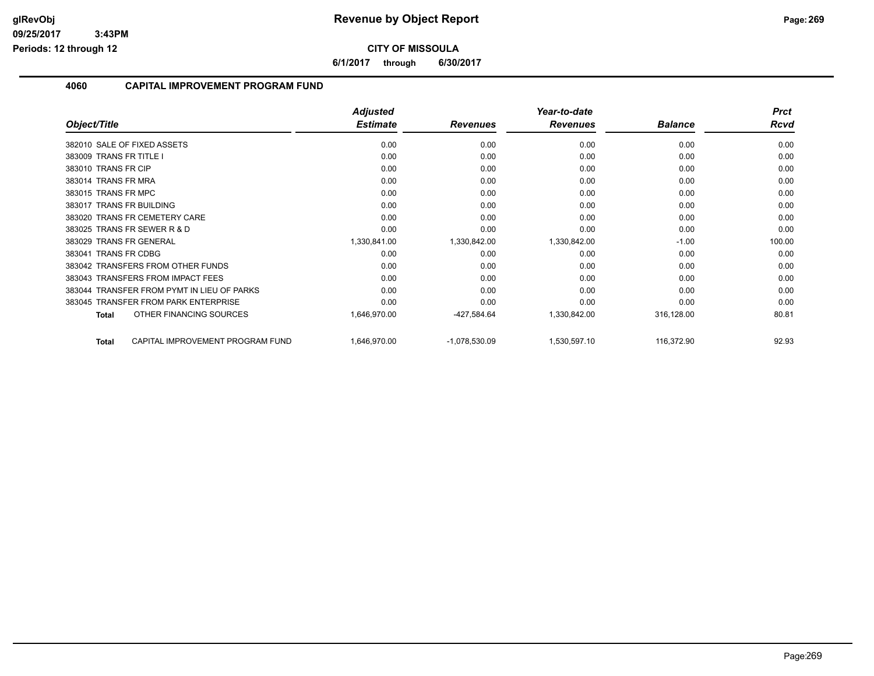**6/1/2017 through 6/30/2017**

|                                                  | <b>Adjusted</b> |                 | Year-to-date    |                | <b>Prct</b> |
|--------------------------------------------------|-----------------|-----------------|-----------------|----------------|-------------|
| Object/Title                                     | <b>Estimate</b> | <b>Revenues</b> | <b>Revenues</b> | <b>Balance</b> | <b>Rcvd</b> |
| 382010 SALE OF FIXED ASSETS                      | 0.00            | 0.00            | 0.00            | 0.00           | 0.00        |
| 383009 TRANS FR TITLE I                          | 0.00            | 0.00            | 0.00            | 0.00           | 0.00        |
| 383010 TRANS FR CIP                              | 0.00            | 0.00            | 0.00            | 0.00           | 0.00        |
| 383014 TRANS FR MRA                              | 0.00            | 0.00            | 0.00            | 0.00           | 0.00        |
| 383015 TRANS FR MPC                              | 0.00            | 0.00            | 0.00            | 0.00           | 0.00        |
| 383017 TRANS FR BUILDING                         | 0.00            | 0.00            | 0.00            | 0.00           | 0.00        |
| 383020 TRANS FR CEMETERY CARE                    | 0.00            | 0.00            | 0.00            | 0.00           | 0.00        |
| 383025 TRANS FR SEWER R & D                      | 0.00            | 0.00            | 0.00            | 0.00           | 0.00        |
| 383029 TRANS FR GENERAL                          | 1,330,841.00    | 1,330,842.00    | 1,330,842.00    | $-1.00$        | 100.00      |
| <b>TRANS FR CDBG</b><br>383041                   | 0.00            | 0.00            | 0.00            | 0.00           | 0.00        |
| 383042 TRANSFERS FROM OTHER FUNDS                | 0.00            | 0.00            | 0.00            | 0.00           | 0.00        |
| 383043 TRANSFERS FROM IMPACT FEES                | 0.00            | 0.00            | 0.00            | 0.00           | 0.00        |
| 383044 TRANSFER FROM PYMT IN LIEU OF PARKS       | 0.00            | 0.00            | 0.00            | 0.00           | 0.00        |
| 383045 TRANSFER FROM PARK ENTERPRISE             | 0.00            | 0.00            | 0.00            | 0.00           | 0.00        |
| OTHER FINANCING SOURCES<br><b>Total</b>          | 1,646,970.00    | -427,584.64     | 1,330,842.00    | 316,128.00     | 80.81       |
| CAPITAL IMPROVEMENT PROGRAM FUND<br><b>Total</b> | 1,646,970.00    | $-1,078,530.09$ | 1,530,597.10    | 116,372.90     | 92.93       |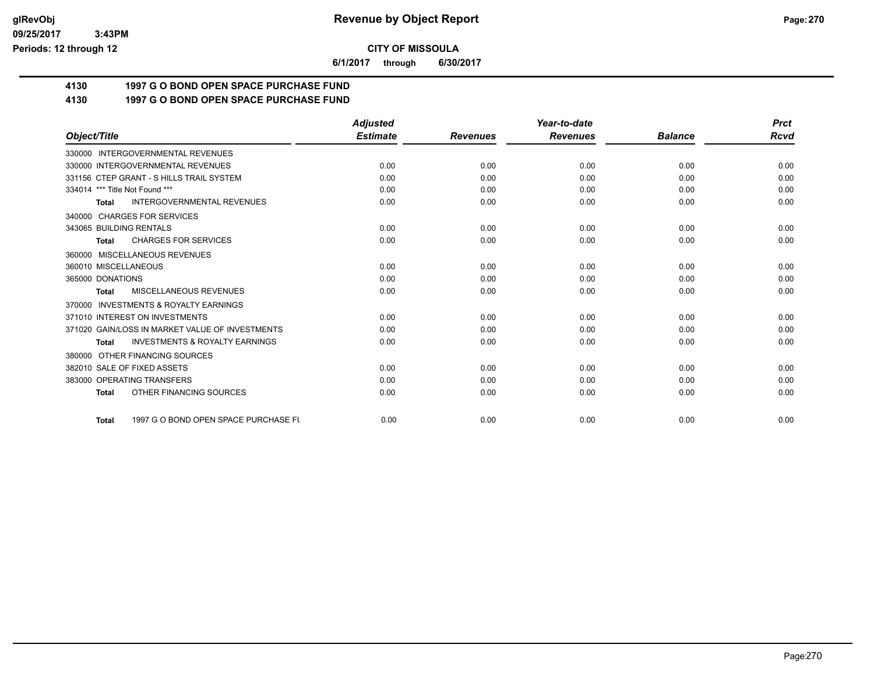**6/1/2017 through 6/30/2017**

# **4130 1997 G O BOND OPEN SPACE PURCHASE FUND**

# **4130 1997 G O BOND OPEN SPACE PURCHASE FUND**

|                                                           | <b>Adjusted</b> |                 | Year-to-date    |                | <b>Prct</b> |
|-----------------------------------------------------------|-----------------|-----------------|-----------------|----------------|-------------|
| Object/Title                                              | <b>Estimate</b> | <b>Revenues</b> | <b>Revenues</b> | <b>Balance</b> | Rcvd        |
| 330000 INTERGOVERNMENTAL REVENUES                         |                 |                 |                 |                |             |
| 330000 INTERGOVERNMENTAL REVENUES                         | 0.00            | 0.00            | 0.00            | 0.00           | 0.00        |
| 331156 CTEP GRANT - S HILLS TRAIL SYSTEM                  | 0.00            | 0.00            | 0.00            | 0.00           | 0.00        |
| 334014 *** Title Not Found ***                            | 0.00            | 0.00            | 0.00            | 0.00           | 0.00        |
| <b>INTERGOVERNMENTAL REVENUES</b><br><b>Total</b>         | 0.00            | 0.00            | 0.00            | 0.00           | 0.00        |
| 340000 CHARGES FOR SERVICES                               |                 |                 |                 |                |             |
| 343065 BUILDING RENTALS                                   | 0.00            | 0.00            | 0.00            | 0.00           | 0.00        |
| <b>CHARGES FOR SERVICES</b><br>Total                      | 0.00            | 0.00            | 0.00            | 0.00           | 0.00        |
| 360000 MISCELLANEOUS REVENUES                             |                 |                 |                 |                |             |
| 360010 MISCELLANEOUS                                      | 0.00            | 0.00            | 0.00            | 0.00           | 0.00        |
| 365000 DONATIONS                                          | 0.00            | 0.00            | 0.00            | 0.00           | 0.00        |
| MISCELLANEOUS REVENUES<br><b>Total</b>                    | 0.00            | 0.00            | 0.00            | 0.00           | 0.00        |
| <b>INVESTMENTS &amp; ROYALTY EARNINGS</b><br>370000       |                 |                 |                 |                |             |
| 371010 INTEREST ON INVESTMENTS                            | 0.00            | 0.00            | 0.00            | 0.00           | 0.00        |
| 371020 GAIN/LOSS IN MARKET VALUE OF INVESTMENTS           | 0.00            | 0.00            | 0.00            | 0.00           | 0.00        |
| <b>INVESTMENTS &amp; ROYALTY EARNINGS</b><br><b>Total</b> | 0.00            | 0.00            | 0.00            | 0.00           | 0.00        |
| OTHER FINANCING SOURCES<br>380000                         |                 |                 |                 |                |             |
| 382010 SALE OF FIXED ASSETS                               | 0.00            | 0.00            | 0.00            | 0.00           | 0.00        |
| 383000 OPERATING TRANSFERS                                | 0.00            | 0.00            | 0.00            | 0.00           | 0.00        |
| OTHER FINANCING SOURCES<br><b>Total</b>                   | 0.00            | 0.00            | 0.00            | 0.00           | 0.00        |
| 1997 G O BOND OPEN SPACE PURCHASE FU<br><b>Total</b>      | 0.00            | 0.00            | 0.00            | 0.00           | 0.00        |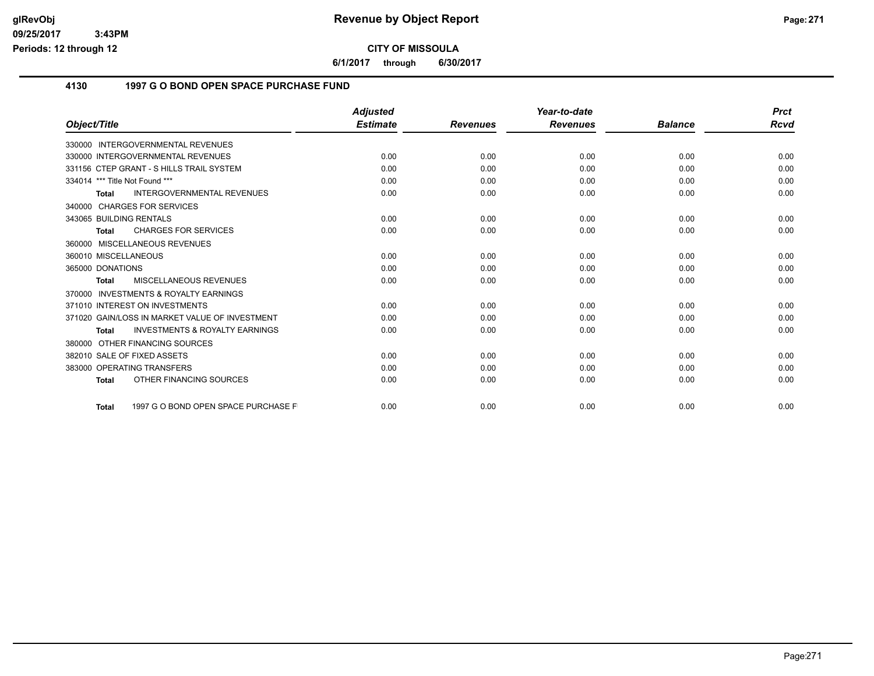**6/1/2017 through 6/30/2017**

### **4130 1997 G O BOND OPEN SPACE PURCHASE FUND**

|                                                     | <b>Adjusted</b> |                 | Year-to-date    |                | <b>Prct</b> |
|-----------------------------------------------------|-----------------|-----------------|-----------------|----------------|-------------|
| Object/Title                                        | <b>Estimate</b> | <b>Revenues</b> | <b>Revenues</b> | <b>Balance</b> | Rcvd        |
| 330000 INTERGOVERNMENTAL REVENUES                   |                 |                 |                 |                |             |
| 330000 INTERGOVERNMENTAL REVENUES                   | 0.00            | 0.00            | 0.00            | 0.00           | 0.00        |
| 331156 CTEP GRANT - S HILLS TRAIL SYSTEM            | 0.00            | 0.00            | 0.00            | 0.00           | 0.00        |
| 334014 *** Title Not Found ***                      | 0.00            | 0.00            | 0.00            | 0.00           | 0.00        |
| <b>INTERGOVERNMENTAL REVENUES</b><br><b>Total</b>   | 0.00            | 0.00            | 0.00            | 0.00           | 0.00        |
| 340000 CHARGES FOR SERVICES                         |                 |                 |                 |                |             |
| 343065 BUILDING RENTALS                             | 0.00            | 0.00            | 0.00            | 0.00           | 0.00        |
| <b>CHARGES FOR SERVICES</b><br><b>Total</b>         | 0.00            | 0.00            | 0.00            | 0.00           | 0.00        |
| 360000 MISCELLANEOUS REVENUES                       |                 |                 |                 |                |             |
| 360010 MISCELLANEOUS                                | 0.00            | 0.00            | 0.00            | 0.00           | 0.00        |
| 365000 DONATIONS                                    | 0.00            | 0.00            | 0.00            | 0.00           | 0.00        |
| MISCELLANEOUS REVENUES<br><b>Total</b>              | 0.00            | 0.00            | 0.00            | 0.00           | 0.00        |
| 370000 INVESTMENTS & ROYALTY EARNINGS               |                 |                 |                 |                |             |
| 371010 INTEREST ON INVESTMENTS                      | 0.00            | 0.00            | 0.00            | 0.00           | 0.00        |
| 371020 GAIN/LOSS IN MARKET VALUE OF INVESTMENT      | 0.00            | 0.00            | 0.00            | 0.00           | 0.00        |
| <b>INVESTMENTS &amp; ROYALTY EARNINGS</b><br>Total  | 0.00            | 0.00            | 0.00            | 0.00           | 0.00        |
| 380000 OTHER FINANCING SOURCES                      |                 |                 |                 |                |             |
| 382010 SALE OF FIXED ASSETS                         | 0.00            | 0.00            | 0.00            | 0.00           | 0.00        |
| 383000 OPERATING TRANSFERS                          | 0.00            | 0.00            | 0.00            | 0.00           | 0.00        |
| OTHER FINANCING SOURCES<br>Total                    | 0.00            | 0.00            | 0.00            | 0.00           | 0.00        |
| 1997 G O BOND OPEN SPACE PURCHASE F<br><b>Total</b> | 0.00            | 0.00            | 0.00            | 0.00           | 0.00        |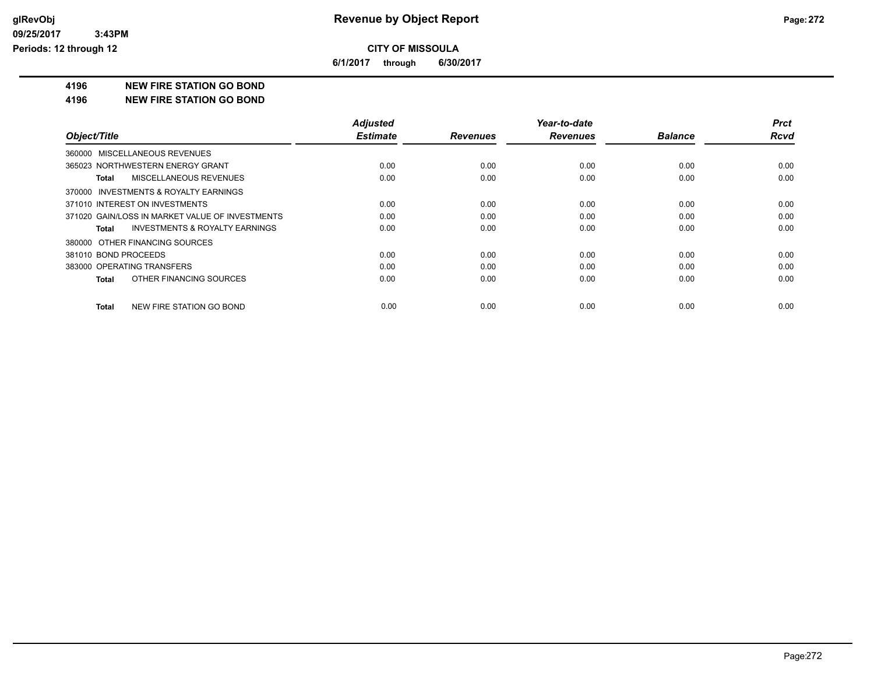**6/1/2017 through 6/30/2017**

**4196 NEW FIRE STATION GO BOND**

**4196 NEW FIRE STATION GO BOND**

|                                                    | <b>Adjusted</b> |                 | Year-to-date    |                | <b>Prct</b> |
|----------------------------------------------------|-----------------|-----------------|-----------------|----------------|-------------|
| Object/Title                                       | <b>Estimate</b> | <b>Revenues</b> | <b>Revenues</b> | <b>Balance</b> | <b>Rcvd</b> |
| 360000 MISCELLANEOUS REVENUES                      |                 |                 |                 |                |             |
| 365023 NORTHWESTERN ENERGY GRANT                   | 0.00            | 0.00            | 0.00            | 0.00           | 0.00        |
| MISCELLANEOUS REVENUES<br>Total                    | 0.00            | 0.00            | 0.00            | 0.00           | 0.00        |
| 370000 INVESTMENTS & ROYALTY EARNINGS              |                 |                 |                 |                |             |
| 371010 INTEREST ON INVESTMENTS                     | 0.00            | 0.00            | 0.00            | 0.00           | 0.00        |
| 371020 GAIN/LOSS IN MARKET VALUE OF INVESTMENTS    | 0.00            | 0.00            | 0.00            | 0.00           | 0.00        |
| <b>INVESTMENTS &amp; ROYALTY EARNINGS</b><br>Total | 0.00            | 0.00            | 0.00            | 0.00           | 0.00        |
| 380000 OTHER FINANCING SOURCES                     |                 |                 |                 |                |             |
| 381010 BOND PROCEEDS                               | 0.00            | 0.00            | 0.00            | 0.00           | 0.00        |
| 383000 OPERATING TRANSFERS                         | 0.00            | 0.00            | 0.00            | 0.00           | 0.00        |
| OTHER FINANCING SOURCES<br>Total                   | 0.00            | 0.00            | 0.00            | 0.00           | 0.00        |
| NEW FIRE STATION GO BOND<br>Total                  | 0.00            | 0.00            | 0.00            | 0.00           | 0.00        |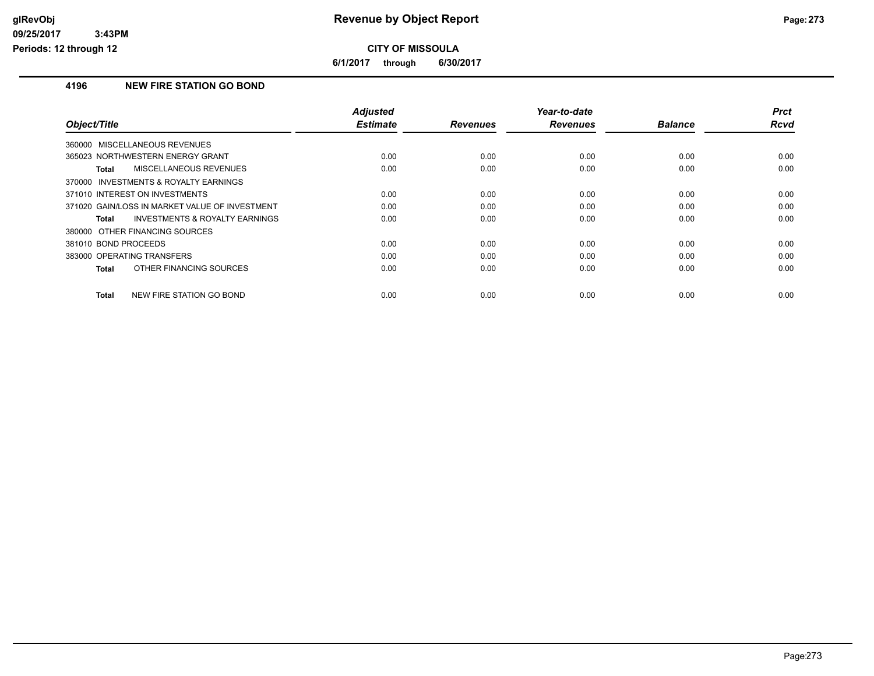**6/1/2017 through 6/30/2017**

# **4196 NEW FIRE STATION GO BOND**

| Object/Title                                   | <b>Adjusted</b><br><b>Estimate</b> | <b>Revenues</b> | Year-to-date<br><b>Revenues</b> | <b>Balance</b> | <b>Prct</b><br><b>Rcvd</b> |
|------------------------------------------------|------------------------------------|-----------------|---------------------------------|----------------|----------------------------|
| 360000 MISCELLANEOUS REVENUES                  |                                    |                 |                                 |                |                            |
| 365023 NORTHWESTERN ENERGY GRANT               | 0.00                               | 0.00            | 0.00                            | 0.00           | 0.00                       |
| <b>MISCELLANEOUS REVENUES</b><br>Total         | 0.00                               | 0.00            | 0.00                            | 0.00           | 0.00                       |
| 370000 INVESTMENTS & ROYALTY EARNINGS          |                                    |                 |                                 |                |                            |
| 371010 INTEREST ON INVESTMENTS                 | 0.00                               | 0.00            | 0.00                            | 0.00           | 0.00                       |
| 371020 GAIN/LOSS IN MARKET VALUE OF INVESTMENT | 0.00                               | 0.00            | 0.00                            | 0.00           | 0.00                       |
| INVESTMENTS & ROYALTY EARNINGS<br>Total        | 0.00                               | 0.00            | 0.00                            | 0.00           | 0.00                       |
| 380000 OTHER FINANCING SOURCES                 |                                    |                 |                                 |                |                            |
| 381010 BOND PROCEEDS                           | 0.00                               | 0.00            | 0.00                            | 0.00           | 0.00                       |
| 383000 OPERATING TRANSFERS                     | 0.00                               | 0.00            | 0.00                            | 0.00           | 0.00                       |
| OTHER FINANCING SOURCES<br>Total               | 0.00                               | 0.00            | 0.00                            | 0.00           | 0.00                       |
| NEW FIRE STATION GO BOND<br>Total              | 0.00                               | 0.00            | 0.00                            | 0.00           | 0.00                       |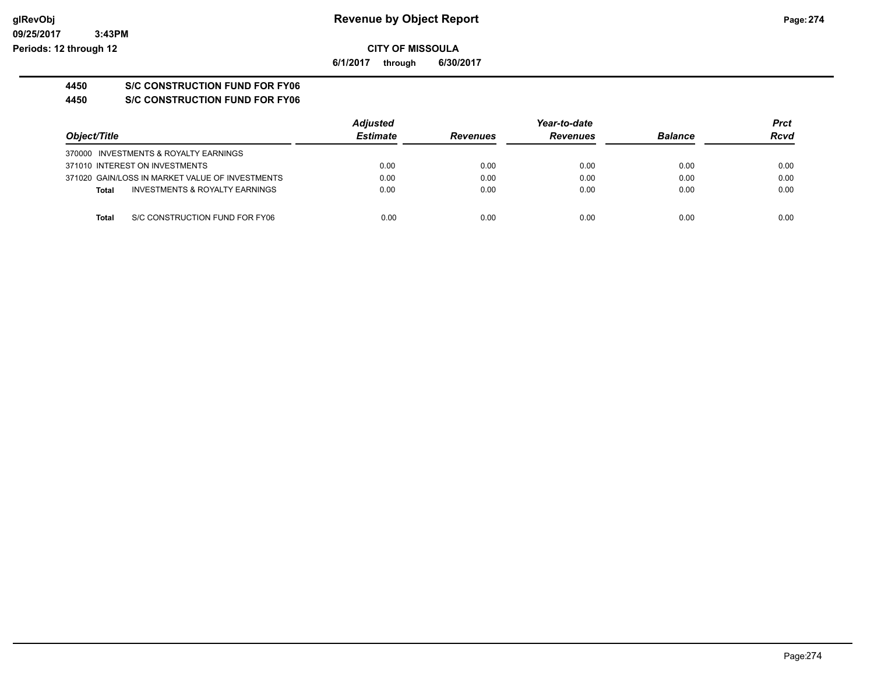**6/1/2017 through 6/30/2017**

# **4450 S/C CONSTRUCTION FUND FOR FY06**

**4450 S/C CONSTRUCTION FUND FOR FY06**

| Object/Title |                                                 | <b>Adjusted</b> |                 | Year-to-date    |                | <b>Prct</b><br><b>Rcvd</b> |
|--------------|-------------------------------------------------|-----------------|-----------------|-----------------|----------------|----------------------------|
|              |                                                 | <b>Estimate</b> | <b>Revenues</b> | <b>Revenues</b> | <b>Balance</b> |                            |
|              | 370000 INVESTMENTS & ROYALTY EARNINGS           |                 |                 |                 |                |                            |
|              | 371010 INTEREST ON INVESTMENTS                  | 0.00            | 0.00            | 0.00            | 0.00           | 0.00                       |
|              | 371020 GAIN/LOSS IN MARKET VALUE OF INVESTMENTS | 0.00            | 0.00            | 0.00            | 0.00           | 0.00                       |
| <b>Total</b> | INVESTMENTS & ROYALTY EARNINGS                  | 0.00            | 0.00            | 0.00            | 0.00           | 0.00                       |
| <b>Total</b> | S/C CONSTRUCTION FUND FOR FY06                  | 0.00            | 0.00            | 0.00            | 0.00           | 0.00                       |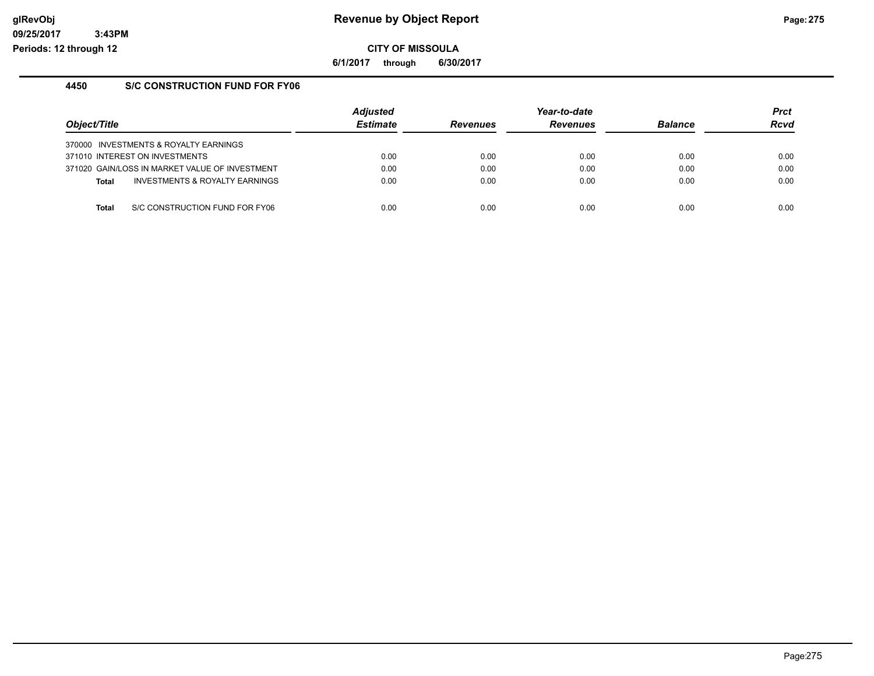**6/1/2017 through 6/30/2017**

# **4450 S/C CONSTRUCTION FUND FOR FY06**

| Object/Title                   |                                                | <b>Adjusted</b><br><b>Estimate</b> | <b>Revenues</b> | Year-to-date<br><b>Revenues</b> | <b>Balance</b> | <b>Prct</b><br><b>Rcvd</b> |
|--------------------------------|------------------------------------------------|------------------------------------|-----------------|---------------------------------|----------------|----------------------------|
|                                | 370000 INVESTMENTS & ROYALTY EARNINGS          |                                    |                 |                                 |                |                            |
| 371010 INTEREST ON INVESTMENTS |                                                | 0.00                               | 0.00            | 0.00                            | 0.00           | 0.00                       |
|                                | 371020 GAIN/LOSS IN MARKET VALUE OF INVESTMENT | 0.00                               | 0.00            | 0.00                            | 0.00           | 0.00                       |
| Total                          | INVESTMENTS & ROYALTY EARNINGS                 | 0.00                               | 0.00            | 0.00                            | 0.00           | 0.00                       |
|                                |                                                |                                    |                 |                                 |                |                            |
| Total                          | S/C CONSTRUCTION FUND FOR FY06                 | 0.00                               | 0.00            | 0.00                            | 0.00           | 0.00                       |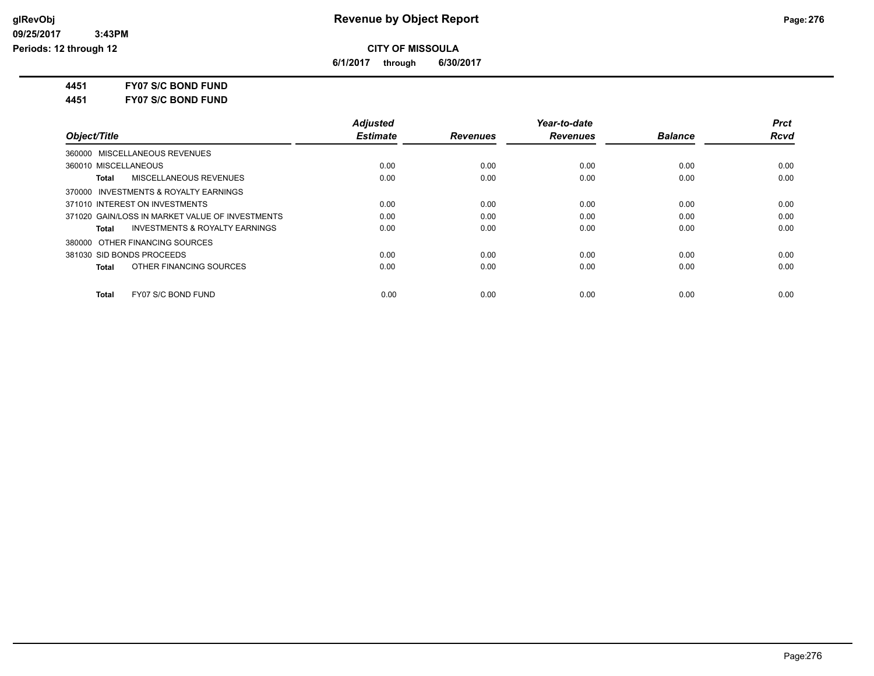**6/1/2017 through 6/30/2017**

**4451 FY07 S/C BOND FUND**

**4451 FY07 S/C BOND FUND**

| Object/Title                                       | <b>Adjusted</b><br><b>Estimate</b> | <b>Revenues</b> | Year-to-date<br><b>Revenues</b> | <b>Balance</b> | <b>Prct</b><br><b>Rcvd</b> |
|----------------------------------------------------|------------------------------------|-----------------|---------------------------------|----------------|----------------------------|
| 360000 MISCELLANEOUS REVENUES                      |                                    |                 |                                 |                |                            |
| 360010 MISCELLANEOUS                               | 0.00                               | 0.00            | 0.00                            | 0.00           | 0.00                       |
| MISCELLANEOUS REVENUES<br>Total                    | 0.00                               | 0.00            | 0.00                            | 0.00           | 0.00                       |
| 370000 INVESTMENTS & ROYALTY EARNINGS              |                                    |                 |                                 |                |                            |
| 371010 INTEREST ON INVESTMENTS                     | 0.00                               | 0.00            | 0.00                            | 0.00           | 0.00                       |
| 371020 GAIN/LOSS IN MARKET VALUE OF INVESTMENTS    | 0.00                               | 0.00            | 0.00                            | 0.00           | 0.00                       |
| <b>INVESTMENTS &amp; ROYALTY EARNINGS</b><br>Total | 0.00                               | 0.00            | 0.00                            | 0.00           | 0.00                       |
| 380000 OTHER FINANCING SOURCES                     |                                    |                 |                                 |                |                            |
| 381030 SID BONDS PROCEEDS                          | 0.00                               | 0.00            | 0.00                            | 0.00           | 0.00                       |
| OTHER FINANCING SOURCES<br>Total                   | 0.00                               | 0.00            | 0.00                            | 0.00           | 0.00                       |
| FY07 S/C BOND FUND<br><b>Total</b>                 | 0.00                               | 0.00            | 0.00                            | 0.00           | 0.00                       |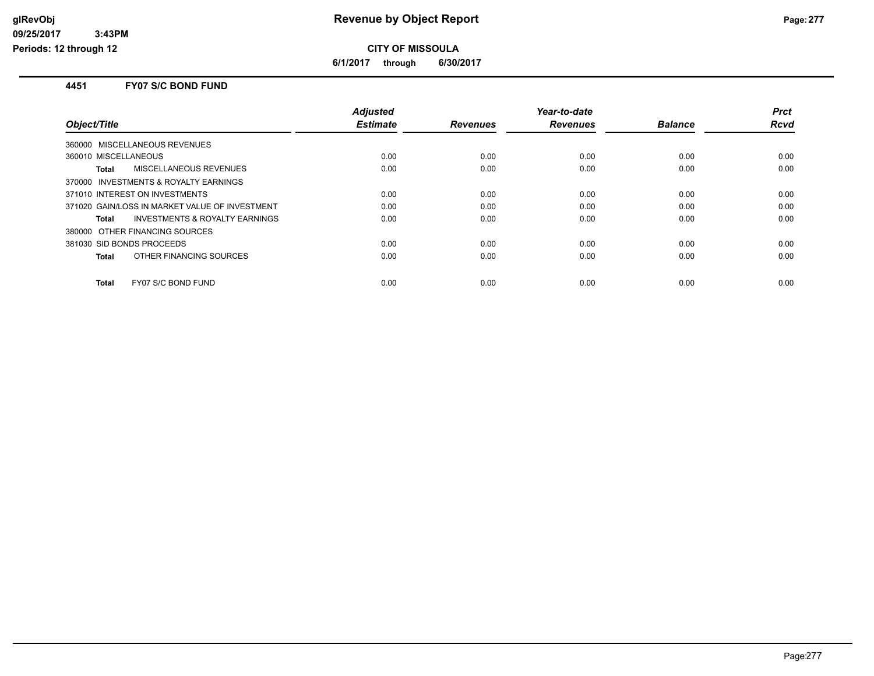**6/1/2017 through 6/30/2017**

### **4451 FY07 S/C BOND FUND**

| Object/Title                                       | <b>Adjusted</b><br><b>Estimate</b> | <b>Revenues</b> | Year-to-date<br><b>Revenues</b> | <b>Balance</b> | <b>Prct</b><br><b>Rcvd</b> |
|----------------------------------------------------|------------------------------------|-----------------|---------------------------------|----------------|----------------------------|
| 360000 MISCELLANEOUS REVENUES                      |                                    |                 |                                 |                |                            |
| 360010 MISCELLANEOUS                               | 0.00                               | 0.00            | 0.00                            | 0.00           | 0.00                       |
| MISCELLANEOUS REVENUES<br>Total                    | 0.00                               | 0.00            | 0.00                            | 0.00           | 0.00                       |
| 370000 INVESTMENTS & ROYALTY EARNINGS              |                                    |                 |                                 |                |                            |
| 371010 INTEREST ON INVESTMENTS                     | 0.00                               | 0.00            | 0.00                            | 0.00           | 0.00                       |
| 371020 GAIN/LOSS IN MARKET VALUE OF INVESTMENT     | 0.00                               | 0.00            | 0.00                            | 0.00           | 0.00                       |
| <b>INVESTMENTS &amp; ROYALTY EARNINGS</b><br>Total | 0.00                               | 0.00            | 0.00                            | 0.00           | 0.00                       |
| 380000 OTHER FINANCING SOURCES                     |                                    |                 |                                 |                |                            |
| 381030 SID BONDS PROCEEDS                          | 0.00                               | 0.00            | 0.00                            | 0.00           | 0.00                       |
| OTHER FINANCING SOURCES<br>Total                   | 0.00                               | 0.00            | 0.00                            | 0.00           | 0.00                       |
| FY07 S/C BOND FUND<br>Total                        | 0.00                               | 0.00            | 0.00                            | 0.00           | 0.00                       |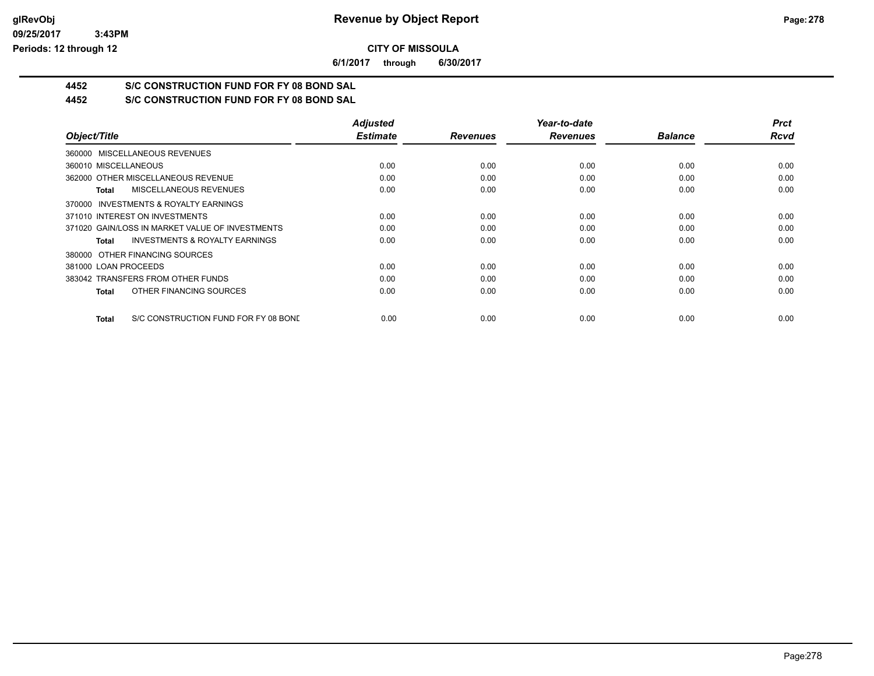**6/1/2017 through 6/30/2017**

# **4452 S/C CONSTRUCTION FUND FOR FY 08 BOND SAL**

# **4452 S/C CONSTRUCTION FUND FOR FY 08 BOND SAL**

|                                                      | <b>Adjusted</b> |                 | Year-to-date    |                | <b>Prct</b> |
|------------------------------------------------------|-----------------|-----------------|-----------------|----------------|-------------|
| Object/Title                                         | <b>Estimate</b> | <b>Revenues</b> | <b>Revenues</b> | <b>Balance</b> | <b>Rcvd</b> |
| 360000 MISCELLANEOUS REVENUES                        |                 |                 |                 |                |             |
| 360010 MISCELLANEOUS                                 | 0.00            | 0.00            | 0.00            | 0.00           | 0.00        |
| 362000 OTHER MISCELLANEOUS REVENUE                   | 0.00            | 0.00            | 0.00            | 0.00           | 0.00        |
| MISCELLANEOUS REVENUES<br>Total                      | 0.00            | 0.00            | 0.00            | 0.00           | 0.00        |
| 370000 INVESTMENTS & ROYALTY EARNINGS                |                 |                 |                 |                |             |
| 371010 INTEREST ON INVESTMENTS                       | 0.00            | 0.00            | 0.00            | 0.00           | 0.00        |
| 371020 GAIN/LOSS IN MARKET VALUE OF INVESTMENTS      | 0.00            | 0.00            | 0.00            | 0.00           | 0.00        |
| <b>INVESTMENTS &amp; ROYALTY EARNINGS</b><br>Total   | 0.00            | 0.00            | 0.00            | 0.00           | 0.00        |
| 380000 OTHER FINANCING SOURCES                       |                 |                 |                 |                |             |
| 381000 LOAN PROCEEDS                                 | 0.00            | 0.00            | 0.00            | 0.00           | 0.00        |
| 383042 TRANSFERS FROM OTHER FUNDS                    | 0.00            | 0.00            | 0.00            | 0.00           | 0.00        |
| OTHER FINANCING SOURCES<br>Total                     | 0.00            | 0.00            | 0.00            | 0.00           | 0.00        |
| S/C CONSTRUCTION FUND FOR FY 08 BONE<br><b>Total</b> | 0.00            | 0.00            | 0.00            | 0.00           | 0.00        |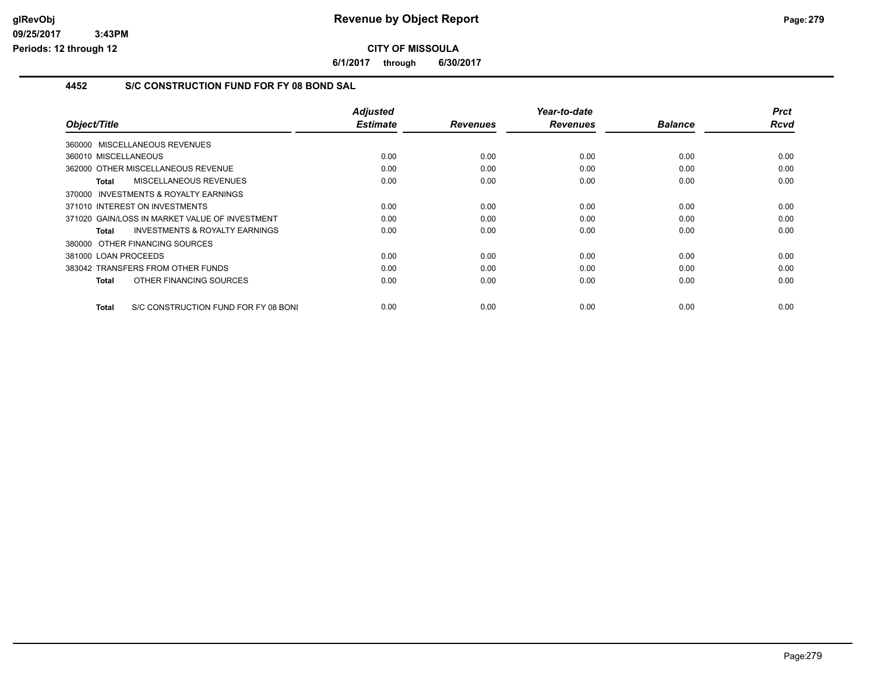**6/1/2017 through 6/30/2017**

# **4452 S/C CONSTRUCTION FUND FOR FY 08 BOND SAL**

| Object/Title                                       | <b>Adjusted</b><br><b>Estimate</b> | <b>Revenues</b> | Year-to-date<br><b>Revenues</b> | <b>Balance</b> | <b>Prct</b><br><b>Rcvd</b> |
|----------------------------------------------------|------------------------------------|-----------------|---------------------------------|----------------|----------------------------|
|                                                    |                                    |                 |                                 |                |                            |
| 360000 MISCELLANEOUS REVENUES                      |                                    |                 |                                 |                |                            |
| 360010 MISCELLANEOUS                               | 0.00                               | 0.00            | 0.00                            | 0.00           | 0.00                       |
| 362000 OTHER MISCELLANEOUS REVENUE                 | 0.00                               | 0.00            | 0.00                            | 0.00           | 0.00                       |
| MISCELLANEOUS REVENUES<br>Total                    | 0.00                               | 0.00            | 0.00                            | 0.00           | 0.00                       |
| 370000 INVESTMENTS & ROYALTY EARNINGS              |                                    |                 |                                 |                |                            |
| 371010 INTEREST ON INVESTMENTS                     | 0.00                               | 0.00            | 0.00                            | 0.00           | 0.00                       |
| 371020 GAIN/LOSS IN MARKET VALUE OF INVESTMENT     | 0.00                               | 0.00            | 0.00                            | 0.00           | 0.00                       |
| <b>INVESTMENTS &amp; ROYALTY EARNINGS</b><br>Total | 0.00                               | 0.00            | 0.00                            | 0.00           | 0.00                       |
| 380000 OTHER FINANCING SOURCES                     |                                    |                 |                                 |                |                            |
| 381000 LOAN PROCEEDS                               | 0.00                               | 0.00            | 0.00                            | 0.00           | 0.00                       |
| 383042 TRANSFERS FROM OTHER FUNDS                  | 0.00                               | 0.00            | 0.00                            | 0.00           | 0.00                       |
| OTHER FINANCING SOURCES<br>Total                   | 0.00                               | 0.00            | 0.00                            | 0.00           | 0.00                       |
|                                                    |                                    |                 |                                 |                |                            |
| S/C CONSTRUCTION FUND FOR FY 08 BONI<br>Total      | 0.00                               | 0.00            | 0.00                            | 0.00           | 0.00                       |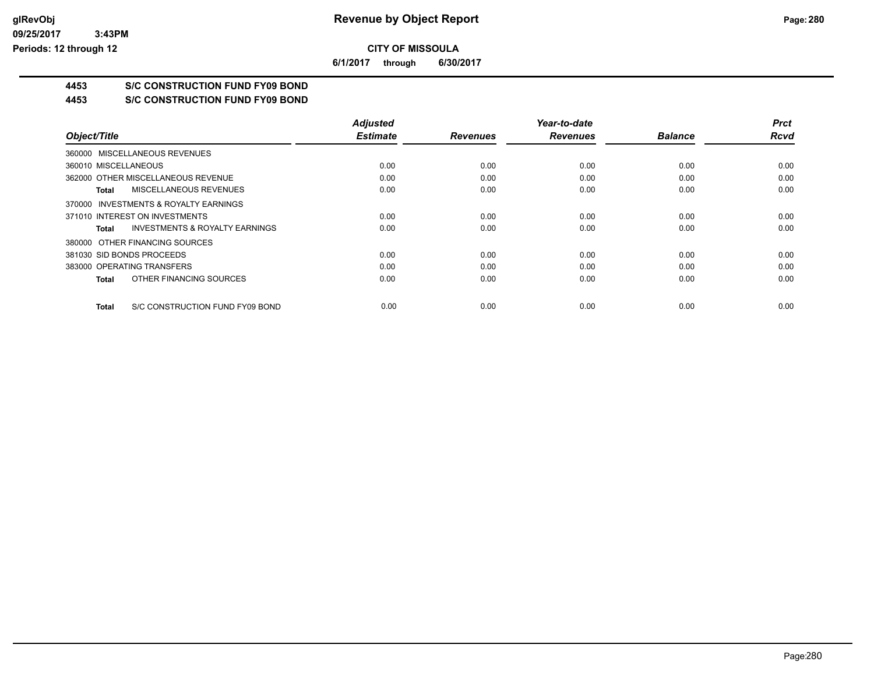**6/1/2017 through 6/30/2017**

# **4453 S/C CONSTRUCTION FUND FY09 BOND**

# **4453 S/C CONSTRUCTION FUND FY09 BOND**

|                                                    | <b>Adjusted</b> |                 | Year-to-date    |                | <b>Prct</b> |
|----------------------------------------------------|-----------------|-----------------|-----------------|----------------|-------------|
| Object/Title                                       | <b>Estimate</b> | <b>Revenues</b> | <b>Revenues</b> | <b>Balance</b> | <b>Rcvd</b> |
| 360000 MISCELLANEOUS REVENUES                      |                 |                 |                 |                |             |
| 360010 MISCELLANEOUS                               | 0.00            | 0.00            | 0.00            | 0.00           | 0.00        |
| 362000 OTHER MISCELLANEOUS REVENUE                 | 0.00            | 0.00            | 0.00            | 0.00           | 0.00        |
| <b>MISCELLANEOUS REVENUES</b><br>Total             | 0.00            | 0.00            | 0.00            | 0.00           | 0.00        |
| 370000 INVESTMENTS & ROYALTY EARNINGS              |                 |                 |                 |                |             |
| 371010 INTEREST ON INVESTMENTS                     | 0.00            | 0.00            | 0.00            | 0.00           | 0.00        |
| <b>INVESTMENTS &amp; ROYALTY EARNINGS</b><br>Total | 0.00            | 0.00            | 0.00            | 0.00           | 0.00        |
| 380000 OTHER FINANCING SOURCES                     |                 |                 |                 |                |             |
| 381030 SID BONDS PROCEEDS                          | 0.00            | 0.00            | 0.00            | 0.00           | 0.00        |
| 383000 OPERATING TRANSFERS                         | 0.00            | 0.00            | 0.00            | 0.00           | 0.00        |
| OTHER FINANCING SOURCES<br>Total                   | 0.00            | 0.00            | 0.00            | 0.00           | 0.00        |
| S/C CONSTRUCTION FUND FY09 BOND<br>Total           | 0.00            | 0.00            | 0.00            | 0.00           | 0.00        |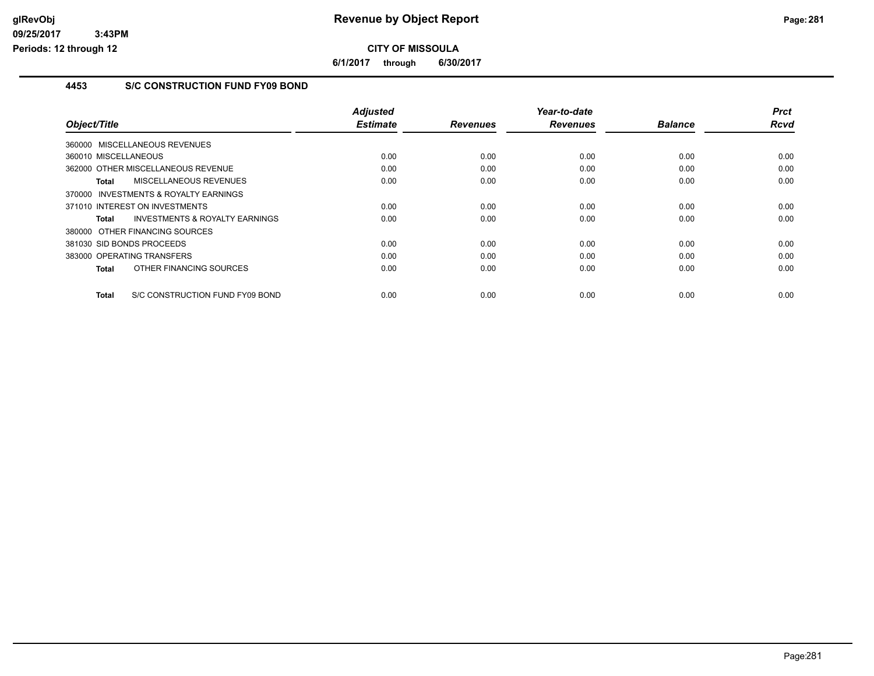**6/1/2017 through 6/30/2017**

# **4453 S/C CONSTRUCTION FUND FY09 BOND**

| Object/Title                                       | <b>Adjusted</b><br><b>Estimate</b> | <b>Revenues</b> | Year-to-date<br><b>Revenues</b> | <b>Balance</b> | <b>Prct</b><br>Rcvd |
|----------------------------------------------------|------------------------------------|-----------------|---------------------------------|----------------|---------------------|
| 360000 MISCELLANEOUS REVENUES                      |                                    |                 |                                 |                |                     |
| 360010 MISCELLANEOUS                               | 0.00                               | 0.00            | 0.00                            | 0.00           | 0.00                |
| 362000 OTHER MISCELLANEOUS REVENUE                 | 0.00                               | 0.00            | 0.00                            | 0.00           | 0.00                |
| MISCELLANEOUS REVENUES<br>Total                    | 0.00                               | 0.00            | 0.00                            | 0.00           | 0.00                |
| 370000 INVESTMENTS & ROYALTY EARNINGS              |                                    |                 |                                 |                |                     |
| 371010 INTEREST ON INVESTMENTS                     | 0.00                               | 0.00            | 0.00                            | 0.00           | 0.00                |
| <b>INVESTMENTS &amp; ROYALTY EARNINGS</b><br>Total | 0.00                               | 0.00            | 0.00                            | 0.00           | 0.00                |
| 380000 OTHER FINANCING SOURCES                     |                                    |                 |                                 |                |                     |
| 381030 SID BONDS PROCEEDS                          | 0.00                               | 0.00            | 0.00                            | 0.00           | 0.00                |
| 383000 OPERATING TRANSFERS                         | 0.00                               | 0.00            | 0.00                            | 0.00           | 0.00                |
| OTHER FINANCING SOURCES<br>Total                   | 0.00                               | 0.00            | 0.00                            | 0.00           | 0.00                |
| S/C CONSTRUCTION FUND FY09 BOND<br>Total           | 0.00                               | 0.00            | 0.00                            | 0.00           | 0.00                |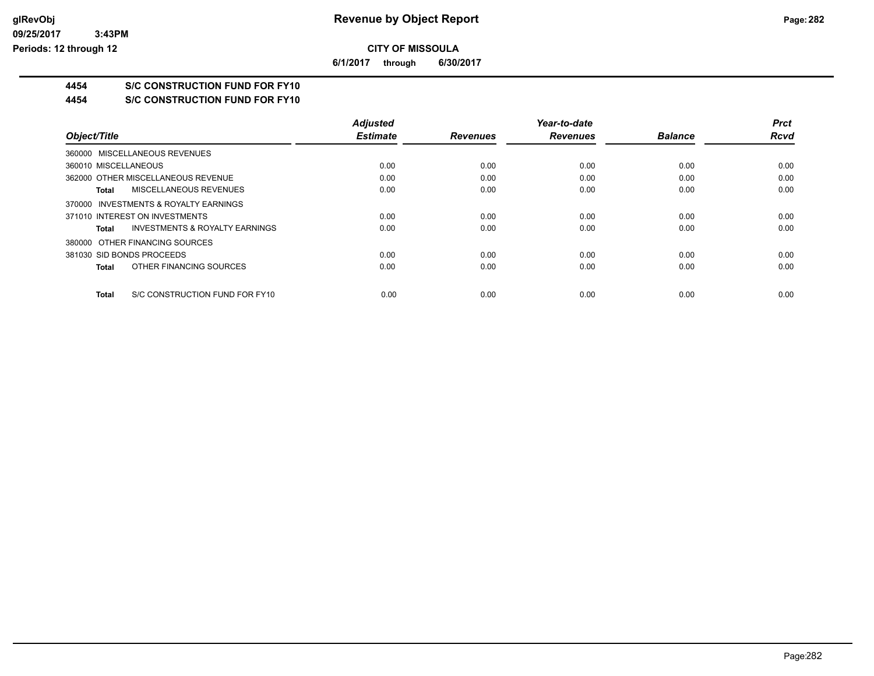**6/1/2017 through 6/30/2017**

# **4454 S/C CONSTRUCTION FUND FOR FY10**

### **4454 S/C CONSTRUCTION FUND FOR FY10**

|                                                    | <b>Adjusted</b> |                 | Year-to-date    |                | <b>Prct</b> |
|----------------------------------------------------|-----------------|-----------------|-----------------|----------------|-------------|
| Object/Title                                       | <b>Estimate</b> | <b>Revenues</b> | <b>Revenues</b> | <b>Balance</b> | <b>Rcvd</b> |
| 360000 MISCELLANEOUS REVENUES                      |                 |                 |                 |                |             |
| 360010 MISCELLANEOUS                               | 0.00            | 0.00            | 0.00            | 0.00           | 0.00        |
| 362000 OTHER MISCELLANEOUS REVENUE                 | 0.00            | 0.00            | 0.00            | 0.00           | 0.00        |
| MISCELLANEOUS REVENUES<br>Total                    | 0.00            | 0.00            | 0.00            | 0.00           | 0.00        |
| 370000 INVESTMENTS & ROYALTY EARNINGS              |                 |                 |                 |                |             |
| 371010 INTEREST ON INVESTMENTS                     | 0.00            | 0.00            | 0.00            | 0.00           | 0.00        |
| <b>INVESTMENTS &amp; ROYALTY EARNINGS</b><br>Total | 0.00            | 0.00            | 0.00            | 0.00           | 0.00        |
| 380000 OTHER FINANCING SOURCES                     |                 |                 |                 |                |             |
| 381030 SID BONDS PROCEEDS                          | 0.00            | 0.00            | 0.00            | 0.00           | 0.00        |
| OTHER FINANCING SOURCES<br>Total                   | 0.00            | 0.00            | 0.00            | 0.00           | 0.00        |
| S/C CONSTRUCTION FUND FOR FY10<br><b>Total</b>     | 0.00            | 0.00            | 0.00            | 0.00           | 0.00        |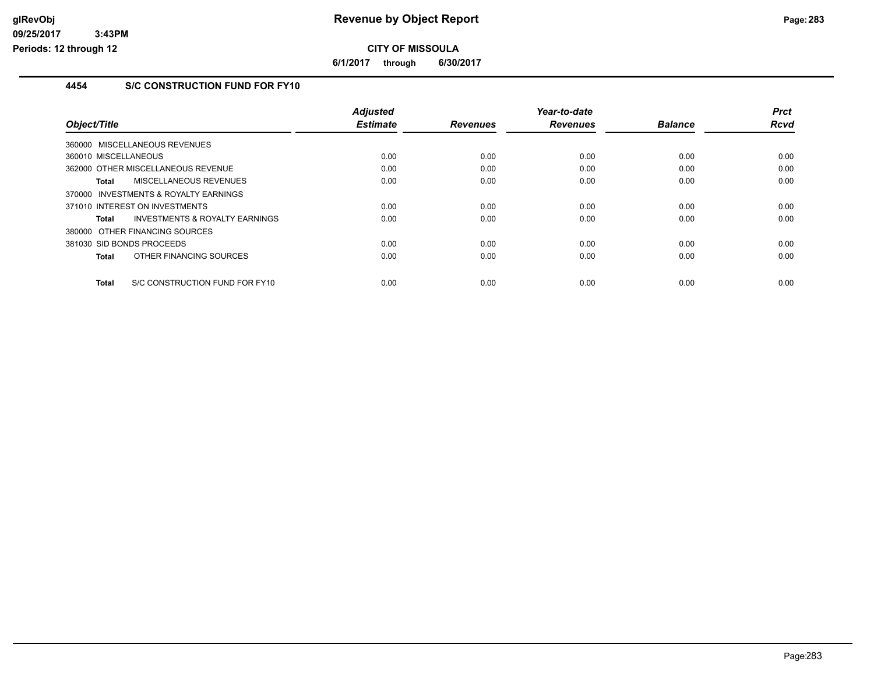**6/1/2017 through 6/30/2017**

# **4454 S/C CONSTRUCTION FUND FOR FY10**

| Object/Title                                       | <b>Adiusted</b><br><b>Estimate</b> | <b>Revenues</b> | Year-to-date<br><b>Revenues</b> | <b>Balance</b> | <b>Prct</b><br><b>Rcvd</b> |
|----------------------------------------------------|------------------------------------|-----------------|---------------------------------|----------------|----------------------------|
|                                                    |                                    |                 |                                 |                |                            |
| 360000 MISCELLANEOUS REVENUES                      |                                    |                 |                                 |                |                            |
| 360010 MISCELLANEOUS                               | 0.00                               | 0.00            | 0.00                            | 0.00           | 0.00                       |
| 362000 OTHER MISCELLANEOUS REVENUE                 | 0.00                               | 0.00            | 0.00                            | 0.00           | 0.00                       |
| MISCELLANEOUS REVENUES<br>Total                    | 0.00                               | 0.00            | 0.00                            | 0.00           | 0.00                       |
| 370000 INVESTMENTS & ROYALTY EARNINGS              |                                    |                 |                                 |                |                            |
| 371010 INTEREST ON INVESTMENTS                     | 0.00                               | 0.00            | 0.00                            | 0.00           | 0.00                       |
| <b>INVESTMENTS &amp; ROYALTY EARNINGS</b><br>Total | 0.00                               | 0.00            | 0.00                            | 0.00           | 0.00                       |
| 380000 OTHER FINANCING SOURCES                     |                                    |                 |                                 |                |                            |
| 381030 SID BONDS PROCEEDS                          | 0.00                               | 0.00            | 0.00                            | 0.00           | 0.00                       |
| OTHER FINANCING SOURCES<br>Total                   | 0.00                               | 0.00            | 0.00                            | 0.00           | 0.00                       |
| <b>Total</b><br>S/C CONSTRUCTION FUND FOR FY10     | 0.00                               | 0.00            | 0.00                            | 0.00           | 0.00                       |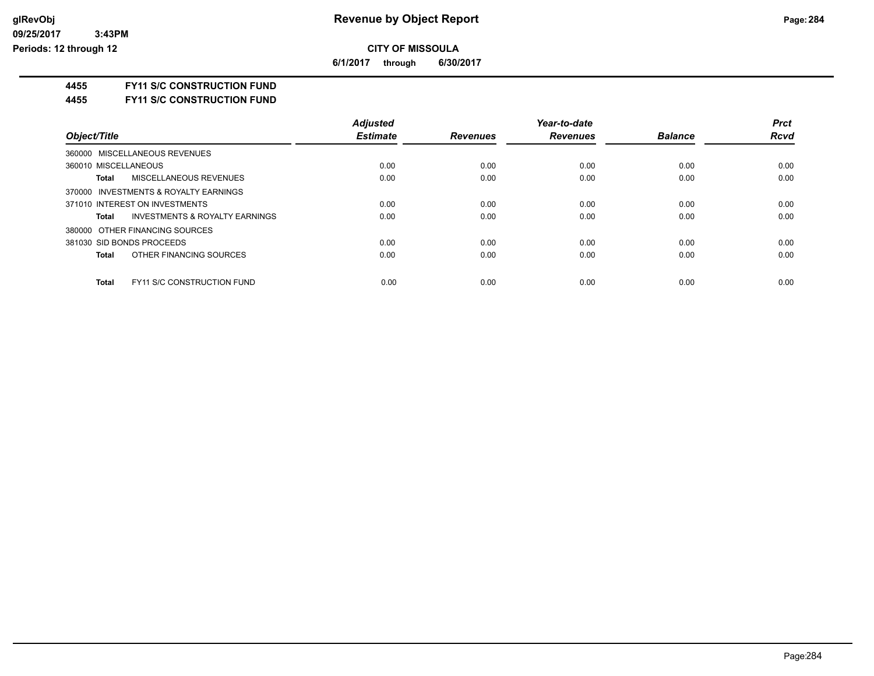**6/1/2017 through 6/30/2017**

# **4455 FY11 S/C CONSTRUCTION FUND**

### **4455 FY11 S/C CONSTRUCTION FUND**

|                                                    | <b>Adjusted</b> |                 | Year-to-date    |                | <b>Prct</b> |
|----------------------------------------------------|-----------------|-----------------|-----------------|----------------|-------------|
| Object/Title                                       | <b>Estimate</b> | <b>Revenues</b> | <b>Revenues</b> | <b>Balance</b> | <b>Rcvd</b> |
| 360000 MISCELLANEOUS REVENUES                      |                 |                 |                 |                |             |
| 360010 MISCELLANEOUS                               | 0.00            | 0.00            | 0.00            | 0.00           | 0.00        |
| MISCELLANEOUS REVENUES<br>Total                    | 0.00            | 0.00            | 0.00            | 0.00           | 0.00        |
| 370000 INVESTMENTS & ROYALTY EARNINGS              |                 |                 |                 |                |             |
| 371010 INTEREST ON INVESTMENTS                     | 0.00            | 0.00            | 0.00            | 0.00           | 0.00        |
| <b>INVESTMENTS &amp; ROYALTY EARNINGS</b><br>Total | 0.00            | 0.00            | 0.00            | 0.00           | 0.00        |
| 380000 OTHER FINANCING SOURCES                     |                 |                 |                 |                |             |
| 381030 SID BONDS PROCEEDS                          | 0.00            | 0.00            | 0.00            | 0.00           | 0.00        |
| OTHER FINANCING SOURCES<br><b>Total</b>            | 0.00            | 0.00            | 0.00            | 0.00           | 0.00        |
| <b>FY11 S/C CONSTRUCTION FUND</b><br><b>Total</b>  | 0.00            | 0.00            | 0.00            | 0.00           | 0.00        |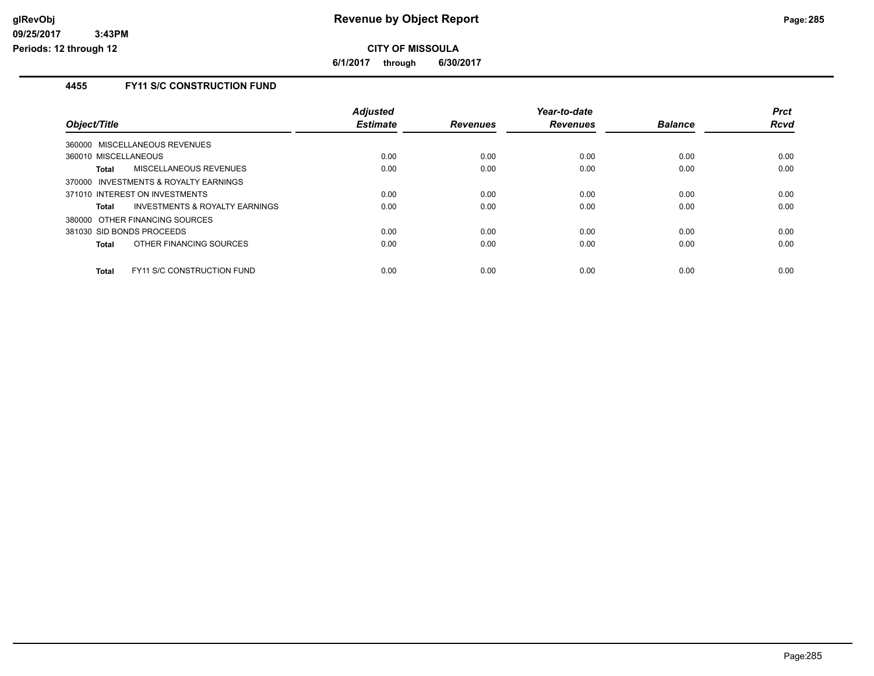**6/1/2017 through 6/30/2017**

# **4455 FY11 S/C CONSTRUCTION FUND**

| Object/Title                                   | <b>Adjusted</b><br><b>Estimate</b> | <b>Revenues</b> | Year-to-date<br><b>Revenues</b> | <b>Balance</b> | <b>Prct</b><br><b>Rcvd</b> |
|------------------------------------------------|------------------------------------|-----------------|---------------------------------|----------------|----------------------------|
| 360000 MISCELLANEOUS REVENUES                  |                                    |                 |                                 |                |                            |
| 360010 MISCELLANEOUS                           | 0.00                               | 0.00            | 0.00                            | 0.00           | 0.00                       |
| <b>MISCELLANEOUS REVENUES</b><br>Total         | 0.00                               | 0.00            | 0.00                            | 0.00           | 0.00                       |
| 370000 INVESTMENTS & ROYALTY EARNINGS          |                                    |                 |                                 |                |                            |
| 371010 INTEREST ON INVESTMENTS                 | 0.00                               | 0.00            | 0.00                            | 0.00           | 0.00                       |
| INVESTMENTS & ROYALTY EARNINGS<br><b>Total</b> | 0.00                               | 0.00            | 0.00                            | 0.00           | 0.00                       |
| OTHER FINANCING SOURCES<br>380000              |                                    |                 |                                 |                |                            |
| 381030 SID BONDS PROCEEDS                      | 0.00                               | 0.00            | 0.00                            | 0.00           | 0.00                       |
| OTHER FINANCING SOURCES<br><b>Total</b>        | 0.00                               | 0.00            | 0.00                            | 0.00           | 0.00                       |
| FY11 S/C CONSTRUCTION FUND<br><b>Total</b>     | 0.00                               | 0.00            | 0.00                            | 0.00           | 0.00                       |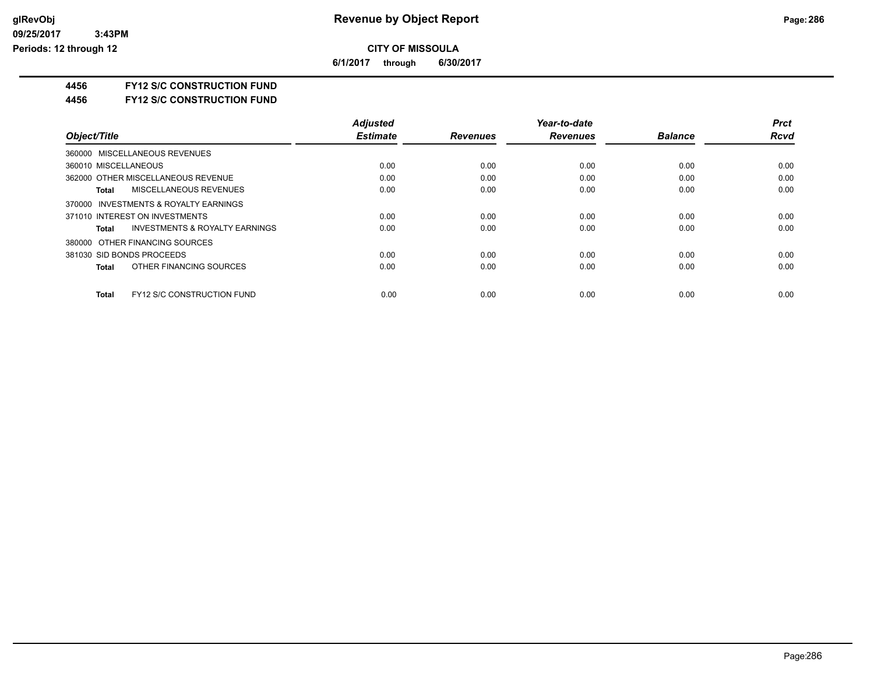**6/1/2017 through 6/30/2017**

# **4456 FY12 S/C CONSTRUCTION FUND**

### **4456 FY12 S/C CONSTRUCTION FUND**

| Object/Title                                       | <b>Adjusted</b><br><b>Estimate</b> | <b>Revenues</b> | Year-to-date<br><b>Revenues</b> | <b>Balance</b> | <b>Prct</b><br><b>Rcvd</b> |
|----------------------------------------------------|------------------------------------|-----------------|---------------------------------|----------------|----------------------------|
|                                                    |                                    |                 |                                 |                |                            |
| 360000 MISCELLANEOUS REVENUES                      |                                    |                 |                                 |                |                            |
| 360010 MISCELLANEOUS                               | 0.00                               | 0.00            | 0.00                            | 0.00           | 0.00                       |
| 362000 OTHER MISCELLANEOUS REVENUE                 | 0.00                               | 0.00            | 0.00                            | 0.00           | 0.00                       |
| MISCELLANEOUS REVENUES<br>Total                    | 0.00                               | 0.00            | 0.00                            | 0.00           | 0.00                       |
| 370000 INVESTMENTS & ROYALTY EARNINGS              |                                    |                 |                                 |                |                            |
| 371010 INTEREST ON INVESTMENTS                     | 0.00                               | 0.00            | 0.00                            | 0.00           | 0.00                       |
| <b>INVESTMENTS &amp; ROYALTY EARNINGS</b><br>Total | 0.00                               | 0.00            | 0.00                            | 0.00           | 0.00                       |
| 380000 OTHER FINANCING SOURCES                     |                                    |                 |                                 |                |                            |
| 381030 SID BONDS PROCEEDS                          | 0.00                               | 0.00            | 0.00                            | 0.00           | 0.00                       |
| OTHER FINANCING SOURCES<br>Total                   | 0.00                               | 0.00            | 0.00                            | 0.00           | 0.00                       |
| FY12 S/C CONSTRUCTION FUND<br><b>Total</b>         | 0.00                               | 0.00            | 0.00                            | 0.00           | 0.00                       |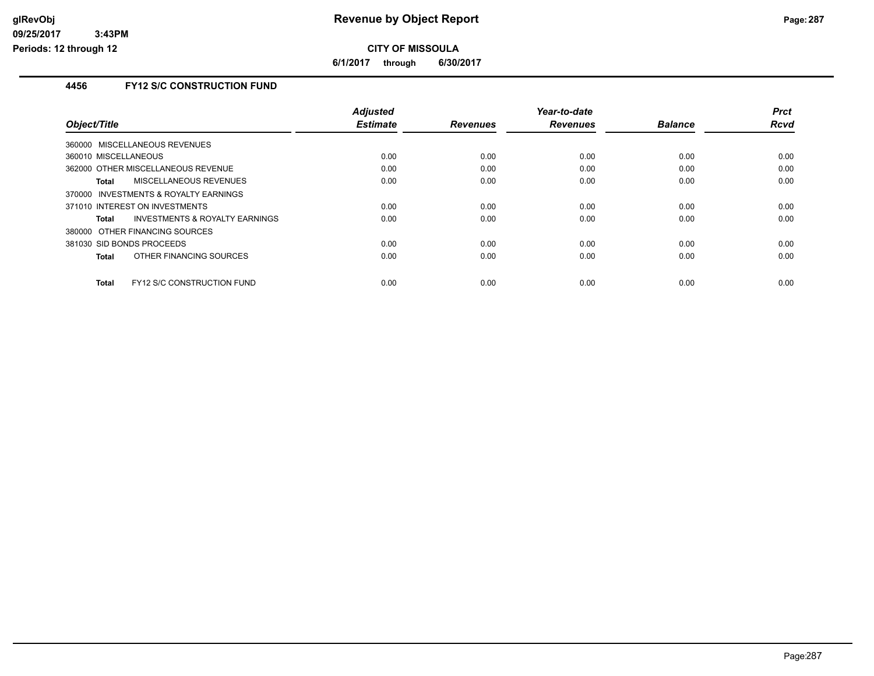**6/1/2017 through 6/30/2017**

# **4456 FY12 S/C CONSTRUCTION FUND**

| Object/Title                                              | <b>Adjusted</b><br><b>Estimate</b> | <b>Revenues</b> | Year-to-date<br><b>Revenues</b> | <b>Balance</b> | <b>Prct</b><br><b>Rcvd</b> |
|-----------------------------------------------------------|------------------------------------|-----------------|---------------------------------|----------------|----------------------------|
|                                                           |                                    |                 |                                 |                |                            |
| 360000 MISCELLANEOUS REVENUES                             |                                    |                 |                                 |                |                            |
| 360010 MISCELLANEOUS                                      | 0.00                               | 0.00            | 0.00                            | 0.00           | 0.00                       |
| 362000 OTHER MISCELLANEOUS REVENUE                        | 0.00                               | 0.00            | 0.00                            | 0.00           | 0.00                       |
| MISCELLANEOUS REVENUES<br><b>Total</b>                    | 0.00                               | 0.00            | 0.00                            | 0.00           | 0.00                       |
| 370000 INVESTMENTS & ROYALTY EARNINGS                     |                                    |                 |                                 |                |                            |
| 371010 INTEREST ON INVESTMENTS                            | 0.00                               | 0.00            | 0.00                            | 0.00           | 0.00                       |
| <b>INVESTMENTS &amp; ROYALTY EARNINGS</b><br><b>Total</b> | 0.00                               | 0.00            | 0.00                            | 0.00           | 0.00                       |
| 380000 OTHER FINANCING SOURCES                            |                                    |                 |                                 |                |                            |
| 381030 SID BONDS PROCEEDS                                 | 0.00                               | 0.00            | 0.00                            | 0.00           | 0.00                       |
| OTHER FINANCING SOURCES<br><b>Total</b>                   | 0.00                               | 0.00            | 0.00                            | 0.00           | 0.00                       |
| <b>FY12 S/C CONSTRUCTION FUND</b><br><b>Total</b>         | 0.00                               | 0.00            | 0.00                            | 0.00           | 0.00                       |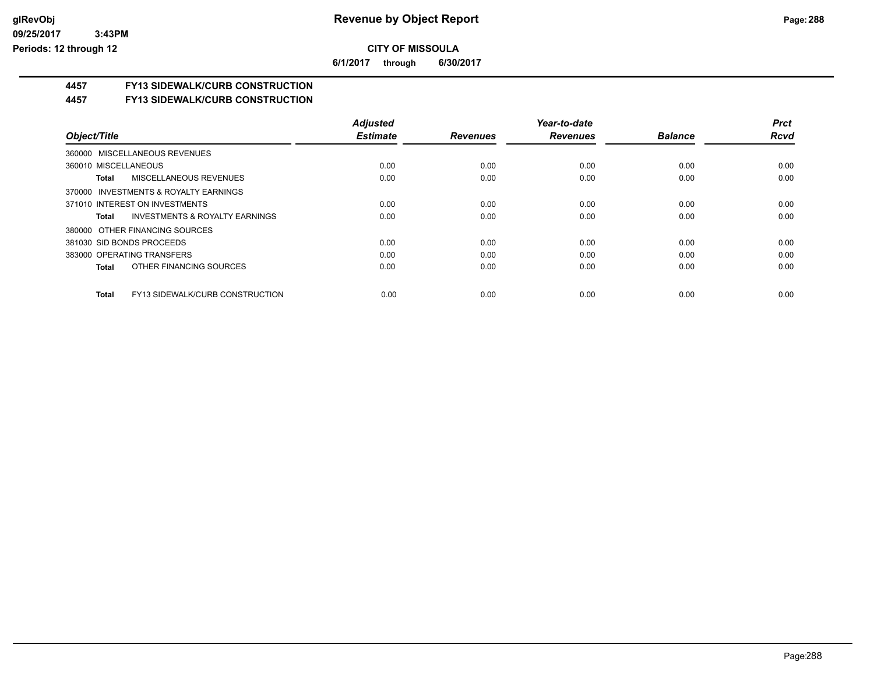**6/1/2017 through 6/30/2017**

# **4457 FY13 SIDEWALK/CURB CONSTRUCTION**

# **4457 FY13 SIDEWALK/CURB CONSTRUCTION**

|                                                    | <b>Adjusted</b> |                 | Year-to-date    |                | <b>Prct</b> |
|----------------------------------------------------|-----------------|-----------------|-----------------|----------------|-------------|
| Object/Title                                       | <b>Estimate</b> | <b>Revenues</b> | <b>Revenues</b> | <b>Balance</b> | <b>Rcvd</b> |
| 360000 MISCELLANEOUS REVENUES                      |                 |                 |                 |                |             |
| 360010 MISCELLANEOUS                               | 0.00            | 0.00            | 0.00            | 0.00           | 0.00        |
| MISCELLANEOUS REVENUES<br>Total                    | 0.00            | 0.00            | 0.00            | 0.00           | 0.00        |
| 370000 INVESTMENTS & ROYALTY EARNINGS              |                 |                 |                 |                |             |
| 371010 INTEREST ON INVESTMENTS                     | 0.00            | 0.00            | 0.00            | 0.00           | 0.00        |
| <b>INVESTMENTS &amp; ROYALTY EARNINGS</b><br>Total | 0.00            | 0.00            | 0.00            | 0.00           | 0.00        |
| 380000 OTHER FINANCING SOURCES                     |                 |                 |                 |                |             |
| 381030 SID BONDS PROCEEDS                          | 0.00            | 0.00            | 0.00            | 0.00           | 0.00        |
| 383000 OPERATING TRANSFERS                         | 0.00            | 0.00            | 0.00            | 0.00           | 0.00        |
| OTHER FINANCING SOURCES<br>Total                   | 0.00            | 0.00            | 0.00            | 0.00           | 0.00        |
| FY13 SIDEWALK/CURB CONSTRUCTION<br>Total           | 0.00            | 0.00            | 0.00            | 0.00           | 0.00        |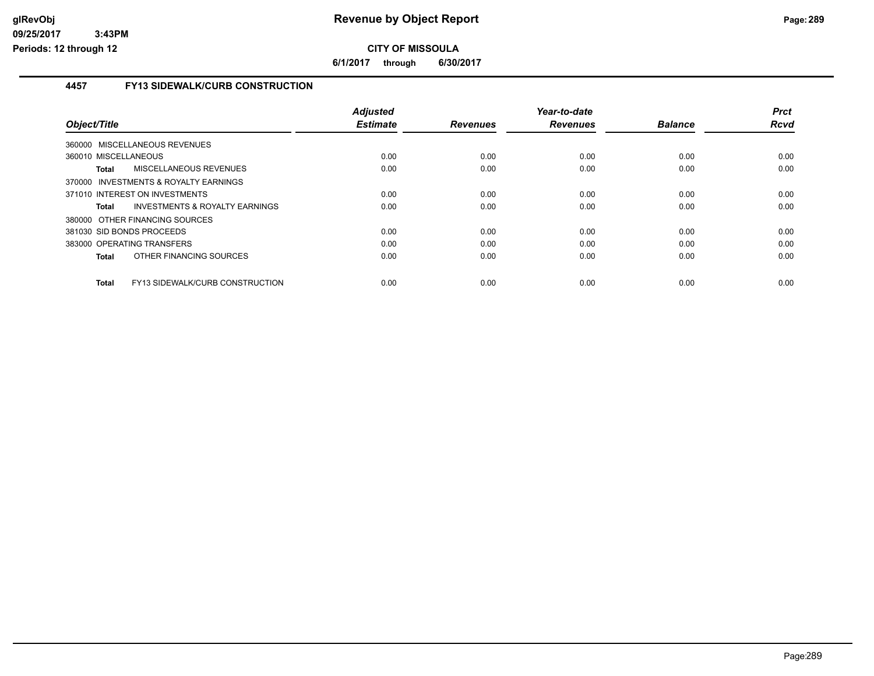**6/1/2017 through 6/30/2017**

## **4457 FY13 SIDEWALK/CURB CONSTRUCTION**

|                                                 | <b>Adjusted</b> |                 | Year-to-date    |                | <b>Prct</b> |
|-------------------------------------------------|-----------------|-----------------|-----------------|----------------|-------------|
| Object/Title                                    | <b>Estimate</b> | <b>Revenues</b> | <b>Revenues</b> | <b>Balance</b> | <b>Rcvd</b> |
| 360000 MISCELLANEOUS REVENUES                   |                 |                 |                 |                |             |
| 360010 MISCELLANEOUS                            | 0.00            | 0.00            | 0.00            | 0.00           | 0.00        |
| MISCELLANEOUS REVENUES<br><b>Total</b>          | 0.00            | 0.00            | 0.00            | 0.00           | 0.00        |
| 370000 INVESTMENTS & ROYALTY EARNINGS           |                 |                 |                 |                |             |
| 371010 INTEREST ON INVESTMENTS                  | 0.00            | 0.00            | 0.00            | 0.00           | 0.00        |
| INVESTMENTS & ROYALTY EARNINGS<br>Total         | 0.00            | 0.00            | 0.00            | 0.00           | 0.00        |
| 380000 OTHER FINANCING SOURCES                  |                 |                 |                 |                |             |
| 381030 SID BONDS PROCEEDS                       | 0.00            | 0.00            | 0.00            | 0.00           | 0.00        |
| 383000 OPERATING TRANSFERS                      | 0.00            | 0.00            | 0.00            | 0.00           | 0.00        |
| OTHER FINANCING SOURCES<br><b>Total</b>         | 0.00            | 0.00            | 0.00            | 0.00           | 0.00        |
| <b>Total</b><br>FY13 SIDEWALK/CURB CONSTRUCTION | 0.00            | 0.00            | 0.00            | 0.00           | 0.00        |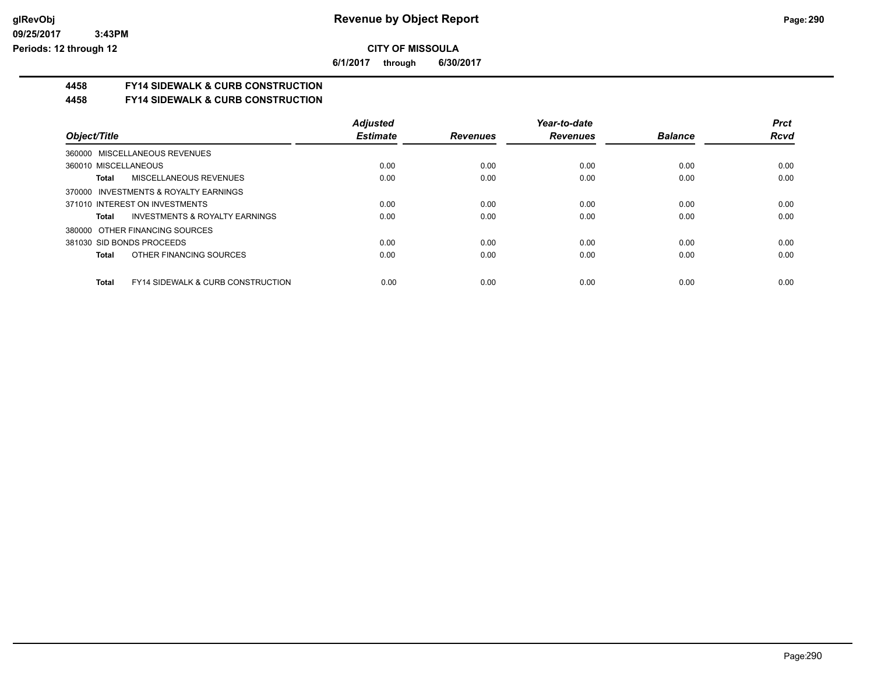**6/1/2017 through 6/30/2017**

# **4458 FY14 SIDEWALK & CURB CONSTRUCTION**

# **4458 FY14 SIDEWALK & CURB CONSTRUCTION**

|                                                              | <b>Adjusted</b> |                 | Year-to-date    |                | <b>Prct</b> |
|--------------------------------------------------------------|-----------------|-----------------|-----------------|----------------|-------------|
| Object/Title                                                 | <b>Estimate</b> | <b>Revenues</b> | <b>Revenues</b> | <b>Balance</b> | <b>Rcvd</b> |
| 360000 MISCELLANEOUS REVENUES                                |                 |                 |                 |                |             |
| 360010 MISCELLANEOUS                                         | 0.00            | 0.00            | 0.00            | 0.00           | 0.00        |
| <b>MISCELLANEOUS REVENUES</b><br>Total                       | 0.00            | 0.00            | 0.00            | 0.00           | 0.00        |
| 370000 INVESTMENTS & ROYALTY EARNINGS                        |                 |                 |                 |                |             |
| 371010 INTEREST ON INVESTMENTS                               | 0.00            | 0.00            | 0.00            | 0.00           | 0.00        |
| <b>INVESTMENTS &amp; ROYALTY EARNINGS</b><br>Total           | 0.00            | 0.00            | 0.00            | 0.00           | 0.00        |
| 380000 OTHER FINANCING SOURCES                               |                 |                 |                 |                |             |
| 381030 SID BONDS PROCEEDS                                    | 0.00            | 0.00            | 0.00            | 0.00           | 0.00        |
| OTHER FINANCING SOURCES<br>Total                             | 0.00            | 0.00            | 0.00            | 0.00           | 0.00        |
|                                                              |                 |                 |                 |                |             |
| <b>FY14 SIDEWALK &amp; CURB CONSTRUCTION</b><br><b>Total</b> | 0.00            | 0.00            | 0.00            | 0.00           | 0.00        |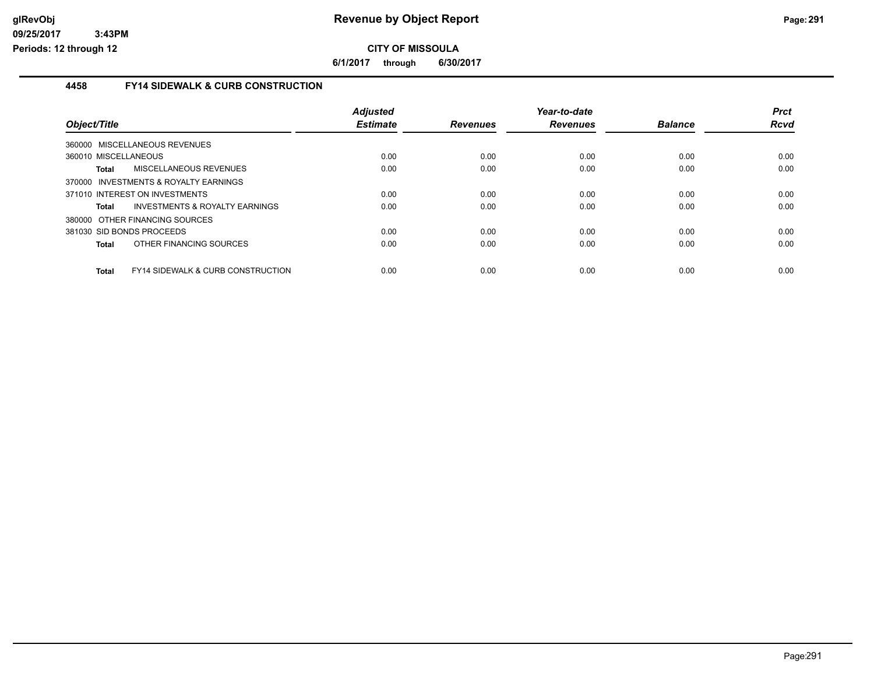**6/1/2017 through 6/30/2017**

## **4458 FY14 SIDEWALK & CURB CONSTRUCTION**

| Object/Title                          |                                              | <b>Adjusted</b><br><b>Estimate</b> | <b>Revenues</b> | Year-to-date<br><b>Revenues</b> | <b>Balance</b> | <b>Prct</b><br><b>Rcvd</b> |
|---------------------------------------|----------------------------------------------|------------------------------------|-----------------|---------------------------------|----------------|----------------------------|
| 360000 MISCELLANEOUS REVENUES         |                                              |                                    |                 |                                 |                |                            |
| 360010 MISCELLANEOUS                  |                                              | 0.00                               | 0.00            | 0.00                            | 0.00           | 0.00                       |
| <b>Total</b>                          | MISCELLANEOUS REVENUES                       | 0.00                               | 0.00            | 0.00                            | 0.00           | 0.00                       |
| 370000 INVESTMENTS & ROYALTY EARNINGS |                                              |                                    |                 |                                 |                |                            |
| 371010 INTEREST ON INVESTMENTS        |                                              | 0.00                               | 0.00            | 0.00                            | 0.00           | 0.00                       |
| <b>Total</b>                          | INVESTMENTS & ROYALTY EARNINGS               | 0.00                               | 0.00            | 0.00                            | 0.00           | 0.00                       |
| 380000 OTHER FINANCING SOURCES        |                                              |                                    |                 |                                 |                |                            |
| 381030 SID BONDS PROCEEDS             |                                              | 0.00                               | 0.00            | 0.00                            | 0.00           | 0.00                       |
| <b>Total</b>                          | OTHER FINANCING SOURCES                      | 0.00                               | 0.00            | 0.00                            | 0.00           | 0.00                       |
| <b>Total</b>                          | <b>FY14 SIDEWALK &amp; CURB CONSTRUCTION</b> | 0.00                               | 0.00            | 0.00                            | 0.00           | 0.00                       |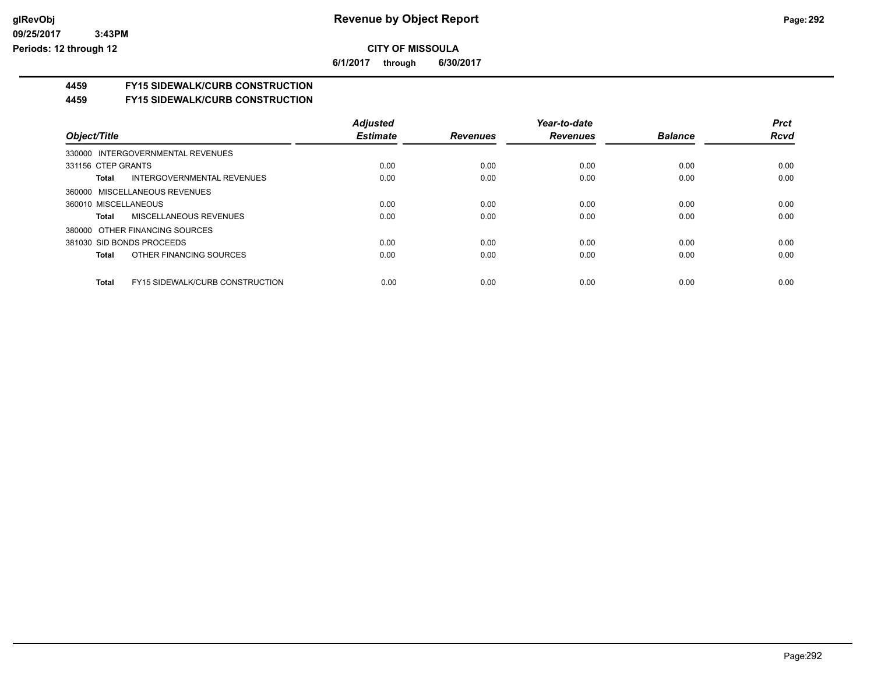**6/1/2017 through 6/30/2017**

# **4459 FY15 SIDEWALK/CURB CONSTRUCTION**

**4459 FY15 SIDEWALK/CURB CONSTRUCTION**

|                                                 | <b>Adjusted</b> |                 | Year-to-date    |                | <b>Prct</b> |
|-------------------------------------------------|-----------------|-----------------|-----------------|----------------|-------------|
| Object/Title                                    | <b>Estimate</b> | <b>Revenues</b> | <b>Revenues</b> | <b>Balance</b> | <b>Rcvd</b> |
| 330000 INTERGOVERNMENTAL REVENUES               |                 |                 |                 |                |             |
| 331156 CTEP GRANTS                              | 0.00            | 0.00            | 0.00            | 0.00           | 0.00        |
| INTERGOVERNMENTAL REVENUES<br>Total             | 0.00            | 0.00            | 0.00            | 0.00           | 0.00        |
| 360000 MISCELLANEOUS REVENUES                   |                 |                 |                 |                |             |
| 360010 MISCELLANEOUS                            | 0.00            | 0.00            | 0.00            | 0.00           | 0.00        |
| MISCELLANEOUS REVENUES<br>Total                 | 0.00            | 0.00            | 0.00            | 0.00           | 0.00        |
| 380000 OTHER FINANCING SOURCES                  |                 |                 |                 |                |             |
| 381030 SID BONDS PROCEEDS                       | 0.00            | 0.00            | 0.00            | 0.00           | 0.00        |
| OTHER FINANCING SOURCES<br>Total                | 0.00            | 0.00            | 0.00            | 0.00           | 0.00        |
|                                                 |                 |                 |                 |                |             |
| <b>FY15 SIDEWALK/CURB CONSTRUCTION</b><br>Total | 0.00            | 0.00            | 0.00            | 0.00           | 0.00        |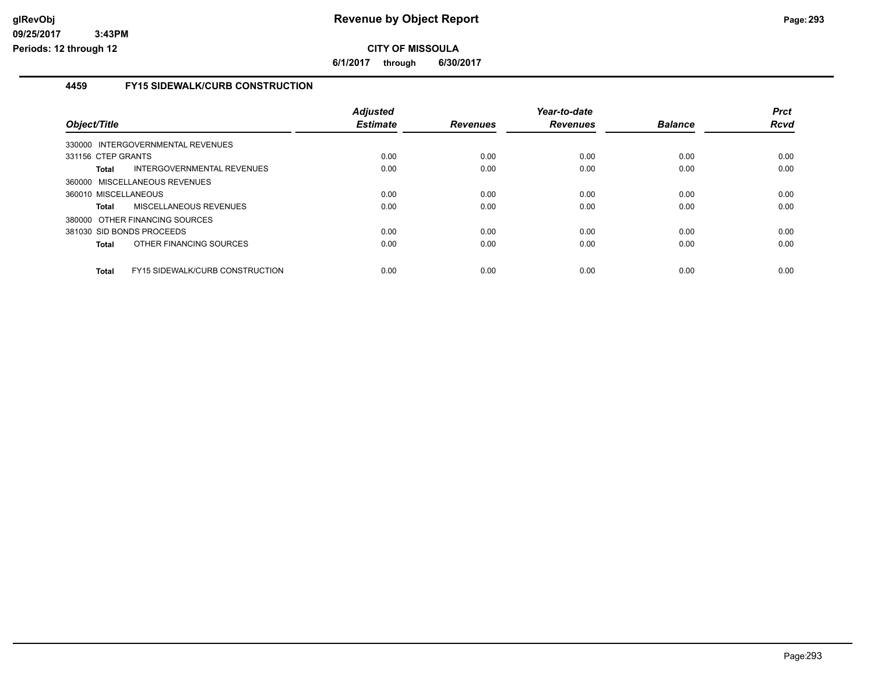**6/1/2017 through 6/30/2017**

## **4459 FY15 SIDEWALK/CURB CONSTRUCTION**

| Object/Title                                           | <b>Adjusted</b><br><b>Estimate</b> | <b>Revenues</b> | Year-to-date<br><b>Revenues</b> | <b>Balance</b> | <b>Prct</b><br><b>Rcvd</b> |
|--------------------------------------------------------|------------------------------------|-----------------|---------------------------------|----------------|----------------------------|
| 330000 INTERGOVERNMENTAL REVENUES                      |                                    |                 |                                 |                |                            |
| 331156 CTEP GRANTS                                     | 0.00                               | 0.00            | 0.00                            | 0.00           | 0.00                       |
| INTERGOVERNMENTAL REVENUES<br>Total                    | 0.00                               | 0.00            | 0.00                            | 0.00           | 0.00                       |
| 360000 MISCELLANEOUS REVENUES                          |                                    |                 |                                 |                |                            |
| 360010 MISCELLANEOUS                                   | 0.00                               | 0.00            | 0.00                            | 0.00           | 0.00                       |
| MISCELLANEOUS REVENUES<br>Total                        | 0.00                               | 0.00            | 0.00                            | 0.00           | 0.00                       |
| 380000 OTHER FINANCING SOURCES                         |                                    |                 |                                 |                |                            |
| 381030 SID BONDS PROCEEDS                              | 0.00                               | 0.00            | 0.00                            | 0.00           | 0.00                       |
| OTHER FINANCING SOURCES<br>Total                       | 0.00                               | 0.00            | 0.00                            | 0.00           | 0.00                       |
| <b>FY15 SIDEWALK/CURB CONSTRUCTION</b><br><b>Total</b> | 0.00                               | 0.00            | 0.00                            | 0.00           | 0.00                       |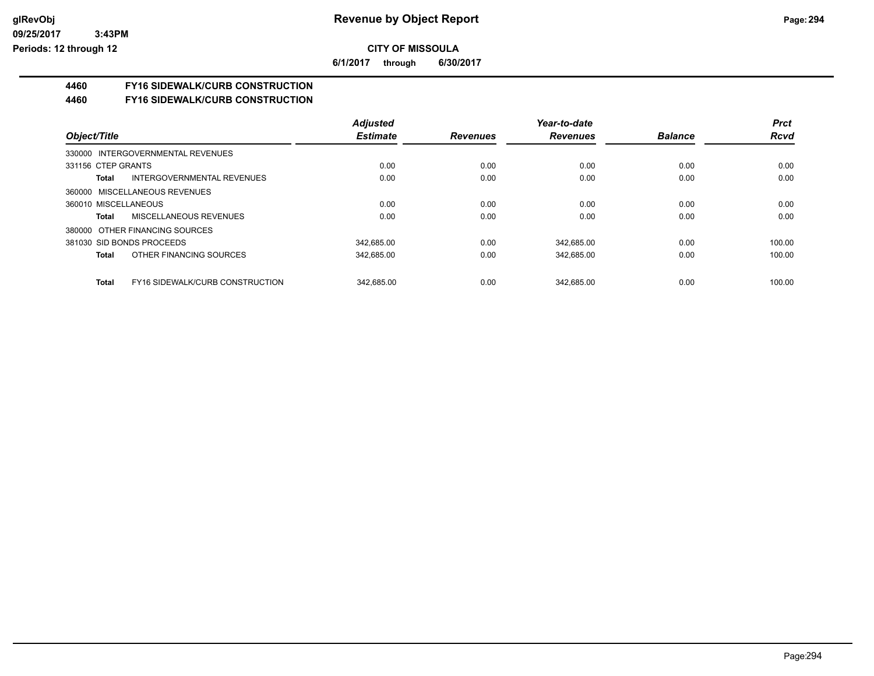**6/1/2017 through 6/30/2017**

# **4460 FY16 SIDEWALK/CURB CONSTRUCTION**

**4460 FY16 SIDEWALK/CURB CONSTRUCTION**

|                                          | <b>Adjusted</b> |                 | Year-to-date    |                | <b>Prct</b> |
|------------------------------------------|-----------------|-----------------|-----------------|----------------|-------------|
| Object/Title                             | <b>Estimate</b> | <b>Revenues</b> | <b>Revenues</b> | <b>Balance</b> | <b>Rcvd</b> |
| 330000 INTERGOVERNMENTAL REVENUES        |                 |                 |                 |                |             |
| 331156 CTEP GRANTS                       | 0.00            | 0.00            | 0.00            | 0.00           | 0.00        |
| INTERGOVERNMENTAL REVENUES<br>Total      | 0.00            | 0.00            | 0.00            | 0.00           | 0.00        |
| 360000 MISCELLANEOUS REVENUES            |                 |                 |                 |                |             |
| 360010 MISCELLANEOUS                     | 0.00            | 0.00            | 0.00            | 0.00           | 0.00        |
| <b>MISCELLANEOUS REVENUES</b><br>Total   | 0.00            | 0.00            | 0.00            | 0.00           | 0.00        |
| 380000 OTHER FINANCING SOURCES           |                 |                 |                 |                |             |
| 381030 SID BONDS PROCEEDS                | 342.685.00      | 0.00            | 342.685.00      | 0.00           | 100.00      |
| OTHER FINANCING SOURCES<br>Total         | 342,685.00      | 0.00            | 342,685.00      | 0.00           | 100.00      |
| FY16 SIDEWALK/CURB CONSTRUCTION<br>Total | 342.685.00      | 0.00            | 342.685.00      | 0.00           | 100.00      |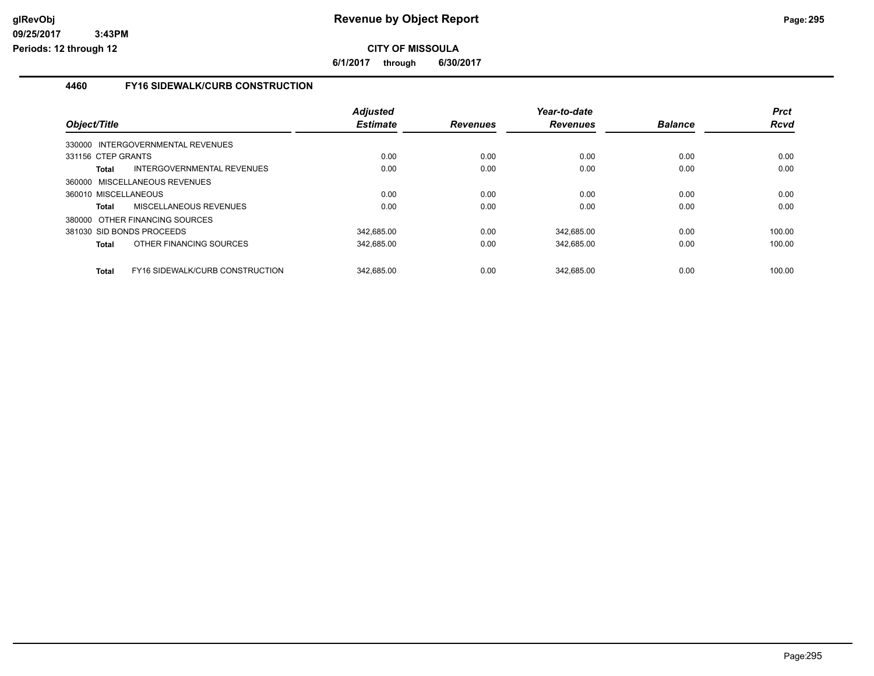**6/1/2017 through 6/30/2017**

## **4460 FY16 SIDEWALK/CURB CONSTRUCTION**

| Object/Title                                    | <b>Adjusted</b><br><b>Estimate</b> | <b>Revenues</b> | Year-to-date<br><b>Revenues</b> | <b>Balance</b> | <b>Prct</b><br><b>Rcvd</b> |
|-------------------------------------------------|------------------------------------|-----------------|---------------------------------|----------------|----------------------------|
| 330000 INTERGOVERNMENTAL REVENUES               |                                    |                 |                                 |                |                            |
| 331156 CTEP GRANTS                              | 0.00                               | 0.00            | 0.00                            | 0.00           | 0.00                       |
| INTERGOVERNMENTAL REVENUES<br><b>Total</b>      | 0.00                               | 0.00            | 0.00                            | 0.00           | 0.00                       |
| 360000 MISCELLANEOUS REVENUES                   |                                    |                 |                                 |                |                            |
| 360010 MISCELLANEOUS                            | 0.00                               | 0.00            | 0.00                            | 0.00           | 0.00                       |
| <b>MISCELLANEOUS REVENUES</b><br><b>Total</b>   | 0.00                               | 0.00            | 0.00                            | 0.00           | 0.00                       |
| 380000 OTHER FINANCING SOURCES                  |                                    |                 |                                 |                |                            |
| 381030 SID BONDS PROCEEDS                       | 342.685.00                         | 0.00            | 342.685.00                      | 0.00           | 100.00                     |
| OTHER FINANCING SOURCES<br><b>Total</b>         | 342,685.00                         | 0.00            | 342,685.00                      | 0.00           | 100.00                     |
| FY16 SIDEWALK/CURB CONSTRUCTION<br><b>Total</b> | 342.685.00                         | 0.00            | 342.685.00                      | 0.00           | 100.00                     |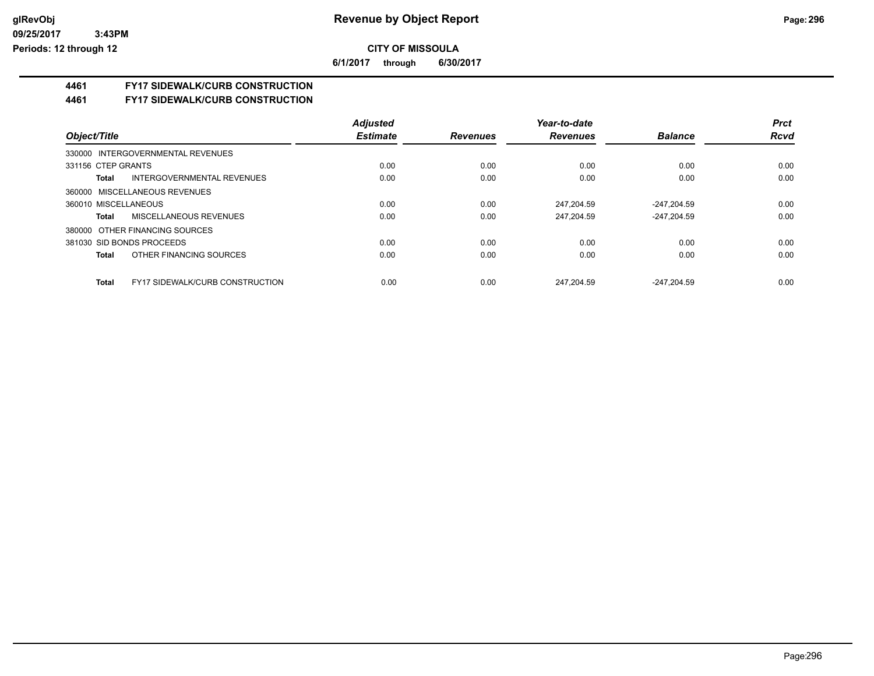**6/1/2017 through 6/30/2017**

# **4461 FY17 SIDEWALK/CURB CONSTRUCTION**

**4461 FY17 SIDEWALK/CURB CONSTRUCTION**

|                                                 | <b>Adjusted</b> |                 | Year-to-date    |                | <b>Prct</b> |
|-------------------------------------------------|-----------------|-----------------|-----------------|----------------|-------------|
| Object/Title                                    | <b>Estimate</b> | <b>Revenues</b> | <b>Revenues</b> | <b>Balance</b> | Rcvd        |
| 330000 INTERGOVERNMENTAL REVENUES               |                 |                 |                 |                |             |
| 331156 CTEP GRANTS                              | 0.00            | 0.00            | 0.00            | 0.00           | 0.00        |
| INTERGOVERNMENTAL REVENUES<br>Total             | 0.00            | 0.00            | 0.00            | 0.00           | 0.00        |
| 360000 MISCELLANEOUS REVENUES                   |                 |                 |                 |                |             |
| 360010 MISCELLANEOUS                            | 0.00            | 0.00            | 247.204.59      | $-247.204.59$  | 0.00        |
| <b>MISCELLANEOUS REVENUES</b><br>Total          | 0.00            | 0.00            | 247,204.59      | $-247,204.59$  | 0.00        |
| 380000 OTHER FINANCING SOURCES                  |                 |                 |                 |                |             |
| 381030 SID BONDS PROCEEDS                       | 0.00            | 0.00            | 0.00            | 0.00           | 0.00        |
| OTHER FINANCING SOURCES<br>Total                | 0.00            | 0.00            | 0.00            | 0.00           | 0.00        |
|                                                 |                 |                 |                 |                |             |
| <b>FY17 SIDEWALK/CURB CONSTRUCTION</b><br>Total | 0.00            | 0.00            | 247.204.59      | $-247.204.59$  | 0.00        |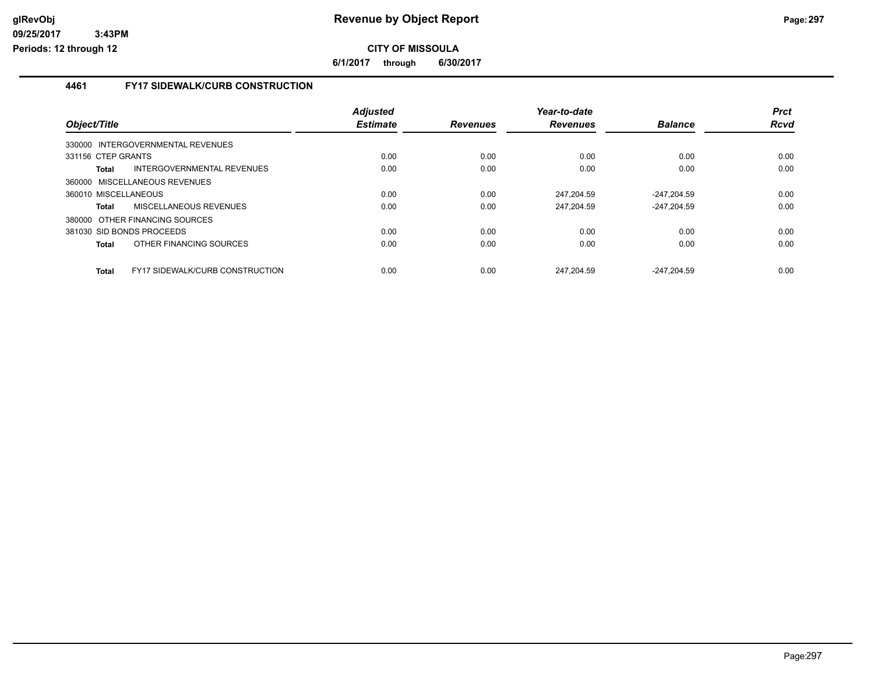**6/1/2017 through 6/30/2017**

## **4461 FY17 SIDEWALK/CURB CONSTRUCTION**

| Object/Title                                           | <b>Adjusted</b><br><b>Estimate</b> | <b>Revenues</b> | Year-to-date<br><b>Revenues</b> | <b>Balance</b> | <b>Prct</b><br><b>Rcvd</b> |
|--------------------------------------------------------|------------------------------------|-----------------|---------------------------------|----------------|----------------------------|
| 330000 INTERGOVERNMENTAL REVENUES                      |                                    |                 |                                 |                |                            |
| 331156 CTEP GRANTS                                     | 0.00                               | 0.00            | 0.00                            | 0.00           | 0.00                       |
| INTERGOVERNMENTAL REVENUES<br>Total                    | 0.00                               | 0.00            | 0.00                            | 0.00           | 0.00                       |
| 360000 MISCELLANEOUS REVENUES                          |                                    |                 |                                 |                |                            |
| 360010 MISCELLANEOUS                                   | 0.00                               | 0.00            | 247.204.59                      | $-247.204.59$  | 0.00                       |
| MISCELLANEOUS REVENUES<br>Total                        | 0.00                               | 0.00            | 247,204.59                      | $-247.204.59$  | 0.00                       |
| 380000 OTHER FINANCING SOURCES                         |                                    |                 |                                 |                |                            |
| 381030 SID BONDS PROCEEDS                              | 0.00                               | 0.00            | 0.00                            | 0.00           | 0.00                       |
| OTHER FINANCING SOURCES<br>Total                       | 0.00                               | 0.00            | 0.00                            | 0.00           | 0.00                       |
| <b>FY17 SIDEWALK/CURB CONSTRUCTION</b><br><b>Total</b> | 0.00                               | 0.00            | 247.204.59                      | $-247.204.59$  | 0.00                       |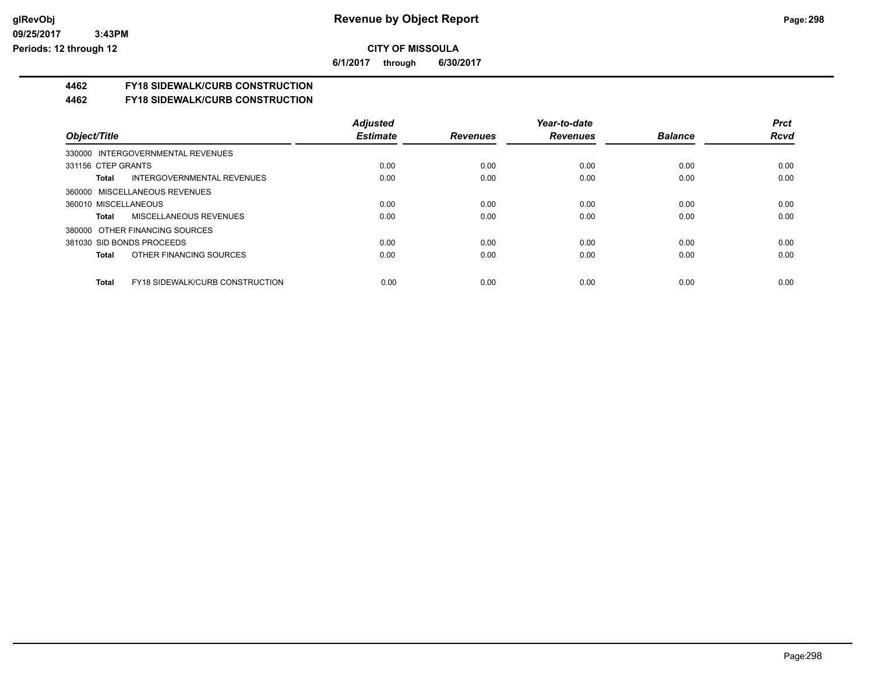**6/1/2017 through 6/30/2017**

# **4462 FY18 SIDEWALK/CURB CONSTRUCTION**

**4462 FY18 SIDEWALK/CURB CONSTRUCTION**

|                                                        | <b>Adjusted</b> |                 | Year-to-date    |                | <b>Prct</b> |
|--------------------------------------------------------|-----------------|-----------------|-----------------|----------------|-------------|
| Object/Title                                           | <b>Estimate</b> | <b>Revenues</b> | <b>Revenues</b> | <b>Balance</b> | <b>Rcvd</b> |
| 330000 INTERGOVERNMENTAL REVENUES                      |                 |                 |                 |                |             |
| 331156 CTEP GRANTS                                     | 0.00            | 0.00            | 0.00            | 0.00           | 0.00        |
| <b>INTERGOVERNMENTAL REVENUES</b><br>Total             | 0.00            | 0.00            | 0.00            | 0.00           | 0.00        |
| 360000 MISCELLANEOUS REVENUES                          |                 |                 |                 |                |             |
| 360010 MISCELLANEOUS                                   | 0.00            | 0.00            | 0.00            | 0.00           | 0.00        |
| <b>MISCELLANEOUS REVENUES</b><br>Total                 | 0.00            | 0.00            | 0.00            | 0.00           | 0.00        |
| 380000 OTHER FINANCING SOURCES                         |                 |                 |                 |                |             |
| 381030 SID BONDS PROCEEDS                              | 0.00            | 0.00            | 0.00            | 0.00           | 0.00        |
| OTHER FINANCING SOURCES<br><b>Total</b>                | 0.00            | 0.00            | 0.00            | 0.00           | 0.00        |
| <b>FY18 SIDEWALK/CURB CONSTRUCTION</b><br><b>Total</b> | 0.00            | 0.00            | 0.00            | 0.00           | 0.00        |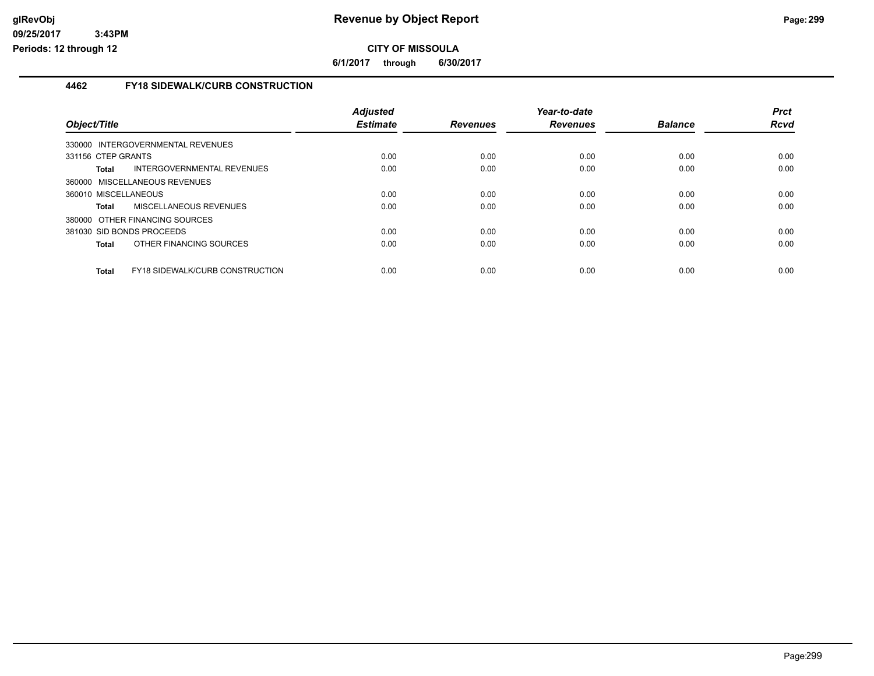**6/1/2017 through 6/30/2017**

## **4462 FY18 SIDEWALK/CURB CONSTRUCTION**

| Object/Title                                           | <b>Adjusted</b><br><b>Estimate</b> | <b>Revenues</b> | Year-to-date<br><b>Revenues</b> | <b>Balance</b> | <b>Prct</b><br><b>Rcvd</b> |
|--------------------------------------------------------|------------------------------------|-----------------|---------------------------------|----------------|----------------------------|
| 330000 INTERGOVERNMENTAL REVENUES                      |                                    |                 |                                 |                |                            |
| 331156 CTEP GRANTS                                     | 0.00                               | 0.00            | 0.00                            | 0.00           | 0.00                       |
| INTERGOVERNMENTAL REVENUES<br><b>Total</b>             | 0.00                               | 0.00            | 0.00                            | 0.00           | 0.00                       |
| 360000 MISCELLANEOUS REVENUES                          |                                    |                 |                                 |                |                            |
| 360010 MISCELLANEOUS                                   | 0.00                               | 0.00            | 0.00                            | 0.00           | 0.00                       |
| MISCELLANEOUS REVENUES<br>Total                        | 0.00                               | 0.00            | 0.00                            | 0.00           | 0.00                       |
| 380000 OTHER FINANCING SOURCES                         |                                    |                 |                                 |                |                            |
| 381030 SID BONDS PROCEEDS                              | 0.00                               | 0.00            | 0.00                            | 0.00           | 0.00                       |
| OTHER FINANCING SOURCES<br>Total                       | 0.00                               | 0.00            | 0.00                            | 0.00           | 0.00                       |
| <b>FY18 SIDEWALK/CURB CONSTRUCTION</b><br><b>Total</b> | 0.00                               | 0.00            | 0.00                            | 0.00           | 0.00                       |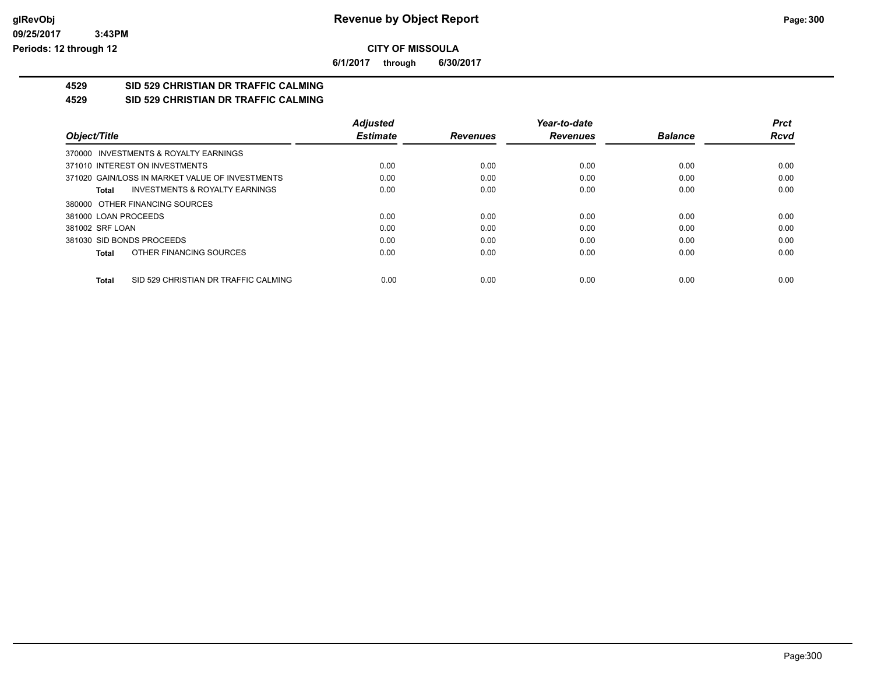**6/1/2017 through 6/30/2017**

## **4529 SID 529 CHRISTIAN DR TRAFFIC CALMING 4529 SID 529 CHRISTIAN DR TRAFFIC CALMING**

|                                                      | <b>Adiusted</b> |                 | Year-to-date    |                | <b>Prct</b> |
|------------------------------------------------------|-----------------|-----------------|-----------------|----------------|-------------|
| Object/Title                                         | <b>Estimate</b> | <b>Revenues</b> | <b>Revenues</b> | <b>Balance</b> | <b>Rcvd</b> |
| 370000 INVESTMENTS & ROYALTY EARNINGS                |                 |                 |                 |                |             |
| 371010 INTEREST ON INVESTMENTS                       | 0.00            | 0.00            | 0.00            | 0.00           | 0.00        |
| 371020 GAIN/LOSS IN MARKET VALUE OF INVESTMENTS      | 0.00            | 0.00            | 0.00            | 0.00           | 0.00        |
| INVESTMENTS & ROYALTY EARNINGS<br>Total              | 0.00            | 0.00            | 0.00            | 0.00           | 0.00        |
| 380000 OTHER FINANCING SOURCES                       |                 |                 |                 |                |             |
| 381000 LOAN PROCEEDS                                 | 0.00            | 0.00            | 0.00            | 0.00           | 0.00        |
| 381002 SRF LOAN                                      | 0.00            | 0.00            | 0.00            | 0.00           | 0.00        |
| 381030 SID BONDS PROCEEDS                            | 0.00            | 0.00            | 0.00            | 0.00           | 0.00        |
| OTHER FINANCING SOURCES<br>Total                     | 0.00            | 0.00            | 0.00            | 0.00           | 0.00        |
| SID 529 CHRISTIAN DR TRAFFIC CALMING<br><b>Total</b> | 0.00            | 0.00            | 0.00            | 0.00           | 0.00        |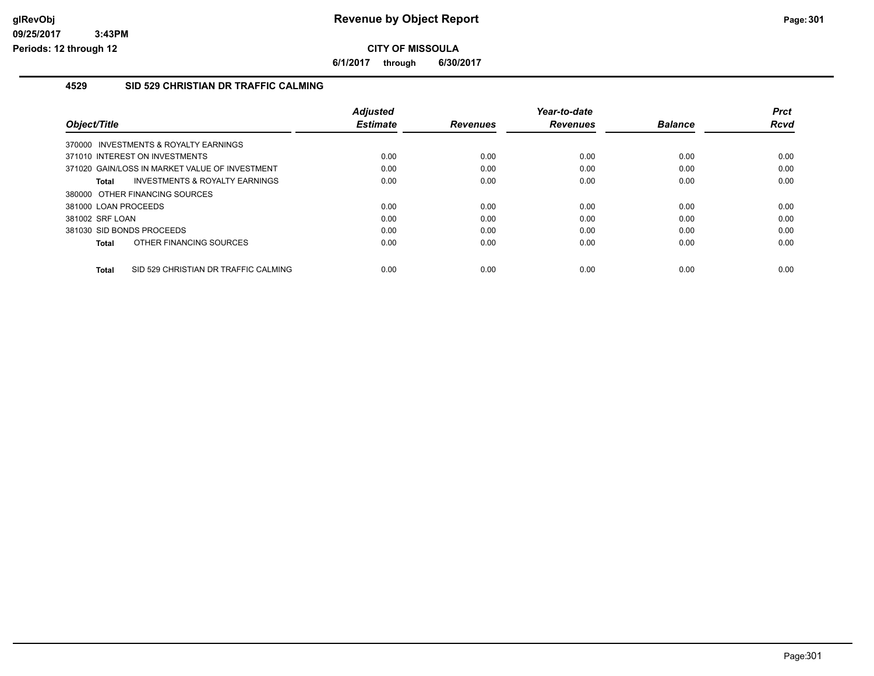**6/1/2017 through 6/30/2017**

## **4529 SID 529 CHRISTIAN DR TRAFFIC CALMING**

| Object/Title                                   | <b>Adjusted</b><br><b>Estimate</b> | <b>Revenues</b> | Year-to-date<br><b>Revenues</b> | <b>Balance</b> | <b>Prct</b><br>Rcvd |
|------------------------------------------------|------------------------------------|-----------------|---------------------------------|----------------|---------------------|
| 370000 INVESTMENTS & ROYALTY EARNINGS          |                                    |                 |                                 |                |                     |
| 371010 INTEREST ON INVESTMENTS                 | 0.00                               | 0.00            | 0.00                            | 0.00           | 0.00                |
| 371020 GAIN/LOSS IN MARKET VALUE OF INVESTMENT | 0.00                               | 0.00            | 0.00                            | 0.00           | 0.00                |
| INVESTMENTS & ROYALTY EARNINGS<br>Total        | 0.00                               | 0.00            | 0.00                            | 0.00           | 0.00                |
| 380000 OTHER FINANCING SOURCES                 |                                    |                 |                                 |                |                     |
| 381000 LOAN PROCEEDS                           | 0.00                               | 0.00            | 0.00                            | 0.00           | 0.00                |
| 381002 SRF LOAN                                | 0.00                               | 0.00            | 0.00                            | 0.00           | 0.00                |
| 381030 SID BONDS PROCEEDS                      | 0.00                               | 0.00            | 0.00                            | 0.00           | 0.00                |
| OTHER FINANCING SOURCES<br>Total               | 0.00                               | 0.00            | 0.00                            | 0.00           | 0.00                |
| SID 529 CHRISTIAN DR TRAFFIC CALMING<br>Total  | 0.00                               | 0.00            | 0.00                            | 0.00           | 0.00                |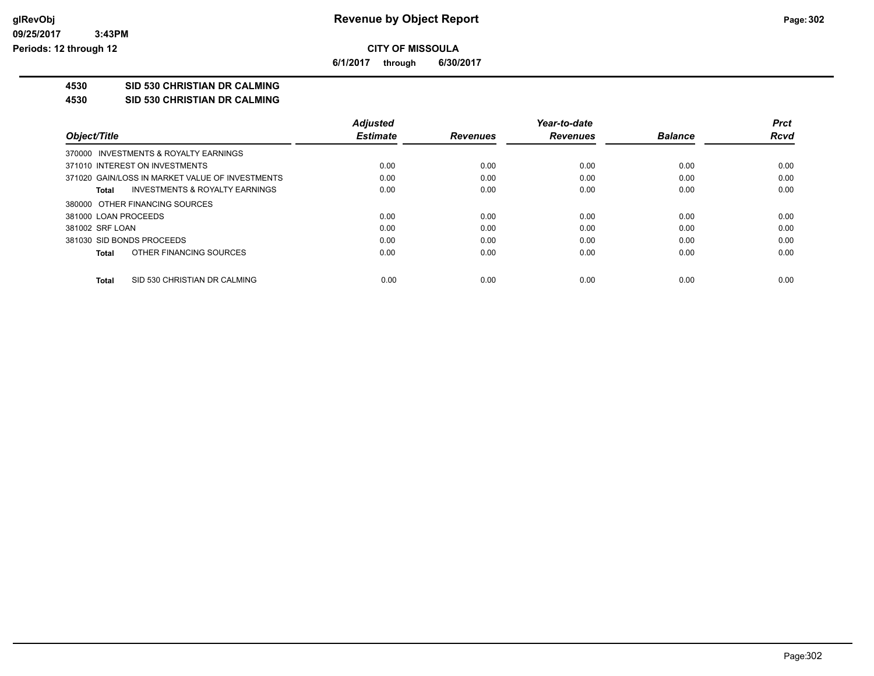**6/1/2017 through 6/30/2017**

# **4530 SID 530 CHRISTIAN DR CALMING**

**4530 SID 530 CHRISTIAN DR CALMING**

|                      |                                                 | <b>Adiusted</b> |                 | Year-to-date    |                | <b>Prct</b> |
|----------------------|-------------------------------------------------|-----------------|-----------------|-----------------|----------------|-------------|
| Object/Title         |                                                 | <b>Estimate</b> | <b>Revenues</b> | <b>Revenues</b> | <b>Balance</b> | Rcvd        |
|                      | 370000 INVESTMENTS & ROYALTY EARNINGS           |                 |                 |                 |                |             |
|                      | 371010 INTEREST ON INVESTMENTS                  | 0.00            | 0.00            | 0.00            | 0.00           | 0.00        |
|                      | 371020 GAIN/LOSS IN MARKET VALUE OF INVESTMENTS | 0.00            | 0.00            | 0.00            | 0.00           | 0.00        |
| Total                | <b>INVESTMENTS &amp; ROYALTY EARNINGS</b>       | 0.00            | 0.00            | 0.00            | 0.00           | 0.00        |
|                      | 380000 OTHER FINANCING SOURCES                  |                 |                 |                 |                |             |
| 381000 LOAN PROCEEDS |                                                 | 0.00            | 0.00            | 0.00            | 0.00           | 0.00        |
| 381002 SRF LOAN      |                                                 | 0.00            | 0.00            | 0.00            | 0.00           | 0.00        |
|                      | 381030 SID BONDS PROCEEDS                       | 0.00            | 0.00            | 0.00            | 0.00           | 0.00        |
| Total                | OTHER FINANCING SOURCES                         | 0.00            | 0.00            | 0.00            | 0.00           | 0.00        |
| Total                | SID 530 CHRISTIAN DR CALMING                    | 0.00            | 0.00            | 0.00            | 0.00           | 0.00        |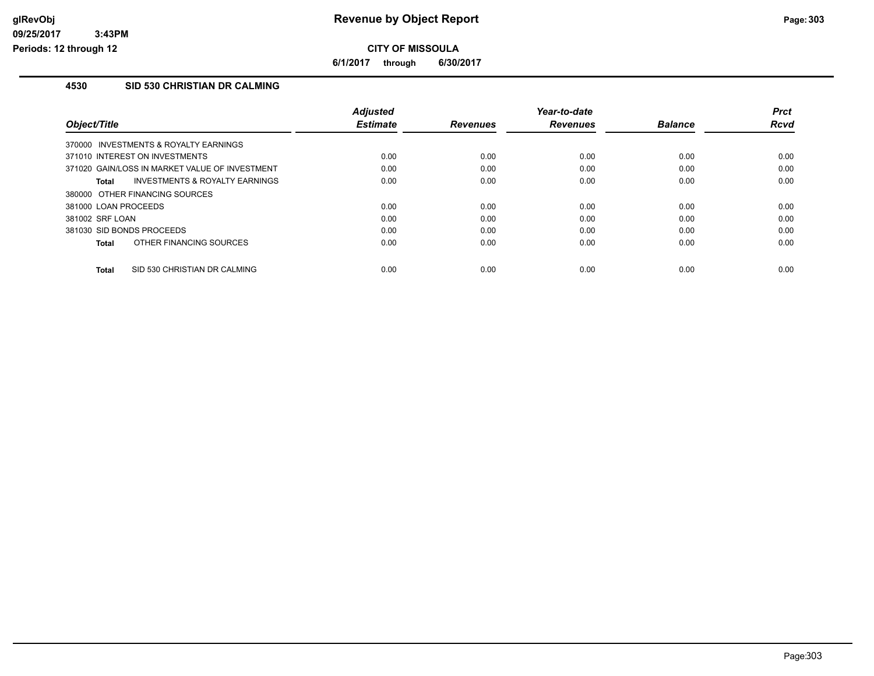**6/1/2017 through 6/30/2017**

# **4530 SID 530 CHRISTIAN DR CALMING**

| Object/Title                                       | <b>Adjusted</b><br><b>Estimate</b> | <b>Revenues</b> | Year-to-date<br><b>Revenues</b> | <b>Balance</b> | <b>Prct</b><br><b>Rcvd</b> |
|----------------------------------------------------|------------------------------------|-----------------|---------------------------------|----------------|----------------------------|
| 370000 INVESTMENTS & ROYALTY EARNINGS              |                                    |                 |                                 |                |                            |
| 371010 INTEREST ON INVESTMENTS                     | 0.00                               | 0.00            | 0.00                            | 0.00           | 0.00                       |
| 371020 GAIN/LOSS IN MARKET VALUE OF INVESTMENT     | 0.00                               | 0.00            | 0.00                            | 0.00           | 0.00                       |
| <b>INVESTMENTS &amp; ROYALTY EARNINGS</b><br>Total | 0.00                               | 0.00            | 0.00                            | 0.00           | 0.00                       |
| 380000 OTHER FINANCING SOURCES                     |                                    |                 |                                 |                |                            |
| 381000 LOAN PROCEEDS                               | 0.00                               | 0.00            | 0.00                            | 0.00           | 0.00                       |
| 381002 SRF LOAN                                    | 0.00                               | 0.00            | 0.00                            | 0.00           | 0.00                       |
| 381030 SID BONDS PROCEEDS                          | 0.00                               | 0.00            | 0.00                            | 0.00           | 0.00                       |
| OTHER FINANCING SOURCES<br><b>Total</b>            | 0.00                               | 0.00            | 0.00                            | 0.00           | 0.00                       |
| SID 530 CHRISTIAN DR CALMING<br><b>Total</b>       | 0.00                               | 0.00            | 0.00                            | 0.00           | 0.00                       |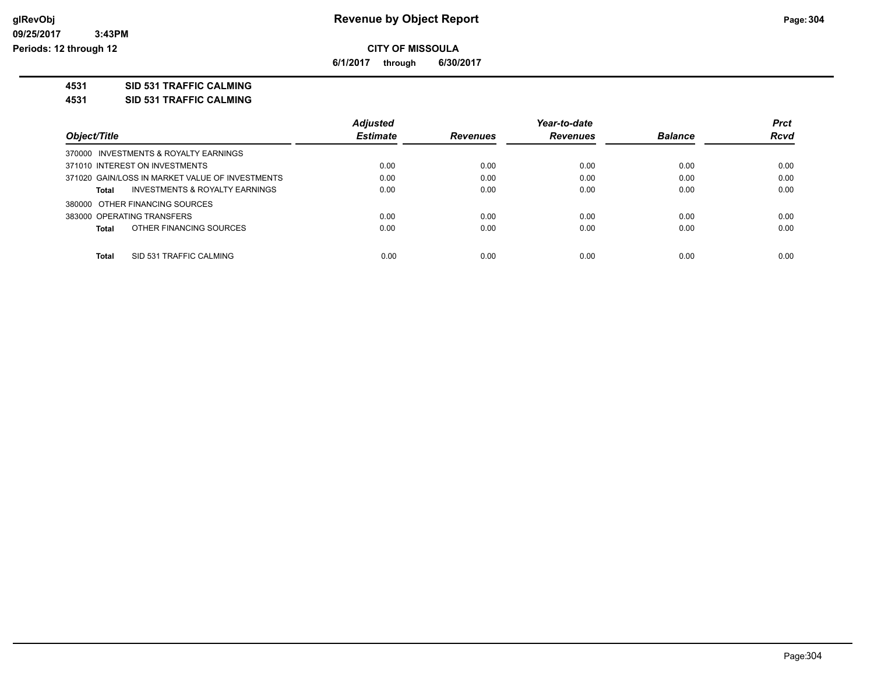**6/1/2017 through 6/30/2017**

#### **4531 SID 531 TRAFFIC CALMING**

**4531 SID 531 TRAFFIC CALMING**

|                                                    | <b>Adjusted</b> |                 | Year-to-date    |                | <b>Prct</b> |
|----------------------------------------------------|-----------------|-----------------|-----------------|----------------|-------------|
| Object/Title                                       | <b>Estimate</b> | <b>Revenues</b> | <b>Revenues</b> | <b>Balance</b> | <b>Rcvd</b> |
| 370000 INVESTMENTS & ROYALTY EARNINGS              |                 |                 |                 |                |             |
| 371010 INTEREST ON INVESTMENTS                     | 0.00            | 0.00            | 0.00            | 0.00           | 0.00        |
| 371020 GAIN/LOSS IN MARKET VALUE OF INVESTMENTS    | 0.00            | 0.00            | 0.00            | 0.00           | 0.00        |
| <b>INVESTMENTS &amp; ROYALTY EARNINGS</b><br>Total | 0.00            | 0.00            | 0.00            | 0.00           | 0.00        |
| 380000 OTHER FINANCING SOURCES                     |                 |                 |                 |                |             |
| 383000 OPERATING TRANSFERS                         | 0.00            | 0.00            | 0.00            | 0.00           | 0.00        |
| OTHER FINANCING SOURCES<br><b>Total</b>            | 0.00            | 0.00            | 0.00            | 0.00           | 0.00        |
|                                                    |                 |                 |                 |                |             |
| Total<br>SID 531 TRAFFIC CALMING                   | 0.00            | 0.00            | 0.00            | 0.00           | 0.00        |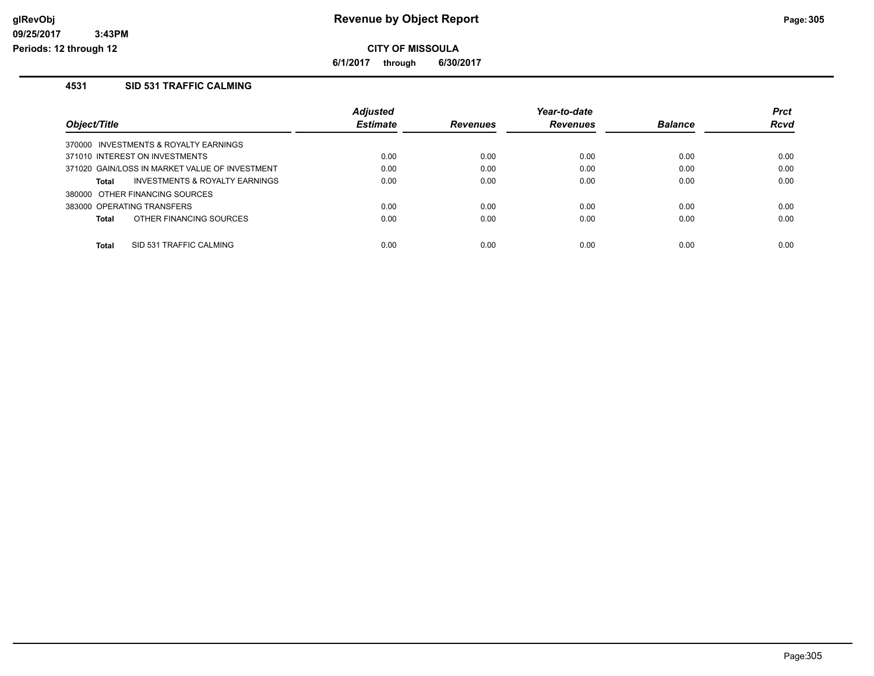**6/1/2017 through 6/30/2017**

# **4531 SID 531 TRAFFIC CALMING**

|              |                                                | Adjusted        |                 | Year-to-date    |                | <b>Prct</b> |
|--------------|------------------------------------------------|-----------------|-----------------|-----------------|----------------|-------------|
| Object/Title |                                                | <b>Estimate</b> | <b>Revenues</b> | <b>Revenues</b> | <b>Balance</b> | <b>Rcvd</b> |
|              | 370000 INVESTMENTS & ROYALTY EARNINGS          |                 |                 |                 |                |             |
|              | 371010 INTEREST ON INVESTMENTS                 | 0.00            | 0.00            | 0.00            | 0.00           | 0.00        |
|              | 371020 GAIN/LOSS IN MARKET VALUE OF INVESTMENT | 0.00            | 0.00            | 0.00            | 0.00           | 0.00        |
| Total        | INVESTMENTS & ROYALTY EARNINGS                 | 0.00            | 0.00            | 0.00            | 0.00           | 0.00        |
|              | 380000 OTHER FINANCING SOURCES                 |                 |                 |                 |                |             |
|              | 383000 OPERATING TRANSFERS                     | 0.00            | 0.00            | 0.00            | 0.00           | 0.00        |
| Total        | OTHER FINANCING SOURCES                        | 0.00            | 0.00            | 0.00            | 0.00           | 0.00        |
| <b>Total</b> | SID 531 TRAFFIC CALMING                        | 0.00            | 0.00            | 0.00            | 0.00           | 0.00        |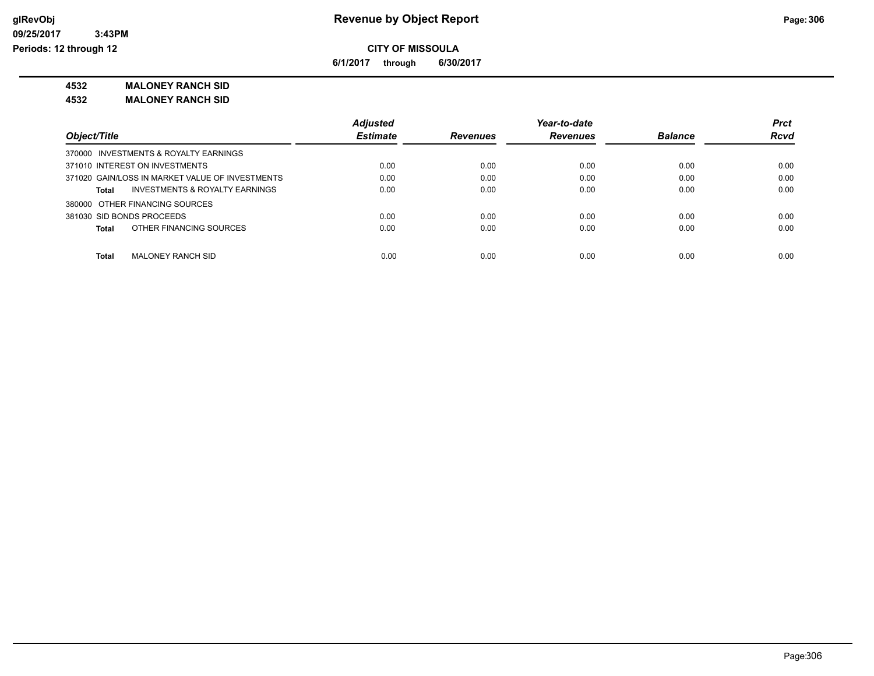**6/1/2017 through 6/30/2017**

#### **4532 MALONEY RANCH SID**

**4532 MALONEY RANCH SID**

|                                                 | <b>Adjusted</b> |                 | Year-to-date    |                | <b>Prct</b> |
|-------------------------------------------------|-----------------|-----------------|-----------------|----------------|-------------|
| Object/Title                                    | <b>Estimate</b> | <b>Revenues</b> | <b>Revenues</b> | <b>Balance</b> | <b>Rcvd</b> |
| 370000 INVESTMENTS & ROYALTY EARNINGS           |                 |                 |                 |                |             |
| 371010 INTEREST ON INVESTMENTS                  | 0.00            | 0.00            | 0.00            | 0.00           | 0.00        |
| 371020 GAIN/LOSS IN MARKET VALUE OF INVESTMENTS | 0.00            | 0.00            | 0.00            | 0.00           | 0.00        |
| INVESTMENTS & ROYALTY EARNINGS<br>Total         | 0.00            | 0.00            | 0.00            | 0.00           | 0.00        |
| 380000 OTHER FINANCING SOURCES                  |                 |                 |                 |                |             |
| 381030 SID BONDS PROCEEDS                       | 0.00            | 0.00            | 0.00            | 0.00           | 0.00        |
| OTHER FINANCING SOURCES<br>Total                | 0.00            | 0.00            | 0.00            | 0.00           | 0.00        |
|                                                 |                 |                 |                 |                |             |
| <b>Total</b><br>MALONEY RANCH SID               | 0.00            | 0.00            | 0.00            | 0.00           | 0.00        |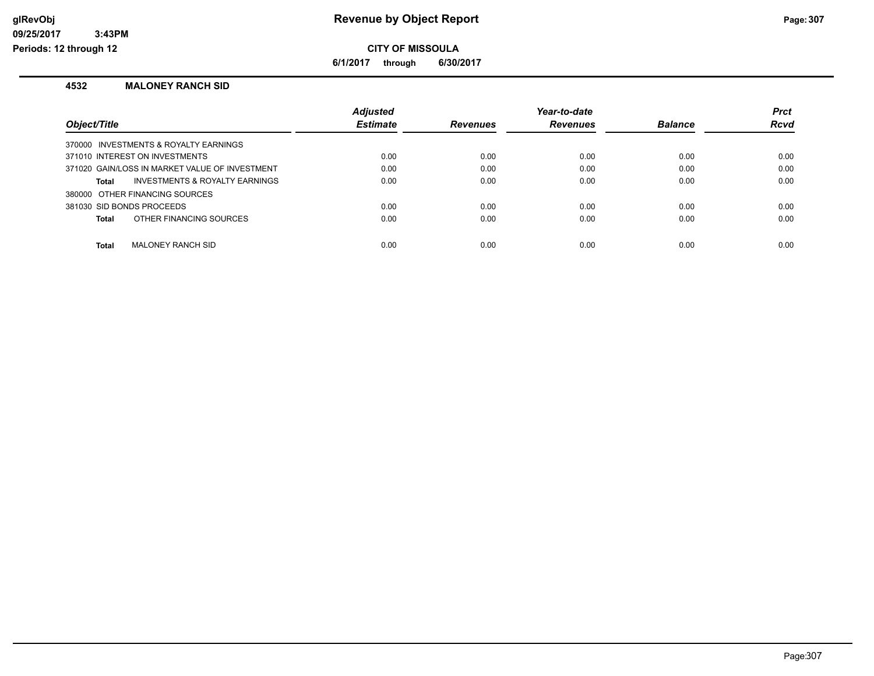**6/1/2017 through 6/30/2017**

#### **4532 MALONEY RANCH SID**

|                                       |                                                | <b>Adjusted</b> |                 | Year-to-date    |                | <b>Prct</b> |
|---------------------------------------|------------------------------------------------|-----------------|-----------------|-----------------|----------------|-------------|
| Object/Title                          |                                                | <b>Estimate</b> | <b>Revenues</b> | <b>Revenues</b> | <b>Balance</b> | <b>Rcvd</b> |
| 370000 INVESTMENTS & ROYALTY EARNINGS |                                                |                 |                 |                 |                |             |
| 371010 INTEREST ON INVESTMENTS        |                                                | 0.00            | 0.00            | 0.00            | 0.00           | 0.00        |
|                                       | 371020 GAIN/LOSS IN MARKET VALUE OF INVESTMENT | 0.00            | 0.00            | 0.00            | 0.00           | 0.00        |
| Total                                 | INVESTMENTS & ROYALTY EARNINGS                 | 0.00            | 0.00            | 0.00            | 0.00           | 0.00        |
| 380000 OTHER FINANCING SOURCES        |                                                |                 |                 |                 |                |             |
| 381030 SID BONDS PROCEEDS             |                                                | 0.00            | 0.00            | 0.00            | 0.00           | 0.00        |
| Total                                 | OTHER FINANCING SOURCES                        | 0.00            | 0.00            | 0.00            | 0.00           | 0.00        |
| Total                                 | MALONEY RANCH SID                              | 0.00            | 0.00            | 0.00            | 0.00           | 0.00        |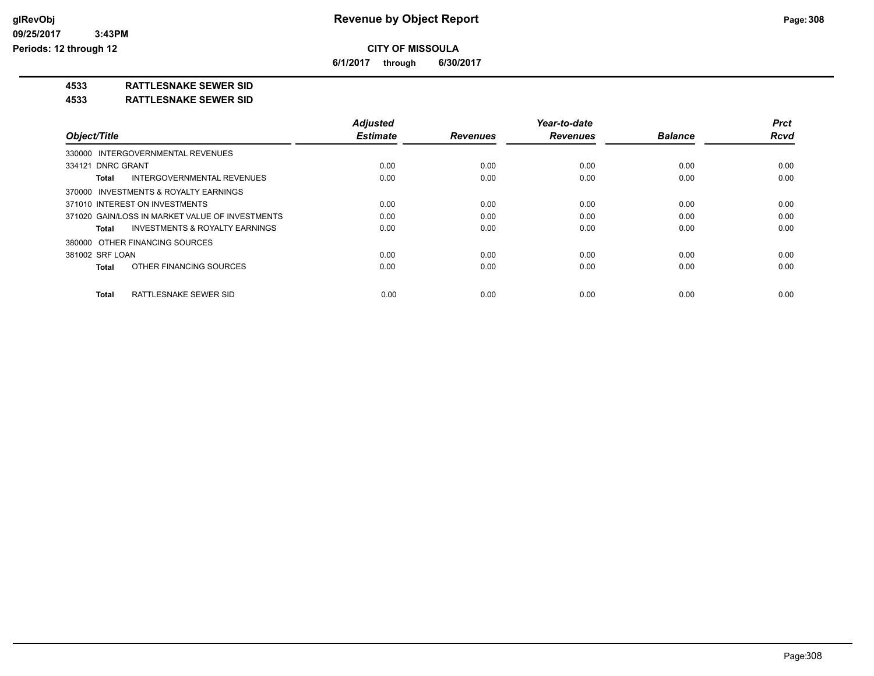**6/1/2017 through 6/30/2017**

**4533 RATTLESNAKE SEWER SID**

**4533 RATTLESNAKE SEWER SID**

|                                                 | <b>Adjusted</b> |                 | Year-to-date    |                | <b>Prct</b> |
|-------------------------------------------------|-----------------|-----------------|-----------------|----------------|-------------|
| Object/Title                                    | <b>Estimate</b> | <b>Revenues</b> | <b>Revenues</b> | <b>Balance</b> | <b>Rcvd</b> |
| 330000 INTERGOVERNMENTAL REVENUES               |                 |                 |                 |                |             |
| 334121 DNRC GRANT                               | 0.00            | 0.00            | 0.00            | 0.00           | 0.00        |
| INTERGOVERNMENTAL REVENUES<br>Total             | 0.00            | 0.00            | 0.00            | 0.00           | 0.00        |
| 370000 INVESTMENTS & ROYALTY EARNINGS           |                 |                 |                 |                |             |
| 371010 INTEREST ON INVESTMENTS                  | 0.00            | 0.00            | 0.00            | 0.00           | 0.00        |
| 371020 GAIN/LOSS IN MARKET VALUE OF INVESTMENTS | 0.00            | 0.00            | 0.00            | 0.00           | 0.00        |
| INVESTMENTS & ROYALTY EARNINGS<br>Total         | 0.00            | 0.00            | 0.00            | 0.00           | 0.00        |
| 380000 OTHER FINANCING SOURCES                  |                 |                 |                 |                |             |
| 381002 SRF LOAN                                 | 0.00            | 0.00            | 0.00            | 0.00           | 0.00        |
| OTHER FINANCING SOURCES<br>Total                | 0.00            | 0.00            | 0.00            | 0.00           | 0.00        |
| RATTLESNAKE SEWER SID<br><b>Total</b>           | 0.00            | 0.00            | 0.00            | 0.00           | 0.00        |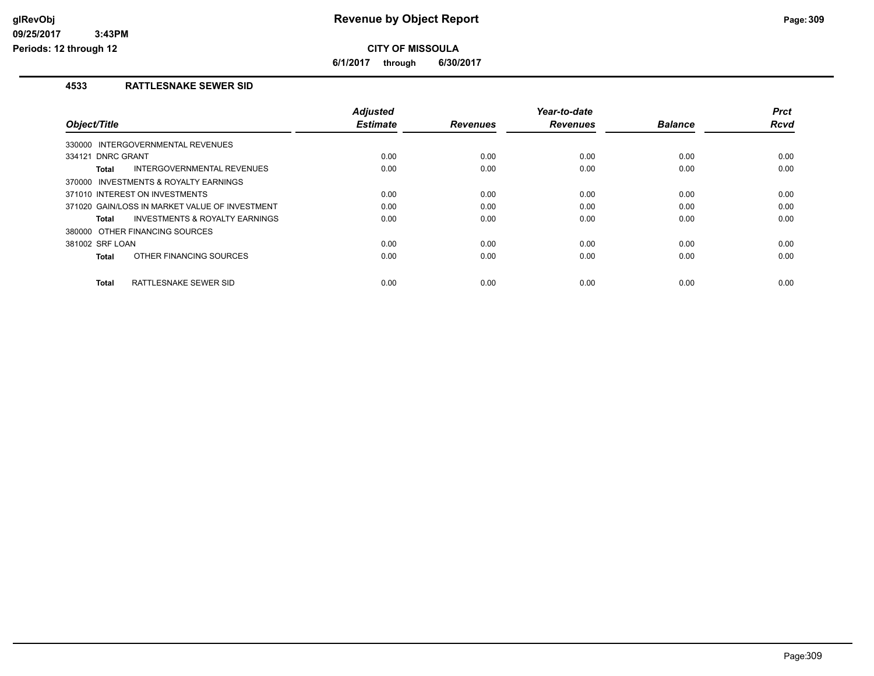**6/1/2017 through 6/30/2017**

# **4533 RATTLESNAKE SEWER SID**

|                                                    | <b>Adjusted</b> |                 | Year-to-date    |                | <b>Prct</b> |
|----------------------------------------------------|-----------------|-----------------|-----------------|----------------|-------------|
| Object/Title                                       | <b>Estimate</b> | <b>Revenues</b> | <b>Revenues</b> | <b>Balance</b> | <b>Rcvd</b> |
| 330000 INTERGOVERNMENTAL REVENUES                  |                 |                 |                 |                |             |
| 334121 DNRC GRANT                                  | 0.00            | 0.00            | 0.00            | 0.00           | 0.00        |
| INTERGOVERNMENTAL REVENUES<br>Total                | 0.00            | 0.00            | 0.00            | 0.00           | 0.00        |
| 370000 INVESTMENTS & ROYALTY EARNINGS              |                 |                 |                 |                |             |
| 371010 INTEREST ON INVESTMENTS                     | 0.00            | 0.00            | 0.00            | 0.00           | 0.00        |
| 371020 GAIN/LOSS IN MARKET VALUE OF INVESTMENT     | 0.00            | 0.00            | 0.00            | 0.00           | 0.00        |
| <b>INVESTMENTS &amp; ROYALTY EARNINGS</b><br>Total | 0.00            | 0.00            | 0.00            | 0.00           | 0.00        |
| 380000 OTHER FINANCING SOURCES                     |                 |                 |                 |                |             |
| 381002 SRF LOAN                                    | 0.00            | 0.00            | 0.00            | 0.00           | 0.00        |
| OTHER FINANCING SOURCES<br>Total                   | 0.00            | 0.00            | 0.00            | 0.00           | 0.00        |
| RATTLESNAKE SEWER SID<br><b>Total</b>              | 0.00            | 0.00            | 0.00            | 0.00           | 0.00        |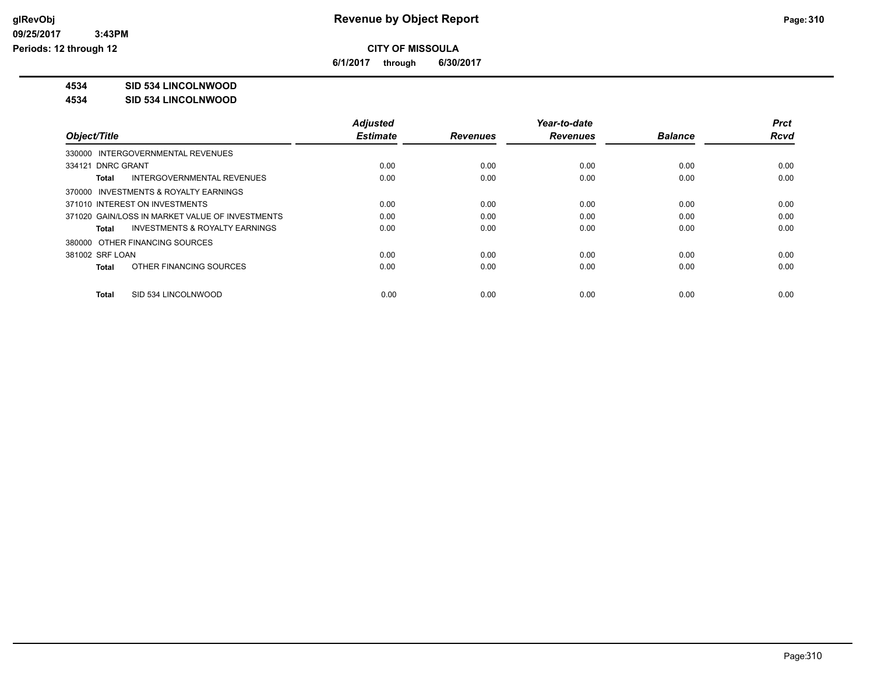**6/1/2017 through 6/30/2017**

## **4534 SID 534 LINCOLNWOOD**

#### **4534 SID 534 LINCOLNWOOD**

|                                                    | <b>Adjusted</b> |                 | Year-to-date    |                | <b>Prct</b> |
|----------------------------------------------------|-----------------|-----------------|-----------------|----------------|-------------|
| Object/Title                                       | <b>Estimate</b> | <b>Revenues</b> | <b>Revenues</b> | <b>Balance</b> | <b>Rcvd</b> |
| 330000 INTERGOVERNMENTAL REVENUES                  |                 |                 |                 |                |             |
| 334121 DNRC GRANT                                  | 0.00            | 0.00            | 0.00            | 0.00           | 0.00        |
| INTERGOVERNMENTAL REVENUES<br>Total                | 0.00            | 0.00            | 0.00            | 0.00           | 0.00        |
| 370000 INVESTMENTS & ROYALTY EARNINGS              |                 |                 |                 |                |             |
| 371010 INTEREST ON INVESTMENTS                     | 0.00            | 0.00            | 0.00            | 0.00           | 0.00        |
| 371020 GAIN/LOSS IN MARKET VALUE OF INVESTMENTS    | 0.00            | 0.00            | 0.00            | 0.00           | 0.00        |
| <b>INVESTMENTS &amp; ROYALTY EARNINGS</b><br>Total | 0.00            | 0.00            | 0.00            | 0.00           | 0.00        |
| 380000 OTHER FINANCING SOURCES                     |                 |                 |                 |                |             |
| 381002 SRF LOAN                                    | 0.00            | 0.00            | 0.00            | 0.00           | 0.00        |
| OTHER FINANCING SOURCES<br>Total                   | 0.00            | 0.00            | 0.00            | 0.00           | 0.00        |
| SID 534 LINCOLNWOOD<br>Total                       | 0.00            | 0.00            | 0.00            | 0.00           | 0.00        |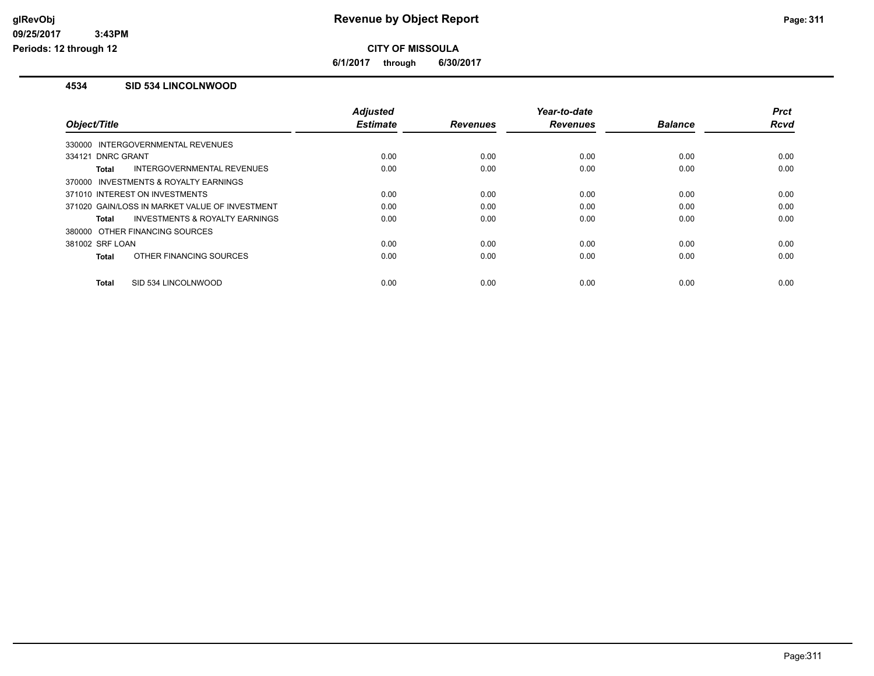**6/1/2017 through 6/30/2017**

#### **4534 SID 534 LINCOLNWOOD**

| Object/Title                                       | <b>Adjusted</b><br><b>Estimate</b> | <b>Revenues</b> | Year-to-date<br><b>Revenues</b> | <b>Balance</b> | <b>Prct</b><br><b>Rcvd</b> |
|----------------------------------------------------|------------------------------------|-----------------|---------------------------------|----------------|----------------------------|
|                                                    |                                    |                 |                                 |                |                            |
| 330000 INTERGOVERNMENTAL REVENUES                  |                                    |                 |                                 |                |                            |
| 334121 DNRC GRANT                                  | 0.00                               | 0.00            | 0.00                            | 0.00           | 0.00                       |
| INTERGOVERNMENTAL REVENUES<br>Total                | 0.00                               | 0.00            | 0.00                            | 0.00           | 0.00                       |
| 370000 INVESTMENTS & ROYALTY EARNINGS              |                                    |                 |                                 |                |                            |
| 371010 INTEREST ON INVESTMENTS                     | 0.00                               | 0.00            | 0.00                            | 0.00           | 0.00                       |
| 371020 GAIN/LOSS IN MARKET VALUE OF INVESTMENT     | 0.00                               | 0.00            | 0.00                            | 0.00           | 0.00                       |
| <b>INVESTMENTS &amp; ROYALTY EARNINGS</b><br>Total | 0.00                               | 0.00            | 0.00                            | 0.00           | 0.00                       |
| 380000 OTHER FINANCING SOURCES                     |                                    |                 |                                 |                |                            |
| 381002 SRF LOAN                                    | 0.00                               | 0.00            | 0.00                            | 0.00           | 0.00                       |
| OTHER FINANCING SOURCES<br>Total                   | 0.00                               | 0.00            | 0.00                            | 0.00           | 0.00                       |
| SID 534 LINCOLNWOOD<br><b>Total</b>                | 0.00                               | 0.00            | 0.00                            | 0.00           | 0.00                       |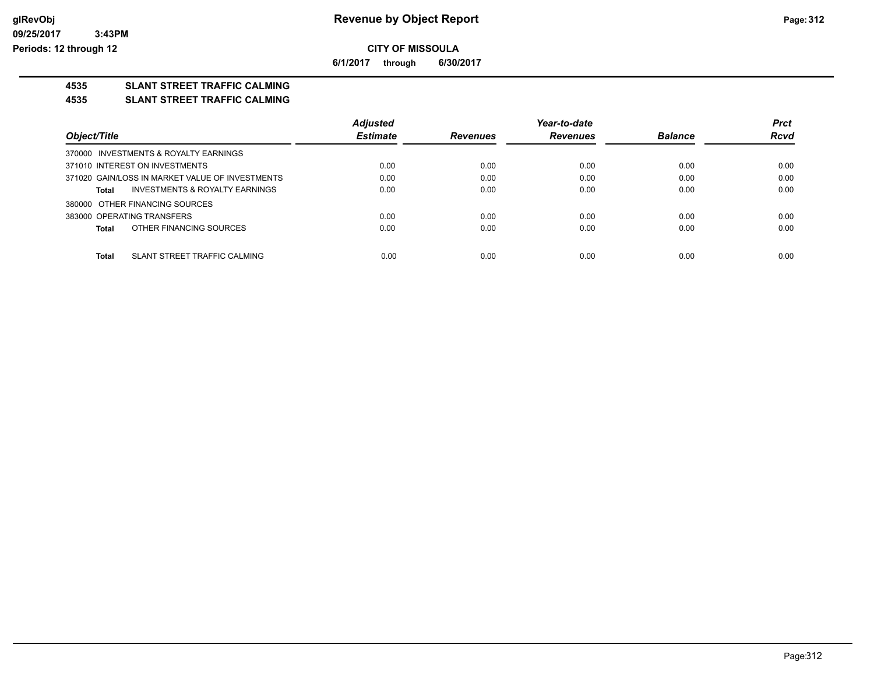**6/1/2017 through 6/30/2017**

# **4535 SLANT STREET TRAFFIC CALMING**

#### **4535 SLANT STREET TRAFFIC CALMING**

| <b>Adjusted</b> |                 | Year-to-date    |                | <b>Prct</b> |
|-----------------|-----------------|-----------------|----------------|-------------|
| <b>Estimate</b> | <b>Revenues</b> | <b>Revenues</b> | <b>Balance</b> | <b>Rcvd</b> |
|                 |                 |                 |                |             |
| 0.00            | 0.00            | 0.00            | 0.00           | 0.00        |
| 0.00            | 0.00            | 0.00            | 0.00           | 0.00        |
| 0.00            | 0.00            | 0.00            | 0.00           | 0.00        |
|                 |                 |                 |                |             |
| 0.00            | 0.00            | 0.00            | 0.00           | 0.00        |
| 0.00            | 0.00            | 0.00            | 0.00           | 0.00        |
|                 |                 |                 |                | 0.00        |
|                 | 0.00            | 0.00            | 0.00           | 0.00        |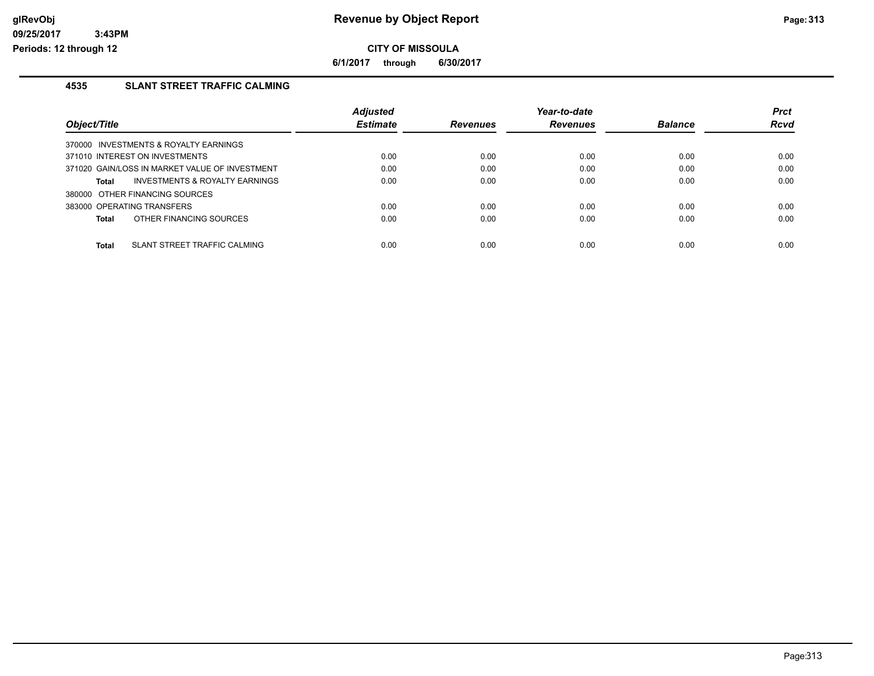**6/1/2017 through 6/30/2017**

# **4535 SLANT STREET TRAFFIC CALMING**

| <b>Balance</b> | <b>Rcvd</b> |
|----------------|-------------|
|                |             |
| 0.00           | 0.00        |
| 0.00           | 0.00        |
| 0.00           | 0.00        |
|                |             |
| 0.00           | 0.00        |
| 0.00           | 0.00        |
|                | 0.00        |
|                | 0.00        |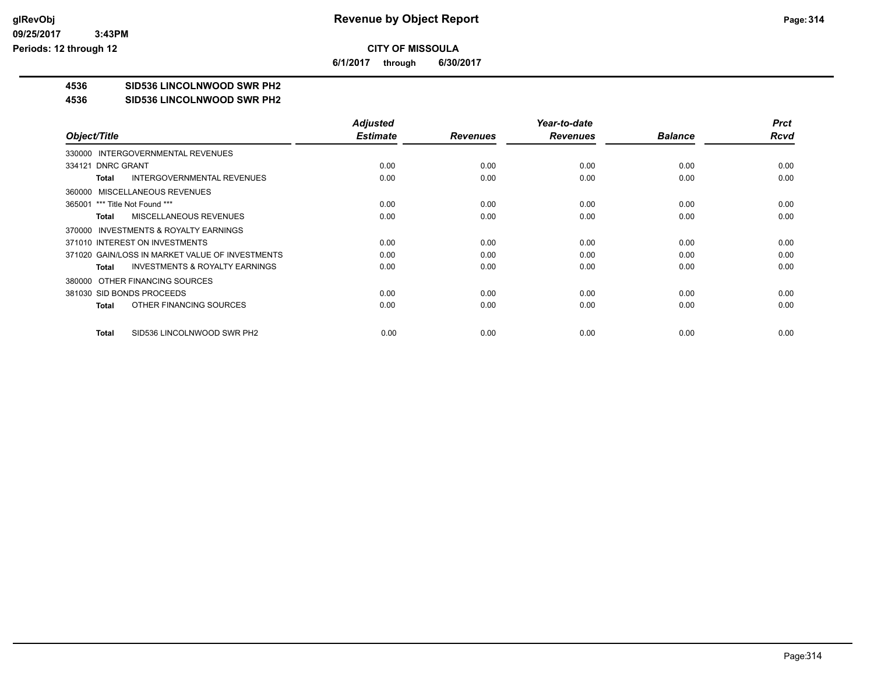**6/1/2017 through 6/30/2017**

# **4536 SID536 LINCOLNWOOD SWR PH2**

#### **4536 SID536 LINCOLNWOOD SWR PH2**

|                                                    | <b>Adjusted</b> |                 | Year-to-date    |                | <b>Prct</b> |
|----------------------------------------------------|-----------------|-----------------|-----------------|----------------|-------------|
| Object/Title                                       | <b>Estimate</b> | <b>Revenues</b> | <b>Revenues</b> | <b>Balance</b> | <b>Rcvd</b> |
| 330000 INTERGOVERNMENTAL REVENUES                  |                 |                 |                 |                |             |
| 334121 DNRC GRANT                                  | 0.00            | 0.00            | 0.00            | 0.00           | 0.00        |
| <b>INTERGOVERNMENTAL REVENUES</b><br>Total         | 0.00            | 0.00            | 0.00            | 0.00           | 0.00        |
| 360000 MISCELLANEOUS REVENUES                      |                 |                 |                 |                |             |
| 365001 *** Title Not Found ***                     | 0.00            | 0.00            | 0.00            | 0.00           | 0.00        |
| MISCELLANEOUS REVENUES<br>Total                    | 0.00            | 0.00            | 0.00            | 0.00           | 0.00        |
| 370000 INVESTMENTS & ROYALTY EARNINGS              |                 |                 |                 |                |             |
| 371010 INTEREST ON INVESTMENTS                     | 0.00            | 0.00            | 0.00            | 0.00           | 0.00        |
| 371020 GAIN/LOSS IN MARKET VALUE OF INVESTMENTS    | 0.00            | 0.00            | 0.00            | 0.00           | 0.00        |
| <b>INVESTMENTS &amp; ROYALTY EARNINGS</b><br>Total | 0.00            | 0.00            | 0.00            | 0.00           | 0.00        |
| 380000 OTHER FINANCING SOURCES                     |                 |                 |                 |                |             |
| 381030 SID BONDS PROCEEDS                          | 0.00            | 0.00            | 0.00            | 0.00           | 0.00        |
| OTHER FINANCING SOURCES<br>Total                   | 0.00            | 0.00            | 0.00            | 0.00           | 0.00        |
|                                                    |                 |                 |                 |                |             |
| SID536 LINCOLNWOOD SWR PH2<br>Total                | 0.00            | 0.00            | 0.00            | 0.00           | 0.00        |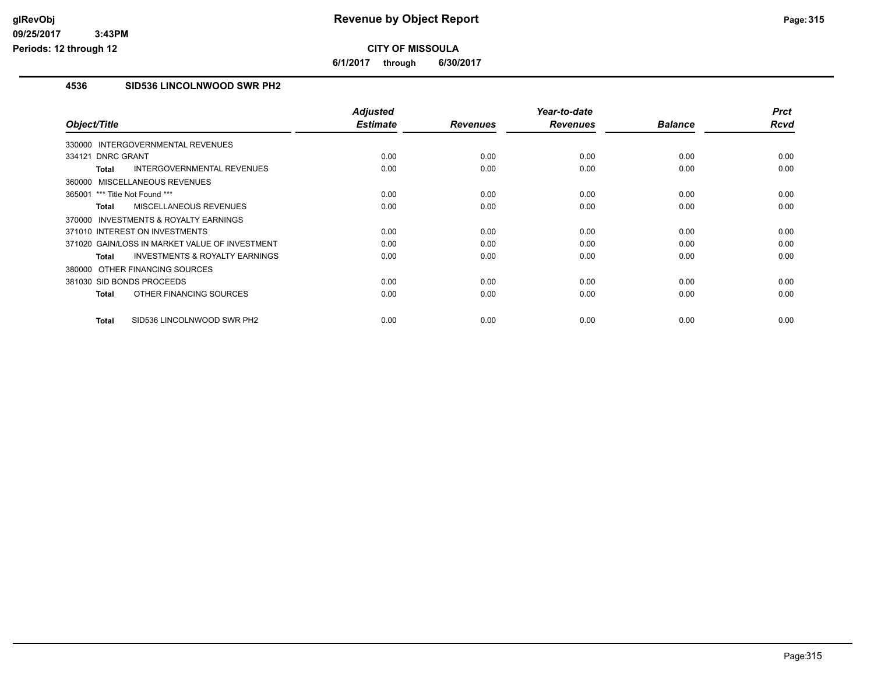**6/1/2017 through 6/30/2017**

# **4536 SID536 LINCOLNWOOD SWR PH2**

| Object/Title                                              | <b>Adjusted</b><br><b>Estimate</b> | <b>Revenues</b> | Year-to-date<br><b>Revenues</b> | <b>Balance</b> | <b>Prct</b><br><b>Rcvd</b> |
|-----------------------------------------------------------|------------------------------------|-----------------|---------------------------------|----------------|----------------------------|
|                                                           |                                    |                 |                                 |                |                            |
| 330000 INTERGOVERNMENTAL REVENUES                         |                                    |                 |                                 |                |                            |
| 334121 DNRC GRANT                                         | 0.00                               | 0.00            | 0.00                            | 0.00           | 0.00                       |
| INTERGOVERNMENTAL REVENUES<br>Total                       | 0.00                               | 0.00            | 0.00                            | 0.00           | 0.00                       |
| 360000 MISCELLANEOUS REVENUES                             |                                    |                 |                                 |                |                            |
| 365001 *** Title Not Found ***                            | 0.00                               | 0.00            | 0.00                            | 0.00           | 0.00                       |
| <b>MISCELLANEOUS REVENUES</b><br>Total                    | 0.00                               | 0.00            | 0.00                            | 0.00           | 0.00                       |
| 370000 INVESTMENTS & ROYALTY EARNINGS                     |                                    |                 |                                 |                |                            |
| 371010 INTEREST ON INVESTMENTS                            | 0.00                               | 0.00            | 0.00                            | 0.00           | 0.00                       |
| 371020 GAIN/LOSS IN MARKET VALUE OF INVESTMENT            | 0.00                               | 0.00            | 0.00                            | 0.00           | 0.00                       |
| <b>INVESTMENTS &amp; ROYALTY EARNINGS</b><br><b>Total</b> | 0.00                               | 0.00            | 0.00                            | 0.00           | 0.00                       |
| 380000 OTHER FINANCING SOURCES                            |                                    |                 |                                 |                |                            |
| 381030 SID BONDS PROCEEDS                                 | 0.00                               | 0.00            | 0.00                            | 0.00           | 0.00                       |
| OTHER FINANCING SOURCES<br>Total                          | 0.00                               | 0.00            | 0.00                            | 0.00           | 0.00                       |
|                                                           |                                    |                 |                                 |                |                            |
| SID536 LINCOLNWOOD SWR PH2<br><b>Total</b>                | 0.00                               | 0.00            | 0.00                            | 0.00           | 0.00                       |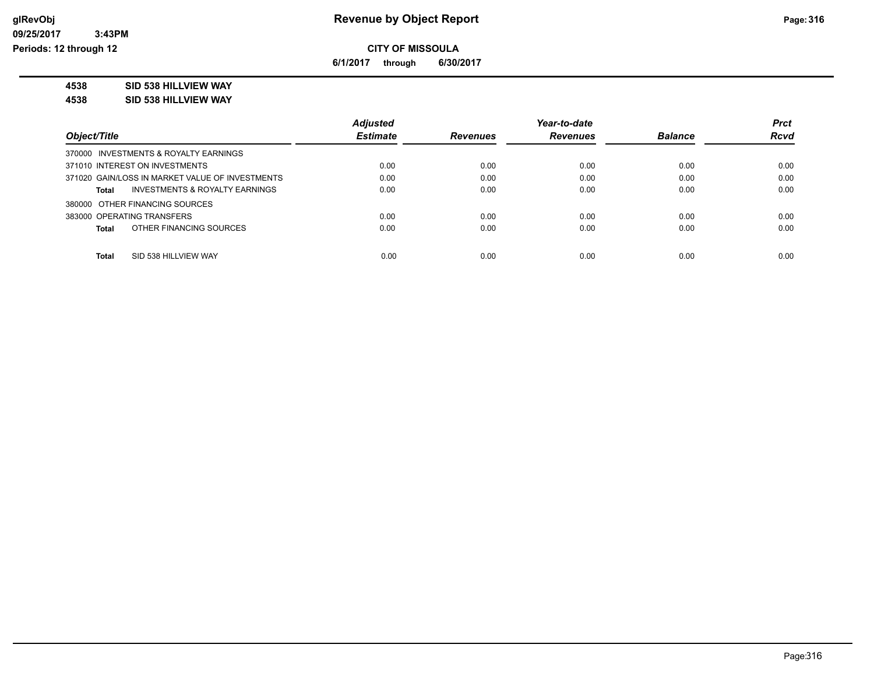**6/1/2017 through 6/30/2017**

#### **4538 SID 538 HILLVIEW WAY**

**4538 SID 538 HILLVIEW WAY**

|                                                    | <b>Adjusted</b> |                 | Year-to-date    |                | <b>Prct</b> |
|----------------------------------------------------|-----------------|-----------------|-----------------|----------------|-------------|
| Object/Title                                       | <b>Estimate</b> | <b>Revenues</b> | <b>Revenues</b> | <b>Balance</b> | <b>Rcvd</b> |
| 370000 INVESTMENTS & ROYALTY EARNINGS              |                 |                 |                 |                |             |
| 371010 INTEREST ON INVESTMENTS                     | 0.00            | 0.00            | 0.00            | 0.00           | 0.00        |
| 371020 GAIN/LOSS IN MARKET VALUE OF INVESTMENTS    | 0.00            | 0.00            | 0.00            | 0.00           | 0.00        |
| <b>INVESTMENTS &amp; ROYALTY EARNINGS</b><br>Total | 0.00            | 0.00            | 0.00            | 0.00           | 0.00        |
| 380000 OTHER FINANCING SOURCES                     |                 |                 |                 |                |             |
| 383000 OPERATING TRANSFERS                         | 0.00            | 0.00            | 0.00            | 0.00           | 0.00        |
| OTHER FINANCING SOURCES<br>Total                   | 0.00            | 0.00            | 0.00            | 0.00           | 0.00        |
|                                                    |                 |                 |                 |                |             |
| Total<br>SID 538 HILLVIEW WAY                      | 0.00            | 0.00            | 0.00            | 0.00           | 0.00        |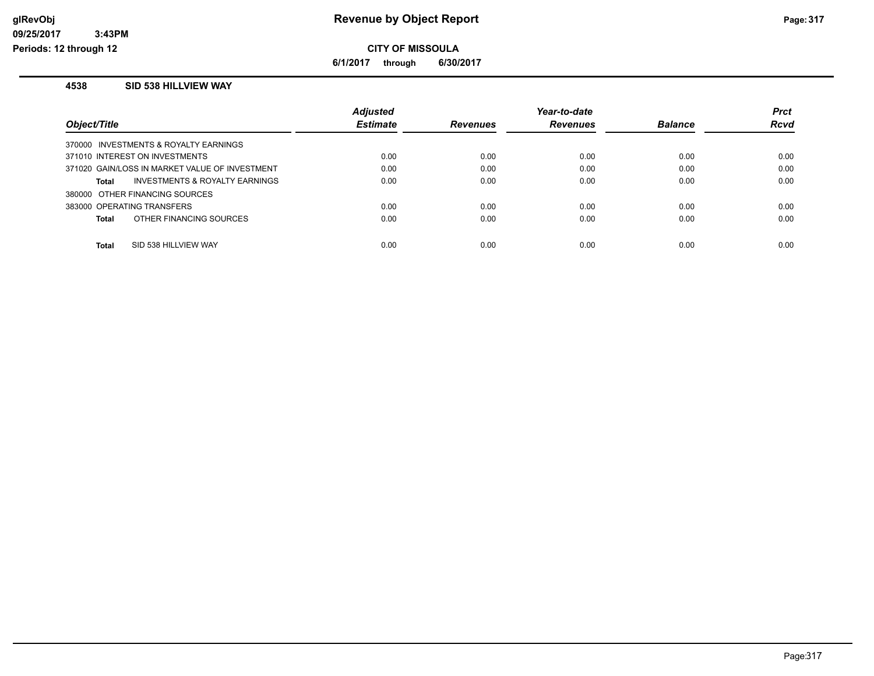**6/1/2017 through 6/30/2017**

#### **4538 SID 538 HILLVIEW WAY**

|                            |                                                | Adjusted        |                 | Year-to-date    |                | <b>Prct</b> |
|----------------------------|------------------------------------------------|-----------------|-----------------|-----------------|----------------|-------------|
| Object/Title               |                                                | <b>Estimate</b> | <b>Revenues</b> | <b>Revenues</b> | <b>Balance</b> | <b>Rcvd</b> |
|                            | 370000 INVESTMENTS & ROYALTY EARNINGS          |                 |                 |                 |                |             |
|                            | 371010 INTEREST ON INVESTMENTS                 | 0.00            | 0.00            | 0.00            | 0.00           | 0.00        |
|                            | 371020 GAIN/LOSS IN MARKET VALUE OF INVESTMENT | 0.00            | 0.00            | 0.00            | 0.00           | 0.00        |
| Total                      | INVESTMENTS & ROYALTY EARNINGS                 | 0.00            | 0.00            | 0.00            | 0.00           | 0.00        |
|                            | 380000 OTHER FINANCING SOURCES                 |                 |                 |                 |                |             |
| 383000 OPERATING TRANSFERS |                                                | 0.00            | 0.00            | 0.00            | 0.00           | 0.00        |
| Total                      | OTHER FINANCING SOURCES                        | 0.00            | 0.00            | 0.00            | 0.00           | 0.00        |
| <b>Total</b>               | SID 538 HILLVIEW WAY                           | 0.00            | 0.00            | 0.00            | 0.00           | 0.00        |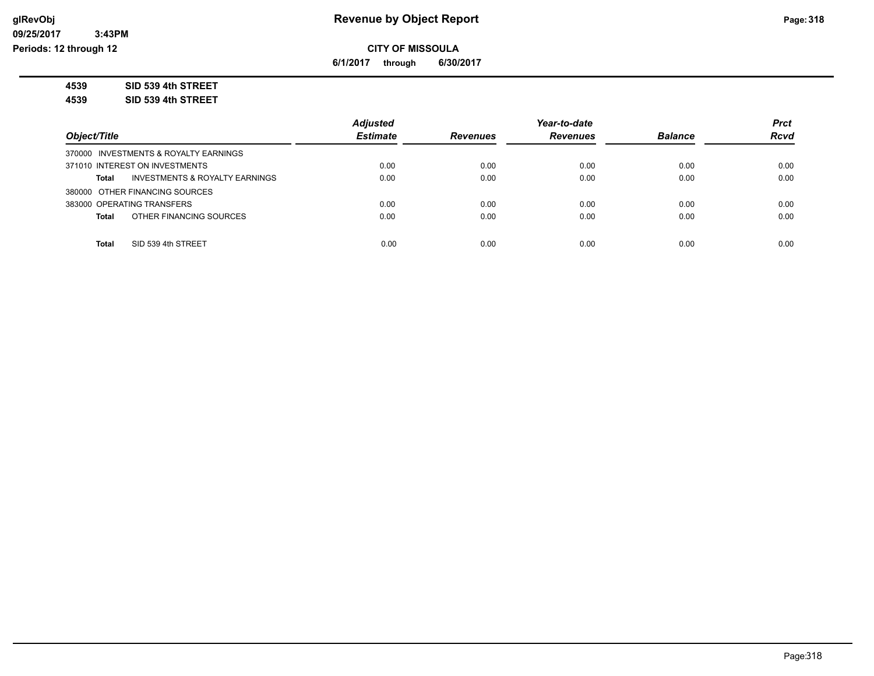**6/1/2017 through 6/30/2017**

**4539 SID 539 4th STREET**

**4539 SID 539 4th STREET**

|                                                           | <b>Adjusted</b> |                 | Year-to-date    |                | <b>Prct</b> |
|-----------------------------------------------------------|-----------------|-----------------|-----------------|----------------|-------------|
| Object/Title                                              | <b>Estimate</b> | <b>Revenues</b> | <b>Revenues</b> | <b>Balance</b> | <b>Rcvd</b> |
| 370000 INVESTMENTS & ROYALTY EARNINGS                     |                 |                 |                 |                |             |
| 371010 INTEREST ON INVESTMENTS                            | 0.00            | 0.00            | 0.00            | 0.00           | 0.00        |
| <b>INVESTMENTS &amp; ROYALTY EARNINGS</b><br><b>Total</b> | 0.00            | 0.00            | 0.00            | 0.00           | 0.00        |
| 380000 OTHER FINANCING SOURCES                            |                 |                 |                 |                |             |
| 383000 OPERATING TRANSFERS                                | 0.00            | 0.00            | 0.00            | 0.00           | 0.00        |
| OTHER FINANCING SOURCES<br><b>Total</b>                   | 0.00            | 0.00            | 0.00            | 0.00           | 0.00        |
|                                                           |                 |                 |                 |                |             |
| SID 539 4th STREET<br><b>Total</b>                        | 0.00            | 0.00            | 0.00            | 0.00           | 0.00        |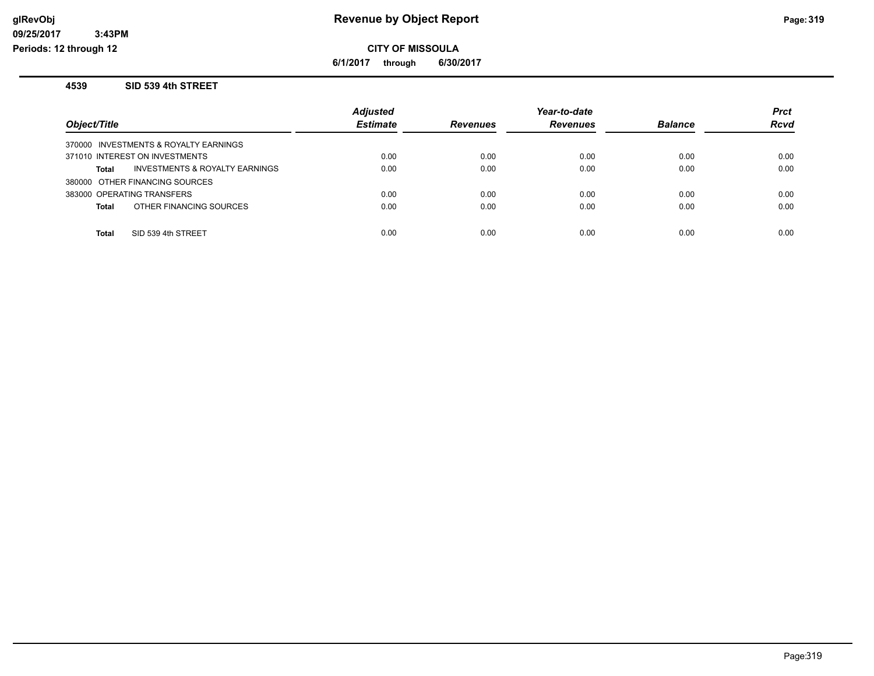**6/1/2017 through 6/30/2017**

#### **4539 SID 539 4th STREET**

| Object/Title                            | <b>Adjusted</b><br><b>Estimate</b> | <b>Revenues</b> | Year-to-date<br><b>Revenues</b> | <b>Balance</b> | <b>Prct</b><br><b>Rcvd</b> |
|-----------------------------------------|------------------------------------|-----------------|---------------------------------|----------------|----------------------------|
| 370000 INVESTMENTS & ROYALTY EARNINGS   |                                    |                 |                                 |                |                            |
| 371010 INTEREST ON INVESTMENTS          | 0.00                               | 0.00            | 0.00                            | 0.00           | 0.00                       |
| INVESTMENTS & ROYALTY EARNINGS<br>Total | 0.00                               | 0.00            | 0.00                            | 0.00           | 0.00                       |
| 380000 OTHER FINANCING SOURCES          |                                    |                 |                                 |                |                            |
| 383000 OPERATING TRANSFERS              | 0.00                               | 0.00            | 0.00                            | 0.00           | 0.00                       |
| OTHER FINANCING SOURCES<br><b>Total</b> | 0.00                               | 0.00            | 0.00                            | 0.00           | 0.00                       |
|                                         |                                    |                 |                                 |                |                            |
| SID 539 4th STREET<br><b>Total</b>      | 0.00                               | 0.00            | 0.00                            | 0.00           | 0.00                       |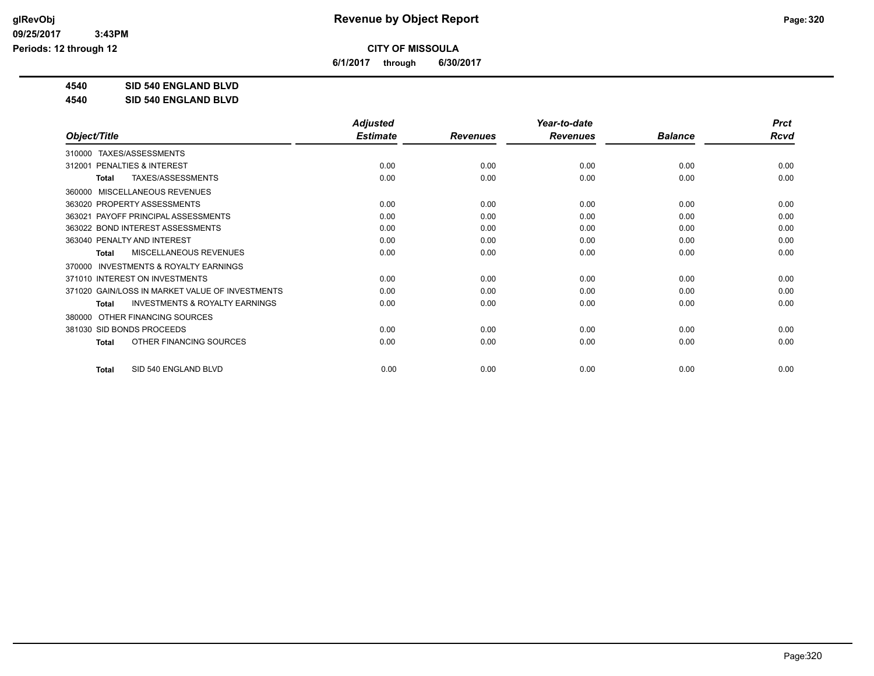**6/1/2017 through 6/30/2017**

**4540 SID 540 ENGLAND BLVD**

**4540 SID 540 ENGLAND BLVD**

|                                                           | <b>Adjusted</b> |                 | Year-to-date    |                | <b>Prct</b> |
|-----------------------------------------------------------|-----------------|-----------------|-----------------|----------------|-------------|
| Object/Title                                              | <b>Estimate</b> | <b>Revenues</b> | <b>Revenues</b> | <b>Balance</b> | <b>Rcvd</b> |
| TAXES/ASSESSMENTS<br>310000                               |                 |                 |                 |                |             |
| PENALTIES & INTEREST<br>312001                            | 0.00            | 0.00            | 0.00            | 0.00           | 0.00        |
| TAXES/ASSESSMENTS<br><b>Total</b>                         | 0.00            | 0.00            | 0.00            | 0.00           | 0.00        |
| <b>MISCELLANEOUS REVENUES</b><br>360000                   |                 |                 |                 |                |             |
| 363020 PROPERTY ASSESSMENTS                               | 0.00            | 0.00            | 0.00            | 0.00           | 0.00        |
| 363021 PAYOFF PRINCIPAL ASSESSMENTS                       | 0.00            | 0.00            | 0.00            | 0.00           | 0.00        |
| 363022 BOND INTEREST ASSESSMENTS                          | 0.00            | 0.00            | 0.00            | 0.00           | 0.00        |
| 363040 PENALTY AND INTEREST                               | 0.00            | 0.00            | 0.00            | 0.00           | 0.00        |
| MISCELLANEOUS REVENUES<br><b>Total</b>                    | 0.00            | 0.00            | 0.00            | 0.00           | 0.00        |
| <b>INVESTMENTS &amp; ROYALTY EARNINGS</b><br>370000       |                 |                 |                 |                |             |
| 371010 INTEREST ON INVESTMENTS                            | 0.00            | 0.00            | 0.00            | 0.00           | 0.00        |
| 371020 GAIN/LOSS IN MARKET VALUE OF INVESTMENTS           | 0.00            | 0.00            | 0.00            | 0.00           | 0.00        |
| <b>INVESTMENTS &amp; ROYALTY EARNINGS</b><br><b>Total</b> | 0.00            | 0.00            | 0.00            | 0.00           | 0.00        |
| OTHER FINANCING SOURCES<br>380000                         |                 |                 |                 |                |             |
| 381030 SID BONDS PROCEEDS                                 | 0.00            | 0.00            | 0.00            | 0.00           | 0.00        |
| OTHER FINANCING SOURCES<br><b>Total</b>                   | 0.00            | 0.00            | 0.00            | 0.00           | 0.00        |
| SID 540 ENGLAND BLVD<br><b>Total</b>                      | 0.00            | 0.00            | 0.00            | 0.00           | 0.00        |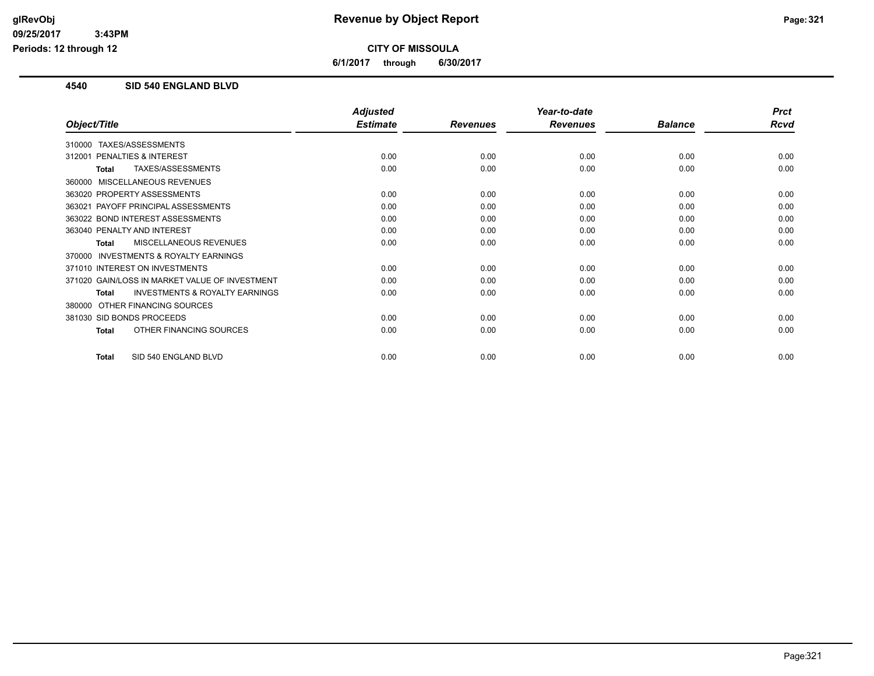**6/1/2017 through 6/30/2017**

## **4540 SID 540 ENGLAND BLVD**

|                                                           | <b>Adjusted</b> |                 | Year-to-date    |                | <b>Prct</b> |
|-----------------------------------------------------------|-----------------|-----------------|-----------------|----------------|-------------|
| Object/Title                                              | <b>Estimate</b> | <b>Revenues</b> | <b>Revenues</b> | <b>Balance</b> | <b>Rcvd</b> |
| TAXES/ASSESSMENTS<br>310000                               |                 |                 |                 |                |             |
| 312001 PENALTIES & INTEREST                               | 0.00            | 0.00            | 0.00            | 0.00           | 0.00        |
| TAXES/ASSESSMENTS<br>Total                                | 0.00            | 0.00            | 0.00            | 0.00           | 0.00        |
| 360000 MISCELLANEOUS REVENUES                             |                 |                 |                 |                |             |
| 363020 PROPERTY ASSESSMENTS                               | 0.00            | 0.00            | 0.00            | 0.00           | 0.00        |
| 363021 PAYOFF PRINCIPAL ASSESSMENTS                       | 0.00            | 0.00            | 0.00            | 0.00           | 0.00        |
| 363022 BOND INTEREST ASSESSMENTS                          | 0.00            | 0.00            | 0.00            | 0.00           | 0.00        |
| 363040 PENALTY AND INTEREST                               | 0.00            | 0.00            | 0.00            | 0.00           | 0.00        |
| MISCELLANEOUS REVENUES<br>Total                           | 0.00            | 0.00            | 0.00            | 0.00           | 0.00        |
| 370000 INVESTMENTS & ROYALTY EARNINGS                     |                 |                 |                 |                |             |
| 371010 INTEREST ON INVESTMENTS                            | 0.00            | 0.00            | 0.00            | 0.00           | 0.00        |
| 371020 GAIN/LOSS IN MARKET VALUE OF INVESTMENT            | 0.00            | 0.00            | 0.00            | 0.00           | 0.00        |
| <b>INVESTMENTS &amp; ROYALTY EARNINGS</b><br><b>Total</b> | 0.00            | 0.00            | 0.00            | 0.00           | 0.00        |
| 380000 OTHER FINANCING SOURCES                            |                 |                 |                 |                |             |
| 381030 SID BONDS PROCEEDS                                 | 0.00            | 0.00            | 0.00            | 0.00           | 0.00        |
| OTHER FINANCING SOURCES<br>Total                          | 0.00            | 0.00            | 0.00            | 0.00           | 0.00        |
| SID 540 ENGLAND BLVD<br><b>Total</b>                      | 0.00            | 0.00            | 0.00            | 0.00           | 0.00        |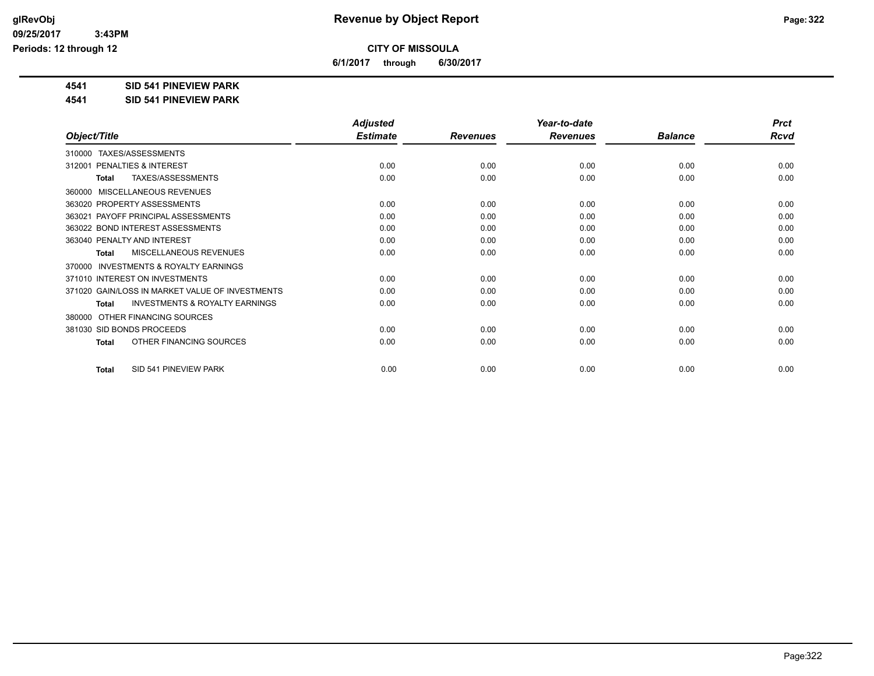**6/1/2017 through 6/30/2017**

**4541 SID 541 PINEVIEW PARK**

**4541 SID 541 PINEVIEW PARK**

|                                                     | <b>Adjusted</b> |                 | Year-to-date    |                | <b>Prct</b> |
|-----------------------------------------------------|-----------------|-----------------|-----------------|----------------|-------------|
| Object/Title                                        | <b>Estimate</b> | <b>Revenues</b> | <b>Revenues</b> | <b>Balance</b> | <b>Rcvd</b> |
| TAXES/ASSESSMENTS<br>310000                         |                 |                 |                 |                |             |
| PENALTIES & INTEREST<br>312001                      | 0.00            | 0.00            | 0.00            | 0.00           | 0.00        |
| TAXES/ASSESSMENTS<br><b>Total</b>                   | 0.00            | 0.00            | 0.00            | 0.00           | 0.00        |
| MISCELLANEOUS REVENUES<br>360000                    |                 |                 |                 |                |             |
| 363020 PROPERTY ASSESSMENTS                         | 0.00            | 0.00            | 0.00            | 0.00           | 0.00        |
| PAYOFF PRINCIPAL ASSESSMENTS<br>363021              | 0.00            | 0.00            | 0.00            | 0.00           | 0.00        |
| 363022 BOND INTEREST ASSESSMENTS                    | 0.00            | 0.00            | 0.00            | 0.00           | 0.00        |
| 363040 PENALTY AND INTEREST                         | 0.00            | 0.00            | 0.00            | 0.00           | 0.00        |
| MISCELLANEOUS REVENUES<br><b>Total</b>              | 0.00            | 0.00            | 0.00            | 0.00           | 0.00        |
| <b>INVESTMENTS &amp; ROYALTY EARNINGS</b><br>370000 |                 |                 |                 |                |             |
| 371010 INTEREST ON INVESTMENTS                      | 0.00            | 0.00            | 0.00            | 0.00           | 0.00        |
| 371020 GAIN/LOSS IN MARKET VALUE OF INVESTMENTS     | 0.00            | 0.00            | 0.00            | 0.00           | 0.00        |
| <b>INVESTMENTS &amp; ROYALTY EARNINGS</b><br>Total  | 0.00            | 0.00            | 0.00            | 0.00           | 0.00        |
| OTHER FINANCING SOURCES<br>380000                   |                 |                 |                 |                |             |
| 381030 SID BONDS PROCEEDS                           | 0.00            | 0.00            | 0.00            | 0.00           | 0.00        |
| OTHER FINANCING SOURCES<br><b>Total</b>             | 0.00            | 0.00            | 0.00            | 0.00           | 0.00        |
| SID 541 PINEVIEW PARK<br><b>Total</b>               | 0.00            | 0.00            | 0.00            | 0.00           | 0.00        |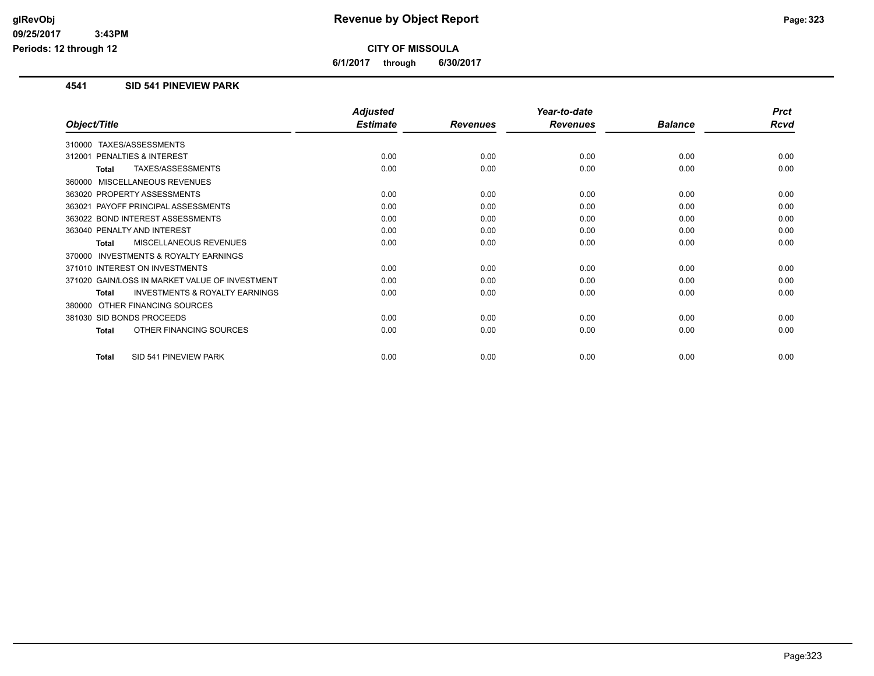**6/1/2017 through 6/30/2017**

#### **4541 SID 541 PINEVIEW PARK**

|                                                           | <b>Adjusted</b> |                 | Year-to-date    |                | <b>Prct</b> |
|-----------------------------------------------------------|-----------------|-----------------|-----------------|----------------|-------------|
| Object/Title                                              | <b>Estimate</b> | <b>Revenues</b> | <b>Revenues</b> | <b>Balance</b> | <b>Rcvd</b> |
| TAXES/ASSESSMENTS<br>310000                               |                 |                 |                 |                |             |
| 312001 PENALTIES & INTEREST                               | 0.00            | 0.00            | 0.00            | 0.00           | 0.00        |
| TAXES/ASSESSMENTS<br><b>Total</b>                         | 0.00            | 0.00            | 0.00            | 0.00           | 0.00        |
| MISCELLANEOUS REVENUES<br>360000                          |                 |                 |                 |                |             |
| 363020 PROPERTY ASSESSMENTS                               | 0.00            | 0.00            | 0.00            | 0.00           | 0.00        |
| 363021 PAYOFF PRINCIPAL ASSESSMENTS                       | 0.00            | 0.00            | 0.00            | 0.00           | 0.00        |
| 363022 BOND INTEREST ASSESSMENTS                          | 0.00            | 0.00            | 0.00            | 0.00           | 0.00        |
| 363040 PENALTY AND INTEREST                               | 0.00            | 0.00            | 0.00            | 0.00           | 0.00        |
| <b>MISCELLANEOUS REVENUES</b><br><b>Total</b>             | 0.00            | 0.00            | 0.00            | 0.00           | 0.00        |
| <b>INVESTMENTS &amp; ROYALTY EARNINGS</b><br>370000       |                 |                 |                 |                |             |
| 371010 INTEREST ON INVESTMENTS                            | 0.00            | 0.00            | 0.00            | 0.00           | 0.00        |
| 371020 GAIN/LOSS IN MARKET VALUE OF INVESTMENT            | 0.00            | 0.00            | 0.00            | 0.00           | 0.00        |
| <b>INVESTMENTS &amp; ROYALTY EARNINGS</b><br><b>Total</b> | 0.00            | 0.00            | 0.00            | 0.00           | 0.00        |
| 380000 OTHER FINANCING SOURCES                            |                 |                 |                 |                |             |
| 381030 SID BONDS PROCEEDS                                 | 0.00            | 0.00            | 0.00            | 0.00           | 0.00        |
| OTHER FINANCING SOURCES<br><b>Total</b>                   | 0.00            | 0.00            | 0.00            | 0.00           | 0.00        |
| SID 541 PINEVIEW PARK<br>Total                            | 0.00            | 0.00            | 0.00            | 0.00           | 0.00        |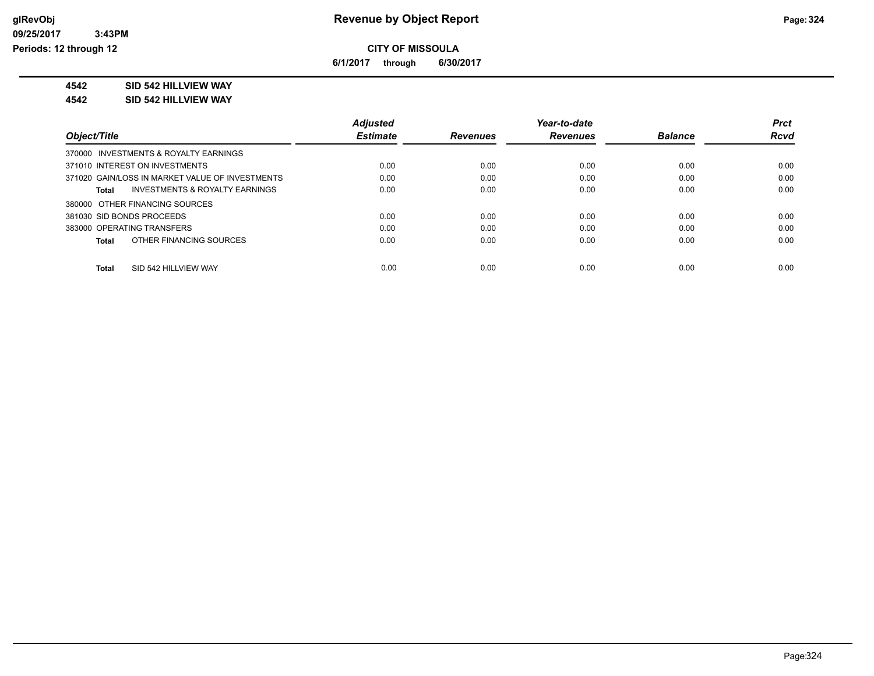**6/1/2017 through 6/30/2017**

#### **4542 SID 542 HILLVIEW WAY**

**4542 SID 542 HILLVIEW WAY**

|                                                    | <b>Adjusted</b> |                 | Year-to-date    |                | <b>Prct</b> |
|----------------------------------------------------|-----------------|-----------------|-----------------|----------------|-------------|
| Object/Title                                       | <b>Estimate</b> | <b>Revenues</b> | <b>Revenues</b> | <b>Balance</b> | <b>Rcvd</b> |
| 370000 INVESTMENTS & ROYALTY EARNINGS              |                 |                 |                 |                |             |
| 371010 INTEREST ON INVESTMENTS                     | 0.00            | 0.00            | 0.00            | 0.00           | 0.00        |
| 371020 GAIN/LOSS IN MARKET VALUE OF INVESTMENTS    | 0.00            | 0.00            | 0.00            | 0.00           | 0.00        |
| <b>INVESTMENTS &amp; ROYALTY EARNINGS</b><br>Total | 0.00            | 0.00            | 0.00            | 0.00           | 0.00        |
| 380000 OTHER FINANCING SOURCES                     |                 |                 |                 |                |             |
| 381030 SID BONDS PROCEEDS                          | 0.00            | 0.00            | 0.00            | 0.00           | 0.00        |
| 383000 OPERATING TRANSFERS                         | 0.00            | 0.00            | 0.00            | 0.00           | 0.00        |
| OTHER FINANCING SOURCES<br>Total                   | 0.00            | 0.00            | 0.00            | 0.00           | 0.00        |
| SID 542 HILLVIEW WAY<br>Total                      | 0.00            | 0.00            | 0.00            | 0.00           | 0.00        |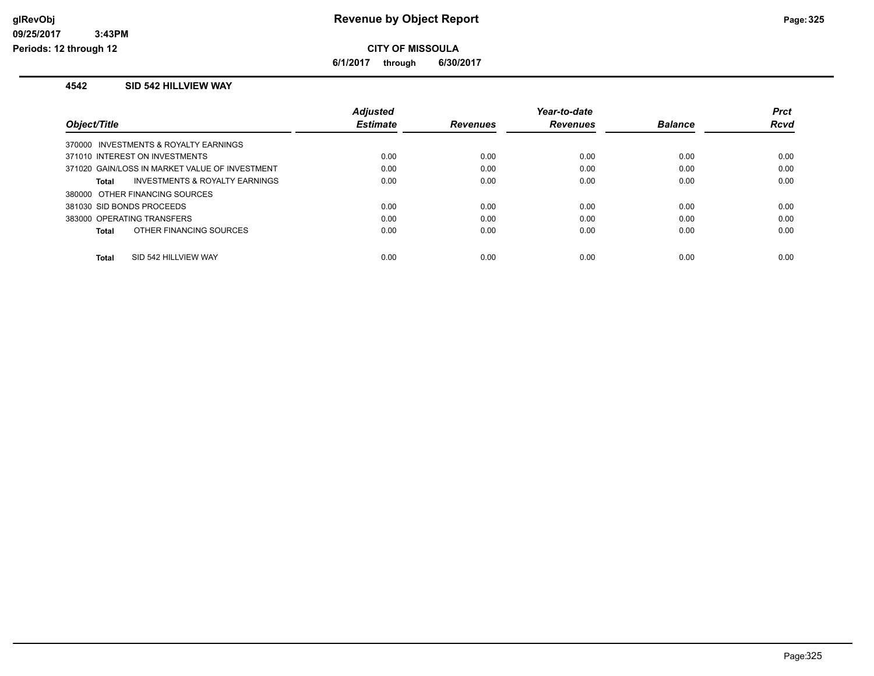**6/1/2017 through 6/30/2017**

#### **4542 SID 542 HILLVIEW WAY**

|                                                | <b>Adjusted</b> |                 | Year-to-date    |                | <b>Prct</b> |
|------------------------------------------------|-----------------|-----------------|-----------------|----------------|-------------|
| Object/Title                                   | <b>Estimate</b> | <b>Revenues</b> | <b>Revenues</b> | <b>Balance</b> | Rcvd        |
| INVESTMENTS & ROYALTY EARNINGS<br>370000       |                 |                 |                 |                |             |
| 371010 INTEREST ON INVESTMENTS                 | 0.00            | 0.00            | 0.00            | 0.00           | 0.00        |
| 371020 GAIN/LOSS IN MARKET VALUE OF INVESTMENT | 0.00            | 0.00            | 0.00            | 0.00           | 0.00        |
| INVESTMENTS & ROYALTY EARNINGS<br>Total        | 0.00            | 0.00            | 0.00            | 0.00           | 0.00        |
| 380000 OTHER FINANCING SOURCES                 |                 |                 |                 |                |             |
| 381030 SID BONDS PROCEEDS                      | 0.00            | 0.00            | 0.00            | 0.00           | 0.00        |
| 383000 OPERATING TRANSFERS                     | 0.00            | 0.00            | 0.00            | 0.00           | 0.00        |
| OTHER FINANCING SOURCES<br>Total               | 0.00            | 0.00            | 0.00            | 0.00           | 0.00        |
| SID 542 HILLVIEW WAY<br>Total                  | 0.00            | 0.00            | 0.00            | 0.00           | 0.00        |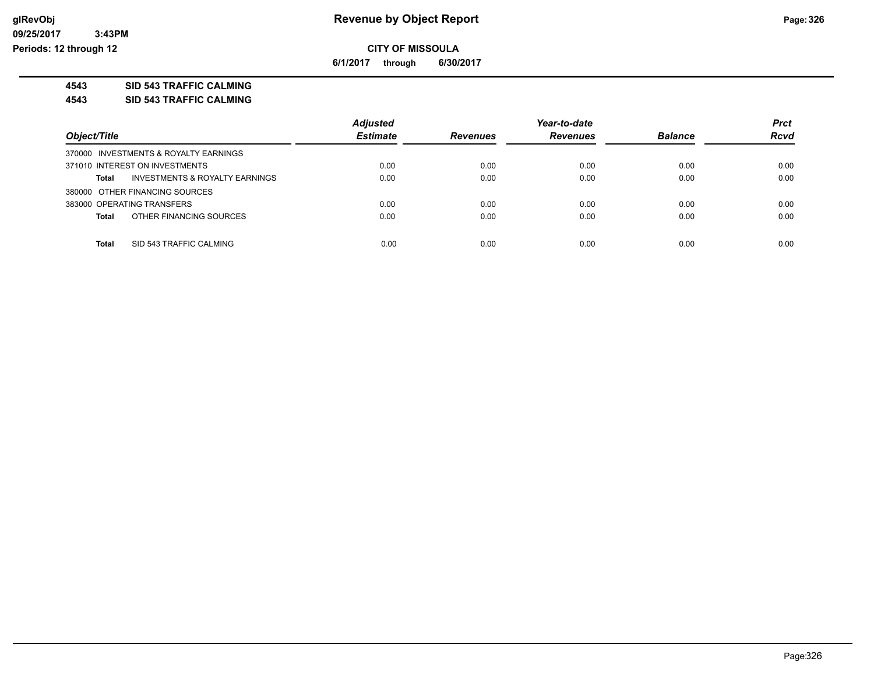**6/1/2017 through 6/30/2017**

#### **4543 SID 543 TRAFFIC CALMING**

#### **4543 SID 543 TRAFFIC CALMING**

|                                                           | <b>Adjusted</b> |                 | Year-to-date    |                | <b>Prct</b> |
|-----------------------------------------------------------|-----------------|-----------------|-----------------|----------------|-------------|
| Object/Title                                              | <b>Estimate</b> | <b>Revenues</b> | <b>Revenues</b> | <b>Balance</b> | <b>Rcvd</b> |
| 370000 INVESTMENTS & ROYALTY EARNINGS                     |                 |                 |                 |                |             |
| 371010 INTEREST ON INVESTMENTS                            | 0.00            | 0.00            | 0.00            | 0.00           | 0.00        |
| <b>INVESTMENTS &amp; ROYALTY EARNINGS</b><br><b>Total</b> | 0.00            | 0.00            | 0.00            | 0.00           | 0.00        |
| 380000 OTHER FINANCING SOURCES                            |                 |                 |                 |                |             |
| 383000 OPERATING TRANSFERS                                | 0.00            | 0.00            | 0.00            | 0.00           | 0.00        |
| OTHER FINANCING SOURCES<br>Total                          | 0.00            | 0.00            | 0.00            | 0.00           | 0.00        |
|                                                           |                 |                 |                 |                |             |
| SID 543 TRAFFIC CALMING<br><b>Total</b>                   | 0.00            | 0.00            | 0.00            | 0.00           | 0.00        |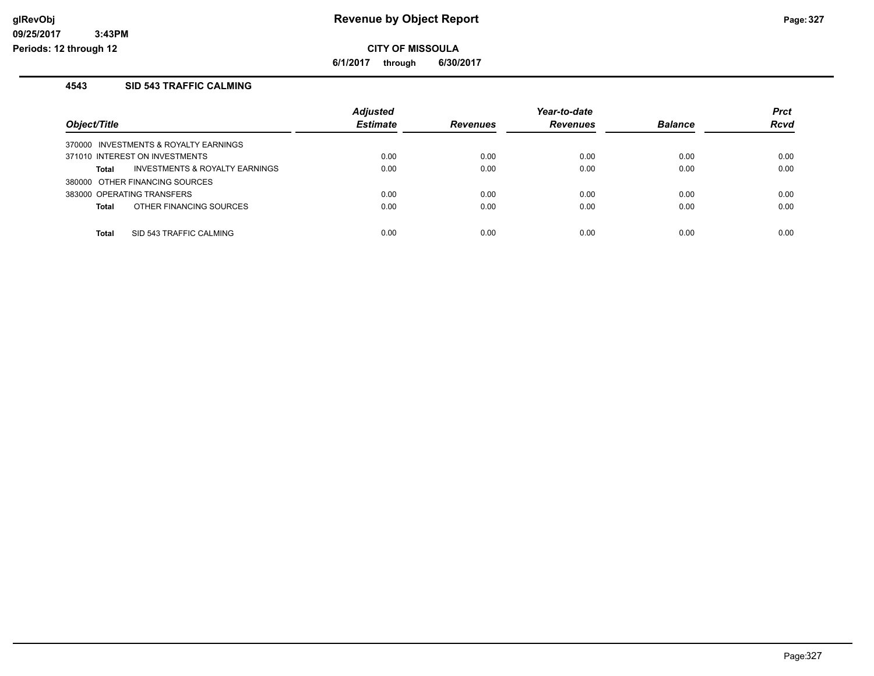**6/1/2017 through 6/30/2017**

#### **4543 SID 543 TRAFFIC CALMING**

| Object/Title                            | <b>Adjusted</b><br><b>Estimate</b> | <b>Revenues</b> | Year-to-date<br><b>Revenues</b> | <b>Balance</b> | <b>Prct</b><br><b>Rcvd</b> |
|-----------------------------------------|------------------------------------|-----------------|---------------------------------|----------------|----------------------------|
| 370000 INVESTMENTS & ROYALTY EARNINGS   |                                    |                 |                                 |                |                            |
| 371010 INTEREST ON INVESTMENTS          | 0.00                               | 0.00            | 0.00                            | 0.00           | 0.00                       |
| INVESTMENTS & ROYALTY EARNINGS<br>Total | 0.00                               | 0.00            | 0.00                            | 0.00           | 0.00                       |
| 380000 OTHER FINANCING SOURCES          |                                    |                 |                                 |                |                            |
| 383000 OPERATING TRANSFERS              | 0.00                               | 0.00            | 0.00                            | 0.00           | 0.00                       |
| OTHER FINANCING SOURCES<br><b>Total</b> | 0.00                               | 0.00            | 0.00                            | 0.00           | 0.00                       |
|                                         |                                    |                 |                                 |                |                            |
| SID 543 TRAFFIC CALMING<br><b>Total</b> | 0.00                               | 0.00            | 0.00                            | 0.00           | 0.00                       |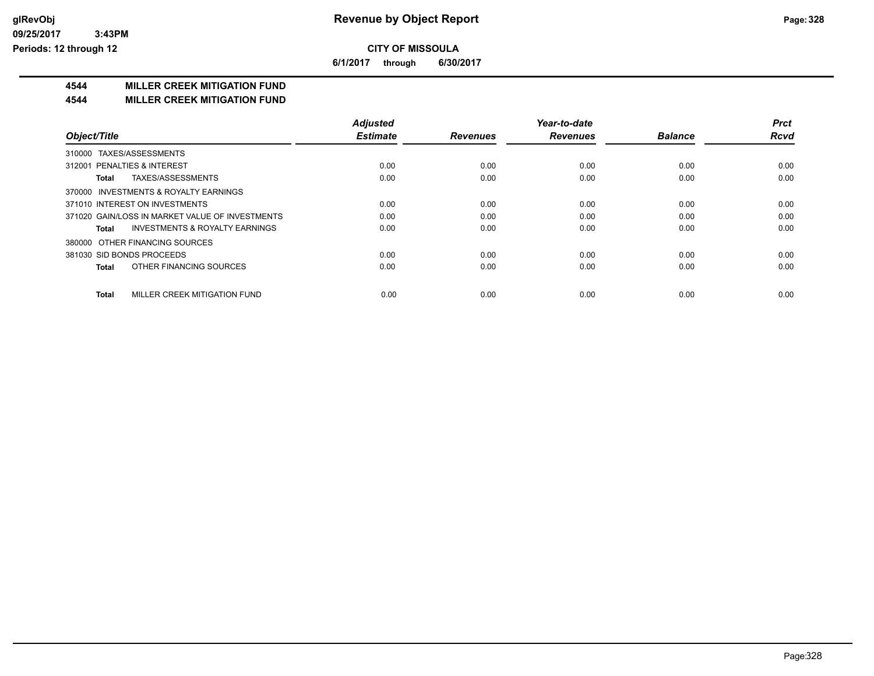**6/1/2017 through 6/30/2017**

### **4544 MILLER CREEK MITIGATION FUND**

#### **4544 MILLER CREEK MITIGATION FUND**

|                                                    | <b>Adjusted</b> |                 | Year-to-date    |                | <b>Prct</b> |
|----------------------------------------------------|-----------------|-----------------|-----------------|----------------|-------------|
| Object/Title                                       | <b>Estimate</b> | <b>Revenues</b> | <b>Revenues</b> | <b>Balance</b> | <b>Rcvd</b> |
| TAXES/ASSESSMENTS<br>310000                        |                 |                 |                 |                |             |
| <b>PENALTIES &amp; INTEREST</b><br>312001          | 0.00            | 0.00            | 0.00            | 0.00           | 0.00        |
| TAXES/ASSESSMENTS<br>Total                         | 0.00            | 0.00            | 0.00            | 0.00           | 0.00        |
| 370000 INVESTMENTS & ROYALTY EARNINGS              |                 |                 |                 |                |             |
| 371010 INTEREST ON INVESTMENTS                     | 0.00            | 0.00            | 0.00            | 0.00           | 0.00        |
| 371020 GAIN/LOSS IN MARKET VALUE OF INVESTMENTS    | 0.00            | 0.00            | 0.00            | 0.00           | 0.00        |
| <b>INVESTMENTS &amp; ROYALTY EARNINGS</b><br>Total | 0.00            | 0.00            | 0.00            | 0.00           | 0.00        |
| 380000 OTHER FINANCING SOURCES                     |                 |                 |                 |                |             |
| 381030 SID BONDS PROCEEDS                          | 0.00            | 0.00            | 0.00            | 0.00           | 0.00        |
| OTHER FINANCING SOURCES<br>Total                   | 0.00            | 0.00            | 0.00            | 0.00           | 0.00        |
| MILLER CREEK MITIGATION FUND<br><b>Total</b>       | 0.00            | 0.00            | 0.00            | 0.00           | 0.00        |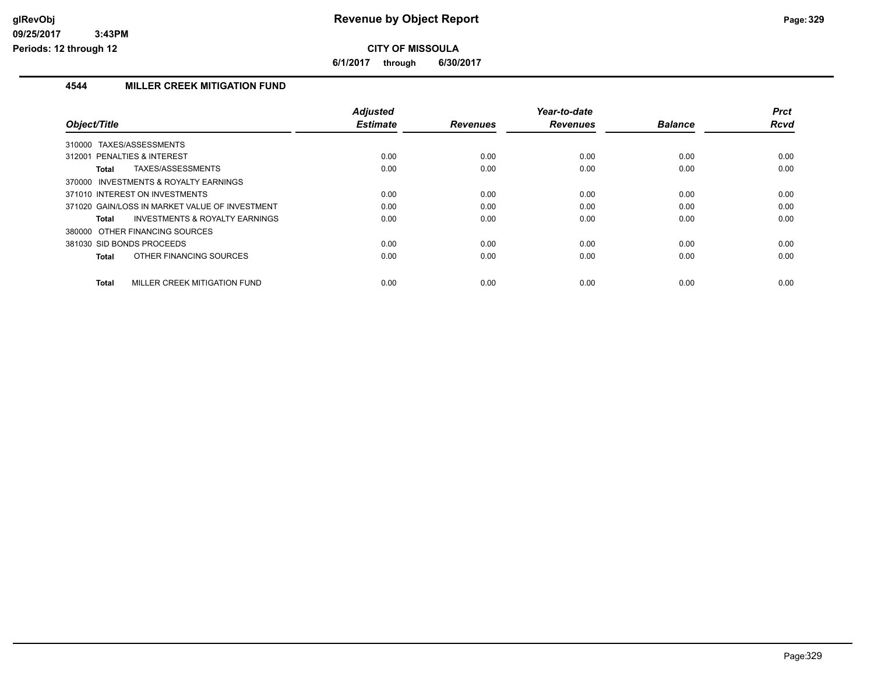**6/1/2017 through 6/30/2017**

#### **4544 MILLER CREEK MITIGATION FUND**

| Object/Title                                              | <b>Adjusted</b><br><b>Estimate</b> | <b>Revenues</b> | Year-to-date<br><b>Revenues</b> | <b>Balance</b> | <b>Prct</b><br><b>Rcvd</b> |
|-----------------------------------------------------------|------------------------------------|-----------------|---------------------------------|----------------|----------------------------|
|                                                           |                                    |                 |                                 |                |                            |
| 310000 TAXES/ASSESSMENTS                                  |                                    |                 |                                 |                |                            |
| 312001 PENALTIES & INTEREST                               | 0.00                               | 0.00            | 0.00                            | 0.00           | 0.00                       |
| TAXES/ASSESSMENTS<br><b>Total</b>                         | 0.00                               | 0.00            | 0.00                            | 0.00           | 0.00                       |
| 370000 INVESTMENTS & ROYALTY EARNINGS                     |                                    |                 |                                 |                |                            |
| 371010 INTEREST ON INVESTMENTS                            | 0.00                               | 0.00            | 0.00                            | 0.00           | 0.00                       |
| 371020 GAIN/LOSS IN MARKET VALUE OF INVESTMENT            | 0.00                               | 0.00            | 0.00                            | 0.00           | 0.00                       |
| <b>INVESTMENTS &amp; ROYALTY EARNINGS</b><br><b>Total</b> | 0.00                               | 0.00            | 0.00                            | 0.00           | 0.00                       |
| 380000 OTHER FINANCING SOURCES                            |                                    |                 |                                 |                |                            |
| 381030 SID BONDS PROCEEDS                                 | 0.00                               | 0.00            | 0.00                            | 0.00           | 0.00                       |
| OTHER FINANCING SOURCES<br><b>Total</b>                   | 0.00                               | 0.00            | 0.00                            | 0.00           | 0.00                       |
| MILLER CREEK MITIGATION FUND<br><b>Total</b>              | 0.00                               | 0.00            | 0.00                            | 0.00           | 0.00                       |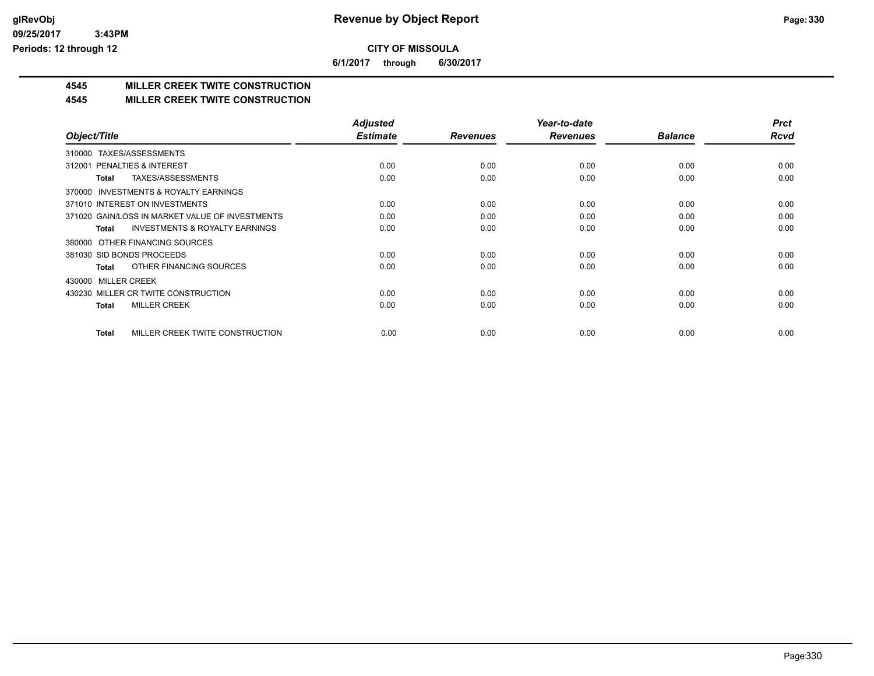**6/1/2017 through 6/30/2017**

# **4545 MILLER CREEK TWITE CONSTRUCTION**

#### **4545 MILLER CREEK TWITE CONSTRUCTION**

|                                                    | <b>Adjusted</b> |                 | Year-to-date    |                | <b>Prct</b> |
|----------------------------------------------------|-----------------|-----------------|-----------------|----------------|-------------|
| Object/Title                                       | <b>Estimate</b> | <b>Revenues</b> | <b>Revenues</b> | <b>Balance</b> | <b>Rcvd</b> |
| TAXES/ASSESSMENTS<br>310000                        |                 |                 |                 |                |             |
| 312001 PENALTIES & INTEREST                        | 0.00            | 0.00            | 0.00            | 0.00           | 0.00        |
| <b>TAXES/ASSESSMENTS</b><br><b>Total</b>           | 0.00            | 0.00            | 0.00            | 0.00           | 0.00        |
| INVESTMENTS & ROYALTY EARNINGS<br>370000           |                 |                 |                 |                |             |
| 371010 INTEREST ON INVESTMENTS                     | 0.00            | 0.00            | 0.00            | 0.00           | 0.00        |
| 371020 GAIN/LOSS IN MARKET VALUE OF INVESTMENTS    | 0.00            | 0.00            | 0.00            | 0.00           | 0.00        |
| <b>INVESTMENTS &amp; ROYALTY EARNINGS</b><br>Total | 0.00            | 0.00            | 0.00            | 0.00           | 0.00        |
| OTHER FINANCING SOURCES<br>380000                  |                 |                 |                 |                |             |
| 381030 SID BONDS PROCEEDS                          | 0.00            | 0.00            | 0.00            | 0.00           | 0.00        |
| OTHER FINANCING SOURCES<br><b>Total</b>            | 0.00            | 0.00            | 0.00            | 0.00           | 0.00        |
| <b>MILLER CREEK</b><br>430000                      |                 |                 |                 |                |             |
| 430230 MILLER CR TWITE CONSTRUCTION                | 0.00            | 0.00            | 0.00            | 0.00           | 0.00        |
| <b>MILLER CREEK</b><br>Total                       | 0.00            | 0.00            | 0.00            | 0.00           | 0.00        |
|                                                    |                 |                 |                 |                |             |
| MILLER CREEK TWITE CONSTRUCTION<br><b>Total</b>    | 0.00            | 0.00            | 0.00            | 0.00           | 0.00        |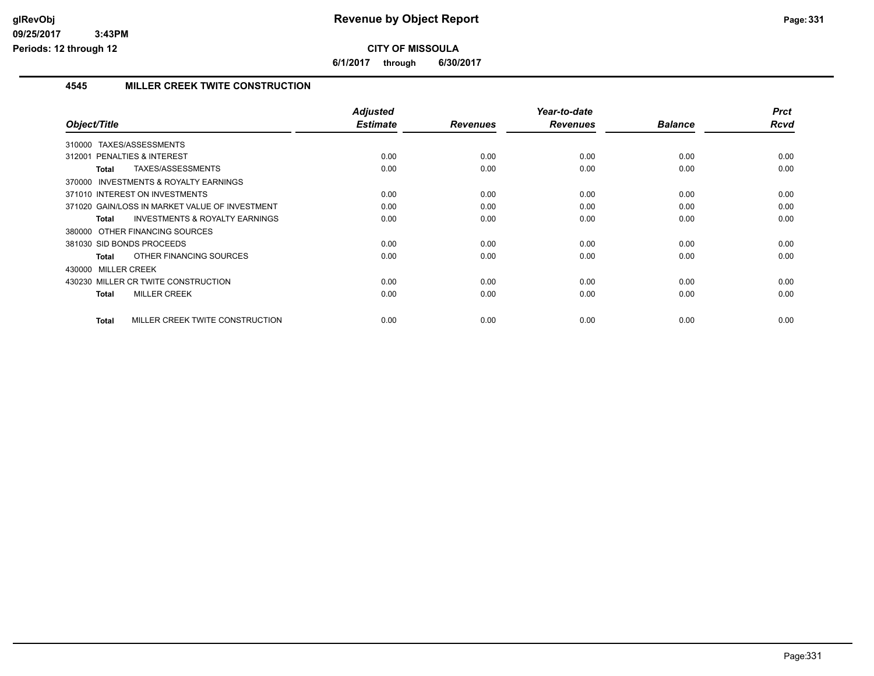**6/1/2017 through 6/30/2017**

#### **4545 MILLER CREEK TWITE CONSTRUCTION**

| Object/Title              |                                                | <b>Adjusted</b><br><b>Estimate</b> | <b>Revenues</b> | Year-to-date<br><b>Revenues</b> | <b>Balance</b> | <b>Prct</b><br><b>Rcvd</b> |
|---------------------------|------------------------------------------------|------------------------------------|-----------------|---------------------------------|----------------|----------------------------|
| 310000 TAXES/ASSESSMENTS  |                                                |                                    |                 |                                 |                |                            |
|                           | 312001 PENALTIES & INTEREST                    | 0.00                               | 0.00            | 0.00                            | 0.00           | 0.00                       |
| <b>Total</b>              | TAXES/ASSESSMENTS                              | 0.00                               | 0.00            | 0.00                            | 0.00           | 0.00                       |
|                           | 370000 INVESTMENTS & ROYALTY EARNINGS          |                                    |                 |                                 |                |                            |
|                           | 371010 INTEREST ON INVESTMENTS                 | 0.00                               | 0.00            | 0.00                            | 0.00           | 0.00                       |
|                           | 371020 GAIN/LOSS IN MARKET VALUE OF INVESTMENT | 0.00                               | 0.00            | 0.00                            | 0.00           | 0.00                       |
| <b>Total</b>              | <b>INVESTMENTS &amp; ROYALTY EARNINGS</b>      | 0.00                               | 0.00            | 0.00                            | 0.00           | 0.00                       |
|                           | 380000 OTHER FINANCING SOURCES                 |                                    |                 |                                 |                |                            |
| 381030 SID BONDS PROCEEDS |                                                | 0.00                               | 0.00            | 0.00                            | 0.00           | 0.00                       |
| <b>Total</b>              | OTHER FINANCING SOURCES                        | 0.00                               | 0.00            | 0.00                            | 0.00           | 0.00                       |
| 430000 MILLER CREEK       |                                                |                                    |                 |                                 |                |                            |
|                           | 430230 MILLER CR TWITE CONSTRUCTION            | 0.00                               | 0.00            | 0.00                            | 0.00           | 0.00                       |
| <b>Total</b>              | <b>MILLER CREEK</b>                            | 0.00                               | 0.00            | 0.00                            | 0.00           | 0.00                       |
| <b>Total</b>              | MILLER CREEK TWITE CONSTRUCTION                | 0.00                               | 0.00            | 0.00                            | 0.00           | 0.00                       |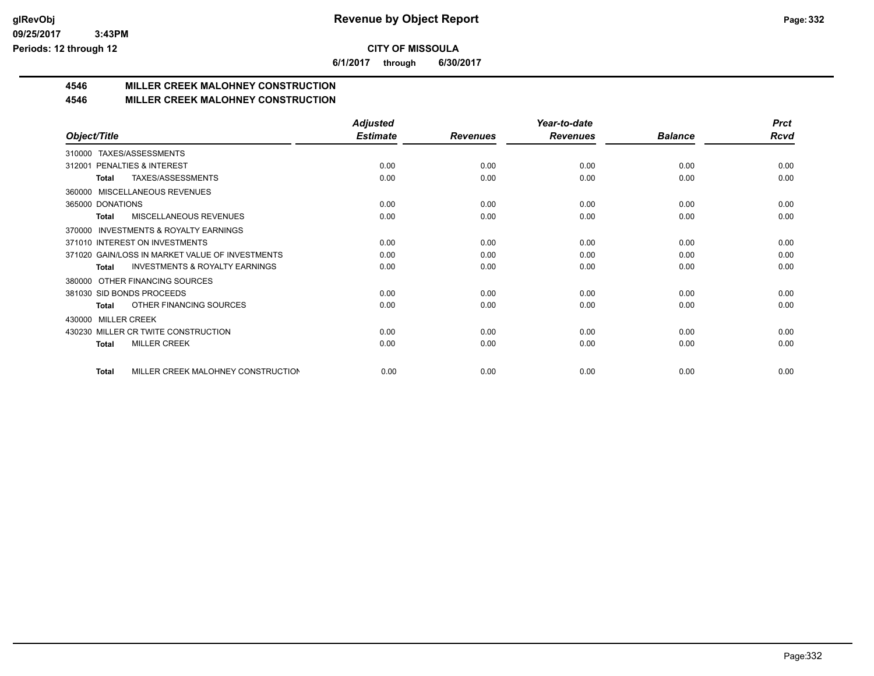**6/1/2017 through 6/30/2017**

# **4546 MILLER CREEK MALOHNEY CONSTRUCTION**

### **4546 MILLER CREEK MALOHNEY CONSTRUCTION**

|                                                     | <b>Adjusted</b> |                 | Year-to-date    |                | <b>Prct</b> |
|-----------------------------------------------------|-----------------|-----------------|-----------------|----------------|-------------|
| Object/Title                                        | <b>Estimate</b> | <b>Revenues</b> | <b>Revenues</b> | <b>Balance</b> | <b>Rcvd</b> |
| TAXES/ASSESSMENTS<br>310000                         |                 |                 |                 |                |             |
| PENALTIES & INTEREST<br>312001                      | 0.00            | 0.00            | 0.00            | 0.00           | 0.00        |
| TAXES/ASSESSMENTS<br>Total                          | 0.00            | 0.00            | 0.00            | 0.00           | 0.00        |
| MISCELLANEOUS REVENUES<br>360000                    |                 |                 |                 |                |             |
| 365000 DONATIONS                                    | 0.00            | 0.00            | 0.00            | 0.00           | 0.00        |
| MISCELLANEOUS REVENUES<br>Total                     | 0.00            | 0.00            | 0.00            | 0.00           | 0.00        |
| <b>INVESTMENTS &amp; ROYALTY EARNINGS</b><br>370000 |                 |                 |                 |                |             |
| 371010 INTEREST ON INVESTMENTS                      | 0.00            | 0.00            | 0.00            | 0.00           | 0.00        |
| 371020 GAIN/LOSS IN MARKET VALUE OF INVESTMENTS     | 0.00            | 0.00            | 0.00            | 0.00           | 0.00        |
| <b>INVESTMENTS &amp; ROYALTY EARNINGS</b><br>Total  | 0.00            | 0.00            | 0.00            | 0.00           | 0.00        |
| OTHER FINANCING SOURCES<br>380000                   |                 |                 |                 |                |             |
| 381030 SID BONDS PROCEEDS                           | 0.00            | 0.00            | 0.00            | 0.00           | 0.00        |
| OTHER FINANCING SOURCES<br>Total                    | 0.00            | 0.00            | 0.00            | 0.00           | 0.00        |
| <b>MILLER CREEK</b><br>430000                       |                 |                 |                 |                |             |
| 430230 MILLER CR TWITE CONSTRUCTION                 | 0.00            | 0.00            | 0.00            | 0.00           | 0.00        |
| <b>MILLER CREEK</b><br>Total                        | 0.00            | 0.00            | 0.00            | 0.00           | 0.00        |
|                                                     |                 |                 |                 |                |             |
| MILLER CREEK MALOHNEY CONSTRUCTION<br><b>Total</b>  | 0.00            | 0.00            | 0.00            | 0.00           | 0.00        |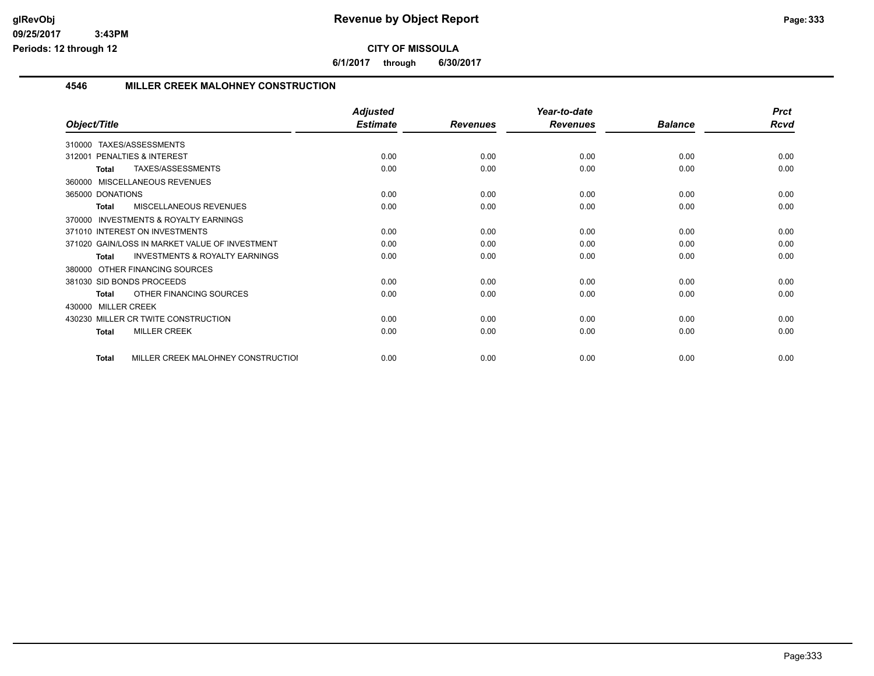**6/1/2017 through 6/30/2017**

#### **4546 MILLER CREEK MALOHNEY CONSTRUCTION**

|                                                    | <b>Adjusted</b> |                 | Year-to-date    |                | <b>Prct</b> |
|----------------------------------------------------|-----------------|-----------------|-----------------|----------------|-------------|
| Object/Title                                       | <b>Estimate</b> | <b>Revenues</b> | <b>Revenues</b> | <b>Balance</b> | <b>Rcvd</b> |
| TAXES/ASSESSMENTS<br>310000                        |                 |                 |                 |                |             |
| <b>PENALTIES &amp; INTEREST</b><br>312001          | 0.00            | 0.00            | 0.00            | 0.00           | 0.00        |
| TAXES/ASSESSMENTS<br>Total                         | 0.00            | 0.00            | 0.00            | 0.00           | 0.00        |
| 360000 MISCELLANEOUS REVENUES                      |                 |                 |                 |                |             |
| 365000 DONATIONS                                   | 0.00            | 0.00            | 0.00            | 0.00           | 0.00        |
| <b>MISCELLANEOUS REVENUES</b><br>Total             | 0.00            | 0.00            | 0.00            | 0.00           | 0.00        |
| INVESTMENTS & ROYALTY EARNINGS<br>370000           |                 |                 |                 |                |             |
| 371010 INTEREST ON INVESTMENTS                     | 0.00            | 0.00            | 0.00            | 0.00           | 0.00        |
| 371020 GAIN/LOSS IN MARKET VALUE OF INVESTMENT     | 0.00            | 0.00            | 0.00            | 0.00           | 0.00        |
| <b>INVESTMENTS &amp; ROYALTY EARNINGS</b><br>Total | 0.00            | 0.00            | 0.00            | 0.00           | 0.00        |
| OTHER FINANCING SOURCES<br>380000                  |                 |                 |                 |                |             |
| 381030 SID BONDS PROCEEDS                          | 0.00            | 0.00            | 0.00            | 0.00           | 0.00        |
| OTHER FINANCING SOURCES<br><b>Total</b>            | 0.00            | 0.00            | 0.00            | 0.00           | 0.00        |
| 430000 MILLER CREEK                                |                 |                 |                 |                |             |
| 430230 MILLER CR TWITE CONSTRUCTION                | 0.00            | 0.00            | 0.00            | 0.00           | 0.00        |
| <b>MILLER CREEK</b><br><b>Total</b>                | 0.00            | 0.00            | 0.00            | 0.00           | 0.00        |
| MILLER CREEK MALOHNEY CONSTRUCTIOI<br>Total        | 0.00            | 0.00            | 0.00            | 0.00           | 0.00        |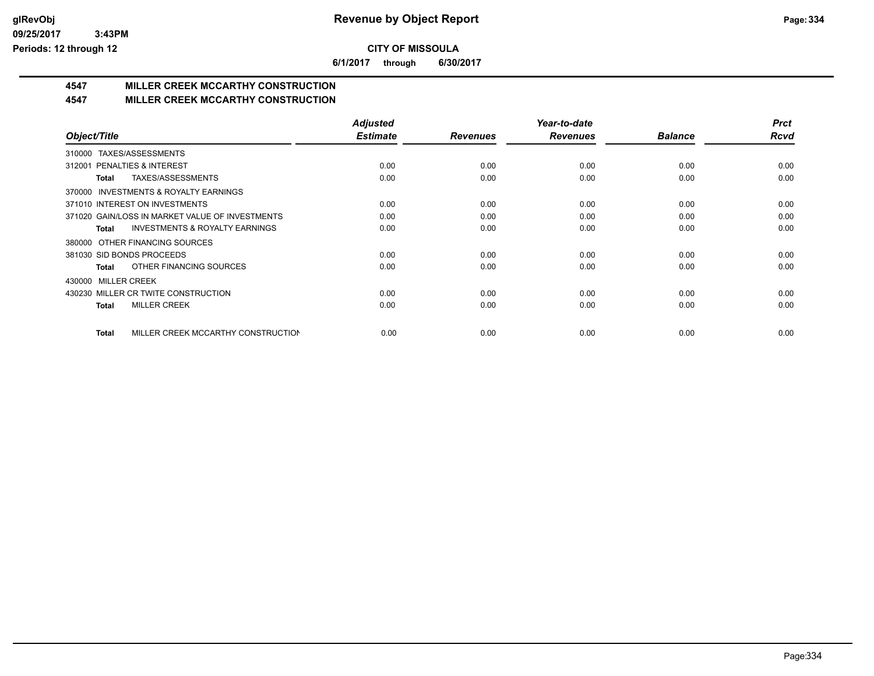**6/1/2017 through 6/30/2017**

# **4547 MILLER CREEK MCCARTHY CONSTRUCTION**

### **4547 MILLER CREEK MCCARTHY CONSTRUCTION**

|                                                     | <b>Adjusted</b> |                 | Year-to-date    |                | <b>Prct</b> |
|-----------------------------------------------------|-----------------|-----------------|-----------------|----------------|-------------|
| Object/Title                                        | <b>Estimate</b> | <b>Revenues</b> | <b>Revenues</b> | <b>Balance</b> | <b>Rcvd</b> |
| TAXES/ASSESSMENTS<br>310000                         |                 |                 |                 |                |             |
| 312001 PENALTIES & INTEREST                         | 0.00            | 0.00            | 0.00            | 0.00           | 0.00        |
| <b>TAXES/ASSESSMENTS</b><br><b>Total</b>            | 0.00            | 0.00            | 0.00            | 0.00           | 0.00        |
| <b>INVESTMENTS &amp; ROYALTY EARNINGS</b><br>370000 |                 |                 |                 |                |             |
| 371010 INTEREST ON INVESTMENTS                      | 0.00            | 0.00            | 0.00            | 0.00           | 0.00        |
| 371020 GAIN/LOSS IN MARKET VALUE OF INVESTMENTS     | 0.00            | 0.00            | 0.00            | 0.00           | 0.00        |
| <b>INVESTMENTS &amp; ROYALTY EARNINGS</b><br>Total  | 0.00            | 0.00            | 0.00            | 0.00           | 0.00        |
| OTHER FINANCING SOURCES<br>380000                   |                 |                 |                 |                |             |
| 381030 SID BONDS PROCEEDS                           | 0.00            | 0.00            | 0.00            | 0.00           | 0.00        |
| OTHER FINANCING SOURCES<br><b>Total</b>             | 0.00            | 0.00            | 0.00            | 0.00           | 0.00        |
| <b>MILLER CREEK</b><br>430000                       |                 |                 |                 |                |             |
| 430230 MILLER CR TWITE CONSTRUCTION                 | 0.00            | 0.00            | 0.00            | 0.00           | 0.00        |
| <b>MILLER CREEK</b><br><b>Total</b>                 | 0.00            | 0.00            | 0.00            | 0.00           | 0.00        |
|                                                     |                 |                 |                 |                |             |
| MILLER CREEK MCCARTHY CONSTRUCTION<br><b>Total</b>  | 0.00            | 0.00            | 0.00            | 0.00           | 0.00        |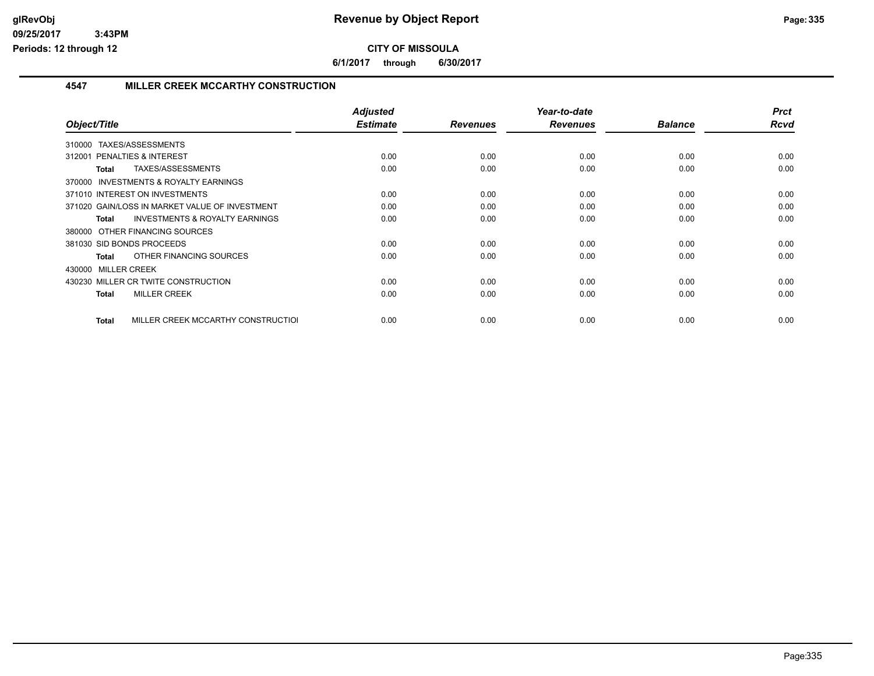**6/1/2017 through 6/30/2017**

#### **4547 MILLER CREEK MCCARTHY CONSTRUCTION**

| Object/Title                                              | <b>Adjusted</b><br><b>Estimate</b> | <b>Revenues</b> | Year-to-date<br><b>Revenues</b> | <b>Balance</b> | <b>Prct</b><br><b>Rcvd</b> |
|-----------------------------------------------------------|------------------------------------|-----------------|---------------------------------|----------------|----------------------------|
| 310000 TAXES/ASSESSMENTS                                  |                                    |                 |                                 |                |                            |
| PENALTIES & INTEREST<br>312001                            | 0.00                               | 0.00            | 0.00                            | 0.00           | 0.00                       |
| TAXES/ASSESSMENTS<br>Total                                | 0.00                               | 0.00            | 0.00                            | 0.00           | 0.00                       |
| 370000 INVESTMENTS & ROYALTY EARNINGS                     |                                    |                 |                                 |                |                            |
| 371010 INTEREST ON INVESTMENTS                            | 0.00                               | 0.00            | 0.00                            | 0.00           | 0.00                       |
| 371020 GAIN/LOSS IN MARKET VALUE OF INVESTMENT            | 0.00                               | 0.00            | 0.00                            | 0.00           | 0.00                       |
| <b>INVESTMENTS &amp; ROYALTY EARNINGS</b><br><b>Total</b> | 0.00                               | 0.00            | 0.00                            | 0.00           | 0.00                       |
| 380000 OTHER FINANCING SOURCES                            |                                    |                 |                                 |                |                            |
| 381030 SID BONDS PROCEEDS                                 | 0.00                               | 0.00            | 0.00                            | 0.00           | 0.00                       |
| OTHER FINANCING SOURCES<br>Total                          | 0.00                               | 0.00            | 0.00                            | 0.00           | 0.00                       |
| 430000 MILLER CREEK                                       |                                    |                 |                                 |                |                            |
| 430230 MILLER CR TWITE CONSTRUCTION                       | 0.00                               | 0.00            | 0.00                            | 0.00           | 0.00                       |
| <b>MILLER CREEK</b><br><b>Total</b>                       | 0.00                               | 0.00            | 0.00                            | 0.00           | 0.00                       |
| MILLER CREEK MCCARTHY CONSTRUCTION<br><b>Total</b>        | 0.00                               | 0.00            | 0.00                            | 0.00           | 0.00                       |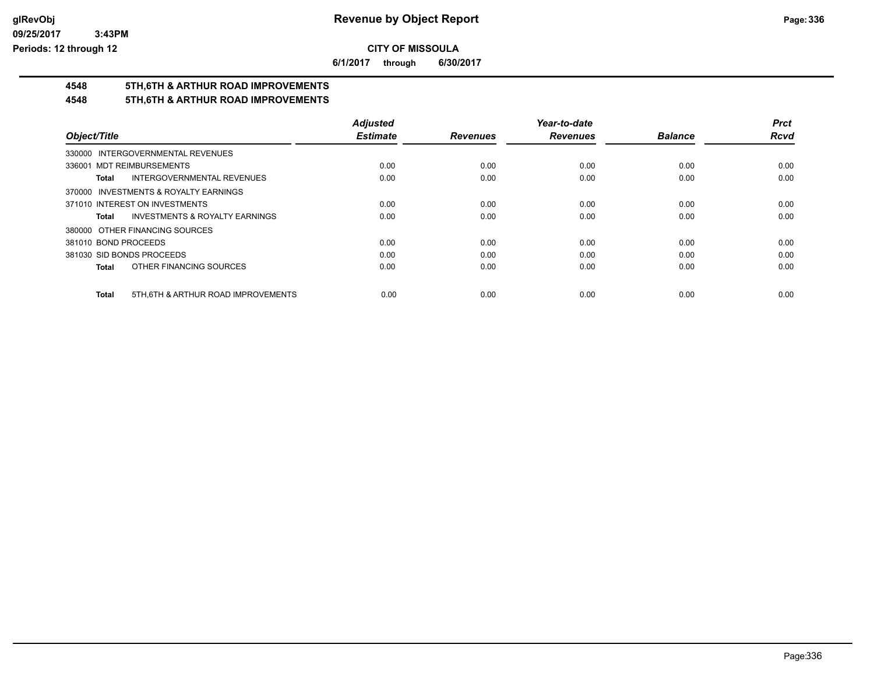**6/1/2017 through 6/30/2017**

# **4548 5TH,6TH & ARTHUR ROAD IMPROVEMENTS**

# **4548 5TH,6TH & ARTHUR ROAD IMPROVEMENTS**

|                                                    | <b>Adjusted</b> |                 | Year-to-date    |                | <b>Prct</b> |
|----------------------------------------------------|-----------------|-----------------|-----------------|----------------|-------------|
| Object/Title                                       | <b>Estimate</b> | <b>Revenues</b> | <b>Revenues</b> | <b>Balance</b> | <b>Rcvd</b> |
| 330000 INTERGOVERNMENTAL REVENUES                  |                 |                 |                 |                |             |
| <b>MDT REIMBURSEMENTS</b><br>336001                | 0.00            | 0.00            | 0.00            | 0.00           | 0.00        |
| INTERGOVERNMENTAL REVENUES<br>Total                | 0.00            | 0.00            | 0.00            | 0.00           | 0.00        |
| 370000 INVESTMENTS & ROYALTY EARNINGS              |                 |                 |                 |                |             |
| 371010 INTEREST ON INVESTMENTS                     | 0.00            | 0.00            | 0.00            | 0.00           | 0.00        |
| <b>INVESTMENTS &amp; ROYALTY EARNINGS</b><br>Total | 0.00            | 0.00            | 0.00            | 0.00           | 0.00        |
| 380000 OTHER FINANCING SOURCES                     |                 |                 |                 |                |             |
| 381010 BOND PROCEEDS                               | 0.00            | 0.00            | 0.00            | 0.00           | 0.00        |
| 381030 SID BONDS PROCEEDS                          | 0.00            | 0.00            | 0.00            | 0.00           | 0.00        |
| OTHER FINANCING SOURCES<br>Total                   | 0.00            | 0.00            | 0.00            | 0.00           | 0.00        |
| Total<br>5TH.6TH & ARTHUR ROAD IMPROVEMENTS        | 0.00            | 0.00            | 0.00            | 0.00           | 0.00        |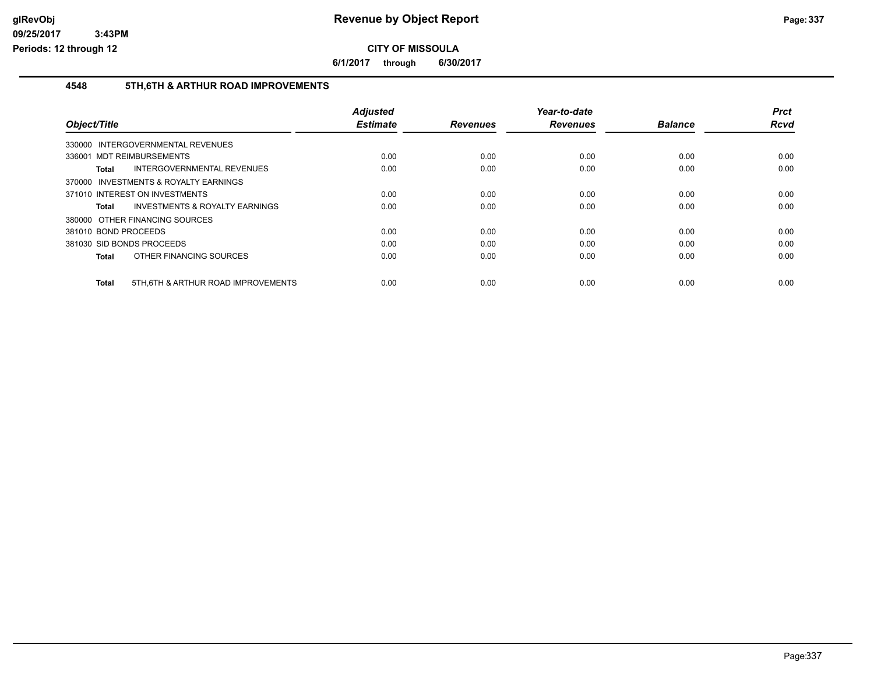**6/1/2017 through 6/30/2017**

#### **4548 5TH,6TH & ARTHUR ROAD IMPROVEMENTS**

|                      |                                           | <b>Adjusted</b> |                 | Year-to-date    |                | <b>Prct</b> |
|----------------------|-------------------------------------------|-----------------|-----------------|-----------------|----------------|-------------|
| Object/Title         |                                           | <b>Estimate</b> | <b>Revenues</b> | <b>Revenues</b> | <b>Balance</b> | <b>Rcvd</b> |
| 330000               | <b>INTERGOVERNMENTAL REVENUES</b>         |                 |                 |                 |                |             |
|                      | 336001 MDT REIMBURSEMENTS                 | 0.00            | 0.00            | 0.00            | 0.00           | 0.00        |
| Total                | <b>INTERGOVERNMENTAL REVENUES</b>         | 0.00            | 0.00            | 0.00            | 0.00           | 0.00        |
|                      | 370000 INVESTMENTS & ROYALTY EARNINGS     |                 |                 |                 |                |             |
|                      | 371010 INTEREST ON INVESTMENTS            | 0.00            | 0.00            | 0.00            | 0.00           | 0.00        |
| Total                | <b>INVESTMENTS &amp; ROYALTY EARNINGS</b> | 0.00            | 0.00            | 0.00            | 0.00           | 0.00        |
|                      | 380000 OTHER FINANCING SOURCES            |                 |                 |                 |                |             |
| 381010 BOND PROCEEDS |                                           | 0.00            | 0.00            | 0.00            | 0.00           | 0.00        |
|                      | 381030 SID BONDS PROCEEDS                 | 0.00            | 0.00            | 0.00            | 0.00           | 0.00        |
| Total                | OTHER FINANCING SOURCES                   | 0.00            | 0.00            | 0.00            | 0.00           | 0.00        |
| <b>Total</b>         | 5TH, 6TH & ARTHUR ROAD IMPROVEMENTS       | 0.00            | 0.00            | 0.00            | 0.00           | 0.00        |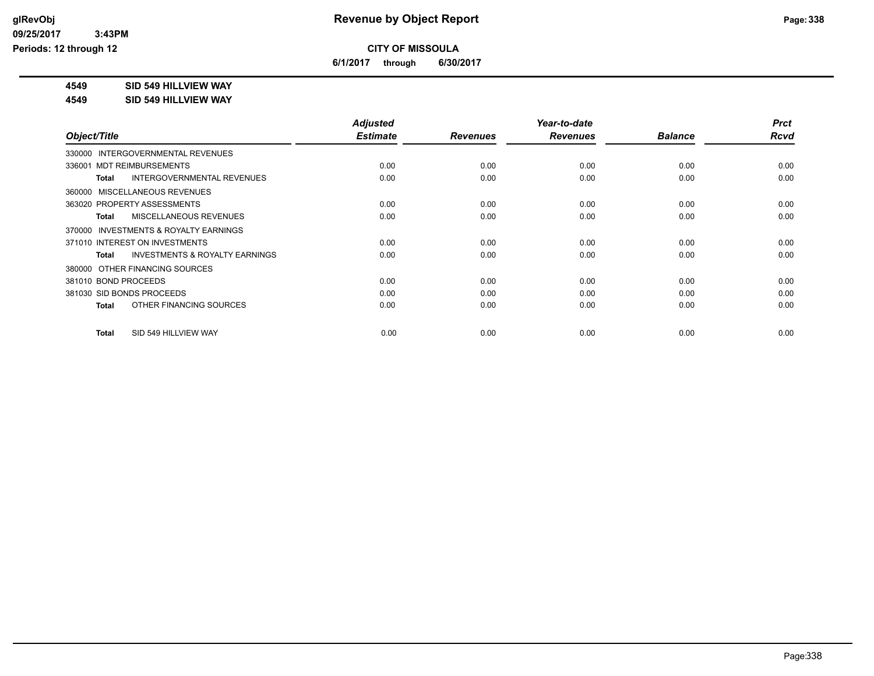**6/1/2017 through 6/30/2017**

**4549 SID 549 HILLVIEW WAY**

**4549 SID 549 HILLVIEW WAY**

|                                                    | <b>Adjusted</b> |                 | Year-to-date    |                | <b>Prct</b> |
|----------------------------------------------------|-----------------|-----------------|-----------------|----------------|-------------|
| Object/Title                                       | <b>Estimate</b> | <b>Revenues</b> | <b>Revenues</b> | <b>Balance</b> | <b>Rcvd</b> |
| INTERGOVERNMENTAL REVENUES<br>330000               |                 |                 |                 |                |             |
| 336001 MDT REIMBURSEMENTS                          | 0.00            | 0.00            | 0.00            | 0.00           | 0.00        |
| <b>INTERGOVERNMENTAL REVENUES</b><br>Total         | 0.00            | 0.00            | 0.00            | 0.00           | 0.00        |
| 360000 MISCELLANEOUS REVENUES                      |                 |                 |                 |                |             |
| 363020 PROPERTY ASSESSMENTS                        | 0.00            | 0.00            | 0.00            | 0.00           | 0.00        |
| <b>MISCELLANEOUS REVENUES</b><br>Total             | 0.00            | 0.00            | 0.00            | 0.00           | 0.00        |
| INVESTMENTS & ROYALTY EARNINGS<br>370000           |                 |                 |                 |                |             |
| 371010 INTEREST ON INVESTMENTS                     | 0.00            | 0.00            | 0.00            | 0.00           | 0.00        |
| <b>INVESTMENTS &amp; ROYALTY EARNINGS</b><br>Total | 0.00            | 0.00            | 0.00            | 0.00           | 0.00        |
| 380000 OTHER FINANCING SOURCES                     |                 |                 |                 |                |             |
| 381010 BOND PROCEEDS                               | 0.00            | 0.00            | 0.00            | 0.00           | 0.00        |
| 381030 SID BONDS PROCEEDS                          | 0.00            | 0.00            | 0.00            | 0.00           | 0.00        |
| OTHER FINANCING SOURCES<br><b>Total</b>            | 0.00            | 0.00            | 0.00            | 0.00           | 0.00        |
| SID 549 HILLVIEW WAY<br><b>Total</b>               | 0.00            | 0.00            | 0.00            | 0.00           | 0.00        |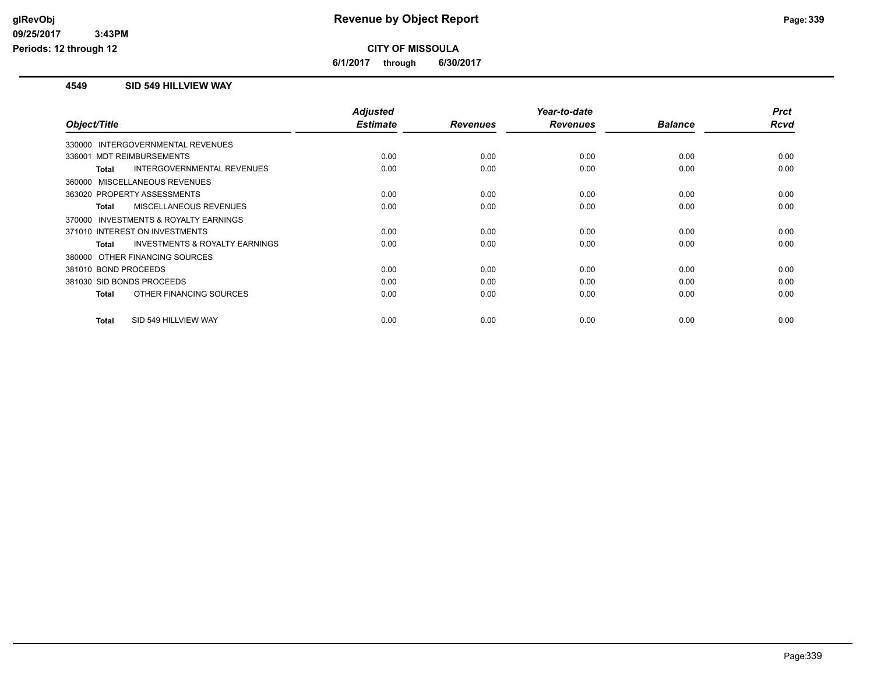**6/1/2017 through 6/30/2017**

#### **4549 SID 549 HILLVIEW WAY**

| Object/Title                                              | <b>Adjusted</b><br><b>Estimate</b> | <b>Revenues</b> | Year-to-date<br><b>Revenues</b> | <b>Balance</b> | <b>Prct</b><br><b>Rcvd</b> |
|-----------------------------------------------------------|------------------------------------|-----------------|---------------------------------|----------------|----------------------------|
|                                                           |                                    |                 |                                 |                |                            |
| 330000 INTERGOVERNMENTAL REVENUES                         |                                    |                 |                                 |                |                            |
| 336001 MDT REIMBURSEMENTS                                 | 0.00                               | 0.00            | 0.00                            | 0.00           | 0.00                       |
| INTERGOVERNMENTAL REVENUES<br><b>Total</b>                | 0.00                               | 0.00            | 0.00                            | 0.00           | 0.00                       |
| 360000 MISCELLANEOUS REVENUES                             |                                    |                 |                                 |                |                            |
| 363020 PROPERTY ASSESSMENTS                               | 0.00                               | 0.00            | 0.00                            | 0.00           | 0.00                       |
| MISCELLANEOUS REVENUES<br><b>Total</b>                    | 0.00                               | 0.00            | 0.00                            | 0.00           | 0.00                       |
| 370000 INVESTMENTS & ROYALTY EARNINGS                     |                                    |                 |                                 |                |                            |
| 371010 INTEREST ON INVESTMENTS                            | 0.00                               | 0.00            | 0.00                            | 0.00           | 0.00                       |
| <b>INVESTMENTS &amp; ROYALTY EARNINGS</b><br><b>Total</b> | 0.00                               | 0.00            | 0.00                            | 0.00           | 0.00                       |
| 380000 OTHER FINANCING SOURCES                            |                                    |                 |                                 |                |                            |
| 381010 BOND PROCEEDS                                      | 0.00                               | 0.00            | 0.00                            | 0.00           | 0.00                       |
| 381030 SID BONDS PROCEEDS                                 | 0.00                               | 0.00            | 0.00                            | 0.00           | 0.00                       |
| OTHER FINANCING SOURCES<br><b>Total</b>                   | 0.00                               | 0.00            | 0.00                            | 0.00           | 0.00                       |
| SID 549 HILLVIEW WAY<br><b>Total</b>                      | 0.00                               | 0.00            | 0.00                            | 0.00           | 0.00                       |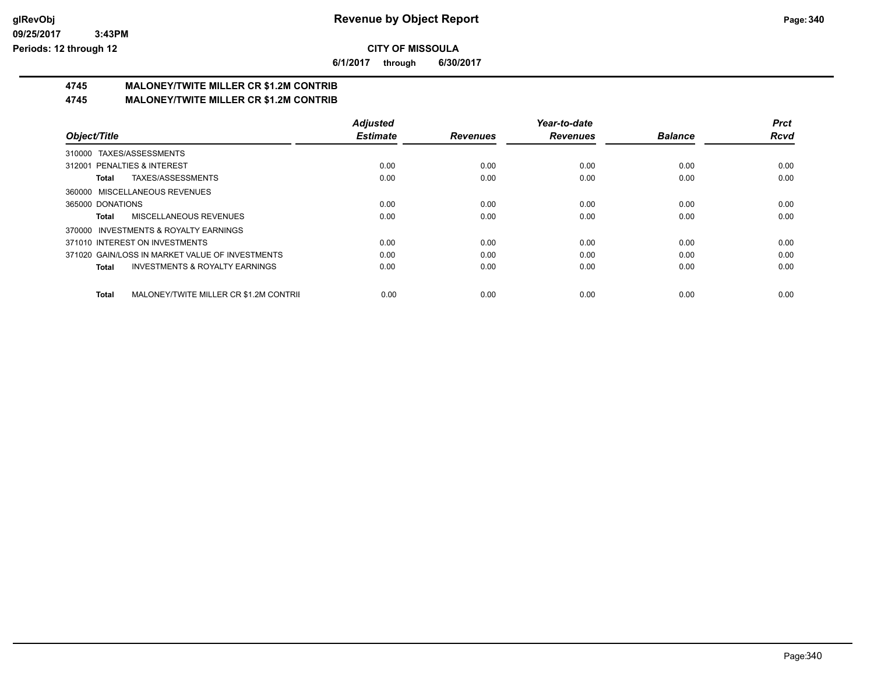**6/1/2017 through 6/30/2017**

# **4745 MALONEY/TWITE MILLER CR \$1.2M CONTRIB**

# **4745 MALONEY/TWITE MILLER CR \$1.2M CONTRIB**

|                                                        | <b>Adjusted</b> |                 | Year-to-date    |                | <b>Prct</b> |
|--------------------------------------------------------|-----------------|-----------------|-----------------|----------------|-------------|
| Object/Title                                           | <b>Estimate</b> | <b>Revenues</b> | <b>Revenues</b> | <b>Balance</b> | <b>Rcvd</b> |
| TAXES/ASSESSMENTS<br>310000                            |                 |                 |                 |                |             |
| 312001 PENALTIES & INTEREST                            | 0.00            | 0.00            | 0.00            | 0.00           | 0.00        |
| TAXES/ASSESSMENTS<br>Total                             | 0.00            | 0.00            | 0.00            | 0.00           | 0.00        |
| 360000 MISCELLANEOUS REVENUES                          |                 |                 |                 |                |             |
| 365000 DONATIONS                                       | 0.00            | 0.00            | 0.00            | 0.00           | 0.00        |
| MISCELLANEOUS REVENUES<br>Total                        | 0.00            | 0.00            | 0.00            | 0.00           | 0.00        |
| INVESTMENTS & ROYALTY EARNINGS<br>370000               |                 |                 |                 |                |             |
| 371010 INTEREST ON INVESTMENTS                         | 0.00            | 0.00            | 0.00            | 0.00           | 0.00        |
| 371020 GAIN/LOSS IN MARKET VALUE OF INVESTMENTS        | 0.00            | 0.00            | 0.00            | 0.00           | 0.00        |
| <b>INVESTMENTS &amp; ROYALTY EARNINGS</b><br>Total     | 0.00            | 0.00            | 0.00            | 0.00           | 0.00        |
| <b>Total</b><br>MALONEY/TWITE MILLER CR \$1.2M CONTRII | 0.00            | 0.00            | 0.00            | 0.00           | 0.00        |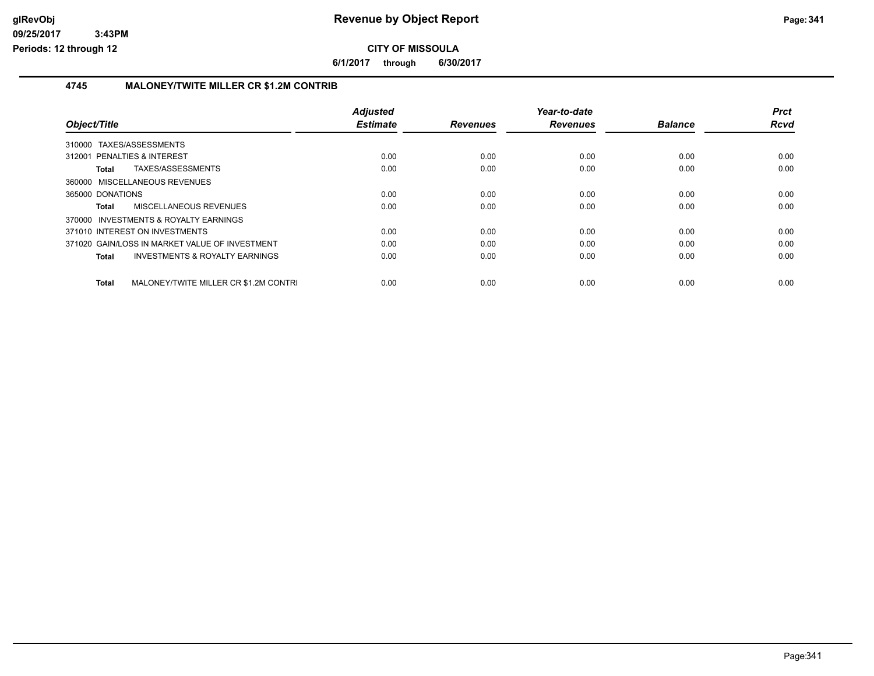**6/1/2017 through 6/30/2017**

#### **4745 MALONEY/TWITE MILLER CR \$1.2M CONTRIB**

|                                                       | <b>Adjusted</b> |                 | Year-to-date    |                | <b>Prct</b> |
|-------------------------------------------------------|-----------------|-----------------|-----------------|----------------|-------------|
| Object/Title                                          | <b>Estimate</b> | <b>Revenues</b> | <b>Revenues</b> | <b>Balance</b> | <b>Rcvd</b> |
| 310000 TAXES/ASSESSMENTS                              |                 |                 |                 |                |             |
| 312001 PENALTIES & INTEREST                           | 0.00            | 0.00            | 0.00            | 0.00           | 0.00        |
| TAXES/ASSESSMENTS<br>Total                            | 0.00            | 0.00            | 0.00            | 0.00           | 0.00        |
| 360000 MISCELLANEOUS REVENUES                         |                 |                 |                 |                |             |
| 365000 DONATIONS                                      | 0.00            | 0.00            | 0.00            | 0.00           | 0.00        |
| MISCELLANEOUS REVENUES<br>Total                       | 0.00            | 0.00            | 0.00            | 0.00           | 0.00        |
| 370000 INVESTMENTS & ROYALTY EARNINGS                 |                 |                 |                 |                |             |
| 371010 INTEREST ON INVESTMENTS                        | 0.00            | 0.00            | 0.00            | 0.00           | 0.00        |
| 371020 GAIN/LOSS IN MARKET VALUE OF INVESTMENT        | 0.00            | 0.00            | 0.00            | 0.00           | 0.00        |
| <b>INVESTMENTS &amp; ROYALTY EARNINGS</b><br>Total    | 0.00            | 0.00            | 0.00            | 0.00           | 0.00        |
|                                                       |                 |                 |                 |                |             |
| MALONEY/TWITE MILLER CR \$1.2M CONTRI<br><b>Total</b> | 0.00            | 0.00            | 0.00            | 0.00           | 0.00        |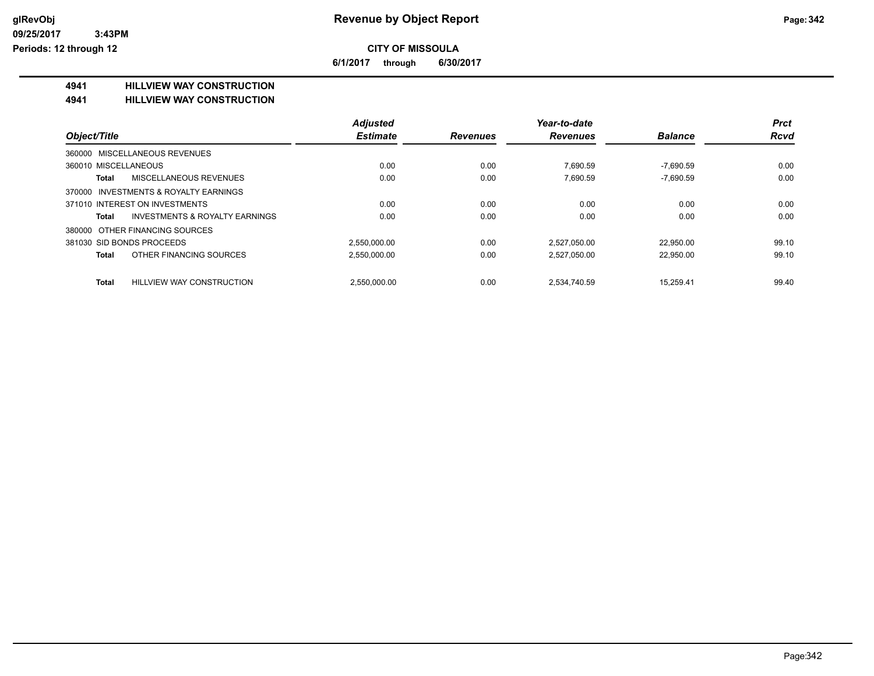**6/1/2017 through 6/30/2017**

#### **4941 HILLVIEW WAY CONSTRUCTION**

#### **4941 HILLVIEW WAY CONSTRUCTION**

|                                         | <b>Adjusted</b> |                 | Year-to-date    |                | <b>Prct</b> |
|-----------------------------------------|-----------------|-----------------|-----------------|----------------|-------------|
| Object/Title                            | <b>Estimate</b> | <b>Revenues</b> | <b>Revenues</b> | <b>Balance</b> | <b>Rcvd</b> |
| 360000 MISCELLANEOUS REVENUES           |                 |                 |                 |                |             |
| 360010 MISCELLANEOUS                    | 0.00            | 0.00            | 7.690.59        | -7.690.59      | 0.00        |
| MISCELLANEOUS REVENUES<br>Total         | 0.00            | 0.00            | 7,690.59        | $-7,690.59$    | 0.00        |
| 370000 INVESTMENTS & ROYALTY EARNINGS   |                 |                 |                 |                |             |
| 371010 INTEREST ON INVESTMENTS          | 0.00            | 0.00            | 0.00            | 0.00           | 0.00        |
| INVESTMENTS & ROYALTY EARNINGS<br>Total | 0.00            | 0.00            | 0.00            | 0.00           | 0.00        |
| 380000 OTHER FINANCING SOURCES          |                 |                 |                 |                |             |
| 381030 SID BONDS PROCEEDS               | 2.550.000.00    | 0.00            | 2.527.050.00    | 22.950.00      | 99.10       |
| OTHER FINANCING SOURCES<br>Total        | 2,550,000.00    | 0.00            | 2,527,050.00    | 22.950.00      | 99.10       |
| HILLVIEW WAY CONSTRUCTION<br>Total      | 2.550.000.00    | 0.00            | 2.534.740.59    | 15.259.41      | 99.40       |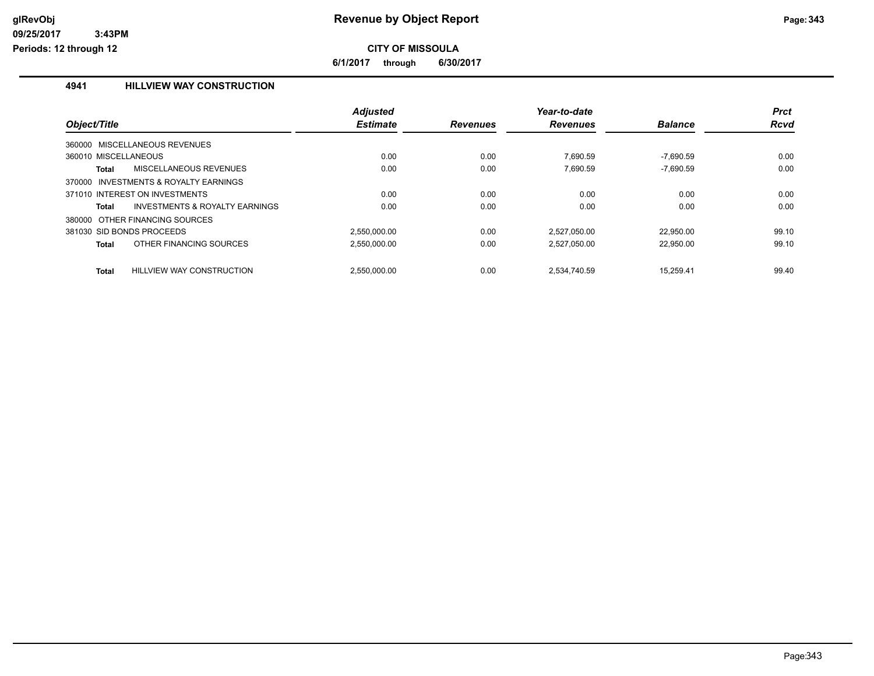**6/1/2017 through 6/30/2017**

#### **4941 HILLVIEW WAY CONSTRUCTION**

|                                                | <b>Adjusted</b> |                 | Year-to-date    |                | <b>Prct</b> |
|------------------------------------------------|-----------------|-----------------|-----------------|----------------|-------------|
| Object/Title                                   | <b>Estimate</b> | <b>Revenues</b> | <b>Revenues</b> | <b>Balance</b> | <b>Rcvd</b> |
| MISCELLANEOUS REVENUES<br>360000               |                 |                 |                 |                |             |
| 360010 MISCELLANEOUS                           | 0.00            | 0.00            | 7.690.59        | $-7.690.59$    | 0.00        |
| MISCELLANEOUS REVENUES<br>Total                | 0.00            | 0.00            | 7.690.59        | $-7,690.59$    | 0.00        |
| INVESTMENTS & ROYALTY EARNINGS<br>370000       |                 |                 |                 |                |             |
| 371010 INTEREST ON INVESTMENTS                 | 0.00            | 0.00            | 0.00            | 0.00           | 0.00        |
| INVESTMENTS & ROYALTY EARNINGS<br><b>Total</b> | 0.00            | 0.00            | 0.00            | 0.00           | 0.00        |
| OTHER FINANCING SOURCES<br>380000              |                 |                 |                 |                |             |
| 381030 SID BONDS PROCEEDS                      | 2.550.000.00    | 0.00            | 2.527.050.00    | 22.950.00      | 99.10       |
| OTHER FINANCING SOURCES<br><b>Total</b>        | 2,550,000.00    | 0.00            | 2,527,050.00    | 22,950.00      | 99.10       |
| HILLVIEW WAY CONSTRUCTION<br><b>Total</b>      | 2.550.000.00    | 0.00            | 2.534.740.59    | 15.259.41      | 99.40       |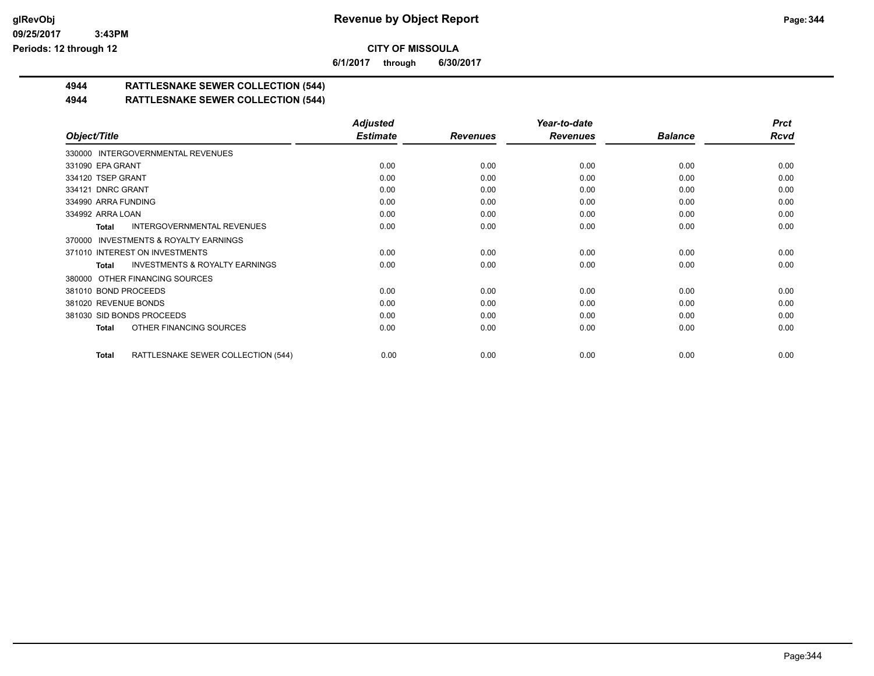**6/1/2017 through 6/30/2017**

# **4944 RATTLESNAKE SEWER COLLECTION (544)**

### **4944 RATTLESNAKE SEWER COLLECTION (544)**

|                                                    | <b>Adjusted</b> |                 | Year-to-date    |                | <b>Prct</b> |
|----------------------------------------------------|-----------------|-----------------|-----------------|----------------|-------------|
| Object/Title                                       | <b>Estimate</b> | <b>Revenues</b> | <b>Revenues</b> | <b>Balance</b> | <b>Rcvd</b> |
| 330000 INTERGOVERNMENTAL REVENUES                  |                 |                 |                 |                |             |
| 331090 EPA GRANT                                   | 0.00            | 0.00            | 0.00            | 0.00           | 0.00        |
| 334120 TSEP GRANT                                  | 0.00            | 0.00            | 0.00            | 0.00           | 0.00        |
| 334121 DNRC GRANT                                  | 0.00            | 0.00            | 0.00            | 0.00           | 0.00        |
| 334990 ARRA FUNDING                                | 0.00            | 0.00            | 0.00            | 0.00           | 0.00        |
| 334992 ARRA LOAN                                   | 0.00            | 0.00            | 0.00            | 0.00           | 0.00        |
| <b>INTERGOVERNMENTAL REVENUES</b><br>Total         | 0.00            | 0.00            | 0.00            | 0.00           | 0.00        |
| 370000 INVESTMENTS & ROYALTY EARNINGS              |                 |                 |                 |                |             |
| 371010 INTEREST ON INVESTMENTS                     | 0.00            | 0.00            | 0.00            | 0.00           | 0.00        |
| <b>INVESTMENTS &amp; ROYALTY EARNINGS</b><br>Total | 0.00            | 0.00            | 0.00            | 0.00           | 0.00        |
| 380000 OTHER FINANCING SOURCES                     |                 |                 |                 |                |             |
| 381010 BOND PROCEEDS                               | 0.00            | 0.00            | 0.00            | 0.00           | 0.00        |
| 381020 REVENUE BONDS                               | 0.00            | 0.00            | 0.00            | 0.00           | 0.00        |
| 381030 SID BONDS PROCEEDS                          | 0.00            | 0.00            | 0.00            | 0.00           | 0.00        |
| OTHER FINANCING SOURCES<br>Total                   | 0.00            | 0.00            | 0.00            | 0.00           | 0.00        |
| RATTLESNAKE SEWER COLLECTION (544)<br>Total        | 0.00            | 0.00            | 0.00            | 0.00           | 0.00        |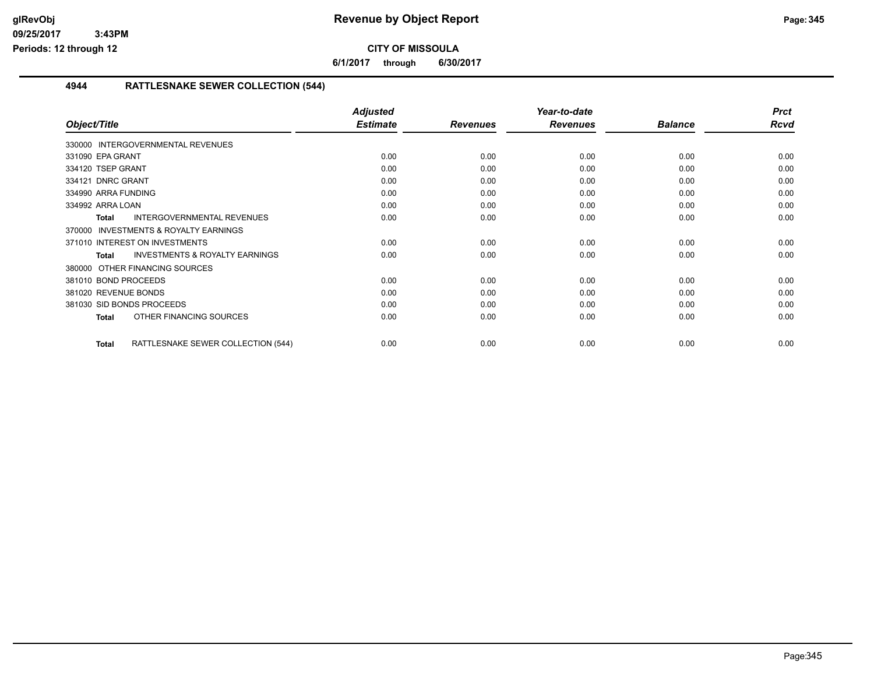**6/1/2017 through 6/30/2017**

#### **4944 RATTLESNAKE SEWER COLLECTION (544)**

|                                                     | <b>Adjusted</b> |                 | Year-to-date    |                | <b>Prct</b> |
|-----------------------------------------------------|-----------------|-----------------|-----------------|----------------|-------------|
| Object/Title                                        | <b>Estimate</b> | <b>Revenues</b> | <b>Revenues</b> | <b>Balance</b> | <b>Rcvd</b> |
| 330000 INTERGOVERNMENTAL REVENUES                   |                 |                 |                 |                |             |
| 331090 EPA GRANT                                    | 0.00            | 0.00            | 0.00            | 0.00           | 0.00        |
| 334120 TSEP GRANT                                   | 0.00            | 0.00            | 0.00            | 0.00           | 0.00        |
| 334121 DNRC GRANT                                   | 0.00            | 0.00            | 0.00            | 0.00           | 0.00        |
| 334990 ARRA FUNDING                                 | 0.00            | 0.00            | 0.00            | 0.00           | 0.00        |
| 334992 ARRA LOAN                                    | 0.00            | 0.00            | 0.00            | 0.00           | 0.00        |
| <b>INTERGOVERNMENTAL REVENUES</b><br>Total          | 0.00            | 0.00            | 0.00            | 0.00           | 0.00        |
| <b>INVESTMENTS &amp; ROYALTY EARNINGS</b><br>370000 |                 |                 |                 |                |             |
| 371010 INTEREST ON INVESTMENTS                      | 0.00            | 0.00            | 0.00            | 0.00           | 0.00        |
| <b>INVESTMENTS &amp; ROYALTY EARNINGS</b><br>Total  | 0.00            | 0.00            | 0.00            | 0.00           | 0.00        |
| 380000 OTHER FINANCING SOURCES                      |                 |                 |                 |                |             |
| 381010 BOND PROCEEDS                                | 0.00            | 0.00            | 0.00            | 0.00           | 0.00        |
| 381020 REVENUE BONDS                                | 0.00            | 0.00            | 0.00            | 0.00           | 0.00        |
| 381030 SID BONDS PROCEEDS                           | 0.00            | 0.00            | 0.00            | 0.00           | 0.00        |
| OTHER FINANCING SOURCES<br><b>Total</b>             | 0.00            | 0.00            | 0.00            | 0.00           | 0.00        |
| RATTLESNAKE SEWER COLLECTION (544)<br><b>Total</b>  | 0.00            | 0.00            | 0.00            | 0.00           | 0.00        |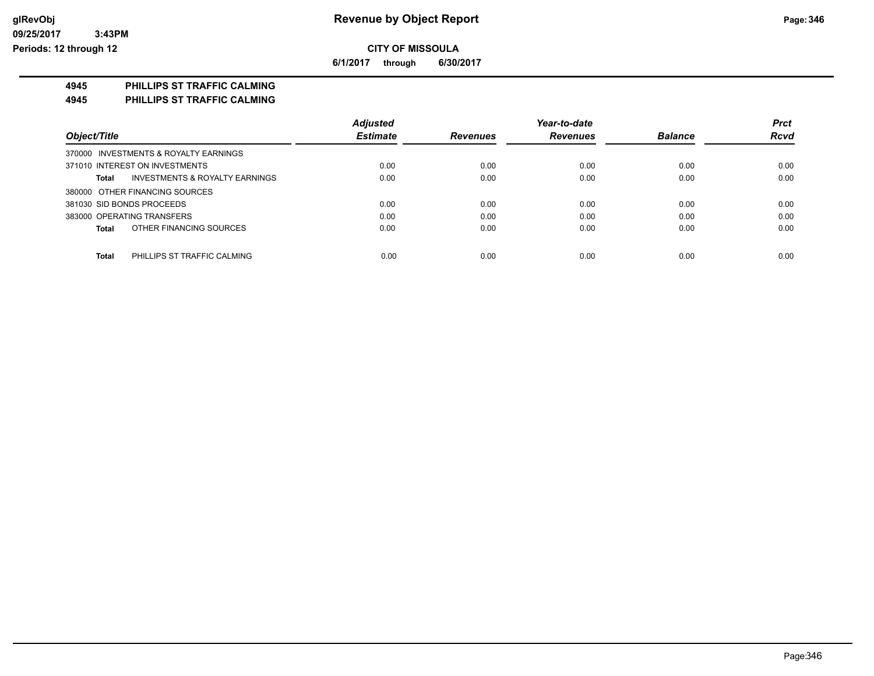**6/1/2017 through 6/30/2017**

### **4945 PHILLIPS ST TRAFFIC CALMING**

**4945 PHILLIPS ST TRAFFIC CALMING**

|                                             | <b>Adjusted</b> |                 | Year-to-date    |                | <b>Prct</b> |
|---------------------------------------------|-----------------|-----------------|-----------------|----------------|-------------|
| Object/Title                                | <b>Estimate</b> | <b>Revenues</b> | <b>Revenues</b> | <b>Balance</b> | Rcvd        |
| 370000 INVESTMENTS & ROYALTY EARNINGS       |                 |                 |                 |                |             |
| 371010 INTEREST ON INVESTMENTS              | 0.00            | 0.00            | 0.00            | 0.00           | 0.00        |
| INVESTMENTS & ROYALTY EARNINGS<br>Total     | 0.00            | 0.00            | 0.00            | 0.00           | 0.00        |
| 380000 OTHER FINANCING SOURCES              |                 |                 |                 |                |             |
| 381030 SID BONDS PROCEEDS                   | 0.00            | 0.00            | 0.00            | 0.00           | 0.00        |
| 383000 OPERATING TRANSFERS                  | 0.00            | 0.00            | 0.00            | 0.00           | 0.00        |
| OTHER FINANCING SOURCES<br><b>Total</b>     | 0.00            | 0.00            | 0.00            | 0.00           | 0.00        |
|                                             |                 |                 |                 |                |             |
| <b>Total</b><br>PHILLIPS ST TRAFFIC CALMING | 0.00            | 0.00            | 0.00            | 0.00           | 0.00        |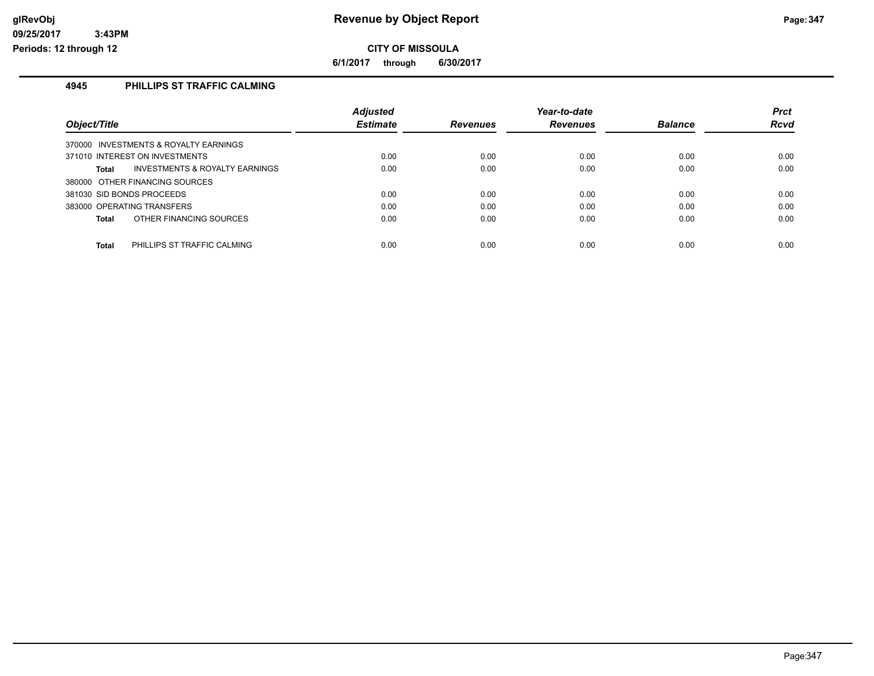**6/1/2017 through 6/30/2017**

#### **4945 PHILLIPS ST TRAFFIC CALMING**

|                                                           | <b>Adjusted</b> |                 | Year-to-date    |                | <b>Prct</b> |
|-----------------------------------------------------------|-----------------|-----------------|-----------------|----------------|-------------|
| Object/Title                                              | <b>Estimate</b> | <b>Revenues</b> | <b>Revenues</b> | <b>Balance</b> | <b>Rcvd</b> |
| INVESTMENTS & ROYALTY EARNINGS<br>370000                  |                 |                 |                 |                |             |
| 371010 INTEREST ON INVESTMENTS                            | 0.00            | 0.00            | 0.00            | 0.00           | 0.00        |
| <b>INVESTMENTS &amp; ROYALTY EARNINGS</b><br><b>Total</b> | 0.00            | 0.00            | 0.00            | 0.00           | 0.00        |
| 380000 OTHER FINANCING SOURCES                            |                 |                 |                 |                |             |
| 381030 SID BONDS PROCEEDS                                 | 0.00            | 0.00            | 0.00            | 0.00           | 0.00        |
| 383000 OPERATING TRANSFERS                                | 0.00            | 0.00            | 0.00            | 0.00           | 0.00        |
| OTHER FINANCING SOURCES<br>Total                          | 0.00            | 0.00            | 0.00            | 0.00           | 0.00        |
| Total<br>PHILLIPS ST TRAFFIC CALMING                      | 0.00            | 0.00            | 0.00            | 0.00           | 0.00        |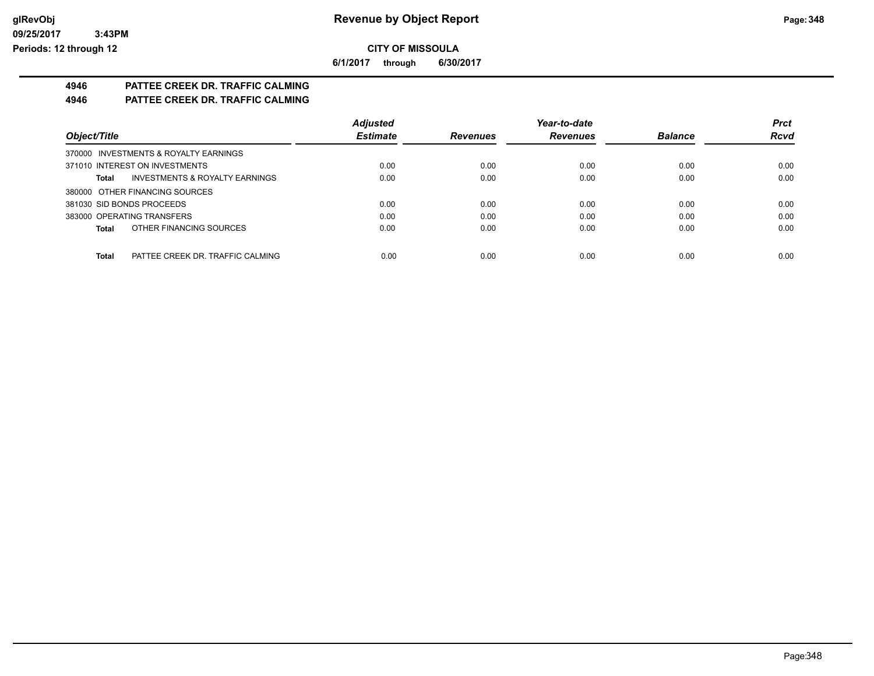**6/1/2017 through 6/30/2017**

# **4946 PATTEE CREEK DR. TRAFFIC CALMING**

# **4946 PATTEE CREEK DR. TRAFFIC CALMING**

|                                                    | <b>Adjusted</b> |                 | Year-to-date    |                | <b>Prct</b> |
|----------------------------------------------------|-----------------|-----------------|-----------------|----------------|-------------|
| Object/Title                                       | <b>Estimate</b> | <b>Revenues</b> | <b>Revenues</b> | <b>Balance</b> | <b>Rcvd</b> |
| 370000 INVESTMENTS & ROYALTY EARNINGS              |                 |                 |                 |                |             |
| 371010 INTEREST ON INVESTMENTS                     | 0.00            | 0.00            | 0.00            | 0.00           | 0.00        |
| <b>INVESTMENTS &amp; ROYALTY EARNINGS</b><br>Total | 0.00            | 0.00            | 0.00            | 0.00           | 0.00        |
| 380000 OTHER FINANCING SOURCES                     |                 |                 |                 |                |             |
| 381030 SID BONDS PROCEEDS                          | 0.00            | 0.00            | 0.00            | 0.00           | 0.00        |
| 383000 OPERATING TRANSFERS                         | 0.00            | 0.00            | 0.00            | 0.00           | 0.00        |
| OTHER FINANCING SOURCES<br>Total                   | 0.00            | 0.00            | 0.00            | 0.00           | 0.00        |
|                                                    |                 |                 |                 |                |             |
| Total<br>PATTEE CREEK DR. TRAFFIC CALMING          | 0.00            | 0.00            | 0.00            | 0.00           | 0.00        |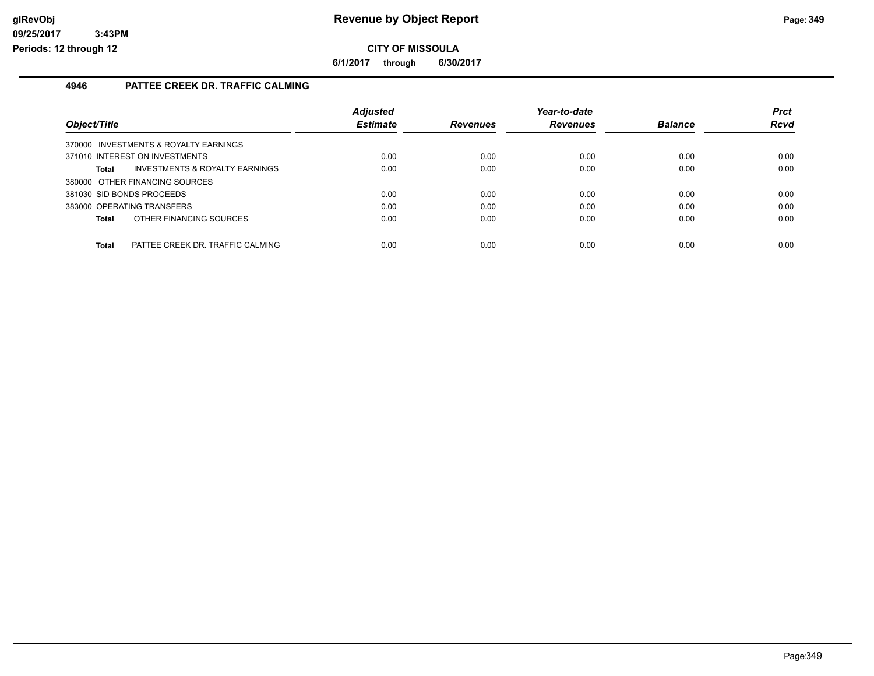**6/1/2017 through 6/30/2017**

#### **4946 PATTEE CREEK DR. TRAFFIC CALMING**

|                                                  | <b>Adjusted</b> |                 | Year-to-date    |                | <b>Prct</b> |
|--------------------------------------------------|-----------------|-----------------|-----------------|----------------|-------------|
| Object/Title                                     | <b>Estimate</b> | <b>Revenues</b> | <b>Revenues</b> | <b>Balance</b> | <b>Rcvd</b> |
| 370000 INVESTMENTS & ROYALTY EARNINGS            |                 |                 |                 |                |             |
| 371010 INTEREST ON INVESTMENTS                   | 0.00            | 0.00            | 0.00            | 0.00           | 0.00        |
| INVESTMENTS & ROYALTY EARNINGS<br><b>Total</b>   | 0.00            | 0.00            | 0.00            | 0.00           | 0.00        |
| 380000 OTHER FINANCING SOURCES                   |                 |                 |                 |                |             |
| 381030 SID BONDS PROCEEDS                        | 0.00            | 0.00            | 0.00            | 0.00           | 0.00        |
| 383000 OPERATING TRANSFERS                       | 0.00            | 0.00            | 0.00            | 0.00           | 0.00        |
| OTHER FINANCING SOURCES<br><b>Total</b>          | 0.00            | 0.00            | 0.00            | 0.00           | 0.00        |
|                                                  |                 |                 |                 |                |             |
| <b>Total</b><br>PATTEE CREEK DR. TRAFFIC CALMING | 0.00            | 0.00            | 0.00            | 0.00           | 0.00        |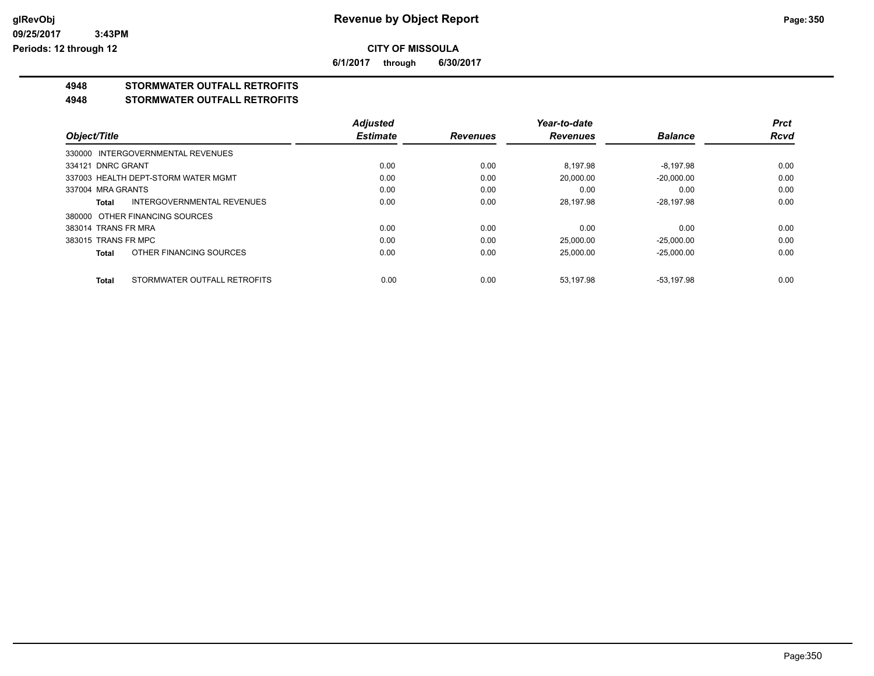**6/1/2017 through 6/30/2017**

# **4948 STORMWATER OUTFALL RETROFITS**

#### **4948 STORMWATER OUTFALL RETROFITS**

|                     |                                     | <b>Adjusted</b> |                 | Year-to-date    |                | <b>Prct</b> |
|---------------------|-------------------------------------|-----------------|-----------------|-----------------|----------------|-------------|
| Object/Title        |                                     | <b>Estimate</b> | <b>Revenues</b> | <b>Revenues</b> | <b>Balance</b> | <b>Rcvd</b> |
|                     | 330000 INTERGOVERNMENTAL REVENUES   |                 |                 |                 |                |             |
| 334121 DNRC GRANT   |                                     | 0.00            | 0.00            | 8.197.98        | $-8.197.98$    | 0.00        |
|                     | 337003 HEALTH DEPT-STORM WATER MGMT | 0.00            | 0.00            | 20,000.00       | $-20.000.00$   | 0.00        |
| 337004 MRA GRANTS   |                                     | 0.00            | 0.00            | 0.00            | 0.00           | 0.00        |
| Total               | INTERGOVERNMENTAL REVENUES          | 0.00            | 0.00            | 28.197.98       | $-28.197.98$   | 0.00        |
|                     | 380000 OTHER FINANCING SOURCES      |                 |                 |                 |                |             |
| 383014 TRANS FR MRA |                                     | 0.00            | 0.00            | 0.00            | 0.00           | 0.00        |
| 383015 TRANS FR MPC |                                     | 0.00            | 0.00            | 25,000.00       | $-25.000.00$   | 0.00        |
| <b>Total</b>        | OTHER FINANCING SOURCES             | 0.00            | 0.00            | 25,000.00       | $-25.000.00$   | 0.00        |
| <b>Total</b>        | STORMWATER OUTFALL RETROFITS        | 0.00            | 0.00            | 53.197.98       | -53.197.98     | 0.00        |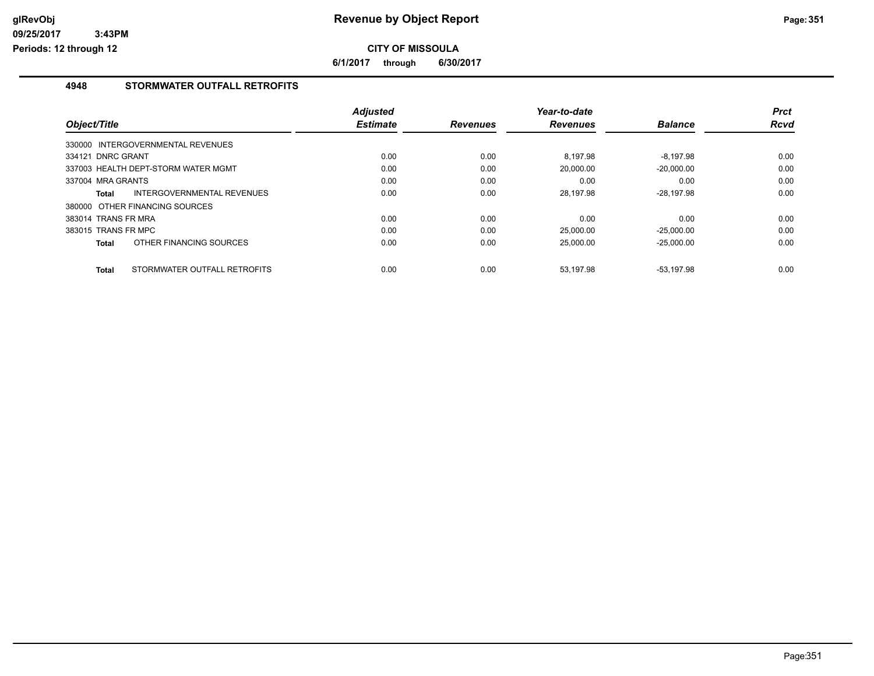**6/1/2017 through 6/30/2017**

#### **4948 STORMWATER OUTFALL RETROFITS**

| Object/Title        |                                     | <b>Adjusted</b><br><b>Estimate</b> | <b>Revenues</b> | Year-to-date<br><b>Revenues</b> | <b>Balance</b> | <b>Prct</b><br><b>Rcvd</b> |
|---------------------|-------------------------------------|------------------------------------|-----------------|---------------------------------|----------------|----------------------------|
|                     | 330000 INTERGOVERNMENTAL REVENUES   |                                    |                 |                                 |                |                            |
| 334121 DNRC GRANT   |                                     | 0.00                               | 0.00            | 8,197.98                        | $-8,197.98$    | 0.00                       |
|                     | 337003 HEALTH DEPT-STORM WATER MGMT | 0.00                               | 0.00            | 20.000.00                       | $-20.000.00$   | 0.00                       |
| 337004 MRA GRANTS   |                                     | 0.00                               | 0.00            | 0.00                            | 0.00           | 0.00                       |
| <b>Total</b>        | INTERGOVERNMENTAL REVENUES          | 0.00                               | 0.00            | 28.197.98                       | $-28.197.98$   | 0.00                       |
|                     | 380000 OTHER FINANCING SOURCES      |                                    |                 |                                 |                |                            |
| 383014 TRANS FR MRA |                                     | 0.00                               | 0.00            | 0.00                            | 0.00           | 0.00                       |
| 383015 TRANS FR MPC |                                     | 0.00                               | 0.00            | 25,000.00                       | $-25.000.00$   | 0.00                       |
| <b>Total</b>        | OTHER FINANCING SOURCES             | 0.00                               | 0.00            | 25.000.00                       | $-25.000.00$   | 0.00                       |
| <b>Total</b>        | STORMWATER OUTFALL RETROFITS        | 0.00                               | 0.00            | 53.197.98                       | $-53.197.98$   | 0.00                       |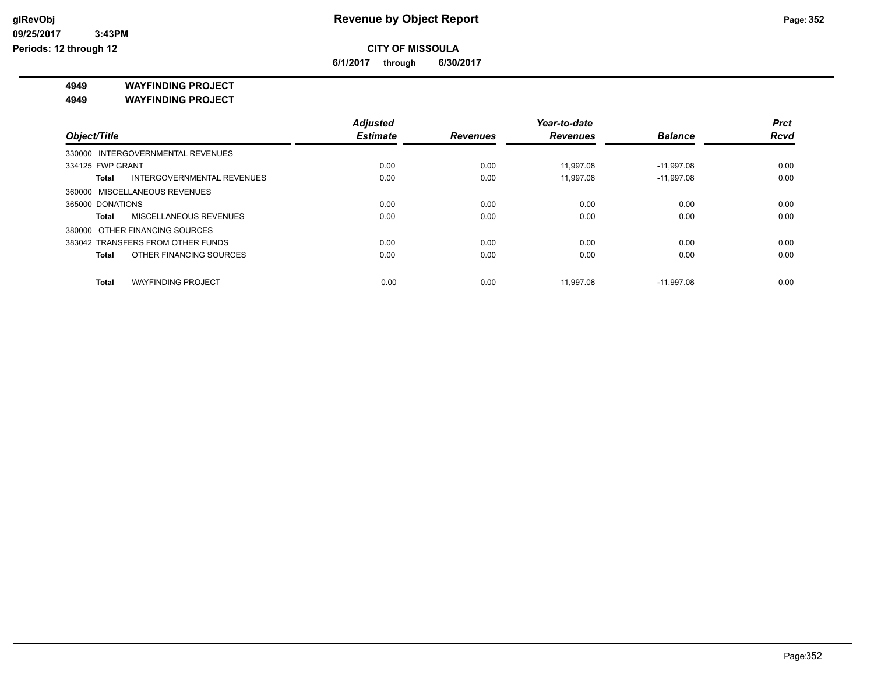**6/1/2017 through 6/30/2017**

**4949 WAYFINDING PROJECT**

**4949 WAYFINDING PROJECT**

|                                        | <b>Adjusted</b> |                 | Year-to-date    |                | <b>Prct</b> |
|----------------------------------------|-----------------|-----------------|-----------------|----------------|-------------|
| Object/Title                           | <b>Estimate</b> | <b>Revenues</b> | <b>Revenues</b> | <b>Balance</b> | <b>Rcvd</b> |
| 330000 INTERGOVERNMENTAL REVENUES      |                 |                 |                 |                |             |
| 334125 FWP GRANT                       | 0.00            | 0.00            | 11.997.08       | $-11.997.08$   | 0.00        |
| INTERGOVERNMENTAL REVENUES<br>Total    | 0.00            | 0.00            | 11.997.08       | $-11.997.08$   | 0.00        |
| 360000 MISCELLANEOUS REVENUES          |                 |                 |                 |                |             |
| 365000 DONATIONS                       | 0.00            | 0.00            | 0.00            | 0.00           | 0.00        |
| <b>MISCELLANEOUS REVENUES</b><br>Total | 0.00            | 0.00            | 0.00            | 0.00           | 0.00        |
| 380000 OTHER FINANCING SOURCES         |                 |                 |                 |                |             |
| 383042 TRANSFERS FROM OTHER FUNDS      | 0.00            | 0.00            | 0.00            | 0.00           | 0.00        |
| OTHER FINANCING SOURCES<br>Total       | 0.00            | 0.00            | 0.00            | 0.00           | 0.00        |
| <b>WAYFINDING PROJECT</b><br>Total     | 0.00            | 0.00            | 11.997.08       | $-11.997.08$   | 0.00        |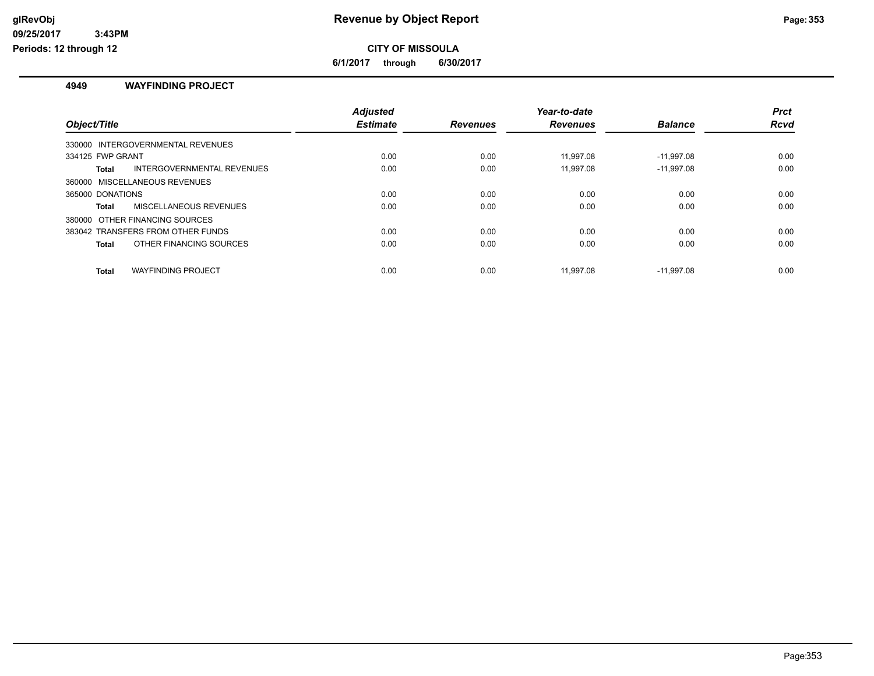**6/1/2017 through 6/30/2017**

#### **4949 WAYFINDING PROJECT**

| Object/Title                              | <b>Adjusted</b><br><b>Estimate</b> | <b>Revenues</b> | Year-to-date<br><b>Revenues</b> | <b>Balance</b> | <b>Prct</b><br><b>Rcvd</b> |
|-------------------------------------------|------------------------------------|-----------------|---------------------------------|----------------|----------------------------|
|                                           |                                    |                 |                                 |                |                            |
| 330000 INTERGOVERNMENTAL REVENUES         |                                    |                 |                                 |                |                            |
| 334125 FWP GRANT                          | 0.00                               | 0.00            | 11.997.08                       | $-11,997.08$   | 0.00                       |
| INTERGOVERNMENTAL REVENUES<br>Total       | 0.00                               | 0.00            | 11,997.08                       | $-11,997.08$   | 0.00                       |
| 360000 MISCELLANEOUS REVENUES             |                                    |                 |                                 |                |                            |
| 365000 DONATIONS                          | 0.00                               | 0.00            | 0.00                            | 0.00           | 0.00                       |
| MISCELLANEOUS REVENUES<br><b>Total</b>    | 0.00                               | 0.00            | 0.00                            | 0.00           | 0.00                       |
| 380000 OTHER FINANCING SOURCES            |                                    |                 |                                 |                |                            |
| 383042 TRANSFERS FROM OTHER FUNDS         | 0.00                               | 0.00            | 0.00                            | 0.00           | 0.00                       |
| OTHER FINANCING SOURCES<br><b>Total</b>   | 0.00                               | 0.00            | 0.00                            | 0.00           | 0.00                       |
| <b>WAYFINDING PROJECT</b><br><b>Total</b> | 0.00                               | 0.00            | 11.997.08                       | $-11.997.08$   | 0.00                       |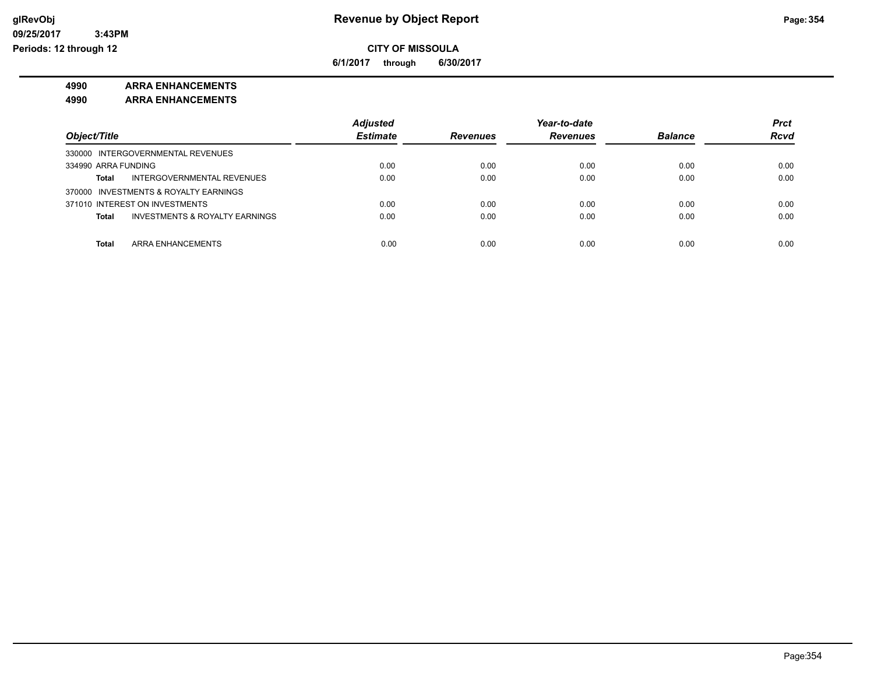**6/1/2017 through 6/30/2017**

#### **4990 ARRA ENHANCEMENTS**

**4990 ARRA ENHANCEMENTS**

|                                                    | <b>Adjusted</b> |                 | Year-to-date    |                | <b>Prct</b> |
|----------------------------------------------------|-----------------|-----------------|-----------------|----------------|-------------|
| Object/Title                                       | <b>Estimate</b> | <b>Revenues</b> | <b>Revenues</b> | <b>Balance</b> | <b>Rcvd</b> |
| 330000 INTERGOVERNMENTAL REVENUES                  |                 |                 |                 |                |             |
| 334990 ARRA FUNDING                                | 0.00            | 0.00            | 0.00            | 0.00           | 0.00        |
| INTERGOVERNMENTAL REVENUES<br><b>Total</b>         | 0.00            | 0.00            | 0.00            | 0.00           | 0.00        |
| 370000 INVESTMENTS & ROYALTY EARNINGS              |                 |                 |                 |                |             |
| 371010 INTEREST ON INVESTMENTS                     | 0.00            | 0.00            | 0.00            | 0.00           | 0.00        |
| <b>INVESTMENTS &amp; ROYALTY EARNINGS</b><br>Total | 0.00            | 0.00            | 0.00            | 0.00           | 0.00        |
|                                                    |                 |                 |                 |                |             |
| ARRA ENHANCEMENTS<br><b>Total</b>                  | 0.00            | 0.00            | 0.00            | 0.00           | 0.00        |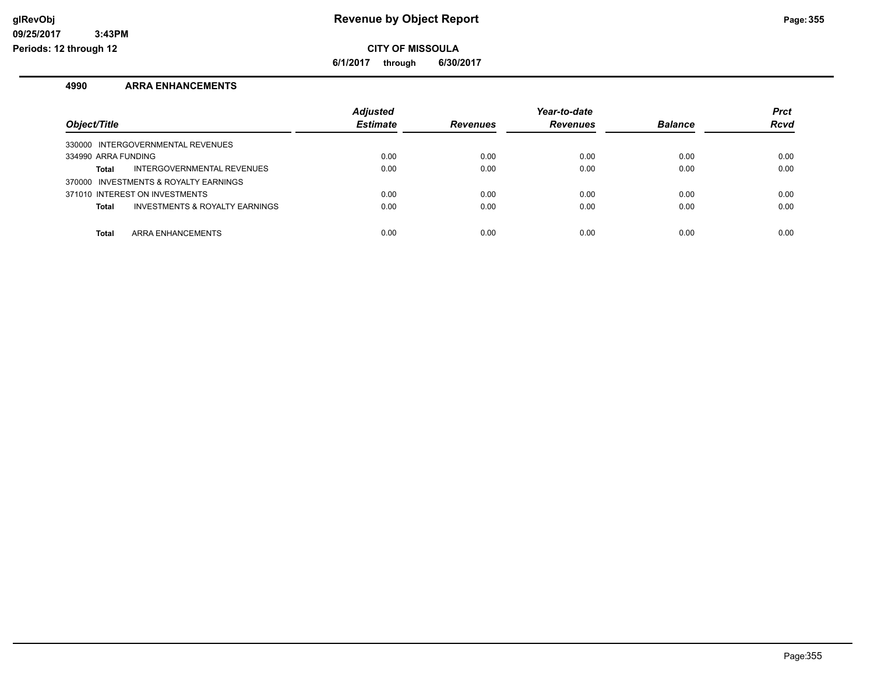**6/1/2017 through 6/30/2017**

#### **4990 ARRA ENHANCEMENTS**

| Object/Title                                              | <b>Adjusted</b><br><b>Estimate</b> | <b>Revenues</b> | Year-to-date<br><b>Revenues</b> | <b>Balance</b> | <b>Prct</b><br><b>Rcvd</b> |
|-----------------------------------------------------------|------------------------------------|-----------------|---------------------------------|----------------|----------------------------|
| 330000 INTERGOVERNMENTAL REVENUES                         |                                    |                 |                                 |                |                            |
| 334990 ARRA FUNDING                                       | 0.00                               | 0.00            | 0.00                            | 0.00           | 0.00                       |
| INTERGOVERNMENTAL REVENUES<br>Total                       | 0.00                               | 0.00            | 0.00                            | 0.00           | 0.00                       |
| 370000 INVESTMENTS & ROYALTY EARNINGS                     |                                    |                 |                                 |                |                            |
| 371010 INTEREST ON INVESTMENTS                            | 0.00                               | 0.00            | 0.00                            | 0.00           | 0.00                       |
| <b>INVESTMENTS &amp; ROYALTY EARNINGS</b><br><b>Total</b> | 0.00                               | 0.00            | 0.00                            | 0.00           | 0.00                       |
|                                                           |                                    |                 |                                 |                |                            |
| ARRA ENHANCEMENTS<br><b>Total</b>                         | 0.00                               | 0.00            | 0.00                            | 0.00           | 0.00                       |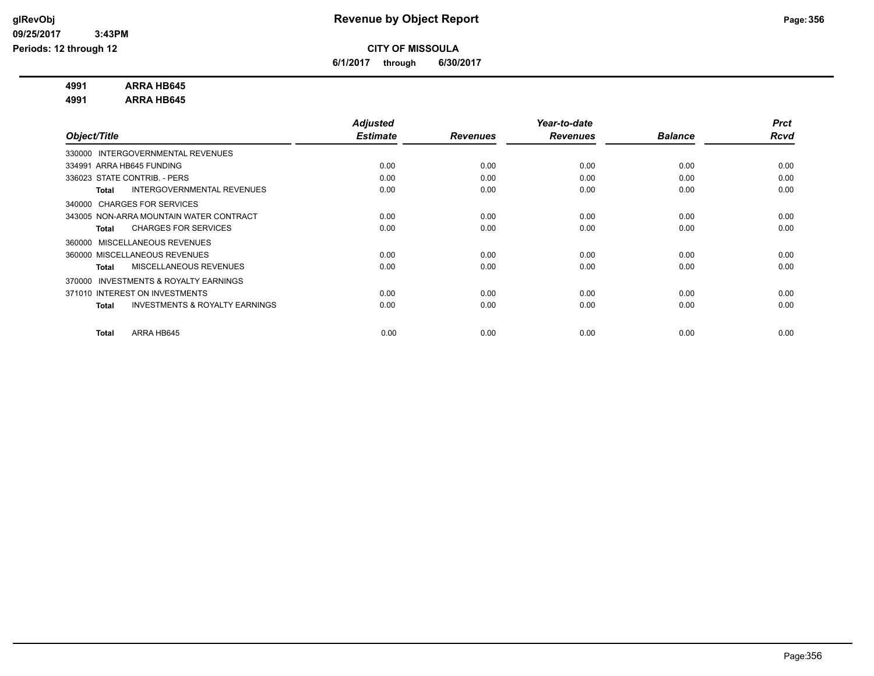**6/1/2017 through 6/30/2017**

#### **4991 ARRA HB645**

**4991 ARRA HB645**

|                                                    | <b>Adjusted</b> |                 | Year-to-date    |                | <b>Prct</b> |
|----------------------------------------------------|-----------------|-----------------|-----------------|----------------|-------------|
| Object/Title                                       | <b>Estimate</b> | <b>Revenues</b> | <b>Revenues</b> | <b>Balance</b> | <b>Rcvd</b> |
| 330000 INTERGOVERNMENTAL REVENUES                  |                 |                 |                 |                |             |
| 334991 ARRA HB645 FUNDING                          | 0.00            | 0.00            | 0.00            | 0.00           | 0.00        |
| 336023 STATE CONTRIB. - PERS                       | 0.00            | 0.00            | 0.00            | 0.00           | 0.00        |
| <b>INTERGOVERNMENTAL REVENUES</b><br>Total         | 0.00            | 0.00            | 0.00            | 0.00           | 0.00        |
| 340000 CHARGES FOR SERVICES                        |                 |                 |                 |                |             |
| 343005 NON-ARRA MOUNTAIN WATER CONTRACT            | 0.00            | 0.00            | 0.00            | 0.00           | 0.00        |
| <b>CHARGES FOR SERVICES</b><br><b>Total</b>        | 0.00            | 0.00            | 0.00            | 0.00           | 0.00        |
| 360000 MISCELLANEOUS REVENUES                      |                 |                 |                 |                |             |
| 360000 MISCELLANEOUS REVENUES                      | 0.00            | 0.00            | 0.00            | 0.00           | 0.00        |
| MISCELLANEOUS REVENUES<br>Total                    | 0.00            | 0.00            | 0.00            | 0.00           | 0.00        |
| 370000 INVESTMENTS & ROYALTY EARNINGS              |                 |                 |                 |                |             |
| 371010 INTEREST ON INVESTMENTS                     | 0.00            | 0.00            | 0.00            | 0.00           | 0.00        |
| <b>INVESTMENTS &amp; ROYALTY EARNINGS</b><br>Total | 0.00            | 0.00            | 0.00            | 0.00           | 0.00        |
|                                                    |                 |                 |                 |                |             |
| ARRA HB645<br><b>Total</b>                         | 0.00            | 0.00            | 0.00            | 0.00           | 0.00        |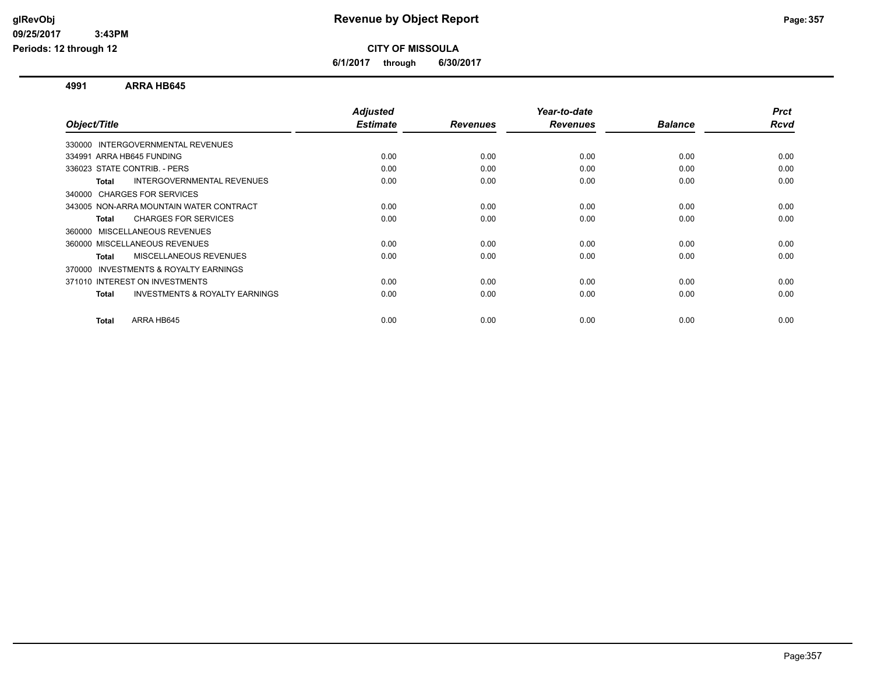**6/1/2017 through 6/30/2017**

**4991 ARRA HB645**

|                                                           | <b>Adjusted</b> |                 | Year-to-date    |                | <b>Prct</b> |
|-----------------------------------------------------------|-----------------|-----------------|-----------------|----------------|-------------|
| Object/Title                                              | <b>Estimate</b> | <b>Revenues</b> | <b>Revenues</b> | <b>Balance</b> | <b>Rcvd</b> |
| 330000 INTERGOVERNMENTAL REVENUES                         |                 |                 |                 |                |             |
| 334991 ARRA HB645 FUNDING                                 | 0.00            | 0.00            | 0.00            | 0.00           | 0.00        |
| 336023 STATE CONTRIB. - PERS                              | 0.00            | 0.00            | 0.00            | 0.00           | 0.00        |
| <b>INTERGOVERNMENTAL REVENUES</b><br>Total                | 0.00            | 0.00            | 0.00            | 0.00           | 0.00        |
| 340000 CHARGES FOR SERVICES                               |                 |                 |                 |                |             |
| 343005 NON-ARRA MOUNTAIN WATER CONTRACT                   | 0.00            | 0.00            | 0.00            | 0.00           | 0.00        |
| <b>CHARGES FOR SERVICES</b><br><b>Total</b>               | 0.00            | 0.00            | 0.00            | 0.00           | 0.00        |
| 360000 MISCELLANEOUS REVENUES                             |                 |                 |                 |                |             |
| 360000 MISCELLANEOUS REVENUES                             | 0.00            | 0.00            | 0.00            | 0.00           | 0.00        |
| MISCELLANEOUS REVENUES<br>Total                           | 0.00            | 0.00            | 0.00            | 0.00           | 0.00        |
| INVESTMENTS & ROYALTY EARNINGS<br>370000                  |                 |                 |                 |                |             |
| 371010 INTEREST ON INVESTMENTS                            | 0.00            | 0.00            | 0.00            | 0.00           | 0.00        |
| <b>INVESTMENTS &amp; ROYALTY EARNINGS</b><br><b>Total</b> | 0.00            | 0.00            | 0.00            | 0.00           | 0.00        |
|                                                           |                 |                 |                 |                |             |
| ARRA HB645<br><b>Total</b>                                | 0.00            | 0.00            | 0.00            | 0.00           | 0.00        |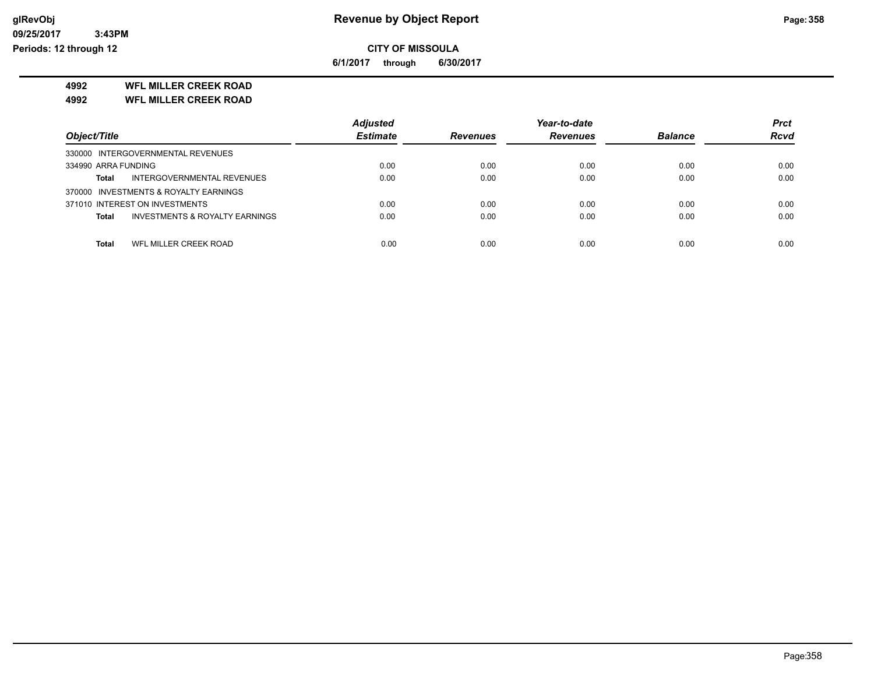**6/1/2017 through 6/30/2017**

#### **4992 WFL MILLER CREEK ROAD**

**4992 WFL MILLER CREEK ROAD**

|                                                | <b>Adjusted</b> |                 | Year-to-date    |                | <b>Prct</b> |
|------------------------------------------------|-----------------|-----------------|-----------------|----------------|-------------|
| Object/Title                                   | <b>Estimate</b> | <b>Revenues</b> | <b>Revenues</b> | <b>Balance</b> | <b>Rcvd</b> |
| 330000 INTERGOVERNMENTAL REVENUES              |                 |                 |                 |                |             |
| 334990 ARRA FUNDING                            | 0.00            | 0.00            | 0.00            | 0.00           | 0.00        |
| INTERGOVERNMENTAL REVENUES<br><b>Total</b>     | 0.00            | 0.00            | 0.00            | 0.00           | 0.00        |
| 370000 INVESTMENTS & ROYALTY EARNINGS          |                 |                 |                 |                |             |
| 371010 INTEREST ON INVESTMENTS                 | 0.00            | 0.00            | 0.00            | 0.00           | 0.00        |
| INVESTMENTS & ROYALTY EARNINGS<br><b>Total</b> | 0.00            | 0.00            | 0.00            | 0.00           | 0.00        |
|                                                |                 |                 |                 |                |             |
| WFL MILLER CREEK ROAD<br>Total                 | 0.00            | 0.00            | 0.00            | 0.00           | 0.00        |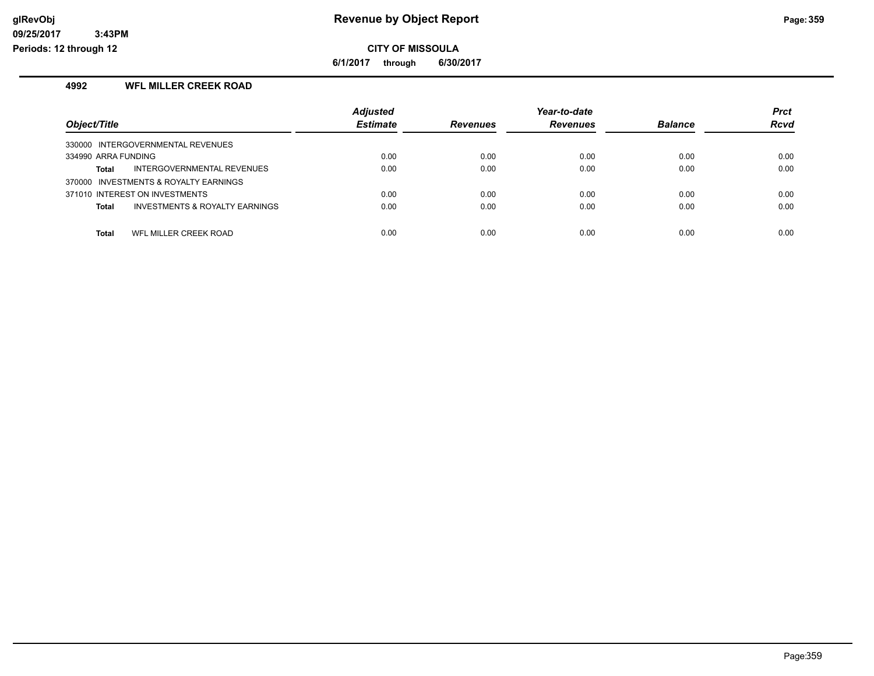**6/1/2017 through 6/30/2017**

#### **4992 WFL MILLER CREEK ROAD**

| Object/Title                                   | <b>Adjusted</b><br><b>Estimate</b> | <b>Revenues</b> | Year-to-date<br><b>Revenues</b> | <b>Balance</b> | <b>Prct</b><br><b>Rcvd</b> |
|------------------------------------------------|------------------------------------|-----------------|---------------------------------|----------------|----------------------------|
| 330000 INTERGOVERNMENTAL REVENUES              |                                    |                 |                                 |                |                            |
| 334990 ARRA FUNDING                            | 0.00                               | 0.00            | 0.00                            | 0.00           | 0.00                       |
| INTERGOVERNMENTAL REVENUES<br>Total            | 0.00                               | 0.00            | 0.00                            | 0.00           | 0.00                       |
| 370000 INVESTMENTS & ROYALTY EARNINGS          |                                    |                 |                                 |                |                            |
| 371010 INTEREST ON INVESTMENTS                 | 0.00                               | 0.00            | 0.00                            | 0.00           | 0.00                       |
| INVESTMENTS & ROYALTY EARNINGS<br><b>Total</b> | 0.00                               | 0.00            | 0.00                            | 0.00           | 0.00                       |
| WFL MILLER CREEK ROAD<br><b>Total</b>          | 0.00                               | 0.00            | 0.00                            | 0.00           | 0.00                       |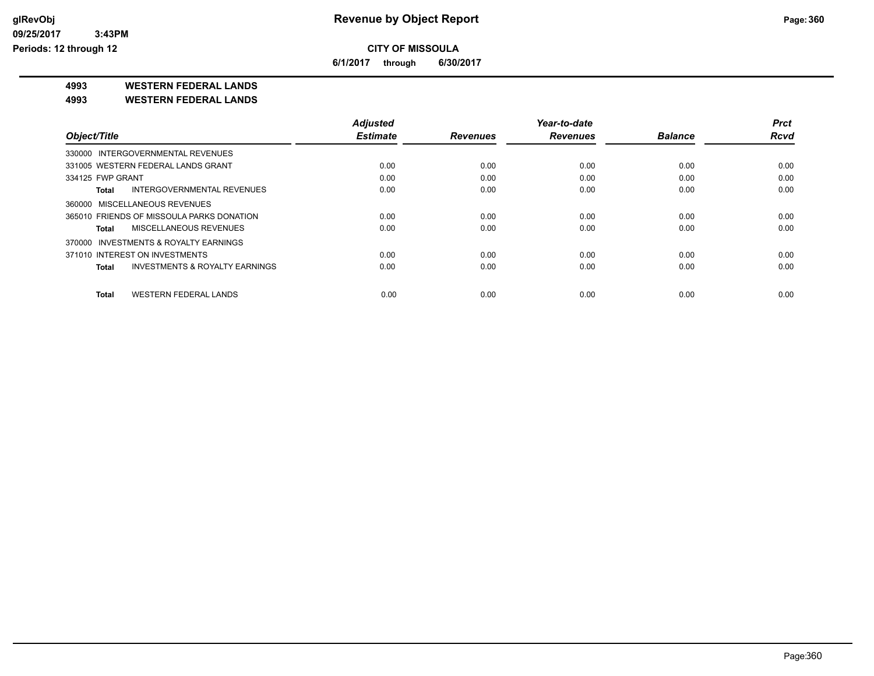**6/1/2017 through 6/30/2017**

**4993 WESTERN FEDERAL LANDS**

**4993 WESTERN FEDERAL LANDS**

|                                                           | <b>Adjusted</b> |                 | Year-to-date    |                | <b>Prct</b> |
|-----------------------------------------------------------|-----------------|-----------------|-----------------|----------------|-------------|
| Object/Title                                              | <b>Estimate</b> | <b>Revenues</b> | <b>Revenues</b> | <b>Balance</b> | <b>Rcvd</b> |
| 330000 INTERGOVERNMENTAL REVENUES                         |                 |                 |                 |                |             |
| 331005 WESTERN FEDERAL LANDS GRANT                        | 0.00            | 0.00            | 0.00            | 0.00           | 0.00        |
| 334125 FWP GRANT                                          | 0.00            | 0.00            | 0.00            | 0.00           | 0.00        |
| INTERGOVERNMENTAL REVENUES<br>Total                       | 0.00            | 0.00            | 0.00            | 0.00           | 0.00        |
| 360000 MISCELLANEOUS REVENUES                             |                 |                 |                 |                |             |
| 365010 FRIENDS OF MISSOULA PARKS DONATION                 | 0.00            | 0.00            | 0.00            | 0.00           | 0.00        |
| MISCELLANEOUS REVENUES<br>Total                           | 0.00            | 0.00            | 0.00            | 0.00           | 0.00        |
| 370000 INVESTMENTS & ROYALTY EARNINGS                     |                 |                 |                 |                |             |
| 371010 INTEREST ON INVESTMENTS                            | 0.00            | 0.00            | 0.00            | 0.00           | 0.00        |
| <b>INVESTMENTS &amp; ROYALTY EARNINGS</b><br><b>Total</b> | 0.00            | 0.00            | 0.00            | 0.00           | 0.00        |
| <b>WESTERN FEDERAL LANDS</b><br><b>Total</b>              | 0.00            | 0.00            | 0.00            | 0.00           | 0.00        |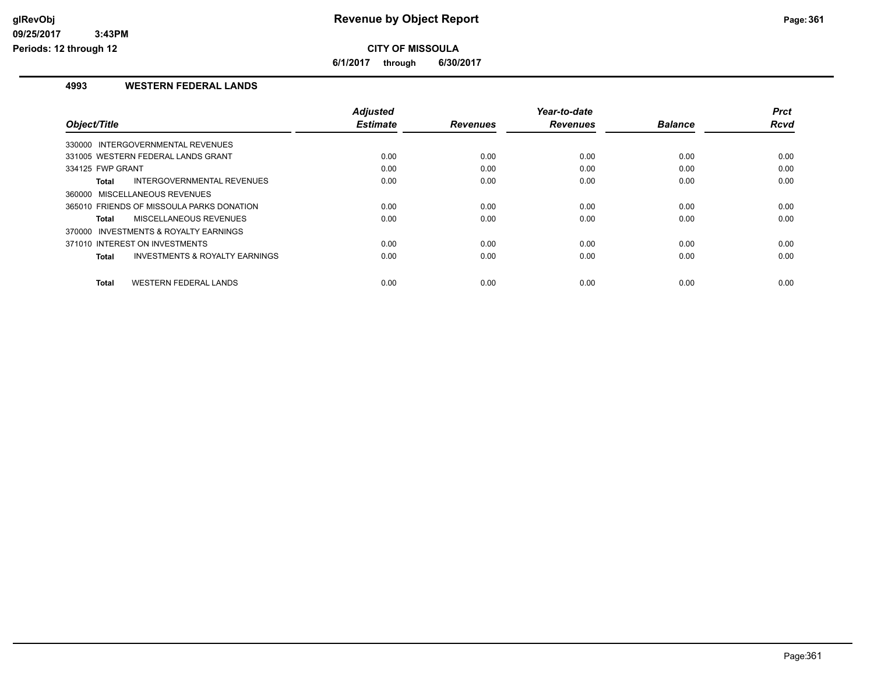**6/1/2017 through 6/30/2017**

#### **4993 WESTERN FEDERAL LANDS**

|                                              | <b>Adjusted</b> |                 | Year-to-date    |                | <b>Prct</b> |
|----------------------------------------------|-----------------|-----------------|-----------------|----------------|-------------|
| Object/Title                                 | <b>Estimate</b> | <b>Revenues</b> | <b>Revenues</b> | <b>Balance</b> | <b>Rcvd</b> |
| 330000 INTERGOVERNMENTAL REVENUES            |                 |                 |                 |                |             |
| 331005 WESTERN FEDERAL LANDS GRANT           | 0.00            | 0.00            | 0.00            | 0.00           | 0.00        |
| 334125 FWP GRANT                             | 0.00            | 0.00            | 0.00            | 0.00           | 0.00        |
| INTERGOVERNMENTAL REVENUES<br>Total          | 0.00            | 0.00            | 0.00            | 0.00           | 0.00        |
| 360000 MISCELLANEOUS REVENUES                |                 |                 |                 |                |             |
| 365010 FRIENDS OF MISSOULA PARKS DONATION    | 0.00            | 0.00            | 0.00            | 0.00           | 0.00        |
| <b>MISCELLANEOUS REVENUES</b><br>Total       | 0.00            | 0.00            | 0.00            | 0.00           | 0.00        |
| 370000 INVESTMENTS & ROYALTY EARNINGS        |                 |                 |                 |                |             |
| 371010 INTEREST ON INVESTMENTS               | 0.00            | 0.00            | 0.00            | 0.00           | 0.00        |
| INVESTMENTS & ROYALTY EARNINGS<br>Total      | 0.00            | 0.00            | 0.00            | 0.00           | 0.00        |
|                                              |                 |                 |                 |                |             |
| <b>WESTERN FEDERAL LANDS</b><br><b>Total</b> | 0.00            | 0.00            | 0.00            | 0.00           | 0.00        |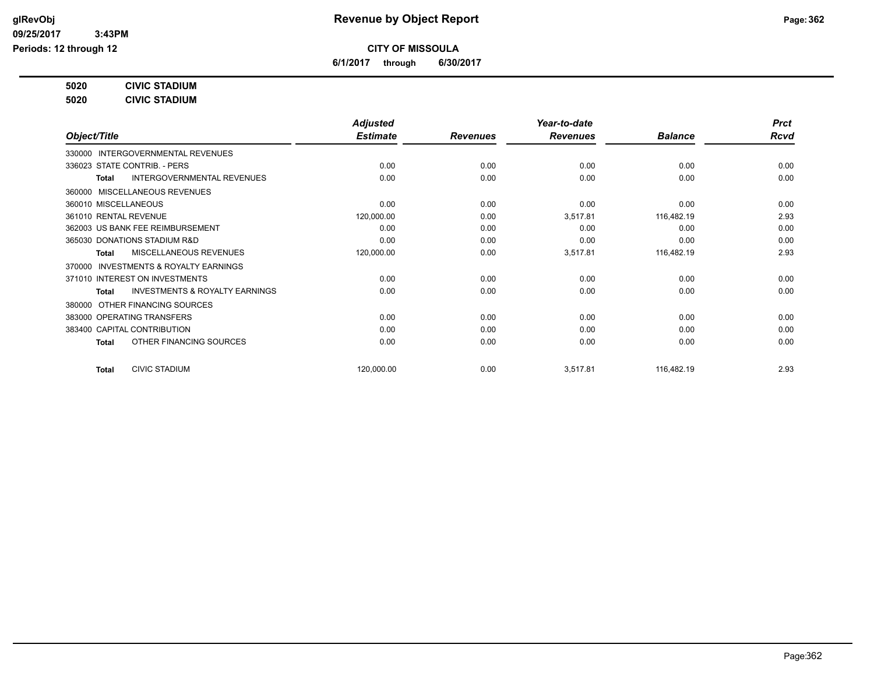**6/1/2017 through 6/30/2017**

#### **5020 CIVIC STADIUM**

**5020 CIVIC STADIUM**

| <b>Adjusted</b>                                                                                                                                                                                                                                                                                                                                                                                                                                                                                                                                           |                 | Year-to-date    |                | <b>Prct</b> |
|-----------------------------------------------------------------------------------------------------------------------------------------------------------------------------------------------------------------------------------------------------------------------------------------------------------------------------------------------------------------------------------------------------------------------------------------------------------------------------------------------------------------------------------------------------------|-----------------|-----------------|----------------|-------------|
| <b>Estimate</b>                                                                                                                                                                                                                                                                                                                                                                                                                                                                                                                                           | <b>Revenues</b> | <b>Revenues</b> | <b>Balance</b> | <b>Rcvd</b> |
|                                                                                                                                                                                                                                                                                                                                                                                                                                                                                                                                                           |                 |                 |                |             |
| 0.00                                                                                                                                                                                                                                                                                                                                                                                                                                                                                                                                                      | 0.00            | 0.00            | 0.00           | 0.00        |
| 0.00                                                                                                                                                                                                                                                                                                                                                                                                                                                                                                                                                      | 0.00            | 0.00            | 0.00           | 0.00        |
|                                                                                                                                                                                                                                                                                                                                                                                                                                                                                                                                                           |                 |                 |                |             |
| 0.00                                                                                                                                                                                                                                                                                                                                                                                                                                                                                                                                                      | 0.00            | 0.00            | 0.00           | 0.00        |
| 120,000.00                                                                                                                                                                                                                                                                                                                                                                                                                                                                                                                                                | 0.00            | 3,517.81        | 116,482.19     | 2.93        |
| 0.00                                                                                                                                                                                                                                                                                                                                                                                                                                                                                                                                                      | 0.00            | 0.00            | 0.00           | 0.00        |
| 0.00                                                                                                                                                                                                                                                                                                                                                                                                                                                                                                                                                      | 0.00            | 0.00            | 0.00           | 0.00        |
| 120,000.00                                                                                                                                                                                                                                                                                                                                                                                                                                                                                                                                                | 0.00            | 3,517.81        | 116,482.19     | 2.93        |
|                                                                                                                                                                                                                                                                                                                                                                                                                                                                                                                                                           |                 |                 |                |             |
| 0.00                                                                                                                                                                                                                                                                                                                                                                                                                                                                                                                                                      | 0.00            | 0.00            | 0.00           | 0.00        |
| 0.00                                                                                                                                                                                                                                                                                                                                                                                                                                                                                                                                                      | 0.00            | 0.00            | 0.00           | 0.00        |
|                                                                                                                                                                                                                                                                                                                                                                                                                                                                                                                                                           |                 |                 |                |             |
| 0.00                                                                                                                                                                                                                                                                                                                                                                                                                                                                                                                                                      | 0.00            | 0.00            | 0.00           | 0.00        |
| 0.00                                                                                                                                                                                                                                                                                                                                                                                                                                                                                                                                                      | 0.00            | 0.00            | 0.00           | 0.00        |
| 0.00                                                                                                                                                                                                                                                                                                                                                                                                                                                                                                                                                      | 0.00            | 0.00            | 0.00           | 0.00        |
|                                                                                                                                                                                                                                                                                                                                                                                                                                                                                                                                                           |                 |                 |                | 2.93        |
| 330000 INTERGOVERNMENTAL REVENUES<br>336023 STATE CONTRIB. - PERS<br><b>INTERGOVERNMENTAL REVENUES</b><br>360000 MISCELLANEOUS REVENUES<br>360010 MISCELLANEOUS<br>361010 RENTAL REVENUE<br>362003 US BANK FEE REIMBURSEMENT<br>365030 DONATIONS STADIUM R&D<br>MISCELLANEOUS REVENUES<br>370000 INVESTMENTS & ROYALTY EARNINGS<br>371010 INTEREST ON INVESTMENTS<br><b>INVESTMENTS &amp; ROYALTY EARNINGS</b><br>OTHER FINANCING SOURCES<br>383000 OPERATING TRANSFERS<br>383400 CAPITAL CONTRIBUTION<br>OTHER FINANCING SOURCES<br><b>CIVIC STADIUM</b> | 120,000.00      | 0.00            | 3,517.81       | 116,482.19  |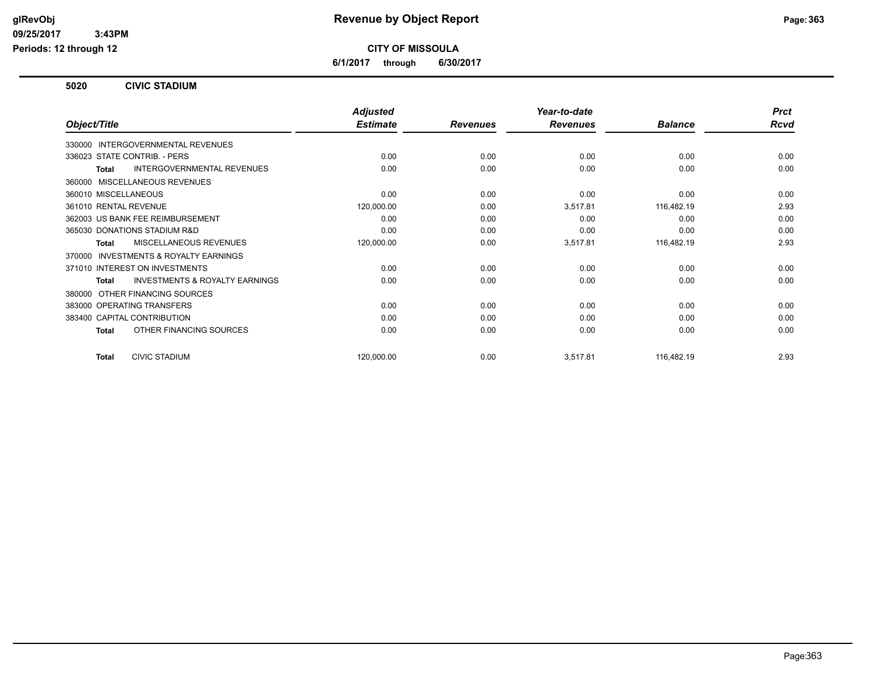**Periods: 12 through 12**

**CITY OF MISSOULA**

**6/1/2017 through 6/30/2017**

#### **5020 CIVIC STADIUM**

|                                                           | <b>Adjusted</b> |                 | Year-to-date    |                | <b>Prct</b> |
|-----------------------------------------------------------|-----------------|-----------------|-----------------|----------------|-------------|
| Object/Title                                              | <b>Estimate</b> | <b>Revenues</b> | <b>Revenues</b> | <b>Balance</b> | <b>Rcvd</b> |
| 330000 INTERGOVERNMENTAL REVENUES                         |                 |                 |                 |                |             |
| 336023 STATE CONTRIB. - PERS                              | 0.00            | 0.00            | 0.00            | 0.00           | 0.00        |
| <b>INTERGOVERNMENTAL REVENUES</b><br><b>Total</b>         | 0.00            | 0.00            | 0.00            | 0.00           | 0.00        |
| 360000 MISCELLANEOUS REVENUES                             |                 |                 |                 |                |             |
| 360010 MISCELLANEOUS                                      | 0.00            | 0.00            | 0.00            | 0.00           | 0.00        |
| 361010 RENTAL REVENUE                                     | 120,000.00      | 0.00            | 3,517.81        | 116,482.19     | 2.93        |
| 362003 US BANK FEE REIMBURSEMENT                          | 0.00            | 0.00            | 0.00            | 0.00           | 0.00        |
| 365030 DONATIONS STADIUM R&D                              | 0.00            | 0.00            | 0.00            | 0.00           | 0.00        |
| <b>MISCELLANEOUS REVENUES</b><br>Total                    | 120,000.00      | 0.00            | 3,517.81        | 116,482.19     | 2.93        |
| <b>INVESTMENTS &amp; ROYALTY EARNINGS</b><br>370000       |                 |                 |                 |                |             |
| 371010 INTEREST ON INVESTMENTS                            | 0.00            | 0.00            | 0.00            | 0.00           | 0.00        |
| <b>INVESTMENTS &amp; ROYALTY EARNINGS</b><br><b>Total</b> | 0.00            | 0.00            | 0.00            | 0.00           | 0.00        |
| OTHER FINANCING SOURCES<br>380000                         |                 |                 |                 |                |             |
| 383000 OPERATING TRANSFERS                                | 0.00            | 0.00            | 0.00            | 0.00           | 0.00        |
| 383400 CAPITAL CONTRIBUTION                               | 0.00            | 0.00            | 0.00            | 0.00           | 0.00        |
| OTHER FINANCING SOURCES<br><b>Total</b>                   | 0.00            | 0.00            | 0.00            | 0.00           | 0.00        |
| <b>CIVIC STADIUM</b><br><b>Total</b>                      | 120,000.00      | 0.00            | 3,517.81        | 116,482.19     | 2.93        |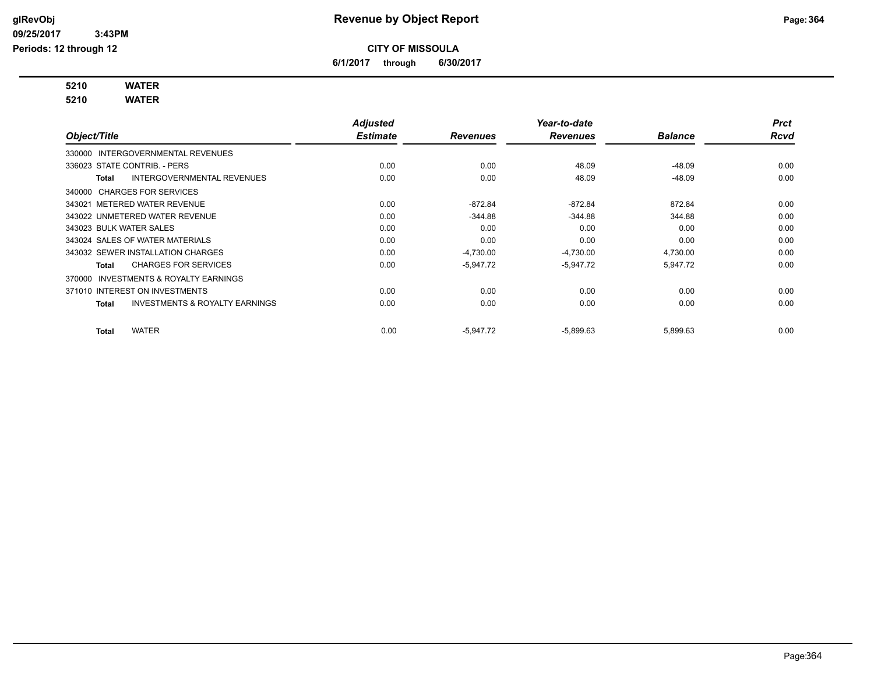**6/1/2017 through 6/30/2017**

## **5210 WATER**

**5210 WATER**

|                                                           | <b>Adjusted</b> |                 | Year-to-date    |                | <b>Prct</b> |
|-----------------------------------------------------------|-----------------|-----------------|-----------------|----------------|-------------|
| Object/Title                                              | <b>Estimate</b> | <b>Revenues</b> | <b>Revenues</b> | <b>Balance</b> | <b>Rcvd</b> |
| INTERGOVERNMENTAL REVENUES<br>330000                      |                 |                 |                 |                |             |
| 336023 STATE CONTRIB. - PERS                              | 0.00            | 0.00            | 48.09           | $-48.09$       | 0.00        |
| <b>INTERGOVERNMENTAL REVENUES</b><br><b>Total</b>         | 0.00            | 0.00            | 48.09           | $-48.09$       | 0.00        |
| 340000 CHARGES FOR SERVICES                               |                 |                 |                 |                |             |
| 343021 METERED WATER REVENUE                              | 0.00            | $-872.84$       | $-872.84$       | 872.84         | 0.00        |
| 343022 UNMETERED WATER REVENUE                            | 0.00            | $-344.88$       | $-344.88$       | 344.88         | 0.00        |
| 343023 BULK WATER SALES                                   | 0.00            | 0.00            | 0.00            | 0.00           | 0.00        |
| 343024 SALES OF WATER MATERIALS                           | 0.00            | 0.00            | 0.00            | 0.00           | 0.00        |
| 343032 SEWER INSTALLATION CHARGES                         | 0.00            | $-4.730.00$     | $-4,730.00$     | 4.730.00       | 0.00        |
| <b>CHARGES FOR SERVICES</b><br><b>Total</b>               | 0.00            | $-5,947.72$     | $-5,947.72$     | 5,947.72       | 0.00        |
| <b>INVESTMENTS &amp; ROYALTY EARNINGS</b><br>370000       |                 |                 |                 |                |             |
| 371010 INTEREST ON INVESTMENTS                            | 0.00            | 0.00            | 0.00            | 0.00           | 0.00        |
| <b>INVESTMENTS &amp; ROYALTY EARNINGS</b><br><b>Total</b> | 0.00            | 0.00            | 0.00            | 0.00           | 0.00        |
| <b>WATER</b><br><b>Total</b>                              | 0.00            | $-5.947.72$     | $-5,899.63$     | 5,899.63       | 0.00        |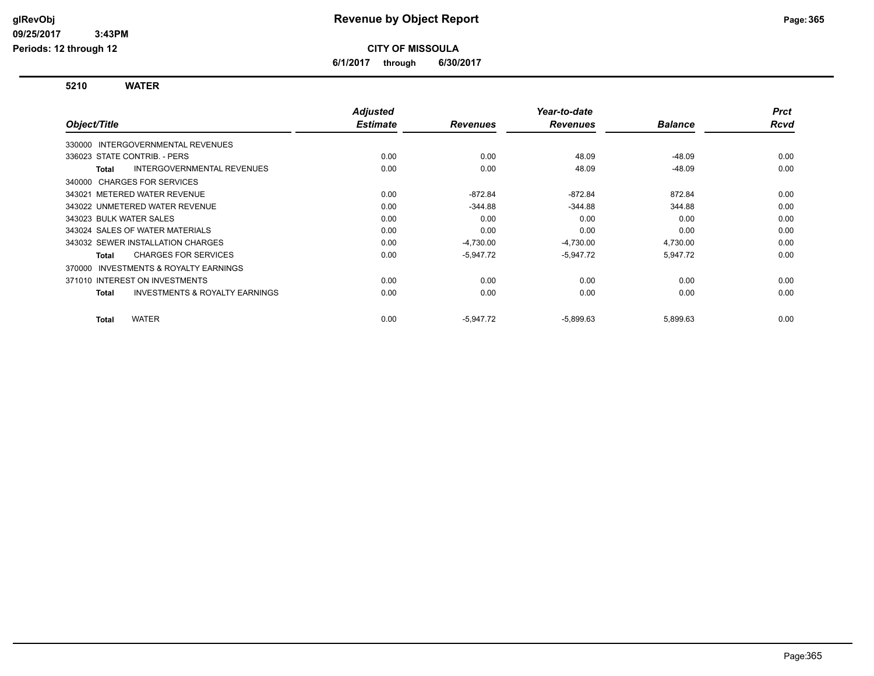**6/1/2017 through 6/30/2017**

**5210 WATER**

|                                                     | <b>Adjusted</b> |                 | Year-to-date    |                | <b>Prct</b> |
|-----------------------------------------------------|-----------------|-----------------|-----------------|----------------|-------------|
| Object/Title                                        | <b>Estimate</b> | <b>Revenues</b> | <b>Revenues</b> | <b>Balance</b> | <b>Rcvd</b> |
| 330000 INTERGOVERNMENTAL REVENUES                   |                 |                 |                 |                |             |
| 336023 STATE CONTRIB. - PERS                        | 0.00            | 0.00            | 48.09           | $-48.09$       | 0.00        |
| INTERGOVERNMENTAL REVENUES<br>Total                 | 0.00            | 0.00            | 48.09           | $-48.09$       | 0.00        |
| 340000 CHARGES FOR SERVICES                         |                 |                 |                 |                |             |
| 343021 METERED WATER REVENUE                        | 0.00            | $-872.84$       | $-872.84$       | 872.84         | 0.00        |
| 343022 UNMETERED WATER REVENUE                      | 0.00            | $-344.88$       | $-344.88$       | 344.88         | 0.00        |
| 343023 BULK WATER SALES                             | 0.00            | 0.00            | 0.00            | 0.00           | 0.00        |
| 343024 SALES OF WATER MATERIALS                     | 0.00            | 0.00            | 0.00            | 0.00           | 0.00        |
| 343032 SEWER INSTALLATION CHARGES                   | 0.00            | $-4,730.00$     | $-4,730.00$     | 4,730.00       | 0.00        |
| <b>CHARGES FOR SERVICES</b><br>Total                | 0.00            | $-5,947.72$     | $-5,947.72$     | 5,947.72       | 0.00        |
| <b>INVESTMENTS &amp; ROYALTY EARNINGS</b><br>370000 |                 |                 |                 |                |             |
| 371010 INTEREST ON INVESTMENTS                      | 0.00            | 0.00            | 0.00            | 0.00           | 0.00        |
| <b>INVESTMENTS &amp; ROYALTY EARNINGS</b><br>Total  | 0.00            | 0.00            | 0.00            | 0.00           | 0.00        |
| <b>WATER</b><br>Total                               | 0.00            | $-5,947.72$     | $-5,899.63$     | 5,899.63       | 0.00        |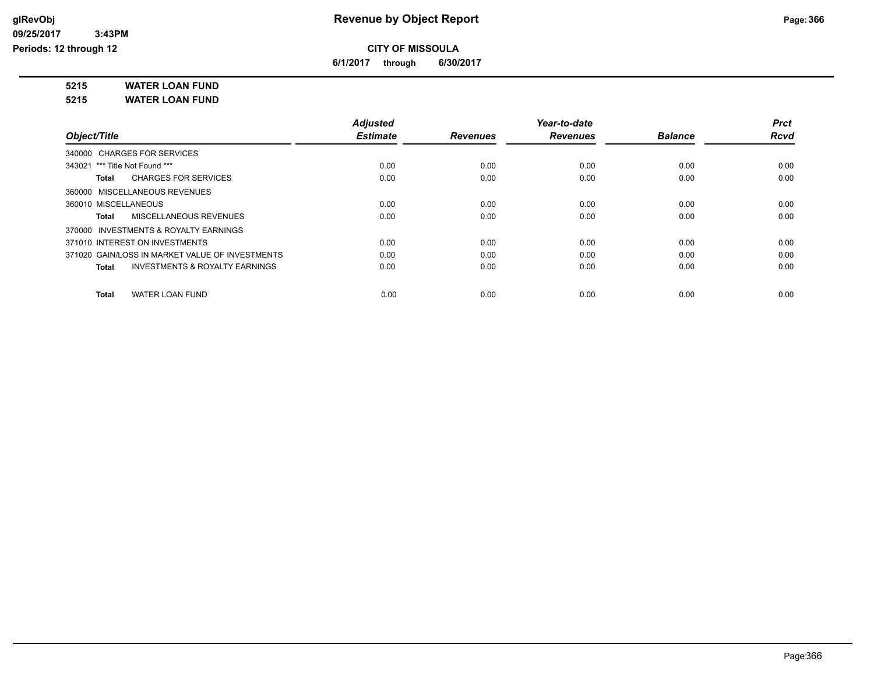**6/1/2017 through 6/30/2017**

**5215 WATER LOAN FUND**

**5215 WATER LOAN FUND**

|                                                 | <b>Adjusted</b> |                 | Year-to-date    |                | <b>Prct</b> |
|-------------------------------------------------|-----------------|-----------------|-----------------|----------------|-------------|
| Object/Title                                    | <b>Estimate</b> | <b>Revenues</b> | <b>Revenues</b> | <b>Balance</b> | <b>Rcvd</b> |
| 340000 CHARGES FOR SERVICES                     |                 |                 |                 |                |             |
| 343021 *** Title Not Found ***                  | 0.00            | 0.00            | 0.00            | 0.00           | 0.00        |
| <b>CHARGES FOR SERVICES</b><br>Total            | 0.00            | 0.00            | 0.00            | 0.00           | 0.00        |
| 360000 MISCELLANEOUS REVENUES                   |                 |                 |                 |                |             |
| 360010 MISCELLANEOUS                            | 0.00            | 0.00            | 0.00            | 0.00           | 0.00        |
| <b>MISCELLANEOUS REVENUES</b><br>Total          | 0.00            | 0.00            | 0.00            | 0.00           | 0.00        |
| 370000 INVESTMENTS & ROYALTY EARNINGS           |                 |                 |                 |                |             |
| 371010 INTEREST ON INVESTMENTS                  | 0.00            | 0.00            | 0.00            | 0.00           | 0.00        |
| 371020 GAIN/LOSS IN MARKET VALUE OF INVESTMENTS | 0.00            | 0.00            | 0.00            | 0.00           | 0.00        |
| INVESTMENTS & ROYALTY EARNINGS<br>Total         | 0.00            | 0.00            | 0.00            | 0.00           | 0.00        |
| <b>WATER LOAN FUND</b><br>Total                 | 0.00            | 0.00            | 0.00            | 0.00           | 0.00        |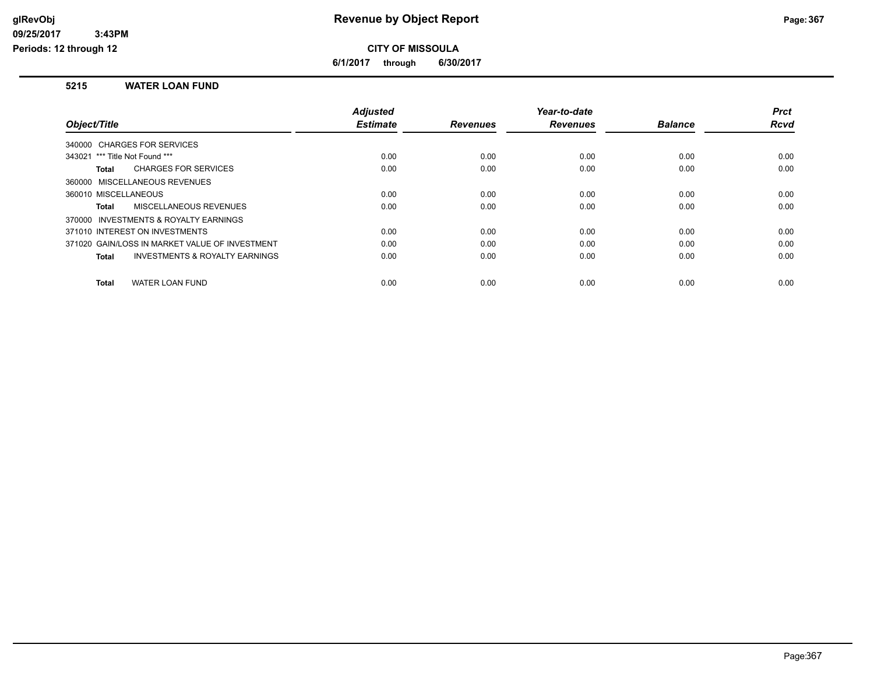**6/1/2017 through 6/30/2017**

#### **5215 WATER LOAN FUND**

| Object/Title                                   | <b>Adjusted</b><br><b>Estimate</b> | <b>Revenues</b> | Year-to-date<br><b>Revenues</b> | <b>Balance</b> | <b>Prct</b><br><b>Rcvd</b> |
|------------------------------------------------|------------------------------------|-----------------|---------------------------------|----------------|----------------------------|
|                                                |                                    |                 |                                 |                |                            |
| 340000 CHARGES FOR SERVICES                    |                                    |                 |                                 |                |                            |
| 343021 *** Title Not Found ***                 | 0.00                               | 0.00            | 0.00                            | 0.00           | 0.00                       |
| <b>CHARGES FOR SERVICES</b><br>Total           | 0.00                               | 0.00            | 0.00                            | 0.00           | 0.00                       |
| 360000 MISCELLANEOUS REVENUES                  |                                    |                 |                                 |                |                            |
| 360010 MISCELLANEOUS                           | 0.00                               | 0.00            | 0.00                            | 0.00           | 0.00                       |
| MISCELLANEOUS REVENUES<br>Total                | 0.00                               | 0.00            | 0.00                            | 0.00           | 0.00                       |
| 370000 INVESTMENTS & ROYALTY EARNINGS          |                                    |                 |                                 |                |                            |
| 371010 INTEREST ON INVESTMENTS                 | 0.00                               | 0.00            | 0.00                            | 0.00           | 0.00                       |
| 371020 GAIN/LOSS IN MARKET VALUE OF INVESTMENT | 0.00                               | 0.00            | 0.00                            | 0.00           | 0.00                       |
| INVESTMENTS & ROYALTY EARNINGS<br><b>Total</b> | 0.00                               | 0.00            | 0.00                            | 0.00           | 0.00                       |
|                                                |                                    |                 |                                 |                |                            |
| <b>WATER LOAN FUND</b><br><b>Total</b>         | 0.00                               | 0.00            | 0.00                            | 0.00           | 0.00                       |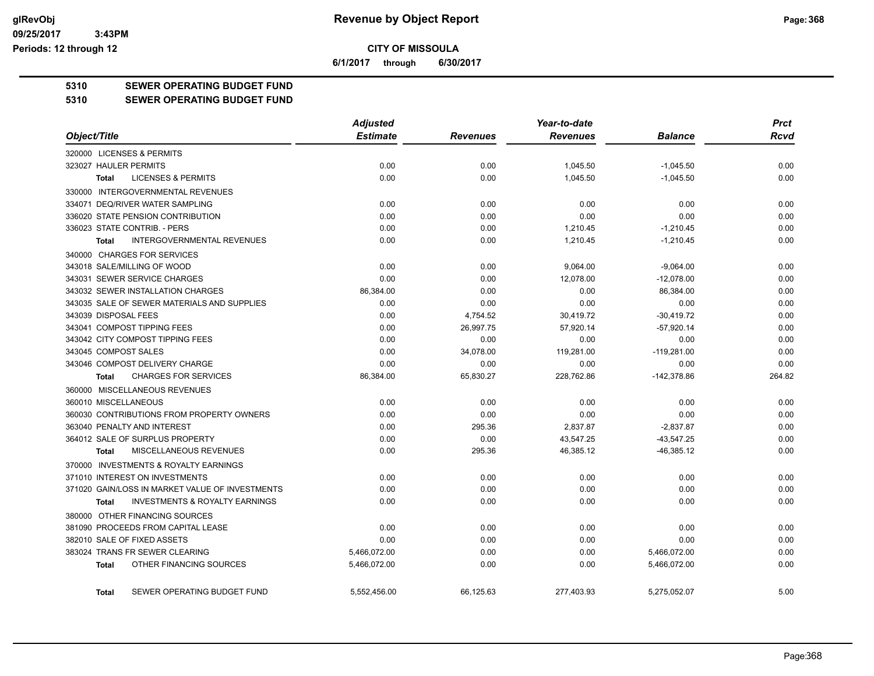**6/1/2017 through 6/30/2017**

## **5310 SEWER OPERATING BUDGET FUND**

#### **5310 SEWER OPERATING BUDGET FUND**

|                                                           | <b>Adjusted</b> |                 | Year-to-date    | <b>Prct</b>    |             |
|-----------------------------------------------------------|-----------------|-----------------|-----------------|----------------|-------------|
| Object/Title                                              | <b>Estimate</b> | <b>Revenues</b> | <b>Revenues</b> | <b>Balance</b> | <b>Rcvd</b> |
| 320000 LICENSES & PERMITS                                 |                 |                 |                 |                |             |
| 323027 HAULER PERMITS                                     | 0.00            | 0.00            | 1,045.50        | $-1,045.50$    | 0.00        |
| <b>LICENSES &amp; PERMITS</b><br><b>Total</b>             | 0.00            | 0.00            | 1,045.50        | $-1,045.50$    | 0.00        |
| 330000 INTERGOVERNMENTAL REVENUES                         |                 |                 |                 |                |             |
| 334071 DEQ/RIVER WATER SAMPLING                           | 0.00            | 0.00            | 0.00            | 0.00           | 0.00        |
| 336020 STATE PENSION CONTRIBUTION                         | 0.00            | 0.00            | 0.00            | 0.00           | 0.00        |
| 336023 STATE CONTRIB. - PERS                              | 0.00            | 0.00            | 1,210.45        | $-1,210.45$    | 0.00        |
| <b>INTERGOVERNMENTAL REVENUES</b><br><b>Total</b>         | 0.00            | 0.00            | 1,210.45        | $-1,210.45$    | 0.00        |
| 340000 CHARGES FOR SERVICES                               |                 |                 |                 |                |             |
| 343018 SALE/MILLING OF WOOD                               | 0.00            | 0.00            | 9,064.00        | $-9,064.00$    | 0.00        |
| 343031 SEWER SERVICE CHARGES                              | 0.00            | 0.00            | 12,078.00       | $-12,078.00$   | 0.00        |
| 343032 SEWER INSTALLATION CHARGES                         | 86,384.00       | 0.00            | 0.00            | 86,384.00      | 0.00        |
| 343035 SALE OF SEWER MATERIALS AND SUPPLIES               | 0.00            | 0.00            | 0.00            | 0.00           | 0.00        |
| 343039 DISPOSAL FEES                                      | 0.00            | 4,754.52        | 30,419.72       | $-30,419.72$   | 0.00        |
| 343041 COMPOST TIPPING FEES                               | 0.00            | 26,997.75       | 57,920.14       | $-57,920.14$   | 0.00        |
| 343042 CITY COMPOST TIPPING FEES                          | 0.00            | 0.00            | 0.00            | 0.00           | 0.00        |
| 343045 COMPOST SALES                                      | 0.00            | 34,078.00       | 119,281.00      | $-119,281.00$  | 0.00        |
| 343046 COMPOST DELIVERY CHARGE                            | 0.00            | 0.00            | 0.00            | 0.00           | 0.00        |
| <b>CHARGES FOR SERVICES</b><br><b>Total</b>               | 86,384.00       | 65,830.27       | 228,762.86      | $-142,378.86$  | 264.82      |
| 360000 MISCELLANEOUS REVENUES                             |                 |                 |                 |                |             |
| 360010 MISCELLANEOUS                                      | 0.00            | 0.00            | 0.00            | 0.00           | 0.00        |
| 360030 CONTRIBUTIONS FROM PROPERTY OWNERS                 | 0.00            | 0.00            | 0.00            | 0.00           | 0.00        |
| 363040 PENALTY AND INTEREST                               | 0.00            | 295.36          | 2,837.87        | $-2,837.87$    | 0.00        |
| 364012 SALE OF SURPLUS PROPERTY                           | 0.00            | 0.00            | 43,547.25       | $-43,547.25$   | 0.00        |
| <b>MISCELLANEOUS REVENUES</b><br>Total                    | 0.00            | 295.36          | 46,385.12       | $-46,385.12$   | 0.00        |
| 370000 INVESTMENTS & ROYALTY EARNINGS                     |                 |                 |                 |                |             |
| 371010 INTEREST ON INVESTMENTS                            | 0.00            | 0.00            | 0.00            | 0.00           | 0.00        |
| 371020 GAIN/LOSS IN MARKET VALUE OF INVESTMENTS           | 0.00            | 0.00            | 0.00            | 0.00           | 0.00        |
| <b>INVESTMENTS &amp; ROYALTY EARNINGS</b><br><b>Total</b> | 0.00            | 0.00            | 0.00            | 0.00           | 0.00        |
| 380000 OTHER FINANCING SOURCES                            |                 |                 |                 |                |             |
| 381090 PROCEEDS FROM CAPITAL LEASE                        | 0.00            | 0.00            | 0.00            | 0.00           | 0.00        |
| 382010 SALE OF FIXED ASSETS                               | 0.00            | 0.00            | 0.00            | 0.00           | 0.00        |
| 383024 TRANS FR SEWER CLEARING                            | 5,466,072.00    | 0.00            | 0.00            | 5,466,072.00   | 0.00        |
| OTHER FINANCING SOURCES<br><b>Total</b>                   | 5,466,072.00    | 0.00            | 0.00            | 5,466,072.00   | 0.00        |
| SEWER OPERATING BUDGET FUND<br><b>Total</b>               | 5,552,456.00    | 66,125.63       | 277,403.93      | 5,275,052.07   | 5.00        |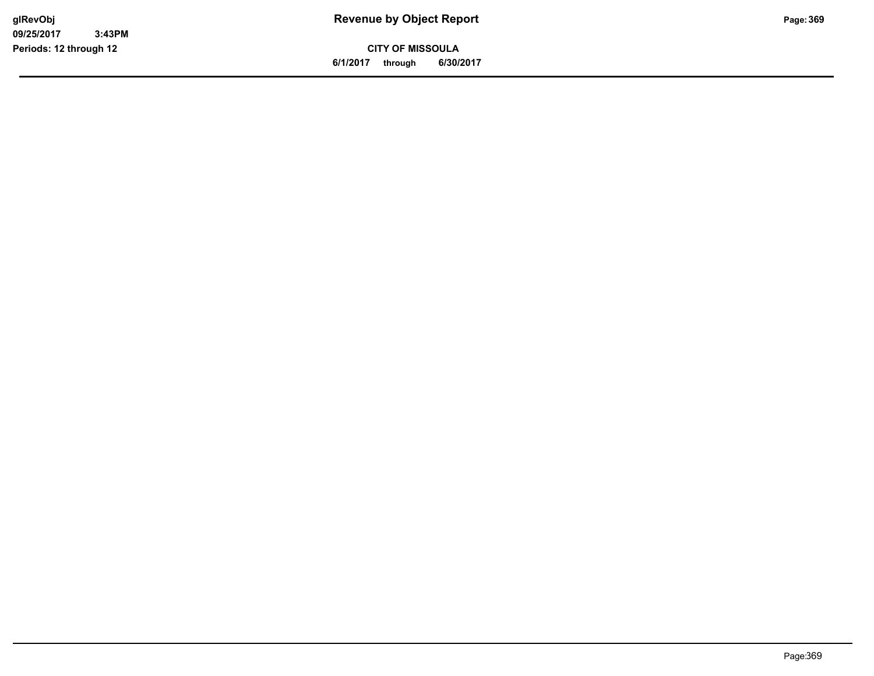**CITY OF MISSOULA 6/1/2017 through 6/30/2017**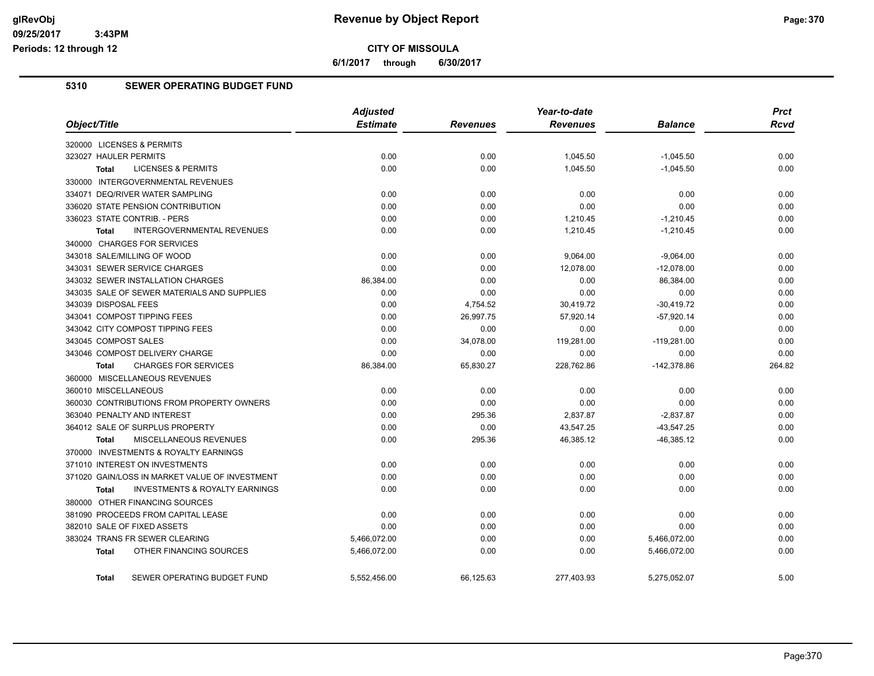**6/1/2017 through 6/30/2017**

#### **5310 SEWER OPERATING BUDGET FUND**

|                                                           | <b>Adjusted</b> |                 | Year-to-date    |                |             |
|-----------------------------------------------------------|-----------------|-----------------|-----------------|----------------|-------------|
| Object/Title                                              | <b>Estimate</b> | <b>Revenues</b> | <b>Revenues</b> | <b>Balance</b> | <b>Rcvd</b> |
| 320000 LICENSES & PERMITS                                 |                 |                 |                 |                |             |
| 323027 HAULER PERMITS                                     | 0.00            | 0.00            | 1,045.50        | $-1,045.50$    | 0.00        |
| <b>LICENSES &amp; PERMITS</b><br>Total                    | 0.00            | 0.00            | 1,045.50        | $-1,045.50$    | 0.00        |
| 330000 INTERGOVERNMENTAL REVENUES                         |                 |                 |                 |                |             |
| 334071 DEQ/RIVER WATER SAMPLING                           | 0.00            | 0.00            | 0.00            | 0.00           | 0.00        |
| 336020 STATE PENSION CONTRIBUTION                         | 0.00            | 0.00            | 0.00            | 0.00           | 0.00        |
| 336023 STATE CONTRIB. - PERS                              | 0.00            | 0.00            | 1,210.45        | $-1,210.45$    | 0.00        |
| INTERGOVERNMENTAL REVENUES<br>Total                       | 0.00            | 0.00            | 1,210.45        | $-1,210.45$    | 0.00        |
| 340000 CHARGES FOR SERVICES                               |                 |                 |                 |                |             |
| 343018 SALE/MILLING OF WOOD                               | 0.00            | 0.00            | 9,064.00        | $-9,064.00$    | 0.00        |
| 343031 SEWER SERVICE CHARGES                              | 0.00            | 0.00            | 12,078.00       | $-12,078.00$   | 0.00        |
| 343032 SEWER INSTALLATION CHARGES                         | 86,384.00       | 0.00            | 0.00            | 86,384.00      | 0.00        |
| 343035 SALE OF SEWER MATERIALS AND SUPPLIES               | 0.00            | 0.00            | 0.00            | 0.00           | 0.00        |
| 343039 DISPOSAL FEES                                      | 0.00            | 4,754.52        | 30,419.72       | $-30,419.72$   | 0.00        |
| 343041 COMPOST TIPPING FEES                               | 0.00            | 26,997.75       | 57,920.14       | $-57,920.14$   | 0.00        |
| 343042 CITY COMPOST TIPPING FEES                          | 0.00            | 0.00            | 0.00            | 0.00           | 0.00        |
| 343045 COMPOST SALES                                      | 0.00            | 34,078.00       | 119,281.00      | $-119,281.00$  | 0.00        |
| 343046 COMPOST DELIVERY CHARGE                            | 0.00            | 0.00            | 0.00            | 0.00           | 0.00        |
| <b>CHARGES FOR SERVICES</b><br><b>Total</b>               | 86,384.00       | 65,830.27       | 228,762.86      | $-142,378.86$  | 264.82      |
| 360000 MISCELLANEOUS REVENUES                             |                 |                 |                 |                |             |
| 360010 MISCELLANEOUS                                      | 0.00            | 0.00            | 0.00            | 0.00           | 0.00        |
| 360030 CONTRIBUTIONS FROM PROPERTY OWNERS                 | 0.00            | 0.00            | 0.00            | 0.00           | 0.00        |
| 363040 PENALTY AND INTEREST                               | 0.00            | 295.36          | 2,837.87        | $-2,837.87$    | 0.00        |
| 364012 SALE OF SURPLUS PROPERTY                           | 0.00            | 0.00            | 43,547.25       | $-43,547.25$   | 0.00        |
| MISCELLANEOUS REVENUES<br><b>Total</b>                    | 0.00            | 295.36          | 46,385.12       | $-46,385.12$   | 0.00        |
| 370000 INVESTMENTS & ROYALTY EARNINGS                     |                 |                 |                 |                |             |
| 371010 INTEREST ON INVESTMENTS                            | 0.00            | 0.00            | 0.00            | 0.00           | 0.00        |
| 371020 GAIN/LOSS IN MARKET VALUE OF INVESTMENT            | 0.00            | 0.00            | 0.00            | 0.00           | 0.00        |
| <b>INVESTMENTS &amp; ROYALTY EARNINGS</b><br><b>Total</b> | 0.00            | 0.00            | 0.00            | 0.00           | 0.00        |
| 380000 OTHER FINANCING SOURCES                            |                 |                 |                 |                |             |
| 381090 PROCEEDS FROM CAPITAL LEASE                        | 0.00            | 0.00            | 0.00            | 0.00           | 0.00        |
| 382010 SALE OF FIXED ASSETS                               | 0.00            | 0.00            | 0.00            | 0.00           | 0.00        |
| 383024 TRANS FR SEWER CLEARING                            | 5,466,072.00    | 0.00            | 0.00            | 5,466,072.00   | 0.00        |
| OTHER FINANCING SOURCES<br><b>Total</b>                   | 5,466,072.00    | 0.00            | 0.00            | 5,466,072.00   | 0.00        |
| SEWER OPERATING BUDGET FUND<br><b>Total</b>               | 5,552,456.00    | 66,125.63       | 277,403.93      | 5,275,052.07   | 5.00        |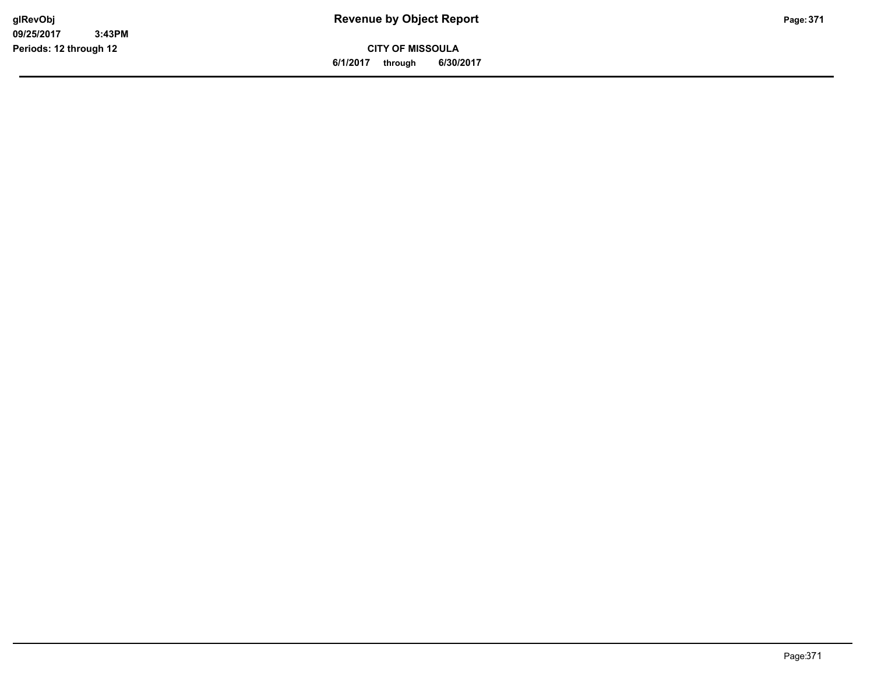**CITY OF MISSOULA 6/1/2017 through 6/30/2017**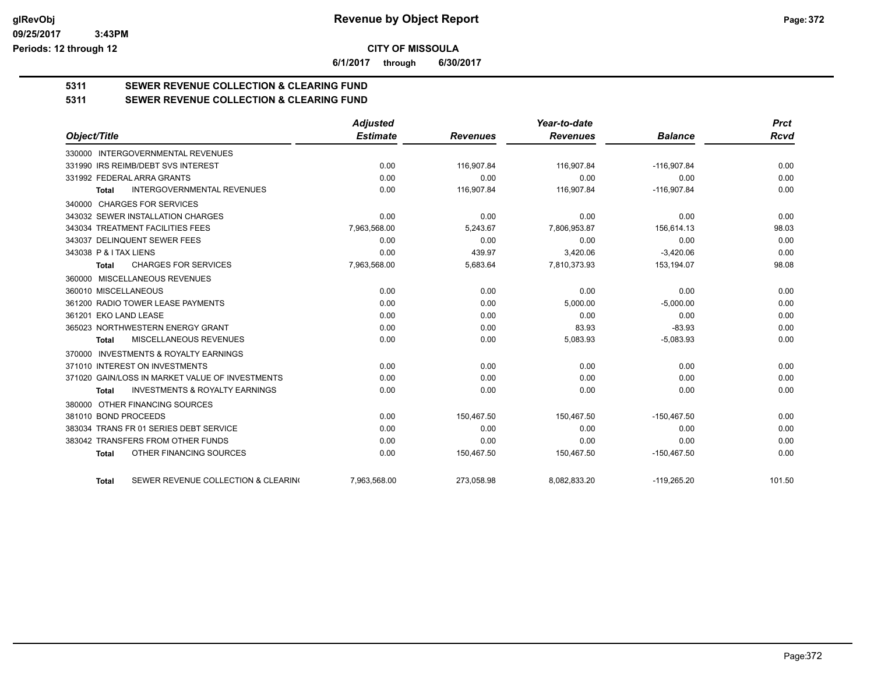**6/1/2017 through 6/30/2017**

# **5311 SEWER REVENUE COLLECTION & CLEARING FUND**

## **5311 SEWER REVENUE COLLECTION & CLEARING FUND**

|                                                     | <b>Adjusted</b> |                 | Year-to-date    |                | <b>Prct</b> |
|-----------------------------------------------------|-----------------|-----------------|-----------------|----------------|-------------|
| Object/Title                                        | <b>Estimate</b> | <b>Revenues</b> | <b>Revenues</b> | <b>Balance</b> | <b>Rcvd</b> |
| 330000 INTERGOVERNMENTAL REVENUES                   |                 |                 |                 |                |             |
| 331990 IRS REIMB/DEBT SVS INTEREST                  | 0.00            | 116.907.84      | 116.907.84      | $-116.907.84$  | 0.00        |
| 331992 FEDERAL ARRA GRANTS                          | 0.00            | 0.00            | 0.00            | 0.00           | 0.00        |
| <b>INTERGOVERNMENTAL REVENUES</b><br><b>Total</b>   | 0.00            | 116,907.84      | 116,907.84      | $-116,907.84$  | 0.00        |
| 340000 CHARGES FOR SERVICES                         |                 |                 |                 |                |             |
| 343032 SEWER INSTALLATION CHARGES                   | 0.00            | 0.00            | 0.00            | 0.00           | 0.00        |
| 343034 TREATMENT FACILITIES FEES                    | 7,963,568.00    | 5,243.67        | 7,806,953.87    | 156,614.13     | 98.03       |
| 343037 DELINQUENT SEWER FEES                        | 0.00            | 0.00            | 0.00            | 0.00           | 0.00        |
| 343038 P & I TAX LIENS                              | 0.00            | 439.97          | 3,420.06        | $-3,420.06$    | 0.00        |
| <b>CHARGES FOR SERVICES</b><br><b>Total</b>         | 7,963,568.00    | 5,683.64        | 7,810,373.93    | 153,194.07     | 98.08       |
| 360000 MISCELLANEOUS REVENUES                       |                 |                 |                 |                |             |
| 360010 MISCELLANEOUS                                | 0.00            | 0.00            | 0.00            | 0.00           | 0.00        |
| 361200 RADIO TOWER LEASE PAYMENTS                   | 0.00            | 0.00            | 5.000.00        | $-5,000.00$    | 0.00        |
| 361201 EKO LAND LEASE                               | 0.00            | 0.00            | 0.00            | 0.00           | 0.00        |
| 365023 NORTHWESTERN ENERGY GRANT                    | 0.00            | 0.00            | 83.93           | $-83.93$       | 0.00        |
| MISCELLANEOUS REVENUES<br>Total                     | 0.00            | 0.00            | 5,083.93        | $-5,083.93$    | 0.00        |
| <b>INVESTMENTS &amp; ROYALTY EARNINGS</b><br>370000 |                 |                 |                 |                |             |
| 371010 INTEREST ON INVESTMENTS                      | 0.00            | 0.00            | 0.00            | 0.00           | 0.00        |
| 371020 GAIN/LOSS IN MARKET VALUE OF INVESTMENTS     | 0.00            | 0.00            | 0.00            | 0.00           | 0.00        |
| <b>INVESTMENTS &amp; ROYALTY EARNINGS</b><br>Total  | 0.00            | 0.00            | 0.00            | 0.00           | 0.00        |
| OTHER FINANCING SOURCES<br>380000                   |                 |                 |                 |                |             |
| 381010 BOND PROCEEDS                                | 0.00            | 150,467.50      | 150,467.50      | $-150,467.50$  | 0.00        |
| 383034 TRANS FR 01 SERIES DEBT SERVICE              | 0.00            | 0.00            | 0.00            | 0.00           | 0.00        |
| 383042 TRANSFERS FROM OTHER FUNDS                   | 0.00            | 0.00            | 0.00            | 0.00           | 0.00        |
| OTHER FINANCING SOURCES<br><b>Total</b>             | 0.00            | 150,467.50      | 150,467.50      | $-150,467.50$  | 0.00        |
| SEWER REVENUE COLLECTION & CLEARING<br><b>Total</b> | 7,963,568.00    | 273,058.98      | 8,082,833.20    | $-119,265.20$  | 101.50      |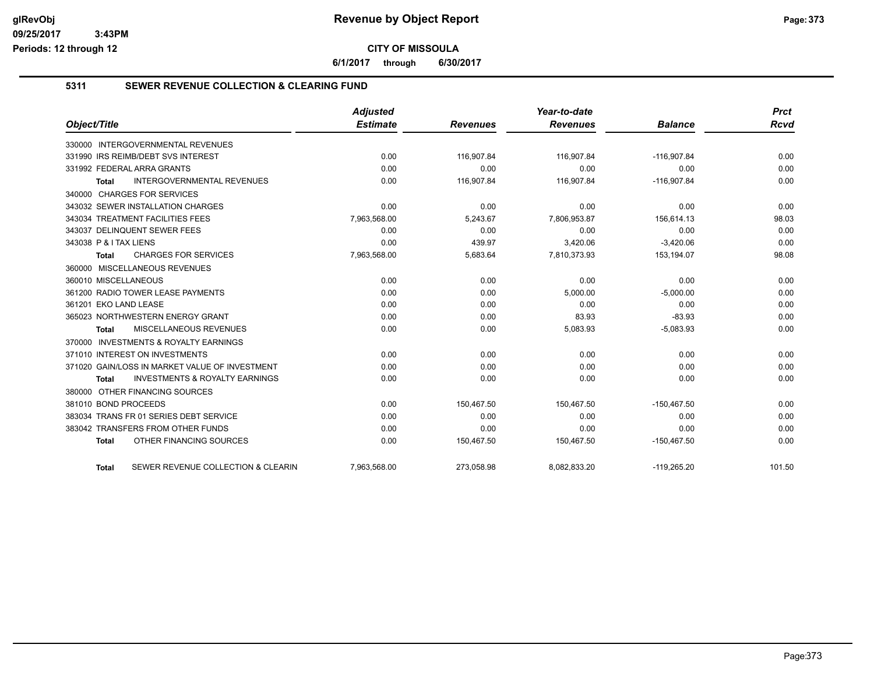**6/1/2017 through 6/30/2017**

#### **5311 SEWER REVENUE COLLECTION & CLEARING FUND**

|                                                    | <b>Adjusted</b><br><b>Estimate</b> |                 | Year-to-date    |                | <b>Prct</b> |
|----------------------------------------------------|------------------------------------|-----------------|-----------------|----------------|-------------|
| Object/Title                                       |                                    | <b>Revenues</b> | <b>Revenues</b> | <b>Balance</b> | Rcvd        |
| 330000 INTERGOVERNMENTAL REVENUES                  |                                    |                 |                 |                |             |
| 331990 IRS REIMB/DEBT SVS INTEREST                 | 0.00                               | 116.907.84      | 116.907.84      | $-116,907.84$  | 0.00        |
| 331992 FEDERAL ARRA GRANTS                         | 0.00                               | 0.00            | 0.00            | 0.00           | 0.00        |
| INTERGOVERNMENTAL REVENUES<br><b>Total</b>         | 0.00                               | 116,907.84      | 116,907.84      | $-116,907.84$  | 0.00        |
| 340000 CHARGES FOR SERVICES                        |                                    |                 |                 |                |             |
| 343032 SEWER INSTALLATION CHARGES                  | 0.00                               | 0.00            | 0.00            | 0.00           | 0.00        |
| 343034 TREATMENT FACILITIES FEES                   | 7,963,568.00                       | 5,243.67        | 7,806,953.87    | 156,614.13     | 98.03       |
| 343037 DELINQUENT SEWER FEES                       | 0.00                               | 0.00            | 0.00            | 0.00           | 0.00        |
| 343038 P & I TAX LIENS                             | 0.00                               | 439.97          | 3,420.06        | $-3,420.06$    | 0.00        |
| <b>CHARGES FOR SERVICES</b><br>Total               | 7,963,568.00                       | 5,683.64        | 7,810,373.93    | 153,194.07     | 98.08       |
| 360000 MISCELLANEOUS REVENUES                      |                                    |                 |                 |                |             |
| 360010 MISCELLANEOUS                               | 0.00                               | 0.00            | 0.00            | 0.00           | 0.00        |
| 361200 RADIO TOWER LEASE PAYMENTS                  | 0.00                               | 0.00            | 5,000.00        | $-5,000.00$    | 0.00        |
| 361201 EKO LAND LEASE                              | 0.00                               | 0.00            | 0.00            | 0.00           | 0.00        |
| 365023 NORTHWESTERN ENERGY GRANT                   | 0.00                               | 0.00            | 83.93           | $-83.93$       | 0.00        |
| MISCELLANEOUS REVENUES<br><b>Total</b>             | 0.00                               | 0.00            | 5,083.93        | $-5,083.93$    | 0.00        |
| 370000 INVESTMENTS & ROYALTY EARNINGS              |                                    |                 |                 |                |             |
| 371010 INTEREST ON INVESTMENTS                     | 0.00                               | 0.00            | 0.00            | 0.00           | 0.00        |
| 371020 GAIN/LOSS IN MARKET VALUE OF INVESTMENT     | 0.00                               | 0.00            | 0.00            | 0.00           | 0.00        |
| <b>INVESTMENTS &amp; ROYALTY EARNINGS</b><br>Total | 0.00                               | 0.00            | 0.00            | 0.00           | 0.00        |
| OTHER FINANCING SOURCES<br>380000                  |                                    |                 |                 |                |             |
| 381010 BOND PROCEEDS                               | 0.00                               | 150,467.50      | 150,467.50      | $-150,467.50$  | 0.00        |
| 383034 TRANS FR 01 SERIES DEBT SERVICE             | 0.00                               | 0.00            | 0.00            | 0.00           | 0.00        |
| 383042 TRANSFERS FROM OTHER FUNDS                  | 0.00                               | 0.00            | 0.00            | 0.00           | 0.00        |
| OTHER FINANCING SOURCES<br><b>Total</b>            | 0.00                               | 150,467.50      | 150,467.50      | $-150,467.50$  | 0.00        |
| SEWER REVENUE COLLECTION & CLEARIN<br>Total        | 7,963,568.00                       | 273,058.98      | 8,082,833.20    | $-119.265.20$  | 101.50      |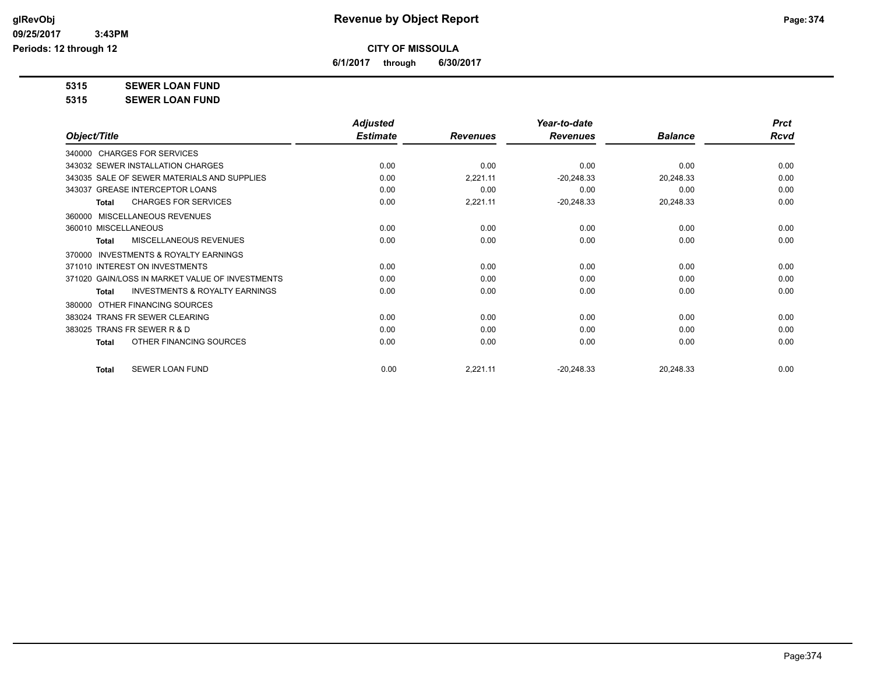**6/1/2017 through 6/30/2017**

**5315 SEWER LOAN FUND**

**5315 SEWER LOAN FUND**

|                                                           | <b>Adjusted</b> |                 | Year-to-date    |                | <b>Prct</b> |
|-----------------------------------------------------------|-----------------|-----------------|-----------------|----------------|-------------|
| Object/Title                                              | <b>Estimate</b> | <b>Revenues</b> | <b>Revenues</b> | <b>Balance</b> | <b>Rcvd</b> |
| 340000 CHARGES FOR SERVICES                               |                 |                 |                 |                |             |
| 343032 SEWER INSTALLATION CHARGES                         | 0.00            | 0.00            | 0.00            | 0.00           | 0.00        |
| 343035 SALE OF SEWER MATERIALS AND SUPPLIES               | 0.00            | 2,221.11        | $-20,248.33$    | 20,248.33      | 0.00        |
| 343037 GREASE INTERCEPTOR LOANS                           | 0.00            | 0.00            | 0.00            | 0.00           | 0.00        |
| <b>CHARGES FOR SERVICES</b><br><b>Total</b>               | 0.00            | 2,221.11        | $-20,248.33$    | 20,248.33      | 0.00        |
| 360000 MISCELLANEOUS REVENUES                             |                 |                 |                 |                |             |
| 360010 MISCELLANEOUS                                      | 0.00            | 0.00            | 0.00            | 0.00           | 0.00        |
| MISCELLANEOUS REVENUES<br><b>Total</b>                    | 0.00            | 0.00            | 0.00            | 0.00           | 0.00        |
| <b>INVESTMENTS &amp; ROYALTY EARNINGS</b><br>370000       |                 |                 |                 |                |             |
| 371010 INTEREST ON INVESTMENTS                            | 0.00            | 0.00            | 0.00            | 0.00           | 0.00        |
| 371020 GAIN/LOSS IN MARKET VALUE OF INVESTMENTS           | 0.00            | 0.00            | 0.00            | 0.00           | 0.00        |
| <b>INVESTMENTS &amp; ROYALTY EARNINGS</b><br><b>Total</b> | 0.00            | 0.00            | 0.00            | 0.00           | 0.00        |
| OTHER FINANCING SOURCES<br>380000                         |                 |                 |                 |                |             |
| 383024 TRANS FR SEWER CLEARING                            | 0.00            | 0.00            | 0.00            | 0.00           | 0.00        |
| 383025 TRANS FR SEWER R & D                               | 0.00            | 0.00            | 0.00            | 0.00           | 0.00        |
| OTHER FINANCING SOURCES<br><b>Total</b>                   | 0.00            | 0.00            | 0.00            | 0.00           | 0.00        |
| <b>SEWER LOAN FUND</b><br><b>Total</b>                    | 0.00            | 2,221.11        | $-20,248.33$    | 20,248.33      | 0.00        |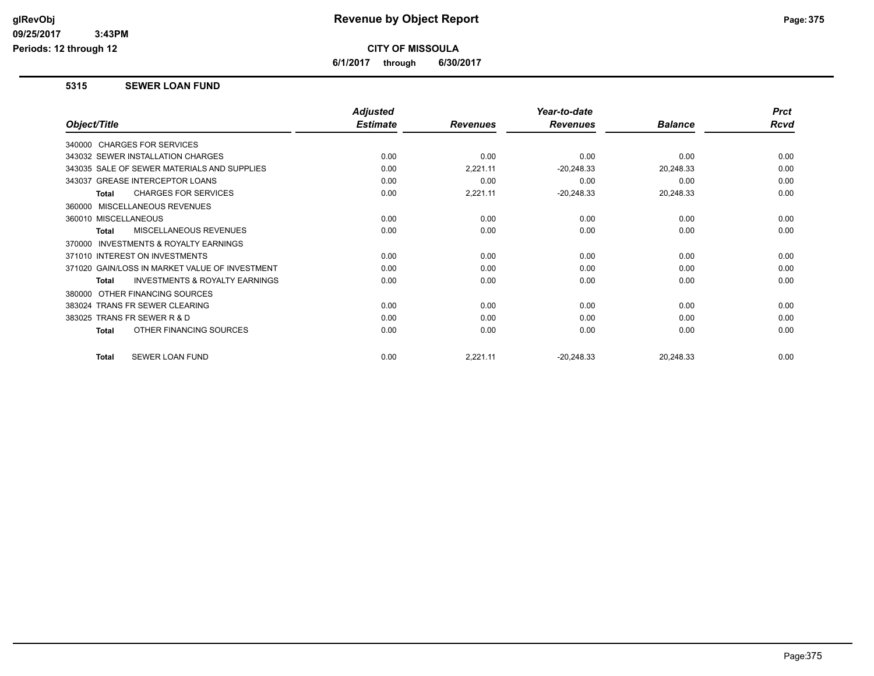**6/1/2017 through 6/30/2017**

#### **5315 SEWER LOAN FUND**

|                                                           | <b>Adjusted</b> |                 | Year-to-date    |                | <b>Prct</b> |
|-----------------------------------------------------------|-----------------|-----------------|-----------------|----------------|-------------|
| Object/Title                                              | <b>Estimate</b> | <b>Revenues</b> | <b>Revenues</b> | <b>Balance</b> | <b>Rcvd</b> |
| 340000 CHARGES FOR SERVICES                               |                 |                 |                 |                |             |
| 343032 SEWER INSTALLATION CHARGES                         | 0.00            | 0.00            | 0.00            | 0.00           | 0.00        |
| 343035 SALE OF SEWER MATERIALS AND SUPPLIES               | 0.00            | 2,221.11        | $-20,248.33$    | 20,248.33      | 0.00        |
| 343037 GREASE INTERCEPTOR LOANS                           | 0.00            | 0.00            | 0.00            | 0.00           | 0.00        |
| <b>CHARGES FOR SERVICES</b><br><b>Total</b>               | 0.00            | 2,221.11        | $-20,248.33$    | 20,248.33      | 0.00        |
| MISCELLANEOUS REVENUES<br>360000                          |                 |                 |                 |                |             |
| 360010 MISCELLANEOUS                                      | 0.00            | 0.00            | 0.00            | 0.00           | 0.00        |
| <b>MISCELLANEOUS REVENUES</b><br><b>Total</b>             | 0.00            | 0.00            | 0.00            | 0.00           | 0.00        |
| <b>INVESTMENTS &amp; ROYALTY EARNINGS</b><br>370000       |                 |                 |                 |                |             |
| 371010 INTEREST ON INVESTMENTS                            | 0.00            | 0.00            | 0.00            | 0.00           | 0.00        |
| 371020 GAIN/LOSS IN MARKET VALUE OF INVESTMENT            | 0.00            | 0.00            | 0.00            | 0.00           | 0.00        |
| <b>INVESTMENTS &amp; ROYALTY EARNINGS</b><br><b>Total</b> | 0.00            | 0.00            | 0.00            | 0.00           | 0.00        |
| OTHER FINANCING SOURCES<br>380000                         |                 |                 |                 |                |             |
| 383024 TRANS FR SEWER CLEARING                            | 0.00            | 0.00            | 0.00            | 0.00           | 0.00        |
| 383025 TRANS FR SEWER R & D                               | 0.00            | 0.00            | 0.00            | 0.00           | 0.00        |
| OTHER FINANCING SOURCES<br><b>Total</b>                   | 0.00            | 0.00            | 0.00            | 0.00           | 0.00        |
| SEWER LOAN FUND<br><b>Total</b>                           | 0.00            | 2,221.11        | $-20,248.33$    | 20,248.33      | 0.00        |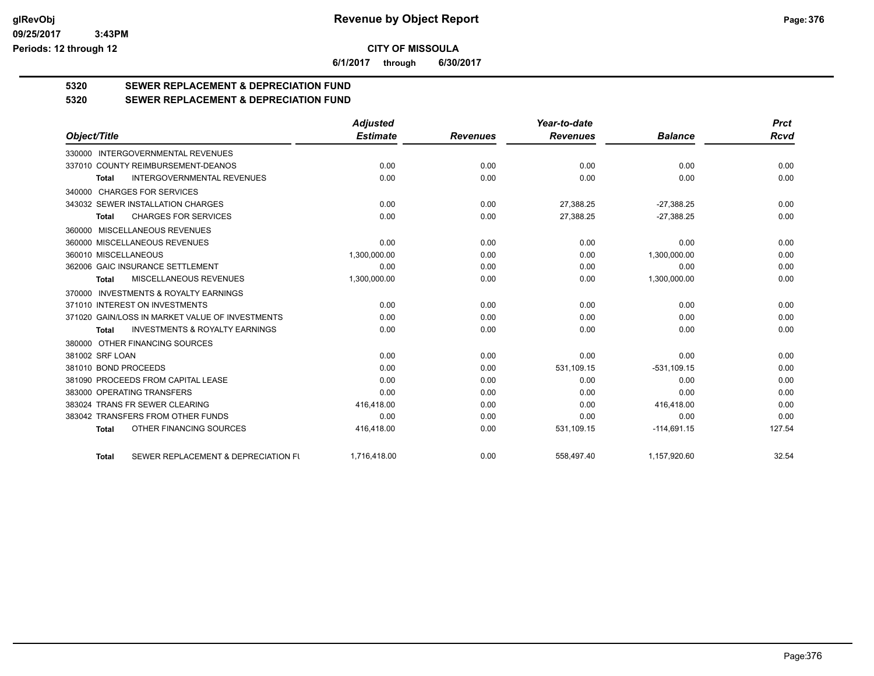**6/1/2017 through 6/30/2017**

# **5320 SEWER REPLACEMENT & DEPRECIATION FUND**

## **5320 SEWER REPLACEMENT & DEPRECIATION FUND**

|                                                     | <b>Adjusted</b> |                 | Year-to-date    |                | <b>Prct</b> |
|-----------------------------------------------------|-----------------|-----------------|-----------------|----------------|-------------|
| Object/Title                                        | <b>Estimate</b> | <b>Revenues</b> | <b>Revenues</b> | <b>Balance</b> | <b>Rcvd</b> |
| 330000 INTERGOVERNMENTAL REVENUES                   |                 |                 |                 |                |             |
| 337010 COUNTY REIMBURSEMENT-DEANOS                  | 0.00            | 0.00            | 0.00            | 0.00           | 0.00        |
| <b>INTERGOVERNMENTAL REVENUES</b><br><b>Total</b>   | 0.00            | 0.00            | 0.00            | 0.00           | 0.00        |
| 340000 CHARGES FOR SERVICES                         |                 |                 |                 |                |             |
| 343032 SEWER INSTALLATION CHARGES                   | 0.00            | 0.00            | 27,388.25       | $-27,388.25$   | 0.00        |
| <b>CHARGES FOR SERVICES</b><br><b>Total</b>         | 0.00            | 0.00            | 27,388.25       | $-27,388.25$   | 0.00        |
| 360000 MISCELLANEOUS REVENUES                       |                 |                 |                 |                |             |
| 360000 MISCELLANEOUS REVENUES                       | 0.00            | 0.00            | 0.00            | 0.00           | 0.00        |
| 360010 MISCELLANEOUS                                | 1,300,000.00    | 0.00            | 0.00            | 1,300,000.00   | 0.00        |
| 362006 GAIC INSURANCE SETTLEMENT                    | 0.00            | 0.00            | 0.00            | 0.00           | 0.00        |
| MISCELLANEOUS REVENUES<br><b>Total</b>              | 1,300,000.00    | 0.00            | 0.00            | 1,300,000.00   | 0.00        |
| <b>INVESTMENTS &amp; ROYALTY EARNINGS</b><br>370000 |                 |                 |                 |                |             |
| 371010 INTEREST ON INVESTMENTS                      | 0.00            | 0.00            | 0.00            | 0.00           | 0.00        |
| 371020 GAIN/LOSS IN MARKET VALUE OF INVESTMENTS     | 0.00            | 0.00            | 0.00            | 0.00           | 0.00        |
| <b>INVESTMENTS &amp; ROYALTY EARNINGS</b><br>Total  | 0.00            | 0.00            | 0.00            | 0.00           | 0.00        |
| 380000 OTHER FINANCING SOURCES                      |                 |                 |                 |                |             |
| 381002 SRF LOAN                                     | 0.00            | 0.00            | 0.00            | 0.00           | 0.00        |
| 381010 BOND PROCEEDS                                | 0.00            | 0.00            | 531,109.15      | $-531,109.15$  | 0.00        |
| 381090 PROCEEDS FROM CAPITAL LEASE                  | 0.00            | 0.00            | 0.00            | 0.00           | 0.00        |
| 383000 OPERATING TRANSFERS                          | 0.00            | 0.00            | 0.00            | 0.00           | 0.00        |
| 383024 TRANS FR SEWER CLEARING                      | 416,418.00      | 0.00            | 0.00            | 416,418.00     | 0.00        |
| 383042 TRANSFERS FROM OTHER FUNDS                   | 0.00            | 0.00            | 0.00            | 0.00           | 0.00        |
| OTHER FINANCING SOURCES<br><b>Total</b>             | 416,418.00      | 0.00            | 531,109.15      | $-114,691.15$  | 127.54      |
| SEWER REPLACEMENT & DEPRECIATION FU<br><b>Total</b> | 1,716,418.00    | 0.00            | 558,497.40      | 1,157,920.60   | 32.54       |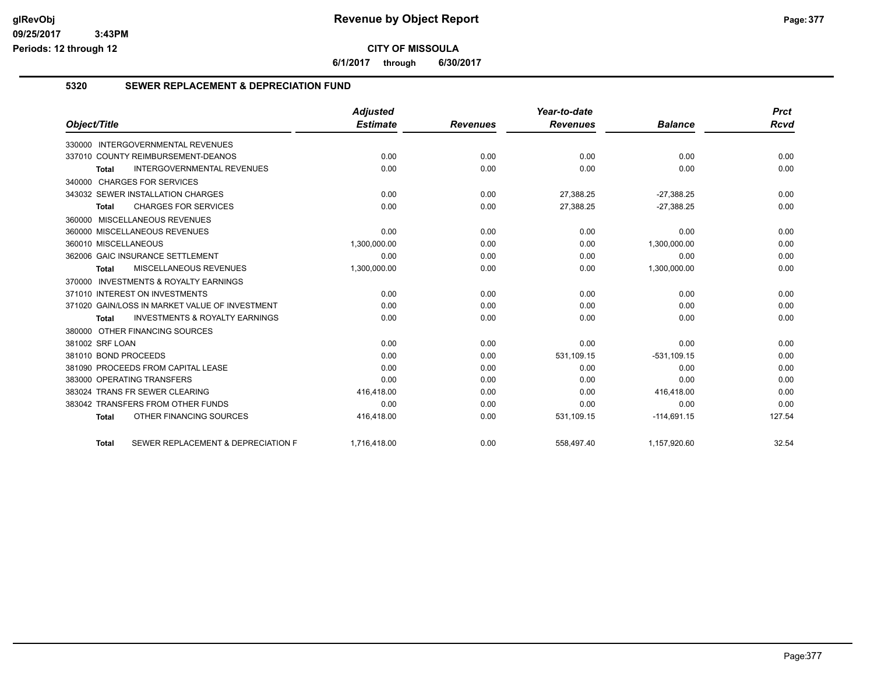**6/1/2017 through 6/30/2017**

#### **5320 SEWER REPLACEMENT & DEPRECIATION FUND**

|                                                           | <b>Adjusted</b> |                 | Year-to-date    |                | <b>Prct</b> |
|-----------------------------------------------------------|-----------------|-----------------|-----------------|----------------|-------------|
| Object/Title                                              | <b>Estimate</b> | <b>Revenues</b> | <b>Revenues</b> | <b>Balance</b> | <b>Rcvd</b> |
| <b>INTERGOVERNMENTAL REVENUES</b><br>330000               |                 |                 |                 |                |             |
| 337010 COUNTY REIMBURSEMENT-DEANOS                        | 0.00            | 0.00            | 0.00            | 0.00           | 0.00        |
| <b>INTERGOVERNMENTAL REVENUES</b><br>Total                | 0.00            | 0.00            | 0.00            | 0.00           | 0.00        |
| 340000 CHARGES FOR SERVICES                               |                 |                 |                 |                |             |
| 343032 SEWER INSTALLATION CHARGES                         | 0.00            | 0.00            | 27,388.25       | $-27,388.25$   | 0.00        |
| <b>CHARGES FOR SERVICES</b><br><b>Total</b>               | 0.00            | 0.00            | 27,388.25       | $-27,388.25$   | 0.00        |
| 360000 MISCELLANEOUS REVENUES                             |                 |                 |                 |                |             |
| 360000 MISCELLANEOUS REVENUES                             | 0.00            | 0.00            | 0.00            | 0.00           | 0.00        |
| 360010 MISCELLANEOUS                                      | 1,300,000.00    | 0.00            | 0.00            | 1,300,000.00   | 0.00        |
| 362006 GAIC INSURANCE SETTLEMENT                          | 0.00            | 0.00            | 0.00            | 0.00           | 0.00        |
| MISCELLANEOUS REVENUES<br><b>Total</b>                    | 1,300,000.00    | 0.00            | 0.00            | 1,300,000.00   | 0.00        |
| <b>INVESTMENTS &amp; ROYALTY EARNINGS</b><br>370000       |                 |                 |                 |                |             |
| 371010 INTEREST ON INVESTMENTS                            | 0.00            | 0.00            | 0.00            | 0.00           | 0.00        |
| 371020 GAIN/LOSS IN MARKET VALUE OF INVESTMENT            | 0.00            | 0.00            | 0.00            | 0.00           | 0.00        |
| <b>INVESTMENTS &amp; ROYALTY EARNINGS</b><br><b>Total</b> | 0.00            | 0.00            | 0.00            | 0.00           | 0.00        |
| 380000 OTHER FINANCING SOURCES                            |                 |                 |                 |                |             |
| 381002 SRF LOAN                                           | 0.00            | 0.00            | 0.00            | 0.00           | 0.00        |
| 381010 BOND PROCEEDS                                      | 0.00            | 0.00            | 531,109.15      | $-531,109.15$  | 0.00        |
| 381090 PROCEEDS FROM CAPITAL LEASE                        | 0.00            | 0.00            | 0.00            | 0.00           | 0.00        |
| 383000 OPERATING TRANSFERS                                | 0.00            | 0.00            | 0.00            | 0.00           | 0.00        |
| 383024 TRANS FR SEWER CLEARING                            | 416,418.00      | 0.00            | 0.00            | 416,418.00     | 0.00        |
| 383042 TRANSFERS FROM OTHER FUNDS                         | 0.00            | 0.00            | 0.00            | 0.00           | 0.00        |
| OTHER FINANCING SOURCES<br><b>Total</b>                   | 416,418.00      | 0.00            | 531,109.15      | $-114,691.15$  | 127.54      |
| SEWER REPLACEMENT & DEPRECIATION F<br><b>Total</b>        | 1,716,418.00    | 0.00            | 558,497.40      | 1,157,920.60   | 32.54       |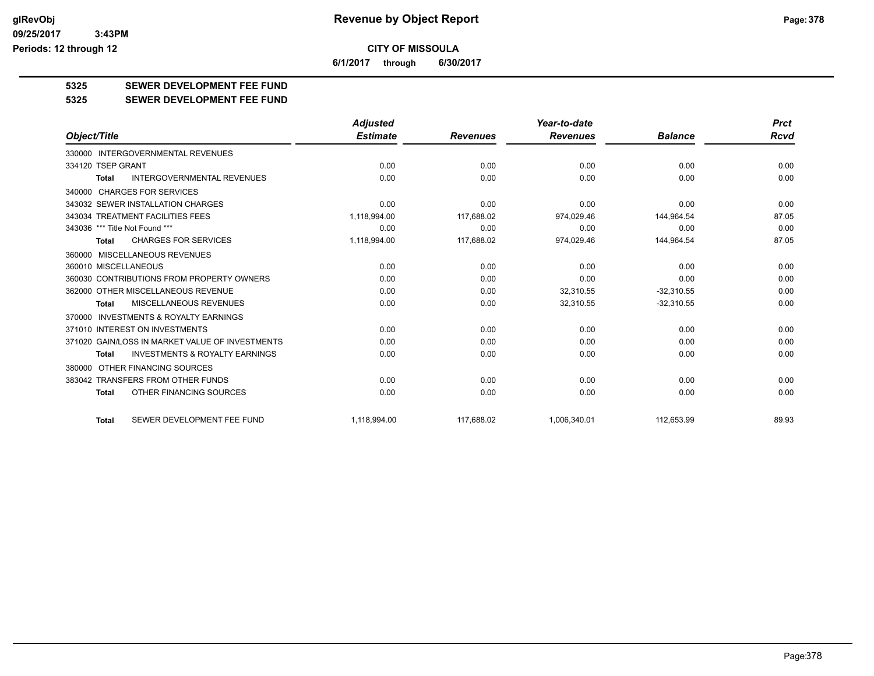**6/1/2017 through 6/30/2017**

## **5325 SEWER DEVELOPMENT FEE FUND**

#### **5325 SEWER DEVELOPMENT FEE FUND**

|                                                     | <b>Adjusted</b> |                 | Year-to-date    |                | <b>Prct</b> |
|-----------------------------------------------------|-----------------|-----------------|-----------------|----------------|-------------|
| Object/Title                                        | <b>Estimate</b> | <b>Revenues</b> | <b>Revenues</b> | <b>Balance</b> | Rcvd        |
| 330000 INTERGOVERNMENTAL REVENUES                   |                 |                 |                 |                |             |
| 334120 TSEP GRANT                                   | 0.00            | 0.00            | 0.00            | 0.00           | 0.00        |
| <b>INTERGOVERNMENTAL REVENUES</b><br><b>Total</b>   | 0.00            | 0.00            | 0.00            | 0.00           | 0.00        |
| 340000 CHARGES FOR SERVICES                         |                 |                 |                 |                |             |
| 343032 SEWER INSTALLATION CHARGES                   | 0.00            | 0.00            | 0.00            | 0.00           | 0.00        |
| 343034 TREATMENT FACILITIES FEES                    | 1,118,994.00    | 117,688.02      | 974,029.46      | 144,964.54     | 87.05       |
| 343036 *** Title Not Found ***                      | 0.00            | 0.00            | 0.00            | 0.00           | 0.00        |
| <b>CHARGES FOR SERVICES</b><br>Total                | 1,118,994.00    | 117,688.02      | 974,029.46      | 144,964.54     | 87.05       |
| 360000 MISCELLANEOUS REVENUES                       |                 |                 |                 |                |             |
| 360010 MISCELLANEOUS                                | 0.00            | 0.00            | 0.00            | 0.00           | 0.00        |
| 360030 CONTRIBUTIONS FROM PROPERTY OWNERS           | 0.00            | 0.00            | 0.00            | 0.00           | 0.00        |
| 362000 OTHER MISCELLANEOUS REVENUE                  | 0.00            | 0.00            | 32,310.55       | $-32,310.55$   | 0.00        |
| MISCELLANEOUS REVENUES<br>Total                     | 0.00            | 0.00            | 32,310.55       | $-32,310.55$   | 0.00        |
| <b>INVESTMENTS &amp; ROYALTY EARNINGS</b><br>370000 |                 |                 |                 |                |             |
| 371010 INTEREST ON INVESTMENTS                      | 0.00            | 0.00            | 0.00            | 0.00           | 0.00        |
| 371020 GAIN/LOSS IN MARKET VALUE OF INVESTMENTS     | 0.00            | 0.00            | 0.00            | 0.00           | 0.00        |
| <b>INVESTMENTS &amp; ROYALTY EARNINGS</b><br>Total  | 0.00            | 0.00            | 0.00            | 0.00           | 0.00        |
| 380000 OTHER FINANCING SOURCES                      |                 |                 |                 |                |             |
| 383042 TRANSFERS FROM OTHER FUNDS                   | 0.00            | 0.00            | 0.00            | 0.00           | 0.00        |
| OTHER FINANCING SOURCES<br>Total                    | 0.00            | 0.00            | 0.00            | 0.00           | 0.00        |
| SEWER DEVELOPMENT FEE FUND<br><b>Total</b>          | 1,118,994.00    | 117.688.02      | 1,006,340.01    | 112.653.99     | 89.93       |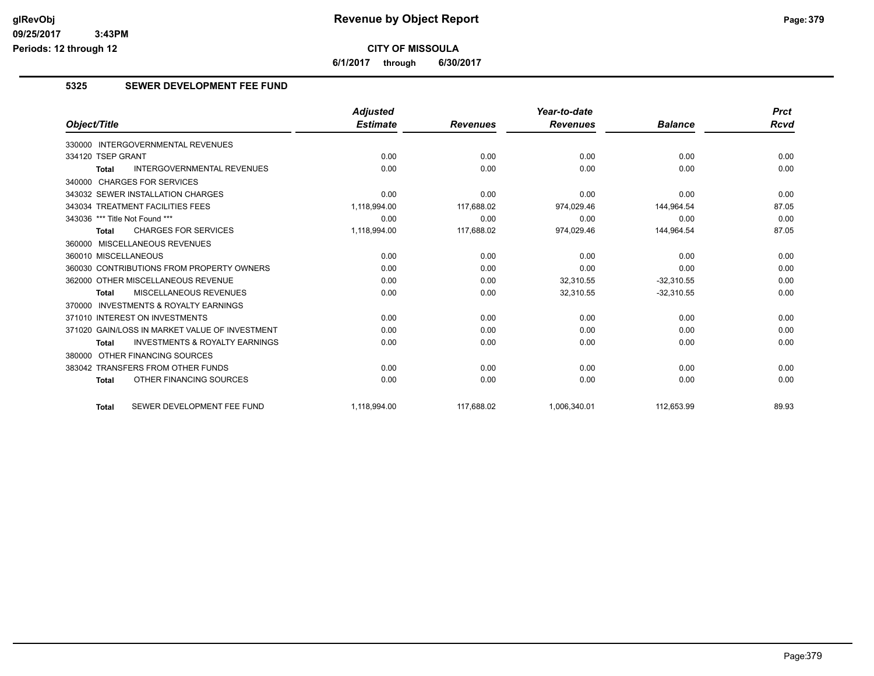**6/1/2017 through 6/30/2017**

### **5325 SEWER DEVELOPMENT FEE FUND**

|                                                    | <b>Adjusted</b> |                 | Year-to-date    |                | <b>Prct</b> |
|----------------------------------------------------|-----------------|-----------------|-----------------|----------------|-------------|
| Object/Title                                       | <b>Estimate</b> | <b>Revenues</b> | <b>Revenues</b> | <b>Balance</b> | Rcvd        |
| 330000 INTERGOVERNMENTAL REVENUES                  |                 |                 |                 |                |             |
| 334120 TSEP GRANT                                  | 0.00            | 0.00            | 0.00            | 0.00           | 0.00        |
| <b>INTERGOVERNMENTAL REVENUES</b><br><b>Total</b>  | 0.00            | 0.00            | 0.00            | 0.00           | 0.00        |
| 340000 CHARGES FOR SERVICES                        |                 |                 |                 |                |             |
| 343032 SEWER INSTALLATION CHARGES                  | 0.00            | 0.00            | 0.00            | 0.00           | 0.00        |
| 343034 TREATMENT FACILITIES FEES                   | 1,118,994.00    | 117,688.02      | 974,029.46      | 144,964.54     | 87.05       |
| 343036 *** Title Not Found ***                     | 0.00            | 0.00            | 0.00            | 0.00           | 0.00        |
| <b>Total</b><br><b>CHARGES FOR SERVICES</b>        | 1,118,994.00    | 117,688.02      | 974,029.46      | 144,964.54     | 87.05       |
| 360000 MISCELLANEOUS REVENUES                      |                 |                 |                 |                |             |
| 360010 MISCELLANEOUS                               | 0.00            | 0.00            | 0.00            | 0.00           | 0.00        |
| 360030 CONTRIBUTIONS FROM PROPERTY OWNERS          | 0.00            | 0.00            | 0.00            | 0.00           | 0.00        |
| 362000 OTHER MISCELLANEOUS REVENUE                 | 0.00            | 0.00            | 32,310.55       | $-32,310.55$   | 0.00        |
| MISCELLANEOUS REVENUES<br><b>Total</b>             | 0.00            | 0.00            | 32,310.55       | $-32,310.55$   | 0.00        |
| 370000 INVESTMENTS & ROYALTY EARNINGS              |                 |                 |                 |                |             |
| 371010 INTEREST ON INVESTMENTS                     | 0.00            | 0.00            | 0.00            | 0.00           | 0.00        |
| 371020 GAIN/LOSS IN MARKET VALUE OF INVESTMENT     | 0.00            | 0.00            | 0.00            | 0.00           | 0.00        |
| <b>INVESTMENTS &amp; ROYALTY EARNINGS</b><br>Total | 0.00            | 0.00            | 0.00            | 0.00           | 0.00        |
| 380000 OTHER FINANCING SOURCES                     |                 |                 |                 |                |             |
| 383042 TRANSFERS FROM OTHER FUNDS                  | 0.00            | 0.00            | 0.00            | 0.00           | 0.00        |
| OTHER FINANCING SOURCES<br><b>Total</b>            | 0.00            | 0.00            | 0.00            | 0.00           | 0.00        |
| SEWER DEVELOPMENT FEE FUND<br><b>Total</b>         | 1,118,994.00    | 117.688.02      | 1,006,340.01    | 112.653.99     | 89.93       |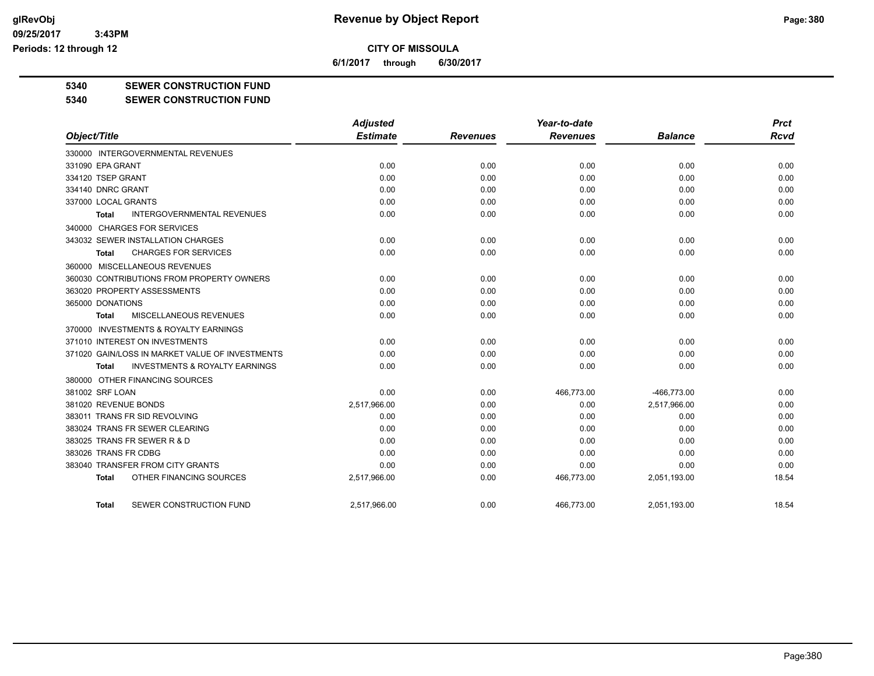**6/1/2017 through 6/30/2017**

**5340 SEWER CONSTRUCTION FUND**

**5340 SEWER CONSTRUCTION FUND**

|                                                    | <b>Adjusted</b> |                 | Year-to-date    |                | <b>Prct</b> |
|----------------------------------------------------|-----------------|-----------------|-----------------|----------------|-------------|
| Object/Title                                       | <b>Estimate</b> | <b>Revenues</b> | <b>Revenues</b> | <b>Balance</b> | <b>Rcvd</b> |
| 330000 INTERGOVERNMENTAL REVENUES                  |                 |                 |                 |                |             |
| 331090 EPA GRANT                                   | 0.00            | 0.00            | 0.00            | 0.00           | 0.00        |
| 334120 TSEP GRANT                                  | 0.00            | 0.00            | 0.00            | 0.00           | 0.00        |
| 334140 DNRC GRANT                                  | 0.00            | 0.00            | 0.00            | 0.00           | 0.00        |
| 337000 LOCAL GRANTS                                | 0.00            | 0.00            | 0.00            | 0.00           | 0.00        |
| <b>INTERGOVERNMENTAL REVENUES</b><br>Total         | 0.00            | 0.00            | 0.00            | 0.00           | 0.00        |
| 340000 CHARGES FOR SERVICES                        |                 |                 |                 |                |             |
| 343032 SEWER INSTALLATION CHARGES                  | 0.00            | 0.00            | 0.00            | 0.00           | 0.00        |
| <b>CHARGES FOR SERVICES</b><br>Total               | 0.00            | 0.00            | 0.00            | 0.00           | 0.00        |
| 360000 MISCELLANEOUS REVENUES                      |                 |                 |                 |                |             |
| 360030 CONTRIBUTIONS FROM PROPERTY OWNERS          | 0.00            | 0.00            | 0.00            | 0.00           | 0.00        |
| 363020 PROPERTY ASSESSMENTS                        | 0.00            | 0.00            | 0.00            | 0.00           | 0.00        |
| 365000 DONATIONS                                   | 0.00            | 0.00            | 0.00            | 0.00           | 0.00        |
| <b>MISCELLANEOUS REVENUES</b><br>Total             | 0.00            | 0.00            | 0.00            | 0.00           | 0.00        |
| 370000 INVESTMENTS & ROYALTY EARNINGS              |                 |                 |                 |                |             |
| 371010 INTEREST ON INVESTMENTS                     | 0.00            | 0.00            | 0.00            | 0.00           | 0.00        |
| 371020 GAIN/LOSS IN MARKET VALUE OF INVESTMENTS    | 0.00            | 0.00            | 0.00            | 0.00           | 0.00        |
| <b>INVESTMENTS &amp; ROYALTY EARNINGS</b><br>Total | 0.00            | 0.00            | 0.00            | 0.00           | 0.00        |
| 380000 OTHER FINANCING SOURCES                     |                 |                 |                 |                |             |
| 381002 SRF LOAN                                    | 0.00            | 0.00            | 466,773.00      | -466,773.00    | 0.00        |
| 381020 REVENUE BONDS                               | 2,517,966.00    | 0.00            | 0.00            | 2,517,966.00   | 0.00        |
| 383011 TRANS FR SID REVOLVING                      | 0.00            | 0.00            | 0.00            | 0.00           | 0.00        |
| 383024 TRANS FR SEWER CLEARING                     | 0.00            | 0.00            | 0.00            | 0.00           | 0.00        |
| 383025 TRANS FR SEWER R & D                        | 0.00            | 0.00            | 0.00            | 0.00           | 0.00        |
| 383026 TRANS FR CDBG                               | 0.00            | 0.00            | 0.00            | 0.00           | 0.00        |
| 383040 TRANSFER FROM CITY GRANTS                   | 0.00            | 0.00            | 0.00            | 0.00           | 0.00        |
| OTHER FINANCING SOURCES<br><b>Total</b>            | 2,517,966.00    | 0.00            | 466,773.00      | 2,051,193.00   | 18.54       |
| SEWER CONSTRUCTION FUND<br>Total                   | 2,517,966.00    | 0.00            | 466,773.00      | 2.051.193.00   | 18.54       |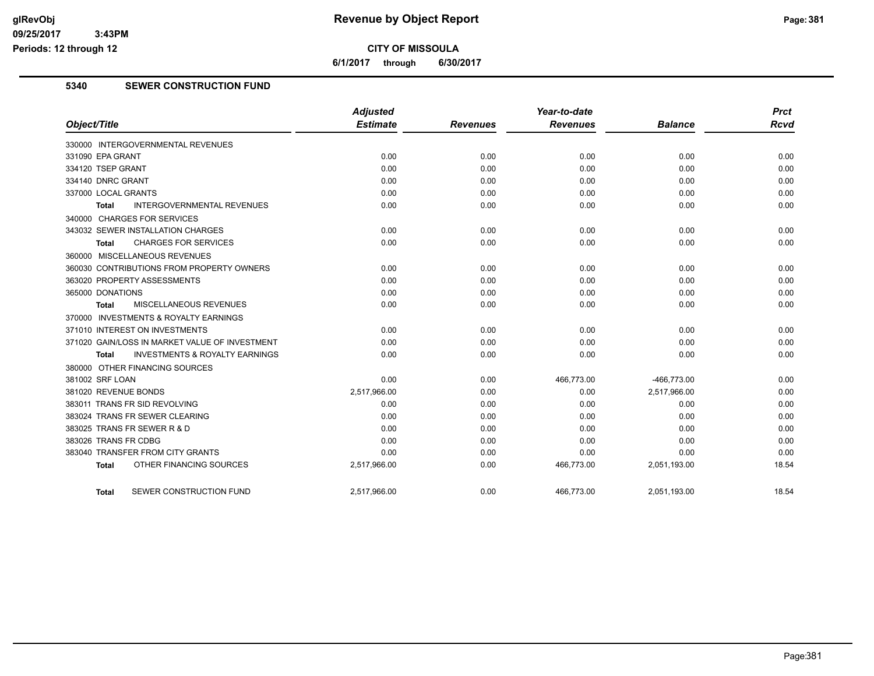**6/1/2017 through 6/30/2017**

#### **5340 SEWER CONSTRUCTION FUND**

|                                                    | <b>Adjusted</b> |                 | Year-to-date    |                | <b>Prct</b> |
|----------------------------------------------------|-----------------|-----------------|-----------------|----------------|-------------|
| Object/Title                                       | <b>Estimate</b> | <b>Revenues</b> | <b>Revenues</b> | <b>Balance</b> | <b>Rcvd</b> |
| 330000 INTERGOVERNMENTAL REVENUES                  |                 |                 |                 |                |             |
| 331090 EPA GRANT                                   | 0.00            | 0.00            | 0.00            | 0.00           | 0.00        |
| 334120 TSEP GRANT                                  | 0.00            | 0.00            | 0.00            | 0.00           | 0.00        |
| 334140 DNRC GRANT                                  | 0.00            | 0.00            | 0.00            | 0.00           | 0.00        |
| 337000 LOCAL GRANTS                                | 0.00            | 0.00            | 0.00            | 0.00           | 0.00        |
| <b>INTERGOVERNMENTAL REVENUES</b><br>Total         | 0.00            | 0.00            | 0.00            | 0.00           | 0.00        |
| 340000 CHARGES FOR SERVICES                        |                 |                 |                 |                |             |
| 343032 SEWER INSTALLATION CHARGES                  | 0.00            | 0.00            | 0.00            | 0.00           | 0.00        |
| <b>CHARGES FOR SERVICES</b><br>Total               | 0.00            | 0.00            | 0.00            | 0.00           | 0.00        |
| 360000 MISCELLANEOUS REVENUES                      |                 |                 |                 |                |             |
| 360030 CONTRIBUTIONS FROM PROPERTY OWNERS          | 0.00            | 0.00            | 0.00            | 0.00           | 0.00        |
| 363020 PROPERTY ASSESSMENTS                        | 0.00            | 0.00            | 0.00            | 0.00           | 0.00        |
| 365000 DONATIONS                                   | 0.00            | 0.00            | 0.00            | 0.00           | 0.00        |
| MISCELLANEOUS REVENUES<br><b>Total</b>             | 0.00            | 0.00            | 0.00            | 0.00           | 0.00        |
| 370000 INVESTMENTS & ROYALTY EARNINGS              |                 |                 |                 |                |             |
| 371010 INTEREST ON INVESTMENTS                     | 0.00            | 0.00            | 0.00            | 0.00           | 0.00        |
| 371020 GAIN/LOSS IN MARKET VALUE OF INVESTMENT     | 0.00            | 0.00            | 0.00            | 0.00           | 0.00        |
| <b>INVESTMENTS &amp; ROYALTY EARNINGS</b><br>Total | 0.00            | 0.00            | 0.00            | 0.00           | 0.00        |
| 380000 OTHER FINANCING SOURCES                     |                 |                 |                 |                |             |
| 381002 SRF LOAN                                    | 0.00            | 0.00            | 466,773.00      | $-466,773.00$  | 0.00        |
| 381020 REVENUE BONDS                               | 2,517,966.00    | 0.00            | 0.00            | 2,517,966.00   | 0.00        |
| 383011 TRANS FR SID REVOLVING                      | 0.00            | 0.00            | 0.00            | 0.00           | 0.00        |
| 383024 TRANS FR SEWER CLEARING                     | 0.00            | 0.00            | 0.00            | 0.00           | 0.00        |
| 383025 TRANS FR SEWER R & D                        | 0.00            | 0.00            | 0.00            | 0.00           | 0.00        |
| 383026 TRANS FR CDBG                               | 0.00            | 0.00            | 0.00            | 0.00           | 0.00        |
| 383040 TRANSFER FROM CITY GRANTS                   | 0.00            | 0.00            | 0.00            | 0.00           | 0.00        |
| OTHER FINANCING SOURCES<br><b>Total</b>            | 2,517,966.00    | 0.00            | 466,773.00      | 2,051,193.00   | 18.54       |
| SEWER CONSTRUCTION FUND<br><b>Total</b>            | 2.517.966.00    | 0.00            | 466.773.00      | 2.051.193.00   | 18.54       |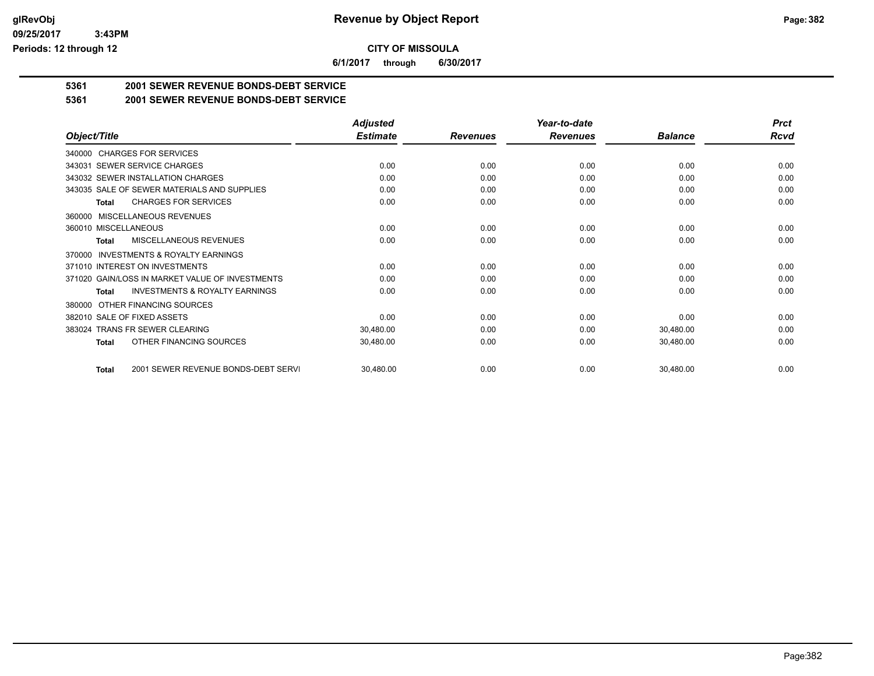**6/1/2017 through 6/30/2017**

## **5361 2001 SEWER REVENUE BONDS-DEBT SERVICE**

## **5361 2001 SEWER REVENUE BONDS-DEBT SERVICE**

|                                                    | <b>Adjusted</b> |                 | Year-to-date    |                | <b>Prct</b> |
|----------------------------------------------------|-----------------|-----------------|-----------------|----------------|-------------|
| Object/Title                                       | <b>Estimate</b> | <b>Revenues</b> | <b>Revenues</b> | <b>Balance</b> | Rcvd        |
| 340000 CHARGES FOR SERVICES                        |                 |                 |                 |                |             |
| 343031 SEWER SERVICE CHARGES                       | 0.00            | 0.00            | 0.00            | 0.00           | 0.00        |
| 343032 SEWER INSTALLATION CHARGES                  | 0.00            | 0.00            | 0.00            | 0.00           | 0.00        |
| 343035 SALE OF SEWER MATERIALS AND SUPPLIES        | 0.00            | 0.00            | 0.00            | 0.00           | 0.00        |
| <b>CHARGES FOR SERVICES</b><br><b>Total</b>        | 0.00            | 0.00            | 0.00            | 0.00           | 0.00        |
| MISCELLANEOUS REVENUES<br>360000                   |                 |                 |                 |                |             |
| 360010 MISCELLANEOUS                               | 0.00            | 0.00            | 0.00            | 0.00           | 0.00        |
| MISCELLANEOUS REVENUES<br><b>Total</b>             | 0.00            | 0.00            | 0.00            | 0.00           | 0.00        |
| INVESTMENTS & ROYALTY EARNINGS<br>370000           |                 |                 |                 |                |             |
| 371010 INTEREST ON INVESTMENTS                     | 0.00            | 0.00            | 0.00            | 0.00           | 0.00        |
| 371020 GAIN/LOSS IN MARKET VALUE OF INVESTMENTS    | 0.00            | 0.00            | 0.00            | 0.00           | 0.00        |
| <b>INVESTMENTS &amp; ROYALTY EARNINGS</b><br>Total | 0.00            | 0.00            | 0.00            | 0.00           | 0.00        |
| OTHER FINANCING SOURCES<br>380000                  |                 |                 |                 |                |             |
| 382010 SALE OF FIXED ASSETS                        | 0.00            | 0.00            | 0.00            | 0.00           | 0.00        |
| 383024 TRANS FR SEWER CLEARING                     | 30,480.00       | 0.00            | 0.00            | 30,480.00      | 0.00        |
| OTHER FINANCING SOURCES<br>Total                   | 30,480.00       | 0.00            | 0.00            | 30,480.00      | 0.00        |
|                                                    |                 |                 |                 |                |             |
| 2001 SEWER REVENUE BONDS-DEBT SERVI<br>Total       | 30,480.00       | 0.00            | 0.00            | 30,480.00      | 0.00        |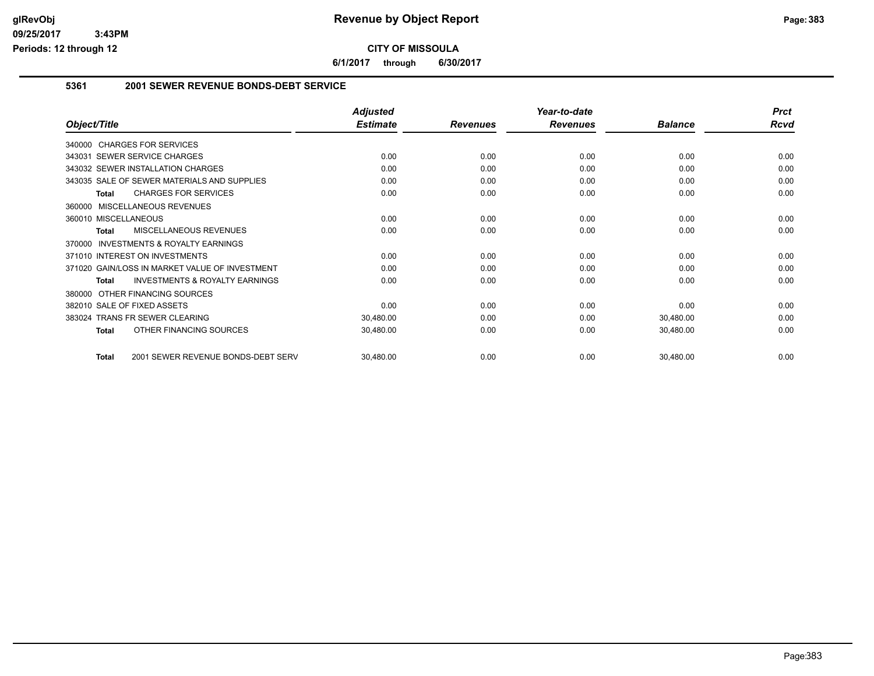**6/1/2017 through 6/30/2017**

#### **5361 2001 SEWER REVENUE BONDS-DEBT SERVICE**

|                                                           | <b>Adjusted</b> |                 | Year-to-date    |                | <b>Prct</b> |
|-----------------------------------------------------------|-----------------|-----------------|-----------------|----------------|-------------|
| Object/Title                                              | <b>Estimate</b> | <b>Revenues</b> | <b>Revenues</b> | <b>Balance</b> | <b>Rcvd</b> |
| <b>CHARGES FOR SERVICES</b><br>340000                     |                 |                 |                 |                |             |
| 343031 SEWER SERVICE CHARGES                              | 0.00            | 0.00            | 0.00            | 0.00           | 0.00        |
| 343032 SEWER INSTALLATION CHARGES                         | 0.00            | 0.00            | 0.00            | 0.00           | 0.00        |
| 343035 SALE OF SEWER MATERIALS AND SUPPLIES               | 0.00            | 0.00            | 0.00            | 0.00           | 0.00        |
| <b>CHARGES FOR SERVICES</b><br><b>Total</b>               | 0.00            | 0.00            | 0.00            | 0.00           | 0.00        |
| 360000 MISCELLANEOUS REVENUES                             |                 |                 |                 |                |             |
| 360010 MISCELLANEOUS                                      | 0.00            | 0.00            | 0.00            | 0.00           | 0.00        |
| MISCELLANEOUS REVENUES<br><b>Total</b>                    | 0.00            | 0.00            | 0.00            | 0.00           | 0.00        |
| <b>INVESTMENTS &amp; ROYALTY EARNINGS</b><br>370000       |                 |                 |                 |                |             |
| 371010 INTEREST ON INVESTMENTS                            | 0.00            | 0.00            | 0.00            | 0.00           | 0.00        |
| 371020 GAIN/LOSS IN MARKET VALUE OF INVESTMENT            | 0.00            | 0.00            | 0.00            | 0.00           | 0.00        |
| <b>INVESTMENTS &amp; ROYALTY EARNINGS</b><br><b>Total</b> | 0.00            | 0.00            | 0.00            | 0.00           | 0.00        |
| OTHER FINANCING SOURCES<br>380000                         |                 |                 |                 |                |             |
| 382010 SALE OF FIXED ASSETS                               | 0.00            | 0.00            | 0.00            | 0.00           | 0.00        |
| 383024 TRANS FR SEWER CLEARING                            | 30,480.00       | 0.00            | 0.00            | 30,480.00      | 0.00        |
| OTHER FINANCING SOURCES<br><b>Total</b>                   | 30,480.00       | 0.00            | 0.00            | 30,480.00      | 0.00        |
| 2001 SEWER REVENUE BONDS-DEBT SERV<br><b>Total</b>        | 30,480.00       | 0.00            | 0.00            | 30,480.00      | 0.00        |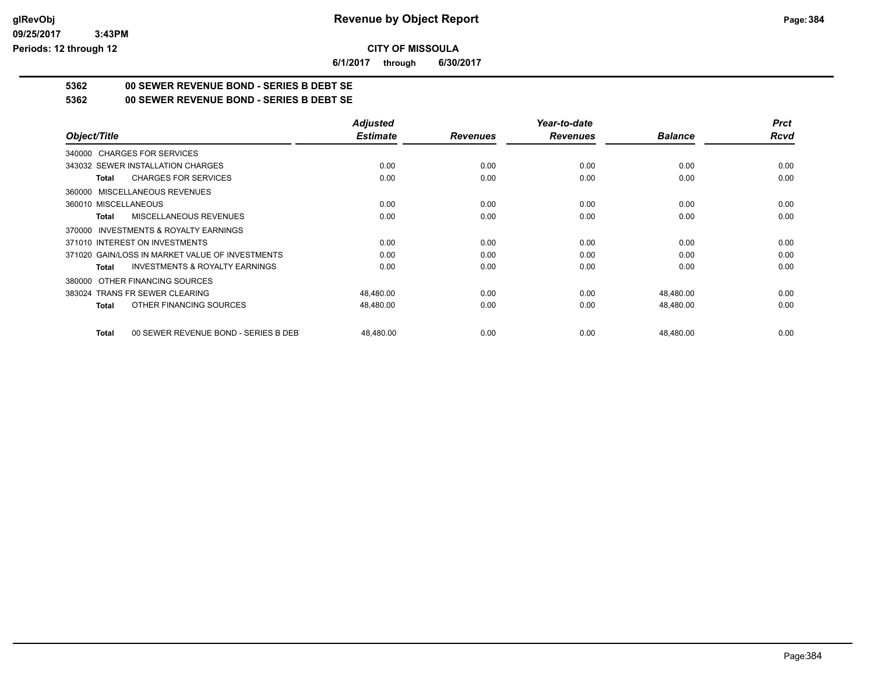**6/1/2017 through 6/30/2017**

## **5362 00 SEWER REVENUE BOND - SERIES B DEBT SE**

**5362 00 SEWER REVENUE BOND - SERIES B DEBT SE**

|                                                    | <b>Adjusted</b> |                 | Year-to-date    |                | <b>Prct</b> |
|----------------------------------------------------|-----------------|-----------------|-----------------|----------------|-------------|
| Object/Title                                       | <b>Estimate</b> | <b>Revenues</b> | <b>Revenues</b> | <b>Balance</b> | <b>Rcvd</b> |
| 340000 CHARGES FOR SERVICES                        |                 |                 |                 |                |             |
| 343032 SEWER INSTALLATION CHARGES                  | 0.00            | 0.00            | 0.00            | 0.00           | 0.00        |
| <b>CHARGES FOR SERVICES</b><br>Total               | 0.00            | 0.00            | 0.00            | 0.00           | 0.00        |
| 360000 MISCELLANEOUS REVENUES                      |                 |                 |                 |                |             |
| 360010 MISCELLANEOUS                               | 0.00            | 0.00            | 0.00            | 0.00           | 0.00        |
| MISCELLANEOUS REVENUES<br>Total                    | 0.00            | 0.00            | 0.00            | 0.00           | 0.00        |
| 370000 INVESTMENTS & ROYALTY EARNINGS              |                 |                 |                 |                |             |
| 371010 INTEREST ON INVESTMENTS                     | 0.00            | 0.00            | 0.00            | 0.00           | 0.00        |
| 371020 GAIN/LOSS IN MARKET VALUE OF INVESTMENTS    | 0.00            | 0.00            | 0.00            | 0.00           | 0.00        |
| <b>INVESTMENTS &amp; ROYALTY EARNINGS</b><br>Total | 0.00            | 0.00            | 0.00            | 0.00           | 0.00        |
| 380000 OTHER FINANCING SOURCES                     |                 |                 |                 |                |             |
| 383024 TRANS FR SEWER CLEARING                     | 48,480.00       | 0.00            | 0.00            | 48,480.00      | 0.00        |
| OTHER FINANCING SOURCES<br>Total                   | 48,480.00       | 0.00            | 0.00            | 48,480.00      | 0.00        |
|                                                    |                 |                 |                 |                |             |
| 00 SEWER REVENUE BOND - SERIES B DEB<br>Total      | 48.480.00       | 0.00            | 0.00            | 48,480.00      | 0.00        |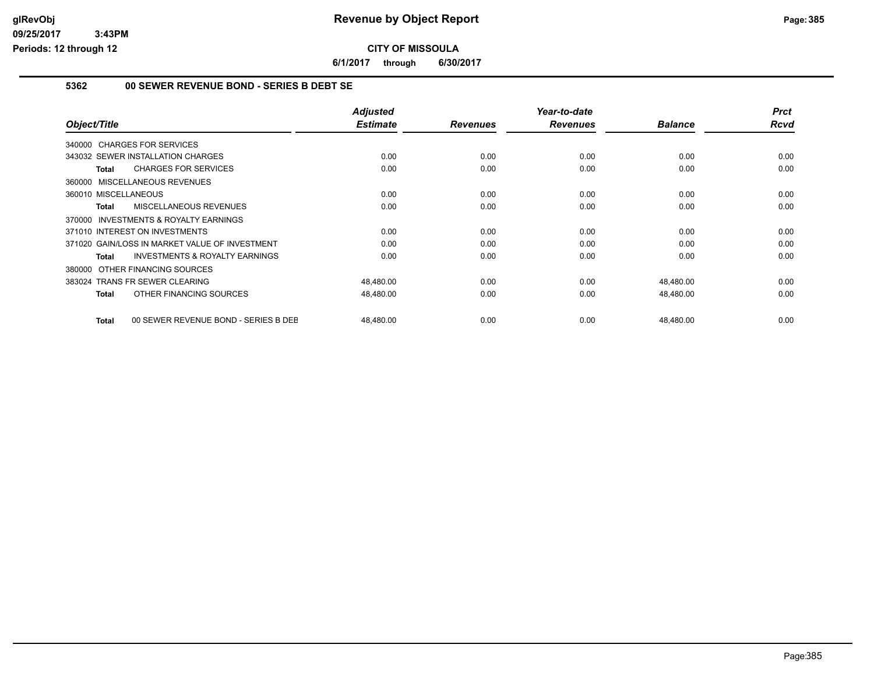**6/1/2017 through 6/30/2017**

#### **5362 00 SEWER REVENUE BOND - SERIES B DEBT SE**

|                                                      | <b>Adjusted</b> |                 | Year-to-date    |                | <b>Prct</b> |
|------------------------------------------------------|-----------------|-----------------|-----------------|----------------|-------------|
| Object/Title                                         | <b>Estimate</b> | <b>Revenues</b> | <b>Revenues</b> | <b>Balance</b> | <b>Rcvd</b> |
| 340000 CHARGES FOR SERVICES                          |                 |                 |                 |                |             |
| 343032 SEWER INSTALLATION CHARGES                    | 0.00            | 0.00            | 0.00            | 0.00           | 0.00        |
| <b>CHARGES FOR SERVICES</b><br><b>Total</b>          | 0.00            | 0.00            | 0.00            | 0.00           | 0.00        |
| 360000 MISCELLANEOUS REVENUES                        |                 |                 |                 |                |             |
| 360010 MISCELLANEOUS                                 | 0.00            | 0.00            | 0.00            | 0.00           | 0.00        |
| MISCELLANEOUS REVENUES<br><b>Total</b>               | 0.00            | 0.00            | 0.00            | 0.00           | 0.00        |
| <b>INVESTMENTS &amp; ROYALTY EARNINGS</b><br>370000  |                 |                 |                 |                |             |
| 371010 INTEREST ON INVESTMENTS                       | 0.00            | 0.00            | 0.00            | 0.00           | 0.00        |
| 371020 GAIN/LOSS IN MARKET VALUE OF INVESTMENT       | 0.00            | 0.00            | 0.00            | 0.00           | 0.00        |
| <b>INVESTMENTS &amp; ROYALTY EARNINGS</b><br>Total   | 0.00            | 0.00            | 0.00            | 0.00           | 0.00        |
| 380000 OTHER FINANCING SOURCES                       |                 |                 |                 |                |             |
| 383024 TRANS FR SEWER CLEARING                       | 48,480.00       | 0.00            | 0.00            | 48,480.00      | 0.00        |
| OTHER FINANCING SOURCES<br><b>Total</b>              | 48,480.00       | 0.00            | 0.00            | 48,480.00      | 0.00        |
|                                                      |                 |                 |                 |                |             |
| 00 SEWER REVENUE BOND - SERIES B DEE<br><b>Total</b> | 48,480.00       | 0.00            | 0.00            | 48,480.00      | 0.00        |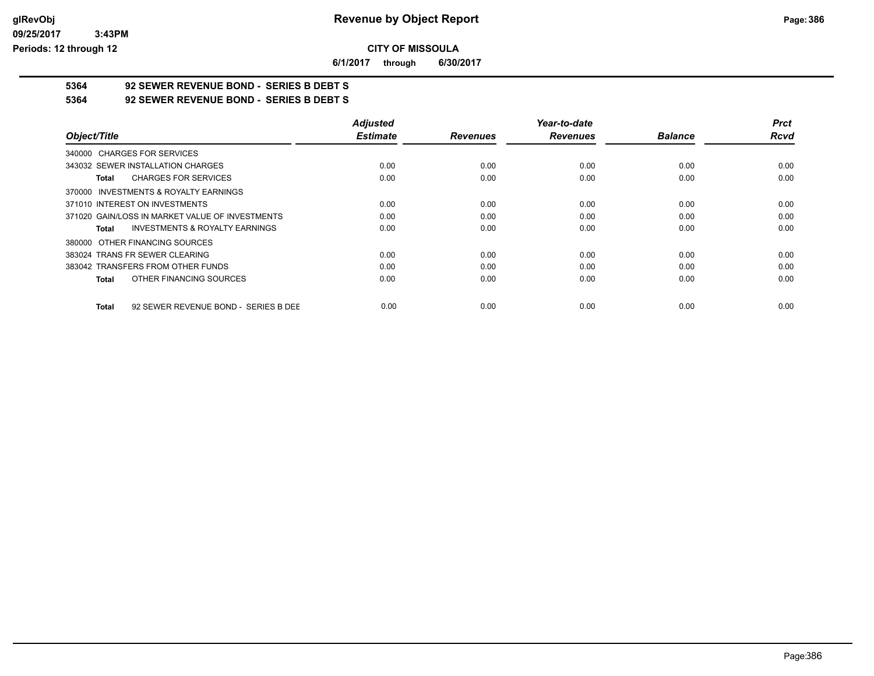**6/1/2017 through 6/30/2017**

## **5364 92 SEWER REVENUE BOND - SERIES B DEBT S**

**5364 92 SEWER REVENUE BOND - SERIES B DEBT S**

|                                                 | <b>Adjusted</b> |                 | Year-to-date    |                | <b>Prct</b> |
|-------------------------------------------------|-----------------|-----------------|-----------------|----------------|-------------|
| Object/Title                                    | <b>Estimate</b> | <b>Revenues</b> | <b>Revenues</b> | <b>Balance</b> | Rcvd        |
| 340000 CHARGES FOR SERVICES                     |                 |                 |                 |                |             |
| 343032 SEWER INSTALLATION CHARGES               | 0.00            | 0.00            | 0.00            | 0.00           | 0.00        |
| <b>CHARGES FOR SERVICES</b><br>Total            | 0.00            | 0.00            | 0.00            | 0.00           | 0.00        |
| 370000 INVESTMENTS & ROYALTY EARNINGS           |                 |                 |                 |                |             |
| 371010 INTEREST ON INVESTMENTS                  | 0.00            | 0.00            | 0.00            | 0.00           | 0.00        |
| 371020 GAIN/LOSS IN MARKET VALUE OF INVESTMENTS | 0.00            | 0.00            | 0.00            | 0.00           | 0.00        |
| INVESTMENTS & ROYALTY EARNINGS<br>Total         | 0.00            | 0.00            | 0.00            | 0.00           | 0.00        |
| 380000 OTHER FINANCING SOURCES                  |                 |                 |                 |                |             |
| 383024 TRANS FR SEWER CLEARING                  | 0.00            | 0.00            | 0.00            | 0.00           | 0.00        |
| 383042 TRANSFERS FROM OTHER FUNDS               | 0.00            | 0.00            | 0.00            | 0.00           | 0.00        |
| OTHER FINANCING SOURCES<br>Total                | 0.00            | 0.00            | 0.00            | 0.00           | 0.00        |
| 92 SEWER REVENUE BOND - SERIES B DEE<br>Total   | 0.00            | 0.00            | 0.00            | 0.00           | 0.00        |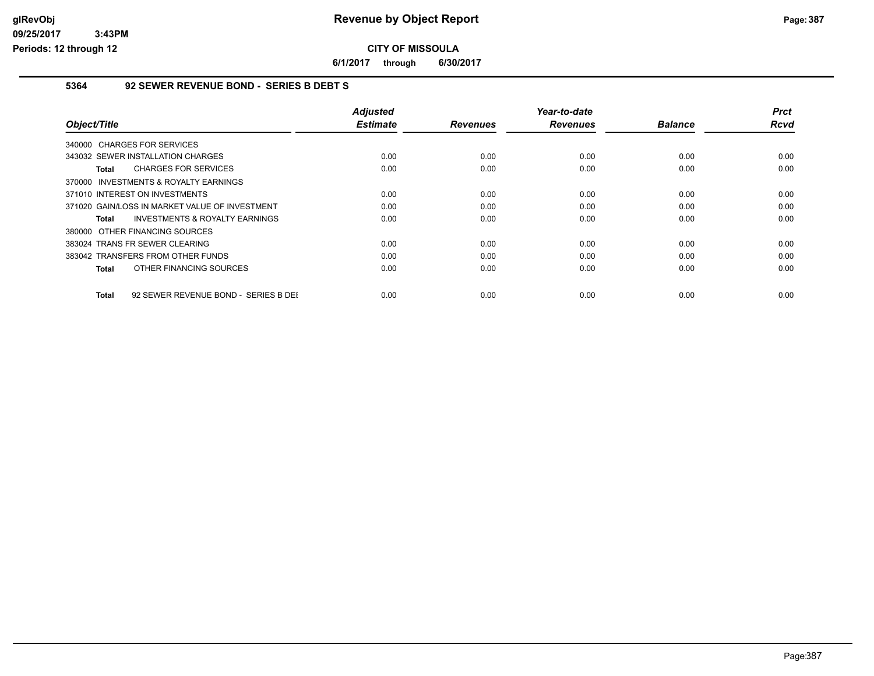**6/1/2017 through 6/30/2017**

#### **5364 92 SEWER REVENUE BOND - SERIES B DEBT S**

| Object/Title                                              | <b>Adjusted</b><br><b>Estimate</b> | <b>Revenues</b> | Year-to-date<br><b>Revenues</b> | <b>Balance</b> | <b>Prct</b><br>Rcvd |
|-----------------------------------------------------------|------------------------------------|-----------------|---------------------------------|----------------|---------------------|
| 340000 CHARGES FOR SERVICES                               |                                    |                 |                                 |                |                     |
| 343032 SEWER INSTALLATION CHARGES                         | 0.00                               | 0.00            | 0.00                            | 0.00           | 0.00                |
| <b>CHARGES FOR SERVICES</b><br><b>Total</b>               | 0.00                               | 0.00            | 0.00                            | 0.00           | 0.00                |
| 370000 INVESTMENTS & ROYALTY EARNINGS                     |                                    |                 |                                 |                |                     |
| 371010 INTEREST ON INVESTMENTS                            | 0.00                               | 0.00            | 0.00                            | 0.00           | 0.00                |
| 371020 GAIN/LOSS IN MARKET VALUE OF INVESTMENT            | 0.00                               | 0.00            | 0.00                            | 0.00           | 0.00                |
| <b>INVESTMENTS &amp; ROYALTY EARNINGS</b><br><b>Total</b> | 0.00                               | 0.00            | 0.00                            | 0.00           | 0.00                |
| 380000 OTHER FINANCING SOURCES                            |                                    |                 |                                 |                |                     |
| 383024 TRANS FR SEWER CLEARING                            | 0.00                               | 0.00            | 0.00                            | 0.00           | 0.00                |
| 383042 TRANSFERS FROM OTHER FUNDS                         | 0.00                               | 0.00            | 0.00                            | 0.00           | 0.00                |
| OTHER FINANCING SOURCES<br><b>Total</b>                   | 0.00                               | 0.00            | 0.00                            | 0.00           | 0.00                |
| 92 SEWER REVENUE BOND - SERIES B DEI<br><b>Total</b>      | 0.00                               | 0.00            | 0.00                            | 0.00           | 0.00                |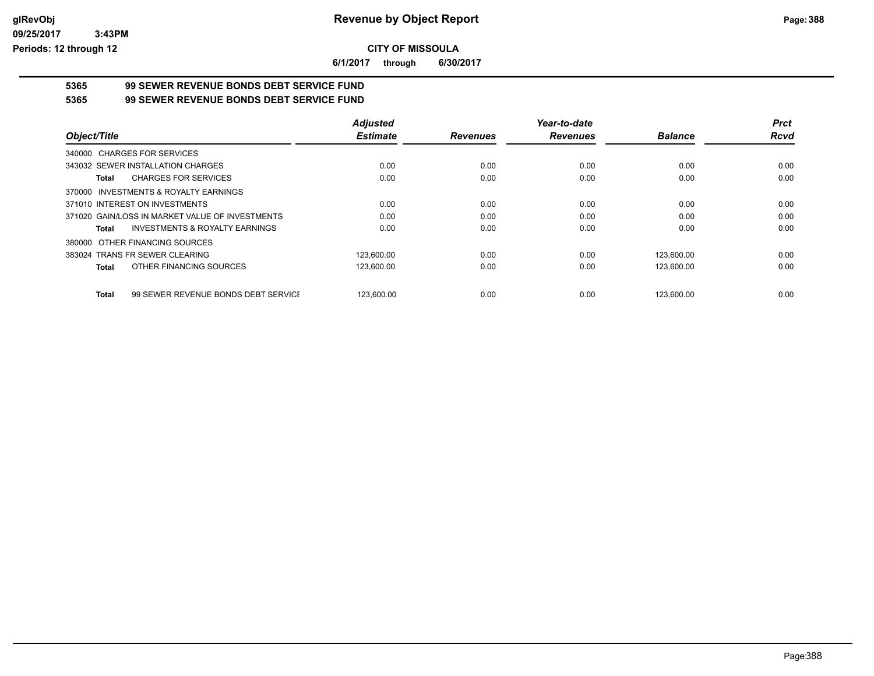**6/1/2017 through 6/30/2017**

# **5365 99 SEWER REVENUE BONDS DEBT SERVICE FUND**

## **5365 99 SEWER REVENUE BONDS DEBT SERVICE FUND**

| Object/Title                                        | <b>Adjusted</b><br><b>Estimate</b> | <b>Revenues</b> | Year-to-date<br><b>Revenues</b> | <b>Balance</b> | <b>Prct</b><br><b>Rcvd</b> |
|-----------------------------------------------------|------------------------------------|-----------------|---------------------------------|----------------|----------------------------|
|                                                     |                                    |                 |                                 |                |                            |
| 340000 CHARGES FOR SERVICES                         |                                    |                 |                                 |                |                            |
| 343032 SEWER INSTALLATION CHARGES                   | 0.00                               | 0.00            | 0.00                            | 0.00           | 0.00                       |
| <b>CHARGES FOR SERVICES</b><br>Total                | 0.00                               | 0.00            | 0.00                            | 0.00           | 0.00                       |
| 370000 INVESTMENTS & ROYALTY EARNINGS               |                                    |                 |                                 |                |                            |
| 371010 INTEREST ON INVESTMENTS                      | 0.00                               | 0.00            | 0.00                            | 0.00           | 0.00                       |
| 371020 GAIN/LOSS IN MARKET VALUE OF INVESTMENTS     | 0.00                               | 0.00            | 0.00                            | 0.00           | 0.00                       |
| <b>INVESTMENTS &amp; ROYALTY EARNINGS</b><br>Total  | 0.00                               | 0.00            | 0.00                            | 0.00           | 0.00                       |
| OTHER FINANCING SOURCES<br>380000                   |                                    |                 |                                 |                |                            |
| 383024 TRANS FR SEWER CLEARING                      | 123,600.00                         | 0.00            | 0.00                            | 123,600.00     | 0.00                       |
| OTHER FINANCING SOURCES<br><b>Total</b>             | 123,600.00                         | 0.00            | 0.00                            | 123,600.00     | 0.00                       |
| 99 SEWER REVENUE BONDS DEBT SERVICE<br><b>Total</b> | 123.600.00                         | 0.00            | 0.00                            | 123.600.00     | 0.00                       |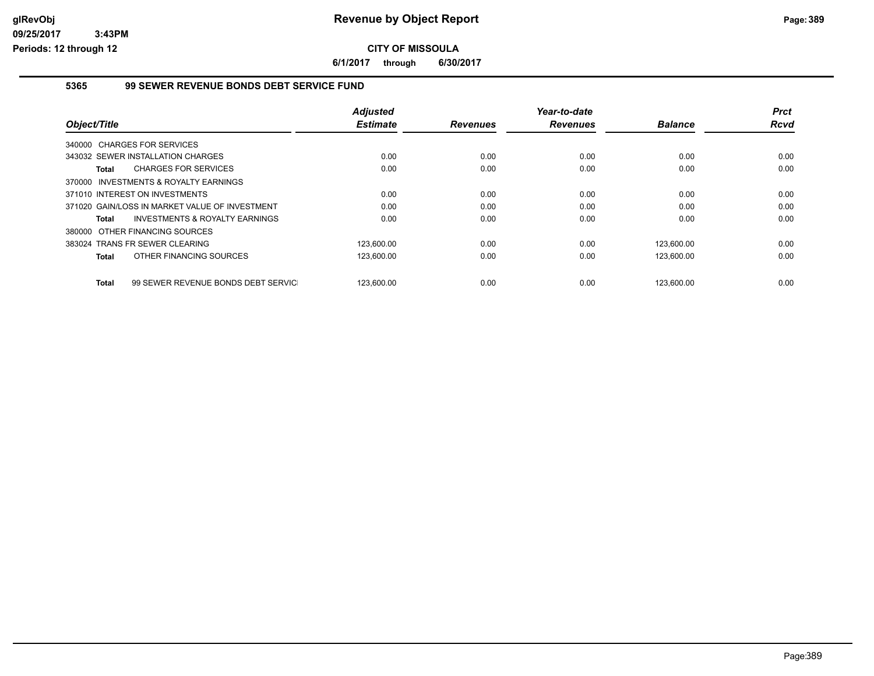**6/1/2017 through 6/30/2017**

#### **5365 99 SEWER REVENUE BONDS DEBT SERVICE FUND**

|                                                    | <b>Adjusted</b> |                 | Year-to-date    |                | <b>Prct</b> |
|----------------------------------------------------|-----------------|-----------------|-----------------|----------------|-------------|
| Object/Title                                       | <b>Estimate</b> | <b>Revenues</b> | <b>Revenues</b> | <b>Balance</b> | <b>Rcvd</b> |
| 340000 CHARGES FOR SERVICES                        |                 |                 |                 |                |             |
| 343032 SEWER INSTALLATION CHARGES                  | 0.00            | 0.00            | 0.00            | 0.00           | 0.00        |
| <b>CHARGES FOR SERVICES</b><br>Total               | 0.00            | 0.00            | 0.00            | 0.00           | 0.00        |
| 370000 INVESTMENTS & ROYALTY EARNINGS              |                 |                 |                 |                |             |
| 371010 INTEREST ON INVESTMENTS                     | 0.00            | 0.00            | 0.00            | 0.00           | 0.00        |
| 371020 GAIN/LOSS IN MARKET VALUE OF INVESTMENT     | 0.00            | 0.00            | 0.00            | 0.00           | 0.00        |
| <b>INVESTMENTS &amp; ROYALTY EARNINGS</b><br>Total | 0.00            | 0.00            | 0.00            | 0.00           | 0.00        |
| 380000 OTHER FINANCING SOURCES                     |                 |                 |                 |                |             |
| 383024 TRANS FR SEWER CLEARING                     | 123.600.00      | 0.00            | 0.00            | 123.600.00     | 0.00        |
| OTHER FINANCING SOURCES<br>Total                   | 123,600.00      | 0.00            | 0.00            | 123,600.00     | 0.00        |
|                                                    |                 |                 |                 |                |             |
| 99 SEWER REVENUE BONDS DEBT SERVIC<br>Total        | 123,600.00      | 0.00            | 0.00            | 123.600.00     | 0.00        |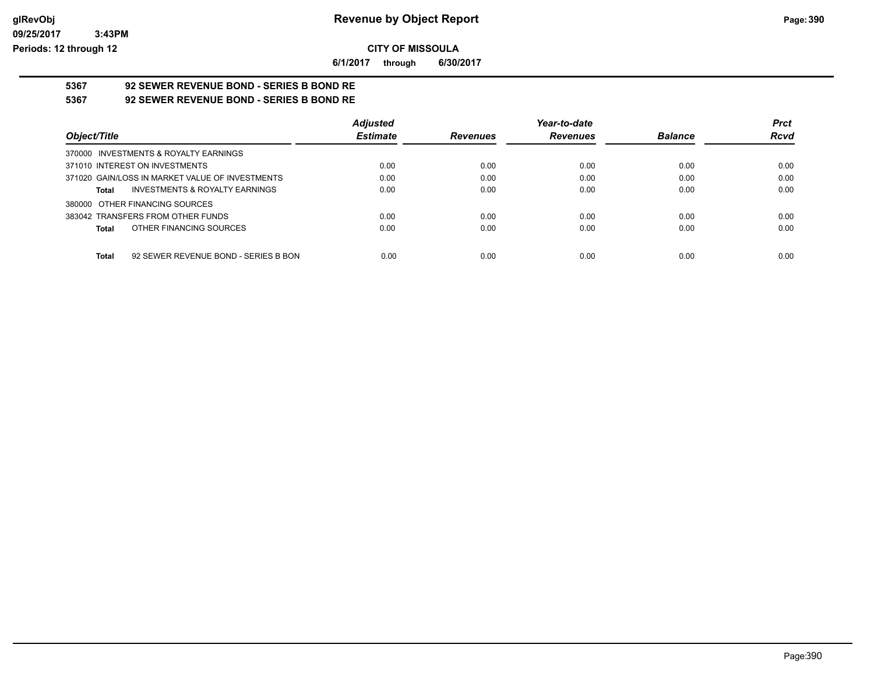#### **6/1/2017 through 6/30/2017**

## **5367 92 SEWER REVENUE BOND - SERIES B BOND RE**

**5367 92 SEWER REVENUE BOND - SERIES B BOND RE**

|                                                      | <b>Adjusted</b> |                 | Year-to-date    |                | <b>Prct</b> |
|------------------------------------------------------|-----------------|-----------------|-----------------|----------------|-------------|
| Object/Title                                         | <b>Estimate</b> | <b>Revenues</b> | <b>Revenues</b> | <b>Balance</b> | <b>Rcvd</b> |
| 370000 INVESTMENTS & ROYALTY EARNINGS                |                 |                 |                 |                |             |
| 371010 INTEREST ON INVESTMENTS                       | 0.00            | 0.00            | 0.00            | 0.00           | 0.00        |
| 371020 GAIN/LOSS IN MARKET VALUE OF INVESTMENTS      | 0.00            | 0.00            | 0.00            | 0.00           | 0.00        |
| INVESTMENTS & ROYALTY EARNINGS<br>Total              | 0.00            | 0.00            | 0.00            | 0.00           | 0.00        |
| 380000 OTHER FINANCING SOURCES                       |                 |                 |                 |                |             |
| 383042 TRANSFERS FROM OTHER FUNDS                    | 0.00            | 0.00            | 0.00            | 0.00           | 0.00        |
| OTHER FINANCING SOURCES<br>Total                     | 0.00            | 0.00            | 0.00            | 0.00           | 0.00        |
|                                                      |                 |                 |                 |                |             |
| <b>Total</b><br>92 SEWER REVENUE BOND - SERIES B BON | 0.00            | 0.00            | 0.00            | 0.00           | 0.00        |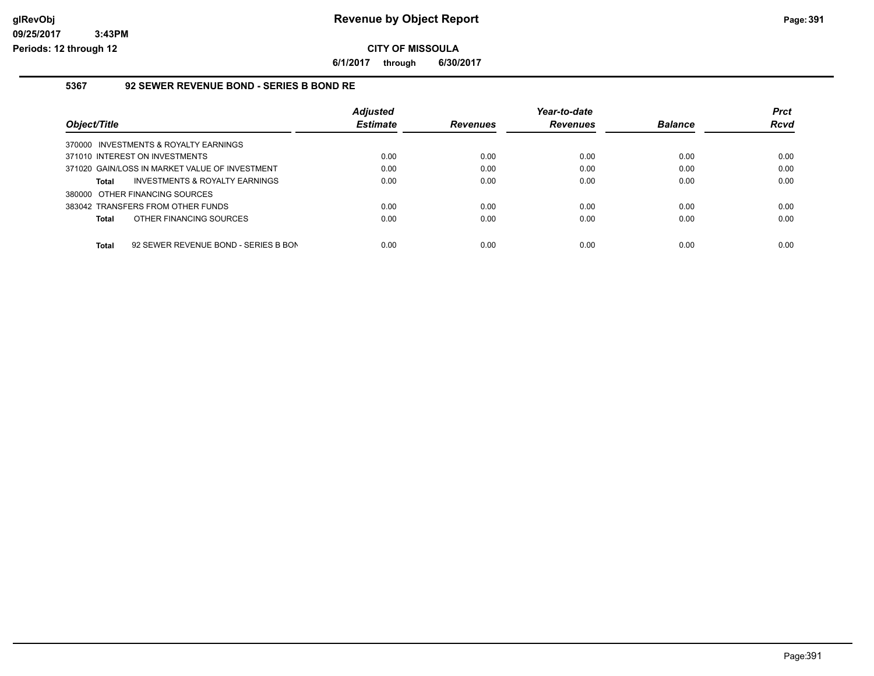**6/1/2017 through 6/30/2017**

#### **5367 92 SEWER REVENUE BOND - SERIES B BOND RE**

| Object/Title                                   | <b>Adjusted</b><br><b>Estimate</b> | <b>Revenues</b> | Year-to-date<br><b>Revenues</b> | <b>Balance</b> | <b>Prct</b><br><b>Rcvd</b> |
|------------------------------------------------|------------------------------------|-----------------|---------------------------------|----------------|----------------------------|
|                                                |                                    |                 |                                 |                |                            |
| 370000 INVESTMENTS & ROYALTY EARNINGS          |                                    |                 |                                 |                |                            |
| 371010 INTEREST ON INVESTMENTS                 | 0.00                               | 0.00            | 0.00                            | 0.00           | 0.00                       |
| 371020 GAIN/LOSS IN MARKET VALUE OF INVESTMENT | 0.00                               | 0.00            | 0.00                            | 0.00           | 0.00                       |
| INVESTMENTS & ROYALTY EARNINGS<br>Total        | 0.00                               | 0.00            | 0.00                            | 0.00           | 0.00                       |
| 380000 OTHER FINANCING SOURCES                 |                                    |                 |                                 |                |                            |
| 383042 TRANSFERS FROM OTHER FUNDS              | 0.00                               | 0.00            | 0.00                            | 0.00           | 0.00                       |
| OTHER FINANCING SOURCES<br>Total               | 0.00                               | 0.00            | 0.00                            | 0.00           | 0.00                       |
|                                                |                                    |                 |                                 |                |                            |
| Total<br>92 SEWER REVENUE BOND - SERIES B BON  | 0.00                               | 0.00            | 0.00                            | 0.00           | 0.00                       |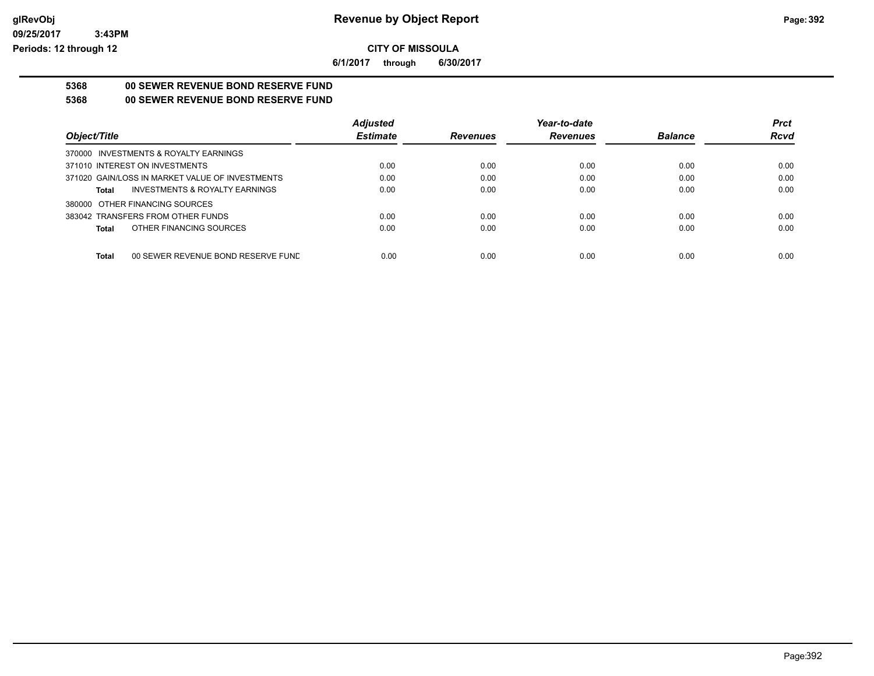**6/1/2017 through 6/30/2017**

# **5368 00 SEWER REVENUE BOND RESERVE FUND**

## **5368 00 SEWER REVENUE BOND RESERVE FUND**

|                                                    | <b>Adjusted</b> |                 | Year-to-date    |                | <b>Prct</b> |
|----------------------------------------------------|-----------------|-----------------|-----------------|----------------|-------------|
| Object/Title                                       | <b>Estimate</b> | <b>Revenues</b> | <b>Revenues</b> | <b>Balance</b> | <b>Rcvd</b> |
| 370000 INVESTMENTS & ROYALTY EARNINGS              |                 |                 |                 |                |             |
| 371010 INTEREST ON INVESTMENTS                     | 0.00            | 0.00            | 0.00            | 0.00           | 0.00        |
| 371020 GAIN/LOSS IN MARKET VALUE OF INVESTMENTS    | 0.00            | 0.00            | 0.00            | 0.00           | 0.00        |
| <b>INVESTMENTS &amp; ROYALTY EARNINGS</b><br>Total | 0.00            | 0.00            | 0.00            | 0.00           | 0.00        |
| 380000 OTHER FINANCING SOURCES                     |                 |                 |                 |                |             |
| 383042 TRANSFERS FROM OTHER FUNDS                  | 0.00            | 0.00            | 0.00            | 0.00           | 0.00        |
| OTHER FINANCING SOURCES<br>Total                   | 0.00            | 0.00            | 0.00            | 0.00           | 0.00        |
|                                                    |                 |                 |                 |                |             |
| <b>Total</b><br>00 SEWER REVENUE BOND RESERVE FUND | 0.00            | 0.00            | 0.00            | 0.00           | 0.00        |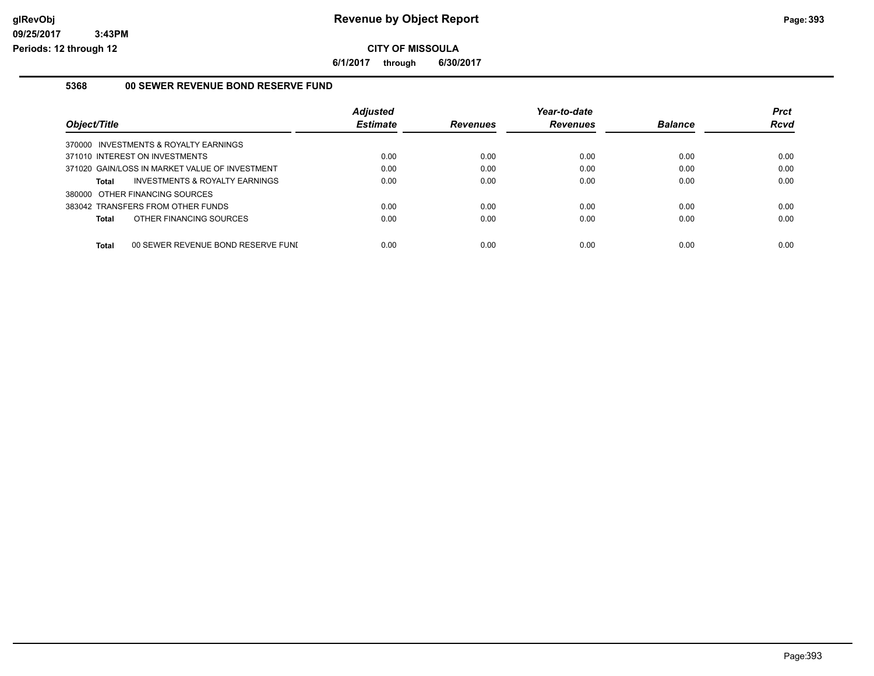**6/1/2017 through 6/30/2017**

#### **5368 00 SEWER REVENUE BOND RESERVE FUND**

|                                                | <b>Adjusted</b> |                 | Year-to-date    |                | <b>Prct</b> |
|------------------------------------------------|-----------------|-----------------|-----------------|----------------|-------------|
| Object/Title                                   | <b>Estimate</b> | <b>Revenues</b> | <b>Revenues</b> | <b>Balance</b> | Rcvd        |
| 370000 INVESTMENTS & ROYALTY EARNINGS          |                 |                 |                 |                |             |
| 371010 INTEREST ON INVESTMENTS                 | 0.00            | 0.00            | 0.00            | 0.00           | 0.00        |
| 371020 GAIN/LOSS IN MARKET VALUE OF INVESTMENT | 0.00            | 0.00            | 0.00            | 0.00           | 0.00        |
| INVESTMENTS & ROYALTY EARNINGS<br>Total        | 0.00            | 0.00            | 0.00            | 0.00           | 0.00        |
| 380000 OTHER FINANCING SOURCES                 |                 |                 |                 |                |             |
| 383042 TRANSFERS FROM OTHER FUNDS              | 0.00            | 0.00            | 0.00            | 0.00           | 0.00        |
| OTHER FINANCING SOURCES<br>Total               | 0.00            | 0.00            | 0.00            | 0.00           | 0.00        |
|                                                |                 |                 |                 |                |             |
| Total<br>00 SEWER REVENUE BOND RESERVE FUNI    | 0.00            | 0.00            | 0.00            | 0.00           | 0.00        |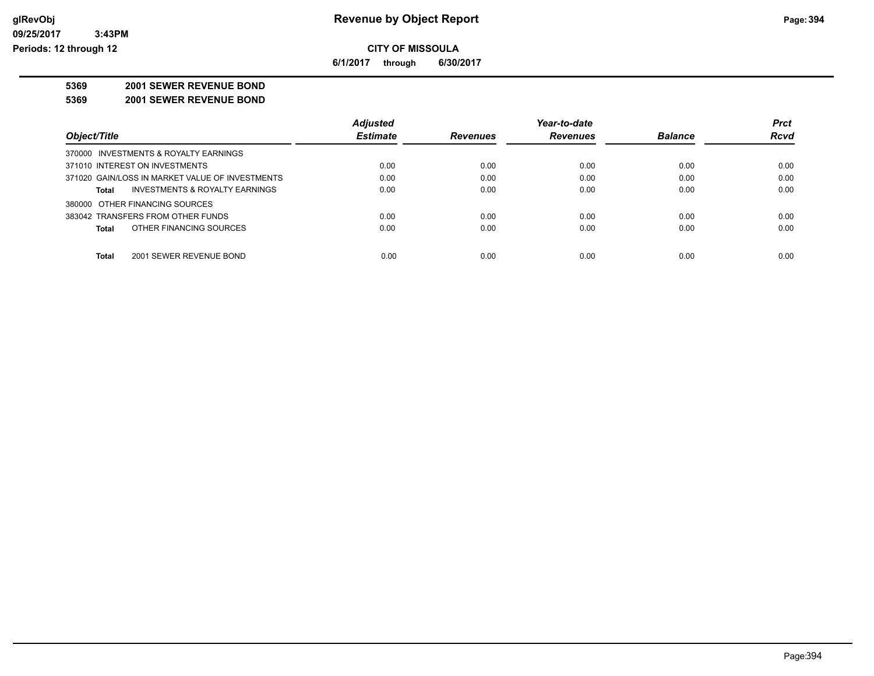**6/1/2017 through 6/30/2017**

#### **5369 2001 SEWER REVENUE BOND**

**5369 2001 SEWER REVENUE BOND**

|                                                 | <b>Adjusted</b> |                 | Year-to-date    |                | <b>Prct</b> |
|-------------------------------------------------|-----------------|-----------------|-----------------|----------------|-------------|
| Object/Title                                    | <b>Estimate</b> | <b>Revenues</b> | <b>Revenues</b> | <b>Balance</b> | <b>Rcvd</b> |
| 370000 INVESTMENTS & ROYALTY EARNINGS           |                 |                 |                 |                |             |
| 371010 INTEREST ON INVESTMENTS                  | 0.00            | 0.00            | 0.00            | 0.00           | 0.00        |
| 371020 GAIN/LOSS IN MARKET VALUE OF INVESTMENTS | 0.00            | 0.00            | 0.00            | 0.00           | 0.00        |
| INVESTMENTS & ROYALTY EARNINGS<br>Total         | 0.00            | 0.00            | 0.00            | 0.00           | 0.00        |
| 380000 OTHER FINANCING SOURCES                  |                 |                 |                 |                |             |
| 383042 TRANSFERS FROM OTHER FUNDS               | 0.00            | 0.00            | 0.00            | 0.00           | 0.00        |
| OTHER FINANCING SOURCES<br><b>Total</b>         | 0.00            | 0.00            | 0.00            | 0.00           | 0.00        |
| <b>Total</b><br>2001 SEWER REVENUE BOND         | 0.00            | 0.00            | 0.00            | 0.00           | 0.00        |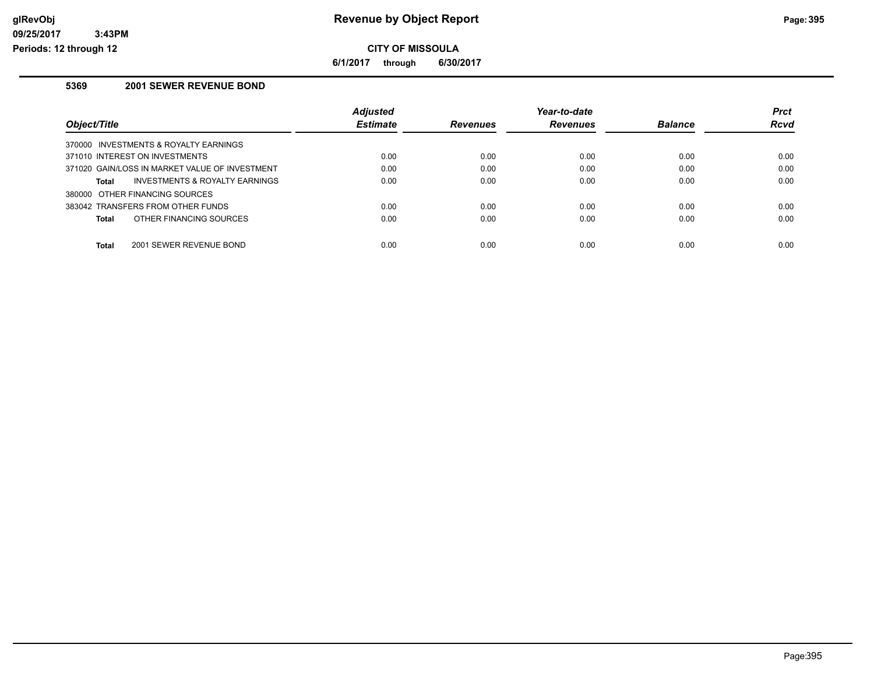**6/1/2017 through 6/30/2017**

#### **5369 2001 SEWER REVENUE BOND**

|                                                    | <b>Adjusted</b> |                 | Year-to-date    |                | <b>Prct</b> |
|----------------------------------------------------|-----------------|-----------------|-----------------|----------------|-------------|
| Object/Title                                       | <b>Estimate</b> | <b>Revenues</b> | <b>Revenues</b> | <b>Balance</b> | <b>Rcvd</b> |
| 370000 INVESTMENTS & ROYALTY EARNINGS              |                 |                 |                 |                |             |
| 371010 INTEREST ON INVESTMENTS                     | 0.00            | 0.00            | 0.00            | 0.00           | 0.00        |
| 371020 GAIN/LOSS IN MARKET VALUE OF INVESTMENT     | 0.00            | 0.00            | 0.00            | 0.00           | 0.00        |
| <b>INVESTMENTS &amp; ROYALTY EARNINGS</b><br>Total | 0.00            | 0.00            | 0.00            | 0.00           | 0.00        |
| 380000 OTHER FINANCING SOURCES                     |                 |                 |                 |                |             |
| 383042 TRANSFERS FROM OTHER FUNDS                  | 0.00            | 0.00            | 0.00            | 0.00           | 0.00        |
| OTHER FINANCING SOURCES<br><b>Total</b>            | 0.00            | 0.00            | 0.00            | 0.00           | 0.00        |
| <b>Total</b><br>2001 SEWER REVENUE BOND            | 0.00            | 0.00            | 0.00            | 0.00           | 0.00        |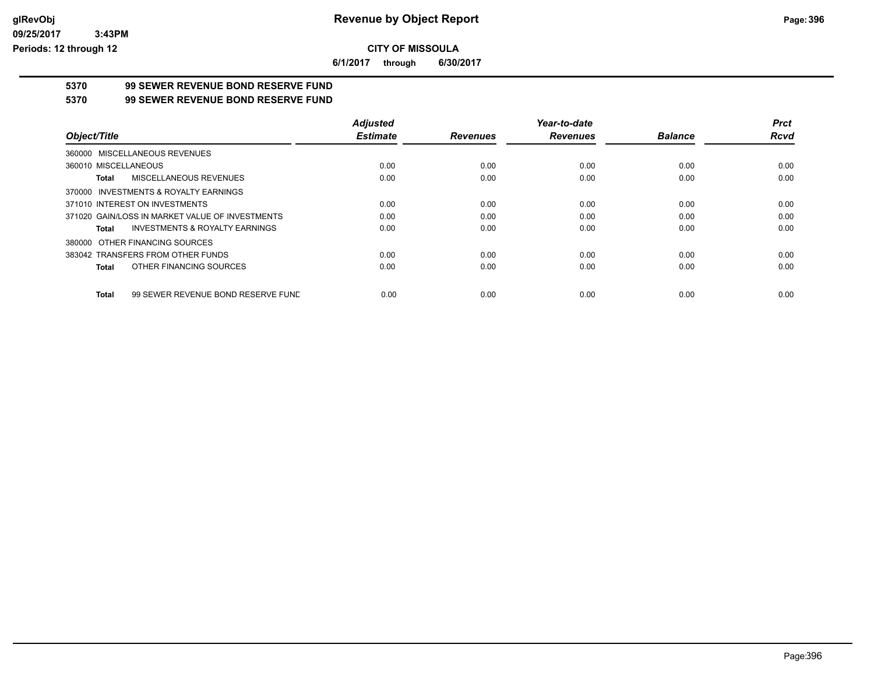**6/1/2017 through 6/30/2017**

## **5370 99 SEWER REVENUE BOND RESERVE FUND**

### **5370 99 SEWER REVENUE BOND RESERVE FUND**

| Object/Title                                       | <b>Adjusted</b><br><b>Estimate</b> | <b>Revenues</b> | Year-to-date<br><b>Revenues</b> | <b>Balance</b> | <b>Prct</b><br><b>Rcvd</b> |
|----------------------------------------------------|------------------------------------|-----------------|---------------------------------|----------------|----------------------------|
| 360000 MISCELLANEOUS REVENUES                      |                                    |                 |                                 |                |                            |
|                                                    |                                    |                 |                                 |                |                            |
| 360010 MISCELLANEOUS                               | 0.00                               | 0.00            | 0.00                            | 0.00           | 0.00                       |
| MISCELLANEOUS REVENUES<br>Total                    | 0.00                               | 0.00            | 0.00                            | 0.00           | 0.00                       |
| 370000 INVESTMENTS & ROYALTY EARNINGS              |                                    |                 |                                 |                |                            |
| 371010 INTEREST ON INVESTMENTS                     | 0.00                               | 0.00            | 0.00                            | 0.00           | 0.00                       |
| 371020 GAIN/LOSS IN MARKET VALUE OF INVESTMENTS    | 0.00                               | 0.00            | 0.00                            | 0.00           | 0.00                       |
| <b>INVESTMENTS &amp; ROYALTY EARNINGS</b><br>Total | 0.00                               | 0.00            | 0.00                            | 0.00           | 0.00                       |
| 380000 OTHER FINANCING SOURCES                     |                                    |                 |                                 |                |                            |
| 383042 TRANSFERS FROM OTHER FUNDS                  | 0.00                               | 0.00            | 0.00                            | 0.00           | 0.00                       |
| OTHER FINANCING SOURCES<br>Total                   | 0.00                               | 0.00            | 0.00                            | 0.00           | 0.00                       |
| 99 SEWER REVENUE BOND RESERVE FUND<br><b>Total</b> | 0.00                               | 0.00            | 0.00                            | 0.00           | 0.00                       |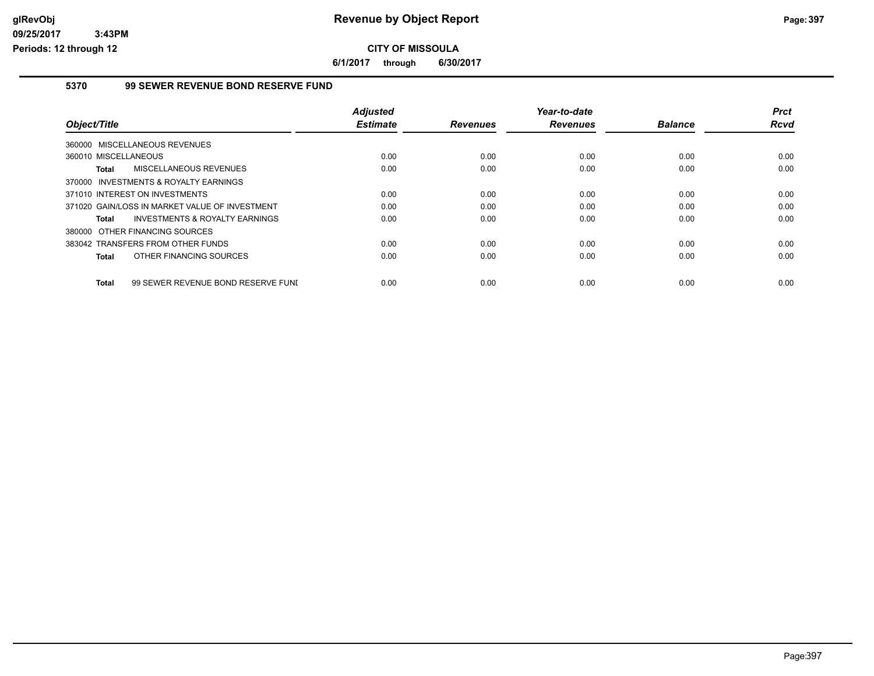**6/1/2017 through 6/30/2017**

### **5370 99 SEWER REVENUE BOND RESERVE FUND**

|                                                           | <b>Adiusted</b> |                 | Year-to-date    |                | <b>Prct</b> |
|-----------------------------------------------------------|-----------------|-----------------|-----------------|----------------|-------------|
| Object/Title                                              | <b>Estimate</b> | <b>Revenues</b> | <b>Revenues</b> | <b>Balance</b> | <b>Rcvd</b> |
| 360000 MISCELLANEOUS REVENUES                             |                 |                 |                 |                |             |
| 360010 MISCELLANEOUS                                      | 0.00            | 0.00            | 0.00            | 0.00           | 0.00        |
| MISCELLANEOUS REVENUES<br><b>Total</b>                    | 0.00            | 0.00            | 0.00            | 0.00           | 0.00        |
| 370000 INVESTMENTS & ROYALTY EARNINGS                     |                 |                 |                 |                |             |
| 371010 INTEREST ON INVESTMENTS                            | 0.00            | 0.00            | 0.00            | 0.00           | 0.00        |
| 371020 GAIN/LOSS IN MARKET VALUE OF INVESTMENT            | 0.00            | 0.00            | 0.00            | 0.00           | 0.00        |
| <b>INVESTMENTS &amp; ROYALTY EARNINGS</b><br><b>Total</b> | 0.00            | 0.00            | 0.00            | 0.00           | 0.00        |
| 380000 OTHER FINANCING SOURCES                            |                 |                 |                 |                |             |
| 383042 TRANSFERS FROM OTHER FUNDS                         | 0.00            | 0.00            | 0.00            | 0.00           | 0.00        |
| OTHER FINANCING SOURCES<br><b>Total</b>                   | 0.00            | 0.00            | 0.00            | 0.00           | 0.00        |
| <b>Total</b><br>99 SEWER REVENUE BOND RESERVE FUNI        | 0.00            | 0.00            | 0.00            | 0.00           | 0.00        |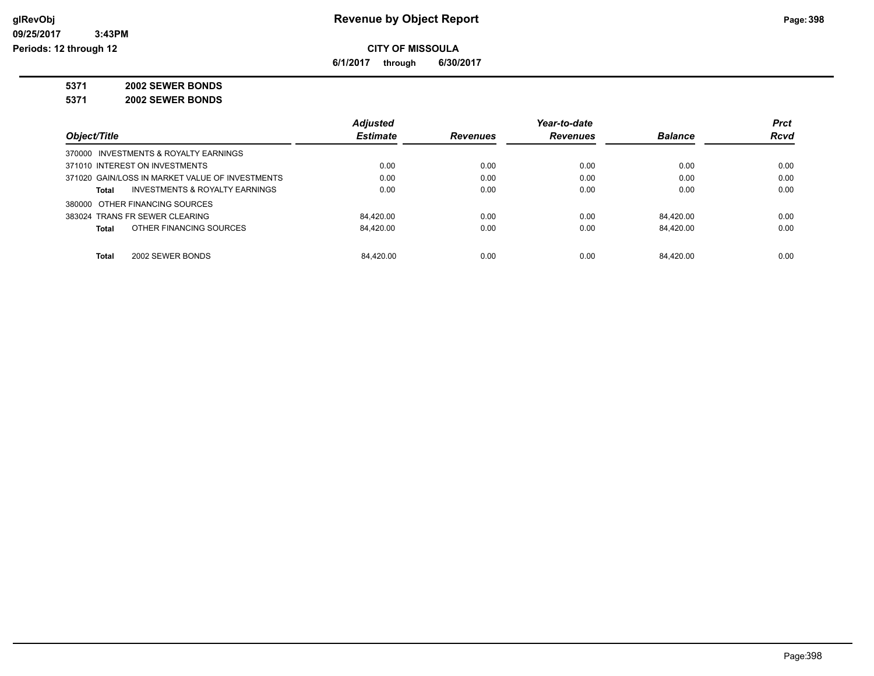**6/1/2017 through 6/30/2017**

**5371 2002 SEWER BONDS**

**5371 2002 SEWER BONDS**

|                                                 | <b>Adjusted</b> |                 | Year-to-date    |                | <b>Prct</b> |
|-------------------------------------------------|-----------------|-----------------|-----------------|----------------|-------------|
| Object/Title                                    | <b>Estimate</b> | <b>Revenues</b> | <b>Revenues</b> | <b>Balance</b> | Rcvd        |
| 370000 INVESTMENTS & ROYALTY EARNINGS           |                 |                 |                 |                |             |
| 371010 INTEREST ON INVESTMENTS                  | 0.00            | 0.00            | 0.00            | 0.00           | 0.00        |
| 371020 GAIN/LOSS IN MARKET VALUE OF INVESTMENTS | 0.00            | 0.00            | 0.00            | 0.00           | 0.00        |
| INVESTMENTS & ROYALTY EARNINGS<br>Total         | 0.00            | 0.00            | 0.00            | 0.00           | 0.00        |
| 380000 OTHER FINANCING SOURCES                  |                 |                 |                 |                |             |
| 383024 TRANS FR SEWER CLEARING                  | 84.420.00       | 0.00            | 0.00            | 84.420.00      | 0.00        |
| OTHER FINANCING SOURCES<br>Total                | 84.420.00       | 0.00            | 0.00            | 84.420.00      | 0.00        |
|                                                 |                 |                 |                 |                |             |
| 2002 SEWER BONDS<br>Total                       | 84.420.00       | 0.00            | 0.00            | 84.420.00      | 0.00        |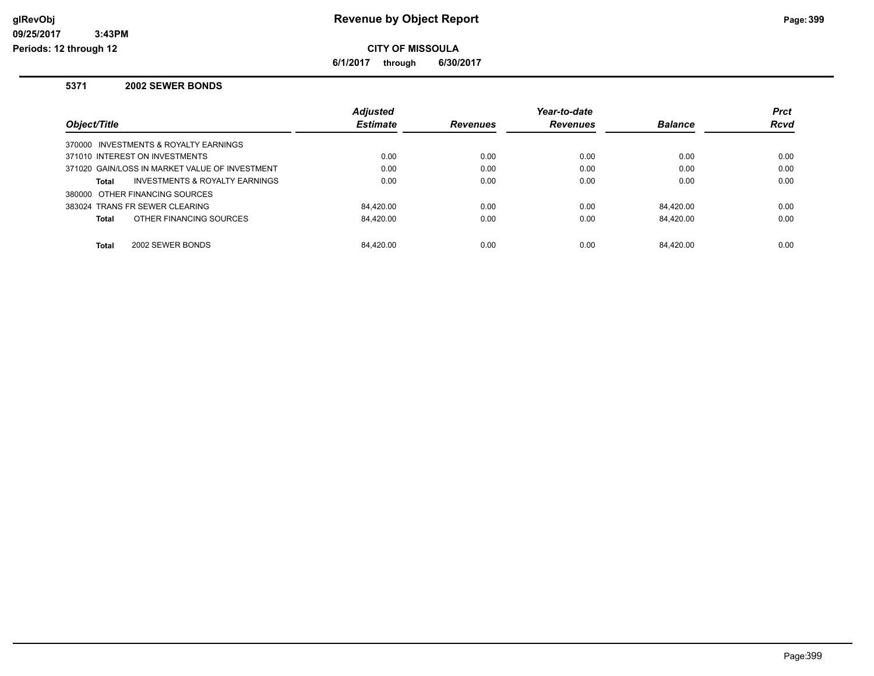**6/1/2017 through 6/30/2017**

#### **5371 2002 SEWER BONDS**

|                                                | Adjusted        |                 | Year-to-date    |                | <b>Prct</b> |
|------------------------------------------------|-----------------|-----------------|-----------------|----------------|-------------|
| Object/Title                                   | <b>Estimate</b> | <b>Revenues</b> | <b>Revenues</b> | <b>Balance</b> | <b>Rcvd</b> |
| 370000 INVESTMENTS & ROYALTY EARNINGS          |                 |                 |                 |                |             |
| 371010 INTEREST ON INVESTMENTS                 | 0.00            | 0.00            | 0.00            | 0.00           | 0.00        |
| 371020 GAIN/LOSS IN MARKET VALUE OF INVESTMENT | 0.00            | 0.00            | 0.00            | 0.00           | 0.00        |
| INVESTMENTS & ROYALTY EARNINGS<br><b>Total</b> | 0.00            | 0.00            | 0.00            | 0.00           | 0.00        |
| OTHER FINANCING SOURCES<br>380000              |                 |                 |                 |                |             |
| 383024 TRANS FR SEWER CLEARING                 | 84.420.00       | 0.00            | 0.00            | 84.420.00      | 0.00        |
| OTHER FINANCING SOURCES<br><b>Total</b>        | 84.420.00       | 0.00            | 0.00            | 84.420.00      | 0.00        |
| <b>Total</b><br>2002 SEWER BONDS               | 84.420.00       | 0.00            | 0.00            | 84.420.00      | 0.00        |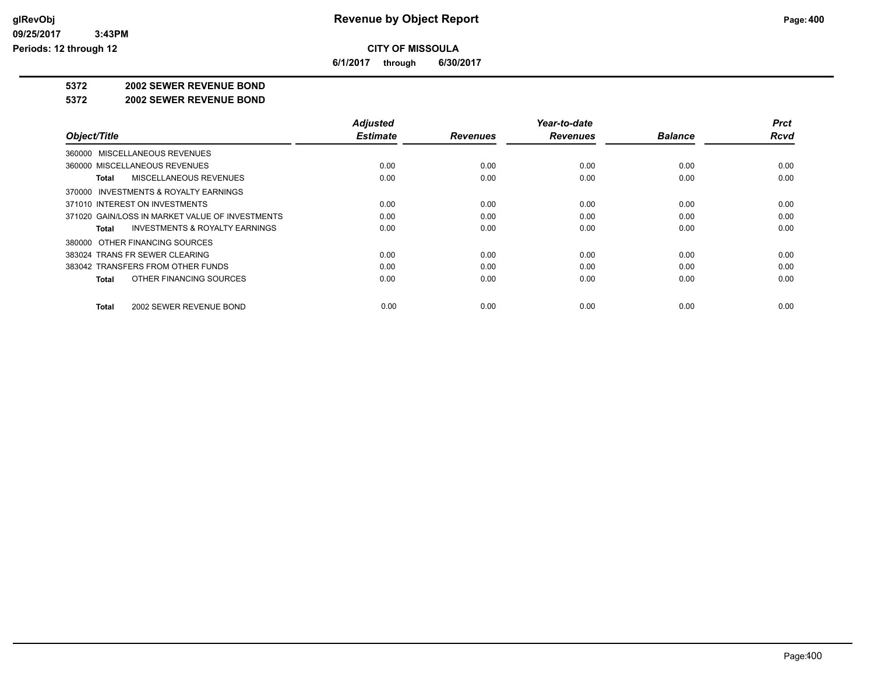**6/1/2017 through 6/30/2017**

#### **5372 2002 SEWER REVENUE BOND**

#### **5372 2002 SEWER REVENUE BOND**

|                                                 | <b>Adjusted</b> |                 | Year-to-date    |                | <b>Prct</b> |
|-------------------------------------------------|-----------------|-----------------|-----------------|----------------|-------------|
| Object/Title                                    | <b>Estimate</b> | <b>Revenues</b> | <b>Revenues</b> | <b>Balance</b> | <b>Rcvd</b> |
| 360000 MISCELLANEOUS REVENUES                   |                 |                 |                 |                |             |
| 360000 MISCELLANEOUS REVENUES                   | 0.00            | 0.00            | 0.00            | 0.00           | 0.00        |
| MISCELLANEOUS REVENUES<br>Total                 | 0.00            | 0.00            | 0.00            | 0.00           | 0.00        |
| 370000 INVESTMENTS & ROYALTY EARNINGS           |                 |                 |                 |                |             |
| 371010 INTEREST ON INVESTMENTS                  | 0.00            | 0.00            | 0.00            | 0.00           | 0.00        |
| 371020 GAIN/LOSS IN MARKET VALUE OF INVESTMENTS | 0.00            | 0.00            | 0.00            | 0.00           | 0.00        |
| INVESTMENTS & ROYALTY EARNINGS<br>Total         | 0.00            | 0.00            | 0.00            | 0.00           | 0.00        |
| 380000 OTHER FINANCING SOURCES                  |                 |                 |                 |                |             |
| 383024 TRANS FR SEWER CLEARING                  | 0.00            | 0.00            | 0.00            | 0.00           | 0.00        |
| 383042 TRANSFERS FROM OTHER FUNDS               | 0.00            | 0.00            | 0.00            | 0.00           | 0.00        |
| OTHER FINANCING SOURCES<br>Total                | 0.00            | 0.00            | 0.00            | 0.00           | 0.00        |
| 2002 SEWER REVENUE BOND<br>Total                | 0.00            | 0.00            | 0.00            | 0.00           | 0.00        |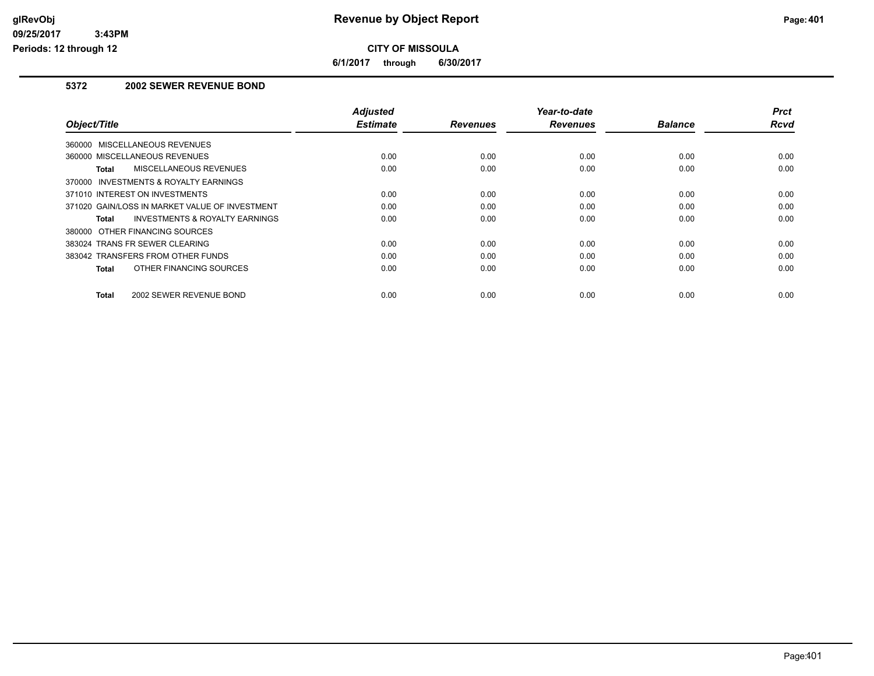**6/1/2017 through 6/30/2017**

### **5372 2002 SEWER REVENUE BOND**

| Object/Title                                       | <b>Adjusted</b><br><b>Estimate</b> | <b>Revenues</b> | Year-to-date<br><b>Revenues</b> | <b>Balance</b> | <b>Prct</b><br><b>Rcvd</b> |
|----------------------------------------------------|------------------------------------|-----------------|---------------------------------|----------------|----------------------------|
| 360000 MISCELLANEOUS REVENUES                      |                                    |                 |                                 |                |                            |
| 360000 MISCELLANEOUS REVENUES                      | 0.00                               | 0.00            | 0.00                            | 0.00           | 0.00                       |
| MISCELLANEOUS REVENUES<br>Total                    | 0.00                               | 0.00            | 0.00                            | 0.00           | 0.00                       |
| 370000 INVESTMENTS & ROYALTY EARNINGS              |                                    |                 |                                 |                |                            |
| 371010 INTEREST ON INVESTMENTS                     | 0.00                               | 0.00            | 0.00                            | 0.00           | 0.00                       |
| 371020 GAIN/LOSS IN MARKET VALUE OF INVESTMENT     | 0.00                               | 0.00            | 0.00                            | 0.00           | 0.00                       |
| <b>INVESTMENTS &amp; ROYALTY EARNINGS</b><br>Total | 0.00                               | 0.00            | 0.00                            | 0.00           | 0.00                       |
| 380000 OTHER FINANCING SOURCES                     |                                    |                 |                                 |                |                            |
| 383024 TRANS FR SEWER CLEARING                     | 0.00                               | 0.00            | 0.00                            | 0.00           | 0.00                       |
| 383042 TRANSFERS FROM OTHER FUNDS                  | 0.00                               | 0.00            | 0.00                            | 0.00           | 0.00                       |
| OTHER FINANCING SOURCES<br>Total                   | 0.00                               | 0.00            | 0.00                            | 0.00           | 0.00                       |
| 2002 SEWER REVENUE BOND<br><b>Total</b>            | 0.00                               | 0.00            | 0.00                            | 0.00           | 0.00                       |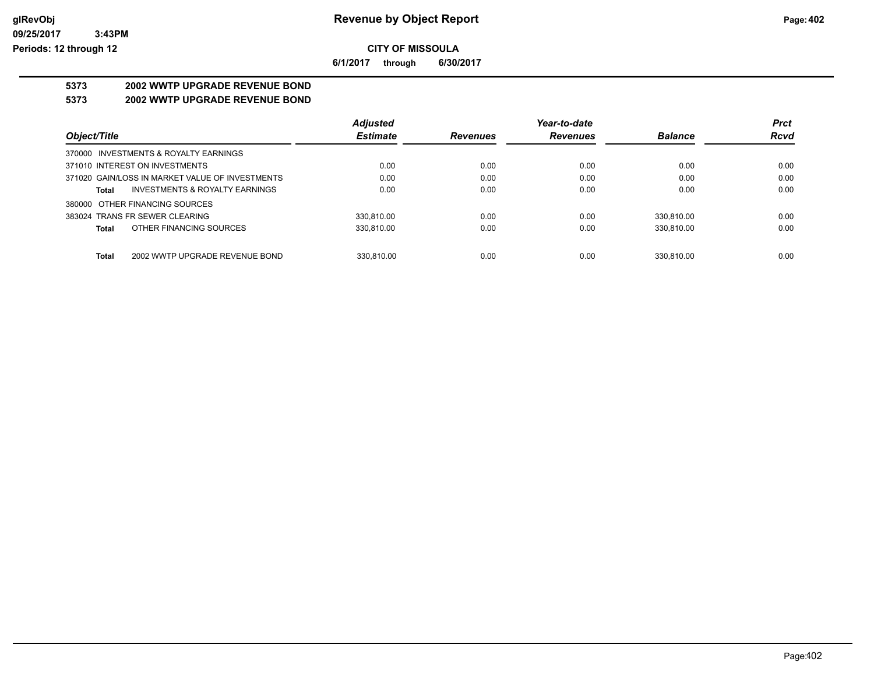**6/1/2017 through 6/30/2017**

# **5373 2002 WWTP UPGRADE REVENUE BOND**

## **5373 2002 WWTP UPGRADE REVENUE BOND**

|                                                 | <b>Adjusted</b> |                 | Year-to-date    |                | <b>Prct</b> |
|-------------------------------------------------|-----------------|-----------------|-----------------|----------------|-------------|
| Object/Title                                    | <b>Estimate</b> | <b>Revenues</b> | <b>Revenues</b> | <b>Balance</b> | <b>Rcvd</b> |
| 370000 INVESTMENTS & ROYALTY EARNINGS           |                 |                 |                 |                |             |
| 371010 INTEREST ON INVESTMENTS                  | 0.00            | 0.00            | 0.00            | 0.00           | 0.00        |
| 371020 GAIN/LOSS IN MARKET VALUE OF INVESTMENTS | 0.00            | 0.00            | 0.00            | 0.00           | 0.00        |
| INVESTMENTS & ROYALTY EARNINGS<br>Total         | 0.00            | 0.00            | 0.00            | 0.00           | 0.00        |
| 380000 OTHER FINANCING SOURCES                  |                 |                 |                 |                |             |
| 383024 TRANS FR SEWER CLEARING                  | 330.810.00      | 0.00            | 0.00            | 330.810.00     | 0.00        |
| OTHER FINANCING SOURCES<br>Total                | 330.810.00      | 0.00            | 0.00            | 330.810.00     | 0.00        |
|                                                 |                 |                 |                 |                |             |
| 2002 WWTP UPGRADE REVENUE BOND<br>Total         | 330.810.00      | 0.00            | 0.00            | 330.810.00     | 0.00        |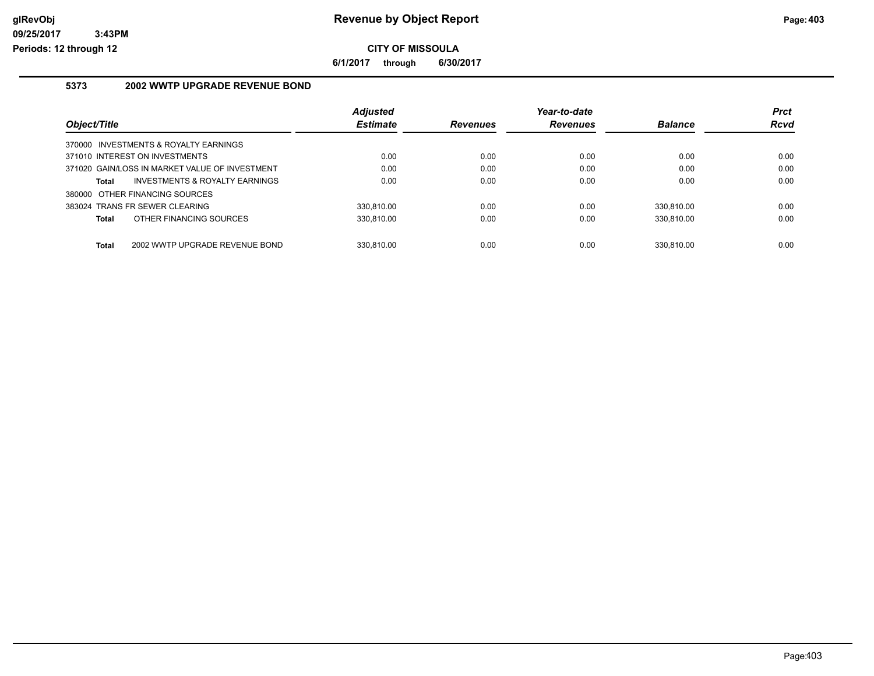**6/1/2017 through 6/30/2017**

## **5373 2002 WWTP UPGRADE REVENUE BOND**

|              |                                                | <b>Adjusted</b> |                 | Year-to-date    |                | <b>Prct</b> |
|--------------|------------------------------------------------|-----------------|-----------------|-----------------|----------------|-------------|
| Object/Title |                                                | <b>Estimate</b> | <b>Revenues</b> | <b>Revenues</b> | <b>Balance</b> | <b>Rcvd</b> |
|              | 370000 INVESTMENTS & ROYALTY EARNINGS          |                 |                 |                 |                |             |
|              | 371010 INTEREST ON INVESTMENTS                 | 0.00            | 0.00            | 0.00            | 0.00           | 0.00        |
|              | 371020 GAIN/LOSS IN MARKET VALUE OF INVESTMENT | 0.00            | 0.00            | 0.00            | 0.00           | 0.00        |
| Total        | INVESTMENTS & ROYALTY EARNINGS                 | 0.00            | 0.00            | 0.00            | 0.00           | 0.00        |
|              | 380000 OTHER FINANCING SOURCES                 |                 |                 |                 |                |             |
|              | 383024 TRANS FR SEWER CLEARING                 | 330.810.00      | 0.00            | 0.00            | 330.810.00     | 0.00        |
| <b>Total</b> | OTHER FINANCING SOURCES                        | 330.810.00      | 0.00            | 0.00            | 330.810.00     | 0.00        |
|              |                                                |                 |                 |                 |                |             |
| <b>Total</b> | 2002 WWTP UPGRADE REVENUE BOND                 | 330.810.00      | 0.00            | 0.00            | 330.810.00     | 0.00        |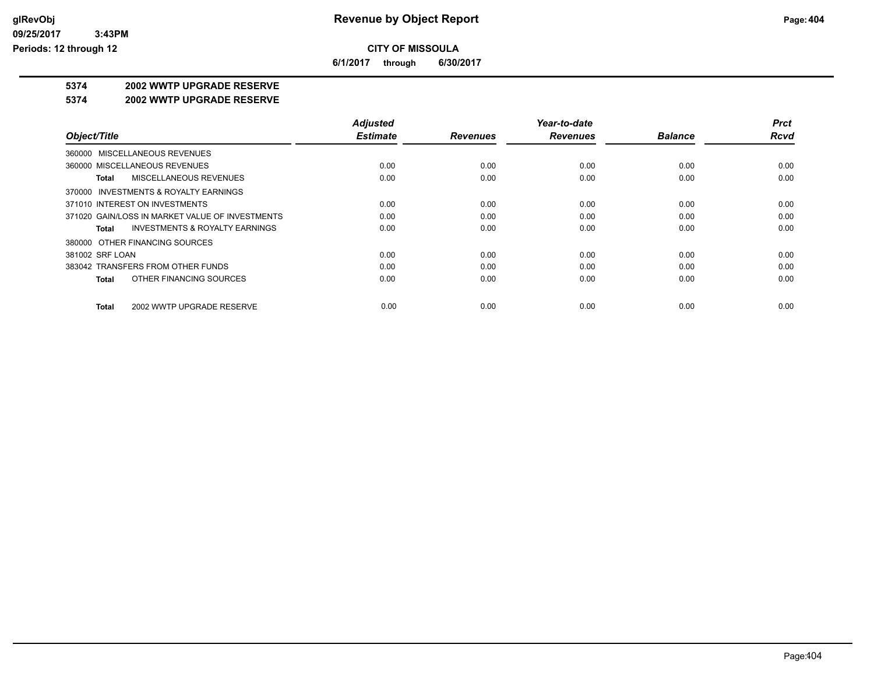**6/1/2017 through 6/30/2017**

#### **5374 2002 WWTP UPGRADE RESERVE**

#### **5374 2002 WWTP UPGRADE RESERVE**

|                                                    | <b>Adjusted</b> |                 | Year-to-date    |                | <b>Prct</b> |
|----------------------------------------------------|-----------------|-----------------|-----------------|----------------|-------------|
| Object/Title                                       | <b>Estimate</b> | <b>Revenues</b> | <b>Revenues</b> | <b>Balance</b> | <b>Rcvd</b> |
| 360000 MISCELLANEOUS REVENUES                      |                 |                 |                 |                |             |
| 360000 MISCELLANEOUS REVENUES                      | 0.00            | 0.00            | 0.00            | 0.00           | 0.00        |
| <b>MISCELLANEOUS REVENUES</b><br>Total             | 0.00            | 0.00            | 0.00            | 0.00           | 0.00        |
| 370000 INVESTMENTS & ROYALTY EARNINGS              |                 |                 |                 |                |             |
| 371010 INTEREST ON INVESTMENTS                     | 0.00            | 0.00            | 0.00            | 0.00           | 0.00        |
| 371020 GAIN/LOSS IN MARKET VALUE OF INVESTMENTS    | 0.00            | 0.00            | 0.00            | 0.00           | 0.00        |
| <b>INVESTMENTS &amp; ROYALTY EARNINGS</b><br>Total | 0.00            | 0.00            | 0.00            | 0.00           | 0.00        |
| 380000 OTHER FINANCING SOURCES                     |                 |                 |                 |                |             |
| 381002 SRF LOAN                                    | 0.00            | 0.00            | 0.00            | 0.00           | 0.00        |
| 383042 TRANSFERS FROM OTHER FUNDS                  | 0.00            | 0.00            | 0.00            | 0.00           | 0.00        |
| OTHER FINANCING SOURCES<br>Total                   | 0.00            | 0.00            | 0.00            | 0.00           | 0.00        |
| 2002 WWTP UPGRADE RESERVE<br>Total                 | 0.00            | 0.00            | 0.00            | 0.00           | 0.00        |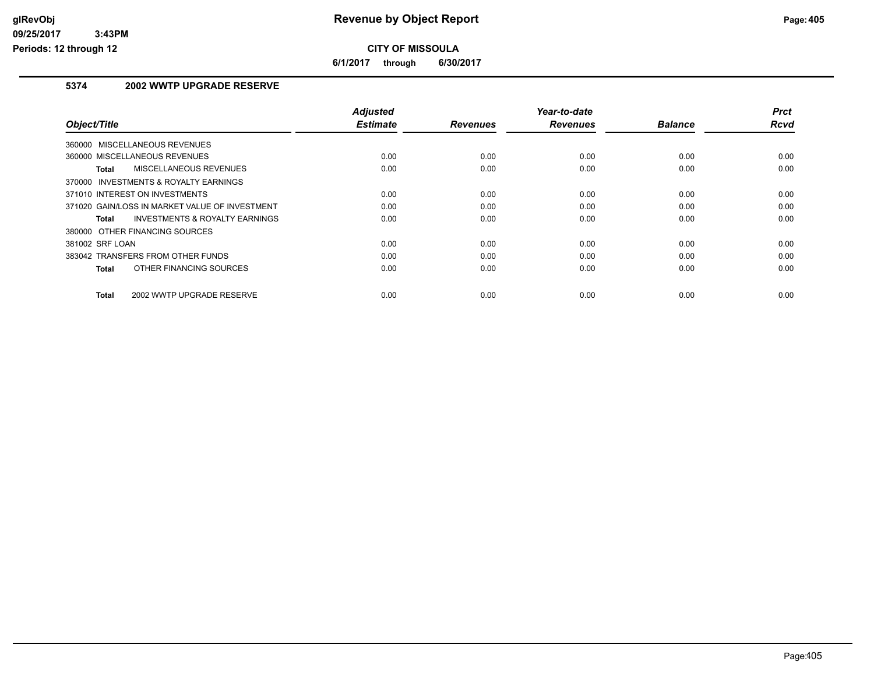**6/1/2017 through 6/30/2017**

## **5374 2002 WWTP UPGRADE RESERVE**

| Object/Title                                       | <b>Adjusted</b><br><b>Estimate</b> | <b>Revenues</b> | Year-to-date<br><b>Revenues</b> | <b>Balance</b> | <b>Prct</b><br>Rcvd |
|----------------------------------------------------|------------------------------------|-----------------|---------------------------------|----------------|---------------------|
| 360000 MISCELLANEOUS REVENUES                      |                                    |                 |                                 |                |                     |
| 360000 MISCELLANEOUS REVENUES                      | 0.00                               | 0.00            | 0.00                            | 0.00           | 0.00                |
| <b>MISCELLANEOUS REVENUES</b><br>Total             | 0.00                               | 0.00            | 0.00                            | 0.00           | 0.00                |
| 370000 INVESTMENTS & ROYALTY EARNINGS              |                                    |                 |                                 |                |                     |
| 371010 INTEREST ON INVESTMENTS                     | 0.00                               | 0.00            | 0.00                            | 0.00           | 0.00                |
| 371020 GAIN/LOSS IN MARKET VALUE OF INVESTMENT     | 0.00                               | 0.00            | 0.00                            | 0.00           | 0.00                |
| <b>INVESTMENTS &amp; ROYALTY EARNINGS</b><br>Total | 0.00                               | 0.00            | 0.00                            | 0.00           | 0.00                |
| 380000 OTHER FINANCING SOURCES                     |                                    |                 |                                 |                |                     |
| 381002 SRF LOAN                                    | 0.00                               | 0.00            | 0.00                            | 0.00           | 0.00                |
| 383042 TRANSFERS FROM OTHER FUNDS                  | 0.00                               | 0.00            | 0.00                            | 0.00           | 0.00                |
| OTHER FINANCING SOURCES<br>Total                   | 0.00                               | 0.00            | 0.00                            | 0.00           | 0.00                |
| 2002 WWTP UPGRADE RESERVE<br>Total                 | 0.00                               | 0.00            | 0.00                            | 0.00           | 0.00                |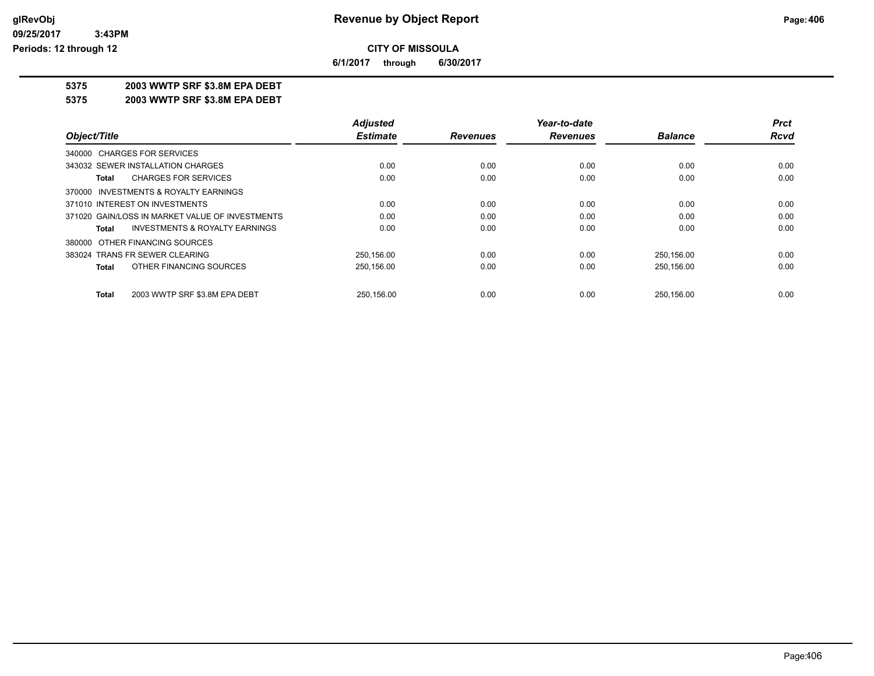**6/1/2017 through 6/30/2017**

**5375 2003 WWTP SRF \$3.8M EPA DEBT**

**5375 2003 WWTP SRF \$3.8M EPA DEBT**

|                                                    | <b>Adjusted</b> |                 | Year-to-date    |                | <b>Prct</b> |
|----------------------------------------------------|-----------------|-----------------|-----------------|----------------|-------------|
| Object/Title                                       | <b>Estimate</b> | <b>Revenues</b> | <b>Revenues</b> | <b>Balance</b> | Rcvd        |
| 340000 CHARGES FOR SERVICES                        |                 |                 |                 |                |             |
| 343032 SEWER INSTALLATION CHARGES                  | 0.00            | 0.00            | 0.00            | 0.00           | 0.00        |
| <b>CHARGES FOR SERVICES</b><br>Total               | 0.00            | 0.00            | 0.00            | 0.00           | 0.00        |
| 370000 INVESTMENTS & ROYALTY EARNINGS              |                 |                 |                 |                |             |
| 371010 INTEREST ON INVESTMENTS                     | 0.00            | 0.00            | 0.00            | 0.00           | 0.00        |
| 371020 GAIN/LOSS IN MARKET VALUE OF INVESTMENTS    | 0.00            | 0.00            | 0.00            | 0.00           | 0.00        |
| <b>INVESTMENTS &amp; ROYALTY EARNINGS</b><br>Total | 0.00            | 0.00            | 0.00            | 0.00           | 0.00        |
| 380000 OTHER FINANCING SOURCES                     |                 |                 |                 |                |             |
| 383024 TRANS FR SEWER CLEARING                     | 250.156.00      | 0.00            | 0.00            | 250.156.00     | 0.00        |
| OTHER FINANCING SOURCES<br>Total                   | 250,156.00      | 0.00            | 0.00            | 250,156.00     | 0.00        |
| 2003 WWTP SRF \$3.8M EPA DEBT<br>Total             | 250.156.00      | 0.00            | 0.00            | 250.156.00     | 0.00        |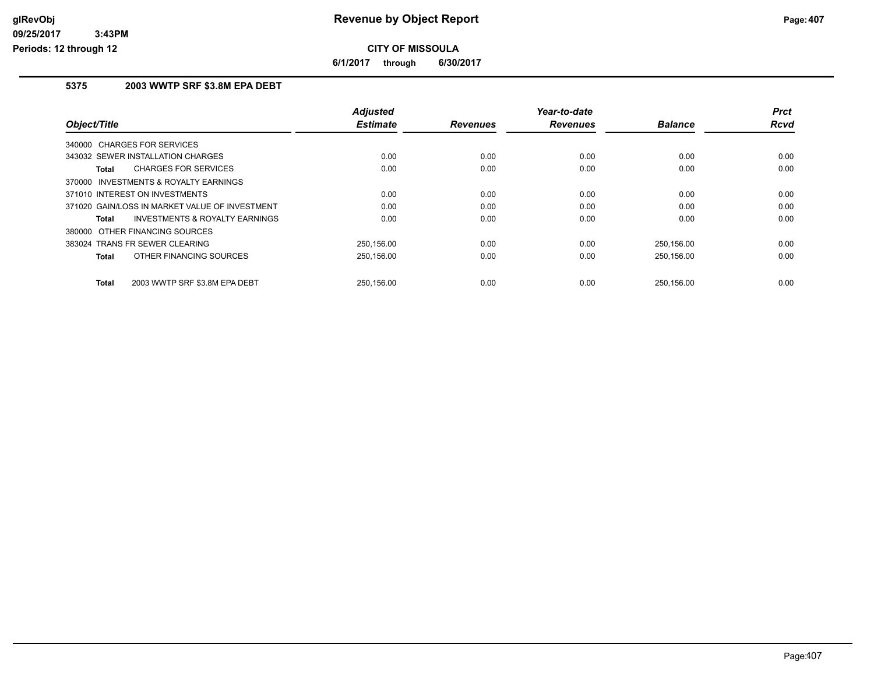**6/1/2017 through 6/30/2017**

## **5375 2003 WWTP SRF \$3.8M EPA DEBT**

|                                                    | <b>Adjusted</b> |                 | Year-to-date    |                | <b>Prct</b> |
|----------------------------------------------------|-----------------|-----------------|-----------------|----------------|-------------|
| Object/Title                                       | <b>Estimate</b> | <b>Revenues</b> | <b>Revenues</b> | <b>Balance</b> | <b>Rcvd</b> |
| 340000 CHARGES FOR SERVICES                        |                 |                 |                 |                |             |
| 343032 SEWER INSTALLATION CHARGES                  | 0.00            | 0.00            | 0.00            | 0.00           | 0.00        |
| <b>CHARGES FOR SERVICES</b><br>Total               | 0.00            | 0.00            | 0.00            | 0.00           | 0.00        |
| 370000 INVESTMENTS & ROYALTY EARNINGS              |                 |                 |                 |                |             |
| 371010 INTEREST ON INVESTMENTS                     | 0.00            | 0.00            | 0.00            | 0.00           | 0.00        |
| 371020 GAIN/LOSS IN MARKET VALUE OF INVESTMENT     | 0.00            | 0.00            | 0.00            | 0.00           | 0.00        |
| <b>INVESTMENTS &amp; ROYALTY EARNINGS</b><br>Total | 0.00            | 0.00            | 0.00            | 0.00           | 0.00        |
| 380000 OTHER FINANCING SOURCES                     |                 |                 |                 |                |             |
| 383024 TRANS FR SEWER CLEARING                     | 250.156.00      | 0.00            | 0.00            | 250.156.00     | 0.00        |
| OTHER FINANCING SOURCES<br>Total                   | 250,156.00      | 0.00            | 0.00            | 250,156.00     | 0.00        |
| 2003 WWTP SRF \$3.8M EPA DEBT<br><b>Total</b>      | 250.156.00      | 0.00            | 0.00            | 250.156.00     | 0.00        |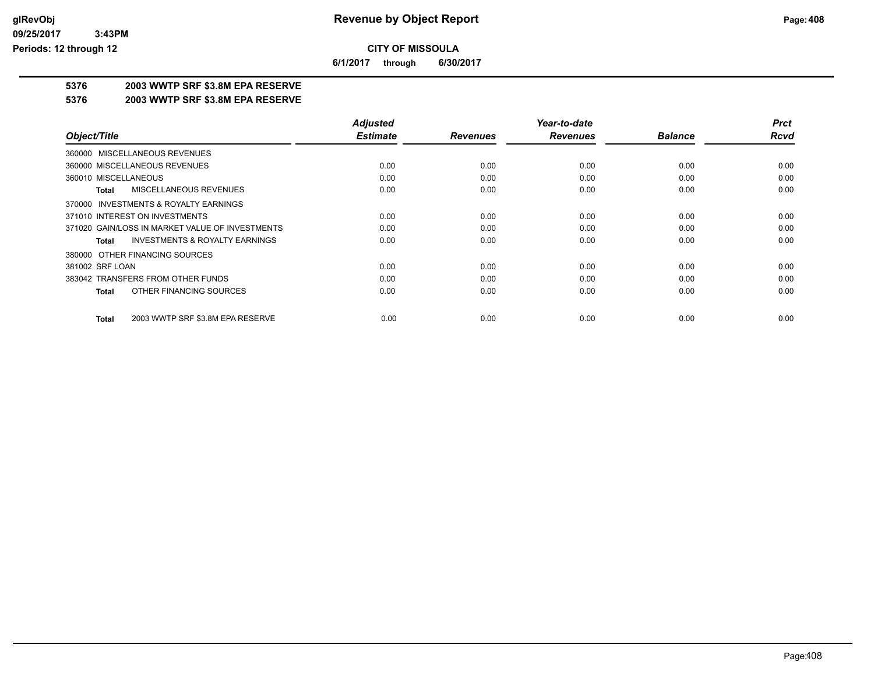**6/1/2017 through 6/30/2017**

## **5376 2003 WWTP SRF \$3.8M EPA RESERVE**

### **5376 2003 WWTP SRF \$3.8M EPA RESERVE**

|                                                    | <b>Adjusted</b> |                 | Year-to-date    |                | <b>Prct</b> |
|----------------------------------------------------|-----------------|-----------------|-----------------|----------------|-------------|
| Object/Title                                       | <b>Estimate</b> | <b>Revenues</b> | <b>Revenues</b> | <b>Balance</b> | <b>Rcvd</b> |
| 360000 MISCELLANEOUS REVENUES                      |                 |                 |                 |                |             |
| 360000 MISCELLANEOUS REVENUES                      | 0.00            | 0.00            | 0.00            | 0.00           | 0.00        |
| 360010 MISCELLANEOUS                               | 0.00            | 0.00            | 0.00            | 0.00           | 0.00        |
| MISCELLANEOUS REVENUES<br>Total                    | 0.00            | 0.00            | 0.00            | 0.00           | 0.00        |
| 370000 INVESTMENTS & ROYALTY EARNINGS              |                 |                 |                 |                |             |
| 371010 INTEREST ON INVESTMENTS                     | 0.00            | 0.00            | 0.00            | 0.00           | 0.00        |
| 371020 GAIN/LOSS IN MARKET VALUE OF INVESTMENTS    | 0.00            | 0.00            | 0.00            | 0.00           | 0.00        |
| <b>INVESTMENTS &amp; ROYALTY EARNINGS</b><br>Total | 0.00            | 0.00            | 0.00            | 0.00           | 0.00        |
| 380000 OTHER FINANCING SOURCES                     |                 |                 |                 |                |             |
| 381002 SRF LOAN                                    | 0.00            | 0.00            | 0.00            | 0.00           | 0.00        |
| 383042 TRANSFERS FROM OTHER FUNDS                  | 0.00            | 0.00            | 0.00            | 0.00           | 0.00        |
| OTHER FINANCING SOURCES<br>Total                   | 0.00            | 0.00            | 0.00            | 0.00           | 0.00        |
| 2003 WWTP SRF \$3.8M EPA RESERVE<br>Total          | 0.00            | 0.00            | 0.00            | 0.00           | 0.00        |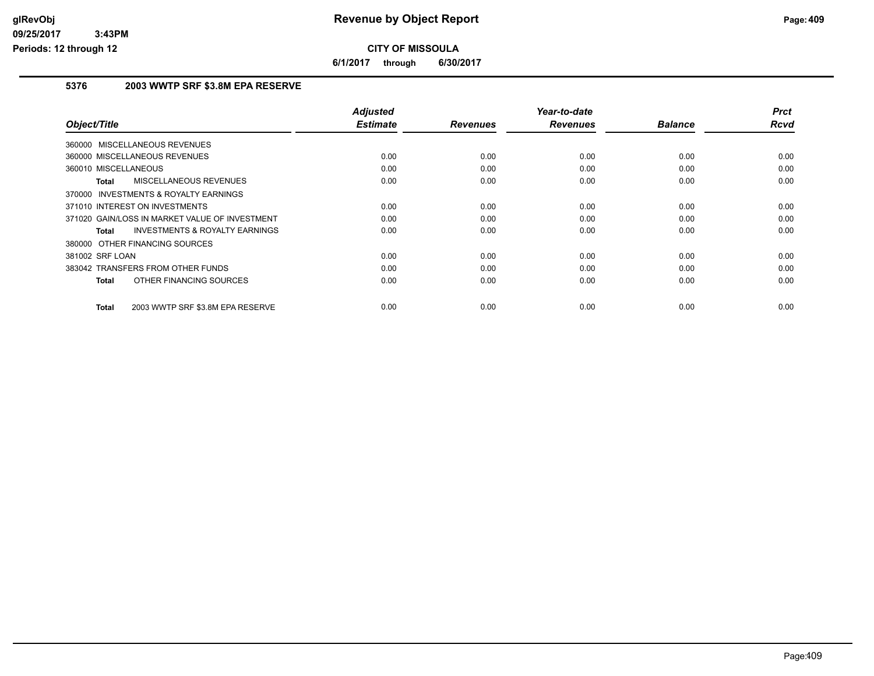**6/1/2017 through 6/30/2017**

## **5376 2003 WWTP SRF \$3.8M EPA RESERVE**

| Object/Title                                              | <b>Adjusted</b><br><b>Estimate</b> | <b>Revenues</b> | Year-to-date<br><b>Revenues</b> | <b>Balance</b> | <b>Prct</b><br><b>Rcvd</b> |
|-----------------------------------------------------------|------------------------------------|-----------------|---------------------------------|----------------|----------------------------|
|                                                           |                                    |                 |                                 |                |                            |
| 360000 MISCELLANEOUS REVENUES                             |                                    |                 |                                 |                |                            |
| 360000 MISCELLANEOUS REVENUES                             | 0.00                               | 0.00            | 0.00                            | 0.00           | 0.00                       |
| 360010 MISCELLANEOUS                                      | 0.00                               | 0.00            | 0.00                            | 0.00           | 0.00                       |
| <b>MISCELLANEOUS REVENUES</b><br><b>Total</b>             | 0.00                               | 0.00            | 0.00                            | 0.00           | 0.00                       |
| INVESTMENTS & ROYALTY EARNINGS<br>370000                  |                                    |                 |                                 |                |                            |
| 371010 INTEREST ON INVESTMENTS                            | 0.00                               | 0.00            | 0.00                            | 0.00           | 0.00                       |
| 371020 GAIN/LOSS IN MARKET VALUE OF INVESTMENT            | 0.00                               | 0.00            | 0.00                            | 0.00           | 0.00                       |
| <b>INVESTMENTS &amp; ROYALTY EARNINGS</b><br><b>Total</b> | 0.00                               | 0.00            | 0.00                            | 0.00           | 0.00                       |
| 380000 OTHER FINANCING SOURCES                            |                                    |                 |                                 |                |                            |
| 381002 SRF LOAN                                           | 0.00                               | 0.00            | 0.00                            | 0.00           | 0.00                       |
| 383042 TRANSFERS FROM OTHER FUNDS                         | 0.00                               | 0.00            | 0.00                            | 0.00           | 0.00                       |
| OTHER FINANCING SOURCES<br><b>Total</b>                   | 0.00                               | 0.00            | 0.00                            | 0.00           | 0.00                       |
|                                                           |                                    |                 |                                 |                |                            |
| 2003 WWTP SRF \$3.8M EPA RESERVE<br><b>Total</b>          | 0.00                               | 0.00            | 0.00                            | 0.00           | 0.00                       |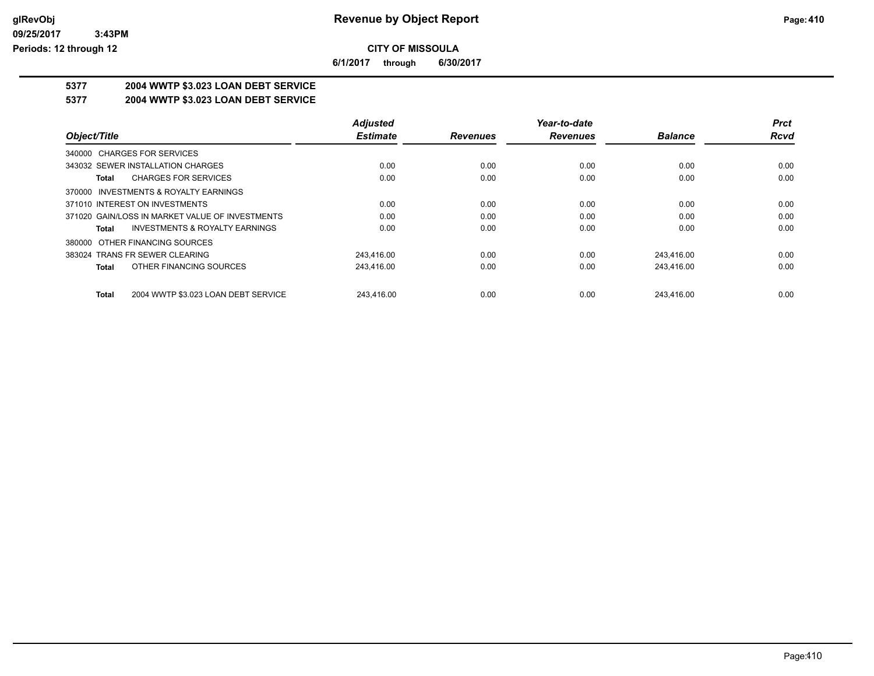**6/1/2017 through 6/30/2017**

# **5377 2004 WWTP \$3.023 LOAN DEBT SERVICE**

# **5377 2004 WWTP \$3.023 LOAN DEBT SERVICE**

|                                                    | <b>Adjusted</b> |                 | Year-to-date    |                | <b>Prct</b> |
|----------------------------------------------------|-----------------|-----------------|-----------------|----------------|-------------|
| Object/Title                                       | <b>Estimate</b> | <b>Revenues</b> | <b>Revenues</b> | <b>Balance</b> | <b>Rcvd</b> |
| 340000 CHARGES FOR SERVICES                        |                 |                 |                 |                |             |
| 343032 SEWER INSTALLATION CHARGES                  | 0.00            | 0.00            | 0.00            | 0.00           | 0.00        |
| <b>CHARGES FOR SERVICES</b><br>Total               | 0.00            | 0.00            | 0.00            | 0.00           | 0.00        |
| 370000 INVESTMENTS & ROYALTY EARNINGS              |                 |                 |                 |                |             |
| 371010 INTEREST ON INVESTMENTS                     | 0.00            | 0.00            | 0.00            | 0.00           | 0.00        |
| 371020 GAIN/LOSS IN MARKET VALUE OF INVESTMENTS    | 0.00            | 0.00            | 0.00            | 0.00           | 0.00        |
| <b>INVESTMENTS &amp; ROYALTY EARNINGS</b><br>Total | 0.00            | 0.00            | 0.00            | 0.00           | 0.00        |
| OTHER FINANCING SOURCES<br>380000                  |                 |                 |                 |                |             |
| 383024 TRANS FR SEWER CLEARING                     | 243.416.00      | 0.00            | 0.00            | 243.416.00     | 0.00        |
| OTHER FINANCING SOURCES<br>Total                   | 243.416.00      | 0.00            | 0.00            | 243,416.00     | 0.00        |
| 2004 WWTP \$3.023 LOAN DEBT SERVICE<br>Total       | 243.416.00      | 0.00            | 0.00            | 243.416.00     | 0.00        |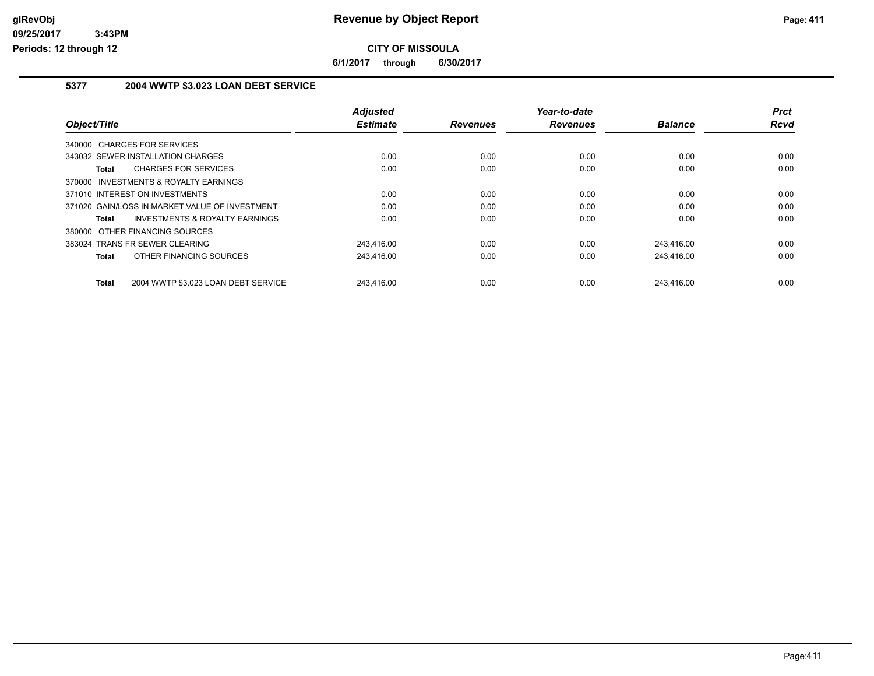**6/1/2017 through 6/30/2017**

### **5377 2004 WWTP \$3.023 LOAN DEBT SERVICE**

| Object/Title                                        | <b>Adjusted</b><br><b>Estimate</b> | <b>Revenues</b> | Year-to-date<br><b>Revenues</b> | <b>Balance</b> | <b>Prct</b><br><b>Rcvd</b> |
|-----------------------------------------------------|------------------------------------|-----------------|---------------------------------|----------------|----------------------------|
| 340000 CHARGES FOR SERVICES                         |                                    |                 |                                 |                |                            |
| 343032 SEWER INSTALLATION CHARGES                   | 0.00                               | 0.00            | 0.00                            | 0.00           | 0.00                       |
| <b>CHARGES FOR SERVICES</b><br>Total                | 0.00                               | 0.00            | 0.00                            | 0.00           | 0.00                       |
| 370000 INVESTMENTS & ROYALTY EARNINGS               |                                    |                 |                                 |                |                            |
| 371010 INTEREST ON INVESTMENTS                      | 0.00                               | 0.00            | 0.00                            | 0.00           | 0.00                       |
| 371020 GAIN/LOSS IN MARKET VALUE OF INVESTMENT      | 0.00                               | 0.00            | 0.00                            | 0.00           | 0.00                       |
| INVESTMENTS & ROYALTY EARNINGS<br>Total             | 0.00                               | 0.00            | 0.00                            | 0.00           | 0.00                       |
| 380000 OTHER FINANCING SOURCES                      |                                    |                 |                                 |                |                            |
| 383024 TRANS FR SEWER CLEARING                      | 243.416.00                         | 0.00            | 0.00                            | 243,416.00     | 0.00                       |
| OTHER FINANCING SOURCES<br>Total                    | 243,416.00                         | 0.00            | 0.00                            | 243,416.00     | 0.00                       |
| 2004 WWTP \$3.023 LOAN DEBT SERVICE<br><b>Total</b> | 243.416.00                         | 0.00            | 0.00                            | 243.416.00     | 0.00                       |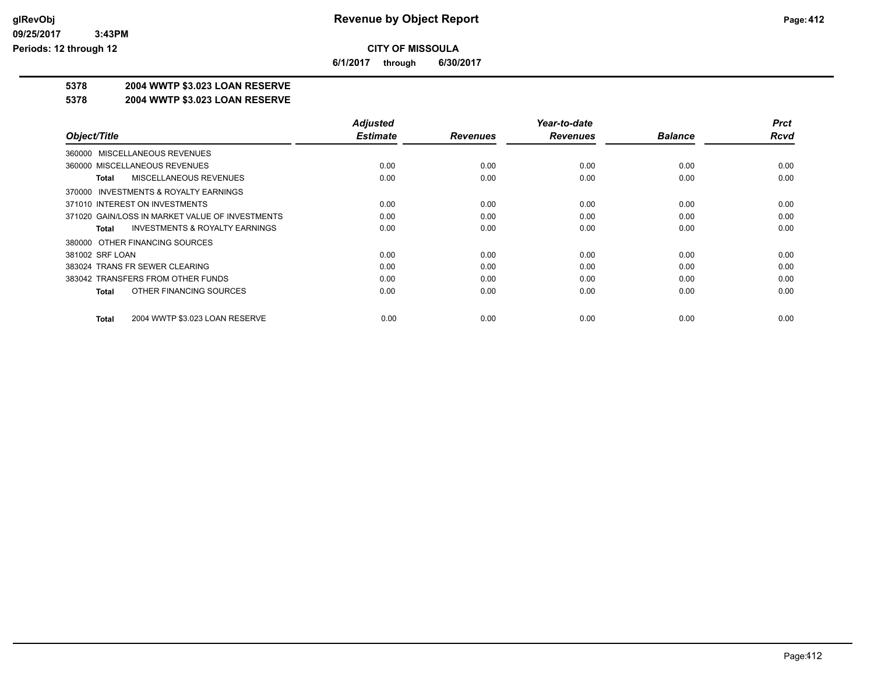**6/1/2017 through 6/30/2017**

## **5378 2004 WWTP \$3.023 LOAN RESERVE**

#### **5378 2004 WWTP \$3.023 LOAN RESERVE**

|                                                    | <b>Adjusted</b> |                 | Year-to-date    |                | <b>Prct</b> |
|----------------------------------------------------|-----------------|-----------------|-----------------|----------------|-------------|
| Object/Title                                       | <b>Estimate</b> | <b>Revenues</b> | <b>Revenues</b> | <b>Balance</b> | Rcvd        |
| 360000 MISCELLANEOUS REVENUES                      |                 |                 |                 |                |             |
| 360000 MISCELLANEOUS REVENUES                      | 0.00            | 0.00            | 0.00            | 0.00           | 0.00        |
| MISCELLANEOUS REVENUES<br>Total                    | 0.00            | 0.00            | 0.00            | 0.00           | 0.00        |
| 370000 INVESTMENTS & ROYALTY EARNINGS              |                 |                 |                 |                |             |
| 371010 INTEREST ON INVESTMENTS                     | 0.00            | 0.00            | 0.00            | 0.00           | 0.00        |
| 371020 GAIN/LOSS IN MARKET VALUE OF INVESTMENTS    | 0.00            | 0.00            | 0.00            | 0.00           | 0.00        |
| <b>INVESTMENTS &amp; ROYALTY EARNINGS</b><br>Total | 0.00            | 0.00            | 0.00            | 0.00           | 0.00        |
| 380000 OTHER FINANCING SOURCES                     |                 |                 |                 |                |             |
| 381002 SRF LOAN                                    | 0.00            | 0.00            | 0.00            | 0.00           | 0.00        |
| 383024 TRANS FR SEWER CLEARING                     | 0.00            | 0.00            | 0.00            | 0.00           | 0.00        |
| 383042 TRANSFERS FROM OTHER FUNDS                  | 0.00            | 0.00            | 0.00            | 0.00           | 0.00        |
| OTHER FINANCING SOURCES<br>Total                   | 0.00            | 0.00            | 0.00            | 0.00           | 0.00        |
|                                                    |                 |                 |                 |                |             |
| 2004 WWTP \$3.023 LOAN RESERVE<br>Total            | 0.00            | 0.00            | 0.00            | 0.00           | 0.00        |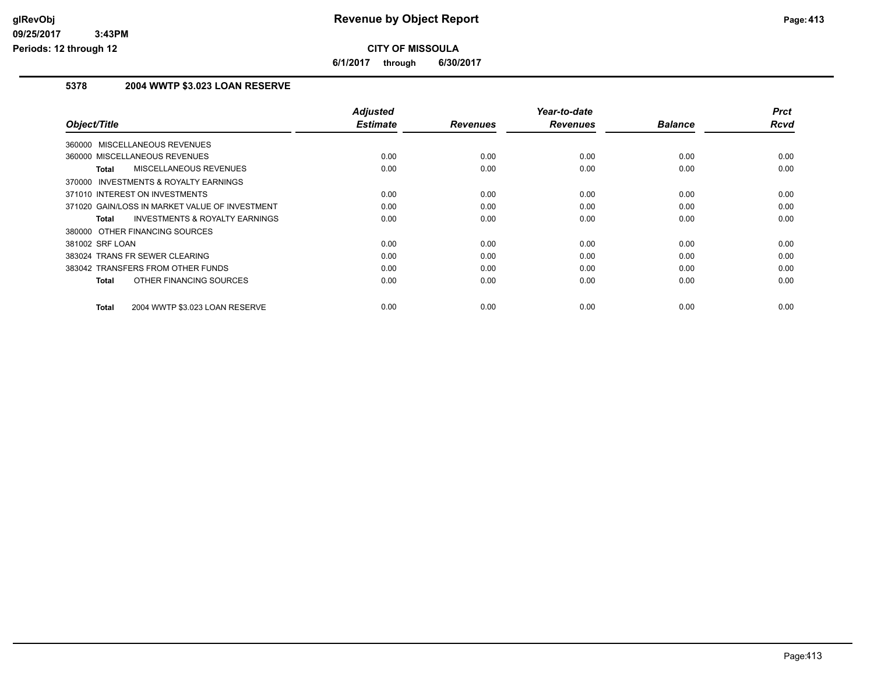**6/1/2017 through 6/30/2017**

## **5378 2004 WWTP \$3.023 LOAN RESERVE**

| Object/Title                                       | <b>Adjusted</b><br><b>Estimate</b> | <b>Revenues</b> | Year-to-date<br><b>Revenues</b> | <b>Balance</b> | <b>Prct</b><br><b>Rcvd</b> |
|----------------------------------------------------|------------------------------------|-----------------|---------------------------------|----------------|----------------------------|
|                                                    |                                    |                 |                                 |                |                            |
| 360000 MISCELLANEOUS REVENUES                      |                                    |                 |                                 |                |                            |
| 360000 MISCELLANEOUS REVENUES                      | 0.00                               | 0.00            | 0.00                            | 0.00           | 0.00                       |
| MISCELLANEOUS REVENUES<br>Total                    | 0.00                               | 0.00            | 0.00                            | 0.00           | 0.00                       |
| 370000 INVESTMENTS & ROYALTY EARNINGS              |                                    |                 |                                 |                |                            |
| 371010 INTEREST ON INVESTMENTS                     | 0.00                               | 0.00            | 0.00                            | 0.00           | 0.00                       |
| 371020 GAIN/LOSS IN MARKET VALUE OF INVESTMENT     | 0.00                               | 0.00            | 0.00                            | 0.00           | 0.00                       |
| <b>INVESTMENTS &amp; ROYALTY EARNINGS</b><br>Total | 0.00                               | 0.00            | 0.00                            | 0.00           | 0.00                       |
| 380000 OTHER FINANCING SOURCES                     |                                    |                 |                                 |                |                            |
| 381002 SRF LOAN                                    | 0.00                               | 0.00            | 0.00                            | 0.00           | 0.00                       |
| 383024 TRANS FR SEWER CLEARING                     | 0.00                               | 0.00            | 0.00                            | 0.00           | 0.00                       |
| 383042 TRANSFERS FROM OTHER FUNDS                  | 0.00                               | 0.00            | 0.00                            | 0.00           | 0.00                       |
| OTHER FINANCING SOURCES<br><b>Total</b>            | 0.00                               | 0.00            | 0.00                            | 0.00           | 0.00                       |
| 2004 WWTP \$3.023 LOAN RESERVE<br><b>Total</b>     | 0.00                               | 0.00            | 0.00                            | 0.00           | 0.00                       |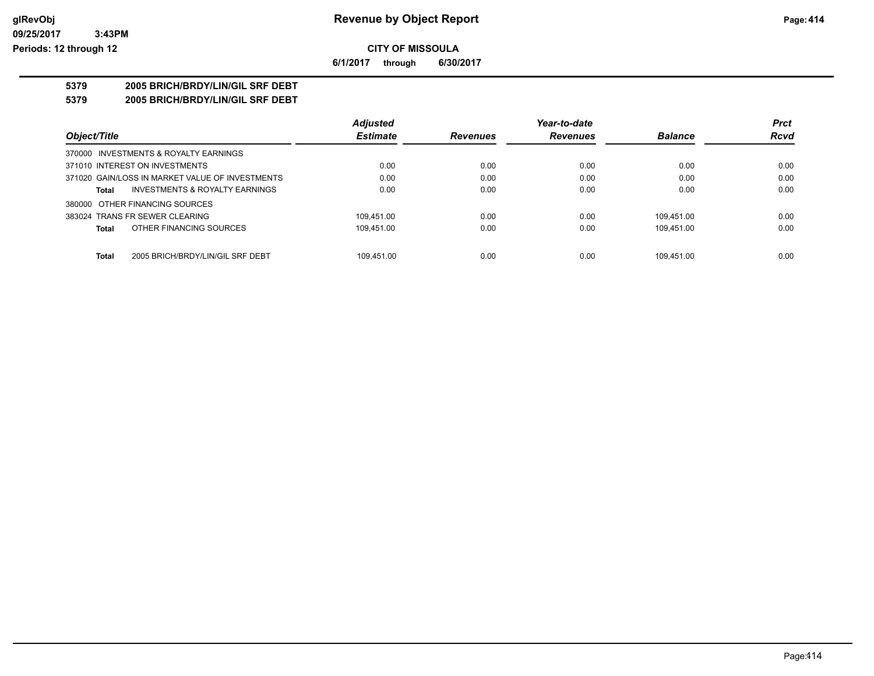**6/1/2017 through 6/30/2017**

## **5379 2005 BRICH/BRDY/LIN/GIL SRF DEBT**

**5379 2005 BRICH/BRDY/LIN/GIL SRF DEBT**

|                                                  | <b>Adjusted</b> |                 | Year-to-date    |                | <b>Prct</b> |
|--------------------------------------------------|-----------------|-----------------|-----------------|----------------|-------------|
| Object/Title                                     | <b>Estimate</b> | <b>Revenues</b> | <b>Revenues</b> | <b>Balance</b> | <b>Rcvd</b> |
| 370000 INVESTMENTS & ROYALTY EARNINGS            |                 |                 |                 |                |             |
| 371010 INTEREST ON INVESTMENTS                   | 0.00            | 0.00            | 0.00            | 0.00           | 0.00        |
| 371020 GAIN/LOSS IN MARKET VALUE OF INVESTMENTS  | 0.00            | 0.00            | 0.00            | 0.00           | 0.00        |
| INVESTMENTS & ROYALTY EARNINGS<br>Total          | 0.00            | 0.00            | 0.00            | 0.00           | 0.00        |
| 380000 OTHER FINANCING SOURCES                   |                 |                 |                 |                |             |
| 383024 TRANS FR SEWER CLEARING                   | 109.451.00      | 0.00            | 0.00            | 109.451.00     | 0.00        |
| OTHER FINANCING SOURCES<br><b>Total</b>          | 109.451.00      | 0.00            | 0.00            | 109.451.00     | 0.00        |
|                                                  |                 |                 |                 |                |             |
| <b>Total</b><br>2005 BRICH/BRDY/LIN/GIL SRF DEBT | 109.451.00      | 0.00            | 0.00            | 109.451.00     | 0.00        |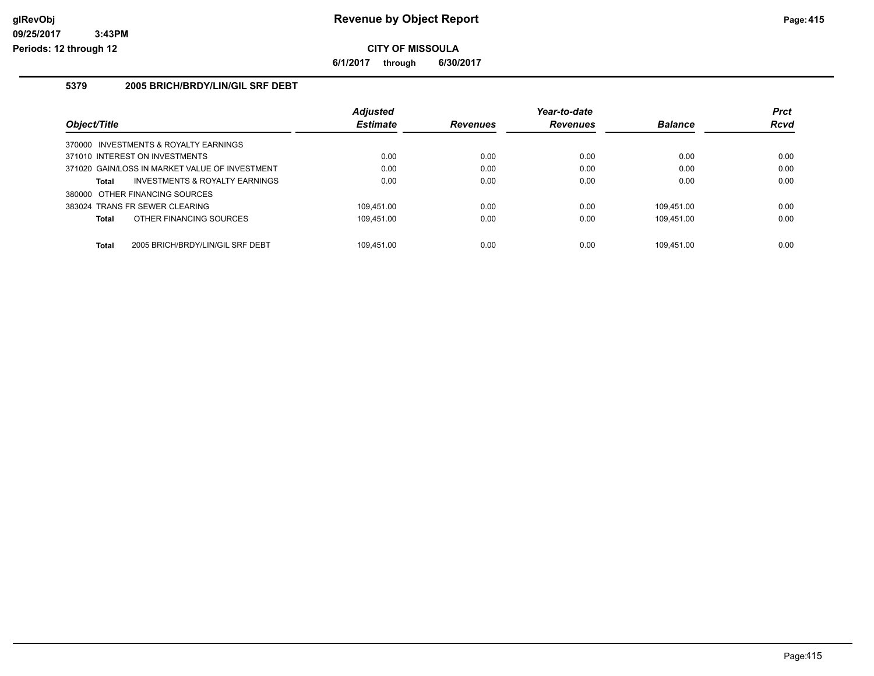**6/1/2017 through 6/30/2017**

#### **5379 2005 BRICH/BRDY/LIN/GIL SRF DEBT**

|                                                    | Adjusted        |                 | Year-to-date    |                | <b>Prct</b> |
|----------------------------------------------------|-----------------|-----------------|-----------------|----------------|-------------|
| Object/Title                                       | <b>Estimate</b> | <b>Revenues</b> | <b>Revenues</b> | <b>Balance</b> | <b>Rcvd</b> |
| 370000 INVESTMENTS & ROYALTY EARNINGS              |                 |                 |                 |                |             |
| 371010 INTEREST ON INVESTMENTS                     | 0.00            | 0.00            | 0.00            | 0.00           | 0.00        |
| 371020 GAIN/LOSS IN MARKET VALUE OF INVESTMENT     | 0.00            | 0.00            | 0.00            | 0.00           | 0.00        |
| <b>INVESTMENTS &amp; ROYALTY EARNINGS</b><br>Total | 0.00            | 0.00            | 0.00            | 0.00           | 0.00        |
| 380000 OTHER FINANCING SOURCES                     |                 |                 |                 |                |             |
| 383024 TRANS FR SEWER CLEARING                     | 109.451.00      | 0.00            | 0.00            | 109.451.00     | 0.00        |
| OTHER FINANCING SOURCES<br>Total                   | 109.451.00      | 0.00            | 0.00            | 109.451.00     | 0.00        |
|                                                    |                 |                 |                 |                |             |
| <b>Total</b><br>2005 BRICH/BRDY/LIN/GIL SRF DEBT   | 109.451.00      | 0.00            | 0.00            | 109.451.00     | 0.00        |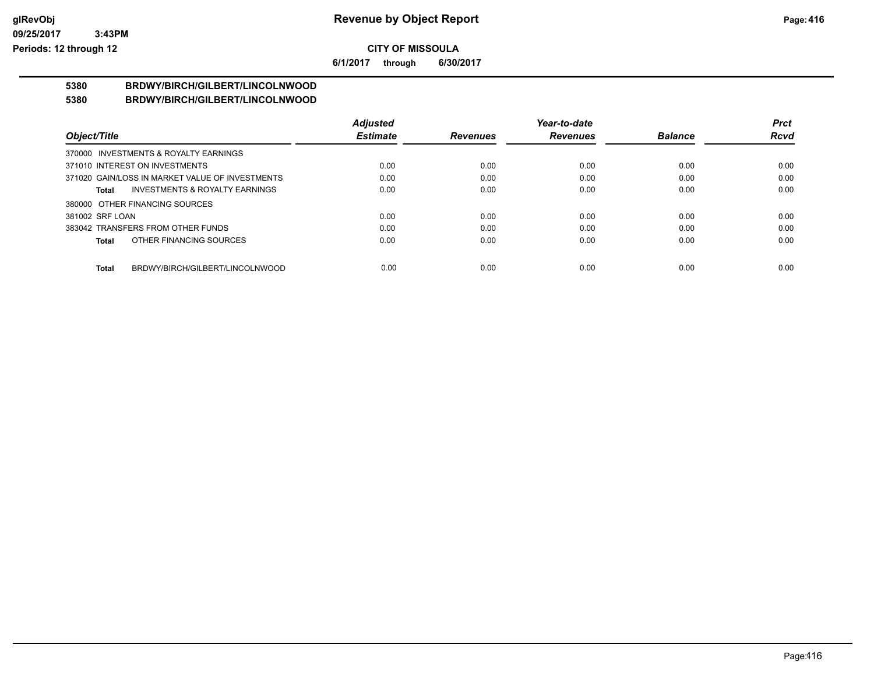**6/1/2017 through 6/30/2017**

#### **5380 BRDWY/BIRCH/GILBERT/LINCOLNWOOD 5380 BRDWY/BIRCH/GILBERT/LINCOLNWOOD**

|                                                    | <b>Adjusted</b> |                 | Year-to-date    |                | <b>Prct</b> |
|----------------------------------------------------|-----------------|-----------------|-----------------|----------------|-------------|
| Object/Title                                       | <b>Estimate</b> | <b>Revenues</b> | <b>Revenues</b> | <b>Balance</b> | <b>Rcvd</b> |
| INVESTMENTS & ROYALTY EARNINGS<br>370000           |                 |                 |                 |                |             |
| 371010 INTEREST ON INVESTMENTS                     | 0.00            | 0.00            | 0.00            | 0.00           | 0.00        |
| 371020 GAIN/LOSS IN MARKET VALUE OF INVESTMENTS    | 0.00            | 0.00            | 0.00            | 0.00           | 0.00        |
| <b>INVESTMENTS &amp; ROYALTY EARNINGS</b><br>Total | 0.00            | 0.00            | 0.00            | 0.00           | 0.00        |
| 380000 OTHER FINANCING SOURCES                     |                 |                 |                 |                |             |
| 381002 SRF LOAN                                    | 0.00            | 0.00            | 0.00            | 0.00           | 0.00        |
| 383042 TRANSFERS FROM OTHER FUNDS                  | 0.00            | 0.00            | 0.00            | 0.00           | 0.00        |
| OTHER FINANCING SOURCES<br><b>Total</b>            | 0.00            | 0.00            | 0.00            | 0.00           | 0.00        |
|                                                    |                 |                 |                 |                |             |
| BRDWY/BIRCH/GILBERT/LINCOLNWOOD<br><b>Total</b>    | 0.00            | 0.00            | 0.00            | 0.00           | 0.00        |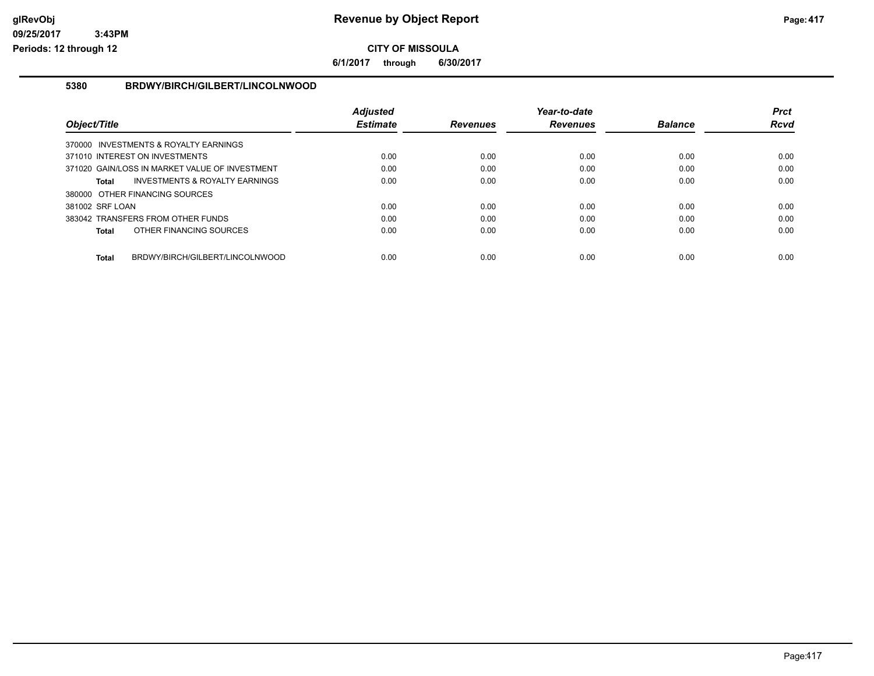**6/1/2017 through 6/30/2017**

### **5380 BRDWY/BIRCH/GILBERT/LINCOLNWOOD**

|                                                 | <b>Adiusted</b> |                 | Year-to-date    |                | <b>Prct</b> |
|-------------------------------------------------|-----------------|-----------------|-----------------|----------------|-------------|
| Object/Title                                    | <b>Estimate</b> | <b>Revenues</b> | <b>Revenues</b> | <b>Balance</b> | <b>Rcvd</b> |
| 370000 INVESTMENTS & ROYALTY EARNINGS           |                 |                 |                 |                |             |
| 371010 INTEREST ON INVESTMENTS                  | 0.00            | 0.00            | 0.00            | 0.00           | 0.00        |
| 371020 GAIN/LOSS IN MARKET VALUE OF INVESTMENT  | 0.00            | 0.00            | 0.00            | 0.00           | 0.00        |
| INVESTMENTS & ROYALTY EARNINGS<br>Total         | 0.00            | 0.00            | 0.00            | 0.00           | 0.00        |
| 380000 OTHER FINANCING SOURCES                  |                 |                 |                 |                |             |
| 381002 SRF LOAN                                 | 0.00            | 0.00            | 0.00            | 0.00           | 0.00        |
| 383042 TRANSFERS FROM OTHER FUNDS               | 0.00            | 0.00            | 0.00            | 0.00           | 0.00        |
| OTHER FINANCING SOURCES<br>Total                | 0.00            | 0.00            | 0.00            | 0.00           | 0.00        |
|                                                 |                 |                 |                 |                |             |
| BRDWY/BIRCH/GILBERT/LINCOLNWOOD<br><b>Total</b> | 0.00            | 0.00            | 0.00            | 0.00           | 0.00        |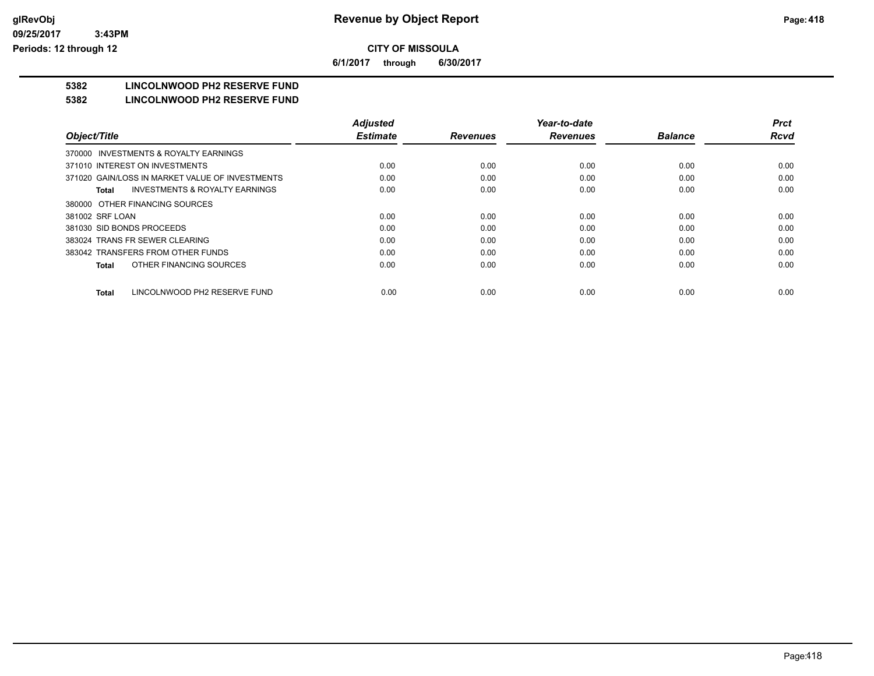**6/1/2017 through 6/30/2017**

# **5382 LINCOLNWOOD PH2 RESERVE FUND**

## **5382 LINCOLNWOOD PH2 RESERVE FUND**

|                                                    | <b>Adjusted</b> |                 | Year-to-date    |                | <b>Prct</b> |
|----------------------------------------------------|-----------------|-----------------|-----------------|----------------|-------------|
| Object/Title                                       | <b>Estimate</b> | <b>Revenues</b> | <b>Revenues</b> | <b>Balance</b> | <b>Rcvd</b> |
| 370000 INVESTMENTS & ROYALTY EARNINGS              |                 |                 |                 |                |             |
| 371010 INTEREST ON INVESTMENTS                     | 0.00            | 0.00            | 0.00            | 0.00           | 0.00        |
| 371020 GAIN/LOSS IN MARKET VALUE OF INVESTMENTS    | 0.00            | 0.00            | 0.00            | 0.00           | 0.00        |
| <b>INVESTMENTS &amp; ROYALTY EARNINGS</b><br>Total | 0.00            | 0.00            | 0.00            | 0.00           | 0.00        |
| 380000 OTHER FINANCING SOURCES                     |                 |                 |                 |                |             |
| 381002 SRF LOAN                                    | 0.00            | 0.00            | 0.00            | 0.00           | 0.00        |
| 381030 SID BONDS PROCEEDS                          | 0.00            | 0.00            | 0.00            | 0.00           | 0.00        |
| 383024 TRANS FR SEWER CLEARING                     | 0.00            | 0.00            | 0.00            | 0.00           | 0.00        |
| 383042 TRANSFERS FROM OTHER FUNDS                  | 0.00            | 0.00            | 0.00            | 0.00           | 0.00        |
| OTHER FINANCING SOURCES<br>Total                   | 0.00            | 0.00            | 0.00            | 0.00           | 0.00        |
| LINCOLNWOOD PH2 RESERVE FUND<br><b>Total</b>       | 0.00            | 0.00            | 0.00            | 0.00           | 0.00        |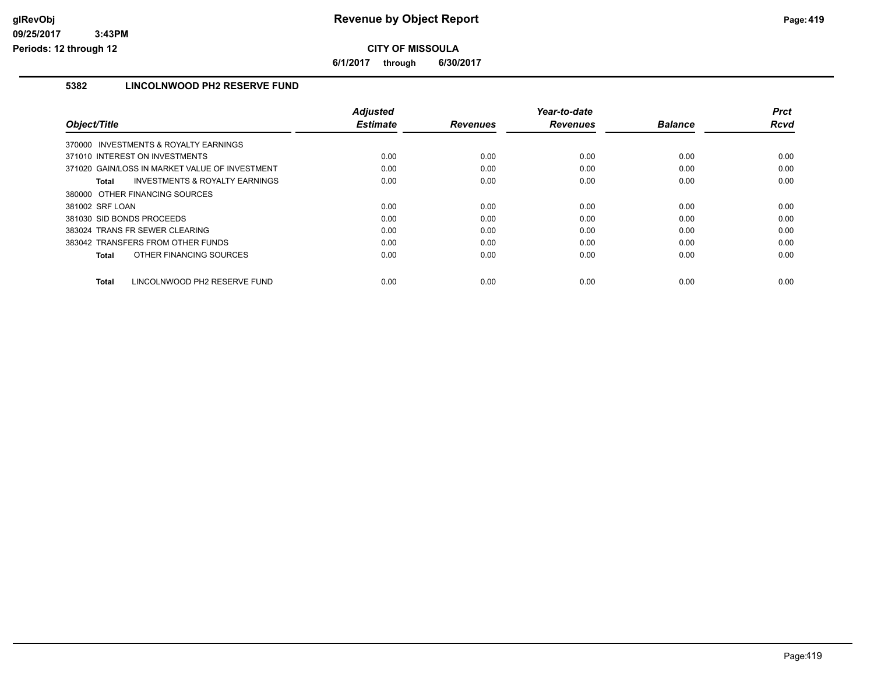**6/1/2017 through 6/30/2017**

## **5382 LINCOLNWOOD PH2 RESERVE FUND**

|                                                           | <b>Adjusted</b> |                 | Year-to-date    |                | <b>Prct</b> |
|-----------------------------------------------------------|-----------------|-----------------|-----------------|----------------|-------------|
| Object/Title                                              | <b>Estimate</b> | <b>Revenues</b> | <b>Revenues</b> | <b>Balance</b> | Rcvd        |
| 370000 INVESTMENTS & ROYALTY EARNINGS                     |                 |                 |                 |                |             |
| 371010 INTEREST ON INVESTMENTS                            | 0.00            | 0.00            | 0.00            | 0.00           | 0.00        |
| 371020 GAIN/LOSS IN MARKET VALUE OF INVESTMENT            | 0.00            | 0.00            | 0.00            | 0.00           | 0.00        |
| <b>INVESTMENTS &amp; ROYALTY EARNINGS</b><br><b>Total</b> | 0.00            | 0.00            | 0.00            | 0.00           | 0.00        |
| 380000 OTHER FINANCING SOURCES                            |                 |                 |                 |                |             |
| 381002 SRF LOAN                                           | 0.00            | 0.00            | 0.00            | 0.00           | 0.00        |
| 381030 SID BONDS PROCEEDS                                 | 0.00            | 0.00            | 0.00            | 0.00           | 0.00        |
| 383024 TRANS FR SEWER CLEARING                            | 0.00            | 0.00            | 0.00            | 0.00           | 0.00        |
| 383042 TRANSFERS FROM OTHER FUNDS                         | 0.00            | 0.00            | 0.00            | 0.00           | 0.00        |
| OTHER FINANCING SOURCES<br><b>Total</b>                   | 0.00            | 0.00            | 0.00            | 0.00           | 0.00        |
|                                                           |                 |                 |                 |                |             |
| LINCOLNWOOD PH2 RESERVE FUND<br><b>Total</b>              | 0.00            | 0.00            | 0.00            | 0.00           | 0.00        |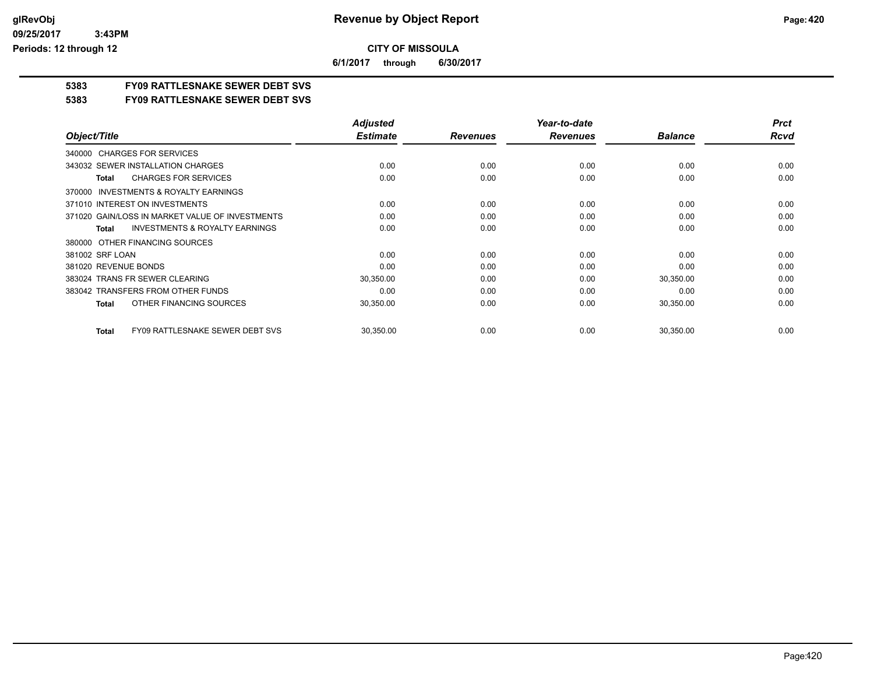**6/1/2017 through 6/30/2017**

## **5383 FY09 RATTLESNAKE SEWER DEBT SVS**

#### **5383 FY09 RATTLESNAKE SEWER DEBT SVS**

|                                                        | <b>Adjusted</b> |                 | Year-to-date    |                | <b>Prct</b> |
|--------------------------------------------------------|-----------------|-----------------|-----------------|----------------|-------------|
| Object/Title                                           | <b>Estimate</b> | <b>Revenues</b> | <b>Revenues</b> | <b>Balance</b> | <b>Rcvd</b> |
| 340000 CHARGES FOR SERVICES                            |                 |                 |                 |                |             |
| 343032 SEWER INSTALLATION CHARGES                      | 0.00            | 0.00            | 0.00            | 0.00           | 0.00        |
| <b>CHARGES FOR SERVICES</b><br>Total                   | 0.00            | 0.00            | 0.00            | 0.00           | 0.00        |
| <b>INVESTMENTS &amp; ROYALTY EARNINGS</b><br>370000    |                 |                 |                 |                |             |
| 371010 INTEREST ON INVESTMENTS                         | 0.00            | 0.00            | 0.00            | 0.00           | 0.00        |
| 371020 GAIN/LOSS IN MARKET VALUE OF INVESTMENTS        | 0.00            | 0.00            | 0.00            | 0.00           | 0.00        |
| <b>INVESTMENTS &amp; ROYALTY EARNINGS</b><br>Total     | 0.00            | 0.00            | 0.00            | 0.00           | 0.00        |
| 380000 OTHER FINANCING SOURCES                         |                 |                 |                 |                |             |
| 381002 SRF LOAN                                        | 0.00            | 0.00            | 0.00            | 0.00           | 0.00        |
| 381020 REVENUE BONDS                                   | 0.00            | 0.00            | 0.00            | 0.00           | 0.00        |
| 383024 TRANS FR SEWER CLEARING                         | 30,350.00       | 0.00            | 0.00            | 30,350.00      | 0.00        |
| 383042 TRANSFERS FROM OTHER FUNDS                      | 0.00            | 0.00            | 0.00            | 0.00           | 0.00        |
| OTHER FINANCING SOURCES<br>Total                       | 30,350.00       | 0.00            | 0.00            | 30,350.00      | 0.00        |
| <b>FY09 RATTLESNAKE SEWER DEBT SVS</b><br><b>Total</b> | 30,350.00       | 0.00            | 0.00            | 30,350.00      | 0.00        |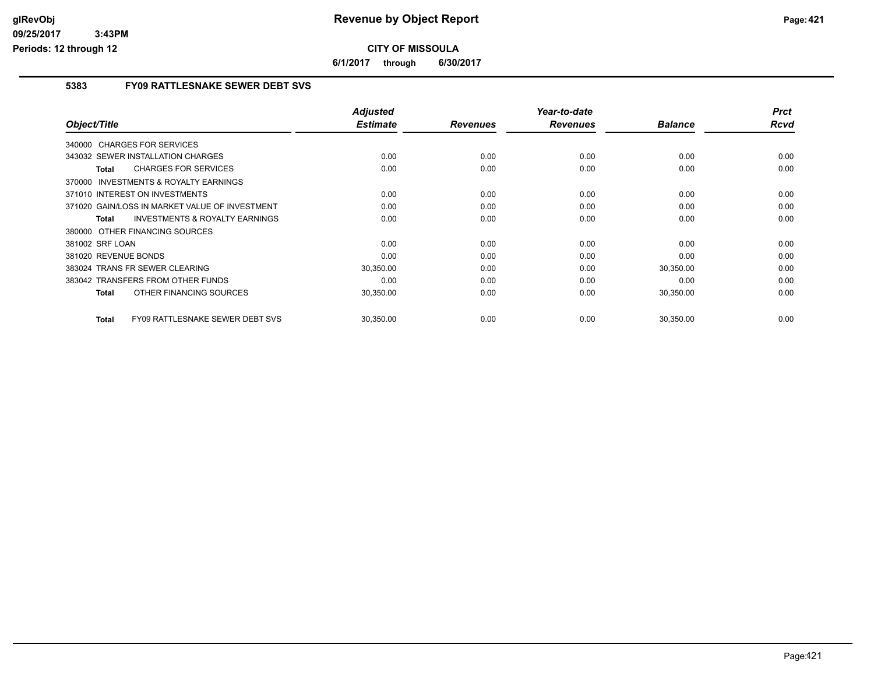**6/1/2017 through 6/30/2017**

### **5383 FY09 RATTLESNAKE SEWER DEBT SVS**

|                                                           | <b>Adjusted</b> |                 | Year-to-date    |                | <b>Prct</b> |
|-----------------------------------------------------------|-----------------|-----------------|-----------------|----------------|-------------|
| Object/Title                                              | <b>Estimate</b> | <b>Revenues</b> | <b>Revenues</b> | <b>Balance</b> | <b>Rcvd</b> |
| 340000 CHARGES FOR SERVICES                               |                 |                 |                 |                |             |
| 343032 SEWER INSTALLATION CHARGES                         | 0.00            | 0.00            | 0.00            | 0.00           | 0.00        |
| <b>CHARGES FOR SERVICES</b><br>Total                      | 0.00            | 0.00            | 0.00            | 0.00           | 0.00        |
| INVESTMENTS & ROYALTY EARNINGS<br>370000                  |                 |                 |                 |                |             |
| 371010 INTEREST ON INVESTMENTS                            | 0.00            | 0.00            | 0.00            | 0.00           | 0.00        |
| 371020 GAIN/LOSS IN MARKET VALUE OF INVESTMENT            | 0.00            | 0.00            | 0.00            | 0.00           | 0.00        |
| <b>INVESTMENTS &amp; ROYALTY EARNINGS</b><br><b>Total</b> | 0.00            | 0.00            | 0.00            | 0.00           | 0.00        |
| 380000 OTHER FINANCING SOURCES                            |                 |                 |                 |                |             |
| 381002 SRF LOAN                                           | 0.00            | 0.00            | 0.00            | 0.00           | 0.00        |
| 381020 REVENUE BONDS                                      | 0.00            | 0.00            | 0.00            | 0.00           | 0.00        |
| 383024 TRANS FR SEWER CLEARING                            | 30,350.00       | 0.00            | 0.00            | 30,350.00      | 0.00        |
| 383042 TRANSFERS FROM OTHER FUNDS                         | 0.00            | 0.00            | 0.00            | 0.00           | 0.00        |
| OTHER FINANCING SOURCES<br><b>Total</b>                   | 30,350.00       | 0.00            | 0.00            | 30,350.00      | 0.00        |
| FY09 RATTLESNAKE SEWER DEBT SVS<br><b>Total</b>           | 30,350.00       | 0.00            | 0.00            | 30,350.00      | 0.00        |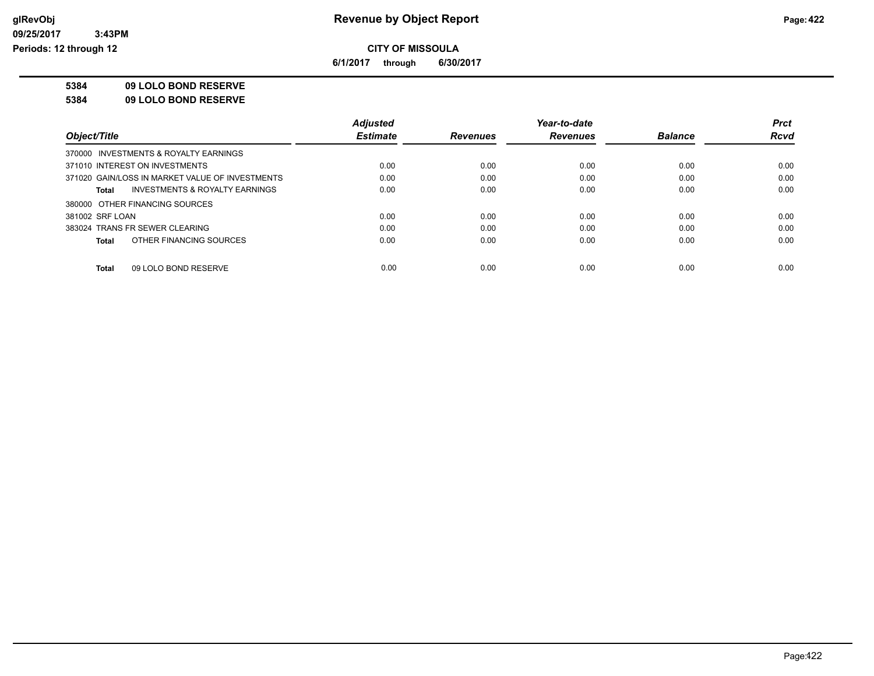**6/1/2017 through 6/30/2017**

#### **5384 09 LOLO BOND RESERVE**

**5384 09 LOLO BOND RESERVE**

|                                                    | <b>Adjusted</b> |                 | Year-to-date    |                | <b>Prct</b> |
|----------------------------------------------------|-----------------|-----------------|-----------------|----------------|-------------|
| Object/Title                                       | <b>Estimate</b> | <b>Revenues</b> | <b>Revenues</b> | <b>Balance</b> | <b>Rcvd</b> |
| 370000 INVESTMENTS & ROYALTY EARNINGS              |                 |                 |                 |                |             |
| 371010 INTEREST ON INVESTMENTS                     | 0.00            | 0.00            | 0.00            | 0.00           | 0.00        |
| 371020 GAIN/LOSS IN MARKET VALUE OF INVESTMENTS    | 0.00            | 0.00            | 0.00            | 0.00           | 0.00        |
| <b>INVESTMENTS &amp; ROYALTY EARNINGS</b><br>Total | 0.00            | 0.00            | 0.00            | 0.00           | 0.00        |
| 380000 OTHER FINANCING SOURCES                     |                 |                 |                 |                |             |
| 381002 SRF LOAN                                    | 0.00            | 0.00            | 0.00            | 0.00           | 0.00        |
| 383024 TRANS FR SEWER CLEARING                     | 0.00            | 0.00            | 0.00            | 0.00           | 0.00        |
| OTHER FINANCING SOURCES<br>Total                   | 0.00            | 0.00            | 0.00            | 0.00           | 0.00        |
| 09 LOLO BOND RESERVE<br>Total                      | 0.00            | 0.00            | 0.00            | 0.00           | 0.00        |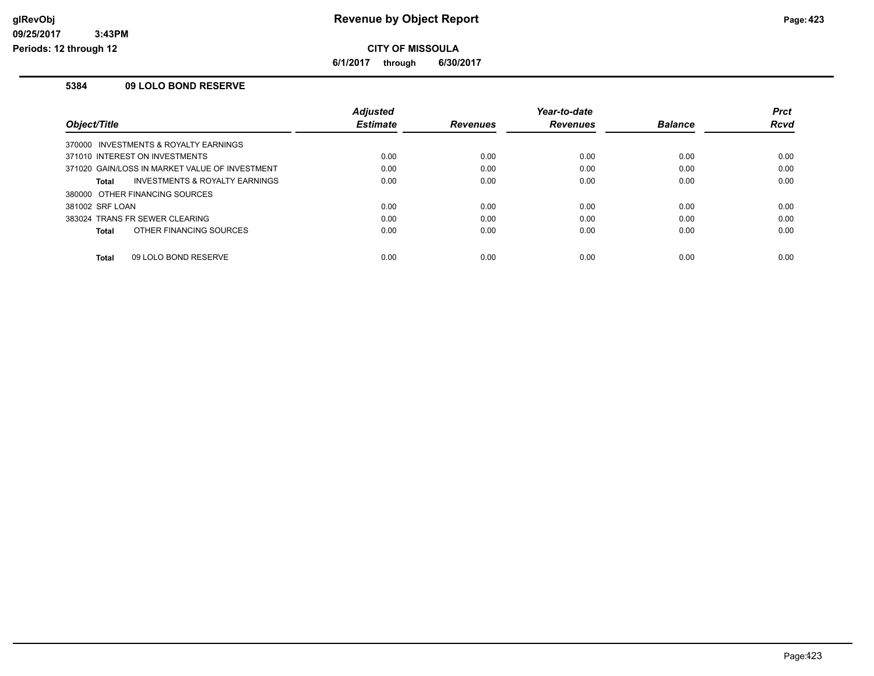**6/1/2017 through 6/30/2017**

#### **5384 09 LOLO BOND RESERVE**

|                                                | <b>Adjusted</b> |                 | Year-to-date    |                | <b>Prct</b> |
|------------------------------------------------|-----------------|-----------------|-----------------|----------------|-------------|
| Object/Title                                   | <b>Estimate</b> | <b>Revenues</b> | <b>Revenues</b> | <b>Balance</b> | <b>Rcvd</b> |
| 370000 INVESTMENTS & ROYALTY EARNINGS          |                 |                 |                 |                |             |
| 371010 INTEREST ON INVESTMENTS                 | 0.00            | 0.00            | 0.00            | 0.00           | 0.00        |
| 371020 GAIN/LOSS IN MARKET VALUE OF INVESTMENT | 0.00            | 0.00            | 0.00            | 0.00           | 0.00        |
| INVESTMENTS & ROYALTY EARNINGS<br>Total        | 0.00            | 0.00            | 0.00            | 0.00           | 0.00        |
| 380000 OTHER FINANCING SOURCES                 |                 |                 |                 |                |             |
| 381002 SRF LOAN                                | 0.00            | 0.00            | 0.00            | 0.00           | 0.00        |
| 383024 TRANS FR SEWER CLEARING                 | 0.00            | 0.00            | 0.00            | 0.00           | 0.00        |
| OTHER FINANCING SOURCES<br>Total               | 0.00            | 0.00            | 0.00            | 0.00           | 0.00        |
| 09 LOLO BOND RESERVE<br>Total                  | 0.00            | 0.00            | 0.00            | 0.00           | 0.00        |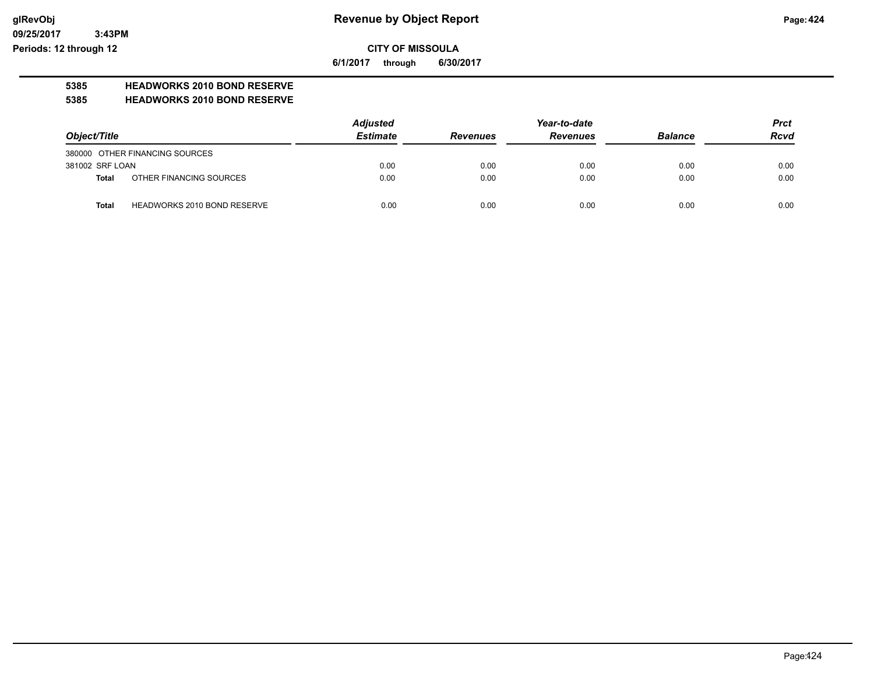**6/1/2017 through 6/30/2017**

# **5385 HEADWORKS 2010 BOND RESERVE**

## **5385 HEADWORKS 2010 BOND RESERVE**

|                 |                                | <b>Adjusted</b> | Year-to-date    |                 |                | <b>Prct</b> |
|-----------------|--------------------------------|-----------------|-----------------|-----------------|----------------|-------------|
| Object/Title    |                                | <b>Estimate</b> | <b>Revenues</b> | <b>Revenues</b> | <b>Balance</b> | <b>Rcvd</b> |
|                 | 380000 OTHER FINANCING SOURCES |                 |                 |                 |                |             |
| 381002 SRF LOAN |                                | 0.00            | 0.00            | 0.00            | 0.00           | 0.00        |
| Total           | OTHER FINANCING SOURCES        | 0.00            | 0.00            | 0.00            | 0.00           | 0.00        |
| <b>Total</b>    | HEADWORKS 2010 BOND RESERVE    | 0.00            | 0.00            | 0.00            | 0.00           | 0.00        |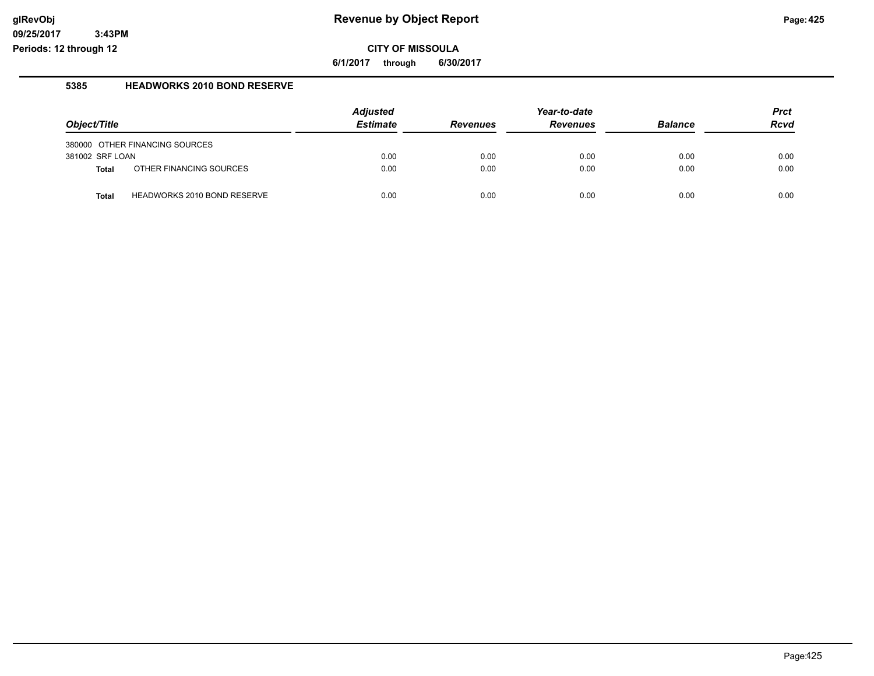**6/1/2017 through 6/30/2017**

#### **5385 HEADWORKS 2010 BOND RESERVE**

| Object/Title    |                                    | <b>Adjusted</b><br><b>Estimate</b> | <b>Revenues</b> | Year-to-date<br><b>Revenues</b> | <b>Balance</b> | <b>Prct</b><br><b>Rcvd</b> |
|-----------------|------------------------------------|------------------------------------|-----------------|---------------------------------|----------------|----------------------------|
|                 | 380000 OTHER FINANCING SOURCES     |                                    |                 |                                 |                |                            |
| 381002 SRF LOAN |                                    | 0.00                               | 0.00            | 0.00                            | 0.00           | 0.00                       |
| <b>Total</b>    | OTHER FINANCING SOURCES            | 0.00                               | 0.00            | 0.00                            | 0.00           | 0.00                       |
| <b>Total</b>    | <b>HEADWORKS 2010 BOND RESERVE</b> | 0.00                               | 0.00            | 0.00                            | 0.00           | 0.00                       |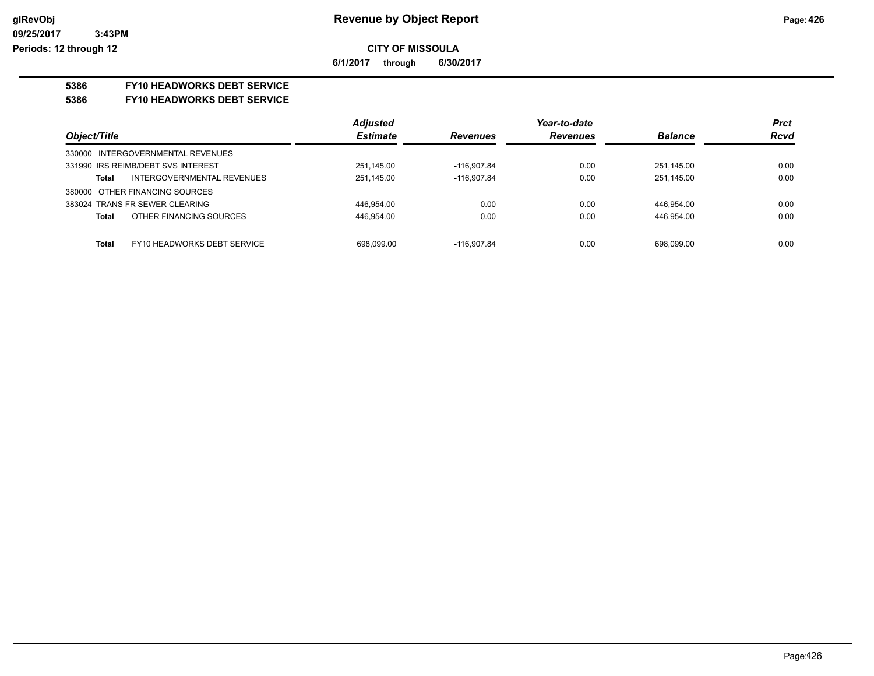**6/1/2017 through 6/30/2017**

## **5386 FY10 HEADWORKS DEBT SERVICE**

#### **5386 FY10 HEADWORKS DEBT SERVICE**

|                                             | <b>Adjusted</b> |                 | Year-to-date    |                | <b>Prct</b> |
|---------------------------------------------|-----------------|-----------------|-----------------|----------------|-------------|
| Object/Title                                | <b>Estimate</b> | <b>Revenues</b> | <b>Revenues</b> | <b>Balance</b> | <b>Rcvd</b> |
| 330000 INTERGOVERNMENTAL REVENUES           |                 |                 |                 |                |             |
| 331990 IRS REIMB/DEBT SVS INTEREST          | 251.145.00      | -116.907.84     | 0.00            | 251.145.00     | 0.00        |
| INTERGOVERNMENTAL REVENUES<br><b>Total</b>  | 251,145.00      | $-116.907.84$   | 0.00            | 251,145.00     | 0.00        |
| 380000 OTHER FINANCING SOURCES              |                 |                 |                 |                |             |
| 383024 TRANS FR SEWER CLEARING              | 446.954.00      | 0.00            | 0.00            | 446.954.00     | 0.00        |
| OTHER FINANCING SOURCES<br><b>Total</b>     | 446,954.00      | 0.00            | 0.00            | 446,954.00     | 0.00        |
|                                             |                 |                 |                 |                |             |
| FY10 HEADWORKS DEBT SERVICE<br><b>Total</b> | 698.099.00      | $-116.907.84$   | 0.00            | 698.099.00     | 0.00        |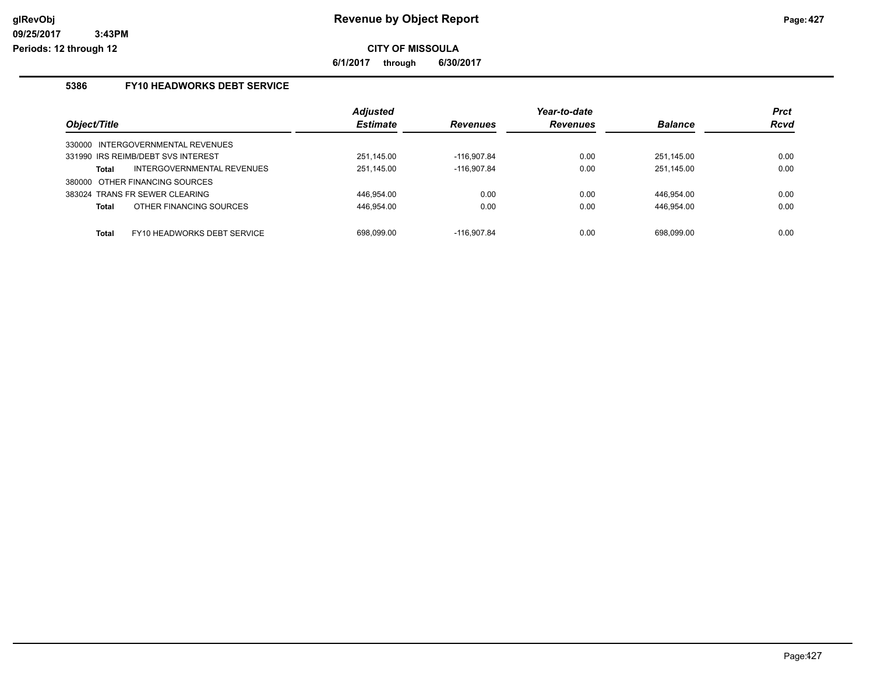**6/1/2017 through 6/30/2017**

### **5386 FY10 HEADWORKS DEBT SERVICE**

|                                    |                                    | <b>Adjusted</b> |                 | Year-to-date    |                | <b>Prct</b> |
|------------------------------------|------------------------------------|-----------------|-----------------|-----------------|----------------|-------------|
| Object/Title                       |                                    | <b>Estimate</b> | <b>Revenues</b> | <b>Revenues</b> | <b>Balance</b> | <b>Rcvd</b> |
| 330000 INTERGOVERNMENTAL REVENUES  |                                    |                 |                 |                 |                |             |
| 331990 IRS REIMB/DEBT SVS INTEREST |                                    | 251.145.00      | -116.907.84     | 0.00            | 251.145.00     | 0.00        |
| Total                              | INTERGOVERNMENTAL REVENUES         | 251,145.00      | $-116,907.84$   | 0.00            | 251,145.00     | 0.00        |
| 380000 OTHER FINANCING SOURCES     |                                    |                 |                 |                 |                |             |
| 383024 TRANS FR SEWER CLEARING     |                                    | 446,954.00      | 0.00            | 0.00            | 446,954.00     | 0.00        |
| <b>Total</b>                       | OTHER FINANCING SOURCES            | 446,954.00      | 0.00            | 0.00            | 446,954.00     | 0.00        |
| Total                              | <b>FY10 HEADWORKS DEBT SERVICE</b> | 698.099.00      | -116.907.84     | 0.00            | 698.099.00     | 0.00        |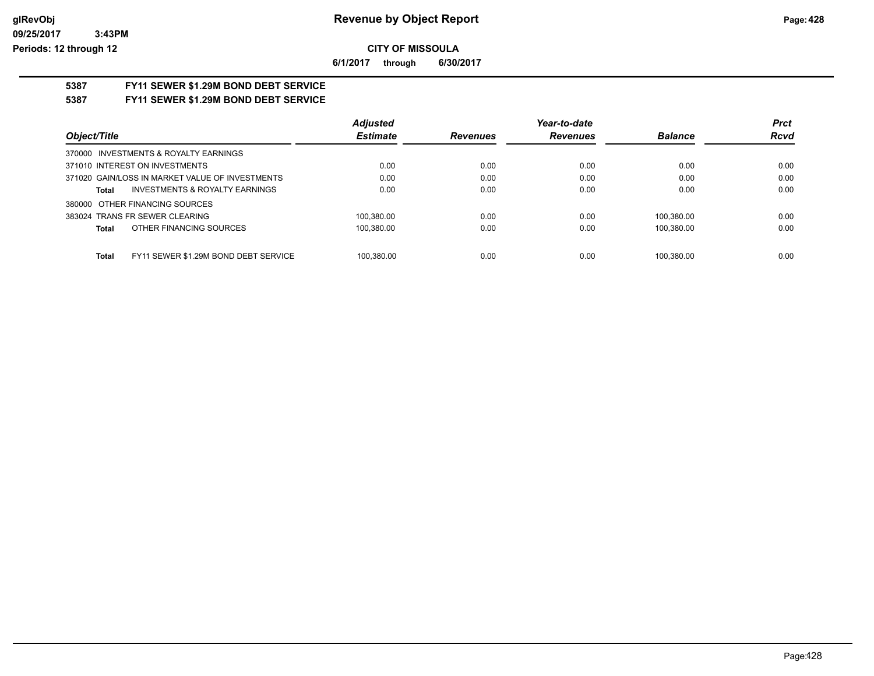**6/1/2017 through 6/30/2017**

# **5387 FY11 SEWER \$1.29M BOND DEBT SERVICE**

# **5387 FY11 SEWER \$1.29M BOND DEBT SERVICE**

|                                                 | <b>Adjusted</b> |                 | Year-to-date    |                | <b>Prct</b> |
|-------------------------------------------------|-----------------|-----------------|-----------------|----------------|-------------|
| Object/Title                                    | <b>Estimate</b> | <b>Revenues</b> | <b>Revenues</b> | <b>Balance</b> | <b>Rcvd</b> |
| 370000 INVESTMENTS & ROYALTY EARNINGS           |                 |                 |                 |                |             |
| 371010 INTEREST ON INVESTMENTS                  | 0.00            | 0.00            | 0.00            | 0.00           | 0.00        |
| 371020 GAIN/LOSS IN MARKET VALUE OF INVESTMENTS | 0.00            | 0.00            | 0.00            | 0.00           | 0.00        |
| INVESTMENTS & ROYALTY EARNINGS<br>Total         | 0.00            | 0.00            | 0.00            | 0.00           | 0.00        |
| 380000 OTHER FINANCING SOURCES                  |                 |                 |                 |                |             |
| 383024 TRANS FR SEWER CLEARING                  | 100.380.00      | 0.00            | 0.00            | 100.380.00     | 0.00        |
| OTHER FINANCING SOURCES<br>Total                | 100,380.00      | 0.00            | 0.00            | 100.380.00     | 0.00        |
|                                                 |                 |                 |                 |                |             |
| FY11 SEWER \$1.29M BOND DEBT SERVICE<br>Total   | 100.380.00      | 0.00            | 0.00            | 100.380.00     | 0.00        |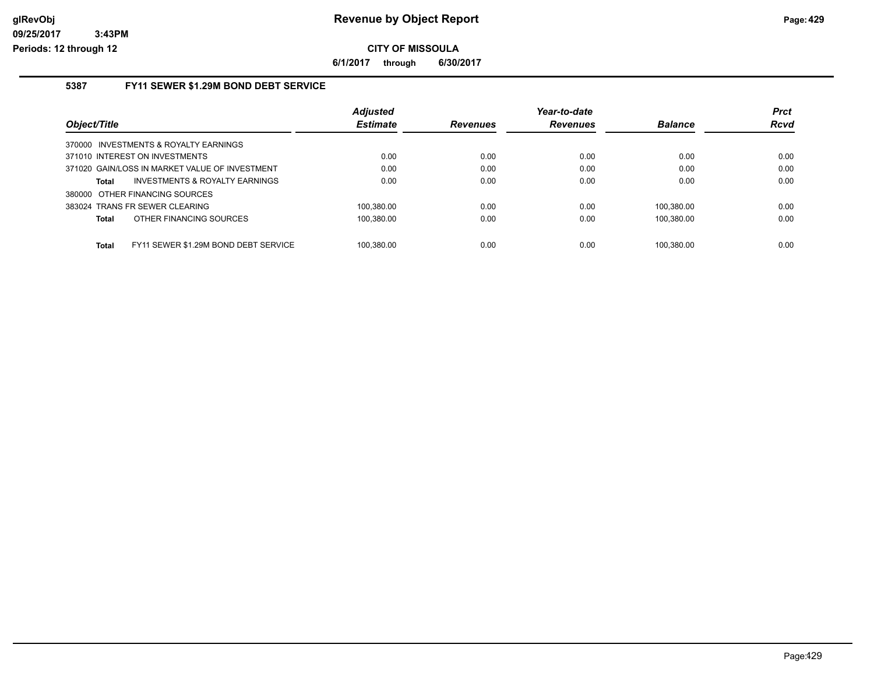**6/1/2017 through 6/30/2017**

#### **5387 FY11 SEWER \$1.29M BOND DEBT SERVICE**

|                                                      | Adjusted        |                 | Year-to-date    |                | <b>Prct</b> |
|------------------------------------------------------|-----------------|-----------------|-----------------|----------------|-------------|
| Object/Title                                         | <b>Estimate</b> | <b>Revenues</b> | <b>Revenues</b> | <b>Balance</b> | <b>Rcvd</b> |
| 370000 INVESTMENTS & ROYALTY EARNINGS                |                 |                 |                 |                |             |
| 371010 INTEREST ON INVESTMENTS                       | 0.00            | 0.00            | 0.00            | 0.00           | 0.00        |
| 371020 GAIN/LOSS IN MARKET VALUE OF INVESTMENT       | 0.00            | 0.00            | 0.00            | 0.00           | 0.00        |
| INVESTMENTS & ROYALTY EARNINGS<br>Total              | 0.00            | 0.00            | 0.00            | 0.00           | 0.00        |
| 380000 OTHER FINANCING SOURCES                       |                 |                 |                 |                |             |
| 383024 TRANS FR SEWER CLEARING                       | 100.380.00      | 0.00            | 0.00            | 100.380.00     | 0.00        |
| OTHER FINANCING SOURCES<br>Total                     | 100.380.00      | 0.00            | 0.00            | 100.380.00     | 0.00        |
|                                                      |                 |                 |                 |                |             |
| <b>Total</b><br>FY11 SEWER \$1.29M BOND DEBT SERVICE | 100.380.00      | 0.00            | 0.00            | 100.380.00     | 0.00        |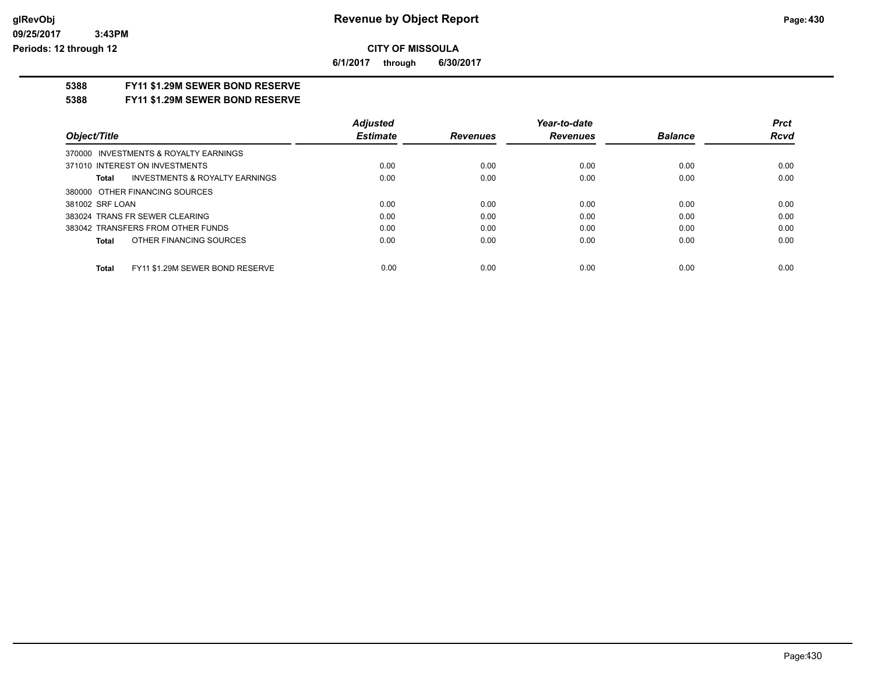**6/1/2017 through 6/30/2017**

## **5388 FY11 \$1.29M SEWER BOND RESERVE**

**5388 FY11 \$1.29M SEWER BOND RESERVE**

|                                       |                                 | <b>Adjusted</b> |                 | Year-to-date    |                | <b>Prct</b> |
|---------------------------------------|---------------------------------|-----------------|-----------------|-----------------|----------------|-------------|
| Object/Title                          |                                 | <b>Estimate</b> | <b>Revenues</b> | <b>Revenues</b> | <b>Balance</b> | <b>Rcvd</b> |
| 370000 INVESTMENTS & ROYALTY EARNINGS |                                 |                 |                 |                 |                |             |
| 371010 INTEREST ON INVESTMENTS        |                                 | 0.00            | 0.00            | 0.00            | 0.00           | 0.00        |
| Total                                 | INVESTMENTS & ROYALTY EARNINGS  | 0.00            | 0.00            | 0.00            | 0.00           | 0.00        |
| 380000 OTHER FINANCING SOURCES        |                                 |                 |                 |                 |                |             |
| 381002 SRF LOAN                       |                                 | 0.00            | 0.00            | 0.00            | 0.00           | 0.00        |
| 383024 TRANS FR SEWER CLEARING        |                                 | 0.00            | 0.00            | 0.00            | 0.00           | 0.00        |
| 383042 TRANSFERS FROM OTHER FUNDS     |                                 | 0.00            | 0.00            | 0.00            | 0.00           | 0.00        |
| OTHER FINANCING SOURCES<br>Total      |                                 | 0.00            | 0.00            | 0.00            | 0.00           | 0.00        |
| Total                                 | FY11 \$1.29M SEWER BOND RESERVE | 0.00            | 0.00            | 0.00            | 0.00           | 0.00        |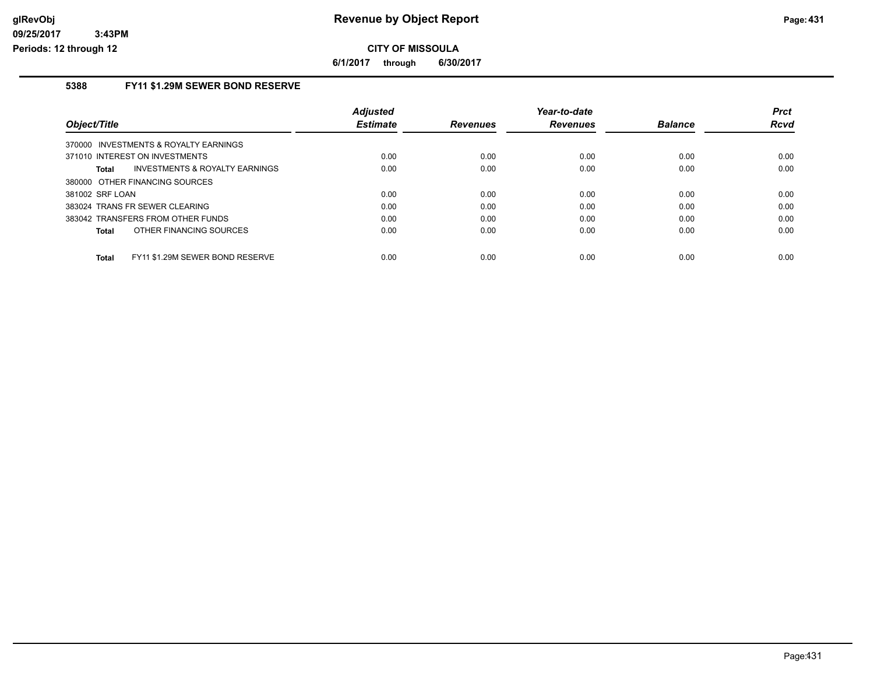**6/1/2017 through 6/30/2017**

## **5388 FY11 \$1.29M SEWER BOND RESERVE**

|                                                 | <b>Adjusted</b> |                 | Year-to-date    |                | <b>Prct</b> |
|-------------------------------------------------|-----------------|-----------------|-----------------|----------------|-------------|
| Object/Title                                    | <b>Estimate</b> | <b>Revenues</b> | <b>Revenues</b> | <b>Balance</b> | Rcvd        |
| 370000 INVESTMENTS & ROYALTY EARNINGS           |                 |                 |                 |                |             |
| 371010 INTEREST ON INVESTMENTS                  | 0.00            | 0.00            | 0.00            | 0.00           | 0.00        |
| INVESTMENTS & ROYALTY EARNINGS<br><b>Total</b>  | 0.00            | 0.00            | 0.00            | 0.00           | 0.00        |
| 380000 OTHER FINANCING SOURCES                  |                 |                 |                 |                |             |
| 381002 SRF LOAN                                 | 0.00            | 0.00            | 0.00            | 0.00           | 0.00        |
| 383024 TRANS FR SEWER CLEARING                  | 0.00            | 0.00            | 0.00            | 0.00           | 0.00        |
| 383042 TRANSFERS FROM OTHER FUNDS               | 0.00            | 0.00            | 0.00            | 0.00           | 0.00        |
| OTHER FINANCING SOURCES<br><b>Total</b>         | 0.00            | 0.00            | 0.00            | 0.00           | 0.00        |
| FY11 \$1.29M SEWER BOND RESERVE<br><b>Total</b> | 0.00            | 0.00            | 0.00            | 0.00           | 0.00        |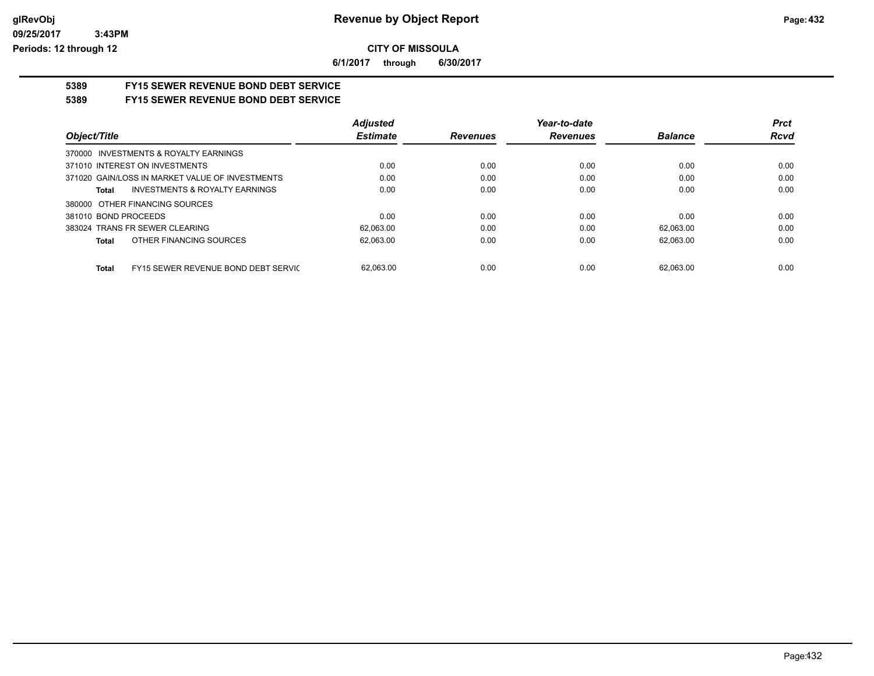**6/1/2017 through 6/30/2017**

# **5389 FY15 SEWER REVENUE BOND DEBT SERVICE**

# **5389 FY15 SEWER REVENUE BOND DEBT SERVICE**

|                      |                                                 | <b>Adjusted</b> |                 | Year-to-date    |                | <b>Prct</b> |
|----------------------|-------------------------------------------------|-----------------|-----------------|-----------------|----------------|-------------|
| Object/Title         |                                                 | <b>Estimate</b> | <b>Revenues</b> | <b>Revenues</b> | <b>Balance</b> | <b>Rcvd</b> |
|                      | 370000 INVESTMENTS & ROYALTY EARNINGS           |                 |                 |                 |                |             |
|                      | 371010 INTEREST ON INVESTMENTS                  | 0.00            | 0.00            | 0.00            | 0.00           | 0.00        |
|                      | 371020 GAIN/LOSS IN MARKET VALUE OF INVESTMENTS | 0.00            | 0.00            | 0.00            | 0.00           | 0.00        |
| Total                | <b>INVESTMENTS &amp; ROYALTY EARNINGS</b>       | 0.00            | 0.00            | 0.00            | 0.00           | 0.00        |
|                      | 380000 OTHER FINANCING SOURCES                  |                 |                 |                 |                |             |
| 381010 BOND PROCEEDS |                                                 | 0.00            | 0.00            | 0.00            | 0.00           | 0.00        |
|                      | 383024 TRANS FR SEWER CLEARING                  | 62.063.00       | 0.00            | 0.00            | 62.063.00      | 0.00        |
| Total                | OTHER FINANCING SOURCES                         | 62,063.00       | 0.00            | 0.00            | 62,063.00      | 0.00        |
| <b>Total</b>         | FY15 SEWER REVENUE BOND DEBT SERVIC             | 62.063.00       | 0.00            | 0.00            | 62.063.00      | 0.00        |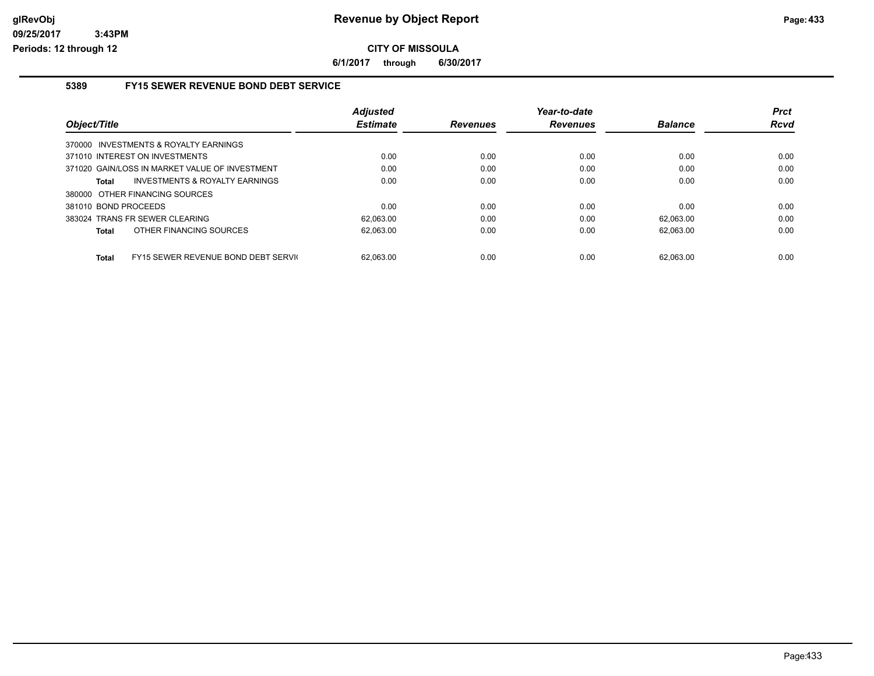**6/1/2017 through 6/30/2017**

#### **5389 FY15 SEWER REVENUE BOND DEBT SERVICE**

|                                                             | <b>Adjusted</b> |                 | Year-to-date    |                | <b>Prct</b> |
|-------------------------------------------------------------|-----------------|-----------------|-----------------|----------------|-------------|
| Object/Title                                                | <b>Estimate</b> | <b>Revenues</b> | <b>Revenues</b> | <b>Balance</b> | Rcvd        |
| 370000 INVESTMENTS & ROYALTY EARNINGS                       |                 |                 |                 |                |             |
| 371010 INTEREST ON INVESTMENTS                              | 0.00            | 0.00            | 0.00            | 0.00           | 0.00        |
| 371020 GAIN/LOSS IN MARKET VALUE OF INVESTMENT              | 0.00            | 0.00            | 0.00            | 0.00           | 0.00        |
| INVESTMENTS & ROYALTY EARNINGS<br><b>Total</b>              | 0.00            | 0.00            | 0.00            | 0.00           | 0.00        |
| 380000 OTHER FINANCING SOURCES                              |                 |                 |                 |                |             |
| 381010 BOND PROCEEDS                                        | 0.00            | 0.00            | 0.00            | 0.00           | 0.00        |
| 383024 TRANS FR SEWER CLEARING                              | 62.063.00       | 0.00            | 0.00            | 62.063.00      | 0.00        |
| OTHER FINANCING SOURCES<br><b>Total</b>                     | 62.063.00       | 0.00            | 0.00            | 62.063.00      | 0.00        |
| <b>FY15 SEWER REVENUE BOND DEBT SERVICE</b><br><b>Total</b> | 62.063.00       | 0.00            | 0.00            | 62.063.00      | 0.00        |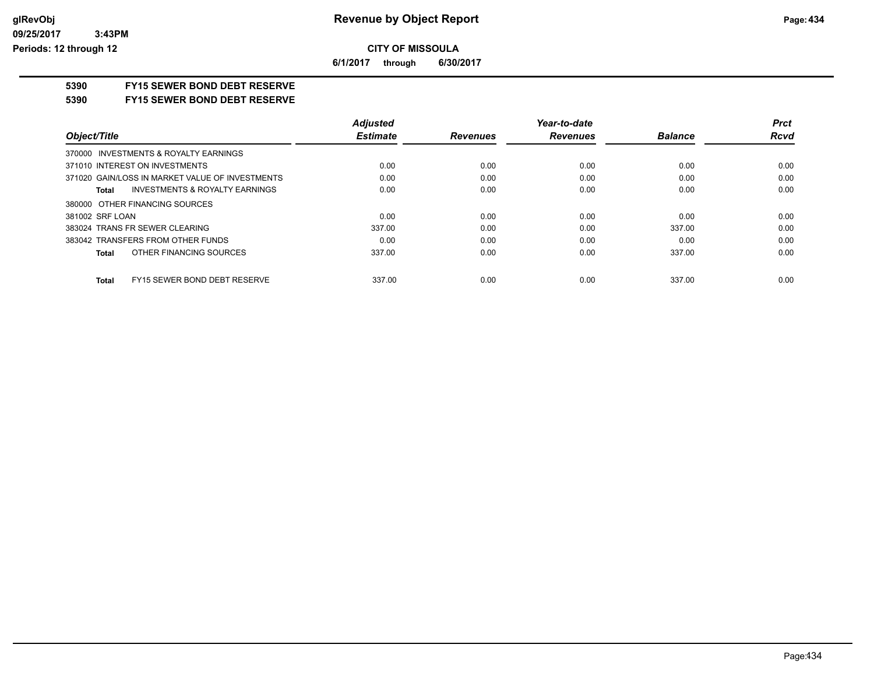**6/1/2017 through 6/30/2017**

# **5390 FY15 SEWER BOND DEBT RESERVE**

#### **5390 FY15 SEWER BOND DEBT RESERVE**

|                                                    | <b>Adjusted</b> |                 | Year-to-date    |                | <b>Prct</b> |
|----------------------------------------------------|-----------------|-----------------|-----------------|----------------|-------------|
| Object/Title                                       | <b>Estimate</b> | <b>Revenues</b> | <b>Revenues</b> | <b>Balance</b> | <b>Rcvd</b> |
| 370000 INVESTMENTS & ROYALTY EARNINGS              |                 |                 |                 |                |             |
| 371010 INTEREST ON INVESTMENTS                     | 0.00            | 0.00            | 0.00            | 0.00           | 0.00        |
| 371020 GAIN/LOSS IN MARKET VALUE OF INVESTMENTS    | 0.00            | 0.00            | 0.00            | 0.00           | 0.00        |
| <b>INVESTMENTS &amp; ROYALTY EARNINGS</b><br>Total | 0.00            | 0.00            | 0.00            | 0.00           | 0.00        |
| 380000 OTHER FINANCING SOURCES                     |                 |                 |                 |                |             |
| 381002 SRF LOAN                                    | 0.00            | 0.00            | 0.00            | 0.00           | 0.00        |
| 383024 TRANS FR SEWER CLEARING                     | 337.00          | 0.00            | 0.00            | 337.00         | 0.00        |
| 383042 TRANSFERS FROM OTHER FUNDS                  | 0.00            | 0.00            | 0.00            | 0.00           | 0.00        |
| OTHER FINANCING SOURCES<br>Total                   | 337.00          | 0.00            | 0.00            | 337.00         | 0.00        |
| FY15 SEWER BOND DEBT RESERVE<br><b>Total</b>       | 337.00          | 0.00            | 0.00            | 337.00         | 0.00        |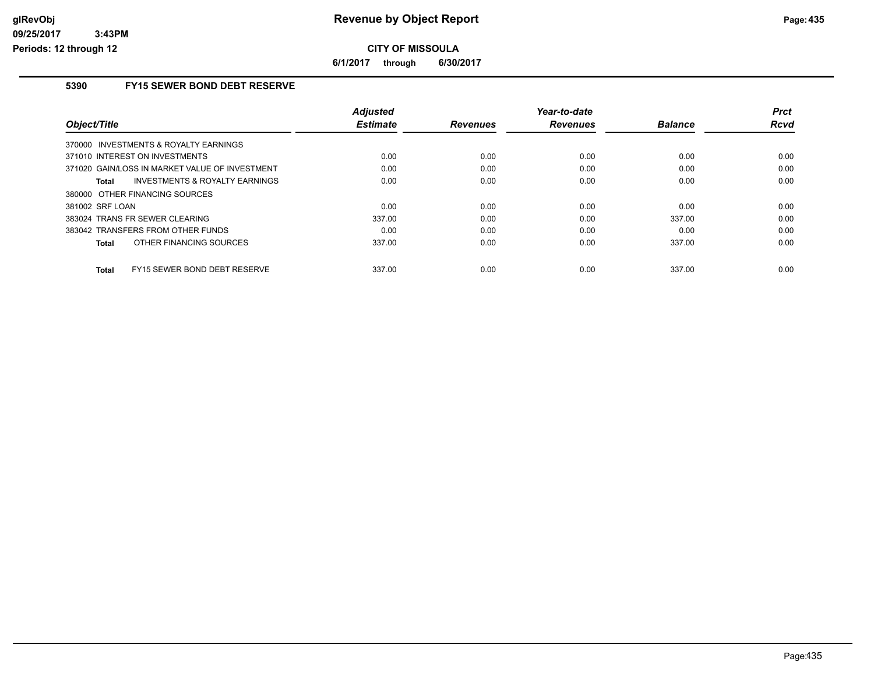**6/1/2017 through 6/30/2017**

# **5390 FY15 SEWER BOND DEBT RESERVE**

| Object/Title                                       | <b>Adiusted</b><br><b>Estimate</b> | <b>Revenues</b> | Year-to-date<br><b>Revenues</b> | <b>Balance</b> | <b>Prct</b><br><b>Rcvd</b> |
|----------------------------------------------------|------------------------------------|-----------------|---------------------------------|----------------|----------------------------|
| 370000 INVESTMENTS & ROYALTY EARNINGS              |                                    |                 |                                 |                |                            |
| 371010 INTEREST ON INVESTMENTS                     | 0.00                               | 0.00            | 0.00                            | 0.00           | 0.00                       |
| 371020 GAIN/LOSS IN MARKET VALUE OF INVESTMENT     | 0.00                               | 0.00            | 0.00                            | 0.00           | 0.00                       |
| <b>INVESTMENTS &amp; ROYALTY EARNINGS</b><br>Total | 0.00                               | 0.00            | 0.00                            | 0.00           | 0.00                       |
| 380000 OTHER FINANCING SOURCES                     |                                    |                 |                                 |                |                            |
| 381002 SRF LOAN                                    | 0.00                               | 0.00            | 0.00                            | 0.00           | 0.00                       |
| 383024 TRANS FR SEWER CLEARING                     | 337.00                             | 0.00            | 0.00                            | 337.00         | 0.00                       |
| 383042 TRANSFERS FROM OTHER FUNDS                  | 0.00                               | 0.00            | 0.00                            | 0.00           | 0.00                       |
| OTHER FINANCING SOURCES<br><b>Total</b>            | 337.00                             | 0.00            | 0.00                            | 337.00         | 0.00                       |
| FY15 SEWER BOND DEBT RESERVE<br>Total              | 337.00                             | 0.00            | 0.00                            | 337.00         | 0.00                       |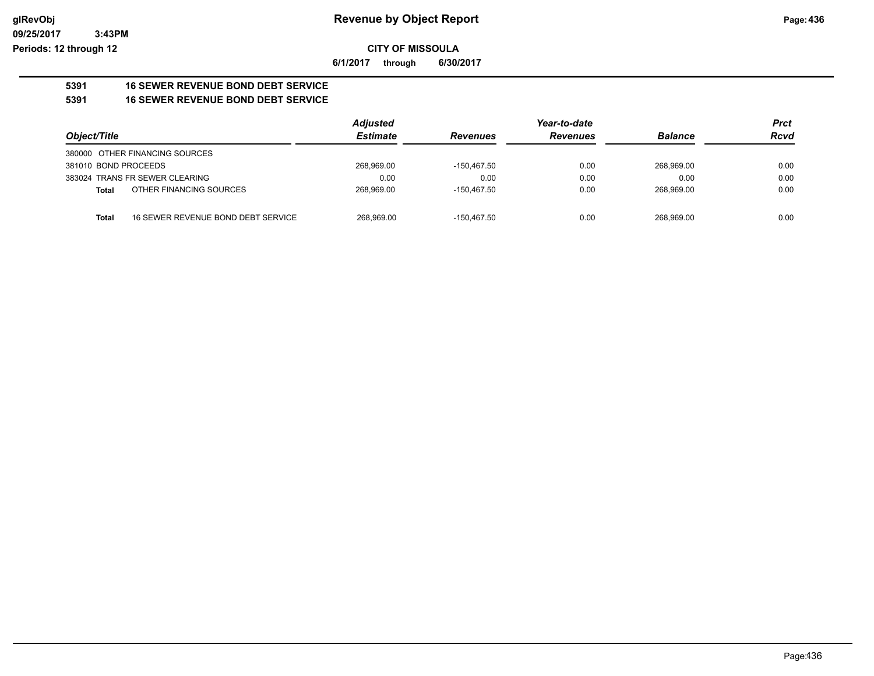**6/1/2017 through 6/30/2017**

#### **5391 16 SEWER REVENUE BOND DEBT SERVICE 5391 16 SEWER REVENUE BOND DEBT SERVICE**

|                                                    | <b>Adjusted</b> |                 | Year-to-date    |                | Prct        |
|----------------------------------------------------|-----------------|-----------------|-----------------|----------------|-------------|
| Object/Title                                       | <b>Estimate</b> | <b>Revenues</b> | <b>Revenues</b> | <b>Balance</b> | <b>Rcvd</b> |
| 380000 OTHER FINANCING SOURCES                     |                 |                 |                 |                |             |
| 381010 BOND PROCEEDS                               | 268,969.00      | $-150.467.50$   | 0.00            | 268.969.00     | 0.00        |
| 383024 TRANS FR SEWER CLEARING                     | 0.00            | 0.00            | 0.00            | 0.00           | 0.00        |
| OTHER FINANCING SOURCES<br>Total                   | 268,969.00      | -150.467.50     | 0.00            | 268.969.00     | 0.00        |
| 16 SEWER REVENUE BOND DEBT SERVICE<br><b>Total</b> | 268.969.00      | $-150.467.50$   | 0.00            | 268.969.00     | 0.00        |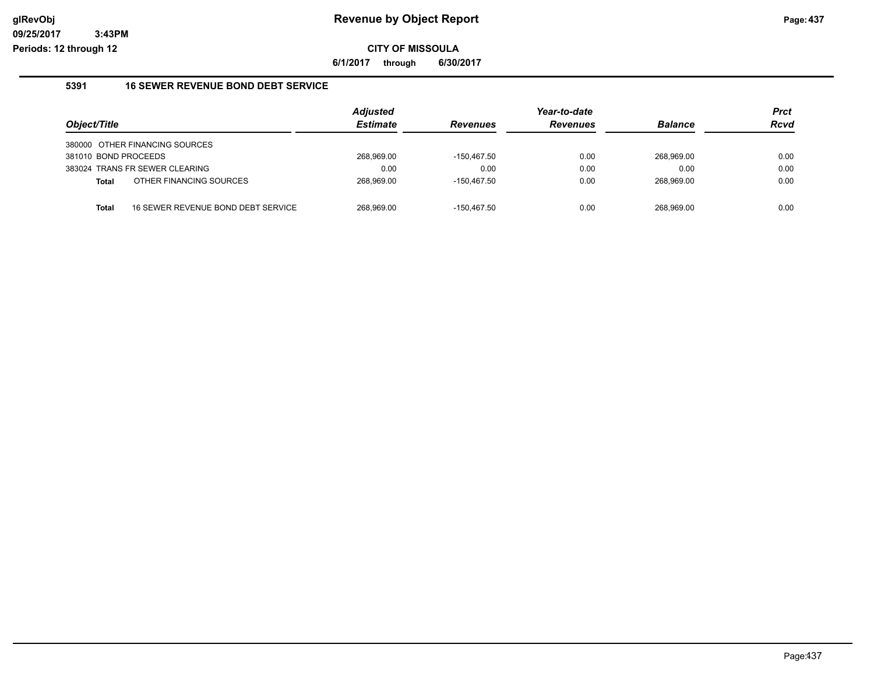**6/1/2017 through 6/30/2017**

### **5391 16 SEWER REVENUE BOND DEBT SERVICE**

|                      |                                    | <b>Adjusted</b> | Year-to-date    |                 |                | <b>Prct</b> |
|----------------------|------------------------------------|-----------------|-----------------|-----------------|----------------|-------------|
| Object/Title         |                                    | <b>Estimate</b> | <b>Revenues</b> | <b>Revenues</b> | <b>Balance</b> | <b>Rcvd</b> |
|                      | 380000 OTHER FINANCING SOURCES     |                 |                 |                 |                |             |
| 381010 BOND PROCEEDS |                                    | 268.969.00      | -150.467.50     | 0.00            | 268.969.00     | 0.00        |
|                      | 383024 TRANS FR SEWER CLEARING     | 0.00            | 0.00            | 0.00            | 0.00           | 0.00        |
| Total                | OTHER FINANCING SOURCES            | 268.969.00      | -150.467.50     | 0.00            | 268.969.00     | 0.00        |
| <b>Total</b>         | 16 SEWER REVENUE BOND DEBT SERVICE | 268.969.00      | -150.467.50     | 0.00            | 268.969.00     | 0.00        |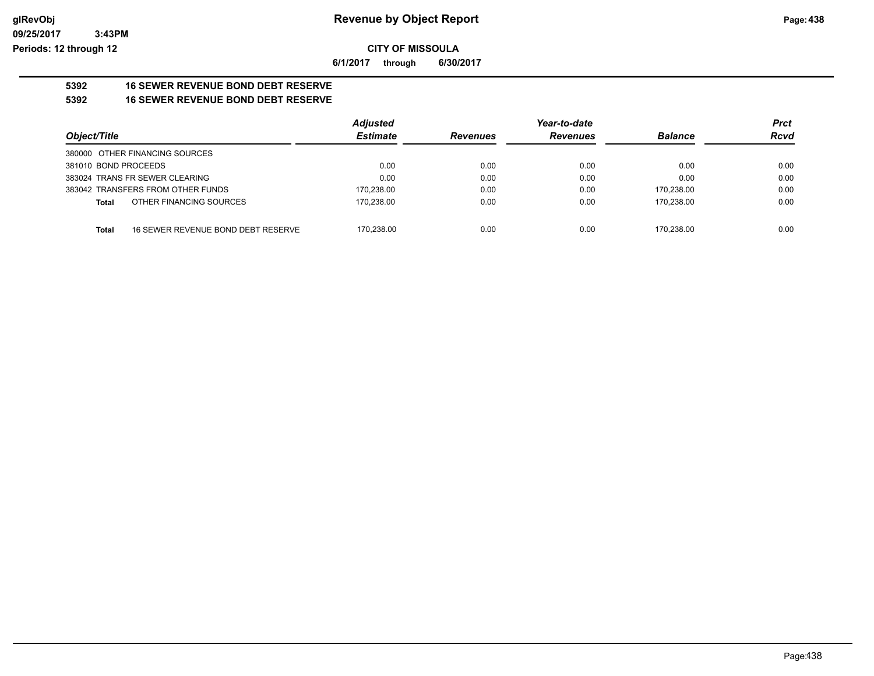**6/1/2017 through 6/30/2017**

# **5392 16 SEWER REVENUE BOND DEBT RESERVE**

# **5392 16 SEWER REVENUE BOND DEBT RESERVE**

|                                                    | <b>Adjusted</b> |                 | Year-to-date    |                | <b>Prct</b> |
|----------------------------------------------------|-----------------|-----------------|-----------------|----------------|-------------|
| Object/Title                                       | <b>Estimate</b> | <b>Revenues</b> | <b>Revenues</b> | <b>Balance</b> | Rcvd        |
| 380000 OTHER FINANCING SOURCES                     |                 |                 |                 |                |             |
| 381010 BOND PROCEEDS                               | 0.00            | 0.00            | 0.00            | 0.00           | 0.00        |
| 383024 TRANS FR SEWER CLEARING                     | 0.00            | 0.00            | 0.00            | 0.00           | 0.00        |
| 383042 TRANSFERS FROM OTHER FUNDS                  | 170.238.00      | 0.00            | 0.00            | 170.238.00     | 0.00        |
| OTHER FINANCING SOURCES<br>Total                   | 170.238.00      | 0.00            | 0.00            | 170.238.00     | 0.00        |
|                                                    |                 |                 |                 |                |             |
| 16 SEWER REVENUE BOND DEBT RESERVE<br><b>Total</b> | 170.238.00      | 0.00            | 0.00            | 170.238.00     | 0.00        |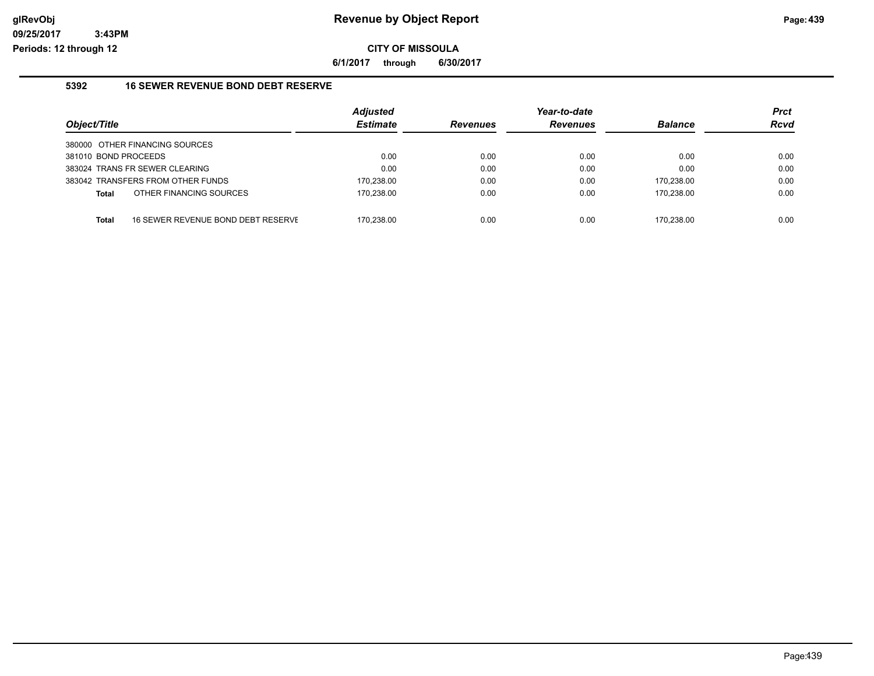**6/1/2017 through 6/30/2017**

#### **5392 16 SEWER REVENUE BOND DEBT RESERVE**

| Object/Title                                | Adjusted<br><b>Estimate</b> | <b>Revenues</b> | Year-to-date<br><b>Revenues</b> | <b>Balance</b> | <b>Prct</b><br><b>Rcvd</b> |
|---------------------------------------------|-----------------------------|-----------------|---------------------------------|----------------|----------------------------|
| 380000 OTHER FINANCING SOURCES              |                             |                 |                                 |                |                            |
| 381010 BOND PROCEEDS                        | 0.00                        | 0.00            | 0.00                            | 0.00           | 0.00                       |
| 383024 TRANS FR SEWER CLEARING              | 0.00                        | 0.00            | 0.00                            | 0.00           | 0.00                       |
| 383042 TRANSFERS FROM OTHER FUNDS           | 170,238.00                  | 0.00            | 0.00                            | 170.238.00     | 0.00                       |
| OTHER FINANCING SOURCES<br><b>Total</b>     | 170.238.00                  | 0.00            | 0.00                            | 170.238.00     | 0.00                       |
|                                             |                             |                 |                                 |                |                            |
| 16 SEWER REVENUE BOND DEBT RESERVE<br>Total | 170.238.00                  | 0.00            | 0.00                            | 170.238.00     | 0.00                       |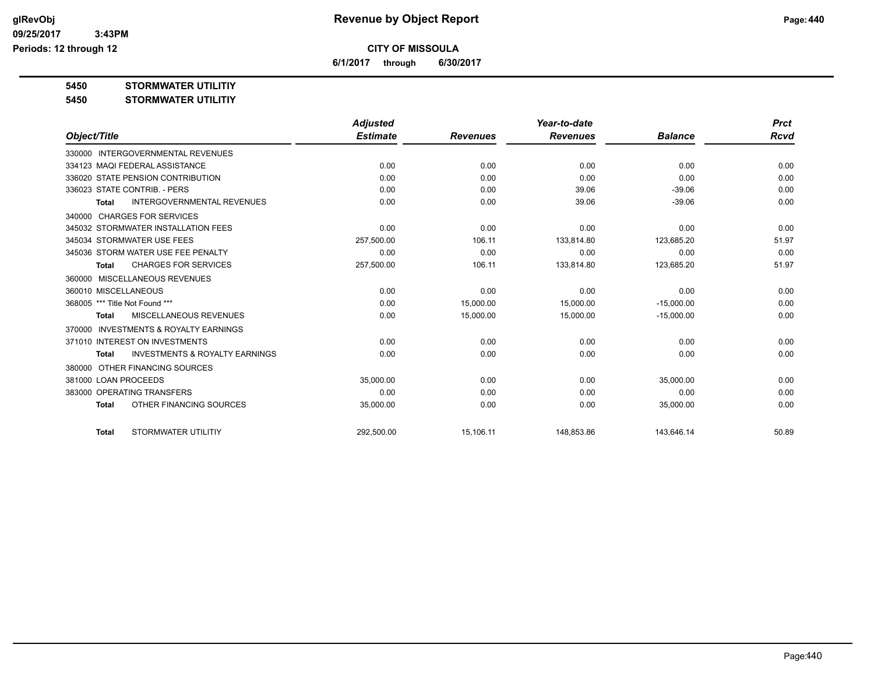**6/1/2017 through 6/30/2017**

**5450 STORMWATER UTILITIY**

**5450 STORMWATER UTILITIY**

|                                                           | <b>Adjusted</b> |                 | Year-to-date    |                | <b>Prct</b> |
|-----------------------------------------------------------|-----------------|-----------------|-----------------|----------------|-------------|
| Object/Title                                              | <b>Estimate</b> | <b>Revenues</b> | <b>Revenues</b> | <b>Balance</b> | <b>Rcvd</b> |
| 330000 INTERGOVERNMENTAL REVENUES                         |                 |                 |                 |                |             |
| 334123 MAQI FEDERAL ASSISTANCE                            | 0.00            | 0.00            | 0.00            | 0.00           | 0.00        |
| 336020 STATE PENSION CONTRIBUTION                         | 0.00            | 0.00            | 0.00            | 0.00           | 0.00        |
| 336023 STATE CONTRIB. - PERS                              | 0.00            | 0.00            | 39.06           | $-39.06$       | 0.00        |
| <b>INTERGOVERNMENTAL REVENUES</b><br><b>Total</b>         | 0.00            | 0.00            | 39.06           | $-39.06$       | 0.00        |
| <b>CHARGES FOR SERVICES</b><br>340000                     |                 |                 |                 |                |             |
| 345032 STORMWATER INSTALLATION FEES                       | 0.00            | 0.00            | 0.00            | 0.00           | 0.00        |
| 345034 STORMWATER USE FEES                                | 257,500.00      | 106.11          | 133,814.80      | 123,685.20     | 51.97       |
| 345036 STORM WATER USE FEE PENALTY                        | 0.00            | 0.00            | 0.00            | 0.00           | 0.00        |
| <b>CHARGES FOR SERVICES</b><br><b>Total</b>               | 257,500.00      | 106.11          | 133,814.80      | 123,685.20     | 51.97       |
| <b>MISCELLANEOUS REVENUES</b><br>360000                   |                 |                 |                 |                |             |
| 360010 MISCELLANEOUS                                      | 0.00            | 0.00            | 0.00            | 0.00           | 0.00        |
| *** Title Not Found ***<br>368005                         | 0.00            | 15.000.00       | 15,000.00       | $-15,000.00$   | 0.00        |
| <b>MISCELLANEOUS REVENUES</b><br><b>Total</b>             | 0.00            | 15,000.00       | 15,000.00       | $-15,000.00$   | 0.00        |
| <b>INVESTMENTS &amp; ROYALTY EARNINGS</b><br>370000       |                 |                 |                 |                |             |
| 371010 INTEREST ON INVESTMENTS                            | 0.00            | 0.00            | 0.00            | 0.00           | 0.00        |
| <b>INVESTMENTS &amp; ROYALTY EARNINGS</b><br><b>Total</b> | 0.00            | 0.00            | 0.00            | 0.00           | 0.00        |
| OTHER FINANCING SOURCES<br>380000                         |                 |                 |                 |                |             |
| 381000 LOAN PROCEEDS                                      | 35,000.00       | 0.00            | 0.00            | 35,000.00      | 0.00        |
| 383000 OPERATING TRANSFERS                                | 0.00            | 0.00            | 0.00            | 0.00           | 0.00        |
| OTHER FINANCING SOURCES<br><b>Total</b>                   | 35,000.00       | 0.00            | 0.00            | 35,000.00      | 0.00        |
| STORMWATER UTILITIY<br><b>Total</b>                       | 292.500.00      | 15.106.11       | 148.853.86      | 143.646.14     | 50.89       |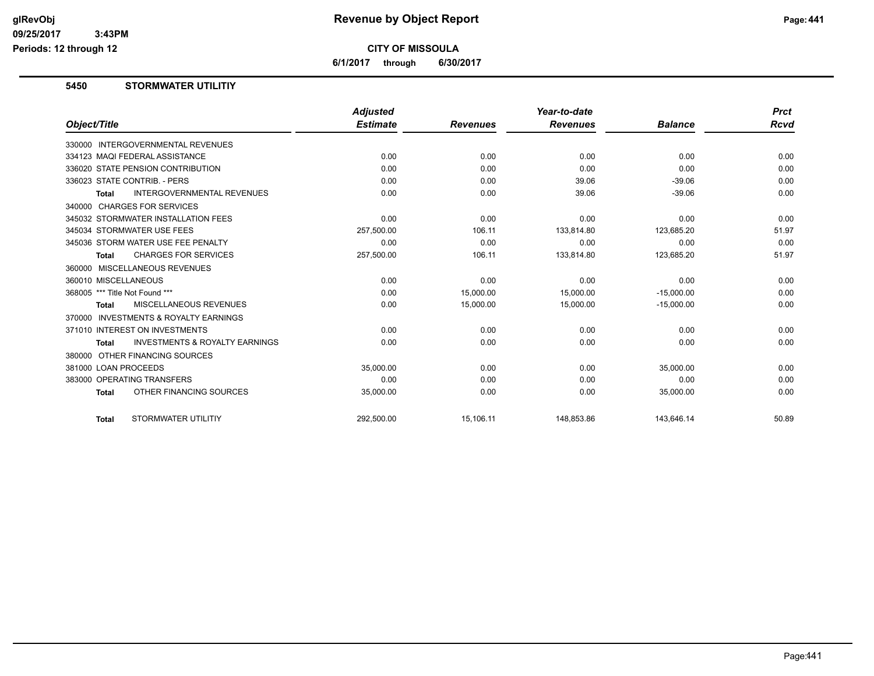**6/1/2017 through 6/30/2017**

#### **5450 STORMWATER UTILITIY**

|                                                           | <b>Adjusted</b> |                 | Year-to-date    |                | <b>Prct</b> |
|-----------------------------------------------------------|-----------------|-----------------|-----------------|----------------|-------------|
| Object/Title                                              | <b>Estimate</b> | <b>Revenues</b> | <b>Revenues</b> | <b>Balance</b> | <b>Rcvd</b> |
| 330000 INTERGOVERNMENTAL REVENUES                         |                 |                 |                 |                |             |
| 334123 MAQI FEDERAL ASSISTANCE                            | 0.00            | 0.00            | 0.00            | 0.00           | 0.00        |
| 336020 STATE PENSION CONTRIBUTION                         | 0.00            | 0.00            | 0.00            | 0.00           | 0.00        |
| 336023 STATE CONTRIB. - PERS                              | 0.00            | 0.00            | 39.06           | $-39.06$       | 0.00        |
| <b>INTERGOVERNMENTAL REVENUES</b><br><b>Total</b>         | 0.00            | 0.00            | 39.06           | $-39.06$       | 0.00        |
| 340000 CHARGES FOR SERVICES                               |                 |                 |                 |                |             |
| 345032 STORMWATER INSTALLATION FEES                       | 0.00            | 0.00            | 0.00            | 0.00           | 0.00        |
| 345034 STORMWATER USE FEES                                | 257,500.00      | 106.11          | 133,814.80      | 123,685.20     | 51.97       |
| 345036 STORM WATER USE FEE PENALTY                        | 0.00            | 0.00            | 0.00            | 0.00           | 0.00        |
| <b>CHARGES FOR SERVICES</b><br><b>Total</b>               | 257,500.00      | 106.11          | 133,814.80      | 123,685.20     | 51.97       |
| 360000 MISCELLANEOUS REVENUES                             |                 |                 |                 |                |             |
| 360010 MISCELLANEOUS                                      | 0.00            | 0.00            | 0.00            | 0.00           | 0.00        |
| 368005 *** Title Not Found ***                            | 0.00            | 15,000.00       | 15,000.00       | $-15,000.00$   | 0.00        |
| <b>MISCELLANEOUS REVENUES</b><br><b>Total</b>             | 0.00            | 15,000.00       | 15,000.00       | $-15,000.00$   | 0.00        |
| <b>INVESTMENTS &amp; ROYALTY EARNINGS</b><br>370000       |                 |                 |                 |                |             |
| 371010 INTEREST ON INVESTMENTS                            | 0.00            | 0.00            | 0.00            | 0.00           | 0.00        |
| <b>INVESTMENTS &amp; ROYALTY EARNINGS</b><br><b>Total</b> | 0.00            | 0.00            | 0.00            | 0.00           | 0.00        |
| 380000 OTHER FINANCING SOURCES                            |                 |                 |                 |                |             |
| 381000 LOAN PROCEEDS                                      | 35,000.00       | 0.00            | 0.00            | 35,000.00      | 0.00        |
| 383000 OPERATING TRANSFERS                                | 0.00            | 0.00            | 0.00            | 0.00           | 0.00        |
| OTHER FINANCING SOURCES<br><b>Total</b>                   | 35,000.00       | 0.00            | 0.00            | 35,000.00      | 0.00        |
| STORMWATER UTILITIY<br><b>Total</b>                       | 292.500.00      | 15.106.11       | 148.853.86      | 143.646.14     | 50.89       |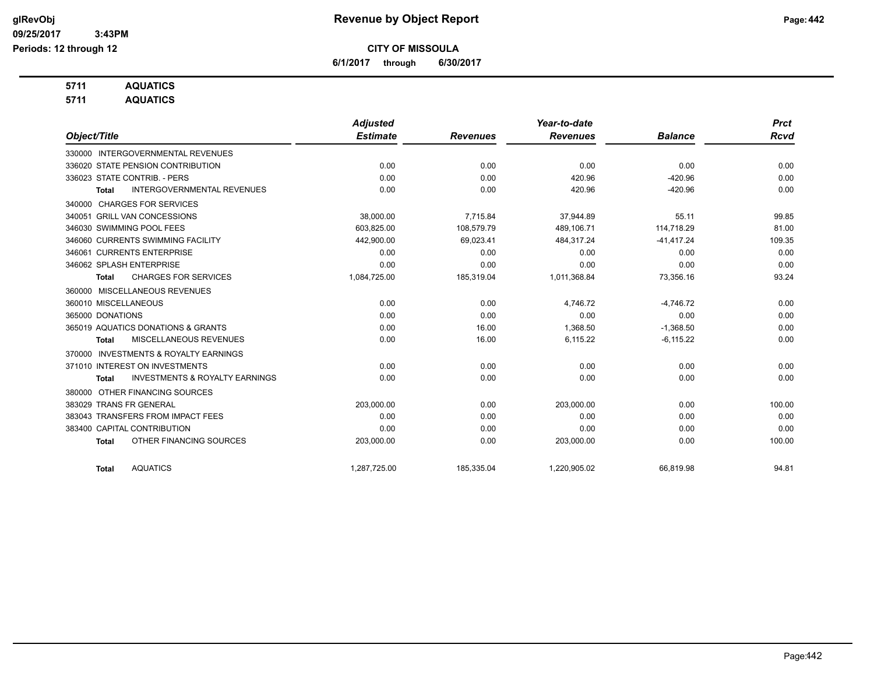**6/1/2017 through 6/30/2017**

# **5711 AQUATICS**

**5711 AQUATICS**

|                                                           | <b>Adjusted</b> |                 | Year-to-date    |                | <b>Prct</b> |
|-----------------------------------------------------------|-----------------|-----------------|-----------------|----------------|-------------|
| Object/Title                                              | <b>Estimate</b> | <b>Revenues</b> | <b>Revenues</b> | <b>Balance</b> | <b>Rcvd</b> |
| 330000 INTERGOVERNMENTAL REVENUES                         |                 |                 |                 |                |             |
| 336020 STATE PENSION CONTRIBUTION                         | 0.00            | 0.00            | 0.00            | 0.00           | 0.00        |
| 336023 STATE CONTRIB. - PERS                              | 0.00            | 0.00            | 420.96          | $-420.96$      | 0.00        |
| <b>INTERGOVERNMENTAL REVENUES</b><br><b>Total</b>         | 0.00            | 0.00            | 420.96          | $-420.96$      | 0.00        |
| <b>CHARGES FOR SERVICES</b><br>340000                     |                 |                 |                 |                |             |
| 340051 GRILL VAN CONCESSIONS                              | 38,000.00       | 7.715.84        | 37,944.89       | 55.11          | 99.85       |
| 346030 SWIMMING POOL FEES                                 | 603.825.00      | 108.579.79      | 489.106.71      | 114.718.29     | 81.00       |
| 346060 CURRENTS SWIMMING FACILITY                         | 442,900.00      | 69,023.41       | 484,317.24      | $-41,417.24$   | 109.35      |
| 346061 CURRENTS ENTERPRISE                                | 0.00            | 0.00            | 0.00            | 0.00           | 0.00        |
| 346062 SPLASH ENTERPRISE                                  | 0.00            | 0.00            | 0.00            | 0.00           | 0.00        |
| <b>CHARGES FOR SERVICES</b><br><b>Total</b>               | 1,084,725.00    | 185,319.04      | 1,011,368.84    | 73,356.16      | 93.24       |
| 360000 MISCELLANEOUS REVENUES                             |                 |                 |                 |                |             |
| 360010 MISCELLANEOUS                                      | 0.00            | 0.00            | 4.746.72        | $-4.746.72$    | 0.00        |
| 365000 DONATIONS                                          | 0.00            | 0.00            | 0.00            | 0.00           | 0.00        |
| 365019 AQUATICS DONATIONS & GRANTS                        | 0.00            | 16.00           | 1,368.50        | $-1,368.50$    | 0.00        |
| <b>MISCELLANEOUS REVENUES</b><br><b>Total</b>             | 0.00            | 16.00           | 6,115.22        | $-6,115.22$    | 0.00        |
| 370000 INVESTMENTS & ROYALTY EARNINGS                     |                 |                 |                 |                |             |
| 371010 INTEREST ON INVESTMENTS                            | 0.00            | 0.00            | 0.00            | 0.00           | 0.00        |
| <b>INVESTMENTS &amp; ROYALTY EARNINGS</b><br><b>Total</b> | 0.00            | 0.00            | 0.00            | 0.00           | 0.00        |
| OTHER FINANCING SOURCES<br>380000                         |                 |                 |                 |                |             |
| 383029 TRANS FR GENERAL                                   | 203,000.00      | 0.00            | 203,000.00      | 0.00           | 100.00      |
| 383043 TRANSFERS FROM IMPACT FEES                         | 0.00            | 0.00            | 0.00            | 0.00           | 0.00        |
| 383400 CAPITAL CONTRIBUTION                               | 0.00            | 0.00            | 0.00            | 0.00           | 0.00        |
| OTHER FINANCING SOURCES<br><b>Total</b>                   | 203,000.00      | 0.00            | 203,000.00      | 0.00           | 100.00      |
| <b>AQUATICS</b><br><b>Total</b>                           | 1,287,725.00    | 185,335.04      | 1,220,905.02    | 66,819.98      | 94.81       |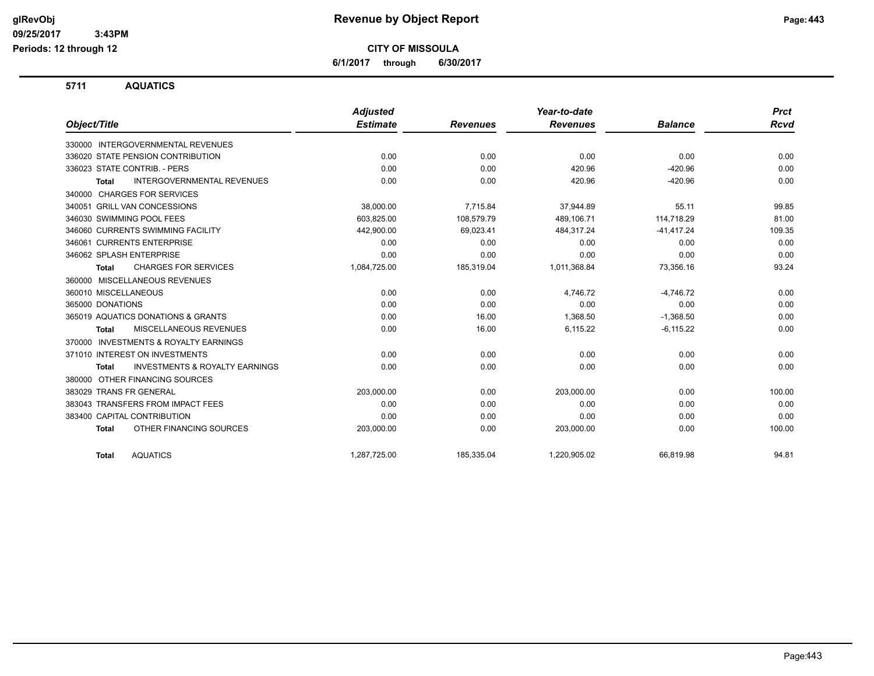**6/1/2017 through 6/30/2017**

**5711 AQUATICS**

|                                                           | <b>Adjusted</b> |                 | Year-to-date    |                | <b>Prct</b> |
|-----------------------------------------------------------|-----------------|-----------------|-----------------|----------------|-------------|
| Object/Title                                              | <b>Estimate</b> | <b>Revenues</b> | <b>Revenues</b> | <b>Balance</b> | <b>Rcvd</b> |
| 330000 INTERGOVERNMENTAL REVENUES                         |                 |                 |                 |                |             |
| 336020 STATE PENSION CONTRIBUTION                         | 0.00            | 0.00            | 0.00            | 0.00           | 0.00        |
| 336023 STATE CONTRIB. - PERS                              | 0.00            | 0.00            | 420.96          | $-420.96$      | 0.00        |
| <b>INTERGOVERNMENTAL REVENUES</b><br><b>Total</b>         | 0.00            | 0.00            | 420.96          | $-420.96$      | 0.00        |
| 340000 CHARGES FOR SERVICES                               |                 |                 |                 |                |             |
| 340051 GRILL VAN CONCESSIONS                              | 38,000.00       | 7,715.84        | 37,944.89       | 55.11          | 99.85       |
| 346030 SWIMMING POOL FEES                                 | 603,825.00      | 108,579.79      | 489,106.71      | 114,718.29     | 81.00       |
| 346060 CURRENTS SWIMMING FACILITY                         | 442,900.00      | 69.023.41       | 484.317.24      | $-41,417.24$   | 109.35      |
| 346061 CURRENTS ENTERPRISE                                | 0.00            | 0.00            | 0.00            | 0.00           | 0.00        |
| 346062 SPLASH ENTERPRISE                                  | 0.00            | 0.00            | 0.00            | 0.00           | 0.00        |
| <b>CHARGES FOR SERVICES</b><br>Total                      | 1,084,725.00    | 185,319.04      | 1,011,368.84    | 73,356.16      | 93.24       |
| 360000 MISCELLANEOUS REVENUES                             |                 |                 |                 |                |             |
| 360010 MISCELLANEOUS                                      | 0.00            | 0.00            | 4,746.72        | $-4,746.72$    | 0.00        |
| 365000 DONATIONS                                          | 0.00            | 0.00            | 0.00            | 0.00           | 0.00        |
| 365019 AQUATICS DONATIONS & GRANTS                        | 0.00            | 16.00           | 1,368.50        | $-1,368.50$    | 0.00        |
| <b>MISCELLANEOUS REVENUES</b><br>Total                    | 0.00            | 16.00           | 6,115.22        | $-6,115.22$    | 0.00        |
| <b>INVESTMENTS &amp; ROYALTY EARNINGS</b><br>370000       |                 |                 |                 |                |             |
| 371010 INTEREST ON INVESTMENTS                            | 0.00            | 0.00            | 0.00            | 0.00           | 0.00        |
| <b>INVESTMENTS &amp; ROYALTY EARNINGS</b><br><b>Total</b> | 0.00            | 0.00            | 0.00            | 0.00           | 0.00        |
| OTHER FINANCING SOURCES<br>380000                         |                 |                 |                 |                |             |
| 383029 TRANS FR GENERAL                                   | 203,000.00      | 0.00            | 203,000.00      | 0.00           | 100.00      |
| 383043 TRANSFERS FROM IMPACT FEES                         | 0.00            | 0.00            | 0.00            | 0.00           | 0.00        |
| 383400 CAPITAL CONTRIBUTION                               | 0.00            | 0.00            | 0.00            | 0.00           | 0.00        |
| OTHER FINANCING SOURCES<br><b>Total</b>                   | 203,000.00      | 0.00            | 203,000.00      | 0.00           | 100.00      |
| <b>AQUATICS</b><br><b>Total</b>                           | 1,287,725.00    | 185,335.04      | 1,220,905.02    | 66,819.98      | 94.81       |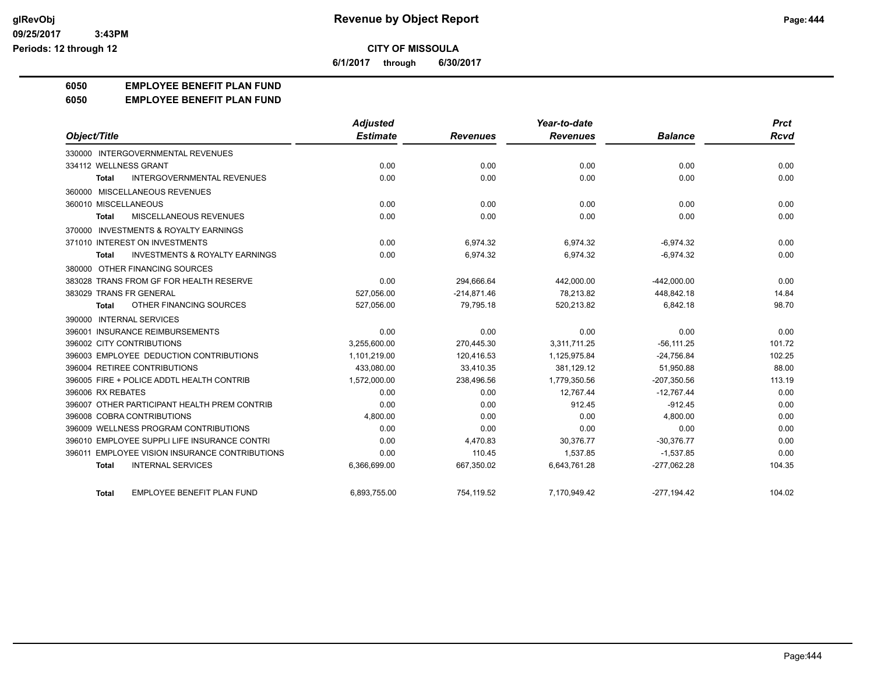**6/1/2017 through 6/30/2017**

# **6050 EMPLOYEE BENEFIT PLAN FUND**

#### **6050 EMPLOYEE BENEFIT PLAN FUND**

|                                                          | <b>Adjusted</b> |                 | Year-to-date    |                | <b>Prct</b> |
|----------------------------------------------------------|-----------------|-----------------|-----------------|----------------|-------------|
| Object/Title                                             | <b>Estimate</b> | <b>Revenues</b> | <b>Revenues</b> | <b>Balance</b> | Rcvd        |
| 330000 INTERGOVERNMENTAL REVENUES                        |                 |                 |                 |                |             |
| 334112 WELLNESS GRANT                                    | 0.00            | 0.00            | 0.00            | 0.00           | 0.00        |
| <b>INTERGOVERNMENTAL REVENUES</b><br><b>Total</b>        | 0.00            | 0.00            | 0.00            | 0.00           | 0.00        |
| 360000 MISCELLANEOUS REVENUES                            |                 |                 |                 |                |             |
| 360010 MISCELLANEOUS                                     | 0.00            | 0.00            | 0.00            | 0.00           | 0.00        |
| MISCELLANEOUS REVENUES<br><b>Total</b>                   | 0.00            | 0.00            | 0.00            | 0.00           | 0.00        |
| 370000 INVESTMENTS & ROYALTY EARNINGS                    |                 |                 |                 |                |             |
| 371010 INTEREST ON INVESTMENTS                           | 0.00            | 6,974.32        | 6,974.32        | $-6,974.32$    | 0.00        |
| <b>INVESTMENTS &amp; ROYALTY EARNINGS</b><br>Total       | 0.00            | 6,974.32        | 6,974.32        | $-6,974.32$    | 0.00        |
| 380000 OTHER FINANCING SOURCES                           |                 |                 |                 |                |             |
| 383028 TRANS FROM GF FOR HEALTH RESERVE                  | 0.00            | 294,666.64      | 442,000.00      | $-442,000.00$  | 0.00        |
| 383029 TRANS FR GENERAL                                  | 527,056.00      | $-214,871.46$   | 78,213.82       | 448,842.18     | 14.84       |
| OTHER FINANCING SOURCES<br><b>Total</b>                  | 527,056.00      | 79,795.18       | 520,213.82      | 6,842.18       | 98.70       |
| 390000 INTERNAL SERVICES                                 |                 |                 |                 |                |             |
| 396001 INSURANCE REIMBURSEMENTS                          | 0.00            | 0.00            | 0.00            | 0.00           | 0.00        |
| 396002 CITY CONTRIBUTIONS                                | 3,255,600.00    | 270,445.30      | 3.311.711.25    | $-56, 111.25$  | 101.72      |
| 396003 EMPLOYEE DEDUCTION CONTRIBUTIONS                  | 1,101,219.00    | 120,416.53      | 1,125,975.84    | $-24,756.84$   | 102.25      |
| 396004 RETIREE CONTRIBUTIONS                             | 433,080.00      | 33,410.35       | 381,129.12      | 51,950.88      | 88.00       |
| 396005 FIRE + POLICE ADDTL HEALTH CONTRIB                | 1.572.000.00    | 238,496.56      | 1.779.350.56    | $-207,350.56$  | 113.19      |
| 396006 RX REBATES                                        | 0.00            | 0.00            | 12,767.44       | $-12,767.44$   | 0.00        |
| 396007 OTHER PARTICIPANT HEALTH PREM CONTRIB             | 0.00            | 0.00            | 912.45          | $-912.45$      | 0.00        |
| 396008 COBRA CONTRIBUTIONS                               | 4,800.00        | 0.00            | 0.00            | 4.800.00       | 0.00        |
| 396009 WELLNESS PROGRAM CONTRIBUTIONS                    | 0.00            | 0.00            | 0.00            | 0.00           | 0.00        |
| 396010 EMPLOYEE SUPPLI LIFE INSURANCE CONTRI             | 0.00            | 4,470.83        | 30,376.77       | $-30,376.77$   | 0.00        |
| <b>EMPLOYEE VISION INSURANCE CONTRIBUTIONS</b><br>396011 | 0.00            | 110.45          | 1.537.85        | $-1,537.85$    | 0.00        |
| <b>INTERNAL SERVICES</b><br><b>Total</b>                 | 6,366,699.00    | 667,350.02      | 6,643,761.28    | $-277,062.28$  | 104.35      |
| <b>EMPLOYEE BENEFIT PLAN FUND</b><br><b>Total</b>        | 6,893,755.00    | 754,119.52      | 7,170,949.42    | $-277,194.42$  | 104.02      |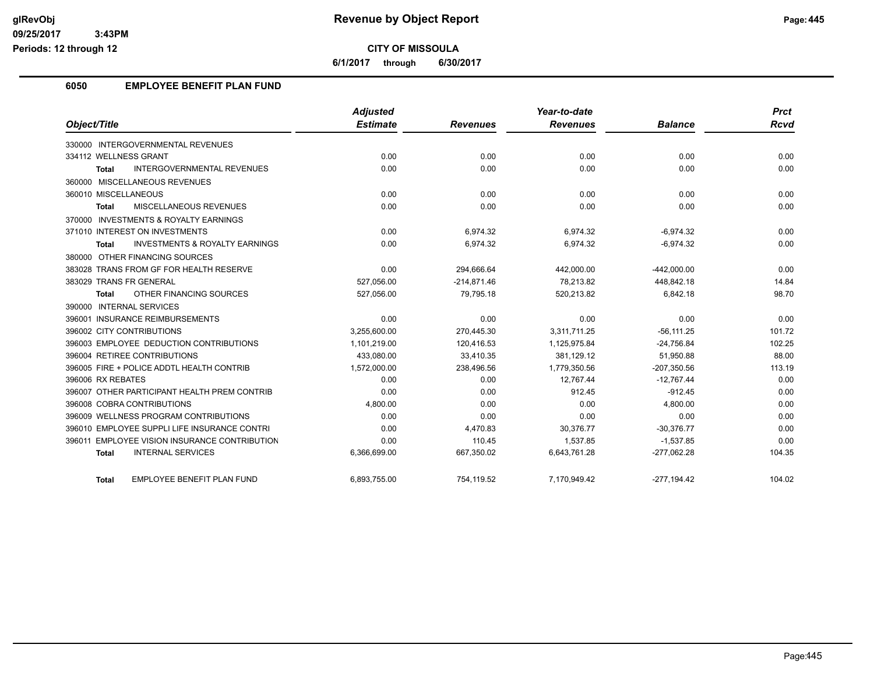**6/1/2017 through 6/30/2017**

# **6050 EMPLOYEE BENEFIT PLAN FUND**

|                                                           | <b>Adjusted</b> |                 | Year-to-date    |                | <b>Prct</b> |
|-----------------------------------------------------------|-----------------|-----------------|-----------------|----------------|-------------|
| Object/Title                                              | <b>Estimate</b> | <b>Revenues</b> | <b>Revenues</b> | <b>Balance</b> | Rcvd        |
| 330000 INTERGOVERNMENTAL REVENUES                         |                 |                 |                 |                |             |
| 334112 WELLNESS GRANT                                     | 0.00            | 0.00            | 0.00            | 0.00           | 0.00        |
| <b>INTERGOVERNMENTAL REVENUES</b><br>Total                | 0.00            | 0.00            | 0.00            | 0.00           | 0.00        |
| 360000 MISCELLANEOUS REVENUES                             |                 |                 |                 |                |             |
| 360010 MISCELLANEOUS                                      | 0.00            | 0.00            | 0.00            | 0.00           | 0.00        |
| <b>MISCELLANEOUS REVENUES</b><br><b>Total</b>             | 0.00            | 0.00            | 0.00            | 0.00           | 0.00        |
| 370000 INVESTMENTS & ROYALTY EARNINGS                     |                 |                 |                 |                |             |
| 371010 INTEREST ON INVESTMENTS                            | 0.00            | 6,974.32        | 6,974.32        | $-6,974.32$    | 0.00        |
| <b>INVESTMENTS &amp; ROYALTY EARNINGS</b><br><b>Total</b> | 0.00            | 6,974.32        | 6,974.32        | $-6,974.32$    | 0.00        |
| 380000 OTHER FINANCING SOURCES                            |                 |                 |                 |                |             |
| 383028 TRANS FROM GF FOR HEALTH RESERVE                   | 0.00            | 294,666.64      | 442,000.00      | $-442,000.00$  | 0.00        |
| 383029 TRANS FR GENERAL                                   | 527,056.00      | $-214,871.46$   | 78,213.82       | 448,842.18     | 14.84       |
| OTHER FINANCING SOURCES<br>Total                          | 527,056.00      | 79,795.18       | 520,213.82      | 6,842.18       | 98.70       |
| 390000 INTERNAL SERVICES                                  |                 |                 |                 |                |             |
| 396001 INSURANCE REIMBURSEMENTS                           | 0.00            | 0.00            | 0.00            | 0.00           | 0.00        |
| 396002 CITY CONTRIBUTIONS                                 | 3,255,600.00    | 270,445.30      | 3,311,711.25    | $-56, 111.25$  | 101.72      |
| 396003 EMPLOYEE DEDUCTION CONTRIBUTIONS                   | 1,101,219.00    | 120,416.53      | 1,125,975.84    | $-24,756.84$   | 102.25      |
| 396004 RETIREE CONTRIBUTIONS                              | 433,080.00      | 33,410.35       | 381,129.12      | 51,950.88      | 88.00       |
| 396005 FIRE + POLICE ADDTL HEALTH CONTRIB                 | 1,572,000.00    | 238,496.56      | 1,779,350.56    | $-207,350.56$  | 113.19      |
| 396006 RX REBATES                                         | 0.00            | 0.00            | 12,767.44       | $-12,767.44$   | 0.00        |
| 396007 OTHER PARTICIPANT HEALTH PREM CONTRIB              | 0.00            | 0.00            | 912.45          | $-912.45$      | 0.00        |
| 396008 COBRA CONTRIBUTIONS                                | 4,800.00        | 0.00            | 0.00            | 4.800.00       | 0.00        |
| 396009 WELLNESS PROGRAM CONTRIBUTIONS                     | 0.00            | 0.00            | 0.00            | 0.00           | 0.00        |
| 396010 EMPLOYEE SUPPLI LIFE INSURANCE CONTRI              | 0.00            | 4,470.83        | 30,376.77       | $-30,376.77$   | 0.00        |
| 396011 EMPLOYEE VISION INSURANCE CONTRIBUTION             | 0.00            | 110.45          | 1,537.85        | $-1,537.85$    | 0.00        |
| <b>INTERNAL SERVICES</b><br><b>Total</b>                  | 6,366,699.00    | 667,350.02      | 6,643,761.28    | $-277,062.28$  | 104.35      |
| <b>EMPLOYEE BENEFIT PLAN FUND</b><br><b>Total</b>         | 6,893,755.00    | 754,119.52      | 7,170,949.42    | $-277,194.42$  | 104.02      |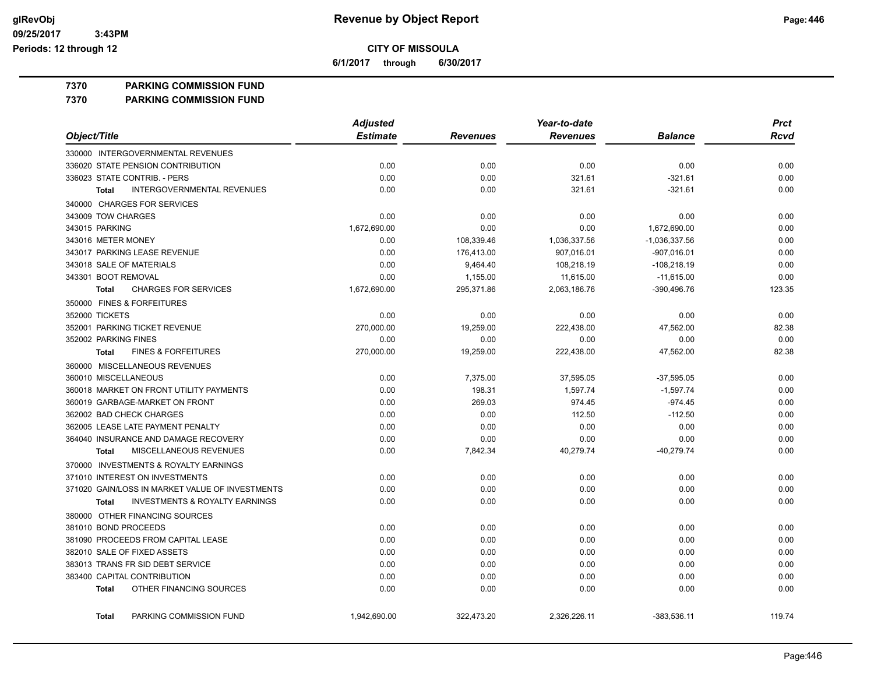**6/1/2017 through 6/30/2017**

**7370 PARKING COMMISSION FUND**

**7370 PARKING COMMISSION FUND**

|                                                    | <b>Adjusted</b> |                 | Year-to-date    |                 | <b>Prct</b> |
|----------------------------------------------------|-----------------|-----------------|-----------------|-----------------|-------------|
| Object/Title                                       | <b>Estimate</b> | <b>Revenues</b> | <b>Revenues</b> | <b>Balance</b>  | Rcvd        |
| 330000 INTERGOVERNMENTAL REVENUES                  |                 |                 |                 |                 |             |
| 336020 STATE PENSION CONTRIBUTION                  | 0.00            | 0.00            | 0.00            | 0.00            | 0.00        |
| 336023 STATE CONTRIB. - PERS                       | 0.00            | 0.00            | 321.61          | $-321.61$       | 0.00        |
| <b>INTERGOVERNMENTAL REVENUES</b><br><b>Total</b>  | 0.00            | 0.00            | 321.61          | $-321.61$       | 0.00        |
| 340000 CHARGES FOR SERVICES                        |                 |                 |                 |                 |             |
| 343009 TOW CHARGES                                 | 0.00            | 0.00            | 0.00            | 0.00            | 0.00        |
| 343015 PARKING                                     | 1,672,690.00    | 0.00            | 0.00            | 1,672,690.00    | 0.00        |
| 343016 METER MONEY                                 | 0.00            | 108,339.46      | 1,036,337.56    | $-1,036,337.56$ | 0.00        |
| 343017 PARKING LEASE REVENUE                       | 0.00            | 176,413.00      | 907,016.01      | $-907,016.01$   | 0.00        |
| 343018 SALE OF MATERIALS                           | 0.00            | 9,464.40        | 108,218.19      | $-108,218.19$   | 0.00        |
| 343301 BOOT REMOVAL                                | 0.00            | 1,155.00        | 11,615.00       | $-11,615.00$    | 0.00        |
| <b>CHARGES FOR SERVICES</b><br><b>Total</b>        | 1,672,690.00    | 295,371.86      | 2,063,186.76    | -390,496.76     | 123.35      |
| 350000 FINES & FORFEITURES                         |                 |                 |                 |                 |             |
| 352000 TICKETS                                     | 0.00            | 0.00            | 0.00            | 0.00            | 0.00        |
| 352001 PARKING TICKET REVENUE                      | 270,000.00      | 19,259.00       | 222,438.00      | 47,562.00       | 82.38       |
| 352002 PARKING FINES                               | 0.00            | 0.00            | 0.00            | 0.00            | 0.00        |
| <b>FINES &amp; FORFEITURES</b><br><b>Total</b>     | 270,000.00      | 19,259.00       | 222,438.00      | 47,562.00       | 82.38       |
| 360000 MISCELLANEOUS REVENUES                      |                 |                 |                 |                 |             |
| 360010 MISCELLANEOUS                               | 0.00            | 7,375.00        | 37,595.05       | $-37,595.05$    | 0.00        |
| 360018 MARKET ON FRONT UTILITY PAYMENTS            | 0.00            | 198.31          | 1,597.74        | $-1,597.74$     | 0.00        |
| 360019 GARBAGE-MARKET ON FRONT                     | 0.00            | 269.03          | 974.45          | $-974.45$       | 0.00        |
| 362002 BAD CHECK CHARGES                           | 0.00            | 0.00            | 112.50          | $-112.50$       | 0.00        |
| 362005 LEASE LATE PAYMENT PENALTY                  | 0.00            | 0.00            | 0.00            | 0.00            | 0.00        |
| 364040 INSURANCE AND DAMAGE RECOVERY               | 0.00            | 0.00            | 0.00            | 0.00            | 0.00        |
| MISCELLANEOUS REVENUES<br>Total                    | 0.00            | 7,842.34        | 40,279.74       | $-40,279.74$    | 0.00        |
| 370000 INVESTMENTS & ROYALTY EARNINGS              |                 |                 |                 |                 |             |
| 371010 INTEREST ON INVESTMENTS                     | 0.00            | 0.00            | 0.00            | 0.00            | 0.00        |
| 371020 GAIN/LOSS IN MARKET VALUE OF INVESTMENTS    | 0.00            | 0.00            | 0.00            | 0.00            | 0.00        |
| <b>INVESTMENTS &amp; ROYALTY EARNINGS</b><br>Total | 0.00            | 0.00            | 0.00            | 0.00            | 0.00        |
| 380000 OTHER FINANCING SOURCES                     |                 |                 |                 |                 |             |
| 381010 BOND PROCEEDS                               | 0.00            | 0.00            | 0.00            | 0.00            | 0.00        |
| 381090 PROCEEDS FROM CAPITAL LEASE                 | 0.00            | 0.00            | 0.00            | 0.00            | 0.00        |
| 382010 SALE OF FIXED ASSETS                        | 0.00            | 0.00            | 0.00            | 0.00            | 0.00        |
| 383013 TRANS FR SID DEBT SERVICE                   | 0.00            | 0.00            | 0.00            | 0.00            | 0.00        |
| 383400 CAPITAL CONTRIBUTION                        | 0.00            | 0.00            | 0.00            | 0.00            | 0.00        |
| OTHER FINANCING SOURCES<br>Total                   | 0.00            | 0.00            | 0.00            | 0.00            | 0.00        |
| PARKING COMMISSION FUND<br><b>Total</b>            | 1,942,690.00    | 322,473.20      | 2,326,226.11    | $-383,536.11$   | 119.74      |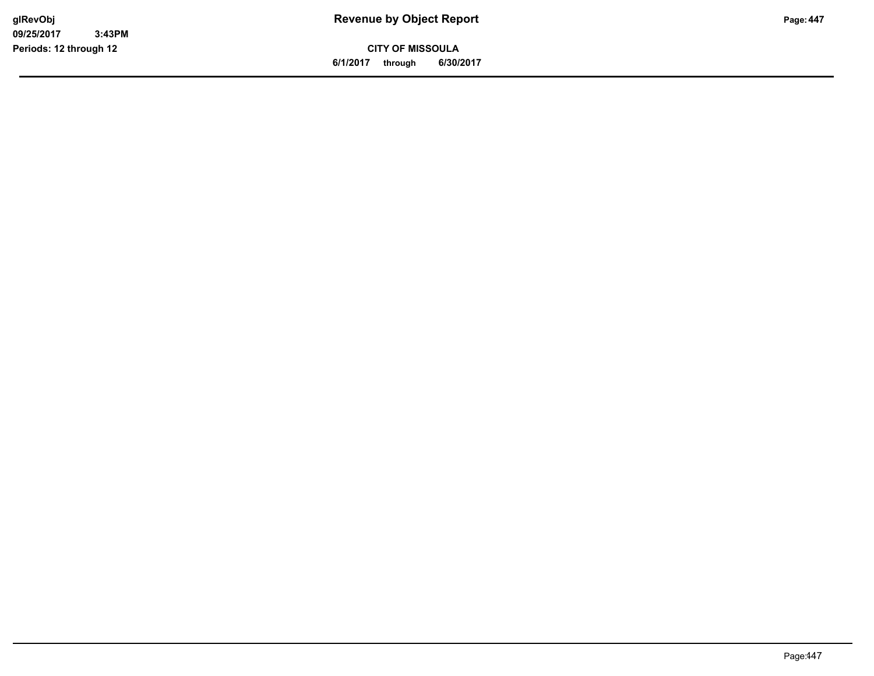**CITY OF MISSOULA 6/1/2017 through 6/30/2017**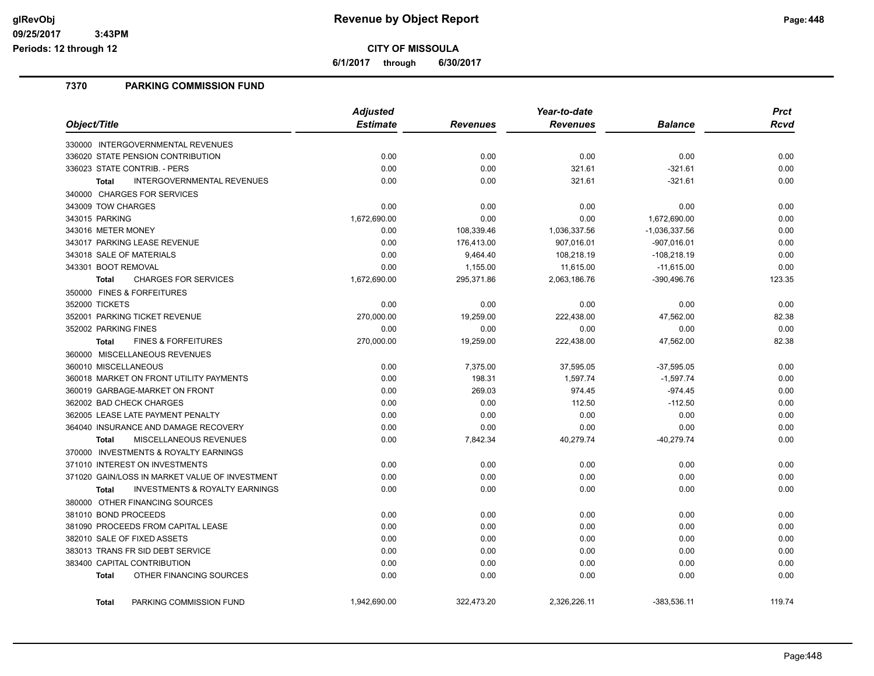**6/1/2017 through 6/30/2017**

#### **7370 PARKING COMMISSION FUND**

|                                                           | <b>Adjusted</b> |                 | Year-to-date    |                 | <b>Prct</b> |
|-----------------------------------------------------------|-----------------|-----------------|-----------------|-----------------|-------------|
| Object/Title                                              | <b>Estimate</b> | <b>Revenues</b> | <b>Revenues</b> | <b>Balance</b>  | Rcvd        |
| 330000 INTERGOVERNMENTAL REVENUES                         |                 |                 |                 |                 |             |
| 336020 STATE PENSION CONTRIBUTION                         | 0.00            | 0.00            | 0.00            | 0.00            | 0.00        |
| 336023 STATE CONTRIB. - PERS                              | 0.00            | 0.00            | 321.61          | $-321.61$       | 0.00        |
| <b>INTERGOVERNMENTAL REVENUES</b><br><b>Total</b>         | 0.00            | 0.00            | 321.61          | $-321.61$       | 0.00        |
| 340000 CHARGES FOR SERVICES                               |                 |                 |                 |                 |             |
| 343009 TOW CHARGES                                        | 0.00            | 0.00            | 0.00            | 0.00            | 0.00        |
| 343015 PARKING                                            | 1,672,690.00    | 0.00            | 0.00            | 1,672,690.00    | 0.00        |
| 343016 METER MONEY                                        | 0.00            | 108,339.46      | 1,036,337.56    | $-1,036,337.56$ | 0.00        |
| 343017 PARKING LEASE REVENUE                              | 0.00            | 176,413.00      | 907,016.01      | $-907,016.01$   | 0.00        |
| 343018 SALE OF MATERIALS                                  | 0.00            | 9,464.40        | 108,218.19      | $-108,218.19$   | 0.00        |
| 343301 BOOT REMOVAL                                       | 0.00            | 1,155.00        | 11,615.00       | $-11,615.00$    | 0.00        |
| <b>CHARGES FOR SERVICES</b><br><b>Total</b>               | 1,672,690.00    | 295,371.86      | 2,063,186.76    | $-390,496.76$   | 123.35      |
| 350000 FINES & FORFEITURES                                |                 |                 |                 |                 |             |
| 352000 TICKETS                                            | 0.00            | 0.00            | 0.00            | 0.00            | 0.00        |
| 352001 PARKING TICKET REVENUE                             | 270,000.00      | 19,259.00       | 222,438.00      | 47,562.00       | 82.38       |
| 352002 PARKING FINES                                      | 0.00            | 0.00            | 0.00            | 0.00            | 0.00        |
| <b>FINES &amp; FORFEITURES</b><br><b>Total</b>            | 270,000.00      | 19,259.00       | 222,438.00      | 47,562.00       | 82.38       |
| 360000 MISCELLANEOUS REVENUES                             |                 |                 |                 |                 |             |
| 360010 MISCELLANEOUS                                      | 0.00            | 7,375.00        | 37,595.05       | $-37,595.05$    | 0.00        |
| 360018 MARKET ON FRONT UTILITY PAYMENTS                   | 0.00            | 198.31          | 1.597.74        | $-1,597.74$     | 0.00        |
| 360019 GARBAGE-MARKET ON FRONT                            | 0.00            | 269.03          | 974.45          | $-974.45$       | 0.00        |
| 362002 BAD CHECK CHARGES                                  | 0.00            | 0.00            | 112.50          | $-112.50$       | 0.00        |
| 362005 LEASE LATE PAYMENT PENALTY                         | 0.00            | 0.00            | 0.00            | 0.00            | 0.00        |
| 364040 INSURANCE AND DAMAGE RECOVERY                      | 0.00            | 0.00            | 0.00            | 0.00            | 0.00        |
| MISCELLANEOUS REVENUES<br><b>Total</b>                    | 0.00            | 7,842.34        | 40,279.74       | $-40,279.74$    | 0.00        |
| 370000 INVESTMENTS & ROYALTY EARNINGS                     |                 |                 |                 |                 |             |
| 371010 INTEREST ON INVESTMENTS                            | 0.00            | 0.00            | 0.00            | 0.00            | 0.00        |
| 371020 GAIN/LOSS IN MARKET VALUE OF INVESTMENT            | 0.00            | 0.00            | 0.00            | 0.00            | 0.00        |
| <b>INVESTMENTS &amp; ROYALTY EARNINGS</b><br><b>Total</b> | 0.00            | 0.00            | 0.00            | 0.00            | 0.00        |
| 380000 OTHER FINANCING SOURCES                            |                 |                 |                 |                 |             |
| 381010 BOND PROCEEDS                                      | 0.00            | 0.00            | 0.00            | 0.00            | 0.00        |
| 381090 PROCEEDS FROM CAPITAL LEASE                        | 0.00            | 0.00            | 0.00            | 0.00            | 0.00        |
| 382010 SALE OF FIXED ASSETS                               | 0.00            | 0.00            | 0.00            | 0.00            | 0.00        |
| 383013 TRANS FR SID DEBT SERVICE                          | 0.00            | 0.00            | 0.00            | 0.00            | 0.00        |
| 383400 CAPITAL CONTRIBUTION                               | 0.00            | 0.00            | 0.00            | 0.00            | 0.00        |
| OTHER FINANCING SOURCES<br><b>Total</b>                   | 0.00            | 0.00            | 0.00            | 0.00            | 0.00        |
| PARKING COMMISSION FUND<br><b>Total</b>                   | 1,942,690.00    | 322.473.20      | 2.326.226.11    | -383.536.11     | 119.74      |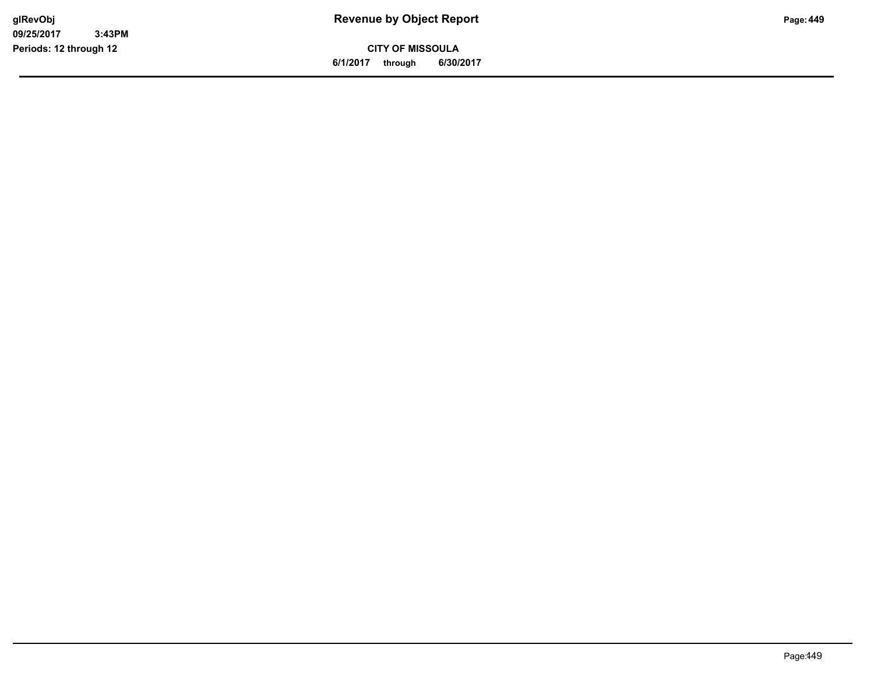**CITY OF MISSOULA 6/1/2017 through 6/30/2017**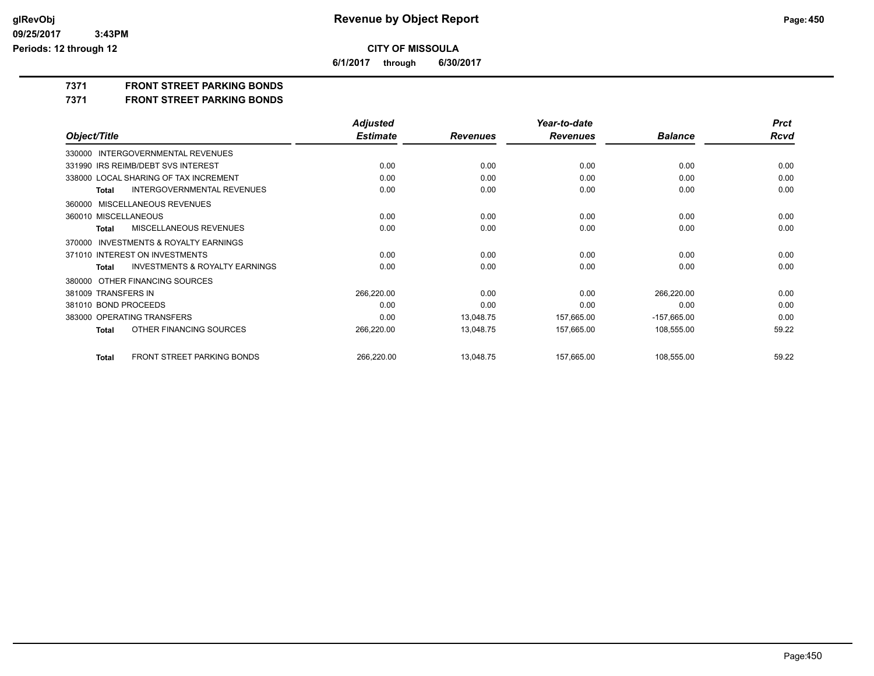**6/1/2017 through 6/30/2017**

**7371 FRONT STREET PARKING BONDS**

**7371 FRONT STREET PARKING BONDS**

|                                                     | <b>Adjusted</b> |                 | Year-to-date    |                | <b>Prct</b> |
|-----------------------------------------------------|-----------------|-----------------|-----------------|----------------|-------------|
| Object/Title                                        | <b>Estimate</b> | <b>Revenues</b> | <b>Revenues</b> | <b>Balance</b> | <b>Rcvd</b> |
| 330000 INTERGOVERNMENTAL REVENUES                   |                 |                 |                 |                |             |
| 331990 IRS REIMB/DEBT SVS INTEREST                  | 0.00            | 0.00            | 0.00            | 0.00           | 0.00        |
| 338000 LOCAL SHARING OF TAX INCREMENT               | 0.00            | 0.00            | 0.00            | 0.00           | 0.00        |
| <b>INTERGOVERNMENTAL REVENUES</b><br>Total          | 0.00            | 0.00            | 0.00            | 0.00           | 0.00        |
| 360000 MISCELLANEOUS REVENUES                       |                 |                 |                 |                |             |
| 360010 MISCELLANEOUS                                | 0.00            | 0.00            | 0.00            | 0.00           | 0.00        |
| MISCELLANEOUS REVENUES<br>Total                     | 0.00            | 0.00            | 0.00            | 0.00           | 0.00        |
| <b>INVESTMENTS &amp; ROYALTY EARNINGS</b><br>370000 |                 |                 |                 |                |             |
| 371010 INTEREST ON INVESTMENTS                      | 0.00            | 0.00            | 0.00            | 0.00           | 0.00        |
| <b>INVESTMENTS &amp; ROYALTY EARNINGS</b><br>Total  | 0.00            | 0.00            | 0.00            | 0.00           | 0.00        |
| 380000 OTHER FINANCING SOURCES                      |                 |                 |                 |                |             |
| 381009 TRANSFERS IN                                 | 266,220.00      | 0.00            | 0.00            | 266,220.00     | 0.00        |
| 381010 BOND PROCEEDS                                | 0.00            | 0.00            | 0.00            | 0.00           | 0.00        |
| 383000 OPERATING TRANSFERS                          | 0.00            | 13,048.75       | 157,665.00      | $-157,665.00$  | 0.00        |
| OTHER FINANCING SOURCES<br>Total                    | 266,220.00      | 13,048.75       | 157,665.00      | 108,555.00     | 59.22       |
| FRONT STREET PARKING BONDS<br>Total                 | 266,220.00      | 13,048.75       | 157,665.00      | 108,555.00     | 59.22       |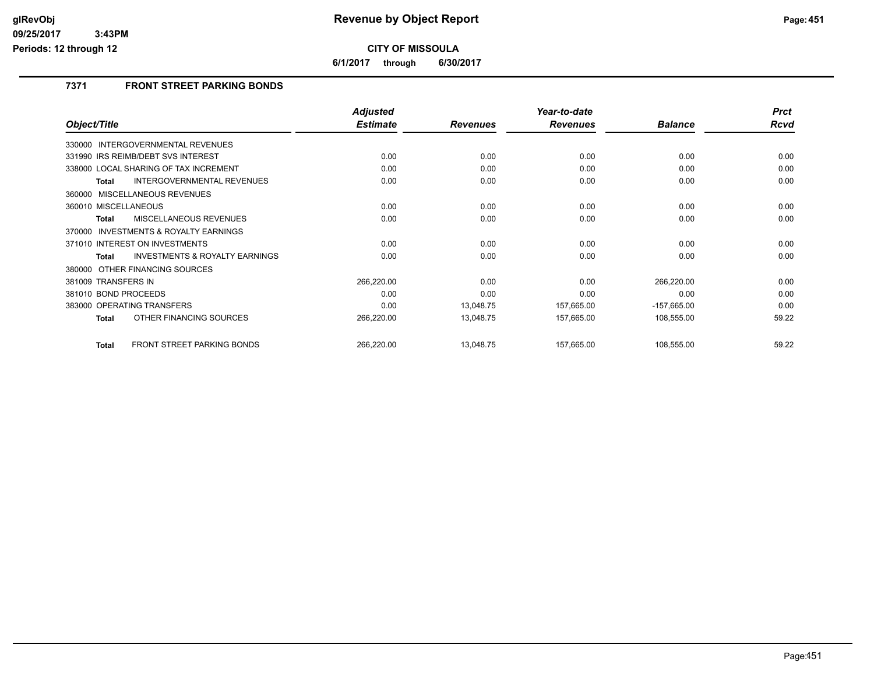**6/1/2017 through 6/30/2017**

# **7371 FRONT STREET PARKING BONDS**

|                                                           | <b>Adjusted</b> |                 | Year-to-date    |                | <b>Prct</b> |
|-----------------------------------------------------------|-----------------|-----------------|-----------------|----------------|-------------|
| Object/Title                                              | <b>Estimate</b> | <b>Revenues</b> | <b>Revenues</b> | <b>Balance</b> | <b>Rcvd</b> |
| 330000 INTERGOVERNMENTAL REVENUES                         |                 |                 |                 |                |             |
| 331990 IRS REIMB/DEBT SVS INTEREST                        | 0.00            | 0.00            | 0.00            | 0.00           | 0.00        |
| 338000 LOCAL SHARING OF TAX INCREMENT                     | 0.00            | 0.00            | 0.00            | 0.00           | 0.00        |
| INTERGOVERNMENTAL REVENUES<br><b>Total</b>                | 0.00            | 0.00            | 0.00            | 0.00           | 0.00        |
| 360000 MISCELLANEOUS REVENUES                             |                 |                 |                 |                |             |
| 360010 MISCELLANEOUS                                      | 0.00            | 0.00            | 0.00            | 0.00           | 0.00        |
| <b>MISCELLANEOUS REVENUES</b><br><b>Total</b>             | 0.00            | 0.00            | 0.00            | 0.00           | 0.00        |
| <b>INVESTMENTS &amp; ROYALTY EARNINGS</b><br>370000       |                 |                 |                 |                |             |
| 371010 INTEREST ON INVESTMENTS                            | 0.00            | 0.00            | 0.00            | 0.00           | 0.00        |
| <b>INVESTMENTS &amp; ROYALTY EARNINGS</b><br><b>Total</b> | 0.00            | 0.00            | 0.00            | 0.00           | 0.00        |
| 380000 OTHER FINANCING SOURCES                            |                 |                 |                 |                |             |
| 381009 TRANSFERS IN                                       | 266,220.00      | 0.00            | 0.00            | 266,220.00     | 0.00        |
| 381010 BOND PROCEEDS                                      | 0.00            | 0.00            | 0.00            | 0.00           | 0.00        |
| 383000 OPERATING TRANSFERS                                | 0.00            | 13,048.75       | 157,665.00      | $-157,665.00$  | 0.00        |
| OTHER FINANCING SOURCES<br><b>Total</b>                   | 266,220.00      | 13,048.75       | 157,665.00      | 108,555.00     | 59.22       |
| FRONT STREET PARKING BONDS<br><b>Total</b>                | 266,220.00      | 13,048.75       | 157,665.00      | 108,555.00     | 59.22       |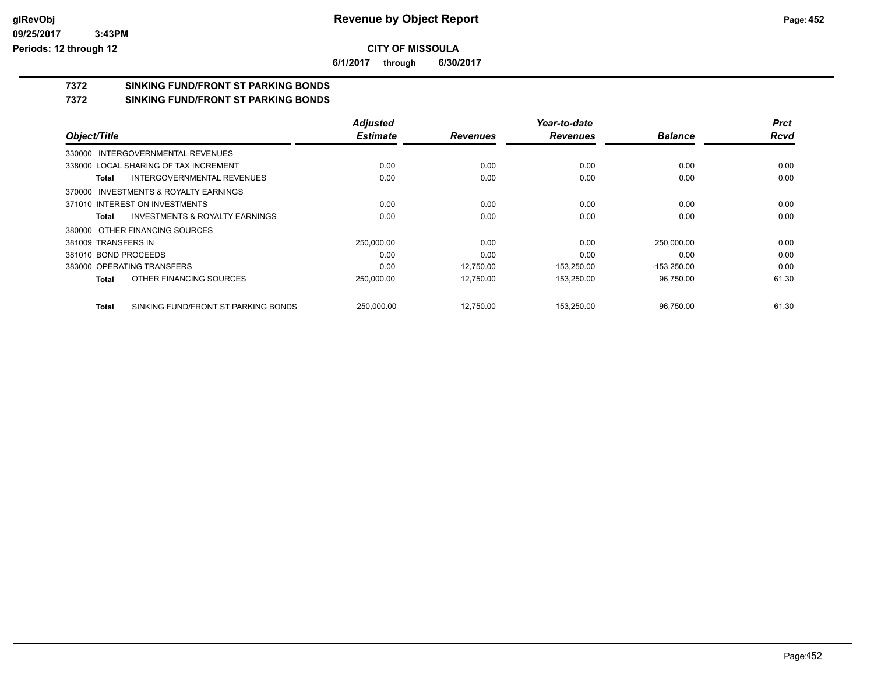**6/1/2017 through 6/30/2017**

# **7372 SINKING FUND/FRONT ST PARKING BONDS**

**7372 SINKING FUND/FRONT ST PARKING BONDS**

|                                                     | <b>Adjusted</b> |                 | Year-to-date    |                | <b>Prct</b> |
|-----------------------------------------------------|-----------------|-----------------|-----------------|----------------|-------------|
| Object/Title                                        | <b>Estimate</b> | <b>Revenues</b> | <b>Revenues</b> | <b>Balance</b> | <b>Rcvd</b> |
| 330000 INTERGOVERNMENTAL REVENUES                   |                 |                 |                 |                |             |
| 338000 LOCAL SHARING OF TAX INCREMENT               | 0.00            | 0.00            | 0.00            | 0.00           | 0.00        |
| INTERGOVERNMENTAL REVENUES<br>Total                 | 0.00            | 0.00            | 0.00            | 0.00           | 0.00        |
| <b>INVESTMENTS &amp; ROYALTY EARNINGS</b><br>370000 |                 |                 |                 |                |             |
| 371010 INTEREST ON INVESTMENTS                      | 0.00            | 0.00            | 0.00            | 0.00           | 0.00        |
| <b>INVESTMENTS &amp; ROYALTY EARNINGS</b><br>Total  | 0.00            | 0.00            | 0.00            | 0.00           | 0.00        |
| 380000 OTHER FINANCING SOURCES                      |                 |                 |                 |                |             |
| 381009 TRANSFERS IN                                 | 250,000.00      | 0.00            | 0.00            | 250,000.00     | 0.00        |
| 381010 BOND PROCEEDS                                | 0.00            | 0.00            | 0.00            | 0.00           | 0.00        |
| 383000 OPERATING TRANSFERS                          | 0.00            | 12.750.00       | 153,250.00      | $-153,250.00$  | 0.00        |
| OTHER FINANCING SOURCES<br><b>Total</b>             | 250,000.00      | 12,750.00       | 153,250.00      | 96,750.00      | 61.30       |
| SINKING FUND/FRONT ST PARKING BONDS<br><b>Total</b> | 250,000.00      | 12.750.00       | 153.250.00      | 96.750.00      | 61.30       |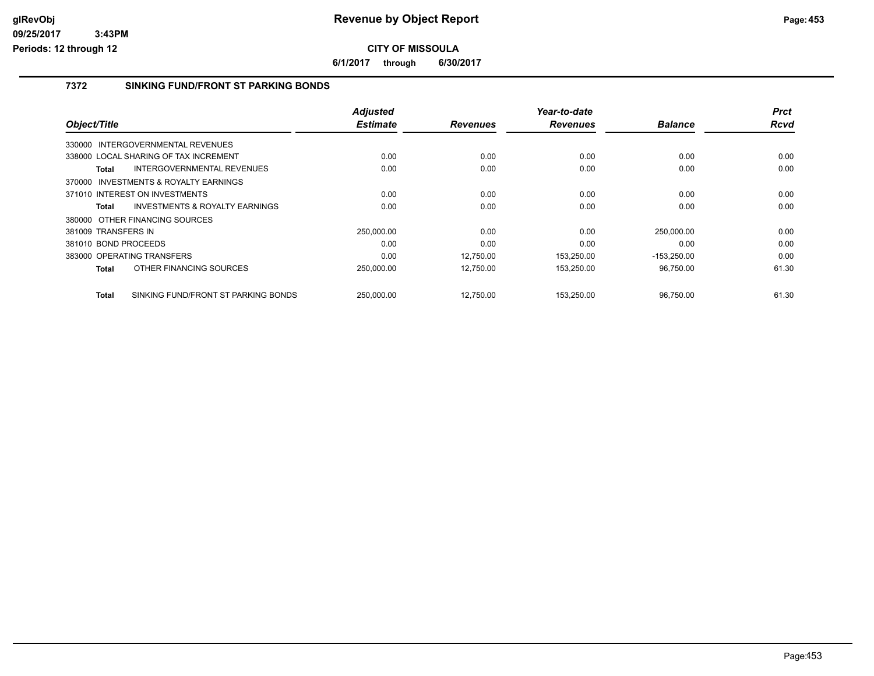**6/1/2017 through 6/30/2017**

#### **7372 SINKING FUND/FRONT ST PARKING BONDS**

| Object/Title         |                                           | <b>Adjusted</b><br><b>Estimate</b> | <b>Revenues</b> | Year-to-date<br><b>Revenues</b> | <b>Balance</b> | <b>Prct</b><br>Rcvd |
|----------------------|-------------------------------------------|------------------------------------|-----------------|---------------------------------|----------------|---------------------|
|                      | 330000 INTERGOVERNMENTAL REVENUES         |                                    |                 |                                 |                |                     |
|                      | 338000 LOCAL SHARING OF TAX INCREMENT     | 0.00                               | 0.00            | 0.00                            | 0.00           | 0.00                |
| <b>Total</b>         | <b>INTERGOVERNMENTAL REVENUES</b>         | 0.00                               | 0.00            | 0.00                            | 0.00           | 0.00                |
| 370000               | <b>INVESTMENTS &amp; ROYALTY EARNINGS</b> |                                    |                 |                                 |                |                     |
|                      | 371010 INTEREST ON INVESTMENTS            | 0.00                               | 0.00            | 0.00                            | 0.00           | 0.00                |
| Total                | <b>INVESTMENTS &amp; ROYALTY EARNINGS</b> | 0.00                               | 0.00            | 0.00                            | 0.00           | 0.00                |
|                      | 380000 OTHER FINANCING SOURCES            |                                    |                 |                                 |                |                     |
| 381009 TRANSFERS IN  |                                           | 250,000.00                         | 0.00            | 0.00                            | 250,000.00     | 0.00                |
| 381010 BOND PROCEEDS |                                           | 0.00                               | 0.00            | 0.00                            | 0.00           | 0.00                |
|                      | 383000 OPERATING TRANSFERS                | 0.00                               | 12,750.00       | 153,250.00                      | $-153,250.00$  | 0.00                |
| <b>Total</b>         | OTHER FINANCING SOURCES                   | 250,000.00                         | 12,750.00       | 153,250.00                      | 96.750.00      | 61.30               |
| <b>Total</b>         | SINKING FUND/FRONT ST PARKING BONDS       | 250.000.00                         | 12.750.00       | 153.250.00                      | 96,750.00      | 61.30               |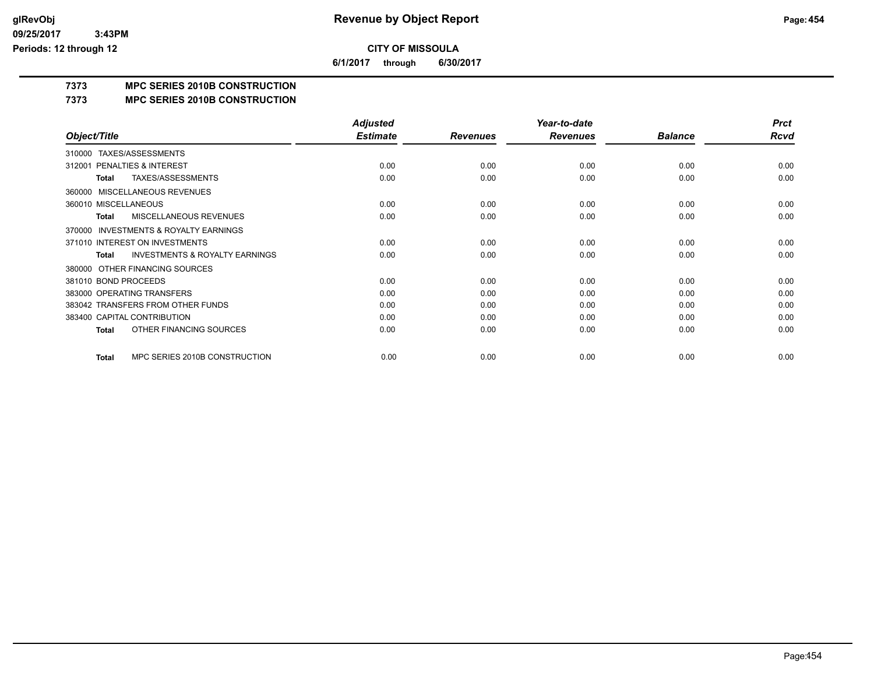**6/1/2017 through 6/30/2017**

# **7373 MPC SERIES 2010B CONSTRUCTION**

# **7373 MPC SERIES 2010B CONSTRUCTION**

|                                                           | <b>Adjusted</b> |                 | Year-to-date    |                | <b>Prct</b> |
|-----------------------------------------------------------|-----------------|-----------------|-----------------|----------------|-------------|
| Object/Title                                              | <b>Estimate</b> | <b>Revenues</b> | <b>Revenues</b> | <b>Balance</b> | <b>Rcvd</b> |
| 310000 TAXES/ASSESSMENTS                                  |                 |                 |                 |                |             |
| PENALTIES & INTEREST<br>312001                            | 0.00            | 0.00            | 0.00            | 0.00           | 0.00        |
| TAXES/ASSESSMENTS<br><b>Total</b>                         | 0.00            | 0.00            | 0.00            | 0.00           | 0.00        |
| 360000 MISCELLANEOUS REVENUES                             |                 |                 |                 |                |             |
| 360010 MISCELLANEOUS                                      | 0.00            | 0.00            | 0.00            | 0.00           | 0.00        |
| <b>MISCELLANEOUS REVENUES</b><br><b>Total</b>             | 0.00            | 0.00            | 0.00            | 0.00           | 0.00        |
| <b>INVESTMENTS &amp; ROYALTY EARNINGS</b><br>370000       |                 |                 |                 |                |             |
| 371010 INTEREST ON INVESTMENTS                            | 0.00            | 0.00            | 0.00            | 0.00           | 0.00        |
| <b>INVESTMENTS &amp; ROYALTY EARNINGS</b><br><b>Total</b> | 0.00            | 0.00            | 0.00            | 0.00           | 0.00        |
| OTHER FINANCING SOURCES<br>380000                         |                 |                 |                 |                |             |
| 381010 BOND PROCEEDS                                      | 0.00            | 0.00            | 0.00            | 0.00           | 0.00        |
| 383000 OPERATING TRANSFERS                                | 0.00            | 0.00            | 0.00            | 0.00           | 0.00        |
| 383042 TRANSFERS FROM OTHER FUNDS                         | 0.00            | 0.00            | 0.00            | 0.00           | 0.00        |
| 383400 CAPITAL CONTRIBUTION                               | 0.00            | 0.00            | 0.00            | 0.00           | 0.00        |
| OTHER FINANCING SOURCES<br><b>Total</b>                   | 0.00            | 0.00            | 0.00            | 0.00           | 0.00        |
| MPC SERIES 2010B CONSTRUCTION<br><b>Total</b>             | 0.00            | 0.00            | 0.00            | 0.00           | 0.00        |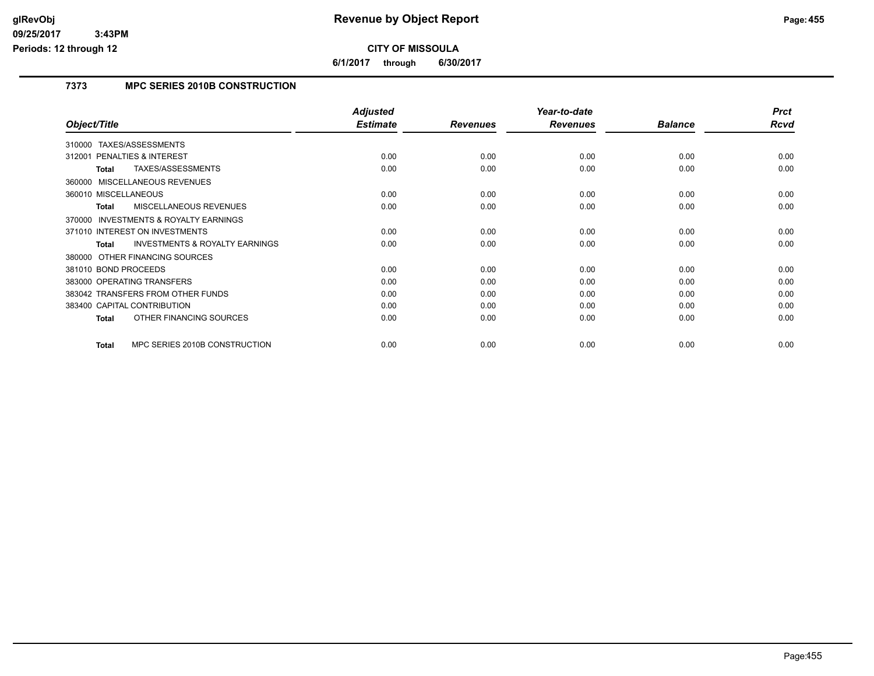**6/1/2017 through 6/30/2017**

# **7373 MPC SERIES 2010B CONSTRUCTION**

|                                                     | <b>Adjusted</b> |                 | Year-to-date    |                | <b>Prct</b> |
|-----------------------------------------------------|-----------------|-----------------|-----------------|----------------|-------------|
| Object/Title                                        | <b>Estimate</b> | <b>Revenues</b> | <b>Revenues</b> | <b>Balance</b> | Rcvd        |
| TAXES/ASSESSMENTS<br>310000                         |                 |                 |                 |                |             |
| 312001 PENALTIES & INTEREST                         | 0.00            | 0.00            | 0.00            | 0.00           | 0.00        |
| TAXES/ASSESSMENTS<br>Total                          | 0.00            | 0.00            | 0.00            | 0.00           | 0.00        |
| 360000 MISCELLANEOUS REVENUES                       |                 |                 |                 |                |             |
| 360010 MISCELLANEOUS                                | 0.00            | 0.00            | 0.00            | 0.00           | 0.00        |
| <b>MISCELLANEOUS REVENUES</b><br><b>Total</b>       | 0.00            | 0.00            | 0.00            | 0.00           | 0.00        |
| <b>INVESTMENTS &amp; ROYALTY EARNINGS</b><br>370000 |                 |                 |                 |                |             |
| 371010 INTEREST ON INVESTMENTS                      | 0.00            | 0.00            | 0.00            | 0.00           | 0.00        |
| <b>INVESTMENTS &amp; ROYALTY EARNINGS</b><br>Total  | 0.00            | 0.00            | 0.00            | 0.00           | 0.00        |
| 380000 OTHER FINANCING SOURCES                      |                 |                 |                 |                |             |
| 381010 BOND PROCEEDS                                | 0.00            | 0.00            | 0.00            | 0.00           | 0.00        |
| 383000 OPERATING TRANSFERS                          | 0.00            | 0.00            | 0.00            | 0.00           | 0.00        |
| 383042 TRANSFERS FROM OTHER FUNDS                   | 0.00            | 0.00            | 0.00            | 0.00           | 0.00        |
| 383400 CAPITAL CONTRIBUTION                         | 0.00            | 0.00            | 0.00            | 0.00           | 0.00        |
| OTHER FINANCING SOURCES<br><b>Total</b>             | 0.00            | 0.00            | 0.00            | 0.00           | 0.00        |
| MPC SERIES 2010B CONSTRUCTION<br><b>Total</b>       | 0.00            | 0.00            | 0.00            | 0.00           | 0.00        |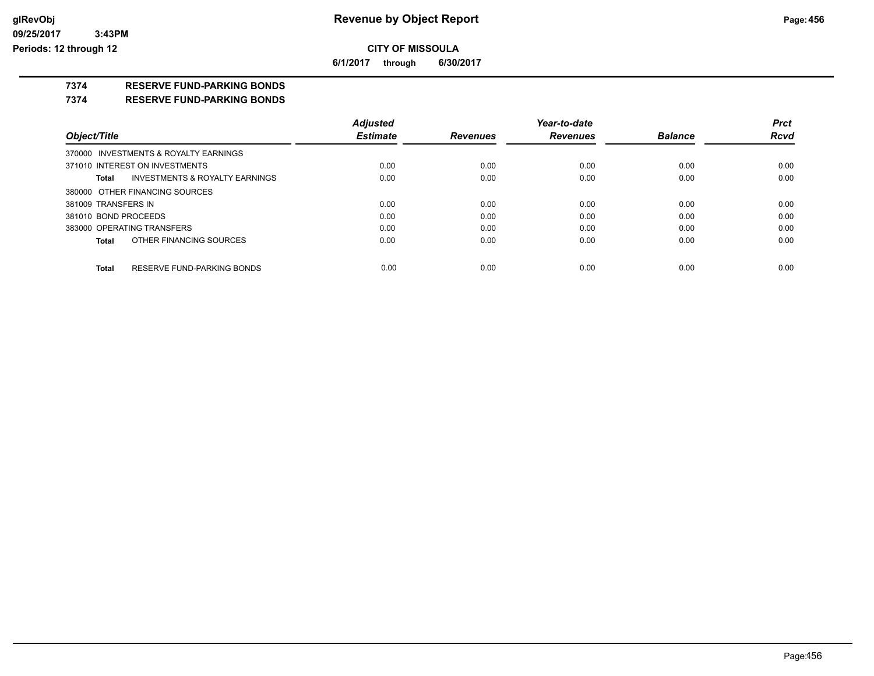**6/1/2017 through 6/30/2017**

# **7374 RESERVE FUND-PARKING BONDS**

#### **7374 RESERVE FUND-PARKING BONDS**

|                      |                                           | <b>Adjusted</b> |                 | Year-to-date    |                | <b>Prct</b> |
|----------------------|-------------------------------------------|-----------------|-----------------|-----------------|----------------|-------------|
| Object/Title         |                                           | <b>Estimate</b> | <b>Revenues</b> | <b>Revenues</b> | <b>Balance</b> | <b>Rcvd</b> |
|                      | 370000 INVESTMENTS & ROYALTY EARNINGS     |                 |                 |                 |                |             |
|                      | 371010 INTEREST ON INVESTMENTS            | 0.00            | 0.00            | 0.00            | 0.00           | 0.00        |
| Total                | <b>INVESTMENTS &amp; ROYALTY EARNINGS</b> | 0.00            | 0.00            | 0.00            | 0.00           | 0.00        |
|                      | 380000 OTHER FINANCING SOURCES            |                 |                 |                 |                |             |
| 381009 TRANSFERS IN  |                                           | 0.00            | 0.00            | 0.00            | 0.00           | 0.00        |
| 381010 BOND PROCEEDS |                                           | 0.00            | 0.00            | 0.00            | 0.00           | 0.00        |
|                      | 383000 OPERATING TRANSFERS                | 0.00            | 0.00            | 0.00            | 0.00           | 0.00        |
| Total                | OTHER FINANCING SOURCES                   | 0.00            | 0.00            | 0.00            | 0.00           | 0.00        |
|                      |                                           |                 |                 |                 |                |             |
| <b>Total</b>         | RESERVE FUND-PARKING BONDS                | 0.00            | 0.00            | 0.00            | 0.00           | 0.00        |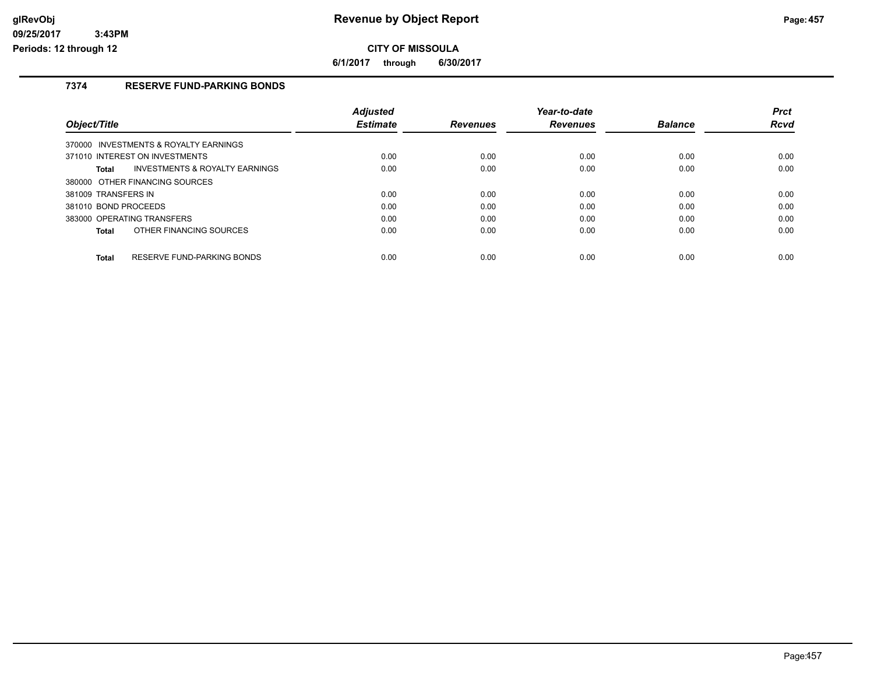**6/1/2017 through 6/30/2017**

#### **7374 RESERVE FUND-PARKING BONDS**

|                                                    | <b>Adiusted</b> |                 | Year-to-date    |                | <b>Prct</b> |
|----------------------------------------------------|-----------------|-----------------|-----------------|----------------|-------------|
| Object/Title                                       | <b>Estimate</b> | <b>Revenues</b> | <b>Revenues</b> | <b>Balance</b> | <b>Rcvd</b> |
| 370000 INVESTMENTS & ROYALTY EARNINGS              |                 |                 |                 |                |             |
| 371010 INTEREST ON INVESTMENTS                     | 0.00            | 0.00            | 0.00            | 0.00           | 0.00        |
| <b>INVESTMENTS &amp; ROYALTY EARNINGS</b><br>Total | 0.00            | 0.00            | 0.00            | 0.00           | 0.00        |
| 380000 OTHER FINANCING SOURCES                     |                 |                 |                 |                |             |
| 381009 TRANSFERS IN                                | 0.00            | 0.00            | 0.00            | 0.00           | 0.00        |
| 381010 BOND PROCEEDS                               | 0.00            | 0.00            | 0.00            | 0.00           | 0.00        |
| 383000 OPERATING TRANSFERS                         | 0.00            | 0.00            | 0.00            | 0.00           | 0.00        |
| OTHER FINANCING SOURCES<br>Total                   | 0.00            | 0.00            | 0.00            | 0.00           | 0.00        |
| RESERVE FUND-PARKING BONDS<br><b>Total</b>         | 0.00            | 0.00            | 0.00            | 0.00           | 0.00        |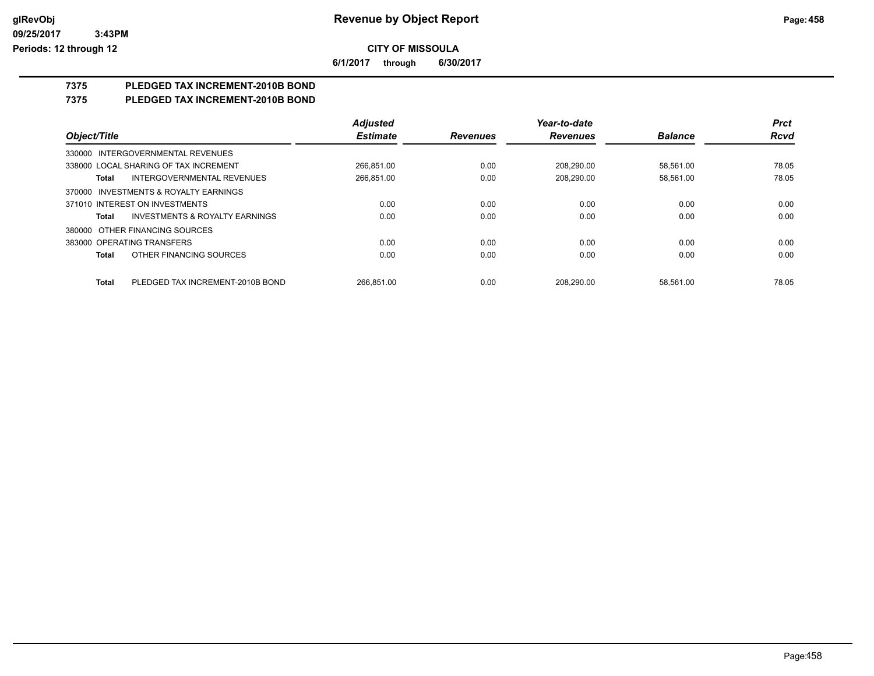**6/1/2017 through 6/30/2017**

# **7375 PLEDGED TAX INCREMENT-2010B BOND**

# **7375 PLEDGED TAX INCREMENT-2010B BOND**

|                                                    | <b>Adjusted</b> |                 | Year-to-date    |                | <b>Prct</b> |
|----------------------------------------------------|-----------------|-----------------|-----------------|----------------|-------------|
| Object/Title                                       | <b>Estimate</b> | <b>Revenues</b> | <b>Revenues</b> | <b>Balance</b> | <b>Rcvd</b> |
| 330000 INTERGOVERNMENTAL REVENUES                  |                 |                 |                 |                |             |
| 338000 LOCAL SHARING OF TAX INCREMENT              | 266,851.00      | 0.00            | 208,290.00      | 58,561.00      | 78.05       |
| <b>INTERGOVERNMENTAL REVENUES</b><br>Total         | 266,851.00      | 0.00            | 208,290.00      | 58,561.00      | 78.05       |
| 370000 INVESTMENTS & ROYALTY EARNINGS              |                 |                 |                 |                |             |
| 371010 INTEREST ON INVESTMENTS                     | 0.00            | 0.00            | 0.00            | 0.00           | 0.00        |
| <b>INVESTMENTS &amp; ROYALTY EARNINGS</b><br>Total | 0.00            | 0.00            | 0.00            | 0.00           | 0.00        |
| 380000 OTHER FINANCING SOURCES                     |                 |                 |                 |                |             |
| 383000 OPERATING TRANSFERS                         | 0.00            | 0.00            | 0.00            | 0.00           | 0.00        |
| OTHER FINANCING SOURCES<br>Total                   | 0.00            | 0.00            | 0.00            | 0.00           | 0.00        |
| PLEDGED TAX INCREMENT-2010B BOND<br>Total          | 266.851.00      | 0.00            | 208.290.00      | 58.561.00      | 78.05       |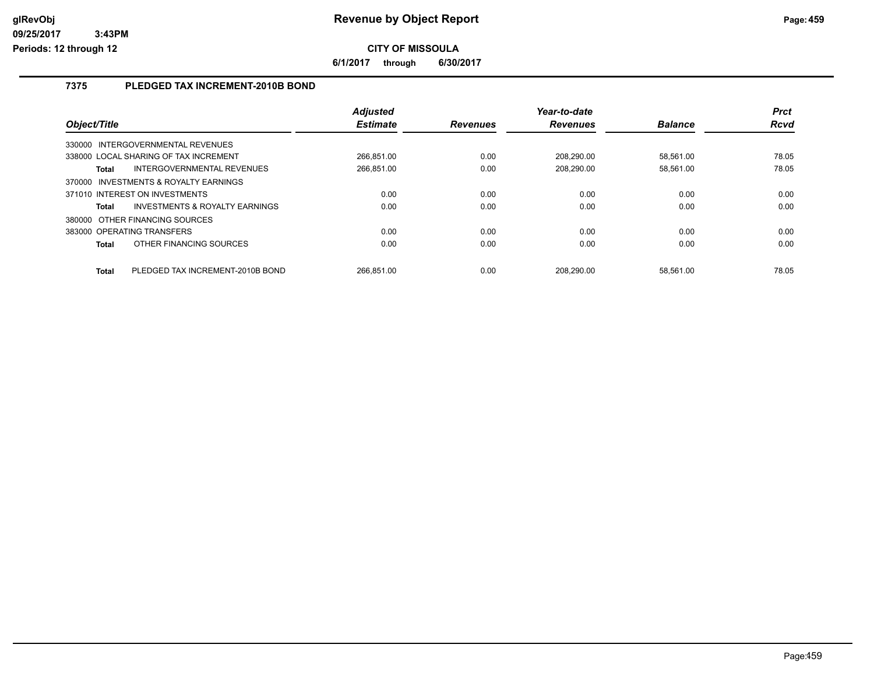**6/1/2017 through 6/30/2017**

#### **7375 PLEDGED TAX INCREMENT-2010B BOND**

|                                                  | <b>Adjusted</b> |                 | Year-to-date    |                | <b>Prct</b> |
|--------------------------------------------------|-----------------|-----------------|-----------------|----------------|-------------|
| Object/Title                                     | <b>Estimate</b> | <b>Revenues</b> | <b>Revenues</b> | <b>Balance</b> | <b>Rcvd</b> |
| 330000 INTERGOVERNMENTAL REVENUES                |                 |                 |                 |                |             |
| 338000 LOCAL SHARING OF TAX INCREMENT            | 266.851.00      | 0.00            | 208.290.00      | 58.561.00      | 78.05       |
| INTERGOVERNMENTAL REVENUES<br>Total              | 266,851.00      | 0.00            | 208,290.00      | 58,561.00      | 78.05       |
| 370000 INVESTMENTS & ROYALTY EARNINGS            |                 |                 |                 |                |             |
| 371010 INTEREST ON INVESTMENTS                   | 0.00            | 0.00            | 0.00            | 0.00           | 0.00        |
| INVESTMENTS & ROYALTY EARNINGS<br>Total          | 0.00            | 0.00            | 0.00            | 0.00           | 0.00        |
| 380000 OTHER FINANCING SOURCES                   |                 |                 |                 |                |             |
| 383000 OPERATING TRANSFERS                       | 0.00            | 0.00            | 0.00            | 0.00           | 0.00        |
| OTHER FINANCING SOURCES<br><b>Total</b>          | 0.00            | 0.00            | 0.00            | 0.00           | 0.00        |
| PLEDGED TAX INCREMENT-2010B BOND<br><b>Total</b> | 266.851.00      | 0.00            | 208.290.00      | 58.561.00      | 78.05       |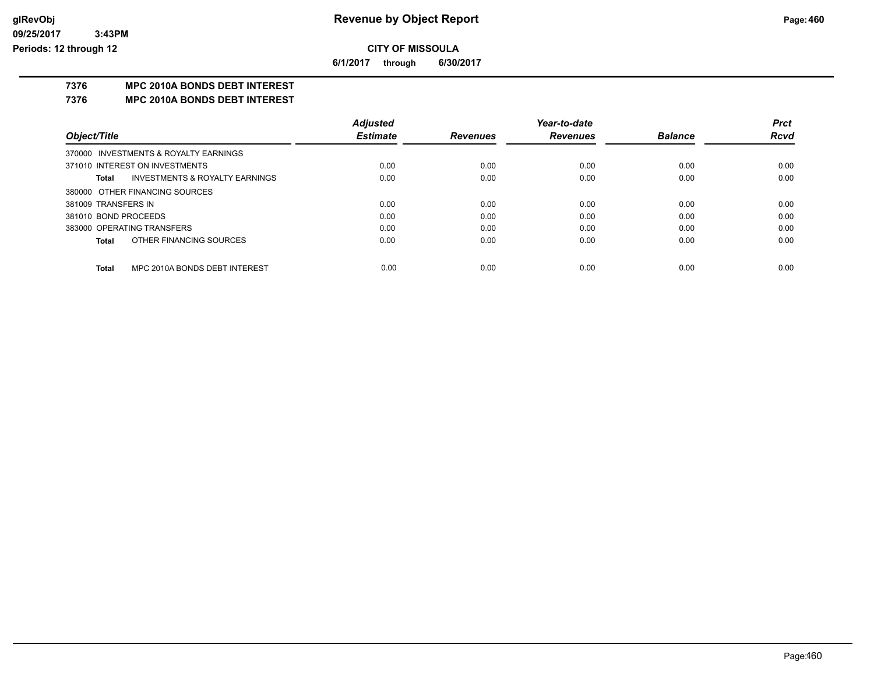**6/1/2017 through 6/30/2017**

# **7376 MPC 2010A BONDS DEBT INTEREST**

#### **7376 MPC 2010A BONDS DEBT INTEREST**

|                      |                                           | <b>Adjusted</b> |                 | Year-to-date    |                | <b>Prct</b> |
|----------------------|-------------------------------------------|-----------------|-----------------|-----------------|----------------|-------------|
| Object/Title         |                                           | <b>Estimate</b> | <b>Revenues</b> | <b>Revenues</b> | <b>Balance</b> | <b>Rcvd</b> |
|                      | 370000 INVESTMENTS & ROYALTY EARNINGS     |                 |                 |                 |                |             |
|                      | 371010 INTEREST ON INVESTMENTS            | 0.00            | 0.00            | 0.00            | 0.00           | 0.00        |
| Total                | <b>INVESTMENTS &amp; ROYALTY EARNINGS</b> | 0.00            | 0.00            | 0.00            | 0.00           | 0.00        |
|                      | 380000 OTHER FINANCING SOURCES            |                 |                 |                 |                |             |
| 381009 TRANSFERS IN  |                                           | 0.00            | 0.00            | 0.00            | 0.00           | 0.00        |
| 381010 BOND PROCEEDS |                                           | 0.00            | 0.00            | 0.00            | 0.00           | 0.00        |
|                      | 383000 OPERATING TRANSFERS                | 0.00            | 0.00            | 0.00            | 0.00           | 0.00        |
| Total                | OTHER FINANCING SOURCES                   | 0.00            | 0.00            | 0.00            | 0.00           | 0.00        |
| Total                | MPC 2010A BONDS DEBT INTEREST             | 0.00            | 0.00            | 0.00            | 0.00           | 0.00        |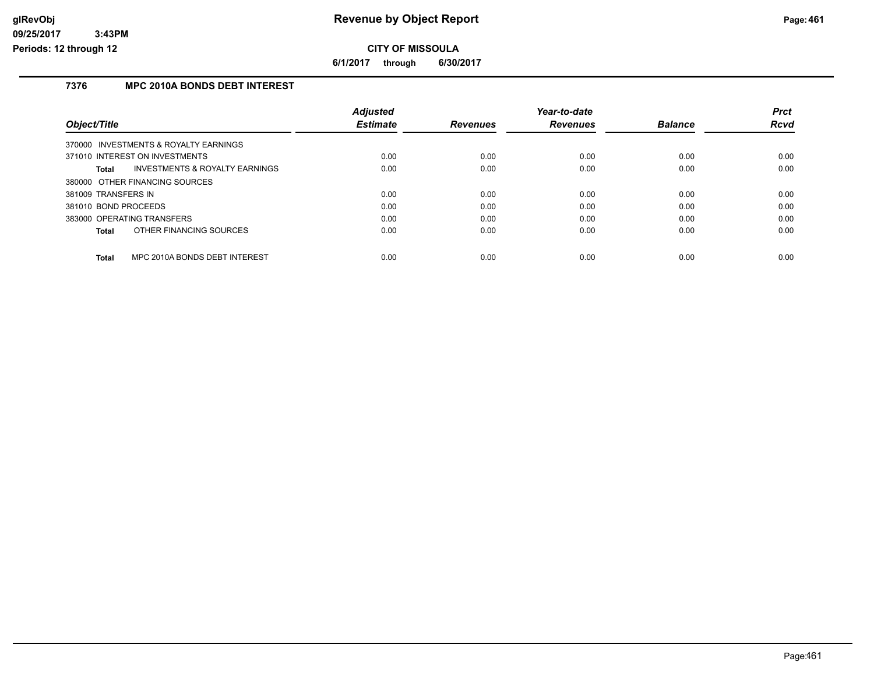**6/1/2017 through 6/30/2017**

# **7376 MPC 2010A BONDS DEBT INTEREST**

|                                       |                                           | <b>Adjusted</b> |                 | Year-to-date    |                | <b>Prct</b> |
|---------------------------------------|-------------------------------------------|-----------------|-----------------|-----------------|----------------|-------------|
| Object/Title                          |                                           | <b>Estimate</b> | <b>Revenues</b> | <b>Revenues</b> | <b>Balance</b> | <b>Rcvd</b> |
| 370000 INVESTMENTS & ROYALTY EARNINGS |                                           |                 |                 |                 |                |             |
| 371010 INTEREST ON INVESTMENTS        |                                           | 0.00            | 0.00            | 0.00            | 0.00           | 0.00        |
| <b>Total</b>                          | <b>INVESTMENTS &amp; ROYALTY EARNINGS</b> | 0.00            | 0.00            | 0.00            | 0.00           | 0.00        |
| 380000 OTHER FINANCING SOURCES        |                                           |                 |                 |                 |                |             |
| 381009 TRANSFERS IN                   |                                           | 0.00            | 0.00            | 0.00            | 0.00           | 0.00        |
| 381010 BOND PROCEEDS                  |                                           | 0.00            | 0.00            | 0.00            | 0.00           | 0.00        |
| 383000 OPERATING TRANSFERS            |                                           | 0.00            | 0.00            | 0.00            | 0.00           | 0.00        |
| Total                                 | OTHER FINANCING SOURCES                   | 0.00            | 0.00            | 0.00            | 0.00           | 0.00        |
| Total                                 | MPC 2010A BONDS DEBT INTEREST             | 0.00            | 0.00            | 0.00            | 0.00           | 0.00        |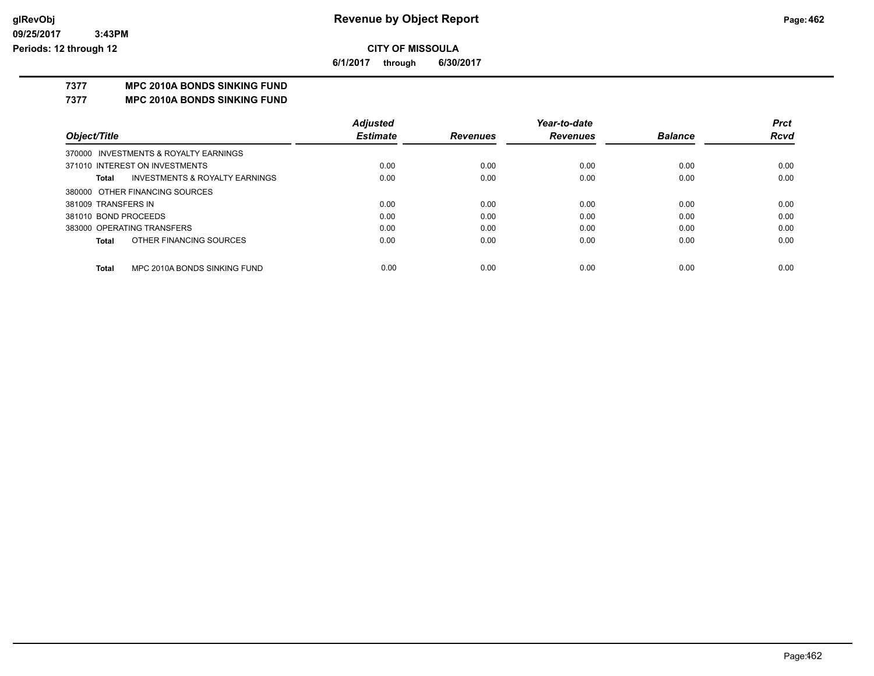**6/1/2017 through 6/30/2017**

# **7377 MPC 2010A BONDS SINKING FUND**

**7377 MPC 2010A BONDS SINKING FUND**

|                      |                                           | <b>Adjusted</b> |                 | Year-to-date    |                | <b>Prct</b> |
|----------------------|-------------------------------------------|-----------------|-----------------|-----------------|----------------|-------------|
| Object/Title         |                                           | <b>Estimate</b> | <b>Revenues</b> | <b>Revenues</b> | <b>Balance</b> | Rcvd        |
|                      | 370000 INVESTMENTS & ROYALTY EARNINGS     |                 |                 |                 |                |             |
|                      | 371010 INTEREST ON INVESTMENTS            | 0.00            | 0.00            | 0.00            | 0.00           | 0.00        |
| <b>Total</b>         | <b>INVESTMENTS &amp; ROYALTY EARNINGS</b> | 0.00            | 0.00            | 0.00            | 0.00           | 0.00        |
|                      | 380000 OTHER FINANCING SOURCES            |                 |                 |                 |                |             |
| 381009 TRANSFERS IN  |                                           | 0.00            | 0.00            | 0.00            | 0.00           | 0.00        |
| 381010 BOND PROCEEDS |                                           | 0.00            | 0.00            | 0.00            | 0.00           | 0.00        |
|                      | 383000 OPERATING TRANSFERS                | 0.00            | 0.00            | 0.00            | 0.00           | 0.00        |
| <b>Total</b>         | OTHER FINANCING SOURCES                   | 0.00            | 0.00            | 0.00            | 0.00           | 0.00        |
| <b>Total</b>         | MPC 2010A BONDS SINKING FUND              | 0.00            | 0.00            | 0.00            | 0.00           | 0.00        |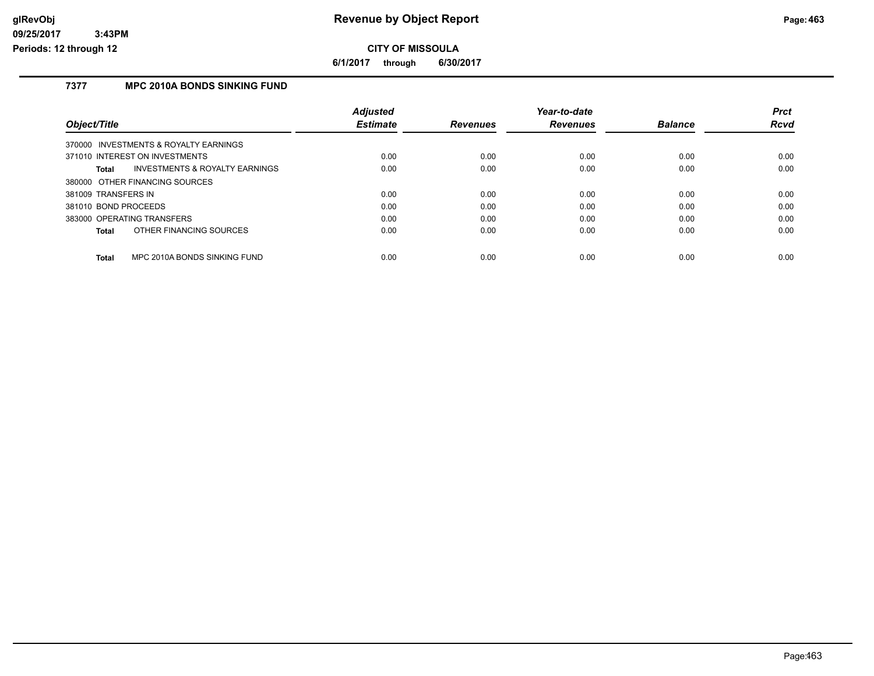**6/1/2017 through 6/30/2017**

# **7377 MPC 2010A BONDS SINKING FUND**

|                                       |                                           | <b>Adjusted</b> |                 | Year-to-date    |                | <b>Prct</b> |
|---------------------------------------|-------------------------------------------|-----------------|-----------------|-----------------|----------------|-------------|
| Object/Title                          |                                           | <b>Estimate</b> | <b>Revenues</b> | <b>Revenues</b> | <b>Balance</b> | <b>Rcvd</b> |
| 370000 INVESTMENTS & ROYALTY EARNINGS |                                           |                 |                 |                 |                |             |
| 371010 INTEREST ON INVESTMENTS        |                                           | 0.00            | 0.00            | 0.00            | 0.00           | 0.00        |
| Total                                 | <b>INVESTMENTS &amp; ROYALTY EARNINGS</b> | 0.00            | 0.00            | 0.00            | 0.00           | 0.00        |
| 380000 OTHER FINANCING SOURCES        |                                           |                 |                 |                 |                |             |
| 381009 TRANSFERS IN                   |                                           | 0.00            | 0.00            | 0.00            | 0.00           | 0.00        |
| 381010 BOND PROCEEDS                  |                                           | 0.00            | 0.00            | 0.00            | 0.00           | 0.00        |
| 383000 OPERATING TRANSFERS            |                                           | 0.00            | 0.00            | 0.00            | 0.00           | 0.00        |
| OTHER FINANCING SOURCES<br>Total      |                                           | 0.00            | 0.00            | 0.00            | 0.00           | 0.00        |
| <b>Total</b>                          | MPC 2010A BONDS SINKING FUND              | 0.00            | 0.00            | 0.00            | 0.00           | 0.00        |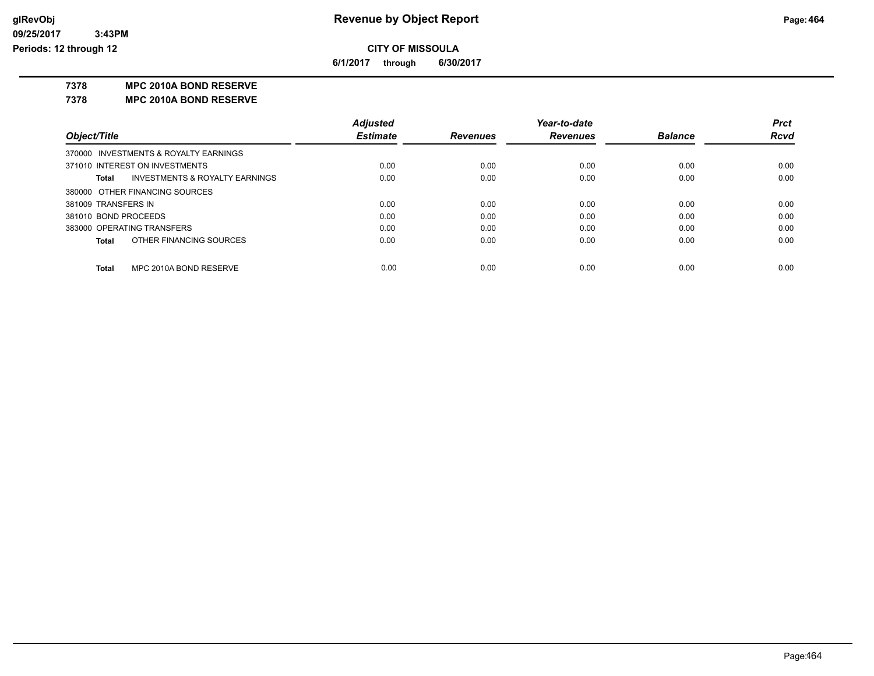**6/1/2017 through 6/30/2017**

**7378 MPC 2010A BOND RESERVE**

**7378 MPC 2010A BOND RESERVE**

|                      |                                           | <b>Adjusted</b> |                 | Year-to-date    |                | <b>Prct</b> |
|----------------------|-------------------------------------------|-----------------|-----------------|-----------------|----------------|-------------|
| Object/Title         |                                           | <b>Estimate</b> | <b>Revenues</b> | <b>Revenues</b> | <b>Balance</b> | Rcvd        |
|                      | 370000 INVESTMENTS & ROYALTY EARNINGS     |                 |                 |                 |                |             |
|                      | 371010 INTEREST ON INVESTMENTS            | 0.00            | 0.00            | 0.00            | 0.00           | 0.00        |
| Total                | <b>INVESTMENTS &amp; ROYALTY EARNINGS</b> | 0.00            | 0.00            | 0.00            | 0.00           | 0.00        |
|                      | 380000 OTHER FINANCING SOURCES            |                 |                 |                 |                |             |
| 381009 TRANSFERS IN  |                                           | 0.00            | 0.00            | 0.00            | 0.00           | 0.00        |
| 381010 BOND PROCEEDS |                                           | 0.00            | 0.00            | 0.00            | 0.00           | 0.00        |
|                      | 383000 OPERATING TRANSFERS                | 0.00            | 0.00            | 0.00            | 0.00           | 0.00        |
| Total                | OTHER FINANCING SOURCES                   | 0.00            | 0.00            | 0.00            | 0.00           | 0.00        |
| <b>Total</b>         | MPC 2010A BOND RESERVE                    | 0.00            | 0.00            | 0.00            | 0.00           | 0.00        |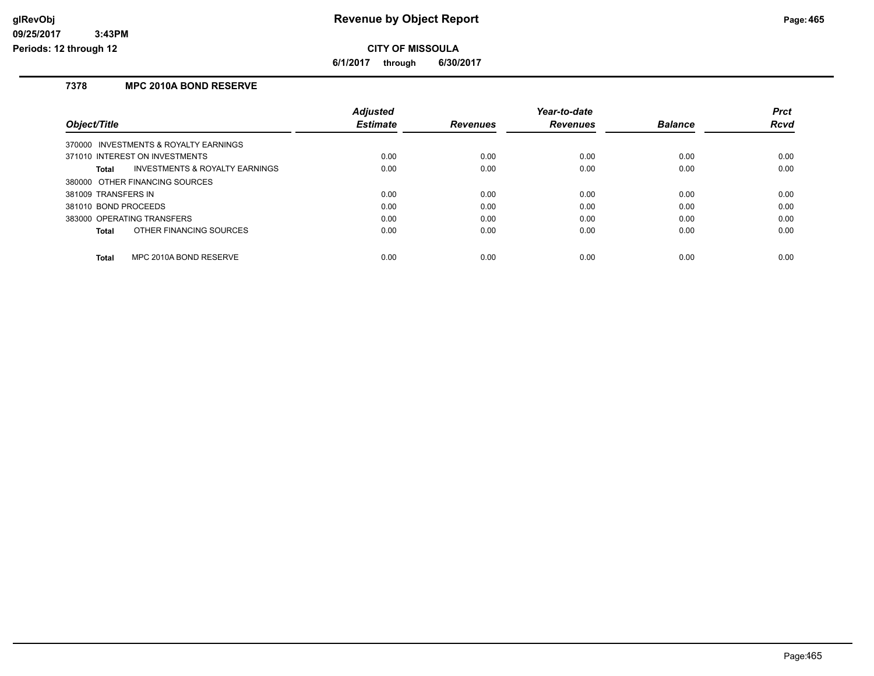**6/1/2017 through 6/30/2017**

# **7378 MPC 2010A BOND RESERVE**

|                                                           | <b>Adjusted</b> |                 | Year-to-date    |                | <b>Prct</b> |
|-----------------------------------------------------------|-----------------|-----------------|-----------------|----------------|-------------|
| Object/Title                                              | <b>Estimate</b> | <b>Revenues</b> | <b>Revenues</b> | <b>Balance</b> | <b>Rcvd</b> |
| 370000 INVESTMENTS & ROYALTY EARNINGS                     |                 |                 |                 |                |             |
| 371010 INTEREST ON INVESTMENTS                            | 0.00            | 0.00            | 0.00            | 0.00           | 0.00        |
| <b>INVESTMENTS &amp; ROYALTY EARNINGS</b><br><b>Total</b> | 0.00            | 0.00            | 0.00            | 0.00           | 0.00        |
| 380000 OTHER FINANCING SOURCES                            |                 |                 |                 |                |             |
| 381009 TRANSFERS IN                                       | 0.00            | 0.00            | 0.00            | 0.00           | 0.00        |
| 381010 BOND PROCEEDS                                      | 0.00            | 0.00            | 0.00            | 0.00           | 0.00        |
| 383000 OPERATING TRANSFERS                                | 0.00            | 0.00            | 0.00            | 0.00           | 0.00        |
| OTHER FINANCING SOURCES<br>Total                          | 0.00            | 0.00            | 0.00            | 0.00           | 0.00        |
| MPC 2010A BOND RESERVE<br>Total                           | 0.00            | 0.00            | 0.00            | 0.00           | 0.00        |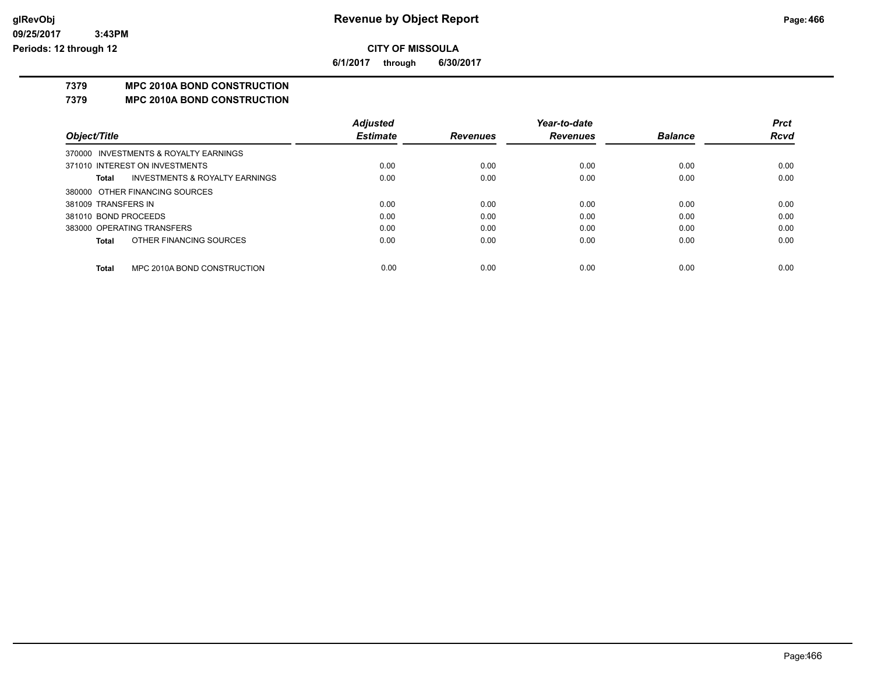**6/1/2017 through 6/30/2017**

# **7379 MPC 2010A BOND CONSTRUCTION**

#### **7379 MPC 2010A BOND CONSTRUCTION**

|                      |                                       | <b>Adjusted</b> |                 | Year-to-date    |                | <b>Prct</b> |
|----------------------|---------------------------------------|-----------------|-----------------|-----------------|----------------|-------------|
| Object/Title         |                                       | <b>Estimate</b> | <b>Revenues</b> | <b>Revenues</b> | <b>Balance</b> | <b>Rcvd</b> |
|                      | 370000 INVESTMENTS & ROYALTY EARNINGS |                 |                 |                 |                |             |
|                      | 371010 INTEREST ON INVESTMENTS        | 0.00            | 0.00            | 0.00            | 0.00           | 0.00        |
| Total                | INVESTMENTS & ROYALTY EARNINGS        | 0.00            | 0.00            | 0.00            | 0.00           | 0.00        |
|                      | 380000 OTHER FINANCING SOURCES        |                 |                 |                 |                |             |
| 381009 TRANSFERS IN  |                                       | 0.00            | 0.00            | 0.00            | 0.00           | 0.00        |
| 381010 BOND PROCEEDS |                                       | 0.00            | 0.00            | 0.00            | 0.00           | 0.00        |
|                      | 383000 OPERATING TRANSFERS            | 0.00            | 0.00            | 0.00            | 0.00           | 0.00        |
| Total                | OTHER FINANCING SOURCES               | 0.00            | 0.00            | 0.00            | 0.00           | 0.00        |
|                      |                                       |                 |                 |                 |                |             |
| <b>Total</b>         | MPC 2010A BOND CONSTRUCTION           | 0.00            | 0.00            | 0.00            | 0.00           | 0.00        |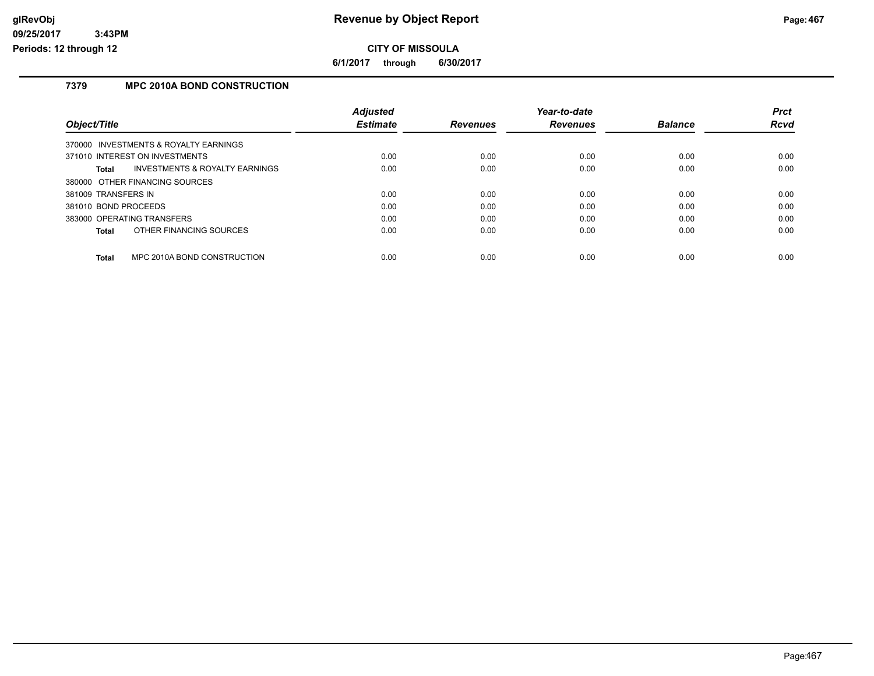**6/1/2017 through 6/30/2017**

# **7379 MPC 2010A BOND CONSTRUCTION**

|                      |                                           | <b>Adjusted</b> |                 | Year-to-date    |                | <b>Prct</b> |
|----------------------|-------------------------------------------|-----------------|-----------------|-----------------|----------------|-------------|
| Object/Title         |                                           | <b>Estimate</b> | <b>Revenues</b> | <b>Revenues</b> | <b>Balance</b> | <b>Rcvd</b> |
|                      | 370000 INVESTMENTS & ROYALTY EARNINGS     |                 |                 |                 |                |             |
|                      | 371010 INTEREST ON INVESTMENTS            | 0.00            | 0.00            | 0.00            | 0.00           | 0.00        |
| Total                | <b>INVESTMENTS &amp; ROYALTY EARNINGS</b> | 0.00            | 0.00            | 0.00            | 0.00           | 0.00        |
|                      | 380000 OTHER FINANCING SOURCES            |                 |                 |                 |                |             |
| 381009 TRANSFERS IN  |                                           | 0.00            | 0.00            | 0.00            | 0.00           | 0.00        |
| 381010 BOND PROCEEDS |                                           | 0.00            | 0.00            | 0.00            | 0.00           | 0.00        |
|                      | 383000 OPERATING TRANSFERS                | 0.00            | 0.00            | 0.00            | 0.00           | 0.00        |
| Total                | OTHER FINANCING SOURCES                   | 0.00            | 0.00            | 0.00            | 0.00           | 0.00        |
| Total                | MPC 2010A BOND CONSTRUCTION               | 0.00            | 0.00            | 0.00            | 0.00           | 0.00        |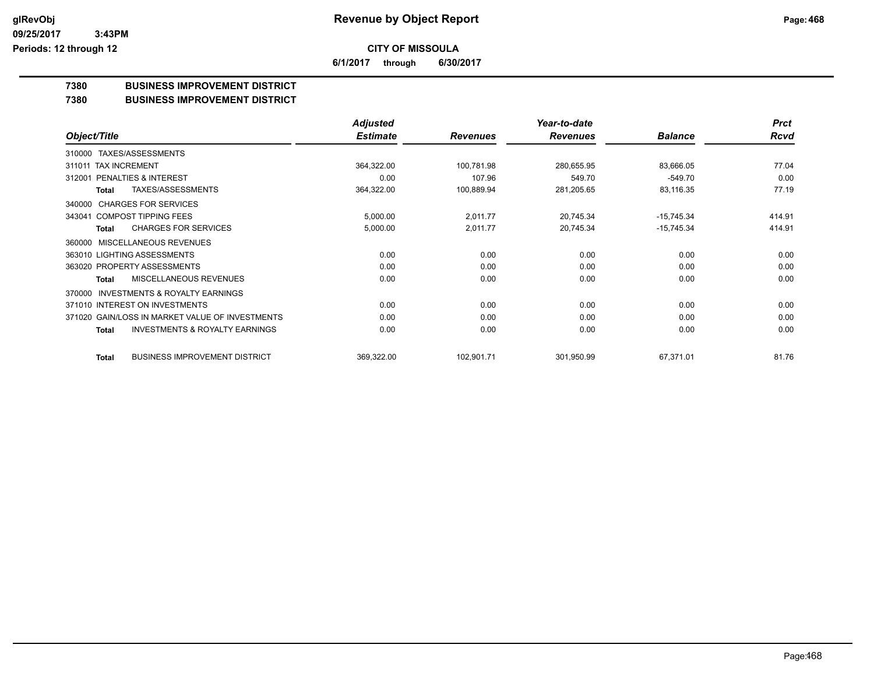**6/1/2017 through 6/30/2017**

# **7380 BUSINESS IMPROVEMENT DISTRICT**

#### **7380 BUSINESS IMPROVEMENT DISTRICT**

|                                                           | <b>Adjusted</b> |                 | Year-to-date    |                | <b>Prct</b> |
|-----------------------------------------------------------|-----------------|-----------------|-----------------|----------------|-------------|
| Object/Title                                              | <b>Estimate</b> | <b>Revenues</b> | <b>Revenues</b> | <b>Balance</b> | <b>Rcvd</b> |
| TAXES/ASSESSMENTS<br>310000                               |                 |                 |                 |                |             |
| <b>TAX INCREMENT</b><br>311011                            | 364,322.00      | 100,781.98      | 280,655.95      | 83,666.05      | 77.04       |
| <b>PENALTIES &amp; INTEREST</b><br>312001                 | 0.00            | 107.96          | 549.70          | $-549.70$      | 0.00        |
| TAXES/ASSESSMENTS<br>Total                                | 364,322.00      | 100,889.94      | 281,205.65      | 83,116.35      | 77.19       |
| <b>CHARGES FOR SERVICES</b><br>340000                     |                 |                 |                 |                |             |
| <b>COMPOST TIPPING FEES</b><br>343041                     | 5,000.00        | 2,011.77        | 20,745.34       | $-15,745.34$   | 414.91      |
| <b>CHARGES FOR SERVICES</b><br>Total                      | 5,000.00        | 2,011.77        | 20,745.34       | $-15,745.34$   | 414.91      |
| MISCELLANEOUS REVENUES<br>360000                          |                 |                 |                 |                |             |
| 363010 LIGHTING ASSESSMENTS                               | 0.00            | 0.00            | 0.00            | 0.00           | 0.00        |
| 363020 PROPERTY ASSESSMENTS                               | 0.00            | 0.00            | 0.00            | 0.00           | 0.00        |
| MISCELLANEOUS REVENUES<br>Total                           | 0.00            | 0.00            | 0.00            | 0.00           | 0.00        |
| <b>INVESTMENTS &amp; ROYALTY EARNINGS</b><br>370000       |                 |                 |                 |                |             |
| 371010 INTEREST ON INVESTMENTS                            | 0.00            | 0.00            | 0.00            | 0.00           | 0.00        |
| 371020 GAIN/LOSS IN MARKET VALUE OF INVESTMENTS           | 0.00            | 0.00            | 0.00            | 0.00           | 0.00        |
| <b>INVESTMENTS &amp; ROYALTY EARNINGS</b><br><b>Total</b> | 0.00            | 0.00            | 0.00            | 0.00           | 0.00        |
| <b>BUSINESS IMPROVEMENT DISTRICT</b><br>Total             | 369,322.00      | 102,901.71      | 301,950.99      | 67,371.01      | 81.76       |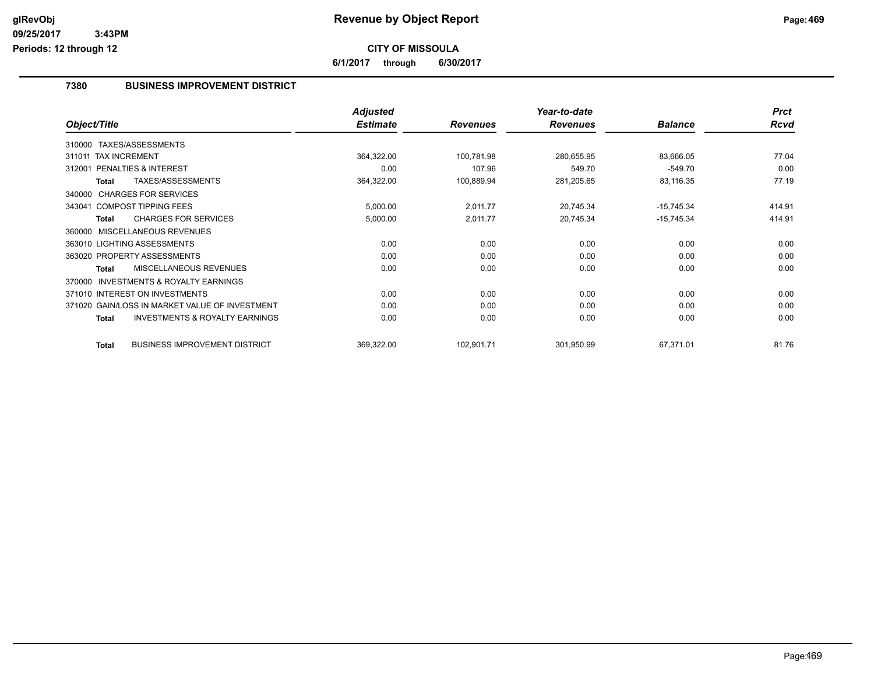**6/1/2017 through 6/30/2017**

#### **7380 BUSINESS IMPROVEMENT DISTRICT**

|                                                           | <b>Adjusted</b> |                 | Year-to-date    |                | <b>Prct</b> |
|-----------------------------------------------------------|-----------------|-----------------|-----------------|----------------|-------------|
| Object/Title                                              | <b>Estimate</b> | <b>Revenues</b> | <b>Revenues</b> | <b>Balance</b> | <b>Rcvd</b> |
| TAXES/ASSESSMENTS<br>310000                               |                 |                 |                 |                |             |
| <b>TAX INCREMENT</b><br>311011                            | 364,322.00      | 100,781.98      | 280,655.95      | 83,666.05      | 77.04       |
| <b>PENALTIES &amp; INTEREST</b><br>312001                 | 0.00            | 107.96          | 549.70          | $-549.70$      | 0.00        |
| TAXES/ASSESSMENTS<br>Total                                | 364,322.00      | 100,889.94      | 281,205.65      | 83,116.35      | 77.19       |
| <b>CHARGES FOR SERVICES</b><br>340000                     |                 |                 |                 |                |             |
| <b>COMPOST TIPPING FEES</b><br>343041                     | 5,000.00        | 2,011.77        | 20,745.34       | $-15,745.34$   | 414.91      |
| <b>CHARGES FOR SERVICES</b><br><b>Total</b>               | 5,000.00        | 2,011.77        | 20,745.34       | $-15,745.34$   | 414.91      |
| MISCELLANEOUS REVENUES<br>360000                          |                 |                 |                 |                |             |
| 363010 LIGHTING ASSESSMENTS                               | 0.00            | 0.00            | 0.00            | 0.00           | 0.00        |
| 363020 PROPERTY ASSESSMENTS                               | 0.00            | 0.00            | 0.00            | 0.00           | 0.00        |
| MISCELLANEOUS REVENUES<br>Total                           | 0.00            | 0.00            | 0.00            | 0.00           | 0.00        |
| INVESTMENTS & ROYALTY EARNINGS<br>370000                  |                 |                 |                 |                |             |
| 371010 INTEREST ON INVESTMENTS                            | 0.00            | 0.00            | 0.00            | 0.00           | 0.00        |
| 371020 GAIN/LOSS IN MARKET VALUE OF INVESTMENT            | 0.00            | 0.00            | 0.00            | 0.00           | 0.00        |
| <b>INVESTMENTS &amp; ROYALTY EARNINGS</b><br><b>Total</b> | 0.00            | 0.00            | 0.00            | 0.00           | 0.00        |
| <b>BUSINESS IMPROVEMENT DISTRICT</b><br><b>Total</b>      | 369,322.00      | 102,901.71      | 301,950.99      | 67,371.01      | 81.76       |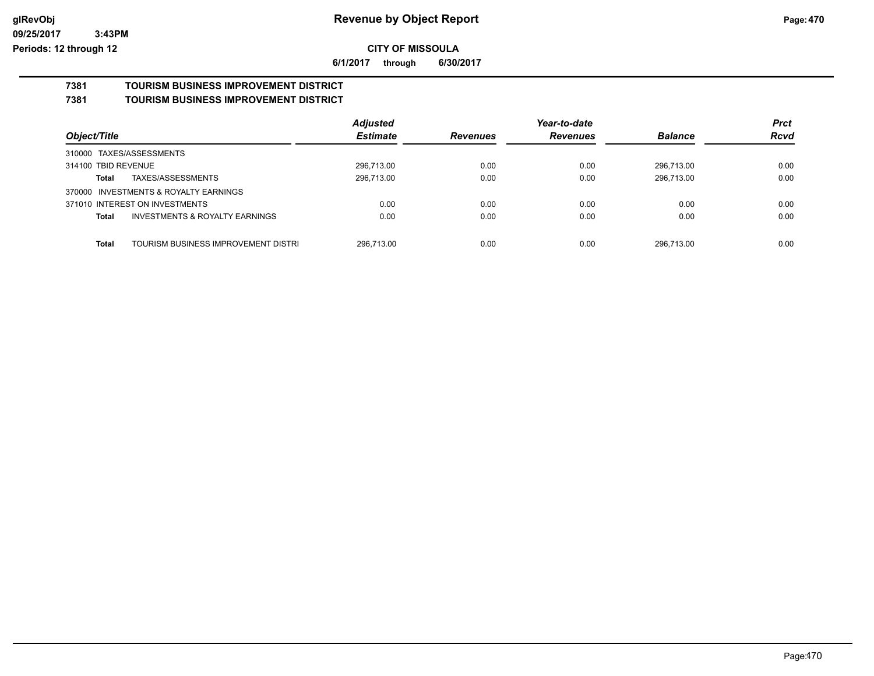**6/1/2017 through 6/30/2017**

# **7381 TOURISM BUSINESS IMPROVEMENT DISTRICT**

# **7381 TOURISM BUSINESS IMPROVEMENT DISTRICT**

|                                                     | <b>Adjusted</b> |                 | Year-to-date    |                | <b>Prct</b> |
|-----------------------------------------------------|-----------------|-----------------|-----------------|----------------|-------------|
| Object/Title                                        | <b>Estimate</b> | <b>Revenues</b> | <b>Revenues</b> | <b>Balance</b> | <b>Rcvd</b> |
| 310000 TAXES/ASSESSMENTS                            |                 |                 |                 |                |             |
| 314100 TBID REVENUE                                 | 296,713.00      | 0.00            | 0.00            | 296,713.00     | 0.00        |
| TAXES/ASSESSMENTS<br>Total                          | 296,713.00      | 0.00            | 0.00            | 296.713.00     | 0.00        |
| 370000 INVESTMENTS & ROYALTY EARNINGS               |                 |                 |                 |                |             |
| 371010 INTEREST ON INVESTMENTS                      | 0.00            | 0.00            | 0.00            | 0.00           | 0.00        |
| <b>INVESTMENTS &amp; ROYALTY EARNINGS</b><br>Total  | 0.00            | 0.00            | 0.00            | 0.00           | 0.00        |
| TOURISM BUSINESS IMPROVEMENT DISTRI<br><b>Total</b> | 296.713.00      | 0.00            | 0.00            | 296.713.00     | 0.00        |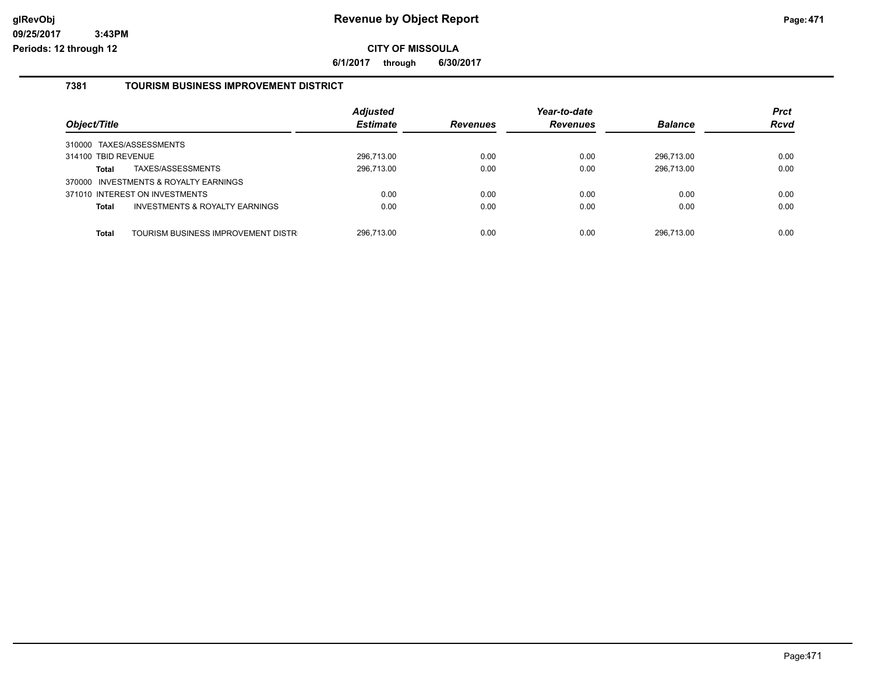**6/1/2017 through 6/30/2017**

#### **7381 TOURISM BUSINESS IMPROVEMENT DISTRICT**

| Object/Title                                              | <b>Adjusted</b><br><b>Estimate</b> | <b>Revenues</b> | Year-to-date<br><b>Revenues</b> | <b>Balance</b> | <b>Prct</b><br><b>Rcvd</b> |
|-----------------------------------------------------------|------------------------------------|-----------------|---------------------------------|----------------|----------------------------|
| 310000 TAXES/ASSESSMENTS                                  |                                    |                 |                                 |                |                            |
| 314100 TBID REVENUE                                       | 296.713.00                         | 0.00            | 0.00                            | 296.713.00     | 0.00                       |
| TAXES/ASSESSMENTS<br><b>Total</b>                         | 296,713.00                         | 0.00            | 0.00                            | 296,713.00     | 0.00                       |
| 370000 INVESTMENTS & ROYALTY EARNINGS                     |                                    |                 |                                 |                |                            |
| 371010 INTEREST ON INVESTMENTS                            | 0.00                               | 0.00            | 0.00                            | 0.00           | 0.00                       |
| <b>INVESTMENTS &amp; ROYALTY EARNINGS</b><br><b>Total</b> | 0.00                               | 0.00            | 0.00                            | 0.00           | 0.00                       |
|                                                           |                                    |                 |                                 |                |                            |
| TOURISM BUSINESS IMPROVEMENT DISTR<br><b>Total</b>        | 296.713.00                         | 0.00            | 0.00                            | 296.713.00     | 0.00                       |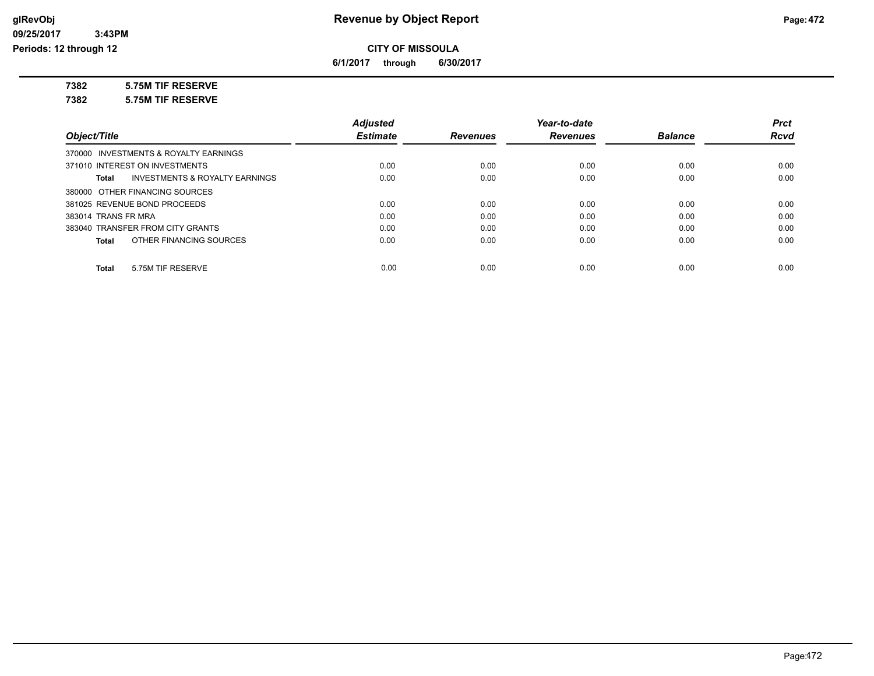**6/1/2017 through 6/30/2017**

**7382 5.75M TIF RESERVE**

**7382 5.75M TIF RESERVE**

|                                         | <b>Adjusted</b> |                 | Year-to-date    |                | <b>Prct</b> |
|-----------------------------------------|-----------------|-----------------|-----------------|----------------|-------------|
| Object/Title                            | <b>Estimate</b> | <b>Revenues</b> | <b>Revenues</b> | <b>Balance</b> | <b>Rcvd</b> |
| 370000 INVESTMENTS & ROYALTY EARNINGS   |                 |                 |                 |                |             |
| 371010 INTEREST ON INVESTMENTS          | 0.00            | 0.00            | 0.00            | 0.00           | 0.00        |
| INVESTMENTS & ROYALTY EARNINGS<br>Total | 0.00            | 0.00            | 0.00            | 0.00           | 0.00        |
| 380000 OTHER FINANCING SOURCES          |                 |                 |                 |                |             |
| 381025 REVENUE BOND PROCEEDS            | 0.00            | 0.00            | 0.00            | 0.00           | 0.00        |
| 383014 TRANS FR MRA                     | 0.00            | 0.00            | 0.00            | 0.00           | 0.00        |
| 383040 TRANSFER FROM CITY GRANTS        | 0.00            | 0.00            | 0.00            | 0.00           | 0.00        |
| OTHER FINANCING SOURCES<br>Total        | 0.00            | 0.00            | 0.00            | 0.00           | 0.00        |
|                                         |                 |                 |                 |                |             |
| 5.75M TIF RESERVE<br>Total              | 0.00            | 0.00            | 0.00            | 0.00           | 0.00        |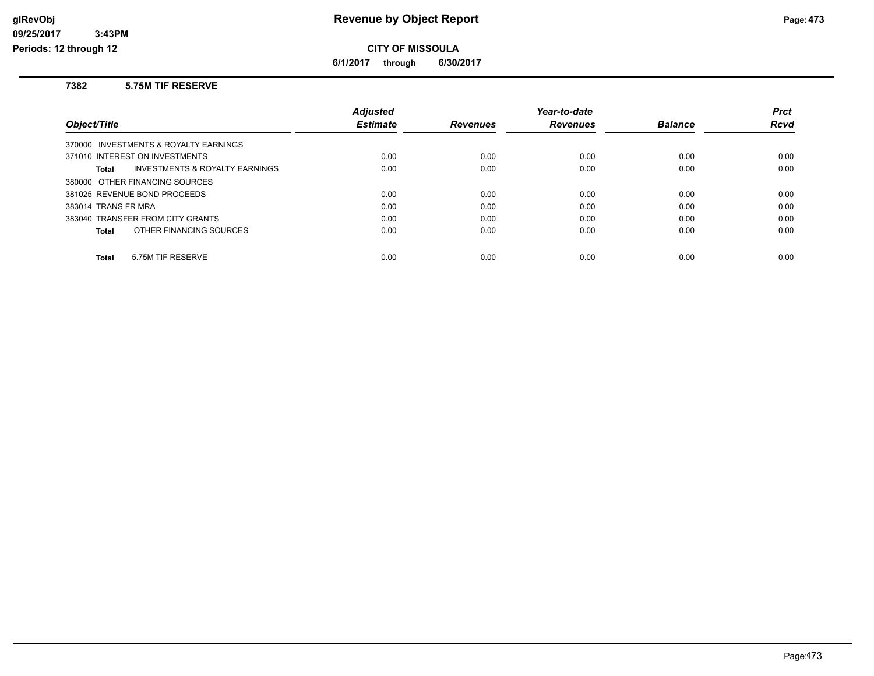**6/1/2017 through 6/30/2017**

#### **7382 5.75M TIF RESERVE**

|                                                    | <b>Adiusted</b> |                 | Year-to-date    |                | <b>Prct</b> |
|----------------------------------------------------|-----------------|-----------------|-----------------|----------------|-------------|
| Object/Title                                       | <b>Estimate</b> | <b>Revenues</b> | <b>Revenues</b> | <b>Balance</b> | <b>Rcvd</b> |
| 370000 INVESTMENTS & ROYALTY EARNINGS              |                 |                 |                 |                |             |
| 371010 INTEREST ON INVESTMENTS                     | 0.00            | 0.00            | 0.00            | 0.00           | 0.00        |
| <b>INVESTMENTS &amp; ROYALTY EARNINGS</b><br>Total | 0.00            | 0.00            | 0.00            | 0.00           | 0.00        |
| 380000 OTHER FINANCING SOURCES                     |                 |                 |                 |                |             |
| 381025 REVENUE BOND PROCEEDS                       | 0.00            | 0.00            | 0.00            | 0.00           | 0.00        |
| 383014 TRANS FR MRA                                | 0.00            | 0.00            | 0.00            | 0.00           | 0.00        |
| 383040 TRANSFER FROM CITY GRANTS                   | 0.00            | 0.00            | 0.00            | 0.00           | 0.00        |
| OTHER FINANCING SOURCES<br>Total                   | 0.00            | 0.00            | 0.00            | 0.00           | 0.00        |
| 5.75M TIF RESERVE<br><b>Total</b>                  | 0.00            | 0.00            | 0.00            | 0.00           | 0.00        |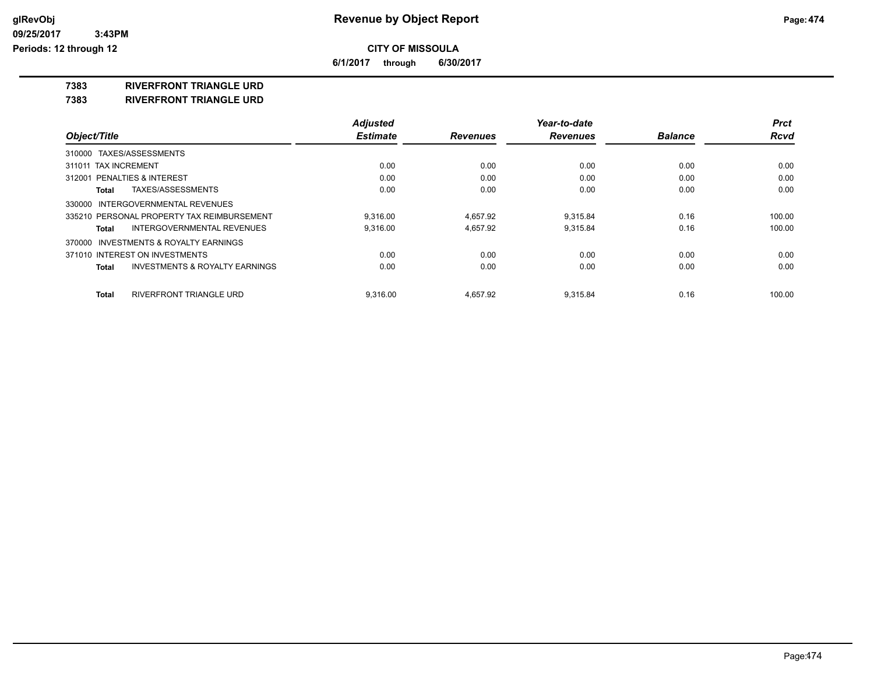**6/1/2017 through 6/30/2017**

#### **7383 RIVERFRONT TRIANGLE URD**

**7383 RIVERFRONT TRIANGLE URD**

|                                                    | <b>Adjusted</b> |                 | Year-to-date    |                | <b>Prct</b> |
|----------------------------------------------------|-----------------|-----------------|-----------------|----------------|-------------|
| Object/Title                                       | <b>Estimate</b> | <b>Revenues</b> | <b>Revenues</b> | <b>Balance</b> | <b>Rcvd</b> |
| 310000 TAXES/ASSESSMENTS                           |                 |                 |                 |                |             |
| 311011 TAX INCREMENT                               | 0.00            | 0.00            | 0.00            | 0.00           | 0.00        |
| 312001 PENALTIES & INTEREST                        | 0.00            | 0.00            | 0.00            | 0.00           | 0.00        |
| TAXES/ASSESSMENTS<br>Total                         | 0.00            | 0.00            | 0.00            | 0.00           | 0.00        |
| 330000 INTERGOVERNMENTAL REVENUES                  |                 |                 |                 |                |             |
| 335210 PERSONAL PROPERTY TAX REIMBURSEMENT         | 9,316.00        | 4,657.92        | 9,315.84        | 0.16           | 100.00      |
| INTERGOVERNMENTAL REVENUES<br>Total                | 9.316.00        | 4,657.92        | 9.315.84        | 0.16           | 100.00      |
| 370000 INVESTMENTS & ROYALTY EARNINGS              |                 |                 |                 |                |             |
| 371010 INTEREST ON INVESTMENTS                     | 0.00            | 0.00            | 0.00            | 0.00           | 0.00        |
| <b>INVESTMENTS &amp; ROYALTY EARNINGS</b><br>Total | 0.00            | 0.00            | 0.00            | 0.00           | 0.00        |
| <b>RIVERFRONT TRIANGLE URD</b><br><b>Total</b>     | 9.316.00        | 4.657.92        | 9,315.84        | 0.16           | 100.00      |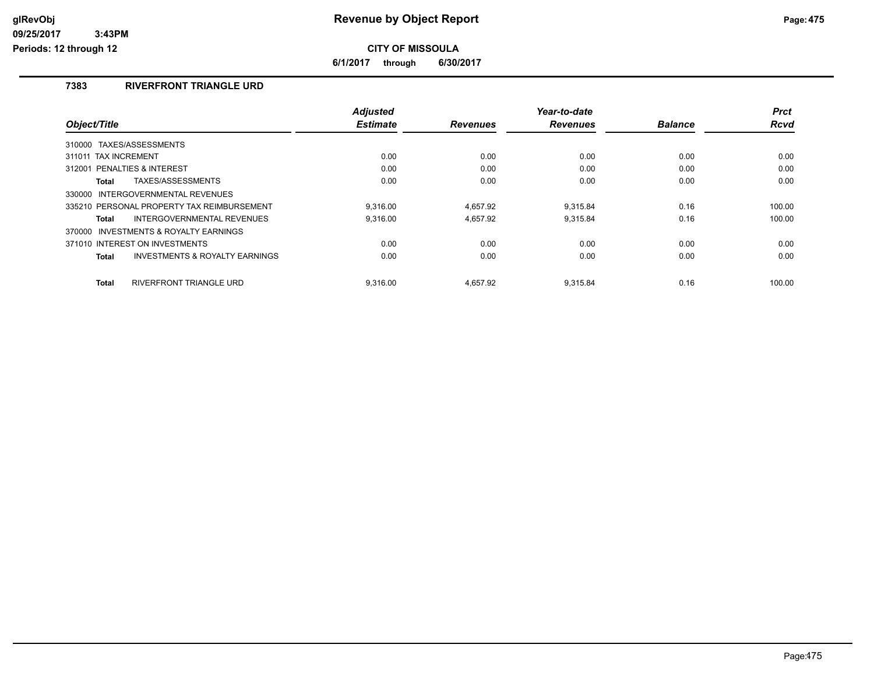**6/1/2017 through 6/30/2017**

#### **7383 RIVERFRONT TRIANGLE URD**

|                                                    | <b>Adjusted</b> |                 | Year-to-date    |                | <b>Prct</b> |
|----------------------------------------------------|-----------------|-----------------|-----------------|----------------|-------------|
| Object/Title                                       | <b>Estimate</b> | <b>Revenues</b> | <b>Revenues</b> | <b>Balance</b> | <b>Rcvd</b> |
| 310000 TAXES/ASSESSMENTS                           |                 |                 |                 |                |             |
| 311011 TAX INCREMENT                               | 0.00            | 0.00            | 0.00            | 0.00           | 0.00        |
| PENALTIES & INTEREST<br>312001                     | 0.00            | 0.00            | 0.00            | 0.00           | 0.00        |
| TAXES/ASSESSMENTS<br>Total                         | 0.00            | 0.00            | 0.00            | 0.00           | 0.00        |
| 330000 INTERGOVERNMENTAL REVENUES                  |                 |                 |                 |                |             |
| 335210 PERSONAL PROPERTY TAX REIMBURSEMENT         | 9.316.00        | 4.657.92        | 9.315.84        | 0.16           | 100.00      |
| INTERGOVERNMENTAL REVENUES<br><b>Total</b>         | 9.316.00        | 4.657.92        | 9.315.84        | 0.16           | 100.00      |
| 370000 INVESTMENTS & ROYALTY EARNINGS              |                 |                 |                 |                |             |
| 371010 INTEREST ON INVESTMENTS                     | 0.00            | 0.00            | 0.00            | 0.00           | 0.00        |
| <b>INVESTMENTS &amp; ROYALTY EARNINGS</b><br>Total | 0.00            | 0.00            | 0.00            | 0.00           | 0.00        |
| <b>RIVERFRONT TRIANGLE URD</b><br><b>Total</b>     | 9.316.00        | 4.657.92        | 9.315.84        | 0.16           | 100.00      |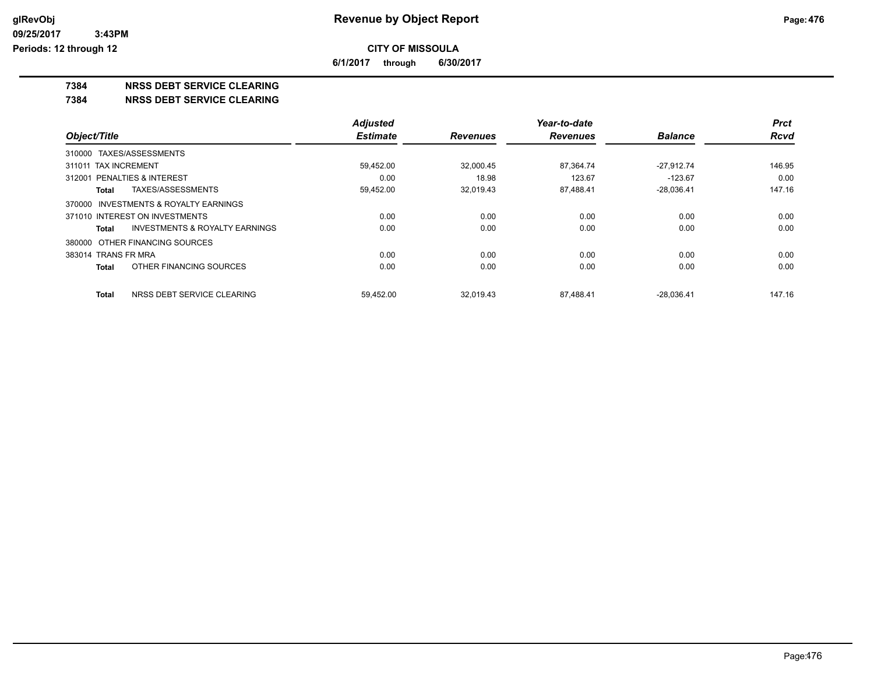**6/1/2017 through 6/30/2017**

### **7384 NRSS DEBT SERVICE CLEARING**

**7384 NRSS DEBT SERVICE CLEARING**

|                                                    | <b>Adjusted</b> |                 | Year-to-date    |                | <b>Prct</b> |
|----------------------------------------------------|-----------------|-----------------|-----------------|----------------|-------------|
| Object/Title                                       | <b>Estimate</b> | <b>Revenues</b> | <b>Revenues</b> | <b>Balance</b> | <b>Rcvd</b> |
| 310000 TAXES/ASSESSMENTS                           |                 |                 |                 |                |             |
| 311011 TAX INCREMENT                               | 59,452.00       | 32,000.45       | 87,364.74       | $-27,912.74$   | 146.95      |
| 312001 PENALTIES & INTEREST                        | 0.00            | 18.98           | 123.67          | $-123.67$      | 0.00        |
| TAXES/ASSESSMENTS<br>Total                         | 59,452.00       | 32.019.43       | 87.488.41       | $-28.036.41$   | 147.16      |
| 370000 INVESTMENTS & ROYALTY EARNINGS              |                 |                 |                 |                |             |
| 371010 INTEREST ON INVESTMENTS                     | 0.00            | 0.00            | 0.00            | 0.00           | 0.00        |
| <b>INVESTMENTS &amp; ROYALTY EARNINGS</b><br>Total | 0.00            | 0.00            | 0.00            | 0.00           | 0.00        |
| 380000 OTHER FINANCING SOURCES                     |                 |                 |                 |                |             |
| 383014 TRANS FR MRA                                | 0.00            | 0.00            | 0.00            | 0.00           | 0.00        |
| OTHER FINANCING SOURCES<br>Total                   | 0.00            | 0.00            | 0.00            | 0.00           | 0.00        |
| NRSS DEBT SERVICE CLEARING<br>Total                | 59.452.00       | 32.019.43       | 87.488.41       | $-28.036.41$   | 147.16      |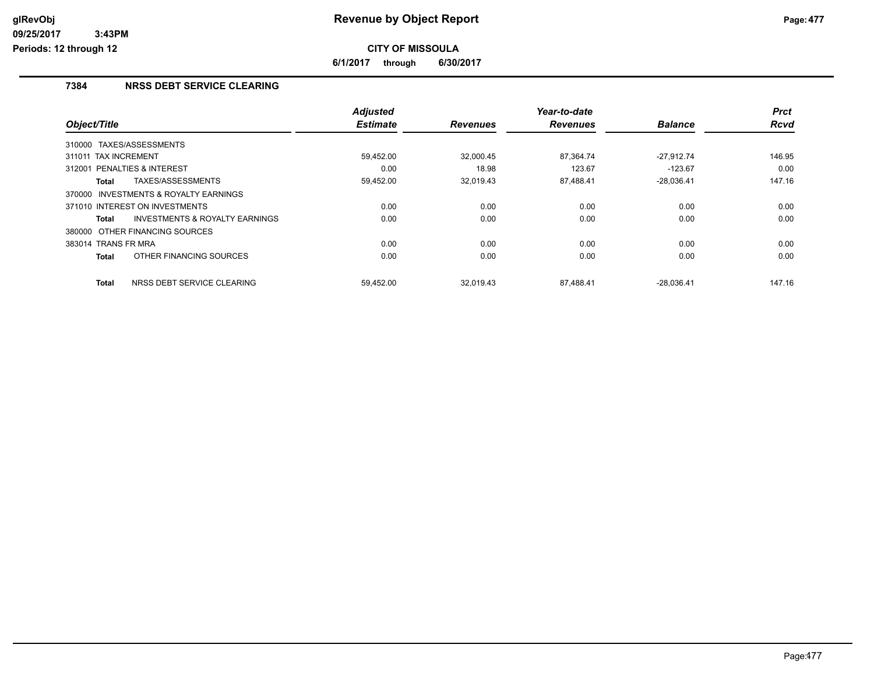**6/1/2017 through 6/30/2017**

#### **7384 NRSS DEBT SERVICE CLEARING**

|                                                           | <b>Adjusted</b> |                 | Year-to-date    |                | <b>Prct</b> |
|-----------------------------------------------------------|-----------------|-----------------|-----------------|----------------|-------------|
| Object/Title                                              | <b>Estimate</b> | <b>Revenues</b> | <b>Revenues</b> | <b>Balance</b> | <b>Rcvd</b> |
| TAXES/ASSESSMENTS<br>310000                               |                 |                 |                 |                |             |
| 311011 TAX INCREMENT                                      | 59,452.00       | 32.000.45       | 87.364.74       | $-27.912.74$   | 146.95      |
| PENALTIES & INTEREST<br>312001                            | 0.00            | 18.98           | 123.67          | $-123.67$      | 0.00        |
| TAXES/ASSESSMENTS<br><b>Total</b>                         | 59,452.00       | 32,019.43       | 87,488.41       | $-28,036.41$   | 147.16      |
| 370000 INVESTMENTS & ROYALTY EARNINGS                     |                 |                 |                 |                |             |
| 371010 INTEREST ON INVESTMENTS                            | 0.00            | 0.00            | 0.00            | 0.00           | 0.00        |
| <b>INVESTMENTS &amp; ROYALTY EARNINGS</b><br><b>Total</b> | 0.00            | 0.00            | 0.00            | 0.00           | 0.00        |
| 380000 OTHER FINANCING SOURCES                            |                 |                 |                 |                |             |
| 383014 TRANS FR MRA                                       | 0.00            | 0.00            | 0.00            | 0.00           | 0.00        |
| OTHER FINANCING SOURCES<br><b>Total</b>                   | 0.00            | 0.00            | 0.00            | 0.00           | 0.00        |
| NRSS DEBT SERVICE CLEARING<br><b>Total</b>                | 59,452.00       | 32.019.43       | 87.488.41       | $-28.036.41$   | 147.16      |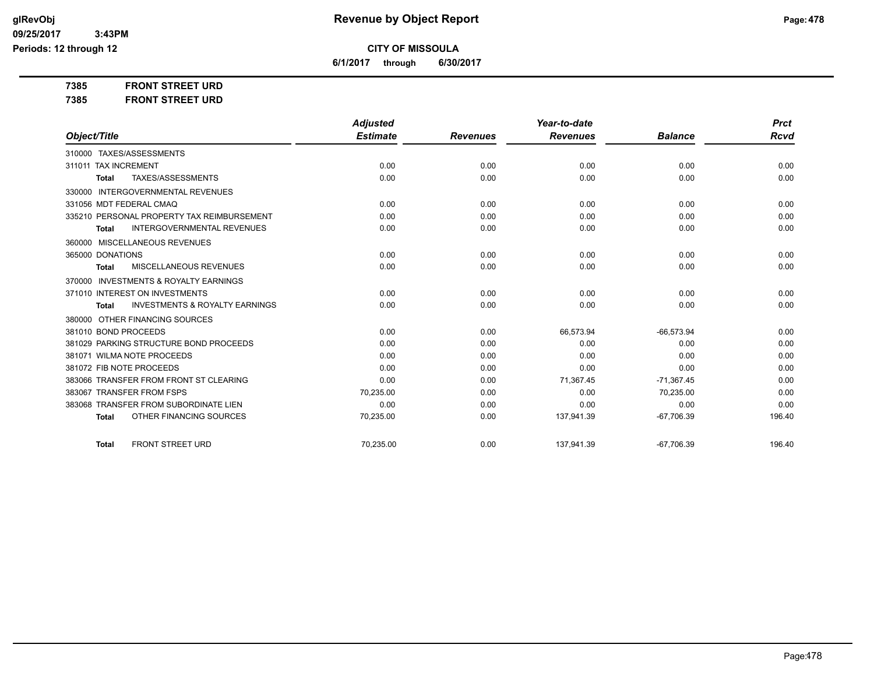**6/1/2017 through 6/30/2017**

**7385 FRONT STREET URD**

**7385 FRONT STREET URD**

|                                                    | <b>Adjusted</b> |                 | Year-to-date    |                | <b>Prct</b> |
|----------------------------------------------------|-----------------|-----------------|-----------------|----------------|-------------|
| Object/Title                                       | <b>Estimate</b> | <b>Revenues</b> | <b>Revenues</b> | <b>Balance</b> | <b>Rcvd</b> |
| 310000 TAXES/ASSESSMENTS                           |                 |                 |                 |                |             |
| 311011 TAX INCREMENT                               | 0.00            | 0.00            | 0.00            | 0.00           | 0.00        |
| TAXES/ASSESSMENTS<br><b>Total</b>                  | 0.00            | 0.00            | 0.00            | 0.00           | 0.00        |
| <b>INTERGOVERNMENTAL REVENUES</b><br>330000        |                 |                 |                 |                |             |
| 331056 MDT FEDERAL CMAQ                            | 0.00            | 0.00            | 0.00            | 0.00           | 0.00        |
| 335210 PERSONAL PROPERTY TAX REIMBURSEMENT         | 0.00            | 0.00            | 0.00            | 0.00           | 0.00        |
| <b>INTERGOVERNMENTAL REVENUES</b><br><b>Total</b>  | 0.00            | 0.00            | 0.00            | 0.00           | 0.00        |
| 360000 MISCELLANEOUS REVENUES                      |                 |                 |                 |                |             |
| 365000 DONATIONS                                   | 0.00            | 0.00            | 0.00            | 0.00           | 0.00        |
| MISCELLANEOUS REVENUES<br><b>Total</b>             | 0.00            | 0.00            | 0.00            | 0.00           | 0.00        |
| 370000 INVESTMENTS & ROYALTY EARNINGS              |                 |                 |                 |                |             |
| 371010 INTEREST ON INVESTMENTS                     | 0.00            | 0.00            | 0.00            | 0.00           | 0.00        |
| <b>INVESTMENTS &amp; ROYALTY EARNINGS</b><br>Total | 0.00            | 0.00            | 0.00            | 0.00           | 0.00        |
| 380000 OTHER FINANCING SOURCES                     |                 |                 |                 |                |             |
| 381010 BOND PROCEEDS                               | 0.00            | 0.00            | 66,573.94       | $-66,573.94$   | 0.00        |
| 381029 PARKING STRUCTURE BOND PROCEEDS             | 0.00            | 0.00            | 0.00            | 0.00           | 0.00        |
| 381071 WILMA NOTE PROCEEDS                         | 0.00            | 0.00            | 0.00            | 0.00           | 0.00        |
| 381072 FIB NOTE PROCEEDS                           | 0.00            | 0.00            | 0.00            | 0.00           | 0.00        |
| 383066 TRANSFER FROM FRONT ST CLEARING             | 0.00            | 0.00            | 71,367.45       | $-71,367.45$   | 0.00        |
| 383067 TRANSFER FROM FSPS                          | 70,235.00       | 0.00            | 0.00            | 70,235.00      | 0.00        |
| 383068 TRANSFER FROM SUBORDINATE LIEN              | 0.00            | 0.00            | 0.00            | 0.00           | 0.00        |
| OTHER FINANCING SOURCES<br><b>Total</b>            | 70,235.00       | 0.00            | 137,941.39      | $-67,706.39$   | 196.40      |
| <b>FRONT STREET URD</b><br><b>Total</b>            | 70,235.00       | 0.00            | 137,941.39      | $-67,706.39$   | 196.40      |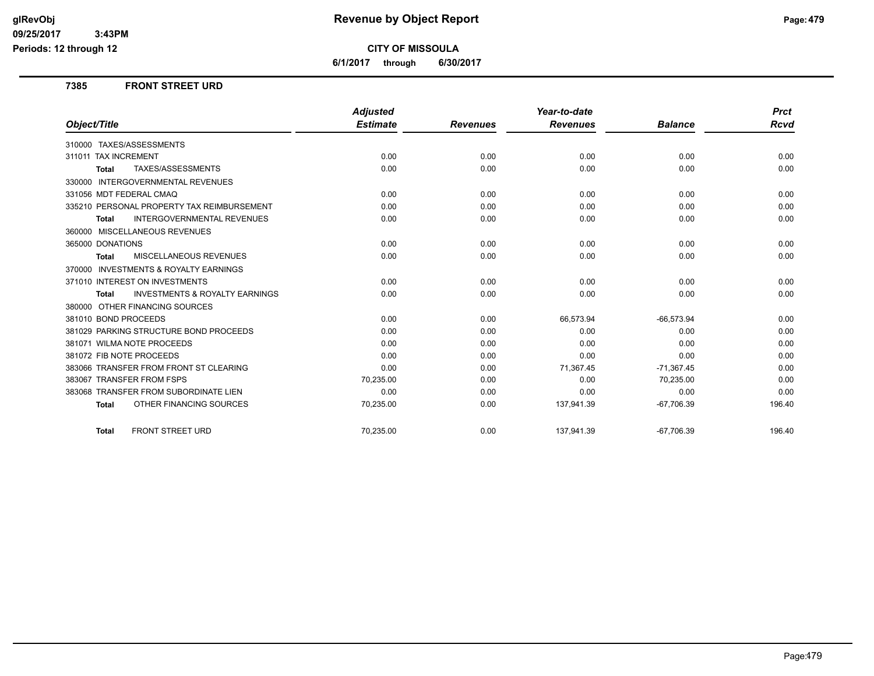**6/1/2017 through 6/30/2017**

#### **7385 FRONT STREET URD**

|                                                           | <b>Adjusted</b> |                 | Year-to-date    |                | <b>Prct</b> |
|-----------------------------------------------------------|-----------------|-----------------|-----------------|----------------|-------------|
| Object/Title                                              | <b>Estimate</b> | <b>Revenues</b> | <b>Revenues</b> | <b>Balance</b> | Rcvd        |
| 310000 TAXES/ASSESSMENTS                                  |                 |                 |                 |                |             |
| 311011 TAX INCREMENT                                      | 0.00            | 0.00            | 0.00            | 0.00           | 0.00        |
| TAXES/ASSESSMENTS<br><b>Total</b>                         | 0.00            | 0.00            | 0.00            | 0.00           | 0.00        |
| 330000 INTERGOVERNMENTAL REVENUES                         |                 |                 |                 |                |             |
| 331056 MDT FEDERAL CMAO                                   | 0.00            | 0.00            | 0.00            | 0.00           | 0.00        |
| 335210 PERSONAL PROPERTY TAX REIMBURSEMENT                | 0.00            | 0.00            | 0.00            | 0.00           | 0.00        |
| <b>INTERGOVERNMENTAL REVENUES</b><br><b>Total</b>         | 0.00            | 0.00            | 0.00            | 0.00           | 0.00        |
| 360000 MISCELLANEOUS REVENUES                             |                 |                 |                 |                |             |
| 365000 DONATIONS                                          | 0.00            | 0.00            | 0.00            | 0.00           | 0.00        |
| MISCELLANEOUS REVENUES<br><b>Total</b>                    | 0.00            | 0.00            | 0.00            | 0.00           | 0.00        |
| 370000 INVESTMENTS & ROYALTY EARNINGS                     |                 |                 |                 |                |             |
| 371010 INTEREST ON INVESTMENTS                            | 0.00            | 0.00            | 0.00            | 0.00           | 0.00        |
| <b>INVESTMENTS &amp; ROYALTY EARNINGS</b><br><b>Total</b> | 0.00            | 0.00            | 0.00            | 0.00           | 0.00        |
| 380000 OTHER FINANCING SOURCES                            |                 |                 |                 |                |             |
| 381010 BOND PROCEEDS                                      | 0.00            | 0.00            | 66,573.94       | $-66,573.94$   | 0.00        |
| 381029 PARKING STRUCTURE BOND PROCEEDS                    | 0.00            | 0.00            | 0.00            | 0.00           | 0.00        |
| 381071 WILMA NOTE PROCEEDS                                | 0.00            | 0.00            | 0.00            | 0.00           | 0.00        |
| 381072 FIB NOTE PROCEEDS                                  | 0.00            | 0.00            | 0.00            | 0.00           | 0.00        |
| 383066 TRANSFER FROM FRONT ST CLEARING                    | 0.00            | 0.00            | 71,367.45       | $-71,367.45$   | 0.00        |
| 383067 TRANSFER FROM FSPS                                 | 70,235.00       | 0.00            | 0.00            | 70,235.00      | 0.00        |
| 383068 TRANSFER FROM SUBORDINATE LIEN                     | 0.00            | 0.00            | 0.00            | 0.00           | 0.00        |
| OTHER FINANCING SOURCES<br><b>Total</b>                   | 70,235.00       | 0.00            | 137,941.39      | $-67,706.39$   | 196.40      |
| <b>FRONT STREET URD</b><br><b>Total</b>                   | 70.235.00       | 0.00            | 137.941.39      | $-67.706.39$   | 196.40      |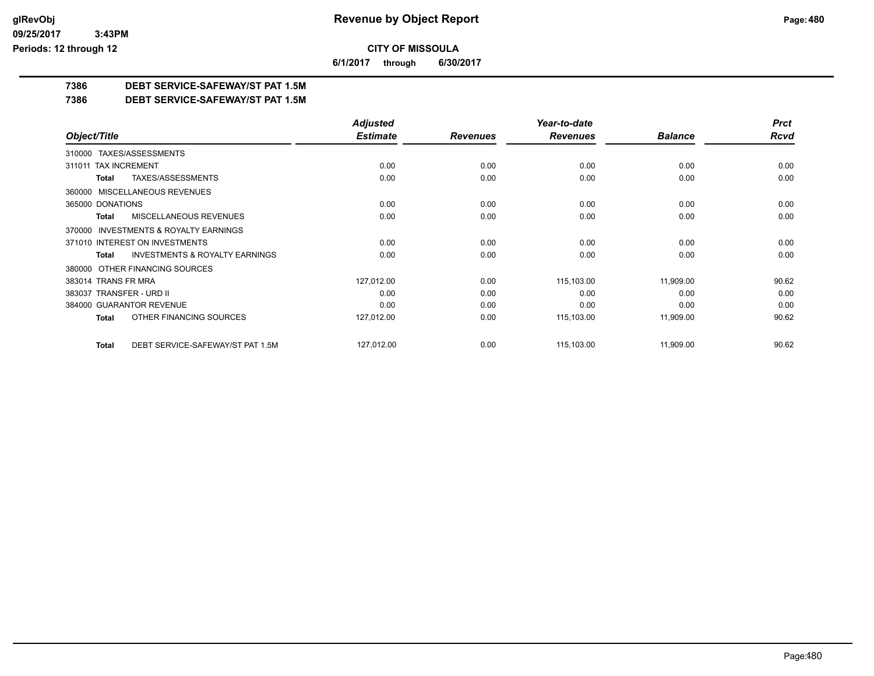**6/1/2017 through 6/30/2017**

# **7386 DEBT SERVICE-SAFEWAY/ST PAT 1.5M**

#### **7386 DEBT SERVICE-SAFEWAY/ST PAT 1.5M**

|                                                     | <b>Adjusted</b> |                 | Year-to-date    |                | <b>Prct</b> |
|-----------------------------------------------------|-----------------|-----------------|-----------------|----------------|-------------|
| Object/Title                                        | <b>Estimate</b> | <b>Revenues</b> | <b>Revenues</b> | <b>Balance</b> | <b>Rcvd</b> |
| 310000 TAXES/ASSESSMENTS                            |                 |                 |                 |                |             |
| <b>TAX INCREMENT</b><br>311011                      | 0.00            | 0.00            | 0.00            | 0.00           | 0.00        |
| TAXES/ASSESSMENTS<br>Total                          | 0.00            | 0.00            | 0.00            | 0.00           | 0.00        |
| 360000 MISCELLANEOUS REVENUES                       |                 |                 |                 |                |             |
| 365000 DONATIONS                                    | 0.00            | 0.00            | 0.00            | 0.00           | 0.00        |
| <b>MISCELLANEOUS REVENUES</b><br>Total              | 0.00            | 0.00            | 0.00            | 0.00           | 0.00        |
| <b>INVESTMENTS &amp; ROYALTY EARNINGS</b><br>370000 |                 |                 |                 |                |             |
| 371010 INTEREST ON INVESTMENTS                      | 0.00            | 0.00            | 0.00            | 0.00           | 0.00        |
| <b>INVESTMENTS &amp; ROYALTY EARNINGS</b><br>Total  | 0.00            | 0.00            | 0.00            | 0.00           | 0.00        |
| 380000 OTHER FINANCING SOURCES                      |                 |                 |                 |                |             |
| 383014 TRANS FR MRA                                 | 127,012.00      | 0.00            | 115,103.00      | 11,909.00      | 90.62       |
| 383037 TRANSFER - URD II                            | 0.00            | 0.00            | 0.00            | 0.00           | 0.00        |
| 384000 GUARANTOR REVENUE                            | 0.00            | 0.00            | 0.00            | 0.00           | 0.00        |
| OTHER FINANCING SOURCES<br>Total                    | 127,012.00      | 0.00            | 115,103.00      | 11,909.00      | 90.62       |
| DEBT SERVICE-SAFEWAY/ST PAT 1.5M<br><b>Total</b>    | 127,012.00      | 0.00            | 115,103.00      | 11,909.00      | 90.62       |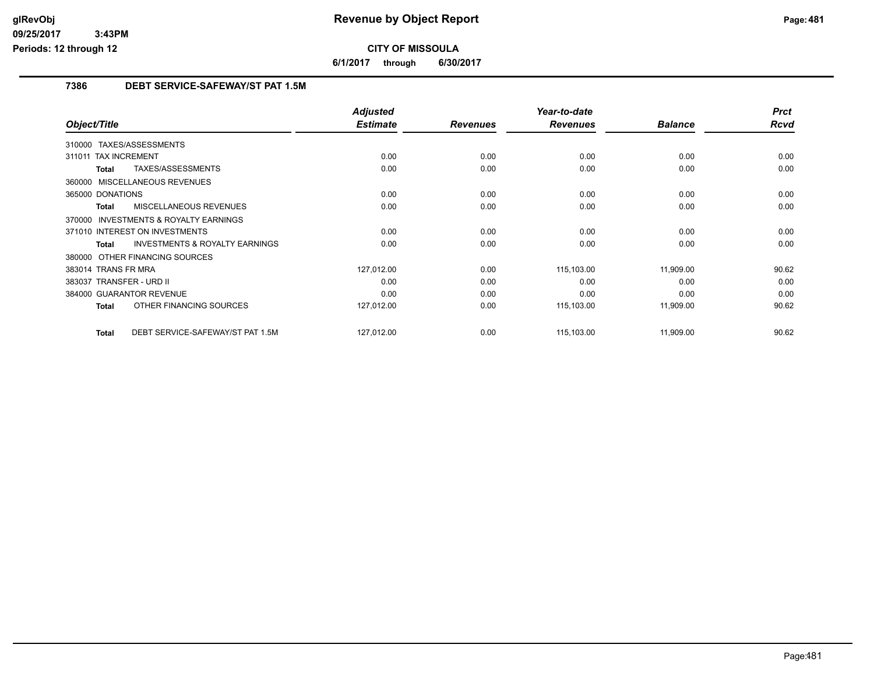**6/1/2017 through 6/30/2017**

#### **7386 DEBT SERVICE-SAFEWAY/ST PAT 1.5M**

|                                                     | <b>Adjusted</b> |                 | Year-to-date    |                | <b>Prct</b> |
|-----------------------------------------------------|-----------------|-----------------|-----------------|----------------|-------------|
| Object/Title                                        | <b>Estimate</b> | <b>Revenues</b> | <b>Revenues</b> | <b>Balance</b> | <b>Rcvd</b> |
| 310000 TAXES/ASSESSMENTS                            |                 |                 |                 |                |             |
| <b>TAX INCREMENT</b><br>311011                      | 0.00            | 0.00            | 0.00            | 0.00           | 0.00        |
| TAXES/ASSESSMENTS<br><b>Total</b>                   | 0.00            | 0.00            | 0.00            | 0.00           | 0.00        |
| 360000 MISCELLANEOUS REVENUES                       |                 |                 |                 |                |             |
| 365000 DONATIONS                                    | 0.00            | 0.00            | 0.00            | 0.00           | 0.00        |
| <b>MISCELLANEOUS REVENUES</b><br><b>Total</b>       | 0.00            | 0.00            | 0.00            | 0.00           | 0.00        |
| <b>INVESTMENTS &amp; ROYALTY EARNINGS</b><br>370000 |                 |                 |                 |                |             |
| 371010 INTEREST ON INVESTMENTS                      | 0.00            | 0.00            | 0.00            | 0.00           | 0.00        |
| <b>INVESTMENTS &amp; ROYALTY EARNINGS</b><br>Total  | 0.00            | 0.00            | 0.00            | 0.00           | 0.00        |
| 380000 OTHER FINANCING SOURCES                      |                 |                 |                 |                |             |
| 383014 TRANS FR MRA                                 | 127,012.00      | 0.00            | 115,103.00      | 11,909.00      | 90.62       |
| 383037 TRANSFER - URD II                            | 0.00            | 0.00            | 0.00            | 0.00           | 0.00        |
| 384000 GUARANTOR REVENUE                            | 0.00            | 0.00            | 0.00            | 0.00           | 0.00        |
| OTHER FINANCING SOURCES<br><b>Total</b>             | 127,012.00      | 0.00            | 115,103.00      | 11,909.00      | 90.62       |
| DEBT SERVICE-SAFEWAY/ST PAT 1.5M<br><b>Total</b>    | 127,012.00      | 0.00            | 115,103.00      | 11,909.00      | 90.62       |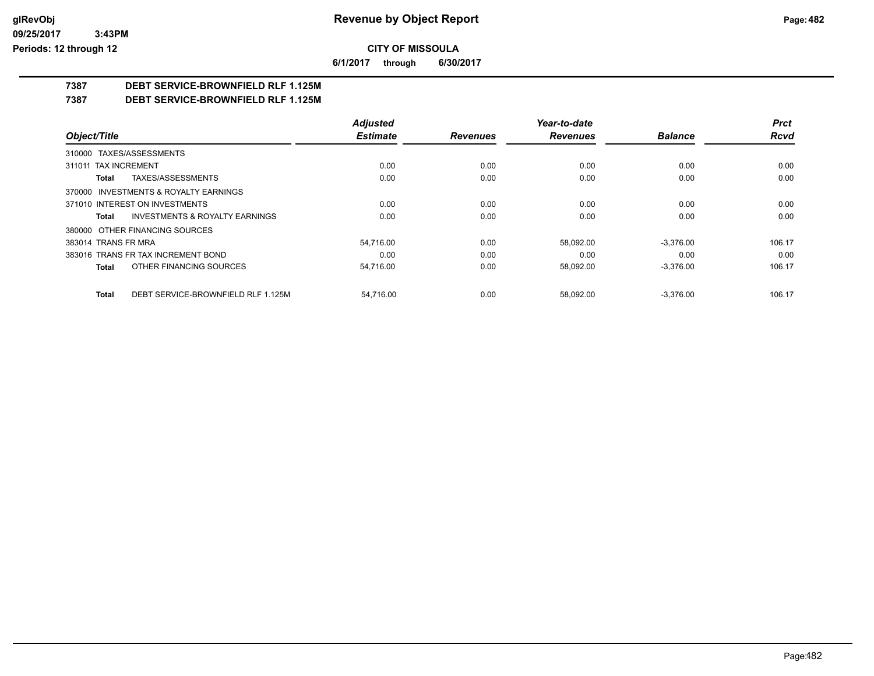**6/1/2017 through 6/30/2017**

# **7387 DEBT SERVICE-BROWNFIELD RLF 1.125M**

**7387 DEBT SERVICE-BROWNFIELD RLF 1.125M**

|                                                    | <b>Adjusted</b> |                 | Year-to-date    |                | <b>Prct</b> |
|----------------------------------------------------|-----------------|-----------------|-----------------|----------------|-------------|
| Object/Title                                       | <b>Estimate</b> | <b>Revenues</b> | <b>Revenues</b> | <b>Balance</b> | <b>Rcvd</b> |
| 310000 TAXES/ASSESSMENTS                           |                 |                 |                 |                |             |
| 311011 TAX INCREMENT                               | 0.00            | 0.00            | 0.00            | 0.00           | 0.00        |
| TAXES/ASSESSMENTS<br>Total                         | 0.00            | 0.00            | 0.00            | 0.00           | 0.00        |
| 370000 INVESTMENTS & ROYALTY EARNINGS              |                 |                 |                 |                |             |
| 371010 INTEREST ON INVESTMENTS                     | 0.00            | 0.00            | 0.00            | 0.00           | 0.00        |
| <b>INVESTMENTS &amp; ROYALTY EARNINGS</b><br>Total | 0.00            | 0.00            | 0.00            | 0.00           | 0.00        |
| 380000 OTHER FINANCING SOURCES                     |                 |                 |                 |                |             |
| 383014 TRANS FR MRA                                | 54,716.00       | 0.00            | 58,092.00       | $-3,376.00$    | 106.17      |
| 383016 TRANS FR TAX INCREMENT BOND                 | 0.00            | 0.00            | 0.00            | 0.00           | 0.00        |
| OTHER FINANCING SOURCES<br>Total                   | 54,716.00       | 0.00            | 58,092.00       | $-3,376.00$    | 106.17      |
| DEBT SERVICE-BROWNFIELD RLF 1.125M<br>Total        | 54.716.00       | 0.00            | 58.092.00       | $-3.376.00$    | 106.17      |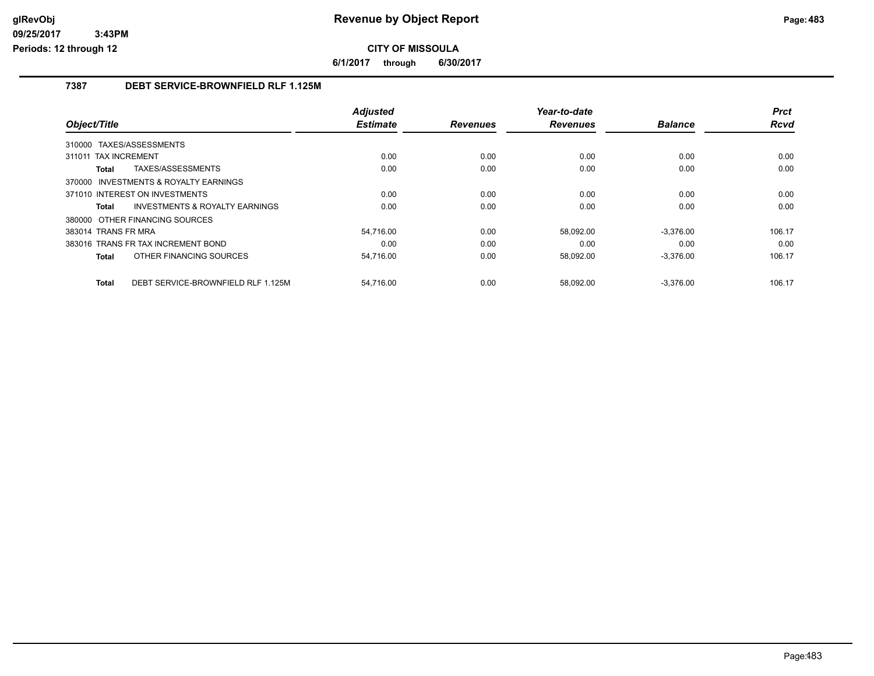**6/1/2017 through 6/30/2017**

#### **7387 DEBT SERVICE-BROWNFIELD RLF 1.125M**

| Object/Title                                       | <b>Adjusted</b><br><b>Estimate</b> | <b>Revenues</b> | Year-to-date<br><b>Revenues</b> | <b>Balance</b> | <b>Prct</b><br><b>Rcvd</b> |
|----------------------------------------------------|------------------------------------|-----------------|---------------------------------|----------------|----------------------------|
|                                                    |                                    |                 |                                 |                |                            |
| 310000 TAXES/ASSESSMENTS                           |                                    |                 |                                 |                |                            |
| 311011 TAX INCREMENT                               | 0.00                               | 0.00            | 0.00                            | 0.00           | 0.00                       |
| TAXES/ASSESSMENTS<br><b>Total</b>                  | 0.00                               | 0.00            | 0.00                            | 0.00           | 0.00                       |
| 370000 INVESTMENTS & ROYALTY EARNINGS              |                                    |                 |                                 |                |                            |
| 371010 INTEREST ON INVESTMENTS                     | 0.00                               | 0.00            | 0.00                            | 0.00           | 0.00                       |
| INVESTMENTS & ROYALTY EARNINGS<br>Total            | 0.00                               | 0.00            | 0.00                            | 0.00           | 0.00                       |
| 380000 OTHER FINANCING SOURCES                     |                                    |                 |                                 |                |                            |
| 383014 TRANS FR MRA                                | 54.716.00                          | 0.00            | 58.092.00                       | $-3.376.00$    | 106.17                     |
| 383016 TRANS FR TAX INCREMENT BOND                 | 0.00                               | 0.00            | 0.00                            | 0.00           | 0.00                       |
| OTHER FINANCING SOURCES<br><b>Total</b>            | 54.716.00                          | 0.00            | 58.092.00                       | $-3.376.00$    | 106.17                     |
| DEBT SERVICE-BROWNFIELD RLF 1.125M<br><b>Total</b> | 54.716.00                          | 0.00            | 58.092.00                       | $-3.376.00$    | 106.17                     |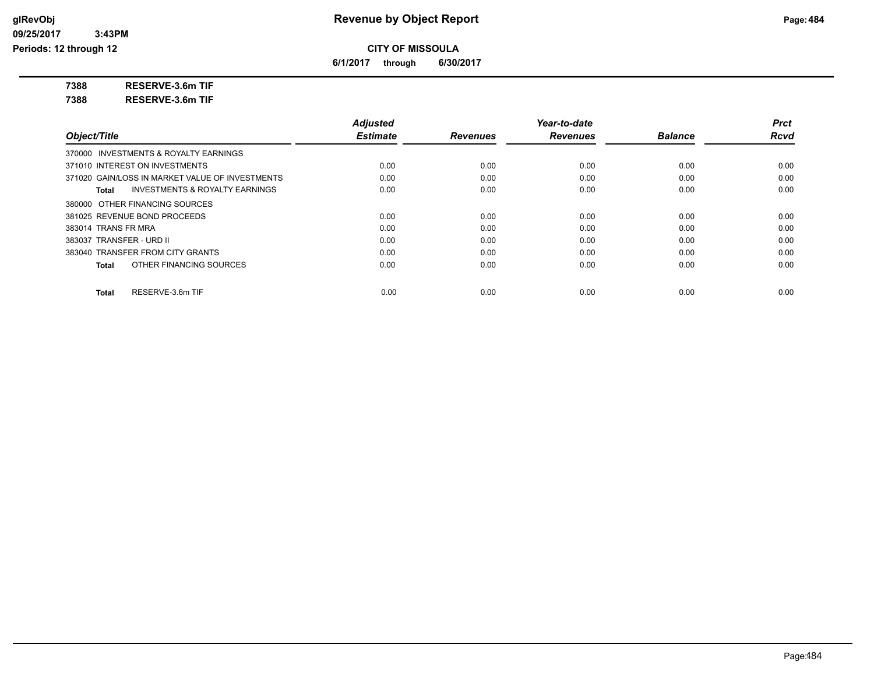**6/1/2017 through 6/30/2017**

**7388 RESERVE-3.6m TIF**

**7388 RESERVE-3.6m TIF**

|                                                    | <b>Adiusted</b> |                 | Year-to-date    |                | <b>Prct</b> |
|----------------------------------------------------|-----------------|-----------------|-----------------|----------------|-------------|
| Object/Title                                       | <b>Estimate</b> | <b>Revenues</b> | <b>Revenues</b> | <b>Balance</b> | <b>Rcvd</b> |
| 370000 INVESTMENTS & ROYALTY EARNINGS              |                 |                 |                 |                |             |
| 371010 INTEREST ON INVESTMENTS                     | 0.00            | 0.00            | 0.00            | 0.00           | 0.00        |
| 371020 GAIN/LOSS IN MARKET VALUE OF INVESTMENTS    | 0.00            | 0.00            | 0.00            | 0.00           | 0.00        |
| <b>INVESTMENTS &amp; ROYALTY EARNINGS</b><br>Total | 0.00            | 0.00            | 0.00            | 0.00           | 0.00        |
| 380000 OTHER FINANCING SOURCES                     |                 |                 |                 |                |             |
| 381025 REVENUE BOND PROCEEDS                       | 0.00            | 0.00            | 0.00            | 0.00           | 0.00        |
| 383014 TRANS FR MRA                                | 0.00            | 0.00            | 0.00            | 0.00           | 0.00        |
| 383037 TRANSFER - URD II                           | 0.00            | 0.00            | 0.00            | 0.00           | 0.00        |
| 383040 TRANSFER FROM CITY GRANTS                   | 0.00            | 0.00            | 0.00            | 0.00           | 0.00        |
| OTHER FINANCING SOURCES<br>Total                   | 0.00            | 0.00            | 0.00            | 0.00           | 0.00        |
| RESERVE-3.6m TIF<br><b>Total</b>                   | 0.00            | 0.00            | 0.00            | 0.00           | 0.00        |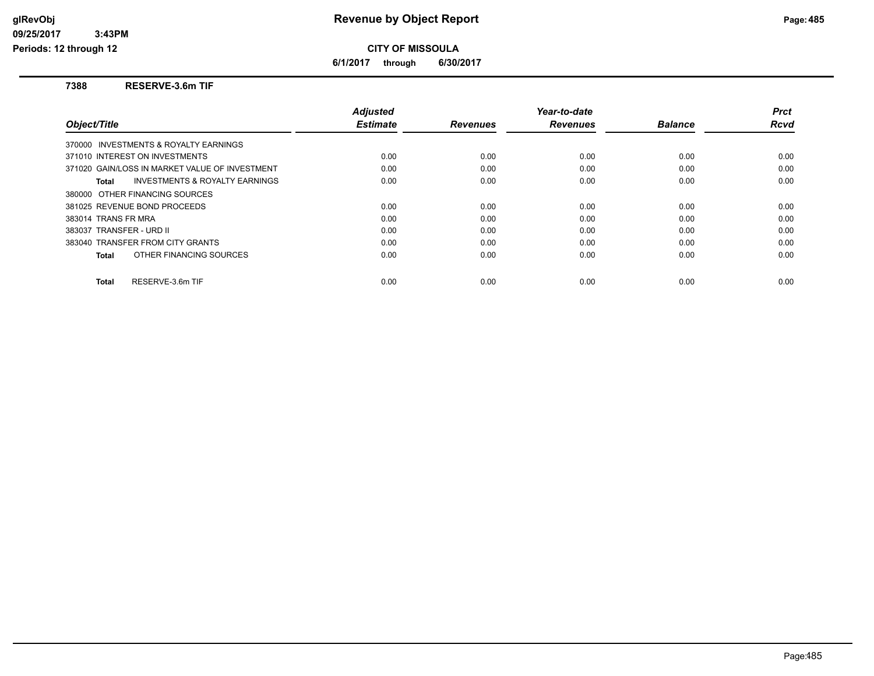**6/1/2017 through 6/30/2017**

#### **7388 RESERVE-3.6m TIF**

|                                                | <b>Adjusted</b> |                 | Year-to-date    |                | <b>Prct</b> |
|------------------------------------------------|-----------------|-----------------|-----------------|----------------|-------------|
| Object/Title                                   | <b>Estimate</b> | <b>Revenues</b> | <b>Revenues</b> | <b>Balance</b> | <b>Rcvd</b> |
| 370000 INVESTMENTS & ROYALTY EARNINGS          |                 |                 |                 |                |             |
| 371010 INTEREST ON INVESTMENTS                 | 0.00            | 0.00            | 0.00            | 0.00           | 0.00        |
| 371020 GAIN/LOSS IN MARKET VALUE OF INVESTMENT | 0.00            | 0.00            | 0.00            | 0.00           | 0.00        |
| INVESTMENTS & ROYALTY EARNINGS<br>Total        | 0.00            | 0.00            | 0.00            | 0.00           | 0.00        |
| 380000 OTHER FINANCING SOURCES                 |                 |                 |                 |                |             |
| 381025 REVENUE BOND PROCEEDS                   | 0.00            | 0.00            | 0.00            | 0.00           | 0.00        |
| 383014 TRANS FR MRA                            | 0.00            | 0.00            | 0.00            | 0.00           | 0.00        |
| 383037 TRANSFER - URD II                       | 0.00            | 0.00            | 0.00            | 0.00           | 0.00        |
| 383040 TRANSFER FROM CITY GRANTS               | 0.00            | 0.00            | 0.00            | 0.00           | 0.00        |
| OTHER FINANCING SOURCES<br>Total               | 0.00            | 0.00            | 0.00            | 0.00           | 0.00        |
|                                                |                 |                 |                 |                |             |
| RESERVE-3.6m TIF<br>Total                      | 0.00            | 0.00            | 0.00            | 0.00           | 0.00        |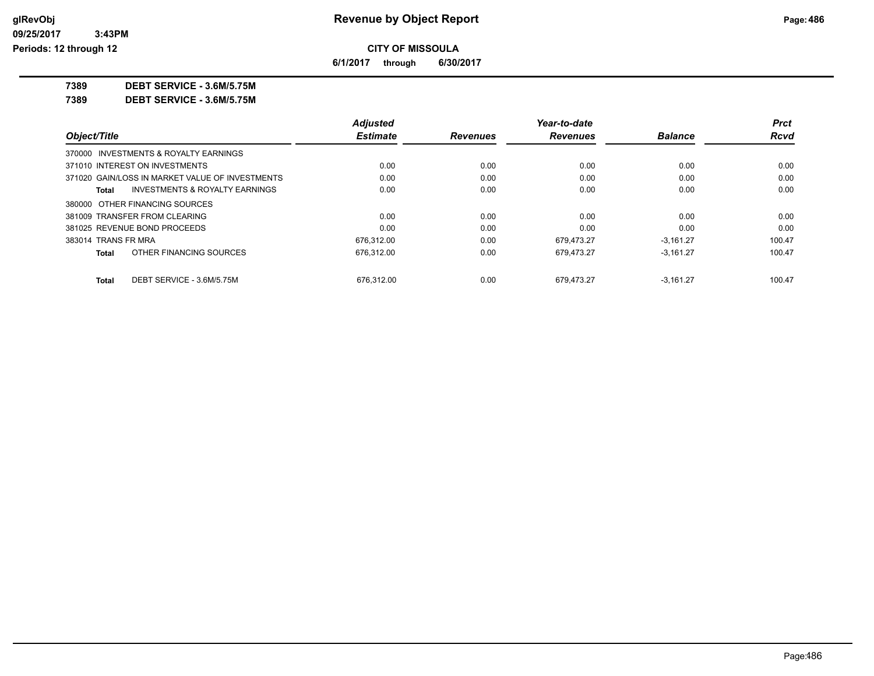**6/1/2017 through 6/30/2017**

**7389 DEBT SERVICE - 3.6M/5.75M**

**7389 DEBT SERVICE - 3.6M/5.75M**

|                     |                                                 | Adjusted        |                 | Year-to-date    |                | <b>Prct</b> |
|---------------------|-------------------------------------------------|-----------------|-----------------|-----------------|----------------|-------------|
| Object/Title        |                                                 | <b>Estimate</b> | <b>Revenues</b> | <b>Revenues</b> | <b>Balance</b> | Rcvd        |
|                     | 370000 INVESTMENTS & ROYALTY EARNINGS           |                 |                 |                 |                |             |
|                     | 371010 INTEREST ON INVESTMENTS                  | 0.00            | 0.00            | 0.00            | 0.00           | 0.00        |
|                     | 371020 GAIN/LOSS IN MARKET VALUE OF INVESTMENTS | 0.00            | 0.00            | 0.00            | 0.00           | 0.00        |
| Total               | <b>INVESTMENTS &amp; ROYALTY EARNINGS</b>       | 0.00            | 0.00            | 0.00            | 0.00           | 0.00        |
|                     | 380000 OTHER FINANCING SOURCES                  |                 |                 |                 |                |             |
|                     | 381009 TRANSFER FROM CLEARING                   | 0.00            | 0.00            | 0.00            | 0.00           | 0.00        |
|                     | 381025 REVENUE BOND PROCEEDS                    | 0.00            | 0.00            | 0.00            | 0.00           | 0.00        |
| 383014 TRANS FR MRA |                                                 | 676.312.00      | 0.00            | 679.473.27      | $-3.161.27$    | 100.47      |
| Total               | OTHER FINANCING SOURCES                         | 676.312.00      | 0.00            | 679.473.27      | $-3.161.27$    | 100.47      |
| <b>Total</b>        | DEBT SERVICE - 3.6M/5.75M                       | 676.312.00      | 0.00            | 679.473.27      | $-3.161.27$    | 100.47      |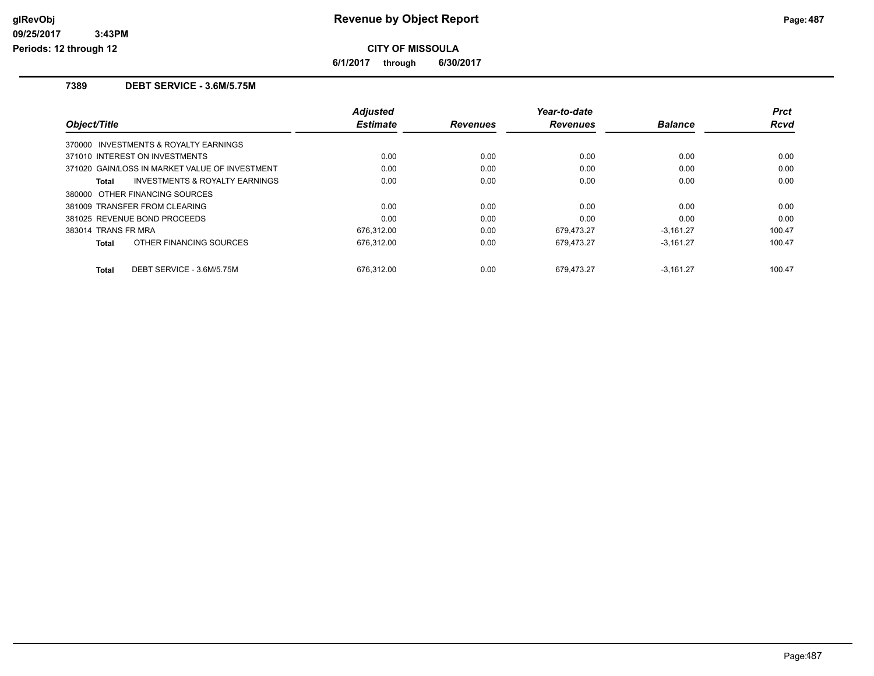**6/1/2017 through 6/30/2017**

#### **7389 DEBT SERVICE - 3.6M/5.75M**

| Object/Title                                       | <b>Adjusted</b><br><b>Estimate</b> | <b>Revenues</b> | Year-to-date<br><b>Revenues</b> | <b>Balance</b> | <b>Prct</b><br><b>Rcvd</b> |
|----------------------------------------------------|------------------------------------|-----------------|---------------------------------|----------------|----------------------------|
| 370000 INVESTMENTS & ROYALTY EARNINGS              |                                    |                 |                                 |                |                            |
| 371010 INTEREST ON INVESTMENTS                     | 0.00                               | 0.00            | 0.00                            | 0.00           | 0.00                       |
| 371020 GAIN/LOSS IN MARKET VALUE OF INVESTMENT     | 0.00                               | 0.00            | 0.00                            | 0.00           | 0.00                       |
| <b>INVESTMENTS &amp; ROYALTY EARNINGS</b><br>Total | 0.00                               | 0.00            | 0.00                            | 0.00           | 0.00                       |
| 380000 OTHER FINANCING SOURCES                     |                                    |                 |                                 |                |                            |
| 381009 TRANSFER FROM CLEARING                      | 0.00                               | 0.00            | 0.00                            | 0.00           | 0.00                       |
| 381025 REVENUE BOND PROCEEDS                       | 0.00                               | 0.00            | 0.00                            | 0.00           | 0.00                       |
| 383014 TRANS FR MRA                                | 676.312.00                         | 0.00            | 679.473.27                      | $-3.161.27$    | 100.47                     |
| OTHER FINANCING SOURCES<br><b>Total</b>            | 676.312.00                         | 0.00            | 679.473.27                      | $-3.161.27$    | 100.47                     |
| DEBT SERVICE - 3.6M/5.75M<br><b>Total</b>          | 676.312.00                         | 0.00            | 679.473.27                      | $-3.161.27$    | 100.47                     |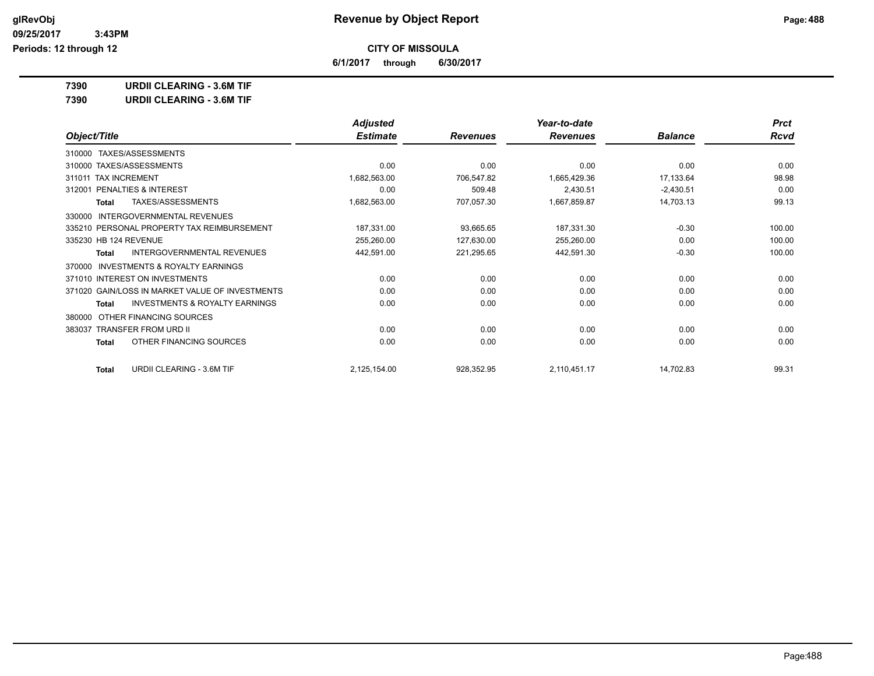**6/1/2017 through 6/30/2017**

**7390 URDII CLEARING - 3.6M TIF**

**7390 URDII CLEARING - 3.6M TIF**

|                                                           | <b>Adjusted</b> |                 | Year-to-date    |                | <b>Prct</b> |
|-----------------------------------------------------------|-----------------|-----------------|-----------------|----------------|-------------|
| Object/Title                                              | <b>Estimate</b> | <b>Revenues</b> | <b>Revenues</b> | <b>Balance</b> | Rcvd        |
| TAXES/ASSESSMENTS<br>310000                               |                 |                 |                 |                |             |
| 310000 TAXES/ASSESSMENTS                                  | 0.00            | 0.00            | 0.00            | 0.00           | 0.00        |
| 311011 TAX INCREMENT                                      | 1,682,563.00    | 706,547.82      | 1,665,429.36    | 17,133.64      | 98.98       |
| PENALTIES & INTEREST<br>312001                            | 0.00            | 509.48          | 2,430.51        | $-2,430.51$    | 0.00        |
| TAXES/ASSESSMENTS<br><b>Total</b>                         | 1,682,563.00    | 707,057.30      | 1,667,859.87    | 14,703.13      | 99.13       |
| INTERGOVERNMENTAL REVENUES<br>330000                      |                 |                 |                 |                |             |
| 335210 PERSONAL PROPERTY TAX REIMBURSEMENT                | 187,331.00      | 93,665.65       | 187,331.30      | $-0.30$        | 100.00      |
| 335230 HB 124 REVENUE                                     | 255,260.00      | 127,630.00      | 255,260.00      | 0.00           | 100.00      |
| INTERGOVERNMENTAL REVENUES<br>Total                       | 442,591.00      | 221,295.65      | 442,591.30      | $-0.30$        | 100.00      |
| INVESTMENTS & ROYALTY EARNINGS<br>370000                  |                 |                 |                 |                |             |
| 371010 INTEREST ON INVESTMENTS                            | 0.00            | 0.00            | 0.00            | 0.00           | 0.00        |
| 371020 GAIN/LOSS IN MARKET VALUE OF INVESTMENTS           | 0.00            | 0.00            | 0.00            | 0.00           | 0.00        |
| <b>INVESTMENTS &amp; ROYALTY EARNINGS</b><br><b>Total</b> | 0.00            | 0.00            | 0.00            | 0.00           | 0.00        |
| OTHER FINANCING SOURCES<br>380000                         |                 |                 |                 |                |             |
| 383037 TRANSFER FROM URD II                               | 0.00            | 0.00            | 0.00            | 0.00           | 0.00        |
| OTHER FINANCING SOURCES<br><b>Total</b>                   | 0.00            | 0.00            | 0.00            | 0.00           | 0.00        |
| URDII CLEARING - 3.6M TIF<br><b>Total</b>                 | 2,125,154.00    | 928,352.95      | 2,110,451.17    | 14,702.83      | 99.31       |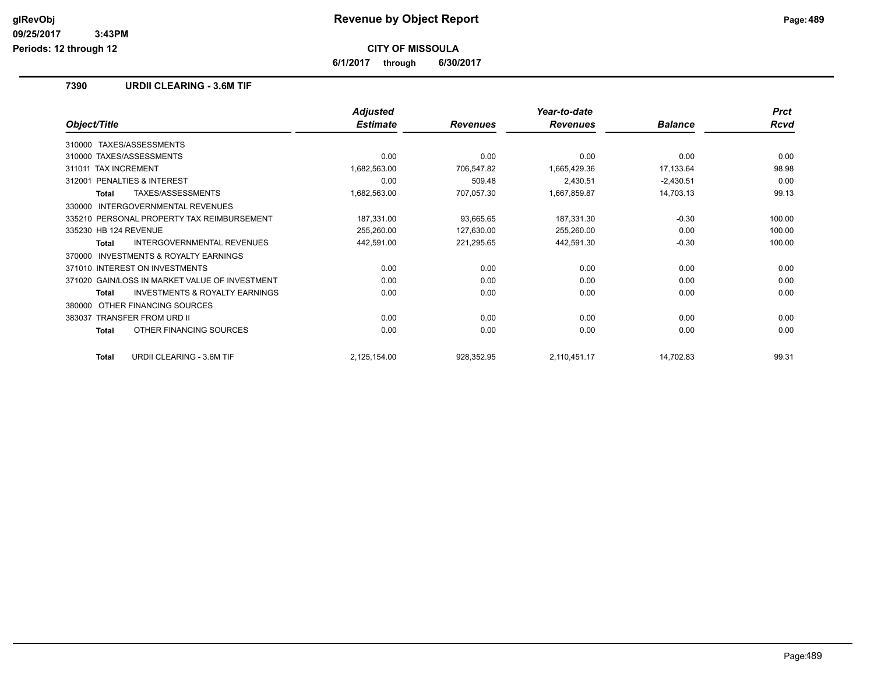**6/1/2017 through 6/30/2017**

#### **7390 URDII CLEARING - 3.6M TIF**

|                                                     | <b>Adjusted</b> |                 | Year-to-date    |                | <b>Prct</b> |
|-----------------------------------------------------|-----------------|-----------------|-----------------|----------------|-------------|
| Object/Title                                        | <b>Estimate</b> | <b>Revenues</b> | <b>Revenues</b> | <b>Balance</b> | Rcvd        |
| <b>TAXES/ASSESSMENTS</b><br>310000                  |                 |                 |                 |                |             |
| 310000 TAXES/ASSESSMENTS                            | 0.00            | 0.00            | 0.00            | 0.00           | 0.00        |
| 311011 TAX INCREMENT                                | 1,682,563.00    | 706,547.82      | 1,665,429.36    | 17,133.64      | 98.98       |
| 312001 PENALTIES & INTEREST                         | 0.00            | 509.48          | 2,430.51        | $-2,430.51$    | 0.00        |
| TAXES/ASSESSMENTS<br><b>Total</b>                   | 1,682,563.00    | 707,057.30      | 1,667,859.87    | 14,703.13      | 99.13       |
| INTERGOVERNMENTAL REVENUES<br>330000                |                 |                 |                 |                |             |
| 335210 PERSONAL PROPERTY TAX REIMBURSEMENT          | 187,331.00      | 93,665.65       | 187,331.30      | $-0.30$        | 100.00      |
| 335230 HB 124 REVENUE                               | 255,260.00      | 127,630.00      | 255,260.00      | 0.00           | 100.00      |
| <b>INTERGOVERNMENTAL REVENUES</b><br>Total          | 442,591.00      | 221,295.65      | 442,591.30      | $-0.30$        | 100.00      |
| <b>INVESTMENTS &amp; ROYALTY EARNINGS</b><br>370000 |                 |                 |                 |                |             |
| 371010 INTEREST ON INVESTMENTS                      | 0.00            | 0.00            | 0.00            | 0.00           | 0.00        |
| 371020 GAIN/LOSS IN MARKET VALUE OF INVESTMENT      | 0.00            | 0.00            | 0.00            | 0.00           | 0.00        |
| <b>INVESTMENTS &amp; ROYALTY EARNINGS</b><br>Total  | 0.00            | 0.00            | 0.00            | 0.00           | 0.00        |
| OTHER FINANCING SOURCES<br>380000                   |                 |                 |                 |                |             |
| 383037 TRANSFER FROM URD II                         | 0.00            | 0.00            | 0.00            | 0.00           | 0.00        |
| OTHER FINANCING SOURCES<br><b>Total</b>             | 0.00            | 0.00            | 0.00            | 0.00           | 0.00        |
| URDII CLEARING - 3.6M TIF<br><b>Total</b>           | 2,125,154.00    | 928,352.95      | 2,110,451.17    | 14,702.83      | 99.31       |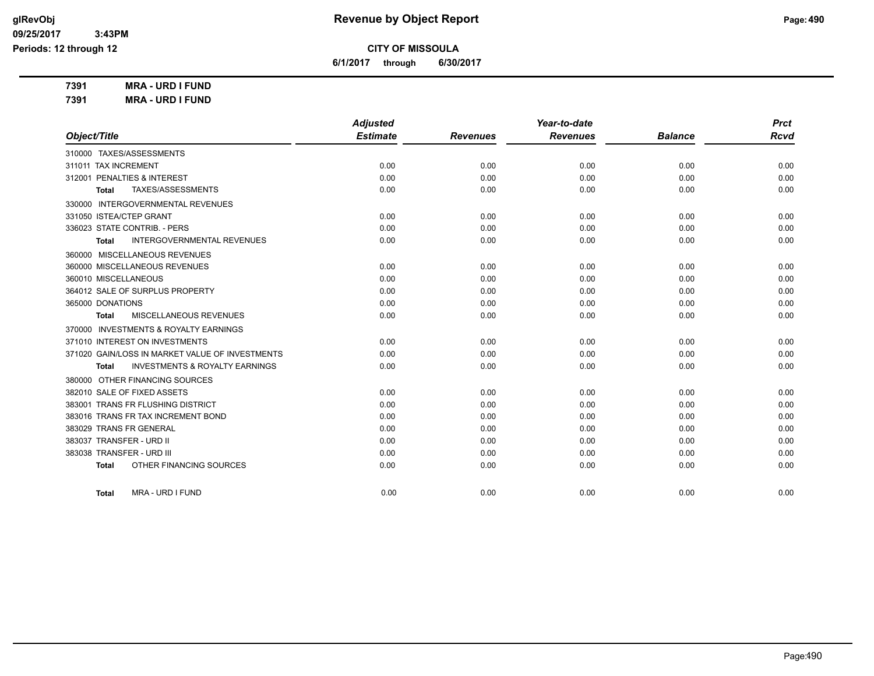**6/1/2017 through 6/30/2017**

**7391 MRA - URD I FUND**

**7391 MRA - URD I FUND**

| <b>Adjusted</b> |                 | Year-to-date    |                | <b>Prct</b> |
|-----------------|-----------------|-----------------|----------------|-------------|
| <b>Estimate</b> | <b>Revenues</b> | <b>Revenues</b> | <b>Balance</b> | <b>Rcvd</b> |
|                 |                 |                 |                |             |
| 0.00            | 0.00            | 0.00            | 0.00           | 0.00        |
| 0.00            | 0.00            | 0.00            | 0.00           | 0.00        |
| 0.00            | 0.00            | 0.00            | 0.00           | 0.00        |
|                 |                 |                 |                |             |
| 0.00            | 0.00            | 0.00            | 0.00           | 0.00        |
| 0.00            | 0.00            | 0.00            | 0.00           | 0.00        |
| 0.00            | 0.00            | 0.00            | 0.00           | 0.00        |
|                 |                 |                 |                |             |
| 0.00            | 0.00            | 0.00            | 0.00           | 0.00        |
| 0.00            | 0.00            | 0.00            | 0.00           | 0.00        |
| 0.00            | 0.00            | 0.00            | 0.00           | 0.00        |
| 0.00            | 0.00            | 0.00            | 0.00           | 0.00        |
| 0.00            | 0.00            | 0.00            | 0.00           | 0.00        |
|                 |                 |                 |                |             |
| 0.00            | 0.00            | 0.00            | 0.00           | 0.00        |
| 0.00            | 0.00            | 0.00            | 0.00           | 0.00        |
| 0.00            | 0.00            | 0.00            | 0.00           | 0.00        |
|                 |                 |                 |                |             |
| 0.00            | 0.00            | 0.00            | 0.00           | 0.00        |
| 0.00            | 0.00            | 0.00            | 0.00           | 0.00        |
| 0.00            | 0.00            | 0.00            | 0.00           | 0.00        |
| 0.00            | 0.00            | 0.00            | 0.00           | 0.00        |
| 0.00            | 0.00            | 0.00            | 0.00           | 0.00        |
| 0.00            | 0.00            | 0.00            | 0.00           | 0.00        |
| 0.00            | 0.00            | 0.00            | 0.00           | 0.00        |
| 0.00            | 0.00            | 0.00            | 0.00           | 0.00        |
|                 |                 |                 |                |             |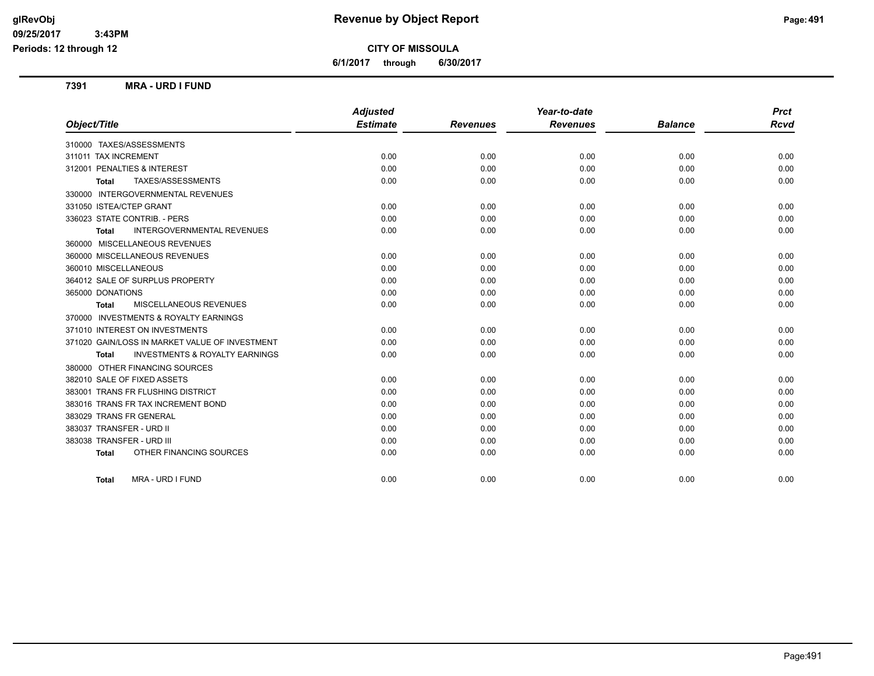**Periods: 12 through 12**

**CITY OF MISSOULA**

**6/1/2017 through 6/30/2017**

# **7391 MRA - URD I FUND**

 **3:43PM**

|                                                           | <b>Adjusted</b> |                 | Year-to-date    |                | <b>Prct</b> |
|-----------------------------------------------------------|-----------------|-----------------|-----------------|----------------|-------------|
| Object/Title                                              | <b>Estimate</b> | <b>Revenues</b> | <b>Revenues</b> | <b>Balance</b> | <b>Rcvd</b> |
| 310000 TAXES/ASSESSMENTS                                  |                 |                 |                 |                |             |
| 311011 TAX INCREMENT                                      | 0.00            | 0.00            | 0.00            | 0.00           | 0.00        |
| 312001 PENALTIES & INTEREST                               | 0.00            | 0.00            | 0.00            | 0.00           | 0.00        |
| TAXES/ASSESSMENTS<br><b>Total</b>                         | 0.00            | 0.00            | 0.00            | 0.00           | 0.00        |
| 330000 INTERGOVERNMENTAL REVENUES                         |                 |                 |                 |                |             |
| 331050 ISTEA/CTEP GRANT                                   | 0.00            | 0.00            | 0.00            | 0.00           | 0.00        |
| 336023 STATE CONTRIB. - PERS                              | 0.00            | 0.00            | 0.00            | 0.00           | 0.00        |
| <b>INTERGOVERNMENTAL REVENUES</b><br><b>Total</b>         | 0.00            | 0.00            | 0.00            | 0.00           | 0.00        |
| 360000 MISCELLANEOUS REVENUES                             |                 |                 |                 |                |             |
| 360000 MISCELLANEOUS REVENUES                             | 0.00            | 0.00            | 0.00            | 0.00           | 0.00        |
| 360010 MISCELLANEOUS                                      | 0.00            | 0.00            | 0.00            | 0.00           | 0.00        |
| 364012 SALE OF SURPLUS PROPERTY                           | 0.00            | 0.00            | 0.00            | 0.00           | 0.00        |
| 365000 DONATIONS                                          | 0.00            | 0.00            | 0.00            | 0.00           | 0.00        |
| MISCELLANEOUS REVENUES<br><b>Total</b>                    | 0.00            | 0.00            | 0.00            | 0.00           | 0.00        |
| 370000 INVESTMENTS & ROYALTY EARNINGS                     |                 |                 |                 |                |             |
| 371010 INTEREST ON INVESTMENTS                            | 0.00            | 0.00            | 0.00            | 0.00           | 0.00        |
| 371020 GAIN/LOSS IN MARKET VALUE OF INVESTMENT            | 0.00            | 0.00            | 0.00            | 0.00           | 0.00        |
| <b>INVESTMENTS &amp; ROYALTY EARNINGS</b><br><b>Total</b> | 0.00            | 0.00            | 0.00            | 0.00           | 0.00        |
| 380000 OTHER FINANCING SOURCES                            |                 |                 |                 |                |             |
| 382010 SALE OF FIXED ASSETS                               | 0.00            | 0.00            | 0.00            | 0.00           | 0.00        |
| 383001 TRANS FR FLUSHING DISTRICT                         | 0.00            | 0.00            | 0.00            | 0.00           | 0.00        |
| 383016 TRANS FR TAX INCREMENT BOND                        | 0.00            | 0.00            | 0.00            | 0.00           | 0.00        |
| 383029 TRANS FR GENERAL                                   | 0.00            | 0.00            | 0.00            | 0.00           | 0.00        |
| 383037 TRANSFER - URD II                                  | 0.00            | 0.00            | 0.00            | 0.00           | 0.00        |
| 383038 TRANSFER - URD III                                 | 0.00            | 0.00            | 0.00            | 0.00           | 0.00        |
| OTHER FINANCING SOURCES<br><b>Total</b>                   | 0.00            | 0.00            | 0.00            | 0.00           | 0.00        |
| MRA - URD I FUND<br>Total                                 | 0.00            | 0.00            | 0.00            | 0.00           | 0.00        |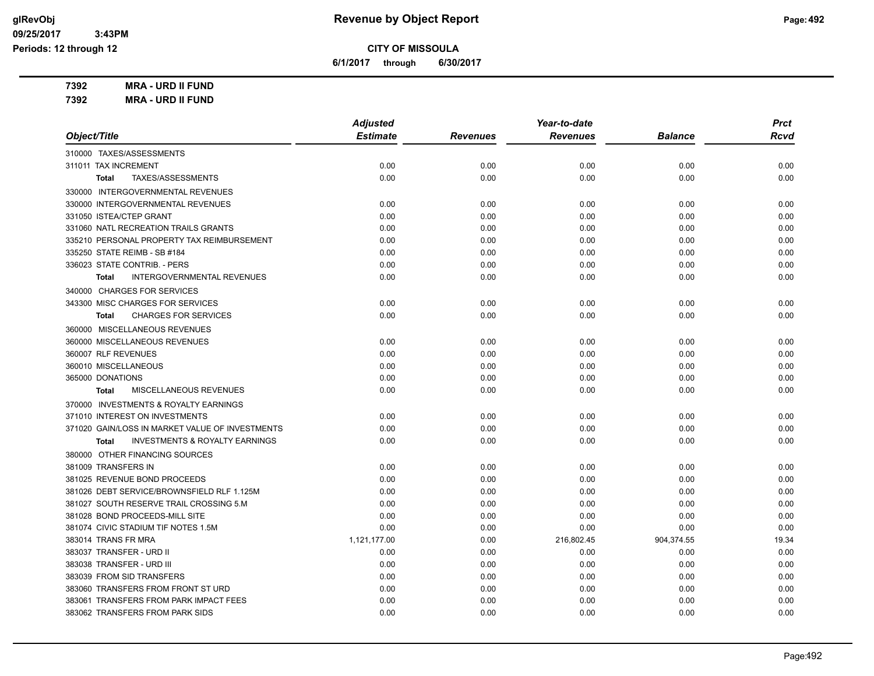**6/1/2017 through 6/30/2017**

**7392 MRA - URD II FUND**

**7392 MRA - URD II FUND**

|                                                           | <b>Adjusted</b> |                 | Year-to-date    |                | <b>Prct</b> |
|-----------------------------------------------------------|-----------------|-----------------|-----------------|----------------|-------------|
| Object/Title                                              | <b>Estimate</b> | <b>Revenues</b> | <b>Revenues</b> | <b>Balance</b> | <b>Rcvd</b> |
| 310000 TAXES/ASSESSMENTS                                  |                 |                 |                 |                |             |
| 311011 TAX INCREMENT                                      | 0.00            | 0.00            | 0.00            | 0.00           | 0.00        |
| TAXES/ASSESSMENTS<br><b>Total</b>                         | 0.00            | 0.00            | 0.00            | 0.00           | 0.00        |
| 330000 INTERGOVERNMENTAL REVENUES                         |                 |                 |                 |                |             |
| 330000 INTERGOVERNMENTAL REVENUES                         | 0.00            | 0.00            | 0.00            | 0.00           | 0.00        |
| 331050 ISTEA/CTEP GRANT                                   | 0.00            | 0.00            | 0.00            | 0.00           | 0.00        |
| 331060 NATL RECREATION TRAILS GRANTS                      | 0.00            | 0.00            | 0.00            | 0.00           | 0.00        |
| 335210 PERSONAL PROPERTY TAX REIMBURSEMENT                | 0.00            | 0.00            | 0.00            | 0.00           | 0.00        |
| 335250 STATE REIMB - SB #184                              | 0.00            | 0.00            | 0.00            | 0.00           | 0.00        |
| 336023 STATE CONTRIB. - PERS                              | 0.00            | 0.00            | 0.00            | 0.00           | 0.00        |
| <b>INTERGOVERNMENTAL REVENUES</b><br><b>Total</b>         | 0.00            | 0.00            | 0.00            | 0.00           | 0.00        |
| 340000 CHARGES FOR SERVICES                               |                 |                 |                 |                |             |
| 343300 MISC CHARGES FOR SERVICES                          | 0.00            | 0.00            | 0.00            | 0.00           | 0.00        |
| <b>CHARGES FOR SERVICES</b><br>Total                      | 0.00            | 0.00            | 0.00            | 0.00           | 0.00        |
| 360000 MISCELLANEOUS REVENUES                             |                 |                 |                 |                |             |
| 360000 MISCELLANEOUS REVENUES                             | 0.00            | 0.00            | 0.00            | 0.00           | 0.00        |
| 360007 RLF REVENUES                                       | 0.00            | 0.00            | 0.00            | 0.00           | 0.00        |
| 360010 MISCELLANEOUS                                      | 0.00            | 0.00            | 0.00            | 0.00           | 0.00        |
| 365000 DONATIONS                                          | 0.00            | 0.00            | 0.00            | 0.00           | 0.00        |
| MISCELLANEOUS REVENUES<br><b>Total</b>                    | 0.00            | 0.00            | 0.00            | 0.00           | 0.00        |
| 370000 INVESTMENTS & ROYALTY EARNINGS                     |                 |                 |                 |                |             |
| 371010 INTEREST ON INVESTMENTS                            | 0.00            | 0.00            | 0.00            | 0.00           | 0.00        |
| 371020 GAIN/LOSS IN MARKET VALUE OF INVESTMENTS           | 0.00            | 0.00            | 0.00            | 0.00           | 0.00        |
| <b>INVESTMENTS &amp; ROYALTY EARNINGS</b><br><b>Total</b> | 0.00            | 0.00            | 0.00            | 0.00           | 0.00        |
| 380000 OTHER FINANCING SOURCES                            |                 |                 |                 |                |             |
| 381009 TRANSFERS IN                                       | 0.00            | 0.00            | 0.00            | 0.00           | 0.00        |
| 381025 REVENUE BOND PROCEEDS                              | 0.00            | 0.00            | 0.00            | 0.00           | 0.00        |
| 381026 DEBT SERVICE/BROWNSFIELD RLF 1.125M                | 0.00            | 0.00            | 0.00            | 0.00           | 0.00        |
| 381027 SOUTH RESERVE TRAIL CROSSING 5.M                   | 0.00            | 0.00            | 0.00            | 0.00           | 0.00        |
| 381028 BOND PROCEEDS-MILL SITE                            | 0.00            | 0.00            | 0.00            | 0.00           | 0.00        |
| 381074 CIVIC STADIUM TIF NOTES 1.5M                       | 0.00            | 0.00            | 0.00            | 0.00           | 0.00        |
| 383014 TRANS FR MRA                                       | 1,121,177.00    | 0.00            | 216,802.45      | 904,374.55     | 19.34       |
| 383037 TRANSFER - URD II                                  | 0.00            | 0.00            | 0.00            | 0.00           | 0.00        |
| 383038 TRANSFER - URD III                                 | 0.00            | 0.00            | 0.00            | 0.00           | 0.00        |
| 383039 FROM SID TRANSFERS                                 | 0.00            | 0.00            | 0.00            | 0.00           | 0.00        |
| 383060 TRANSFERS FROM FRONT ST URD                        | 0.00            | 0.00            | 0.00            | 0.00           | 0.00        |
| 383061 TRANSFERS FROM PARK IMPACT FEES                    | 0.00            | 0.00            | 0.00            | 0.00           | 0.00        |
| 383062 TRANSFERS FROM PARK SIDS                           | 0.00            | 0.00            | 0.00            | 0.00           | 0.00        |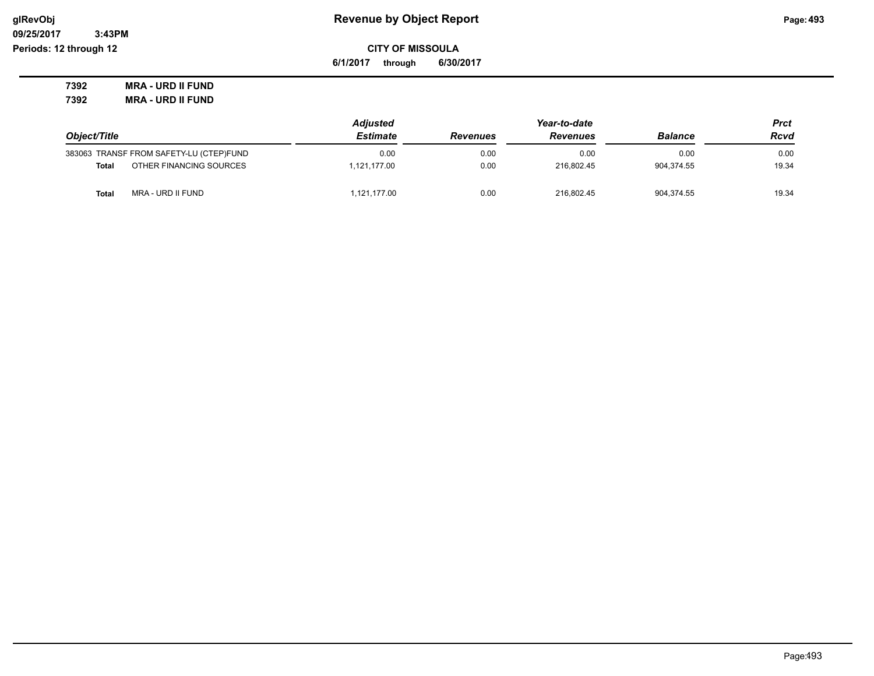**09/25/2017 3:43PM Periods: 12 through 12**

# **CITY OF MISSOULA**

**6/1/2017 through 6/30/2017**

**7392 MRA - URD II FUND 7392 MRA - URD II FUND**

|                                         | <b>Adjusted</b> |                                    | <b>Prct</b> |                |             |
|-----------------------------------------|-----------------|------------------------------------|-------------|----------------|-------------|
| Obiect/Title                            | <b>Estimate</b> | <b>Revenues</b><br><b>Revenues</b> |             | <b>Balance</b> | <b>Rcvd</b> |
| 383063 TRANSF FROM SAFETY-LU (CTEP)FUND | 0.00            | 0.00                               | 0.00        | 0.00           | 0.00        |
| OTHER FINANCING SOURCES<br><b>Total</b> | 1.121.177.00    | 0.00                               | 216.802.45  | 904.374.55     | 19.34       |
| MRA - URD II FUND<br>Total              | 1,121,177.00    | 0.00                               | 216.802.45  | 904.374.55     | 19.34       |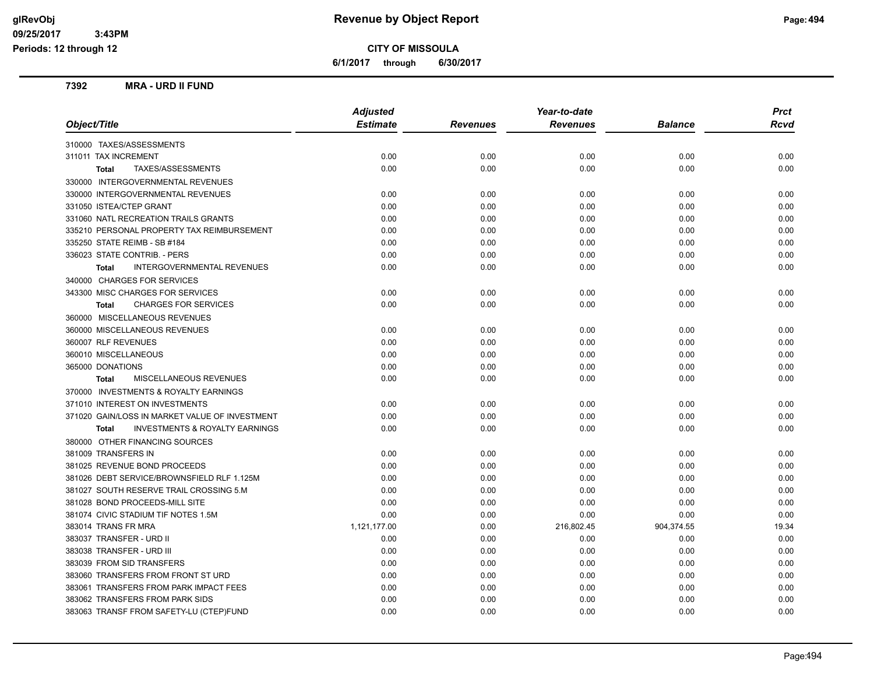**Periods: 12 through 12**

**CITY OF MISSOULA**

**6/1/2017 through 6/30/2017**

# **7392 MRA - URD II FUND**

|                                                           | <b>Adjusted</b> | Year-to-date    |                 |                | <b>Prct</b> |
|-----------------------------------------------------------|-----------------|-----------------|-----------------|----------------|-------------|
| Object/Title                                              | <b>Estimate</b> | <b>Revenues</b> | <b>Revenues</b> | <b>Balance</b> | Rcvd        |
| 310000 TAXES/ASSESSMENTS                                  |                 |                 |                 |                |             |
| 311011 TAX INCREMENT                                      | 0.00            | 0.00            | 0.00            | 0.00           | 0.00        |
| TAXES/ASSESSMENTS<br><b>Total</b>                         | 0.00            | 0.00            | 0.00            | 0.00           | 0.00        |
| 330000 INTERGOVERNMENTAL REVENUES                         |                 |                 |                 |                |             |
| 330000 INTERGOVERNMENTAL REVENUES                         | 0.00            | 0.00            | 0.00            | 0.00           | 0.00        |
| 331050 ISTEA/CTEP GRANT                                   | 0.00            | 0.00            | 0.00            | 0.00           | 0.00        |
| 331060 NATL RECREATION TRAILS GRANTS                      | 0.00            | 0.00            | 0.00            | 0.00           | 0.00        |
| 335210 PERSONAL PROPERTY TAX REIMBURSEMENT                | 0.00            | 0.00            | 0.00            | 0.00           | 0.00        |
| 335250 STATE REIMB - SB #184                              | 0.00            | 0.00            | 0.00            | 0.00           | 0.00        |
| 336023 STATE CONTRIB. - PERS                              | 0.00            | 0.00            | 0.00            | 0.00           | 0.00        |
| <b>INTERGOVERNMENTAL REVENUES</b><br><b>Total</b>         | 0.00            | 0.00            | 0.00            | 0.00           | 0.00        |
| 340000 CHARGES FOR SERVICES                               |                 |                 |                 |                |             |
| 343300 MISC CHARGES FOR SERVICES                          | 0.00            | 0.00            | 0.00            | 0.00           | 0.00        |
| <b>CHARGES FOR SERVICES</b><br><b>Total</b>               | 0.00            | 0.00            | 0.00            | 0.00           | 0.00        |
| 360000 MISCELLANEOUS REVENUES                             |                 |                 |                 |                |             |
| 360000 MISCELLANEOUS REVENUES                             | 0.00            | 0.00            | 0.00            | 0.00           | 0.00        |
| 360007 RLF REVENUES                                       | 0.00            | 0.00            | 0.00            | 0.00           | 0.00        |
| 360010 MISCELLANEOUS                                      | 0.00            | 0.00            | 0.00            | 0.00           | 0.00        |
| 365000 DONATIONS                                          | 0.00            | 0.00            | 0.00            | 0.00           | 0.00        |
| MISCELLANEOUS REVENUES<br><b>Total</b>                    | 0.00            | 0.00            | 0.00            | 0.00           | 0.00        |
| 370000 INVESTMENTS & ROYALTY EARNINGS                     |                 |                 |                 |                |             |
| 371010 INTEREST ON INVESTMENTS                            | 0.00            | 0.00            | 0.00            | 0.00           | 0.00        |
| 371020 GAIN/LOSS IN MARKET VALUE OF INVESTMENT            | 0.00            | 0.00            | 0.00            | 0.00           | 0.00        |
| <b>INVESTMENTS &amp; ROYALTY EARNINGS</b><br><b>Total</b> | 0.00            | 0.00            | 0.00            | 0.00           | 0.00        |
| 380000 OTHER FINANCING SOURCES                            |                 |                 |                 |                |             |
| 381009 TRANSFERS IN                                       | 0.00            | 0.00            | 0.00            | 0.00           | 0.00        |
| 381025 REVENUE BOND PROCEEDS                              | 0.00            | 0.00            | 0.00            | 0.00           | 0.00        |
| 381026 DEBT SERVICE/BROWNSFIELD RLF 1.125M                | 0.00            | 0.00            | 0.00            | 0.00           | 0.00        |
| 381027 SOUTH RESERVE TRAIL CROSSING 5.M                   | 0.00            | 0.00            | 0.00            | 0.00           | 0.00        |
| 381028 BOND PROCEEDS-MILL SITE                            | 0.00            | 0.00            | 0.00            | 0.00           | 0.00        |
| 381074 CIVIC STADIUM TIF NOTES 1.5M                       | 0.00            | 0.00            | 0.00            | 0.00           | 0.00        |
| 383014 TRANS FR MRA                                       | 1,121,177.00    | 0.00            | 216,802.45      | 904,374.55     | 19.34       |
| 383037 TRANSFER - URD II                                  | 0.00            | 0.00            | 0.00            | 0.00           | 0.00        |
| 383038 TRANSFER - URD III                                 | 0.00            | 0.00            | 0.00            | 0.00           | 0.00        |
| 383039 FROM SID TRANSFERS                                 | 0.00            | 0.00            | 0.00            | 0.00           | 0.00        |
| 383060 TRANSFERS FROM FRONT ST URD                        | 0.00            | 0.00            | 0.00            | 0.00           | 0.00        |
| 383061 TRANSFERS FROM PARK IMPACT FEES                    | 0.00            | 0.00            | 0.00            | 0.00           | 0.00        |
| 383062 TRANSFERS FROM PARK SIDS                           | 0.00            | 0.00            | 0.00            | 0.00           | 0.00        |
| 383063 TRANSF FROM SAFETY-LU (CTEP)FUND                   | 0.00            | 0.00            | 0.00            | 0.00           | 0.00        |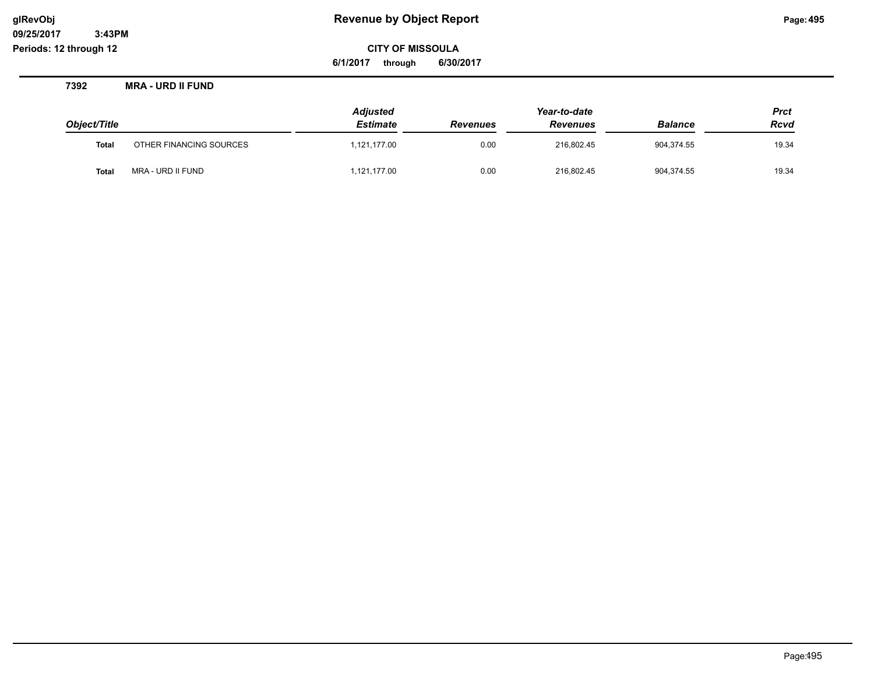**6/1/2017 through 6/30/2017**

**7392 MRA - URD II FUND**

|              |                         | <b>Adjusted</b> |                 |                | <b>Prct</b> |       |
|--------------|-------------------------|-----------------|-----------------|----------------|-------------|-------|
| Object/Title | <b>Estimate</b>         | <b>Revenues</b> | <b>Revenues</b> | <b>Balance</b> | <b>Rcvd</b> |       |
| <b>Total</b> | OTHER FINANCING SOURCES | 1,121,177.00    | 0.00            | 216,802.45     | 904.374.55  | 19.34 |
| Total        | MRA - URD II FUND       | 1,121,177.00    | 0.00            | 216,802.45     | 904,374.55  | 19.34 |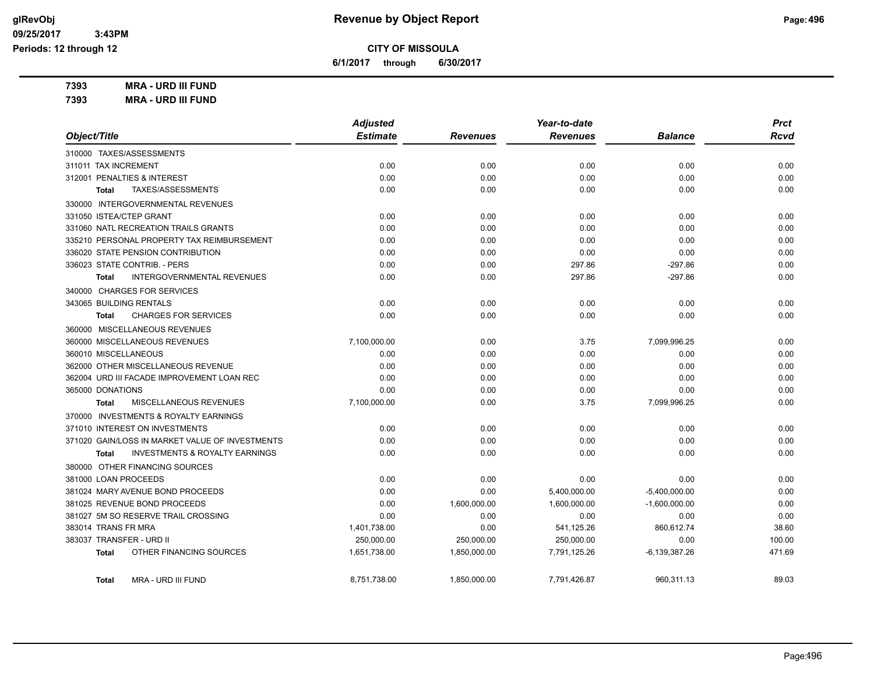**6/1/2017 through 6/30/2017**

**7393 MRA - URD III FUND**

**7393 MRA - URD III FUND**

|                                                           | <b>Adjusted</b> |                 | Year-to-date    |                   | <b>Prct</b> |
|-----------------------------------------------------------|-----------------|-----------------|-----------------|-------------------|-------------|
| Object/Title                                              | <b>Estimate</b> | <b>Revenues</b> | <b>Revenues</b> | <b>Balance</b>    | <b>Rcvd</b> |
| 310000 TAXES/ASSESSMENTS                                  |                 |                 |                 |                   |             |
| 311011 TAX INCREMENT                                      | 0.00            | 0.00            | 0.00            | 0.00              | 0.00        |
| 312001 PENALTIES & INTEREST                               | 0.00            | 0.00            | 0.00            | 0.00              | 0.00        |
| TAXES/ASSESSMENTS<br><b>Total</b>                         | 0.00            | 0.00            | 0.00            | 0.00              | 0.00        |
| 330000 INTERGOVERNMENTAL REVENUES                         |                 |                 |                 |                   |             |
| 331050 ISTEA/CTEP GRANT                                   | 0.00            | 0.00            | 0.00            | 0.00              | 0.00        |
| 331060 NATL RECREATION TRAILS GRANTS                      | 0.00            | 0.00            | 0.00            | 0.00              | 0.00        |
| 335210 PERSONAL PROPERTY TAX REIMBURSEMENT                | 0.00            | 0.00            | 0.00            | 0.00              | 0.00        |
| 336020 STATE PENSION CONTRIBUTION                         | 0.00            | 0.00            | 0.00            | 0.00              | 0.00        |
| 336023 STATE CONTRIB. - PERS                              | 0.00            | 0.00            | 297.86          | $-297.86$         | 0.00        |
| <b>INTERGOVERNMENTAL REVENUES</b><br><b>Total</b>         | 0.00            | 0.00            | 297.86          | $-297.86$         | 0.00        |
| 340000 CHARGES FOR SERVICES                               |                 |                 |                 |                   |             |
| 343065 BUILDING RENTALS                                   | 0.00            | 0.00            | 0.00            | 0.00              | 0.00        |
| <b>CHARGES FOR SERVICES</b><br><b>Total</b>               | 0.00            | 0.00            | 0.00            | 0.00              | 0.00        |
| 360000 MISCELLANEOUS REVENUES                             |                 |                 |                 |                   |             |
| 360000 MISCELLANEOUS REVENUES                             | 7,100,000.00    | 0.00            | 3.75            | 7,099,996.25      | 0.00        |
| 360010 MISCELLANEOUS                                      | 0.00            | 0.00            | 0.00            | 0.00              | 0.00        |
| 362000 OTHER MISCELLANEOUS REVENUE                        | 0.00            | 0.00            | 0.00            | 0.00              | 0.00        |
| 362004 URD III FACADE IMPROVEMENT LOAN REC                | 0.00            | 0.00            | 0.00            | 0.00              | 0.00        |
| 365000 DONATIONS                                          | 0.00            | 0.00            | 0.00            | 0.00              | 0.00        |
| MISCELLANEOUS REVENUES<br><b>Total</b>                    | 7,100,000.00    | 0.00            | 3.75            | 7,099,996.25      | 0.00        |
| 370000 INVESTMENTS & ROYALTY EARNINGS                     |                 |                 |                 |                   |             |
| 371010 INTEREST ON INVESTMENTS                            | 0.00            | 0.00            | 0.00            | 0.00              | 0.00        |
| 371020 GAIN/LOSS IN MARKET VALUE OF INVESTMENTS           | 0.00            | 0.00            | 0.00            | 0.00              | 0.00        |
| <b>INVESTMENTS &amp; ROYALTY EARNINGS</b><br><b>Total</b> | 0.00            | 0.00            | 0.00            | 0.00              | 0.00        |
| 380000 OTHER FINANCING SOURCES                            |                 |                 |                 |                   |             |
| 381000 LOAN PROCEEDS                                      | 0.00            | 0.00            | 0.00            | 0.00              | 0.00        |
| 381024 MARY AVENUE BOND PROCEEDS                          | 0.00            | 0.00            | 5,400,000.00    | $-5,400,000.00$   | 0.00        |
| 381025 REVENUE BOND PROCEEDS                              | 0.00            | 1,600,000.00    | 1,600,000.00    | $-1,600,000.00$   | 0.00        |
| 381027 5M SO RESERVE TRAIL CROSSING                       | 0.00            | 0.00            | 0.00            | 0.00              | 0.00        |
| 383014 TRANS FR MRA                                       | 1,401,738.00    | 0.00            | 541,125.26      | 860,612.74        | 38.60       |
| 383037 TRANSFER - URD II                                  | 250,000.00      | 250,000.00      | 250,000.00      | 0.00              | 100.00      |
| OTHER FINANCING SOURCES<br><b>Total</b>                   | 1,651,738.00    | 1,850,000.00    | 7,791,125.26    | $-6, 139, 387.26$ | 471.69      |
| <b>MRA - URD III FUND</b><br>Total                        | 8,751,738.00    | 1,850,000.00    | 7,791,426.87    | 960,311.13        | 89.03       |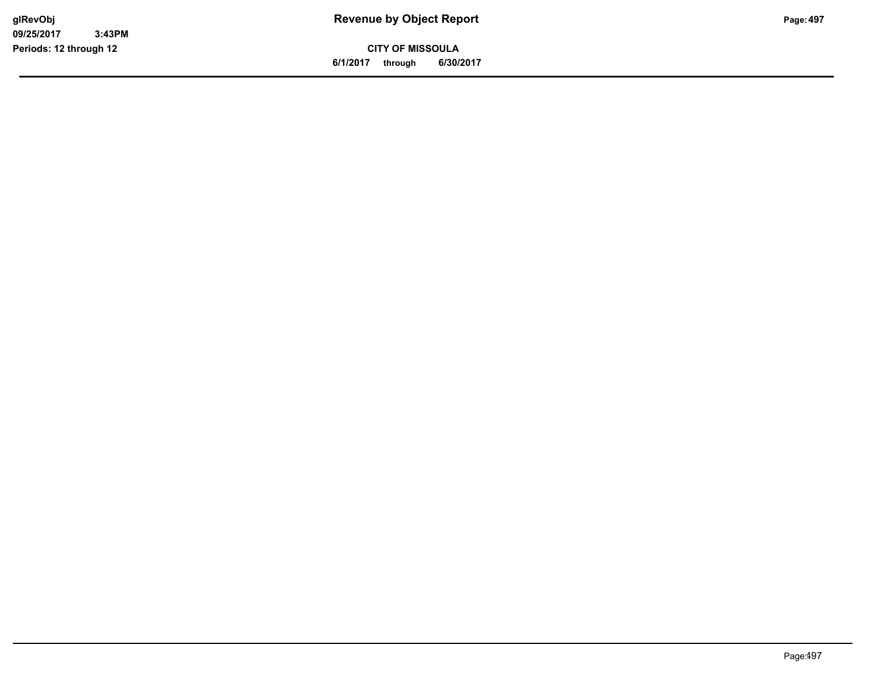**CITY OF MISSOULA 6/1/2017 through 6/30/2017**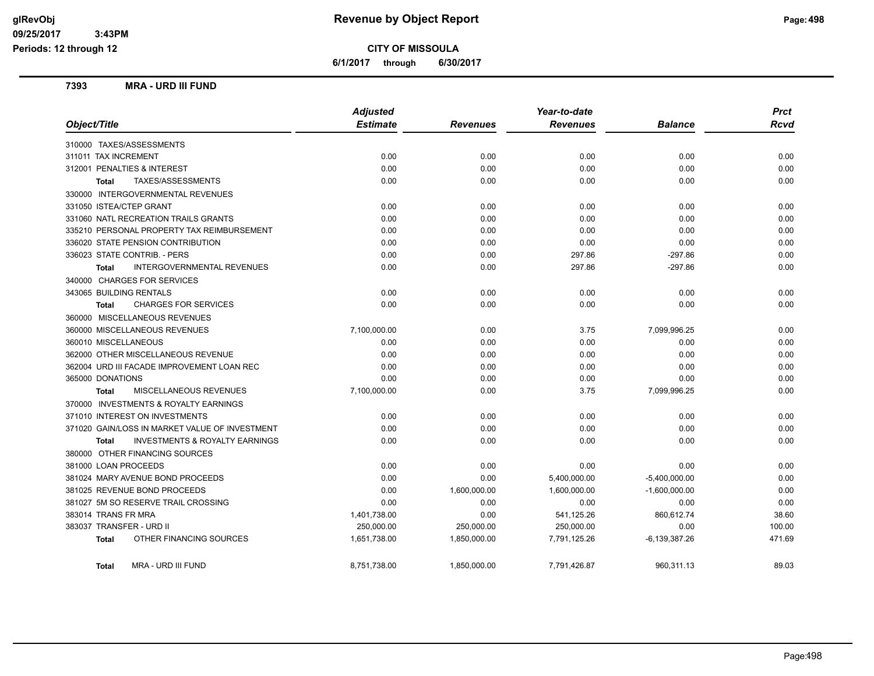**6/1/2017 through 6/30/2017**

#### **7393 MRA - URD III FUND**

|                                                           | <b>Adjusted</b> |                 | Year-to-date    |                   | <b>Prct</b> |
|-----------------------------------------------------------|-----------------|-----------------|-----------------|-------------------|-------------|
| Object/Title                                              | <b>Estimate</b> | <b>Revenues</b> | <b>Revenues</b> | <b>Balance</b>    | <b>Rcvd</b> |
| 310000 TAXES/ASSESSMENTS                                  |                 |                 |                 |                   |             |
| 311011 TAX INCREMENT                                      | 0.00            | 0.00            | 0.00            | 0.00              | 0.00        |
| 312001 PENALTIES & INTEREST                               | 0.00            | 0.00            | 0.00            | 0.00              | 0.00        |
| TAXES/ASSESSMENTS<br><b>Total</b>                         | 0.00            | 0.00            | 0.00            | 0.00              | 0.00        |
| 330000 INTERGOVERNMENTAL REVENUES                         |                 |                 |                 |                   |             |
| 331050 ISTEA/CTEP GRANT                                   | 0.00            | 0.00            | 0.00            | 0.00              | 0.00        |
| 331060 NATL RECREATION TRAILS GRANTS                      | 0.00            | 0.00            | 0.00            | 0.00              | 0.00        |
| 335210 PERSONAL PROPERTY TAX REIMBURSEMENT                | 0.00            | 0.00            | 0.00            | 0.00              | 0.00        |
| 336020 STATE PENSION CONTRIBUTION                         | 0.00            | 0.00            | 0.00            | 0.00              | 0.00        |
| 336023 STATE CONTRIB. - PERS                              | 0.00            | 0.00            | 297.86          | $-297.86$         | 0.00        |
| <b>INTERGOVERNMENTAL REVENUES</b><br>Total                | 0.00            | 0.00            | 297.86          | $-297.86$         | 0.00        |
| 340000 CHARGES FOR SERVICES                               |                 |                 |                 |                   |             |
| 343065 BUILDING RENTALS                                   | 0.00            | 0.00            | 0.00            | 0.00              | 0.00        |
| <b>CHARGES FOR SERVICES</b><br>Total                      | 0.00            | 0.00            | 0.00            | 0.00              | 0.00        |
| 360000 MISCELLANEOUS REVENUES                             |                 |                 |                 |                   |             |
| 360000 MISCELLANEOUS REVENUES                             | 7,100,000.00    | 0.00            | 3.75            | 7,099,996.25      | 0.00        |
| 360010 MISCELLANEOUS                                      | 0.00            | 0.00            | 0.00            | 0.00              | 0.00        |
| 362000 OTHER MISCELLANEOUS REVENUE                        | 0.00            | 0.00            | 0.00            | 0.00              | 0.00        |
| 362004 URD III FACADE IMPROVEMENT LOAN REC                | 0.00            | 0.00            | 0.00            | 0.00              | 0.00        |
| 365000 DONATIONS                                          | 0.00            | 0.00            | 0.00            | 0.00              | 0.00        |
| MISCELLANEOUS REVENUES<br>Total                           | 7,100,000.00    | 0.00            | 3.75            | 7,099,996.25      | 0.00        |
| 370000 INVESTMENTS & ROYALTY EARNINGS                     |                 |                 |                 |                   |             |
| 371010 INTEREST ON INVESTMENTS                            | 0.00            | 0.00            | 0.00            | 0.00              | 0.00        |
| 371020 GAIN/LOSS IN MARKET VALUE OF INVESTMENT            | 0.00            | 0.00            | 0.00            | 0.00              | 0.00        |
| <b>INVESTMENTS &amp; ROYALTY EARNINGS</b><br><b>Total</b> | 0.00            | 0.00            | 0.00            | 0.00              | 0.00        |
| 380000 OTHER FINANCING SOURCES                            |                 |                 |                 |                   |             |
| 381000 LOAN PROCEEDS                                      | 0.00            | 0.00            | 0.00            | 0.00              | 0.00        |
| 381024 MARY AVENUE BOND PROCEEDS                          | 0.00            | 0.00            | 5,400,000.00    | $-5,400,000.00$   | 0.00        |
| 381025 REVENUE BOND PROCEEDS                              | 0.00            | 1,600,000.00    | 1,600,000.00    | $-1,600,000.00$   | 0.00        |
| 381027 5M SO RESERVE TRAIL CROSSING                       | 0.00            | 0.00            | 0.00            | 0.00              | 0.00        |
| 383014 TRANS FR MRA                                       | 1,401,738.00    | 0.00            | 541,125.26      | 860,612.74        | 38.60       |
| 383037 TRANSFER - URD II                                  | 250,000.00      | 250,000.00      | 250,000.00      | 0.00              | 100.00      |
| OTHER FINANCING SOURCES<br><b>Total</b>                   | 1,651,738.00    | 1,850,000.00    | 7,791,125.26    | $-6, 139, 387.26$ | 471.69      |
| <b>MRA - URD III FUND</b><br><b>Total</b>                 | 8,751,738.00    | 1,850,000.00    | 7,791,426.87    | 960,311.13        | 89.03       |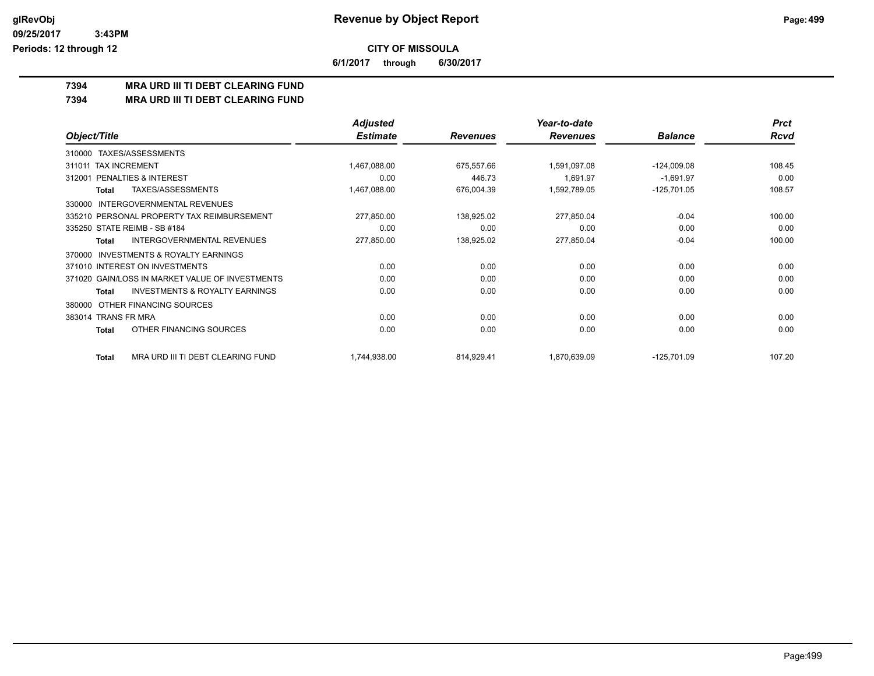**6/1/2017 through 6/30/2017**

# **7394 MRA URD III TI DEBT CLEARING FUND**

**7394 MRA URD III TI DEBT CLEARING FUND**

|                                                           | <b>Adjusted</b> |                 | Year-to-date    |                | <b>Prct</b> |
|-----------------------------------------------------------|-----------------|-----------------|-----------------|----------------|-------------|
| Object/Title                                              | <b>Estimate</b> | <b>Revenues</b> | <b>Revenues</b> | <b>Balance</b> | Rcvd        |
| TAXES/ASSESSMENTS<br>310000                               |                 |                 |                 |                |             |
| <b>TAX INCREMENT</b><br>311011                            | 1,467,088.00    | 675,557.66      | 1,591,097.08    | $-124,009.08$  | 108.45      |
| PENALTIES & INTEREST<br>312001                            | 0.00            | 446.73          | 1,691.97        | $-1,691.97$    | 0.00        |
| TAXES/ASSESSMENTS<br>Total                                | 1,467,088.00    | 676,004.39      | 1,592,789.05    | $-125,701.05$  | 108.57      |
| INTERGOVERNMENTAL REVENUES<br>330000                      |                 |                 |                 |                |             |
| 335210 PERSONAL PROPERTY TAX REIMBURSEMENT                | 277,850.00      | 138,925.02      | 277,850.04      | $-0.04$        | 100.00      |
| 335250 STATE REIMB - SB #184                              | 0.00            | 0.00            | 0.00            | 0.00           | 0.00        |
| INTERGOVERNMENTAL REVENUES<br>Total                       | 277,850.00      | 138,925.02      | 277,850.04      | $-0.04$        | 100.00      |
| <b>INVESTMENTS &amp; ROYALTY EARNINGS</b><br>370000       |                 |                 |                 |                |             |
| 371010 INTEREST ON INVESTMENTS                            | 0.00            | 0.00            | 0.00            | 0.00           | 0.00        |
| 371020 GAIN/LOSS IN MARKET VALUE OF INVESTMENTS           | 0.00            | 0.00            | 0.00            | 0.00           | 0.00        |
| <b>INVESTMENTS &amp; ROYALTY EARNINGS</b><br><b>Total</b> | 0.00            | 0.00            | 0.00            | 0.00           | 0.00        |
| OTHER FINANCING SOURCES<br>380000                         |                 |                 |                 |                |             |
| 383014 TRANS FR MRA                                       | 0.00            | 0.00            | 0.00            | 0.00           | 0.00        |
| OTHER FINANCING SOURCES<br><b>Total</b>                   | 0.00            | 0.00            | 0.00            | 0.00           | 0.00        |
| MRA URD III TI DEBT CLEARING FUND<br><b>Total</b>         | 1,744,938.00    | 814,929.41      | 1,870,639.09    | $-125,701.09$  | 107.20      |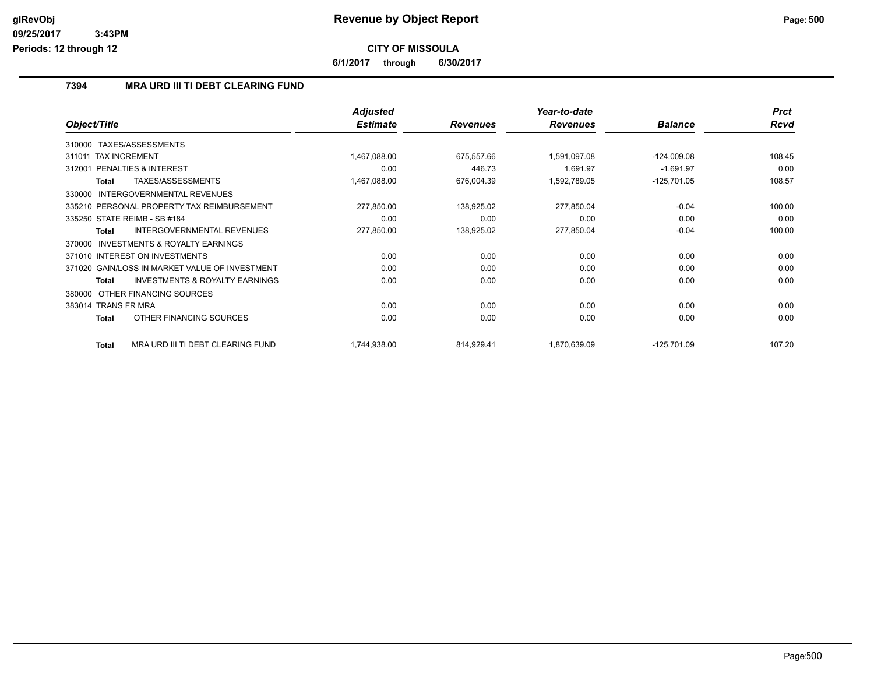**6/1/2017 through 6/30/2017**

#### **7394 MRA URD III TI DEBT CLEARING FUND**

|                                                    | <b>Adjusted</b> |                 | Year-to-date    |                | <b>Prct</b> |
|----------------------------------------------------|-----------------|-----------------|-----------------|----------------|-------------|
| Object/Title                                       | <b>Estimate</b> | <b>Revenues</b> | <b>Revenues</b> | <b>Balance</b> | Rcvd        |
| 310000 TAXES/ASSESSMENTS                           |                 |                 |                 |                |             |
| 311011 TAX INCREMENT                               | 1,467,088.00    | 675,557.66      | 1,591,097.08    | $-124,009.08$  | 108.45      |
| 312001 PENALTIES & INTEREST                        | 0.00            | 446.73          | 1,691.97        | $-1,691.97$    | 0.00        |
| TAXES/ASSESSMENTS<br>Total                         | 1,467,088.00    | 676,004.39      | 1,592,789.05    | $-125,701.05$  | 108.57      |
| INTERGOVERNMENTAL REVENUES<br>330000               |                 |                 |                 |                |             |
| 335210 PERSONAL PROPERTY TAX REIMBURSEMENT         | 277,850.00      | 138,925.02      | 277,850.04      | $-0.04$        | 100.00      |
| 335250 STATE REIMB - SB #184                       | 0.00            | 0.00            | 0.00            | 0.00           | 0.00        |
| <b>INTERGOVERNMENTAL REVENUES</b><br><b>Total</b>  | 277,850.00      | 138,925.02      | 277,850.04      | $-0.04$        | 100.00      |
| INVESTMENTS & ROYALTY EARNINGS<br>370000           |                 |                 |                 |                |             |
| 371010 INTEREST ON INVESTMENTS                     | 0.00            | 0.00            | 0.00            | 0.00           | 0.00        |
| 371020 GAIN/LOSS IN MARKET VALUE OF INVESTMENT     | 0.00            | 0.00            | 0.00            | 0.00           | 0.00        |
| <b>INVESTMENTS &amp; ROYALTY EARNINGS</b><br>Total | 0.00            | 0.00            | 0.00            | 0.00           | 0.00        |
| OTHER FINANCING SOURCES<br>380000                  |                 |                 |                 |                |             |
| 383014 TRANS FR MRA                                | 0.00            | 0.00            | 0.00            | 0.00           | 0.00        |
| OTHER FINANCING SOURCES<br><b>Total</b>            | 0.00            | 0.00            | 0.00            | 0.00           | 0.00        |
| MRA URD III TI DEBT CLEARING FUND<br>Total         | 1,744,938.00    | 814,929.41      | 1,870,639.09    | $-125,701.09$  | 107.20      |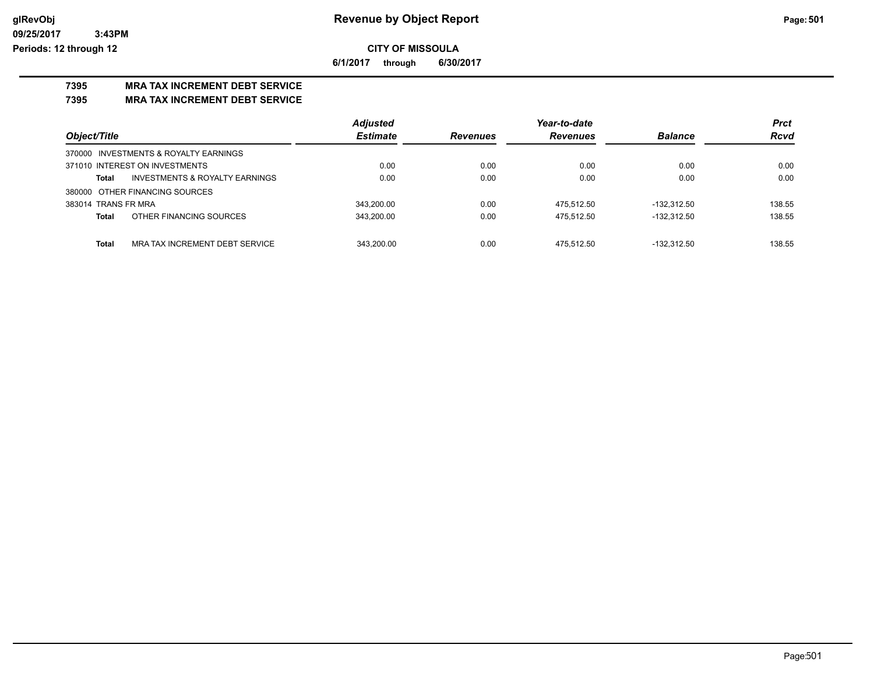**6/1/2017 through 6/30/2017**

# **7395 MRA TAX INCREMENT DEBT SERVICE**

# **7395 MRA TAX INCREMENT DEBT SERVICE**

|                                                | <b>Adjusted</b> | Year-to-date    |                 |                | <b>Prct</b> |
|------------------------------------------------|-----------------|-----------------|-----------------|----------------|-------------|
| Object/Title                                   | <b>Estimate</b> | <b>Revenues</b> | <b>Revenues</b> | <b>Balance</b> | <b>Rcvd</b> |
| 370000 INVESTMENTS & ROYALTY EARNINGS          |                 |                 |                 |                |             |
| 371010 INTEREST ON INVESTMENTS                 | 0.00            | 0.00            | 0.00            | 0.00           | 0.00        |
| INVESTMENTS & ROYALTY EARNINGS<br>Total        | 0.00            | 0.00            | 0.00            | 0.00           | 0.00        |
| 380000 OTHER FINANCING SOURCES                 |                 |                 |                 |                |             |
| 383014 TRANS FR MRA                            | 343.200.00      | 0.00            | 475.512.50      | -132.312.50    | 138.55      |
| OTHER FINANCING SOURCES<br>Total               | 343,200.00      | 0.00            | 475.512.50      | $-132.312.50$  | 138.55      |
| MRA TAX INCREMENT DEBT SERVICE<br><b>Total</b> | 343.200.00      | 0.00            | 475.512.50      | $-132.312.50$  | 138.55      |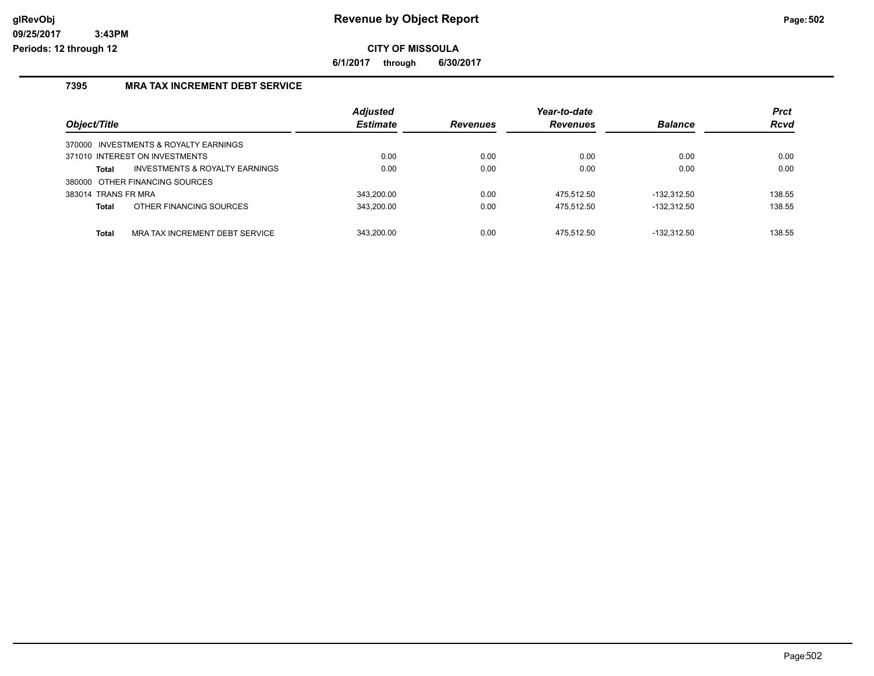**6/1/2017 through 6/30/2017**

#### **7395 MRA TAX INCREMENT DEBT SERVICE**

| Object/Title                                       | <b>Adjusted</b><br><b>Estimate</b> | <b>Revenues</b> | Year-to-date<br><b>Revenues</b> | <b>Balance</b> | <b>Prct</b><br><b>Rcvd</b> |
|----------------------------------------------------|------------------------------------|-----------------|---------------------------------|----------------|----------------------------|
|                                                    |                                    |                 |                                 |                |                            |
| 370000 INVESTMENTS & ROYALTY EARNINGS              |                                    |                 |                                 |                |                            |
| 371010 INTEREST ON INVESTMENTS                     | 0.00                               | 0.00            | 0.00                            | 0.00           | 0.00                       |
| <b>INVESTMENTS &amp; ROYALTY EARNINGS</b><br>Total | 0.00                               | 0.00            | 0.00                            | 0.00           | 0.00                       |
| 380000 OTHER FINANCING SOURCES                     |                                    |                 |                                 |                |                            |
| 383014 TRANS FR MRA                                | 343.200.00                         | 0.00            | 475.512.50                      | $-132.312.50$  | 138.55                     |
| OTHER FINANCING SOURCES<br><b>Total</b>            | 343,200.00                         | 0.00            | 475.512.50                      | $-132.312.50$  | 138.55                     |
|                                                    |                                    |                 |                                 |                |                            |
| MRA TAX INCREMENT DEBT SERVICE<br><b>Total</b>     | 343.200.00                         | 0.00            | 475.512.50                      | $-132.312.50$  | 138.55                     |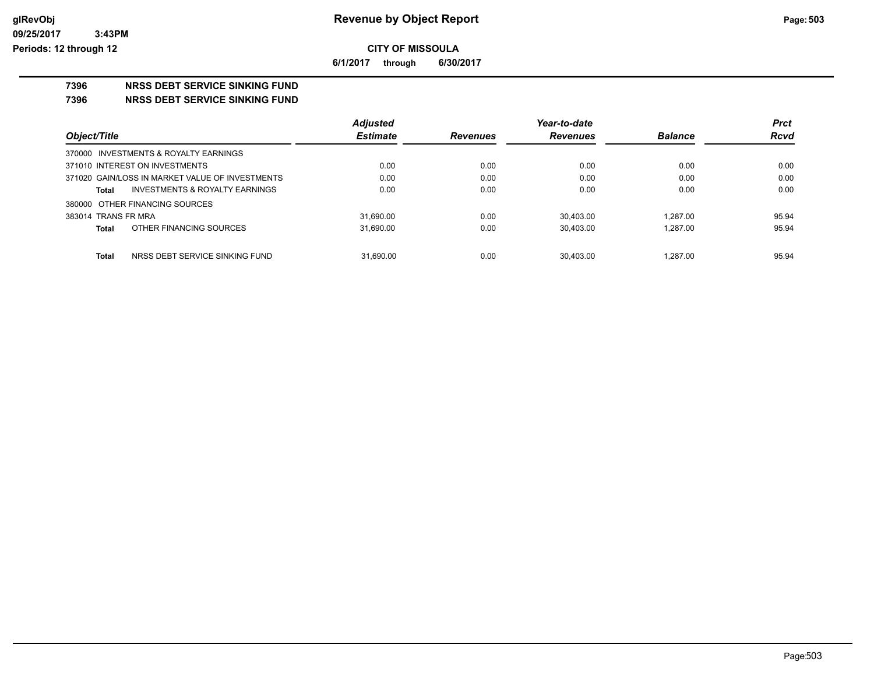**6/1/2017 through 6/30/2017**

# **7396 NRSS DEBT SERVICE SINKING FUND**

**7396 NRSS DEBT SERVICE SINKING FUND**

|                                                           | <b>Adjusted</b> |                 | Year-to-date    |                | <b>Prct</b> |
|-----------------------------------------------------------|-----------------|-----------------|-----------------|----------------|-------------|
| Object/Title                                              | <b>Estimate</b> | <b>Revenues</b> | <b>Revenues</b> | <b>Balance</b> | <b>Rcvd</b> |
| 370000 INVESTMENTS & ROYALTY EARNINGS                     |                 |                 |                 |                |             |
| 371010 INTEREST ON INVESTMENTS                            | 0.00            | 0.00            | 0.00            | 0.00           | 0.00        |
| 371020 GAIN/LOSS IN MARKET VALUE OF INVESTMENTS           | 0.00            | 0.00            | 0.00            | 0.00           | 0.00        |
| <b>INVESTMENTS &amp; ROYALTY EARNINGS</b><br><b>Total</b> | 0.00            | 0.00            | 0.00            | 0.00           | 0.00        |
| 380000 OTHER FINANCING SOURCES                            |                 |                 |                 |                |             |
| 383014 TRANS FR MRA                                       | 31.690.00       | 0.00            | 30.403.00       | 1.287.00       | 95.94       |
| OTHER FINANCING SOURCES<br><b>Total</b>                   | 31.690.00       | 0.00            | 30.403.00       | 1.287.00       | 95.94       |
| NRSS DEBT SERVICE SINKING FUND                            | 31.690.00       | 0.00            | 30.403.00       | 1.287.00       | 95.94       |
| <b>Total</b>                                              |                 |                 |                 |                |             |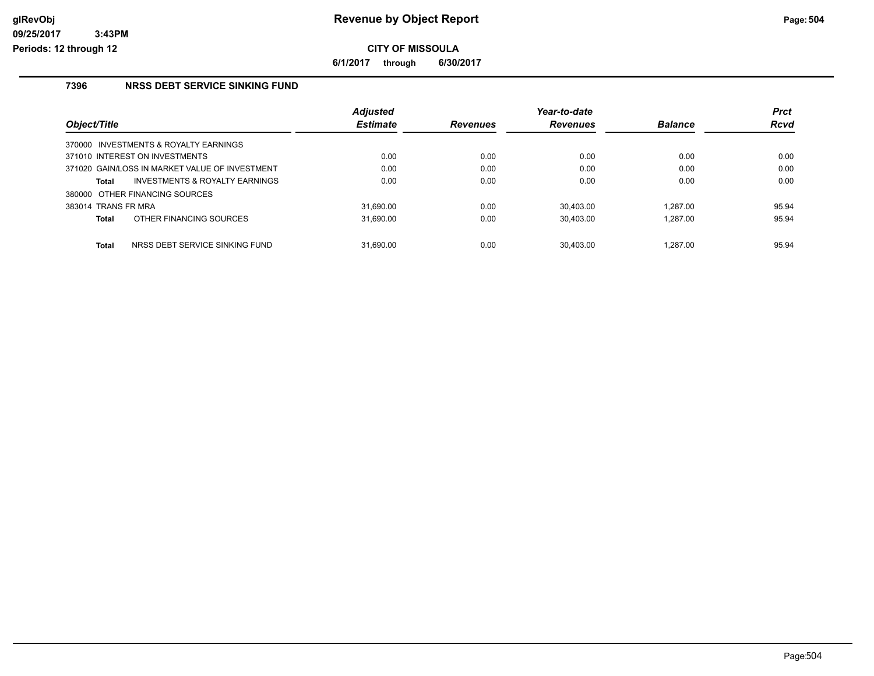**6/1/2017 through 6/30/2017**

#### **7396 NRSS DEBT SERVICE SINKING FUND**

|                     |                                                | <b>Adjusted</b> | Year-to-date    |                 |                | <b>Prct</b> |
|---------------------|------------------------------------------------|-----------------|-----------------|-----------------|----------------|-------------|
| Object/Title        |                                                | <b>Estimate</b> | <b>Revenues</b> | <b>Revenues</b> | <b>Balance</b> | <b>Rcvd</b> |
|                     | 370000 INVESTMENTS & ROYALTY EARNINGS          |                 |                 |                 |                |             |
|                     | 371010 INTEREST ON INVESTMENTS                 | 0.00            | 0.00            | 0.00            | 0.00           | 0.00        |
|                     | 371020 GAIN/LOSS IN MARKET VALUE OF INVESTMENT | 0.00            | 0.00            | 0.00            | 0.00           | 0.00        |
| Total               | <b>INVESTMENTS &amp; ROYALTY EARNINGS</b>      | 0.00            | 0.00            | 0.00            | 0.00           | 0.00        |
|                     | 380000 OTHER FINANCING SOURCES                 |                 |                 |                 |                |             |
| 383014 TRANS FR MRA |                                                | 31.690.00       | 0.00            | 30.403.00       | 1.287.00       | 95.94       |
| Total               | OTHER FINANCING SOURCES                        | 31.690.00       | 0.00            | 30.403.00       | 1.287.00       | 95.94       |
| <b>Total</b>        | NRSS DEBT SERVICE SINKING FUND                 | 31.690.00       | 0.00            | 30.403.00       | 1.287.00       | 95.94       |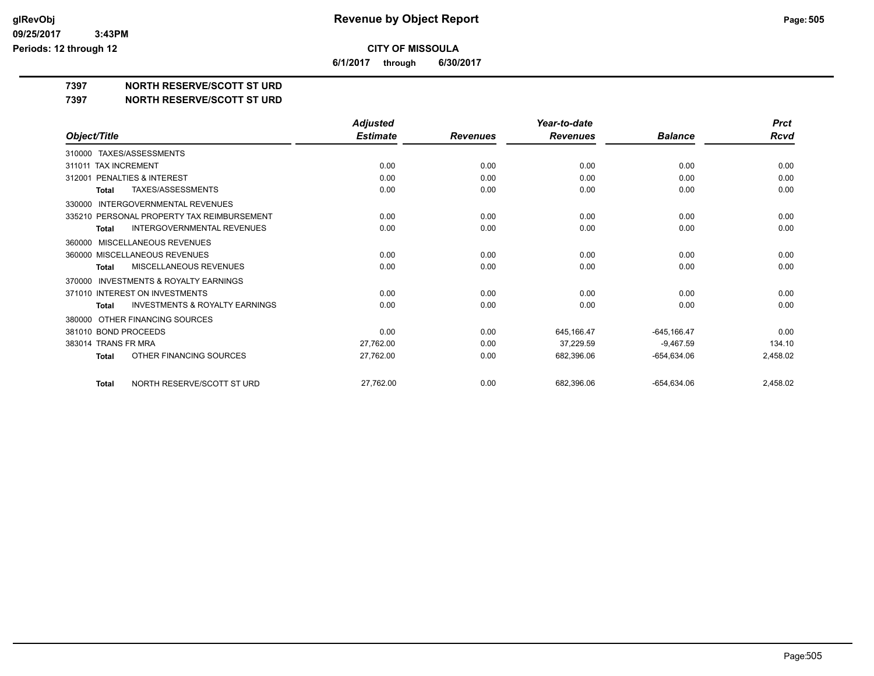**6/1/2017 through 6/30/2017**

**7397 NORTH RESERVE/SCOTT ST URD**

**7397 NORTH RESERVE/SCOTT ST URD**

|                                                           | <b>Adjusted</b> |                 | Year-to-date    |                | <b>Prct</b> |
|-----------------------------------------------------------|-----------------|-----------------|-----------------|----------------|-------------|
| Object/Title                                              | <b>Estimate</b> | <b>Revenues</b> | <b>Revenues</b> | <b>Balance</b> | <b>Rcvd</b> |
| 310000 TAXES/ASSESSMENTS                                  |                 |                 |                 |                |             |
| <b>TAX INCREMENT</b><br>311011                            | 0.00            | 0.00            | 0.00            | 0.00           | 0.00        |
| PENALTIES & INTEREST<br>312001                            | 0.00            | 0.00            | 0.00            | 0.00           | 0.00        |
| TAXES/ASSESSMENTS<br><b>Total</b>                         | 0.00            | 0.00            | 0.00            | 0.00           | 0.00        |
| INTERGOVERNMENTAL REVENUES<br>330000                      |                 |                 |                 |                |             |
| 335210 PERSONAL PROPERTY TAX REIMBURSEMENT                | 0.00            | 0.00            | 0.00            | 0.00           | 0.00        |
| <b>INTERGOVERNMENTAL REVENUES</b><br>Total                | 0.00            | 0.00            | 0.00            | 0.00           | 0.00        |
| MISCELLANEOUS REVENUES<br>360000                          |                 |                 |                 |                |             |
| 360000 MISCELLANEOUS REVENUES                             | 0.00            | 0.00            | 0.00            | 0.00           | 0.00        |
| MISCELLANEOUS REVENUES<br><b>Total</b>                    | 0.00            | 0.00            | 0.00            | 0.00           | 0.00        |
| INVESTMENTS & ROYALTY EARNINGS<br>370000                  |                 |                 |                 |                |             |
| 371010 INTEREST ON INVESTMENTS                            | 0.00            | 0.00            | 0.00            | 0.00           | 0.00        |
| <b>INVESTMENTS &amp; ROYALTY EARNINGS</b><br><b>Total</b> | 0.00            | 0.00            | 0.00            | 0.00           | 0.00        |
| OTHER FINANCING SOURCES<br>380000                         |                 |                 |                 |                |             |
| 381010 BOND PROCEEDS                                      | 0.00            | 0.00            | 645,166.47      | $-645, 166.47$ | 0.00        |
| 383014 TRANS FR MRA                                       | 27,762.00       | 0.00            | 37,229.59       | $-9,467.59$    | 134.10      |
| OTHER FINANCING SOURCES<br><b>Total</b>                   | 27,762.00       | 0.00            | 682,396.06      | $-654,634.06$  | 2,458.02    |
| NORTH RESERVE/SCOTT ST URD<br><b>Total</b>                | 27,762.00       | 0.00            | 682,396.06      | $-654,634.06$  | 2,458.02    |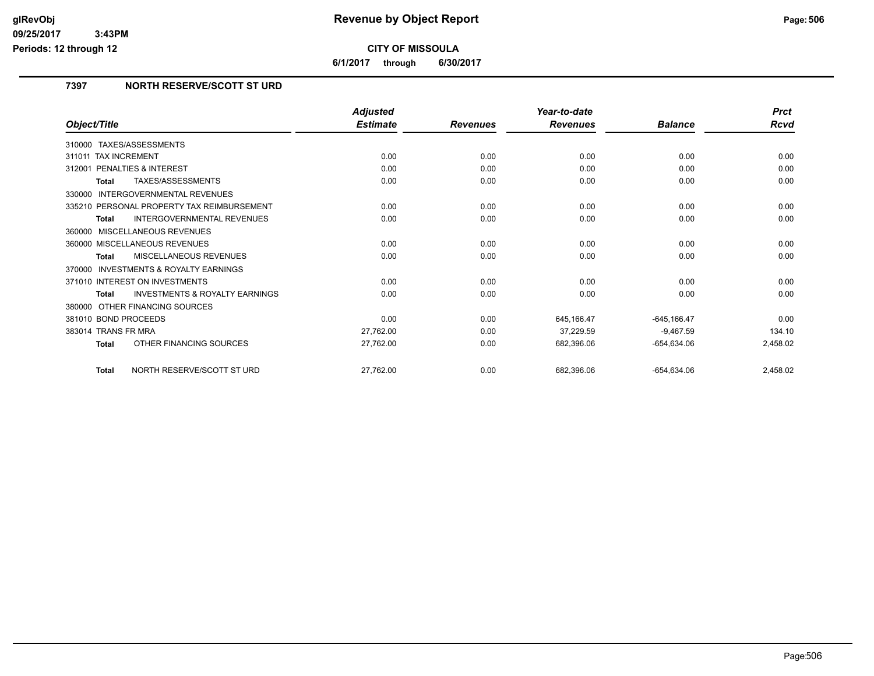**6/1/2017 through 6/30/2017**

# **7397 NORTH RESERVE/SCOTT ST URD**

|                                                           | <b>Adjusted</b> |                 | Year-to-date    |                | <b>Prct</b> |
|-----------------------------------------------------------|-----------------|-----------------|-----------------|----------------|-------------|
| Object/Title                                              | <b>Estimate</b> | <b>Revenues</b> | <b>Revenues</b> | <b>Balance</b> | <b>Rcvd</b> |
| 310000 TAXES/ASSESSMENTS                                  |                 |                 |                 |                |             |
| 311011 TAX INCREMENT                                      | 0.00            | 0.00            | 0.00            | 0.00           | 0.00        |
| PENALTIES & INTEREST<br>312001                            | 0.00            | 0.00            | 0.00            | 0.00           | 0.00        |
| TAXES/ASSESSMENTS<br><b>Total</b>                         | 0.00            | 0.00            | 0.00            | 0.00           | 0.00        |
| <b>INTERGOVERNMENTAL REVENUES</b><br>330000               |                 |                 |                 |                |             |
| 335210 PERSONAL PROPERTY TAX REIMBURSEMENT                | 0.00            | 0.00            | 0.00            | 0.00           | 0.00        |
| <b>INTERGOVERNMENTAL REVENUES</b><br><b>Total</b>         | 0.00            | 0.00            | 0.00            | 0.00           | 0.00        |
| 360000 MISCELLANEOUS REVENUES                             |                 |                 |                 |                |             |
| 360000 MISCELLANEOUS REVENUES                             | 0.00            | 0.00            | 0.00            | 0.00           | 0.00        |
| <b>MISCELLANEOUS REVENUES</b><br><b>Total</b>             | 0.00            | 0.00            | 0.00            | 0.00           | 0.00        |
| 370000 INVESTMENTS & ROYALTY EARNINGS                     |                 |                 |                 |                |             |
| 371010 INTEREST ON INVESTMENTS                            | 0.00            | 0.00            | 0.00            | 0.00           | 0.00        |
| <b>INVESTMENTS &amp; ROYALTY EARNINGS</b><br><b>Total</b> | 0.00            | 0.00            | 0.00            | 0.00           | 0.00        |
| 380000 OTHER FINANCING SOURCES                            |                 |                 |                 |                |             |
| 381010 BOND PROCEEDS                                      | 0.00            | 0.00            | 645,166.47      | $-645, 166.47$ | 0.00        |
| 383014 TRANS FR MRA                                       | 27,762.00       | 0.00            | 37,229.59       | $-9,467.59$    | 134.10      |
| OTHER FINANCING SOURCES<br><b>Total</b>                   | 27,762.00       | 0.00            | 682,396.06      | $-654,634.06$  | 2,458.02    |
| NORTH RESERVE/SCOTT ST URD<br><b>Total</b>                | 27,762.00       | 0.00            | 682,396.06      | $-654,634.06$  | 2,458.02    |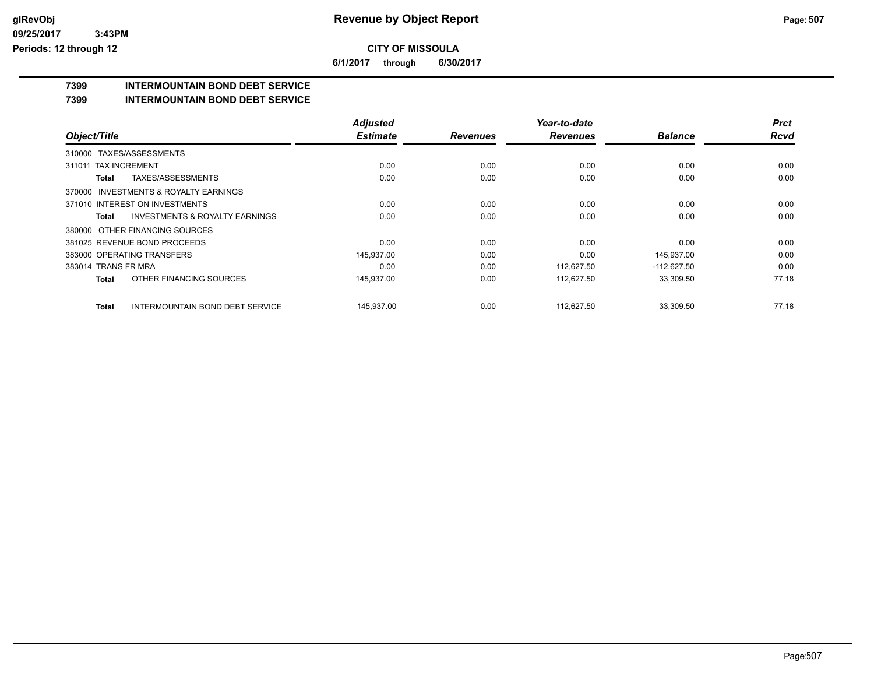**6/1/2017 through 6/30/2017**

# **7399 INTERMOUNTAIN BOND DEBT SERVICE**

# **7399 INTERMOUNTAIN BOND DEBT SERVICE**

|                                                           | <b>Adjusted</b> |                 | Year-to-date    |                | <b>Prct</b> |
|-----------------------------------------------------------|-----------------|-----------------|-----------------|----------------|-------------|
| Object/Title                                              | <b>Estimate</b> | <b>Revenues</b> | <b>Revenues</b> | <b>Balance</b> | Rcvd        |
| TAXES/ASSESSMENTS<br>310000                               |                 |                 |                 |                |             |
| 311011 TAX INCREMENT                                      | 0.00            | 0.00            | 0.00            | 0.00           | 0.00        |
| TAXES/ASSESSMENTS<br>Total                                | 0.00            | 0.00            | 0.00            | 0.00           | 0.00        |
| 370000 INVESTMENTS & ROYALTY EARNINGS                     |                 |                 |                 |                |             |
| 371010 INTEREST ON INVESTMENTS                            | 0.00            | 0.00            | 0.00            | 0.00           | 0.00        |
| <b>INVESTMENTS &amp; ROYALTY EARNINGS</b><br><b>Total</b> | 0.00            | 0.00            | 0.00            | 0.00           | 0.00        |
| 380000 OTHER FINANCING SOURCES                            |                 |                 |                 |                |             |
| 381025 REVENUE BOND PROCEEDS                              | 0.00            | 0.00            | 0.00            | 0.00           | 0.00        |
| 383000 OPERATING TRANSFERS                                | 145,937.00      | 0.00            | 0.00            | 145,937.00     | 0.00        |
| 383014 TRANS FR MRA                                       | 0.00            | 0.00            | 112,627.50      | $-112,627.50$  | 0.00        |
| OTHER FINANCING SOURCES<br><b>Total</b>                   | 145,937.00      | 0.00            | 112,627.50      | 33,309.50      | 77.18       |
| <b>INTERMOUNTAIN BOND DEBT SERVICE</b><br><b>Total</b>    | 145.937.00      | 0.00            | 112.627.50      | 33.309.50      | 77.18       |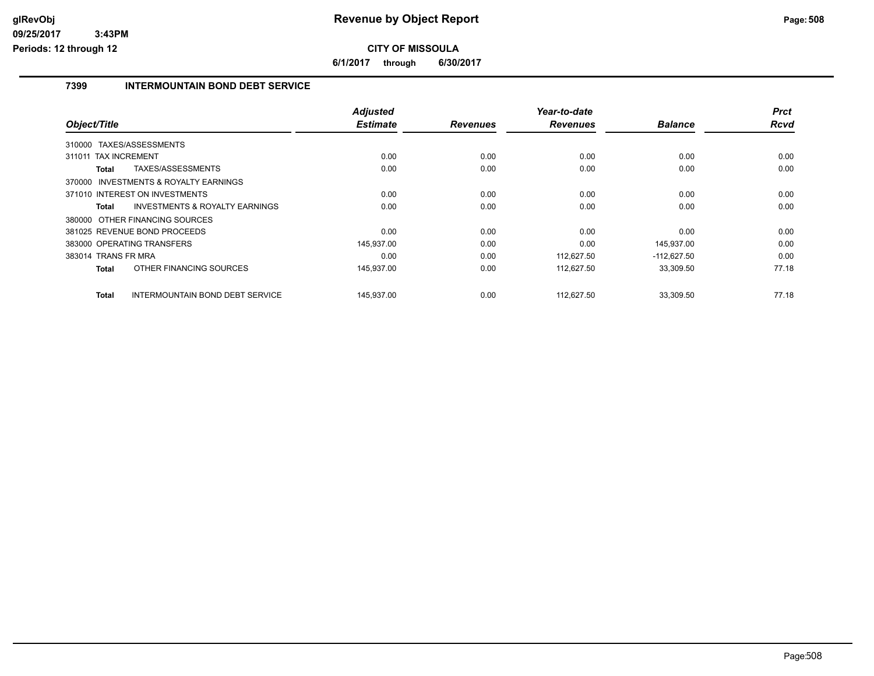**6/1/2017 through 6/30/2017**

# **7399 INTERMOUNTAIN BOND DEBT SERVICE**

|                                                        | <b>Adjusted</b> |                 | Year-to-date    |                | <b>Prct</b> |
|--------------------------------------------------------|-----------------|-----------------|-----------------|----------------|-------------|
| Object/Title                                           | <b>Estimate</b> | <b>Revenues</b> | <b>Revenues</b> | <b>Balance</b> | Rcvd        |
| 310000 TAXES/ASSESSMENTS                               |                 |                 |                 |                |             |
| <b>TAX INCREMENT</b><br>311011                         | 0.00            | 0.00            | 0.00            | 0.00           | 0.00        |
| TAXES/ASSESSMENTS<br><b>Total</b>                      | 0.00            | 0.00            | 0.00            | 0.00           | 0.00        |
| 370000 INVESTMENTS & ROYALTY EARNINGS                  |                 |                 |                 |                |             |
| 371010 INTEREST ON INVESTMENTS                         | 0.00            | 0.00            | 0.00            | 0.00           | 0.00        |
| <b>INVESTMENTS &amp; ROYALTY EARNINGS</b><br>Total     | 0.00            | 0.00            | 0.00            | 0.00           | 0.00        |
| 380000 OTHER FINANCING SOURCES                         |                 |                 |                 |                |             |
| 381025 REVENUE BOND PROCEEDS                           | 0.00            | 0.00            | 0.00            | 0.00           | 0.00        |
| 383000 OPERATING TRANSFERS                             | 145,937.00      | 0.00            | 0.00            | 145,937.00     | 0.00        |
| 383014 TRANS FR MRA                                    | 0.00            | 0.00            | 112,627.50      | $-112,627.50$  | 0.00        |
| OTHER FINANCING SOURCES<br><b>Total</b>                | 145,937.00      | 0.00            | 112,627.50      | 33,309.50      | 77.18       |
| <b>INTERMOUNTAIN BOND DEBT SERVICE</b><br><b>Total</b> | 145,937.00      | 0.00            | 112.627.50      | 33,309.50      | 77.18       |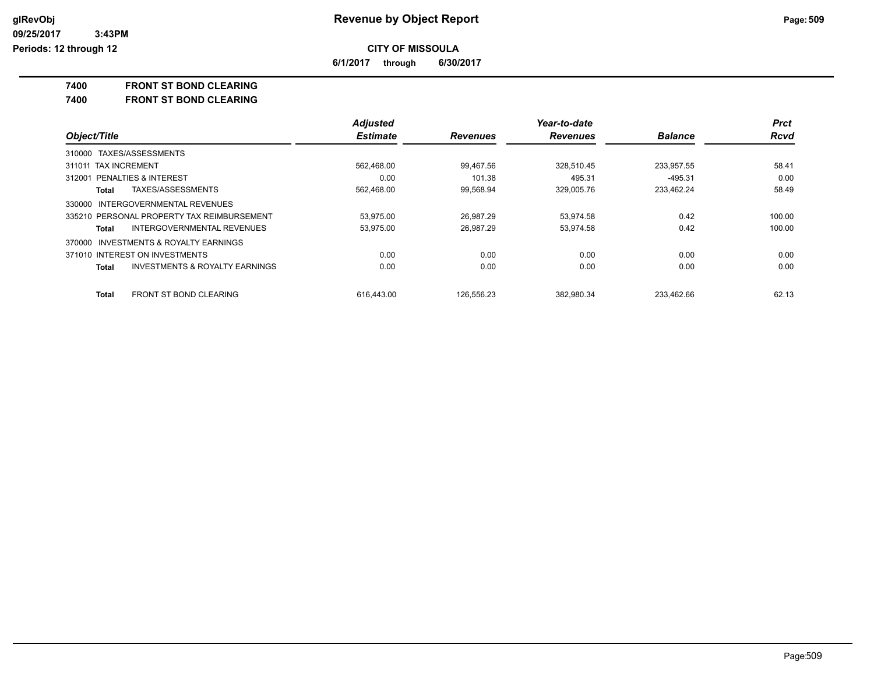**6/1/2017 through 6/30/2017**

#### **7400 FRONT ST BOND CLEARING**

**7400 FRONT ST BOND CLEARING**

|                                                           | <b>Adjusted</b> |                 | Year-to-date    |                | <b>Prct</b> |
|-----------------------------------------------------------|-----------------|-----------------|-----------------|----------------|-------------|
| Object/Title                                              | <b>Estimate</b> | <b>Revenues</b> | <b>Revenues</b> | <b>Balance</b> | <b>Rcvd</b> |
| 310000 TAXES/ASSESSMENTS                                  |                 |                 |                 |                |             |
| 311011 TAX INCREMENT                                      | 562.468.00      | 99.467.56       | 328.510.45      | 233.957.55     | 58.41       |
| <b>PENALTIES &amp; INTEREST</b><br>312001                 | 0.00            | 101.38          | 495.31          | -495.31        | 0.00        |
| TAXES/ASSESSMENTS<br>Total                                | 562.468.00      | 99,568.94       | 329,005.76      | 233.462.24     | 58.49       |
| 330000 INTERGOVERNMENTAL REVENUES                         |                 |                 |                 |                |             |
| 335210 PERSONAL PROPERTY TAX REIMBURSEMENT                | 53.975.00       | 26.987.29       | 53.974.58       | 0.42           | 100.00      |
| INTERGOVERNMENTAL REVENUES<br>Total                       | 53,975.00       | 26,987.29       | 53,974.58       | 0.42           | 100.00      |
| 370000 INVESTMENTS & ROYALTY EARNINGS                     |                 |                 |                 |                |             |
| 371010 INTEREST ON INVESTMENTS                            | 0.00            | 0.00            | 0.00            | 0.00           | 0.00        |
| <b>INVESTMENTS &amp; ROYALTY EARNINGS</b><br><b>Total</b> | 0.00            | 0.00            | 0.00            | 0.00           | 0.00        |
| <b>FRONT ST BOND CLEARING</b><br><b>Total</b>             | 616.443.00      | 126.556.23      | 382.980.34      | 233.462.66     | 62.13       |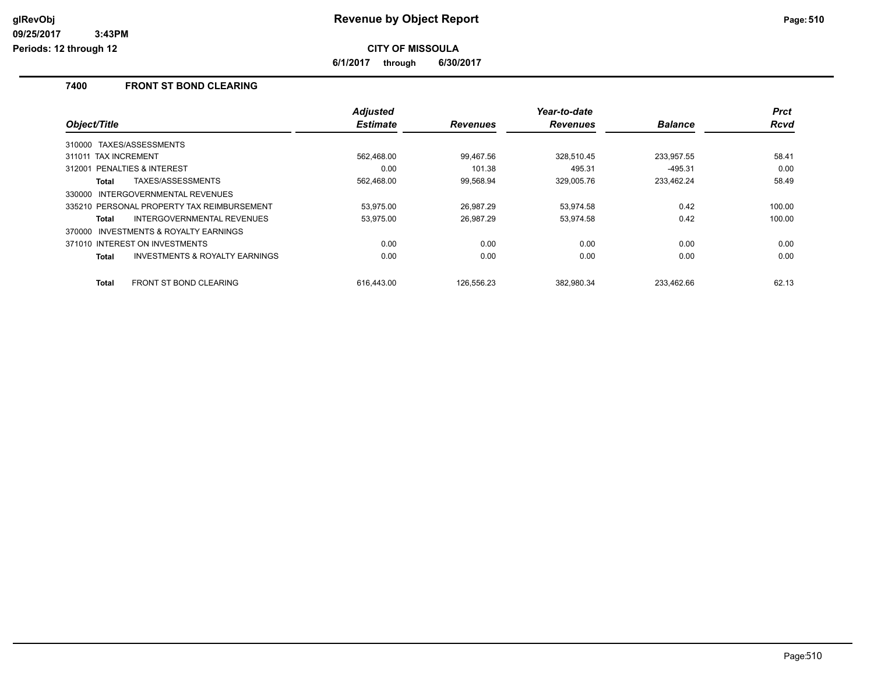**6/1/2017 through 6/30/2017**

# **7400 FRONT ST BOND CLEARING**

|                                               | <b>Adjusted</b> |                 | Year-to-date    |                | <b>Prct</b> |
|-----------------------------------------------|-----------------|-----------------|-----------------|----------------|-------------|
| Object/Title                                  | <b>Estimate</b> | <b>Revenues</b> | <b>Revenues</b> | <b>Balance</b> | Rcvd        |
| TAXES/ASSESSMENTS<br>310000                   |                 |                 |                 |                |             |
| 311011 TAX INCREMENT                          | 562,468.00      | 99.467.56       | 328.510.45      | 233,957.55     | 58.41       |
| 312001 PENALTIES & INTEREST                   | 0.00            | 101.38          | 495.31          | $-495.31$      | 0.00        |
| TAXES/ASSESSMENTS<br>Total                    | 562,468.00      | 99,568.94       | 329,005.76      | 233.462.24     | 58.49       |
| INTERGOVERNMENTAL REVENUES<br>330000          |                 |                 |                 |                |             |
| 335210 PERSONAL PROPERTY TAX REIMBURSEMENT    | 53.975.00       | 26.987.29       | 53,974.58       | 0.42           | 100.00      |
| INTERGOVERNMENTAL REVENUES<br>Total           | 53.975.00       | 26.987.29       | 53,974.58       | 0.42           | 100.00      |
| INVESTMENTS & ROYALTY EARNINGS<br>370000      |                 |                 |                 |                |             |
| 371010 INTEREST ON INVESTMENTS                | 0.00            | 0.00            | 0.00            | 0.00           | 0.00        |
| INVESTMENTS & ROYALTY EARNINGS<br>Total       | 0.00            | 0.00            | 0.00            | 0.00           | 0.00        |
| <b>FRONT ST BOND CLEARING</b><br><b>Total</b> | 616.443.00      | 126.556.23      | 382.980.34      | 233.462.66     | 62.13       |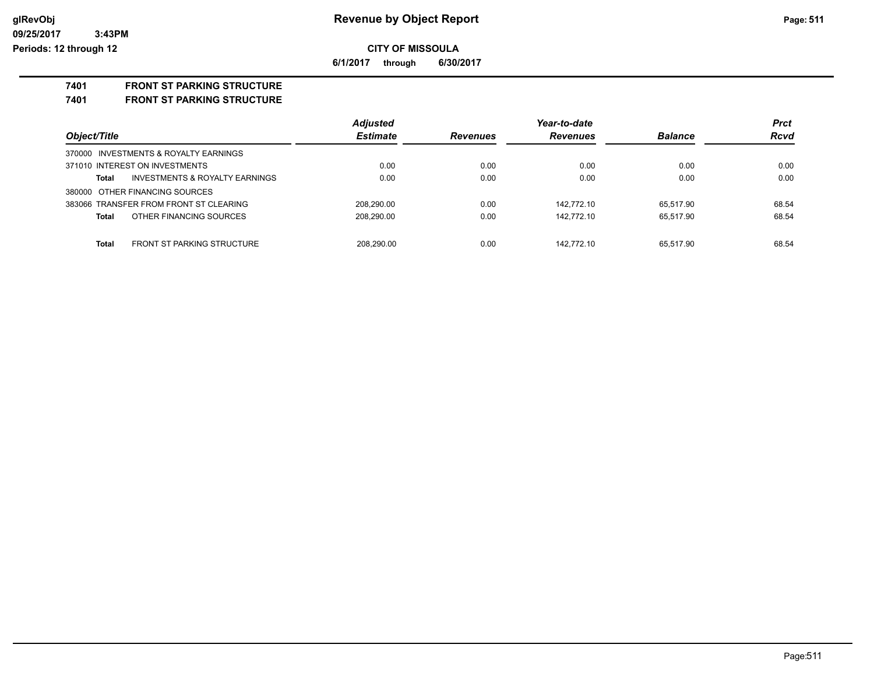**6/1/2017 through 6/30/2017**

# **7401 FRONT ST PARKING STRUCTURE**

**7401 FRONT ST PARKING STRUCTURE**

|                                                   | <b>Adjusted</b> |                 | Year-to-date    |                | <b>Prct</b> |
|---------------------------------------------------|-----------------|-----------------|-----------------|----------------|-------------|
| Object/Title                                      | <b>Estimate</b> | <b>Revenues</b> | <b>Revenues</b> | <b>Balance</b> | <b>Rcvd</b> |
| 370000 INVESTMENTS & ROYALTY EARNINGS             |                 |                 |                 |                |             |
| 371010 INTEREST ON INVESTMENTS                    | 0.00            | 0.00            | 0.00            | 0.00           | 0.00        |
| INVESTMENTS & ROYALTY EARNINGS<br>Total           | 0.00            | 0.00            | 0.00            | 0.00           | 0.00        |
| 380000 OTHER FINANCING SOURCES                    |                 |                 |                 |                |             |
| 383066 TRANSFER FROM FRONT ST CLEARING            | 208.290.00      | 0.00            | 142.772.10      | 65.517.90      | 68.54       |
| OTHER FINANCING SOURCES<br>Total                  | 208.290.00      | 0.00            | 142.772.10      | 65.517.90      | 68.54       |
|                                                   |                 |                 |                 |                |             |
| <b>FRONT ST PARKING STRUCTURE</b><br><b>Total</b> | 208.290.00      | 0.00            | 142.772.10      | 65.517.90      | 68.54       |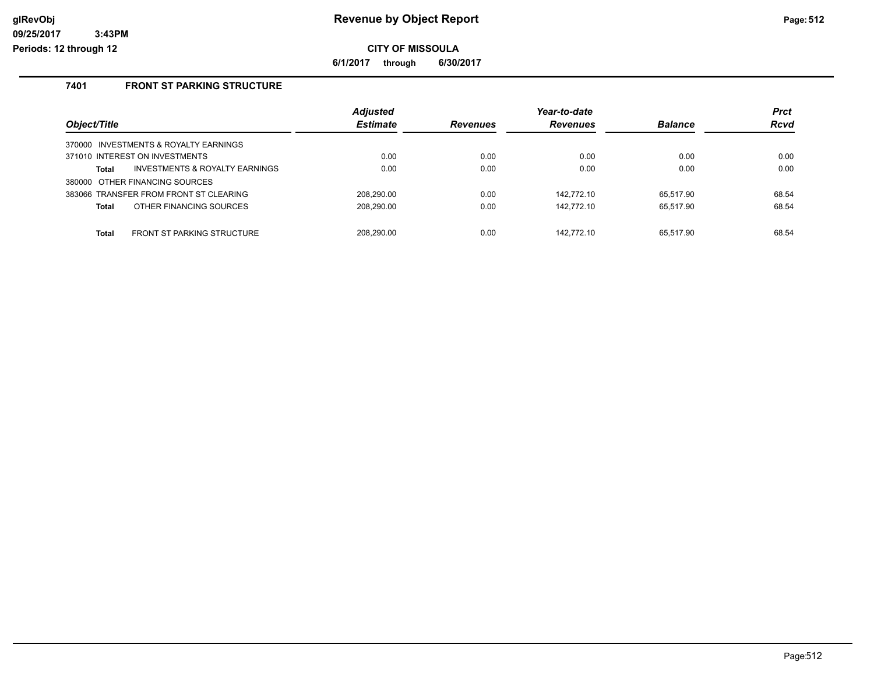**6/1/2017 through 6/30/2017**

# **7401 FRONT ST PARKING STRUCTURE**

| Object/Title                                       | <b>Adjusted</b><br><b>Estimate</b> | <b>Revenues</b> | Year-to-date<br><b>Revenues</b> | <b>Balance</b> | <b>Prct</b><br><b>Rcvd</b> |
|----------------------------------------------------|------------------------------------|-----------------|---------------------------------|----------------|----------------------------|
| 370000 INVESTMENTS & ROYALTY EARNINGS              |                                    |                 |                                 |                |                            |
| 371010 INTEREST ON INVESTMENTS                     | 0.00                               | 0.00            | 0.00                            | 0.00           | 0.00                       |
| <b>INVESTMENTS &amp; ROYALTY EARNINGS</b><br>Total | 0.00                               | 0.00            | 0.00                            | 0.00           | 0.00                       |
| 380000 OTHER FINANCING SOURCES                     |                                    |                 |                                 |                |                            |
| 383066 TRANSFER FROM FRONT ST CLEARING             | 208.290.00                         | 0.00            | 142.772.10                      | 65.517.90      | 68.54                      |
| OTHER FINANCING SOURCES<br>Total                   | 208.290.00                         | 0.00            | 142.772.10                      | 65.517.90      | 68.54                      |
|                                                    |                                    |                 |                                 |                |                            |
| <b>FRONT ST PARKING STRUCTURE</b><br><b>Total</b>  | 208.290.00                         | 0.00            | 142.772.10                      | 65.517.90      | 68.54                      |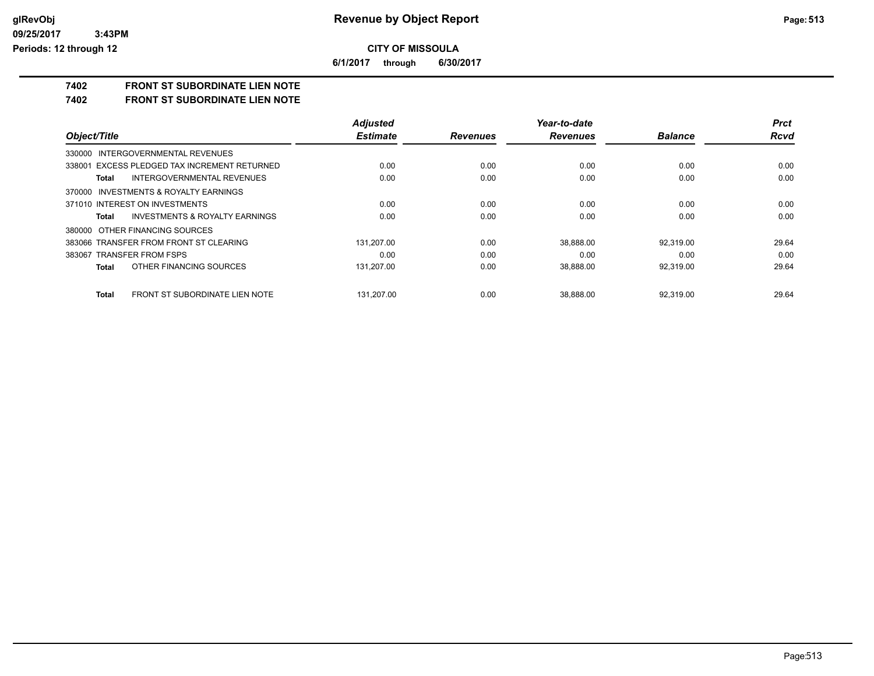**6/1/2017 through 6/30/2017**

# **7402 FRONT ST SUBORDINATE LIEN NOTE**

**7402 FRONT ST SUBORDINATE LIEN NOTE**

|                                                    | <b>Adjusted</b> |                 | Year-to-date    |                | <b>Prct</b> |
|----------------------------------------------------|-----------------|-----------------|-----------------|----------------|-------------|
| Object/Title                                       | <b>Estimate</b> | <b>Revenues</b> | <b>Revenues</b> | <b>Balance</b> | <b>Rcvd</b> |
| 330000 INTERGOVERNMENTAL REVENUES                  |                 |                 |                 |                |             |
| 338001 EXCESS PLEDGED TAX INCREMENT RETURNED       | 0.00            | 0.00            | 0.00            | 0.00           | 0.00        |
| <b>INTERGOVERNMENTAL REVENUES</b><br>Total         | 0.00            | 0.00            | 0.00            | 0.00           | 0.00        |
| 370000 INVESTMENTS & ROYALTY EARNINGS              |                 |                 |                 |                |             |
| 371010 INTEREST ON INVESTMENTS                     | 0.00            | 0.00            | 0.00            | 0.00           | 0.00        |
| <b>INVESTMENTS &amp; ROYALTY EARNINGS</b><br>Total | 0.00            | 0.00            | 0.00            | 0.00           | 0.00        |
| 380000 OTHER FINANCING SOURCES                     |                 |                 |                 |                |             |
| 383066 TRANSFER FROM FRONT ST CLEARING             | 131.207.00      | 0.00            | 38,888.00       | 92.319.00      | 29.64       |
| 383067 TRANSFER FROM FSPS                          | 0.00            | 0.00            | 0.00            | 0.00           | 0.00        |
| OTHER FINANCING SOURCES<br>Total                   | 131,207.00      | 0.00            | 38,888.00       | 92.319.00      | 29.64       |
| FRONT ST SUBORDINATE LIEN NOTE<br>Total            | 131.207.00      | 0.00            | 38.888.00       | 92.319.00      | 29.64       |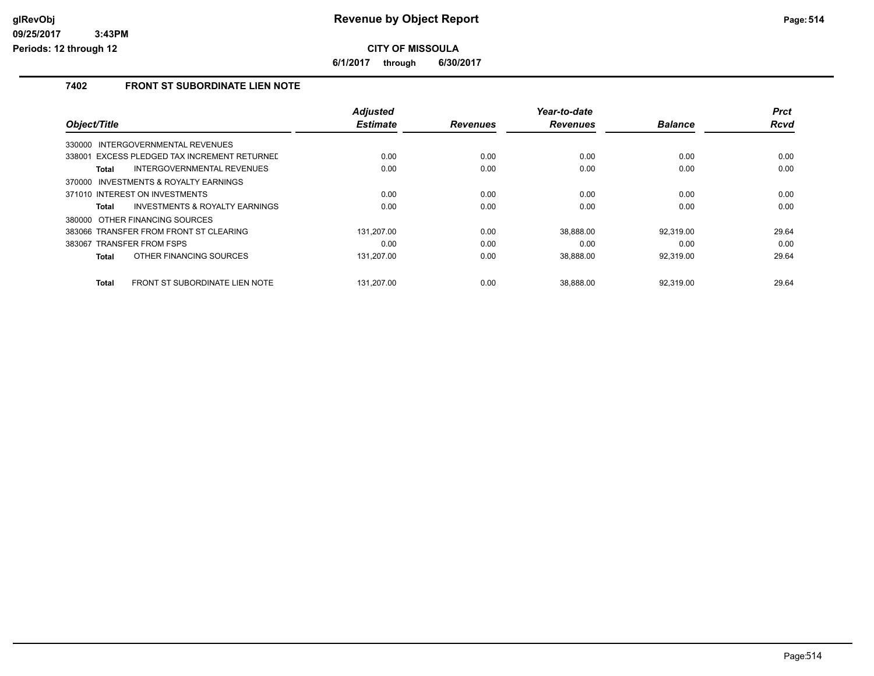**6/1/2017 through 6/30/2017**

# **7402 FRONT ST SUBORDINATE LIEN NOTE**

|                                                    | <b>Adjusted</b> |                 | Year-to-date    |                | <b>Prct</b> |
|----------------------------------------------------|-----------------|-----------------|-----------------|----------------|-------------|
| Object/Title                                       | <b>Estimate</b> | <b>Revenues</b> | <b>Revenues</b> | <b>Balance</b> | <b>Rcvd</b> |
| INTERGOVERNMENTAL REVENUES<br>330000               |                 |                 |                 |                |             |
| EXCESS PLEDGED TAX INCREMENT RETURNED<br>338001    | 0.00            | 0.00            | 0.00            | 0.00           | 0.00        |
| <b>INTERGOVERNMENTAL REVENUES</b><br>Total         | 0.00            | 0.00            | 0.00            | 0.00           | 0.00        |
| 370000 INVESTMENTS & ROYALTY EARNINGS              |                 |                 |                 |                |             |
| 371010 INTEREST ON INVESTMENTS                     | 0.00            | 0.00            | 0.00            | 0.00           | 0.00        |
| <b>INVESTMENTS &amp; ROYALTY EARNINGS</b><br>Total | 0.00            | 0.00            | 0.00            | 0.00           | 0.00        |
| 380000 OTHER FINANCING SOURCES                     |                 |                 |                 |                |             |
| 383066 TRANSFER FROM FRONT ST CLEARING             | 131.207.00      | 0.00            | 38.888.00       | 92.319.00      | 29.64       |
| 383067 TRANSFER FROM FSPS                          | 0.00            | 0.00            | 0.00            | 0.00           | 0.00        |
| OTHER FINANCING SOURCES<br>Total                   | 131,207.00      | 0.00            | 38,888.00       | 92,319.00      | 29.64       |
|                                                    |                 |                 |                 |                |             |
| FRONT ST SUBORDINATE LIEN NOTE<br>Total            | 131.207.00      | 0.00            | 38.888.00       | 92.319.00      | 29.64       |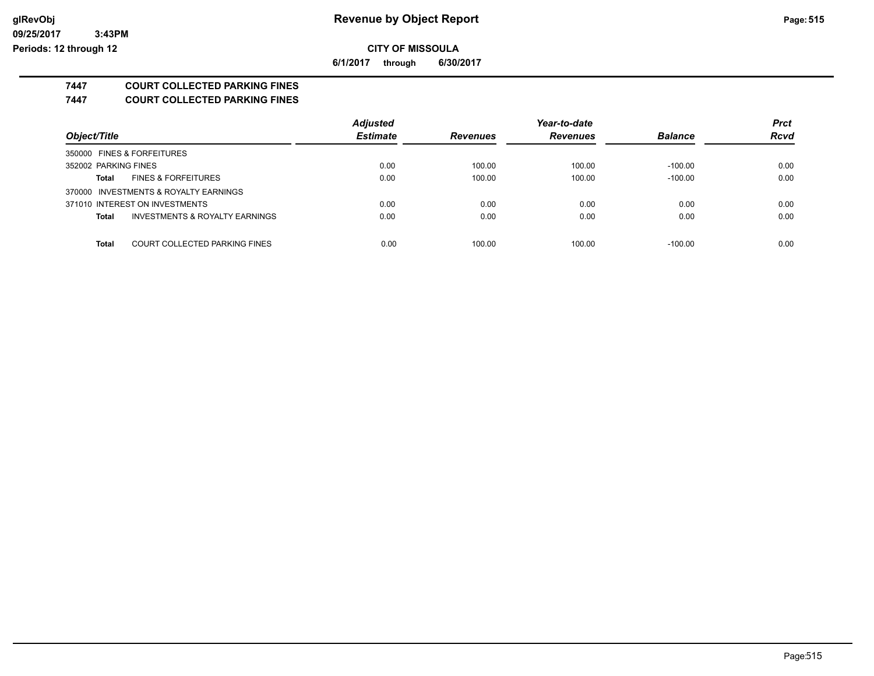**6/1/2017 through 6/30/2017**

# **7447 COURT COLLECTED PARKING FINES**

**7447 COURT COLLECTED PARKING FINES**

|                                                | <b>Adjusted</b> |                 | Year-to-date    |                | <b>Prct</b> |
|------------------------------------------------|-----------------|-----------------|-----------------|----------------|-------------|
| Object/Title                                   | <b>Estimate</b> | <b>Revenues</b> | <b>Revenues</b> | <b>Balance</b> | <b>Rcvd</b> |
| 350000 FINES & FORFEITURES                     |                 |                 |                 |                |             |
| 352002 PARKING FINES                           | 0.00            | 100.00          | 100.00          | $-100.00$      | 0.00        |
| <b>FINES &amp; FORFEITURES</b><br><b>Total</b> | 0.00            | 100.00          | 100.00          | $-100.00$      | 0.00        |
| 370000 INVESTMENTS & ROYALTY EARNINGS          |                 |                 |                 |                |             |
| 371010 INTEREST ON INVESTMENTS                 | 0.00            | 0.00            | 0.00            | 0.00           | 0.00        |
| INVESTMENTS & ROYALTY EARNINGS<br><b>Total</b> | 0.00            | 0.00            | 0.00            | 0.00           | 0.00        |
|                                                |                 |                 |                 |                |             |
| COURT COLLECTED PARKING FINES<br><b>Total</b>  | 0.00            | 100.00          | 100.00          | $-100.00$      | 0.00        |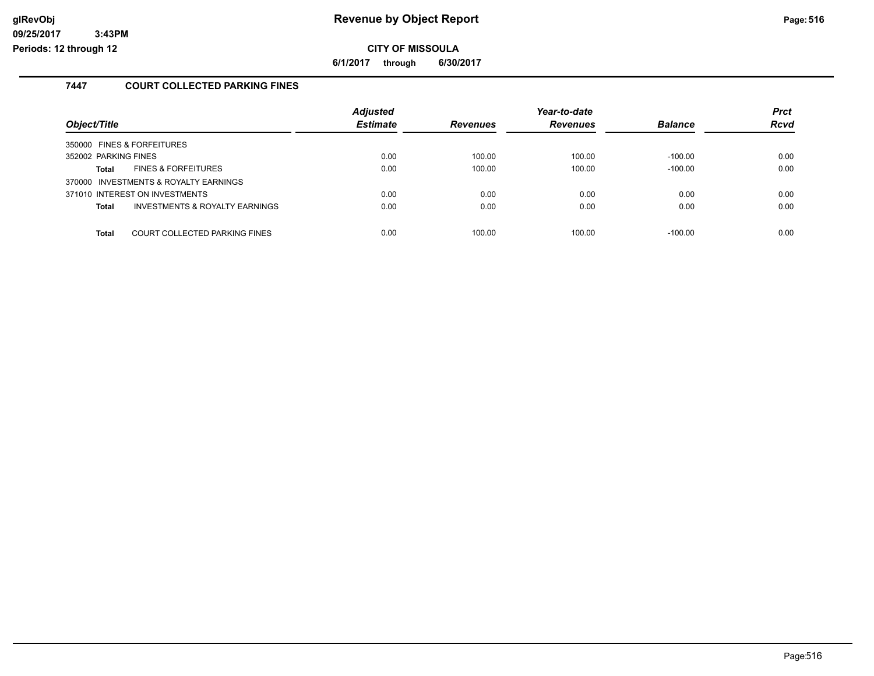**6/1/2017 through 6/30/2017**

# **7447 COURT COLLECTED PARKING FINES**

| Object/Title                                       | <b>Adjusted</b><br><b>Estimate</b> | <b>Revenues</b> | Year-to-date<br><b>Revenues</b> | <b>Balance</b> | <b>Prct</b><br><b>Rcvd</b> |
|----------------------------------------------------|------------------------------------|-----------------|---------------------------------|----------------|----------------------------|
| <b>FINES &amp; FORFEITURES</b><br>350000           |                                    |                 |                                 |                |                            |
| 352002 PARKING FINES                               | 0.00                               | 100.00          | 100.00                          | $-100.00$      | 0.00                       |
| <b>FINES &amp; FORFEITURES</b><br>Total            | 0.00                               | 100.00          | 100.00                          | $-100.00$      | 0.00                       |
| INVESTMENTS & ROYALTY EARNINGS<br>370000           |                                    |                 |                                 |                |                            |
| 371010 INTEREST ON INVESTMENTS                     | 0.00                               | 0.00            | 0.00                            | 0.00           | 0.00                       |
| <b>INVESTMENTS &amp; ROYALTY EARNINGS</b><br>Total | 0.00                               | 0.00            | 0.00                            | 0.00           | 0.00                       |
|                                                    |                                    |                 |                                 |                |                            |
| COURT COLLECTED PARKING FINES<br>Total             | 0.00                               | 100.00          | 100.00                          | $-100.00$      | 0.00                       |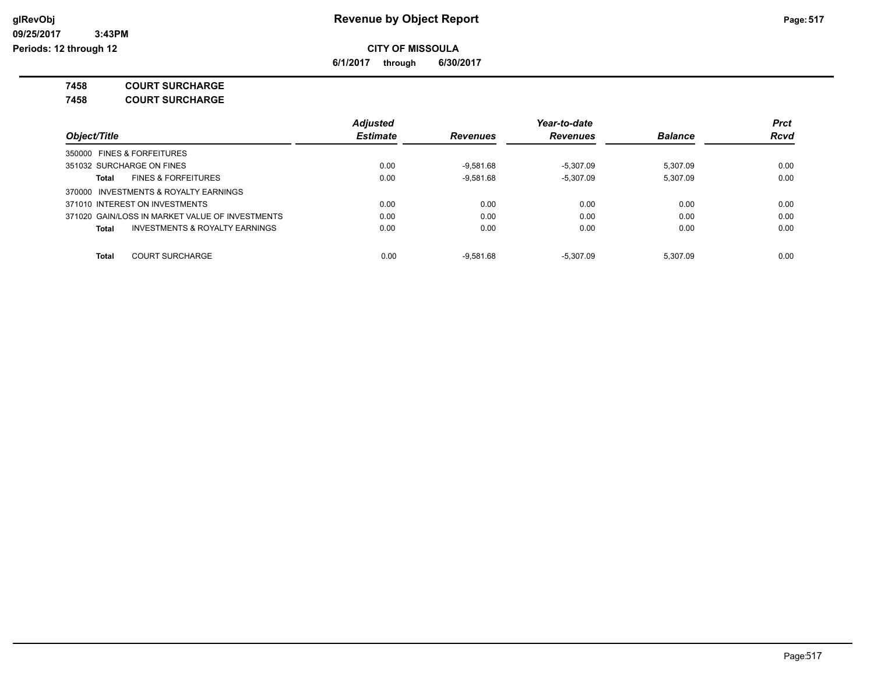**6/1/2017 through 6/30/2017**

**7458 COURT SURCHARGE**

**7458 COURT SURCHARGE**

|                                                           | <b>Adjusted</b> |                 | Year-to-date    |                | <b>Prct</b> |
|-----------------------------------------------------------|-----------------|-----------------|-----------------|----------------|-------------|
| Object/Title                                              | <b>Estimate</b> | <b>Revenues</b> | <b>Revenues</b> | <b>Balance</b> | <b>Rcvd</b> |
| 350000 FINES & FORFEITURES                                |                 |                 |                 |                |             |
| 351032 SURCHARGE ON FINES                                 | 0.00            | $-9.581.68$     | $-5.307.09$     | 5.307.09       | 0.00        |
| <b>FINES &amp; FORFEITURES</b><br>Total                   | 0.00            | $-9.581.68$     | $-5.307.09$     | 5.307.09       | 0.00        |
| 370000 INVESTMENTS & ROYALTY EARNINGS                     |                 |                 |                 |                |             |
| 371010 INTEREST ON INVESTMENTS                            | 0.00            | 0.00            | 0.00            | 0.00           | 0.00        |
| 371020 GAIN/LOSS IN MARKET VALUE OF INVESTMENTS           | 0.00            | 0.00            | 0.00            | 0.00           | 0.00        |
| <b>INVESTMENTS &amp; ROYALTY EARNINGS</b><br><b>Total</b> | 0.00            | 0.00            | 0.00            | 0.00           | 0.00        |
| <b>COURT SURCHARGE</b><br><b>Total</b>                    | 0.00            | $-9.581.68$     | $-5.307.09$     | 5.307.09       | 0.00        |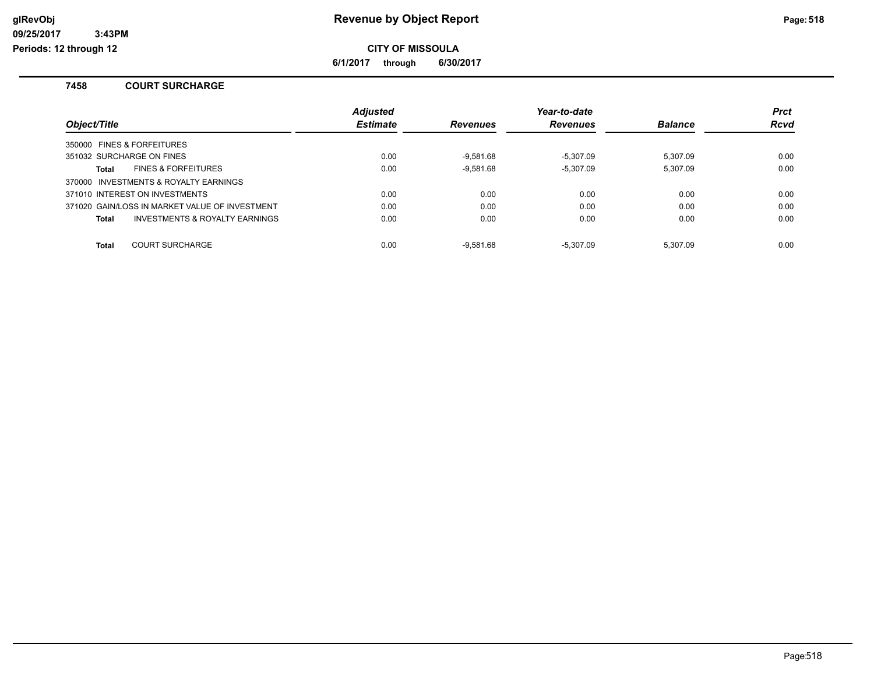**6/1/2017 through 6/30/2017**

#### **7458 COURT SURCHARGE**

|                                                    | <b>Adjusted</b> |                 | Year-to-date    |                | <b>Prct</b> |
|----------------------------------------------------|-----------------|-----------------|-----------------|----------------|-------------|
| Object/Title                                       | <b>Estimate</b> | <b>Revenues</b> | <b>Revenues</b> | <b>Balance</b> | <b>Rcvd</b> |
| 350000 FINES & FORFEITURES                         |                 |                 |                 |                |             |
| 351032 SURCHARGE ON FINES                          | 0.00            | $-9.581.68$     | $-5.307.09$     | 5.307.09       | 0.00        |
| <b>FINES &amp; FORFEITURES</b><br>Total            | 0.00            | $-9,581.68$     | $-5,307.09$     | 5.307.09       | 0.00        |
| 370000 INVESTMENTS & ROYALTY EARNINGS              |                 |                 |                 |                |             |
| 371010 INTEREST ON INVESTMENTS                     | 0.00            | 0.00            | 0.00            | 0.00           | 0.00        |
| 371020 GAIN/LOSS IN MARKET VALUE OF INVESTMENT     | 0.00            | 0.00            | 0.00            | 0.00           | 0.00        |
| <b>INVESTMENTS &amp; ROYALTY EARNINGS</b><br>Total | 0.00            | 0.00            | 0.00            | 0.00           | 0.00        |
| Total<br><b>COURT SURCHARGE</b>                    | 0.00            | $-9.581.68$     | $-5.307.09$     | 5.307.09       | 0.00        |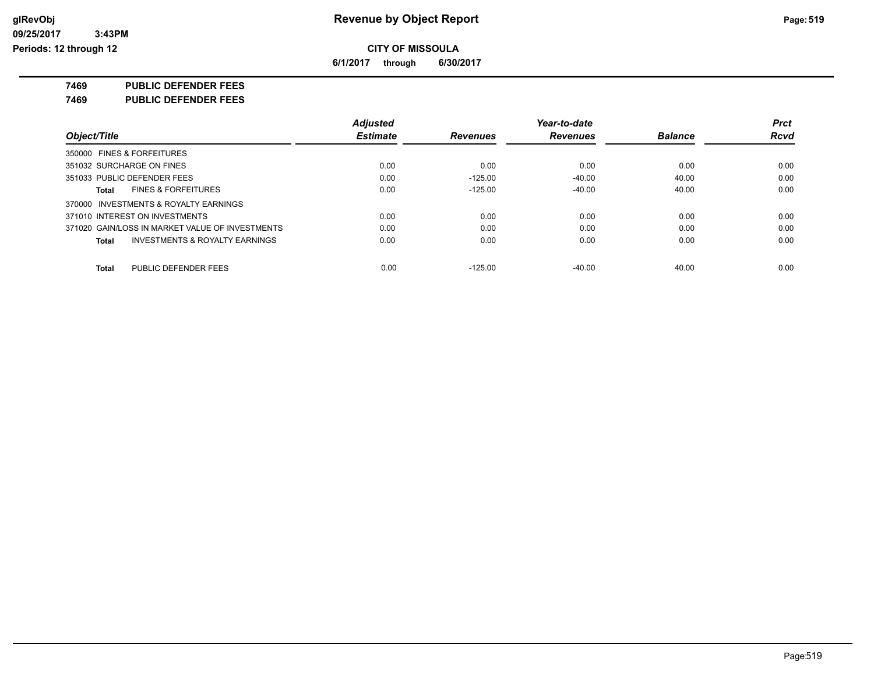**6/1/2017 through 6/30/2017**

**7469 PUBLIC DEFENDER FEES**

**7469 PUBLIC DEFENDER FEES**

|                                                    | <b>Adjusted</b> |                 | Year-to-date    |                | <b>Prct</b> |
|----------------------------------------------------|-----------------|-----------------|-----------------|----------------|-------------|
| Object/Title                                       | <b>Estimate</b> | <b>Revenues</b> | <b>Revenues</b> | <b>Balance</b> | <b>Rcvd</b> |
| 350000 FINES & FORFEITURES                         |                 |                 |                 |                |             |
| 351032 SURCHARGE ON FINES                          | 0.00            | 0.00            | 0.00            | 0.00           | 0.00        |
| 351033 PUBLIC DEFENDER FEES                        | 0.00            | $-125.00$       | $-40.00$        | 40.00          | 0.00        |
| <b>FINES &amp; FORFEITURES</b><br>Total            | 0.00            | $-125.00$       | $-40.00$        | 40.00          | 0.00        |
| 370000 INVESTMENTS & ROYALTY EARNINGS              |                 |                 |                 |                |             |
| 371010 INTEREST ON INVESTMENTS                     | 0.00            | 0.00            | 0.00            | 0.00           | 0.00        |
| 371020 GAIN/LOSS IN MARKET VALUE OF INVESTMENTS    | 0.00            | 0.00            | 0.00            | 0.00           | 0.00        |
| <b>INVESTMENTS &amp; ROYALTY EARNINGS</b><br>Total | 0.00            | 0.00            | 0.00            | 0.00           | 0.00        |
| PUBLIC DEFENDER FEES<br><b>Total</b>               | 0.00            | $-125.00$       | $-40.00$        | 40.00          | 0.00        |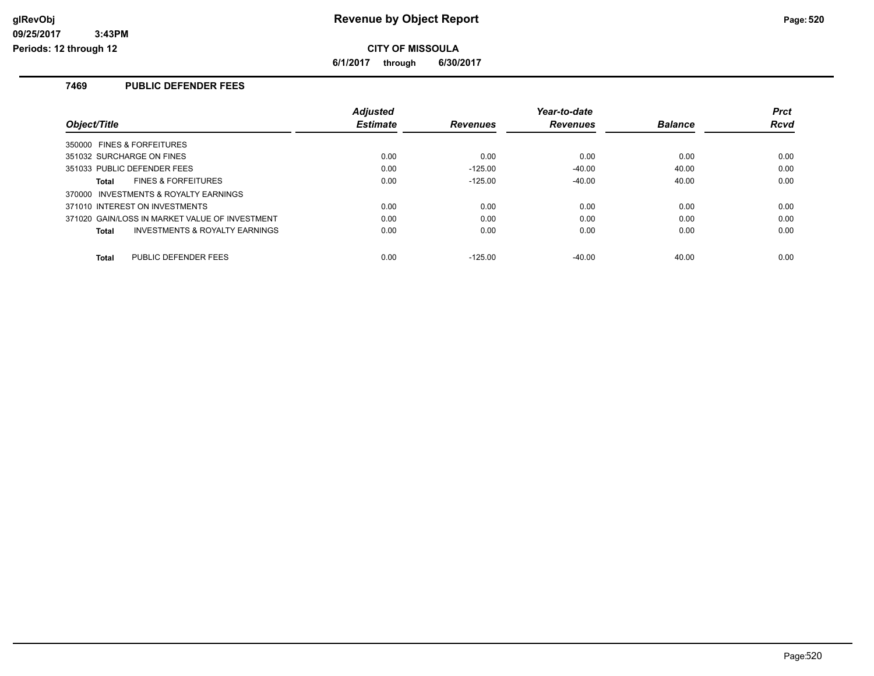**6/1/2017 through 6/30/2017**

# **7469 PUBLIC DEFENDER FEES**

|                                                | <b>Adjusted</b> |                 | Year-to-date    |                | <b>Prct</b> |
|------------------------------------------------|-----------------|-----------------|-----------------|----------------|-------------|
| Object/Title                                   | <b>Estimate</b> | <b>Revenues</b> | <b>Revenues</b> | <b>Balance</b> | <b>Rcvd</b> |
| 350000 FINES & FORFEITURES                     |                 |                 |                 |                |             |
| 351032 SURCHARGE ON FINES                      | 0.00            | 0.00            | 0.00            | 0.00           | 0.00        |
| 351033 PUBLIC DEFENDER FEES                    | 0.00            | $-125.00$       | $-40.00$        | 40.00          | 0.00        |
| <b>FINES &amp; FORFEITURES</b><br>Total        | 0.00            | $-125.00$       | $-40.00$        | 40.00          | 0.00        |
| 370000 INVESTMENTS & ROYALTY EARNINGS          |                 |                 |                 |                |             |
| 371010 INTEREST ON INVESTMENTS                 | 0.00            | 0.00            | 0.00            | 0.00           | 0.00        |
| 371020 GAIN/LOSS IN MARKET VALUE OF INVESTMENT | 0.00            | 0.00            | 0.00            | 0.00           | 0.00        |
| INVESTMENTS & ROYALTY EARNINGS<br>Total        | 0.00            | 0.00            | 0.00            | 0.00           | 0.00        |
| PUBLIC DEFENDER FEES<br><b>Total</b>           | 0.00            | $-125.00$       | $-40.00$        | 40.00          | 0.00        |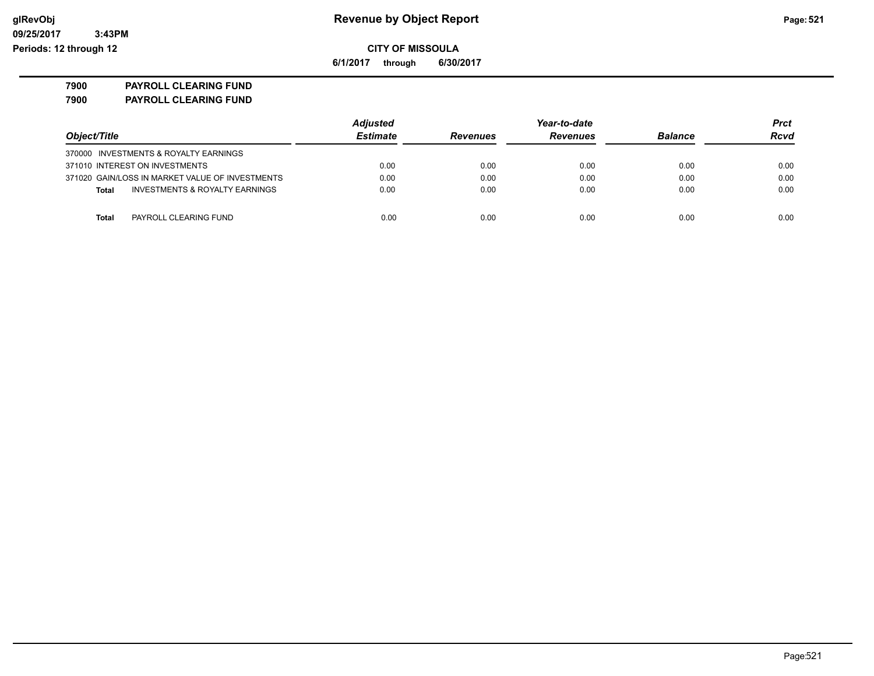**6/1/2017 through 6/30/2017**

# **7900 PAYROLL CLEARING FUND**

**7900 PAYROLL CLEARING FUND**

|                                                           | <b>Adjusted</b> |                 | Year-to-date    | Prct           |      |
|-----------------------------------------------------------|-----------------|-----------------|-----------------|----------------|------|
| Object/Title                                              | <b>Estimate</b> | <b>Revenues</b> | <b>Revenues</b> | <b>Balance</b> | Rcvd |
| 370000 INVESTMENTS & ROYALTY EARNINGS                     |                 |                 |                 |                |      |
| 371010 INTEREST ON INVESTMENTS                            | 0.00            | 0.00            | 0.00            | 0.00           | 0.00 |
| 371020 GAIN/LOSS IN MARKET VALUE OF INVESTMENTS           | 0.00            | 0.00            | 0.00            | 0.00           | 0.00 |
| <b>INVESTMENTS &amp; ROYALTY EARNINGS</b><br><b>Total</b> | 0.00            | 0.00            | 0.00            | 0.00           | 0.00 |
| PAYROLL CLEARING FUND<br>Total                            | 0.00            | 0.00            | 0.00            | 0.00           | 0.00 |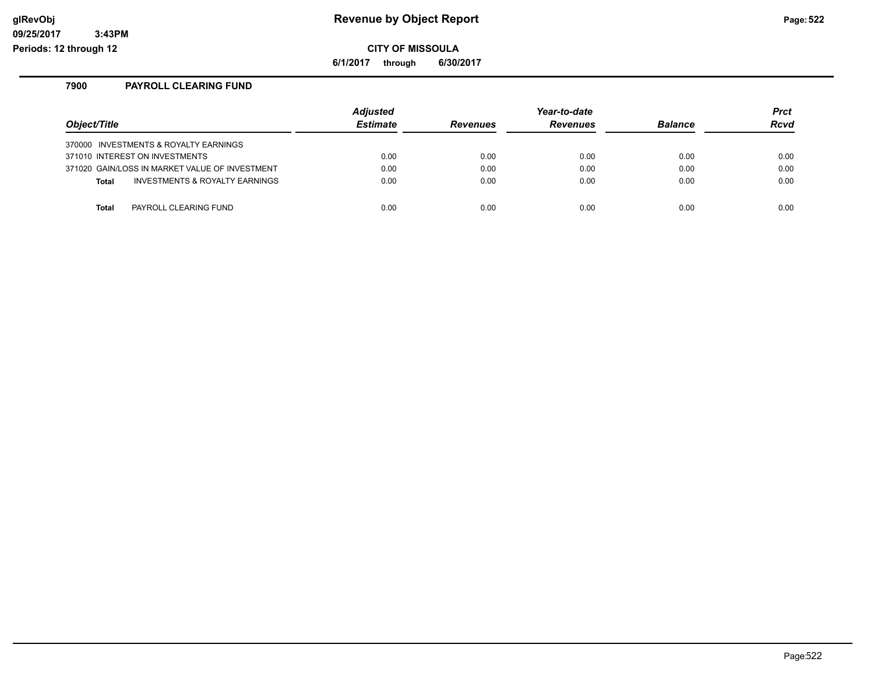**6/1/2017 through 6/30/2017**

#### **7900 PAYROLL CLEARING FUND**

| Object/Title                                              | <b>Adjusted</b><br><b>Estimate</b> | <b>Revenues</b> | Year-to-date<br><b>Revenues</b> | <b>Balance</b> | <b>Prct</b><br><b>Rcvd</b> |
|-----------------------------------------------------------|------------------------------------|-----------------|---------------------------------|----------------|----------------------------|
| 370000 INVESTMENTS & ROYALTY EARNINGS                     |                                    |                 |                                 |                |                            |
| 371010 INTEREST ON INVESTMENTS                            | 0.00                               | 0.00            | 0.00                            | 0.00           | 0.00                       |
| 371020 GAIN/LOSS IN MARKET VALUE OF INVESTMENT            | 0.00                               | 0.00            | 0.00                            | 0.00           | 0.00                       |
| <b>INVESTMENTS &amp; ROYALTY EARNINGS</b><br><b>Total</b> | 0.00                               | 0.00            | 0.00                            | 0.00           | 0.00                       |
|                                                           |                                    |                 |                                 |                |                            |
| PAYROLL CLEARING FUND<br>Total                            | 0.00                               | 0.00            | 0.00                            | 0.00           | 0.00                       |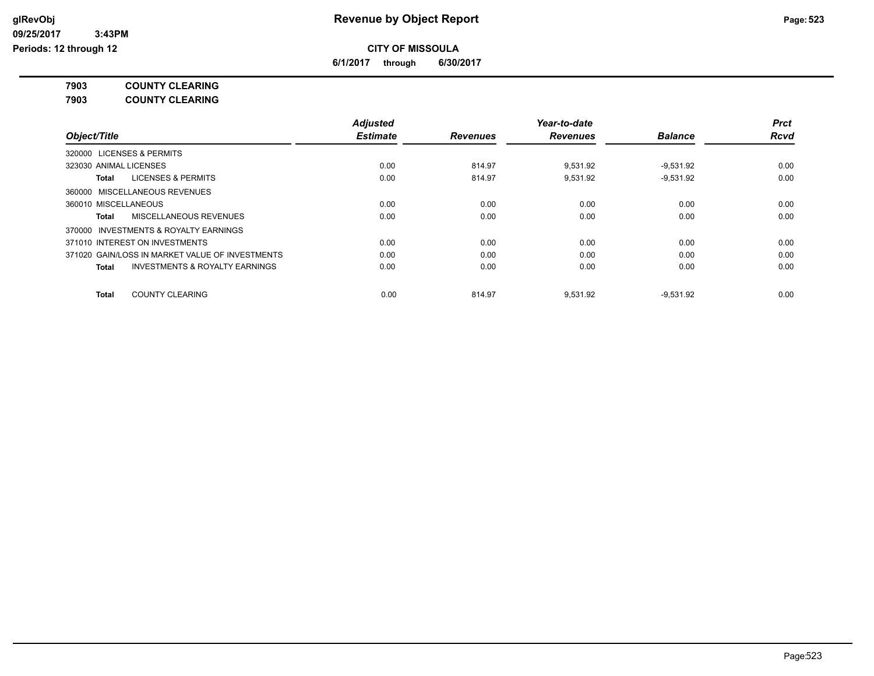**6/1/2017 through 6/30/2017**

**7903 COUNTY CLEARING**

**7903 COUNTY CLEARING**

|                                                    | <b>Adjusted</b> |                 | Year-to-date    |                | <b>Prct</b> |
|----------------------------------------------------|-----------------|-----------------|-----------------|----------------|-------------|
| Object/Title                                       | <b>Estimate</b> | <b>Revenues</b> | <b>Revenues</b> | <b>Balance</b> | <b>Rcvd</b> |
| 320000 LICENSES & PERMITS                          |                 |                 |                 |                |             |
| 323030 ANIMAL LICENSES                             | 0.00            | 814.97          | 9.531.92        | $-9,531.92$    | 0.00        |
| <b>LICENSES &amp; PERMITS</b><br>Total             | 0.00            | 814.97          | 9,531.92        | $-9,531.92$    | 0.00        |
| 360000 MISCELLANEOUS REVENUES                      |                 |                 |                 |                |             |
| 360010 MISCELLANEOUS                               | 0.00            | 0.00            | 0.00            | 0.00           | 0.00        |
| MISCELLANEOUS REVENUES<br>Total                    | 0.00            | 0.00            | 0.00            | 0.00           | 0.00        |
| 370000 INVESTMENTS & ROYALTY EARNINGS              |                 |                 |                 |                |             |
| 371010 INTEREST ON INVESTMENTS                     | 0.00            | 0.00            | 0.00            | 0.00           | 0.00        |
| 371020 GAIN/LOSS IN MARKET VALUE OF INVESTMENTS    | 0.00            | 0.00            | 0.00            | 0.00           | 0.00        |
| <b>INVESTMENTS &amp; ROYALTY EARNINGS</b><br>Total | 0.00            | 0.00            | 0.00            | 0.00           | 0.00        |
| <b>COUNTY CLEARING</b><br><b>Total</b>             | 0.00            | 814.97          | 9.531.92        | $-9,531.92$    | 0.00        |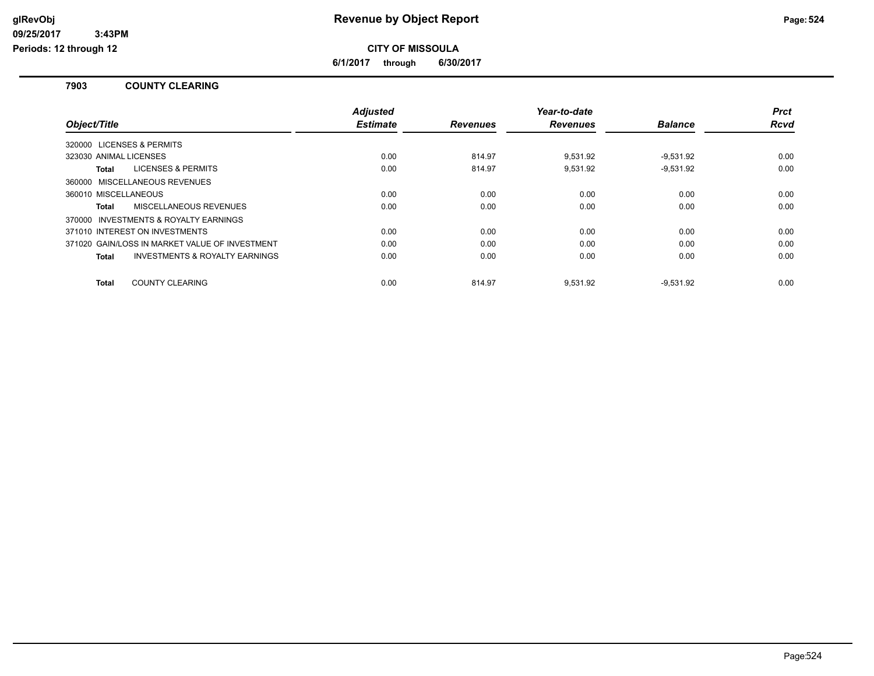**6/1/2017 through 6/30/2017**

#### **7903 COUNTY CLEARING**

| Object/Title                                              | <b>Adjusted</b><br><b>Estimate</b> | <b>Revenues</b> | Year-to-date<br><b>Revenues</b> | <b>Balance</b> | <b>Prct</b><br><b>Rcvd</b> |
|-----------------------------------------------------------|------------------------------------|-----------------|---------------------------------|----------------|----------------------------|
|                                                           |                                    |                 |                                 |                |                            |
| 320000 LICENSES & PERMITS                                 |                                    |                 |                                 |                |                            |
| 323030 ANIMAL LICENSES                                    | 0.00                               | 814.97          | 9.531.92                        | $-9,531.92$    | 0.00                       |
| LICENSES & PERMITS<br><b>Total</b>                        | 0.00                               | 814.97          | 9.531.92                        | $-9.531.92$    | 0.00                       |
| 360000 MISCELLANEOUS REVENUES                             |                                    |                 |                                 |                |                            |
| 360010 MISCELLANEOUS                                      | 0.00                               | 0.00            | 0.00                            | 0.00           | 0.00                       |
| MISCELLANEOUS REVENUES<br><b>Total</b>                    | 0.00                               | 0.00            | 0.00                            | 0.00           | 0.00                       |
| 370000 INVESTMENTS & ROYALTY EARNINGS                     |                                    |                 |                                 |                |                            |
| 371010 INTEREST ON INVESTMENTS                            | 0.00                               | 0.00            | 0.00                            | 0.00           | 0.00                       |
| 371020 GAIN/LOSS IN MARKET VALUE OF INVESTMENT            | 0.00                               | 0.00            | 0.00                            | 0.00           | 0.00                       |
| <b>INVESTMENTS &amp; ROYALTY EARNINGS</b><br><b>Total</b> | 0.00                               | 0.00            | 0.00                            | 0.00           | 0.00                       |
|                                                           |                                    |                 |                                 |                |                            |
| <b>COUNTY CLEARING</b><br><b>Total</b>                    | 0.00                               | 814.97          | 9.531.92                        | $-9.531.92$    | 0.00                       |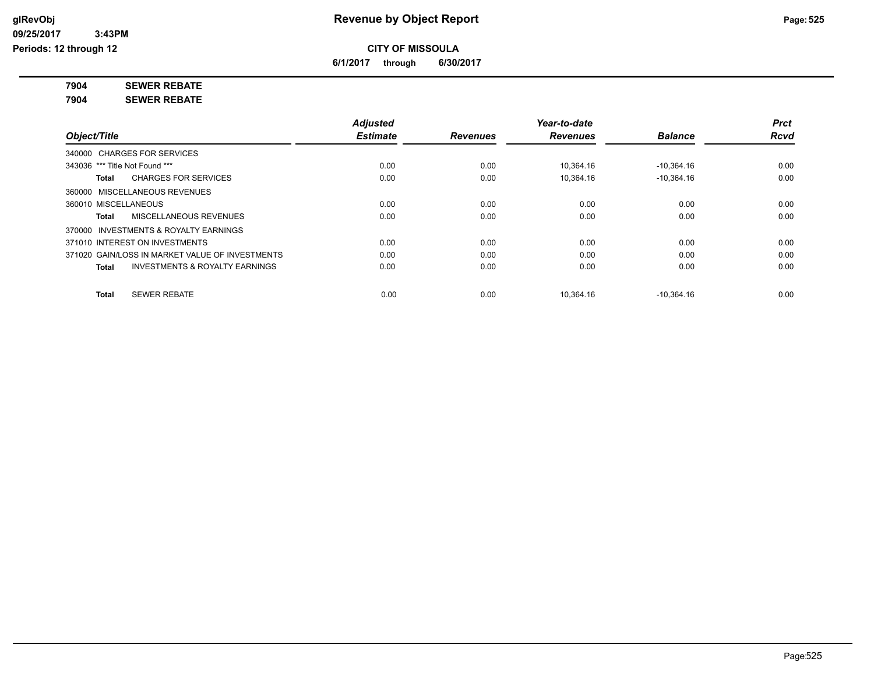**6/1/2017 through 6/30/2017**

**7904 SEWER REBATE**

**7904 SEWER REBATE**

|                                                           | <b>Adjusted</b> |                 | Year-to-date    |                | <b>Prct</b> |
|-----------------------------------------------------------|-----------------|-----------------|-----------------|----------------|-------------|
| Object/Title                                              | <b>Estimate</b> | <b>Revenues</b> | <b>Revenues</b> | <b>Balance</b> | <b>Rcvd</b> |
| 340000 CHARGES FOR SERVICES                               |                 |                 |                 |                |             |
| 343036 *** Title Not Found ***                            | 0.00            | 0.00            | 10,364.16       | $-10,364.16$   | 0.00        |
| <b>CHARGES FOR SERVICES</b><br>Total                      | 0.00            | 0.00            | 10,364.16       | $-10,364.16$   | 0.00        |
| MISCELLANEOUS REVENUES<br>360000                          |                 |                 |                 |                |             |
| 360010 MISCELLANEOUS                                      | 0.00            | 0.00            | 0.00            | 0.00           | 0.00        |
| MISCELLANEOUS REVENUES<br>Total                           | 0.00            | 0.00            | 0.00            | 0.00           | 0.00        |
| INVESTMENTS & ROYALTY EARNINGS<br>370000                  |                 |                 |                 |                |             |
| 371010 INTEREST ON INVESTMENTS                            | 0.00            | 0.00            | 0.00            | 0.00           | 0.00        |
| 371020 GAIN/LOSS IN MARKET VALUE OF INVESTMENTS           | 0.00            | 0.00            | 0.00            | 0.00           | 0.00        |
| <b>INVESTMENTS &amp; ROYALTY EARNINGS</b><br><b>Total</b> | 0.00            | 0.00            | 0.00            | 0.00           | 0.00        |
| <b>SEWER REBATE</b><br><b>Total</b>                       | 0.00            | 0.00            | 10.364.16       | $-10.364.16$   | 0.00        |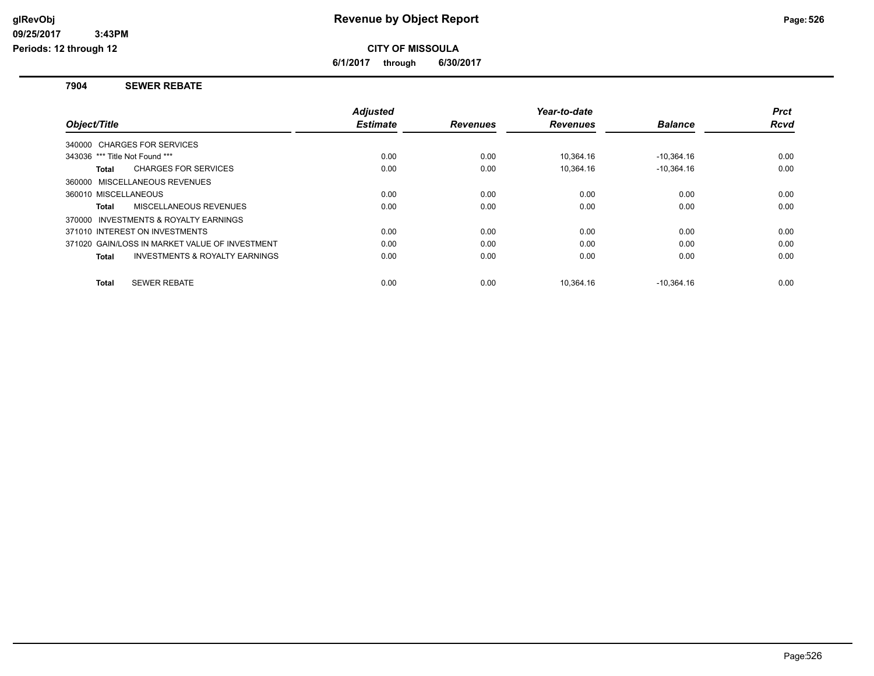**6/1/2017 through 6/30/2017**

#### **7904 SEWER REBATE**

|                                                           | <b>Adjusted</b> |                 | Year-to-date    |                | <b>Prct</b> |
|-----------------------------------------------------------|-----------------|-----------------|-----------------|----------------|-------------|
| Object/Title                                              | <b>Estimate</b> | <b>Revenues</b> | <b>Revenues</b> | <b>Balance</b> | <b>Rcvd</b> |
| 340000 CHARGES FOR SERVICES                               |                 |                 |                 |                |             |
| 343036 *** Title Not Found ***                            | 0.00            | 0.00            | 10.364.16       | $-10.364.16$   | 0.00        |
| <b>CHARGES FOR SERVICES</b><br>Total                      | 0.00            | 0.00            | 10.364.16       | $-10,364.16$   | 0.00        |
| 360000 MISCELLANEOUS REVENUES                             |                 |                 |                 |                |             |
| 360010 MISCELLANEOUS                                      | 0.00            | 0.00            | 0.00            | 0.00           | 0.00        |
| MISCELLANEOUS REVENUES<br>Total                           | 0.00            | 0.00            | 0.00            | 0.00           | 0.00        |
| 370000 INVESTMENTS & ROYALTY EARNINGS                     |                 |                 |                 |                |             |
| 371010 INTEREST ON INVESTMENTS                            | 0.00            | 0.00            | 0.00            | 0.00           | 0.00        |
| 371020 GAIN/LOSS IN MARKET VALUE OF INVESTMENT            | 0.00            | 0.00            | 0.00            | 0.00           | 0.00        |
| <b>INVESTMENTS &amp; ROYALTY EARNINGS</b><br><b>Total</b> | 0.00            | 0.00            | 0.00            | 0.00           | 0.00        |
|                                                           |                 |                 |                 |                |             |
| <b>SEWER REBATE</b><br>Total                              | 0.00            | 0.00            | 10.364.16       | $-10.364.16$   | 0.00        |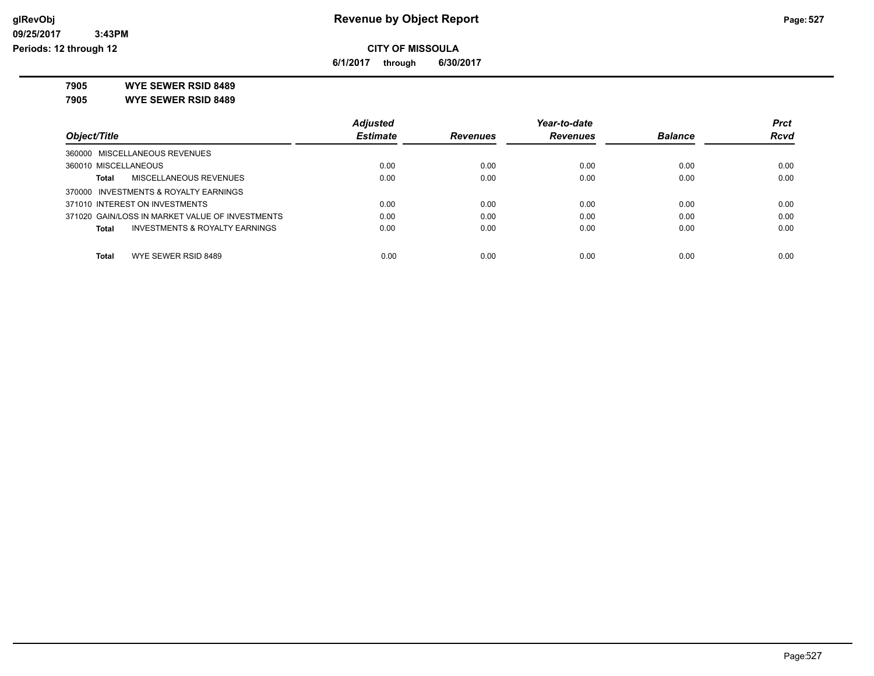**6/1/2017 through 6/30/2017**

**7905 WYE SEWER RSID 8489**

**7905 WYE SEWER RSID 8489**

|                                                 | <b>Adjusted</b> |                 | Year-to-date    |                | Prct        |
|-------------------------------------------------|-----------------|-----------------|-----------------|----------------|-------------|
| Object/Title                                    | <b>Estimate</b> | <b>Revenues</b> | <b>Revenues</b> | <b>Balance</b> | <b>Rcvd</b> |
| 360000 MISCELLANEOUS REVENUES                   |                 |                 |                 |                |             |
| 360010 MISCELLANEOUS                            | 0.00            | 0.00            | 0.00            | 0.00           | 0.00        |
| MISCELLANEOUS REVENUES<br>Total                 | 0.00            | 0.00            | 0.00            | 0.00           | 0.00        |
| 370000 INVESTMENTS & ROYALTY EARNINGS           |                 |                 |                 |                |             |
| 371010 INTEREST ON INVESTMENTS                  | 0.00            | 0.00            | 0.00            | 0.00           | 0.00        |
| 371020 GAIN/LOSS IN MARKET VALUE OF INVESTMENTS | 0.00            | 0.00            | 0.00            | 0.00           | 0.00        |
| INVESTMENTS & ROYALTY EARNINGS<br>Total         | 0.00            | 0.00            | 0.00            | 0.00           | 0.00        |
|                                                 |                 |                 |                 |                |             |
| WYE SEWER RSID 8489<br><b>Total</b>             | 0.00            | 0.00            | 0.00            | 0.00           | 0.00        |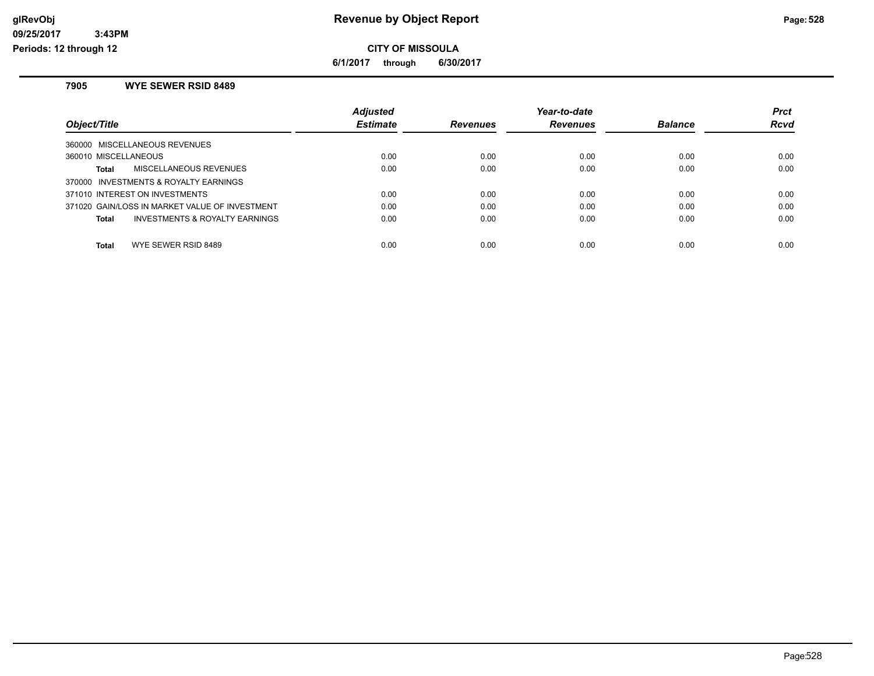**6/1/2017 through 6/30/2017**

#### **7905 WYE SEWER RSID 8489**

|                                                | <b>Adjusted</b> |                 | Year-to-date    |                | <b>Prct</b> |
|------------------------------------------------|-----------------|-----------------|-----------------|----------------|-------------|
| Object/Title                                   | <b>Estimate</b> | <b>Revenues</b> | <b>Revenues</b> | <b>Balance</b> | <b>Rcvd</b> |
| 360000 MISCELLANEOUS REVENUES                  |                 |                 |                 |                |             |
| 360010 MISCELLANEOUS                           | 0.00            | 0.00            | 0.00            | 0.00           | 0.00        |
| MISCELLANEOUS REVENUES<br>Total                | 0.00            | 0.00            | 0.00            | 0.00           | 0.00        |
| 370000 INVESTMENTS & ROYALTY EARNINGS          |                 |                 |                 |                |             |
| 371010 INTEREST ON INVESTMENTS                 | 0.00            | 0.00            | 0.00            | 0.00           | 0.00        |
| 371020 GAIN/LOSS IN MARKET VALUE OF INVESTMENT | 0.00            | 0.00            | 0.00            | 0.00           | 0.00        |
| INVESTMENTS & ROYALTY EARNINGS<br>Total        | 0.00            | 0.00            | 0.00            | 0.00           | 0.00        |
| <b>Total</b><br>WYE SEWER RSID 8489            | 0.00            | 0.00            | 0.00            | 0.00           | 0.00        |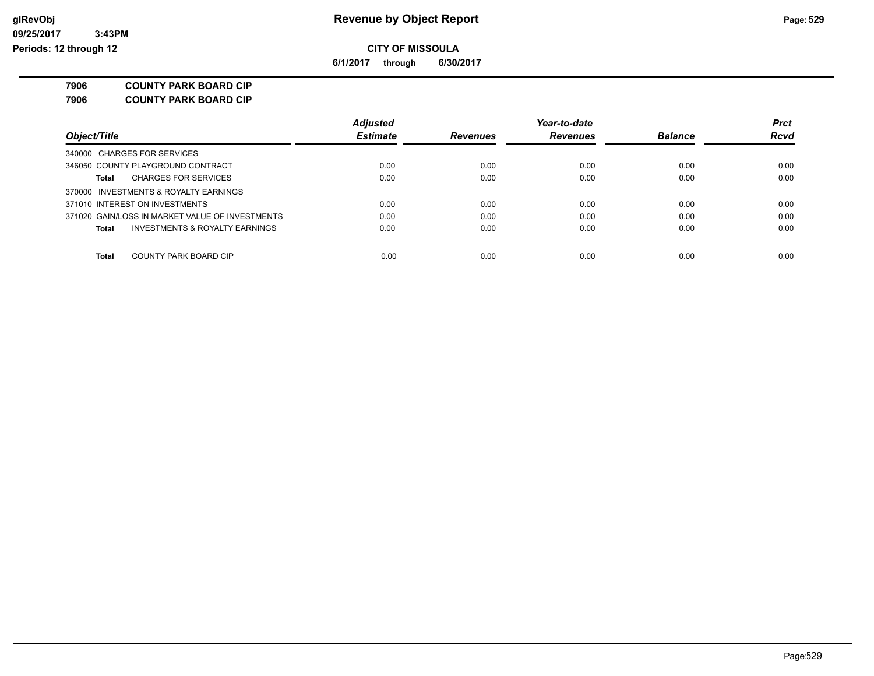**6/1/2017 through 6/30/2017**

**7906 COUNTY PARK BOARD CIP**

**7906 COUNTY PARK BOARD CIP**

|                                                 | <b>Adjusted</b> |                 | Year-to-date    |                | <b>Prct</b> |
|-------------------------------------------------|-----------------|-----------------|-----------------|----------------|-------------|
| Object/Title                                    | <b>Estimate</b> | <b>Revenues</b> | <b>Revenues</b> | <b>Balance</b> | <b>Rcvd</b> |
| 340000 CHARGES FOR SERVICES                     |                 |                 |                 |                |             |
| 346050 COUNTY PLAYGROUND CONTRACT               | 0.00            | 0.00            | 0.00            | 0.00           | 0.00        |
| <b>CHARGES FOR SERVICES</b><br>Total            | 0.00            | 0.00            | 0.00            | 0.00           | 0.00        |
| 370000 INVESTMENTS & ROYALTY EARNINGS           |                 |                 |                 |                |             |
| 371010 INTEREST ON INVESTMENTS                  | 0.00            | 0.00            | 0.00            | 0.00           | 0.00        |
| 371020 GAIN/LOSS IN MARKET VALUE OF INVESTMENTS | 0.00            | 0.00            | 0.00            | 0.00           | 0.00        |
| INVESTMENTS & ROYALTY EARNINGS<br>Total         | 0.00            | 0.00            | 0.00            | 0.00           | 0.00        |
|                                                 |                 |                 |                 |                |             |
| <b>COUNTY PARK BOARD CIP</b><br>Total           | 0.00            | 0.00            | 0.00            | 0.00           | 0.00        |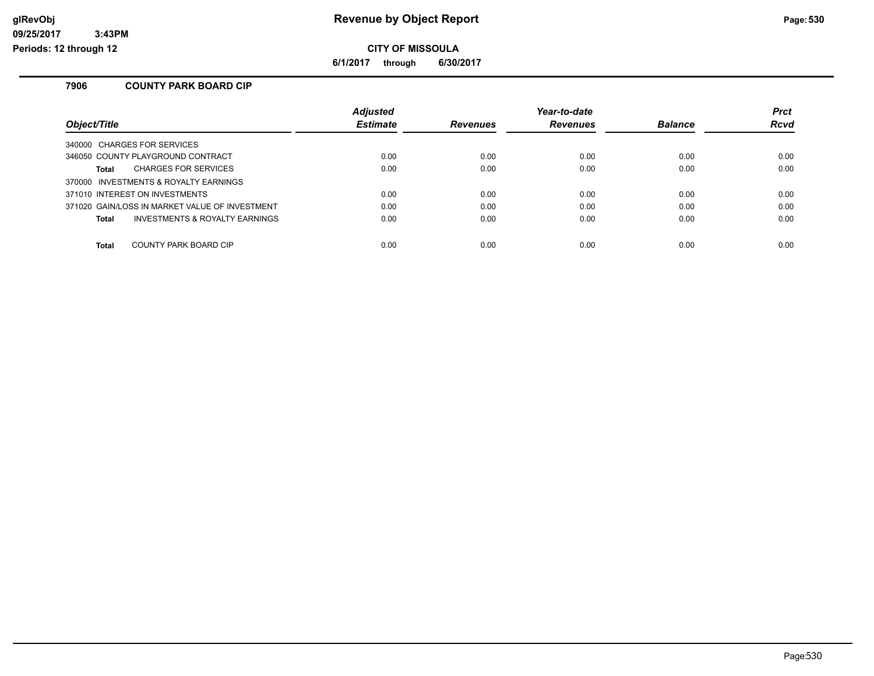**6/1/2017 through 6/30/2017**

# **7906 COUNTY PARK BOARD CIP**

|                                                | Adjusted        |                 | Year-to-date    |                | <b>Prct</b> |
|------------------------------------------------|-----------------|-----------------|-----------------|----------------|-------------|
| Object/Title                                   | <b>Estimate</b> | <b>Revenues</b> | <b>Revenues</b> | <b>Balance</b> | <b>Rcvd</b> |
| 340000 CHARGES FOR SERVICES                    |                 |                 |                 |                |             |
| 346050 COUNTY PLAYGROUND CONTRACT              | 0.00            | 0.00            | 0.00            | 0.00           | 0.00        |
| <b>CHARGES FOR SERVICES</b><br>Total           | 0.00            | 0.00            | 0.00            | 0.00           | 0.00        |
| 370000 INVESTMENTS & ROYALTY EARNINGS          |                 |                 |                 |                |             |
| 371010 INTEREST ON INVESTMENTS                 | 0.00            | 0.00            | 0.00            | 0.00           | 0.00        |
| 371020 GAIN/LOSS IN MARKET VALUE OF INVESTMENT | 0.00            | 0.00            | 0.00            | 0.00           | 0.00        |
| INVESTMENTS & ROYALTY EARNINGS<br>Total        | 0.00            | 0.00            | 0.00            | 0.00           | 0.00        |
| Total<br>COUNTY PARK BOARD CIP                 | 0.00            | 0.00            | 0.00            | 0.00           | 0.00        |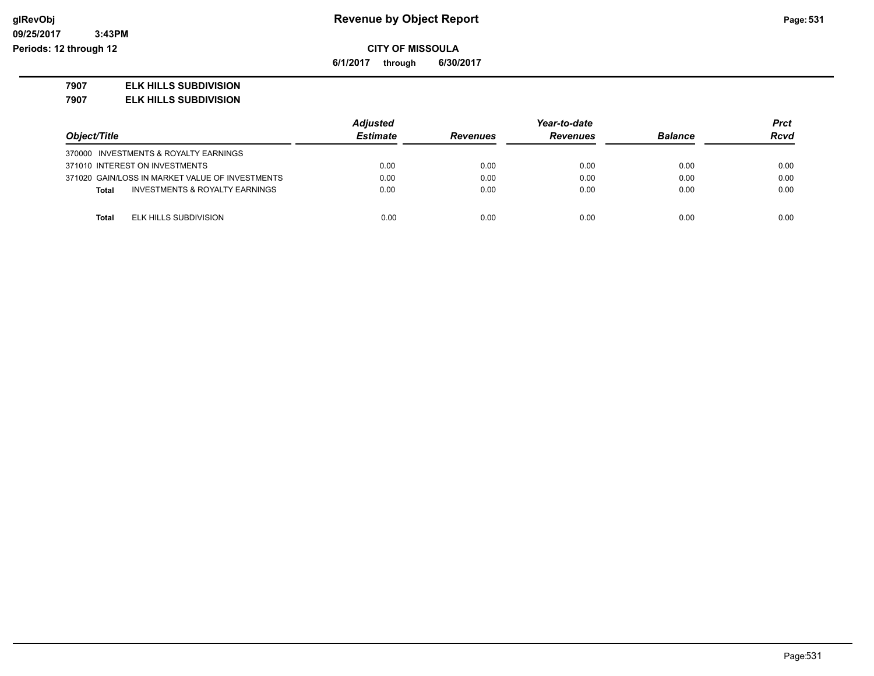**6/1/2017 through 6/30/2017**

# **7907 ELK HILLS SUBDIVISION**

**7907 ELK HILLS SUBDIVISION**

|                                                 | <b>Adjusted</b> |                 | Year-to-date    |                | Prct |
|-------------------------------------------------|-----------------|-----------------|-----------------|----------------|------|
| Object/Title                                    | <b>Estimate</b> | <b>Revenues</b> | <b>Revenues</b> | <b>Balance</b> | Rcvd |
| 370000 INVESTMENTS & ROYALTY EARNINGS           |                 |                 |                 |                |      |
| 371010 INTEREST ON INVESTMENTS                  | 0.00            | 0.00            | 0.00            | 0.00           | 0.00 |
| 371020 GAIN/LOSS IN MARKET VALUE OF INVESTMENTS | 0.00            | 0.00            | 0.00            | 0.00           | 0.00 |
| INVESTMENTS & ROYALTY EARNINGS<br><b>Total</b>  | 0.00            | 0.00            | 0.00            | 0.00           | 0.00 |
| <b>Total</b><br>ELK HILLS SUBDIVISION           | 0.00            | 0.00            | 0.00            | 0.00           | 0.00 |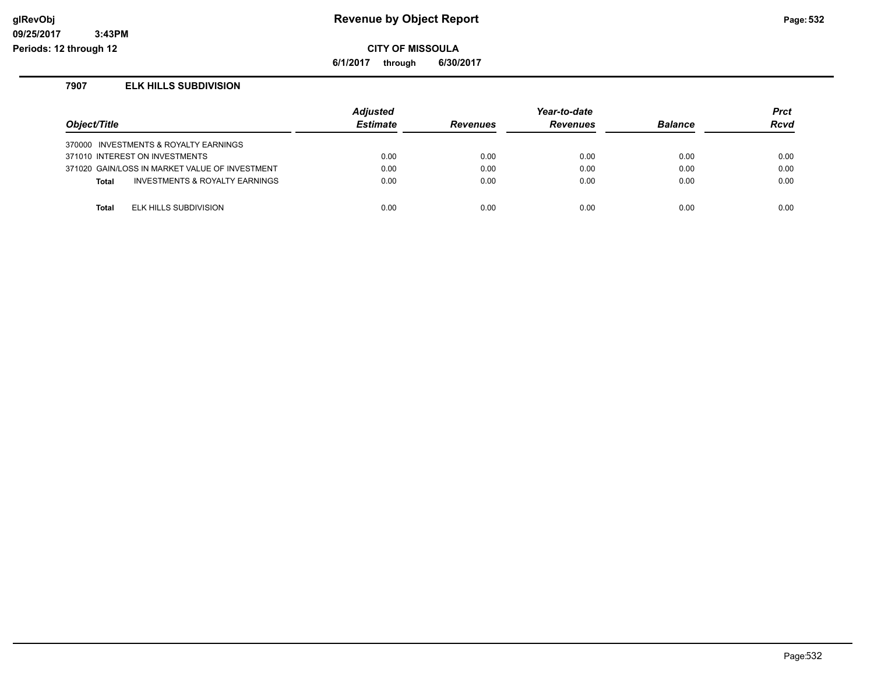**6/1/2017 through 6/30/2017**

#### **7907 ELK HILLS SUBDIVISION**

| Object/Title |                                                | <b>Adjusted</b><br><b>Estimate</b> | <b>Revenues</b> | Year-to-date<br><b>Revenues</b> | <b>Balance</b> | <b>Prct</b><br><b>Rcvd</b> |
|--------------|------------------------------------------------|------------------------------------|-----------------|---------------------------------|----------------|----------------------------|
|              | 370000 INVESTMENTS & ROYALTY EARNINGS          |                                    |                 |                                 |                |                            |
|              | 371010 INTEREST ON INVESTMENTS                 | 0.00                               | 0.00            | 0.00                            | 0.00           | 0.00                       |
|              | 371020 GAIN/LOSS IN MARKET VALUE OF INVESTMENT | 0.00                               | 0.00            | 0.00                            | 0.00           | 0.00                       |
| <b>Total</b> | INVESTMENTS & ROYALTY EARNINGS                 | 0.00                               | 0.00            | 0.00                            | 0.00           | 0.00                       |
|              |                                                |                                    |                 |                                 |                |                            |
| Total        | ELK HILLS SUBDIVISION                          | 0.00                               | 0.00            | 0.00                            | 0.00           | 0.00                       |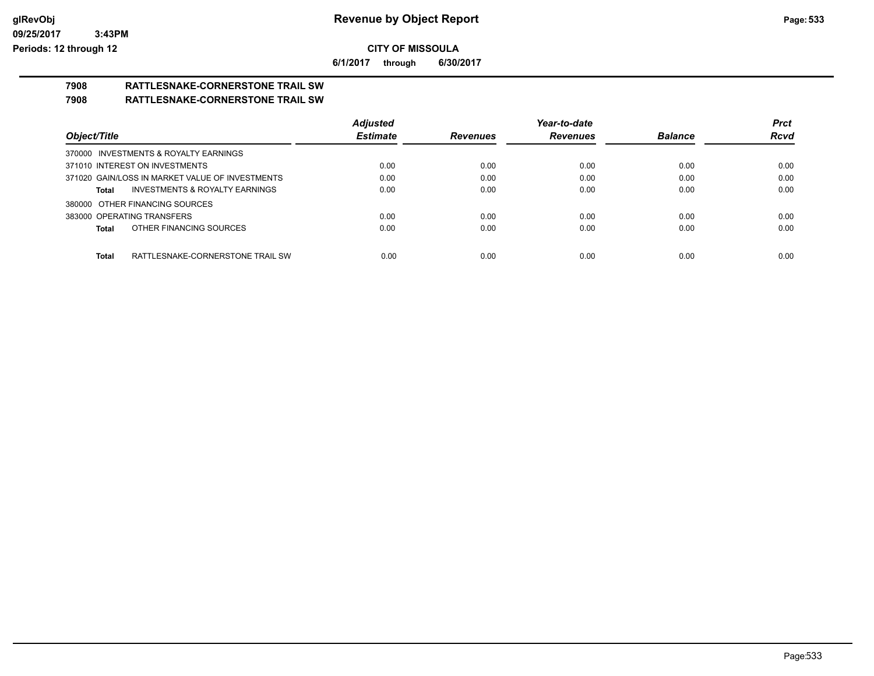**6/1/2017 through 6/30/2017**

# **7908 RATTLESNAKE-CORNERSTONE TRAIL SW**

# **7908 RATTLESNAKE-CORNERSTONE TRAIL SW**

|                                                 | <b>Adjusted</b> |                 | Year-to-date    |                | <b>Prct</b> |
|-------------------------------------------------|-----------------|-----------------|-----------------|----------------|-------------|
| Object/Title                                    | <b>Estimate</b> | <b>Revenues</b> | <b>Revenues</b> | <b>Balance</b> | <b>Rcvd</b> |
| 370000 INVESTMENTS & ROYALTY EARNINGS           |                 |                 |                 |                |             |
| 371010 INTEREST ON INVESTMENTS                  | 0.00            | 0.00            | 0.00            | 0.00           | 0.00        |
| 371020 GAIN/LOSS IN MARKET VALUE OF INVESTMENTS | 0.00            | 0.00            | 0.00            | 0.00           | 0.00        |
| INVESTMENTS & ROYALTY EARNINGS<br>Total         | 0.00            | 0.00            | 0.00            | 0.00           | 0.00        |
| 380000 OTHER FINANCING SOURCES                  |                 |                 |                 |                |             |
| 383000 OPERATING TRANSFERS                      | 0.00            | 0.00            | 0.00            | 0.00           | 0.00        |
| OTHER FINANCING SOURCES<br>Total                | 0.00            | 0.00            | 0.00            | 0.00           | 0.00        |
|                                                 |                 |                 |                 |                |             |
| Total<br>RATTLESNAKE-CORNERSTONE TRAIL SW       | 0.00            | 0.00            | 0.00            | 0.00           | 0.00        |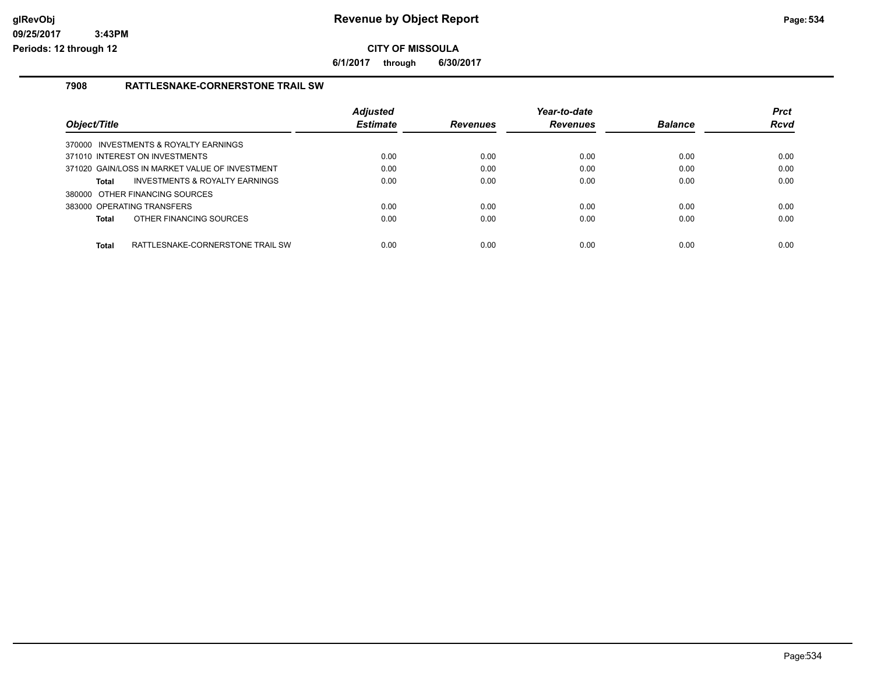**6/1/2017 through 6/30/2017**

#### **7908 RATTLESNAKE-CORNERSTONE TRAIL SW**

|                                                | <b>Adjusted</b> |                 | Year-to-date    |                | <b>Prct</b> |
|------------------------------------------------|-----------------|-----------------|-----------------|----------------|-------------|
| Object/Title                                   | <b>Estimate</b> | <b>Revenues</b> | <b>Revenues</b> | <b>Balance</b> | <b>Rcvd</b> |
| 370000 INVESTMENTS & ROYALTY EARNINGS          |                 |                 |                 |                |             |
| 371010 INTEREST ON INVESTMENTS                 | 0.00            | 0.00            | 0.00            | 0.00           | 0.00        |
| 371020 GAIN/LOSS IN MARKET VALUE OF INVESTMENT | 0.00            | 0.00            | 0.00            | 0.00           | 0.00        |
| INVESTMENTS & ROYALTY EARNINGS<br>Total        | 0.00            | 0.00            | 0.00            | 0.00           | 0.00        |
| 380000 OTHER FINANCING SOURCES                 |                 |                 |                 |                |             |
| 383000 OPERATING TRANSFERS                     | 0.00            | 0.00            | 0.00            | 0.00           | 0.00        |
| OTHER FINANCING SOURCES<br>Total               | 0.00            | 0.00            | 0.00            | 0.00           | 0.00        |
|                                                |                 |                 |                 |                |             |
| Total<br>RATTLESNAKE-CORNERSTONE TRAIL SW      | 0.00            | 0.00            | 0.00            | 0.00           | 0.00        |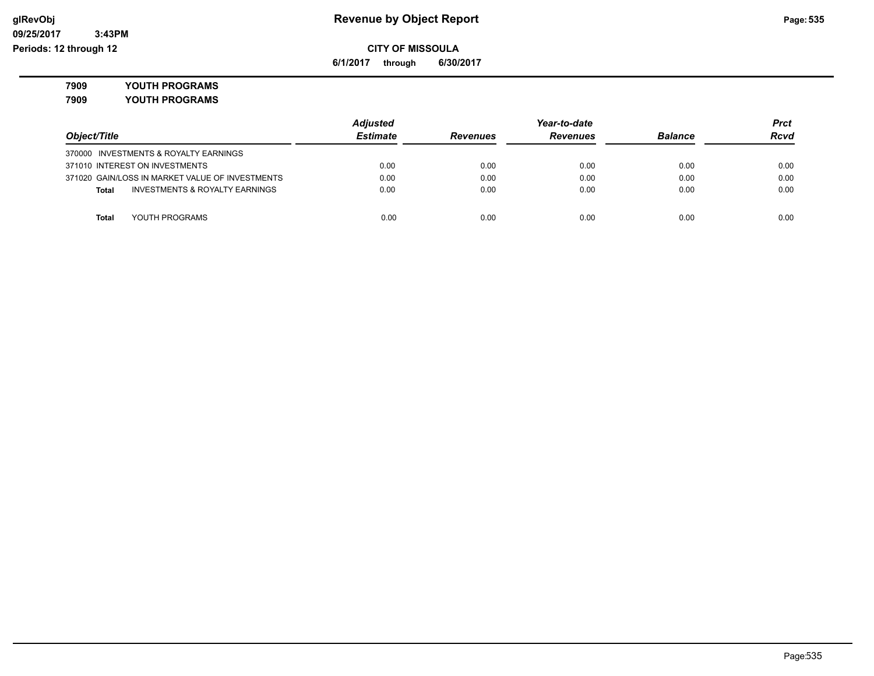**6/1/2017 through 6/30/2017**

# **7909 YOUTH PROGRAMS**

**7909 YOUTH PROGRAMS**

|                                                           | <b>Adjusted</b> |                 | Year-to-date    |                |             |
|-----------------------------------------------------------|-----------------|-----------------|-----------------|----------------|-------------|
| Object/Title                                              | <b>Estimate</b> | <b>Revenues</b> | <b>Revenues</b> | <b>Balance</b> | <b>Rcvd</b> |
| 370000 INVESTMENTS & ROYALTY EARNINGS                     |                 |                 |                 |                |             |
| 371010 INTEREST ON INVESTMENTS                            | 0.00            | 0.00            | 0.00            | 0.00           | 0.00        |
| 371020 GAIN/LOSS IN MARKET VALUE OF INVESTMENTS           | 0.00            | 0.00            | 0.00            | 0.00           | 0.00        |
| <b>INVESTMENTS &amp; ROYALTY EARNINGS</b><br><b>Total</b> | 0.00            | 0.00            | 0.00            | 0.00           | 0.00        |
|                                                           |                 |                 |                 |                |             |
| YOUTH PROGRAMS<br><b>Total</b>                            | 0.00            | 0.00            | 0.00            | 0.00           | 0.00        |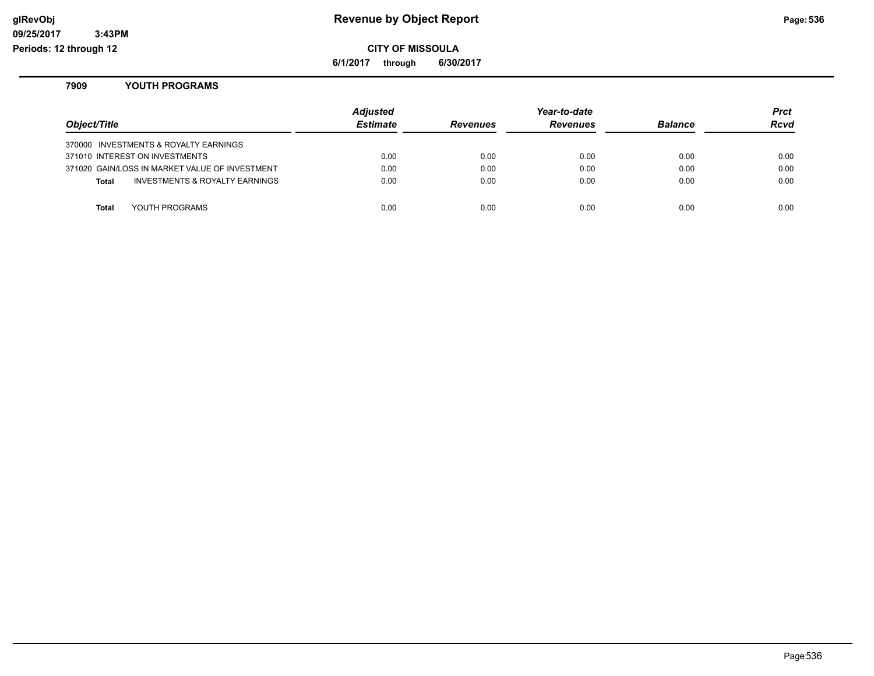**6/1/2017 through 6/30/2017**

#### **7909 YOUTH PROGRAMS**

| Object/Title                                              | Adjusted<br><b>Estimate</b> | <b>Revenues</b> | Year-to-date<br><b>Revenues</b> | <b>Balance</b> | <b>Prct</b><br><b>Rcvd</b> |
|-----------------------------------------------------------|-----------------------------|-----------------|---------------------------------|----------------|----------------------------|
| 370000 INVESTMENTS & ROYALTY EARNINGS                     |                             |                 |                                 |                |                            |
| 371010 INTEREST ON INVESTMENTS                            | 0.00                        | 0.00            | 0.00                            | 0.00           | 0.00                       |
| 371020 GAIN/LOSS IN MARKET VALUE OF INVESTMENT            | 0.00                        | 0.00            | 0.00                            | 0.00           | 0.00                       |
| <b>INVESTMENTS &amp; ROYALTY EARNINGS</b><br><b>Total</b> | 0.00                        | 0.00            | 0.00                            | 0.00           | 0.00                       |
|                                                           |                             |                 |                                 |                |                            |
| YOUTH PROGRAMS<br>Tota                                    | 0.00                        | 0.00            | 0.00                            | 0.00           | 0.00                       |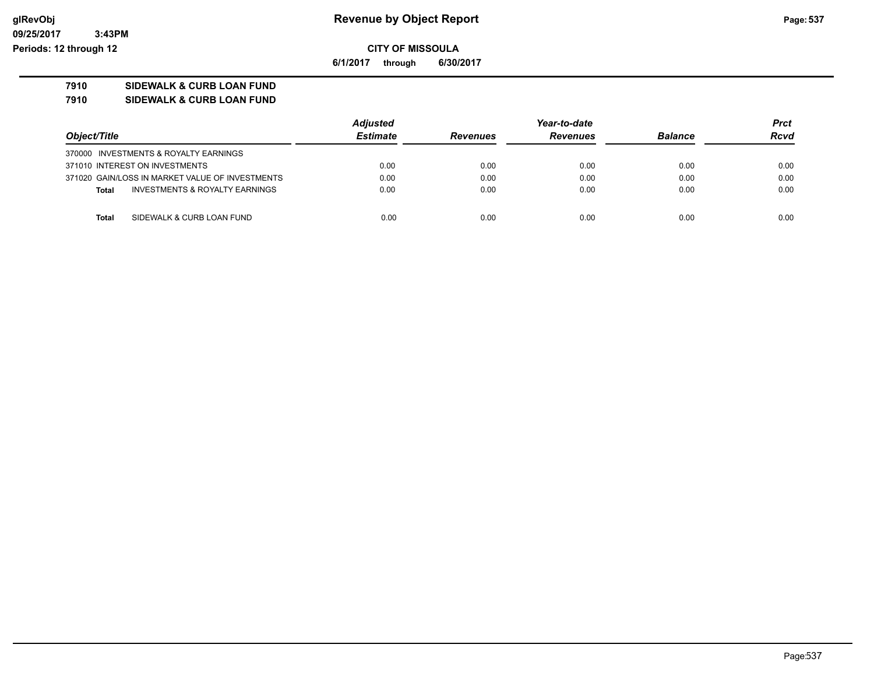**6/1/2017 through 6/30/2017**

# **7910 SIDEWALK & CURB LOAN FUND**

**7910 SIDEWALK & CURB LOAN FUND**

|                                                 | <b>Adjusted</b> |                 | Year-to-date    |                |      |
|-------------------------------------------------|-----------------|-----------------|-----------------|----------------|------|
| Object/Title                                    | <b>Estimate</b> | <b>Revenues</b> | <b>Revenues</b> | <b>Balance</b> | Rcvd |
| 370000 INVESTMENTS & ROYALTY EARNINGS           |                 |                 |                 |                |      |
| 371010 INTEREST ON INVESTMENTS                  | 0.00            | 0.00            | 0.00            | 0.00           | 0.00 |
| 371020 GAIN/LOSS IN MARKET VALUE OF INVESTMENTS | 0.00            | 0.00            | 0.00            | 0.00           | 0.00 |
| INVESTMENTS & ROYALTY EARNINGS<br><b>Total</b>  | 0.00            | 0.00            | 0.00            | 0.00           | 0.00 |
| SIDEWALK & CURB LOAN FUND<br><b>Total</b>       | 0.00            | 0.00            | 0.00            | 0.00           | 0.00 |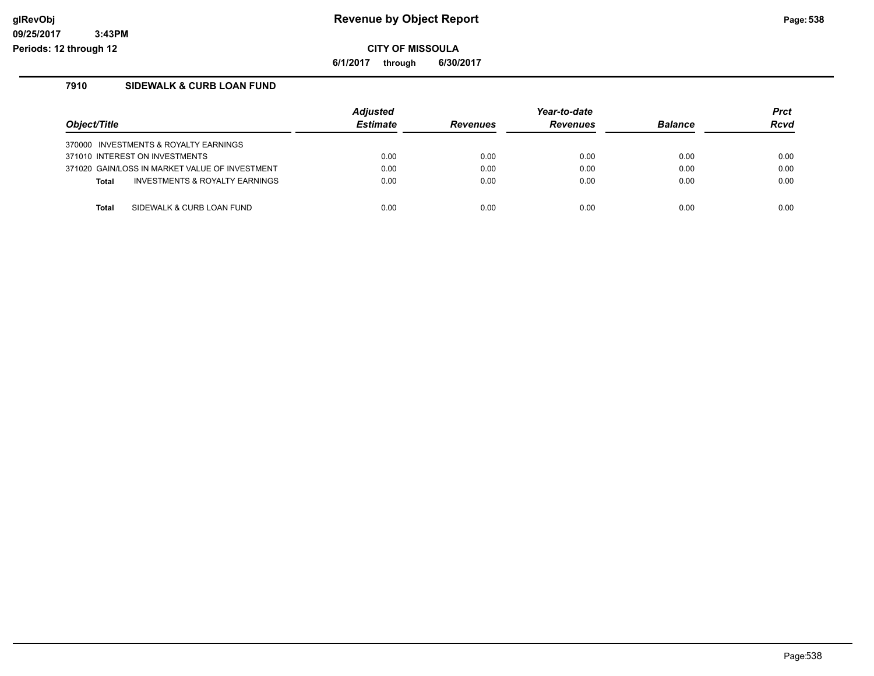**6/1/2017 through 6/30/2017**

# **7910 SIDEWALK & CURB LOAN FUND**

| Object/Title                                   | <b>Adjusted</b><br><b>Estimate</b> | <b>Revenues</b> | Year-to-date<br><b>Revenues</b> | <b>Balance</b> | <b>Prct</b><br>Rcvd |
|------------------------------------------------|------------------------------------|-----------------|---------------------------------|----------------|---------------------|
| 370000 INVESTMENTS & ROYALTY EARNINGS          |                                    |                 |                                 |                |                     |
| 371010 INTEREST ON INVESTMENTS                 | 0.00                               | 0.00            | 0.00                            | 0.00           | 0.00                |
| 371020 GAIN/LOSS IN MARKET VALUE OF INVESTMENT | 0.00                               | 0.00            | 0.00                            | 0.00           | 0.00                |
| INVESTMENTS & ROYALTY EARNINGS<br><b>Total</b> | 0.00                               | 0.00            | 0.00                            | 0.00           | 0.00                |
|                                                |                                    |                 |                                 |                |                     |
| SIDEWALK & CURB LOAN FUND<br>Total             | 0.00                               | 0.00            | 0.00                            | 0.00           | 0.00                |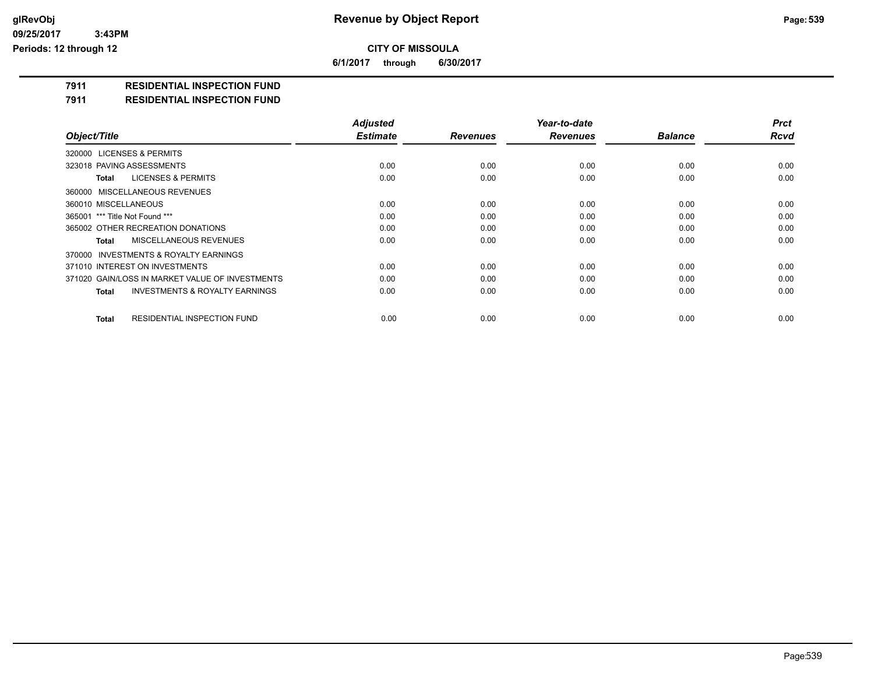**6/1/2017 through 6/30/2017**

**7911 RESIDENTIAL INSPECTION FUND**

**7911 RESIDENTIAL INSPECTION FUND**

|                                                    | <b>Adjusted</b> |                 | Year-to-date    |                | <b>Prct</b> |
|----------------------------------------------------|-----------------|-----------------|-----------------|----------------|-------------|
| Object/Title                                       | <b>Estimate</b> | <b>Revenues</b> | <b>Revenues</b> | <b>Balance</b> | <b>Rcvd</b> |
| 320000 LICENSES & PERMITS                          |                 |                 |                 |                |             |
| 323018 PAVING ASSESSMENTS                          | 0.00            | 0.00            | 0.00            | 0.00           | 0.00        |
| <b>LICENSES &amp; PERMITS</b><br>Total             | 0.00            | 0.00            | 0.00            | 0.00           | 0.00        |
| 360000 MISCELLANEOUS REVENUES                      |                 |                 |                 |                |             |
| 360010 MISCELLANEOUS                               | 0.00            | 0.00            | 0.00            | 0.00           | 0.00        |
| 365001 *** Title Not Found ***                     | 0.00            | 0.00            | 0.00            | 0.00           | 0.00        |
| 365002 OTHER RECREATION DONATIONS                  | 0.00            | 0.00            | 0.00            | 0.00           | 0.00        |
| MISCELLANEOUS REVENUES<br>Total                    | 0.00            | 0.00            | 0.00            | 0.00           | 0.00        |
| 370000 INVESTMENTS & ROYALTY EARNINGS              |                 |                 |                 |                |             |
| 371010 INTEREST ON INVESTMENTS                     | 0.00            | 0.00            | 0.00            | 0.00           | 0.00        |
| 371020 GAIN/LOSS IN MARKET VALUE OF INVESTMENTS    | 0.00            | 0.00            | 0.00            | 0.00           | 0.00        |
| <b>INVESTMENTS &amp; ROYALTY EARNINGS</b><br>Total | 0.00            | 0.00            | 0.00            | 0.00           | 0.00        |
|                                                    |                 |                 |                 |                |             |
| <b>RESIDENTIAL INSPECTION FUND</b><br>Total        | 0.00            | 0.00            | 0.00            | 0.00           | 0.00        |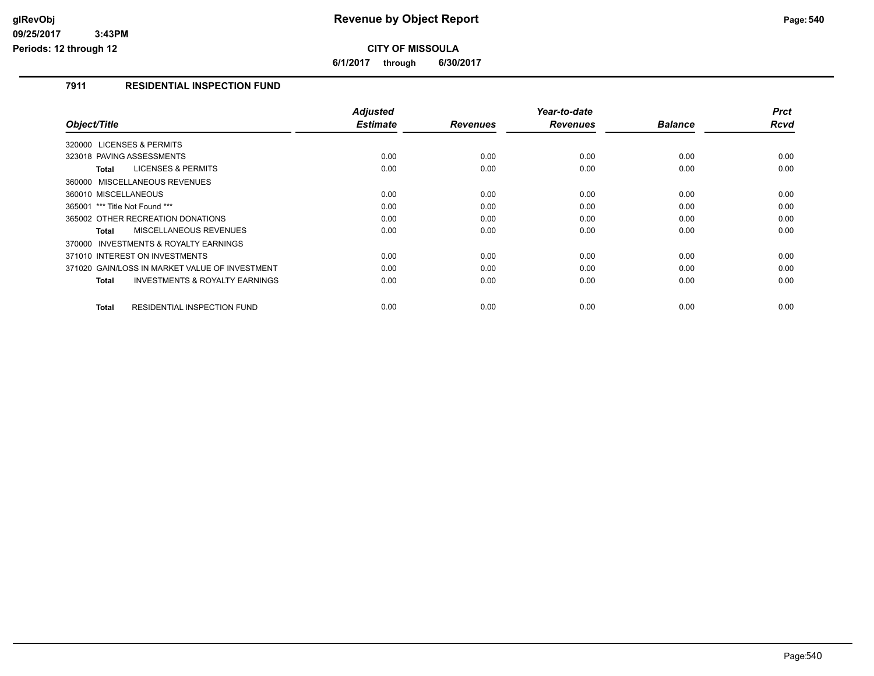**6/1/2017 through 6/30/2017**

# **7911 RESIDENTIAL INSPECTION FUND**

| Object/Title                                              | <b>Adjusted</b><br><b>Estimate</b> | <b>Revenues</b> | Year-to-date<br><b>Revenues</b> | <b>Balance</b> | <b>Prct</b><br><b>Rcvd</b> |
|-----------------------------------------------------------|------------------------------------|-----------------|---------------------------------|----------------|----------------------------|
|                                                           |                                    |                 |                                 |                |                            |
| 320000 LICENSES & PERMITS                                 |                                    |                 |                                 |                |                            |
| 323018 PAVING ASSESSMENTS                                 | 0.00                               | 0.00            | 0.00                            | 0.00           | 0.00                       |
| <b>LICENSES &amp; PERMITS</b><br><b>Total</b>             | 0.00                               | 0.00            | 0.00                            | 0.00           | 0.00                       |
| 360000 MISCELLANEOUS REVENUES                             |                                    |                 |                                 |                |                            |
| 360010 MISCELLANEOUS                                      | 0.00                               | 0.00            | 0.00                            | 0.00           | 0.00                       |
| 365001 *** Title Not Found ***                            | 0.00                               | 0.00            | 0.00                            | 0.00           | 0.00                       |
| 365002 OTHER RECREATION DONATIONS                         | 0.00                               | 0.00            | 0.00                            | 0.00           | 0.00                       |
| <b>MISCELLANEOUS REVENUES</b><br><b>Total</b>             | 0.00                               | 0.00            | 0.00                            | 0.00           | 0.00                       |
| 370000 INVESTMENTS & ROYALTY EARNINGS                     |                                    |                 |                                 |                |                            |
| 371010 INTEREST ON INVESTMENTS                            | 0.00                               | 0.00            | 0.00                            | 0.00           | 0.00                       |
| 371020 GAIN/LOSS IN MARKET VALUE OF INVESTMENT            | 0.00                               | 0.00            | 0.00                            | 0.00           | 0.00                       |
| <b>INVESTMENTS &amp; ROYALTY EARNINGS</b><br><b>Total</b> | 0.00                               | 0.00            | 0.00                            | 0.00           | 0.00                       |
|                                                           |                                    |                 |                                 |                |                            |
| RESIDENTIAL INSPECTION FUND<br><b>Total</b>               | 0.00                               | 0.00            | 0.00                            | 0.00           | 0.00                       |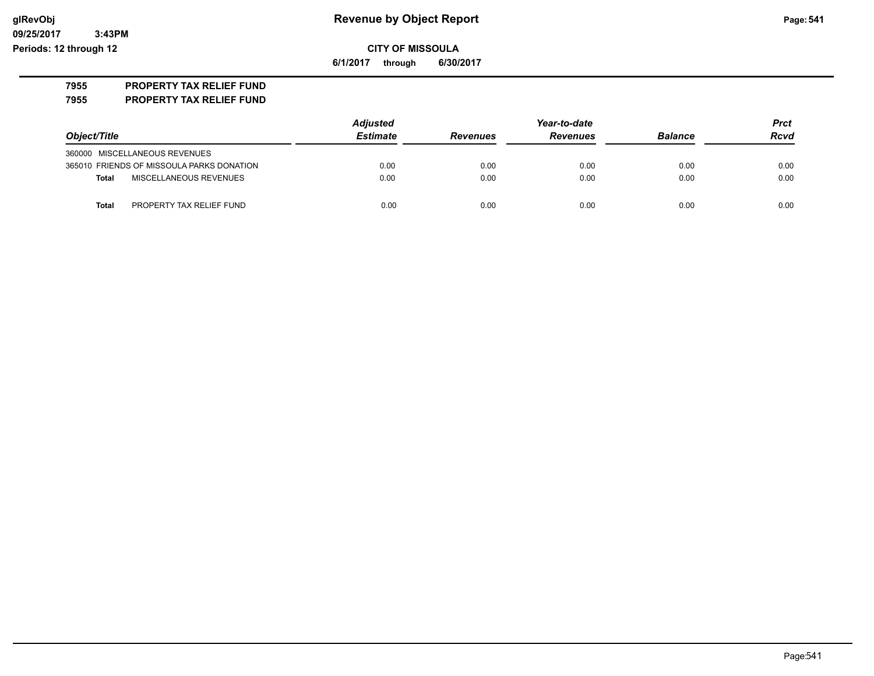**09/25/2017 3:43PM Periods: 12 through 12**

**CITY OF MISSOULA**

**6/1/2017 through 6/30/2017**

# **7955 PROPERTY TAX RELIEF FUND**

**7955 PROPERTY TAX RELIEF FUND**

|                                           | <b>Adjusted</b> |                 | Year-to-date    |                | <b>Prct</b> |
|-------------------------------------------|-----------------|-----------------|-----------------|----------------|-------------|
| Object/Title                              | <b>Estimate</b> | <b>Revenues</b> | <b>Revenues</b> | <b>Balance</b> | <b>Rcvd</b> |
| 360000 MISCELLANEOUS REVENUES             |                 |                 |                 |                |             |
| 365010 FRIENDS OF MISSOULA PARKS DONATION | 0.00            | 0.00            | 0.00            | 0.00           | 0.00        |
| MISCELLANEOUS REVENUES<br>Total           | 0.00            | 0.00            | 0.00            | 0.00           | 0.00        |
| PROPERTY TAX RELIEF FUND<br><b>Total</b>  | 0.00            | 0.00            | 0.00            | 0.00           | 0.00        |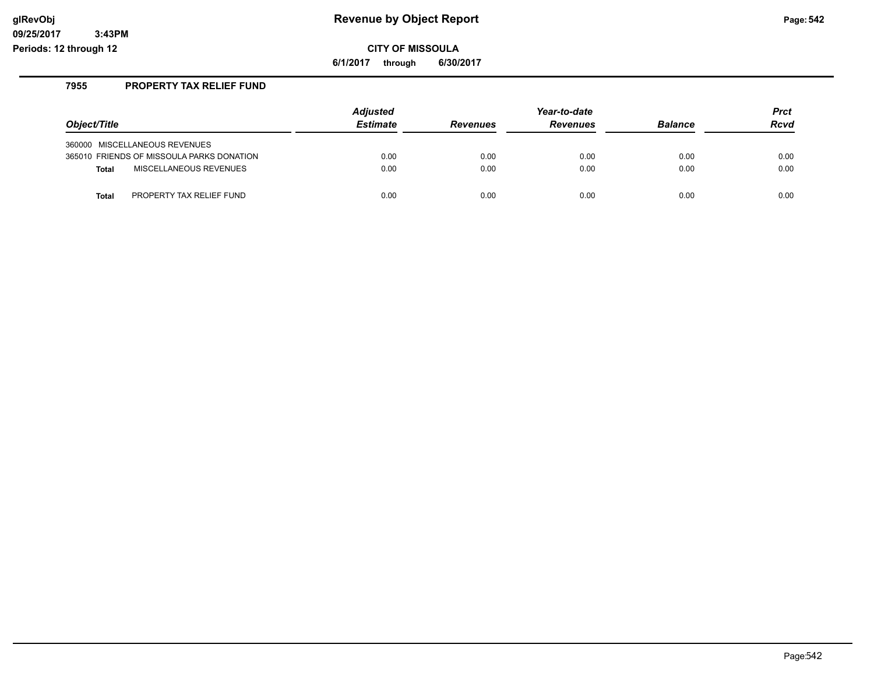**6/1/2017 through 6/30/2017**

### **7955 PROPERTY TAX RELIEF FUND**

| Object/Title |                                           | Adjusted<br><b>Estimate</b> | <b>Revenues</b> | Year-to-date<br><b>Revenues</b> | <b>Balance</b> | <b>Prct</b><br><b>Rcvd</b> |
|--------------|-------------------------------------------|-----------------------------|-----------------|---------------------------------|----------------|----------------------------|
|              | 360000 MISCELLANEOUS REVENUES             |                             |                 |                                 |                |                            |
|              | 365010 FRIENDS OF MISSOULA PARKS DONATION | 0.00                        | 0.00            | 0.00                            | 0.00           | 0.00                       |
| <b>Total</b> | MISCELLANEOUS REVENUES                    | 0.00                        | 0.00            | 0.00                            | 0.00           | 0.00                       |
| Total        | PROPERTY TAX RELIEF FUND                  | 0.00                        | 0.00            | 0.00                            | 0.00           | 0.00                       |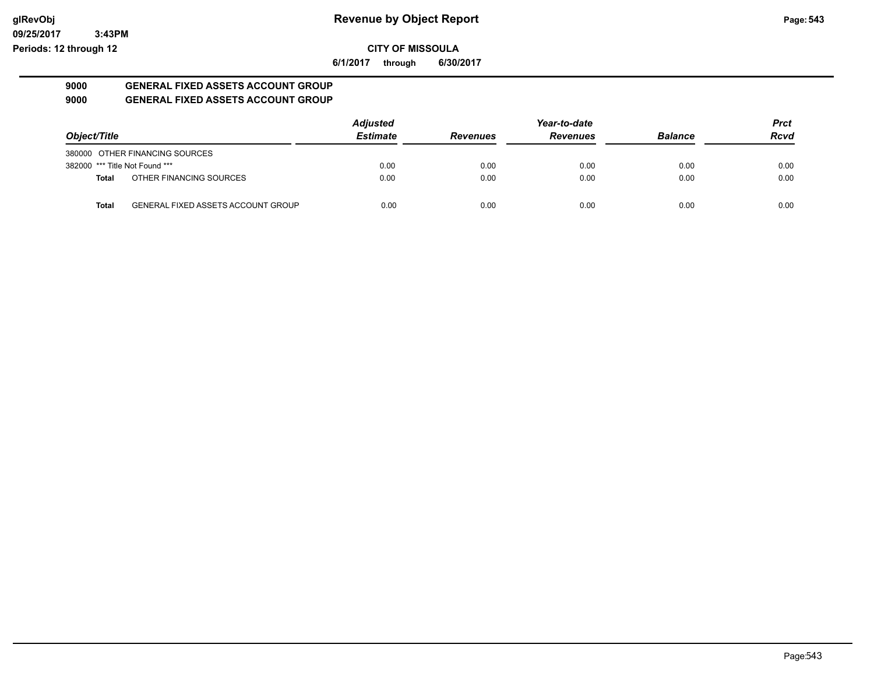#### **09/25/2017 3:43PM Periods: 12 through 12**

**CITY OF MISSOULA**

**6/1/2017 through 6/30/2017**

### **9000 GENERAL FIXED ASSETS ACCOUNT GROUP 9000 GENERAL FIXED ASSETS ACCOUNT GROUP**

| Object/Title                   |                                           | <b>Adjusted</b> |                 | Year-to-date    |                | Prct |
|--------------------------------|-------------------------------------------|-----------------|-----------------|-----------------|----------------|------|
|                                |                                           | <b>Estimate</b> | <b>Revenues</b> | <b>Revenues</b> | <b>Balance</b> | Rcvd |
|                                | 380000 OTHER FINANCING SOURCES            |                 |                 |                 |                |      |
| 382000 *** Title Not Found *** |                                           | 0.00            | 0.00            | 0.00            | 0.00           | 0.00 |
| <b>Total</b>                   | OTHER FINANCING SOURCES                   | 0.00            | 0.00            | 0.00            | 0.00           | 0.00 |
| <b>Total</b>                   | <b>GENERAL FIXED ASSETS ACCOUNT GROUP</b> | 0.00            | 0.00            | 0.00            | 0.00           | 0.00 |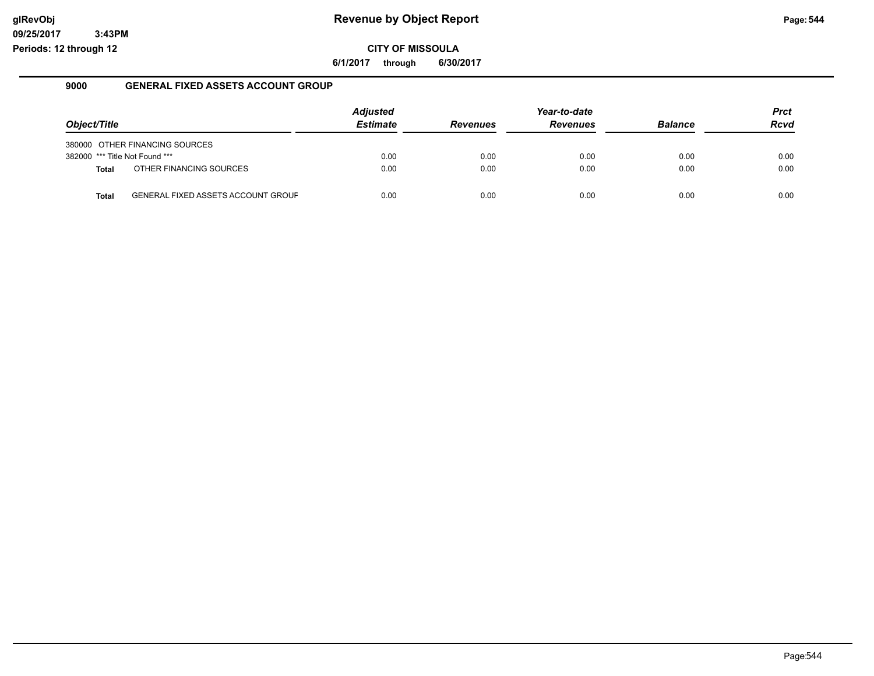**6/1/2017 through 6/30/2017**

### **9000 GENERAL FIXED ASSETS ACCOUNT GROUP**

| Object/Title                   |                                           | <b>Adjusted</b><br><b>Estimate</b> | <b>Revenues</b> | Year-to-date<br><b>Revenues</b> | <b>Balance</b> | <b>Prct</b><br><b>Rcvd</b> |
|--------------------------------|-------------------------------------------|------------------------------------|-----------------|---------------------------------|----------------|----------------------------|
|                                | 380000 OTHER FINANCING SOURCES            |                                    |                 |                                 |                |                            |
| 382000 *** Title Not Found *** |                                           | 0.00                               | 0.00            | 0.00                            | 0.00           | 0.00                       |
| <b>Total</b>                   | OTHER FINANCING SOURCES                   | 0.00                               | 0.00            | 0.00                            | 0.00           | 0.00                       |
| <b>Total</b>                   | <b>GENERAL FIXED ASSETS ACCOUNT GROUF</b> | 0.00                               | 0.00            | 0.00                            | 0.00           | 0.00                       |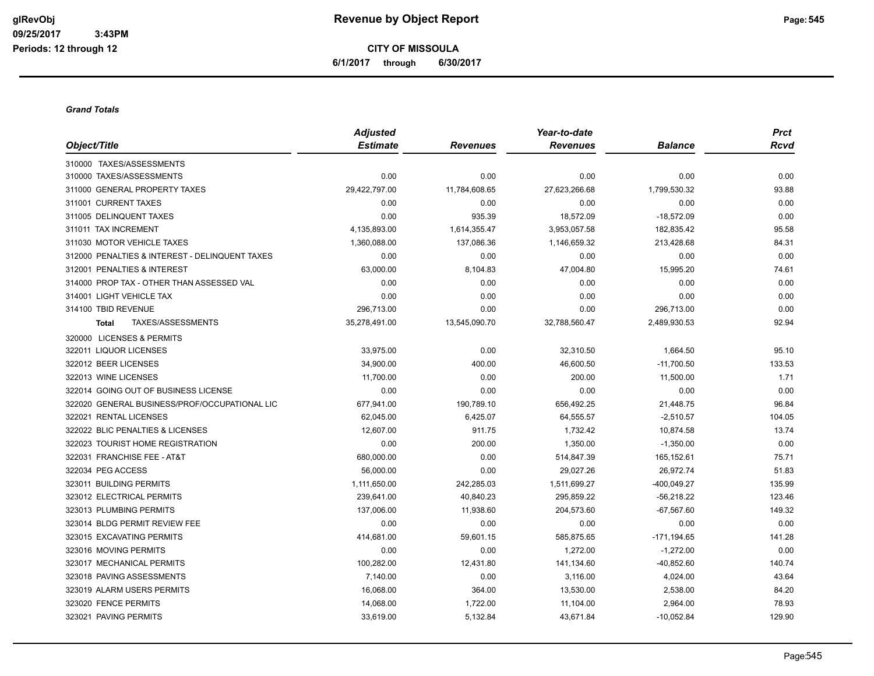**CITY OF MISSOULA 6/1/2017 through 6/30/2017**

#### *Grand Totals*

|                                                | <b>Adjusted</b> |                 | Year-to-date    |                | <b>Prct</b> |
|------------------------------------------------|-----------------|-----------------|-----------------|----------------|-------------|
| Object/Title                                   | <b>Estimate</b> | <b>Revenues</b> | <b>Revenues</b> | <b>Balance</b> | <b>Rcvd</b> |
| 310000 TAXES/ASSESSMENTS                       |                 |                 |                 |                |             |
| 310000 TAXES/ASSESSMENTS                       | 0.00            | 0.00            | 0.00            | 0.00           | 0.00        |
| 311000 GENERAL PROPERTY TAXES                  | 29,422,797.00   | 11,784,608.65   | 27,623,266.68   | 1,799,530.32   | 93.88       |
| 311001 CURRENT TAXES                           | 0.00            | 0.00            | 0.00            | 0.00           | 0.00        |
| 311005 DELINQUENT TAXES                        | 0.00            | 935.39          | 18,572.09       | $-18,572.09$   | 0.00        |
| 311011 TAX INCREMENT                           | 4,135,893.00    | 1,614,355.47    | 3,953,057.58    | 182,835.42     | 95.58       |
| 311030 MOTOR VEHICLE TAXES                     | 1,360,088.00    | 137,086.36      | 1,146,659.32    | 213,428.68     | 84.31       |
| 312000 PENALTIES & INTEREST - DELINQUENT TAXES | 0.00            | 0.00            | 0.00            | 0.00           | 0.00        |
| 312001 PENALTIES & INTEREST                    | 63,000.00       | 8,104.83        | 47,004.80       | 15,995.20      | 74.61       |
| 314000 PROP TAX - OTHER THAN ASSESSED VAL      | 0.00            | 0.00            | 0.00            | 0.00           | 0.00        |
| 314001 LIGHT VEHICLE TAX                       | 0.00            | 0.00            | 0.00            | 0.00           | 0.00        |
| 314100 TBID REVENUE                            | 296,713.00      | 0.00            | 0.00            | 296,713.00     | 0.00        |
| TAXES/ASSESSMENTS<br><b>Total</b>              | 35,278,491.00   | 13,545,090.70   | 32,788,560.47   | 2,489,930.53   | 92.94       |
| 320000 LICENSES & PERMITS                      |                 |                 |                 |                |             |
| 322011 LIQUOR LICENSES                         | 33,975.00       | 0.00            | 32,310.50       | 1,664.50       | 95.10       |
| 322012 BEER LICENSES                           | 34,900.00       | 400.00          | 46,600.50       | $-11,700.50$   | 133.53      |
| 322013 WINE LICENSES                           | 11,700.00       | 0.00            | 200.00          | 11,500.00      | 1.71        |
| 322014 GOING OUT OF BUSINESS LICENSE           | 0.00            | 0.00            | 0.00            | 0.00           | 0.00        |
| 322020 GENERAL BUSINESS/PROF/OCCUPATIONAL LIC  | 677,941.00      | 190,789.10      | 656,492.25      | 21,448.75      | 96.84       |
| 322021 RENTAL LICENSES                         | 62,045.00       | 6,425.07        | 64,555.57       | $-2,510.57$    | 104.05      |
| 322022 BLIC PENALTIES & LICENSES               | 12.607.00       | 911.75          | 1.732.42        | 10,874.58      | 13.74       |
| 322023 TOURIST HOME REGISTRATION               | 0.00            | 200.00          | 1,350.00        | $-1,350.00$    | 0.00        |
| 322031 FRANCHISE FEE - AT&T                    | 680,000.00      | 0.00            | 514,847.39      | 165,152.61     | 75.71       |
| 322034 PEG ACCESS                              | 56,000.00       | 0.00            | 29,027.26       | 26,972.74      | 51.83       |
| 323011 BUILDING PERMITS                        | 1,111,650.00    | 242,285.03      | 1,511,699.27    | -400,049.27    | 135.99      |
| 323012 ELECTRICAL PERMITS                      | 239,641.00      | 40,840.23       | 295,859.22      | $-56,218.22$   | 123.46      |
| 323013 PLUMBING PERMITS                        | 137,006.00      | 11,938.60       | 204,573.60      | $-67,567.60$   | 149.32      |
| 323014 BLDG PERMIT REVIEW FEE                  | 0.00            | 0.00            | 0.00            | 0.00           | 0.00        |
| 323015 EXCAVATING PERMITS                      | 414,681.00      | 59,601.15       | 585,875.65      | $-171, 194.65$ | 141.28      |
| 323016 MOVING PERMITS                          | 0.00            | 0.00            | 1,272.00        | $-1,272.00$    | 0.00        |
| 323017 MECHANICAL PERMITS                      | 100,282.00      | 12,431.80       | 141,134.60      | $-40,852.60$   | 140.74      |
| 323018 PAVING ASSESSMENTS                      | 7,140.00        | 0.00            | 3,116.00        | 4,024.00       | 43.64       |
| 323019 ALARM USERS PERMITS                     | 16,068.00       | 364.00          | 13,530.00       | 2,538.00       | 84.20       |
| 323020 FENCE PERMITS                           | 14,068.00       | 1,722.00        | 11,104.00       | 2,964.00       | 78.93       |
| 323021 PAVING PERMITS                          | 33,619.00       | 5,132.84        | 43,671.84       | $-10,052.84$   | 129.90      |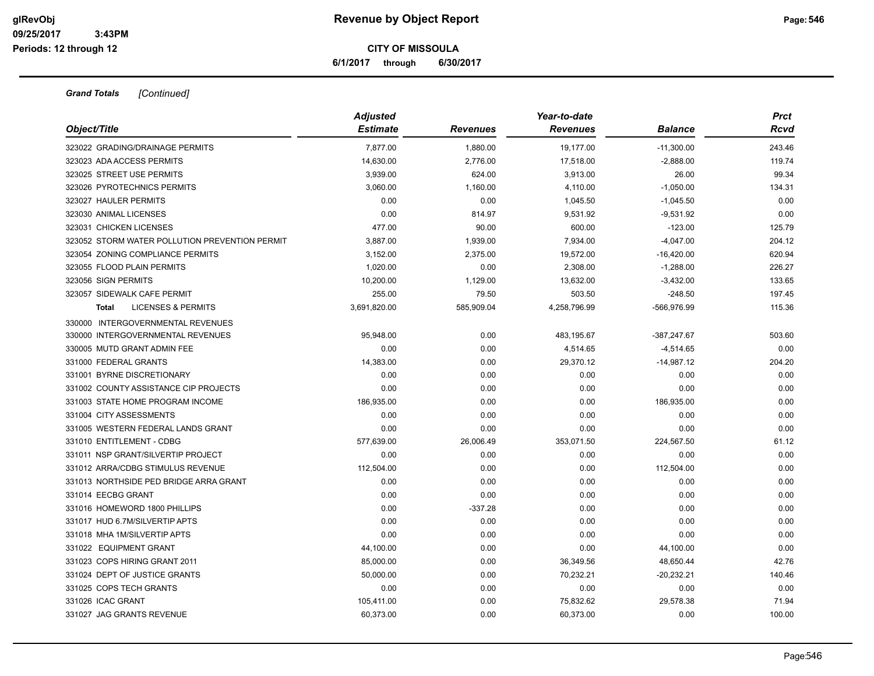**6/1/2017 through 6/30/2017**

| Object/Title                                   | <b>Adjusted</b><br><b>Estimate</b> | Revenues   | Year-to-date<br><b>Revenues</b> | <b>Balance</b> | <b>Prct</b><br>Rcvd |
|------------------------------------------------|------------------------------------|------------|---------------------------------|----------------|---------------------|
| 323022 GRADING/DRAINAGE PERMITS                | 7,877.00                           | 1,880.00   | 19,177.00                       | $-11,300.00$   | 243.46              |
| 323023 ADA ACCESS PERMITS                      | 14,630.00                          | 2,776.00   | 17,518.00                       | $-2,888.00$    | 119.74              |
| 323025 STREET USE PERMITS                      | 3,939.00                           | 624.00     | 3,913.00                        | 26.00          | 99.34               |
| 323026 PYROTECHNICS PERMITS                    | 3,060.00                           | 1,160.00   | 4,110.00                        | $-1,050.00$    | 134.31              |
| 323027 HAULER PERMITS                          | 0.00                               | 0.00       | 1,045.50                        | $-1,045.50$    | 0.00                |
| 323030 ANIMAL LICENSES                         | 0.00                               | 814.97     | 9,531.92                        | $-9,531.92$    | 0.00                |
| 323031 CHICKEN LICENSES                        | 477.00                             | 90.00      | 600.00                          | $-123.00$      | 125.79              |
| 323052 STORM WATER POLLUTION PREVENTION PERMIT | 3,887.00                           | 1,939.00   | 7,934.00                        | $-4,047.00$    | 204.12              |
| 323054 ZONING COMPLIANCE PERMITS               | 3,152.00                           | 2,375.00   | 19,572.00                       | $-16,420.00$   | 620.94              |
| 323055 FLOOD PLAIN PERMITS                     | 1,020.00                           | 0.00       | 2,308.00                        | $-1,288.00$    | 226.27              |
| 323056 SIGN PERMITS                            | 10,200.00                          | 1,129.00   | 13,632.00                       | $-3,432.00$    | 133.65              |
| 323057 SIDEWALK CAFE PERMIT                    | 255.00                             | 79.50      | 503.50                          | $-248.50$      | 197.45              |
| <b>LICENSES &amp; PERMITS</b><br><b>Total</b>  | 3,691,820.00                       | 585,909.04 | 4,258,796.99                    | -566,976.99    | 115.36              |
| 330000 INTERGOVERNMENTAL REVENUES              |                                    |            |                                 |                |                     |
| 330000 INTERGOVERNMENTAL REVENUES              | 95,948.00                          | 0.00       | 483,195.67                      | $-387,247.67$  | 503.60              |
| 330005 MUTD GRANT ADMIN FEE                    | 0.00                               | 0.00       | 4,514.65                        | $-4,514.65$    | 0.00                |
| 331000 FEDERAL GRANTS                          | 14,383.00                          | 0.00       | 29,370.12                       | $-14,987.12$   | 204.20              |
| 331001 BYRNE DISCRETIONARY                     | 0.00                               | 0.00       | 0.00                            | 0.00           | 0.00                |
| 331002 COUNTY ASSISTANCE CIP PROJECTS          | 0.00                               | 0.00       | 0.00                            | 0.00           | 0.00                |
| 331003 STATE HOME PROGRAM INCOME               | 186,935.00                         | 0.00       | 0.00                            | 186,935.00     | 0.00                |
| 331004 CITY ASSESSMENTS                        | 0.00                               | 0.00       | 0.00                            | 0.00           | 0.00                |
| 331005 WESTERN FEDERAL LANDS GRANT             | 0.00                               | 0.00       | 0.00                            | 0.00           | 0.00                |
| 331010 ENTITLEMENT - CDBG                      | 577,639.00                         | 26,006.49  | 353,071.50                      | 224,567.50     | 61.12               |
| 331011 NSP GRANT/SILVERTIP PROJECT             | 0.00                               | 0.00       | 0.00                            | 0.00           | 0.00                |
| 331012 ARRA/CDBG STIMULUS REVENUE              | 112,504.00                         | 0.00       | 0.00                            | 112,504.00     | 0.00                |
| 331013 NORTHSIDE PED BRIDGE ARRA GRANT         | 0.00                               | 0.00       | 0.00                            | 0.00           | 0.00                |
| 331014 EECBG GRANT                             | 0.00                               | 0.00       | 0.00                            | 0.00           | 0.00                |
| 331016 HOMEWORD 1800 PHILLIPS                  | 0.00                               | $-337.28$  | 0.00                            | 0.00           | 0.00                |
| 331017 HUD 6.7M/SILVERTIP APTS                 | 0.00                               | 0.00       | 0.00                            | 0.00           | 0.00                |
| 331018 MHA 1M/SILVERTIP APTS                   | 0.00                               | 0.00       | 0.00                            | 0.00           | 0.00                |
| 331022 EQUIPMENT GRANT                         | 44,100.00                          | 0.00       | 0.00                            | 44,100.00      | 0.00                |
| 331023 COPS HIRING GRANT 2011                  | 85,000.00                          | 0.00       | 36,349.56                       | 48,650.44      | 42.76               |
| 331024 DEPT OF JUSTICE GRANTS                  | 50,000.00                          | 0.00       | 70,232.21                       | $-20,232.21$   | 140.46              |
| 331025 COPS TECH GRANTS                        | 0.00                               | 0.00       | 0.00                            | 0.00           | 0.00                |
| 331026 ICAC GRANT                              | 105,411.00                         | 0.00       | 75,832.62                       | 29,578.38      | 71.94               |
| 331027 JAG GRANTS REVENUE                      | 60,373.00                          | 0.00       | 60,373.00                       | 0.00           | 100.00              |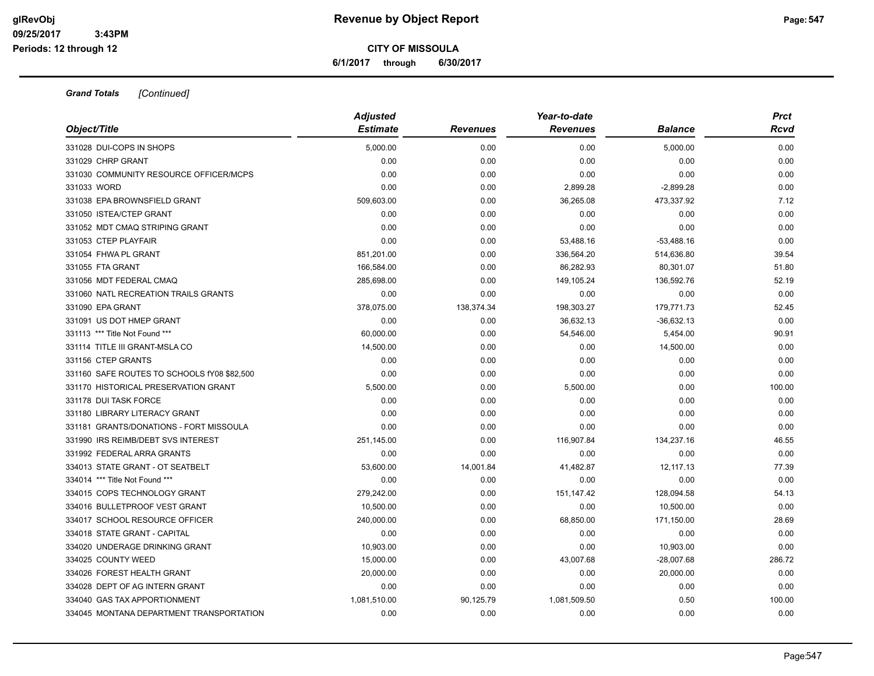**6/1/2017 through 6/30/2017**

| Object/Title                                | <b>Adjusted</b><br><b>Estimate</b> | <b>Revenues</b> | Year-to-date<br><b>Revenues</b> | <b>Balance</b> | <b>Prct</b><br>Rcvd |
|---------------------------------------------|------------------------------------|-----------------|---------------------------------|----------------|---------------------|
| 331028 DUI-COPS IN SHOPS                    | 5,000.00                           | 0.00            | 0.00                            | 5,000.00       | 0.00                |
| 331029 CHRP GRANT                           | 0.00                               |                 | 0.00                            | 0.00           | 0.00                |
| 331030 COMMUNITY RESOURCE OFFICER/MCPS      | 0.00                               | 0.00<br>0.00    | 0.00                            | 0.00           | 0.00                |
| 331033 WORD                                 | 0.00                               | 0.00            | 2,899.28                        | $-2,899.28$    | 0.00                |
| 331038 EPA BROWNSFIELD GRANT                | 509,603.00                         | 0.00            | 36,265.08                       | 473,337.92     | 7.12                |
| 331050 ISTEA/CTEP GRANT                     |                                    |                 |                                 |                |                     |
|                                             | 0.00                               | 0.00            | 0.00                            | 0.00           | 0.00                |
| 331052 MDT CMAQ STRIPING GRANT              | 0.00                               | 0.00            | 0.00                            | 0.00           | 0.00                |
| 331053 CTEP PLAYFAIR                        | 0.00                               | 0.00            | 53,488.16                       | $-53,488.16$   | 0.00                |
| 331054 FHWA PL GRANT                        | 851,201.00                         | 0.00            | 336,564.20                      | 514,636.80     | 39.54               |
| 331055 FTA GRANT                            | 166,584.00                         | 0.00            | 86,282.93                       | 80,301.07      | 51.80               |
| 331056 MDT FEDERAL CMAQ                     | 285,698.00                         | 0.00            | 149,105.24                      | 136,592.76     | 52.19               |
| 331060 NATL RECREATION TRAILS GRANTS        | 0.00                               | 0.00            | 0.00                            | 0.00           | 0.00                |
| 331090 EPA GRANT                            | 378,075.00                         | 138,374.34      | 198,303.27                      | 179,771.73     | 52.45               |
| 331091 US DOT HMEP GRANT                    | 0.00                               | 0.00            | 36,632.13                       | $-36,632.13$   | 0.00                |
| 331113 *** Title Not Found ***              | 60,000.00                          | 0.00            | 54,546.00                       | 5,454.00       | 90.91               |
| 331114 TITLE III GRANT-MSLA CO              | 14,500.00                          | 0.00            | 0.00                            | 14,500.00      | 0.00                |
| 331156 CTEP GRANTS                          | 0.00                               | 0.00            | 0.00                            | 0.00           | 0.00                |
| 331160 SAFE ROUTES TO SCHOOLS fY08 \$82,500 | 0.00                               | 0.00            | 0.00                            | 0.00           | 0.00                |
| 331170 HISTORICAL PRESERVATION GRANT        | 5,500.00                           | 0.00            | 5,500.00                        | 0.00           | 100.00              |
| 331178 DUI TASK FORCE                       | 0.00                               | 0.00            | 0.00                            | 0.00           | 0.00                |
| 331180 LIBRARY LITERACY GRANT               | 0.00                               | 0.00            | 0.00                            | 0.00           | 0.00                |
| 331181 GRANTS/DONATIONS - FORT MISSOULA     | 0.00                               | 0.00            | 0.00                            | 0.00           | 0.00                |
| 331990 IRS REIMB/DEBT SVS INTEREST          | 251,145.00                         | 0.00            | 116,907.84                      | 134,237.16     | 46.55               |
| 331992 FEDERAL ARRA GRANTS                  | 0.00                               | 0.00            | 0.00                            | 0.00           | 0.00                |
| 334013 STATE GRANT - OT SEATBELT            | 53,600.00                          | 14,001.84       | 41,482.87                       | 12,117.13      | 77.39               |
| 334014 *** Title Not Found ***              | 0.00                               | 0.00            | 0.00                            | 0.00           | 0.00                |
| 334015 COPS TECHNOLOGY GRANT                | 279,242.00                         | 0.00            | 151,147.42                      | 128,094.58     | 54.13               |
| 334016 BULLETPROOF VEST GRANT               | 10,500.00                          | 0.00            | 0.00                            | 10,500.00      | 0.00                |
| 334017 SCHOOL RESOURCE OFFICER              | 240,000.00                         | 0.00            | 68,850.00                       | 171,150.00     | 28.69               |
| 334018 STATE GRANT - CAPITAL                | 0.00                               | 0.00            | 0.00                            | 0.00           | 0.00                |
| 334020 UNDERAGE DRINKING GRANT              | 10,903.00                          | 0.00            | 0.00                            | 10,903.00      | 0.00                |
| 334025 COUNTY WEED                          | 15,000.00                          | 0.00            | 43,007.68                       | $-28,007.68$   | 286.72              |
| 334026 FOREST HEALTH GRANT                  | 20,000.00                          | 0.00            | 0.00                            | 20,000.00      | 0.00                |
| 334028 DEPT OF AG INTERN GRANT              | 0.00                               | 0.00            | 0.00                            | 0.00           | 0.00                |
| 334040 GAS TAX APPORTIONMENT                | 1,081,510.00                       | 90,125.79       | 1,081,509.50                    | 0.50           | 100.00              |
| 334045 MONTANA DEPARTMENT TRANSPORTATION    | 0.00                               | 0.00            | 0.00                            | 0.00           | 0.00                |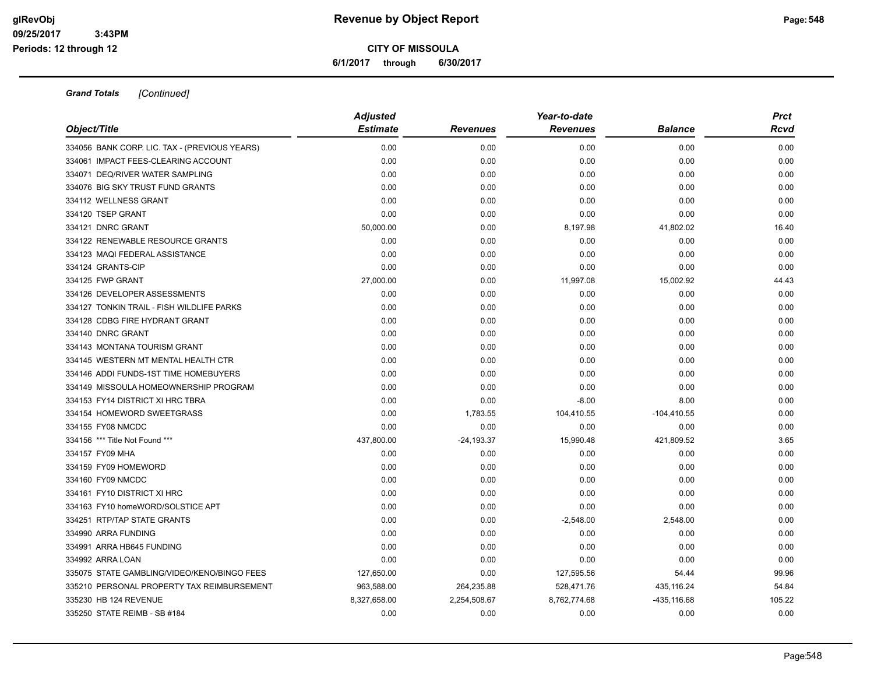**6/1/2017 through 6/30/2017**

| Object/Title                                  | <b>Adjusted</b><br><b>Estimate</b> | <b>Revenues</b> | Year-to-date<br><b>Revenues</b> | <b>Balance</b> | <b>Prct</b><br>Rcvd |
|-----------------------------------------------|------------------------------------|-----------------|---------------------------------|----------------|---------------------|
| 334056 BANK CORP. LIC. TAX - (PREVIOUS YEARS) | 0.00                               | 0.00            | 0.00                            | 0.00           | 0.00                |
| 334061 IMPACT FEES-CLEARING ACCOUNT           | 0.00                               | 0.00            | 0.00                            | 0.00           | 0.00                |
| 334071 DEQ/RIVER WATER SAMPLING               | 0.00                               | 0.00            | 0.00                            | 0.00           | 0.00                |
| 334076 BIG SKY TRUST FUND GRANTS              | 0.00                               | 0.00            | 0.00                            | 0.00           | 0.00                |
| 334112 WELLNESS GRANT                         | 0.00                               | 0.00            | 0.00                            | 0.00           | 0.00                |
| 334120 TSEP GRANT                             | 0.00                               | 0.00            | 0.00                            | 0.00           | 0.00                |
| 334121 DNRC GRANT                             | 50,000.00                          | 0.00            | 8,197.98                        | 41,802.02      | 16.40               |
| 334122 RENEWABLE RESOURCE GRANTS              | 0.00                               | 0.00            | 0.00                            | 0.00           | 0.00                |
| 334123 MAQI FEDERAL ASSISTANCE                | 0.00                               | 0.00            | 0.00                            | 0.00           | 0.00                |
| 334124 GRANTS-CIP                             | 0.00                               | 0.00            | 0.00                            | 0.00           | 0.00                |
| 334125 FWP GRANT                              | 27,000.00                          | 0.00            | 11,997.08                       | 15,002.92      | 44.43               |
| 334126 DEVELOPER ASSESSMENTS                  | 0.00                               | 0.00            | 0.00                            | 0.00           | 0.00                |
| 334127 TONKIN TRAIL - FISH WILDLIFE PARKS     | 0.00                               | 0.00            | 0.00                            | 0.00           | 0.00                |
| 334128 CDBG FIRE HYDRANT GRANT                | 0.00                               | 0.00            | 0.00                            | 0.00           | 0.00                |
| 334140 DNRC GRANT                             | 0.00                               | 0.00            | 0.00                            | 0.00           | 0.00                |
| 334143 MONTANA TOURISM GRANT                  | 0.00                               | 0.00            | 0.00                            | 0.00           | 0.00                |
| 334145 WESTERN MT MENTAL HEALTH CTR           | 0.00                               | 0.00            | 0.00                            | 0.00           | 0.00                |
| 334146 ADDI FUNDS-1ST TIME HOMEBUYERS         | 0.00                               | 0.00            | 0.00                            | 0.00           | 0.00                |
| 334149 MISSOULA HOMEOWNERSHIP PROGRAM         | 0.00                               | 0.00            | 0.00                            | 0.00           | 0.00                |
| 334153 FY14 DISTRICT XI HRC TBRA              | 0.00                               | 0.00            | $-8.00$                         | 8.00           | 0.00                |
| 334154 HOMEWORD SWEETGRASS                    | 0.00                               | 1,783.55        | 104,410.55                      | $-104,410.55$  | 0.00                |
| 334155 FY08 NMCDC                             | 0.00                               | 0.00            | 0.00                            | 0.00           | 0.00                |
| 334156 *** Title Not Found ***                | 437,800.00                         | $-24, 193.37$   | 15.990.48                       | 421,809.52     | 3.65                |
| 334157 FY09 MHA                               | 0.00                               | 0.00            | 0.00                            | 0.00           | 0.00                |
| 334159 FY09 HOMEWORD                          | 0.00                               | 0.00            | 0.00                            | 0.00           | 0.00                |
| 334160 FY09 NMCDC                             | 0.00                               | 0.00            | 0.00                            | 0.00           | 0.00                |
| 334161 FY10 DISTRICT XI HRC                   | 0.00                               | 0.00            | 0.00                            | 0.00           | 0.00                |
| 334163 FY10 homeWORD/SOLSTICE APT             | 0.00                               | 0.00            | 0.00                            | 0.00           | 0.00                |
| 334251 RTP/TAP STATE GRANTS                   | 0.00                               | 0.00            | $-2,548.00$                     | 2,548.00       | 0.00                |
| 334990 ARRA FUNDING                           | 0.00                               | 0.00            | 0.00                            | 0.00           | 0.00                |
| 334991 ARRA HB645 FUNDING                     | 0.00                               | 0.00            | 0.00                            | 0.00           | 0.00                |
| 334992 ARRA LOAN                              | 0.00                               | 0.00            | 0.00                            | 0.00           | 0.00                |
| 335075 STATE GAMBLING/VIDEO/KENO/BINGO FEES   | 127,650.00                         | 0.00            | 127,595.56                      | 54.44          | 99.96               |
| 335210 PERSONAL PROPERTY TAX REIMBURSEMENT    | 963,588.00                         | 264,235.88      | 528,471.76                      | 435,116.24     | 54.84               |
| 335230 HB 124 REVENUE                         | 8,327,658.00                       | 2,254,508.67    | 8,762,774.68                    | -435,116.68    | 105.22              |
| 335250 STATE REIMB - SB #184                  | 0.00                               | 0.00            | 0.00                            | 0.00           | 0.00                |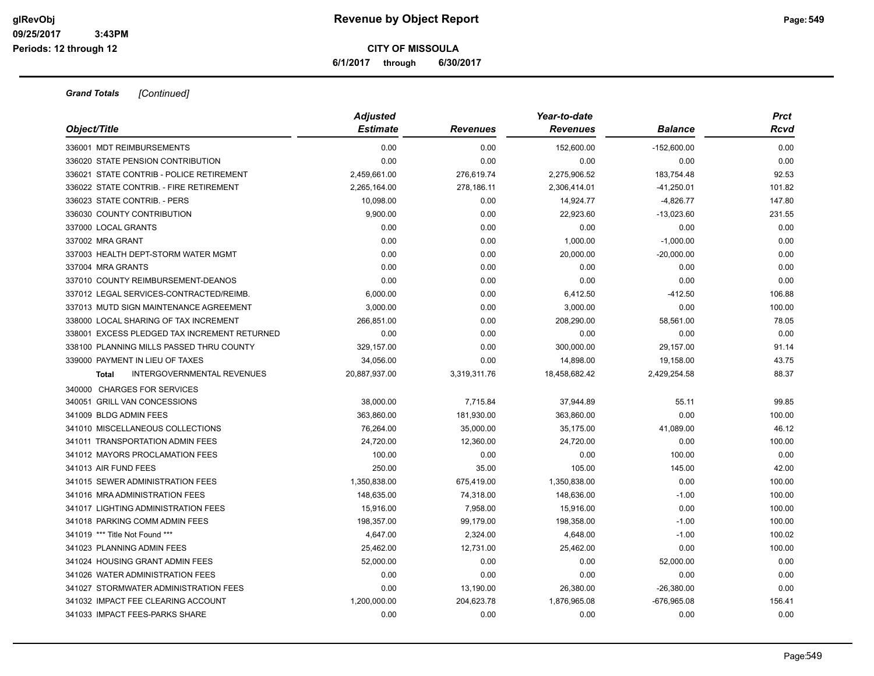**6/1/2017 through 6/30/2017**

|                                                   | <b>Adjusted</b> |                 | Year-to-date    |                | <b>Prct</b> |  |
|---------------------------------------------------|-----------------|-----------------|-----------------|----------------|-------------|--|
| Object/Title                                      | <b>Estimate</b> | <b>Revenues</b> | <b>Revenues</b> | <b>Balance</b> | Rcvd        |  |
| 336001 MDT REIMBURSEMENTS                         | 0.00            | 0.00            | 152,600.00      | $-152,600.00$  | 0.00        |  |
| 336020 STATE PENSION CONTRIBUTION                 | 0.00            | 0.00            | 0.00            | 0.00           | 0.00        |  |
| 336021 STATE CONTRIB - POLICE RETIREMENT          | 2,459,661.00    | 276,619.74      | 2,275,906.52    | 183,754.48     | 92.53       |  |
| 336022 STATE CONTRIB. - FIRE RETIREMENT           | 2,265,164.00    | 278,186.11      | 2,306,414.01    | $-41,250.01$   | 101.82      |  |
| 336023 STATE CONTRIB. - PERS                      | 10,098.00       | 0.00            | 14,924.77       | $-4,826.77$    | 147.80      |  |
| 336030 COUNTY CONTRIBUTION                        | 9,900.00        | 0.00            | 22,923.60       | $-13,023.60$   | 231.55      |  |
| 337000 LOCAL GRANTS                               | 0.00            | 0.00            | 0.00            | 0.00           | 0.00        |  |
| 337002 MRA GRANT                                  | 0.00            | 0.00            | 1,000.00        | $-1,000.00$    | 0.00        |  |
| 337003 HEALTH DEPT-STORM WATER MGMT               | 0.00            | 0.00            | 20,000.00       | $-20,000.00$   | 0.00        |  |
| 337004 MRA GRANTS                                 | 0.00            | 0.00            | 0.00            | 0.00           | 0.00        |  |
| 337010 COUNTY REIMBURSEMENT-DEANOS                | 0.00            | 0.00            | 0.00            | 0.00           | 0.00        |  |
| 337012 LEGAL SERVICES-CONTRACTED/REIMB.           | 6,000.00        | 0.00            | 6,412.50        | $-412.50$      | 106.88      |  |
| 337013 MUTD SIGN MAINTENANCE AGREEMENT            | 3,000.00        | 0.00            | 3,000.00        | 0.00           | 100.00      |  |
| 338000 LOCAL SHARING OF TAX INCREMENT             | 266,851.00      | 0.00            | 208,290.00      | 58,561.00      | 78.05       |  |
| 338001 EXCESS PLEDGED TAX INCREMENT RETURNED      | 0.00            | 0.00            | 0.00            | 0.00           | 0.00        |  |
| 338100 PLANNING MILLS PASSED THRU COUNTY          | 329,157.00      | 0.00            | 300,000.00      | 29,157.00      | 91.14       |  |
| 339000 PAYMENT IN LIEU OF TAXES                   | 34,056.00       | 0.00            | 14,898.00       | 19,158.00      | 43.75       |  |
| <b>INTERGOVERNMENTAL REVENUES</b><br><b>Total</b> | 20,887,937.00   | 3,319,311.76    | 18,458,682.42   | 2,429,254.58   | 88.37       |  |
| 340000 CHARGES FOR SERVICES                       |                 |                 |                 |                |             |  |
| 340051 GRILL VAN CONCESSIONS                      | 38,000.00       | 7,715.84        | 37,944.89       | 55.11          | 99.85       |  |
| 341009 BLDG ADMIN FEES                            | 363,860.00      | 181,930.00      | 363,860.00      | 0.00           | 100.00      |  |
| 341010 MISCELLANEOUS COLLECTIONS                  | 76,264.00       | 35,000.00       | 35,175.00       | 41,089.00      | 46.12       |  |
| 341011 TRANSPORTATION ADMIN FEES                  | 24,720.00       | 12,360.00       | 24,720.00       | 0.00           | 100.00      |  |
| 341012 MAYORS PROCLAMATION FEES                   | 100.00          | 0.00            | 0.00            | 100.00         | 0.00        |  |
| 341013 AIR FUND FEES                              | 250.00          | 35.00           | 105.00          | 145.00         | 42.00       |  |
| 341015 SEWER ADMINISTRATION FEES                  | 1,350,838.00    | 675,419.00      | 1,350,838.00    | 0.00           | 100.00      |  |
| 341016 MRA ADMINISTRATION FEES                    | 148,635.00      | 74,318.00       | 148,636.00      | $-1.00$        | 100.00      |  |
| 341017 LIGHTING ADMINISTRATION FEES               | 15,916.00       | 7,958.00        | 15,916.00       | 0.00           | 100.00      |  |
| 341018 PARKING COMM ADMIN FEES                    | 198,357.00      | 99,179.00       | 198,358.00      | $-1.00$        | 100.00      |  |
| 341019 *** Title Not Found ***                    | 4,647.00        | 2,324.00        | 4,648.00        | $-1.00$        | 100.02      |  |
| 341023 PLANNING ADMIN FEES                        | 25,462.00       | 12,731.00       | 25,462.00       | 0.00           | 100.00      |  |
| 341024 HOUSING GRANT ADMIN FEES                   | 52,000.00       | 0.00            | 0.00            | 52,000.00      | 0.00        |  |
| 341026 WATER ADMINISTRATION FEES                  | 0.00            | 0.00            | 0.00            | 0.00           | 0.00        |  |
| 341027 STORMWATER ADMINISTRATION FEES             | 0.00            | 13,190.00       | 26,380.00       | $-26,380.00$   | 0.00        |  |
| 341032 IMPACT FEE CLEARING ACCOUNT                | 1,200,000.00    | 204,623.78      | 1,876,965.08    | $-676,965.08$  | 156.41      |  |
| 341033 IMPACT FEES-PARKS SHARE                    | 0.00            | 0.00            | 0.00            | 0.00           | 0.00        |  |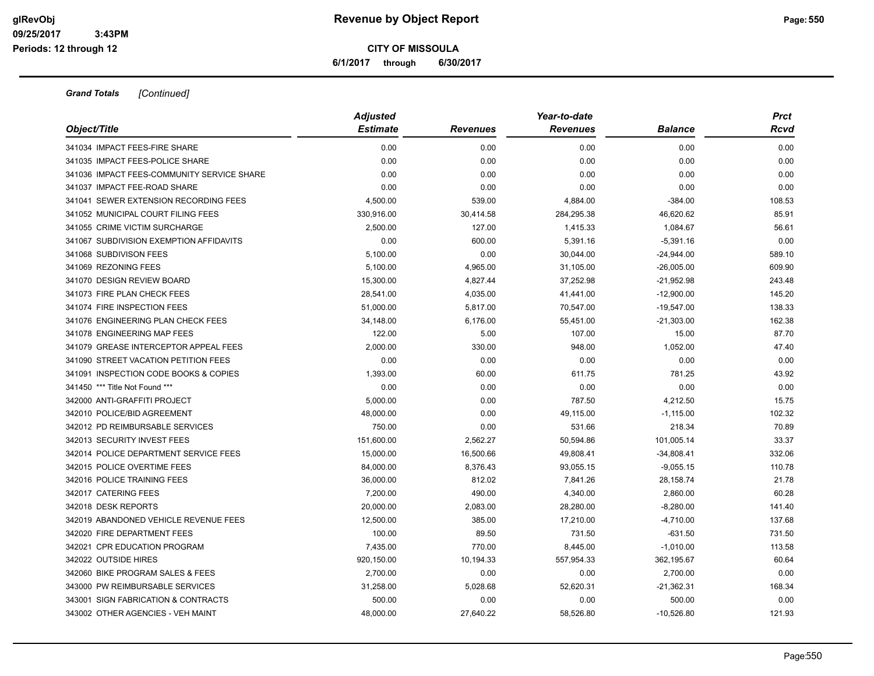**6/1/2017 through 6/30/2017**

| Object/Title                               | <b>Adjusted</b><br><b>Estimate</b> | <b>Revenues</b> | Year-to-date<br><b>Revenues</b> | <b>Balance</b> | <b>Prct</b><br>Rcvd |
|--------------------------------------------|------------------------------------|-----------------|---------------------------------|----------------|---------------------|
|                                            |                                    |                 |                                 |                |                     |
| 341034 IMPACT FEES-FIRE SHARE              | 0.00                               | 0.00            | 0.00                            | 0.00           | 0.00                |
| 341035 IMPACT FEES-POLICE SHARE            | 0.00                               | 0.00            | 0.00                            | 0.00           | 0.00                |
| 341036 IMPACT FEES-COMMUNITY SERVICE SHARE | 0.00                               | 0.00            | 0.00                            | 0.00           | 0.00                |
| 341037 IMPACT FEE-ROAD SHARE               | 0.00                               | 0.00            | 0.00                            | 0.00           | 0.00                |
| 341041 SEWER EXTENSION RECORDING FEES      | 4,500.00                           | 539.00          | 4,884.00                        | $-384.00$      | 108.53              |
| 341052 MUNICIPAL COURT FILING FEES         | 330,916.00                         | 30,414.58       | 284,295.38                      | 46,620.62      | 85.91               |
| 341055 CRIME VICTIM SURCHARGE              | 2,500.00                           | 127.00          | 1,415.33                        | 1,084.67       | 56.61               |
| 341067 SUBDIVISION EXEMPTION AFFIDAVITS    | 0.00                               | 600.00          | 5,391.16                        | $-5,391.16$    | 0.00                |
| 341068 SUBDIVISON FEES                     | 5,100.00                           | 0.00            | 30,044.00                       | $-24,944.00$   | 589.10              |
| 341069 REZONING FEES                       | 5,100.00                           | 4,965.00        | 31,105.00                       | $-26,005.00$   | 609.90              |
| 341070 DESIGN REVIEW BOARD                 | 15,300.00                          | 4,827.44        | 37,252.98                       | $-21,952.98$   | 243.48              |
| 341073 FIRE PLAN CHECK FEES                | 28,541.00                          | 4,035.00        | 41,441.00                       | $-12,900.00$   | 145.20              |
| 341074 FIRE INSPECTION FEES                | 51,000.00                          | 5,817.00        | 70,547.00                       | $-19,547.00$   | 138.33              |
| 341076 ENGINEERING PLAN CHECK FEES         | 34,148.00                          | 6,176.00        | 55,451.00                       | $-21,303.00$   | 162.38              |
| 341078 ENGINEERING MAP FEES                | 122.00                             | 5.00            | 107.00                          | 15.00          | 87.70               |
| 341079 GREASE INTERCEPTOR APPEAL FEES      | 2,000.00                           | 330.00          | 948.00                          | 1,052.00       | 47.40               |
| 341090 STREET VACATION PETITION FEES       | 0.00                               | 0.00            | 0.00                            | 0.00           | 0.00                |
| 341091 INSPECTION CODE BOOKS & COPIES      | 1,393.00                           | 60.00           | 611.75                          | 781.25         | 43.92               |
| 341450 *** Title Not Found ***             | 0.00                               | 0.00            | 0.00                            | 0.00           | 0.00                |
| 342000 ANTI-GRAFFITI PROJECT               | 5,000.00                           | 0.00            | 787.50                          | 4,212.50       | 15.75               |
| 342010 POLICE/BID AGREEMENT                | 48,000.00                          | 0.00            | 49,115.00                       | $-1,115.00$    | 102.32              |
| 342012 PD REIMBURSABLE SERVICES            | 750.00                             | 0.00            | 531.66                          | 218.34         | 70.89               |
| 342013 SECURITY INVEST FEES                | 151,600.00                         | 2,562.27        | 50,594.86                       | 101,005.14     | 33.37               |
| 342014 POLICE DEPARTMENT SERVICE FEES      | 15,000.00                          | 16,500.66       | 49,808.41                       | $-34,808.41$   | 332.06              |
| 342015 POLICE OVERTIME FEES                | 84,000.00                          | 8,376.43        | 93,055.15                       | $-9,055.15$    | 110.78              |
| 342016 POLICE TRAINING FEES                | 36,000.00                          | 812.02          | 7,841.26                        | 28,158.74      | 21.78               |
| 342017 CATERING FEES                       | 7,200.00                           | 490.00          | 4,340.00                        | 2,860.00       | 60.28               |
| 342018 DESK REPORTS                        | 20,000.00                          | 2,083.00        | 28,280.00                       | $-8,280.00$    | 141.40              |
| 342019 ABANDONED VEHICLE REVENUE FEES      | 12,500.00                          | 385.00          | 17,210.00                       | $-4,710.00$    | 137.68              |
| 342020 FIRE DEPARTMENT FEES                | 100.00                             | 89.50           | 731.50                          | $-631.50$      | 731.50              |
| 342021 CPR EDUCATION PROGRAM               | 7,435.00                           | 770.00          | 8,445.00                        | $-1,010.00$    | 113.58              |
| 342022 OUTSIDE HIRES                       | 920,150.00                         | 10,194.33       | 557,954.33                      | 362,195.67     | 60.64               |
| 342060 BIKE PROGRAM SALES & FEES           | 2,700.00                           | 0.00            | 0.00                            | 2,700.00       | 0.00                |
| 343000 PW REIMBURSABLE SERVICES            | 31,258.00                          | 5,028.68        | 52,620.31                       | $-21,362.31$   | 168.34              |
| 343001 SIGN FABRICATION & CONTRACTS        | 500.00                             | 0.00            | 0.00                            | 500.00         | 0.00                |
| 343002 OTHER AGENCIES - VEH MAINT          | 48,000.00                          | 27.640.22       | 58,526.80                       | $-10,526.80$   | 121.93              |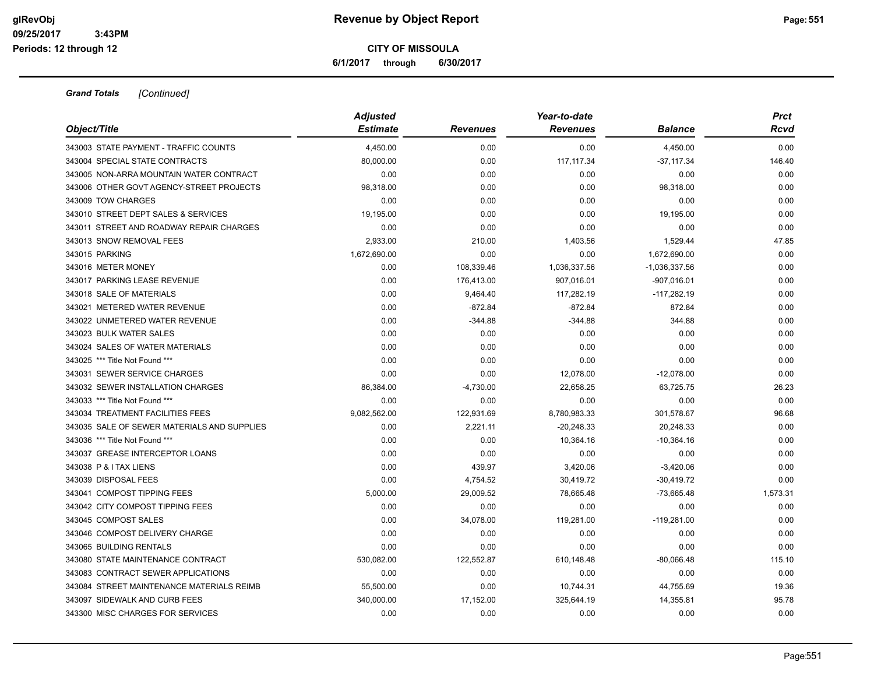**6/1/2017 through 6/30/2017**

|                                             | <b>Adjusted</b> |                 | Year-to-date    |                 | <b>Prct</b> |  |
|---------------------------------------------|-----------------|-----------------|-----------------|-----------------|-------------|--|
| Object/Title                                | <b>Estimate</b> | <b>Revenues</b> | <b>Revenues</b> | <b>Balance</b>  | Rcvd        |  |
| 343003 STATE PAYMENT - TRAFFIC COUNTS       | 4,450.00        | 0.00            | 0.00            | 4,450.00        | 0.00        |  |
| 343004 SPECIAL STATE CONTRACTS              | 80,000.00       | 0.00            | 117, 117.34     | $-37,117.34$    | 146.40      |  |
| 343005 NON-ARRA MOUNTAIN WATER CONTRACT     | 0.00            | 0.00            | 0.00            | 0.00            | 0.00        |  |
| 343006 OTHER GOVT AGENCY-STREET PROJECTS    | 98,318.00       | 0.00            | 0.00            | 98,318.00       | 0.00        |  |
| 343009 TOW CHARGES                          | 0.00            | 0.00            | 0.00            | 0.00            | 0.00        |  |
| 343010 STREET DEPT SALES & SERVICES         | 19,195.00       | 0.00            | 0.00            | 19,195.00       | 0.00        |  |
| 343011 STREET AND ROADWAY REPAIR CHARGES    | 0.00            | 0.00            | 0.00            | 0.00            | 0.00        |  |
| 343013 SNOW REMOVAL FEES                    | 2.933.00        | 210.00          | 1,403.56        | 1.529.44        | 47.85       |  |
| 343015 PARKING                              | 1,672,690.00    | 0.00            | 0.00            | 1,672,690.00    | 0.00        |  |
| 343016 METER MONEY                          | 0.00            | 108,339.46      | 1,036,337.56    | $-1,036,337.56$ | 0.00        |  |
| 343017 PARKING LEASE REVENUE                | 0.00            | 176,413.00      | 907,016.01      | $-907,016.01$   | 0.00        |  |
| 343018 SALE OF MATERIALS                    | 0.00            | 9,464.40        | 117,282.19      | $-117,282.19$   | 0.00        |  |
| 343021 METERED WATER REVENUE                | 0.00            | $-872.84$       | $-872.84$       | 872.84          | 0.00        |  |
| 343022 UNMETERED WATER REVENUE              | 0.00            | $-344.88$       | $-344.88$       | 344.88          | 0.00        |  |
| 343023 BULK WATER SALES                     | 0.00            | 0.00            | 0.00            | 0.00            | 0.00        |  |
| 343024 SALES OF WATER MATERIALS             | 0.00            | 0.00            | 0.00            | 0.00            | 0.00        |  |
| 343025 *** Title Not Found ***              | 0.00            | 0.00            | 0.00            | 0.00            | 0.00        |  |
| 343031 SEWER SERVICE CHARGES                | 0.00            | 0.00            | 12,078.00       | $-12,078.00$    | 0.00        |  |
| 343032 SEWER INSTALLATION CHARGES           | 86,384.00       | $-4,730.00$     | 22,658.25       | 63,725.75       | 26.23       |  |
| 343033 *** Title Not Found ***              | 0.00            | 0.00            | 0.00            | 0.00            | 0.00        |  |
| 343034 TREATMENT FACILITIES FEES            | 9,082,562.00    | 122,931.69      | 8,780,983.33    | 301,578.67      | 96.68       |  |
| 343035 SALE OF SEWER MATERIALS AND SUPPLIES | 0.00            | 2,221.11        | $-20,248.33$    | 20,248.33       | 0.00        |  |
| 343036 *** Title Not Found ***              | 0.00            | 0.00            | 10,364.16       | $-10,364.16$    | 0.00        |  |
| 343037 GREASE INTERCEPTOR LOANS             | 0.00            | 0.00            | 0.00            | 0.00            | 0.00        |  |
| 343038 P & I TAX LIENS                      | 0.00            | 439.97          | 3.420.06        | $-3,420.06$     | 0.00        |  |
| 343039 DISPOSAL FEES                        | 0.00            | 4,754.52        | 30,419.72       | $-30,419.72$    | 0.00        |  |
| 343041 COMPOST TIPPING FEES                 | 5,000.00        | 29,009.52       | 78,665.48       | $-73,665.48$    | 1,573.31    |  |
| 343042 CITY COMPOST TIPPING FEES            | 0.00            | 0.00            | 0.00            | 0.00            | 0.00        |  |
| 343045 COMPOST SALES                        | 0.00            | 34,078.00       | 119,281.00      | -119,281.00     | 0.00        |  |
| 343046 COMPOST DELIVERY CHARGE              | 0.00            | 0.00            | 0.00            | 0.00            | 0.00        |  |
| 343065 BUILDING RENTALS                     | 0.00            | 0.00            | 0.00            | 0.00            | 0.00        |  |
| 343080 STATE MAINTENANCE CONTRACT           | 530,082.00      | 122,552.87      | 610,148.48      | $-80,066.48$    | 115.10      |  |
| 343083 CONTRACT SEWER APPLICATIONS          | 0.00            | 0.00            | 0.00            | 0.00            | 0.00        |  |
| 343084 STREET MAINTENANCE MATERIALS REIMB   | 55,500.00       | 0.00            | 10,744.31       | 44,755.69       | 19.36       |  |
| 343097 SIDEWALK AND CURB FEES               | 340,000.00      | 17,152.00       | 325,644.19      | 14,355.81       | 95.78       |  |
| 343300 MISC CHARGES FOR SERVICES            | 0.00            | 0.00            | 0.00            | 0.00            | 0.00        |  |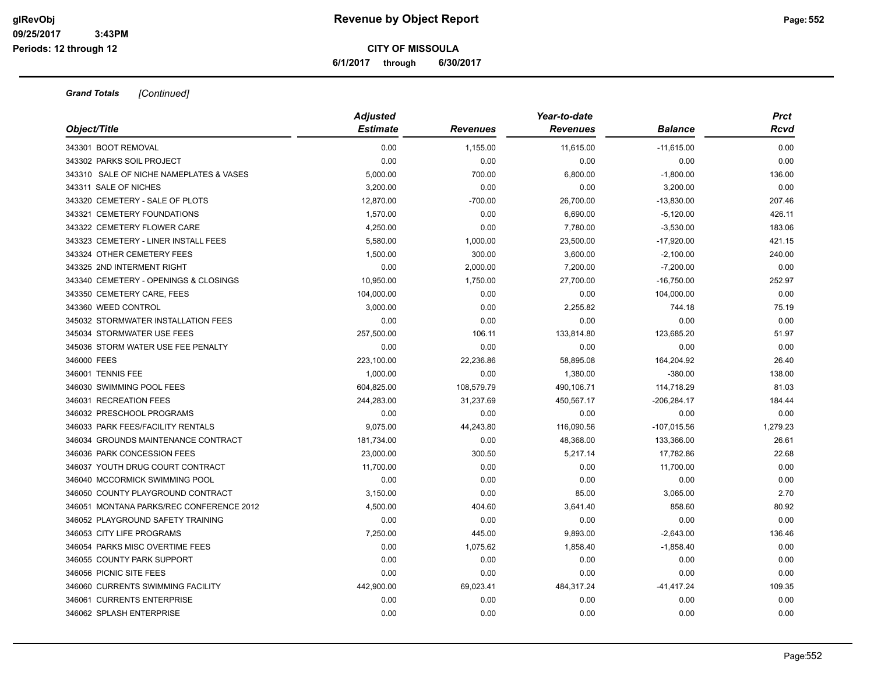**6/1/2017 through 6/30/2017**

|                                          | <b>Adjusted</b> |                 | Year-to-date    |                | <b>Prct</b> |  |
|------------------------------------------|-----------------|-----------------|-----------------|----------------|-------------|--|
| Object/Title                             | <b>Estimate</b> | <b>Revenues</b> | <b>Revenues</b> | <b>Balance</b> | Rcvd        |  |
| 343301 BOOT REMOVAL                      | 0.00            | 1,155.00        | 11,615.00       | $-11,615.00$   | 0.00        |  |
| 343302 PARKS SOIL PROJECT                | 0.00            | 0.00            | 0.00            | 0.00           | 0.00        |  |
| 343310 SALE OF NICHE NAMEPLATES & VASES  | 5,000.00        | 700.00          | 6,800.00        | $-1,800.00$    | 136.00      |  |
| 343311 SALE OF NICHES                    | 3,200.00        | 0.00            | 0.00            | 3,200.00       | 0.00        |  |
| 343320 CEMETERY - SALE OF PLOTS          | 12,870.00       | $-700.00$       | 26,700.00       | $-13,830.00$   | 207.46      |  |
| 343321 CEMETERY FOUNDATIONS              | 1,570.00        | 0.00            | 6,690.00        | $-5,120.00$    | 426.11      |  |
| 343322 CEMETERY FLOWER CARE              | 4,250.00        | 0.00            | 7,780.00        | $-3,530.00$    | 183.06      |  |
| 343323 CEMETERY - LINER INSTALL FEES     | 5,580.00        | 1,000.00        | 23,500.00       | $-17,920.00$   | 421.15      |  |
| 343324 OTHER CEMETERY FEES               | 1,500.00        | 300.00          | 3,600.00        | $-2,100.00$    | 240.00      |  |
| 343325 2ND INTERMENT RIGHT               | 0.00            | 2,000.00        | 7,200.00        | $-7,200.00$    | 0.00        |  |
| 343340 CEMETERY - OPENINGS & CLOSINGS    | 10,950.00       | 1,750.00        | 27,700.00       | $-16,750.00$   | 252.97      |  |
| 343350 CEMETERY CARE, FEES               | 104,000.00      | 0.00            | 0.00            | 104,000.00     | 0.00        |  |
| 343360 WEED CONTROL                      | 3,000.00        | 0.00            | 2,255.82        | 744.18         | 75.19       |  |
| 345032 STORMWATER INSTALLATION FEES      | 0.00            | 0.00            | 0.00            | 0.00           | 0.00        |  |
| 345034 STORMWATER USE FEES               | 257,500.00      | 106.11          | 133,814.80      | 123,685.20     | 51.97       |  |
| 345036 STORM WATER USE FEE PENALTY       | 0.00            | 0.00            | 0.00            | 0.00           | 0.00        |  |
| 346000 FEES                              | 223,100.00      | 22,236.86       | 58,895.08       | 164,204.92     | 26.40       |  |
| 346001 TENNIS FEE                        | 1,000.00        | 0.00            | 1,380.00        | $-380.00$      | 138.00      |  |
| 346030 SWIMMING POOL FEES                | 604,825.00      | 108,579.79      | 490,106.71      | 114,718.29     | 81.03       |  |
| 346031 RECREATION FEES                   | 244,283.00      | 31,237.69       | 450,567.17      | $-206, 284.17$ | 184.44      |  |
| 346032 PRESCHOOL PROGRAMS                | 0.00            | 0.00            | 0.00            | 0.00           | 0.00        |  |
| 346033 PARK FEES/FACILITY RENTALS        | 9,075.00        | 44,243.80       | 116,090.56      | $-107,015.56$  | 1,279.23    |  |
| 346034 GROUNDS MAINTENANCE CONTRACT      | 181,734.00      | 0.00            | 48,368.00       | 133,366.00     | 26.61       |  |
| 346036 PARK CONCESSION FEES              | 23,000.00       | 300.50          | 5,217.14        | 17,782.86      | 22.68       |  |
| 346037 YOUTH DRUG COURT CONTRACT         | 11,700.00       | 0.00            | 0.00            | 11,700.00      | 0.00        |  |
| 346040 MCCORMICK SWIMMING POOL           | 0.00            | 0.00            | 0.00            | 0.00           | 0.00        |  |
| 346050 COUNTY PLAYGROUND CONTRACT        | 3,150.00        | 0.00            | 85.00           | 3,065.00       | 2.70        |  |
| 346051 MONTANA PARKS/REC CONFERENCE 2012 | 4,500.00        | 404.60          | 3,641.40        | 858.60         | 80.92       |  |
| 346052 PLAYGROUND SAFETY TRAINING        | 0.00            | 0.00            | 0.00            | 0.00           | 0.00        |  |
| 346053 CITY LIFE PROGRAMS                | 7,250.00        | 445.00          | 9,893.00        | $-2,643.00$    | 136.46      |  |
| 346054 PARKS MISC OVERTIME FEES          | 0.00            | 1,075.62        | 1,858.40        | $-1,858.40$    | 0.00        |  |
| 346055 COUNTY PARK SUPPORT               | 0.00            | 0.00            | 0.00            | 0.00           | 0.00        |  |
| 346056 PICNIC SITE FEES                  | 0.00            | 0.00            | 0.00            | 0.00           | 0.00        |  |
| 346060 CURRENTS SWIMMING FACILITY        | 442,900.00      | 69,023.41       | 484,317.24      | $-41,417.24$   | 109.35      |  |
| 346061 CURRENTS ENTERPRISE               | 0.00            | 0.00            | 0.00            | 0.00           | 0.00        |  |
| 346062 SPLASH ENTERPRISE                 | 0.00            | 0.00            | 0.00            | 0.00           | 0.00        |  |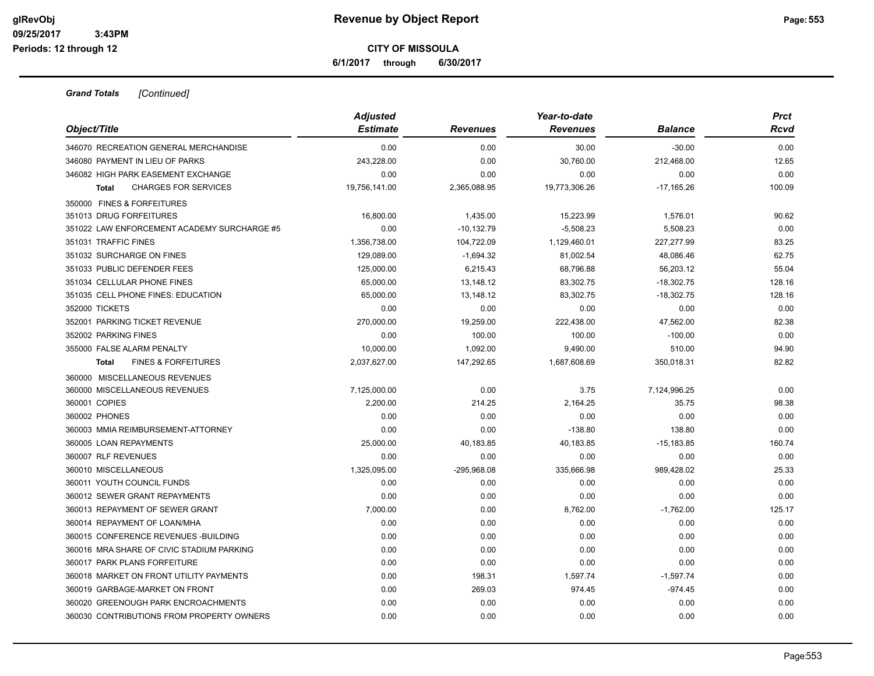**6/1/2017 through 6/30/2017**

|                                             | <b>Adjusted</b> |                 | Year-to-date    |                | <b>Prct</b> |
|---------------------------------------------|-----------------|-----------------|-----------------|----------------|-------------|
| Object/Title                                | <b>Estimate</b> | <b>Revenues</b> | <b>Revenues</b> | <b>Balance</b> | Rcvd        |
| 346070 RECREATION GENERAL MERCHANDISE       | 0.00            | 0.00            | 30.00           | $-30.00$       | 0.00        |
| 346080 PAYMENT IN LIEU OF PARKS             | 243,228.00      | 0.00            | 30,760.00       | 212,468.00     | 12.65       |
| 346082 HIGH PARK EASEMENT EXCHANGE          | 0.00            | 0.00            | 0.00            | 0.00           | 0.00        |
| <b>CHARGES FOR SERVICES</b><br><b>Total</b> | 19,756,141.00   | 2,365,088.95    | 19,773,306.26   | $-17,165.26$   | 100.09      |
| 350000 FINES & FORFEITURES                  |                 |                 |                 |                |             |
| 351013 DRUG FORFEITURES                     | 16,800.00       | 1,435.00        | 15,223.99       | 1,576.01       | 90.62       |
| 351022 LAW ENFORCEMENT ACADEMY SURCHARGE #5 | 0.00            | $-10, 132.79$   | $-5,508.23$     | 5,508.23       | 0.00        |
| 351031 TRAFFIC FINES                        | 1,356,738.00    | 104,722.09      | 1,129,460.01    | 227,277.99     | 83.25       |
| 351032 SURCHARGE ON FINES                   | 129,089.00      | $-1,694.32$     | 81,002.54       | 48,086.46      | 62.75       |
| 351033 PUBLIC DEFENDER FEES                 | 125,000.00      | 6,215.43        | 68,796.88       | 56,203.12      | 55.04       |
| 351034 CELLULAR PHONE FINES                 | 65,000.00       | 13,148.12       | 83,302.75       | $-18,302.75$   | 128.16      |
| 351035 CELL PHONE FINES: EDUCATION          | 65,000.00       | 13,148.12       | 83,302.75       | -18,302.75     | 128.16      |
| 352000 TICKETS                              | 0.00            | 0.00            | 0.00            | 0.00           | 0.00        |
| 352001 PARKING TICKET REVENUE               | 270,000.00      | 19,259.00       | 222,438.00      | 47,562.00      | 82.38       |
| 352002 PARKING FINES                        | 0.00            | 100.00          | 100.00          | $-100.00$      | 0.00        |
| 355000 FALSE ALARM PENALTY                  | 10,000.00       | 1,092.00        | 9,490.00        | 510.00         | 94.90       |
| <b>FINES &amp; FORFEITURES</b><br>Total     | 2,037,627.00    | 147,292.65      | 1,687,608.69    | 350,018.31     | 82.82       |
| 360000 MISCELLANEOUS REVENUES               |                 |                 |                 |                |             |
| 360000 MISCELLANEOUS REVENUES               | 7,125,000.00    | 0.00            | 3.75            | 7,124,996.25   | 0.00        |
| 360001 COPIES                               | 2,200.00        | 214.25          | 2,164.25        | 35.75          | 98.38       |
| 360002 PHONES                               | 0.00            | 0.00            | 0.00            | 0.00           | 0.00        |
| 360003 MMIA REIMBURSEMENT-ATTORNEY          | 0.00            | 0.00            | $-138.80$       | 138.80         | 0.00        |
| 360005 LOAN REPAYMENTS                      | 25,000.00       | 40,183.85       | 40,183.85       | $-15, 183.85$  | 160.74      |
| 360007 RLF REVENUES                         | 0.00            | 0.00            | 0.00            | 0.00           | 0.00        |
| 360010 MISCELLANEOUS                        | 1,325,095.00    | $-295,968.08$   | 335,666.98      | 989,428.02     | 25.33       |
| 360011 YOUTH COUNCIL FUNDS                  | 0.00            | 0.00            | 0.00            | 0.00           | 0.00        |
| 360012 SEWER GRANT REPAYMENTS               | 0.00            | 0.00            | 0.00            | 0.00           | 0.00        |
| 360013 REPAYMENT OF SEWER GRANT             | 7,000.00        | 0.00            | 8,762.00        | $-1,762.00$    | 125.17      |
| 360014 REPAYMENT OF LOAN/MHA                | 0.00            | 0.00            | 0.00            | 0.00           | 0.00        |
| 360015 CONFERENCE REVENUES - BUILDING       | 0.00            | 0.00            | 0.00            | 0.00           | 0.00        |
| 360016 MRA SHARE OF CIVIC STADIUM PARKING   | 0.00            | 0.00            | 0.00            | 0.00           | 0.00        |
| 360017 PARK PLANS FORFEITURE                | 0.00            | 0.00            | 0.00            | 0.00           | 0.00        |
| 360018 MARKET ON FRONT UTILITY PAYMENTS     | 0.00            | 198.31          | 1,597.74        | $-1,597.74$    | 0.00        |
| 360019 GARBAGE-MARKET ON FRONT              | 0.00            | 269.03          | 974.45          | $-974.45$      | 0.00        |
| 360020 GREENOUGH PARK ENCROACHMENTS         | 0.00            | 0.00            | 0.00            | 0.00           | 0.00        |
| 360030 CONTRIBUTIONS FROM PROPERTY OWNERS   | 0.00            | 0.00            | 0.00            | 0.00           | 0.00        |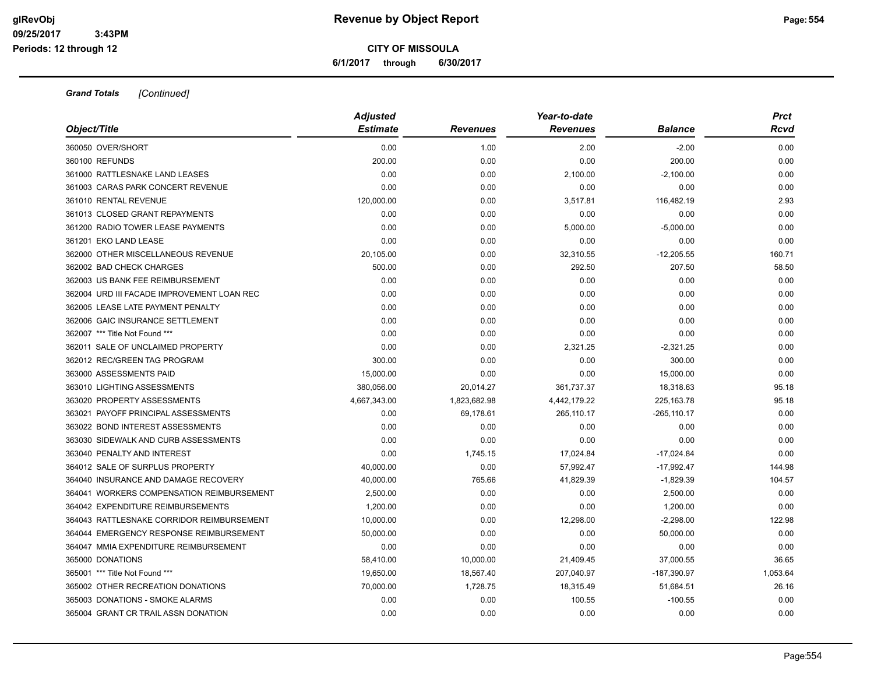**6/1/2017 through 6/30/2017**

| Object/Title                               | <b>Adjusted</b> |                 | Year-to-date    |                | <b>Prct</b> |
|--------------------------------------------|-----------------|-----------------|-----------------|----------------|-------------|
|                                            | <b>Estimate</b> | <b>Revenues</b> | <b>Revenues</b> | <b>Balance</b> | Rcvd        |
| 360050 OVER/SHORT                          | 0.00            | 1.00            | 2.00            | $-2.00$        | 0.00        |
| 360100 REFUNDS                             | 200.00          | 0.00            | 0.00            | 200.00         | 0.00        |
| 361000 RATTLESNAKE LAND LEASES             | 0.00            | 0.00            | 2,100.00        | $-2,100.00$    | 0.00        |
| 361003 CARAS PARK CONCERT REVENUE          | 0.00            | 0.00            | 0.00            | 0.00           | 0.00        |
| 361010 RENTAL REVENUE                      | 120,000.00      | 0.00            | 3,517.81        | 116,482.19     | 2.93        |
| 361013 CLOSED GRANT REPAYMENTS             | 0.00            | 0.00            | 0.00            | 0.00           | 0.00        |
| 361200 RADIO TOWER LEASE PAYMENTS          | 0.00            | 0.00            | 5,000.00        | $-5,000.00$    | 0.00        |
| 361201 EKO LAND LEASE                      | 0.00            | 0.00            | 0.00            | 0.00           | 0.00        |
| 362000 OTHER MISCELLANEOUS REVENUE         | 20,105.00       | 0.00            | 32,310.55       | $-12,205.55$   | 160.71      |
| 362002 BAD CHECK CHARGES                   | 500.00          | 0.00            | 292.50          | 207.50         | 58.50       |
| 362003 US BANK FEE REIMBURSEMENT           | 0.00            | 0.00            | 0.00            | 0.00           | 0.00        |
| 362004 URD III FACADE IMPROVEMENT LOAN REC | 0.00            | 0.00            | 0.00            | 0.00           | 0.00        |
| 362005 LEASE LATE PAYMENT PENALTY          | 0.00            | 0.00            | 0.00            | 0.00           | 0.00        |
| 362006 GAIC INSURANCE SETTLEMENT           | 0.00            | 0.00            | 0.00            | 0.00           | 0.00        |
| 362007 *** Title Not Found ***             | 0.00            | 0.00            | 0.00            | 0.00           | 0.00        |
| 362011 SALE OF UNCLAIMED PROPERTY          | 0.00            | 0.00            | 2,321.25        | $-2,321.25$    | 0.00        |
| 362012 REC/GREEN TAG PROGRAM               | 300.00          | 0.00            | 0.00            | 300.00         | 0.00        |
| 363000 ASSESSMENTS PAID                    | 15,000.00       | 0.00            | 0.00            | 15,000.00      | 0.00        |
| 363010 LIGHTING ASSESSMENTS                | 380,056.00      | 20,014.27       | 361,737.37      | 18,318.63      | 95.18       |
| 363020 PROPERTY ASSESSMENTS                | 4,667,343.00    | 1,823,682.98    | 4,442,179.22    | 225, 163. 78   | 95.18       |
| 363021 PAYOFF PRINCIPAL ASSESSMENTS        | 0.00            | 69,178.61       | 265,110.17      | $-265, 110.17$ | 0.00        |
| 363022 BOND INTEREST ASSESSMENTS           | 0.00            | 0.00            | 0.00            | 0.00           | 0.00        |
| 363030 SIDEWALK AND CURB ASSESSMENTS       | 0.00            | 0.00            | 0.00            | 0.00           | 0.00        |
| 363040 PENALTY AND INTEREST                | 0.00            | 1,745.15        | 17,024.84       | $-17,024.84$   | 0.00        |
| 364012 SALE OF SURPLUS PROPERTY            | 40,000.00       | 0.00            | 57,992.47       | $-17,992.47$   | 144.98      |
| 364040 INSURANCE AND DAMAGE RECOVERY       | 40,000.00       | 765.66          | 41,829.39       | $-1,829.39$    | 104.57      |
| 364041 WORKERS COMPENSATION REIMBURSEMENT  | 2,500.00        | 0.00            | 0.00            | 2,500.00       | 0.00        |
| 364042 EXPENDITURE REIMBURSEMENTS          | 1,200.00        | 0.00            | 0.00            | 1,200.00       | 0.00        |
| 364043 RATTLESNAKE CORRIDOR REIMBURSEMENT  | 10,000.00       | 0.00            | 12,298.00       | $-2,298.00$    | 122.98      |
| 364044 EMERGENCY RESPONSE REIMBURSEMENT    | 50,000.00       | 0.00            | 0.00            | 50,000.00      | 0.00        |
| 364047 MMIA EXPENDITURE REIMBURSEMENT      | 0.00            | 0.00            | 0.00            | 0.00           | 0.00        |
| 365000 DONATIONS                           | 58,410.00       | 10,000.00       | 21,409.45       | 37,000.55      | 36.65       |
| 365001 *** Title Not Found ***             | 19,650.00       | 18,567.40       | 207,040.97      | -187,390.97    | 1,053.64    |
| 365002 OTHER RECREATION DONATIONS          | 70,000.00       | 1,728.75        | 18,315.49       | 51,684.51      | 26.16       |
| 365003 DONATIONS - SMOKE ALARMS            | 0.00            | 0.00            | 100.55          | $-100.55$      | 0.00        |
| 365004 GRANT CR TRAIL ASSN DONATION        | 0.00            | 0.00            | 0.00            | 0.00           | 0.00        |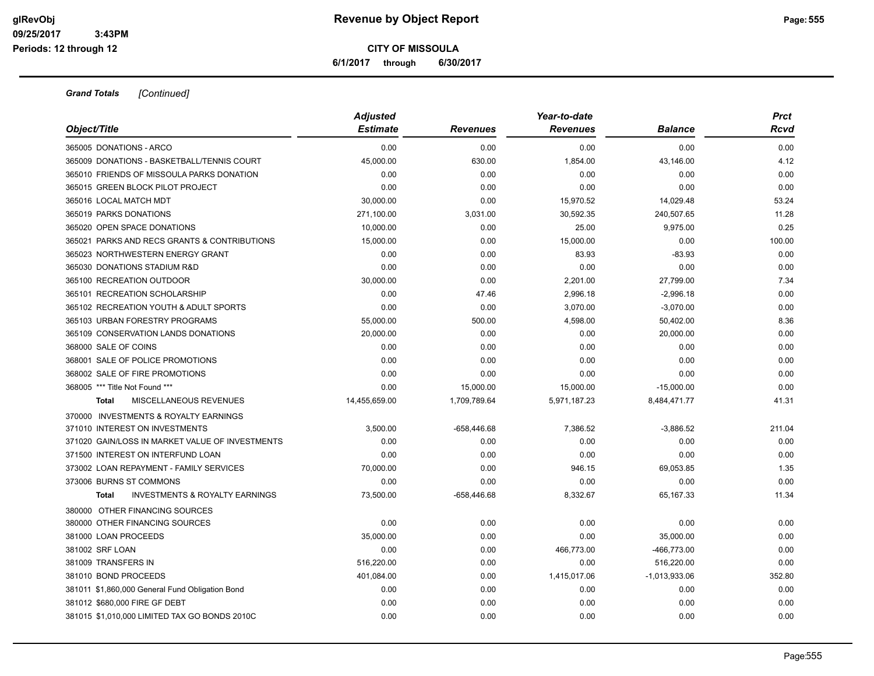**6/1/2017 through 6/30/2017**

| Object/Title                                              | <b>Adjusted</b><br><b>Estimate</b> | <b>Revenues</b> | Year-to-date<br><b>Revenues</b> | <b>Balance</b>  | <b>Prct</b><br>Rcvd |
|-----------------------------------------------------------|------------------------------------|-----------------|---------------------------------|-----------------|---------------------|
|                                                           |                                    |                 |                                 |                 |                     |
| 365005 DONATIONS - ARCO                                   | 0.00                               | 0.00            | 0.00                            | 0.00            | 0.00                |
| 365009 DONATIONS - BASKETBALL/TENNIS COURT                | 45,000.00                          | 630.00          | 1,854.00                        | 43,146.00       | 4.12                |
| 365010 FRIENDS OF MISSOULA PARKS DONATION                 | 0.00                               | 0.00            | 0.00                            | 0.00            | 0.00                |
| 365015 GREEN BLOCK PILOT PROJECT                          | 0.00                               | 0.00            | 0.00                            | 0.00            | 0.00                |
| 365016 LOCAL MATCH MDT                                    | 30,000.00                          | 0.00            | 15,970.52                       | 14,029.48       | 53.24               |
| 365019 PARKS DONATIONS                                    | 271,100.00                         | 3,031.00        | 30,592.35                       | 240,507.65      | 11.28               |
| 365020 OPEN SPACE DONATIONS                               | 10,000.00                          | 0.00            | 25.00                           | 9,975.00        | 0.25                |
| 365021 PARKS AND RECS GRANTS & CONTRIBUTIONS              | 15,000.00                          | 0.00            | 15,000.00                       | 0.00            | 100.00              |
| 365023 NORTHWESTERN ENERGY GRANT                          | 0.00                               | 0.00            | 83.93                           | $-83.93$        | 0.00                |
| 365030 DONATIONS STADIUM R&D                              | 0.00                               | 0.00            | 0.00                            | 0.00            | 0.00                |
| 365100 RECREATION OUTDOOR                                 | 30,000.00                          | 0.00            | 2,201.00                        | 27,799.00       | 7.34                |
| 365101 RECREATION SCHOLARSHIP                             | 0.00                               | 47.46           | 2,996.18                        | $-2,996.18$     | 0.00                |
| 365102 RECREATION YOUTH & ADULT SPORTS                    | 0.00                               | 0.00            | 3,070.00                        | $-3,070.00$     | 0.00                |
| 365103 URBAN FORESTRY PROGRAMS                            | 55,000.00                          | 500.00          | 4,598.00                        | 50,402.00       | 8.36                |
| 365109 CONSERVATION LANDS DONATIONS                       | 20,000.00                          | 0.00            | 0.00                            | 20,000.00       | 0.00                |
| 368000 SALE OF COINS                                      | 0.00                               | 0.00            | 0.00                            | 0.00            | 0.00                |
| 368001 SALE OF POLICE PROMOTIONS                          | 0.00                               | 0.00            | 0.00                            | 0.00            | 0.00                |
| 368002 SALE OF FIRE PROMOTIONS                            | 0.00                               | 0.00            | 0.00                            | 0.00            | 0.00                |
| 368005 *** Title Not Found ***                            | 0.00                               | 15,000.00       | 15,000.00                       | $-15,000.00$    | 0.00                |
| MISCELLANEOUS REVENUES<br><b>Total</b>                    | 14,455,659.00                      | 1,709,789.64    | 5,971,187.23                    | 8,484,471.77    | 41.31               |
| 370000 INVESTMENTS & ROYALTY EARNINGS                     |                                    |                 |                                 |                 |                     |
| 371010 INTEREST ON INVESTMENTS                            | 3,500.00                           | $-658,446.68$   | 7,386.52                        | $-3,886.52$     | 211.04              |
| 371020 GAIN/LOSS IN MARKET VALUE OF INVESTMENTS           | 0.00                               | 0.00            | 0.00                            | 0.00            | 0.00                |
| 371500 INTEREST ON INTERFUND LOAN                         | 0.00                               | 0.00            | 0.00                            | 0.00            | 0.00                |
| 373002 LOAN REPAYMENT - FAMILY SERVICES                   | 70,000.00                          | 0.00            | 946.15                          | 69,053.85       | 1.35                |
| 373006 BURNS ST COMMONS                                   | 0.00                               | 0.00            | 0.00                            | 0.00            | 0.00                |
| <b>INVESTMENTS &amp; ROYALTY EARNINGS</b><br><b>Total</b> | 73,500.00                          | $-658,446.68$   | 8,332.67                        | 65,167.33       | 11.34               |
| 380000 OTHER FINANCING SOURCES                            |                                    |                 |                                 |                 |                     |
| 380000 OTHER FINANCING SOURCES                            | 0.00                               | 0.00            | 0.00                            | 0.00            | 0.00                |
| 381000 LOAN PROCEEDS                                      | 35,000.00                          | 0.00            | 0.00                            | 35,000.00       | 0.00                |
| 381002 SRF LOAN                                           | 0.00                               | 0.00            | 466,773.00                      | -466,773.00     | 0.00                |
| 381009 TRANSFERS IN                                       | 516,220.00                         | 0.00            | 0.00                            | 516,220.00      | 0.00                |
| 381010 BOND PROCEEDS                                      | 401,084.00                         | 0.00            | 1,415,017.06                    | $-1,013,933.06$ | 352.80              |
| 381011 \$1,860,000 General Fund Obligation Bond           | 0.00                               | 0.00            | 0.00                            | 0.00            | 0.00                |
| 381012 \$680,000 FIRE GF DEBT                             | 0.00                               | 0.00            | 0.00                            | 0.00            | 0.00                |
| 381015 \$1.010.000 LIMITED TAX GO BONDS 2010C             | 0.00                               | 0.00            | 0.00                            | 0.00            | 0.00                |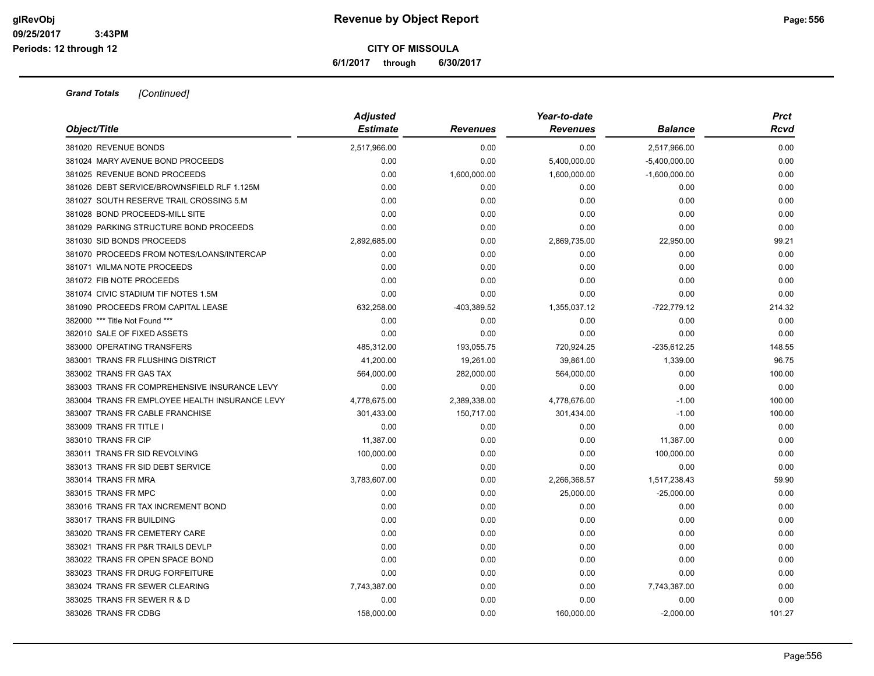**6/1/2017 through 6/30/2017**

| Object/Title                                   | <b>Adjusted</b><br><b>Estimate</b> | <b>Revenues</b> | Year-to-date<br><b>Revenues</b> | <b>Balance</b>  | <b>Prct</b><br>Rcvd |
|------------------------------------------------|------------------------------------|-----------------|---------------------------------|-----------------|---------------------|
| 381020 REVENUE BONDS                           | 2,517,966.00                       | 0.00            | 0.00                            | 2,517,966.00    | 0.00                |
| 381024 MARY AVENUE BOND PROCEEDS               | 0.00                               | 0.00            | 5,400,000.00                    | $-5,400,000.00$ | 0.00                |
| 381025 REVENUE BOND PROCEEDS                   | 0.00                               | 1,600,000.00    | 1,600,000.00                    | $-1,600,000.00$ | 0.00                |
| 381026 DEBT SERVICE/BROWNSFIELD RLF 1.125M     | 0.00                               | 0.00            | 0.00                            | 0.00            | 0.00                |
| 381027 SOUTH RESERVE TRAIL CROSSING 5.M        | 0.00                               | 0.00            | 0.00                            | 0.00            | 0.00                |
| 381028 BOND PROCEEDS-MILL SITE                 | 0.00                               | 0.00            | 0.00                            | 0.00            | 0.00                |
| 381029 PARKING STRUCTURE BOND PROCEEDS         | 0.00                               | 0.00            | 0.00                            | 0.00            | 0.00                |
| 381030 SID BONDS PROCEEDS                      | 2,892,685.00                       | 0.00            | 2,869,735.00                    | 22,950.00       | 99.21               |
| 381070 PROCEEDS FROM NOTES/LOANS/INTERCAP      | 0.00                               | 0.00            | 0.00                            | 0.00            | 0.00                |
| 381071 WILMA NOTE PROCEEDS                     | 0.00                               | 0.00            | 0.00                            | 0.00            | 0.00                |
| 381072 FIB NOTE PROCEEDS                       | 0.00                               | 0.00            | 0.00                            | 0.00            | 0.00                |
| 381074 CIVIC STADIUM TIF NOTES 1.5M            | 0.00                               | 0.00            | 0.00                            | 0.00            | 0.00                |
| 381090 PROCEEDS FROM CAPITAL LEASE             | 632,258.00                         | -403,389.52     | 1,355,037.12                    | $-722,779.12$   | 214.32              |
| 382000 *** Title Not Found ***                 | 0.00                               | 0.00            | 0.00                            | 0.00            | 0.00                |
| 382010 SALE OF FIXED ASSETS                    | 0.00                               | 0.00            | 0.00                            | 0.00            | 0.00                |
| 383000 OPERATING TRANSFERS                     | 485,312.00                         | 193,055.75      | 720,924.25                      | $-235,612.25$   | 148.55              |
| 383001 TRANS FR FLUSHING DISTRICT              | 41.200.00                          | 19.261.00       | 39.861.00                       | 1,339.00        | 96.75               |
| 383002 TRANS FR GAS TAX                        | 564,000.00                         | 282,000.00      | 564,000.00                      | 0.00            | 100.00              |
| 383003 TRANS FR COMPREHENSIVE INSURANCE LEVY   | 0.00                               | 0.00            | 0.00                            | 0.00            | 0.00                |
| 383004 TRANS FR EMPLOYEE HEALTH INSURANCE LEVY | 4,778,675.00                       | 2,389,338.00    | 4,778,676.00                    | $-1.00$         | 100.00              |
| 383007 TRANS FR CABLE FRANCHISE                | 301,433.00                         | 150,717.00      | 301,434.00                      | $-1.00$         | 100.00              |
| 383009 TRANS FR TITLE I                        | 0.00                               | 0.00            | 0.00                            | 0.00            | 0.00                |
| 383010 TRANS FR CIP                            | 11,387.00                          | 0.00            | 0.00                            | 11,387.00       | 0.00                |
| 383011 TRANS FR SID REVOLVING                  | 100,000.00                         | 0.00            | 0.00                            | 100,000.00      | 0.00                |
| 383013 TRANS FR SID DEBT SERVICE               | 0.00                               | 0.00            | 0.00                            | 0.00            | 0.00                |
| 383014 TRANS FR MRA                            | 3,783,607.00                       | 0.00            | 2,266,368.57                    | 1,517,238.43    | 59.90               |
| 383015 TRANS FR MPC                            | 0.00                               | 0.00            | 25,000.00                       | $-25,000.00$    | 0.00                |
| 383016 TRANS FR TAX INCREMENT BOND             | 0.00                               | 0.00            | 0.00                            | 0.00            | 0.00                |
| 383017 TRANS FR BUILDING                       | 0.00                               | 0.00            | 0.00                            | 0.00            | 0.00                |
| 383020 TRANS FR CEMETERY CARE                  | 0.00                               | 0.00            | 0.00                            | 0.00            | 0.00                |
| 383021 TRANS FR P&R TRAILS DEVLP               | 0.00                               | 0.00            | 0.00                            | 0.00            | 0.00                |
| 383022 TRANS FR OPEN SPACE BOND                | 0.00                               | 0.00            | 0.00                            | 0.00            | 0.00                |
| 383023 TRANS FR DRUG FORFEITURE                | 0.00                               | 0.00            | 0.00                            | 0.00            | 0.00                |
| 383024 TRANS FR SEWER CLEARING                 | 7,743,387.00                       | 0.00            | 0.00                            | 7,743,387.00    | 0.00                |
| 383025 TRANS FR SEWER R & D                    | 0.00                               | 0.00            | 0.00                            | 0.00            | 0.00                |
| 383026 TRANS FR CDBG                           | 158.000.00                         | 0.00            | 160,000.00                      | $-2,000.00$     | 101.27              |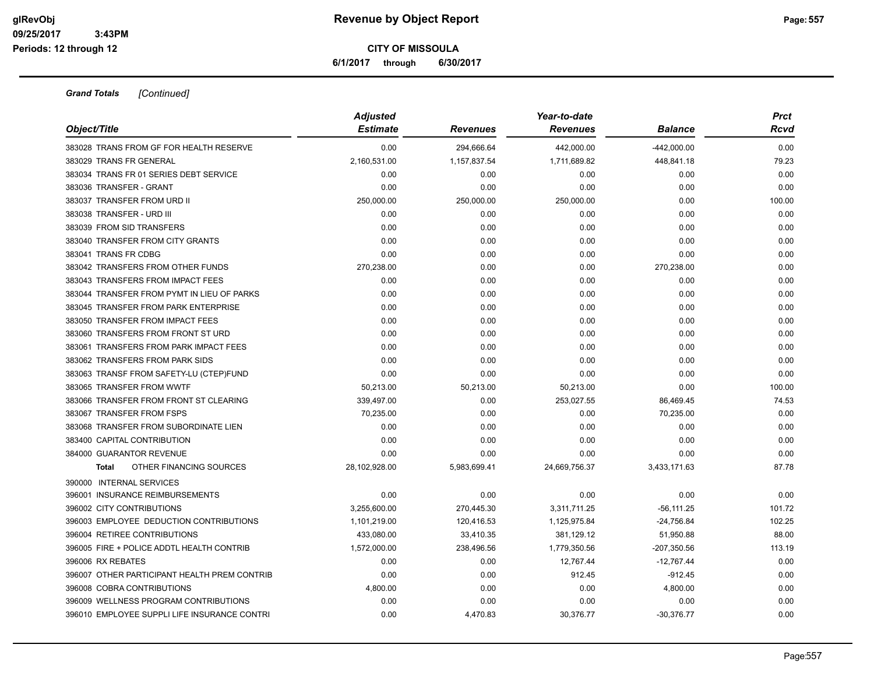**6/1/2017 through 6/30/2017**

|                                              | <b>Adjusted</b> |              | Year-to-date    |                | <b>Prct</b> |
|----------------------------------------------|-----------------|--------------|-----------------|----------------|-------------|
| Object/Title                                 | <b>Estimate</b> | Revenues     | <b>Revenues</b> | <b>Balance</b> | Rcvd        |
| 383028 TRANS FROM GF FOR HEALTH RESERVE      | 0.00            | 294,666.64   | 442,000.00      | $-442,000.00$  | 0.00        |
| 383029 TRANS FR GENERAL                      | 2,160,531.00    | 1,157,837.54 | 1,711,689.82    | 448,841.18     | 79.23       |
| 383034 TRANS FR 01 SERIES DEBT SERVICE       | 0.00            | 0.00         | 0.00            | 0.00           | 0.00        |
| 383036 TRANSFER - GRANT                      | 0.00            | 0.00         | 0.00            | 0.00           | 0.00        |
| 383037 TRANSFER FROM URD II                  | 250,000.00      | 250,000.00   | 250,000.00      | 0.00           | 100.00      |
| 383038 TRANSFER - URD III                    | 0.00            | 0.00         | 0.00            | 0.00           | 0.00        |
| 383039 FROM SID TRANSFERS                    | 0.00            | 0.00         | 0.00            | 0.00           | 0.00        |
| 383040 TRANSFER FROM CITY GRANTS             | 0.00            | 0.00         | 0.00            | 0.00           | 0.00        |
| 383041 TRANS FR CDBG                         | 0.00            | 0.00         | 0.00            | 0.00           | 0.00        |
| 383042 TRANSFERS FROM OTHER FUNDS            | 270,238.00      | 0.00         | 0.00            | 270,238.00     | 0.00        |
| 383043 TRANSFERS FROM IMPACT FEES            | 0.00            | 0.00         | 0.00            | 0.00           | 0.00        |
| 383044 TRANSFER FROM PYMT IN LIEU OF PARKS   | 0.00            | 0.00         | 0.00            | 0.00           | 0.00        |
| 383045 TRANSFER FROM PARK ENTERPRISE         | 0.00            | 0.00         | 0.00            | 0.00           | 0.00        |
| 383050 TRANSFER FROM IMPACT FEES             | 0.00            | 0.00         | 0.00            | 0.00           | 0.00        |
| 383060 TRANSFERS FROM FRONT ST URD           | 0.00            | 0.00         | 0.00            | 0.00           | 0.00        |
| 383061 TRANSFERS FROM PARK IMPACT FEES       | 0.00            | 0.00         | 0.00            | 0.00           | 0.00        |
| 383062 TRANSFERS FROM PARK SIDS              | 0.00            | 0.00         | 0.00            | 0.00           | 0.00        |
| 383063 TRANSF FROM SAFETY-LU (CTEP)FUND      | 0.00            | 0.00         | 0.00            | 0.00           | 0.00        |
| 383065 TRANSFER FROM WWTF                    | 50,213.00       | 50,213.00    | 50,213.00       | 0.00           | 100.00      |
| 383066 TRANSFER FROM FRONT ST CLEARING       | 339,497.00      | 0.00         | 253,027.55      | 86,469.45      | 74.53       |
| 383067 TRANSFER FROM FSPS                    | 70,235.00       | 0.00         | 0.00            | 70,235.00      | 0.00        |
| 383068 TRANSFER FROM SUBORDINATE LIEN        | 0.00            | 0.00         | 0.00            | 0.00           | 0.00        |
| 383400 CAPITAL CONTRIBUTION                  | 0.00            | 0.00         | 0.00            | 0.00           | 0.00        |
| 384000 GUARANTOR REVENUE                     | 0.00            | 0.00         | 0.00            | 0.00           | 0.00        |
| OTHER FINANCING SOURCES<br>Total             | 28,102,928.00   | 5,983,699.41 | 24,669,756.37   | 3,433,171.63   | 87.78       |
| 390000 INTERNAL SERVICES                     |                 |              |                 |                |             |
| 396001 INSURANCE REIMBURSEMENTS              | 0.00            | 0.00         | 0.00            | 0.00           | 0.00        |
| 396002 CITY CONTRIBUTIONS                    | 3,255,600.00    | 270,445.30   | 3,311,711.25    | $-56, 111.25$  | 101.72      |
| 396003 EMPLOYEE DEDUCTION CONTRIBUTIONS      | 1,101,219.00    | 120,416.53   | 1,125,975.84    | $-24,756.84$   | 102.25      |
| 396004 RETIREE CONTRIBUTIONS                 | 433,080.00      | 33,410.35    | 381,129.12      | 51,950.88      | 88.00       |
| 396005 FIRE + POLICE ADDTL HEALTH CONTRIB    | 1,572,000.00    | 238,496.56   | 1,779,350.56    | $-207,350.56$  | 113.19      |
| 396006 RX REBATES                            | 0.00            | 0.00         | 12,767.44       | $-12,767.44$   | 0.00        |
| 396007 OTHER PARTICIPANT HEALTH PREM CONTRIB | 0.00            | 0.00         | 912.45          | $-912.45$      | 0.00        |
| 396008 COBRA CONTRIBUTIONS                   | 4,800.00        | 0.00         | 0.00            | 4,800.00       | 0.00        |
| 396009 WELLNESS PROGRAM CONTRIBUTIONS        | 0.00            | 0.00         | 0.00            | 0.00           | 0.00        |
| 396010 EMPLOYEE SUPPLI LIFE INSURANCE CONTRI | 0.00            | 4,470.83     | 30.376.77       | $-30,376.77$   | 0.00        |